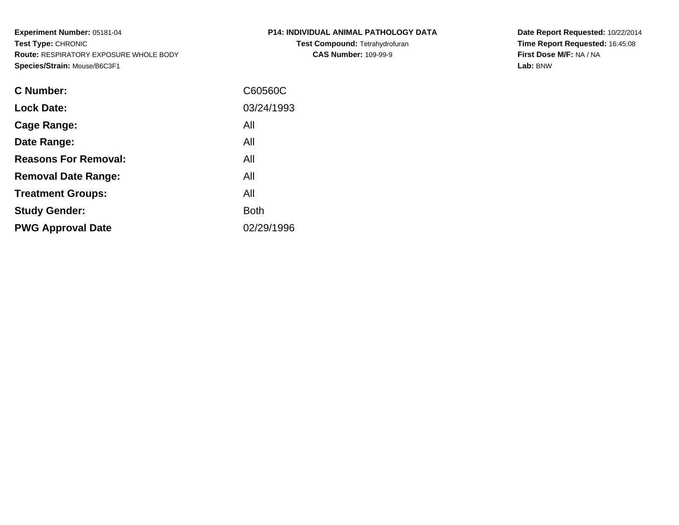**Experiment Number:** 05181-04**Test Type:** CHRONIC **Route:** RESPIRATORY EXPOSURE WHOLE BODY**Species/Strain:** Mouse/B6C3F1

| P14: INDIVIDUAL ANIMAL PATHOLOGY DATA |
|---------------------------------------|
| <b>Test Compound: Tetrahydrofuran</b> |
| <b>CAS Number: 109-99-9</b>           |

**Date Report Requested:** 10/22/2014 **Time Report Requested:** 16:45:08**First Dose M/F:** NA / NA**Lab:** BNW

| <b>C</b> Number:            | C60560C     |
|-----------------------------|-------------|
| <b>Lock Date:</b>           | 03/24/1993  |
| Cage Range:                 | All         |
| Date Range:                 | All         |
| <b>Reasons For Removal:</b> | All         |
| <b>Removal Date Range:</b>  | All         |
| <b>Treatment Groups:</b>    | All         |
| <b>Study Gender:</b>        | <b>Both</b> |
| <b>PWG Approval Date</b>    | 02/29/1996  |
|                             |             |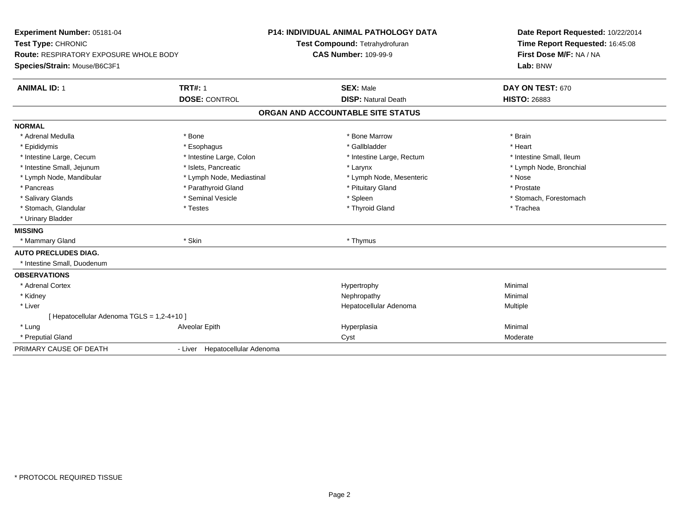| Experiment Number: 05181-04<br>Test Type: CHRONIC |                                | <b>P14: INDIVIDUAL ANIMAL PATHOLOGY DATA</b> | Date Report Requested: 10/22/2014<br>Time Report Requested: 16:45:08 |  |
|---------------------------------------------------|--------------------------------|----------------------------------------------|----------------------------------------------------------------------|--|
|                                                   |                                | Test Compound: Tetrahydrofuran               |                                                                      |  |
| Route: RESPIRATORY EXPOSURE WHOLE BODY            |                                | <b>CAS Number: 109-99-9</b>                  | First Dose M/F: NA / NA                                              |  |
| Species/Strain: Mouse/B6C3F1                      |                                |                                              | Lab: BNW                                                             |  |
| <b>ANIMAL ID: 1</b>                               | <b>TRT#: 1</b>                 | <b>SEX: Male</b>                             | DAY ON TEST: 670                                                     |  |
|                                                   | <b>DOSE: CONTROL</b>           | <b>DISP: Natural Death</b>                   | <b>HISTO: 26883</b>                                                  |  |
|                                                   |                                | ORGAN AND ACCOUNTABLE SITE STATUS            |                                                                      |  |
| <b>NORMAL</b>                                     |                                |                                              |                                                                      |  |
| * Adrenal Medulla                                 | * Bone                         | * Bone Marrow                                | * Brain                                                              |  |
| * Epididymis                                      | * Esophagus                    | * Gallbladder                                | * Heart                                                              |  |
| * Intestine Large, Cecum                          | * Intestine Large, Colon       | * Intestine Large, Rectum                    | * Intestine Small, Ileum                                             |  |
| * Intestine Small, Jejunum                        | * Islets, Pancreatic           | * Larynx                                     | * Lymph Node, Bronchial                                              |  |
| * Lymph Node, Mandibular                          | * Lymph Node, Mediastinal      | * Lymph Node, Mesenteric                     | * Nose                                                               |  |
| * Pancreas                                        | * Parathyroid Gland            | * Pituitary Gland                            | * Prostate                                                           |  |
| * Salivary Glands                                 | * Seminal Vesicle              | * Spleen                                     | * Stomach, Forestomach                                               |  |
| * Stomach, Glandular                              | * Testes                       | * Thyroid Gland                              | * Trachea                                                            |  |
| * Urinary Bladder                                 |                                |                                              |                                                                      |  |
| <b>MISSING</b>                                    |                                |                                              |                                                                      |  |
| * Mammary Gland                                   | * Skin                         | * Thymus                                     |                                                                      |  |
| <b>AUTO PRECLUDES DIAG.</b>                       |                                |                                              |                                                                      |  |
| * Intestine Small, Duodenum                       |                                |                                              |                                                                      |  |
| <b>OBSERVATIONS</b>                               |                                |                                              |                                                                      |  |
| * Adrenal Cortex                                  |                                | Hypertrophy                                  | Minimal                                                              |  |
| * Kidney                                          |                                | Nephropathy                                  | Minimal                                                              |  |
| * Liver                                           |                                | Hepatocellular Adenoma                       | Multiple                                                             |  |
| [ Hepatocellular Adenoma TGLS = 1,2-4+10 ]        |                                |                                              |                                                                      |  |
| * Lung                                            | Alveolar Epith                 | Hyperplasia                                  | Minimal                                                              |  |
| * Preputial Gland                                 |                                | Cyst                                         | Moderate                                                             |  |
| PRIMARY CAUSE OF DEATH                            | - Liver Hepatocellular Adenoma |                                              |                                                                      |  |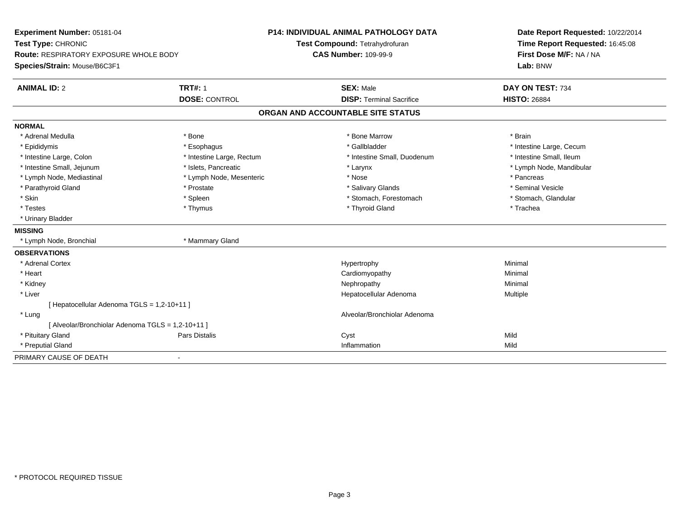| Experiment Number: 05181-04<br>Test Type: CHRONIC |                           | <b>P14: INDIVIDUAL ANIMAL PATHOLOGY DATA</b> | Date Report Requested: 10/22/2014<br>Time Report Requested: 16:45:08 |  |
|---------------------------------------------------|---------------------------|----------------------------------------------|----------------------------------------------------------------------|--|
|                                                   |                           | Test Compound: Tetrahydrofuran               |                                                                      |  |
| Route: RESPIRATORY EXPOSURE WHOLE BODY            |                           | <b>CAS Number: 109-99-9</b>                  | First Dose M/F: NA / NA                                              |  |
| Species/Strain: Mouse/B6C3F1                      |                           |                                              | Lab: BNW                                                             |  |
| <b>ANIMAL ID: 2</b>                               | <b>TRT#: 1</b>            | <b>SEX: Male</b>                             | DAY ON TEST: 734                                                     |  |
|                                                   | <b>DOSE: CONTROL</b>      | <b>DISP: Terminal Sacrifice</b>              | <b>HISTO: 26884</b>                                                  |  |
|                                                   |                           | ORGAN AND ACCOUNTABLE SITE STATUS            |                                                                      |  |
| <b>NORMAL</b>                                     |                           |                                              |                                                                      |  |
| * Adrenal Medulla                                 | * Bone                    | * Bone Marrow                                | * Brain                                                              |  |
| * Epididymis                                      | * Esophagus               | * Gallbladder                                | * Intestine Large, Cecum                                             |  |
| * Intestine Large, Colon                          | * Intestine Large, Rectum | * Intestine Small, Duodenum                  | * Intestine Small, Ileum                                             |  |
| * Intestine Small, Jejunum                        | * Islets, Pancreatic      | * Larynx                                     | * Lymph Node, Mandibular                                             |  |
| * Lymph Node, Mediastinal                         | * Lymph Node, Mesenteric  | * Nose                                       | * Pancreas                                                           |  |
| * Parathyroid Gland                               | * Prostate                | * Salivary Glands                            | * Seminal Vesicle                                                    |  |
| * Skin                                            | * Spleen                  | * Stomach, Forestomach                       | * Stomach, Glandular                                                 |  |
| * Testes                                          | * Thymus                  | * Thyroid Gland                              | * Trachea                                                            |  |
| * Urinary Bladder                                 |                           |                                              |                                                                      |  |
| <b>MISSING</b>                                    |                           |                                              |                                                                      |  |
| * Lymph Node, Bronchial                           | * Mammary Gland           |                                              |                                                                      |  |
| <b>OBSERVATIONS</b>                               |                           |                                              |                                                                      |  |
| * Adrenal Cortex                                  |                           | Hypertrophy                                  | Minimal                                                              |  |
| * Heart                                           |                           | Cardiomyopathy                               | Minimal                                                              |  |
| * Kidney                                          |                           | Nephropathy                                  | Minimal                                                              |  |
| * Liver                                           |                           | Hepatocellular Adenoma                       | Multiple                                                             |  |
| [ Hepatocellular Adenoma TGLS = 1,2-10+11 ]       |                           |                                              |                                                                      |  |
| * Lung                                            |                           | Alveolar/Bronchiolar Adenoma                 |                                                                      |  |
| [ Alveolar/Bronchiolar Adenoma TGLS = 1,2-10+11 ] |                           |                                              |                                                                      |  |
| * Pituitary Gland                                 | Pars Distalis             | Cyst                                         | Mild                                                                 |  |
| * Preputial Gland                                 |                           | Inflammation                                 | Mild                                                                 |  |
| PRIMARY CAUSE OF DEATH                            | $\blacksquare$            |                                              |                                                                      |  |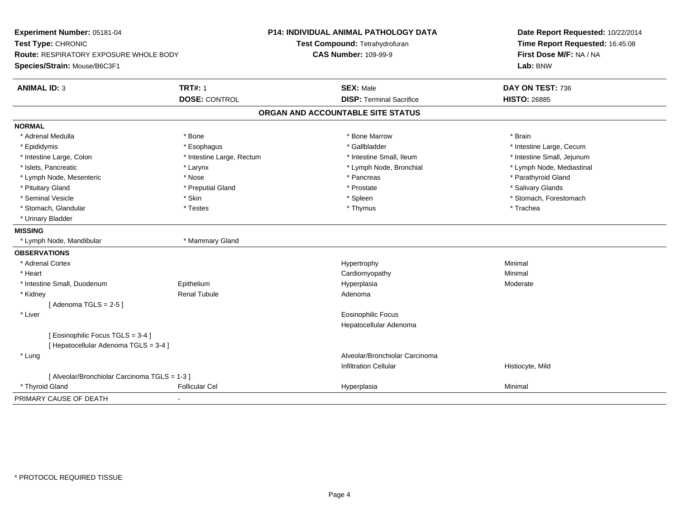| Experiment Number: 05181-04<br>Test Type: CHRONIC |                           | P14: INDIVIDUAL ANIMAL PATHOLOGY DATA<br>Test Compound: Tetrahydrofuran | Date Report Requested: 10/22/2014<br>Time Report Requested: 16:45:08 |  |
|---------------------------------------------------|---------------------------|-------------------------------------------------------------------------|----------------------------------------------------------------------|--|
| <b>Route: RESPIRATORY EXPOSURE WHOLE BODY</b>     |                           | <b>CAS Number: 109-99-9</b>                                             | First Dose M/F: NA / NA<br>Lab: BNW                                  |  |
| Species/Strain: Mouse/B6C3F1                      |                           |                                                                         |                                                                      |  |
| <b>ANIMAL ID: 3</b>                               | <b>TRT#: 1</b>            | <b>SEX: Male</b>                                                        | DAY ON TEST: 736                                                     |  |
|                                                   | <b>DOSE: CONTROL</b>      | <b>DISP: Terminal Sacrifice</b>                                         | <b>HISTO: 26885</b>                                                  |  |
|                                                   |                           | ORGAN AND ACCOUNTABLE SITE STATUS                                       |                                                                      |  |
| <b>NORMAL</b>                                     |                           |                                                                         |                                                                      |  |
| * Adrenal Medulla                                 | * Bone                    | * Bone Marrow                                                           | * Brain                                                              |  |
| * Epididymis                                      | * Esophagus               | * Gallbladder                                                           | * Intestine Large, Cecum                                             |  |
| * Intestine Large, Colon                          | * Intestine Large, Rectum | * Intestine Small, Ileum                                                | * Intestine Small, Jejunum                                           |  |
| * Islets, Pancreatic                              | * Larynx                  | * Lymph Node, Bronchial                                                 | * Lymph Node, Mediastinal                                            |  |
| * Lymph Node, Mesenteric                          | * Nose                    | * Pancreas                                                              | * Parathyroid Gland                                                  |  |
| * Pituitary Gland                                 | * Preputial Gland         | * Prostate                                                              | * Salivary Glands                                                    |  |
| * Seminal Vesicle                                 | * Skin                    | * Spleen                                                                | * Stomach, Forestomach                                               |  |
| * Stomach, Glandular                              | * Testes                  | * Thymus                                                                | * Trachea                                                            |  |
| * Urinary Bladder                                 |                           |                                                                         |                                                                      |  |
| <b>MISSING</b>                                    |                           |                                                                         |                                                                      |  |
| * Lymph Node, Mandibular                          | * Mammary Gland           |                                                                         |                                                                      |  |
| <b>OBSERVATIONS</b>                               |                           |                                                                         |                                                                      |  |
| * Adrenal Cortex                                  |                           | Hypertrophy                                                             | Minimal                                                              |  |
| * Heart                                           |                           | Cardiomyopathy                                                          | Minimal                                                              |  |
| * Intestine Small, Duodenum                       | Epithelium                | Hyperplasia                                                             | Moderate                                                             |  |
| * Kidney                                          | Renal Tubule              | Adenoma                                                                 |                                                                      |  |
| [Adenoma TGLS = $2-5$ ]                           |                           |                                                                         |                                                                      |  |
| * Liver                                           |                           | <b>Eosinophilic Focus</b>                                               |                                                                      |  |
|                                                   |                           | Hepatocellular Adenoma                                                  |                                                                      |  |
| [ Eosinophilic Focus TGLS = 3-4 ]                 |                           |                                                                         |                                                                      |  |
| [ Hepatocellular Adenoma TGLS = 3-4 ]             |                           |                                                                         |                                                                      |  |
| * Lung                                            |                           | Alveolar/Bronchiolar Carcinoma                                          |                                                                      |  |
|                                                   |                           | <b>Infiltration Cellular</b>                                            | Histiocyte, Mild                                                     |  |
| [ Alveolar/Bronchiolar Carcinoma TGLS = 1-3 ]     |                           |                                                                         |                                                                      |  |
| * Thyroid Gland                                   | <b>Follicular Cel</b>     | Hyperplasia                                                             | Minimal                                                              |  |
| PRIMARY CAUSE OF DEATH                            | $\overline{\phantom{a}}$  |                                                                         |                                                                      |  |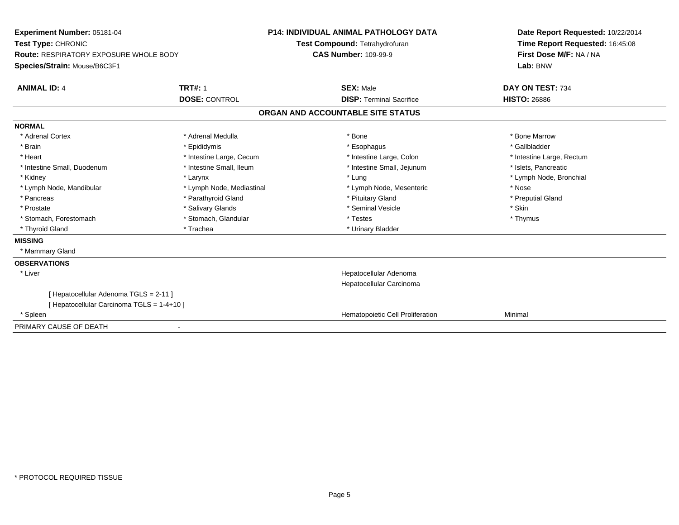| Experiment Number: 05181-04<br>Test Type: CHRONIC<br><b>Route: RESPIRATORY EXPOSURE WHOLE BODY</b> |                           | <b>P14: INDIVIDUAL ANIMAL PATHOLOGY DATA</b><br>Test Compound: Tetrahydrofuran | Date Report Requested: 10/22/2014<br>Time Report Requested: 16:45:08 |
|----------------------------------------------------------------------------------------------------|---------------------------|--------------------------------------------------------------------------------|----------------------------------------------------------------------|
|                                                                                                    |                           | <b>CAS Number: 109-99-9</b>                                                    | First Dose M/F: NA / NA                                              |
| Species/Strain: Mouse/B6C3F1                                                                       |                           |                                                                                | Lab: BNW                                                             |
| <b>ANIMAL ID: 4</b>                                                                                | <b>TRT#: 1</b>            | <b>SEX: Male</b>                                                               | DAY ON TEST: 734                                                     |
|                                                                                                    | <b>DOSE: CONTROL</b>      | <b>DISP: Terminal Sacrifice</b>                                                | <b>HISTO: 26886</b>                                                  |
|                                                                                                    |                           | ORGAN AND ACCOUNTABLE SITE STATUS                                              |                                                                      |
| <b>NORMAL</b>                                                                                      |                           |                                                                                |                                                                      |
| * Adrenal Cortex                                                                                   | * Adrenal Medulla         | * Bone                                                                         | * Bone Marrow                                                        |
| * Brain                                                                                            | * Epididymis              | * Esophagus                                                                    | * Gallbladder                                                        |
| * Heart                                                                                            | * Intestine Large, Cecum  | * Intestine Large, Colon                                                       | * Intestine Large, Rectum                                            |
| * Intestine Small, Duodenum                                                                        | * Intestine Small. Ileum  | * Intestine Small, Jejunum                                                     | * Islets. Pancreatic                                                 |
| * Kidney                                                                                           | * Larynx                  | * Lung                                                                         | * Lymph Node, Bronchial                                              |
| * Lymph Node, Mandibular                                                                           | * Lymph Node, Mediastinal | * Lymph Node, Mesenteric                                                       | * Nose                                                               |
| * Pancreas                                                                                         | * Parathyroid Gland       | * Pituitary Gland                                                              | * Preputial Gland                                                    |
| * Prostate                                                                                         | * Salivary Glands         | * Seminal Vesicle                                                              | * Skin                                                               |
| * Stomach, Forestomach                                                                             | * Stomach, Glandular      | * Testes                                                                       | * Thymus                                                             |
| * Thyroid Gland                                                                                    | * Trachea                 | * Urinary Bladder                                                              |                                                                      |
| <b>MISSING</b>                                                                                     |                           |                                                                                |                                                                      |
| * Mammary Gland                                                                                    |                           |                                                                                |                                                                      |
| <b>OBSERVATIONS</b>                                                                                |                           |                                                                                |                                                                      |
| * Liver                                                                                            |                           | Hepatocellular Adenoma                                                         |                                                                      |
|                                                                                                    |                           | Hepatocellular Carcinoma                                                       |                                                                      |
| [ Hepatocellular Adenoma TGLS = 2-11 ]                                                             |                           |                                                                                |                                                                      |
| [Hepatocellular Carcinoma TGLS = 1-4+10]                                                           |                           |                                                                                |                                                                      |
| * Spleen                                                                                           |                           | Hematopoietic Cell Proliferation                                               | Minimal                                                              |
| PRIMARY CAUSE OF DEATH                                                                             |                           |                                                                                |                                                                      |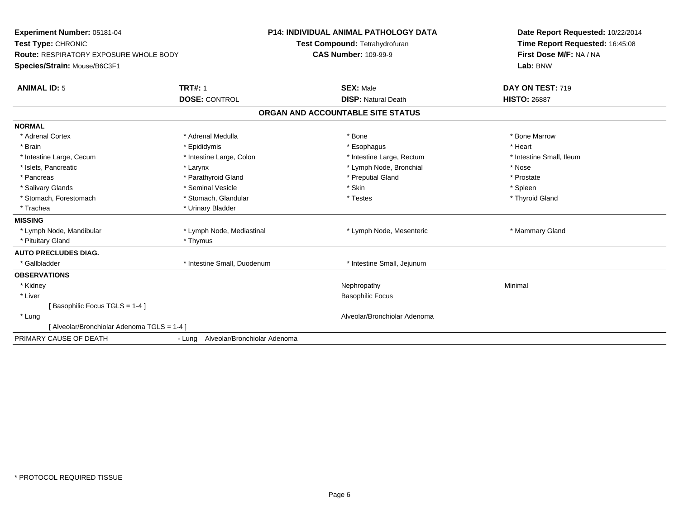| Experiment Number: 05181-04<br>Test Type: CHRONIC<br><b>Route: RESPIRATORY EXPOSURE WHOLE BODY</b><br>Species/Strain: Mouse/B6C3F1<br><b>ANIMAL ID: 5</b> | <b>TRT#: 1</b>                      | P14: INDIVIDUAL ANIMAL PATHOLOGY DATA<br>Test Compound: Tetrahydrofuran<br><b>CAS Number: 109-99-9</b><br><b>SEX: Male</b> | Date Report Requested: 10/22/2014<br>Time Report Requested: 16:45:08<br>First Dose M/F: NA / NA<br>Lab: BNW<br>DAY ON TEST: 719 |
|-----------------------------------------------------------------------------------------------------------------------------------------------------------|-------------------------------------|----------------------------------------------------------------------------------------------------------------------------|---------------------------------------------------------------------------------------------------------------------------------|
|                                                                                                                                                           | <b>DOSE: CONTROL</b>                | <b>DISP: Natural Death</b>                                                                                                 | <b>HISTO: 26887</b>                                                                                                             |
|                                                                                                                                                           |                                     | ORGAN AND ACCOUNTABLE SITE STATUS                                                                                          |                                                                                                                                 |
| <b>NORMAL</b>                                                                                                                                             |                                     |                                                                                                                            |                                                                                                                                 |
| * Adrenal Cortex                                                                                                                                          | * Adrenal Medulla                   | * Bone                                                                                                                     | * Bone Marrow                                                                                                                   |
| * Brain                                                                                                                                                   | * Epididymis                        | * Esophagus                                                                                                                | * Heart                                                                                                                         |
| * Intestine Large, Cecum                                                                                                                                  | * Intestine Large, Colon            | * Intestine Large, Rectum                                                                                                  | * Intestine Small, Ileum                                                                                                        |
| * Islets, Pancreatic                                                                                                                                      | * Larynx                            | * Lymph Node, Bronchial                                                                                                    | * Nose                                                                                                                          |
| * Pancreas                                                                                                                                                | * Parathyroid Gland                 | * Preputial Gland                                                                                                          | * Prostate                                                                                                                      |
| * Salivary Glands                                                                                                                                         | * Seminal Vesicle                   | * Skin                                                                                                                     | * Spleen                                                                                                                        |
| * Stomach, Forestomach                                                                                                                                    | * Stomach, Glandular                | * Testes                                                                                                                   | * Thyroid Gland                                                                                                                 |
| * Trachea                                                                                                                                                 | * Urinary Bladder                   |                                                                                                                            |                                                                                                                                 |
| <b>MISSING</b>                                                                                                                                            |                                     |                                                                                                                            |                                                                                                                                 |
| * Lymph Node, Mandibular                                                                                                                                  | * Lymph Node, Mediastinal           | * Lymph Node, Mesenteric                                                                                                   | * Mammary Gland                                                                                                                 |
| * Pituitary Gland                                                                                                                                         | * Thymus                            |                                                                                                                            |                                                                                                                                 |
| <b>AUTO PRECLUDES DIAG.</b>                                                                                                                               |                                     |                                                                                                                            |                                                                                                                                 |
| * Gallbladder                                                                                                                                             | * Intestine Small, Duodenum         | * Intestine Small, Jejunum                                                                                                 |                                                                                                                                 |
| <b>OBSERVATIONS</b>                                                                                                                                       |                                     |                                                                                                                            |                                                                                                                                 |
| * Kidney                                                                                                                                                  |                                     | Nephropathy                                                                                                                | Minimal                                                                                                                         |
| * Liver                                                                                                                                                   |                                     | <b>Basophilic Focus</b>                                                                                                    |                                                                                                                                 |
| [Basophilic Focus TGLS = 1-4]                                                                                                                             |                                     |                                                                                                                            |                                                                                                                                 |
| * Lung                                                                                                                                                    |                                     | Alveolar/Bronchiolar Adenoma                                                                                               |                                                                                                                                 |
| [ Alveolar/Bronchiolar Adenoma TGLS = 1-4 ]                                                                                                               |                                     |                                                                                                                            |                                                                                                                                 |
| PRIMARY CAUSE OF DEATH                                                                                                                                    | - Lung Alveolar/Bronchiolar Adenoma |                                                                                                                            |                                                                                                                                 |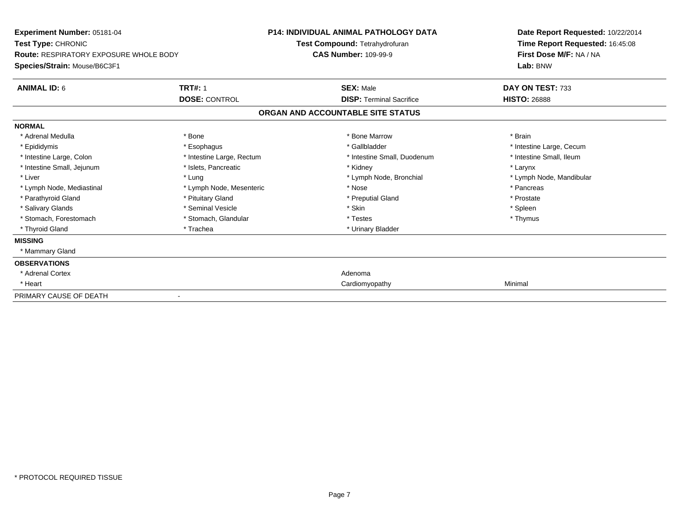| <b>Experiment Number: 05181-04</b><br>Test Type: CHRONIC<br><b>Route: RESPIRATORY EXPOSURE WHOLE BODY</b> |                           | <b>P14: INDIVIDUAL ANIMAL PATHOLOGY DATA</b><br>Test Compound: Tetrahydrofuran<br><b>CAS Number: 109-99-9</b> | Date Report Requested: 10/22/2014<br>Time Report Requested: 16:45:08<br>First Dose M/F: NA / NA |  |
|-----------------------------------------------------------------------------------------------------------|---------------------------|---------------------------------------------------------------------------------------------------------------|-------------------------------------------------------------------------------------------------|--|
| Species/Strain: Mouse/B6C3F1                                                                              |                           |                                                                                                               | Lab: BNW                                                                                        |  |
| <b>ANIMAL ID: 6</b>                                                                                       | <b>TRT#: 1</b>            | <b>SEX: Male</b>                                                                                              | DAY ON TEST: 733                                                                                |  |
|                                                                                                           | <b>DOSE: CONTROL</b>      | <b>DISP: Terminal Sacrifice</b>                                                                               | <b>HISTO: 26888</b>                                                                             |  |
|                                                                                                           |                           | ORGAN AND ACCOUNTABLE SITE STATUS                                                                             |                                                                                                 |  |
| <b>NORMAL</b>                                                                                             |                           |                                                                                                               |                                                                                                 |  |
| * Adrenal Medulla                                                                                         | * Bone                    | * Bone Marrow                                                                                                 | * Brain                                                                                         |  |
| * Epididymis                                                                                              | * Esophagus               | * Gallbladder                                                                                                 | * Intestine Large, Cecum                                                                        |  |
| * Intestine Large, Colon                                                                                  | * Intestine Large, Rectum | * Intestine Small, Duodenum                                                                                   | * Intestine Small, Ileum                                                                        |  |
| * Intestine Small, Jejunum                                                                                | * Islets, Pancreatic      | * Kidney                                                                                                      | * Larynx                                                                                        |  |
| * Liver                                                                                                   | * Lung                    | * Lymph Node, Bronchial                                                                                       | * Lymph Node, Mandibular                                                                        |  |
| * Lymph Node, Mediastinal                                                                                 | * Lymph Node, Mesenteric  | * Nose                                                                                                        | * Pancreas                                                                                      |  |
| * Parathyroid Gland                                                                                       | * Pituitary Gland         | * Preputial Gland                                                                                             | * Prostate                                                                                      |  |
| * Salivary Glands                                                                                         | * Seminal Vesicle         | * Skin                                                                                                        | * Spleen                                                                                        |  |
| * Stomach. Forestomach                                                                                    | * Stomach, Glandular      | * Testes                                                                                                      | * Thymus                                                                                        |  |
| * Thyroid Gland                                                                                           | * Trachea                 | * Urinary Bladder                                                                                             |                                                                                                 |  |
| <b>MISSING</b>                                                                                            |                           |                                                                                                               |                                                                                                 |  |
| * Mammary Gland                                                                                           |                           |                                                                                                               |                                                                                                 |  |
| <b>OBSERVATIONS</b>                                                                                       |                           |                                                                                                               |                                                                                                 |  |
| * Adrenal Cortex                                                                                          |                           | Adenoma                                                                                                       |                                                                                                 |  |
| * Heart                                                                                                   |                           | Cardiomyopathy                                                                                                | Minimal                                                                                         |  |
| PRIMARY CAUSE OF DEATH                                                                                    |                           |                                                                                                               |                                                                                                 |  |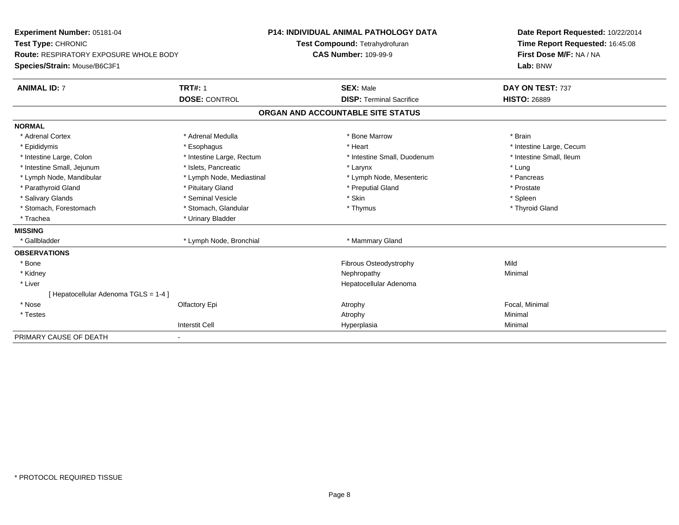| Experiment Number: 05181-04                   | <b>P14: INDIVIDUAL ANIMAL PATHOLOGY DATA</b> |                                   | Date Report Requested: 10/22/2014 |                                                            |  |
|-----------------------------------------------|----------------------------------------------|-----------------------------------|-----------------------------------|------------------------------------------------------------|--|
| Test Type: CHRONIC                            |                                              | Test Compound: Tetrahydrofuran    |                                   | Time Report Requested: 16:45:08<br>First Dose M/F: NA / NA |  |
| <b>Route: RESPIRATORY EXPOSURE WHOLE BODY</b> |                                              | <b>CAS Number: 109-99-9</b>       |                                   |                                                            |  |
| Species/Strain: Mouse/B6C3F1                  |                                              |                                   |                                   | Lab: BNW                                                   |  |
| <b>ANIMAL ID: 7</b>                           | <b>TRT#: 1</b>                               | <b>SEX: Male</b>                  |                                   | DAY ON TEST: 737                                           |  |
|                                               | <b>DOSE: CONTROL</b>                         |                                   | <b>DISP: Terminal Sacrifice</b>   | <b>HISTO: 26889</b>                                        |  |
|                                               |                                              | ORGAN AND ACCOUNTABLE SITE STATUS |                                   |                                                            |  |
| <b>NORMAL</b>                                 |                                              |                                   |                                   |                                                            |  |
| * Adrenal Cortex                              | * Adrenal Medulla                            | * Bone Marrow                     |                                   | * Brain                                                    |  |
| * Epididymis                                  | * Esophagus                                  | * Heart                           |                                   | * Intestine Large, Cecum                                   |  |
| * Intestine Large, Colon                      | * Intestine Large, Rectum                    |                                   | * Intestine Small, Duodenum       | * Intestine Small, Ileum                                   |  |
| * Intestine Small, Jejunum                    | * Islets. Pancreatic                         | * Larynx                          |                                   | * Lung                                                     |  |
| * Lymph Node, Mandibular                      | * Lymph Node, Mediastinal                    |                                   | * Lymph Node, Mesenteric          | * Pancreas                                                 |  |
| * Parathyroid Gland                           | * Pituitary Gland                            | * Preputial Gland                 |                                   | * Prostate                                                 |  |
| * Salivary Glands                             | * Seminal Vesicle                            | * Skin                            |                                   | * Spleen                                                   |  |
| * Stomach, Forestomach                        | * Stomach, Glandular                         | * Thymus                          |                                   | * Thyroid Gland                                            |  |
| * Trachea                                     | * Urinary Bladder                            |                                   |                                   |                                                            |  |
| <b>MISSING</b>                                |                                              |                                   |                                   |                                                            |  |
| * Gallbladder                                 | * Lymph Node, Bronchial                      | * Mammary Gland                   |                                   |                                                            |  |
| <b>OBSERVATIONS</b>                           |                                              |                                   |                                   |                                                            |  |
| * Bone                                        |                                              |                                   | Fibrous Osteodystrophy            | Mild                                                       |  |
| * Kidney                                      |                                              | Nephropathy                       |                                   | Minimal                                                    |  |
| * Liver                                       |                                              |                                   | Hepatocellular Adenoma            |                                                            |  |
| [ Hepatocellular Adenoma TGLS = 1-4 ]         |                                              |                                   |                                   |                                                            |  |
| * Nose                                        | Olfactory Epi                                | Atrophy                           |                                   | Focal, Minimal                                             |  |
| * Testes                                      |                                              | Atrophy                           |                                   | Minimal                                                    |  |
|                                               | <b>Interstit Cell</b>                        | Hyperplasia                       |                                   | Minimal                                                    |  |
| PRIMARY CAUSE OF DEATH                        |                                              |                                   |                                   |                                                            |  |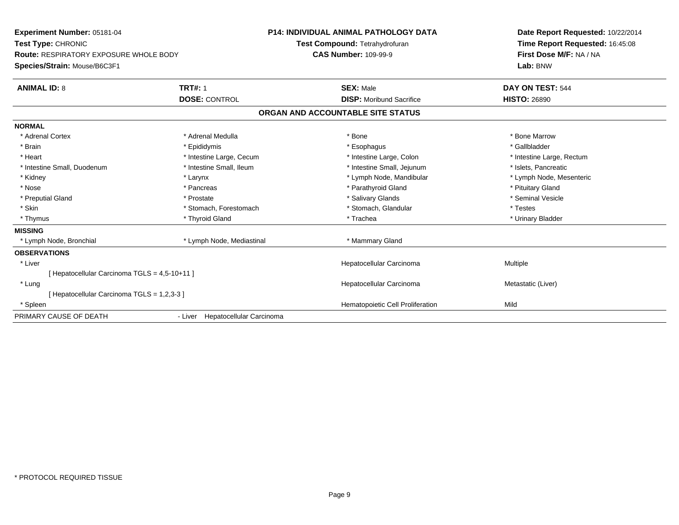| Experiment Number: 05181-04<br>Test Type: CHRONIC |                                  | <b>P14: INDIVIDUAL ANIMAL PATHOLOGY DATA</b><br>Test Compound: Tetrahydrofuran |                                  | Date Report Requested: 10/22/2014<br>Time Report Requested: 16:45:08 |
|---------------------------------------------------|----------------------------------|--------------------------------------------------------------------------------|----------------------------------|----------------------------------------------------------------------|
| <b>Route: RESPIRATORY EXPOSURE WHOLE BODY</b>     | <b>CAS Number: 109-99-9</b>      |                                                                                |                                  | First Dose M/F: NA / NA                                              |
| Species/Strain: Mouse/B6C3F1                      |                                  |                                                                                |                                  | Lab: BNW                                                             |
| <b>ANIMAL ID: 8</b>                               | <b>TRT#: 1</b>                   | <b>SEX: Male</b>                                                               |                                  | DAY ON TEST: 544                                                     |
|                                                   | <b>DOSE: CONTROL</b>             |                                                                                | <b>DISP:</b> Moribund Sacrifice  | <b>HISTO: 26890</b>                                                  |
|                                                   |                                  | ORGAN AND ACCOUNTABLE SITE STATUS                                              |                                  |                                                                      |
| <b>NORMAL</b>                                     |                                  |                                                                                |                                  |                                                                      |
| * Adrenal Cortex                                  | * Adrenal Medulla                | * Bone                                                                         |                                  | * Bone Marrow                                                        |
| * Brain                                           | * Epididymis                     | * Esophagus                                                                    |                                  | * Gallbladder                                                        |
| * Heart                                           | * Intestine Large, Cecum         |                                                                                | * Intestine Large, Colon         | * Intestine Large, Rectum                                            |
| * Intestine Small, Duodenum                       | * Intestine Small, Ileum         |                                                                                | * Intestine Small, Jejunum       | * Islets, Pancreatic                                                 |
| * Kidney                                          | * Larynx                         |                                                                                | * Lymph Node, Mandibular         | * Lymph Node, Mesenteric                                             |
| * Nose                                            | * Pancreas                       |                                                                                | * Parathyroid Gland              | * Pituitary Gland                                                    |
| * Preputial Gland                                 | * Prostate                       |                                                                                | * Salivary Glands                | * Seminal Vesicle                                                    |
| * Skin                                            | * Stomach, Forestomach           |                                                                                | * Stomach, Glandular             | * Testes                                                             |
| * Thymus                                          | * Thyroid Gland                  | * Trachea                                                                      |                                  | * Urinary Bladder                                                    |
| <b>MISSING</b>                                    |                                  |                                                                                |                                  |                                                                      |
| * Lymph Node, Bronchial                           | * Lymph Node, Mediastinal        |                                                                                | * Mammary Gland                  |                                                                      |
| <b>OBSERVATIONS</b>                               |                                  |                                                                                |                                  |                                                                      |
| * Liver                                           |                                  |                                                                                | Hepatocellular Carcinoma         | Multiple                                                             |
| [ Hepatocellular Carcinoma TGLS = 4,5-10+11 ]     |                                  |                                                                                |                                  |                                                                      |
| * Lung                                            |                                  |                                                                                | Hepatocellular Carcinoma         | Metastatic (Liver)                                                   |
| [ Hepatocellular Carcinoma TGLS = 1,2,3-3 ]       |                                  |                                                                                |                                  |                                                                      |
| * Spleen                                          |                                  |                                                                                | Hematopoietic Cell Proliferation | Mild                                                                 |
| PRIMARY CAUSE OF DEATH                            | - Liver Hepatocellular Carcinoma |                                                                                |                                  |                                                                      |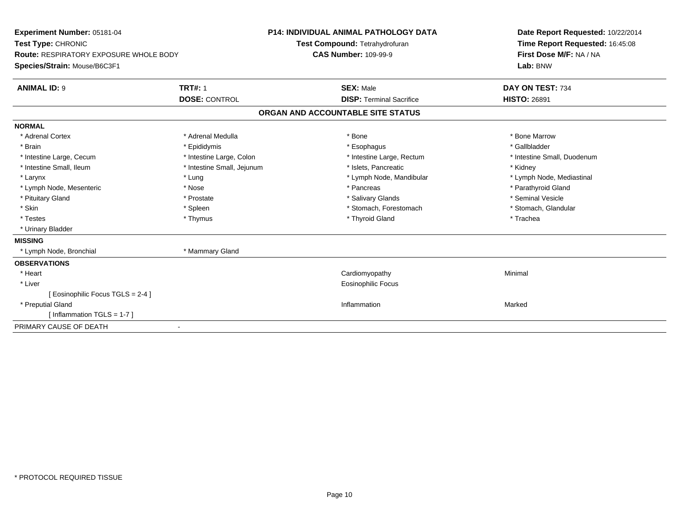| Experiment Number: 05181-04<br>Test Type: CHRONIC<br><b>Route: RESPIRATORY EXPOSURE WHOLE BODY</b><br>Species/Strain: Mouse/B6C3F1 |                            | <b>P14: INDIVIDUAL ANIMAL PATHOLOGY DATA</b><br>Test Compound: Tetrahydrofuran<br><b>CAS Number: 109-99-9</b> |                                 | Date Report Requested: 10/22/2014<br>Time Report Requested: 16:45:08<br>First Dose M/F: NA / NA<br>Lab: BNW |
|------------------------------------------------------------------------------------------------------------------------------------|----------------------------|---------------------------------------------------------------------------------------------------------------|---------------------------------|-------------------------------------------------------------------------------------------------------------|
| <b>ANIMAL ID: 9</b>                                                                                                                | <b>TRT#: 1</b>             | <b>SEX: Male</b>                                                                                              |                                 | DAY ON TEST: 734                                                                                            |
|                                                                                                                                    | <b>DOSE: CONTROL</b>       |                                                                                                               | <b>DISP: Terminal Sacrifice</b> | <b>HISTO: 26891</b>                                                                                         |
|                                                                                                                                    |                            | ORGAN AND ACCOUNTABLE SITE STATUS                                                                             |                                 |                                                                                                             |
| <b>NORMAL</b>                                                                                                                      |                            |                                                                                                               |                                 |                                                                                                             |
| * Adrenal Cortex                                                                                                                   | * Adrenal Medulla          | * Bone                                                                                                        |                                 | * Bone Marrow                                                                                               |
| * Brain                                                                                                                            | * Epididymis               | * Esophagus                                                                                                   |                                 | * Gallbladder                                                                                               |
| * Intestine Large, Cecum                                                                                                           | * Intestine Large, Colon   |                                                                                                               | * Intestine Large, Rectum       | * Intestine Small, Duodenum                                                                                 |
| * Intestine Small, Ileum                                                                                                           | * Intestine Small, Jejunum | * Islets. Pancreatic                                                                                          |                                 | * Kidney                                                                                                    |
| * Larynx                                                                                                                           | * Lung                     |                                                                                                               | * Lymph Node, Mandibular        | * Lymph Node, Mediastinal                                                                                   |
| * Lymph Node, Mesenteric                                                                                                           | * Nose                     | * Pancreas                                                                                                    |                                 | * Parathyroid Gland                                                                                         |
| * Pituitary Gland                                                                                                                  | * Prostate                 | * Salivary Glands                                                                                             |                                 | * Seminal Vesicle                                                                                           |
| * Skin                                                                                                                             | * Spleen                   |                                                                                                               | * Stomach, Forestomach          | * Stomach, Glandular                                                                                        |
| * Testes                                                                                                                           | * Thymus                   | * Thyroid Gland                                                                                               |                                 | * Trachea                                                                                                   |
| * Urinary Bladder                                                                                                                  |                            |                                                                                                               |                                 |                                                                                                             |
| <b>MISSING</b>                                                                                                                     |                            |                                                                                                               |                                 |                                                                                                             |
| * Lymph Node, Bronchial                                                                                                            | * Mammary Gland            |                                                                                                               |                                 |                                                                                                             |
| <b>OBSERVATIONS</b>                                                                                                                |                            |                                                                                                               |                                 |                                                                                                             |
| * Heart                                                                                                                            |                            | Cardiomyopathy                                                                                                |                                 | Minimal                                                                                                     |
| * Liver                                                                                                                            |                            | <b>Eosinophilic Focus</b>                                                                                     |                                 |                                                                                                             |
| Eosinophilic Focus TGLS = 2-4 ]                                                                                                    |                            |                                                                                                               |                                 |                                                                                                             |
| * Preputial Gland                                                                                                                  |                            | Inflammation                                                                                                  |                                 | Marked                                                                                                      |
| [Inflammation TGLS = $1-7$ ]                                                                                                       |                            |                                                                                                               |                                 |                                                                                                             |
| PRIMARY CAUSE OF DEATH                                                                                                             |                            |                                                                                                               |                                 |                                                                                                             |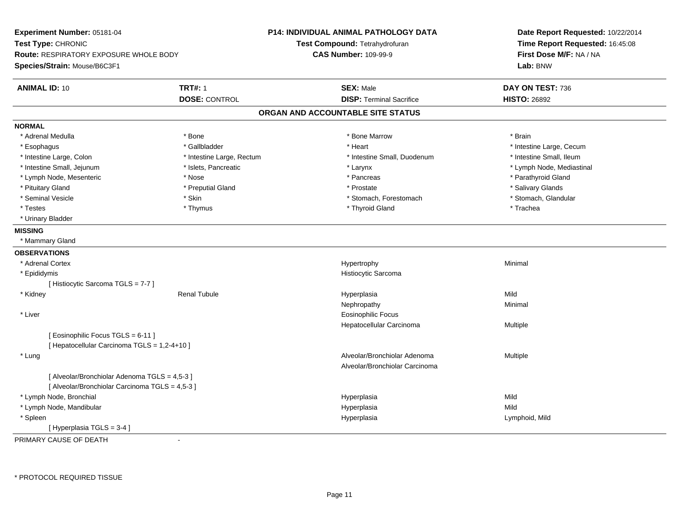| Experiment Number: 05181-04<br>Test Type: CHRONIC |                           | <b>P14: INDIVIDUAL ANIMAL PATHOLOGY DATA</b> | Date Report Requested: 10/22/2014 |  |
|---------------------------------------------------|---------------------------|----------------------------------------------|-----------------------------------|--|
|                                                   |                           | Test Compound: Tetrahydrofuran               | Time Report Requested: 16:45:08   |  |
| <b>Route: RESPIRATORY EXPOSURE WHOLE BODY</b>     |                           | <b>CAS Number: 109-99-9</b>                  | First Dose M/F: NA / NA           |  |
| Species/Strain: Mouse/B6C3F1                      |                           |                                              | Lab: BNW                          |  |
| <b>ANIMAL ID: 10</b>                              | <b>TRT#: 1</b>            | <b>SEX: Male</b>                             | DAY ON TEST: 736                  |  |
|                                                   | <b>DOSE: CONTROL</b>      | <b>DISP: Terminal Sacrifice</b>              | <b>HISTO: 26892</b>               |  |
|                                                   |                           | ORGAN AND ACCOUNTABLE SITE STATUS            |                                   |  |
| <b>NORMAL</b>                                     |                           |                                              |                                   |  |
| * Adrenal Medulla                                 | * Bone                    | * Bone Marrow                                | * Brain                           |  |
| * Esophagus                                       | * Gallbladder             | * Heart                                      | * Intestine Large, Cecum          |  |
| * Intestine Large, Colon                          | * Intestine Large, Rectum | * Intestine Small, Duodenum                  | * Intestine Small, Ileum          |  |
| * Intestine Small, Jejunum                        | * Islets, Pancreatic      | * Larynx                                     | * Lymph Node, Mediastinal         |  |
| * Lymph Node, Mesenteric                          | * Nose                    | * Pancreas                                   | * Parathyroid Gland               |  |
| * Pituitary Gland                                 | * Preputial Gland         | * Prostate                                   | * Salivary Glands                 |  |
| * Seminal Vesicle                                 | * Skin                    | * Stomach, Forestomach                       | * Stomach, Glandular              |  |
| * Testes                                          | * Thymus                  | * Thyroid Gland                              | * Trachea                         |  |
| * Urinary Bladder                                 |                           |                                              |                                   |  |
| <b>MISSING</b>                                    |                           |                                              |                                   |  |
| * Mammary Gland                                   |                           |                                              |                                   |  |
| <b>OBSERVATIONS</b>                               |                           |                                              |                                   |  |
| * Adrenal Cortex                                  |                           | Hypertrophy                                  | Minimal                           |  |
| * Epididymis                                      |                           | Histiocytic Sarcoma                          |                                   |  |
| [Histiocytic Sarcoma TGLS = 7-7]                  |                           |                                              |                                   |  |
| * Kidney                                          | <b>Renal Tubule</b>       | Hyperplasia                                  | Mild                              |  |
|                                                   |                           | Nephropathy                                  | Minimal                           |  |
| * Liver                                           |                           | <b>Eosinophilic Focus</b>                    |                                   |  |
|                                                   |                           | Hepatocellular Carcinoma                     | <b>Multiple</b>                   |  |
| [ Eosinophilic Focus TGLS = 6-11 ]                |                           |                                              |                                   |  |
| [ Hepatocellular Carcinoma TGLS = 1,2-4+10 ]      |                           |                                              |                                   |  |
| * Lung                                            |                           | Alveolar/Bronchiolar Adenoma                 | Multiple                          |  |
|                                                   |                           | Alveolar/Bronchiolar Carcinoma               |                                   |  |
| [ Alveolar/Bronchiolar Adenoma TGLS = 4,5-3 ]     |                           |                                              |                                   |  |
| [ Alveolar/Bronchiolar Carcinoma TGLS = 4,5-3 ]   |                           |                                              |                                   |  |
| * Lymph Node, Bronchial                           |                           | Hyperplasia                                  | Mild                              |  |
| * Lymph Node, Mandibular                          |                           | Hyperplasia                                  | Mild                              |  |
| * Spleen                                          |                           | Hyperplasia                                  | Lymphoid, Mild                    |  |
| [Hyperplasia TGLS = $3-4$ ]                       |                           |                                              |                                   |  |
|                                                   |                           |                                              |                                   |  |

PRIMARY CAUSE OF DEATH-

\* PROTOCOL REQUIRED TISSUE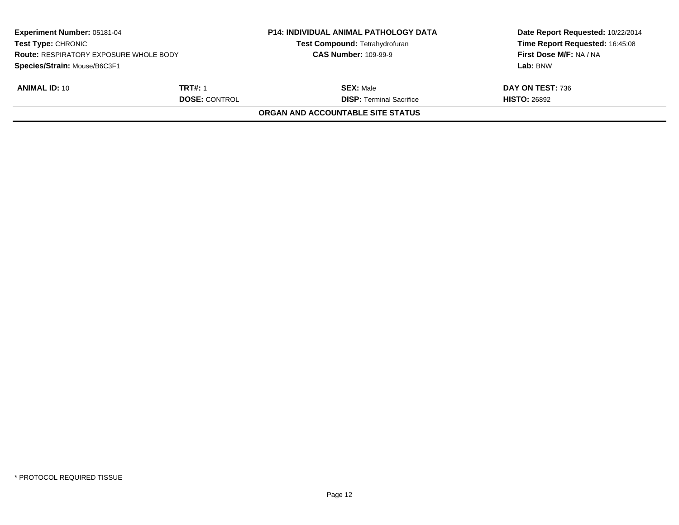| Experiment Number: 05181-04<br><b>Test Type: CHRONIC</b><br><b>Route: RESPIRATORY EXPOSURE WHOLE BODY</b><br>Species/Strain: Mouse/B6C3F1 |                | <b>P14: INDIVIDUAL ANIMAL PATHOLOGY DATA</b><br><b>Test Compound: Tetrahydrofuran</b><br><b>CAS Number: 109-99-9</b> | Date Report Requested: 10/22/2014<br>Time Report Requested: 16:45:08<br>First Dose M/F: NA / NA |  |
|-------------------------------------------------------------------------------------------------------------------------------------------|----------------|----------------------------------------------------------------------------------------------------------------------|-------------------------------------------------------------------------------------------------|--|
|                                                                                                                                           |                |                                                                                                                      | Lab: BNW                                                                                        |  |
| <b>ANIMAL ID: 10</b>                                                                                                                      | <b>TRT#: 1</b> | <b>SEX: Male</b>                                                                                                     | DAY ON TEST: 736                                                                                |  |
| <b>DOSE: CONTROL</b>                                                                                                                      |                | <b>DISP:</b> Terminal Sacrifice                                                                                      | <b>HISTO: 26892</b>                                                                             |  |
|                                                                                                                                           |                | <b>ORGAN AND ACCOUNTABLE SITE STATUS</b>                                                                             |                                                                                                 |  |
|                                                                                                                                           |                |                                                                                                                      |                                                                                                 |  |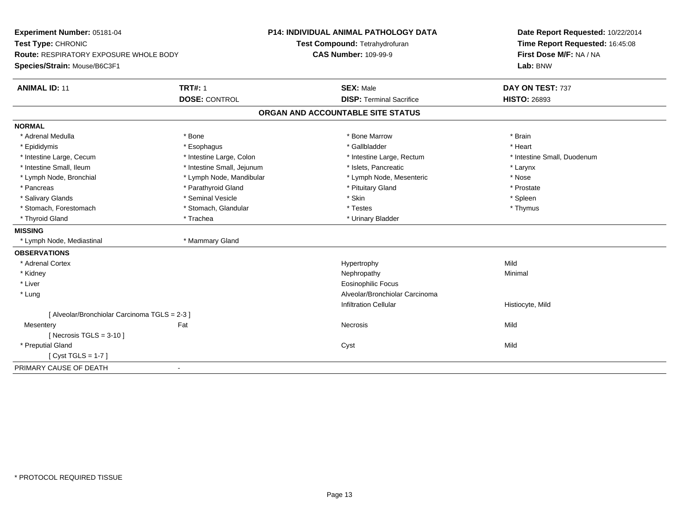| Experiment Number: 05181-04<br>Test Type: CHRONIC<br><b>Route: RESPIRATORY EXPOSURE WHOLE BODY</b> |                            | <b>P14: INDIVIDUAL ANIMAL PATHOLOGY DATA</b> | Date Report Requested: 10/22/2014<br>Time Report Requested: 16:45:08 |  |
|----------------------------------------------------------------------------------------------------|----------------------------|----------------------------------------------|----------------------------------------------------------------------|--|
|                                                                                                    |                            | Test Compound: Tetrahydrofuran               |                                                                      |  |
|                                                                                                    |                            | <b>CAS Number: 109-99-9</b>                  | First Dose M/F: NA / NA                                              |  |
| Species/Strain: Mouse/B6C3F1                                                                       |                            |                                              | Lab: BNW                                                             |  |
| <b>ANIMAL ID: 11</b>                                                                               | <b>TRT#: 1</b>             | <b>SEX: Male</b>                             | DAY ON TEST: 737                                                     |  |
|                                                                                                    | <b>DOSE: CONTROL</b>       | <b>DISP: Terminal Sacrifice</b>              | <b>HISTO: 26893</b>                                                  |  |
|                                                                                                    |                            | ORGAN AND ACCOUNTABLE SITE STATUS            |                                                                      |  |
| <b>NORMAL</b>                                                                                      |                            |                                              |                                                                      |  |
| * Adrenal Medulla                                                                                  | * Bone                     | * Bone Marrow                                | * Brain                                                              |  |
| * Epididymis                                                                                       | * Esophagus                | * Gallbladder                                | * Heart                                                              |  |
| * Intestine Large, Cecum                                                                           | * Intestine Large, Colon   | * Intestine Large, Rectum                    | * Intestine Small, Duodenum                                          |  |
| * Intestine Small, Ileum                                                                           | * Intestine Small, Jejunum | * Islets, Pancreatic                         | * Larynx                                                             |  |
| * Lymph Node, Bronchial                                                                            | * Lymph Node, Mandibular   | * Lymph Node, Mesenteric                     | * Nose                                                               |  |
| * Pancreas                                                                                         | * Parathyroid Gland        | * Pituitary Gland                            | * Prostate                                                           |  |
| * Salivary Glands                                                                                  | * Seminal Vesicle          | * Skin                                       | * Spleen                                                             |  |
| * Stomach, Forestomach                                                                             | * Stomach, Glandular       | * Testes                                     | * Thymus                                                             |  |
| * Thyroid Gland                                                                                    | * Trachea                  | * Urinary Bladder                            |                                                                      |  |
| <b>MISSING</b>                                                                                     |                            |                                              |                                                                      |  |
| * Lymph Node, Mediastinal                                                                          | * Mammary Gland            |                                              |                                                                      |  |
| <b>OBSERVATIONS</b>                                                                                |                            |                                              |                                                                      |  |
| * Adrenal Cortex                                                                                   |                            | Hypertrophy                                  | Mild                                                                 |  |
| * Kidney                                                                                           |                            | Nephropathy                                  | Minimal                                                              |  |
| * Liver                                                                                            |                            | <b>Eosinophilic Focus</b>                    |                                                                      |  |
| * Lung                                                                                             |                            | Alveolar/Bronchiolar Carcinoma               |                                                                      |  |
|                                                                                                    |                            | <b>Infiltration Cellular</b>                 | Histiocyte, Mild                                                     |  |
| [ Alveolar/Bronchiolar Carcinoma TGLS = 2-3 ]                                                      |                            |                                              |                                                                      |  |
| Mesentery                                                                                          | Fat                        | Necrosis                                     | Mild                                                                 |  |
| [Necrosis TGLS = $3-10$ ]                                                                          |                            |                                              |                                                                      |  |
| * Preputial Gland                                                                                  |                            | Cyst                                         | Mild                                                                 |  |
| [ $Cyst TGLS = 1-7$ ]                                                                              |                            |                                              |                                                                      |  |
| PRIMARY CAUSE OF DEATH                                                                             |                            |                                              |                                                                      |  |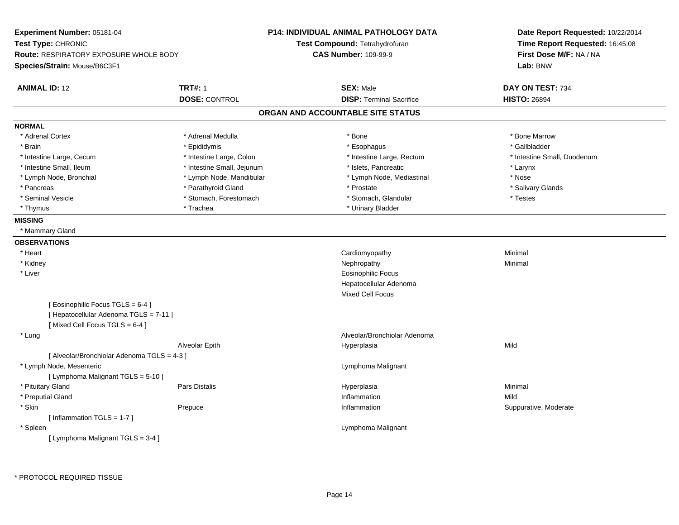| Experiment Number: 05181-04<br>Test Type: CHRONIC<br>Route: RESPIRATORY EXPOSURE WHOLE BODY<br>Species/Strain: Mouse/B6C3F1 |                            | P14: INDIVIDUAL ANIMAL PATHOLOGY DATA<br>Test Compound: Tetrahydrofuran<br><b>CAS Number: 109-99-9</b> | Date Report Requested: 10/22/2014<br>Time Report Requested: 16:45:08<br>First Dose M/F: NA / NA<br>Lab: BNW |
|-----------------------------------------------------------------------------------------------------------------------------|----------------------------|--------------------------------------------------------------------------------------------------------|-------------------------------------------------------------------------------------------------------------|
| <b>ANIMAL ID: 12</b>                                                                                                        | <b>TRT#: 1</b>             | <b>SEX: Male</b>                                                                                       | DAY ON TEST: 734                                                                                            |
|                                                                                                                             | <b>DOSE: CONTROL</b>       | <b>DISP: Terminal Sacrifice</b>                                                                        | <b>HISTO: 26894</b>                                                                                         |
|                                                                                                                             |                            | ORGAN AND ACCOUNTABLE SITE STATUS                                                                      |                                                                                                             |
| <b>NORMAL</b>                                                                                                               |                            |                                                                                                        |                                                                                                             |
| * Adrenal Cortex                                                                                                            | * Adrenal Medulla          | * Bone                                                                                                 | * Bone Marrow                                                                                               |
| * Brain                                                                                                                     | * Epididymis               | * Esophagus                                                                                            | * Gallbladder                                                                                               |
| * Intestine Large, Cecum                                                                                                    | * Intestine Large, Colon   | * Intestine Large, Rectum                                                                              | * Intestine Small, Duodenum                                                                                 |
| * Intestine Small, Ileum                                                                                                    | * Intestine Small, Jejunum | * Islets, Pancreatic                                                                                   | * Larynx                                                                                                    |
| * Lymph Node, Bronchial                                                                                                     | * Lymph Node, Mandibular   | * Lymph Node, Mediastinal                                                                              | * Nose                                                                                                      |
| * Pancreas                                                                                                                  | * Parathyroid Gland        | * Prostate                                                                                             | * Salivary Glands                                                                                           |
| * Seminal Vesicle                                                                                                           | * Stomach, Forestomach     | * Stomach, Glandular                                                                                   | * Testes                                                                                                    |
| * Thymus                                                                                                                    | * Trachea                  | * Urinary Bladder                                                                                      |                                                                                                             |
| <b>MISSING</b>                                                                                                              |                            |                                                                                                        |                                                                                                             |
| * Mammary Gland                                                                                                             |                            |                                                                                                        |                                                                                                             |
| <b>OBSERVATIONS</b>                                                                                                         |                            |                                                                                                        |                                                                                                             |
| * Heart                                                                                                                     |                            | Cardiomyopathy                                                                                         | Minimal                                                                                                     |
| * Kidney                                                                                                                    |                            | Nephropathy                                                                                            | Minimal                                                                                                     |
| * Liver                                                                                                                     |                            | <b>Eosinophilic Focus</b>                                                                              |                                                                                                             |
|                                                                                                                             |                            | Hepatocellular Adenoma                                                                                 |                                                                                                             |
|                                                                                                                             |                            | Mixed Cell Focus                                                                                       |                                                                                                             |
| [ Eosinophilic Focus TGLS = 6-4 ]<br>[ Hepatocellular Adenoma TGLS = 7-11 ]<br>[Mixed Cell Focus TGLS = 6-4]                |                            |                                                                                                        |                                                                                                             |
| * Lung                                                                                                                      |                            | Alveolar/Bronchiolar Adenoma                                                                           |                                                                                                             |
|                                                                                                                             | Alveolar Epith             | Hyperplasia                                                                                            | Mild                                                                                                        |
| [ Alveolar/Bronchiolar Adenoma TGLS = 4-3 ]                                                                                 |                            |                                                                                                        |                                                                                                             |
| * Lymph Node, Mesenteric                                                                                                    |                            | Lymphoma Malignant                                                                                     |                                                                                                             |
| [ Lymphoma Malignant TGLS = 5-10 ]                                                                                          |                            |                                                                                                        |                                                                                                             |
| * Pituitary Gland                                                                                                           | Pars Distalis              | Hyperplasia                                                                                            | Minimal                                                                                                     |
| * Preputial Gland                                                                                                           |                            | Inflammation                                                                                           | Mild                                                                                                        |
| * Skin                                                                                                                      | Prepuce                    | Inflammation                                                                                           | Suppurative, Moderate                                                                                       |
| [Inflammation $TGLS = 1-7$ ]                                                                                                |                            |                                                                                                        |                                                                                                             |
| * Spleen                                                                                                                    |                            | Lymphoma Malignant                                                                                     |                                                                                                             |
| [ Lymphoma Malignant TGLS = 3-4 ]                                                                                           |                            |                                                                                                        |                                                                                                             |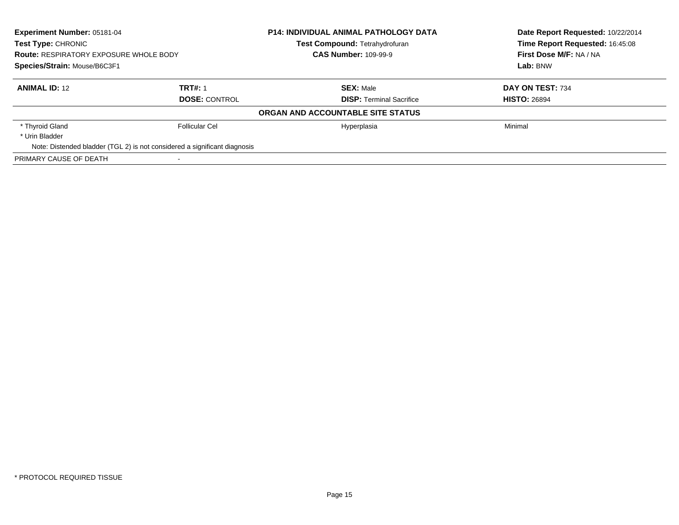| Experiment Number: 05181-04<br><b>Test Type: CHRONIC</b><br><b>Route: RESPIRATORY EXPOSURE WHOLE BODY</b><br>Species/Strain: Mouse/B6C3F1 |                                                                           | <b>P14: INDIVIDUAL ANIMAL PATHOLOGY DATA</b> | Date Report Requested: 10/22/2014 |  |
|-------------------------------------------------------------------------------------------------------------------------------------------|---------------------------------------------------------------------------|----------------------------------------------|-----------------------------------|--|
|                                                                                                                                           |                                                                           | <b>Test Compound: Tetrahydrofuran</b>        | Time Report Requested: 16:45:08   |  |
|                                                                                                                                           |                                                                           | <b>CAS Number: 109-99-9</b>                  | First Dose M/F: NA / NA           |  |
|                                                                                                                                           |                                                                           |                                              | Lab: BNW                          |  |
| <b>ANIMAL ID: 12</b>                                                                                                                      | <b>TRT#: 1</b>                                                            | <b>SEX: Male</b>                             | DAY ON TEST: 734                  |  |
| <b>DOSE: CONTROL</b>                                                                                                                      |                                                                           | <b>DISP:</b> Terminal Sacrifice              | <b>HISTO: 26894</b>               |  |
|                                                                                                                                           |                                                                           | ORGAN AND ACCOUNTABLE SITE STATUS            |                                   |  |
| * Thyroid Gland                                                                                                                           | Follicular Cel                                                            | Hyperplasia                                  | Minimal                           |  |
| * Urin Bladder                                                                                                                            |                                                                           |                                              |                                   |  |
|                                                                                                                                           | Note: Distended bladder (TGL 2) is not considered a significant diagnosis |                                              |                                   |  |
| PRIMARY CAUSE OF DEATH                                                                                                                    |                                                                           |                                              |                                   |  |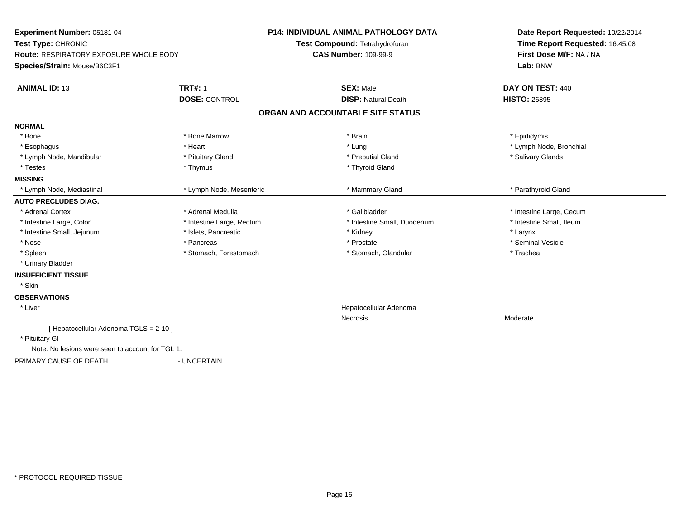| Experiment Number: 05181-04<br>Test Type: CHRONIC<br>Route: RESPIRATORY EXPOSURE WHOLE BODY<br>Species/Strain: Mouse/B6C3F1 |                           | <b>P14: INDIVIDUAL ANIMAL PATHOLOGY DATA</b><br>Test Compound: Tetrahydrofuran<br><b>CAS Number: 109-99-9</b> | Date Report Requested: 10/22/2014<br>Time Report Requested: 16:45:08<br>First Dose M/F: NA / NA<br>Lab: BNW |
|-----------------------------------------------------------------------------------------------------------------------------|---------------------------|---------------------------------------------------------------------------------------------------------------|-------------------------------------------------------------------------------------------------------------|
| <b>ANIMAL ID: 13</b>                                                                                                        | <b>TRT#: 1</b>            | <b>SEX: Male</b>                                                                                              | DAY ON TEST: 440                                                                                            |
|                                                                                                                             | <b>DOSE: CONTROL</b>      | <b>DISP: Natural Death</b>                                                                                    | <b>HISTO: 26895</b>                                                                                         |
|                                                                                                                             |                           | ORGAN AND ACCOUNTABLE SITE STATUS                                                                             |                                                                                                             |
| <b>NORMAL</b>                                                                                                               |                           |                                                                                                               |                                                                                                             |
| * Bone                                                                                                                      | * Bone Marrow             | * Brain                                                                                                       | * Epididymis                                                                                                |
| * Esophagus                                                                                                                 | * Heart                   | * Lung                                                                                                        | * Lymph Node, Bronchial                                                                                     |
| * Lymph Node, Mandibular                                                                                                    | * Pituitary Gland         | * Preputial Gland                                                                                             | * Salivary Glands                                                                                           |
| * Testes                                                                                                                    | * Thymus                  | * Thyroid Gland                                                                                               |                                                                                                             |
| <b>MISSING</b>                                                                                                              |                           |                                                                                                               |                                                                                                             |
| * Lymph Node, Mediastinal                                                                                                   | * Lymph Node, Mesenteric  | * Mammary Gland                                                                                               | * Parathyroid Gland                                                                                         |
| <b>AUTO PRECLUDES DIAG.</b>                                                                                                 |                           |                                                                                                               |                                                                                                             |
| * Adrenal Cortex                                                                                                            | * Adrenal Medulla         | * Gallbladder                                                                                                 | * Intestine Large, Cecum                                                                                    |
| * Intestine Large, Colon                                                                                                    | * Intestine Large, Rectum | * Intestine Small, Duodenum                                                                                   | * Intestine Small, Ileum                                                                                    |
| * Intestine Small, Jejunum                                                                                                  | * Islets, Pancreatic      | * Kidney                                                                                                      | * Larynx                                                                                                    |
| * Nose                                                                                                                      | * Pancreas                | * Prostate                                                                                                    | * Seminal Vesicle                                                                                           |
| * Spleen                                                                                                                    | * Stomach, Forestomach    | * Stomach, Glandular                                                                                          | * Trachea                                                                                                   |
| * Urinary Bladder                                                                                                           |                           |                                                                                                               |                                                                                                             |
| <b>INSUFFICIENT TISSUE</b>                                                                                                  |                           |                                                                                                               |                                                                                                             |
| * Skin                                                                                                                      |                           |                                                                                                               |                                                                                                             |
| <b>OBSERVATIONS</b>                                                                                                         |                           |                                                                                                               |                                                                                                             |
| * Liver                                                                                                                     |                           | Hepatocellular Adenoma                                                                                        |                                                                                                             |
|                                                                                                                             |                           | <b>Necrosis</b>                                                                                               | Moderate                                                                                                    |
| [ Hepatocellular Adenoma TGLS = 2-10 ]                                                                                      |                           |                                                                                                               |                                                                                                             |
| * Pituitary Gl                                                                                                              |                           |                                                                                                               |                                                                                                             |
| Note: No lesions were seen to account for TGL 1.                                                                            |                           |                                                                                                               |                                                                                                             |
| PRIMARY CAUSE OF DEATH                                                                                                      | - UNCERTAIN               |                                                                                                               |                                                                                                             |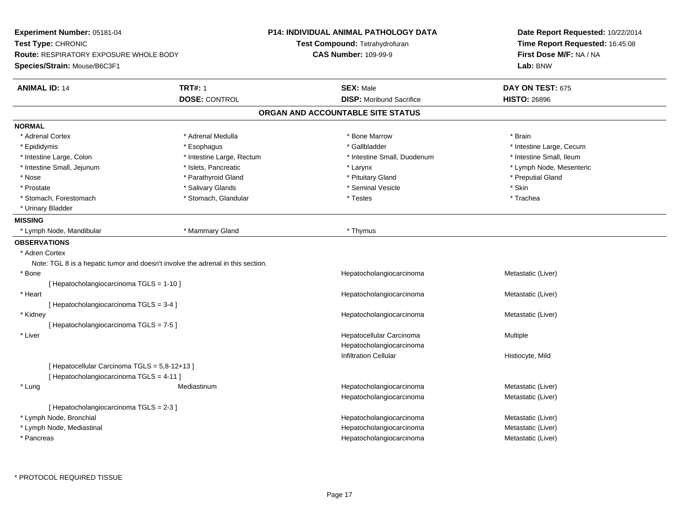| Experiment Number: 05181-04                   |                                                                                 | <b>P14: INDIVIDUAL ANIMAL PATHOLOGY DATA</b> | Date Report Requested: 10/22/2014                                      |  |
|-----------------------------------------------|---------------------------------------------------------------------------------|----------------------------------------------|------------------------------------------------------------------------|--|
| Test Type: CHRONIC                            |                                                                                 | Test Compound: Tetrahydrofuran               | Time Report Requested: 16:45:08<br>First Dose M/F: NA / NA<br>Lab: BNW |  |
| Route: RESPIRATORY EXPOSURE WHOLE BODY        |                                                                                 | <b>CAS Number: 109-99-9</b>                  |                                                                        |  |
| Species/Strain: Mouse/B6C3F1                  |                                                                                 |                                              |                                                                        |  |
| <b>ANIMAL ID: 14</b>                          | <b>TRT#: 1</b>                                                                  | <b>SEX: Male</b>                             | DAY ON TEST: 675                                                       |  |
|                                               | <b>DOSE: CONTROL</b>                                                            | <b>DISP:</b> Moribund Sacrifice              | <b>HISTO: 26896</b>                                                    |  |
|                                               |                                                                                 | ORGAN AND ACCOUNTABLE SITE STATUS            |                                                                        |  |
| <b>NORMAL</b>                                 |                                                                                 |                                              |                                                                        |  |
| * Adrenal Cortex                              | * Adrenal Medulla                                                               | * Bone Marrow                                | * Brain                                                                |  |
| * Epididymis                                  | * Esophagus                                                                     | * Gallbladder                                | * Intestine Large, Cecum                                               |  |
| * Intestine Large, Colon                      | * Intestine Large, Rectum                                                       | * Intestine Small, Duodenum                  | * Intestine Small, Ileum                                               |  |
| * Intestine Small, Jejunum                    | * Islets, Pancreatic                                                            | * Larynx                                     | * Lymph Node, Mesenteric                                               |  |
| * Nose                                        | * Parathyroid Gland                                                             | * Pituitary Gland                            | * Preputial Gland                                                      |  |
| * Prostate                                    | * Salivary Glands                                                               | * Seminal Vesicle                            | * Skin                                                                 |  |
| * Stomach, Forestomach                        | * Stomach, Glandular                                                            | * Testes                                     | * Trachea                                                              |  |
| * Urinary Bladder                             |                                                                                 |                                              |                                                                        |  |
| <b>MISSING</b>                                |                                                                                 |                                              |                                                                        |  |
| * Lymph Node, Mandibular                      | * Mammary Gland                                                                 | * Thymus                                     |                                                                        |  |
| <b>OBSERVATIONS</b>                           |                                                                                 |                                              |                                                                        |  |
| * Adren Cortex                                |                                                                                 |                                              |                                                                        |  |
|                                               | Note: TGL 8 is a hepatic tumor and doesn't involve the adrenal in this section. |                                              |                                                                        |  |
| $*$ Bone                                      |                                                                                 | Hepatocholangiocarcinoma                     | Metastatic (Liver)                                                     |  |
| [ Hepatocholangiocarcinoma TGLS = 1-10 ]      |                                                                                 |                                              |                                                                        |  |
| * Heart                                       |                                                                                 | Hepatocholangiocarcinoma                     | Metastatic (Liver)                                                     |  |
| [ Hepatocholangiocarcinoma TGLS = 3-4 ]       |                                                                                 |                                              |                                                                        |  |
| * Kidney                                      |                                                                                 | Hepatocholangiocarcinoma                     | Metastatic (Liver)                                                     |  |
| [Hepatocholangiocarcinoma TGLS = 7-5]         |                                                                                 |                                              |                                                                        |  |
| * Liver                                       |                                                                                 | Hepatocellular Carcinoma                     | Multiple                                                               |  |
|                                               |                                                                                 | Hepatocholangiocarcinoma                     |                                                                        |  |
|                                               |                                                                                 | Infiltration Cellular                        | Histiocyte, Mild                                                       |  |
| [ Hepatocellular Carcinoma TGLS = 5,8-12+13 ] |                                                                                 |                                              |                                                                        |  |
| [Hepatocholangiocarcinoma TGLS = 4-11]        |                                                                                 |                                              |                                                                        |  |
| * Lung                                        | Mediastinum                                                                     | Hepatocholangiocarcinoma                     | Metastatic (Liver)                                                     |  |
|                                               |                                                                                 | Hepatocholangiocarcinoma                     | Metastatic (Liver)                                                     |  |
| [ Hepatocholangiocarcinoma TGLS = 2-3 ]       |                                                                                 |                                              |                                                                        |  |
| * Lymph Node, Bronchial                       |                                                                                 | Hepatocholangiocarcinoma                     | Metastatic (Liver)                                                     |  |
| * Lymph Node, Mediastinal                     |                                                                                 | Hepatocholangiocarcinoma                     | Metastatic (Liver)                                                     |  |
| * Pancreas                                    |                                                                                 | Hepatocholangiocarcinoma                     | Metastatic (Liver)                                                     |  |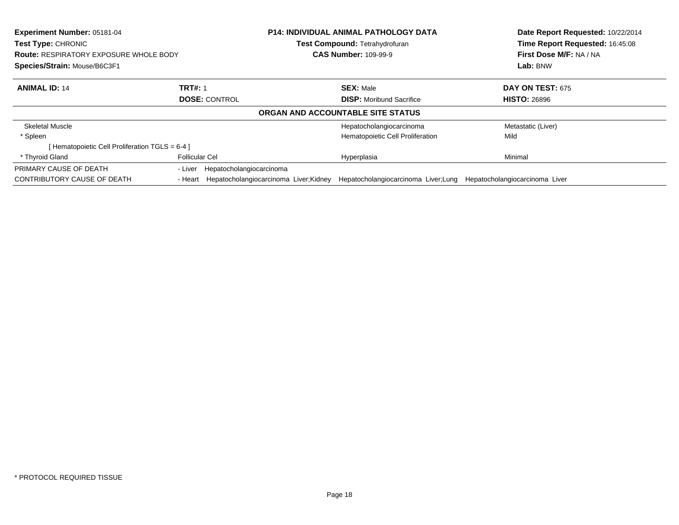| <b>Experiment Number: 05181-04</b><br>Test Type: CHRONIC<br><b>Route: RESPIRATORY EXPOSURE WHOLE BODY</b><br>Species/Strain: Mouse/B6C3F1 |                                                | <b>P14: INDIVIDUAL ANIMAL PATHOLOGY DATA</b><br>Test Compound: Tetrahydrofuran<br><b>CAS Number: 109-99-9</b> |                                      | Date Report Requested: 10/22/2014<br>Time Report Requested: 16:45:08<br>First Dose M/F: NA / NA<br>Lab: BNW |  |
|-------------------------------------------------------------------------------------------------------------------------------------------|------------------------------------------------|---------------------------------------------------------------------------------------------------------------|--------------------------------------|-------------------------------------------------------------------------------------------------------------|--|
|                                                                                                                                           |                                                |                                                                                                               |                                      |                                                                                                             |  |
|                                                                                                                                           | <b>DOSE: CONTROL</b>                           | <b>DISP:</b> Moribund Sacrifice                                                                               |                                      | <b>HISTO: 26896</b>                                                                                         |  |
|                                                                                                                                           |                                                | ORGAN AND ACCOUNTABLE SITE STATUS                                                                             |                                      |                                                                                                             |  |
| <b>Skeletal Muscle</b>                                                                                                                    |                                                | Hepatocholangiocarcinoma                                                                                      |                                      | Metastatic (Liver)                                                                                          |  |
| * Spleen                                                                                                                                  |                                                | Hematopoietic Cell Proliferation                                                                              |                                      | Mild                                                                                                        |  |
| [Hematopoietic Cell Proliferation TGLS = 6-4 ]                                                                                            |                                                |                                                                                                               |                                      |                                                                                                             |  |
| * Thyroid Gland                                                                                                                           | <b>Follicular Cel</b>                          | Hyperplasia                                                                                                   |                                      | Minimal                                                                                                     |  |
| PRIMARY CAUSE OF DEATH                                                                                                                    | Hepatocholangiocarcinoma<br>- Liver            |                                                                                                               |                                      |                                                                                                             |  |
| CONTRIBUTORY CAUSE OF DEATH                                                                                                               | - Heart Hepatocholangiocarcinoma Liver; Kidney |                                                                                                               | Hepatocholangiocarcinoma Liver; Lung | Hepatocholangiocarcinoma Liver                                                                              |  |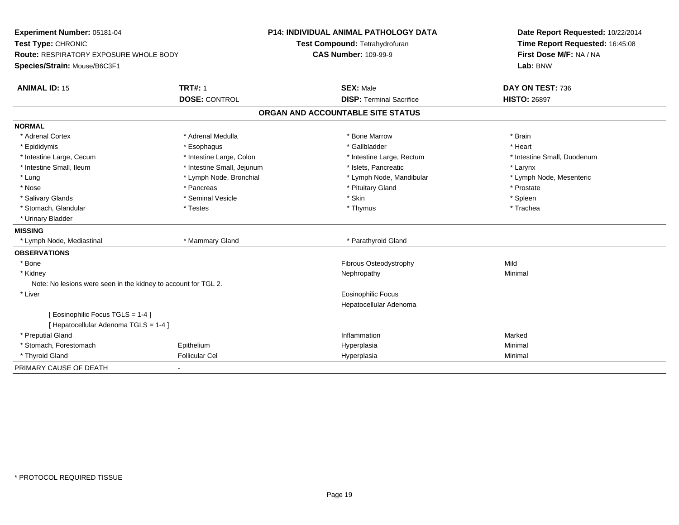| Experiment Number: 05181-04<br>Test Type: CHRONIC              |                            | <b>P14: INDIVIDUAL ANIMAL PATHOLOGY DATA</b><br>Test Compound: Tetrahydrofuran | Date Report Requested: 10/22/2014<br>Time Report Requested: 16:45:08 |  |
|----------------------------------------------------------------|----------------------------|--------------------------------------------------------------------------------|----------------------------------------------------------------------|--|
| Route: RESPIRATORY EXPOSURE WHOLE BODY                         |                            | <b>CAS Number: 109-99-9</b>                                                    | First Dose M/F: NA / NA<br>Lab: BNW                                  |  |
| Species/Strain: Mouse/B6C3F1                                   |                            |                                                                                |                                                                      |  |
| <b>ANIMAL ID: 15</b>                                           | <b>TRT#: 1</b>             | <b>SEX: Male</b>                                                               | DAY ON TEST: 736                                                     |  |
|                                                                | <b>DOSE: CONTROL</b>       | <b>DISP: Terminal Sacrifice</b>                                                | <b>HISTO: 26897</b>                                                  |  |
|                                                                |                            | ORGAN AND ACCOUNTABLE SITE STATUS                                              |                                                                      |  |
| <b>NORMAL</b>                                                  |                            |                                                                                |                                                                      |  |
| * Adrenal Cortex                                               | * Adrenal Medulla          | * Bone Marrow                                                                  | * Brain                                                              |  |
| * Epididymis                                                   | * Esophagus                | * Gallbladder                                                                  | * Heart                                                              |  |
| * Intestine Large, Cecum                                       | * Intestine Large, Colon   | * Intestine Large, Rectum                                                      | * Intestine Small, Duodenum                                          |  |
| * Intestine Small, Ileum                                       | * Intestine Small, Jejunum | * Islets, Pancreatic                                                           | * Larynx                                                             |  |
| * Lung                                                         | * Lymph Node, Bronchial    | * Lymph Node, Mandibular                                                       | * Lymph Node, Mesenteric                                             |  |
| * Nose                                                         | * Pancreas                 | * Pituitary Gland                                                              | * Prostate                                                           |  |
| * Salivary Glands                                              | * Seminal Vesicle          | * Skin                                                                         | * Spleen                                                             |  |
| * Stomach, Glandular                                           | * Testes                   | * Thymus                                                                       | * Trachea                                                            |  |
| * Urinary Bladder                                              |                            |                                                                                |                                                                      |  |
| <b>MISSING</b>                                                 |                            |                                                                                |                                                                      |  |
| * Lymph Node, Mediastinal                                      | * Mammary Gland            | * Parathyroid Gland                                                            |                                                                      |  |
| <b>OBSERVATIONS</b>                                            |                            |                                                                                |                                                                      |  |
| * Bone                                                         |                            | Fibrous Osteodystrophy                                                         | Mild                                                                 |  |
| * Kidney                                                       |                            | Nephropathy                                                                    | Minimal                                                              |  |
| Note: No lesions were seen in the kidney to account for TGL 2. |                            |                                                                                |                                                                      |  |
| * Liver                                                        |                            | <b>Eosinophilic Focus</b>                                                      |                                                                      |  |
|                                                                |                            | Hepatocellular Adenoma                                                         |                                                                      |  |
| [Eosinophilic Focus TGLS = 1-4]                                |                            |                                                                                |                                                                      |  |
| [ Hepatocellular Adenoma TGLS = 1-4 ]                          |                            |                                                                                |                                                                      |  |
| * Preputial Gland                                              |                            | Inflammation                                                                   | Marked                                                               |  |
| * Stomach, Forestomach                                         | Epithelium                 | Hyperplasia                                                                    | Minimal                                                              |  |
| * Thyroid Gland                                                | <b>Follicular Cel</b>      | Hyperplasia                                                                    | Minimal                                                              |  |
| PRIMARY CAUSE OF DEATH                                         |                            |                                                                                |                                                                      |  |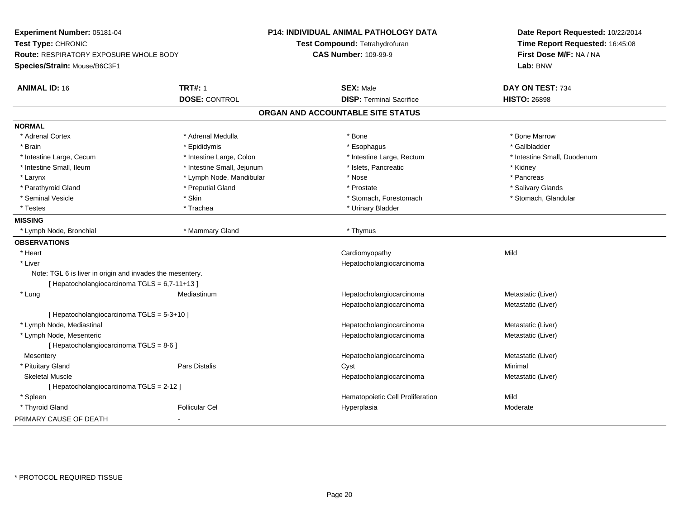| Experiment Number: 05181-04<br>Test Type: CHRONIC<br>Route: RESPIRATORY EXPOSURE WHOLE BODY |                            | <b>P14: INDIVIDUAL ANIMAL PATHOLOGY DATA</b> | Date Report Requested: 10/22/2014<br>Time Report Requested: 16:45:08<br>First Dose M/F: NA / NA |  |
|---------------------------------------------------------------------------------------------|----------------------------|----------------------------------------------|-------------------------------------------------------------------------------------------------|--|
|                                                                                             |                            | Test Compound: Tetrahydrofuran               |                                                                                                 |  |
|                                                                                             |                            | <b>CAS Number: 109-99-9</b>                  |                                                                                                 |  |
| Species/Strain: Mouse/B6C3F1                                                                |                            |                                              | Lab: BNW                                                                                        |  |
| <b>ANIMAL ID: 16</b>                                                                        | <b>TRT#: 1</b>             | <b>SEX: Male</b>                             | DAY ON TEST: 734                                                                                |  |
|                                                                                             | <b>DOSE: CONTROL</b>       | <b>DISP: Terminal Sacrifice</b>              | <b>HISTO: 26898</b>                                                                             |  |
|                                                                                             |                            | ORGAN AND ACCOUNTABLE SITE STATUS            |                                                                                                 |  |
| <b>NORMAL</b>                                                                               |                            |                                              |                                                                                                 |  |
| * Adrenal Cortex                                                                            | * Adrenal Medulla          | * Bone                                       | * Bone Marrow                                                                                   |  |
| * Brain                                                                                     | * Epididymis               | * Esophagus                                  | * Gallbladder                                                                                   |  |
| * Intestine Large, Cecum                                                                    | * Intestine Large, Colon   | * Intestine Large, Rectum                    | * Intestine Small, Duodenum                                                                     |  |
| * Intestine Small, Ileum                                                                    | * Intestine Small, Jejunum | * Islets, Pancreatic                         | * Kidney                                                                                        |  |
| * Larynx                                                                                    | * Lymph Node, Mandibular   | * Nose                                       | * Pancreas                                                                                      |  |
| * Parathyroid Gland                                                                         | * Preputial Gland          | * Prostate                                   | * Salivary Glands                                                                               |  |
| * Seminal Vesicle                                                                           | * Skin                     | * Stomach, Forestomach                       | * Stomach, Glandular                                                                            |  |
| * Testes                                                                                    | * Trachea                  | * Urinary Bladder                            |                                                                                                 |  |
| <b>MISSING</b>                                                                              |                            |                                              |                                                                                                 |  |
| * Lymph Node, Bronchial                                                                     | * Mammary Gland            | * Thymus                                     |                                                                                                 |  |
| <b>OBSERVATIONS</b>                                                                         |                            |                                              |                                                                                                 |  |
| * Heart                                                                                     |                            | Cardiomyopathy                               | Mild                                                                                            |  |
| * Liver                                                                                     |                            | Hepatocholangiocarcinoma                     |                                                                                                 |  |
| Note: TGL 6 is liver in origin and invades the mesentery.                                   |                            |                                              |                                                                                                 |  |
| [ Hepatocholangiocarcinoma TGLS = 6,7-11+13 ]                                               |                            |                                              |                                                                                                 |  |
| * Lung                                                                                      | Mediastinum                | Hepatocholangiocarcinoma                     | Metastatic (Liver)                                                                              |  |
|                                                                                             |                            | Hepatocholangiocarcinoma                     | Metastatic (Liver)                                                                              |  |
| [ Hepatocholangiocarcinoma TGLS = 5-3+10 ]                                                  |                            |                                              |                                                                                                 |  |
| * Lymph Node, Mediastinal                                                                   |                            | Hepatocholangiocarcinoma                     | Metastatic (Liver)                                                                              |  |
| * Lymph Node, Mesenteric                                                                    |                            | Hepatocholangiocarcinoma                     | Metastatic (Liver)                                                                              |  |
| [ Hepatocholangiocarcinoma TGLS = 8-6 ]                                                     |                            |                                              |                                                                                                 |  |
| Mesentery                                                                                   |                            | Hepatocholangiocarcinoma                     | Metastatic (Liver)                                                                              |  |
| * Pituitary Gland                                                                           | Pars Distalis              | Cyst                                         | Minimal                                                                                         |  |
| <b>Skeletal Muscle</b>                                                                      |                            | Hepatocholangiocarcinoma                     | Metastatic (Liver)                                                                              |  |
| [ Hepatocholangiocarcinoma TGLS = 2-12 ]                                                    |                            |                                              |                                                                                                 |  |
| * Spleen                                                                                    |                            | Hematopoietic Cell Proliferation             | Mild                                                                                            |  |
| * Thyroid Gland                                                                             | <b>Follicular Cel</b>      | Hyperplasia                                  | Moderate                                                                                        |  |
| PRIMARY CAUSE OF DEATH                                                                      |                            |                                              |                                                                                                 |  |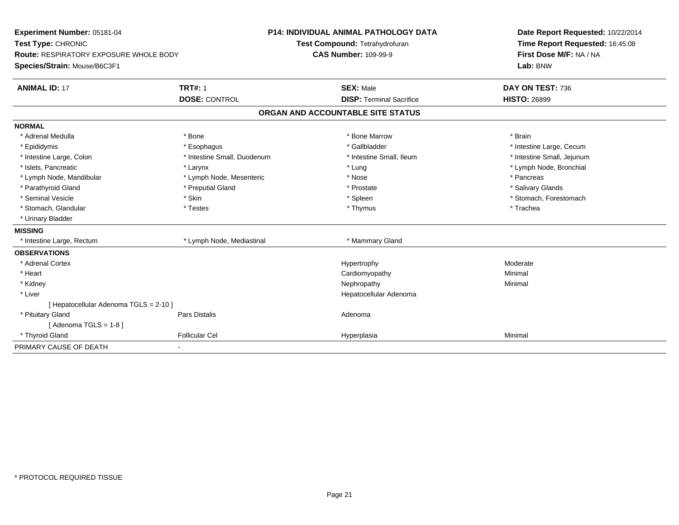| Experiment Number: 05181-04<br>Test Type: CHRONIC<br><b>Route: RESPIRATORY EXPOSURE WHOLE BODY</b><br>Species/Strain: Mouse/B6C3F1 |                             | <b>P14: INDIVIDUAL ANIMAL PATHOLOGY DATA</b><br>Test Compound: Tetrahydrofuran<br><b>CAS Number: 109-99-9</b> | Date Report Requested: 10/22/2014<br>Time Report Requested: 16:45:08<br>First Dose M/F: NA / NA<br>Lab: BNW |
|------------------------------------------------------------------------------------------------------------------------------------|-----------------------------|---------------------------------------------------------------------------------------------------------------|-------------------------------------------------------------------------------------------------------------|
|                                                                                                                                    |                             |                                                                                                               |                                                                                                             |
| <b>ANIMAL ID: 17</b>                                                                                                               | <b>TRT#: 1</b>              | <b>SEX: Male</b>                                                                                              | DAY ON TEST: 736                                                                                            |
|                                                                                                                                    | <b>DOSE: CONTROL</b>        | <b>DISP: Terminal Sacrifice</b>                                                                               | <b>HISTO: 26899</b>                                                                                         |
|                                                                                                                                    |                             | ORGAN AND ACCOUNTABLE SITE STATUS                                                                             |                                                                                                             |
| <b>NORMAL</b>                                                                                                                      |                             |                                                                                                               |                                                                                                             |
| * Adrenal Medulla                                                                                                                  | * Bone                      | * Bone Marrow                                                                                                 | * Brain                                                                                                     |
| * Epididymis                                                                                                                       | * Esophagus                 | * Gallbladder                                                                                                 | * Intestine Large, Cecum                                                                                    |
| * Intestine Large, Colon                                                                                                           | * Intestine Small, Duodenum | * Intestine Small, Ileum                                                                                      | * Intestine Small, Jejunum                                                                                  |
| * Islets, Pancreatic                                                                                                               | * Larynx                    | * Lung                                                                                                        | * Lymph Node, Bronchial                                                                                     |
| * Lymph Node, Mandibular                                                                                                           | * Lymph Node, Mesenteric    | * Nose                                                                                                        | * Pancreas                                                                                                  |
| * Parathyroid Gland                                                                                                                | * Preputial Gland           | * Prostate                                                                                                    | * Salivary Glands                                                                                           |
| * Seminal Vesicle                                                                                                                  | * Skin                      | * Spleen                                                                                                      | * Stomach, Forestomach                                                                                      |
| * Stomach, Glandular                                                                                                               | * Testes                    | * Thymus                                                                                                      | * Trachea                                                                                                   |
| * Urinary Bladder                                                                                                                  |                             |                                                                                                               |                                                                                                             |
| <b>MISSING</b>                                                                                                                     |                             |                                                                                                               |                                                                                                             |
| * Intestine Large, Rectum                                                                                                          | * Lymph Node, Mediastinal   | * Mammary Gland                                                                                               |                                                                                                             |
| <b>OBSERVATIONS</b>                                                                                                                |                             |                                                                                                               |                                                                                                             |
| * Adrenal Cortex                                                                                                                   |                             | Hypertrophy                                                                                                   | Moderate                                                                                                    |
| * Heart                                                                                                                            |                             | Cardiomyopathy                                                                                                | Minimal                                                                                                     |
| * Kidney                                                                                                                           |                             | Nephropathy                                                                                                   | Minimal                                                                                                     |
| * Liver                                                                                                                            |                             | Hepatocellular Adenoma                                                                                        |                                                                                                             |
| [Hepatocellular Adenoma TGLS = 2-10]                                                                                               |                             |                                                                                                               |                                                                                                             |
| * Pituitary Gland                                                                                                                  | Pars Distalis               | Adenoma                                                                                                       |                                                                                                             |
| [Adenoma TGLS = $1-8$ ]                                                                                                            |                             |                                                                                                               |                                                                                                             |
| * Thyroid Gland                                                                                                                    | <b>Follicular Cel</b>       | Hyperplasia                                                                                                   | Minimal                                                                                                     |
| PRIMARY CAUSE OF DEATH                                                                                                             |                             |                                                                                                               |                                                                                                             |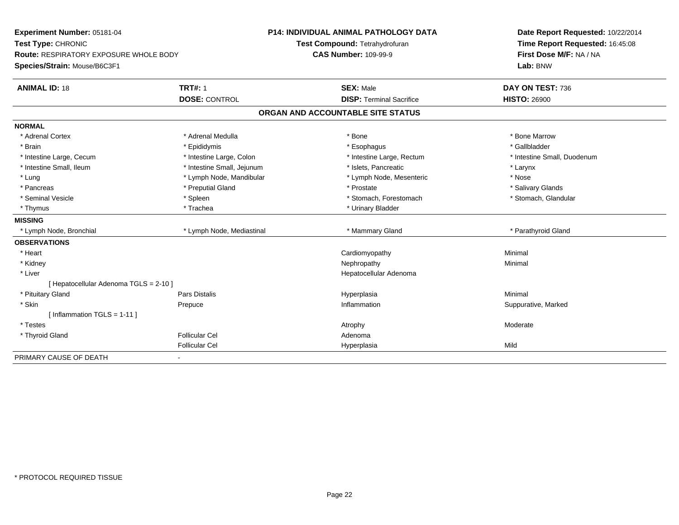| Experiment Number: 05181-04<br>Test Type: CHRONIC |                            | <b>P14: INDIVIDUAL ANIMAL PATHOLOGY DATA</b> | Date Report Requested: 10/22/2014<br>Time Report Requested: 16:45:08 |  |
|---------------------------------------------------|----------------------------|----------------------------------------------|----------------------------------------------------------------------|--|
|                                                   |                            | Test Compound: Tetrahydrofuran               |                                                                      |  |
| Route: RESPIRATORY EXPOSURE WHOLE BODY            |                            | <b>CAS Number: 109-99-9</b>                  | First Dose M/F: NA / NA                                              |  |
| Species/Strain: Mouse/B6C3F1                      |                            |                                              | Lab: BNW                                                             |  |
| <b>ANIMAL ID: 18</b>                              | <b>TRT#: 1</b>             | <b>SEX: Male</b>                             | DAY ON TEST: 736                                                     |  |
|                                                   | <b>DOSE: CONTROL</b>       | <b>DISP: Terminal Sacrifice</b>              | <b>HISTO: 26900</b>                                                  |  |
|                                                   |                            | ORGAN AND ACCOUNTABLE SITE STATUS            |                                                                      |  |
| <b>NORMAL</b>                                     |                            |                                              |                                                                      |  |
| * Adrenal Cortex                                  | * Adrenal Medulla          | * Bone                                       | * Bone Marrow                                                        |  |
| * Brain                                           | * Epididymis               | * Esophagus                                  | * Gallbladder                                                        |  |
| * Intestine Large, Cecum                          | * Intestine Large, Colon   | * Intestine Large, Rectum                    | * Intestine Small, Duodenum                                          |  |
| * Intestine Small, Ileum                          | * Intestine Small, Jejunum | * Islets, Pancreatic                         | * Larynx                                                             |  |
| * Lung                                            | * Lymph Node, Mandibular   | * Lymph Node, Mesenteric                     | * Nose                                                               |  |
| * Pancreas                                        | * Preputial Gland          | * Prostate                                   | * Salivary Glands                                                    |  |
| * Seminal Vesicle                                 | * Spleen                   | * Stomach, Forestomach                       | * Stomach, Glandular                                                 |  |
| * Thymus                                          | * Trachea                  | * Urinary Bladder                            |                                                                      |  |
| <b>MISSING</b>                                    |                            |                                              |                                                                      |  |
| * Lymph Node, Bronchial                           | * Lymph Node, Mediastinal  | * Mammary Gland                              | * Parathyroid Gland                                                  |  |
| <b>OBSERVATIONS</b>                               |                            |                                              |                                                                      |  |
| * Heart                                           |                            | Cardiomyopathy                               | Minimal                                                              |  |
| * Kidney                                          |                            | Nephropathy                                  | Minimal                                                              |  |
| * Liver                                           |                            | Hepatocellular Adenoma                       |                                                                      |  |
| [ Hepatocellular Adenoma TGLS = 2-10 ]            |                            |                                              |                                                                      |  |
| * Pituitary Gland                                 | Pars Distalis              | Hyperplasia                                  | Minimal                                                              |  |
| * Skin                                            | Prepuce                    | Inflammation                                 | Suppurative, Marked                                                  |  |
| [Inflammation TGLS = $1-11$ ]                     |                            |                                              |                                                                      |  |
| * Testes                                          |                            | Atrophy                                      | Moderate                                                             |  |
| * Thyroid Gland                                   | <b>Follicular Cel</b>      | Adenoma                                      |                                                                      |  |
|                                                   | <b>Follicular Cel</b>      | Hyperplasia                                  | Mild                                                                 |  |
| PRIMARY CAUSE OF DEATH                            | $\blacksquare$             |                                              |                                                                      |  |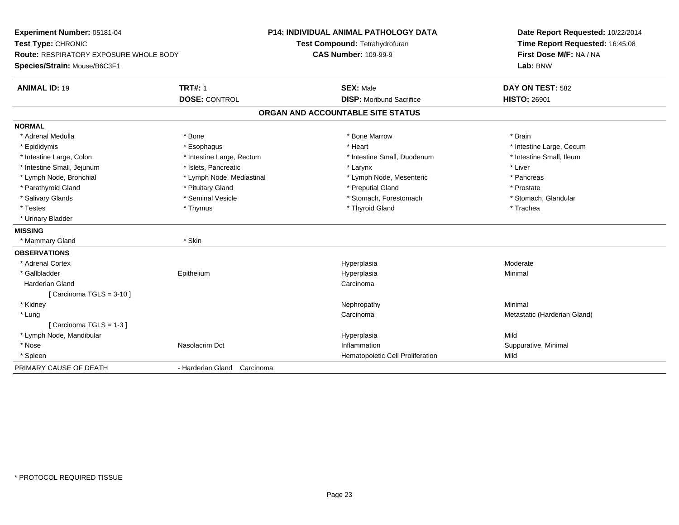| Experiment Number: 05181-04<br>Test Type: CHRONIC<br><b>Route: RESPIRATORY EXPOSURE WHOLE BODY</b> |                             | <b>P14: INDIVIDUAL ANIMAL PATHOLOGY DATA</b> | Date Report Requested: 10/22/2014                          |  |
|----------------------------------------------------------------------------------------------------|-----------------------------|----------------------------------------------|------------------------------------------------------------|--|
|                                                                                                    |                             | Test Compound: Tetrahydrofuran               | Time Report Requested: 16:45:08<br>First Dose M/F: NA / NA |  |
|                                                                                                    |                             | <b>CAS Number: 109-99-9</b>                  |                                                            |  |
| Species/Strain: Mouse/B6C3F1                                                                       |                             |                                              | Lab: BNW                                                   |  |
| <b>ANIMAL ID: 19</b>                                                                               | <b>TRT#: 1</b>              | <b>SEX: Male</b>                             | DAY ON TEST: 582                                           |  |
|                                                                                                    | <b>DOSE: CONTROL</b>        | <b>DISP:</b> Moribund Sacrifice              | <b>HISTO: 26901</b>                                        |  |
|                                                                                                    |                             | ORGAN AND ACCOUNTABLE SITE STATUS            |                                                            |  |
| <b>NORMAL</b>                                                                                      |                             |                                              |                                                            |  |
| * Adrenal Medulla                                                                                  | * Bone                      | * Bone Marrow                                | * Brain                                                    |  |
| * Epididymis                                                                                       | * Esophagus                 | * Heart                                      | * Intestine Large, Cecum                                   |  |
| * Intestine Large, Colon                                                                           | * Intestine Large, Rectum   | * Intestine Small, Duodenum                  | * Intestine Small, Ileum                                   |  |
| * Intestine Small, Jejunum                                                                         | * Islets, Pancreatic        | * Larynx                                     | * Liver                                                    |  |
| * Lymph Node, Bronchial                                                                            | * Lymph Node, Mediastinal   | * Lymph Node, Mesenteric                     | * Pancreas                                                 |  |
| * Parathyroid Gland                                                                                | * Pituitary Gland           | * Preputial Gland                            | * Prostate                                                 |  |
| * Salivary Glands                                                                                  | * Seminal Vesicle           | * Stomach, Forestomach                       | * Stomach, Glandular                                       |  |
| * Testes                                                                                           | * Thymus                    | * Thyroid Gland                              | * Trachea                                                  |  |
| * Urinary Bladder                                                                                  |                             |                                              |                                                            |  |
| <b>MISSING</b>                                                                                     |                             |                                              |                                                            |  |
| * Mammary Gland                                                                                    | * Skin                      |                                              |                                                            |  |
| <b>OBSERVATIONS</b>                                                                                |                             |                                              |                                                            |  |
| * Adrenal Cortex                                                                                   |                             | Hyperplasia                                  | Moderate                                                   |  |
| * Gallbladder                                                                                      | Epithelium                  | Hyperplasia                                  | Minimal                                                    |  |
| <b>Harderian Gland</b>                                                                             |                             | Carcinoma                                    |                                                            |  |
| [Carcinoma TGLS = $3-10$ ]                                                                         |                             |                                              |                                                            |  |
| * Kidney                                                                                           |                             | Nephropathy                                  | Minimal                                                    |  |
| * Lung                                                                                             |                             | Carcinoma                                    | Metastatic (Harderian Gland)                               |  |
| [Carcinoma TGLS = 1-3]                                                                             |                             |                                              |                                                            |  |
| * Lymph Node, Mandibular                                                                           |                             | Hyperplasia                                  | Mild                                                       |  |
| * Nose                                                                                             | Nasolacrim Dct              | Inflammation                                 | Suppurative, Minimal                                       |  |
| * Spleen                                                                                           |                             | Hematopoietic Cell Proliferation             | Mild                                                       |  |
| PRIMARY CAUSE OF DEATH                                                                             | - Harderian Gland Carcinoma |                                              |                                                            |  |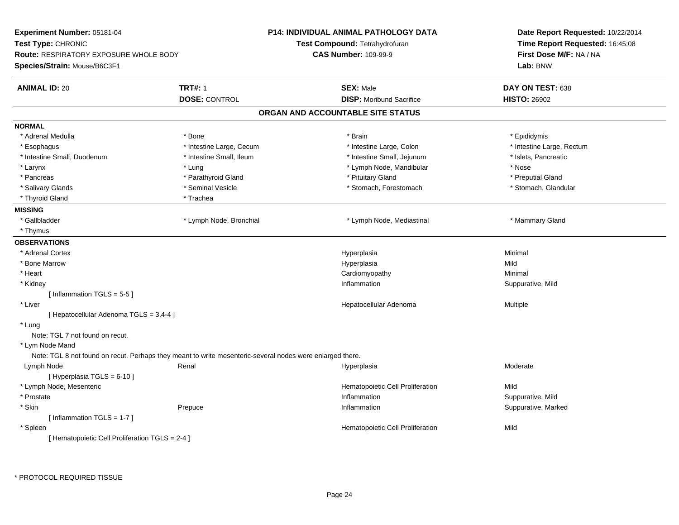| Experiment Number: 05181-04                     |                                                                                                           | <b>P14: INDIVIDUAL ANIMAL PATHOLOGY DATA</b> | Date Report Requested: 10/22/2014   |  |
|-------------------------------------------------|-----------------------------------------------------------------------------------------------------------|----------------------------------------------|-------------------------------------|--|
| Test Type: CHRONIC                              |                                                                                                           | Test Compound: Tetrahydrofuran               | Time Report Requested: 16:45:08     |  |
| <b>Route: RESPIRATORY EXPOSURE WHOLE BODY</b>   |                                                                                                           | <b>CAS Number: 109-99-9</b>                  | First Dose M/F: NA / NA<br>Lab: BNW |  |
| Species/Strain: Mouse/B6C3F1                    |                                                                                                           |                                              |                                     |  |
| <b>ANIMAL ID: 20</b>                            | <b>TRT#: 1</b>                                                                                            | <b>SEX: Male</b>                             | DAY ON TEST: 638                    |  |
|                                                 | <b>DOSE: CONTROL</b>                                                                                      | <b>DISP: Moribund Sacrifice</b>              | <b>HISTO: 26902</b>                 |  |
|                                                 |                                                                                                           | ORGAN AND ACCOUNTABLE SITE STATUS            |                                     |  |
| <b>NORMAL</b>                                   |                                                                                                           |                                              |                                     |  |
| * Adrenal Medulla                               | * Bone                                                                                                    | * Brain                                      | * Epididymis                        |  |
| * Esophagus                                     | * Intestine Large, Cecum                                                                                  | * Intestine Large, Colon                     | * Intestine Large, Rectum           |  |
| * Intestine Small, Duodenum                     | * Intestine Small, Ileum                                                                                  | * Intestine Small, Jejunum                   | * Islets, Pancreatic                |  |
| * Larynx                                        | * Lung                                                                                                    | * Lymph Node, Mandibular                     | * Nose                              |  |
| * Pancreas                                      | * Parathyroid Gland                                                                                       | * Pituitary Gland                            | * Preputial Gland                   |  |
| * Salivary Glands                               | * Seminal Vesicle                                                                                         | * Stomach, Forestomach                       | * Stomach, Glandular                |  |
| * Thyroid Gland                                 | * Trachea                                                                                                 |                                              |                                     |  |
| <b>MISSING</b>                                  |                                                                                                           |                                              |                                     |  |
| * Gallbladder                                   | * Lymph Node, Bronchial                                                                                   | * Lymph Node, Mediastinal                    | * Mammary Gland                     |  |
| * Thymus                                        |                                                                                                           |                                              |                                     |  |
| <b>OBSERVATIONS</b>                             |                                                                                                           |                                              |                                     |  |
| * Adrenal Cortex                                |                                                                                                           | Hyperplasia                                  | Minimal                             |  |
| * Bone Marrow                                   |                                                                                                           | Hyperplasia                                  | Mild                                |  |
| * Heart                                         |                                                                                                           | Cardiomyopathy                               | Minimal                             |  |
| * Kidney                                        |                                                                                                           | Inflammation                                 | Suppurative, Mild                   |  |
| [Inflammation TGLS = 5-5]                       |                                                                                                           |                                              |                                     |  |
| * Liver                                         |                                                                                                           | Hepatocellular Adenoma                       | Multiple                            |  |
| [ Hepatocellular Adenoma TGLS = 3,4-4 ]         |                                                                                                           |                                              |                                     |  |
| * Lung                                          |                                                                                                           |                                              |                                     |  |
| Note: TGL 7 not found on recut.                 |                                                                                                           |                                              |                                     |  |
| * Lym Node Mand                                 |                                                                                                           |                                              |                                     |  |
|                                                 | Note: TGL 8 not found on recut. Perhaps they meant to write mesenteric-several nodes were enlarged there. |                                              |                                     |  |
| Lymph Node                                      | Renal                                                                                                     | Hyperplasia                                  | Moderate                            |  |
| [ Hyperplasia TGLS = 6-10 ]                     |                                                                                                           |                                              |                                     |  |
| * Lymph Node, Mesenteric                        |                                                                                                           | Hematopoietic Cell Proliferation             | Mild                                |  |
| * Prostate                                      |                                                                                                           | Inflammation                                 | Suppurative, Mild                   |  |
| * Skin                                          | Prepuce                                                                                                   | Inflammation                                 | Suppurative, Marked                 |  |
| [Inflammation TGLS = $1-7$ ]                    |                                                                                                           |                                              |                                     |  |
| * Spleen                                        |                                                                                                           | Hematopoietic Cell Proliferation             | Mild                                |  |
| [ Hematopoietic Cell Proliferation TGLS = 2-4 ] |                                                                                                           |                                              |                                     |  |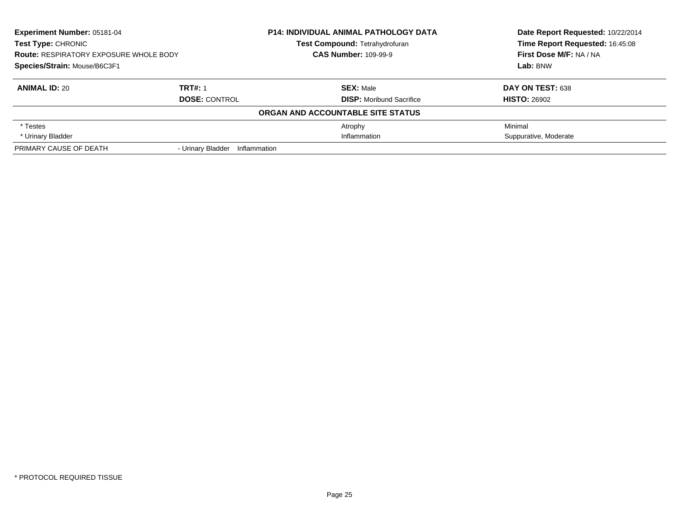| Experiment Number: 05181-04<br>Test Type: CHRONIC<br><b>Route: RESPIRATORY EXPOSURE WHOLE BODY</b> |                                   | <b>P14: INDIVIDUAL ANIMAL PATHOLOGY DATA</b> | Date Report Requested: 10/22/2014 |
|----------------------------------------------------------------------------------------------------|-----------------------------------|----------------------------------------------|-----------------------------------|
|                                                                                                    |                                   | Test Compound: Tetrahydrofuran               | Time Report Requested: 16:45:08   |
|                                                                                                    |                                   | <b>CAS Number: 109-99-9</b>                  | First Dose M/F: NA / NA           |
| Species/Strain: Mouse/B6C3F1                                                                       |                                   |                                              | Lab: BNW                          |
| <b>ANIMAL ID: 20</b>                                                                               | <b>TRT#: 1</b>                    | <b>SEX: Male</b>                             | DAY ON TEST: 638                  |
|                                                                                                    | <b>DOSE: CONTROL</b>              | <b>DISP:</b> Moribund Sacrifice              | <b>HISTO: 26902</b>               |
|                                                                                                    |                                   | ORGAN AND ACCOUNTABLE SITE STATUS            |                                   |
| * Testes                                                                                           |                                   | Atrophy                                      | Minimal                           |
| * Urinary Bladder                                                                                  |                                   | Inflammation                                 | Suppurative, Moderate             |
| PRIMARY CAUSE OF DEATH                                                                             | - Urinary Bladder<br>Inflammation |                                              |                                   |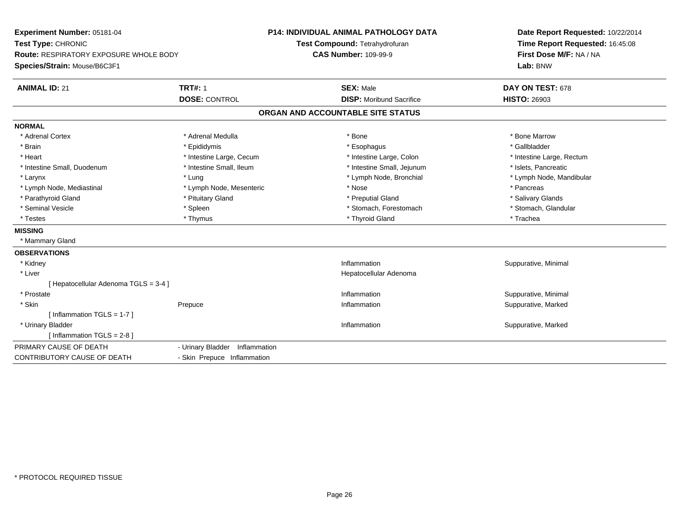| Experiment Number: 05181-04            |                                   | <b>P14: INDIVIDUAL ANIMAL PATHOLOGY DATA</b> | Date Report Requested: 10/22/2014 |  |
|----------------------------------------|-----------------------------------|----------------------------------------------|-----------------------------------|--|
| Test Type: CHRONIC                     |                                   | Test Compound: Tetrahydrofuran               | Time Report Requested: 16:45:08   |  |
| Route: RESPIRATORY EXPOSURE WHOLE BODY |                                   | <b>CAS Number: 109-99-9</b>                  | First Dose M/F: NA / NA           |  |
| Species/Strain: Mouse/B6C3F1           |                                   |                                              | Lab: BNW                          |  |
| <b>ANIMAL ID: 21</b>                   | <b>TRT#: 1</b>                    | <b>SEX: Male</b>                             | DAY ON TEST: 678                  |  |
|                                        | <b>DOSE: CONTROL</b>              | <b>DISP:</b> Moribund Sacrifice              | <b>HISTO: 26903</b>               |  |
|                                        |                                   | ORGAN AND ACCOUNTABLE SITE STATUS            |                                   |  |
| <b>NORMAL</b>                          |                                   |                                              |                                   |  |
| * Adrenal Cortex                       | * Adrenal Medulla                 | * Bone                                       | * Bone Marrow                     |  |
| * Brain                                | * Epididymis                      | * Esophagus                                  | * Gallbladder                     |  |
| * Heart                                | * Intestine Large, Cecum          | * Intestine Large, Colon                     | * Intestine Large, Rectum         |  |
| * Intestine Small, Duodenum            | * Intestine Small, Ileum          | * Intestine Small, Jejunum                   | * Islets, Pancreatic              |  |
| * Larynx                               | * Lung                            | * Lymph Node, Bronchial                      | * Lymph Node, Mandibular          |  |
| * Lymph Node, Mediastinal              | * Lymph Node, Mesenteric          | * Nose                                       | * Pancreas                        |  |
| * Parathyroid Gland                    | * Pituitary Gland                 | * Preputial Gland                            | * Salivary Glands                 |  |
| * Seminal Vesicle                      | * Spleen                          | * Stomach, Forestomach                       | * Stomach, Glandular              |  |
| * Testes                               | * Thymus                          | * Thyroid Gland                              | * Trachea                         |  |
| <b>MISSING</b>                         |                                   |                                              |                                   |  |
| * Mammary Gland                        |                                   |                                              |                                   |  |
| <b>OBSERVATIONS</b>                    |                                   |                                              |                                   |  |
| * Kidney                               |                                   | Inflammation                                 | Suppurative, Minimal              |  |
| * Liver                                |                                   | Hepatocellular Adenoma                       |                                   |  |
| [ Hepatocellular Adenoma TGLS = 3-4 ]  |                                   |                                              |                                   |  |
| * Prostate                             |                                   | Inflammation                                 | Suppurative, Minimal              |  |
| * Skin                                 | Prepuce                           | Inflammation                                 | Suppurative, Marked               |  |
| [Inflammation TGLS = $1-7$ ]           |                                   |                                              |                                   |  |
| * Urinary Bladder                      |                                   | Inflammation                                 | Suppurative, Marked               |  |
| [Inflammation TGLS = $2-8$ ]           |                                   |                                              |                                   |  |
| PRIMARY CAUSE OF DEATH                 | - Urinary Bladder<br>Inflammation |                                              |                                   |  |
| CONTRIBUTORY CAUSE OF DEATH            | - Skin Prepuce Inflammation       |                                              |                                   |  |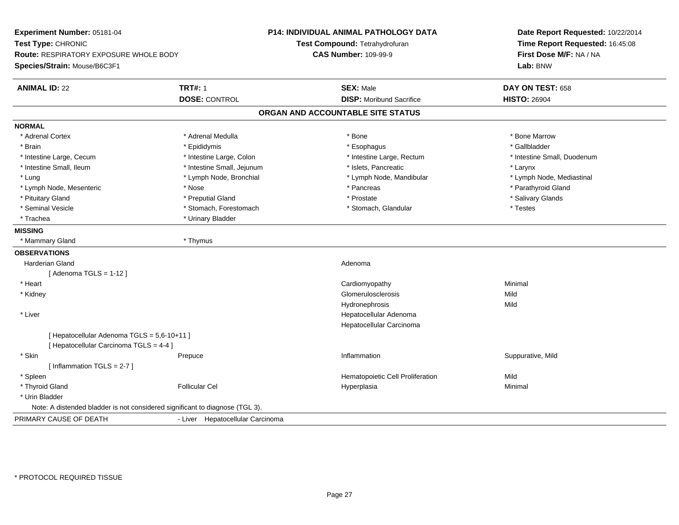| Experiment Number: 05181-04<br>Test Type: CHRONIC<br>Route: RESPIRATORY EXPOSURE WHOLE BODY |                                        | <b>P14: INDIVIDUAL ANIMAL PATHOLOGY DATA</b><br>Test Compound: Tetrahydrofuran<br><b>CAS Number: 109-99-9</b> | Date Report Requested: 10/22/2014<br>Time Report Requested: 16:45:08<br>First Dose M/F: NA / NA |
|---------------------------------------------------------------------------------------------|----------------------------------------|---------------------------------------------------------------------------------------------------------------|-------------------------------------------------------------------------------------------------|
| Species/Strain: Mouse/B6C3F1                                                                |                                        |                                                                                                               | Lab: BNW                                                                                        |
| <b>ANIMAL ID: 22</b>                                                                        | <b>TRT#: 1</b><br><b>DOSE: CONTROL</b> | <b>SEX: Male</b><br><b>DISP:</b> Moribund Sacrifice                                                           | DAY ON TEST: 658<br><b>HISTO: 26904</b>                                                         |
|                                                                                             |                                        | ORGAN AND ACCOUNTABLE SITE STATUS                                                                             |                                                                                                 |
| <b>NORMAL</b>                                                                               |                                        |                                                                                                               |                                                                                                 |
| * Adrenal Cortex                                                                            | * Adrenal Medulla                      | * Bone                                                                                                        | * Bone Marrow                                                                                   |
| * Brain                                                                                     | * Epididymis                           | * Esophagus                                                                                                   | * Gallbladder                                                                                   |
| * Intestine Large, Cecum                                                                    | * Intestine Large, Colon               | * Intestine Large, Rectum                                                                                     | * Intestine Small, Duodenum                                                                     |
| * Intestine Small, Ileum                                                                    | * Intestine Small, Jejunum             | * Islets, Pancreatic                                                                                          | * Larynx                                                                                        |
| * Lung                                                                                      | * Lymph Node, Bronchial                | * Lymph Node, Mandibular                                                                                      | * Lymph Node, Mediastinal                                                                       |
| * Lymph Node, Mesenteric                                                                    | * Nose                                 | * Pancreas                                                                                                    | * Parathyroid Gland                                                                             |
| * Pituitary Gland                                                                           | * Preputial Gland                      | * Prostate                                                                                                    | * Salivary Glands                                                                               |
| * Seminal Vesicle                                                                           | * Stomach, Forestomach                 | * Stomach, Glandular                                                                                          | * Testes                                                                                        |
| * Trachea                                                                                   | * Urinary Bladder                      |                                                                                                               |                                                                                                 |
| <b>MISSING</b>                                                                              |                                        |                                                                                                               |                                                                                                 |
| * Mammary Gland                                                                             | * Thymus                               |                                                                                                               |                                                                                                 |
| <b>OBSERVATIONS</b>                                                                         |                                        |                                                                                                               |                                                                                                 |
| Harderian Gland                                                                             |                                        | Adenoma                                                                                                       |                                                                                                 |
| [Adenoma TGLS = $1-12$ ]                                                                    |                                        |                                                                                                               |                                                                                                 |
| * Heart                                                                                     |                                        | Cardiomyopathy                                                                                                | Minimal                                                                                         |
| * Kidney                                                                                    |                                        | <b>Glomerulosclerosis</b>                                                                                     | Mild                                                                                            |
|                                                                                             |                                        | Hydronephrosis                                                                                                | Mild                                                                                            |
| * Liver                                                                                     |                                        | Hepatocellular Adenoma                                                                                        |                                                                                                 |
|                                                                                             |                                        | Hepatocellular Carcinoma                                                                                      |                                                                                                 |
| [ Hepatocellular Adenoma TGLS = 5,6-10+11 ]<br>[ Hepatocellular Carcinoma TGLS = 4-4 ]      |                                        |                                                                                                               |                                                                                                 |
| * Skin                                                                                      | Prepuce                                | Inflammation                                                                                                  | Suppurative, Mild                                                                               |
| [Inflammation TGLS = $2-7$ ]                                                                |                                        |                                                                                                               |                                                                                                 |
| * Spleen                                                                                    |                                        | Hematopoietic Cell Proliferation                                                                              | Mild                                                                                            |
| * Thyroid Gland                                                                             | <b>Follicular Cel</b>                  | Hyperplasia                                                                                                   | Minimal                                                                                         |
| * Urin Bladder                                                                              |                                        |                                                                                                               |                                                                                                 |
| Note: A distended bladder is not considered significant to diagnose (TGL 3).                |                                        |                                                                                                               |                                                                                                 |
| PRIMARY CAUSE OF DEATH                                                                      | - Liver Hepatocellular Carcinoma       |                                                                                                               |                                                                                                 |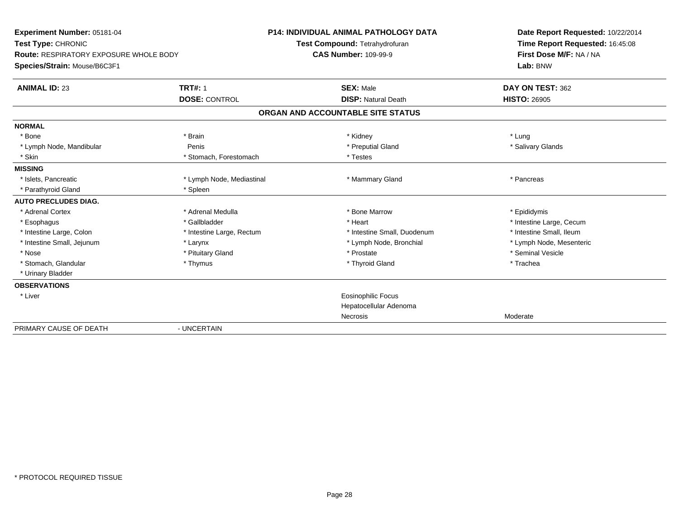| Experiment Number: 05181-04<br>Test Type: CHRONIC<br><b>Route: RESPIRATORY EXPOSURE WHOLE BODY</b><br>Species/Strain: Mouse/B6C3F1 |                           | <b>P14: INDIVIDUAL ANIMAL PATHOLOGY DATA</b><br>Test Compound: Tetrahydrofuran<br><b>CAS Number: 109-99-9</b> | Date Report Requested: 10/22/2014<br>Time Report Requested: 16:45:08<br>First Dose M/F: NA / NA<br>Lab: BNW |
|------------------------------------------------------------------------------------------------------------------------------------|---------------------------|---------------------------------------------------------------------------------------------------------------|-------------------------------------------------------------------------------------------------------------|
| <b>ANIMAL ID: 23</b>                                                                                                               | <b>TRT#: 1</b>            | <b>SEX: Male</b>                                                                                              | DAY ON TEST: 362                                                                                            |
|                                                                                                                                    | <b>DOSE: CONTROL</b>      | <b>DISP: Natural Death</b>                                                                                    | <b>HISTO: 26905</b>                                                                                         |
|                                                                                                                                    |                           | ORGAN AND ACCOUNTABLE SITE STATUS                                                                             |                                                                                                             |
| <b>NORMAL</b>                                                                                                                      |                           |                                                                                                               |                                                                                                             |
| * Bone                                                                                                                             | * Brain                   | * Kidney                                                                                                      | * Lung                                                                                                      |
| * Lymph Node, Mandibular                                                                                                           | Penis                     | * Preputial Gland                                                                                             | * Salivary Glands                                                                                           |
| * Skin                                                                                                                             | * Stomach, Forestomach    | * Testes                                                                                                      |                                                                                                             |
| <b>MISSING</b>                                                                                                                     |                           |                                                                                                               |                                                                                                             |
| * Islets, Pancreatic                                                                                                               | * Lymph Node, Mediastinal | * Mammary Gland                                                                                               | * Pancreas                                                                                                  |
| * Parathyroid Gland                                                                                                                | * Spleen                  |                                                                                                               |                                                                                                             |
| <b>AUTO PRECLUDES DIAG.</b>                                                                                                        |                           |                                                                                                               |                                                                                                             |
| * Adrenal Cortex                                                                                                                   | * Adrenal Medulla         | * Bone Marrow                                                                                                 | * Epididymis                                                                                                |
| * Esophagus                                                                                                                        | * Gallbladder             | * Heart                                                                                                       | * Intestine Large, Cecum                                                                                    |
| * Intestine Large, Colon                                                                                                           | * Intestine Large, Rectum | * Intestine Small, Duodenum                                                                                   | * Intestine Small, Ileum                                                                                    |
| * Intestine Small, Jejunum                                                                                                         | * Larynx                  | * Lymph Node, Bronchial                                                                                       | * Lymph Node, Mesenteric                                                                                    |
| * Nose                                                                                                                             | * Pituitary Gland         | * Prostate                                                                                                    | * Seminal Vesicle                                                                                           |
| * Stomach, Glandular                                                                                                               | * Thymus                  | * Thyroid Gland                                                                                               | * Trachea                                                                                                   |
| * Urinary Bladder                                                                                                                  |                           |                                                                                                               |                                                                                                             |
| <b>OBSERVATIONS</b>                                                                                                                |                           |                                                                                                               |                                                                                                             |
| * Liver                                                                                                                            |                           | <b>Eosinophilic Focus</b>                                                                                     |                                                                                                             |
|                                                                                                                                    |                           | Hepatocellular Adenoma                                                                                        |                                                                                                             |
|                                                                                                                                    |                           | Necrosis                                                                                                      | Moderate                                                                                                    |
| PRIMARY CAUSE OF DEATH                                                                                                             | - UNCERTAIN               |                                                                                                               |                                                                                                             |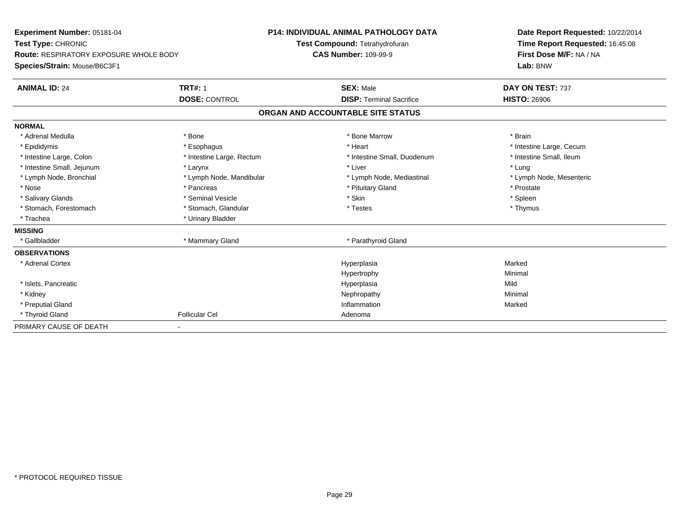| Experiment Number: 05181-04<br>Test Type: CHRONIC<br><b>Route: RESPIRATORY EXPOSURE WHOLE BODY</b><br>Species/Strain: Mouse/B6C3F1<br><b>ANIMAL ID: 24</b> | <b>TRT#: 1</b><br><b>DOSE: CONTROL</b> | <b>P14: INDIVIDUAL ANIMAL PATHOLOGY DATA</b><br>Test Compound: Tetrahydrofuran<br><b>CAS Number: 109-99-9</b><br><b>SEX: Male</b><br><b>DISP: Terminal Sacrifice</b> | Date Report Requested: 10/22/2014<br>Time Report Requested: 16:45:08<br>First Dose M/F: NA / NA<br>Lab: BNW<br>DAY ON TEST: 737<br><b>HISTO: 26906</b> |
|------------------------------------------------------------------------------------------------------------------------------------------------------------|----------------------------------------|----------------------------------------------------------------------------------------------------------------------------------------------------------------------|--------------------------------------------------------------------------------------------------------------------------------------------------------|
|                                                                                                                                                            |                                        | ORGAN AND ACCOUNTABLE SITE STATUS                                                                                                                                    |                                                                                                                                                        |
| <b>NORMAL</b>                                                                                                                                              |                                        |                                                                                                                                                                      |                                                                                                                                                        |
| * Adrenal Medulla                                                                                                                                          | * Bone                                 | * Bone Marrow                                                                                                                                                        | * Brain                                                                                                                                                |
| * Epididymis                                                                                                                                               | * Esophagus                            | * Heart                                                                                                                                                              | * Intestine Large, Cecum                                                                                                                               |
| * Intestine Large, Colon                                                                                                                                   | * Intestine Large, Rectum              | * Intestine Small, Duodenum                                                                                                                                          | * Intestine Small, Ileum                                                                                                                               |
| * Intestine Small, Jejunum                                                                                                                                 | * Larynx                               | * Liver                                                                                                                                                              | * Lung                                                                                                                                                 |
| * Lymph Node, Bronchial                                                                                                                                    | * Lymph Node, Mandibular               | * Lymph Node, Mediastinal                                                                                                                                            | * Lymph Node, Mesenteric                                                                                                                               |
| * Nose                                                                                                                                                     | * Pancreas                             | * Pituitary Gland                                                                                                                                                    | * Prostate                                                                                                                                             |
| * Salivary Glands                                                                                                                                          | * Seminal Vesicle                      | * Skin                                                                                                                                                               | * Spleen                                                                                                                                               |
| * Stomach, Forestomach                                                                                                                                     | * Stomach, Glandular                   | * Testes                                                                                                                                                             | * Thymus                                                                                                                                               |
| * Trachea                                                                                                                                                  | * Urinary Bladder                      |                                                                                                                                                                      |                                                                                                                                                        |
| <b>MISSING</b>                                                                                                                                             |                                        |                                                                                                                                                                      |                                                                                                                                                        |
| * Gallbladder                                                                                                                                              | * Mammary Gland                        | * Parathyroid Gland                                                                                                                                                  |                                                                                                                                                        |
| <b>OBSERVATIONS</b>                                                                                                                                        |                                        |                                                                                                                                                                      |                                                                                                                                                        |
| * Adrenal Cortex                                                                                                                                           |                                        | Hyperplasia                                                                                                                                                          | Marked                                                                                                                                                 |
|                                                                                                                                                            |                                        | Hypertrophy                                                                                                                                                          | Minimal                                                                                                                                                |
| * Islets, Pancreatic                                                                                                                                       |                                        | Hyperplasia                                                                                                                                                          | Mild                                                                                                                                                   |
| * Kidney                                                                                                                                                   |                                        | Nephropathy                                                                                                                                                          | Minimal                                                                                                                                                |
| * Preputial Gland                                                                                                                                          |                                        | Inflammation                                                                                                                                                         | Marked                                                                                                                                                 |
| * Thyroid Gland                                                                                                                                            | <b>Follicular Cel</b>                  | Adenoma                                                                                                                                                              |                                                                                                                                                        |
| PRIMARY CAUSE OF DEATH                                                                                                                                     |                                        |                                                                                                                                                                      |                                                                                                                                                        |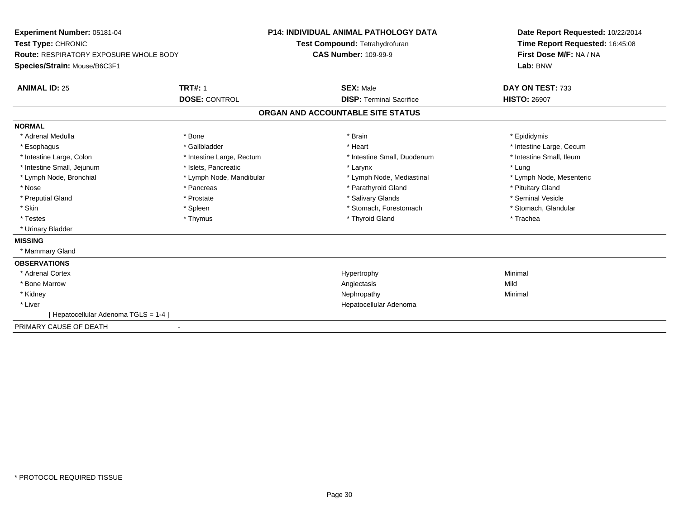| Experiment Number: 05181-04<br>Test Type: CHRONIC<br><b>Route: RESPIRATORY EXPOSURE WHOLE BODY</b><br>Species/Strain: Mouse/B6C3F1<br><b>ANIMAL ID: 25</b> | <b>TRT#: 1</b><br><b>DOSE: CONTROL</b> | <b>P14: INDIVIDUAL ANIMAL PATHOLOGY DATA</b><br>Test Compound: Tetrahydrofuran<br><b>CAS Number: 109-99-9</b><br><b>SEX: Male</b><br><b>DISP: Terminal Sacrifice</b> | Date Report Requested: 10/22/2014<br>Time Report Requested: 16:45:08<br>First Dose M/F: NA / NA<br>Lab: BNW<br>DAY ON TEST: 733<br><b>HISTO: 26907</b> |
|------------------------------------------------------------------------------------------------------------------------------------------------------------|----------------------------------------|----------------------------------------------------------------------------------------------------------------------------------------------------------------------|--------------------------------------------------------------------------------------------------------------------------------------------------------|
|                                                                                                                                                            |                                        | ORGAN AND ACCOUNTABLE SITE STATUS                                                                                                                                    |                                                                                                                                                        |
| <b>NORMAL</b>                                                                                                                                              |                                        |                                                                                                                                                                      |                                                                                                                                                        |
| * Adrenal Medulla                                                                                                                                          | * Bone                                 | * Brain                                                                                                                                                              | * Epididymis                                                                                                                                           |
| * Esophagus                                                                                                                                                | * Gallbladder                          | * Heart                                                                                                                                                              | * Intestine Large, Cecum                                                                                                                               |
| * Intestine Large, Colon                                                                                                                                   | * Intestine Large, Rectum              | * Intestine Small, Duodenum                                                                                                                                          | * Intestine Small. Ileum                                                                                                                               |
| * Intestine Small, Jejunum                                                                                                                                 | * Islets, Pancreatic                   | * Larynx                                                                                                                                                             | * Lung                                                                                                                                                 |
| * Lymph Node, Bronchial                                                                                                                                    | * Lymph Node, Mandibular               | * Lymph Node, Mediastinal                                                                                                                                            | * Lymph Node, Mesenteric                                                                                                                               |
| * Nose                                                                                                                                                     | * Pancreas                             | * Parathyroid Gland                                                                                                                                                  | * Pituitary Gland                                                                                                                                      |
| * Preputial Gland                                                                                                                                          | * Prostate                             | * Salivary Glands                                                                                                                                                    | * Seminal Vesicle                                                                                                                                      |
| * Skin                                                                                                                                                     | * Spleen                               | * Stomach, Forestomach                                                                                                                                               | * Stomach, Glandular                                                                                                                                   |
| * Testes                                                                                                                                                   | * Thymus                               | * Thyroid Gland                                                                                                                                                      | * Trachea                                                                                                                                              |
| * Urinary Bladder                                                                                                                                          |                                        |                                                                                                                                                                      |                                                                                                                                                        |
| <b>MISSING</b>                                                                                                                                             |                                        |                                                                                                                                                                      |                                                                                                                                                        |
| * Mammary Gland                                                                                                                                            |                                        |                                                                                                                                                                      |                                                                                                                                                        |
| <b>OBSERVATIONS</b>                                                                                                                                        |                                        |                                                                                                                                                                      |                                                                                                                                                        |
| * Adrenal Cortex                                                                                                                                           |                                        | Hypertrophy                                                                                                                                                          | Minimal                                                                                                                                                |
| * Bone Marrow                                                                                                                                              |                                        | Angiectasis                                                                                                                                                          | Mild                                                                                                                                                   |
| * Kidney                                                                                                                                                   |                                        | Nephropathy                                                                                                                                                          | Minimal                                                                                                                                                |
| * Liver                                                                                                                                                    |                                        | Hepatocellular Adenoma                                                                                                                                               |                                                                                                                                                        |
| [Hepatocellular Adenoma TGLS = 1-4]                                                                                                                        |                                        |                                                                                                                                                                      |                                                                                                                                                        |
| PRIMARY CAUSE OF DEATH                                                                                                                                     |                                        |                                                                                                                                                                      |                                                                                                                                                        |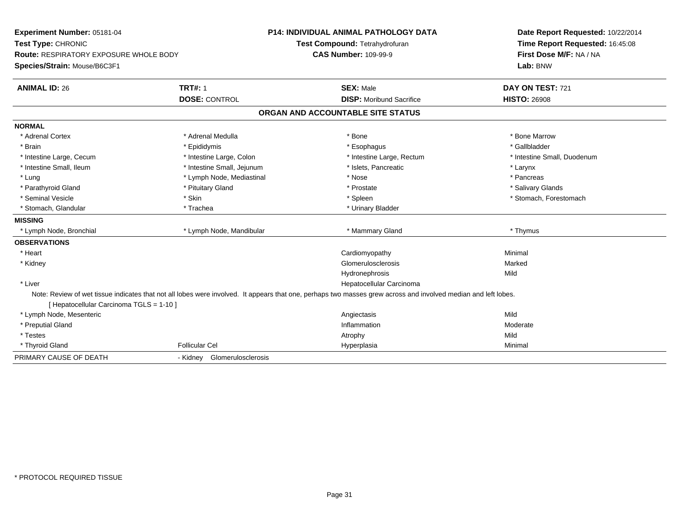| Experiment Number: 05181-04<br>Test Type: CHRONIC<br>Route: RESPIRATORY EXPOSURE WHOLE BODY<br>Species/Strain: Mouse/B6C3F1 |                                | P14: INDIVIDUAL ANIMAL PATHOLOGY DATA<br>Test Compound: Tetrahydrofuran<br><b>CAS Number: 109-99-9</b>                                                         | Date Report Requested: 10/22/2014<br>Time Report Requested: 16:45:08<br>First Dose M/F: NA / NA<br>Lab: BNW |
|-----------------------------------------------------------------------------------------------------------------------------|--------------------------------|----------------------------------------------------------------------------------------------------------------------------------------------------------------|-------------------------------------------------------------------------------------------------------------|
| <b>ANIMAL ID: 26</b>                                                                                                        | <b>TRT#: 1</b>                 | <b>SEX: Male</b>                                                                                                                                               | DAY ON TEST: 721                                                                                            |
|                                                                                                                             | <b>DOSE: CONTROL</b>           | <b>DISP:</b> Moribund Sacrifice                                                                                                                                | <b>HISTO: 26908</b>                                                                                         |
|                                                                                                                             |                                | ORGAN AND ACCOUNTABLE SITE STATUS                                                                                                                              |                                                                                                             |
| <b>NORMAL</b>                                                                                                               |                                |                                                                                                                                                                |                                                                                                             |
| * Adrenal Cortex                                                                                                            | * Adrenal Medulla              | * Bone                                                                                                                                                         | * Bone Marrow                                                                                               |
| * Brain                                                                                                                     | * Epididymis                   | * Esophagus                                                                                                                                                    | * Gallbladder                                                                                               |
| * Intestine Large, Cecum                                                                                                    | * Intestine Large, Colon       | * Intestine Large, Rectum                                                                                                                                      | * Intestine Small, Duodenum                                                                                 |
| * Intestine Small, Ileum                                                                                                    | * Intestine Small, Jejunum     | * Islets, Pancreatic                                                                                                                                           | * Larynx                                                                                                    |
| * Lung                                                                                                                      | * Lymph Node, Mediastinal      | * Nose                                                                                                                                                         | * Pancreas                                                                                                  |
| * Parathyroid Gland                                                                                                         | * Pituitary Gland              | * Prostate                                                                                                                                                     | * Salivary Glands                                                                                           |
| * Seminal Vesicle                                                                                                           | * Skin                         | * Spleen                                                                                                                                                       | * Stomach, Forestomach                                                                                      |
| * Stomach, Glandular                                                                                                        | * Trachea                      | * Urinary Bladder                                                                                                                                              |                                                                                                             |
| <b>MISSING</b>                                                                                                              |                                |                                                                                                                                                                |                                                                                                             |
| * Lymph Node, Bronchial                                                                                                     | * Lymph Node, Mandibular       | * Mammary Gland                                                                                                                                                | * Thymus                                                                                                    |
| <b>OBSERVATIONS</b>                                                                                                         |                                |                                                                                                                                                                |                                                                                                             |
| * Heart                                                                                                                     |                                | Cardiomyopathy                                                                                                                                                 | Minimal                                                                                                     |
| * Kidney                                                                                                                    |                                | Glomerulosclerosis                                                                                                                                             | Marked                                                                                                      |
|                                                                                                                             |                                | Hydronephrosis                                                                                                                                                 | Mild                                                                                                        |
| * Liver                                                                                                                     |                                | Hepatocellular Carcinoma                                                                                                                                       |                                                                                                             |
| [ Hepatocellular Carcinoma TGLS = 1-10 ]                                                                                    |                                | Note: Review of wet tissue indicates that not all lobes were involved. It appears that one, perhaps two masses grew across and involved median and left lobes. |                                                                                                             |
| * Lymph Node, Mesenteric                                                                                                    |                                | Angiectasis                                                                                                                                                    | Mild                                                                                                        |
| * Preputial Gland                                                                                                           |                                | Inflammation                                                                                                                                                   | Moderate                                                                                                    |
| * Testes                                                                                                                    |                                | Atrophy                                                                                                                                                        | Mild                                                                                                        |
| * Thyroid Gland                                                                                                             | <b>Follicular Cel</b>          | Hyperplasia                                                                                                                                                    | Minimal                                                                                                     |
| PRIMARY CAUSE OF DEATH                                                                                                      | Glomerulosclerosis<br>- Kidney |                                                                                                                                                                |                                                                                                             |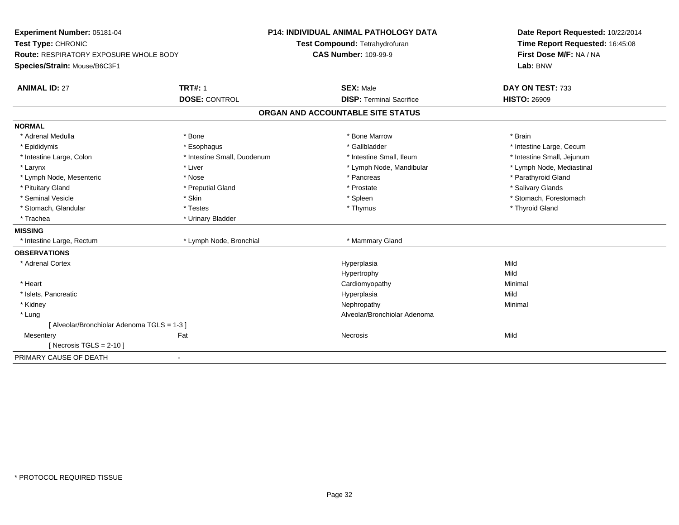| Experiment Number: 05181-04<br>Test Type: CHRONIC                      |                             | <b>P14: INDIVIDUAL ANIMAL PATHOLOGY DATA</b><br>Test Compound: Tetrahydrofuran | Date Report Requested: 10/22/2014<br>Time Report Requested: 16:45:08 |  |
|------------------------------------------------------------------------|-----------------------------|--------------------------------------------------------------------------------|----------------------------------------------------------------------|--|
| Route: RESPIRATORY EXPOSURE WHOLE BODY<br>Species/Strain: Mouse/B6C3F1 |                             | <b>CAS Number: 109-99-9</b>                                                    | First Dose M/F: NA / NA<br>Lab: BNW                                  |  |
| <b>ANIMAL ID: 27</b>                                                   | <b>TRT#: 1</b>              | <b>SEX: Male</b>                                                               | DAY ON TEST: 733                                                     |  |
|                                                                        | <b>DOSE: CONTROL</b>        | <b>DISP: Terminal Sacrifice</b>                                                | <b>HISTO: 26909</b>                                                  |  |
|                                                                        |                             | ORGAN AND ACCOUNTABLE SITE STATUS                                              |                                                                      |  |
| <b>NORMAL</b>                                                          |                             |                                                                                |                                                                      |  |
| * Adrenal Medulla                                                      | * Bone                      | * Bone Marrow                                                                  | * Brain                                                              |  |
| * Epididymis                                                           | * Esophagus                 | * Gallbladder                                                                  | * Intestine Large, Cecum                                             |  |
| * Intestine Large, Colon                                               | * Intestine Small, Duodenum | * Intestine Small, Ileum                                                       | * Intestine Small, Jejunum                                           |  |
| * Larynx                                                               | * Liver                     | * Lymph Node, Mandibular                                                       | * Lymph Node, Mediastinal                                            |  |
| * Lymph Node, Mesenteric                                               | * Nose                      | * Pancreas                                                                     | * Parathyroid Gland                                                  |  |
| * Pituitary Gland                                                      | * Preputial Gland           | * Prostate                                                                     | * Salivary Glands                                                    |  |
| * Seminal Vesicle                                                      | * Skin                      | * Spleen                                                                       | * Stomach, Forestomach                                               |  |
| * Stomach, Glandular                                                   | * Testes                    | * Thymus                                                                       | * Thyroid Gland                                                      |  |
| * Trachea                                                              | * Urinary Bladder           |                                                                                |                                                                      |  |
| <b>MISSING</b>                                                         |                             |                                                                                |                                                                      |  |
| * Intestine Large, Rectum                                              | * Lymph Node, Bronchial     | * Mammary Gland                                                                |                                                                      |  |
| <b>OBSERVATIONS</b>                                                    |                             |                                                                                |                                                                      |  |
| * Adrenal Cortex                                                       |                             | Hyperplasia                                                                    | Mild                                                                 |  |
|                                                                        |                             | Hypertrophy                                                                    | Mild                                                                 |  |
| * Heart                                                                |                             | Cardiomyopathy                                                                 | Minimal                                                              |  |
| * Islets, Pancreatic                                                   |                             | Hyperplasia                                                                    | Mild                                                                 |  |
| * Kidney                                                               |                             | Nephropathy                                                                    | Minimal                                                              |  |
| * Lung                                                                 |                             | Alveolar/Bronchiolar Adenoma                                                   |                                                                      |  |
| [Alveolar/Bronchiolar Adenoma TGLS = 1-3]                              |                             |                                                                                |                                                                      |  |
| Mesentery                                                              | Fat                         | Necrosis                                                                       | Mild                                                                 |  |
| [Necrosis TGLS = $2-10$ ]                                              |                             |                                                                                |                                                                      |  |
| PRIMARY CAUSE OF DEATH                                                 | $\sim$                      |                                                                                |                                                                      |  |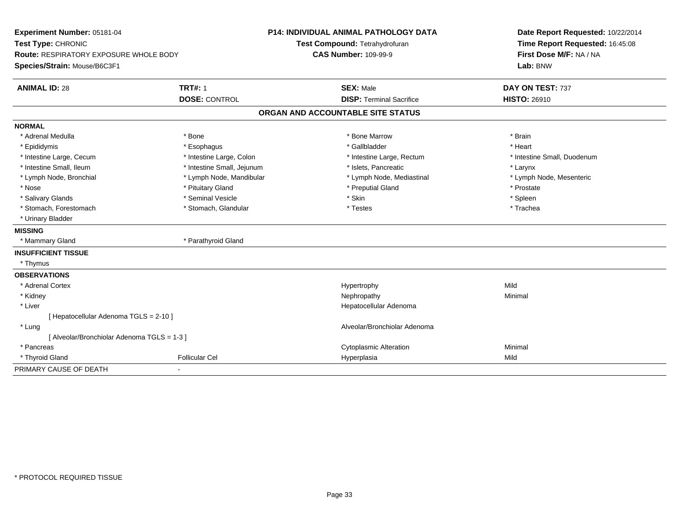| Experiment Number: 05181-04<br>Test Type: CHRONIC<br><b>Route: RESPIRATORY EXPOSURE WHOLE BODY</b> |                            | <b>P14: INDIVIDUAL ANIMAL PATHOLOGY DATA</b><br>Test Compound: Tetrahydrofuran<br><b>CAS Number: 109-99-9</b> | Date Report Requested: 10/22/2014<br>Time Report Requested: 16:45:08<br>First Dose M/F: NA / NA |
|----------------------------------------------------------------------------------------------------|----------------------------|---------------------------------------------------------------------------------------------------------------|-------------------------------------------------------------------------------------------------|
| Species/Strain: Mouse/B6C3F1                                                                       |                            |                                                                                                               | Lab: BNW                                                                                        |
| <b>ANIMAL ID: 28</b>                                                                               | <b>TRT#: 1</b>             | <b>SEX: Male</b>                                                                                              | DAY ON TEST: 737                                                                                |
|                                                                                                    | <b>DOSE: CONTROL</b>       | <b>DISP: Terminal Sacrifice</b>                                                                               | <b>HISTO: 26910</b>                                                                             |
|                                                                                                    |                            | ORGAN AND ACCOUNTABLE SITE STATUS                                                                             |                                                                                                 |
| <b>NORMAL</b>                                                                                      |                            |                                                                                                               |                                                                                                 |
| * Adrenal Medulla                                                                                  | * Bone                     | * Bone Marrow                                                                                                 | * Brain                                                                                         |
| * Epididymis                                                                                       | * Esophagus                | * Gallbladder                                                                                                 | * Heart                                                                                         |
| * Intestine Large, Cecum                                                                           | * Intestine Large, Colon   | * Intestine Large, Rectum                                                                                     | * Intestine Small, Duodenum                                                                     |
| * Intestine Small. Ileum                                                                           | * Intestine Small, Jejunum | * Islets, Pancreatic                                                                                          | * Larynx                                                                                        |
| * Lymph Node, Bronchial                                                                            | * Lymph Node, Mandibular   | * Lymph Node, Mediastinal                                                                                     | * Lymph Node, Mesenteric                                                                        |
| * Nose                                                                                             | * Pituitary Gland          | * Preputial Gland                                                                                             | * Prostate                                                                                      |
| * Salivary Glands                                                                                  | * Seminal Vesicle          | * Skin                                                                                                        | * Spleen                                                                                        |
| * Stomach, Forestomach                                                                             | * Stomach, Glandular       | * Testes                                                                                                      | * Trachea                                                                                       |
| * Urinary Bladder                                                                                  |                            |                                                                                                               |                                                                                                 |
| <b>MISSING</b>                                                                                     |                            |                                                                                                               |                                                                                                 |
| * Mammary Gland                                                                                    | * Parathyroid Gland        |                                                                                                               |                                                                                                 |
| <b>INSUFFICIENT TISSUE</b>                                                                         |                            |                                                                                                               |                                                                                                 |
| * Thymus                                                                                           |                            |                                                                                                               |                                                                                                 |
| <b>OBSERVATIONS</b>                                                                                |                            |                                                                                                               |                                                                                                 |
| * Adrenal Cortex                                                                                   |                            | Hypertrophy                                                                                                   | Mild                                                                                            |
| * Kidney                                                                                           |                            | Nephropathy                                                                                                   | Minimal                                                                                         |
| * Liver                                                                                            |                            | Hepatocellular Adenoma                                                                                        |                                                                                                 |
| [ Hepatocellular Adenoma TGLS = 2-10 ]                                                             |                            |                                                                                                               |                                                                                                 |
| * Lung                                                                                             |                            | Alveolar/Bronchiolar Adenoma                                                                                  |                                                                                                 |
| [ Alveolar/Bronchiolar Adenoma TGLS = 1-3 ]                                                        |                            |                                                                                                               |                                                                                                 |
| * Pancreas                                                                                         |                            | <b>Cytoplasmic Alteration</b>                                                                                 | Minimal                                                                                         |
| * Thyroid Gland                                                                                    | <b>Follicular Cel</b>      | Hyperplasia                                                                                                   | Mild                                                                                            |
| PRIMARY CAUSE OF DEATH                                                                             | ٠                          |                                                                                                               |                                                                                                 |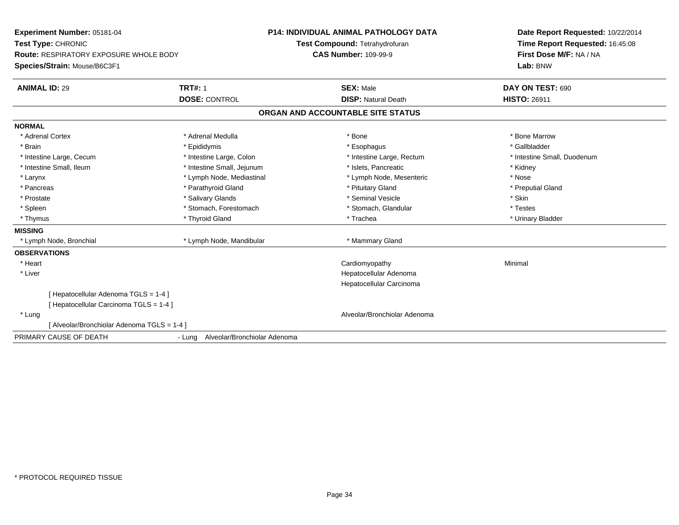| <b>Experiment Number: 05181-04</b>            |                                     | <b>P14: INDIVIDUAL ANIMAL PATHOLOGY DATA</b> | Date Report Requested: 10/22/2014 |
|-----------------------------------------------|-------------------------------------|----------------------------------------------|-----------------------------------|
| Test Type: CHRONIC                            |                                     | Test Compound: Tetrahydrofuran               | Time Report Requested: 16:45:08   |
| <b>Route: RESPIRATORY EXPOSURE WHOLE BODY</b> |                                     | <b>CAS Number: 109-99-9</b>                  | First Dose M/F: NA / NA           |
| Species/Strain: Mouse/B6C3F1                  |                                     |                                              | Lab: BNW                          |
| <b>ANIMAL ID: 29</b>                          | <b>TRT#: 1</b>                      | <b>SEX: Male</b>                             | DAY ON TEST: 690                  |
|                                               | <b>DOSE: CONTROL</b>                | <b>DISP: Natural Death</b>                   | <b>HISTO: 26911</b>               |
|                                               |                                     | ORGAN AND ACCOUNTABLE SITE STATUS            |                                   |
| <b>NORMAL</b>                                 |                                     |                                              |                                   |
| * Adrenal Cortex                              | * Adrenal Medulla                   | * Bone                                       | * Bone Marrow                     |
| * Brain                                       | * Epididymis                        | * Esophagus                                  | * Gallbladder                     |
| * Intestine Large, Cecum                      | * Intestine Large, Colon            | * Intestine Large, Rectum                    | * Intestine Small, Duodenum       |
| * Intestine Small, Ileum                      | * Intestine Small, Jejunum          | * Islets. Pancreatic                         | * Kidney                          |
| * Larynx                                      | * Lymph Node, Mediastinal           | * Lymph Node, Mesenteric                     | * Nose                            |
| * Pancreas                                    | * Parathyroid Gland                 | * Pituitary Gland                            | * Preputial Gland                 |
| * Prostate                                    | * Salivary Glands                   | * Seminal Vesicle                            | * Skin                            |
| * Spleen                                      | * Stomach, Forestomach              | * Stomach, Glandular                         | * Testes                          |
| * Thymus                                      | * Thyroid Gland                     | * Trachea                                    | * Urinary Bladder                 |
| <b>MISSING</b>                                |                                     |                                              |                                   |
| * Lymph Node, Bronchial                       | * Lymph Node, Mandibular            | * Mammary Gland                              |                                   |
| <b>OBSERVATIONS</b>                           |                                     |                                              |                                   |
| * Heart                                       |                                     | Cardiomyopathy                               | Minimal                           |
| * Liver                                       |                                     | Hepatocellular Adenoma                       |                                   |
|                                               |                                     | Hepatocellular Carcinoma                     |                                   |
| [ Hepatocellular Adenoma TGLS = 1-4 ]         |                                     |                                              |                                   |
| [ Hepatocellular Carcinoma TGLS = 1-4 ]       |                                     |                                              |                                   |
| * Lung                                        |                                     | Alveolar/Bronchiolar Adenoma                 |                                   |
| [ Alveolar/Bronchiolar Adenoma TGLS = 1-4 ]   |                                     |                                              |                                   |
| PRIMARY CAUSE OF DEATH                        | - Lung Alveolar/Bronchiolar Adenoma |                                              |                                   |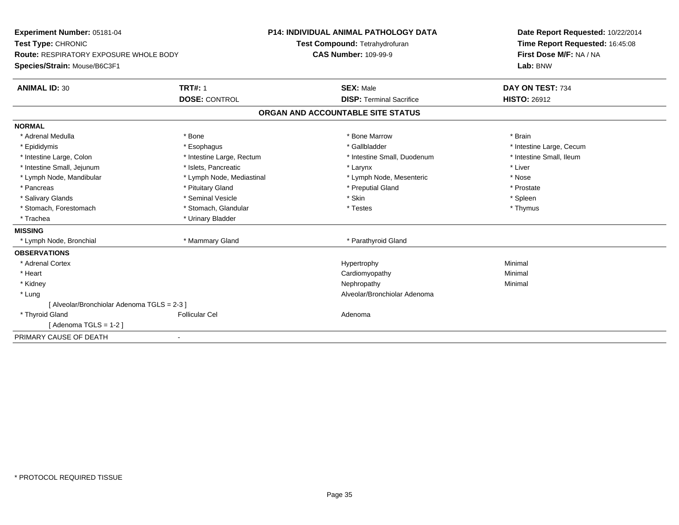| Experiment Number: 05181-04                   |                           | <b>P14: INDIVIDUAL ANIMAL PATHOLOGY DATA</b> | Date Report Requested: 10/22/2014 |  |
|-----------------------------------------------|---------------------------|----------------------------------------------|-----------------------------------|--|
| Test Type: CHRONIC                            |                           | Test Compound: Tetrahydrofuran               | Time Report Requested: 16:45:08   |  |
| <b>Route: RESPIRATORY EXPOSURE WHOLE BODY</b> |                           | <b>CAS Number: 109-99-9</b>                  | First Dose M/F: NA / NA           |  |
| Species/Strain: Mouse/B6C3F1                  |                           |                                              | Lab: BNW                          |  |
| <b>ANIMAL ID: 30</b>                          | <b>TRT#: 1</b>            | <b>SEX: Male</b>                             | DAY ON TEST: 734                  |  |
|                                               | <b>DOSE: CONTROL</b>      | <b>DISP: Terminal Sacrifice</b>              | <b>HISTO: 26912</b>               |  |
|                                               |                           | ORGAN AND ACCOUNTABLE SITE STATUS            |                                   |  |
| <b>NORMAL</b>                                 |                           |                                              |                                   |  |
| * Adrenal Medulla                             | * Bone                    | * Bone Marrow                                | * Brain                           |  |
| * Epididymis                                  | * Esophagus               | * Gallbladder                                | * Intestine Large, Cecum          |  |
| * Intestine Large, Colon                      | * Intestine Large, Rectum | * Intestine Small, Duodenum                  | * Intestine Small, Ileum          |  |
| * Intestine Small, Jejunum                    | * Islets, Pancreatic      | * Larynx                                     | * Liver                           |  |
| * Lymph Node, Mandibular                      | * Lymph Node, Mediastinal | * Lymph Node, Mesenteric                     | * Nose                            |  |
| * Pancreas                                    | * Pituitary Gland         | * Preputial Gland                            | * Prostate                        |  |
| * Salivary Glands                             | * Seminal Vesicle         | * Skin                                       | * Spleen                          |  |
| * Stomach, Forestomach                        | * Stomach, Glandular      | * Testes                                     | * Thymus                          |  |
| * Trachea                                     | * Urinary Bladder         |                                              |                                   |  |
| <b>MISSING</b>                                |                           |                                              |                                   |  |
| * Lymph Node, Bronchial                       | * Mammary Gland           | * Parathyroid Gland                          |                                   |  |
| <b>OBSERVATIONS</b>                           |                           |                                              |                                   |  |
| * Adrenal Cortex                              |                           | Hypertrophy                                  | Minimal                           |  |
| * Heart                                       |                           | Cardiomyopathy                               | Minimal                           |  |
| * Kidney                                      |                           | Nephropathy                                  | Minimal                           |  |
| * Lung                                        |                           | Alveolar/Bronchiolar Adenoma                 |                                   |  |
| [ Alveolar/Bronchiolar Adenoma TGLS = 2-3 ]   |                           |                                              |                                   |  |
| * Thyroid Gland                               | <b>Follicular Cel</b>     | Adenoma                                      |                                   |  |
| [Adenoma TGLS = $1-2$ ]                       |                           |                                              |                                   |  |
| PRIMARY CAUSE OF DEATH                        |                           |                                              |                                   |  |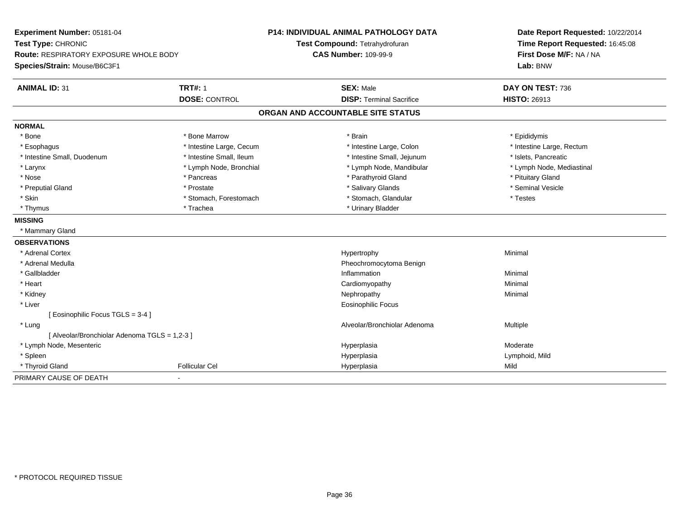| Experiment Number: 05181-04                                                                         |                          | <b>P14: INDIVIDUAL ANIMAL PATHOLOGY DATA</b> | Date Report Requested: 10/22/2014                                      |
|-----------------------------------------------------------------------------------------------------|--------------------------|----------------------------------------------|------------------------------------------------------------------------|
| Test Type: CHRONIC<br><b>Route: RESPIRATORY EXPOSURE WHOLE BODY</b><br>Species/Strain: Mouse/B6C3F1 |                          | Test Compound: Tetrahydrofuran               | Time Report Requested: 16:45:08<br>First Dose M/F: NA / NA<br>Lab: BNW |
|                                                                                                     |                          | <b>CAS Number: 109-99-9</b>                  |                                                                        |
|                                                                                                     |                          |                                              |                                                                        |
| <b>ANIMAL ID: 31</b>                                                                                | <b>TRT#: 1</b>           | <b>SEX: Male</b>                             | DAY ON TEST: 736                                                       |
|                                                                                                     | <b>DOSE: CONTROL</b>     | <b>DISP: Terminal Sacrifice</b>              | <b>HISTO: 26913</b>                                                    |
|                                                                                                     |                          | ORGAN AND ACCOUNTABLE SITE STATUS            |                                                                        |
| <b>NORMAL</b>                                                                                       |                          |                                              |                                                                        |
| * Bone                                                                                              | * Bone Marrow            | * Brain                                      | * Epididymis                                                           |
| * Esophagus                                                                                         | * Intestine Large, Cecum | * Intestine Large, Colon                     | * Intestine Large, Rectum                                              |
| * Intestine Small, Duodenum                                                                         | * Intestine Small, Ileum | * Intestine Small, Jejunum                   | * Islets, Pancreatic                                                   |
| * Larynx                                                                                            | * Lymph Node, Bronchial  | * Lymph Node, Mandibular                     | * Lymph Node, Mediastinal                                              |
| * Nose                                                                                              | * Pancreas               | * Parathyroid Gland                          | * Pituitary Gland                                                      |
| * Preputial Gland                                                                                   | * Prostate               | * Salivary Glands                            | * Seminal Vesicle                                                      |
| * Skin                                                                                              | * Stomach, Forestomach   | * Stomach, Glandular                         | * Testes                                                               |
| * Thymus                                                                                            | * Trachea                | * Urinary Bladder                            |                                                                        |
| <b>MISSING</b>                                                                                      |                          |                                              |                                                                        |
| * Mammary Gland                                                                                     |                          |                                              |                                                                        |
| <b>OBSERVATIONS</b>                                                                                 |                          |                                              |                                                                        |
| * Adrenal Cortex                                                                                    |                          | Hypertrophy                                  | Minimal                                                                |
| * Adrenal Medulla                                                                                   |                          | Pheochromocytoma Benign                      |                                                                        |
| * Gallbladder                                                                                       |                          | Inflammation                                 | Minimal                                                                |
| * Heart                                                                                             |                          | Cardiomyopathy                               | Minimal                                                                |
| * Kidney                                                                                            |                          | Nephropathy                                  | Minimal                                                                |
| * Liver                                                                                             |                          | Eosinophilic Focus                           |                                                                        |
| [ Eosinophilic Focus TGLS = 3-4 ]                                                                   |                          |                                              |                                                                        |
| * Lung                                                                                              |                          | Alveolar/Bronchiolar Adenoma                 | Multiple                                                               |
| [ Alveolar/Bronchiolar Adenoma TGLS = 1,2-3 ]                                                       |                          |                                              |                                                                        |
| * Lymph Node, Mesenteric                                                                            |                          | Hyperplasia                                  | Moderate                                                               |
| * Spleen                                                                                            |                          | Hyperplasia                                  | Lymphoid, Mild                                                         |
| * Thyroid Gland                                                                                     | <b>Follicular Cel</b>    | Hyperplasia                                  | Mild                                                                   |
| PRIMARY CAUSE OF DEATH                                                                              |                          |                                              |                                                                        |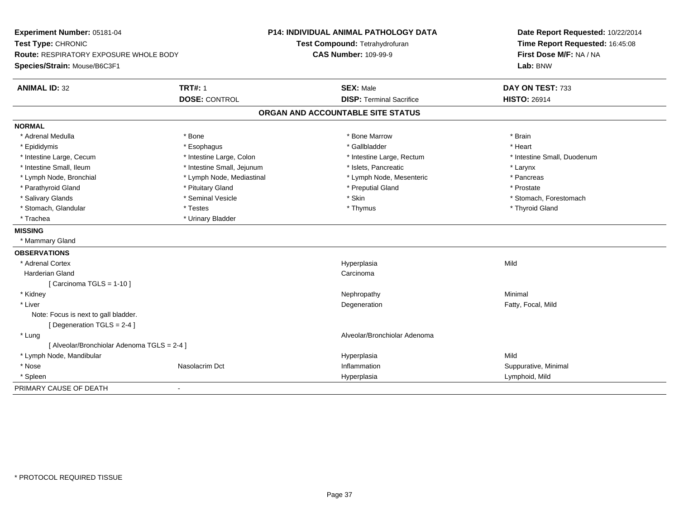| Experiment Number: 05181-04<br>Test Type: CHRONIC |                            | <b>P14: INDIVIDUAL ANIMAL PATHOLOGY DATA</b> | Date Report Requested: 10/22/2014<br>Time Report Requested: 16:45:08 |
|---------------------------------------------------|----------------------------|----------------------------------------------|----------------------------------------------------------------------|
|                                                   |                            | Test Compound: Tetrahydrofuran               |                                                                      |
| Route: RESPIRATORY EXPOSURE WHOLE BODY            |                            | <b>CAS Number: 109-99-9</b>                  | First Dose M/F: NA / NA                                              |
| Species/Strain: Mouse/B6C3F1                      |                            |                                              | Lab: BNW                                                             |
| <b>ANIMAL ID: 32</b>                              | <b>TRT#: 1</b>             | <b>SEX: Male</b>                             | DAY ON TEST: 733                                                     |
|                                                   | <b>DOSE: CONTROL</b>       | <b>DISP: Terminal Sacrifice</b>              | <b>HISTO: 26914</b>                                                  |
|                                                   |                            | ORGAN AND ACCOUNTABLE SITE STATUS            |                                                                      |
| <b>NORMAL</b>                                     |                            |                                              |                                                                      |
| * Adrenal Medulla                                 | * Bone                     | * Bone Marrow                                | * Brain                                                              |
| * Epididymis                                      | * Esophagus                | * Gallbladder                                | * Heart                                                              |
| * Intestine Large, Cecum                          | * Intestine Large, Colon   | * Intestine Large, Rectum                    | * Intestine Small, Duodenum                                          |
| * Intestine Small, Ileum                          | * Intestine Small, Jejunum | * Islets, Pancreatic                         | * Larynx                                                             |
| * Lymph Node, Bronchial                           | * Lymph Node, Mediastinal  | * Lymph Node, Mesenteric                     | * Pancreas                                                           |
| * Parathyroid Gland                               | * Pituitary Gland          | * Preputial Gland                            | * Prostate                                                           |
| * Salivary Glands                                 | * Seminal Vesicle          | * Skin                                       | * Stomach, Forestomach                                               |
| * Stomach, Glandular                              | * Testes                   | * Thymus                                     | * Thyroid Gland                                                      |
| * Trachea                                         | * Urinary Bladder          |                                              |                                                                      |
| <b>MISSING</b>                                    |                            |                                              |                                                                      |
| * Mammary Gland                                   |                            |                                              |                                                                      |
| <b>OBSERVATIONS</b>                               |                            |                                              |                                                                      |
| * Adrenal Cortex                                  |                            | Hyperplasia                                  | Mild                                                                 |
| <b>Harderian Gland</b>                            |                            | Carcinoma                                    |                                                                      |
| [Carcinoma TGLS = 1-10]                           |                            |                                              |                                                                      |
| * Kidney                                          |                            | Nephropathy                                  | Minimal                                                              |
| * Liver                                           |                            | Degeneration                                 | Fatty, Focal, Mild                                                   |
| Note: Focus is next to gall bladder.              |                            |                                              |                                                                      |
| [Degeneration TGLS = 2-4]                         |                            |                                              |                                                                      |
| * Lung                                            |                            | Alveolar/Bronchiolar Adenoma                 |                                                                      |
| [ Alveolar/Bronchiolar Adenoma TGLS = 2-4 ]       |                            |                                              |                                                                      |
| * Lymph Node, Mandibular                          |                            | Hyperplasia                                  | Mild                                                                 |
| * Nose                                            | Nasolacrim Dct             | Inflammation                                 | Suppurative, Minimal                                                 |
| * Spleen                                          |                            | Hyperplasia                                  | Lymphoid, Mild                                                       |
| PRIMARY CAUSE OF DEATH                            | $\sim$                     |                                              |                                                                      |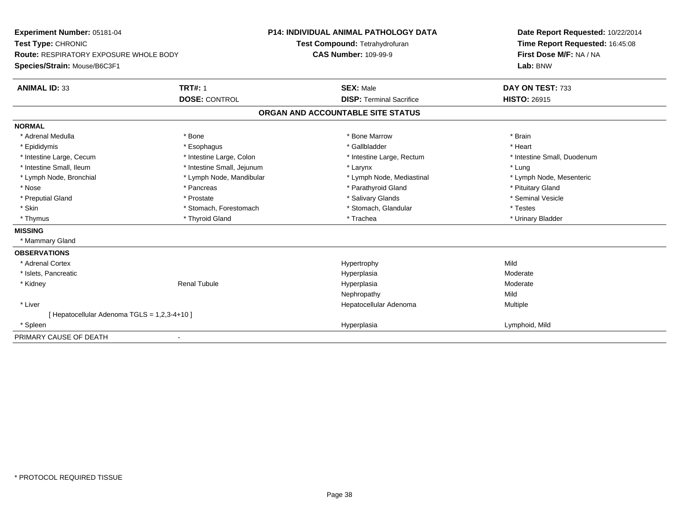| Experiment Number: 05181-04<br>Test Type: CHRONIC |                            | <b>P14: INDIVIDUAL ANIMAL PATHOLOGY DATA</b><br>Test Compound: Tetrahydrofuran | Date Report Requested: 10/22/2014<br>Time Report Requested: 16:45:08 |
|---------------------------------------------------|----------------------------|--------------------------------------------------------------------------------|----------------------------------------------------------------------|
| <b>Route: RESPIRATORY EXPOSURE WHOLE BODY</b>     |                            | <b>CAS Number: 109-99-9</b>                                                    | First Dose M/F: NA / NA                                              |
| Species/Strain: Mouse/B6C3F1                      |                            |                                                                                | Lab: BNW                                                             |
| <b>ANIMAL ID: 33</b>                              | <b>TRT#: 1</b>             | <b>SEX: Male</b>                                                               | DAY ON TEST: 733                                                     |
|                                                   | <b>DOSE: CONTROL</b>       | <b>DISP: Terminal Sacrifice</b>                                                | <b>HISTO: 26915</b>                                                  |
|                                                   |                            | ORGAN AND ACCOUNTABLE SITE STATUS                                              |                                                                      |
| <b>NORMAL</b>                                     |                            |                                                                                |                                                                      |
| * Adrenal Medulla                                 | * Bone                     | * Bone Marrow                                                                  | * Brain                                                              |
| * Epididymis                                      | * Esophagus                | * Gallbladder                                                                  | * Heart                                                              |
| * Intestine Large, Cecum                          | * Intestine Large, Colon   | * Intestine Large, Rectum                                                      | * Intestine Small, Duodenum                                          |
| * Intestine Small, Ileum                          | * Intestine Small, Jejunum | * Larynx                                                                       | * Lung                                                               |
| * Lymph Node, Bronchial                           | * Lymph Node, Mandibular   | * Lymph Node, Mediastinal                                                      | * Lymph Node, Mesenteric                                             |
| * Nose                                            | * Pancreas                 | * Parathyroid Gland                                                            | * Pituitary Gland                                                    |
| * Preputial Gland                                 | * Prostate                 | * Salivary Glands                                                              | * Seminal Vesicle                                                    |
| * Skin                                            | * Stomach, Forestomach     | * Stomach, Glandular                                                           | * Testes                                                             |
| * Thymus                                          | * Thyroid Gland            | * Trachea                                                                      | * Urinary Bladder                                                    |
| <b>MISSING</b>                                    |                            |                                                                                |                                                                      |
| * Mammary Gland                                   |                            |                                                                                |                                                                      |
| <b>OBSERVATIONS</b>                               |                            |                                                                                |                                                                      |
| * Adrenal Cortex                                  |                            | Hypertrophy                                                                    | Mild                                                                 |
| * Islets, Pancreatic                              |                            | Hyperplasia                                                                    | Moderate                                                             |
| * Kidney                                          | <b>Renal Tubule</b>        | Hyperplasia                                                                    | Moderate                                                             |
|                                                   |                            | Nephropathy                                                                    | Mild                                                                 |
| * Liver                                           |                            | Hepatocellular Adenoma                                                         | Multiple                                                             |
| [ Hepatocellular Adenoma TGLS = 1,2,3-4+10 ]      |                            |                                                                                |                                                                      |
| * Spleen                                          |                            | Hyperplasia                                                                    | Lymphoid, Mild                                                       |
| PRIMARY CAUSE OF DEATH                            |                            |                                                                                |                                                                      |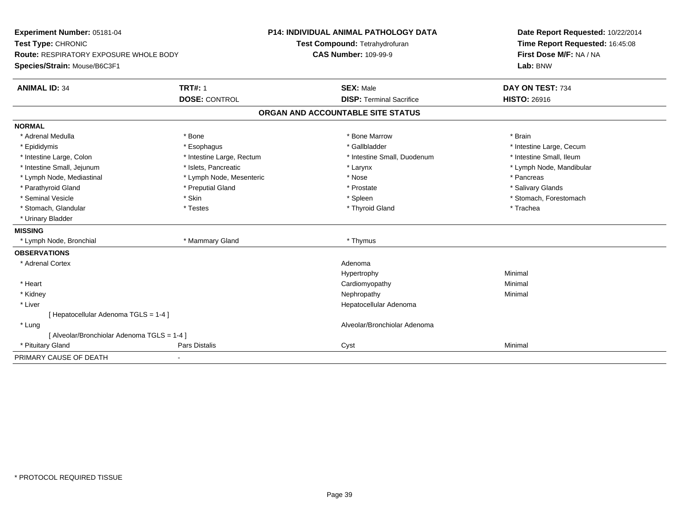| Experiment Number: 05181-04<br>Test Type: CHRONIC |                           | <b>P14: INDIVIDUAL ANIMAL PATHOLOGY DATA</b> | Date Report Requested: 10/22/2014<br>Time Report Requested: 16:45:08 |
|---------------------------------------------------|---------------------------|----------------------------------------------|----------------------------------------------------------------------|
|                                                   |                           | Test Compound: Tetrahydrofuran               |                                                                      |
| Route: RESPIRATORY EXPOSURE WHOLE BODY            |                           | <b>CAS Number: 109-99-9</b>                  | First Dose M/F: NA / NA                                              |
| Species/Strain: Mouse/B6C3F1                      |                           |                                              | Lab: BNW                                                             |
| <b>ANIMAL ID: 34</b>                              | <b>TRT#: 1</b>            | <b>SEX: Male</b>                             | DAY ON TEST: 734                                                     |
|                                                   | <b>DOSE: CONTROL</b>      | <b>DISP: Terminal Sacrifice</b>              | <b>HISTO: 26916</b>                                                  |
|                                                   |                           | ORGAN AND ACCOUNTABLE SITE STATUS            |                                                                      |
| <b>NORMAL</b>                                     |                           |                                              |                                                                      |
| * Adrenal Medulla                                 | * Bone                    | * Bone Marrow                                | * Brain                                                              |
| * Epididymis                                      | * Esophagus               | * Gallbladder                                | * Intestine Large, Cecum                                             |
| * Intestine Large, Colon                          | * Intestine Large, Rectum | * Intestine Small, Duodenum                  | * Intestine Small, Ileum                                             |
| * Intestine Small, Jejunum                        | * Islets, Pancreatic      | * Larynx                                     | * Lymph Node, Mandibular                                             |
| * Lymph Node, Mediastinal                         | * Lymph Node, Mesenteric  | * Nose                                       | * Pancreas                                                           |
| * Parathyroid Gland                               | * Preputial Gland         | * Prostate                                   | * Salivary Glands                                                    |
| * Seminal Vesicle                                 | * Skin                    | * Spleen                                     | * Stomach, Forestomach                                               |
| * Stomach, Glandular                              | * Testes                  | * Thyroid Gland                              | * Trachea                                                            |
| * Urinary Bladder                                 |                           |                                              |                                                                      |
| <b>MISSING</b>                                    |                           |                                              |                                                                      |
| * Lymph Node, Bronchial                           | * Mammary Gland           | * Thymus                                     |                                                                      |
| <b>OBSERVATIONS</b>                               |                           |                                              |                                                                      |
| * Adrenal Cortex                                  |                           | Adenoma                                      |                                                                      |
|                                                   |                           | Hypertrophy                                  | Minimal                                                              |
| * Heart                                           |                           | Cardiomyopathy                               | Minimal                                                              |
| * Kidney                                          |                           | Nephropathy                                  | Minimal                                                              |
| * Liver                                           |                           | Hepatocellular Adenoma                       |                                                                      |
| [Hepatocellular Adenoma TGLS = 1-4]               |                           |                                              |                                                                      |
| * Lung                                            |                           | Alveolar/Bronchiolar Adenoma                 |                                                                      |
| [ Alveolar/Bronchiolar Adenoma TGLS = 1-4 ]       |                           |                                              |                                                                      |
| * Pituitary Gland                                 | <b>Pars Distalis</b>      | Cyst                                         | Minimal                                                              |
| PRIMARY CAUSE OF DEATH                            |                           |                                              |                                                                      |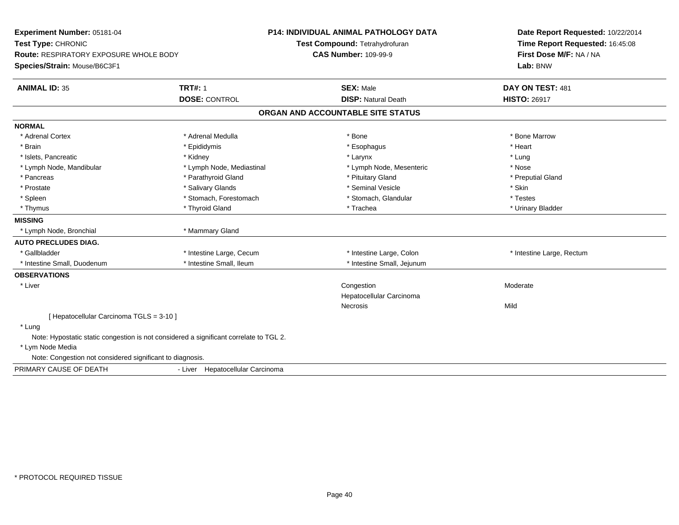| Experiment Number: 05181-04<br>Test Type: CHRONIC<br><b>Route: RESPIRATORY EXPOSURE WHOLE BODY</b><br>Species/Strain: Mouse/B6C3F1 |                                        | <b>P14: INDIVIDUAL ANIMAL PATHOLOGY DATA</b><br>Test Compound: Tetrahydrofuran<br><b>CAS Number: 109-99-9</b> | Date Report Requested: 10/22/2014<br>Time Report Requested: 16:45:08<br>First Dose M/F: NA / NA<br>Lab: BNW |
|------------------------------------------------------------------------------------------------------------------------------------|----------------------------------------|---------------------------------------------------------------------------------------------------------------|-------------------------------------------------------------------------------------------------------------|
| <b>ANIMAL ID: 35</b>                                                                                                               | <b>TRT#: 1</b><br><b>DOSE: CONTROL</b> | <b>SEX: Male</b><br><b>DISP: Natural Death</b>                                                                | DAY ON TEST: 481<br><b>HISTO: 26917</b>                                                                     |
|                                                                                                                                    |                                        | ORGAN AND ACCOUNTABLE SITE STATUS                                                                             |                                                                                                             |
| <b>NORMAL</b>                                                                                                                      |                                        |                                                                                                               |                                                                                                             |
| * Adrenal Cortex                                                                                                                   | * Adrenal Medulla                      | * Bone                                                                                                        | * Bone Marrow                                                                                               |
| * Brain                                                                                                                            | * Epididymis                           | * Esophagus                                                                                                   | * Heart                                                                                                     |
| * Islets, Pancreatic                                                                                                               | * Kidney                               | * Larynx                                                                                                      | * Lung                                                                                                      |
| * Lymph Node, Mandibular                                                                                                           | * Lymph Node, Mediastinal              | * Lymph Node, Mesenteric                                                                                      | * Nose                                                                                                      |
| * Pancreas                                                                                                                         | * Parathyroid Gland                    | * Pituitary Gland                                                                                             | * Preputial Gland                                                                                           |
| * Prostate                                                                                                                         | * Salivary Glands                      | * Seminal Vesicle                                                                                             | * Skin                                                                                                      |
| * Spleen                                                                                                                           | * Stomach, Forestomach                 | * Stomach, Glandular                                                                                          | * Testes                                                                                                    |
| * Thymus                                                                                                                           | * Thyroid Gland                        | * Trachea                                                                                                     | * Urinary Bladder                                                                                           |
| <b>MISSING</b>                                                                                                                     |                                        |                                                                                                               |                                                                                                             |
| * Lymph Node, Bronchial                                                                                                            | * Mammary Gland                        |                                                                                                               |                                                                                                             |
| <b>AUTO PRECLUDES DIAG.</b>                                                                                                        |                                        |                                                                                                               |                                                                                                             |
| * Gallbladder                                                                                                                      | * Intestine Large, Cecum               | * Intestine Large, Colon                                                                                      | * Intestine Large, Rectum                                                                                   |
| * Intestine Small, Duodenum                                                                                                        | * Intestine Small, Ileum               | * Intestine Small, Jejunum                                                                                    |                                                                                                             |
| <b>OBSERVATIONS</b>                                                                                                                |                                        |                                                                                                               |                                                                                                             |
| * Liver                                                                                                                            |                                        | Congestion                                                                                                    | Moderate                                                                                                    |
|                                                                                                                                    |                                        | Hepatocellular Carcinoma                                                                                      |                                                                                                             |
|                                                                                                                                    |                                        | <b>Necrosis</b>                                                                                               | Mild                                                                                                        |
| [ Hepatocellular Carcinoma TGLS = 3-10 ]                                                                                           |                                        |                                                                                                               |                                                                                                             |
| * Lung                                                                                                                             |                                        |                                                                                                               |                                                                                                             |
| Note: Hypostatic static congestion is not considered a significant correlate to TGL 2.                                             |                                        |                                                                                                               |                                                                                                             |
| * Lym Node Media                                                                                                                   |                                        |                                                                                                               |                                                                                                             |
| Note: Congestion not considered significant to diagnosis.                                                                          |                                        |                                                                                                               |                                                                                                             |
| PRIMARY CAUSE OF DEATH                                                                                                             | - Liver Hepatocellular Carcinoma       |                                                                                                               |                                                                                                             |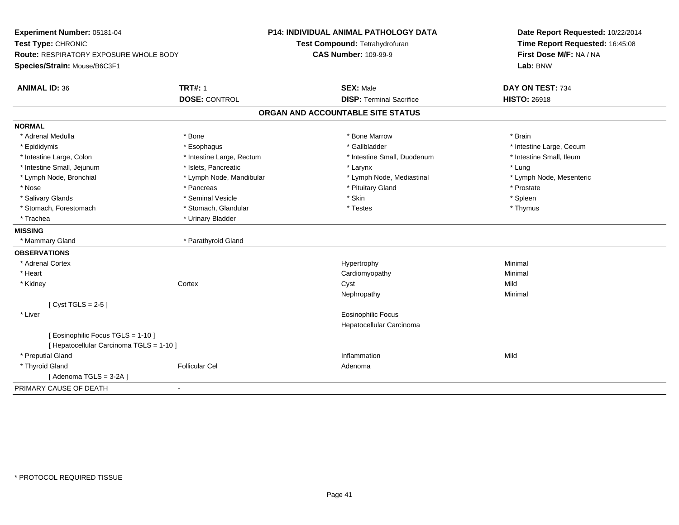| Experiment Number: 05181-04                   |                           | <b>P14: INDIVIDUAL ANIMAL PATHOLOGY DATA</b> | Date Report Requested: 10/22/2014 |  |
|-----------------------------------------------|---------------------------|----------------------------------------------|-----------------------------------|--|
| Test Type: CHRONIC                            |                           | Test Compound: Tetrahydrofuran               | Time Report Requested: 16:45:08   |  |
| <b>Route: RESPIRATORY EXPOSURE WHOLE BODY</b> |                           | <b>CAS Number: 109-99-9</b>                  | First Dose M/F: NA / NA           |  |
| Species/Strain: Mouse/B6C3F1                  |                           |                                              | Lab: BNW                          |  |
| <b>ANIMAL ID: 36</b>                          | <b>TRT#: 1</b>            | <b>SEX: Male</b>                             | DAY ON TEST: 734                  |  |
|                                               | <b>DOSE: CONTROL</b>      | <b>DISP: Terminal Sacrifice</b>              | <b>HISTO: 26918</b>               |  |
|                                               |                           | ORGAN AND ACCOUNTABLE SITE STATUS            |                                   |  |
| <b>NORMAL</b>                                 |                           |                                              |                                   |  |
| * Adrenal Medulla                             | * Bone                    | * Bone Marrow                                | * Brain                           |  |
| * Epididymis                                  | * Esophagus               | * Gallbladder                                | * Intestine Large, Cecum          |  |
| * Intestine Large, Colon                      | * Intestine Large, Rectum | * Intestine Small, Duodenum                  | * Intestine Small, Ileum          |  |
| * Intestine Small, Jejunum                    | * Islets, Pancreatic      | * Larynx                                     | * Lung                            |  |
| * Lymph Node, Bronchial                       | * Lymph Node, Mandibular  | * Lymph Node, Mediastinal                    | * Lymph Node, Mesenteric          |  |
| * Nose                                        | * Pancreas                | * Pituitary Gland                            | * Prostate                        |  |
| * Salivary Glands                             | * Seminal Vesicle         | * Skin                                       | * Spleen                          |  |
| * Stomach, Forestomach                        | * Stomach, Glandular      | * Testes                                     | * Thymus                          |  |
| * Trachea                                     | * Urinary Bladder         |                                              |                                   |  |
| <b>MISSING</b>                                |                           |                                              |                                   |  |
| * Mammary Gland                               | * Parathyroid Gland       |                                              |                                   |  |
| <b>OBSERVATIONS</b>                           |                           |                                              |                                   |  |
| * Adrenal Cortex                              |                           | Hypertrophy                                  | Minimal                           |  |
| * Heart                                       |                           | Cardiomyopathy                               | Minimal                           |  |
| * Kidney                                      | Cortex                    | Cyst                                         | Mild                              |  |
|                                               |                           | Nephropathy                                  | Minimal                           |  |
| [Cyst TGLS = $2-5$ ]                          |                           |                                              |                                   |  |
| * Liver                                       |                           | <b>Eosinophilic Focus</b>                    |                                   |  |
|                                               |                           | Hepatocellular Carcinoma                     |                                   |  |
| [ Eosinophilic Focus TGLS = 1-10 ]            |                           |                                              |                                   |  |
| [ Hepatocellular Carcinoma TGLS = 1-10 ]      |                           |                                              |                                   |  |
| * Preputial Gland                             |                           | Inflammation                                 | Mild                              |  |
| * Thyroid Gland                               | <b>Follicular Cel</b>     | Adenoma                                      |                                   |  |
| [Adenoma $TGLS = 3-2A$ ]                      |                           |                                              |                                   |  |
| PRIMARY CAUSE OF DEATH                        | $\sim$                    |                                              |                                   |  |
|                                               |                           |                                              |                                   |  |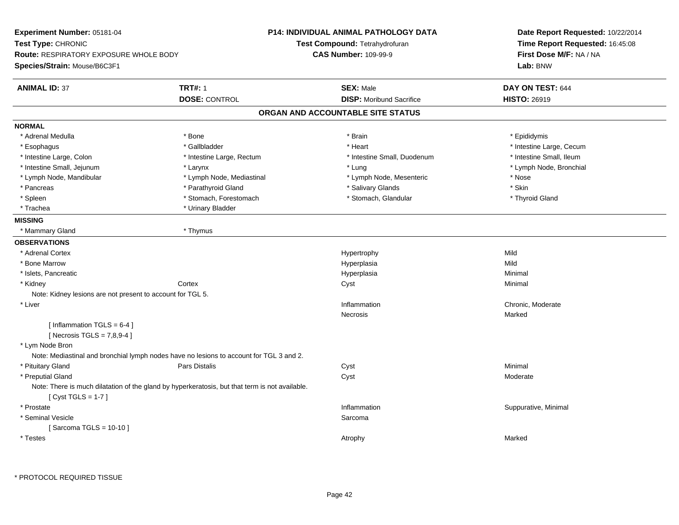| Experiment Number: 05181-04                                  |                                                                                                | <b>P14: INDIVIDUAL ANIMAL PATHOLOGY DATA</b> | Date Report Requested: 10/22/2014<br>Time Report Requested: 16:45:08<br>First Dose M/F: NA / NA |
|--------------------------------------------------------------|------------------------------------------------------------------------------------------------|----------------------------------------------|-------------------------------------------------------------------------------------------------|
| Test Type: CHRONIC                                           |                                                                                                | Test Compound: Tetrahydrofuran               |                                                                                                 |
| <b>Route: RESPIRATORY EXPOSURE WHOLE BODY</b>                |                                                                                                | <b>CAS Number: 109-99-9</b>                  |                                                                                                 |
| Species/Strain: Mouse/B6C3F1                                 |                                                                                                |                                              | Lab: BNW                                                                                        |
| <b>ANIMAL ID: 37</b>                                         | <b>TRT#: 1</b>                                                                                 | <b>SEX: Male</b>                             | DAY ON TEST: 644                                                                                |
|                                                              | <b>DOSE: CONTROL</b>                                                                           | <b>DISP:</b> Moribund Sacrifice              | <b>HISTO: 26919</b>                                                                             |
|                                                              |                                                                                                | ORGAN AND ACCOUNTABLE SITE STATUS            |                                                                                                 |
| <b>NORMAL</b>                                                |                                                                                                |                                              |                                                                                                 |
| * Adrenal Medulla                                            | * Bone                                                                                         | * Brain                                      | * Epididymis                                                                                    |
| * Esophagus                                                  | * Gallbladder                                                                                  | * Heart                                      | * Intestine Large, Cecum                                                                        |
| * Intestine Large, Colon                                     | * Intestine Large, Rectum                                                                      | * Intestine Small, Duodenum                  | * Intestine Small, Ileum                                                                        |
| * Intestine Small, Jejunum                                   | * Larynx                                                                                       | * Lung                                       | * Lymph Node, Bronchial                                                                         |
| * Lymph Node, Mandibular                                     | * Lymph Node, Mediastinal                                                                      | * Lymph Node, Mesenteric                     | * Nose                                                                                          |
| * Pancreas                                                   | * Parathyroid Gland                                                                            | * Salivary Glands                            | * Skin                                                                                          |
| * Spleen                                                     | * Stomach, Forestomach                                                                         | * Stomach, Glandular                         | * Thyroid Gland                                                                                 |
| * Trachea                                                    | * Urinary Bladder                                                                              |                                              |                                                                                                 |
| <b>MISSING</b>                                               |                                                                                                |                                              |                                                                                                 |
| * Mammary Gland                                              | * Thymus                                                                                       |                                              |                                                                                                 |
| <b>OBSERVATIONS</b>                                          |                                                                                                |                                              |                                                                                                 |
| * Adrenal Cortex                                             |                                                                                                | Hypertrophy                                  | Mild                                                                                            |
| * Bone Marrow                                                |                                                                                                | Hyperplasia                                  | Mild                                                                                            |
| * Islets, Pancreatic                                         |                                                                                                | Hyperplasia                                  | Minimal                                                                                         |
| * Kidney                                                     | Cortex                                                                                         | Cyst                                         | Minimal                                                                                         |
| Note: Kidney lesions are not present to account for TGL 5.   |                                                                                                |                                              |                                                                                                 |
| * Liver                                                      |                                                                                                | Inflammation                                 | Chronic, Moderate                                                                               |
|                                                              |                                                                                                | Necrosis                                     | Marked                                                                                          |
| [Inflammation TGLS = $6-4$ ]<br>[Necrosis TGLS = $7,8,9-4$ ] |                                                                                                |                                              |                                                                                                 |
| * Lym Node Bron                                              |                                                                                                |                                              |                                                                                                 |
|                                                              | Note: Mediastinal and bronchial lymph nodes have no lesions to account for TGL 3 and 2.        |                                              |                                                                                                 |
| * Pituitary Gland                                            | Pars Distalis                                                                                  | Cyst                                         | Minimal                                                                                         |
| * Preputial Gland                                            |                                                                                                | Cyst                                         | Moderate                                                                                        |
| [Cyst TGLS = $1-7$ ]                                         | Note: There is much dilatation of the gland by hyperkeratosis, but that term is not available. |                                              |                                                                                                 |
| * Prostate                                                   |                                                                                                | Inflammation                                 | Suppurative, Minimal                                                                            |
| * Seminal Vesicle                                            |                                                                                                | Sarcoma                                      |                                                                                                 |
| [Sarcoma TGLS = 10-10]                                       |                                                                                                |                                              |                                                                                                 |
| * Testes                                                     |                                                                                                | Atrophy                                      | Marked                                                                                          |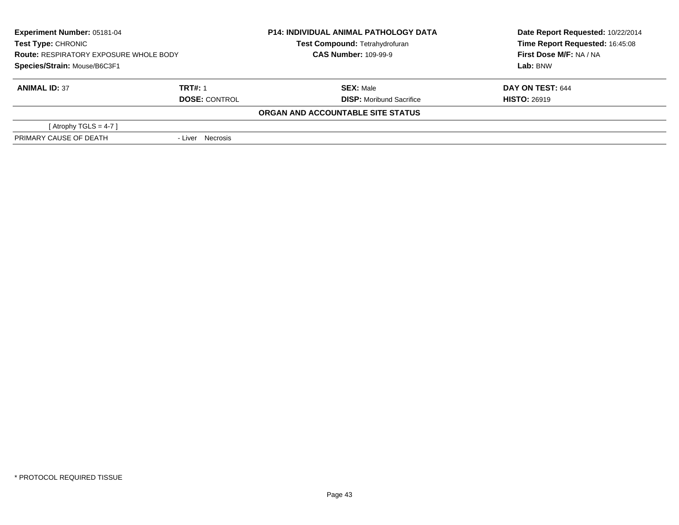| <b>Experiment Number: 05181-04</b><br><b>Test Type: CHRONIC</b><br><b>Route: RESPIRATORY EXPOSURE WHOLE BODY</b> |                      | <b>P14: INDIVIDUAL ANIMAL PATHOLOGY DATA</b> | Date Report Requested: 10/22/2014 |
|------------------------------------------------------------------------------------------------------------------|----------------------|----------------------------------------------|-----------------------------------|
|                                                                                                                  |                      | Test Compound: Tetrahydrofuran               | Time Report Requested: 16:45:08   |
|                                                                                                                  |                      | <b>CAS Number: 109-99-9</b>                  | First Dose M/F: NA / NA           |
| Species/Strain: Mouse/B6C3F1                                                                                     |                      |                                              | Lab: BNW                          |
| <b>ANIMAL ID: 37</b>                                                                                             | <b>TRT#: 1</b>       | <b>SEX: Male</b>                             | DAY ON TEST: 644                  |
|                                                                                                                  | <b>DOSE: CONTROL</b> | <b>DISP:</b> Moribund Sacrifice              | <b>HISTO: 26919</b>               |
|                                                                                                                  |                      | ORGAN AND ACCOUNTABLE SITE STATUS            |                                   |
| [ Atrophy TGLS = $4-7$ ]                                                                                         |                      |                                              |                                   |
| PRIMARY CAUSE OF DEATH                                                                                           | - Liver Necrosis     |                                              |                                   |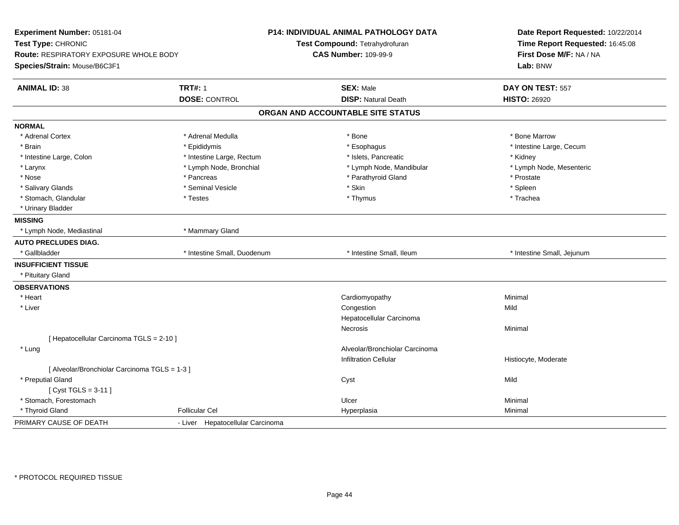| Experiment Number: 05181-04<br>Test Type: CHRONIC<br>Route: RESPIRATORY EXPOSURE WHOLE BODY<br>Species/Strain: Mouse/B6C3F1 |                                  | P14: INDIVIDUAL ANIMAL PATHOLOGY DATA<br>Test Compound: Tetrahydrofuran<br><b>CAS Number: 109-99-9</b> | Date Report Requested: 10/22/2014<br>Time Report Requested: 16:45:08<br>First Dose M/F: NA / NA<br>Lab: BNW |
|-----------------------------------------------------------------------------------------------------------------------------|----------------------------------|--------------------------------------------------------------------------------------------------------|-------------------------------------------------------------------------------------------------------------|
| <b>ANIMAL ID: 38</b>                                                                                                        | <b>TRT#: 1</b>                   | <b>SEX: Male</b>                                                                                       | DAY ON TEST: 557                                                                                            |
|                                                                                                                             | <b>DOSE: CONTROL</b>             | <b>DISP: Natural Death</b>                                                                             | <b>HISTO: 26920</b>                                                                                         |
|                                                                                                                             |                                  | ORGAN AND ACCOUNTABLE SITE STATUS                                                                      |                                                                                                             |
| <b>NORMAL</b>                                                                                                               |                                  |                                                                                                        |                                                                                                             |
| * Adrenal Cortex                                                                                                            | * Adrenal Medulla                | * Bone                                                                                                 | * Bone Marrow                                                                                               |
| * Brain                                                                                                                     | * Epididymis                     | * Esophagus                                                                                            | * Intestine Large, Cecum                                                                                    |
| * Intestine Large, Colon                                                                                                    | * Intestine Large, Rectum        | * Islets, Pancreatic                                                                                   | * Kidney                                                                                                    |
| * Larynx                                                                                                                    | * Lymph Node, Bronchial          | * Lymph Node, Mandibular                                                                               | * Lymph Node, Mesenteric                                                                                    |
| * Nose                                                                                                                      | * Pancreas                       | * Parathyroid Gland                                                                                    | * Prostate                                                                                                  |
| * Salivary Glands                                                                                                           | * Seminal Vesicle                | * Skin                                                                                                 | * Spleen                                                                                                    |
| * Stomach, Glandular                                                                                                        | * Testes                         | * Thymus                                                                                               | * Trachea                                                                                                   |
| * Urinary Bladder                                                                                                           |                                  |                                                                                                        |                                                                                                             |
| <b>MISSING</b>                                                                                                              |                                  |                                                                                                        |                                                                                                             |
| * Lymph Node, Mediastinal                                                                                                   | * Mammary Gland                  |                                                                                                        |                                                                                                             |
| <b>AUTO PRECLUDES DIAG.</b>                                                                                                 |                                  |                                                                                                        |                                                                                                             |
| * Gallbladder                                                                                                               | * Intestine Small, Duodenum      | * Intestine Small, Ileum                                                                               | * Intestine Small, Jejunum                                                                                  |
| <b>INSUFFICIENT TISSUE</b>                                                                                                  |                                  |                                                                                                        |                                                                                                             |
| * Pituitary Gland                                                                                                           |                                  |                                                                                                        |                                                                                                             |
| <b>OBSERVATIONS</b>                                                                                                         |                                  |                                                                                                        |                                                                                                             |
| * Heart                                                                                                                     |                                  | Cardiomyopathy                                                                                         | Minimal                                                                                                     |
| * Liver                                                                                                                     |                                  | Congestion                                                                                             | Mild                                                                                                        |
|                                                                                                                             |                                  | Hepatocellular Carcinoma                                                                               |                                                                                                             |
|                                                                                                                             |                                  | <b>Necrosis</b>                                                                                        | Minimal                                                                                                     |
| [ Hepatocellular Carcinoma TGLS = 2-10 ]                                                                                    |                                  |                                                                                                        |                                                                                                             |
| * Lung                                                                                                                      |                                  | Alveolar/Bronchiolar Carcinoma                                                                         |                                                                                                             |
|                                                                                                                             |                                  | <b>Infiltration Cellular</b>                                                                           | Histiocyte, Moderate                                                                                        |
| [ Alveolar/Bronchiolar Carcinoma TGLS = 1-3 ]                                                                               |                                  |                                                                                                        |                                                                                                             |
| * Preputial Gland                                                                                                           |                                  | Cyst                                                                                                   | Mild                                                                                                        |
| [ $Cyst TGLS = 3-11$ ]                                                                                                      |                                  |                                                                                                        |                                                                                                             |
| * Stomach, Forestomach                                                                                                      |                                  | Ulcer                                                                                                  | Minimal                                                                                                     |
| * Thyroid Gland                                                                                                             | <b>Follicular Cel</b>            | Hyperplasia                                                                                            | Minimal                                                                                                     |
| PRIMARY CAUSE OF DEATH                                                                                                      | - Liver Hepatocellular Carcinoma |                                                                                                        |                                                                                                             |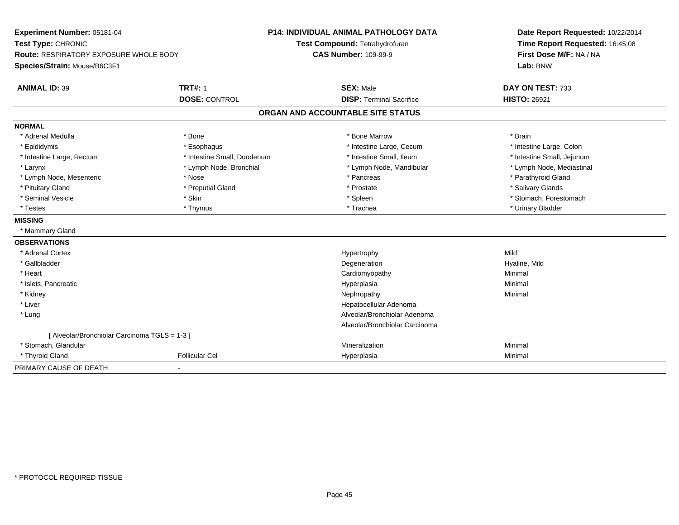| Experiment Number: 05181-04<br>Test Type: CHRONIC<br>Route: RESPIRATORY EXPOSURE WHOLE BODY |                             | <b>P14: INDIVIDUAL ANIMAL PATHOLOGY DATA</b><br>Test Compound: Tetrahydrofuran<br><b>CAS Number: 109-99-9</b> | Date Report Requested: 10/22/2014<br>Time Report Requested: 16:45:08 |  |
|---------------------------------------------------------------------------------------------|-----------------------------|---------------------------------------------------------------------------------------------------------------|----------------------------------------------------------------------|--|
| Species/Strain: Mouse/B6C3F1                                                                |                             |                                                                                                               | First Dose M/F: NA / NA<br>Lab: BNW                                  |  |
| <b>ANIMAL ID: 39</b>                                                                        | <b>TRT#: 1</b>              | <b>SEX: Male</b>                                                                                              | DAY ON TEST: 733                                                     |  |
|                                                                                             | <b>DOSE: CONTROL</b>        | <b>DISP: Terminal Sacrifice</b>                                                                               | <b>HISTO: 26921</b>                                                  |  |
|                                                                                             |                             | ORGAN AND ACCOUNTABLE SITE STATUS                                                                             |                                                                      |  |
| <b>NORMAL</b>                                                                               |                             |                                                                                                               |                                                                      |  |
| * Adrenal Medulla                                                                           | * Bone                      | * Bone Marrow                                                                                                 | * Brain                                                              |  |
| * Epididymis                                                                                | * Esophagus                 | * Intestine Large, Cecum                                                                                      | * Intestine Large, Colon                                             |  |
| * Intestine Large, Rectum                                                                   | * Intestine Small, Duodenum | * Intestine Small, Ileum                                                                                      | * Intestine Small, Jejunum                                           |  |
| * Larynx                                                                                    | * Lymph Node, Bronchial     | * Lymph Node, Mandibular                                                                                      | * Lymph Node, Mediastinal                                            |  |
| * Lymph Node, Mesenteric                                                                    | * Nose                      | * Pancreas                                                                                                    | * Parathyroid Gland                                                  |  |
| * Pituitary Gland                                                                           | * Preputial Gland           | * Prostate                                                                                                    | * Salivary Glands                                                    |  |
| * Seminal Vesicle                                                                           | * Skin                      | * Spleen                                                                                                      | * Stomach, Forestomach                                               |  |
| * Testes                                                                                    | * Thymus                    | * Trachea                                                                                                     | * Urinary Bladder                                                    |  |
| <b>MISSING</b>                                                                              |                             |                                                                                                               |                                                                      |  |
| * Mammary Gland                                                                             |                             |                                                                                                               |                                                                      |  |
| <b>OBSERVATIONS</b>                                                                         |                             |                                                                                                               |                                                                      |  |
| * Adrenal Cortex                                                                            |                             | Hypertrophy                                                                                                   | Mild                                                                 |  |
| * Gallbladder                                                                               |                             | Degeneration                                                                                                  | Hyaline, Mild                                                        |  |
| * Heart                                                                                     |                             | Cardiomyopathy                                                                                                | Minimal                                                              |  |
| * Islets, Pancreatic                                                                        |                             | Hyperplasia                                                                                                   | Minimal                                                              |  |
| * Kidney                                                                                    |                             | Nephropathy                                                                                                   | Minimal                                                              |  |
| * Liver                                                                                     |                             | Hepatocellular Adenoma                                                                                        |                                                                      |  |
| * Lung                                                                                      |                             | Alveolar/Bronchiolar Adenoma                                                                                  |                                                                      |  |
|                                                                                             |                             | Alveolar/Bronchiolar Carcinoma                                                                                |                                                                      |  |
| [ Alveolar/Bronchiolar Carcinoma TGLS = 1-3 ]                                               |                             |                                                                                                               |                                                                      |  |
| * Stomach, Glandular                                                                        |                             | Mineralization                                                                                                | Minimal                                                              |  |
| * Thyroid Gland                                                                             | <b>Follicular Cel</b>       | Hyperplasia                                                                                                   | Minimal                                                              |  |
| PRIMARY CAUSE OF DEATH                                                                      |                             |                                                                                                               |                                                                      |  |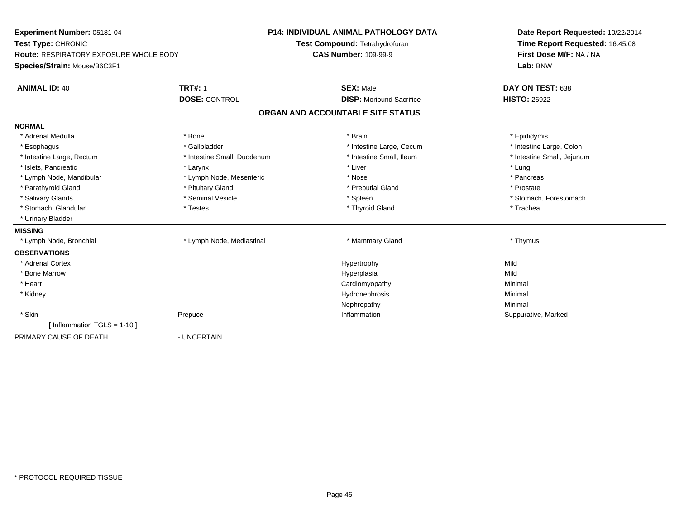| Experiment Number: 05181-04                   |                             | <b>P14: INDIVIDUAL ANIMAL PATHOLOGY DATA</b> | Date Report Requested: 10/22/2014 |
|-----------------------------------------------|-----------------------------|----------------------------------------------|-----------------------------------|
| Test Type: CHRONIC                            |                             | Test Compound: Tetrahydrofuran               | Time Report Requested: 16:45:08   |
| <b>Route: RESPIRATORY EXPOSURE WHOLE BODY</b> |                             | <b>CAS Number: 109-99-9</b>                  | First Dose M/F: NA / NA           |
| Species/Strain: Mouse/B6C3F1                  |                             |                                              | Lab: BNW                          |
| <b>ANIMAL ID: 40</b>                          | <b>TRT#: 1</b>              | <b>SEX: Male</b>                             | DAY ON TEST: 638                  |
|                                               | <b>DOSE: CONTROL</b>        | <b>DISP:</b> Moribund Sacrifice              | <b>HISTO: 26922</b>               |
|                                               |                             | ORGAN AND ACCOUNTABLE SITE STATUS            |                                   |
| <b>NORMAL</b>                                 |                             |                                              |                                   |
| * Adrenal Medulla                             | * Bone                      | * Brain                                      | * Epididymis                      |
| * Esophagus                                   | * Gallbladder               | * Intestine Large, Cecum                     | * Intestine Large, Colon          |
| * Intestine Large, Rectum                     | * Intestine Small, Duodenum | * Intestine Small. Ileum                     | * Intestine Small, Jejunum        |
| * Islets, Pancreatic                          | * Larynx                    | * Liver                                      | * Lung                            |
| * Lymph Node, Mandibular                      | * Lymph Node, Mesenteric    | * Nose                                       | * Pancreas                        |
| * Parathyroid Gland                           | * Pituitary Gland           | * Preputial Gland                            | * Prostate                        |
| * Salivary Glands                             | * Seminal Vesicle           | * Spleen                                     | * Stomach, Forestomach            |
| * Stomach, Glandular                          | * Testes                    | * Thyroid Gland                              | * Trachea                         |
| * Urinary Bladder                             |                             |                                              |                                   |
| <b>MISSING</b>                                |                             |                                              |                                   |
| * Lymph Node, Bronchial                       | * Lymph Node, Mediastinal   | * Mammary Gland                              | * Thymus                          |
| <b>OBSERVATIONS</b>                           |                             |                                              |                                   |
| * Adrenal Cortex                              |                             | Hypertrophy                                  | Mild                              |
| * Bone Marrow                                 |                             | Hyperplasia                                  | Mild                              |
| * Heart                                       |                             | Cardiomyopathy                               | Minimal                           |
| * Kidney                                      |                             | Hydronephrosis                               | Minimal                           |
|                                               |                             | Nephropathy                                  | Minimal                           |
| * Skin                                        | Prepuce                     | Inflammation                                 | Suppurative, Marked               |
| [Inflammation TGLS = $1-10$ ]                 |                             |                                              |                                   |
| PRIMARY CAUSE OF DEATH                        | - UNCERTAIN                 |                                              |                                   |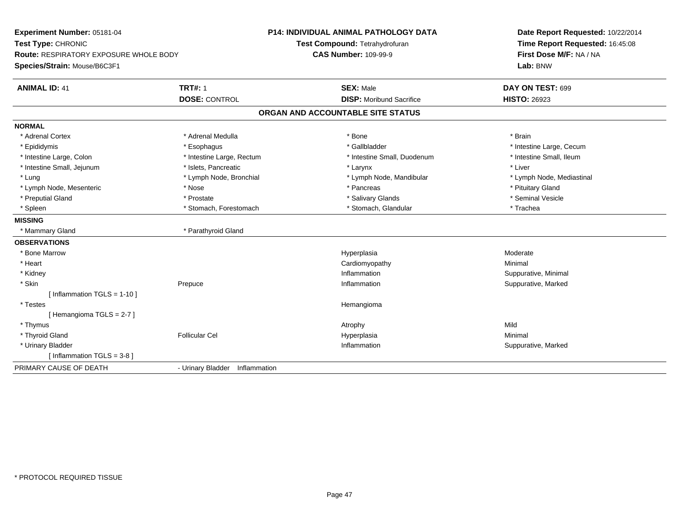| Experiment Number: 05181-04                              | <b>P14: INDIVIDUAL ANIMAL PATHOLOGY DATA</b> | Date Report Requested: 10/22/2014<br>Time Report Requested: 16:45:08<br>First Dose M/F: NA / NA |
|----------------------------------------------------------|----------------------------------------------|-------------------------------------------------------------------------------------------------|
| Test Type: CHRONIC                                       | Test Compound: Tetrahydrofuran               |                                                                                                 |
| Route: RESPIRATORY EXPOSURE WHOLE BODY                   | <b>CAS Number: 109-99-9</b>                  |                                                                                                 |
| Species/Strain: Mouse/B6C3F1                             |                                              | Lab: BNW                                                                                        |
| <b>TRT#: 1</b><br><b>ANIMAL ID: 41</b>                   | <b>SEX: Male</b>                             | DAY ON TEST: 699                                                                                |
| <b>DOSE: CONTROL</b>                                     | <b>DISP:</b> Moribund Sacrifice              | <b>HISTO: 26923</b>                                                                             |
|                                                          | ORGAN AND ACCOUNTABLE SITE STATUS            |                                                                                                 |
| <b>NORMAL</b>                                            |                                              |                                                                                                 |
| * Adrenal Cortex<br>* Adrenal Medulla                    | * Bone                                       | * Brain                                                                                         |
| * Epididymis<br>* Esophagus                              | * Gallbladder                                | * Intestine Large, Cecum                                                                        |
| * Intestine Large, Colon<br>* Intestine Large, Rectum    | * Intestine Small, Duodenum                  | * Intestine Small, Ileum                                                                        |
| * Intestine Small, Jejunum<br>* Islets, Pancreatic       | * Larynx                                     | * Liver                                                                                         |
| * Lung<br>* Lymph Node, Bronchial                        | * Lymph Node, Mandibular                     | * Lymph Node, Mediastinal                                                                       |
| * Nose<br>* Lymph Node, Mesenteric                       | * Pancreas                                   | * Pituitary Gland                                                                               |
| * Preputial Gland<br>* Prostate                          | * Salivary Glands                            | * Seminal Vesicle                                                                               |
| * Spleen<br>* Stomach, Forestomach                       | * Stomach, Glandular                         | * Trachea                                                                                       |
| <b>MISSING</b>                                           |                                              |                                                                                                 |
| * Parathyroid Gland<br>* Mammary Gland                   |                                              |                                                                                                 |
| <b>OBSERVATIONS</b>                                      |                                              |                                                                                                 |
| * Bone Marrow                                            | Hyperplasia                                  | Moderate                                                                                        |
| * Heart                                                  | Cardiomyopathy                               | Minimal                                                                                         |
| * Kidney                                                 | Inflammation                                 | Suppurative, Minimal                                                                            |
| * Skin<br>Prepuce                                        | Inflammation                                 | Suppurative, Marked                                                                             |
| [Inflammation TGLS = $1-10$ ]                            |                                              |                                                                                                 |
| * Testes                                                 | Hemangioma                                   |                                                                                                 |
| [Hemangioma TGLS = 2-7]                                  |                                              |                                                                                                 |
| * Thymus                                                 | Atrophy                                      | Mild                                                                                            |
| * Thyroid Gland<br><b>Follicular Cel</b>                 | Hyperplasia                                  | Minimal                                                                                         |
| * Urinary Bladder                                        | Inflammation                                 | Suppurative, Marked                                                                             |
| [Inflammation TGLS = $3-8$ ]                             |                                              |                                                                                                 |
| PRIMARY CAUSE OF DEATH<br>- Urinary Bladder Inflammation |                                              |                                                                                                 |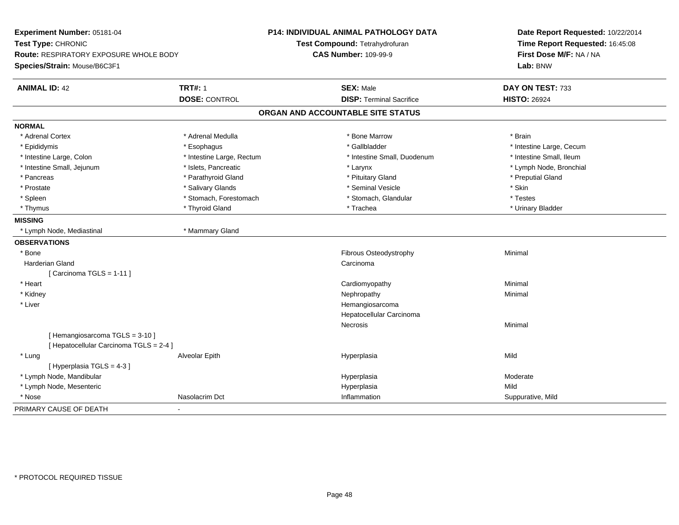| Experiment Number: 05181-04<br>Test Type: CHRONIC<br>Route: RESPIRATORY EXPOSURE WHOLE BODY<br>Species/Strain: Mouse/B6C3F1 |                           | P14: INDIVIDUAL ANIMAL PATHOLOGY DATA<br>Test Compound: Tetrahydrofuran<br><b>CAS Number: 109-99-9</b> | Date Report Requested: 10/22/2014<br>Time Report Requested: 16:45:08<br>First Dose M/F: NA / NA<br>Lab: BNW |
|-----------------------------------------------------------------------------------------------------------------------------|---------------------------|--------------------------------------------------------------------------------------------------------|-------------------------------------------------------------------------------------------------------------|
| <b>ANIMAL ID: 42</b>                                                                                                        | <b>TRT#: 1</b>            | <b>SEX: Male</b>                                                                                       | DAY ON TEST: 733                                                                                            |
|                                                                                                                             | <b>DOSE: CONTROL</b>      | <b>DISP: Terminal Sacrifice</b>                                                                        | <b>HISTO: 26924</b>                                                                                         |
|                                                                                                                             |                           | ORGAN AND ACCOUNTABLE SITE STATUS                                                                      |                                                                                                             |
| <b>NORMAL</b>                                                                                                               |                           |                                                                                                        |                                                                                                             |
| * Adrenal Cortex                                                                                                            | * Adrenal Medulla         | * Bone Marrow                                                                                          | * Brain                                                                                                     |
| * Epididymis                                                                                                                | * Esophagus               | * Gallbladder                                                                                          | * Intestine Large, Cecum                                                                                    |
| * Intestine Large, Colon                                                                                                    | * Intestine Large, Rectum | * Intestine Small, Duodenum                                                                            | * Intestine Small, Ileum                                                                                    |
| * Intestine Small, Jejunum                                                                                                  | * Islets, Pancreatic      | * Larynx                                                                                               | * Lymph Node, Bronchial                                                                                     |
| * Pancreas                                                                                                                  | * Parathyroid Gland       | * Pituitary Gland                                                                                      | * Preputial Gland                                                                                           |
| * Prostate                                                                                                                  | * Salivary Glands         | * Seminal Vesicle                                                                                      | * Skin                                                                                                      |
| * Spleen                                                                                                                    | * Stomach, Forestomach    | * Stomach, Glandular                                                                                   | * Testes                                                                                                    |
| * Thymus                                                                                                                    | * Thyroid Gland           | * Trachea                                                                                              | * Urinary Bladder                                                                                           |
| <b>MISSING</b>                                                                                                              |                           |                                                                                                        |                                                                                                             |
| * Lymph Node, Mediastinal                                                                                                   | * Mammary Gland           |                                                                                                        |                                                                                                             |
| <b>OBSERVATIONS</b>                                                                                                         |                           |                                                                                                        |                                                                                                             |
| * Bone                                                                                                                      |                           | Fibrous Osteodystrophy                                                                                 | Minimal                                                                                                     |
| Harderian Gland                                                                                                             |                           | Carcinoma                                                                                              |                                                                                                             |
| [Carcinoma TGLS = 1-11]                                                                                                     |                           |                                                                                                        |                                                                                                             |
| * Heart                                                                                                                     |                           | Cardiomyopathy                                                                                         | Minimal                                                                                                     |
| * Kidney                                                                                                                    |                           | Nephropathy                                                                                            | Minimal                                                                                                     |
| * Liver                                                                                                                     |                           | Hemangiosarcoma                                                                                        |                                                                                                             |
|                                                                                                                             |                           | Hepatocellular Carcinoma                                                                               |                                                                                                             |
|                                                                                                                             |                           | Necrosis                                                                                               | Minimal                                                                                                     |
| [Hemangiosarcoma TGLS = 3-10]                                                                                               |                           |                                                                                                        |                                                                                                             |
| [ Hepatocellular Carcinoma TGLS = 2-4 ]                                                                                     |                           |                                                                                                        |                                                                                                             |
| * Lung                                                                                                                      | Alveolar Epith            | Hyperplasia                                                                                            | Mild                                                                                                        |
| [ Hyperplasia TGLS = 4-3 ]                                                                                                  |                           |                                                                                                        |                                                                                                             |
| * Lymph Node, Mandibular                                                                                                    |                           | Hyperplasia                                                                                            | Moderate                                                                                                    |
| * Lymph Node, Mesenteric                                                                                                    |                           | Hyperplasia                                                                                            | Mild                                                                                                        |
| * Nose                                                                                                                      | Nasolacrim Dct            | Inflammation                                                                                           | Suppurative, Mild                                                                                           |
| PRIMARY CAUSE OF DEATH                                                                                                      |                           |                                                                                                        |                                                                                                             |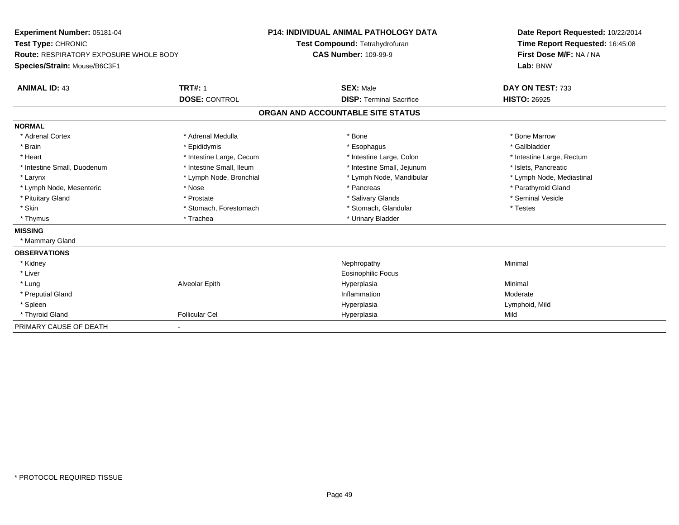| Experiment Number: 05181-04                   | <b>P14: INDIVIDUAL ANIMAL PATHOLOGY DATA</b> |                                   | Date Report Requested: 10/22/2014 |
|-----------------------------------------------|----------------------------------------------|-----------------------------------|-----------------------------------|
| Test Type: CHRONIC                            |                                              | Test Compound: Tetrahydrofuran    | Time Report Requested: 16:45:08   |
| <b>Route: RESPIRATORY EXPOSURE WHOLE BODY</b> |                                              | <b>CAS Number: 109-99-9</b>       | First Dose M/F: NA / NA           |
| Species/Strain: Mouse/B6C3F1                  |                                              |                                   | Lab: BNW                          |
| <b>ANIMAL ID: 43</b>                          | <b>TRT#: 1</b>                               | <b>SEX: Male</b>                  | DAY ON TEST: 733                  |
|                                               | <b>DOSE: CONTROL</b>                         | <b>DISP: Terminal Sacrifice</b>   | <b>HISTO: 26925</b>               |
|                                               |                                              | ORGAN AND ACCOUNTABLE SITE STATUS |                                   |
| <b>NORMAL</b>                                 |                                              |                                   |                                   |
| * Adrenal Cortex                              | * Adrenal Medulla                            | * Bone                            | * Bone Marrow                     |
| * Brain                                       | * Epididymis                                 | * Esophagus                       | * Gallbladder                     |
| * Heart                                       | * Intestine Large, Cecum                     | * Intestine Large, Colon          | * Intestine Large, Rectum         |
| * Intestine Small, Duodenum                   | * Intestine Small, Ileum                     | * Intestine Small, Jejunum        | * Islets, Pancreatic              |
| * Larynx                                      | * Lymph Node, Bronchial                      | * Lymph Node, Mandibular          | * Lymph Node, Mediastinal         |
| * Lymph Node, Mesenteric                      | * Nose                                       | * Pancreas                        | * Parathyroid Gland               |
| * Pituitary Gland                             | * Prostate                                   | * Salivary Glands                 | * Seminal Vesicle                 |
| * Skin                                        | * Stomach, Forestomach                       | * Stomach, Glandular              | * Testes                          |
| * Thymus                                      | * Trachea                                    | * Urinary Bladder                 |                                   |
| <b>MISSING</b>                                |                                              |                                   |                                   |
| * Mammary Gland                               |                                              |                                   |                                   |
| <b>OBSERVATIONS</b>                           |                                              |                                   |                                   |
| * Kidney                                      |                                              | Nephropathy                       | Minimal                           |
| * Liver                                       |                                              | <b>Eosinophilic Focus</b>         |                                   |
| * Lung                                        | Alveolar Epith                               | Hyperplasia                       | Minimal                           |
| * Preputial Gland                             |                                              | Inflammation                      | Moderate                          |
| * Spleen                                      |                                              | Hyperplasia                       | Lymphoid, Mild                    |
| * Thyroid Gland                               | <b>Follicular Cel</b>                        | Hyperplasia                       | Mild                              |
| PRIMARY CAUSE OF DEATH                        | $\blacksquare$                               |                                   |                                   |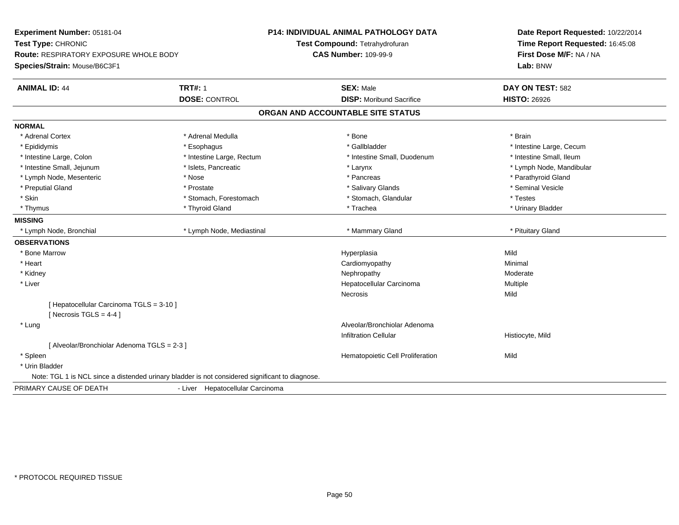| Experiment Number: 05181-04                                                                     |                                  | <b>P14: INDIVIDUAL ANIMAL PATHOLOGY DATA</b> | Date Report Requested: 10/22/2014 |
|-------------------------------------------------------------------------------------------------|----------------------------------|----------------------------------------------|-----------------------------------|
| Test Type: CHRONIC                                                                              |                                  | Test Compound: Tetrahydrofuran               | Time Report Requested: 16:45:08   |
| <b>Route: RESPIRATORY EXPOSURE WHOLE BODY</b>                                                   |                                  | <b>CAS Number: 109-99-9</b>                  | First Dose M/F: NA / NA           |
| Species/Strain: Mouse/B6C3F1                                                                    |                                  |                                              | Lab: BNW                          |
| <b>ANIMAL ID: 44</b>                                                                            | <b>TRT#: 1</b>                   | <b>SEX: Male</b>                             | DAY ON TEST: 582                  |
|                                                                                                 | <b>DOSE: CONTROL</b>             | <b>DISP:</b> Moribund Sacrifice              | <b>HISTO: 26926</b>               |
|                                                                                                 |                                  | ORGAN AND ACCOUNTABLE SITE STATUS            |                                   |
| <b>NORMAL</b>                                                                                   |                                  |                                              |                                   |
| * Adrenal Cortex                                                                                | * Adrenal Medulla                | * Bone                                       | * Brain                           |
| * Epididymis                                                                                    | * Esophagus                      | * Gallbladder                                | * Intestine Large, Cecum          |
| * Intestine Large, Colon                                                                        | * Intestine Large, Rectum        | * Intestine Small, Duodenum                  | * Intestine Small, Ileum          |
| * Intestine Small, Jejunum                                                                      | * Islets, Pancreatic             | * Larynx                                     | * Lymph Node, Mandibular          |
| * Lymph Node, Mesenteric                                                                        | * Nose                           | * Pancreas                                   | * Parathyroid Gland               |
| * Preputial Gland                                                                               | * Prostate                       | * Salivary Glands                            | * Seminal Vesicle                 |
| * Skin                                                                                          | * Stomach, Forestomach           | * Stomach, Glandular                         | * Testes                          |
| * Thymus                                                                                        | * Thyroid Gland                  | * Trachea                                    | * Urinary Bladder                 |
| <b>MISSING</b>                                                                                  |                                  |                                              |                                   |
| * Lymph Node, Bronchial                                                                         | * Lymph Node, Mediastinal        | * Mammary Gland                              | * Pituitary Gland                 |
| <b>OBSERVATIONS</b>                                                                             |                                  |                                              |                                   |
| * Bone Marrow                                                                                   |                                  | Hyperplasia                                  | Mild                              |
| * Heart                                                                                         |                                  | Cardiomyopathy                               | Minimal                           |
| * Kidney                                                                                        |                                  | Nephropathy                                  | Moderate                          |
| * Liver                                                                                         |                                  | Hepatocellular Carcinoma                     | Multiple                          |
|                                                                                                 |                                  | <b>Necrosis</b>                              | Mild                              |
| [ Hepatocellular Carcinoma TGLS = 3-10 ]                                                        |                                  |                                              |                                   |
| [Necrosis TGLS = $4-4$ ]                                                                        |                                  |                                              |                                   |
| * Lung                                                                                          |                                  | Alveolar/Bronchiolar Adenoma                 |                                   |
|                                                                                                 |                                  | <b>Infiltration Cellular</b>                 | Histiocyte, Mild                  |
| [ Alveolar/Bronchiolar Adenoma TGLS = 2-3 ]                                                     |                                  |                                              |                                   |
| * Spleen                                                                                        |                                  | Hematopoietic Cell Proliferation             | Mild                              |
| * Urin Bladder                                                                                  |                                  |                                              |                                   |
| Note: TGL 1 is NCL since a distended urinary bladder is not considered significant to diagnose. |                                  |                                              |                                   |
| PRIMARY CAUSE OF DEATH                                                                          | - Liver Hepatocellular Carcinoma |                                              |                                   |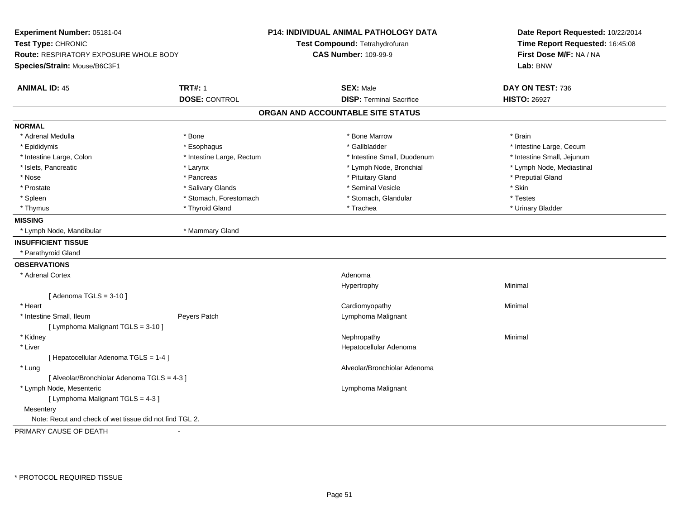| Experiment Number: 05181-04                             |                           | <b>P14: INDIVIDUAL ANIMAL PATHOLOGY DATA</b> | Date Report Requested: 10/22/2014 |  |
|---------------------------------------------------------|---------------------------|----------------------------------------------|-----------------------------------|--|
| Test Type: CHRONIC                                      |                           | Test Compound: Tetrahydrofuran               | Time Report Requested: 16:45:08   |  |
| Route: RESPIRATORY EXPOSURE WHOLE BODY                  |                           | <b>CAS Number: 109-99-9</b>                  | First Dose M/F: NA / NA           |  |
| Species/Strain: Mouse/B6C3F1                            |                           |                                              | Lab: BNW                          |  |
| <b>ANIMAL ID: 45</b>                                    | <b>TRT#: 1</b>            | <b>SEX: Male</b>                             | DAY ON TEST: 736                  |  |
|                                                         | <b>DOSE: CONTROL</b>      | <b>DISP: Terminal Sacrifice</b>              | <b>HISTO: 26927</b>               |  |
|                                                         |                           | ORGAN AND ACCOUNTABLE SITE STATUS            |                                   |  |
| <b>NORMAL</b>                                           |                           |                                              |                                   |  |
| * Adrenal Medulla                                       | $*$ Bone                  | * Bone Marrow                                | * Brain                           |  |
| * Epididymis                                            | * Esophagus               | * Gallbladder                                | * Intestine Large, Cecum          |  |
| * Intestine Large, Colon                                | * Intestine Large, Rectum | * Intestine Small, Duodenum                  | * Intestine Small, Jejunum        |  |
| * Islets, Pancreatic                                    | * Larynx                  | * Lymph Node, Bronchial                      | * Lymph Node, Mediastinal         |  |
| * Nose                                                  | * Pancreas                | * Pituitary Gland                            | * Preputial Gland                 |  |
| * Prostate                                              | * Salivary Glands         | * Seminal Vesicle                            | * Skin                            |  |
| * Spleen                                                | * Stomach, Forestomach    | * Stomach, Glandular                         | * Testes                          |  |
| * Thymus                                                | * Thyroid Gland           | * Trachea                                    | * Urinary Bladder                 |  |
| <b>MISSING</b>                                          |                           |                                              |                                   |  |
| * Lymph Node, Mandibular                                | * Mammary Gland           |                                              |                                   |  |
| <b>INSUFFICIENT TISSUE</b>                              |                           |                                              |                                   |  |
| * Parathyroid Gland                                     |                           |                                              |                                   |  |
| <b>OBSERVATIONS</b>                                     |                           |                                              |                                   |  |
| * Adrenal Cortex                                        |                           | Adenoma                                      |                                   |  |
|                                                         |                           | Hypertrophy                                  | Minimal                           |  |
| [Adenoma TGLS = $3-10$ ]                                |                           |                                              |                                   |  |
| * Heart                                                 |                           | Cardiomyopathy                               | Minimal                           |  |
| * Intestine Small, Ileum                                | Peyers Patch              | Lymphoma Malignant                           |                                   |  |
| [ Lymphoma Malignant TGLS = 3-10 ]                      |                           |                                              |                                   |  |
| * Kidney                                                |                           | Nephropathy                                  | Minimal                           |  |
| * Liver                                                 |                           | Hepatocellular Adenoma                       |                                   |  |
| [ Hepatocellular Adenoma TGLS = 1-4 ]                   |                           |                                              |                                   |  |
| * Lung                                                  |                           | Alveolar/Bronchiolar Adenoma                 |                                   |  |
| [ Alveolar/Bronchiolar Adenoma TGLS = 4-3 ]             |                           |                                              |                                   |  |
| * Lymph Node, Mesenteric                                |                           | Lymphoma Malignant                           |                                   |  |
| [ Lymphoma Malignant TGLS = 4-3 ]                       |                           |                                              |                                   |  |
| Mesentery                                               |                           |                                              |                                   |  |
| Note: Recut and check of wet tissue did not find TGL 2. |                           |                                              |                                   |  |
| PRIMARY CAUSE OF DEATH                                  | $\blacksquare$            |                                              |                                   |  |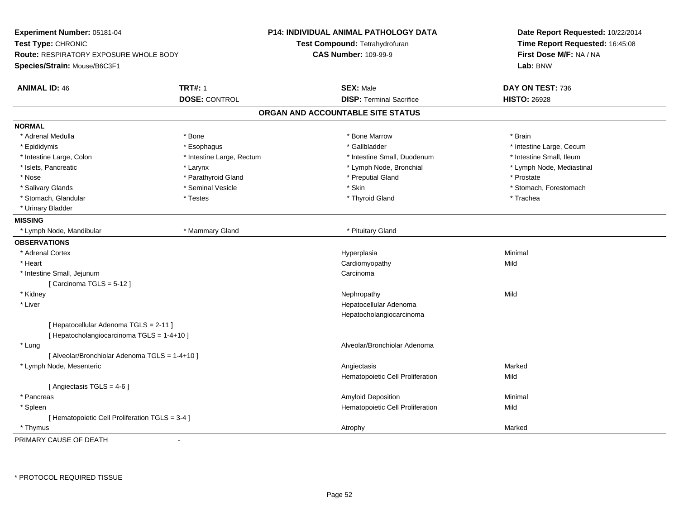| Experiment Number: 05181-04<br>Test Type: CHRONIC<br>Route: RESPIRATORY EXPOSURE WHOLE BODY<br>Species/Strain: Mouse/B6C3F1 |                           | <b>P14: INDIVIDUAL ANIMAL PATHOLOGY DATA</b><br>Test Compound: Tetrahydrofuran<br><b>CAS Number: 109-99-9</b> | Date Report Requested: 10/22/2014<br>Time Report Requested: 16:45:08<br>First Dose M/F: NA / NA<br>Lab: BNW |  |
|-----------------------------------------------------------------------------------------------------------------------------|---------------------------|---------------------------------------------------------------------------------------------------------------|-------------------------------------------------------------------------------------------------------------|--|
| <b>TRT#: 1</b><br><b>ANIMAL ID: 46</b>                                                                                      |                           | <b>SEX: Male</b>                                                                                              | DAY ON TEST: 736                                                                                            |  |
| <b>DOSE: CONTROL</b>                                                                                                        |                           | <b>DISP: Terminal Sacrifice</b>                                                                               | <b>HISTO: 26928</b>                                                                                         |  |
|                                                                                                                             |                           | ORGAN AND ACCOUNTABLE SITE STATUS                                                                             |                                                                                                             |  |
| <b>NORMAL</b>                                                                                                               |                           |                                                                                                               |                                                                                                             |  |
| * Adrenal Medulla<br>* Bone                                                                                                 |                           | * Bone Marrow                                                                                                 | * Brain                                                                                                     |  |
| * Esophagus<br>* Epididymis                                                                                                 |                           | * Gallbladder                                                                                                 | * Intestine Large, Cecum                                                                                    |  |
| * Intestine Large, Colon                                                                                                    | * Intestine Large, Rectum | * Intestine Small, Duodenum                                                                                   | * Intestine Small, Ileum                                                                                    |  |
| * Islets, Pancreatic<br>* Larynx                                                                                            |                           | * Lymph Node, Bronchial                                                                                       | * Lymph Node, Mediastinal                                                                                   |  |
| * Nose                                                                                                                      | * Parathyroid Gland       | * Preputial Gland                                                                                             | * Prostate                                                                                                  |  |
| * Salivary Glands<br>* Seminal Vesicle                                                                                      |                           | * Skin                                                                                                        | * Stomach, Forestomach                                                                                      |  |
| * Stomach, Glandular<br>* Testes                                                                                            |                           | * Thyroid Gland                                                                                               | * Trachea                                                                                                   |  |
| * Urinary Bladder                                                                                                           |                           |                                                                                                               |                                                                                                             |  |
| <b>MISSING</b>                                                                                                              |                           |                                                                                                               |                                                                                                             |  |
| * Mammary Gland<br>* Lymph Node, Mandibular                                                                                 |                           | * Pituitary Gland                                                                                             |                                                                                                             |  |
| <b>OBSERVATIONS</b>                                                                                                         |                           |                                                                                                               |                                                                                                             |  |
| * Adrenal Cortex                                                                                                            |                           | Hyperplasia                                                                                                   | Minimal                                                                                                     |  |
| * Heart                                                                                                                     |                           | Cardiomyopathy                                                                                                | Mild                                                                                                        |  |
| * Intestine Small, Jejunum                                                                                                  |                           | Carcinoma                                                                                                     |                                                                                                             |  |
| [Carcinoma TGLS = $5-12$ ]                                                                                                  |                           |                                                                                                               |                                                                                                             |  |
| * Kidney                                                                                                                    |                           | Nephropathy                                                                                                   | Mild                                                                                                        |  |
| * Liver                                                                                                                     |                           | Hepatocellular Adenoma                                                                                        |                                                                                                             |  |
|                                                                                                                             |                           | Hepatocholangiocarcinoma                                                                                      |                                                                                                             |  |
| [ Hepatocellular Adenoma TGLS = 2-11 ]                                                                                      |                           |                                                                                                               |                                                                                                             |  |
| [ Hepatocholangiocarcinoma TGLS = 1-4+10 ]                                                                                  |                           |                                                                                                               |                                                                                                             |  |
| * Lung                                                                                                                      |                           | Alveolar/Bronchiolar Adenoma                                                                                  |                                                                                                             |  |
| [ Alveolar/Bronchiolar Adenoma TGLS = 1-4+10 ]                                                                              |                           |                                                                                                               |                                                                                                             |  |
| * Lymph Node, Mesenteric                                                                                                    |                           | Angiectasis                                                                                                   | Marked                                                                                                      |  |
|                                                                                                                             |                           | Hematopoietic Cell Proliferation                                                                              | Mild                                                                                                        |  |
| [Angiectasis $TGLS = 4-6$ ]                                                                                                 |                           |                                                                                                               |                                                                                                             |  |
| * Pancreas                                                                                                                  |                           | Amyloid Deposition                                                                                            | Minimal                                                                                                     |  |
| * Spleen                                                                                                                    |                           | Hematopoietic Cell Proliferation                                                                              | Mild                                                                                                        |  |
| [ Hematopoietic Cell Proliferation TGLS = 3-4 ]                                                                             |                           |                                                                                                               |                                                                                                             |  |
| * Thymus                                                                                                                    |                           | Atrophy                                                                                                       | Marked                                                                                                      |  |

PRIMARY CAUSE OF DEATH-

\* PROTOCOL REQUIRED TISSUE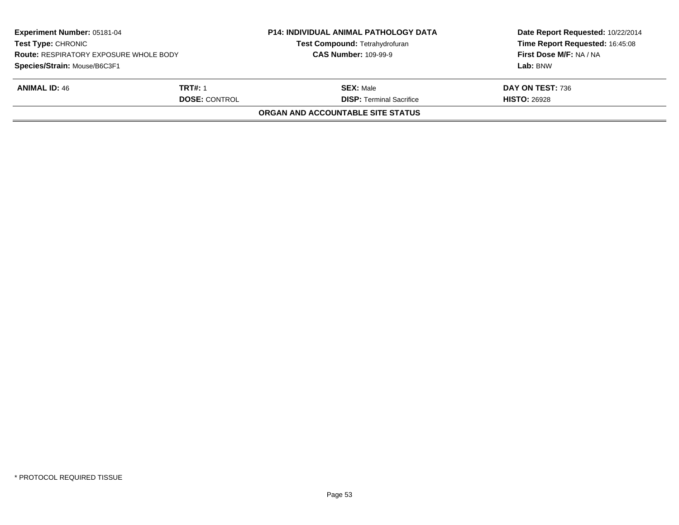|                      | <b>P14: INDIVIDUAL ANIMAL PATHOLOGY DATA</b><br><b>Test Compound: Tetrahydrofuran</b><br><b>CAS Number: 109-99-9</b> | Date Report Requested: 10/22/2014<br>Time Report Requested: 16:45:08<br>First Dose M/F: NA / NA |
|----------------------|----------------------------------------------------------------------------------------------------------------------|-------------------------------------------------------------------------------------------------|
|                      |                                                                                                                      | Lab: BNW                                                                                        |
| <b>TRT#: 1</b>       | <b>SEX: Male</b>                                                                                                     | DAY ON TEST: 736                                                                                |
| <b>DOSE: CONTROL</b> | <b>DISP:</b> Terminal Sacrifice                                                                                      | <b>HISTO: 26928</b>                                                                             |
|                      | <b>ORGAN AND ACCOUNTABLE SITE STATUS</b>                                                                             |                                                                                                 |
|                      | <b>Route: RESPIRATORY EXPOSURE WHOLE BODY</b>                                                                        |                                                                                                 |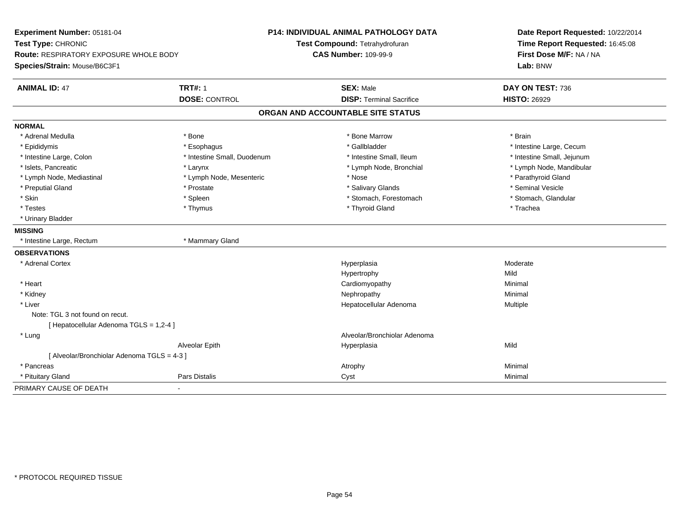| Experiment Number: 05181-04                 |                             | <b>P14: INDIVIDUAL ANIMAL PATHOLOGY DATA</b> | Date Report Requested: 10/22/2014 |  |
|---------------------------------------------|-----------------------------|----------------------------------------------|-----------------------------------|--|
| Test Type: CHRONIC                          |                             | Test Compound: Tetrahydrofuran               | Time Report Requested: 16:45:08   |  |
| Route: RESPIRATORY EXPOSURE WHOLE BODY      |                             | <b>CAS Number: 109-99-9</b>                  | First Dose M/F: NA / NA           |  |
| Species/Strain: Mouse/B6C3F1                |                             |                                              | Lab: BNW                          |  |
| <b>ANIMAL ID: 47</b>                        | <b>TRT#: 1</b>              | <b>SEX: Male</b>                             | DAY ON TEST: 736                  |  |
|                                             | <b>DOSE: CONTROL</b>        | <b>DISP: Terminal Sacrifice</b>              | <b>HISTO: 26929</b>               |  |
|                                             |                             | ORGAN AND ACCOUNTABLE SITE STATUS            |                                   |  |
| <b>NORMAL</b>                               |                             |                                              |                                   |  |
| * Adrenal Medulla                           | * Bone                      | * Bone Marrow                                | * Brain                           |  |
| * Epididymis                                | * Esophagus                 | * Gallbladder                                | * Intestine Large, Cecum          |  |
| * Intestine Large, Colon                    | * Intestine Small, Duodenum | * Intestine Small. Ileum                     | * Intestine Small, Jejunum        |  |
| * Islets, Pancreatic                        | * Larynx                    | * Lymph Node, Bronchial                      | * Lymph Node, Mandibular          |  |
| * Lymph Node, Mediastinal                   | * Lymph Node, Mesenteric    | * Nose                                       | * Parathyroid Gland               |  |
| * Preputial Gland                           | * Prostate                  | * Salivary Glands                            | * Seminal Vesicle                 |  |
| * Skin                                      | * Spleen                    | * Stomach, Forestomach                       | * Stomach, Glandular              |  |
| * Testes                                    | * Thymus                    | * Thyroid Gland                              | * Trachea                         |  |
| * Urinary Bladder                           |                             |                                              |                                   |  |
| <b>MISSING</b>                              |                             |                                              |                                   |  |
| * Intestine Large, Rectum                   | * Mammary Gland             |                                              |                                   |  |
| <b>OBSERVATIONS</b>                         |                             |                                              |                                   |  |
| * Adrenal Cortex                            |                             | Hyperplasia                                  | Moderate                          |  |
|                                             |                             | Hypertrophy                                  | Mild                              |  |
| * Heart                                     |                             | Cardiomyopathy                               | Minimal                           |  |
| * Kidney                                    |                             | Nephropathy                                  | Minimal                           |  |
| * Liver                                     |                             | Hepatocellular Adenoma                       | Multiple                          |  |
| Note: TGL 3 not found on recut.             |                             |                                              |                                   |  |
| [ Hepatocellular Adenoma TGLS = 1,2-4 ]     |                             |                                              |                                   |  |
| * Lung                                      |                             | Alveolar/Bronchiolar Adenoma                 |                                   |  |
|                                             | Alveolar Epith              | Hyperplasia                                  | Mild                              |  |
| [ Alveolar/Bronchiolar Adenoma TGLS = 4-3 ] |                             |                                              |                                   |  |
| * Pancreas                                  |                             | Atrophy                                      | Minimal                           |  |
| * Pituitary Gland                           | <b>Pars Distalis</b>        | Cyst                                         | Minimal                           |  |
| PRIMARY CAUSE OF DEATH                      |                             |                                              |                                   |  |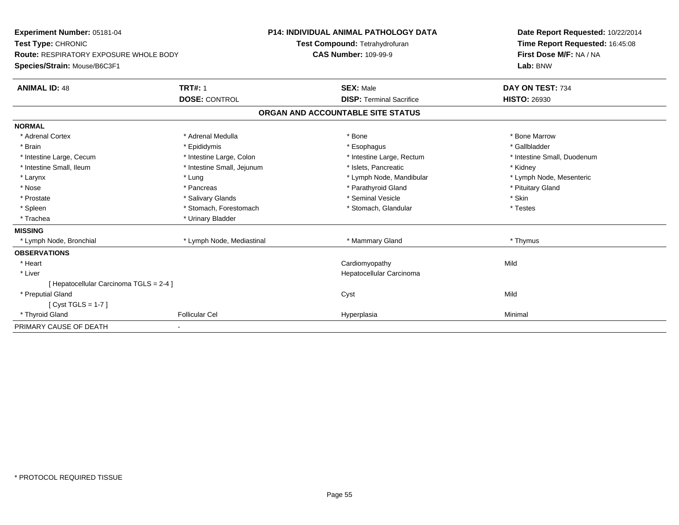| Experiment Number: 05181-04<br>Test Type: CHRONIC |                            | <b>P14: INDIVIDUAL ANIMAL PATHOLOGY DATA</b> |                           | Date Report Requested: 10/22/2014 |  |
|---------------------------------------------------|----------------------------|----------------------------------------------|---------------------------|-----------------------------------|--|
|                                                   |                            | Test Compound: Tetrahydrofuran               |                           | Time Report Requested: 16:45:08   |  |
| <b>Route: RESPIRATORY EXPOSURE WHOLE BODY</b>     |                            | <b>CAS Number: 109-99-9</b>                  |                           | First Dose M/F: NA / NA           |  |
| Species/Strain: Mouse/B6C3F1                      |                            |                                              |                           | Lab: BNW                          |  |
| <b>ANIMAL ID: 48</b>                              | <b>TRT#: 1</b>             | <b>SEX: Male</b>                             |                           | DAY ON TEST: 734                  |  |
|                                                   | <b>DOSE: CONTROL</b>       | <b>DISP: Terminal Sacrifice</b>              |                           | <b>HISTO: 26930</b>               |  |
|                                                   |                            | ORGAN AND ACCOUNTABLE SITE STATUS            |                           |                                   |  |
| <b>NORMAL</b>                                     |                            |                                              |                           |                                   |  |
| * Adrenal Cortex                                  | * Adrenal Medulla          | * Bone                                       |                           | * Bone Marrow                     |  |
| * Brain                                           | * Epididymis               | * Esophagus                                  |                           | * Gallbladder                     |  |
| * Intestine Large, Cecum                          | * Intestine Large, Colon   |                                              | * Intestine Large, Rectum | * Intestine Small, Duodenum       |  |
| * Intestine Small, Ileum                          | * Intestine Small, Jejunum | * Islets, Pancreatic                         |                           | * Kidney                          |  |
| * Larynx                                          | * Lung                     |                                              | * Lymph Node, Mandibular  | * Lymph Node, Mesenteric          |  |
| * Nose                                            | * Pancreas                 | * Parathyroid Gland                          |                           | * Pituitary Gland                 |  |
| * Prostate                                        | * Salivary Glands          | * Seminal Vesicle                            |                           | * Skin                            |  |
| * Spleen                                          | * Stomach, Forestomach     | * Stomach, Glandular                         |                           | * Testes                          |  |
| * Trachea                                         | * Urinary Bladder          |                                              |                           |                                   |  |
| <b>MISSING</b>                                    |                            |                                              |                           |                                   |  |
| * Lymph Node, Bronchial                           | * Lymph Node, Mediastinal  | * Mammary Gland                              |                           | * Thymus                          |  |
| <b>OBSERVATIONS</b>                               |                            |                                              |                           |                                   |  |
| * Heart                                           |                            | Cardiomyopathy                               |                           | Mild                              |  |
| * Liver                                           |                            | Hepatocellular Carcinoma                     |                           |                                   |  |
| [ Hepatocellular Carcinoma TGLS = 2-4 ]           |                            |                                              |                           |                                   |  |
| * Preputial Gland                                 |                            | Cyst                                         |                           | Mild                              |  |
| [Cyst TGLS = $1-7$ ]                              |                            |                                              |                           |                                   |  |
| * Thyroid Gland                                   | <b>Follicular Cel</b>      | Hyperplasia                                  |                           | Minimal                           |  |
| PRIMARY CAUSE OF DEATH                            |                            |                                              |                           |                                   |  |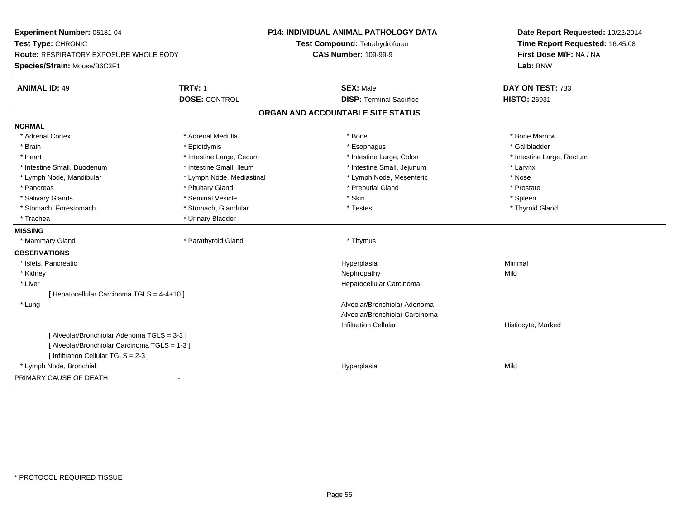| Experiment Number: 05181-04                   |                           | <b>P14: INDIVIDUAL ANIMAL PATHOLOGY DATA</b> | Date Report Requested: 10/22/2014 |  |
|-----------------------------------------------|---------------------------|----------------------------------------------|-----------------------------------|--|
| Test Type: CHRONIC                            |                           | Test Compound: Tetrahydrofuran               | Time Report Requested: 16:45:08   |  |
| <b>Route: RESPIRATORY EXPOSURE WHOLE BODY</b> |                           | <b>CAS Number: 109-99-9</b>                  | First Dose M/F: NA / NA           |  |
| Species/Strain: Mouse/B6C3F1                  |                           |                                              | Lab: BNW                          |  |
| <b>ANIMAL ID: 49</b>                          | <b>TRT#: 1</b>            | <b>SEX: Male</b>                             | DAY ON TEST: 733                  |  |
|                                               | <b>DOSE: CONTROL</b>      | <b>DISP: Terminal Sacrifice</b>              | <b>HISTO: 26931</b>               |  |
|                                               |                           | ORGAN AND ACCOUNTABLE SITE STATUS            |                                   |  |
| <b>NORMAL</b>                                 |                           |                                              |                                   |  |
| * Adrenal Cortex                              | * Adrenal Medulla         | * Bone                                       | * Bone Marrow                     |  |
| * Brain                                       | * Epididymis              | * Esophagus                                  | * Gallbladder                     |  |
| * Heart                                       | * Intestine Large, Cecum  | * Intestine Large, Colon                     | * Intestine Large, Rectum         |  |
| * Intestine Small, Duodenum                   | * Intestine Small, Ileum  | * Intestine Small, Jejunum                   | * Larynx                          |  |
| * Lymph Node, Mandibular                      | * Lymph Node, Mediastinal | * Lymph Node, Mesenteric                     | * Nose                            |  |
| * Pancreas                                    | * Pituitary Gland         | * Preputial Gland                            | * Prostate                        |  |
| * Salivary Glands                             | * Seminal Vesicle         | * Skin                                       | * Spleen                          |  |
| * Stomach, Forestomach                        | * Stomach, Glandular      | * Testes                                     | * Thyroid Gland                   |  |
| * Trachea                                     | * Urinary Bladder         |                                              |                                   |  |
| <b>MISSING</b>                                |                           |                                              |                                   |  |
| * Mammary Gland                               | * Parathyroid Gland       | * Thymus                                     |                                   |  |
| <b>OBSERVATIONS</b>                           |                           |                                              |                                   |  |
| * Islets, Pancreatic                          |                           | Hyperplasia                                  | Minimal                           |  |
| * Kidney                                      |                           | Nephropathy                                  | Mild                              |  |
| * Liver                                       |                           | Hepatocellular Carcinoma                     |                                   |  |
| [ Hepatocellular Carcinoma TGLS = 4-4+10 ]    |                           |                                              |                                   |  |
| * Lung                                        |                           | Alveolar/Bronchiolar Adenoma                 |                                   |  |
|                                               |                           | Alveolar/Bronchiolar Carcinoma               |                                   |  |
|                                               |                           | <b>Infiltration Cellular</b>                 | Histiocyte, Marked                |  |
| [ Alveolar/Bronchiolar Adenoma TGLS = 3-3 ]   |                           |                                              |                                   |  |
| [ Alveolar/Bronchiolar Carcinoma TGLS = 1-3 ] |                           |                                              |                                   |  |
| [ Infiltration Cellular TGLS = 2-3 ]          |                           |                                              |                                   |  |
| * Lymph Node, Bronchial                       |                           | Hyperplasia                                  | Mild                              |  |
| PRIMARY CAUSE OF DEATH                        |                           |                                              |                                   |  |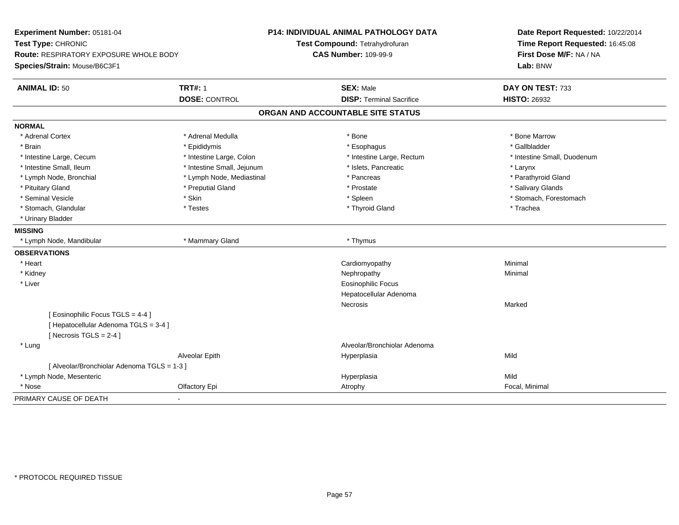| Experiment Number: 05181-04<br>Test Type: CHRONIC<br><b>Route: RESPIRATORY EXPOSURE WHOLE BODY</b><br>Species/Strain: Mouse/B6C3F1 |                            | P14: INDIVIDUAL ANIMAL PATHOLOGY DATA<br>Test Compound: Tetrahydrofuran<br><b>CAS Number: 109-99-9</b> |                              | Date Report Requested: 10/22/2014<br>Time Report Requested: 16:45:08<br>First Dose M/F: NA / NA<br>Lab: BNW |
|------------------------------------------------------------------------------------------------------------------------------------|----------------------------|--------------------------------------------------------------------------------------------------------|------------------------------|-------------------------------------------------------------------------------------------------------------|
|                                                                                                                                    |                            |                                                                                                        |                              |                                                                                                             |
| <b>ANIMAL ID: 50</b>                                                                                                               | <b>TRT#: 1</b>             | <b>SEX: Male</b>                                                                                       |                              | DAY ON TEST: 733                                                                                            |
|                                                                                                                                    | <b>DOSE: CONTROL</b>       | <b>DISP: Terminal Sacrifice</b>                                                                        |                              | <b>HISTO: 26932</b>                                                                                         |
|                                                                                                                                    |                            | ORGAN AND ACCOUNTABLE SITE STATUS                                                                      |                              |                                                                                                             |
| <b>NORMAL</b>                                                                                                                      |                            |                                                                                                        |                              |                                                                                                             |
| * Adrenal Cortex                                                                                                                   | * Adrenal Medulla          | * Bone                                                                                                 |                              | * Bone Marrow                                                                                               |
| * Brain                                                                                                                            | * Epididymis               | * Esophagus                                                                                            |                              | * Gallbladder                                                                                               |
| * Intestine Large, Cecum                                                                                                           | * Intestine Large, Colon   |                                                                                                        | * Intestine Large, Rectum    | * Intestine Small, Duodenum                                                                                 |
| * Intestine Small, Ileum                                                                                                           | * Intestine Small, Jejunum | * Islets, Pancreatic                                                                                   |                              | * Larynx                                                                                                    |
| * Lymph Node, Bronchial                                                                                                            | * Lymph Node, Mediastinal  | * Pancreas                                                                                             |                              | * Parathyroid Gland                                                                                         |
| * Pituitary Gland                                                                                                                  | * Preputial Gland          | * Prostate                                                                                             |                              | * Salivary Glands                                                                                           |
| * Seminal Vesicle                                                                                                                  | * Skin                     | * Spleen                                                                                               |                              | * Stomach, Forestomach                                                                                      |
| * Stomach, Glandular                                                                                                               | * Testes                   | * Thyroid Gland                                                                                        |                              | * Trachea                                                                                                   |
| * Urinary Bladder                                                                                                                  |                            |                                                                                                        |                              |                                                                                                             |
| <b>MISSING</b>                                                                                                                     |                            |                                                                                                        |                              |                                                                                                             |
| * Lymph Node, Mandibular                                                                                                           | * Mammary Gland            | * Thymus                                                                                               |                              |                                                                                                             |
| <b>OBSERVATIONS</b>                                                                                                                |                            |                                                                                                        |                              |                                                                                                             |
| * Heart                                                                                                                            |                            | Cardiomyopathy                                                                                         |                              | Minimal                                                                                                     |
| * Kidney                                                                                                                           |                            | Nephropathy                                                                                            |                              | Minimal                                                                                                     |
| * Liver                                                                                                                            |                            | <b>Eosinophilic Focus</b>                                                                              |                              |                                                                                                             |
|                                                                                                                                    |                            | Hepatocellular Adenoma                                                                                 |                              |                                                                                                             |
|                                                                                                                                    |                            | Necrosis                                                                                               |                              | Marked                                                                                                      |
| [ Eosinophilic Focus TGLS = 4-4 ]                                                                                                  |                            |                                                                                                        |                              |                                                                                                             |
| [ Hepatocellular Adenoma TGLS = 3-4 ]                                                                                              |                            |                                                                                                        |                              |                                                                                                             |
| [Necrosis TGLS = $2-4$ ]                                                                                                           |                            |                                                                                                        |                              |                                                                                                             |
| * Lung                                                                                                                             |                            |                                                                                                        | Alveolar/Bronchiolar Adenoma |                                                                                                             |
|                                                                                                                                    | Alveolar Epith             | Hyperplasia                                                                                            |                              | Mild                                                                                                        |
| [ Alveolar/Bronchiolar Adenoma TGLS = 1-3 ]                                                                                        |                            |                                                                                                        |                              |                                                                                                             |
| * Lymph Node, Mesenteric                                                                                                           |                            | Hyperplasia                                                                                            |                              | Mild                                                                                                        |
| * Nose                                                                                                                             | Olfactory Epi              | Atrophy                                                                                                |                              | Focal, Minimal                                                                                              |
| PRIMARY CAUSE OF DEATH                                                                                                             |                            |                                                                                                        |                              |                                                                                                             |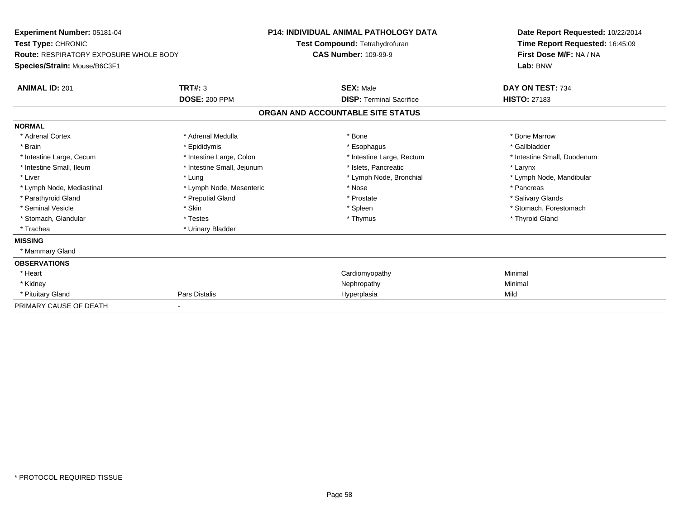| <b>Experiment Number: 05181-04</b><br>Test Type: CHRONIC<br>Route: RESPIRATORY EXPOSURE WHOLE BODY<br>Species/Strain: Mouse/B6C3F1 |                            | <b>P14: INDIVIDUAL ANIMAL PATHOLOGY DATA</b><br>Test Compound: Tetrahydrofuran<br><b>CAS Number: 109-99-9</b> |                                   | Date Report Requested: 10/22/2014<br>Time Report Requested: 16:45:09<br>First Dose M/F: NA / NA<br>Lab: BNW |
|------------------------------------------------------------------------------------------------------------------------------------|----------------------------|---------------------------------------------------------------------------------------------------------------|-----------------------------------|-------------------------------------------------------------------------------------------------------------|
| <b>ANIMAL ID: 201</b>                                                                                                              | TRT#: 3                    |                                                                                                               | <b>SEX: Male</b>                  | DAY ON TEST: 734                                                                                            |
|                                                                                                                                    | <b>DOSE: 200 PPM</b>       |                                                                                                               | <b>DISP: Terminal Sacrifice</b>   | <b>HISTO: 27183</b>                                                                                         |
|                                                                                                                                    |                            |                                                                                                               | ORGAN AND ACCOUNTABLE SITE STATUS |                                                                                                             |
| <b>NORMAL</b>                                                                                                                      |                            |                                                                                                               |                                   |                                                                                                             |
| * Adrenal Cortex                                                                                                                   | * Adrenal Medulla          |                                                                                                               | * Bone                            | * Bone Marrow                                                                                               |
| * Brain                                                                                                                            | * Epididymis               |                                                                                                               | * Esophagus                       | * Gallbladder                                                                                               |
| * Intestine Large, Cecum                                                                                                           | * Intestine Large, Colon   |                                                                                                               | * Intestine Large, Rectum         | * Intestine Small, Duodenum                                                                                 |
| * Intestine Small, Ileum                                                                                                           | * Intestine Small, Jejunum |                                                                                                               | * Islets, Pancreatic              | * Larynx                                                                                                    |
| * Liver                                                                                                                            | * Lung                     |                                                                                                               | * Lymph Node, Bronchial           | * Lymph Node, Mandibular                                                                                    |
| * Lymph Node, Mediastinal                                                                                                          | * Lymph Node, Mesenteric   |                                                                                                               | * Nose                            | * Pancreas                                                                                                  |
| * Parathyroid Gland                                                                                                                | * Preputial Gland          |                                                                                                               | * Prostate                        | * Salivary Glands                                                                                           |
| * Seminal Vesicle                                                                                                                  | * Skin                     |                                                                                                               | * Spleen                          | * Stomach, Forestomach                                                                                      |
| * Stomach, Glandular                                                                                                               | * Testes                   |                                                                                                               | * Thymus                          | * Thyroid Gland                                                                                             |
| * Trachea                                                                                                                          | * Urinary Bladder          |                                                                                                               |                                   |                                                                                                             |
| <b>MISSING</b>                                                                                                                     |                            |                                                                                                               |                                   |                                                                                                             |
| * Mammary Gland                                                                                                                    |                            |                                                                                                               |                                   |                                                                                                             |
| <b>OBSERVATIONS</b>                                                                                                                |                            |                                                                                                               |                                   |                                                                                                             |
| * Heart                                                                                                                            |                            |                                                                                                               | Cardiomyopathy                    | Minimal                                                                                                     |
| * Kidney                                                                                                                           |                            |                                                                                                               | Nephropathy                       | Minimal                                                                                                     |
| * Pituitary Gland                                                                                                                  | Pars Distalis              |                                                                                                               | Hyperplasia                       | Mild                                                                                                        |
| PRIMARY CAUSE OF DEATH                                                                                                             |                            |                                                                                                               |                                   |                                                                                                             |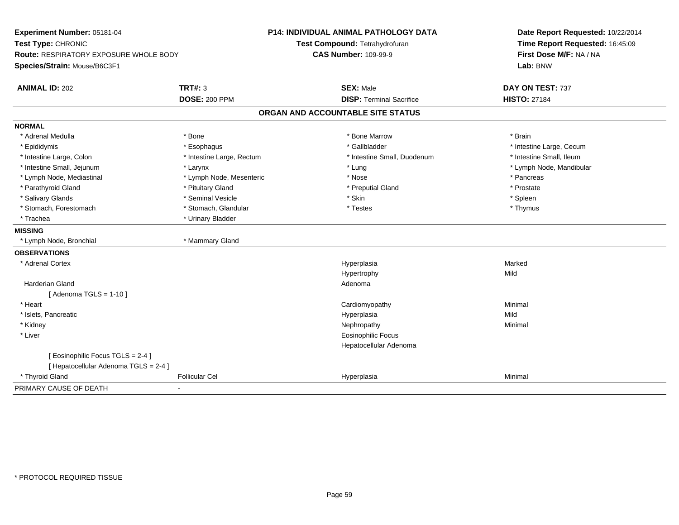| Experiment Number: 05181-04<br>Test Type: CHRONIC<br>Route: RESPIRATORY EXPOSURE WHOLE BODY<br>Species/Strain: Mouse/B6C3F1 |                           | <b>P14: INDIVIDUAL ANIMAL PATHOLOGY DATA</b><br>Test Compound: Tetrahydrofuran<br><b>CAS Number: 109-99-9</b> | Date Report Requested: 10/22/2014<br>Time Report Requested: 16:45:09<br>First Dose M/F: NA / NA<br>Lab: BNW |
|-----------------------------------------------------------------------------------------------------------------------------|---------------------------|---------------------------------------------------------------------------------------------------------------|-------------------------------------------------------------------------------------------------------------|
| <b>ANIMAL ID: 202</b>                                                                                                       | <b>TRT#: 3</b>            | <b>SEX: Male</b>                                                                                              | DAY ON TEST: 737                                                                                            |
|                                                                                                                             | <b>DOSE: 200 PPM</b>      | <b>DISP: Terminal Sacrifice</b>                                                                               | <b>HISTO: 27184</b>                                                                                         |
|                                                                                                                             |                           | ORGAN AND ACCOUNTABLE SITE STATUS                                                                             |                                                                                                             |
| <b>NORMAL</b>                                                                                                               |                           |                                                                                                               |                                                                                                             |
| * Adrenal Medulla                                                                                                           | * Bone                    | * Bone Marrow                                                                                                 | * Brain                                                                                                     |
| * Epididymis                                                                                                                | * Esophagus               | * Gallbladder                                                                                                 | * Intestine Large, Cecum                                                                                    |
| * Intestine Large, Colon                                                                                                    | * Intestine Large, Rectum | * Intestine Small, Duodenum                                                                                   | * Intestine Small, Ileum                                                                                    |
| * Intestine Small, Jejunum                                                                                                  | * Larynx                  | * Lung                                                                                                        | * Lymph Node, Mandibular                                                                                    |
| * Lymph Node, Mediastinal                                                                                                   | * Lymph Node, Mesenteric  | * Nose                                                                                                        | * Pancreas                                                                                                  |
| * Parathyroid Gland                                                                                                         | * Pituitary Gland         | * Preputial Gland                                                                                             | * Prostate                                                                                                  |
| * Salivary Glands                                                                                                           | * Seminal Vesicle         | * Skin                                                                                                        | * Spleen                                                                                                    |
| * Stomach, Forestomach                                                                                                      | * Stomach, Glandular      | * Testes                                                                                                      | * Thymus                                                                                                    |
| * Trachea                                                                                                                   | * Urinary Bladder         |                                                                                                               |                                                                                                             |
| <b>MISSING</b>                                                                                                              |                           |                                                                                                               |                                                                                                             |
| * Lymph Node, Bronchial                                                                                                     | * Mammary Gland           |                                                                                                               |                                                                                                             |
| <b>OBSERVATIONS</b>                                                                                                         |                           |                                                                                                               |                                                                                                             |
| * Adrenal Cortex                                                                                                            |                           | Hyperplasia                                                                                                   | Marked                                                                                                      |
|                                                                                                                             |                           | Hypertrophy                                                                                                   | Mild                                                                                                        |
| <b>Harderian Gland</b>                                                                                                      |                           | Adenoma                                                                                                       |                                                                                                             |
| [Adenoma TGLS = $1-10$ ]                                                                                                    |                           |                                                                                                               |                                                                                                             |
| * Heart                                                                                                                     |                           | Cardiomyopathy                                                                                                | Minimal                                                                                                     |
| * Islets, Pancreatic                                                                                                        |                           | Hyperplasia                                                                                                   | Mild                                                                                                        |
| * Kidney                                                                                                                    |                           | Nephropathy                                                                                                   | Minimal                                                                                                     |
| * Liver                                                                                                                     |                           | Eosinophilic Focus                                                                                            |                                                                                                             |
|                                                                                                                             |                           | Hepatocellular Adenoma                                                                                        |                                                                                                             |
| [Eosinophilic Focus TGLS = 2-4]                                                                                             |                           |                                                                                                               |                                                                                                             |
| [ Hepatocellular Adenoma TGLS = 2-4 ]                                                                                       |                           |                                                                                                               |                                                                                                             |
| * Thyroid Gland                                                                                                             | <b>Follicular Cel</b>     | Hyperplasia                                                                                                   | Minimal                                                                                                     |
| PRIMARY CAUSE OF DEATH                                                                                                      |                           |                                                                                                               |                                                                                                             |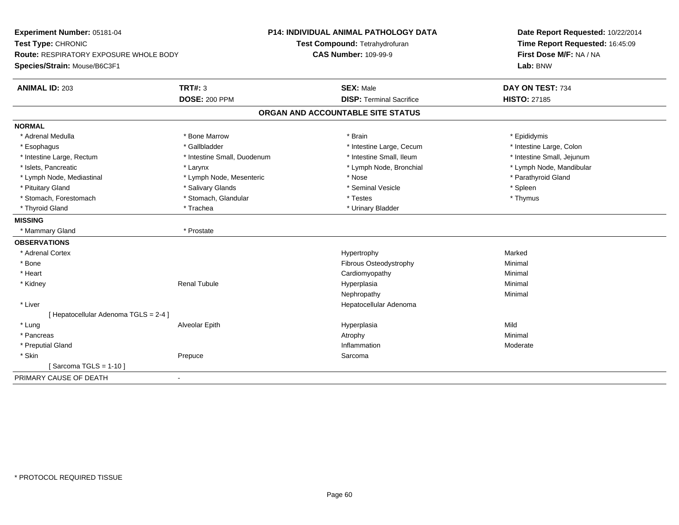| Experiment Number: 05181-04                              | <b>P14: INDIVIDUAL ANIMAL PATHOLOGY DATA</b> | Date Report Requested: 10/22/2014                          |  |
|----------------------------------------------------------|----------------------------------------------|------------------------------------------------------------|--|
| Test Type: CHRONIC                                       | Test Compound: Tetrahydrofuran               | Time Report Requested: 16:45:09<br>First Dose M/F: NA / NA |  |
| <b>Route: RESPIRATORY EXPOSURE WHOLE BODY</b>            | <b>CAS Number: 109-99-9</b>                  |                                                            |  |
| Species/Strain: Mouse/B6C3F1                             |                                              | Lab: BNW                                                   |  |
| <b>ANIMAL ID: 203</b><br><b>TRT#: 3</b>                  | <b>SEX: Male</b>                             | DAY ON TEST: 734                                           |  |
| <b>DOSE: 200 PPM</b>                                     | <b>DISP: Terminal Sacrifice</b>              | <b>HISTO: 27185</b>                                        |  |
|                                                          | ORGAN AND ACCOUNTABLE SITE STATUS            |                                                            |  |
| <b>NORMAL</b>                                            |                                              |                                                            |  |
| * Bone Marrow<br>* Adrenal Medulla                       | * Brain                                      | * Epididymis                                               |  |
| * Gallbladder<br>* Esophagus                             | * Intestine Large, Cecum                     | * Intestine Large, Colon                                   |  |
| * Intestine Large, Rectum<br>* Intestine Small, Duodenum | * Intestine Small, Ileum                     | * Intestine Small, Jejunum                                 |  |
| * Islets, Pancreatic<br>* Larynx                         | * Lymph Node, Bronchial                      | * Lymph Node, Mandibular                                   |  |
| * Lymph Node, Mediastinal<br>* Lymph Node, Mesenteric    | * Nose                                       | * Parathyroid Gland                                        |  |
| * Salivary Glands<br>* Pituitary Gland                   | * Seminal Vesicle                            | * Spleen                                                   |  |
| * Stomach, Forestomach<br>* Stomach, Glandular           | * Testes                                     | * Thymus                                                   |  |
| * Thyroid Gland<br>* Trachea                             | * Urinary Bladder                            |                                                            |  |
| <b>MISSING</b>                                           |                                              |                                                            |  |
| * Prostate<br>* Mammary Gland                            |                                              |                                                            |  |
| <b>OBSERVATIONS</b>                                      |                                              |                                                            |  |
| * Adrenal Cortex                                         | Hypertrophy                                  | Marked                                                     |  |
| * Bone                                                   | Fibrous Osteodystrophy                       | Minimal                                                    |  |
| * Heart                                                  | Cardiomyopathy                               | Minimal                                                    |  |
| <b>Renal Tubule</b><br>* Kidney                          | Hyperplasia                                  | Minimal                                                    |  |
|                                                          | Nephropathy                                  | Minimal                                                    |  |
| * Liver                                                  | Hepatocellular Adenoma                       |                                                            |  |
| [ Hepatocellular Adenoma TGLS = 2-4 ]                    |                                              |                                                            |  |
| * Lung<br>Alveolar Epith                                 | Hyperplasia                                  | Mild                                                       |  |
| * Pancreas                                               | Atrophy                                      | Minimal                                                    |  |
| * Preputial Gland                                        | Inflammation                                 | Moderate                                                   |  |
| * Skin<br>Prepuce                                        | Sarcoma                                      |                                                            |  |
| [Sarcoma TGLS = $1-10$ ]                                 |                                              |                                                            |  |
| PRIMARY CAUSE OF DEATH<br>$\blacksquare$                 |                                              |                                                            |  |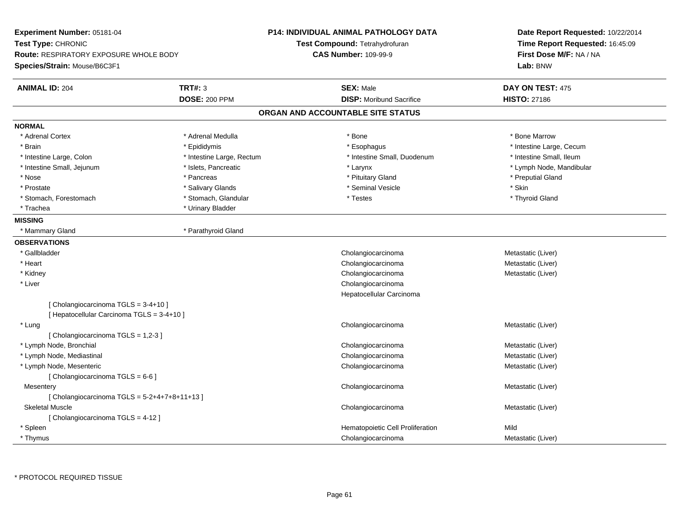| Experiment Number: 05181-04<br>Test Type: CHRONIC<br>Route: RESPIRATORY EXPOSURE WHOLE BODY<br>Species/Strain: Mouse/B6C3F1 |                           | <b>P14: INDIVIDUAL ANIMAL PATHOLOGY DATA</b><br>Test Compound: Tetrahydrofuran<br><b>CAS Number: 109-99-9</b> | Date Report Requested: 10/22/2014<br>Time Report Requested: 16:45:09<br>First Dose M/F: NA / NA<br>Lab: BNW |  |
|-----------------------------------------------------------------------------------------------------------------------------|---------------------------|---------------------------------------------------------------------------------------------------------------|-------------------------------------------------------------------------------------------------------------|--|
| <b>ANIMAL ID: 204</b>                                                                                                       | <b>TRT#: 3</b>            | <b>SEX: Male</b>                                                                                              | DAY ON TEST: 475                                                                                            |  |
|                                                                                                                             | <b>DOSE: 200 PPM</b>      | <b>DISP:</b> Moribund Sacrifice                                                                               | <b>HISTO: 27186</b>                                                                                         |  |
|                                                                                                                             |                           | ORGAN AND ACCOUNTABLE SITE STATUS                                                                             |                                                                                                             |  |
| <b>NORMAL</b>                                                                                                               |                           |                                                                                                               |                                                                                                             |  |
| * Adrenal Cortex                                                                                                            | * Adrenal Medulla         | * Bone                                                                                                        | * Bone Marrow                                                                                               |  |
| * Brain                                                                                                                     | * Epididymis              | * Esophagus                                                                                                   | * Intestine Large, Cecum                                                                                    |  |
| * Intestine Large, Colon                                                                                                    | * Intestine Large, Rectum | * Intestine Small, Duodenum                                                                                   | * Intestine Small, Ileum                                                                                    |  |
| * Intestine Small, Jejunum                                                                                                  | * Islets, Pancreatic      | * Larynx                                                                                                      | * Lymph Node, Mandibular                                                                                    |  |
| * Nose                                                                                                                      | * Pancreas                | * Pituitary Gland                                                                                             | * Preputial Gland                                                                                           |  |
| * Prostate                                                                                                                  | * Salivary Glands         | * Seminal Vesicle                                                                                             | * Skin                                                                                                      |  |
| * Stomach, Forestomach                                                                                                      | * Stomach, Glandular      | * Testes                                                                                                      | * Thyroid Gland                                                                                             |  |
| * Trachea                                                                                                                   | * Urinary Bladder         |                                                                                                               |                                                                                                             |  |
| <b>MISSING</b>                                                                                                              |                           |                                                                                                               |                                                                                                             |  |
| * Mammary Gland                                                                                                             | * Parathyroid Gland       |                                                                                                               |                                                                                                             |  |
| <b>OBSERVATIONS</b>                                                                                                         |                           |                                                                                                               |                                                                                                             |  |
| * Gallbladder                                                                                                               |                           | Cholangiocarcinoma                                                                                            | Metastatic (Liver)                                                                                          |  |
| * Heart                                                                                                                     |                           | Cholangiocarcinoma                                                                                            | Metastatic (Liver)                                                                                          |  |
| * Kidney                                                                                                                    |                           | Cholangiocarcinoma                                                                                            | Metastatic (Liver)                                                                                          |  |
| * Liver                                                                                                                     |                           | Cholangiocarcinoma                                                                                            |                                                                                                             |  |
|                                                                                                                             |                           | Hepatocellular Carcinoma                                                                                      |                                                                                                             |  |
| [Cholangiocarcinoma TGLS = $3-4+10$ ]<br>[ Hepatocellular Carcinoma TGLS = 3-4+10 ]                                         |                           |                                                                                                               |                                                                                                             |  |
| * Lung                                                                                                                      |                           | Cholangiocarcinoma                                                                                            | Metastatic (Liver)                                                                                          |  |
| [Cholangiocarcinoma TGLS = 1,2-3]                                                                                           |                           |                                                                                                               |                                                                                                             |  |
| * Lymph Node, Bronchial                                                                                                     |                           | Cholangiocarcinoma                                                                                            | Metastatic (Liver)                                                                                          |  |
| * Lymph Node, Mediastinal                                                                                                   |                           | Cholangiocarcinoma                                                                                            | Metastatic (Liver)                                                                                          |  |
| * Lymph Node, Mesenteric                                                                                                    |                           | Cholangiocarcinoma                                                                                            | Metastatic (Liver)                                                                                          |  |
| [ Cholangiocarcinoma TGLS = 6-6 ]                                                                                           |                           |                                                                                                               |                                                                                                             |  |
| Mesentery                                                                                                                   |                           | Cholangiocarcinoma                                                                                            | Metastatic (Liver)                                                                                          |  |
| [ Cholangiocarcinoma TGLS = $5-2+4+7+8+11+13$ ]                                                                             |                           |                                                                                                               |                                                                                                             |  |
| <b>Skeletal Muscle</b>                                                                                                      |                           | Cholangiocarcinoma                                                                                            | Metastatic (Liver)                                                                                          |  |
| [ Cholangiocarcinoma TGLS = 4-12 ]                                                                                          |                           |                                                                                                               |                                                                                                             |  |
| * Spleen                                                                                                                    |                           | Hematopoietic Cell Proliferation                                                                              | Mild                                                                                                        |  |
| * Thymus                                                                                                                    |                           | Cholangiocarcinoma                                                                                            | Metastatic (Liver)                                                                                          |  |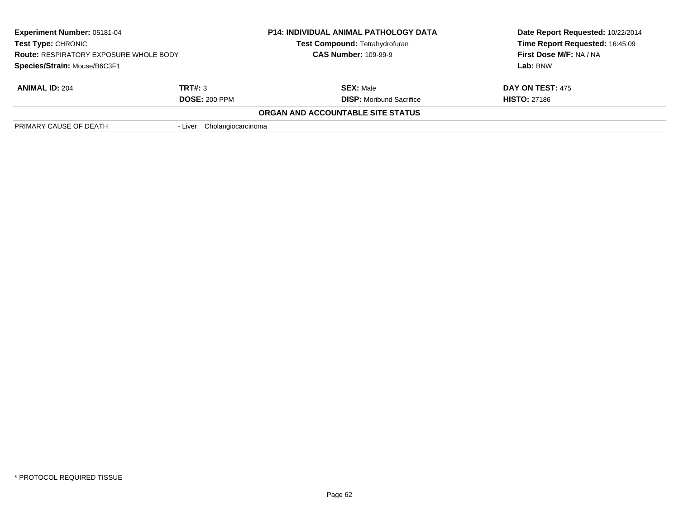| <b>Experiment Number: 05181-04</b><br>Test Type: CHRONIC<br><b>Route: RESPIRATORY EXPOSURE WHOLE BODY</b><br>Species/Strain: Mouse/B6C3F1 |                            | <b>P14: INDIVIDUAL ANIMAL PATHOLOGY DATA</b><br>Test Compound: Tetrahydrofuran<br><b>CAS Number: 109-99-9</b> | Date Report Requested: 10/22/2014<br>Time Report Requested: 16:45:09<br>First Dose M/F: NA / NA<br>Lab: BNW |  |
|-------------------------------------------------------------------------------------------------------------------------------------------|----------------------------|---------------------------------------------------------------------------------------------------------------|-------------------------------------------------------------------------------------------------------------|--|
|                                                                                                                                           |                            |                                                                                                               |                                                                                                             |  |
| <b>ANIMAL ID: 204</b>                                                                                                                     | TRT#: 3                    | <b>SEX: Male</b>                                                                                              | DAY ON TEST: 475                                                                                            |  |
|                                                                                                                                           | <b>DOSE: 200 PPM</b>       | <b>DISP:</b> Moribund Sacrifice                                                                               | <b>HISTO: 27186</b>                                                                                         |  |
|                                                                                                                                           |                            | ORGAN AND ACCOUNTABLE SITE STATUS                                                                             |                                                                                                             |  |
| PRIMARY CAUSE OF DEATH                                                                                                                    | - Liver Cholangiocarcinoma |                                                                                                               |                                                                                                             |  |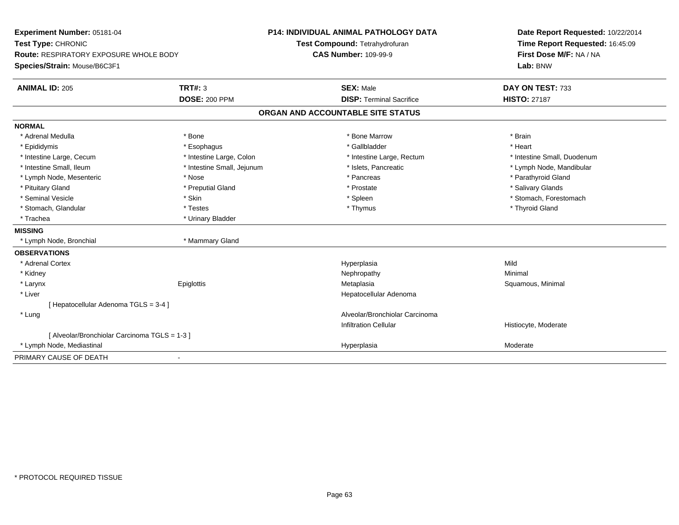| Experiment Number: 05181-04<br>Test Type: CHRONIC<br>Route: RESPIRATORY EXPOSURE WHOLE BODY<br>Species/Strain: Mouse/B6C3F1 |                            | P14: INDIVIDUAL ANIMAL PATHOLOGY DATA<br>Test Compound: Tetrahydrofuran<br><b>CAS Number: 109-99-9</b> | Date Report Requested: 10/22/2014<br>Time Report Requested: 16:45:09<br>First Dose M/F: NA / NA<br>Lab: BNW |  |
|-----------------------------------------------------------------------------------------------------------------------------|----------------------------|--------------------------------------------------------------------------------------------------------|-------------------------------------------------------------------------------------------------------------|--|
|                                                                                                                             |                            |                                                                                                        |                                                                                                             |  |
| <b>ANIMAL ID: 205</b>                                                                                                       | <b>TRT#: 3</b>             | <b>SEX: Male</b>                                                                                       | DAY ON TEST: 733                                                                                            |  |
|                                                                                                                             | <b>DOSE: 200 PPM</b>       | <b>DISP: Terminal Sacrifice</b>                                                                        | <b>HISTO: 27187</b>                                                                                         |  |
|                                                                                                                             |                            | ORGAN AND ACCOUNTABLE SITE STATUS                                                                      |                                                                                                             |  |
| <b>NORMAL</b>                                                                                                               |                            |                                                                                                        |                                                                                                             |  |
| * Adrenal Medulla                                                                                                           | * Bone                     | * Bone Marrow                                                                                          | * Brain                                                                                                     |  |
| * Epididymis                                                                                                                | * Esophagus                | * Gallbladder                                                                                          | * Heart                                                                                                     |  |
| * Intestine Large, Cecum                                                                                                    | * Intestine Large, Colon   | * Intestine Large, Rectum                                                                              | * Intestine Small, Duodenum                                                                                 |  |
| * Intestine Small, Ileum                                                                                                    | * Intestine Small, Jejunum | * Islets, Pancreatic                                                                                   | * Lymph Node, Mandibular                                                                                    |  |
| * Lymph Node, Mesenteric                                                                                                    | * Nose                     | * Pancreas                                                                                             | * Parathyroid Gland                                                                                         |  |
| * Pituitary Gland                                                                                                           | * Preputial Gland          | * Prostate                                                                                             | * Salivary Glands                                                                                           |  |
| * Seminal Vesicle                                                                                                           | * Skin                     | * Spleen                                                                                               | * Stomach, Forestomach                                                                                      |  |
| * Stomach, Glandular                                                                                                        | * Testes                   | * Thymus                                                                                               | * Thyroid Gland                                                                                             |  |
| * Trachea                                                                                                                   | * Urinary Bladder          |                                                                                                        |                                                                                                             |  |
| <b>MISSING</b>                                                                                                              |                            |                                                                                                        |                                                                                                             |  |
| * Lymph Node, Bronchial                                                                                                     | * Mammary Gland            |                                                                                                        |                                                                                                             |  |
| <b>OBSERVATIONS</b>                                                                                                         |                            |                                                                                                        |                                                                                                             |  |
| * Adrenal Cortex                                                                                                            |                            | Hyperplasia                                                                                            | Mild                                                                                                        |  |
| * Kidney                                                                                                                    |                            | Nephropathy                                                                                            | Minimal                                                                                                     |  |
| * Larynx                                                                                                                    | Epiglottis                 | Metaplasia                                                                                             | Squamous, Minimal                                                                                           |  |
| * Liver                                                                                                                     |                            | Hepatocellular Adenoma                                                                                 |                                                                                                             |  |
| [ Hepatocellular Adenoma TGLS = 3-4 ]                                                                                       |                            |                                                                                                        |                                                                                                             |  |
| * Lung                                                                                                                      |                            | Alveolar/Bronchiolar Carcinoma                                                                         |                                                                                                             |  |
|                                                                                                                             |                            | <b>Infiltration Cellular</b>                                                                           | Histiocyte, Moderate                                                                                        |  |
| [ Alveolar/Bronchiolar Carcinoma TGLS = 1-3 ]                                                                               |                            |                                                                                                        |                                                                                                             |  |
| * Lymph Node, Mediastinal                                                                                                   |                            | Hyperplasia                                                                                            | Moderate                                                                                                    |  |
| PRIMARY CAUSE OF DEATH<br>$\overline{\phantom{a}}$                                                                          |                            |                                                                                                        |                                                                                                             |  |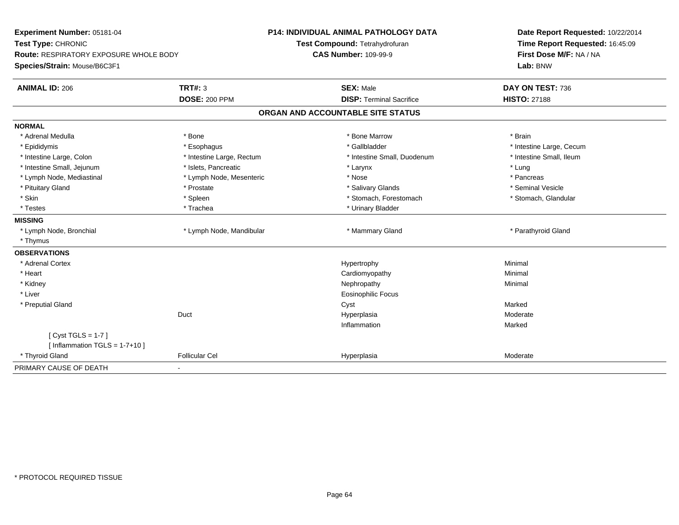| Experiment Number: 05181-04<br>Test Type: CHRONIC<br><b>Route: RESPIRATORY EXPOSURE WHOLE BODY</b> |                           | <b>P14: INDIVIDUAL ANIMAL PATHOLOGY DATA</b><br>Test Compound: Tetrahydrofuran<br><b>CAS Number: 109-99-9</b> | Date Report Requested: 10/22/2014<br>Time Report Requested: 16:45:09<br>First Dose M/F: NA / NA |  |
|----------------------------------------------------------------------------------------------------|---------------------------|---------------------------------------------------------------------------------------------------------------|-------------------------------------------------------------------------------------------------|--|
| Species/Strain: Mouse/B6C3F1                                                                       |                           |                                                                                                               | Lab: BNW                                                                                        |  |
| <b>ANIMAL ID: 206</b>                                                                              | <b>TRT#: 3</b>            | <b>SEX: Male</b>                                                                                              | DAY ON TEST: 736                                                                                |  |
|                                                                                                    | <b>DOSE: 200 PPM</b>      | <b>DISP: Terminal Sacrifice</b>                                                                               | <b>HISTO: 27188</b>                                                                             |  |
|                                                                                                    |                           | ORGAN AND ACCOUNTABLE SITE STATUS                                                                             |                                                                                                 |  |
| <b>NORMAL</b>                                                                                      |                           |                                                                                                               |                                                                                                 |  |
| * Adrenal Medulla                                                                                  | * Bone                    | * Bone Marrow                                                                                                 | * Brain                                                                                         |  |
| * Epididymis                                                                                       | * Esophagus               | * Gallbladder                                                                                                 | * Intestine Large, Cecum                                                                        |  |
| * Intestine Large, Colon                                                                           | * Intestine Large, Rectum | * Intestine Small, Duodenum                                                                                   | * Intestine Small, Ileum                                                                        |  |
| * Intestine Small, Jejunum                                                                         | * Islets, Pancreatic      | * Larynx                                                                                                      | * Lung                                                                                          |  |
| * Lymph Node, Mediastinal                                                                          | * Lymph Node, Mesenteric  | * Nose                                                                                                        | * Pancreas                                                                                      |  |
| * Pituitary Gland                                                                                  | * Prostate                | * Salivary Glands                                                                                             | * Seminal Vesicle                                                                               |  |
| * Skin                                                                                             | * Spleen                  | * Stomach, Forestomach                                                                                        | * Stomach, Glandular                                                                            |  |
| * Testes                                                                                           | * Trachea                 | * Urinary Bladder                                                                                             |                                                                                                 |  |
| <b>MISSING</b>                                                                                     |                           |                                                                                                               |                                                                                                 |  |
| * Lymph Node, Bronchial                                                                            | * Lymph Node, Mandibular  | * Mammary Gland                                                                                               | * Parathyroid Gland                                                                             |  |
| * Thymus                                                                                           |                           |                                                                                                               |                                                                                                 |  |
| <b>OBSERVATIONS</b>                                                                                |                           |                                                                                                               |                                                                                                 |  |
| * Adrenal Cortex                                                                                   |                           | Hypertrophy                                                                                                   | Minimal                                                                                         |  |
| * Heart                                                                                            |                           | Cardiomyopathy                                                                                                | Minimal                                                                                         |  |
| * Kidney                                                                                           |                           | Nephropathy                                                                                                   | Minimal                                                                                         |  |
| * Liver                                                                                            |                           | <b>Eosinophilic Focus</b>                                                                                     |                                                                                                 |  |
| * Preputial Gland                                                                                  |                           | Cyst                                                                                                          | Marked                                                                                          |  |
|                                                                                                    | Duct                      | Hyperplasia                                                                                                   | Moderate                                                                                        |  |
|                                                                                                    |                           | Inflammation                                                                                                  | Marked                                                                                          |  |
| [Cyst TGLS = $1-7$ ]                                                                               |                           |                                                                                                               |                                                                                                 |  |
| [ Inflammation $TGLS = 1-7+10$ ]                                                                   |                           |                                                                                                               |                                                                                                 |  |
| * Thyroid Gland                                                                                    | <b>Follicular Cel</b>     | Hyperplasia                                                                                                   | Moderate                                                                                        |  |
| PRIMARY CAUSE OF DEATH                                                                             |                           |                                                                                                               |                                                                                                 |  |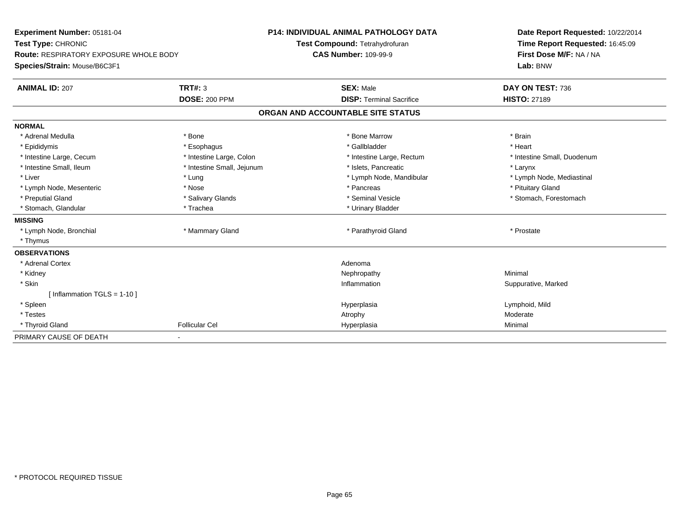| Experiment Number: 05181-04<br>Test Type: CHRONIC<br><b>Route: RESPIRATORY EXPOSURE WHOLE BODY</b> |                            | <b>P14: INDIVIDUAL ANIMAL PATHOLOGY DATA</b><br>Test Compound: Tetrahydrofuran<br><b>CAS Number: 109-99-9</b> | Date Report Requested: 10/22/2014<br>Time Report Requested: 16:45:09<br>First Dose M/F: NA / NA |  |
|----------------------------------------------------------------------------------------------------|----------------------------|---------------------------------------------------------------------------------------------------------------|-------------------------------------------------------------------------------------------------|--|
| Species/Strain: Mouse/B6C3F1                                                                       |                            |                                                                                                               | Lab: BNW                                                                                        |  |
| <b>ANIMAL ID: 207</b>                                                                              | <b>TRT#: 3</b>             | <b>SEX: Male</b>                                                                                              | DAY ON TEST: 736                                                                                |  |
|                                                                                                    | <b>DOSE: 200 PPM</b>       | <b>DISP: Terminal Sacrifice</b>                                                                               | <b>HISTO: 27189</b>                                                                             |  |
|                                                                                                    |                            | ORGAN AND ACCOUNTABLE SITE STATUS                                                                             |                                                                                                 |  |
| <b>NORMAL</b>                                                                                      |                            |                                                                                                               |                                                                                                 |  |
| * Adrenal Medulla                                                                                  | * Bone                     | * Bone Marrow                                                                                                 | * Brain                                                                                         |  |
| * Epididymis                                                                                       | * Esophagus                | * Gallbladder                                                                                                 | * Heart                                                                                         |  |
| * Intestine Large, Cecum                                                                           | * Intestine Large, Colon   | * Intestine Large, Rectum                                                                                     | * Intestine Small, Duodenum                                                                     |  |
| * Intestine Small, Ileum                                                                           | * Intestine Small, Jejunum | * Islets, Pancreatic                                                                                          | * Larynx                                                                                        |  |
| * Liver                                                                                            | * Lung                     | * Lymph Node, Mandibular                                                                                      | * Lymph Node, Mediastinal                                                                       |  |
| * Lymph Node, Mesenteric                                                                           | * Nose                     | * Pancreas                                                                                                    | * Pituitary Gland                                                                               |  |
| * Preputial Gland                                                                                  | * Salivary Glands          | * Seminal Vesicle                                                                                             | * Stomach, Forestomach                                                                          |  |
| * Stomach, Glandular                                                                               | * Trachea                  | * Urinary Bladder                                                                                             |                                                                                                 |  |
| <b>MISSING</b>                                                                                     |                            |                                                                                                               |                                                                                                 |  |
| * Lymph Node, Bronchial                                                                            | * Mammary Gland            | * Parathyroid Gland                                                                                           | * Prostate                                                                                      |  |
| * Thymus                                                                                           |                            |                                                                                                               |                                                                                                 |  |
| <b>OBSERVATIONS</b>                                                                                |                            |                                                                                                               |                                                                                                 |  |
| * Adrenal Cortex                                                                                   |                            | Adenoma                                                                                                       |                                                                                                 |  |
| * Kidney                                                                                           |                            | Nephropathy                                                                                                   | Minimal                                                                                         |  |
| * Skin                                                                                             |                            | Inflammation                                                                                                  | Suppurative, Marked                                                                             |  |
| [Inflammation TGLS = $1-10$ ]                                                                      |                            |                                                                                                               |                                                                                                 |  |
| * Spleen                                                                                           |                            | Hyperplasia                                                                                                   | Lymphoid, Mild                                                                                  |  |
| * Testes                                                                                           |                            | Atrophy                                                                                                       | Moderate                                                                                        |  |
| * Thyroid Gland                                                                                    | <b>Follicular Cel</b>      | Hyperplasia                                                                                                   | Minimal                                                                                         |  |
| PRIMARY CAUSE OF DEATH                                                                             | ٠                          |                                                                                                               |                                                                                                 |  |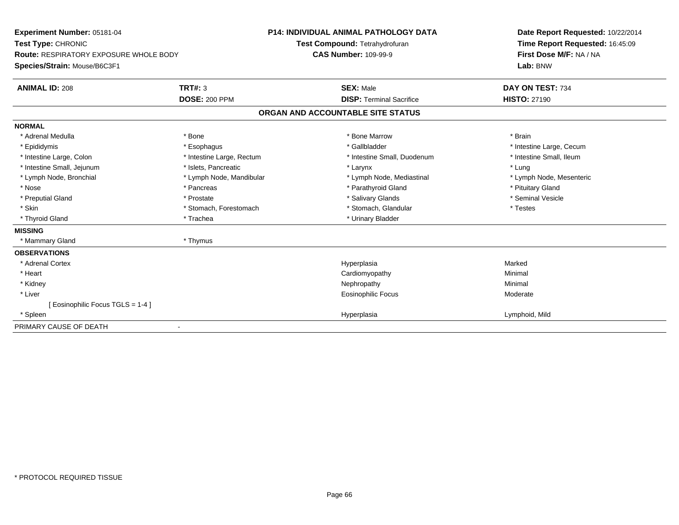| Experiment Number: 05181-04<br>Test Type: CHRONIC |                           | <b>P14: INDIVIDUAL ANIMAL PATHOLOGY DATA</b><br>Test Compound: Tetrahydrofuran | Date Report Requested: 10/22/2014<br>Time Report Requested: 16:45:09 |  |
|---------------------------------------------------|---------------------------|--------------------------------------------------------------------------------|----------------------------------------------------------------------|--|
| <b>Route: RESPIRATORY EXPOSURE WHOLE BODY</b>     |                           | <b>CAS Number: 109-99-9</b>                                                    | First Dose M/F: NA / NA<br>Lab: BNW                                  |  |
| Species/Strain: Mouse/B6C3F1                      |                           |                                                                                |                                                                      |  |
| <b>ANIMAL ID: 208</b>                             | TRT#: 3                   | <b>SEX: Male</b>                                                               | DAY ON TEST: 734                                                     |  |
|                                                   | <b>DOSE: 200 PPM</b>      | <b>DISP: Terminal Sacrifice</b>                                                | <b>HISTO: 27190</b>                                                  |  |
|                                                   |                           | ORGAN AND ACCOUNTABLE SITE STATUS                                              |                                                                      |  |
| <b>NORMAL</b>                                     |                           |                                                                                |                                                                      |  |
| * Adrenal Medulla                                 | * Bone                    | * Bone Marrow                                                                  | * Brain                                                              |  |
| * Epididymis                                      | * Esophagus               | * Gallbladder                                                                  | * Intestine Large, Cecum                                             |  |
| * Intestine Large, Colon                          | * Intestine Large, Rectum | * Intestine Small, Duodenum                                                    | * Intestine Small. Ileum                                             |  |
| * Intestine Small, Jejunum                        | * Islets. Pancreatic      | * Larynx                                                                       | * Lung                                                               |  |
| * Lymph Node, Bronchial                           | * Lymph Node, Mandibular  | * Lymph Node, Mediastinal                                                      | * Lymph Node, Mesenteric                                             |  |
| * Nose                                            | * Pancreas                | * Parathyroid Gland                                                            | * Pituitary Gland                                                    |  |
| * Preputial Gland                                 | * Prostate                | * Salivary Glands                                                              | * Seminal Vesicle                                                    |  |
| * Skin                                            | * Stomach, Forestomach    | * Stomach, Glandular                                                           | * Testes                                                             |  |
| * Thyroid Gland                                   | * Trachea                 | * Urinary Bladder                                                              |                                                                      |  |
| <b>MISSING</b>                                    |                           |                                                                                |                                                                      |  |
| * Mammary Gland                                   | * Thymus                  |                                                                                |                                                                      |  |
| <b>OBSERVATIONS</b>                               |                           |                                                                                |                                                                      |  |
| * Adrenal Cortex                                  |                           | Hyperplasia                                                                    | Marked                                                               |  |
| * Heart                                           |                           | Cardiomyopathy                                                                 | Minimal                                                              |  |
| * Kidney                                          |                           | Nephropathy                                                                    | Minimal                                                              |  |
| * Liver                                           |                           | Eosinophilic Focus                                                             | Moderate                                                             |  |
| [ Eosinophilic Focus TGLS = 1-4 ]                 |                           |                                                                                |                                                                      |  |
| * Spleen                                          |                           | Hyperplasia                                                                    | Lymphoid, Mild                                                       |  |
| PRIMARY CAUSE OF DEATH                            |                           |                                                                                |                                                                      |  |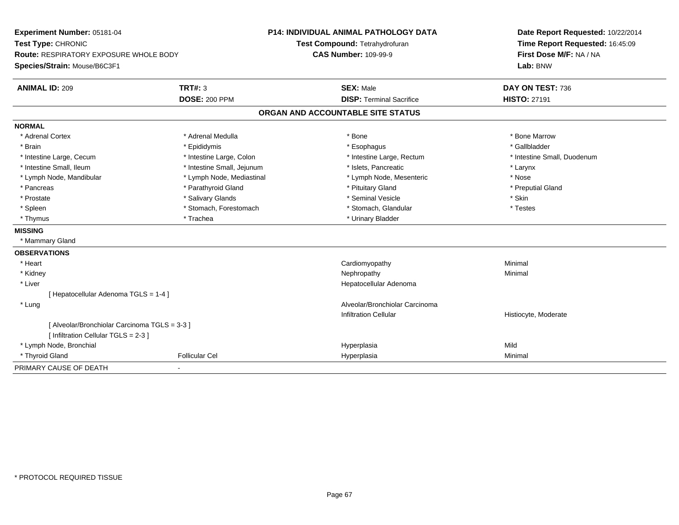| Experiment Number: 05181-04                                                           |                            | <b>P14: INDIVIDUAL ANIMAL PATHOLOGY DATA</b> | Date Report Requested: 10/22/2014 |  |
|---------------------------------------------------------------------------------------|----------------------------|----------------------------------------------|-----------------------------------|--|
| Test Type: CHRONIC                                                                    |                            | Test Compound: Tetrahydrofuran               | Time Report Requested: 16:45:09   |  |
| Route: RESPIRATORY EXPOSURE WHOLE BODY                                                |                            | <b>CAS Number: 109-99-9</b>                  | First Dose M/F: NA / NA           |  |
| Species/Strain: Mouse/B6C3F1                                                          |                            |                                              | Lab: BNW                          |  |
| <b>ANIMAL ID: 209</b>                                                                 | <b>TRT#: 3</b>             | <b>SEX: Male</b>                             | DAY ON TEST: 736                  |  |
|                                                                                       | <b>DOSE: 200 PPM</b>       | <b>DISP: Terminal Sacrifice</b>              | <b>HISTO: 27191</b>               |  |
|                                                                                       |                            | ORGAN AND ACCOUNTABLE SITE STATUS            |                                   |  |
| <b>NORMAL</b>                                                                         |                            |                                              |                                   |  |
| * Adrenal Cortex                                                                      | * Adrenal Medulla          | * Bone                                       | * Bone Marrow                     |  |
| * Brain                                                                               | * Epididymis               | * Esophagus                                  | * Gallbladder                     |  |
| * Intestine Large, Cecum                                                              | * Intestine Large, Colon   | * Intestine Large, Rectum                    | * Intestine Small, Duodenum       |  |
| * Intestine Small, Ileum                                                              | * Intestine Small, Jejunum | * Islets, Pancreatic                         | * Larynx                          |  |
| * Lymph Node, Mandibular                                                              | * Lymph Node, Mediastinal  | * Lymph Node, Mesenteric                     | * Nose                            |  |
| * Pancreas                                                                            | * Parathyroid Gland        | * Pituitary Gland                            | * Preputial Gland                 |  |
| * Prostate                                                                            | * Salivary Glands          | * Seminal Vesicle                            | * Skin                            |  |
| * Spleen                                                                              | * Stomach, Forestomach     | * Stomach, Glandular                         | * Testes                          |  |
| * Thymus                                                                              | * Trachea                  | * Urinary Bladder                            |                                   |  |
| <b>MISSING</b>                                                                        |                            |                                              |                                   |  |
| * Mammary Gland                                                                       |                            |                                              |                                   |  |
| <b>OBSERVATIONS</b>                                                                   |                            |                                              |                                   |  |
| * Heart                                                                               |                            | Cardiomyopathy                               | Minimal                           |  |
| * Kidney                                                                              |                            | Nephropathy                                  | Minimal                           |  |
| * Liver                                                                               |                            | Hepatocellular Adenoma                       |                                   |  |
| [ Hepatocellular Adenoma TGLS = 1-4 ]                                                 |                            |                                              |                                   |  |
| * Lung                                                                                |                            | Alveolar/Bronchiolar Carcinoma               |                                   |  |
|                                                                                       |                            | <b>Infiltration Cellular</b>                 | Histiocyte, Moderate              |  |
| [ Alveolar/Bronchiolar Carcinoma TGLS = 3-3 ]<br>[ Infiltration Cellular TGLS = 2-3 ] |                            |                                              |                                   |  |
| * Lymph Node, Bronchial                                                               |                            | Hyperplasia                                  | Mild                              |  |
| * Thyroid Gland                                                                       | <b>Follicular Cel</b>      | Hyperplasia                                  | Minimal                           |  |
| PRIMARY CAUSE OF DEATH                                                                |                            |                                              |                                   |  |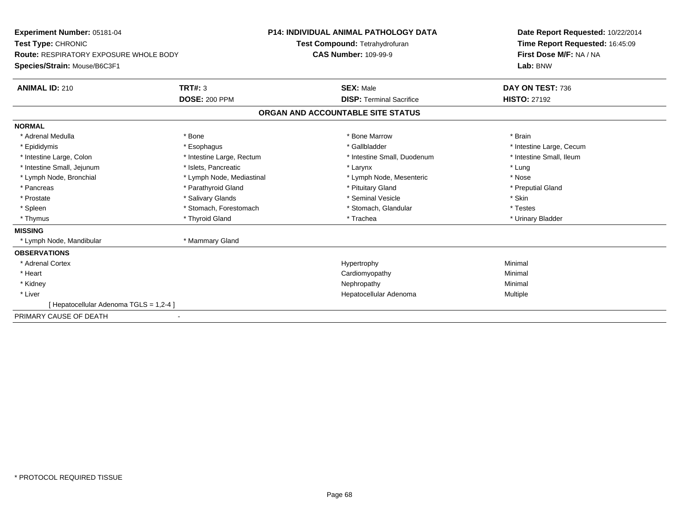| Experiment Number: 05181-04                   |                           | <b>P14: INDIVIDUAL ANIMAL PATHOLOGY DATA</b> | Date Report Requested: 10/22/2014                          |  |
|-----------------------------------------------|---------------------------|----------------------------------------------|------------------------------------------------------------|--|
| Test Type: CHRONIC                            |                           | Test Compound: Tetrahydrofuran               | Time Report Requested: 16:45:09<br>First Dose M/F: NA / NA |  |
| <b>Route: RESPIRATORY EXPOSURE WHOLE BODY</b> |                           | <b>CAS Number: 109-99-9</b>                  |                                                            |  |
| Species/Strain: Mouse/B6C3F1                  |                           |                                              | Lab: BNW                                                   |  |
| <b>ANIMAL ID: 210</b>                         | <b>TRT#: 3</b>            | <b>SEX: Male</b>                             | DAY ON TEST: 736                                           |  |
|                                               | <b>DOSE: 200 PPM</b>      | <b>DISP: Terminal Sacrifice</b>              | <b>HISTO: 27192</b>                                        |  |
|                                               |                           | ORGAN AND ACCOUNTABLE SITE STATUS            |                                                            |  |
| <b>NORMAL</b>                                 |                           |                                              |                                                            |  |
| * Adrenal Medulla                             | * Bone                    | * Bone Marrow                                | * Brain                                                    |  |
| * Epididymis                                  | * Esophagus               | * Gallbladder                                | * Intestine Large, Cecum                                   |  |
| * Intestine Large, Colon                      | * Intestine Large, Rectum | * Intestine Small, Duodenum                  | * Intestine Small, Ileum                                   |  |
| * Intestine Small, Jejunum                    | * Islets, Pancreatic      | * Larynx                                     | * Lung                                                     |  |
| * Lymph Node, Bronchial                       | * Lymph Node, Mediastinal | * Lymph Node, Mesenteric                     | * Nose                                                     |  |
| * Pancreas                                    | * Parathyroid Gland       | * Pituitary Gland                            | * Preputial Gland                                          |  |
| * Prostate                                    | * Salivary Glands         | * Seminal Vesicle                            | * Skin                                                     |  |
| * Spleen                                      | * Stomach, Forestomach    | * Stomach, Glandular                         | * Testes                                                   |  |
| * Thymus                                      | * Thyroid Gland           | * Trachea                                    | * Urinary Bladder                                          |  |
| <b>MISSING</b>                                |                           |                                              |                                                            |  |
| * Lymph Node, Mandibular                      | * Mammary Gland           |                                              |                                                            |  |
| <b>OBSERVATIONS</b>                           |                           |                                              |                                                            |  |
| * Adrenal Cortex                              |                           | Hypertrophy                                  | Minimal                                                    |  |
| * Heart                                       |                           | Cardiomyopathy                               | Minimal                                                    |  |
| * Kidney                                      |                           | Nephropathy                                  | Minimal                                                    |  |
| * Liver                                       |                           | Hepatocellular Adenoma                       | <b>Multiple</b>                                            |  |
| [ Hepatocellular Adenoma TGLS = 1,2-4 ]       |                           |                                              |                                                            |  |
| PRIMARY CAUSE OF DEATH                        |                           |                                              |                                                            |  |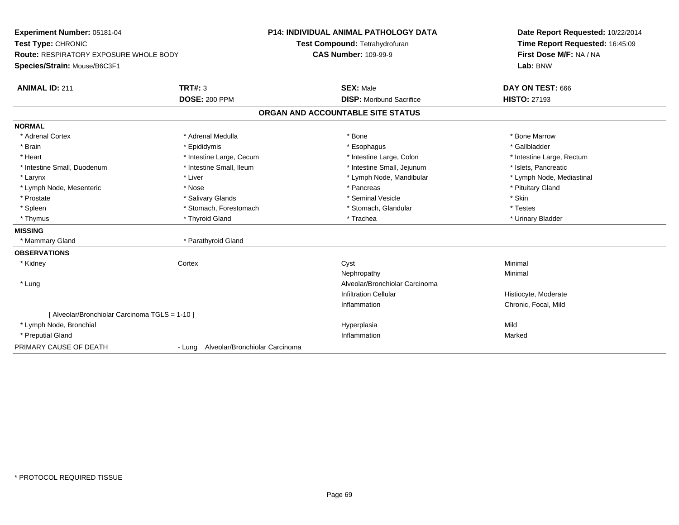| Experiment Number: 05181-04                    |                                       | <b>P14: INDIVIDUAL ANIMAL PATHOLOGY DATA</b> | Date Report Requested: 10/22/2014 |  |
|------------------------------------------------|---------------------------------------|----------------------------------------------|-----------------------------------|--|
| Test Type: CHRONIC                             |                                       | Test Compound: Tetrahydrofuran               | Time Report Requested: 16:45:09   |  |
| <b>Route: RESPIRATORY EXPOSURE WHOLE BODY</b>  |                                       | <b>CAS Number: 109-99-9</b>                  | First Dose M/F: NA / NA           |  |
| Species/Strain: Mouse/B6C3F1                   |                                       |                                              | Lab: BNW                          |  |
| <b>ANIMAL ID: 211</b>                          | <b>TRT#: 3</b>                        | <b>SEX: Male</b>                             | DAY ON TEST: 666                  |  |
|                                                | <b>DOSE: 200 PPM</b>                  | <b>DISP:</b> Moribund Sacrifice              | <b>HISTO: 27193</b>               |  |
|                                                |                                       | ORGAN AND ACCOUNTABLE SITE STATUS            |                                   |  |
| <b>NORMAL</b>                                  |                                       |                                              |                                   |  |
| * Adrenal Cortex                               | * Adrenal Medulla                     | * Bone                                       | * Bone Marrow                     |  |
| * Brain                                        | * Epididymis                          | * Esophagus                                  | * Gallbladder                     |  |
| * Heart                                        | * Intestine Large, Cecum              | * Intestine Large, Colon                     | * Intestine Large, Rectum         |  |
| * Intestine Small, Duodenum                    | * Intestine Small, Ileum              | * Intestine Small, Jejunum                   | * Islets, Pancreatic              |  |
| * Larynx                                       | * Liver                               | * Lymph Node, Mandibular                     | * Lymph Node, Mediastinal         |  |
| * Lymph Node, Mesenteric                       | * Nose                                | * Pancreas                                   | * Pituitary Gland                 |  |
| * Prostate                                     | * Salivary Glands                     | * Seminal Vesicle                            | * Skin                            |  |
| * Spleen                                       | * Stomach, Forestomach                | * Stomach, Glandular                         | * Testes                          |  |
| * Thymus                                       | * Thyroid Gland                       | * Trachea                                    | * Urinary Bladder                 |  |
| <b>MISSING</b>                                 |                                       |                                              |                                   |  |
| * Mammary Gland                                | * Parathyroid Gland                   |                                              |                                   |  |
| <b>OBSERVATIONS</b>                            |                                       |                                              |                                   |  |
| * Kidney                                       | Cortex                                | Cyst                                         | Minimal                           |  |
|                                                |                                       | Nephropathy                                  | Minimal                           |  |
| * Lung                                         |                                       | Alveolar/Bronchiolar Carcinoma               |                                   |  |
|                                                |                                       | <b>Infiltration Cellular</b>                 | Histiocyte, Moderate              |  |
|                                                |                                       | Inflammation                                 | Chronic, Focal, Mild              |  |
| [ Alveolar/Bronchiolar Carcinoma TGLS = 1-10 ] |                                       |                                              |                                   |  |
| * Lymph Node, Bronchial                        |                                       | Hyperplasia                                  | Mild                              |  |
| * Preputial Gland                              |                                       | Inflammation                                 | Marked                            |  |
| PRIMARY CAUSE OF DEATH                         | - Lung Alveolar/Bronchiolar Carcinoma |                                              |                                   |  |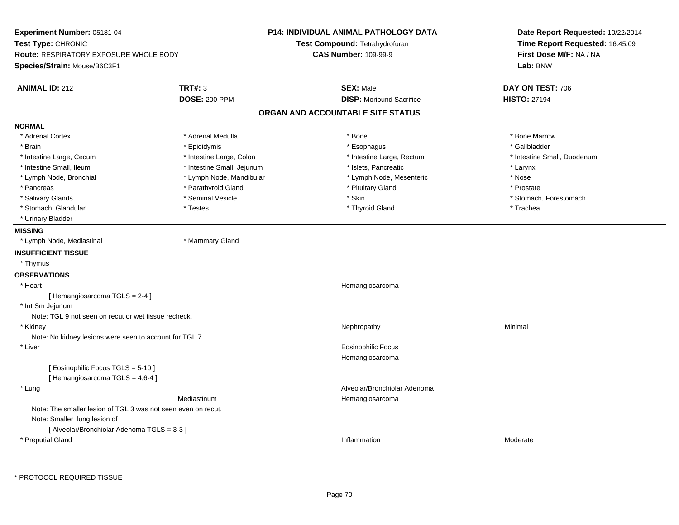| Experiment Number: 05181-04                                   |                            | <b>P14: INDIVIDUAL ANIMAL PATHOLOGY DATA</b> | Date Report Requested: 10/22/2014 |  |
|---------------------------------------------------------------|----------------------------|----------------------------------------------|-----------------------------------|--|
| Test Type: CHRONIC                                            |                            | Test Compound: Tetrahydrofuran               | Time Report Requested: 16:45:09   |  |
| <b>Route: RESPIRATORY EXPOSURE WHOLE BODY</b>                 |                            | <b>CAS Number: 109-99-9</b>                  | First Dose M/F: NA / NA           |  |
| Species/Strain: Mouse/B6C3F1                                  |                            |                                              | Lab: BNW                          |  |
| <b>ANIMAL ID: 212</b>                                         | <b>TRT#: 3</b>             | <b>SEX: Male</b>                             | DAY ON TEST: 706                  |  |
|                                                               | <b>DOSE: 200 PPM</b>       | <b>DISP:</b> Moribund Sacrifice              | <b>HISTO: 27194</b>               |  |
|                                                               |                            | ORGAN AND ACCOUNTABLE SITE STATUS            |                                   |  |
| <b>NORMAL</b>                                                 |                            |                                              |                                   |  |
| * Adrenal Cortex                                              | * Adrenal Medulla          | * Bone                                       | * Bone Marrow                     |  |
| * Brain                                                       | * Epididymis               | * Esophagus                                  | * Gallbladder                     |  |
| * Intestine Large, Cecum                                      | * Intestine Large, Colon   | * Intestine Large, Rectum                    | * Intestine Small, Duodenum       |  |
| * Intestine Small, Ileum                                      | * Intestine Small, Jejunum | * Islets, Pancreatic                         | * Larynx                          |  |
| * Lymph Node, Bronchial                                       | * Lymph Node, Mandibular   | * Lymph Node, Mesenteric                     | * Nose                            |  |
| * Pancreas                                                    | * Parathyroid Gland        | * Pituitary Gland                            | * Prostate                        |  |
| * Salivary Glands                                             | * Seminal Vesicle          | * Skin                                       | * Stomach, Forestomach            |  |
| * Stomach, Glandular                                          | * Testes                   | * Thyroid Gland                              | * Trachea                         |  |
| * Urinary Bladder                                             |                            |                                              |                                   |  |
| <b>MISSING</b>                                                |                            |                                              |                                   |  |
| * Lymph Node, Mediastinal                                     | * Mammary Gland            |                                              |                                   |  |
| <b>INSUFFICIENT TISSUE</b>                                    |                            |                                              |                                   |  |
| * Thymus                                                      |                            |                                              |                                   |  |
| <b>OBSERVATIONS</b>                                           |                            |                                              |                                   |  |
| * Heart                                                       |                            | Hemangiosarcoma                              |                                   |  |
| [Hemangiosarcoma TGLS = 2-4]                                  |                            |                                              |                                   |  |
| * Int Sm Jejunum                                              |                            |                                              |                                   |  |
| Note: TGL 9 not seen on recut or wet tissue recheck.          |                            |                                              |                                   |  |
| * Kidney                                                      |                            | Nephropathy                                  | Minimal                           |  |
| Note: No kidney lesions were seen to account for TGL 7.       |                            |                                              |                                   |  |
| * Liver                                                       |                            | <b>Eosinophilic Focus</b>                    |                                   |  |
|                                                               |                            | Hemangiosarcoma                              |                                   |  |
| [ Eosinophilic Focus TGLS = 5-10 ]                            |                            |                                              |                                   |  |
| [Hemangiosarcoma TGLS = 4,6-4]                                |                            |                                              |                                   |  |
| * Lung                                                        |                            | Alveolar/Bronchiolar Adenoma                 |                                   |  |
|                                                               | Mediastinum                | Hemangiosarcoma                              |                                   |  |
| Note: The smaller lesion of TGL 3 was not seen even on recut. |                            |                                              |                                   |  |
| Note: Smaller lung lesion of                                  |                            |                                              |                                   |  |
| [ Alveolar/Bronchiolar Adenoma TGLS = 3-3 ]                   |                            |                                              |                                   |  |
| * Preputial Gland                                             |                            | Inflammation                                 | Moderate                          |  |
|                                                               |                            |                                              |                                   |  |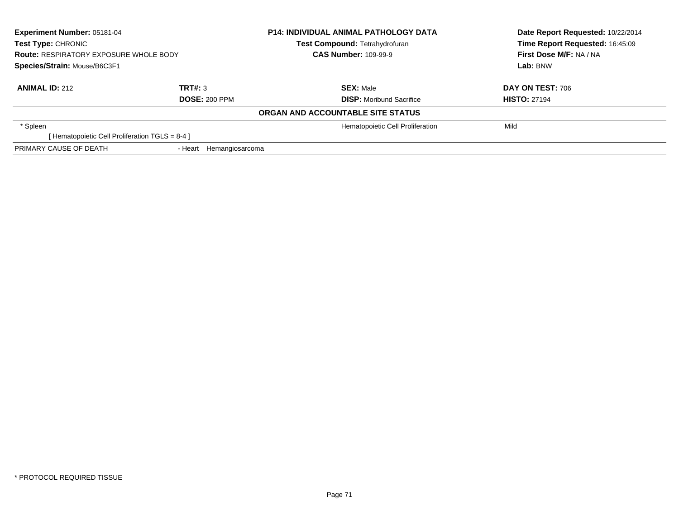| Experiment Number: 05181-04<br><b>Test Type: CHRONIC</b><br><b>Route: RESPIRATORY EXPOSURE WHOLE BODY</b><br>Species/Strain: Mouse/B6C3F1 |                         | <b>P14: INDIVIDUAL ANIMAL PATHOLOGY DATA</b> | Date Report Requested: 10/22/2014 |  |
|-------------------------------------------------------------------------------------------------------------------------------------------|-------------------------|----------------------------------------------|-----------------------------------|--|
|                                                                                                                                           |                         | Test Compound: Tetrahydrofuran               | Time Report Requested: 16:45:09   |  |
|                                                                                                                                           |                         | <b>CAS Number: 109-99-9</b>                  | First Dose M/F: NA / NA           |  |
|                                                                                                                                           |                         |                                              | Lab: BNW                          |  |
| <b>ANIMAL ID: 212</b>                                                                                                                     | TRT#: 3                 | <b>SEX: Male</b>                             | <b>DAY ON TEST: 706</b>           |  |
| <b>DOSE: 200 PPM</b>                                                                                                                      |                         | <b>DISP:</b> Moribund Sacrifice              | <b>HISTO: 27194</b>               |  |
|                                                                                                                                           |                         | ORGAN AND ACCOUNTABLE SITE STATUS            |                                   |  |
| * Spleen                                                                                                                                  |                         | Hematopoietic Cell Proliferation             | Mild                              |  |
| [ Hematopoietic Cell Proliferation $TGLS = 8-4$ ]                                                                                         |                         |                                              |                                   |  |
| PRIMARY CAUSE OF DEATH                                                                                                                    | - Heart Hemangiosarcoma |                                              |                                   |  |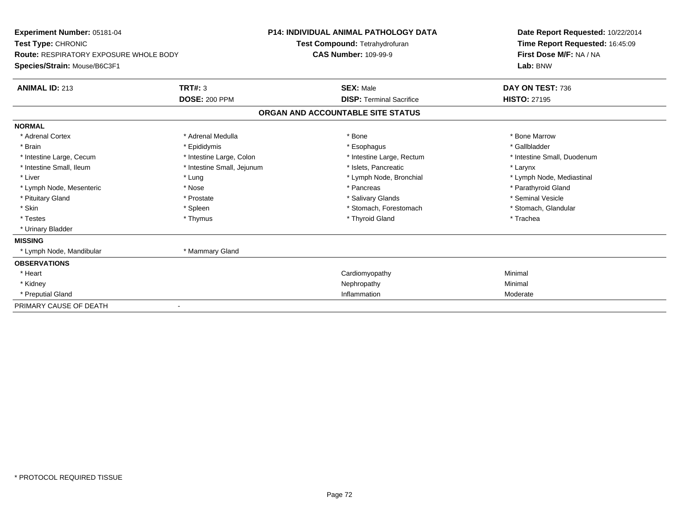| Experiment Number: 05181-04<br>Test Type: CHRONIC<br><b>Route: RESPIRATORY EXPOSURE WHOLE BODY</b><br>Species/Strain: Mouse/B6C3F1 |                            | <b>P14: INDIVIDUAL ANIMAL PATHOLOGY DATA</b><br>Test Compound: Tetrahydrofuran<br><b>CAS Number: 109-99-9</b> |                                   | Date Report Requested: 10/22/2014<br>Time Report Requested: 16:45:09<br>First Dose M/F: NA / NA<br>Lab: BNW |  |
|------------------------------------------------------------------------------------------------------------------------------------|----------------------------|---------------------------------------------------------------------------------------------------------------|-----------------------------------|-------------------------------------------------------------------------------------------------------------|--|
| <b>ANIMAL ID: 213</b>                                                                                                              | TRT#: 3                    |                                                                                                               | <b>SEX: Male</b>                  | DAY ON TEST: 736                                                                                            |  |
|                                                                                                                                    | <b>DOSE: 200 PPM</b>       |                                                                                                               | <b>DISP:</b> Terminal Sacrifice   | <b>HISTO: 27195</b>                                                                                         |  |
|                                                                                                                                    |                            |                                                                                                               | ORGAN AND ACCOUNTABLE SITE STATUS |                                                                                                             |  |
| <b>NORMAL</b>                                                                                                                      |                            |                                                                                                               |                                   |                                                                                                             |  |
| * Adrenal Cortex                                                                                                                   | * Adrenal Medulla          |                                                                                                               | * Bone                            | * Bone Marrow                                                                                               |  |
| * Brain                                                                                                                            | * Epididymis               |                                                                                                               | * Esophagus                       | * Gallbladder                                                                                               |  |
| * Intestine Large, Cecum                                                                                                           | * Intestine Large, Colon   |                                                                                                               | * Intestine Large, Rectum         | * Intestine Small, Duodenum                                                                                 |  |
| * Intestine Small, Ileum                                                                                                           | * Intestine Small, Jejunum |                                                                                                               | * Islets, Pancreatic              | * Larynx                                                                                                    |  |
| * Liver                                                                                                                            | * Lung                     |                                                                                                               | * Lymph Node, Bronchial           | * Lymph Node, Mediastinal                                                                                   |  |
| * Lymph Node, Mesenteric                                                                                                           | * Nose                     |                                                                                                               | * Pancreas                        | * Parathyroid Gland                                                                                         |  |
| * Pituitary Gland                                                                                                                  | * Prostate                 |                                                                                                               | * Salivary Glands                 | * Seminal Vesicle                                                                                           |  |
| * Skin                                                                                                                             | * Spleen                   |                                                                                                               | * Stomach, Forestomach            | * Stomach, Glandular                                                                                        |  |
| * Testes                                                                                                                           | * Thymus                   |                                                                                                               | * Thyroid Gland                   | * Trachea                                                                                                   |  |
| * Urinary Bladder                                                                                                                  |                            |                                                                                                               |                                   |                                                                                                             |  |
| <b>MISSING</b>                                                                                                                     |                            |                                                                                                               |                                   |                                                                                                             |  |
| * Lymph Node, Mandibular                                                                                                           | * Mammary Gland            |                                                                                                               |                                   |                                                                                                             |  |
| <b>OBSERVATIONS</b>                                                                                                                |                            |                                                                                                               |                                   |                                                                                                             |  |
| * Heart                                                                                                                            |                            |                                                                                                               | Cardiomyopathy                    | Minimal                                                                                                     |  |
| * Kidney                                                                                                                           |                            |                                                                                                               | Nephropathy                       | Minimal                                                                                                     |  |
| * Preputial Gland                                                                                                                  |                            |                                                                                                               | Inflammation                      | Moderate                                                                                                    |  |
| PRIMARY CAUSE OF DEATH                                                                                                             |                            |                                                                                                               |                                   |                                                                                                             |  |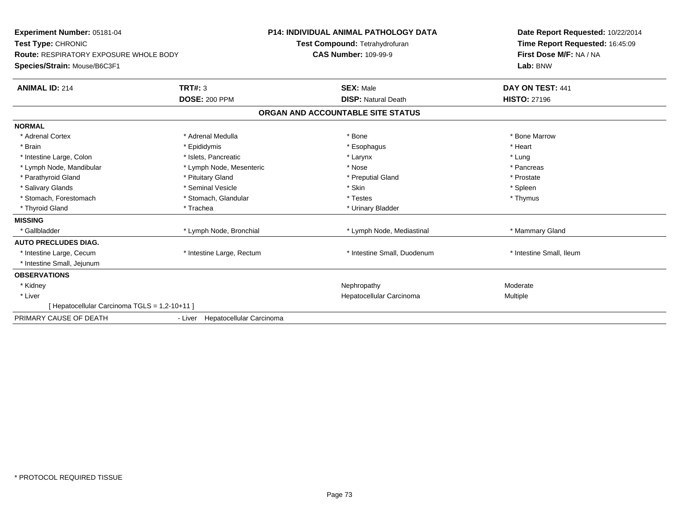| Experiment Number: 05181-04<br>Test Type: CHRONIC<br><b>Route: RESPIRATORY EXPOSURE WHOLE BODY</b><br>Species/Strain: Mouse/B6C3F1 |                                  | <b>P14: INDIVIDUAL ANIMAL PATHOLOGY DATA</b><br>Test Compound: Tetrahydrofuran<br><b>CAS Number: 109-99-9</b> | Date Report Requested: 10/22/2014<br>Time Report Requested: 16:45:09<br>First Dose M/F: NA / NA<br>Lab: BNW |  |
|------------------------------------------------------------------------------------------------------------------------------------|----------------------------------|---------------------------------------------------------------------------------------------------------------|-------------------------------------------------------------------------------------------------------------|--|
| <b>ANIMAL ID: 214</b>                                                                                                              | <b>TRT#: 3</b>                   | <b>SEX: Male</b>                                                                                              | DAY ON TEST: 441                                                                                            |  |
|                                                                                                                                    | <b>DOSE: 200 PPM</b>             | <b>DISP: Natural Death</b>                                                                                    | <b>HISTO: 27196</b>                                                                                         |  |
|                                                                                                                                    |                                  | ORGAN AND ACCOUNTABLE SITE STATUS                                                                             |                                                                                                             |  |
| <b>NORMAL</b>                                                                                                                      |                                  |                                                                                                               |                                                                                                             |  |
| * Adrenal Cortex                                                                                                                   | * Adrenal Medulla                | * Bone                                                                                                        | * Bone Marrow                                                                                               |  |
| * Brain                                                                                                                            | * Epididymis                     | * Esophagus                                                                                                   | * Heart                                                                                                     |  |
| * Intestine Large, Colon                                                                                                           | * Islets, Pancreatic             | * Larynx                                                                                                      | * Lung                                                                                                      |  |
| * Lymph Node, Mandibular                                                                                                           | * Lymph Node, Mesenteric         | * Nose                                                                                                        | * Pancreas                                                                                                  |  |
| * Parathyroid Gland                                                                                                                | * Pituitary Gland                | * Preputial Gland                                                                                             | * Prostate                                                                                                  |  |
| * Salivary Glands                                                                                                                  | * Seminal Vesicle                | * Skin                                                                                                        | * Spleen                                                                                                    |  |
| * Stomach, Forestomach                                                                                                             | * Stomach, Glandular             | * Testes                                                                                                      | * Thymus                                                                                                    |  |
| * Thyroid Gland                                                                                                                    | * Trachea                        | * Urinary Bladder                                                                                             |                                                                                                             |  |
| <b>MISSING</b>                                                                                                                     |                                  |                                                                                                               |                                                                                                             |  |
| * Gallbladder                                                                                                                      | * Lymph Node, Bronchial          | * Lymph Node, Mediastinal                                                                                     | * Mammary Gland                                                                                             |  |
| <b>AUTO PRECLUDES DIAG.</b>                                                                                                        |                                  |                                                                                                               |                                                                                                             |  |
| * Intestine Large, Cecum                                                                                                           | * Intestine Large, Rectum        | * Intestine Small, Duodenum                                                                                   | * Intestine Small, Ileum                                                                                    |  |
| * Intestine Small, Jejunum                                                                                                         |                                  |                                                                                                               |                                                                                                             |  |
| <b>OBSERVATIONS</b>                                                                                                                |                                  |                                                                                                               |                                                                                                             |  |
| * Kidney                                                                                                                           |                                  | Nephropathy                                                                                                   | Moderate                                                                                                    |  |
| * Liver                                                                                                                            |                                  | Hepatocellular Carcinoma                                                                                      | Multiple                                                                                                    |  |
| [ Hepatocellular Carcinoma TGLS = 1,2-10+11 ]                                                                                      |                                  |                                                                                                               |                                                                                                             |  |
| PRIMARY CAUSE OF DEATH                                                                                                             | - Liver Hepatocellular Carcinoma |                                                                                                               |                                                                                                             |  |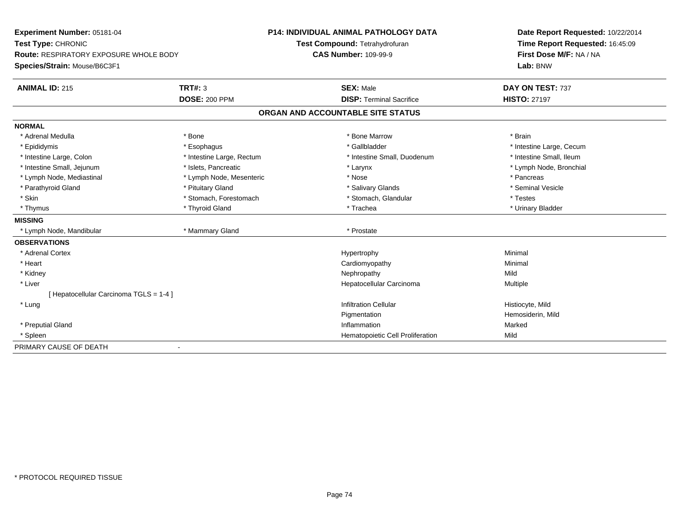| Experiment Number: 05181-04                   |                           | <b>P14: INDIVIDUAL ANIMAL PATHOLOGY DATA</b> | Date Report Requested: 10/22/2014 |
|-----------------------------------------------|---------------------------|----------------------------------------------|-----------------------------------|
| Test Type: CHRONIC                            |                           | Test Compound: Tetrahydrofuran               | Time Report Requested: 16:45:09   |
| <b>Route: RESPIRATORY EXPOSURE WHOLE BODY</b> |                           | <b>CAS Number: 109-99-9</b>                  | First Dose M/F: NA / NA           |
| Species/Strain: Mouse/B6C3F1                  |                           |                                              | Lab: BNW                          |
| <b>ANIMAL ID: 215</b>                         | <b>TRT#: 3</b>            | <b>SEX: Male</b>                             | DAY ON TEST: 737                  |
|                                               | <b>DOSE: 200 PPM</b>      | <b>DISP: Terminal Sacrifice</b>              | <b>HISTO: 27197</b>               |
|                                               |                           | ORGAN AND ACCOUNTABLE SITE STATUS            |                                   |
| <b>NORMAL</b>                                 |                           |                                              |                                   |
| * Adrenal Medulla                             | * Bone                    | * Bone Marrow                                | * Brain                           |
| * Epididymis                                  | * Esophagus               | * Gallbladder                                | * Intestine Large, Cecum          |
| * Intestine Large, Colon                      | * Intestine Large, Rectum | * Intestine Small, Duodenum                  | * Intestine Small, Ileum          |
| * Intestine Small, Jejunum                    | * Islets, Pancreatic      | * Larynx                                     | * Lymph Node, Bronchial           |
| * Lymph Node, Mediastinal                     | * Lymph Node, Mesenteric  | * Nose                                       | * Pancreas                        |
| * Parathyroid Gland                           | * Pituitary Gland         | * Salivary Glands                            | * Seminal Vesicle                 |
| * Skin                                        | * Stomach, Forestomach    | * Stomach, Glandular                         | * Testes                          |
| * Thymus                                      | * Thyroid Gland           | * Trachea                                    | * Urinary Bladder                 |
| <b>MISSING</b>                                |                           |                                              |                                   |
| * Lymph Node, Mandibular                      | * Mammary Gland           | * Prostate                                   |                                   |
| <b>OBSERVATIONS</b>                           |                           |                                              |                                   |
| * Adrenal Cortex                              |                           | Hypertrophy                                  | Minimal                           |
| * Heart                                       |                           | Cardiomyopathy                               | Minimal                           |
| * Kidney                                      |                           | Nephropathy                                  | Mild                              |
| * Liver                                       |                           | Hepatocellular Carcinoma                     | Multiple                          |
| [ Hepatocellular Carcinoma TGLS = 1-4 ]       |                           |                                              |                                   |
| * Lung                                        |                           | <b>Infiltration Cellular</b>                 | Histiocyte, Mild                  |
|                                               |                           | Pigmentation                                 | Hemosiderin, Mild                 |
| * Preputial Gland                             |                           | Inflammation                                 | Marked                            |
| * Spleen                                      |                           | Hematopoietic Cell Proliferation             | Mild                              |
| PRIMARY CAUSE OF DEATH                        | $\overline{\phantom{a}}$  |                                              |                                   |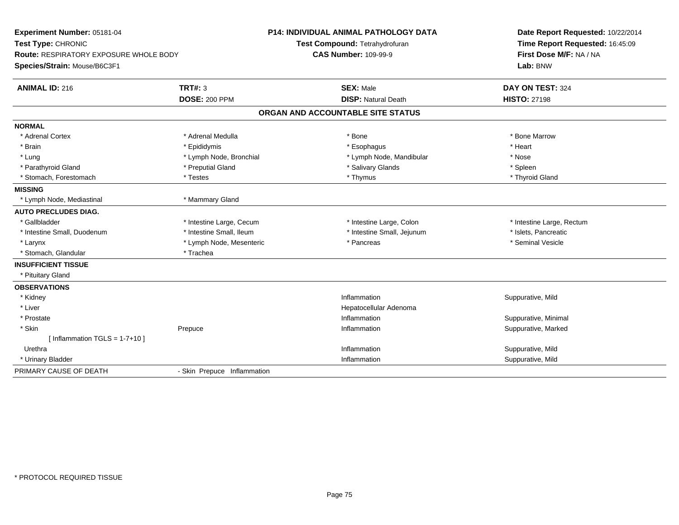| Experiment Number: 05181-04<br>Test Type: CHRONIC<br>Route: RESPIRATORY EXPOSURE WHOLE BODY<br>Species/Strain: Mouse/B6C3F1 |                             | <b>P14: INDIVIDUAL ANIMAL PATHOLOGY DATA</b><br>Test Compound: Tetrahydrofuran<br><b>CAS Number: 109-99-9</b> | Date Report Requested: 10/22/2014<br>Time Report Requested: 16:45:09<br>First Dose M/F: NA / NA<br>Lab: BNW |
|-----------------------------------------------------------------------------------------------------------------------------|-----------------------------|---------------------------------------------------------------------------------------------------------------|-------------------------------------------------------------------------------------------------------------|
| <b>ANIMAL ID: 216</b>                                                                                                       | TRT#: 3                     | <b>SEX: Male</b>                                                                                              | DAY ON TEST: 324                                                                                            |
|                                                                                                                             | <b>DOSE: 200 PPM</b>        | <b>DISP: Natural Death</b>                                                                                    | <b>HISTO: 27198</b>                                                                                         |
|                                                                                                                             |                             | ORGAN AND ACCOUNTABLE SITE STATUS                                                                             |                                                                                                             |
| <b>NORMAL</b>                                                                                                               |                             |                                                                                                               |                                                                                                             |
| * Adrenal Cortex                                                                                                            | * Adrenal Medulla           | * Bone                                                                                                        | * Bone Marrow                                                                                               |
| * Brain                                                                                                                     | * Epididymis                | * Esophagus                                                                                                   | * Heart                                                                                                     |
| * Lung                                                                                                                      | * Lymph Node, Bronchial     | * Lymph Node, Mandibular                                                                                      | * Nose                                                                                                      |
| * Parathyroid Gland                                                                                                         | * Preputial Gland           | * Salivary Glands                                                                                             | * Spleen                                                                                                    |
| * Stomach, Forestomach                                                                                                      | * Testes                    | * Thymus                                                                                                      | * Thyroid Gland                                                                                             |
| <b>MISSING</b>                                                                                                              |                             |                                                                                                               |                                                                                                             |
| * Lymph Node, Mediastinal                                                                                                   | * Mammary Gland             |                                                                                                               |                                                                                                             |
| <b>AUTO PRECLUDES DIAG.</b>                                                                                                 |                             |                                                                                                               |                                                                                                             |
| * Gallbladder                                                                                                               | * Intestine Large, Cecum    | * Intestine Large, Colon                                                                                      | * Intestine Large, Rectum                                                                                   |
| * Intestine Small, Duodenum                                                                                                 | * Intestine Small, Ileum    | * Intestine Small, Jejunum                                                                                    | * Islets, Pancreatic                                                                                        |
| * Larynx                                                                                                                    | * Lymph Node, Mesenteric    | * Pancreas                                                                                                    | * Seminal Vesicle                                                                                           |
| * Stomach, Glandular                                                                                                        | * Trachea                   |                                                                                                               |                                                                                                             |
| <b>INSUFFICIENT TISSUE</b>                                                                                                  |                             |                                                                                                               |                                                                                                             |
| * Pituitary Gland                                                                                                           |                             |                                                                                                               |                                                                                                             |
| <b>OBSERVATIONS</b>                                                                                                         |                             |                                                                                                               |                                                                                                             |
| * Kidney                                                                                                                    |                             | Inflammation                                                                                                  | Suppurative, Mild                                                                                           |
| * Liver                                                                                                                     |                             | Hepatocellular Adenoma                                                                                        |                                                                                                             |
| * Prostate                                                                                                                  |                             | Inflammation                                                                                                  | Suppurative, Minimal                                                                                        |
| * Skin                                                                                                                      | Prepuce                     | Inflammation                                                                                                  | Suppurative, Marked                                                                                         |
| [Inflammation TGLS = $1-7+10$ ]                                                                                             |                             |                                                                                                               |                                                                                                             |
| Urethra                                                                                                                     |                             | Inflammation                                                                                                  | Suppurative, Mild                                                                                           |
| * Urinary Bladder                                                                                                           |                             | Inflammation                                                                                                  | Suppurative, Mild                                                                                           |
| PRIMARY CAUSE OF DEATH                                                                                                      | - Skin Prepuce Inflammation |                                                                                                               |                                                                                                             |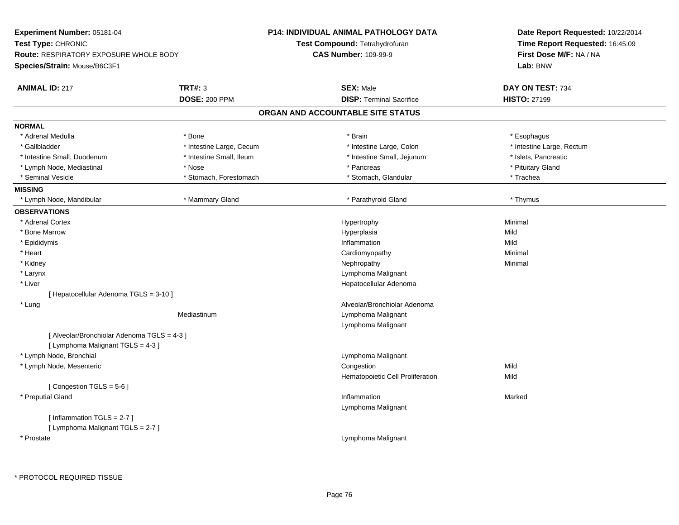| Experiment Number: 05181-04                 |                          | <b>P14: INDIVIDUAL ANIMAL PATHOLOGY DATA</b> | Date Report Requested: 10/22/2014 |
|---------------------------------------------|--------------------------|----------------------------------------------|-----------------------------------|
| Test Type: CHRONIC                          |                          | Test Compound: Tetrahydrofuran               | Time Report Requested: 16:45:09   |
| Route: RESPIRATORY EXPOSURE WHOLE BODY      |                          | <b>CAS Number: 109-99-9</b>                  | First Dose M/F: NA / NA           |
| Species/Strain: Mouse/B6C3F1                |                          |                                              | Lab: BNW                          |
| <b>ANIMAL ID: 217</b>                       | <b>TRT#: 3</b>           | <b>SEX: Male</b>                             | DAY ON TEST: 734                  |
|                                             | <b>DOSE: 200 PPM</b>     | <b>DISP: Terminal Sacrifice</b>              | <b>HISTO: 27199</b>               |
|                                             |                          | ORGAN AND ACCOUNTABLE SITE STATUS            |                                   |
| <b>NORMAL</b>                               |                          |                                              |                                   |
| * Adrenal Medulla                           | * Bone                   | * Brain                                      | * Esophagus                       |
| * Gallbladder                               | * Intestine Large, Cecum | * Intestine Large, Colon                     | * Intestine Large, Rectum         |
| * Intestine Small, Duodenum                 | * Intestine Small, Ileum | * Intestine Small, Jejunum                   | * Islets, Pancreatic              |
| * Lymph Node, Mediastinal                   | * Nose                   | * Pancreas                                   | * Pituitary Gland                 |
| * Seminal Vesicle                           | * Stomach, Forestomach   | * Stomach, Glandular                         | * Trachea                         |
| <b>MISSING</b>                              |                          |                                              |                                   |
| * Lymph Node, Mandibular                    | * Mammary Gland          | * Parathyroid Gland                          | * Thymus                          |
| <b>OBSERVATIONS</b>                         |                          |                                              |                                   |
| * Adrenal Cortex                            |                          | Hypertrophy                                  | Minimal                           |
| * Bone Marrow                               |                          | Hyperplasia                                  | Mild                              |
| * Epididymis                                |                          | Inflammation                                 | Mild                              |
| * Heart                                     |                          | Cardiomyopathy                               | Minimal                           |
| * Kidney                                    |                          | Nephropathy                                  | Minimal                           |
| * Larynx                                    |                          | Lymphoma Malignant                           |                                   |
| * Liver                                     |                          | Hepatocellular Adenoma                       |                                   |
| [ Hepatocellular Adenoma TGLS = 3-10 ]      |                          |                                              |                                   |
| * Lung                                      |                          | Alveolar/Bronchiolar Adenoma                 |                                   |
|                                             | Mediastinum              | Lymphoma Malignant                           |                                   |
|                                             |                          | Lymphoma Malignant                           |                                   |
| [ Alveolar/Bronchiolar Adenoma TGLS = 4-3 ] |                          |                                              |                                   |
| [ Lymphoma Malignant $TGLS = 4-3$ ]         |                          |                                              |                                   |
| * Lymph Node, Bronchial                     |                          | Lymphoma Malignant                           |                                   |
| * Lymph Node, Mesenteric                    |                          | Congestion                                   | Mild                              |
|                                             |                          | Hematopoietic Cell Proliferation             | Mild                              |
| [Congestion TGLS = 5-6]                     |                          |                                              |                                   |
| * Preputial Gland                           |                          | Inflammation                                 | Marked                            |
|                                             |                          | Lymphoma Malignant                           |                                   |
| [Inflammation TGLS = $2-7$ ]                |                          |                                              |                                   |
| [ Lymphoma Malignant TGLS = 2-7 ]           |                          |                                              |                                   |
| * Prostate                                  |                          | Lymphoma Malignant                           |                                   |
|                                             |                          |                                              |                                   |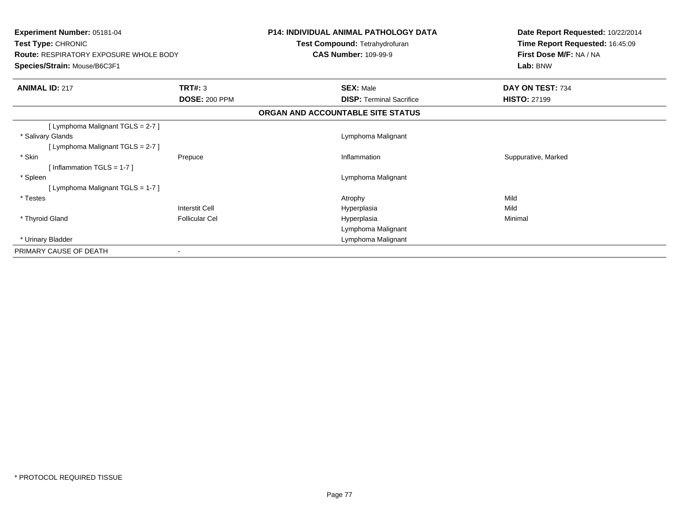| <b>Experiment Number: 05181-04</b><br>Test Type: CHRONIC<br><b>Route: RESPIRATORY EXPOSURE WHOLE BODY</b><br>Species/Strain: Mouse/B6C3F1 |                                 | <b>P14: INDIVIDUAL ANIMAL PATHOLOGY DATA</b><br>Test Compound: Tetrahydrofuran<br><b>CAS Number: 109-99-9</b> | Date Report Requested: 10/22/2014<br>Time Report Requested: 16:45:09<br>First Dose M/F: NA / NA<br>Lab: BNW |
|-------------------------------------------------------------------------------------------------------------------------------------------|---------------------------------|---------------------------------------------------------------------------------------------------------------|-------------------------------------------------------------------------------------------------------------|
| <b>ANIMAL ID: 217</b>                                                                                                                     | TRT#: 3<br><b>DOSE: 200 PPM</b> | <b>SEX: Male</b><br><b>DISP:</b> Terminal Sacrifice                                                           | DAY ON TEST: 734<br><b>HISTO: 27199</b>                                                                     |
|                                                                                                                                           |                                 |                                                                                                               |                                                                                                             |
|                                                                                                                                           |                                 | ORGAN AND ACCOUNTABLE SITE STATUS                                                                             |                                                                                                             |
| [ Lymphoma Malignant TGLS = 2-7 ]                                                                                                         |                                 |                                                                                                               |                                                                                                             |
| * Salivary Glands                                                                                                                         |                                 | Lymphoma Malignant                                                                                            |                                                                                                             |
| [ Lymphoma Malignant $TGLS = 2-7$ ]                                                                                                       |                                 |                                                                                                               |                                                                                                             |
| * Skin                                                                                                                                    | Prepuce                         | Inflammation                                                                                                  | Suppurative, Marked                                                                                         |
| [Inflammation TGLS = $1-7$ ]                                                                                                              |                                 |                                                                                                               |                                                                                                             |
| * Spleen                                                                                                                                  |                                 | Lymphoma Malignant                                                                                            |                                                                                                             |
| [ Lymphoma Malignant TGLS = 1-7 ]                                                                                                         |                                 |                                                                                                               |                                                                                                             |
| * Testes                                                                                                                                  |                                 | Atrophy                                                                                                       | Mild                                                                                                        |
|                                                                                                                                           | <b>Interstit Cell</b>           | Hyperplasia                                                                                                   | Mild                                                                                                        |
| * Thyroid Gland                                                                                                                           | <b>Follicular Cel</b>           | Hyperplasia                                                                                                   | Minimal                                                                                                     |
|                                                                                                                                           |                                 | Lymphoma Malignant                                                                                            |                                                                                                             |
| * Urinary Bladder                                                                                                                         |                                 | Lymphoma Malignant                                                                                            |                                                                                                             |
| PRIMARY CAUSE OF DEATH                                                                                                                    |                                 |                                                                                                               |                                                                                                             |
|                                                                                                                                           |                                 |                                                                                                               |                                                                                                             |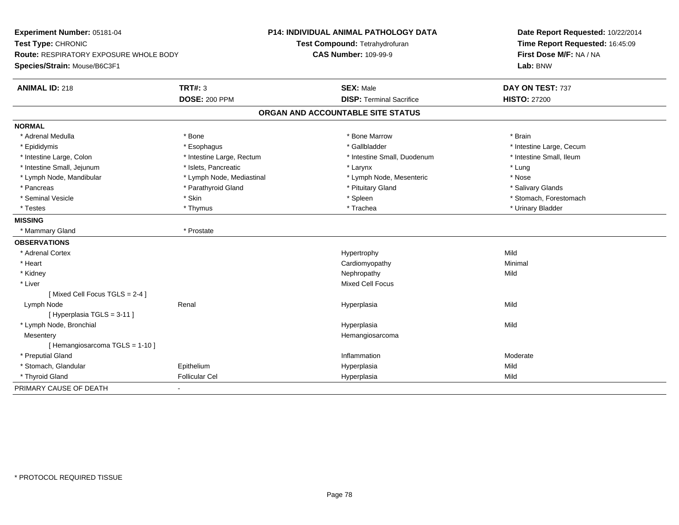| Experiment Number: 05181-04            |                           | P14: INDIVIDUAL ANIMAL PATHOLOGY DATA | Date Report Requested: 10/22/2014 |
|----------------------------------------|---------------------------|---------------------------------------|-----------------------------------|
| Test Type: CHRONIC                     |                           | Test Compound: Tetrahydrofuran        | Time Report Requested: 16:45:09   |
| Route: RESPIRATORY EXPOSURE WHOLE BODY |                           | <b>CAS Number: 109-99-9</b>           | First Dose M/F: NA / NA           |
| Species/Strain: Mouse/B6C3F1           |                           |                                       | Lab: BNW                          |
| <b>ANIMAL ID: 218</b>                  | <b>TRT#: 3</b>            | <b>SEX: Male</b>                      | DAY ON TEST: 737                  |
|                                        | <b>DOSE: 200 PPM</b>      | <b>DISP: Terminal Sacrifice</b>       | <b>HISTO: 27200</b>               |
|                                        |                           | ORGAN AND ACCOUNTABLE SITE STATUS     |                                   |
| <b>NORMAL</b>                          |                           |                                       |                                   |
| * Adrenal Medulla                      | * Bone                    | * Bone Marrow                         | * Brain                           |
| * Epididymis                           | * Esophagus               | * Gallbladder                         | * Intestine Large, Cecum          |
| * Intestine Large, Colon               | * Intestine Large, Rectum | * Intestine Small, Duodenum           | * Intestine Small, Ileum          |
| * Intestine Small, Jejunum             | * Islets, Pancreatic      | * Larynx                              | * Lung                            |
| * Lymph Node, Mandibular               | * Lymph Node, Mediastinal | * Lymph Node, Mesenteric              | * Nose                            |
| * Pancreas                             | * Parathyroid Gland       | * Pituitary Gland                     | * Salivary Glands                 |
| * Seminal Vesicle                      | * Skin                    | * Spleen                              | * Stomach, Forestomach            |
| * Testes                               | * Thymus                  | * Trachea                             | * Urinary Bladder                 |
| <b>MISSING</b>                         |                           |                                       |                                   |
| * Mammary Gland                        | * Prostate                |                                       |                                   |
| <b>OBSERVATIONS</b>                    |                           |                                       |                                   |
| * Adrenal Cortex                       |                           | Hypertrophy                           | Mild                              |
| * Heart                                |                           | Cardiomyopathy                        | Minimal                           |
| * Kidney                               |                           | Nephropathy                           | Mild                              |
| * Liver                                |                           | <b>Mixed Cell Focus</b>               |                                   |
| [Mixed Cell Focus TGLS = 2-4]          |                           |                                       |                                   |
| Lymph Node                             | Renal                     | Hyperplasia                           | Mild                              |
| [Hyperplasia TGLS = 3-11]              |                           |                                       |                                   |
| * Lymph Node, Bronchial                |                           | Hyperplasia                           | Mild                              |
| Mesentery                              |                           | Hemangiosarcoma                       |                                   |
| [Hemangiosarcoma TGLS = 1-10]          |                           |                                       |                                   |
| * Preputial Gland                      |                           | Inflammation                          | Moderate                          |
| * Stomach, Glandular                   | Epithelium                | Hyperplasia                           | Mild                              |
| * Thyroid Gland                        | Follicular Cel            | Hyperplasia                           | Mild                              |
| PRIMARY CAUSE OF DEATH                 |                           |                                       |                                   |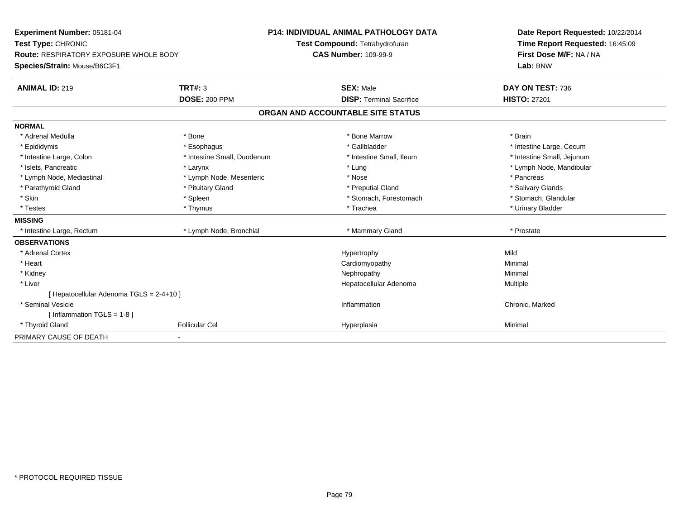| Experiment Number: 05181-04                   |                             | <b>P14: INDIVIDUAL ANIMAL PATHOLOGY DATA</b> | Date Report Requested: 10/22/2014 |
|-----------------------------------------------|-----------------------------|----------------------------------------------|-----------------------------------|
| Test Type: CHRONIC                            |                             | Test Compound: Tetrahydrofuran               | Time Report Requested: 16:45:09   |
| <b>Route: RESPIRATORY EXPOSURE WHOLE BODY</b> |                             | <b>CAS Number: 109-99-9</b>                  | First Dose M/F: NA / NA           |
| Species/Strain: Mouse/B6C3F1                  |                             |                                              | Lab: BNW                          |
| <b>ANIMAL ID: 219</b>                         | <b>TRT#: 3</b>              | <b>SEX: Male</b>                             | DAY ON TEST: 736                  |
|                                               | <b>DOSE: 200 PPM</b>        | <b>DISP: Terminal Sacrifice</b>              | <b>HISTO: 27201</b>               |
|                                               |                             | ORGAN AND ACCOUNTABLE SITE STATUS            |                                   |
| <b>NORMAL</b>                                 |                             |                                              |                                   |
| * Adrenal Medulla                             | * Bone                      | * Bone Marrow                                | * Brain                           |
| * Epididymis                                  | * Esophagus                 | * Gallbladder                                | * Intestine Large, Cecum          |
| * Intestine Large, Colon                      | * Intestine Small, Duodenum | * Intestine Small, Ileum                     | * Intestine Small, Jejunum        |
| * Islets, Pancreatic                          | * Larynx                    | * Lung                                       | * Lymph Node, Mandibular          |
| * Lymph Node, Mediastinal                     | * Lymph Node, Mesenteric    | * Nose                                       | * Pancreas                        |
| * Parathyroid Gland                           | * Pituitary Gland           | * Preputial Gland                            | * Salivary Glands                 |
| * Skin                                        | * Spleen                    | * Stomach, Forestomach                       | * Stomach, Glandular              |
| * Testes                                      | * Thymus                    | * Trachea                                    | * Urinary Bladder                 |
| <b>MISSING</b>                                |                             |                                              |                                   |
| * Intestine Large, Rectum                     | * Lymph Node, Bronchial     | * Mammary Gland                              | * Prostate                        |
| <b>OBSERVATIONS</b>                           |                             |                                              |                                   |
| * Adrenal Cortex                              |                             | Hypertrophy                                  | Mild                              |
| * Heart                                       |                             | Cardiomyopathy                               | Minimal                           |
| * Kidney                                      |                             | Nephropathy                                  | Minimal                           |
| * Liver                                       |                             | Hepatocellular Adenoma                       | Multiple                          |
| [ Hepatocellular Adenoma TGLS = 2-4+10 ]      |                             |                                              |                                   |
| * Seminal Vesicle                             |                             | Inflammation                                 | Chronic, Marked                   |
| [Inflammation TGLS = $1-8$ ]                  |                             |                                              |                                   |
| * Thyroid Gland                               | <b>Follicular Cel</b>       | Hyperplasia                                  | Minimal                           |
| PRIMARY CAUSE OF DEATH                        | ٠                           |                                              |                                   |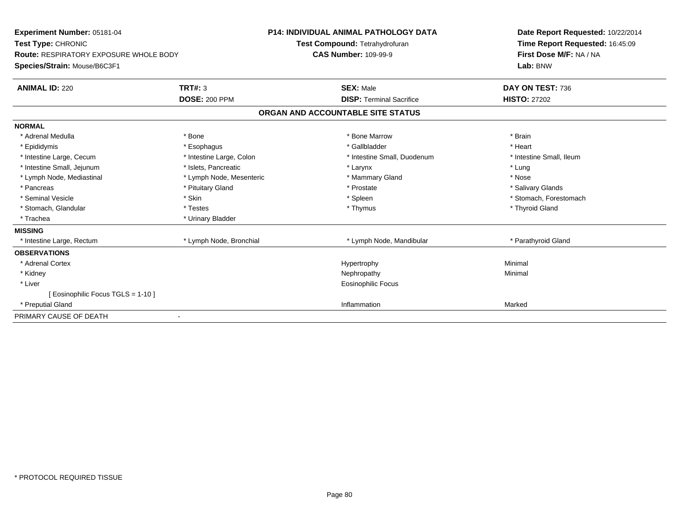| <b>Experiment Number: 05181-04</b><br>Test Type: CHRONIC<br><b>Route: RESPIRATORY EXPOSURE WHOLE BODY</b> |                          | <b>P14: INDIVIDUAL ANIMAL PATHOLOGY DATA</b><br>Test Compound: Tetrahydrofuran<br><b>CAS Number: 109-99-9</b> | Date Report Requested: 10/22/2014<br>Time Report Requested: 16:45:09<br>First Dose M/F: NA / NA |
|-----------------------------------------------------------------------------------------------------------|--------------------------|---------------------------------------------------------------------------------------------------------------|-------------------------------------------------------------------------------------------------|
| Species/Strain: Mouse/B6C3F1                                                                              |                          |                                                                                                               | Lab: BNW                                                                                        |
| <b>ANIMAL ID: 220</b>                                                                                     | <b>TRT#: 3</b>           | <b>SEX: Male</b>                                                                                              | DAY ON TEST: 736                                                                                |
|                                                                                                           | <b>DOSE: 200 PPM</b>     | <b>DISP: Terminal Sacrifice</b>                                                                               | <b>HISTO: 27202</b>                                                                             |
|                                                                                                           |                          | ORGAN AND ACCOUNTABLE SITE STATUS                                                                             |                                                                                                 |
| <b>NORMAL</b>                                                                                             |                          |                                                                                                               |                                                                                                 |
| * Adrenal Medulla                                                                                         | * Bone                   | * Bone Marrow                                                                                                 | * Brain                                                                                         |
| * Epididymis                                                                                              | * Esophagus              | * Gallbladder                                                                                                 | * Heart                                                                                         |
| * Intestine Large, Cecum                                                                                  | * Intestine Large, Colon | * Intestine Small, Duodenum                                                                                   | * Intestine Small, Ileum                                                                        |
| * Intestine Small, Jejunum                                                                                | * Islets, Pancreatic     | * Larynx                                                                                                      | * Lung                                                                                          |
| * Lymph Node, Mediastinal                                                                                 | * Lymph Node, Mesenteric | * Mammary Gland                                                                                               | * Nose                                                                                          |
| * Pancreas                                                                                                | * Pituitary Gland        | * Prostate                                                                                                    | * Salivary Glands                                                                               |
| * Seminal Vesicle                                                                                         | * Skin                   | * Spleen                                                                                                      | * Stomach, Forestomach                                                                          |
| * Stomach, Glandular                                                                                      | * Testes                 | * Thymus                                                                                                      | * Thyroid Gland                                                                                 |
| * Trachea                                                                                                 | * Urinary Bladder        |                                                                                                               |                                                                                                 |
| <b>MISSING</b>                                                                                            |                          |                                                                                                               |                                                                                                 |
| * Intestine Large, Rectum                                                                                 | * Lymph Node, Bronchial  | * Lymph Node, Mandibular                                                                                      | * Parathyroid Gland                                                                             |
| <b>OBSERVATIONS</b>                                                                                       |                          |                                                                                                               |                                                                                                 |
| * Adrenal Cortex                                                                                          |                          | Hypertrophy                                                                                                   | Minimal                                                                                         |
| * Kidney                                                                                                  |                          | Nephropathy                                                                                                   | Minimal                                                                                         |
| * Liver                                                                                                   |                          | Eosinophilic Focus                                                                                            |                                                                                                 |
| Eosinophilic Focus TGLS = 1-10 ]                                                                          |                          |                                                                                                               |                                                                                                 |
| * Preputial Gland                                                                                         |                          | Inflammation                                                                                                  | Marked                                                                                          |
| PRIMARY CAUSE OF DEATH                                                                                    |                          |                                                                                                               |                                                                                                 |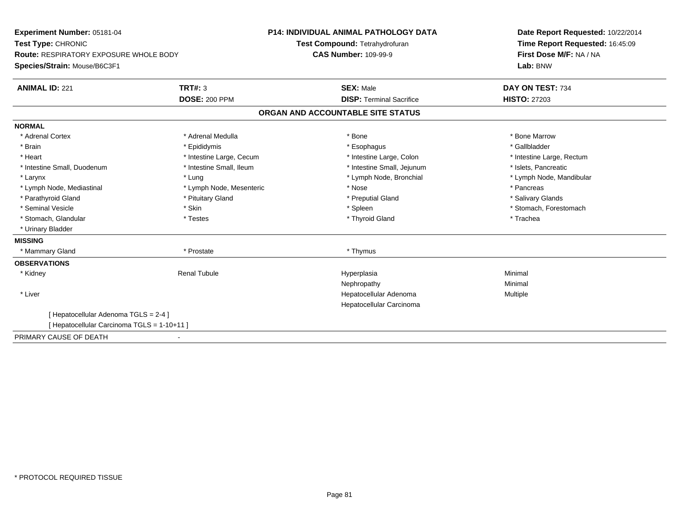| Experiment Number: 05181-04<br>Test Type: CHRONIC<br>Route: RESPIRATORY EXPOSURE WHOLE BODY |                          | <b>P14: INDIVIDUAL ANIMAL PATHOLOGY DATA</b><br>Test Compound: Tetrahydrofuran<br><b>CAS Number: 109-99-9</b> | Date Report Requested: 10/22/2014<br>Time Report Requested: 16:45:09<br>First Dose M/F: NA / NA |
|---------------------------------------------------------------------------------------------|--------------------------|---------------------------------------------------------------------------------------------------------------|-------------------------------------------------------------------------------------------------|
| Species/Strain: Mouse/B6C3F1                                                                |                          |                                                                                                               | Lab: BNW                                                                                        |
| <b>ANIMAL ID: 221</b>                                                                       | TRT#: 3                  | <b>SEX: Male</b>                                                                                              | DAY ON TEST: 734                                                                                |
|                                                                                             | <b>DOSE: 200 PPM</b>     | <b>DISP: Terminal Sacrifice</b>                                                                               | <b>HISTO: 27203</b>                                                                             |
|                                                                                             |                          | ORGAN AND ACCOUNTABLE SITE STATUS                                                                             |                                                                                                 |
| <b>NORMAL</b>                                                                               |                          |                                                                                                               |                                                                                                 |
| * Adrenal Cortex                                                                            | * Adrenal Medulla        | * Bone                                                                                                        | * Bone Marrow                                                                                   |
| * Brain                                                                                     | * Epididymis             | * Esophagus                                                                                                   | * Gallbladder                                                                                   |
| * Heart                                                                                     | * Intestine Large, Cecum | * Intestine Large, Colon                                                                                      | * Intestine Large, Rectum                                                                       |
| * Intestine Small, Duodenum                                                                 | * Intestine Small, Ileum | * Intestine Small, Jejunum                                                                                    | * Islets, Pancreatic                                                                            |
| * Larynx                                                                                    | * Lung                   | * Lymph Node, Bronchial                                                                                       | * Lymph Node, Mandibular                                                                        |
| * Lymph Node, Mediastinal                                                                   | * Lymph Node, Mesenteric | * Nose                                                                                                        | * Pancreas                                                                                      |
| * Parathyroid Gland                                                                         | * Pituitary Gland        | * Preputial Gland                                                                                             | * Salivary Glands                                                                               |
| * Seminal Vesicle                                                                           | * Skin                   | * Spleen                                                                                                      | * Stomach, Forestomach                                                                          |
| * Stomach, Glandular                                                                        | * Testes                 | * Thyroid Gland                                                                                               | * Trachea                                                                                       |
| * Urinary Bladder                                                                           |                          |                                                                                                               |                                                                                                 |
| <b>MISSING</b>                                                                              |                          |                                                                                                               |                                                                                                 |
| * Mammary Gland                                                                             | * Prostate               | * Thymus                                                                                                      |                                                                                                 |
| <b>OBSERVATIONS</b>                                                                         |                          |                                                                                                               |                                                                                                 |
| * Kidney                                                                                    | <b>Renal Tubule</b>      | Hyperplasia                                                                                                   | Minimal                                                                                         |
|                                                                                             |                          | Nephropathy                                                                                                   | Minimal                                                                                         |
| * Liver                                                                                     |                          | Hepatocellular Adenoma                                                                                        | Multiple                                                                                        |
|                                                                                             |                          | Hepatocellular Carcinoma                                                                                      |                                                                                                 |
| [ Hepatocellular Adenoma TGLS = 2-4 ]                                                       |                          |                                                                                                               |                                                                                                 |
| [ Hepatocellular Carcinoma TGLS = 1-10+11 ]                                                 |                          |                                                                                                               |                                                                                                 |
| PRIMARY CAUSE OF DEATH                                                                      |                          |                                                                                                               |                                                                                                 |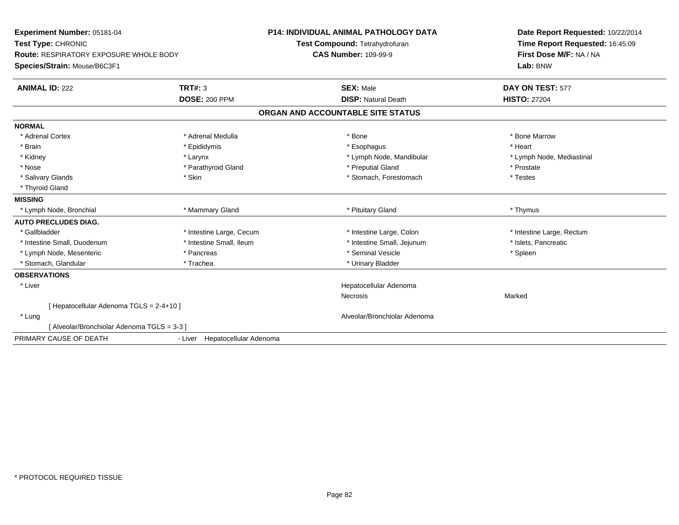| Experiment Number: 05181-04                   |                                | <b>P14: INDIVIDUAL ANIMAL PATHOLOGY DATA</b> | Date Report Requested: 10/22/2014 |
|-----------------------------------------------|--------------------------------|----------------------------------------------|-----------------------------------|
| Test Type: CHRONIC                            |                                | Test Compound: Tetrahydrofuran               | Time Report Requested: 16:45:09   |
| <b>Route: RESPIRATORY EXPOSURE WHOLE BODY</b> |                                | <b>CAS Number: 109-99-9</b>                  | First Dose M/F: NA / NA           |
| Species/Strain: Mouse/B6C3F1                  |                                |                                              | Lab: BNW                          |
| <b>ANIMAL ID: 222</b>                         | TRT#: 3                        | <b>SEX: Male</b>                             | DAY ON TEST: 577                  |
|                                               | <b>DOSE: 200 PPM</b>           | <b>DISP: Natural Death</b>                   | <b>HISTO: 27204</b>               |
|                                               |                                | ORGAN AND ACCOUNTABLE SITE STATUS            |                                   |
| <b>NORMAL</b>                                 |                                |                                              |                                   |
| * Adrenal Cortex                              | * Adrenal Medulla              | * Bone                                       | * Bone Marrow                     |
| * Brain                                       | * Epididymis                   | * Esophagus                                  | * Heart                           |
| * Kidney                                      | * Larynx                       | * Lymph Node, Mandibular                     | * Lymph Node, Mediastinal         |
| * Nose                                        | * Parathyroid Gland            | * Preputial Gland                            | * Prostate                        |
| * Salivary Glands                             | * Skin                         | * Stomach, Forestomach                       | * Testes                          |
| * Thyroid Gland                               |                                |                                              |                                   |
| <b>MISSING</b>                                |                                |                                              |                                   |
| * Lymph Node, Bronchial                       | * Mammary Gland                | * Pituitary Gland                            | * Thymus                          |
| <b>AUTO PRECLUDES DIAG.</b>                   |                                |                                              |                                   |
| * Gallbladder                                 | * Intestine Large, Cecum       | * Intestine Large, Colon                     | * Intestine Large, Rectum         |
| * Intestine Small, Duodenum                   | * Intestine Small, Ileum       | * Intestine Small, Jejunum                   | * Islets, Pancreatic              |
| * Lymph Node, Mesenteric                      | * Pancreas                     | * Seminal Vesicle                            | * Spleen                          |
| * Stomach, Glandular                          | * Trachea                      | * Urinary Bladder                            |                                   |
| <b>OBSERVATIONS</b>                           |                                |                                              |                                   |
| * Liver                                       |                                | Hepatocellular Adenoma                       |                                   |
|                                               |                                | <b>Necrosis</b>                              | Marked                            |
| [Hepatocellular Adenoma TGLS = 2-4+10]        |                                |                                              |                                   |
| * Lung                                        |                                | Alveolar/Bronchiolar Adenoma                 |                                   |
| [Alveolar/Bronchiolar Adenoma TGLS = 3-3]     |                                |                                              |                                   |
| PRIMARY CAUSE OF DEATH                        | - Liver Hepatocellular Adenoma |                                              |                                   |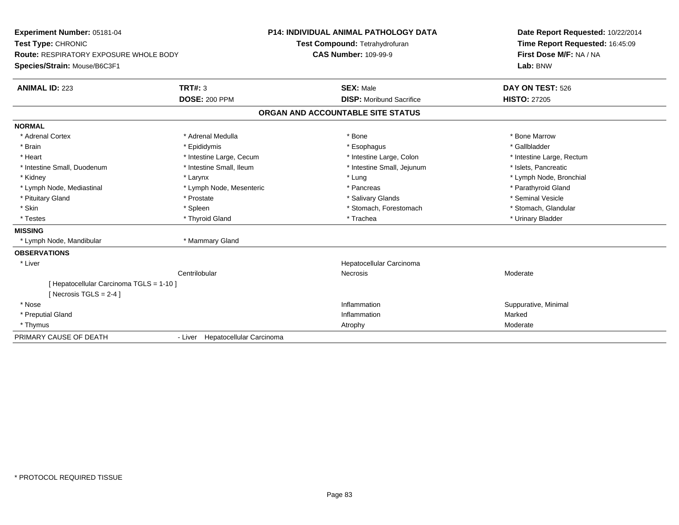| <b>Experiment Number: 05181-04</b>                                  |                                  | <b>P14: INDIVIDUAL ANIMAL PATHOLOGY DATA</b> | Date Report Requested: 10/22/2014 |
|---------------------------------------------------------------------|----------------------------------|----------------------------------------------|-----------------------------------|
| Test Type: CHRONIC                                                  |                                  | Test Compound: Tetrahydrofuran               | Time Report Requested: 16:45:09   |
| <b>Route: RESPIRATORY EXPOSURE WHOLE BODY</b>                       |                                  | <b>CAS Number: 109-99-9</b>                  | First Dose M/F: NA / NA           |
| Species/Strain: Mouse/B6C3F1                                        |                                  |                                              | Lab: BNW                          |
| <b>ANIMAL ID: 223</b>                                               | <b>TRT#: 3</b>                   | <b>SEX: Male</b>                             | DAY ON TEST: 526                  |
|                                                                     | <b>DOSE: 200 PPM</b>             | <b>DISP:</b> Moribund Sacrifice              | <b>HISTO: 27205</b>               |
|                                                                     |                                  | ORGAN AND ACCOUNTABLE SITE STATUS            |                                   |
| <b>NORMAL</b>                                                       |                                  |                                              |                                   |
| * Adrenal Cortex                                                    | * Adrenal Medulla                | * Bone                                       | * Bone Marrow                     |
| * Brain                                                             | * Epididymis                     | * Esophagus                                  | * Gallbladder                     |
| * Heart                                                             | * Intestine Large, Cecum         | * Intestine Large, Colon                     | * Intestine Large, Rectum         |
| * Intestine Small, Duodenum                                         | * Intestine Small, Ileum         | * Intestine Small, Jejunum                   | * Islets. Pancreatic              |
| * Kidney                                                            | * Larynx                         | * Lung                                       | * Lymph Node, Bronchial           |
| * Lymph Node, Mediastinal                                           | * Lymph Node, Mesenteric         | * Pancreas                                   | * Parathyroid Gland               |
| * Pituitary Gland                                                   | * Prostate                       | * Salivary Glands                            | * Seminal Vesicle                 |
| * Skin                                                              | * Spleen                         | * Stomach, Forestomach                       | * Stomach, Glandular              |
| * Testes                                                            | * Thyroid Gland                  | * Trachea                                    | * Urinary Bladder                 |
| <b>MISSING</b>                                                      |                                  |                                              |                                   |
| * Lymph Node, Mandibular                                            | * Mammary Gland                  |                                              |                                   |
| <b>OBSERVATIONS</b>                                                 |                                  |                                              |                                   |
| * Liver                                                             |                                  | Hepatocellular Carcinoma                     |                                   |
|                                                                     | Centrilobular                    | <b>Necrosis</b>                              | Moderate                          |
| [Hepatocellular Carcinoma TGLS = 1-10]<br>[ Necrosis TGLS = $2-4$ ] |                                  |                                              |                                   |
| * Nose                                                              |                                  | Inflammation                                 | Suppurative, Minimal              |
| * Preputial Gland                                                   |                                  | Inflammation                                 | Marked                            |
| * Thymus                                                            |                                  | Atrophy                                      | Moderate                          |
| PRIMARY CAUSE OF DEATH                                              | - Liver Hepatocellular Carcinoma |                                              |                                   |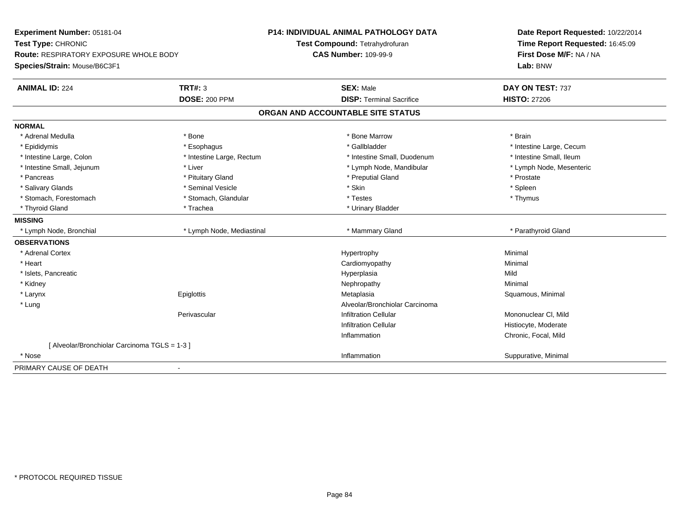| Experiment Number: 05181-04<br>Test Type: CHRONIC<br>Route: RESPIRATORY EXPOSURE WHOLE BODY<br>Species/Strain: Mouse/B6C3F1 |                           | <b>P14: INDIVIDUAL ANIMAL PATHOLOGY DATA</b><br>Test Compound: Tetrahydrofuran<br><b>CAS Number: 109-99-9</b> | Date Report Requested: 10/22/2014<br>Time Report Requested: 16:45:09<br>First Dose M/F: NA / NA<br>Lab: BNW |
|-----------------------------------------------------------------------------------------------------------------------------|---------------------------|---------------------------------------------------------------------------------------------------------------|-------------------------------------------------------------------------------------------------------------|
| <b>ANIMAL ID: 224</b>                                                                                                       | <b>TRT#: 3</b>            | <b>SEX: Male</b>                                                                                              | DAY ON TEST: 737                                                                                            |
|                                                                                                                             | <b>DOSE: 200 PPM</b>      | <b>DISP: Terminal Sacrifice</b>                                                                               | <b>HISTO: 27206</b>                                                                                         |
|                                                                                                                             |                           | ORGAN AND ACCOUNTABLE SITE STATUS                                                                             |                                                                                                             |
| <b>NORMAL</b>                                                                                                               |                           |                                                                                                               |                                                                                                             |
| * Adrenal Medulla                                                                                                           | * Bone                    | * Bone Marrow                                                                                                 | * Brain                                                                                                     |
| * Epididymis                                                                                                                | * Esophagus               | * Gallbladder                                                                                                 | * Intestine Large, Cecum                                                                                    |
| * Intestine Large, Colon                                                                                                    | * Intestine Large, Rectum | * Intestine Small, Duodenum                                                                                   | * Intestine Small, Ileum                                                                                    |
| * Intestine Small, Jejunum                                                                                                  | * Liver                   | * Lymph Node, Mandibular                                                                                      | * Lymph Node, Mesenteric                                                                                    |
| * Pancreas                                                                                                                  | * Pituitary Gland         | * Preputial Gland                                                                                             | * Prostate                                                                                                  |
| * Salivary Glands                                                                                                           | * Seminal Vesicle         | * Skin                                                                                                        | * Spleen                                                                                                    |
| * Stomach, Forestomach                                                                                                      | * Stomach, Glandular      | * Testes                                                                                                      | * Thymus                                                                                                    |
| * Thyroid Gland                                                                                                             | * Trachea                 | * Urinary Bladder                                                                                             |                                                                                                             |
| <b>MISSING</b>                                                                                                              |                           |                                                                                                               |                                                                                                             |
| * Lymph Node, Bronchial                                                                                                     | * Lymph Node, Mediastinal | * Mammary Gland                                                                                               | * Parathyroid Gland                                                                                         |
| <b>OBSERVATIONS</b>                                                                                                         |                           |                                                                                                               |                                                                                                             |
| * Adrenal Cortex                                                                                                            |                           | Hypertrophy                                                                                                   | Minimal                                                                                                     |
| * Heart                                                                                                                     |                           | Cardiomyopathy                                                                                                | Minimal                                                                                                     |
| * Islets, Pancreatic                                                                                                        |                           | Hyperplasia                                                                                                   | Mild                                                                                                        |
| * Kidney                                                                                                                    |                           | Nephropathy                                                                                                   | Minimal                                                                                                     |
| * Larynx                                                                                                                    | Epiglottis                | Metaplasia                                                                                                    | Squamous, Minimal                                                                                           |
| * Lung                                                                                                                      |                           | Alveolar/Bronchiolar Carcinoma                                                                                |                                                                                                             |
|                                                                                                                             | Perivascular              | <b>Infiltration Cellular</b>                                                                                  | Mononuclear CI, Mild                                                                                        |
|                                                                                                                             |                           | <b>Infiltration Cellular</b>                                                                                  | Histiocyte, Moderate                                                                                        |
|                                                                                                                             |                           | Inflammation                                                                                                  | Chronic, Focal, Mild                                                                                        |
| [ Alveolar/Bronchiolar Carcinoma TGLS = 1-3 ]                                                                               |                           |                                                                                                               |                                                                                                             |
| * Nose                                                                                                                      |                           | Inflammation                                                                                                  | Suppurative, Minimal                                                                                        |
| PRIMARY CAUSE OF DEATH                                                                                                      |                           |                                                                                                               |                                                                                                             |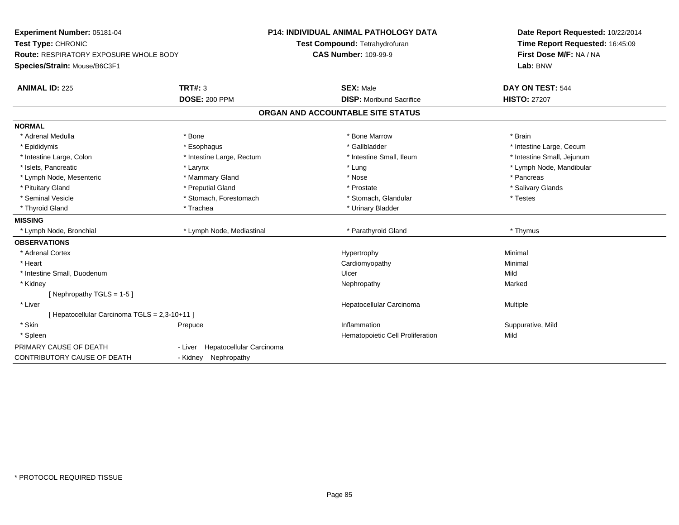| Experiment Number: 05181-04<br>Test Type: CHRONIC<br>Route: RESPIRATORY EXPOSURE WHOLE BODY<br>Species/Strain: Mouse/B6C3F1 |                                     | P14: INDIVIDUAL ANIMAL PATHOLOGY DATA<br>Test Compound: Tetrahydrofuran<br><b>CAS Number: 109-99-9</b> | Date Report Requested: 10/22/2014<br>Time Report Requested: 16:45:09<br>First Dose M/F: NA / NA<br>Lab: BNW |  |
|-----------------------------------------------------------------------------------------------------------------------------|-------------------------------------|--------------------------------------------------------------------------------------------------------|-------------------------------------------------------------------------------------------------------------|--|
| <b>ANIMAL ID: 225</b>                                                                                                       | TRT#: 3                             | <b>SEX: Male</b>                                                                                       | DAY ON TEST: 544                                                                                            |  |
|                                                                                                                             | <b>DOSE: 200 PPM</b>                | <b>DISP:</b> Moribund Sacrifice                                                                        | <b>HISTO: 27207</b>                                                                                         |  |
|                                                                                                                             |                                     | ORGAN AND ACCOUNTABLE SITE STATUS                                                                      |                                                                                                             |  |
| <b>NORMAL</b>                                                                                                               |                                     |                                                                                                        |                                                                                                             |  |
| * Adrenal Medulla                                                                                                           | * Bone                              | * Bone Marrow                                                                                          | * Brain                                                                                                     |  |
| * Epididymis                                                                                                                | * Esophagus                         | * Gallbladder                                                                                          | * Intestine Large, Cecum                                                                                    |  |
| * Intestine Large, Colon                                                                                                    | * Intestine Large, Rectum           | * Intestine Small, Ileum                                                                               | * Intestine Small, Jejunum                                                                                  |  |
| * Islets, Pancreatic                                                                                                        | * Larynx                            | * Lung                                                                                                 | * Lymph Node, Mandibular                                                                                    |  |
| * Lymph Node, Mesenteric                                                                                                    | * Mammary Gland                     | * Nose                                                                                                 | * Pancreas                                                                                                  |  |
| * Pituitary Gland                                                                                                           | * Preputial Gland                   | * Prostate                                                                                             | * Salivary Glands                                                                                           |  |
| * Seminal Vesicle                                                                                                           | * Stomach, Forestomach              | * Stomach, Glandular                                                                                   | * Testes                                                                                                    |  |
| * Thyroid Gland                                                                                                             | * Trachea                           | * Urinary Bladder                                                                                      |                                                                                                             |  |
| <b>MISSING</b>                                                                                                              |                                     |                                                                                                        |                                                                                                             |  |
| * Lymph Node, Bronchial                                                                                                     | * Lymph Node, Mediastinal           | * Parathyroid Gland                                                                                    | * Thymus                                                                                                    |  |
| <b>OBSERVATIONS</b>                                                                                                         |                                     |                                                                                                        |                                                                                                             |  |
| * Adrenal Cortex                                                                                                            |                                     | Hypertrophy                                                                                            | Minimal                                                                                                     |  |
| * Heart                                                                                                                     |                                     | Cardiomyopathy                                                                                         | Minimal                                                                                                     |  |
| * Intestine Small, Duodenum                                                                                                 |                                     | Ulcer                                                                                                  | Mild                                                                                                        |  |
| * Kidney                                                                                                                    |                                     | Nephropathy                                                                                            | Marked                                                                                                      |  |
| [Nephropathy TGLS = $1-5$ ]                                                                                                 |                                     |                                                                                                        |                                                                                                             |  |
| * Liver                                                                                                                     |                                     | Hepatocellular Carcinoma                                                                               | Multiple                                                                                                    |  |
| [Hepatocellular Carcinoma TGLS = 2,3-10+11]                                                                                 |                                     |                                                                                                        |                                                                                                             |  |
| * Skin                                                                                                                      | Prepuce                             | Inflammation                                                                                           | Suppurative, Mild                                                                                           |  |
| * Spleen                                                                                                                    |                                     | Hematopoietic Cell Proliferation                                                                       | Mild                                                                                                        |  |
| PRIMARY CAUSE OF DEATH                                                                                                      | Hepatocellular Carcinoma<br>- Liver |                                                                                                        |                                                                                                             |  |
| <b>CONTRIBUTORY CAUSE OF DEATH</b>                                                                                          | - Kidney Nephropathy                |                                                                                                        |                                                                                                             |  |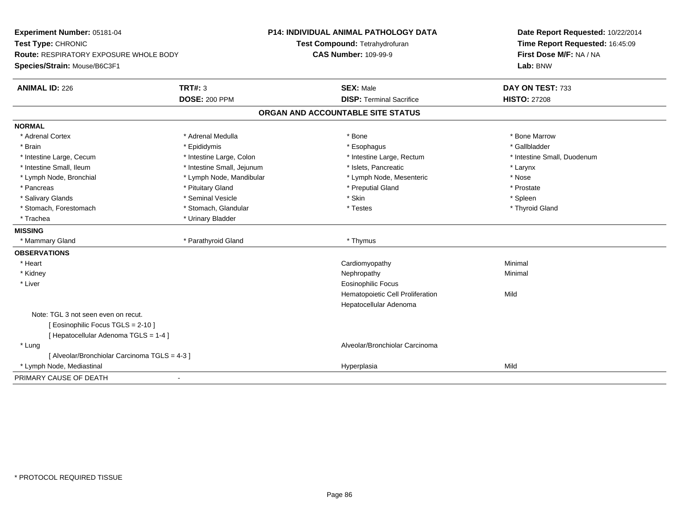| Experiment Number: 05181-04                   |                            | P14: INDIVIDUAL ANIMAL PATHOLOGY DATA | Date Report Requested: 10/22/2014 |  |
|-----------------------------------------------|----------------------------|---------------------------------------|-----------------------------------|--|
| Test Type: CHRONIC                            |                            | Test Compound: Tetrahydrofuran        | Time Report Requested: 16:45:09   |  |
| <b>Route: RESPIRATORY EXPOSURE WHOLE BODY</b> |                            | <b>CAS Number: 109-99-9</b>           | First Dose M/F: NA / NA           |  |
| Species/Strain: Mouse/B6C3F1                  |                            |                                       | Lab: BNW                          |  |
| <b>ANIMAL ID: 226</b>                         | TRT#: 3                    | <b>SEX: Male</b>                      | DAY ON TEST: 733                  |  |
|                                               | <b>DOSE: 200 PPM</b>       | <b>DISP: Terminal Sacrifice</b>       | <b>HISTO: 27208</b>               |  |
|                                               |                            | ORGAN AND ACCOUNTABLE SITE STATUS     |                                   |  |
| <b>NORMAL</b>                                 |                            |                                       |                                   |  |
| * Adrenal Cortex                              | * Adrenal Medulla          | * Bone                                | * Bone Marrow                     |  |
| * Brain                                       | * Epididymis               | * Esophagus                           | * Gallbladder                     |  |
| * Intestine Large, Cecum                      | * Intestine Large, Colon   | * Intestine Large, Rectum             | * Intestine Small, Duodenum       |  |
| * Intestine Small, Ileum                      | * Intestine Small, Jejunum | * Islets, Pancreatic                  | * Larynx                          |  |
| * Lymph Node, Bronchial                       | * Lymph Node, Mandibular   | * Lymph Node, Mesenteric              | * Nose                            |  |
| * Pancreas                                    | * Pituitary Gland          | * Preputial Gland                     | * Prostate                        |  |
| * Salivary Glands                             | * Seminal Vesicle          | * Skin                                | * Spleen                          |  |
| * Stomach, Forestomach                        | * Stomach, Glandular       | * Testes                              | * Thyroid Gland                   |  |
| * Trachea                                     | * Urinary Bladder          |                                       |                                   |  |
| <b>MISSING</b>                                |                            |                                       |                                   |  |
| * Mammary Gland                               | * Parathyroid Gland        | * Thymus                              |                                   |  |
| <b>OBSERVATIONS</b>                           |                            |                                       |                                   |  |
| * Heart                                       |                            | Cardiomyopathy                        | Minimal                           |  |
| * Kidney                                      |                            | Nephropathy                           | Minimal                           |  |
| * Liver                                       |                            | <b>Eosinophilic Focus</b>             |                                   |  |
|                                               |                            | Hematopoietic Cell Proliferation      | Mild                              |  |
|                                               |                            | Hepatocellular Adenoma                |                                   |  |
| Note: TGL 3 not seen even on recut.           |                            |                                       |                                   |  |
| [ Eosinophilic Focus TGLS = 2-10 ]            |                            |                                       |                                   |  |
| [ Hepatocellular Adenoma TGLS = 1-4 ]         |                            |                                       |                                   |  |
| * Lung                                        |                            | Alveolar/Bronchiolar Carcinoma        |                                   |  |
| [ Alveolar/Bronchiolar Carcinoma TGLS = 4-3 ] |                            |                                       |                                   |  |
| * Lymph Node, Mediastinal                     |                            | Hyperplasia                           | Mild                              |  |
| PRIMARY CAUSE OF DEATH                        |                            |                                       |                                   |  |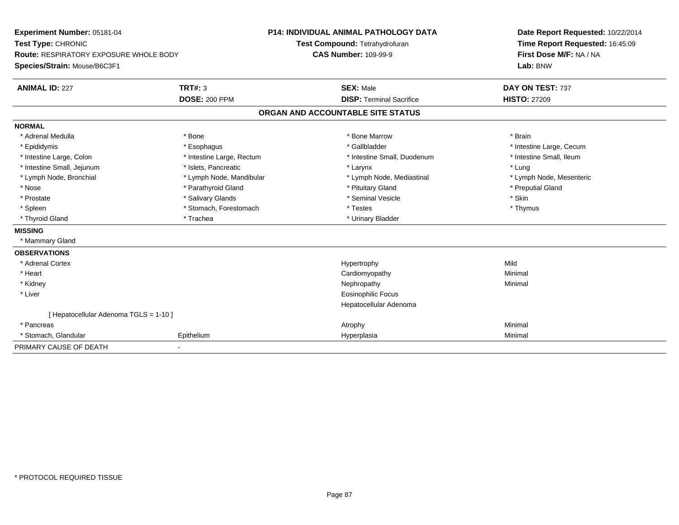| Experiment Number: 05181-04                   |                           | <b>P14: INDIVIDUAL ANIMAL PATHOLOGY DATA</b> | Date Report Requested: 10/22/2014                          |  |
|-----------------------------------------------|---------------------------|----------------------------------------------|------------------------------------------------------------|--|
| Test Type: CHRONIC                            |                           | Test Compound: Tetrahydrofuran               | Time Report Requested: 16:45:09<br>First Dose M/F: NA / NA |  |
| <b>Route: RESPIRATORY EXPOSURE WHOLE BODY</b> |                           | <b>CAS Number: 109-99-9</b>                  |                                                            |  |
| Species/Strain: Mouse/B6C3F1                  |                           |                                              | Lab: BNW                                                   |  |
| <b>ANIMAL ID: 227</b>                         | <b>TRT#: 3</b>            | <b>SEX: Male</b>                             | DAY ON TEST: 737                                           |  |
|                                               | <b>DOSE: 200 PPM</b>      | <b>DISP: Terminal Sacrifice</b>              | <b>HISTO: 27209</b>                                        |  |
|                                               |                           | ORGAN AND ACCOUNTABLE SITE STATUS            |                                                            |  |
| <b>NORMAL</b>                                 |                           |                                              |                                                            |  |
| * Adrenal Medulla                             | * Bone                    | * Bone Marrow                                | * Brain                                                    |  |
| * Epididymis                                  | * Esophagus               | * Gallbladder                                | * Intestine Large, Cecum                                   |  |
| * Intestine Large, Colon                      | * Intestine Large, Rectum | * Intestine Small, Duodenum                  | * Intestine Small, Ileum                                   |  |
| * Intestine Small, Jejunum                    | * Islets, Pancreatic      | * Larynx                                     | * Lung                                                     |  |
| * Lymph Node, Bronchial                       | * Lymph Node, Mandibular  | * Lymph Node, Mediastinal                    | * Lymph Node, Mesenteric                                   |  |
| * Nose                                        | * Parathyroid Gland       | * Pituitary Gland                            | * Preputial Gland                                          |  |
| * Prostate                                    | * Salivary Glands         | * Seminal Vesicle                            | * Skin                                                     |  |
| * Spleen                                      | * Stomach, Forestomach    | * Testes                                     | * Thymus                                                   |  |
| * Thyroid Gland                               | * Trachea                 | * Urinary Bladder                            |                                                            |  |
| <b>MISSING</b>                                |                           |                                              |                                                            |  |
| * Mammary Gland                               |                           |                                              |                                                            |  |
| <b>OBSERVATIONS</b>                           |                           |                                              |                                                            |  |
| * Adrenal Cortex                              |                           | Hypertrophy                                  | Mild                                                       |  |
| * Heart                                       |                           | Cardiomyopathy                               | Minimal                                                    |  |
| * Kidney                                      |                           | Nephropathy                                  | Minimal                                                    |  |
| * Liver                                       |                           | <b>Eosinophilic Focus</b>                    |                                                            |  |
|                                               |                           | Hepatocellular Adenoma                       |                                                            |  |
| [ Hepatocellular Adenoma TGLS = 1-10 ]        |                           |                                              |                                                            |  |
| * Pancreas                                    |                           | Atrophy                                      | Minimal                                                    |  |
| * Stomach, Glandular                          | Epithelium                | Hyperplasia                                  | Minimal                                                    |  |
| PRIMARY CAUSE OF DEATH                        |                           |                                              |                                                            |  |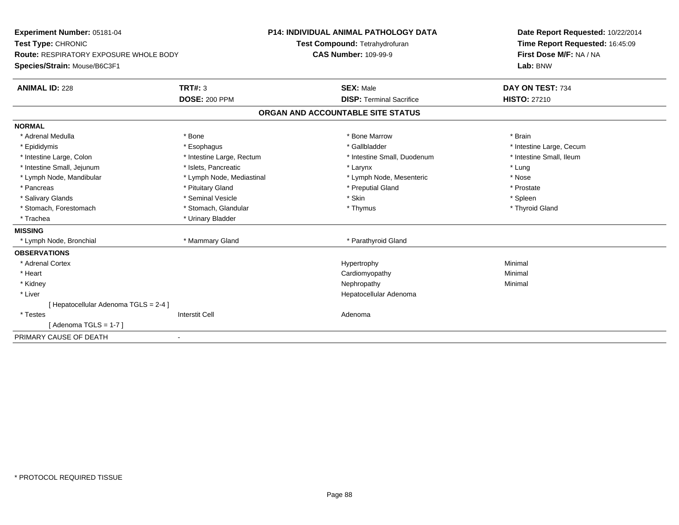| Experiment Number: 05181-04                   |                           | <b>P14: INDIVIDUAL ANIMAL PATHOLOGY DATA</b> | Date Report Requested: 10/22/2014 |
|-----------------------------------------------|---------------------------|----------------------------------------------|-----------------------------------|
| Test Type: CHRONIC                            |                           | Test Compound: Tetrahydrofuran               | Time Report Requested: 16:45:09   |
| <b>Route: RESPIRATORY EXPOSURE WHOLE BODY</b> |                           | <b>CAS Number: 109-99-9</b>                  | First Dose M/F: NA / NA           |
| Species/Strain: Mouse/B6C3F1                  |                           |                                              | Lab: BNW                          |
| <b>ANIMAL ID: 228</b>                         | <b>TRT#: 3</b>            | <b>SEX: Male</b>                             | DAY ON TEST: 734                  |
|                                               | <b>DOSE: 200 PPM</b>      | <b>DISP: Terminal Sacrifice</b>              | <b>HISTO: 27210</b>               |
|                                               |                           | ORGAN AND ACCOUNTABLE SITE STATUS            |                                   |
| <b>NORMAL</b>                                 |                           |                                              |                                   |
| * Adrenal Medulla                             | * Bone                    | * Bone Marrow                                | * Brain                           |
| * Epididymis                                  | * Esophagus               | * Gallbladder                                | * Intestine Large, Cecum          |
| * Intestine Large, Colon                      | * Intestine Large, Rectum | * Intestine Small, Duodenum                  | * Intestine Small, Ileum          |
| * Intestine Small, Jejunum                    | * Islets, Pancreatic      | * Larynx                                     | * Lung                            |
| * Lymph Node, Mandibular                      | * Lymph Node, Mediastinal | * Lymph Node, Mesenteric                     | * Nose                            |
| * Pancreas                                    | * Pituitary Gland         | * Preputial Gland                            | * Prostate                        |
| * Salivary Glands                             | * Seminal Vesicle         | * Skin                                       | * Spleen                          |
| * Stomach, Forestomach                        | * Stomach, Glandular      | * Thymus                                     | * Thyroid Gland                   |
| * Trachea                                     | * Urinary Bladder         |                                              |                                   |
| <b>MISSING</b>                                |                           |                                              |                                   |
| * Lymph Node, Bronchial                       | * Mammary Gland           | * Parathyroid Gland                          |                                   |
| <b>OBSERVATIONS</b>                           |                           |                                              |                                   |
| * Adrenal Cortex                              |                           | Hypertrophy                                  | Minimal                           |
| * Heart                                       |                           | Cardiomyopathy                               | Minimal                           |
| * Kidney                                      |                           | Nephropathy                                  | Minimal                           |
| * Liver                                       |                           | Hepatocellular Adenoma                       |                                   |
| [ Hepatocellular Adenoma TGLS = 2-4 ]         |                           |                                              |                                   |
| * Testes                                      | <b>Interstit Cell</b>     | Adenoma                                      |                                   |
| [Adenoma TGLS = $1-7$ ]                       |                           |                                              |                                   |
| PRIMARY CAUSE OF DEATH                        |                           |                                              |                                   |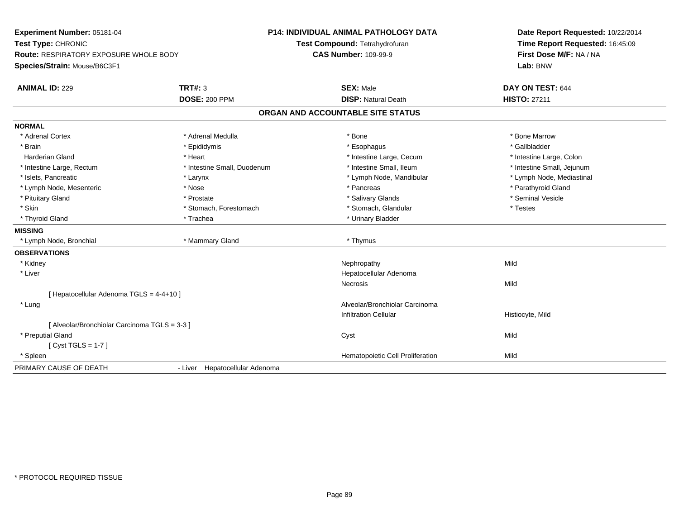| Experiment Number: 05181-04<br>Test Type: CHRONIC<br>Route: RESPIRATORY EXPOSURE WHOLE BODY<br>Species/Strain: Mouse/B6C3F1 |                                | <b>P14: INDIVIDUAL ANIMAL PATHOLOGY DATA</b><br>Test Compound: Tetrahydrofuran<br><b>CAS Number: 109-99-9</b> | Date Report Requested: 10/22/2014<br>Time Report Requested: 16:45:09<br>First Dose M/F: NA / NA<br>Lab: BNW |
|-----------------------------------------------------------------------------------------------------------------------------|--------------------------------|---------------------------------------------------------------------------------------------------------------|-------------------------------------------------------------------------------------------------------------|
| <b>ANIMAL ID: 229</b>                                                                                                       | <b>TRT#: 3</b>                 | <b>SEX: Male</b>                                                                                              | DAY ON TEST: 644                                                                                            |
|                                                                                                                             | <b>DOSE: 200 PPM</b>           | <b>DISP: Natural Death</b>                                                                                    | <b>HISTO: 27211</b>                                                                                         |
|                                                                                                                             |                                | ORGAN AND ACCOUNTABLE SITE STATUS                                                                             |                                                                                                             |
| <b>NORMAL</b>                                                                                                               |                                |                                                                                                               |                                                                                                             |
| * Adrenal Cortex                                                                                                            | * Adrenal Medulla              | * Bone                                                                                                        | * Bone Marrow                                                                                               |
| * Brain                                                                                                                     | * Epididymis                   | * Esophagus                                                                                                   | * Gallbladder                                                                                               |
| <b>Harderian Gland</b>                                                                                                      | * Heart                        | * Intestine Large, Cecum                                                                                      | * Intestine Large, Colon                                                                                    |
| * Intestine Large, Rectum                                                                                                   | * Intestine Small, Duodenum    | * Intestine Small, Ileum                                                                                      | * Intestine Small, Jejunum                                                                                  |
| * Islets, Pancreatic                                                                                                        | * Larynx                       | * Lymph Node, Mandibular                                                                                      | * Lymph Node, Mediastinal                                                                                   |
| * Lymph Node, Mesenteric                                                                                                    | * Nose                         | * Pancreas                                                                                                    | * Parathyroid Gland                                                                                         |
| * Pituitary Gland                                                                                                           | * Prostate                     | * Salivary Glands                                                                                             | * Seminal Vesicle                                                                                           |
| * Skin                                                                                                                      | * Stomach, Forestomach         | * Stomach, Glandular                                                                                          | * Testes                                                                                                    |
| * Thyroid Gland                                                                                                             | * Trachea                      | * Urinary Bladder                                                                                             |                                                                                                             |
| <b>MISSING</b>                                                                                                              |                                |                                                                                                               |                                                                                                             |
| * Lymph Node, Bronchial                                                                                                     | * Mammary Gland                | * Thymus                                                                                                      |                                                                                                             |
| <b>OBSERVATIONS</b>                                                                                                         |                                |                                                                                                               |                                                                                                             |
| * Kidney                                                                                                                    |                                | Nephropathy                                                                                                   | Mild                                                                                                        |
| * Liver                                                                                                                     |                                | Hepatocellular Adenoma                                                                                        |                                                                                                             |
|                                                                                                                             |                                | Necrosis                                                                                                      | Mild                                                                                                        |
| [ Hepatocellular Adenoma TGLS = 4-4+10 ]                                                                                    |                                |                                                                                                               |                                                                                                             |
| * Lung                                                                                                                      |                                | Alveolar/Bronchiolar Carcinoma                                                                                |                                                                                                             |
|                                                                                                                             |                                | <b>Infiltration Cellular</b>                                                                                  | Histiocyte, Mild                                                                                            |
| [ Alveolar/Bronchiolar Carcinoma TGLS = 3-3 ]                                                                               |                                |                                                                                                               |                                                                                                             |
| * Preputial Gland                                                                                                           |                                | Cyst                                                                                                          | Mild                                                                                                        |
| [Cyst TGLS = $1-7$ ]                                                                                                        |                                |                                                                                                               |                                                                                                             |
| * Spleen                                                                                                                    |                                | Hematopoietic Cell Proliferation                                                                              | Mild                                                                                                        |
| PRIMARY CAUSE OF DEATH                                                                                                      | - Liver Hepatocellular Adenoma |                                                                                                               |                                                                                                             |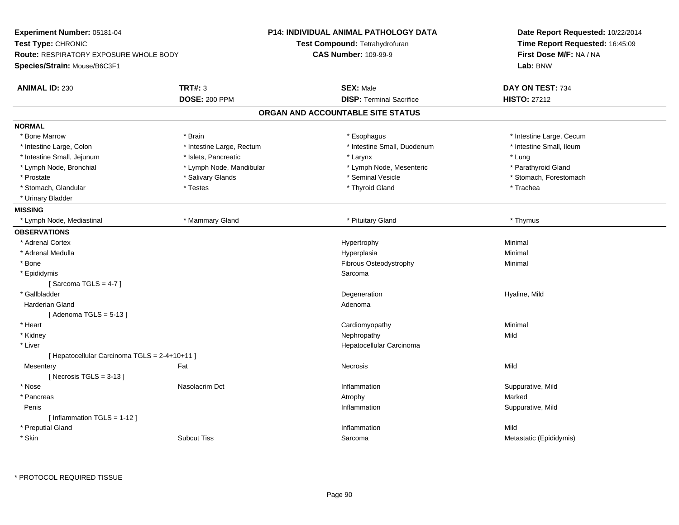| Time Report Requested: 16:45:09<br>Test Type: CHRONIC<br><b>Test Compound: Tetrahydrofuran</b><br><b>CAS Number: 109-99-9</b><br>First Dose M/F: NA / NA<br><b>Route: RESPIRATORY EXPOSURE WHOLE BODY</b><br>Species/Strain: Mouse/B6C3F1<br>Lab: BNW<br><b>TRT#: 3</b><br><b>ANIMAL ID: 230</b><br><b>SEX: Male</b><br>DAY ON TEST: 734<br><b>DOSE: 200 PPM</b><br><b>DISP: Terminal Sacrifice</b><br><b>HISTO: 27212</b><br>ORGAN AND ACCOUNTABLE SITE STATUS<br><b>NORMAL</b><br>* Bone Marrow<br>* Brain<br>* Esophagus<br>* Intestine Large, Cecum<br>* Intestine Small, Duodenum<br>* Intestine Small, Ileum<br>* Intestine Large, Colon<br>* Intestine Large, Rectum<br>* Intestine Small, Jejunum<br>* Islets, Pancreatic<br>* Lung<br>* Larynx<br>* Lymph Node, Bronchial<br>* Lymph Node, Mandibular<br>* Parathyroid Gland<br>* Lymph Node, Mesenteric<br>* Salivary Glands<br>* Seminal Vesicle<br>* Stomach, Forestomach<br>* Prostate<br>* Stomach, Glandular<br>* Testes<br>* Thyroid Gland<br>* Trachea<br>* Urinary Bladder<br><b>MISSING</b><br>* Mammary Gland<br>* Pituitary Gland<br>* Lymph Node, Mediastinal<br>* Thymus<br><b>OBSERVATIONS</b><br>* Adrenal Cortex<br>Hypertrophy<br>Minimal<br>* Adrenal Medulla<br>Hyperplasia<br>Minimal<br>Fibrous Osteodystrophy<br>* Bone<br>Minimal<br>* Epididymis<br>Sarcoma<br>[Sarcoma TGLS = $4-7$ ]<br>* Gallbladder<br>Degeneration<br>Hyaline, Mild<br><b>Harderian Gland</b><br>Adenoma<br>[Adenoma TGLS = $5-13$ ]<br>* Heart<br>Cardiomyopathy<br>Minimal<br>Mild<br>* Kidney<br>Nephropathy<br>$*$ Liver<br>Hepatocellular Carcinoma<br>[ Hepatocellular Carcinoma TGLS = 2-4+10+11 ]<br>Mild<br>Mesentery<br>Fat<br>Necrosis<br>[Necrosis $TGLS = 3-13$ ]<br>* Nose<br>Nasolacrim Dct<br>Inflammation<br>Suppurative, Mild<br>* Pancreas<br>Marked<br>Atrophy<br>Penis<br>Inflammation<br>Suppurative, Mild<br>[Inflammation TGLS = 1-12]<br>* Preputial Gland<br>Inflammation<br>Mild<br>* Skin<br><b>Subcut Tiss</b><br>Metastatic (Epididymis)<br>Sarcoma | Experiment Number: 05181-04 | <b>P14: INDIVIDUAL ANIMAL PATHOLOGY DATA</b> | Date Report Requested: 10/22/2014 |  |
|------------------------------------------------------------------------------------------------------------------------------------------------------------------------------------------------------------------------------------------------------------------------------------------------------------------------------------------------------------------------------------------------------------------------------------------------------------------------------------------------------------------------------------------------------------------------------------------------------------------------------------------------------------------------------------------------------------------------------------------------------------------------------------------------------------------------------------------------------------------------------------------------------------------------------------------------------------------------------------------------------------------------------------------------------------------------------------------------------------------------------------------------------------------------------------------------------------------------------------------------------------------------------------------------------------------------------------------------------------------------------------------------------------------------------------------------------------------------------------------------------------------------------------------------------------------------------------------------------------------------------------------------------------------------------------------------------------------------------------------------------------------------------------------------------------------------------------------------------------------------------------------------------------------------------------------------------------------------------------------------------------------------------------------|-----------------------------|----------------------------------------------|-----------------------------------|--|
|                                                                                                                                                                                                                                                                                                                                                                                                                                                                                                                                                                                                                                                                                                                                                                                                                                                                                                                                                                                                                                                                                                                                                                                                                                                                                                                                                                                                                                                                                                                                                                                                                                                                                                                                                                                                                                                                                                                                                                                                                                          |                             |                                              |                                   |  |
|                                                                                                                                                                                                                                                                                                                                                                                                                                                                                                                                                                                                                                                                                                                                                                                                                                                                                                                                                                                                                                                                                                                                                                                                                                                                                                                                                                                                                                                                                                                                                                                                                                                                                                                                                                                                                                                                                                                                                                                                                                          |                             |                                              |                                   |  |
|                                                                                                                                                                                                                                                                                                                                                                                                                                                                                                                                                                                                                                                                                                                                                                                                                                                                                                                                                                                                                                                                                                                                                                                                                                                                                                                                                                                                                                                                                                                                                                                                                                                                                                                                                                                                                                                                                                                                                                                                                                          |                             |                                              |                                   |  |
|                                                                                                                                                                                                                                                                                                                                                                                                                                                                                                                                                                                                                                                                                                                                                                                                                                                                                                                                                                                                                                                                                                                                                                                                                                                                                                                                                                                                                                                                                                                                                                                                                                                                                                                                                                                                                                                                                                                                                                                                                                          |                             |                                              |                                   |  |
|                                                                                                                                                                                                                                                                                                                                                                                                                                                                                                                                                                                                                                                                                                                                                                                                                                                                                                                                                                                                                                                                                                                                                                                                                                                                                                                                                                                                                                                                                                                                                                                                                                                                                                                                                                                                                                                                                                                                                                                                                                          |                             |                                              |                                   |  |
|                                                                                                                                                                                                                                                                                                                                                                                                                                                                                                                                                                                                                                                                                                                                                                                                                                                                                                                                                                                                                                                                                                                                                                                                                                                                                                                                                                                                                                                                                                                                                                                                                                                                                                                                                                                                                                                                                                                                                                                                                                          |                             |                                              |                                   |  |
|                                                                                                                                                                                                                                                                                                                                                                                                                                                                                                                                                                                                                                                                                                                                                                                                                                                                                                                                                                                                                                                                                                                                                                                                                                                                                                                                                                                                                                                                                                                                                                                                                                                                                                                                                                                                                                                                                                                                                                                                                                          |                             |                                              |                                   |  |
|                                                                                                                                                                                                                                                                                                                                                                                                                                                                                                                                                                                                                                                                                                                                                                                                                                                                                                                                                                                                                                                                                                                                                                                                                                                                                                                                                                                                                                                                                                                                                                                                                                                                                                                                                                                                                                                                                                                                                                                                                                          |                             |                                              |                                   |  |
|                                                                                                                                                                                                                                                                                                                                                                                                                                                                                                                                                                                                                                                                                                                                                                                                                                                                                                                                                                                                                                                                                                                                                                                                                                                                                                                                                                                                                                                                                                                                                                                                                                                                                                                                                                                                                                                                                                                                                                                                                                          |                             |                                              |                                   |  |
|                                                                                                                                                                                                                                                                                                                                                                                                                                                                                                                                                                                                                                                                                                                                                                                                                                                                                                                                                                                                                                                                                                                                                                                                                                                                                                                                                                                                                                                                                                                                                                                                                                                                                                                                                                                                                                                                                                                                                                                                                                          |                             |                                              |                                   |  |
|                                                                                                                                                                                                                                                                                                                                                                                                                                                                                                                                                                                                                                                                                                                                                                                                                                                                                                                                                                                                                                                                                                                                                                                                                                                                                                                                                                                                                                                                                                                                                                                                                                                                                                                                                                                                                                                                                                                                                                                                                                          |                             |                                              |                                   |  |
|                                                                                                                                                                                                                                                                                                                                                                                                                                                                                                                                                                                                                                                                                                                                                                                                                                                                                                                                                                                                                                                                                                                                                                                                                                                                                                                                                                                                                                                                                                                                                                                                                                                                                                                                                                                                                                                                                                                                                                                                                                          |                             |                                              |                                   |  |
|                                                                                                                                                                                                                                                                                                                                                                                                                                                                                                                                                                                                                                                                                                                                                                                                                                                                                                                                                                                                                                                                                                                                                                                                                                                                                                                                                                                                                                                                                                                                                                                                                                                                                                                                                                                                                                                                                                                                                                                                                                          |                             |                                              |                                   |  |
|                                                                                                                                                                                                                                                                                                                                                                                                                                                                                                                                                                                                                                                                                                                                                                                                                                                                                                                                                                                                                                                                                                                                                                                                                                                                                                                                                                                                                                                                                                                                                                                                                                                                                                                                                                                                                                                                                                                                                                                                                                          |                             |                                              |                                   |  |
|                                                                                                                                                                                                                                                                                                                                                                                                                                                                                                                                                                                                                                                                                                                                                                                                                                                                                                                                                                                                                                                                                                                                                                                                                                                                                                                                                                                                                                                                                                                                                                                                                                                                                                                                                                                                                                                                                                                                                                                                                                          |                             |                                              |                                   |  |
|                                                                                                                                                                                                                                                                                                                                                                                                                                                                                                                                                                                                                                                                                                                                                                                                                                                                                                                                                                                                                                                                                                                                                                                                                                                                                                                                                                                                                                                                                                                                                                                                                                                                                                                                                                                                                                                                                                                                                                                                                                          |                             |                                              |                                   |  |
|                                                                                                                                                                                                                                                                                                                                                                                                                                                                                                                                                                                                                                                                                                                                                                                                                                                                                                                                                                                                                                                                                                                                                                                                                                                                                                                                                                                                                                                                                                                                                                                                                                                                                                                                                                                                                                                                                                                                                                                                                                          |                             |                                              |                                   |  |
|                                                                                                                                                                                                                                                                                                                                                                                                                                                                                                                                                                                                                                                                                                                                                                                                                                                                                                                                                                                                                                                                                                                                                                                                                                                                                                                                                                                                                                                                                                                                                                                                                                                                                                                                                                                                                                                                                                                                                                                                                                          |                             |                                              |                                   |  |
|                                                                                                                                                                                                                                                                                                                                                                                                                                                                                                                                                                                                                                                                                                                                                                                                                                                                                                                                                                                                                                                                                                                                                                                                                                                                                                                                                                                                                                                                                                                                                                                                                                                                                                                                                                                                                                                                                                                                                                                                                                          |                             |                                              |                                   |  |
|                                                                                                                                                                                                                                                                                                                                                                                                                                                                                                                                                                                                                                                                                                                                                                                                                                                                                                                                                                                                                                                                                                                                                                                                                                                                                                                                                                                                                                                                                                                                                                                                                                                                                                                                                                                                                                                                                                                                                                                                                                          |                             |                                              |                                   |  |
|                                                                                                                                                                                                                                                                                                                                                                                                                                                                                                                                                                                                                                                                                                                                                                                                                                                                                                                                                                                                                                                                                                                                                                                                                                                                                                                                                                                                                                                                                                                                                                                                                                                                                                                                                                                                                                                                                                                                                                                                                                          |                             |                                              |                                   |  |
|                                                                                                                                                                                                                                                                                                                                                                                                                                                                                                                                                                                                                                                                                                                                                                                                                                                                                                                                                                                                                                                                                                                                                                                                                                                                                                                                                                                                                                                                                                                                                                                                                                                                                                                                                                                                                                                                                                                                                                                                                                          |                             |                                              |                                   |  |
|                                                                                                                                                                                                                                                                                                                                                                                                                                                                                                                                                                                                                                                                                                                                                                                                                                                                                                                                                                                                                                                                                                                                                                                                                                                                                                                                                                                                                                                                                                                                                                                                                                                                                                                                                                                                                                                                                                                                                                                                                                          |                             |                                              |                                   |  |
|                                                                                                                                                                                                                                                                                                                                                                                                                                                                                                                                                                                                                                                                                                                                                                                                                                                                                                                                                                                                                                                                                                                                                                                                                                                                                                                                                                                                                                                                                                                                                                                                                                                                                                                                                                                                                                                                                                                                                                                                                                          |                             |                                              |                                   |  |
|                                                                                                                                                                                                                                                                                                                                                                                                                                                                                                                                                                                                                                                                                                                                                                                                                                                                                                                                                                                                                                                                                                                                                                                                                                                                                                                                                                                                                                                                                                                                                                                                                                                                                                                                                                                                                                                                                                                                                                                                                                          |                             |                                              |                                   |  |
|                                                                                                                                                                                                                                                                                                                                                                                                                                                                                                                                                                                                                                                                                                                                                                                                                                                                                                                                                                                                                                                                                                                                                                                                                                                                                                                                                                                                                                                                                                                                                                                                                                                                                                                                                                                                                                                                                                                                                                                                                                          |                             |                                              |                                   |  |
|                                                                                                                                                                                                                                                                                                                                                                                                                                                                                                                                                                                                                                                                                                                                                                                                                                                                                                                                                                                                                                                                                                                                                                                                                                                                                                                                                                                                                                                                                                                                                                                                                                                                                                                                                                                                                                                                                                                                                                                                                                          |                             |                                              |                                   |  |
|                                                                                                                                                                                                                                                                                                                                                                                                                                                                                                                                                                                                                                                                                                                                                                                                                                                                                                                                                                                                                                                                                                                                                                                                                                                                                                                                                                                                                                                                                                                                                                                                                                                                                                                                                                                                                                                                                                                                                                                                                                          |                             |                                              |                                   |  |
|                                                                                                                                                                                                                                                                                                                                                                                                                                                                                                                                                                                                                                                                                                                                                                                                                                                                                                                                                                                                                                                                                                                                                                                                                                                                                                                                                                                                                                                                                                                                                                                                                                                                                                                                                                                                                                                                                                                                                                                                                                          |                             |                                              |                                   |  |
|                                                                                                                                                                                                                                                                                                                                                                                                                                                                                                                                                                                                                                                                                                                                                                                                                                                                                                                                                                                                                                                                                                                                                                                                                                                                                                                                                                                                                                                                                                                                                                                                                                                                                                                                                                                                                                                                                                                                                                                                                                          |                             |                                              |                                   |  |
|                                                                                                                                                                                                                                                                                                                                                                                                                                                                                                                                                                                                                                                                                                                                                                                                                                                                                                                                                                                                                                                                                                                                                                                                                                                                                                                                                                                                                                                                                                                                                                                                                                                                                                                                                                                                                                                                                                                                                                                                                                          |                             |                                              |                                   |  |
|                                                                                                                                                                                                                                                                                                                                                                                                                                                                                                                                                                                                                                                                                                                                                                                                                                                                                                                                                                                                                                                                                                                                                                                                                                                                                                                                                                                                                                                                                                                                                                                                                                                                                                                                                                                                                                                                                                                                                                                                                                          |                             |                                              |                                   |  |
|                                                                                                                                                                                                                                                                                                                                                                                                                                                                                                                                                                                                                                                                                                                                                                                                                                                                                                                                                                                                                                                                                                                                                                                                                                                                                                                                                                                                                                                                                                                                                                                                                                                                                                                                                                                                                                                                                                                                                                                                                                          |                             |                                              |                                   |  |
|                                                                                                                                                                                                                                                                                                                                                                                                                                                                                                                                                                                                                                                                                                                                                                                                                                                                                                                                                                                                                                                                                                                                                                                                                                                                                                                                                                                                                                                                                                                                                                                                                                                                                                                                                                                                                                                                                                                                                                                                                                          |                             |                                              |                                   |  |
|                                                                                                                                                                                                                                                                                                                                                                                                                                                                                                                                                                                                                                                                                                                                                                                                                                                                                                                                                                                                                                                                                                                                                                                                                                                                                                                                                                                                                                                                                                                                                                                                                                                                                                                                                                                                                                                                                                                                                                                                                                          |                             |                                              |                                   |  |
|                                                                                                                                                                                                                                                                                                                                                                                                                                                                                                                                                                                                                                                                                                                                                                                                                                                                                                                                                                                                                                                                                                                                                                                                                                                                                                                                                                                                                                                                                                                                                                                                                                                                                                                                                                                                                                                                                                                                                                                                                                          |                             |                                              |                                   |  |
|                                                                                                                                                                                                                                                                                                                                                                                                                                                                                                                                                                                                                                                                                                                                                                                                                                                                                                                                                                                                                                                                                                                                                                                                                                                                                                                                                                                                                                                                                                                                                                                                                                                                                                                                                                                                                                                                                                                                                                                                                                          |                             |                                              |                                   |  |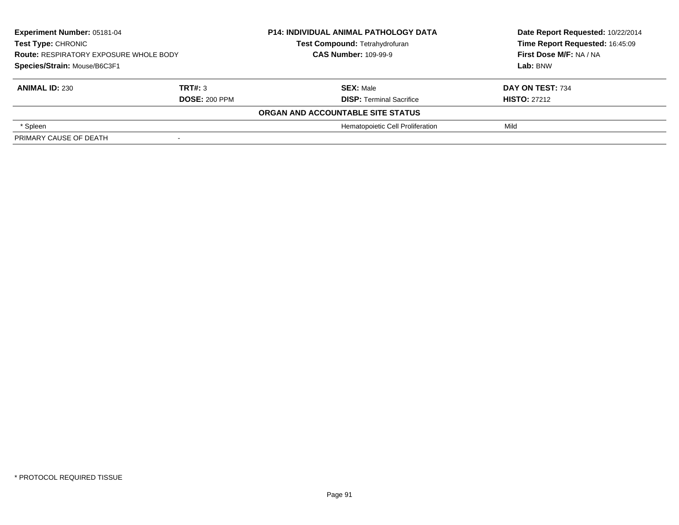| Experiment Number: 05181-04<br>Test Type: CHRONIC<br><b>Route: RESPIRATORY EXPOSURE WHOLE BODY</b><br>Species/Strain: Mouse/B6C3F1 |                      | <b>P14: INDIVIDUAL ANIMAL PATHOLOGY DATA</b> | Date Report Requested: 10/22/2014 |
|------------------------------------------------------------------------------------------------------------------------------------|----------------------|----------------------------------------------|-----------------------------------|
|                                                                                                                                    |                      | Test Compound: Tetrahydrofuran               | Time Report Requested: 16:45:09   |
|                                                                                                                                    |                      | <b>CAS Number: 109-99-9</b>                  | First Dose M/F: NA / NA           |
|                                                                                                                                    |                      |                                              | Lab: BNW                          |
| <b>ANIMAL ID: 230</b>                                                                                                              | TRT#: 3              | <b>SEX: Male</b>                             | DAY ON TEST: 734                  |
|                                                                                                                                    | <b>DOSE: 200 PPM</b> | <b>DISP: Terminal Sacrifice</b>              | <b>HISTO: 27212</b>               |
|                                                                                                                                    |                      | ORGAN AND ACCOUNTABLE SITE STATUS            |                                   |
| * Spleen                                                                                                                           |                      | Hematopoietic Cell Proliferation             | Mild                              |
| PRIMARY CAUSE OF DEATH                                                                                                             |                      |                                              |                                   |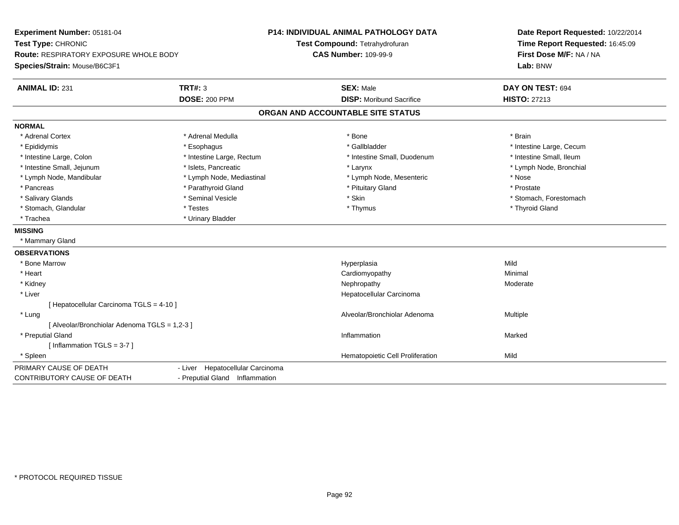| Time Report Requested: 16:45:09<br>First Dose M/F: NA / NA<br><b>CAS Number: 109-99-9</b><br><b>Route: RESPIRATORY EXPOSURE WHOLE BODY</b><br>Species/Strain: Mouse/B6C3F1<br>Lab: BNW<br><b>ANIMAL ID: 231</b><br><b>TRT#: 3</b><br><b>SEX: Male</b><br>DAY ON TEST: 694<br><b>DOSE: 200 PPM</b><br><b>DISP: Moribund Sacrifice</b><br><b>HISTO: 27213</b><br>ORGAN AND ACCOUNTABLE SITE STATUS<br>* Adrenal Cortex<br>* Adrenal Medulla<br>* Bone<br>* Brain<br>* Gallbladder<br>* Epididymis<br>* Intestine Large, Cecum<br>* Esophagus<br>* Intestine Small, Ileum<br>* Intestine Large, Colon<br>* Intestine Large, Rectum<br>* Intestine Small, Duodenum<br>* Intestine Small, Jejunum<br>* Islets, Pancreatic<br>* Lymph Node, Bronchial<br>* Larynx<br>* Lymph Node, Mediastinal<br>* Lymph Node, Mesenteric<br>* Lymph Node, Mandibular<br>* Nose<br>* Parathyroid Gland<br>* Prostate<br>* Pancreas<br>* Pituitary Gland<br>* Skin<br>* Salivary Glands<br>* Seminal Vesicle<br>* Stomach, Forestomach<br>* Testes<br>* Thyroid Gland<br>* Stomach, Glandular<br>* Thymus<br>* Trachea<br>* Urinary Bladder<br>* Mammary Gland<br>* Bone Marrow<br>Mild<br>Hyperplasia<br>* Heart<br>Cardiomyopathy<br>Minimal<br>* Kidney<br>Nephropathy<br>Moderate<br>* Liver<br>Hepatocellular Carcinoma<br>[ Hepatocellular Carcinoma TGLS = 4-10 ]<br>* Lung<br>Alveolar/Bronchiolar Adenoma<br>Multiple<br>[ Alveolar/Bronchiolar Adenoma TGLS = 1,2-3 ]<br>* Preputial Gland<br>Inflammation<br>Marked<br>[Inflammation TGLS = $3-7$ ]<br>Hematopoietic Cell Proliferation<br>Mild<br>* Spleen<br>- Liver Hepatocellular Carcinoma<br>- Preputial Gland Inflammation | Experiment Number: 05181-04<br>Test Type: CHRONIC |  | P14: INDIVIDUAL ANIMAL PATHOLOGY DATA | Date Report Requested: 10/22/2014 |
|------------------------------------------------------------------------------------------------------------------------------------------------------------------------------------------------------------------------------------------------------------------------------------------------------------------------------------------------------------------------------------------------------------------------------------------------------------------------------------------------------------------------------------------------------------------------------------------------------------------------------------------------------------------------------------------------------------------------------------------------------------------------------------------------------------------------------------------------------------------------------------------------------------------------------------------------------------------------------------------------------------------------------------------------------------------------------------------------------------------------------------------------------------------------------------------------------------------------------------------------------------------------------------------------------------------------------------------------------------------------------------------------------------------------------------------------------------------------------------------------------------------------------------------------------------------------------------------------------------------------------------------------------------------------|---------------------------------------------------|--|---------------------------------------|-----------------------------------|
|                                                                                                                                                                                                                                                                                                                                                                                                                                                                                                                                                                                                                                                                                                                                                                                                                                                                                                                                                                                                                                                                                                                                                                                                                                                                                                                                                                                                                                                                                                                                                                                                                                                                        |                                                   |  | Test Compound: Tetrahydrofuran        |                                   |
|                                                                                                                                                                                                                                                                                                                                                                                                                                                                                                                                                                                                                                                                                                                                                                                                                                                                                                                                                                                                                                                                                                                                                                                                                                                                                                                                                                                                                                                                                                                                                                                                                                                                        |                                                   |  |                                       |                                   |
|                                                                                                                                                                                                                                                                                                                                                                                                                                                                                                                                                                                                                                                                                                                                                                                                                                                                                                                                                                                                                                                                                                                                                                                                                                                                                                                                                                                                                                                                                                                                                                                                                                                                        |                                                   |  |                                       |                                   |
|                                                                                                                                                                                                                                                                                                                                                                                                                                                                                                                                                                                                                                                                                                                                                                                                                                                                                                                                                                                                                                                                                                                                                                                                                                                                                                                                                                                                                                                                                                                                                                                                                                                                        |                                                   |  |                                       |                                   |
|                                                                                                                                                                                                                                                                                                                                                                                                                                                                                                                                                                                                                                                                                                                                                                                                                                                                                                                                                                                                                                                                                                                                                                                                                                                                                                                                                                                                                                                                                                                                                                                                                                                                        |                                                   |  |                                       |                                   |
|                                                                                                                                                                                                                                                                                                                                                                                                                                                                                                                                                                                                                                                                                                                                                                                                                                                                                                                                                                                                                                                                                                                                                                                                                                                                                                                                                                                                                                                                                                                                                                                                                                                                        |                                                   |  |                                       |                                   |
|                                                                                                                                                                                                                                                                                                                                                                                                                                                                                                                                                                                                                                                                                                                                                                                                                                                                                                                                                                                                                                                                                                                                                                                                                                                                                                                                                                                                                                                                                                                                                                                                                                                                        | <b>NORMAL</b>                                     |  |                                       |                                   |
|                                                                                                                                                                                                                                                                                                                                                                                                                                                                                                                                                                                                                                                                                                                                                                                                                                                                                                                                                                                                                                                                                                                                                                                                                                                                                                                                                                                                                                                                                                                                                                                                                                                                        |                                                   |  |                                       |                                   |
|                                                                                                                                                                                                                                                                                                                                                                                                                                                                                                                                                                                                                                                                                                                                                                                                                                                                                                                                                                                                                                                                                                                                                                                                                                                                                                                                                                                                                                                                                                                                                                                                                                                                        |                                                   |  |                                       |                                   |
|                                                                                                                                                                                                                                                                                                                                                                                                                                                                                                                                                                                                                                                                                                                                                                                                                                                                                                                                                                                                                                                                                                                                                                                                                                                                                                                                                                                                                                                                                                                                                                                                                                                                        |                                                   |  |                                       |                                   |
|                                                                                                                                                                                                                                                                                                                                                                                                                                                                                                                                                                                                                                                                                                                                                                                                                                                                                                                                                                                                                                                                                                                                                                                                                                                                                                                                                                                                                                                                                                                                                                                                                                                                        |                                                   |  |                                       |                                   |
|                                                                                                                                                                                                                                                                                                                                                                                                                                                                                                                                                                                                                                                                                                                                                                                                                                                                                                                                                                                                                                                                                                                                                                                                                                                                                                                                                                                                                                                                                                                                                                                                                                                                        |                                                   |  |                                       |                                   |
|                                                                                                                                                                                                                                                                                                                                                                                                                                                                                                                                                                                                                                                                                                                                                                                                                                                                                                                                                                                                                                                                                                                                                                                                                                                                                                                                                                                                                                                                                                                                                                                                                                                                        |                                                   |  |                                       |                                   |
|                                                                                                                                                                                                                                                                                                                                                                                                                                                                                                                                                                                                                                                                                                                                                                                                                                                                                                                                                                                                                                                                                                                                                                                                                                                                                                                                                                                                                                                                                                                                                                                                                                                                        |                                                   |  |                                       |                                   |
|                                                                                                                                                                                                                                                                                                                                                                                                                                                                                                                                                                                                                                                                                                                                                                                                                                                                                                                                                                                                                                                                                                                                                                                                                                                                                                                                                                                                                                                                                                                                                                                                                                                                        |                                                   |  |                                       |                                   |
|                                                                                                                                                                                                                                                                                                                                                                                                                                                                                                                                                                                                                                                                                                                                                                                                                                                                                                                                                                                                                                                                                                                                                                                                                                                                                                                                                                                                                                                                                                                                                                                                                                                                        |                                                   |  |                                       |                                   |
|                                                                                                                                                                                                                                                                                                                                                                                                                                                                                                                                                                                                                                                                                                                                                                                                                                                                                                                                                                                                                                                                                                                                                                                                                                                                                                                                                                                                                                                                                                                                                                                                                                                                        | <b>MISSING</b>                                    |  |                                       |                                   |
|                                                                                                                                                                                                                                                                                                                                                                                                                                                                                                                                                                                                                                                                                                                                                                                                                                                                                                                                                                                                                                                                                                                                                                                                                                                                                                                                                                                                                                                                                                                                                                                                                                                                        |                                                   |  |                                       |                                   |
|                                                                                                                                                                                                                                                                                                                                                                                                                                                                                                                                                                                                                                                                                                                                                                                                                                                                                                                                                                                                                                                                                                                                                                                                                                                                                                                                                                                                                                                                                                                                                                                                                                                                        | <b>OBSERVATIONS</b>                               |  |                                       |                                   |
|                                                                                                                                                                                                                                                                                                                                                                                                                                                                                                                                                                                                                                                                                                                                                                                                                                                                                                                                                                                                                                                                                                                                                                                                                                                                                                                                                                                                                                                                                                                                                                                                                                                                        |                                                   |  |                                       |                                   |
|                                                                                                                                                                                                                                                                                                                                                                                                                                                                                                                                                                                                                                                                                                                                                                                                                                                                                                                                                                                                                                                                                                                                                                                                                                                                                                                                                                                                                                                                                                                                                                                                                                                                        |                                                   |  |                                       |                                   |
|                                                                                                                                                                                                                                                                                                                                                                                                                                                                                                                                                                                                                                                                                                                                                                                                                                                                                                                                                                                                                                                                                                                                                                                                                                                                                                                                                                                                                                                                                                                                                                                                                                                                        |                                                   |  |                                       |                                   |
|                                                                                                                                                                                                                                                                                                                                                                                                                                                                                                                                                                                                                                                                                                                                                                                                                                                                                                                                                                                                                                                                                                                                                                                                                                                                                                                                                                                                                                                                                                                                                                                                                                                                        |                                                   |  |                                       |                                   |
|                                                                                                                                                                                                                                                                                                                                                                                                                                                                                                                                                                                                                                                                                                                                                                                                                                                                                                                                                                                                                                                                                                                                                                                                                                                                                                                                                                                                                                                                                                                                                                                                                                                                        |                                                   |  |                                       |                                   |
|                                                                                                                                                                                                                                                                                                                                                                                                                                                                                                                                                                                                                                                                                                                                                                                                                                                                                                                                                                                                                                                                                                                                                                                                                                                                                                                                                                                                                                                                                                                                                                                                                                                                        |                                                   |  |                                       |                                   |
|                                                                                                                                                                                                                                                                                                                                                                                                                                                                                                                                                                                                                                                                                                                                                                                                                                                                                                                                                                                                                                                                                                                                                                                                                                                                                                                                                                                                                                                                                                                                                                                                                                                                        |                                                   |  |                                       |                                   |
|                                                                                                                                                                                                                                                                                                                                                                                                                                                                                                                                                                                                                                                                                                                                                                                                                                                                                                                                                                                                                                                                                                                                                                                                                                                                                                                                                                                                                                                                                                                                                                                                                                                                        |                                                   |  |                                       |                                   |
|                                                                                                                                                                                                                                                                                                                                                                                                                                                                                                                                                                                                                                                                                                                                                                                                                                                                                                                                                                                                                                                                                                                                                                                                                                                                                                                                                                                                                                                                                                                                                                                                                                                                        |                                                   |  |                                       |                                   |
|                                                                                                                                                                                                                                                                                                                                                                                                                                                                                                                                                                                                                                                                                                                                                                                                                                                                                                                                                                                                                                                                                                                                                                                                                                                                                                                                                                                                                                                                                                                                                                                                                                                                        |                                                   |  |                                       |                                   |
|                                                                                                                                                                                                                                                                                                                                                                                                                                                                                                                                                                                                                                                                                                                                                                                                                                                                                                                                                                                                                                                                                                                                                                                                                                                                                                                                                                                                                                                                                                                                                                                                                                                                        | PRIMARY CAUSE OF DEATH                            |  |                                       |                                   |
|                                                                                                                                                                                                                                                                                                                                                                                                                                                                                                                                                                                                                                                                                                                                                                                                                                                                                                                                                                                                                                                                                                                                                                                                                                                                                                                                                                                                                                                                                                                                                                                                                                                                        | CONTRIBUTORY CAUSE OF DEATH                       |  |                                       |                                   |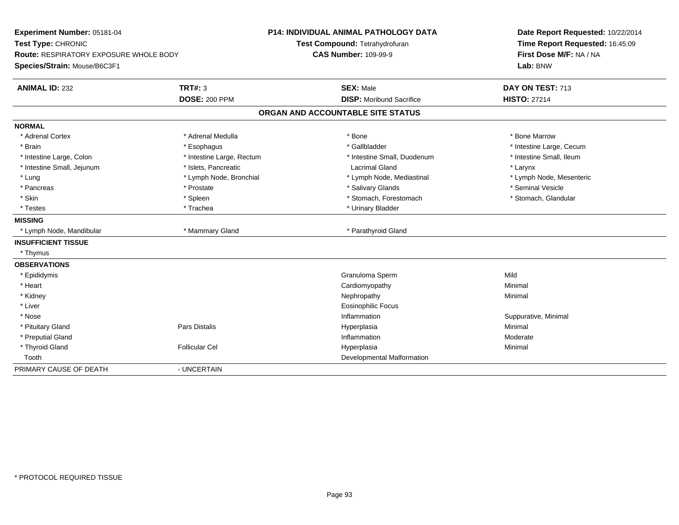| Experiment Number: 05181-04                   |                           | <b>P14: INDIVIDUAL ANIMAL PATHOLOGY DATA</b> |                                   | Date Report Requested: 10/22/2014 |
|-----------------------------------------------|---------------------------|----------------------------------------------|-----------------------------------|-----------------------------------|
| Test Type: CHRONIC                            |                           |                                              | Test Compound: Tetrahydrofuran    | Time Report Requested: 16:45:09   |
| <b>Route: RESPIRATORY EXPOSURE WHOLE BODY</b> |                           |                                              | <b>CAS Number: 109-99-9</b>       | First Dose M/F: NA / NA           |
| Species/Strain: Mouse/B6C3F1                  |                           |                                              |                                   | Lab: BNW                          |
| <b>ANIMAL ID: 232</b>                         | <b>TRT#: 3</b>            |                                              | <b>SEX: Male</b>                  | DAY ON TEST: 713                  |
|                                               | <b>DOSE: 200 PPM</b>      |                                              | <b>DISP: Moribund Sacrifice</b>   | <b>HISTO: 27214</b>               |
|                                               |                           |                                              | ORGAN AND ACCOUNTABLE SITE STATUS |                                   |
| <b>NORMAL</b>                                 |                           |                                              |                                   |                                   |
| * Adrenal Cortex                              | * Adrenal Medulla         |                                              | * Bone                            | * Bone Marrow                     |
| * Brain                                       | * Esophagus               |                                              | * Gallbladder                     | * Intestine Large, Cecum          |
| * Intestine Large, Colon                      | * Intestine Large, Rectum |                                              | * Intestine Small, Duodenum       | * Intestine Small, Ileum          |
| * Intestine Small, Jejunum                    | * Islets, Pancreatic      |                                              | <b>Lacrimal Gland</b>             | * Larynx                          |
| * Lung                                        | * Lymph Node, Bronchial   |                                              | * Lymph Node, Mediastinal         | * Lymph Node, Mesenteric          |
| * Pancreas                                    | * Prostate                |                                              | * Salivary Glands                 | * Seminal Vesicle                 |
| * Skin                                        | * Spleen                  |                                              | * Stomach, Forestomach            | * Stomach, Glandular              |
| * Testes                                      | * Trachea                 |                                              | * Urinary Bladder                 |                                   |
| <b>MISSING</b>                                |                           |                                              |                                   |                                   |
| * Lymph Node, Mandibular                      | * Mammary Gland           |                                              | * Parathyroid Gland               |                                   |
| <b>INSUFFICIENT TISSUE</b>                    |                           |                                              |                                   |                                   |
| * Thymus                                      |                           |                                              |                                   |                                   |
| <b>OBSERVATIONS</b>                           |                           |                                              |                                   |                                   |
| * Epididymis                                  |                           |                                              | Granuloma Sperm                   | Mild                              |
| * Heart                                       |                           |                                              | Cardiomyopathy                    | Minimal                           |
| * Kidney                                      |                           |                                              | Nephropathy                       | Minimal                           |
| * Liver                                       |                           |                                              | <b>Eosinophilic Focus</b>         |                                   |
| * Nose                                        |                           |                                              | Inflammation                      | Suppurative, Minimal              |
| * Pituitary Gland                             | Pars Distalis             |                                              | Hyperplasia                       | Minimal                           |
| * Preputial Gland                             |                           |                                              | Inflammation                      | Moderate                          |
| * Thyroid Gland                               | <b>Follicular Cel</b>     |                                              | Hyperplasia                       | Minimal                           |
| Tooth                                         |                           |                                              | Developmental Malformation        |                                   |
| PRIMARY CAUSE OF DEATH                        | - UNCERTAIN               |                                              |                                   |                                   |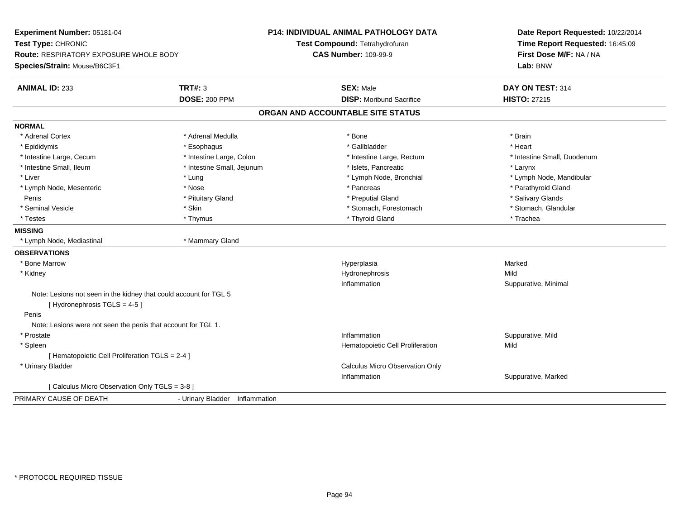| Experiment Number: 05181-04<br>Test Type: CHRONIC                                                |                                | <b>P14: INDIVIDUAL ANIMAL PATHOLOGY DATA</b><br>Test Compound: Tetrahydrofuran | Date Report Requested: 10/22/2014<br>Time Report Requested: 16:45:09 |
|--------------------------------------------------------------------------------------------------|--------------------------------|--------------------------------------------------------------------------------|----------------------------------------------------------------------|
| <b>Route: RESPIRATORY EXPOSURE WHOLE BODY</b>                                                    |                                | <b>CAS Number: 109-99-9</b>                                                    | First Dose M/F: NA / NA                                              |
|                                                                                                  |                                |                                                                                |                                                                      |
| Species/Strain: Mouse/B6C3F1                                                                     |                                |                                                                                | Lab: BNW                                                             |
| <b>ANIMAL ID: 233</b>                                                                            | TRT#: 3                        | <b>SEX: Male</b>                                                               | DAY ON TEST: 314                                                     |
|                                                                                                  | <b>DOSE: 200 PPM</b>           | <b>DISP:</b> Moribund Sacrifice                                                | <b>HISTO: 27215</b>                                                  |
|                                                                                                  |                                | ORGAN AND ACCOUNTABLE SITE STATUS                                              |                                                                      |
| <b>NORMAL</b>                                                                                    |                                |                                                                                |                                                                      |
| * Adrenal Cortex                                                                                 | * Adrenal Medulla              | * Bone                                                                         | * Brain                                                              |
| * Epididymis                                                                                     | * Esophagus                    | * Gallbladder                                                                  | * Heart                                                              |
| * Intestine Large, Cecum                                                                         | * Intestine Large, Colon       | * Intestine Large, Rectum                                                      | * Intestine Small, Duodenum                                          |
| * Intestine Small, Ileum                                                                         | * Intestine Small, Jejunum     | * Islets, Pancreatic                                                           | * Larynx                                                             |
| * Liver                                                                                          | * Lung                         | * Lymph Node, Bronchial                                                        | * Lymph Node, Mandibular                                             |
| * Lymph Node, Mesenteric                                                                         | * Nose                         | * Pancreas                                                                     | * Parathyroid Gland                                                  |
| Penis                                                                                            | * Pituitary Gland              | * Preputial Gland                                                              | * Salivary Glands                                                    |
| * Seminal Vesicle                                                                                | * Skin                         | * Stomach, Forestomach                                                         | * Stomach, Glandular                                                 |
| * Testes                                                                                         | * Thymus                       | * Thyroid Gland                                                                | * Trachea                                                            |
| <b>MISSING</b>                                                                                   |                                |                                                                                |                                                                      |
| * Lymph Node, Mediastinal                                                                        | * Mammary Gland                |                                                                                |                                                                      |
| <b>OBSERVATIONS</b>                                                                              |                                |                                                                                |                                                                      |
| * Bone Marrow                                                                                    |                                | Hyperplasia                                                                    | Marked                                                               |
| * Kidney                                                                                         |                                | Hydronephrosis                                                                 | Mild                                                                 |
|                                                                                                  |                                | Inflammation                                                                   | Suppurative, Minimal                                                 |
| Note: Lesions not seen in the kidney that could account for TGL 5<br>[Hydronephrosis TGLS = 4-5] |                                |                                                                                |                                                                      |
| Penis                                                                                            |                                |                                                                                |                                                                      |
| Note: Lesions were not seen the penis that account for TGL 1.                                    |                                |                                                                                |                                                                      |
| * Prostate                                                                                       |                                | Inflammation                                                                   | Suppurative, Mild                                                    |
| * Spleen                                                                                         |                                | Hematopoietic Cell Proliferation                                               | Mild                                                                 |
| [ Hematopoietic Cell Proliferation TGLS = 2-4 ]                                                  |                                |                                                                                |                                                                      |
| * Urinary Bladder                                                                                |                                | Calculus Micro Observation Only                                                |                                                                      |
|                                                                                                  |                                | Inflammation                                                                   | Suppurative, Marked                                                  |
| [ Calculus Micro Observation Only TGLS = 3-8 ]                                                   |                                |                                                                                |                                                                      |
| PRIMARY CAUSE OF DEATH                                                                           | - Urinary Bladder Inflammation |                                                                                |                                                                      |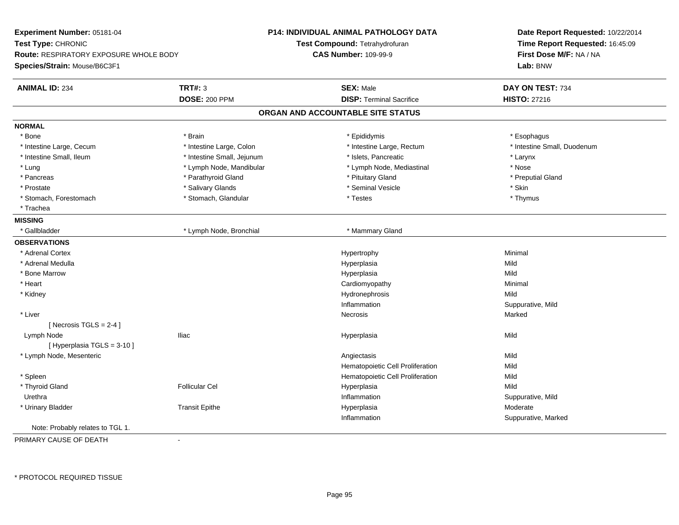| Experiment Number: 05181-04            |                            | <b>P14: INDIVIDUAL ANIMAL PATHOLOGY DATA</b> | Date Report Requested: 10/22/2014 |  |
|----------------------------------------|----------------------------|----------------------------------------------|-----------------------------------|--|
| Test Type: CHRONIC                     |                            | Test Compound: Tetrahydrofuran               | Time Report Requested: 16:45:09   |  |
| Route: RESPIRATORY EXPOSURE WHOLE BODY |                            | <b>CAS Number: 109-99-9</b>                  | First Dose M/F: NA / NA           |  |
| Species/Strain: Mouse/B6C3F1           |                            |                                              | Lab: BNW                          |  |
|                                        |                            |                                              |                                   |  |
| <b>ANIMAL ID: 234</b>                  | <b>TRT#: 3</b>             | <b>SEX: Male</b>                             | DAY ON TEST: 734                  |  |
|                                        | <b>DOSE: 200 PPM</b>       | <b>DISP: Terminal Sacrifice</b>              | <b>HISTO: 27216</b>               |  |
|                                        |                            | ORGAN AND ACCOUNTABLE SITE STATUS            |                                   |  |
| <b>NORMAL</b>                          |                            |                                              |                                   |  |
| * Bone                                 | * Brain                    | * Epididymis                                 | * Esophagus                       |  |
| * Intestine Large, Cecum               | * Intestine Large, Colon   | * Intestine Large, Rectum                    | * Intestine Small, Duodenum       |  |
| * Intestine Small, Ileum               | * Intestine Small, Jejunum | * Islets, Pancreatic                         | * Larynx                          |  |
| * Lung                                 | * Lymph Node, Mandibular   | * Lymph Node, Mediastinal                    | * Nose                            |  |
| * Pancreas                             | * Parathyroid Gland        | * Pituitary Gland                            | * Preputial Gland                 |  |
| * Prostate                             | * Salivary Glands          | * Seminal Vesicle                            | * Skin                            |  |
| * Stomach, Forestomach                 | * Stomach, Glandular       | * Testes                                     | * Thymus                          |  |
| * Trachea                              |                            |                                              |                                   |  |
| <b>MISSING</b>                         |                            |                                              |                                   |  |
| * Gallbladder                          | * Lymph Node, Bronchial    | * Mammary Gland                              |                                   |  |
| <b>OBSERVATIONS</b>                    |                            |                                              |                                   |  |
| * Adrenal Cortex                       |                            | Hypertrophy                                  | Minimal                           |  |
| * Adrenal Medulla                      |                            | Hyperplasia                                  | Mild                              |  |
| * Bone Marrow                          |                            | Hyperplasia                                  | Mild                              |  |
| * Heart                                |                            | Cardiomyopathy                               | Minimal                           |  |
| * Kidney                               |                            | Hydronephrosis                               | Mild                              |  |
|                                        |                            | Inflammation                                 | Suppurative, Mild                 |  |
| * Liver                                |                            | Necrosis                                     | Marked                            |  |
| [Necrosis TGLS = $2-4$ ]               |                            |                                              |                                   |  |
| Lymph Node                             | <b>Iliac</b>               | Hyperplasia                                  | Mild                              |  |
| [ Hyperplasia TGLS = 3-10 ]            |                            |                                              |                                   |  |
| * Lymph Node, Mesenteric               |                            | Angiectasis                                  | Mild                              |  |
|                                        |                            | Hematopoietic Cell Proliferation             | Mild                              |  |
| * Spleen                               |                            | Hematopoietic Cell Proliferation             | Mild                              |  |
| * Thyroid Gland                        | <b>Follicular Cel</b>      | Hyperplasia                                  | Mild                              |  |
| Urethra                                |                            | Inflammation                                 | Suppurative, Mild                 |  |
| * Urinary Bladder                      | <b>Transit Epithe</b>      | Hyperplasia                                  | Moderate                          |  |
|                                        |                            | Inflammation                                 | Suppurative, Marked               |  |
| Note: Probably relates to TGL 1.       |                            |                                              |                                   |  |
| DOIMADV CAUSE OF DEATH                 |                            |                                              |                                   |  |

PRIMARY CAUSE OF DEATH-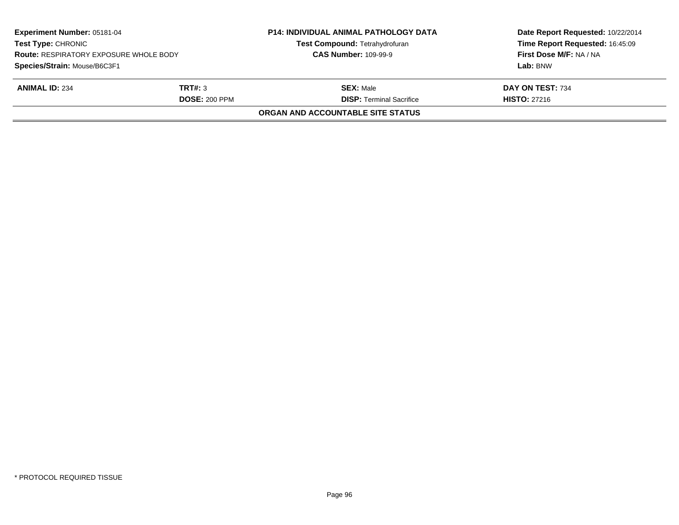| Experiment Number: 05181-04<br><b>Test Type: CHRONIC</b><br><b>Route: RESPIRATORY EXPOSURE WHOLE BODY</b> |                      | <b>P14: INDIVIDUAL ANIMAL PATHOLOGY DATA</b><br>Test Compound: Tetrahydrofuran<br><b>CAS Number: 109-99-9</b> | Date Report Requested: 10/22/2014<br>Time Report Requested: 16:45:09<br>First Dose M/F: NA / NA |
|-----------------------------------------------------------------------------------------------------------|----------------------|---------------------------------------------------------------------------------------------------------------|-------------------------------------------------------------------------------------------------|
| Species/Strain: Mouse/B6C3F1                                                                              |                      |                                                                                                               | Lab: BNW                                                                                        |
| <b>ANIMAL ID: 234</b>                                                                                     | TRT#: 3              | <b>SEX:</b> Male                                                                                              | DAY ON TEST: 734                                                                                |
|                                                                                                           | <b>DOSE: 200 PPM</b> | <b>DISP: Terminal Sacrifice</b>                                                                               | <b>HISTO: 27216</b>                                                                             |
|                                                                                                           |                      | <b>ORGAN AND ACCOUNTABLE SITE STATUS</b>                                                                      |                                                                                                 |
|                                                                                                           |                      |                                                                                                               |                                                                                                 |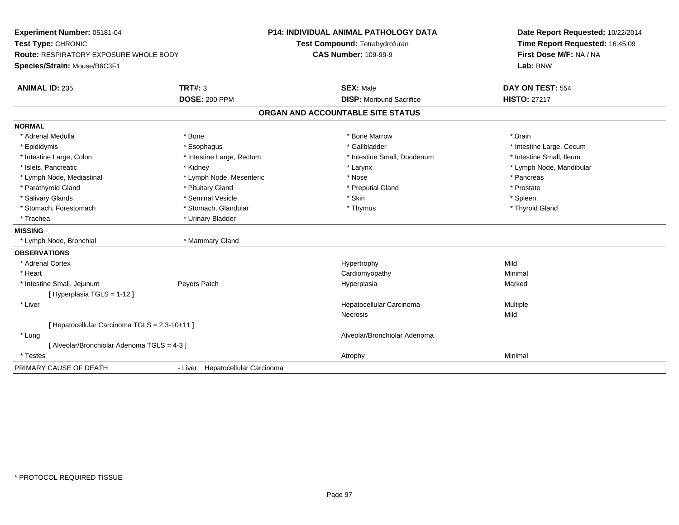| Experiment Number: 05181-04<br>Test Type: CHRONIC                             |                                  | P14: INDIVIDUAL ANIMAL PATHOLOGY DATA | Date Report Requested: 10/22/2014<br>Time Report Requested: 16:45:09 |
|-------------------------------------------------------------------------------|----------------------------------|---------------------------------------|----------------------------------------------------------------------|
|                                                                               |                                  | Test Compound: Tetrahydrofuran        |                                                                      |
| <b>Route: RESPIRATORY EXPOSURE WHOLE BODY</b><br>Species/Strain: Mouse/B6C3F1 |                                  | <b>CAS Number: 109-99-9</b>           | First Dose M/F: NA / NA<br>Lab: BNW                                  |
|                                                                               |                                  |                                       |                                                                      |
| <b>ANIMAL ID: 235</b>                                                         | <b>TRT#: 3</b>                   | <b>SEX: Male</b>                      | DAY ON TEST: 554                                                     |
|                                                                               | <b>DOSE: 200 PPM</b>             | <b>DISP:</b> Moribund Sacrifice       | <b>HISTO: 27217</b>                                                  |
|                                                                               |                                  | ORGAN AND ACCOUNTABLE SITE STATUS     |                                                                      |
| <b>NORMAL</b>                                                                 |                                  |                                       |                                                                      |
| * Adrenal Medulla                                                             | * Bone                           | * Bone Marrow                         | * Brain                                                              |
| * Epididymis                                                                  | * Esophagus                      | * Gallbladder                         | * Intestine Large, Cecum                                             |
| * Intestine Large, Colon                                                      | * Intestine Large, Rectum        | * Intestine Small, Duodenum           | * Intestine Small, Ileum                                             |
| * Islets, Pancreatic                                                          | * Kidney                         | * Larynx                              | * Lymph Node, Mandibular                                             |
| * Lymph Node, Mediastinal                                                     | * Lymph Node, Mesenteric         | * Nose                                | * Pancreas                                                           |
| * Parathyroid Gland                                                           | * Pituitary Gland                | * Preputial Gland                     | * Prostate                                                           |
| * Salivary Glands                                                             | * Seminal Vesicle                | * Skin                                | * Spleen                                                             |
| * Stomach, Forestomach                                                        | * Stomach, Glandular             | * Thymus                              | * Thyroid Gland                                                      |
| * Trachea                                                                     | * Urinary Bladder                |                                       |                                                                      |
| <b>MISSING</b>                                                                |                                  |                                       |                                                                      |
| * Lymph Node, Bronchial                                                       | * Mammary Gland                  |                                       |                                                                      |
| <b>OBSERVATIONS</b>                                                           |                                  |                                       |                                                                      |
| * Adrenal Cortex                                                              |                                  | Hypertrophy                           | Mild                                                                 |
| * Heart                                                                       |                                  | Cardiomyopathy                        | Minimal                                                              |
| * Intestine Small, Jejunum                                                    | Peyers Patch                     | Hyperplasia                           | Marked                                                               |
| [Hyperplasia TGLS = 1-12]                                                     |                                  |                                       |                                                                      |
| * Liver                                                                       |                                  | Hepatocellular Carcinoma              | Multiple                                                             |
|                                                                               |                                  | <b>Necrosis</b>                       | Mild                                                                 |
| [ Hepatocellular Carcinoma TGLS = 2,3-10+11 ]                                 |                                  |                                       |                                                                      |
| * Lung                                                                        |                                  | Alveolar/Bronchiolar Adenoma          |                                                                      |
| [ Alveolar/Bronchiolar Adenoma TGLS = 4-3 ]                                   |                                  |                                       |                                                                      |
| * Testes                                                                      |                                  | Atrophy                               | Minimal                                                              |
| PRIMARY CAUSE OF DEATH                                                        | - Liver Hepatocellular Carcinoma |                                       |                                                                      |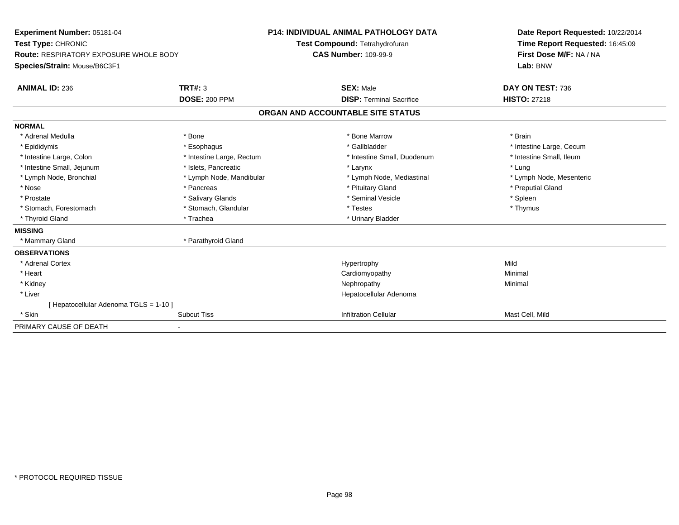| <b>Experiment Number: 05181-04</b><br>Test Type: CHRONIC<br><b>Route: RESPIRATORY EXPOSURE WHOLE BODY</b><br>Species/Strain: Mouse/B6C3F1<br><b>ANIMAL ID: 236</b> | <b>TRT#: 3</b><br><b>DOSE: 200 PPM</b> | <b>P14: INDIVIDUAL ANIMAL PATHOLOGY DATA</b><br>Test Compound: Tetrahydrofuran<br><b>CAS Number: 109-99-9</b><br><b>SEX: Male</b><br><b>DISP: Terminal Sacrifice</b> | Date Report Requested: 10/22/2014<br>Time Report Requested: 16:45:09<br>First Dose M/F: NA / NA<br>Lab: BNW<br>DAY ON TEST: 736<br><b>HISTO: 27218</b> |
|--------------------------------------------------------------------------------------------------------------------------------------------------------------------|----------------------------------------|----------------------------------------------------------------------------------------------------------------------------------------------------------------------|--------------------------------------------------------------------------------------------------------------------------------------------------------|
|                                                                                                                                                                    |                                        | ORGAN AND ACCOUNTABLE SITE STATUS                                                                                                                                    |                                                                                                                                                        |
| <b>NORMAL</b>                                                                                                                                                      |                                        |                                                                                                                                                                      |                                                                                                                                                        |
| * Adrenal Medulla                                                                                                                                                  | * Bone                                 | * Bone Marrow                                                                                                                                                        | * Brain                                                                                                                                                |
| * Epididymis                                                                                                                                                       | * Esophagus                            | * Gallbladder                                                                                                                                                        | * Intestine Large, Cecum                                                                                                                               |
| * Intestine Large, Colon                                                                                                                                           | * Intestine Large, Rectum              | * Intestine Small, Duodenum                                                                                                                                          | * Intestine Small, Ileum                                                                                                                               |
| * Intestine Small, Jejunum                                                                                                                                         | * Islets, Pancreatic                   | * Larynx                                                                                                                                                             | * Lung                                                                                                                                                 |
| * Lymph Node, Bronchial                                                                                                                                            | * Lymph Node, Mandibular               | * Lymph Node, Mediastinal                                                                                                                                            | * Lymph Node, Mesenteric                                                                                                                               |
| * Nose                                                                                                                                                             | * Pancreas                             | * Pituitary Gland                                                                                                                                                    | * Preputial Gland                                                                                                                                      |
| * Prostate                                                                                                                                                         | * Salivary Glands                      | * Seminal Vesicle                                                                                                                                                    | * Spleen                                                                                                                                               |
| * Stomach, Forestomach                                                                                                                                             | * Stomach, Glandular                   | * Testes                                                                                                                                                             | * Thymus                                                                                                                                               |
| * Thyroid Gland                                                                                                                                                    | * Trachea                              | * Urinary Bladder                                                                                                                                                    |                                                                                                                                                        |
| <b>MISSING</b>                                                                                                                                                     |                                        |                                                                                                                                                                      |                                                                                                                                                        |
| * Mammary Gland                                                                                                                                                    | * Parathyroid Gland                    |                                                                                                                                                                      |                                                                                                                                                        |
| <b>OBSERVATIONS</b>                                                                                                                                                |                                        |                                                                                                                                                                      |                                                                                                                                                        |
| * Adrenal Cortex                                                                                                                                                   |                                        | Hypertrophy                                                                                                                                                          | Mild                                                                                                                                                   |
| * Heart                                                                                                                                                            |                                        | Cardiomyopathy                                                                                                                                                       | Minimal                                                                                                                                                |
| * Kidney                                                                                                                                                           |                                        | Nephropathy                                                                                                                                                          | Minimal                                                                                                                                                |
| * Liver                                                                                                                                                            |                                        | Hepatocellular Adenoma                                                                                                                                               |                                                                                                                                                        |
| Hepatocellular Adenoma TGLS = 1-10 ]                                                                                                                               |                                        |                                                                                                                                                                      |                                                                                                                                                        |
| * Skin                                                                                                                                                             | <b>Subcut Tiss</b>                     | <b>Infiltration Cellular</b>                                                                                                                                         | Mast Cell, Mild                                                                                                                                        |
| PRIMARY CAUSE OF DEATH                                                                                                                                             |                                        |                                                                                                                                                                      |                                                                                                                                                        |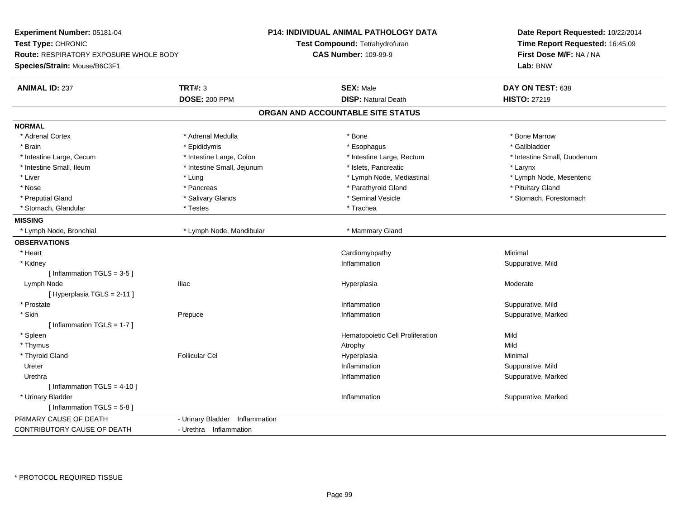| Experiment Number: 05181-04                   |                                | <b>P14: INDIVIDUAL ANIMAL PATHOLOGY DATA</b> | Date Report Requested: 10/22/2014<br>Time Report Requested: 16:45:09<br>First Dose M/F: NA / NA |  |
|-----------------------------------------------|--------------------------------|----------------------------------------------|-------------------------------------------------------------------------------------------------|--|
| Test Type: CHRONIC                            |                                | Test Compound: Tetrahydrofuran               |                                                                                                 |  |
| <b>Route: RESPIRATORY EXPOSURE WHOLE BODY</b> |                                | <b>CAS Number: 109-99-9</b>                  |                                                                                                 |  |
| Species/Strain: Mouse/B6C3F1                  |                                |                                              | Lab: BNW                                                                                        |  |
| <b>ANIMAL ID: 237</b>                         | <b>TRT#: 3</b>                 | <b>SEX: Male</b>                             | DAY ON TEST: 638                                                                                |  |
|                                               | <b>DOSE: 200 PPM</b>           | <b>DISP: Natural Death</b>                   | <b>HISTO: 27219</b>                                                                             |  |
|                                               |                                | ORGAN AND ACCOUNTABLE SITE STATUS            |                                                                                                 |  |
| <b>NORMAL</b>                                 |                                |                                              |                                                                                                 |  |
| * Adrenal Cortex                              | * Adrenal Medulla              | * Bone                                       | * Bone Marrow                                                                                   |  |
| * Brain                                       | * Epididymis                   | * Esophagus                                  | * Gallbladder                                                                                   |  |
| * Intestine Large, Cecum                      | * Intestine Large, Colon       | * Intestine Large, Rectum                    | * Intestine Small, Duodenum                                                                     |  |
| * Intestine Small, Ileum                      | * Intestine Small, Jejunum     | * Islets, Pancreatic                         | * Larynx                                                                                        |  |
| * Liver                                       | * Lung                         | * Lymph Node, Mediastinal                    | * Lymph Node, Mesenteric                                                                        |  |
| * Nose                                        | * Pancreas                     | * Parathyroid Gland                          | * Pituitary Gland                                                                               |  |
| * Preputial Gland                             | * Salivary Glands              | * Seminal Vesicle                            | * Stomach, Forestomach                                                                          |  |
| * Stomach, Glandular                          | * Testes                       | * Trachea                                    |                                                                                                 |  |
| <b>MISSING</b>                                |                                |                                              |                                                                                                 |  |
| * Lymph Node, Bronchial                       | * Lymph Node, Mandibular       | * Mammary Gland                              |                                                                                                 |  |
| <b>OBSERVATIONS</b>                           |                                |                                              |                                                                                                 |  |
| * Heart                                       |                                | Cardiomyopathy                               | Minimal                                                                                         |  |
| * Kidney                                      |                                | Inflammation                                 | Suppurative, Mild                                                                               |  |
| [Inflammation TGLS = 3-5]                     |                                |                                              |                                                                                                 |  |
| Lymph Node                                    | <b>Iliac</b>                   | Hyperplasia                                  | Moderate                                                                                        |  |
| [Hyperplasia TGLS = 2-11]                     |                                |                                              |                                                                                                 |  |
| * Prostate                                    |                                | Inflammation                                 | Suppurative, Mild                                                                               |  |
| * Skin                                        | Prepuce                        | Inflammation                                 | Suppurative, Marked                                                                             |  |
| [Inflammation TGLS = $1-7$ ]                  |                                |                                              |                                                                                                 |  |
| * Spleen                                      |                                | Hematopoietic Cell Proliferation             | Mild                                                                                            |  |
| * Thymus                                      |                                | Atrophy                                      | Mild                                                                                            |  |
| * Thyroid Gland                               | <b>Follicular Cel</b>          | Hyperplasia                                  | Minimal                                                                                         |  |
| Ureter                                        |                                | Inflammation                                 | Suppurative, Mild                                                                               |  |
| Urethra                                       |                                | Inflammation                                 | Suppurative, Marked                                                                             |  |
| [Inflammation TGLS = $4-10$ ]                 |                                |                                              |                                                                                                 |  |
| * Urinary Bladder                             |                                | Inflammation                                 | Suppurative, Marked                                                                             |  |
| [Inflammation TGLS = $5-8$ ]                  |                                |                                              |                                                                                                 |  |
| PRIMARY CAUSE OF DEATH                        | - Urinary Bladder Inflammation |                                              |                                                                                                 |  |
| CONTRIBUTORY CAUSE OF DEATH                   | - Urethra Inflammation         |                                              |                                                                                                 |  |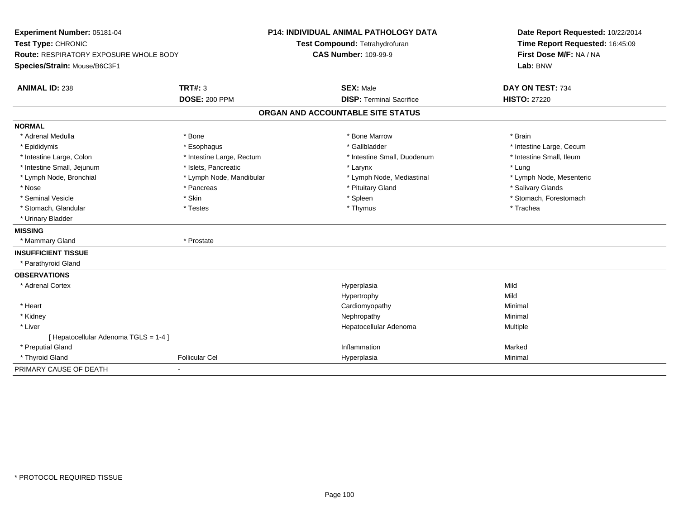| Experiment Number: 05181-04<br>Test Type: CHRONIC<br><b>Route: RESPIRATORY EXPOSURE WHOLE BODY</b> |                           | P14: INDIVIDUAL ANIMAL PATHOLOGY DATA<br>Test Compound: Tetrahydrofuran<br><b>CAS Number: 109-99-9</b> | Date Report Requested: 10/22/2014<br>Time Report Requested: 16:45:09<br>First Dose M/F: NA / NA |
|----------------------------------------------------------------------------------------------------|---------------------------|--------------------------------------------------------------------------------------------------------|-------------------------------------------------------------------------------------------------|
| Species/Strain: Mouse/B6C3F1                                                                       |                           |                                                                                                        | Lab: BNW                                                                                        |
| <b>ANIMAL ID: 238</b>                                                                              | TRT#: 3                   | <b>SEX: Male</b>                                                                                       | DAY ON TEST: 734                                                                                |
|                                                                                                    | <b>DOSE: 200 PPM</b>      | <b>DISP: Terminal Sacrifice</b>                                                                        | <b>HISTO: 27220</b>                                                                             |
|                                                                                                    |                           | ORGAN AND ACCOUNTABLE SITE STATUS                                                                      |                                                                                                 |
| <b>NORMAL</b>                                                                                      |                           |                                                                                                        |                                                                                                 |
| * Adrenal Medulla                                                                                  | * Bone                    | * Bone Marrow                                                                                          | * Brain                                                                                         |
| * Epididymis                                                                                       | * Esophagus               | * Gallbladder                                                                                          | * Intestine Large, Cecum                                                                        |
| * Intestine Large, Colon                                                                           | * Intestine Large, Rectum | * Intestine Small, Duodenum                                                                            | * Intestine Small, Ileum                                                                        |
| * Intestine Small, Jejunum                                                                         | * Islets, Pancreatic      | * Larynx                                                                                               | * Lung                                                                                          |
| * Lymph Node, Bronchial                                                                            | * Lymph Node, Mandibular  | * Lymph Node, Mediastinal                                                                              | * Lymph Node, Mesenteric                                                                        |
| * Nose                                                                                             | * Pancreas                | * Pituitary Gland                                                                                      | * Salivary Glands                                                                               |
| * Seminal Vesicle                                                                                  | * Skin                    | * Spleen                                                                                               | * Stomach, Forestomach                                                                          |
| * Stomach, Glandular                                                                               | * Testes                  | * Thymus                                                                                               | * Trachea                                                                                       |
| * Urinary Bladder                                                                                  |                           |                                                                                                        |                                                                                                 |
| <b>MISSING</b>                                                                                     |                           |                                                                                                        |                                                                                                 |
| * Mammary Gland                                                                                    | * Prostate                |                                                                                                        |                                                                                                 |
| <b>INSUFFICIENT TISSUE</b>                                                                         |                           |                                                                                                        |                                                                                                 |
| * Parathyroid Gland                                                                                |                           |                                                                                                        |                                                                                                 |
| <b>OBSERVATIONS</b>                                                                                |                           |                                                                                                        |                                                                                                 |
| * Adrenal Cortex                                                                                   |                           | Hyperplasia                                                                                            | Mild                                                                                            |
|                                                                                                    |                           | Hypertrophy                                                                                            | Mild                                                                                            |
| * Heart                                                                                            |                           | Cardiomyopathy                                                                                         | Minimal                                                                                         |
| * Kidney                                                                                           |                           | Nephropathy                                                                                            | Minimal                                                                                         |
| * Liver                                                                                            |                           | Hepatocellular Adenoma                                                                                 | Multiple                                                                                        |
| [ Hepatocellular Adenoma TGLS = 1-4 ]                                                              |                           |                                                                                                        |                                                                                                 |
| * Preputial Gland                                                                                  |                           | Inflammation                                                                                           | Marked                                                                                          |
| * Thyroid Gland                                                                                    | Follicular Cel            | Hyperplasia                                                                                            | Minimal                                                                                         |
| PRIMARY CAUSE OF DEATH                                                                             | $\blacksquare$            |                                                                                                        |                                                                                                 |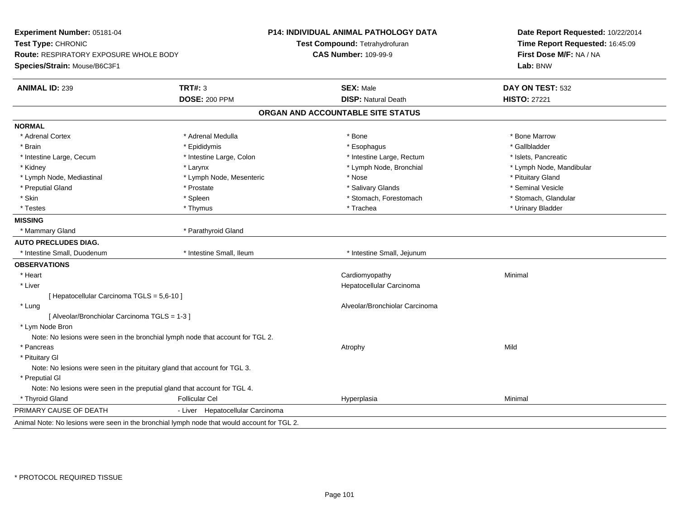| Test Compound: Tetrahydrofuran<br>Time Report Requested: 16:45:09<br>First Dose M/F: NA / NA<br>Route: RESPIRATORY EXPOSURE WHOLE BODY<br><b>CAS Number: 109-99-9</b><br>Lab: BNW<br><b>TRT#: 3</b><br><b>SEX: Male</b><br>DAY ON TEST: 532<br><b>DOSE: 200 PPM</b><br><b>DISP: Natural Death</b><br><b>HISTO: 27221</b><br>ORGAN AND ACCOUNTABLE SITE STATUS<br>* Adrenal Medulla<br>* Bone Marrow<br>* Adrenal Cortex<br>* Bone<br>* Epididymis<br>* Esophagus<br>* Gallbladder<br>* Brain<br>* Intestine Large, Colon<br>* Intestine Large, Rectum<br>* Islets, Pancreatic<br>* Intestine Large, Cecum<br>* Kidney<br>* Larynx<br>* Lymph Node, Bronchial<br>* Lymph Node, Mandibular<br>* Lymph Node, Mediastinal<br>* Lymph Node, Mesenteric<br>* Pituitary Gland<br>* Nose<br>* Salivary Glands<br>* Seminal Vesicle<br>* Preputial Gland<br>* Prostate<br>$^\star$ Skin<br>* Stomach, Forestomach<br>* Stomach, Glandular<br>* Spleen<br>* Testes<br>* Thymus<br>* Trachea<br>* Urinary Bladder<br>* Mammary Gland<br>* Parathyroid Gland<br>* Intestine Small, Duodenum<br>* Intestine Small, Ileum<br>* Intestine Small, Jejunum<br>* Heart<br>Cardiomyopathy<br>Minimal<br>* Liver<br>Hepatocellular Carcinoma<br>[ Hepatocellular Carcinoma TGLS = 5,6-10 ]<br>* Lung<br>Alveolar/Bronchiolar Carcinoma<br>[ Alveolar/Bronchiolar Carcinoma TGLS = 1-3 ]<br>* Lym Node Bron<br>Note: No lesions were seen in the bronchial lymph node that account for TGL 2.<br>Mild<br>* Pancreas<br>Atrophy<br>* Pituitary Gl<br>Note: No lesions were seen in the pituitary gland that account for TGL 3.<br>* Preputial GI<br>Note: No lesions were seen in the preputial gland that account for TGL 4.<br>* Thyroid Gland<br><b>Follicular Cel</b><br>Hyperplasia<br>Minimal<br>- Liver Hepatocellular Carcinoma<br>Animal Note: No lesions were seen in the bronchial lymph node that would account for TGL 2. | Experiment Number: 05181-04  | <b>P14: INDIVIDUAL ANIMAL PATHOLOGY DATA</b> | Date Report Requested: 10/22/2014 |
|------------------------------------------------------------------------------------------------------------------------------------------------------------------------------------------------------------------------------------------------------------------------------------------------------------------------------------------------------------------------------------------------------------------------------------------------------------------------------------------------------------------------------------------------------------------------------------------------------------------------------------------------------------------------------------------------------------------------------------------------------------------------------------------------------------------------------------------------------------------------------------------------------------------------------------------------------------------------------------------------------------------------------------------------------------------------------------------------------------------------------------------------------------------------------------------------------------------------------------------------------------------------------------------------------------------------------------------------------------------------------------------------------------------------------------------------------------------------------------------------------------------------------------------------------------------------------------------------------------------------------------------------------------------------------------------------------------------------------------------------------------------------------------------------------------------------------------------------------------------------------------------------------------------|------------------------------|----------------------------------------------|-----------------------------------|
|                                                                                                                                                                                                                                                                                                                                                                                                                                                                                                                                                                                                                                                                                                                                                                                                                                                                                                                                                                                                                                                                                                                                                                                                                                                                                                                                                                                                                                                                                                                                                                                                                                                                                                                                                                                                                                                                                                                  | Test Type: CHRONIC           |                                              |                                   |
|                                                                                                                                                                                                                                                                                                                                                                                                                                                                                                                                                                                                                                                                                                                                                                                                                                                                                                                                                                                                                                                                                                                                                                                                                                                                                                                                                                                                                                                                                                                                                                                                                                                                                                                                                                                                                                                                                                                  |                              |                                              |                                   |
|                                                                                                                                                                                                                                                                                                                                                                                                                                                                                                                                                                                                                                                                                                                                                                                                                                                                                                                                                                                                                                                                                                                                                                                                                                                                                                                                                                                                                                                                                                                                                                                                                                                                                                                                                                                                                                                                                                                  | Species/Strain: Mouse/B6C3F1 |                                              |                                   |
|                                                                                                                                                                                                                                                                                                                                                                                                                                                                                                                                                                                                                                                                                                                                                                                                                                                                                                                                                                                                                                                                                                                                                                                                                                                                                                                                                                                                                                                                                                                                                                                                                                                                                                                                                                                                                                                                                                                  | <b>ANIMAL ID: 239</b>        |                                              |                                   |
|                                                                                                                                                                                                                                                                                                                                                                                                                                                                                                                                                                                                                                                                                                                                                                                                                                                                                                                                                                                                                                                                                                                                                                                                                                                                                                                                                                                                                                                                                                                                                                                                                                                                                                                                                                                                                                                                                                                  |                              |                                              |                                   |
|                                                                                                                                                                                                                                                                                                                                                                                                                                                                                                                                                                                                                                                                                                                                                                                                                                                                                                                                                                                                                                                                                                                                                                                                                                                                                                                                                                                                                                                                                                                                                                                                                                                                                                                                                                                                                                                                                                                  |                              |                                              |                                   |
|                                                                                                                                                                                                                                                                                                                                                                                                                                                                                                                                                                                                                                                                                                                                                                                                                                                                                                                                                                                                                                                                                                                                                                                                                                                                                                                                                                                                                                                                                                                                                                                                                                                                                                                                                                                                                                                                                                                  | <b>NORMAL</b>                |                                              |                                   |
|                                                                                                                                                                                                                                                                                                                                                                                                                                                                                                                                                                                                                                                                                                                                                                                                                                                                                                                                                                                                                                                                                                                                                                                                                                                                                                                                                                                                                                                                                                                                                                                                                                                                                                                                                                                                                                                                                                                  |                              |                                              |                                   |
|                                                                                                                                                                                                                                                                                                                                                                                                                                                                                                                                                                                                                                                                                                                                                                                                                                                                                                                                                                                                                                                                                                                                                                                                                                                                                                                                                                                                                                                                                                                                                                                                                                                                                                                                                                                                                                                                                                                  |                              |                                              |                                   |
|                                                                                                                                                                                                                                                                                                                                                                                                                                                                                                                                                                                                                                                                                                                                                                                                                                                                                                                                                                                                                                                                                                                                                                                                                                                                                                                                                                                                                                                                                                                                                                                                                                                                                                                                                                                                                                                                                                                  |                              |                                              |                                   |
|                                                                                                                                                                                                                                                                                                                                                                                                                                                                                                                                                                                                                                                                                                                                                                                                                                                                                                                                                                                                                                                                                                                                                                                                                                                                                                                                                                                                                                                                                                                                                                                                                                                                                                                                                                                                                                                                                                                  |                              |                                              |                                   |
|                                                                                                                                                                                                                                                                                                                                                                                                                                                                                                                                                                                                                                                                                                                                                                                                                                                                                                                                                                                                                                                                                                                                                                                                                                                                                                                                                                                                                                                                                                                                                                                                                                                                                                                                                                                                                                                                                                                  |                              |                                              |                                   |
|                                                                                                                                                                                                                                                                                                                                                                                                                                                                                                                                                                                                                                                                                                                                                                                                                                                                                                                                                                                                                                                                                                                                                                                                                                                                                                                                                                                                                                                                                                                                                                                                                                                                                                                                                                                                                                                                                                                  |                              |                                              |                                   |
|                                                                                                                                                                                                                                                                                                                                                                                                                                                                                                                                                                                                                                                                                                                                                                                                                                                                                                                                                                                                                                                                                                                                                                                                                                                                                                                                                                                                                                                                                                                                                                                                                                                                                                                                                                                                                                                                                                                  |                              |                                              |                                   |
|                                                                                                                                                                                                                                                                                                                                                                                                                                                                                                                                                                                                                                                                                                                                                                                                                                                                                                                                                                                                                                                                                                                                                                                                                                                                                                                                                                                                                                                                                                                                                                                                                                                                                                                                                                                                                                                                                                                  |                              |                                              |                                   |
|                                                                                                                                                                                                                                                                                                                                                                                                                                                                                                                                                                                                                                                                                                                                                                                                                                                                                                                                                                                                                                                                                                                                                                                                                                                                                                                                                                                                                                                                                                                                                                                                                                                                                                                                                                                                                                                                                                                  | <b>MISSING</b>               |                                              |                                   |
|                                                                                                                                                                                                                                                                                                                                                                                                                                                                                                                                                                                                                                                                                                                                                                                                                                                                                                                                                                                                                                                                                                                                                                                                                                                                                                                                                                                                                                                                                                                                                                                                                                                                                                                                                                                                                                                                                                                  |                              |                                              |                                   |
|                                                                                                                                                                                                                                                                                                                                                                                                                                                                                                                                                                                                                                                                                                                                                                                                                                                                                                                                                                                                                                                                                                                                                                                                                                                                                                                                                                                                                                                                                                                                                                                                                                                                                                                                                                                                                                                                                                                  | <b>AUTO PRECLUDES DIAG.</b>  |                                              |                                   |
|                                                                                                                                                                                                                                                                                                                                                                                                                                                                                                                                                                                                                                                                                                                                                                                                                                                                                                                                                                                                                                                                                                                                                                                                                                                                                                                                                                                                                                                                                                                                                                                                                                                                                                                                                                                                                                                                                                                  |                              |                                              |                                   |
|                                                                                                                                                                                                                                                                                                                                                                                                                                                                                                                                                                                                                                                                                                                                                                                                                                                                                                                                                                                                                                                                                                                                                                                                                                                                                                                                                                                                                                                                                                                                                                                                                                                                                                                                                                                                                                                                                                                  | <b>OBSERVATIONS</b>          |                                              |                                   |
|                                                                                                                                                                                                                                                                                                                                                                                                                                                                                                                                                                                                                                                                                                                                                                                                                                                                                                                                                                                                                                                                                                                                                                                                                                                                                                                                                                                                                                                                                                                                                                                                                                                                                                                                                                                                                                                                                                                  |                              |                                              |                                   |
|                                                                                                                                                                                                                                                                                                                                                                                                                                                                                                                                                                                                                                                                                                                                                                                                                                                                                                                                                                                                                                                                                                                                                                                                                                                                                                                                                                                                                                                                                                                                                                                                                                                                                                                                                                                                                                                                                                                  |                              |                                              |                                   |
|                                                                                                                                                                                                                                                                                                                                                                                                                                                                                                                                                                                                                                                                                                                                                                                                                                                                                                                                                                                                                                                                                                                                                                                                                                                                                                                                                                                                                                                                                                                                                                                                                                                                                                                                                                                                                                                                                                                  |                              |                                              |                                   |
|                                                                                                                                                                                                                                                                                                                                                                                                                                                                                                                                                                                                                                                                                                                                                                                                                                                                                                                                                                                                                                                                                                                                                                                                                                                                                                                                                                                                                                                                                                                                                                                                                                                                                                                                                                                                                                                                                                                  |                              |                                              |                                   |
|                                                                                                                                                                                                                                                                                                                                                                                                                                                                                                                                                                                                                                                                                                                                                                                                                                                                                                                                                                                                                                                                                                                                                                                                                                                                                                                                                                                                                                                                                                                                                                                                                                                                                                                                                                                                                                                                                                                  |                              |                                              |                                   |
|                                                                                                                                                                                                                                                                                                                                                                                                                                                                                                                                                                                                                                                                                                                                                                                                                                                                                                                                                                                                                                                                                                                                                                                                                                                                                                                                                                                                                                                                                                                                                                                                                                                                                                                                                                                                                                                                                                                  |                              |                                              |                                   |
|                                                                                                                                                                                                                                                                                                                                                                                                                                                                                                                                                                                                                                                                                                                                                                                                                                                                                                                                                                                                                                                                                                                                                                                                                                                                                                                                                                                                                                                                                                                                                                                                                                                                                                                                                                                                                                                                                                                  |                              |                                              |                                   |
|                                                                                                                                                                                                                                                                                                                                                                                                                                                                                                                                                                                                                                                                                                                                                                                                                                                                                                                                                                                                                                                                                                                                                                                                                                                                                                                                                                                                                                                                                                                                                                                                                                                                                                                                                                                                                                                                                                                  |                              |                                              |                                   |
|                                                                                                                                                                                                                                                                                                                                                                                                                                                                                                                                                                                                                                                                                                                                                                                                                                                                                                                                                                                                                                                                                                                                                                                                                                                                                                                                                                                                                                                                                                                                                                                                                                                                                                                                                                                                                                                                                                                  |                              |                                              |                                   |
|                                                                                                                                                                                                                                                                                                                                                                                                                                                                                                                                                                                                                                                                                                                                                                                                                                                                                                                                                                                                                                                                                                                                                                                                                                                                                                                                                                                                                                                                                                                                                                                                                                                                                                                                                                                                                                                                                                                  |                              |                                              |                                   |
|                                                                                                                                                                                                                                                                                                                                                                                                                                                                                                                                                                                                                                                                                                                                                                                                                                                                                                                                                                                                                                                                                                                                                                                                                                                                                                                                                                                                                                                                                                                                                                                                                                                                                                                                                                                                                                                                                                                  |                              |                                              |                                   |
|                                                                                                                                                                                                                                                                                                                                                                                                                                                                                                                                                                                                                                                                                                                                                                                                                                                                                                                                                                                                                                                                                                                                                                                                                                                                                                                                                                                                                                                                                                                                                                                                                                                                                                                                                                                                                                                                                                                  |                              |                                              |                                   |
|                                                                                                                                                                                                                                                                                                                                                                                                                                                                                                                                                                                                                                                                                                                                                                                                                                                                                                                                                                                                                                                                                                                                                                                                                                                                                                                                                                                                                                                                                                                                                                                                                                                                                                                                                                                                                                                                                                                  |                              |                                              |                                   |
|                                                                                                                                                                                                                                                                                                                                                                                                                                                                                                                                                                                                                                                                                                                                                                                                                                                                                                                                                                                                                                                                                                                                                                                                                                                                                                                                                                                                                                                                                                                                                                                                                                                                                                                                                                                                                                                                                                                  | PRIMARY CAUSE OF DEATH       |                                              |                                   |
|                                                                                                                                                                                                                                                                                                                                                                                                                                                                                                                                                                                                                                                                                                                                                                                                                                                                                                                                                                                                                                                                                                                                                                                                                                                                                                                                                                                                                                                                                                                                                                                                                                                                                                                                                                                                                                                                                                                  |                              |                                              |                                   |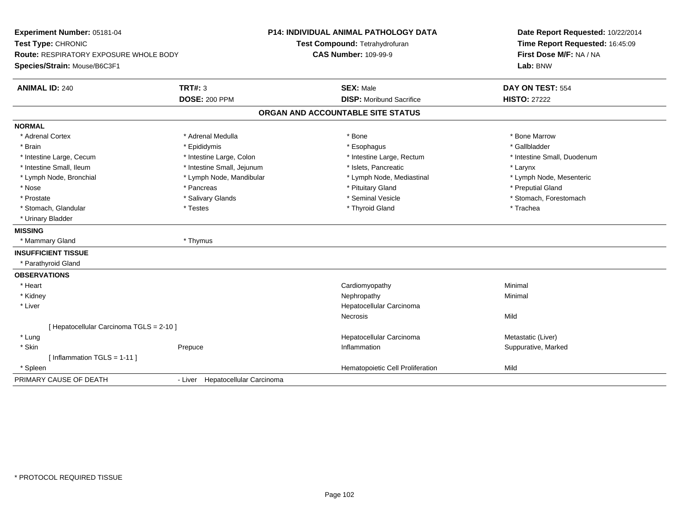| Experiment Number: 05181-04                   |                                  | <b>P14: INDIVIDUAL ANIMAL PATHOLOGY DATA</b> | Date Report Requested: 10/22/2014<br>Time Report Requested: 16:45:09 |
|-----------------------------------------------|----------------------------------|----------------------------------------------|----------------------------------------------------------------------|
| Test Type: CHRONIC                            |                                  | Test Compound: Tetrahydrofuran               |                                                                      |
| <b>Route: RESPIRATORY EXPOSURE WHOLE BODY</b> |                                  | <b>CAS Number: 109-99-9</b>                  | First Dose M/F: NA / NA                                              |
| Species/Strain: Mouse/B6C3F1                  |                                  |                                              | Lab: BNW                                                             |
| <b>ANIMAL ID: 240</b>                         | TRT#: 3                          | <b>SEX: Male</b>                             | DAY ON TEST: 554                                                     |
|                                               | <b>DOSE: 200 PPM</b>             | <b>DISP:</b> Moribund Sacrifice              | <b>HISTO: 27222</b>                                                  |
|                                               |                                  | ORGAN AND ACCOUNTABLE SITE STATUS            |                                                                      |
| <b>NORMAL</b>                                 |                                  |                                              |                                                                      |
| * Adrenal Cortex                              | * Adrenal Medulla                | * Bone                                       | * Bone Marrow                                                        |
| * Brain                                       | * Epididymis                     | * Esophagus                                  | * Gallbladder                                                        |
| * Intestine Large, Cecum                      | * Intestine Large, Colon         | * Intestine Large, Rectum                    | * Intestine Small, Duodenum                                          |
| * Intestine Small, Ileum                      | * Intestine Small, Jejunum       | * Islets, Pancreatic                         | * Larynx                                                             |
| * Lymph Node, Bronchial                       | * Lymph Node, Mandibular         | * Lymph Node, Mediastinal                    | * Lymph Node, Mesenteric                                             |
| * Nose                                        | * Pancreas                       | * Pituitary Gland                            | * Preputial Gland                                                    |
| * Prostate                                    | * Salivary Glands                | * Seminal Vesicle                            | * Stomach, Forestomach                                               |
| * Stomach, Glandular                          | * Testes                         | * Thyroid Gland                              | * Trachea                                                            |
| * Urinary Bladder                             |                                  |                                              |                                                                      |
| <b>MISSING</b>                                |                                  |                                              |                                                                      |
| * Mammary Gland                               | * Thymus                         |                                              |                                                                      |
| <b>INSUFFICIENT TISSUE</b>                    |                                  |                                              |                                                                      |
| * Parathyroid Gland                           |                                  |                                              |                                                                      |
| <b>OBSERVATIONS</b>                           |                                  |                                              |                                                                      |
| * Heart                                       |                                  | Cardiomyopathy                               | Minimal                                                              |
| * Kidney                                      |                                  | Nephropathy                                  | Minimal                                                              |
| * Liver                                       |                                  | Hepatocellular Carcinoma                     |                                                                      |
|                                               |                                  | <b>Necrosis</b>                              | Mild                                                                 |
| [ Hepatocellular Carcinoma TGLS = 2-10 ]      |                                  |                                              |                                                                      |
| * Lung                                        |                                  | Hepatocellular Carcinoma                     | Metastatic (Liver)                                                   |
| * Skin                                        | Prepuce                          | Inflammation                                 | Suppurative, Marked                                                  |
| [Inflammation TGLS = $1-11$ ]                 |                                  |                                              |                                                                      |
| * Spleen                                      |                                  | Hematopoietic Cell Proliferation             | Mild                                                                 |
| PRIMARY CAUSE OF DEATH                        | - Liver Hepatocellular Carcinoma |                                              |                                                                      |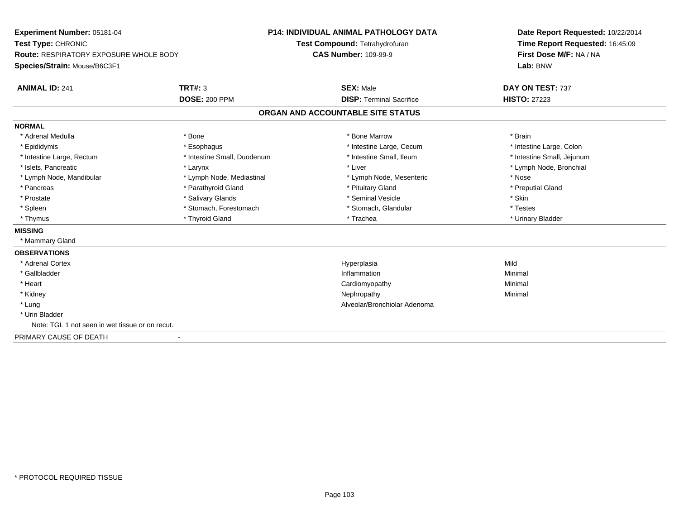**Experiment Number:** 05181-04**Test Type:** CHRONIC **Route:** RESPIRATORY EXPOSURE WHOLE BODY**Species/Strain:** Mouse/B6C3F1**P14: INDIVIDUAL ANIMAL PATHOLOGY DATATest Compound:** Tetrahydrofuran**CAS Number:** 109-99-9**Date Report Requested:** 10/22/2014**Time Report Requested:** 16:45:09**First Dose M/F:** NA / NA**Lab:** BNW**ANIMAL ID:** 241**TRT#:** 3 **SEX:** Male **DAY ON TEST:** 737 **DOSE:** 200 PPM**DISP:** Terminal Sacrifice **HISTO:** 27223 **ORGAN AND ACCOUNTABLE SITE STATUSNORMAL**\* Adrenal Medulla \* \* Annual Medulla \* Brain \* Bone \* \* Bone Marrow \* Bone Marrow \* \* Brain \* Brain \* Brain \* Brain \* Brain \* Brain \* Brain \* Brain \* Brain \* Brain \* Brain \* Brain \* Brain \* Brain \* Brain \* Brain \* Brain \* \* Intestine Large, Colon \* Epididymis \* Intestine Large, Cecum \* Esophagus \* Intestine Large, Cecum \* Intestine Large, Cecum \* Intestine Small, Jejunum \* Intestine Large, Rectum \* Intestine Small, Duodenum \* Intestine Small, Ileum \* Intestine Small, Ileum \* Islets, Pancreatic \* Larynx \* Liver \* Lymph Node, Bronchial \* Lymph Node, Mandibular \* The state of the state of the Mediastinal \* Lymph Node, Mesenteric \* Nose \* Preputial Gland \* Pancreas \* \* Parathyroid Gland \* \* Parathyroid Gland \* \* Pituitary Gland \* \* Preputial Gland \* \* Preputial Gland \* Prostate \* \* Salivary Glands \* \* Salivary Glands \* \* Seminal Vesicle \* \* \* Seminal Yestrich \* \* Skin \* \* Skin \* Testes \* Spleen \* Stomach, Forestomach \* Stomach, Spleen \* Stomach, Glandular \* Testestess \* Stomach, Glandular \* Urinary Bladder \* Thymus \* Thyroid Gland \* Trachea \* Urinary Bladder \* **MISSING** \* Mammary Gland**OBSERVATIONS** \* Adrenal Cortexx and the control of the control of the control of the control of the control of the control of the control of the control of the control of the control of the control of the control of the control of the control of the co a Mild \* Gallbladder**Inflammation Inflammation** n and a basic control of the Minimal \* Heart Cardiomyopathy Minimal \* Kidneyy the control of the control of the control of the control of the control of the control of the control of the control of the control of the control of the control of the control of the control of the control of the contro \* Lung Alveolar/Bronchiolar Adenoma \* Urin Bladder Note: TGL 1 not seen in wet tissue or on recut.PRIMARY CAUSE OF DEATH-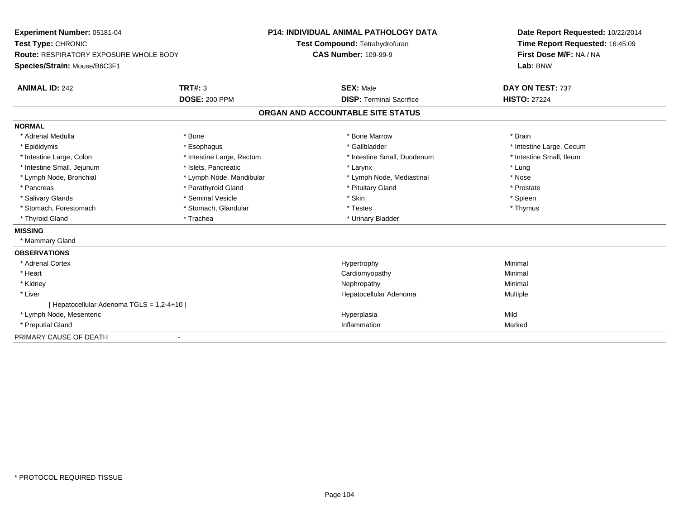| Experiment Number: 05181-04<br>Test Type: CHRONIC |                           | <b>P14: INDIVIDUAL ANIMAL PATHOLOGY DATA</b> | Date Report Requested: 10/22/2014<br>Time Report Requested: 16:45:09 |
|---------------------------------------------------|---------------------------|----------------------------------------------|----------------------------------------------------------------------|
|                                                   |                           | Test Compound: Tetrahydrofuran               |                                                                      |
| <b>Route: RESPIRATORY EXPOSURE WHOLE BODY</b>     |                           | <b>CAS Number: 109-99-9</b>                  | First Dose M/F: NA / NA                                              |
| Species/Strain: Mouse/B6C3F1                      |                           |                                              | Lab: BNW                                                             |
| <b>ANIMAL ID: 242</b>                             | <b>TRT#: 3</b>            | <b>SEX: Male</b>                             | DAY ON TEST: 737                                                     |
|                                                   | <b>DOSE: 200 PPM</b>      | <b>DISP: Terminal Sacrifice</b>              | <b>HISTO: 27224</b>                                                  |
|                                                   |                           | ORGAN AND ACCOUNTABLE SITE STATUS            |                                                                      |
| <b>NORMAL</b>                                     |                           |                                              |                                                                      |
| * Adrenal Medulla                                 | * Bone                    | * Bone Marrow                                | * Brain                                                              |
| * Epididymis                                      | * Esophagus               | * Gallbladder                                | * Intestine Large, Cecum                                             |
| * Intestine Large, Colon                          | * Intestine Large, Rectum | * Intestine Small, Duodenum                  | * Intestine Small, Ileum                                             |
| * Intestine Small, Jejunum                        | * Islets. Pancreatic      | * Larynx                                     | * Lung                                                               |
| * Lymph Node, Bronchial                           | * Lymph Node, Mandibular  | * Lymph Node, Mediastinal                    | * Nose                                                               |
| * Pancreas                                        | * Parathyroid Gland       | * Pituitary Gland                            | * Prostate                                                           |
| * Salivary Glands                                 | * Seminal Vesicle         | * Skin                                       | * Spleen                                                             |
| * Stomach, Forestomach                            | * Stomach, Glandular      | * Testes                                     | * Thymus                                                             |
| * Thyroid Gland                                   | * Trachea                 | * Urinary Bladder                            |                                                                      |
| <b>MISSING</b>                                    |                           |                                              |                                                                      |
| * Mammary Gland                                   |                           |                                              |                                                                      |
| <b>OBSERVATIONS</b>                               |                           |                                              |                                                                      |
| * Adrenal Cortex                                  |                           | Hypertrophy                                  | Minimal                                                              |
| * Heart                                           |                           | Cardiomyopathy                               | Minimal                                                              |
| * Kidney                                          |                           | Nephropathy                                  | Minimal                                                              |
| * Liver                                           |                           | Hepatocellular Adenoma                       | Multiple                                                             |
| [ Hepatocellular Adenoma TGLS = 1,2-4+10 ]        |                           |                                              |                                                                      |
| * Lymph Node, Mesenteric                          |                           | Hyperplasia                                  | Mild                                                                 |
| * Preputial Gland                                 |                           | Inflammation                                 | Marked                                                               |
| PRIMARY CAUSE OF DEATH                            |                           |                                              |                                                                      |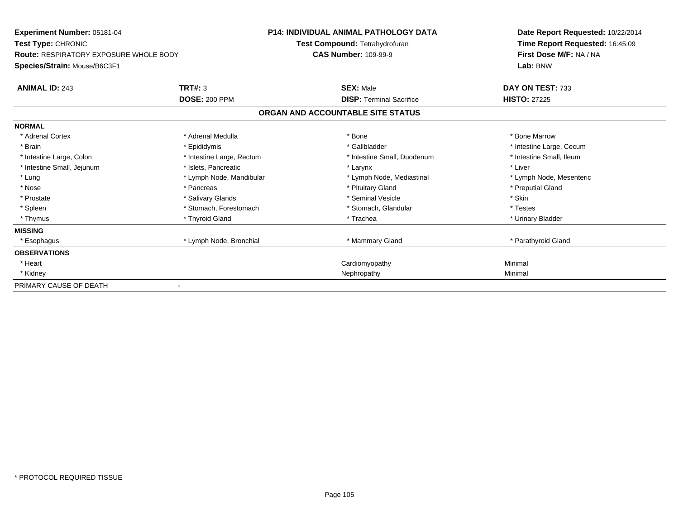| <b>Experiment Number: 05181-04</b>            |                           | <b>P14: INDIVIDUAL ANIMAL PATHOLOGY DATA</b> | Date Report Requested: 10/22/2014 |
|-----------------------------------------------|---------------------------|----------------------------------------------|-----------------------------------|
| Test Type: CHRONIC                            |                           | Test Compound: Tetrahydrofuran               | Time Report Requested: 16:45:09   |
| <b>Route: RESPIRATORY EXPOSURE WHOLE BODY</b> |                           | <b>CAS Number: 109-99-9</b>                  | First Dose M/F: NA / NA           |
| Species/Strain: Mouse/B6C3F1                  |                           |                                              | Lab: BNW                          |
| <b>ANIMAL ID: 243</b>                         | <b>TRT#: 3</b>            | <b>SEX: Male</b>                             | DAY ON TEST: 733                  |
|                                               | <b>DOSE: 200 PPM</b>      | <b>DISP: Terminal Sacrifice</b>              | <b>HISTO: 27225</b>               |
|                                               |                           | ORGAN AND ACCOUNTABLE SITE STATUS            |                                   |
| <b>NORMAL</b>                                 |                           |                                              |                                   |
| * Adrenal Cortex                              | * Adrenal Medulla         | * Bone                                       | * Bone Marrow                     |
| * Brain                                       | * Epididymis              | * Gallbladder                                | * Intestine Large, Cecum          |
| * Intestine Large, Colon                      | * Intestine Large, Rectum | * Intestine Small, Duodenum                  | * Intestine Small, Ileum          |
| * Intestine Small, Jejunum                    | * Islets, Pancreatic      | * Larynx                                     | * Liver                           |
| * Lung                                        | * Lymph Node, Mandibular  | * Lymph Node, Mediastinal                    | * Lymph Node, Mesenteric          |
| * Nose                                        | * Pancreas                | * Pituitary Gland                            | * Preputial Gland                 |
| * Prostate                                    | * Salivary Glands         | * Seminal Vesicle                            | * Skin                            |
| * Spleen                                      | * Stomach, Forestomach    | * Stomach, Glandular                         | * Testes                          |
| * Thymus                                      | * Thyroid Gland           | * Trachea                                    | * Urinary Bladder                 |
| <b>MISSING</b>                                |                           |                                              |                                   |
| * Esophagus                                   | * Lymph Node, Bronchial   | * Mammary Gland                              | * Parathyroid Gland               |
| <b>OBSERVATIONS</b>                           |                           |                                              |                                   |
| * Heart                                       |                           | Cardiomyopathy                               | Minimal                           |
| * Kidney                                      |                           | Nephropathy                                  | Minimal                           |
| PRIMARY CAUSE OF DEATH                        |                           |                                              |                                   |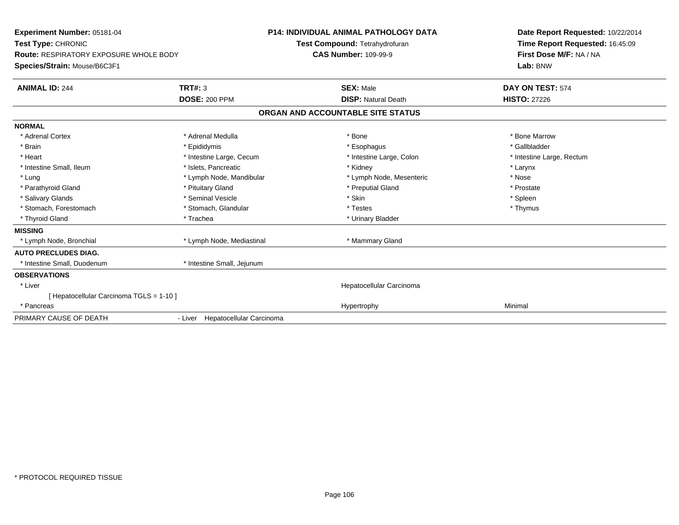| Experiment Number: 05181-04                   |                                  | <b>P14: INDIVIDUAL ANIMAL PATHOLOGY DATA</b> | Date Report Requested: 10/22/2014 |
|-----------------------------------------------|----------------------------------|----------------------------------------------|-----------------------------------|
| Test Type: CHRONIC                            |                                  | Test Compound: Tetrahydrofuran               | Time Report Requested: 16:45:09   |
| <b>Route: RESPIRATORY EXPOSURE WHOLE BODY</b> |                                  | <b>CAS Number: 109-99-9</b>                  | First Dose M/F: NA / NA           |
| Species/Strain: Mouse/B6C3F1                  |                                  |                                              | Lab: BNW                          |
| <b>ANIMAL ID: 244</b>                         | TRT#: 3                          | <b>SEX: Male</b>                             | DAY ON TEST: 574                  |
|                                               | <b>DOSE: 200 PPM</b>             | <b>DISP: Natural Death</b>                   | <b>HISTO: 27226</b>               |
|                                               |                                  | ORGAN AND ACCOUNTABLE SITE STATUS            |                                   |
| <b>NORMAL</b>                                 |                                  |                                              |                                   |
| * Adrenal Cortex                              | * Adrenal Medulla                | * Bone                                       | * Bone Marrow                     |
| * Brain                                       | * Epididymis                     | * Esophagus                                  | * Gallbladder                     |
| * Heart                                       | * Intestine Large, Cecum         | * Intestine Large, Colon                     | * Intestine Large, Rectum         |
| * Intestine Small, Ileum                      | * Islets, Pancreatic             | * Kidney                                     | * Larynx                          |
| * Lung                                        | * Lymph Node, Mandibular         | * Lymph Node, Mesenteric                     | * Nose                            |
| * Parathyroid Gland                           | * Pituitary Gland                | * Preputial Gland                            | * Prostate                        |
| * Salivary Glands                             | * Seminal Vesicle                | * Skin                                       | * Spleen                          |
| * Stomach, Forestomach                        | * Stomach, Glandular             | * Testes                                     | * Thymus                          |
| * Thyroid Gland                               | * Trachea                        | * Urinary Bladder                            |                                   |
| <b>MISSING</b>                                |                                  |                                              |                                   |
| * Lymph Node, Bronchial                       | * Lymph Node, Mediastinal        | * Mammary Gland                              |                                   |
| <b>AUTO PRECLUDES DIAG.</b>                   |                                  |                                              |                                   |
| * Intestine Small, Duodenum                   | * Intestine Small, Jejunum       |                                              |                                   |
| <b>OBSERVATIONS</b>                           |                                  |                                              |                                   |
| * Liver                                       |                                  | Hepatocellular Carcinoma                     |                                   |
| [ Hepatocellular Carcinoma TGLS = 1-10 ]      |                                  |                                              |                                   |
| * Pancreas                                    |                                  | Hypertrophy                                  | Minimal                           |
| PRIMARY CAUSE OF DEATH                        | - Liver Hepatocellular Carcinoma |                                              |                                   |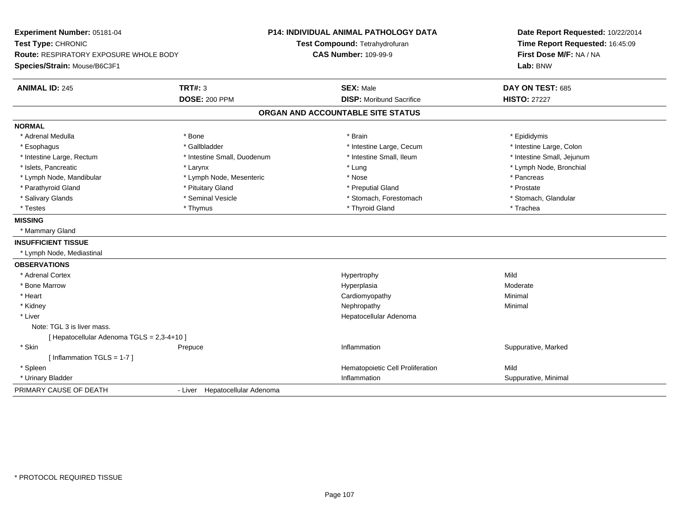| Experiment Number: 05181-04<br>Test Type: CHRONIC<br>Route: RESPIRATORY EXPOSURE WHOLE BODY<br>Species/Strain: Mouse/B6C3F1 |                                        | P14: INDIVIDUAL ANIMAL PATHOLOGY DATA<br>Test Compound: Tetrahydrofuran<br><b>CAS Number: 109-99-9</b> | Date Report Requested: 10/22/2014<br>Time Report Requested: 16:45:09<br>First Dose M/F: NA / NA<br>Lab: BNW |
|-----------------------------------------------------------------------------------------------------------------------------|----------------------------------------|--------------------------------------------------------------------------------------------------------|-------------------------------------------------------------------------------------------------------------|
| <b>ANIMAL ID: 245</b>                                                                                                       | <b>TRT#: 3</b><br><b>DOSE: 200 PPM</b> | <b>SEX: Male</b><br><b>DISP: Moribund Sacrifice</b>                                                    | DAY ON TEST: 685<br><b>HISTO: 27227</b>                                                                     |
|                                                                                                                             |                                        | ORGAN AND ACCOUNTABLE SITE STATUS                                                                      |                                                                                                             |
|                                                                                                                             |                                        |                                                                                                        |                                                                                                             |
| <b>NORMAL</b>                                                                                                               |                                        |                                                                                                        |                                                                                                             |
| * Adrenal Medulla                                                                                                           | * Bone                                 | * Brain                                                                                                | * Epididymis                                                                                                |
| * Esophagus                                                                                                                 | * Gallbladder                          | * Intestine Large, Cecum                                                                               | * Intestine Large, Colon                                                                                    |
| * Intestine Large, Rectum                                                                                                   | * Intestine Small, Duodenum            | * Intestine Small, Ileum                                                                               | * Intestine Small, Jejunum                                                                                  |
| * Islets, Pancreatic                                                                                                        | * Larynx                               | * Lung                                                                                                 | * Lymph Node, Bronchial                                                                                     |
| * Lymph Node, Mandibular                                                                                                    | * Lymph Node, Mesenteric               | * Nose                                                                                                 | * Pancreas                                                                                                  |
| * Parathyroid Gland                                                                                                         | * Pituitary Gland                      | * Preputial Gland                                                                                      | * Prostate                                                                                                  |
| * Salivary Glands                                                                                                           | * Seminal Vesicle                      | * Stomach, Forestomach                                                                                 | * Stomach, Glandular                                                                                        |
| * Testes                                                                                                                    | * Thymus                               | * Thyroid Gland                                                                                        | * Trachea                                                                                                   |
| <b>MISSING</b>                                                                                                              |                                        |                                                                                                        |                                                                                                             |
| * Mammary Gland                                                                                                             |                                        |                                                                                                        |                                                                                                             |
| <b>INSUFFICIENT TISSUE</b>                                                                                                  |                                        |                                                                                                        |                                                                                                             |
| * Lymph Node, Mediastinal                                                                                                   |                                        |                                                                                                        |                                                                                                             |
| <b>OBSERVATIONS</b>                                                                                                         |                                        |                                                                                                        |                                                                                                             |
| * Adrenal Cortex                                                                                                            |                                        | Hypertrophy                                                                                            | Mild                                                                                                        |
| * Bone Marrow                                                                                                               |                                        | Hyperplasia                                                                                            | Moderate                                                                                                    |
| * Heart                                                                                                                     |                                        | Cardiomyopathy                                                                                         | Minimal                                                                                                     |
| * Kidney                                                                                                                    |                                        | Nephropathy                                                                                            | Minimal                                                                                                     |
| * Liver                                                                                                                     |                                        | Hepatocellular Adenoma                                                                                 |                                                                                                             |
| Note: TGL 3 is liver mass.                                                                                                  |                                        |                                                                                                        |                                                                                                             |
| [ Hepatocellular Adenoma TGLS = 2,3-4+10 ]                                                                                  |                                        |                                                                                                        |                                                                                                             |
| * Skin                                                                                                                      | Prepuce                                | Inflammation                                                                                           | Suppurative, Marked                                                                                         |
| [Inflammation $TGLS = 1-7$ ]                                                                                                |                                        |                                                                                                        |                                                                                                             |
| * Spleen                                                                                                                    |                                        | Hematopoietic Cell Proliferation                                                                       | Mild                                                                                                        |
| * Urinary Bladder                                                                                                           |                                        | Inflammation                                                                                           | Suppurative, Minimal                                                                                        |
| PRIMARY CAUSE OF DEATH                                                                                                      | - Liver Hepatocellular Adenoma         |                                                                                                        |                                                                                                             |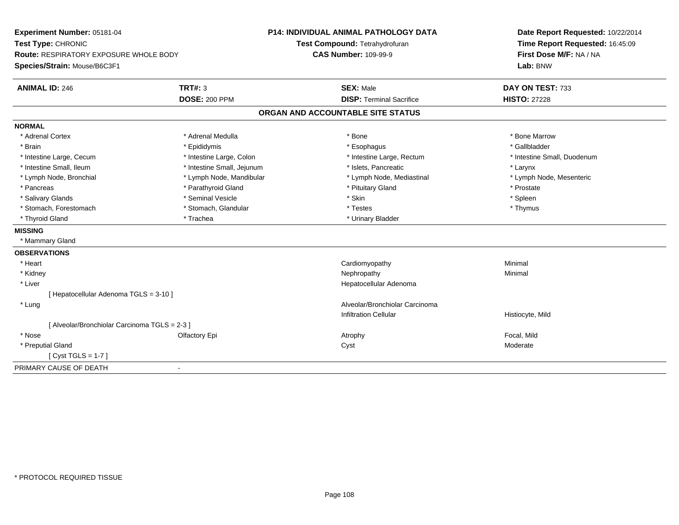| Experiment Number: 05181-04<br>Test Type: CHRONIC<br>Route: RESPIRATORY EXPOSURE WHOLE BODY |                            | <b>P14: INDIVIDUAL ANIMAL PATHOLOGY DATA</b> | Date Report Requested: 10/22/2014<br>Time Report Requested: 16:45:09 |
|---------------------------------------------------------------------------------------------|----------------------------|----------------------------------------------|----------------------------------------------------------------------|
|                                                                                             |                            | Test Compound: Tetrahydrofuran               |                                                                      |
|                                                                                             |                            | <b>CAS Number: 109-99-9</b>                  | First Dose M/F: NA / NA                                              |
| Species/Strain: Mouse/B6C3F1                                                                |                            |                                              | Lab: BNW                                                             |
| <b>ANIMAL ID: 246</b>                                                                       | <b>TRT#: 3</b>             | <b>SEX: Male</b>                             | DAY ON TEST: 733                                                     |
|                                                                                             | <b>DOSE: 200 PPM</b>       | <b>DISP: Terminal Sacrifice</b>              | <b>HISTO: 27228</b>                                                  |
|                                                                                             |                            | ORGAN AND ACCOUNTABLE SITE STATUS            |                                                                      |
| <b>NORMAL</b>                                                                               |                            |                                              |                                                                      |
| * Adrenal Cortex                                                                            | * Adrenal Medulla          | * Bone                                       | * Bone Marrow                                                        |
| * Brain                                                                                     | * Epididymis               | * Esophagus                                  | * Gallbladder                                                        |
| * Intestine Large, Cecum                                                                    | * Intestine Large, Colon   | * Intestine Large, Rectum                    | * Intestine Small, Duodenum                                          |
| * Intestine Small, Ileum                                                                    | * Intestine Small, Jejunum | * Islets, Pancreatic                         | * Larynx                                                             |
| * Lymph Node, Bronchial                                                                     | * Lymph Node, Mandibular   | * Lymph Node, Mediastinal                    | * Lymph Node, Mesenteric                                             |
| * Pancreas                                                                                  | * Parathyroid Gland        | * Pituitary Gland                            | * Prostate                                                           |
| * Salivary Glands                                                                           | * Seminal Vesicle          | * Skin                                       | * Spleen                                                             |
| * Stomach, Forestomach                                                                      | * Stomach, Glandular       | * Testes                                     | * Thymus                                                             |
| * Thyroid Gland                                                                             | * Trachea                  | * Urinary Bladder                            |                                                                      |
| <b>MISSING</b>                                                                              |                            |                                              |                                                                      |
| * Mammary Gland                                                                             |                            |                                              |                                                                      |
| <b>OBSERVATIONS</b>                                                                         |                            |                                              |                                                                      |
| * Heart                                                                                     |                            | Cardiomyopathy                               | Minimal                                                              |
| * Kidney                                                                                    |                            | Nephropathy                                  | Minimal                                                              |
| * Liver                                                                                     |                            | Hepatocellular Adenoma                       |                                                                      |
| [ Hepatocellular Adenoma TGLS = 3-10 ]                                                      |                            |                                              |                                                                      |
| * Lung                                                                                      |                            | Alveolar/Bronchiolar Carcinoma               |                                                                      |
|                                                                                             |                            | <b>Infiltration Cellular</b>                 | Histiocyte, Mild                                                     |
| [ Alveolar/Bronchiolar Carcinoma TGLS = 2-3 ]                                               |                            |                                              |                                                                      |
| * Nose                                                                                      | Olfactory Epi              | Atrophy                                      | Focal, Mild                                                          |
| * Preputial Gland                                                                           |                            | Cyst                                         | Moderate                                                             |
| [ $Cyst TGLS = 1-7$ ]                                                                       |                            |                                              |                                                                      |
| PRIMARY CAUSE OF DEATH                                                                      |                            |                                              |                                                                      |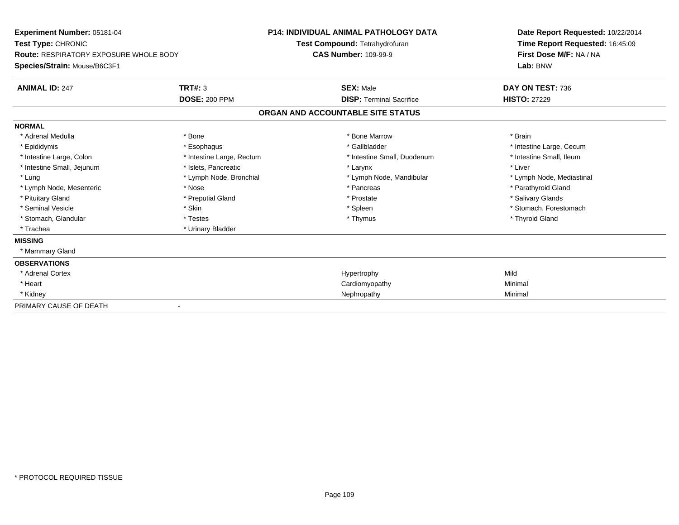| <b>Experiment Number: 05181-04</b><br>Test Type: CHRONIC<br>Route: RESPIRATORY EXPOSURE WHOLE BODY<br>Species/Strain: Mouse/B6C3F1 |                           | <b>P14: INDIVIDUAL ANIMAL PATHOLOGY DATA</b><br>Test Compound: Tetrahydrofuran<br><b>CAS Number: 109-99-9</b> |                                 | Date Report Requested: 10/22/2014<br>Time Report Requested: 16:45:09<br>First Dose M/F: NA / NA<br>Lab: BNW |  |
|------------------------------------------------------------------------------------------------------------------------------------|---------------------------|---------------------------------------------------------------------------------------------------------------|---------------------------------|-------------------------------------------------------------------------------------------------------------|--|
| <b>ANIMAL ID: 247</b>                                                                                                              | TRT#: 3                   |                                                                                                               | <b>SEX: Male</b>                | DAY ON TEST: 736                                                                                            |  |
|                                                                                                                                    | <b>DOSE: 200 PPM</b>      |                                                                                                               | <b>DISP: Terminal Sacrifice</b> | <b>HISTO: 27229</b>                                                                                         |  |
|                                                                                                                                    |                           | ORGAN AND ACCOUNTABLE SITE STATUS                                                                             |                                 |                                                                                                             |  |
| <b>NORMAL</b>                                                                                                                      |                           |                                                                                                               |                                 |                                                                                                             |  |
| * Adrenal Medulla                                                                                                                  | * Bone                    |                                                                                                               | * Bone Marrow                   | * Brain                                                                                                     |  |
| * Epididymis                                                                                                                       | * Esophagus               |                                                                                                               | * Gallbladder                   | * Intestine Large, Cecum                                                                                    |  |
| * Intestine Large, Colon                                                                                                           | * Intestine Large, Rectum |                                                                                                               | * Intestine Small, Duodenum     | * Intestine Small, Ileum                                                                                    |  |
| * Intestine Small, Jejunum                                                                                                         | * Islets, Pancreatic      |                                                                                                               | * Larynx                        | * Liver                                                                                                     |  |
| * Lung                                                                                                                             | * Lymph Node, Bronchial   |                                                                                                               | * Lymph Node, Mandibular        | * Lymph Node, Mediastinal                                                                                   |  |
| * Lymph Node, Mesenteric                                                                                                           | * Nose                    |                                                                                                               | * Pancreas                      | * Parathyroid Gland                                                                                         |  |
| * Pituitary Gland                                                                                                                  | * Preputial Gland         |                                                                                                               | * Prostate                      | * Salivary Glands                                                                                           |  |
| * Seminal Vesicle                                                                                                                  | * Skin                    |                                                                                                               | * Spleen                        | * Stomach, Forestomach                                                                                      |  |
| * Stomach, Glandular                                                                                                               | * Testes                  |                                                                                                               | * Thymus                        | * Thyroid Gland                                                                                             |  |
| * Trachea                                                                                                                          | * Urinary Bladder         |                                                                                                               |                                 |                                                                                                             |  |
| <b>MISSING</b>                                                                                                                     |                           |                                                                                                               |                                 |                                                                                                             |  |
| * Mammary Gland                                                                                                                    |                           |                                                                                                               |                                 |                                                                                                             |  |
| <b>OBSERVATIONS</b>                                                                                                                |                           |                                                                                                               |                                 |                                                                                                             |  |
| * Adrenal Cortex                                                                                                                   |                           |                                                                                                               | Hypertrophy                     | Mild                                                                                                        |  |
| * Heart                                                                                                                            |                           |                                                                                                               | Cardiomyopathy                  | Minimal                                                                                                     |  |
| * Kidney                                                                                                                           |                           |                                                                                                               | Nephropathy                     | Minimal                                                                                                     |  |
| PRIMARY CAUSE OF DEATH                                                                                                             |                           |                                                                                                               |                                 |                                                                                                             |  |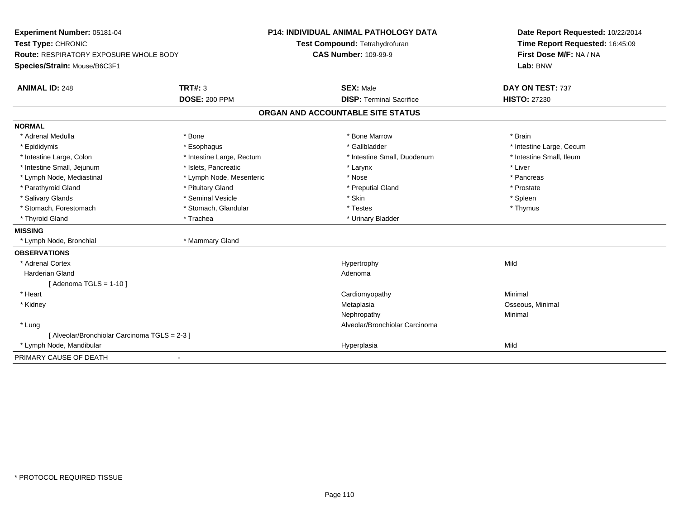| Experiment Number: 05181-04                   |                           | P14: INDIVIDUAL ANIMAL PATHOLOGY DATA | Date Report Requested: 10/22/2014 |  |
|-----------------------------------------------|---------------------------|---------------------------------------|-----------------------------------|--|
| Test Type: CHRONIC                            |                           | Test Compound: Tetrahydrofuran        | Time Report Requested: 16:45:09   |  |
| <b>Route: RESPIRATORY EXPOSURE WHOLE BODY</b> |                           | <b>CAS Number: 109-99-9</b>           | First Dose M/F: NA / NA           |  |
| Species/Strain: Mouse/B6C3F1                  |                           |                                       | Lab: BNW                          |  |
| <b>ANIMAL ID: 248</b>                         | <b>TRT#: 3</b>            | <b>SEX: Male</b>                      | DAY ON TEST: 737                  |  |
|                                               | <b>DOSE: 200 PPM</b>      | <b>DISP: Terminal Sacrifice</b>       | <b>HISTO: 27230</b>               |  |
|                                               |                           | ORGAN AND ACCOUNTABLE SITE STATUS     |                                   |  |
| <b>NORMAL</b>                                 |                           |                                       |                                   |  |
| * Adrenal Medulla                             | * Bone                    | * Bone Marrow                         | * Brain                           |  |
| * Epididymis                                  | * Esophagus               | * Gallbladder                         | * Intestine Large, Cecum          |  |
| * Intestine Large, Colon                      | * Intestine Large, Rectum | * Intestine Small, Duodenum           | * Intestine Small, Ileum          |  |
| * Intestine Small, Jejunum                    | * Islets, Pancreatic      | * Larynx                              | * Liver                           |  |
| * Lymph Node, Mediastinal                     | * Lymph Node, Mesenteric  | * Nose                                | * Pancreas                        |  |
| * Parathyroid Gland                           | * Pituitary Gland         | * Preputial Gland                     | * Prostate                        |  |
| * Salivary Glands                             | * Seminal Vesicle         | * Skin                                | * Spleen                          |  |
| * Stomach, Forestomach                        | * Stomach, Glandular      | * Testes                              | * Thymus                          |  |
| * Thyroid Gland                               | * Trachea                 | * Urinary Bladder                     |                                   |  |
| <b>MISSING</b>                                |                           |                                       |                                   |  |
| * Lymph Node, Bronchial                       | * Mammary Gland           |                                       |                                   |  |
| <b>OBSERVATIONS</b>                           |                           |                                       |                                   |  |
| * Adrenal Cortex                              |                           | Hypertrophy                           | Mild                              |  |
| <b>Harderian Gland</b>                        |                           | Adenoma                               |                                   |  |
| [Adenoma TGLS = $1-10$ ]                      |                           |                                       |                                   |  |
| * Heart                                       |                           | Cardiomyopathy                        | Minimal                           |  |
| * Kidney                                      |                           | Metaplasia                            | Osseous, Minimal                  |  |
|                                               |                           | Nephropathy                           | Minimal                           |  |
| * Lung                                        |                           | Alveolar/Bronchiolar Carcinoma        |                                   |  |
| [ Alveolar/Bronchiolar Carcinoma TGLS = 2-3 ] |                           |                                       |                                   |  |
| * Lymph Node, Mandibular                      |                           | Hyperplasia                           | Mild                              |  |
| PRIMARY CAUSE OF DEATH                        | $\overline{\phantom{0}}$  |                                       |                                   |  |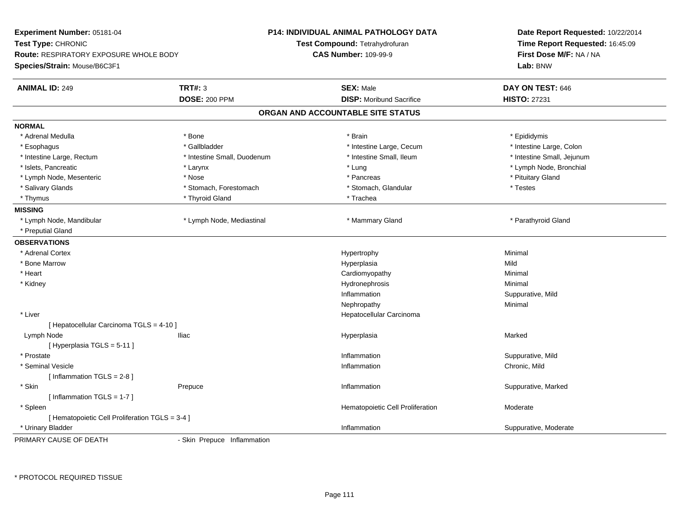| Experiment Number: 05181-04<br>Test Type: CHRONIC<br><b>Route: RESPIRATORY EXPOSURE WHOLE BODY</b><br>Species/Strain: Mouse/B6C3F1 |                             | <b>P14: INDIVIDUAL ANIMAL PATHOLOGY DATA</b><br>Test Compound: Tetrahydrofuran<br><b>CAS Number: 109-99-9</b> | Date Report Requested: 10/22/2014<br>Time Report Requested: 16:45:09<br>First Dose M/F: NA / NA<br>Lab: BNW |  |
|------------------------------------------------------------------------------------------------------------------------------------|-----------------------------|---------------------------------------------------------------------------------------------------------------|-------------------------------------------------------------------------------------------------------------|--|
| <b>ANIMAL ID: 249</b>                                                                                                              | <b>TRT#: 3</b>              | <b>SEX: Male</b>                                                                                              | DAY ON TEST: 646                                                                                            |  |
|                                                                                                                                    | <b>DOSE: 200 PPM</b>        | <b>DISP:</b> Moribund Sacrifice                                                                               | <b>HISTO: 27231</b>                                                                                         |  |
|                                                                                                                                    |                             | ORGAN AND ACCOUNTABLE SITE STATUS                                                                             |                                                                                                             |  |
| <b>NORMAL</b>                                                                                                                      |                             |                                                                                                               |                                                                                                             |  |
| * Adrenal Medulla                                                                                                                  | * Bone                      | * Brain                                                                                                       | * Epididymis                                                                                                |  |
| * Esophagus                                                                                                                        | * Gallbladder               | * Intestine Large, Cecum                                                                                      | * Intestine Large, Colon                                                                                    |  |
| * Intestine Large, Rectum                                                                                                          | * Intestine Small, Duodenum | * Intestine Small, Ileum                                                                                      | * Intestine Small, Jejunum                                                                                  |  |
| * Islets, Pancreatic                                                                                                               | * Larynx                    | * Lung                                                                                                        | * Lymph Node, Bronchial                                                                                     |  |
| * Lymph Node, Mesenteric                                                                                                           | * Nose                      | * Pancreas                                                                                                    | * Pituitary Gland                                                                                           |  |
| * Salivary Glands                                                                                                                  | * Stomach, Forestomach      | * Stomach, Glandular                                                                                          | * Testes                                                                                                    |  |
| * Thymus                                                                                                                           | * Thyroid Gland             | * Trachea                                                                                                     |                                                                                                             |  |
| <b>MISSING</b>                                                                                                                     |                             |                                                                                                               |                                                                                                             |  |
| * Lymph Node, Mandibular                                                                                                           | * Lymph Node, Mediastinal   | * Mammary Gland                                                                                               | * Parathyroid Gland                                                                                         |  |
| * Preputial Gland                                                                                                                  |                             |                                                                                                               |                                                                                                             |  |
| <b>OBSERVATIONS</b>                                                                                                                |                             |                                                                                                               |                                                                                                             |  |
| * Adrenal Cortex                                                                                                                   |                             | Hypertrophy                                                                                                   | Minimal                                                                                                     |  |
| * Bone Marrow                                                                                                                      |                             | Hyperplasia                                                                                                   | Mild                                                                                                        |  |
| * Heart                                                                                                                            |                             | Cardiomyopathy                                                                                                | Minimal                                                                                                     |  |
| * Kidney                                                                                                                           |                             | Hydronephrosis                                                                                                | Minimal                                                                                                     |  |
|                                                                                                                                    |                             | Inflammation                                                                                                  | Suppurative, Mild                                                                                           |  |
|                                                                                                                                    |                             | Nephropathy                                                                                                   | Minimal                                                                                                     |  |
| * Liver                                                                                                                            |                             | Hepatocellular Carcinoma                                                                                      |                                                                                                             |  |
| [ Hepatocellular Carcinoma TGLS = 4-10 ]                                                                                           |                             |                                                                                                               |                                                                                                             |  |
| Lymph Node                                                                                                                         | <b>Iliac</b>                | Hyperplasia                                                                                                   | Marked                                                                                                      |  |
| [ Hyperplasia TGLS = 5-11 ]                                                                                                        |                             |                                                                                                               |                                                                                                             |  |
| * Prostate                                                                                                                         |                             | Inflammation                                                                                                  | Suppurative, Mild                                                                                           |  |
| * Seminal Vesicle                                                                                                                  |                             | Inflammation                                                                                                  | Chronic, Mild                                                                                               |  |
| [Inflammation TGLS = $2-8$ ]                                                                                                       |                             |                                                                                                               |                                                                                                             |  |
| * Skin                                                                                                                             | Prepuce                     | Inflammation                                                                                                  | Suppurative, Marked                                                                                         |  |
| [Inflammation TGLS = 1-7]                                                                                                          |                             |                                                                                                               |                                                                                                             |  |
| * Spleen                                                                                                                           |                             | Hematopoietic Cell Proliferation                                                                              | Moderate                                                                                                    |  |
| [ Hematopoietic Cell Proliferation TGLS = 3-4 ]                                                                                    |                             |                                                                                                               |                                                                                                             |  |
| * Urinary Bladder                                                                                                                  |                             | Inflammation                                                                                                  | Suppurative, Moderate                                                                                       |  |
| PRIMARY CAUSE OF DEATH                                                                                                             | - Skin Prepuce Inflammation |                                                                                                               |                                                                                                             |  |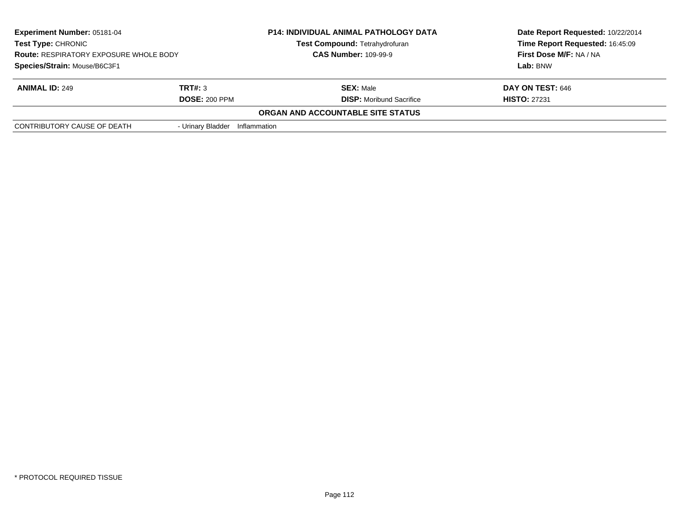| <b>Experiment Number: 05181-04</b><br><b>Test Type: CHRONIC</b><br><b>Route: RESPIRATORY EXPOSURE WHOLE BODY</b> |                      | <b>P14: INDIVIDUAL ANIMAL PATHOLOGY DATA</b> | Date Report Requested: 10/22/2014 |
|------------------------------------------------------------------------------------------------------------------|----------------------|----------------------------------------------|-----------------------------------|
|                                                                                                                  |                      | <b>Test Compound: Tetrahydrofuran</b>        | Time Report Requested: 16:45:09   |
|                                                                                                                  |                      | <b>CAS Number: 109-99-9</b>                  | First Dose M/F: NA / NA           |
| Species/Strain: Mouse/B6C3F1                                                                                     |                      |                                              | Lab: BNW                          |
| <b>ANIMAL ID: 249</b>                                                                                            | TRT#: 3              | <b>SEX: Male</b>                             | DAY ON TEST: 646                  |
|                                                                                                                  | <b>DOSE: 200 PPM</b> | <b>DISP:</b> Moribund Sacrifice              | <b>HISTO: 27231</b>               |
|                                                                                                                  |                      | ORGAN AND ACCOUNTABLE SITE STATUS            |                                   |
| CONTRIBUTORY CAUSE OF DEATH                                                                                      | - Urinary Bladder    | Inflammation                                 |                                   |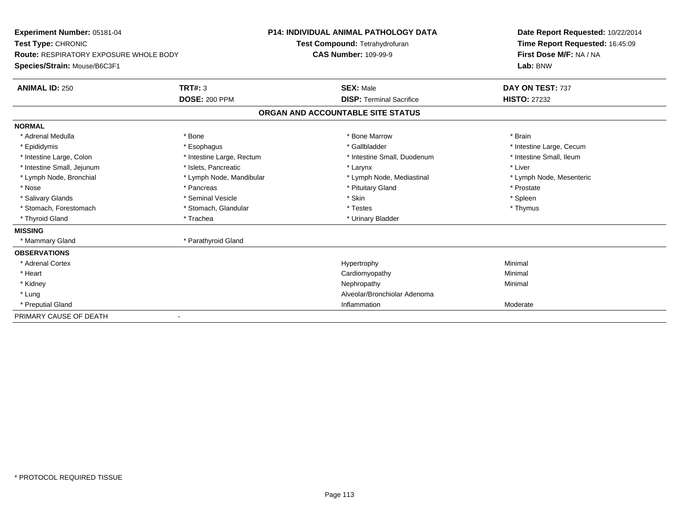| Experiment Number: 05181-04<br>Test Type: CHRONIC<br>Route: RESPIRATORY EXPOSURE WHOLE BODY<br>Species/Strain: Mouse/B6C3F1<br><b>TRT#: 3</b><br><b>ANIMAL ID: 250</b> |                           | <b>P14: INDIVIDUAL ANIMAL PATHOLOGY DATA</b><br>Test Compound: Tetrahydrofuran<br><b>CAS Number: 109-99-9</b><br><b>SEX: Male</b> | Date Report Requested: 10/22/2014<br>Time Report Requested: 16:45:09<br>First Dose M/F: NA / NA<br>Lab: BNW<br>DAY ON TEST: 737 |
|------------------------------------------------------------------------------------------------------------------------------------------------------------------------|---------------------------|-----------------------------------------------------------------------------------------------------------------------------------|---------------------------------------------------------------------------------------------------------------------------------|
|                                                                                                                                                                        | <b>DOSE: 200 PPM</b>      | <b>DISP: Terminal Sacrifice</b>                                                                                                   | <b>HISTO: 27232</b>                                                                                                             |
|                                                                                                                                                                        |                           | ORGAN AND ACCOUNTABLE SITE STATUS                                                                                                 |                                                                                                                                 |
| <b>NORMAL</b>                                                                                                                                                          |                           |                                                                                                                                   |                                                                                                                                 |
| * Adrenal Medulla                                                                                                                                                      | * Bone                    | * Bone Marrow                                                                                                                     | * Brain                                                                                                                         |
| * Epididymis                                                                                                                                                           | * Esophagus               | * Gallbladder                                                                                                                     | * Intestine Large, Cecum                                                                                                        |
| * Intestine Large, Colon                                                                                                                                               | * Intestine Large, Rectum | * Intestine Small, Duodenum                                                                                                       | * Intestine Small, Ileum                                                                                                        |
| * Intestine Small, Jejunum                                                                                                                                             | * Islets, Pancreatic      | * Larynx                                                                                                                          | * Liver                                                                                                                         |
| * Lymph Node, Bronchial                                                                                                                                                | * Lymph Node, Mandibular  | * Lymph Node, Mediastinal                                                                                                         | * Lymph Node, Mesenteric                                                                                                        |
| * Nose                                                                                                                                                                 | * Pancreas                | * Pituitary Gland                                                                                                                 | * Prostate                                                                                                                      |
| * Salivary Glands                                                                                                                                                      | * Seminal Vesicle         | * Skin                                                                                                                            | * Spleen                                                                                                                        |
| * Stomach, Forestomach                                                                                                                                                 | * Stomach, Glandular      | * Testes                                                                                                                          | * Thymus                                                                                                                        |
| * Thyroid Gland                                                                                                                                                        | * Trachea                 | * Urinary Bladder                                                                                                                 |                                                                                                                                 |
| <b>MISSING</b>                                                                                                                                                         |                           |                                                                                                                                   |                                                                                                                                 |
| * Mammary Gland                                                                                                                                                        | * Parathyroid Gland       |                                                                                                                                   |                                                                                                                                 |
| <b>OBSERVATIONS</b>                                                                                                                                                    |                           |                                                                                                                                   |                                                                                                                                 |
| * Adrenal Cortex                                                                                                                                                       |                           | Hypertrophy                                                                                                                       | Minimal                                                                                                                         |
| * Heart                                                                                                                                                                |                           | Cardiomyopathy                                                                                                                    | Minimal                                                                                                                         |
| * Kidney                                                                                                                                                               |                           | Nephropathy                                                                                                                       | Minimal                                                                                                                         |
| * Lung                                                                                                                                                                 |                           | Alveolar/Bronchiolar Adenoma                                                                                                      |                                                                                                                                 |
| * Preputial Gland                                                                                                                                                      |                           | Inflammation                                                                                                                      | Moderate                                                                                                                        |
| PRIMARY CAUSE OF DEATH                                                                                                                                                 |                           |                                                                                                                                   |                                                                                                                                 |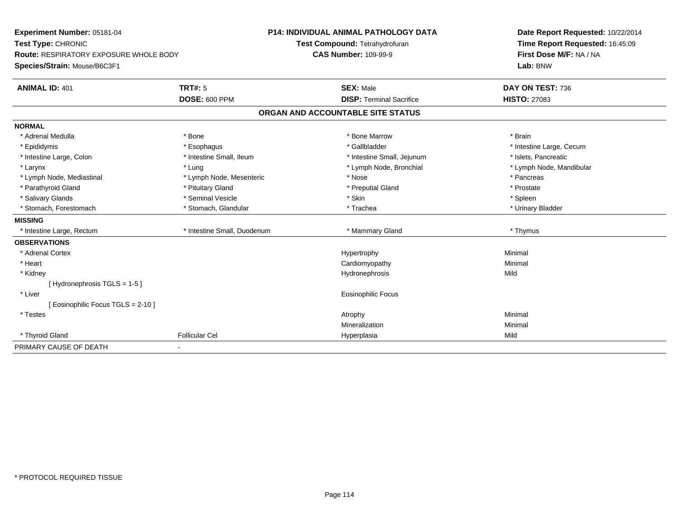| Experiment Number: 05181-04                   |                             | <b>P14: INDIVIDUAL ANIMAL PATHOLOGY DATA</b> | Date Report Requested: 10/22/2014 |  |
|-----------------------------------------------|-----------------------------|----------------------------------------------|-----------------------------------|--|
| Test Type: CHRONIC                            |                             | Test Compound: Tetrahydrofuran               | Time Report Requested: 16:45:09   |  |
| <b>Route: RESPIRATORY EXPOSURE WHOLE BODY</b> |                             | <b>CAS Number: 109-99-9</b>                  | First Dose M/F: NA / NA           |  |
| Species/Strain: Mouse/B6C3F1                  |                             |                                              | Lab: BNW                          |  |
| <b>ANIMAL ID: 401</b>                         | <b>TRT#: 5</b>              | <b>SEX: Male</b>                             | DAY ON TEST: 736                  |  |
|                                               | <b>DOSE: 600 PPM</b>        | <b>DISP: Terminal Sacrifice</b>              | <b>HISTO: 27083</b>               |  |
|                                               |                             | ORGAN AND ACCOUNTABLE SITE STATUS            |                                   |  |
| <b>NORMAL</b>                                 |                             |                                              |                                   |  |
| * Adrenal Medulla                             | * Bone                      | * Bone Marrow                                | * Brain                           |  |
| * Epididymis                                  | * Esophagus                 | * Gallbladder                                | * Intestine Large, Cecum          |  |
| * Intestine Large, Colon                      | * Intestine Small, Ileum    | * Intestine Small, Jejunum                   | * Islets, Pancreatic              |  |
| * Larynx                                      | * Lung                      | * Lymph Node, Bronchial                      | * Lymph Node, Mandibular          |  |
| * Lymph Node, Mediastinal                     | * Lymph Node, Mesenteric    | * Nose                                       | * Pancreas                        |  |
| * Parathyroid Gland                           | * Pituitary Gland           | * Preputial Gland                            | * Prostate                        |  |
| * Salivary Glands                             | * Seminal Vesicle           | * Skin                                       | * Spleen                          |  |
| * Stomach. Forestomach                        | * Stomach, Glandular        | * Trachea                                    | * Urinary Bladder                 |  |
| <b>MISSING</b>                                |                             |                                              |                                   |  |
| * Intestine Large, Rectum                     | * Intestine Small, Duodenum | * Mammary Gland                              | * Thymus                          |  |
| <b>OBSERVATIONS</b>                           |                             |                                              |                                   |  |
| * Adrenal Cortex                              |                             | Hypertrophy                                  | Minimal                           |  |
| * Heart                                       |                             | Cardiomyopathy                               | Minimal                           |  |
| * Kidney                                      |                             | Hydronephrosis                               | Mild                              |  |
| [Hydronephrosis TGLS = 1-5]                   |                             |                                              |                                   |  |
| * Liver                                       |                             | Eosinophilic Focus                           |                                   |  |
| [Eosinophilic Focus TGLS = 2-10]              |                             |                                              |                                   |  |
| * Testes                                      |                             | Atrophy                                      | Minimal                           |  |
|                                               |                             | Mineralization                               | Minimal                           |  |
| * Thyroid Gland                               | <b>Follicular Cel</b>       | Hyperplasia                                  | Mild                              |  |
| PRIMARY CAUSE OF DEATH                        |                             |                                              |                                   |  |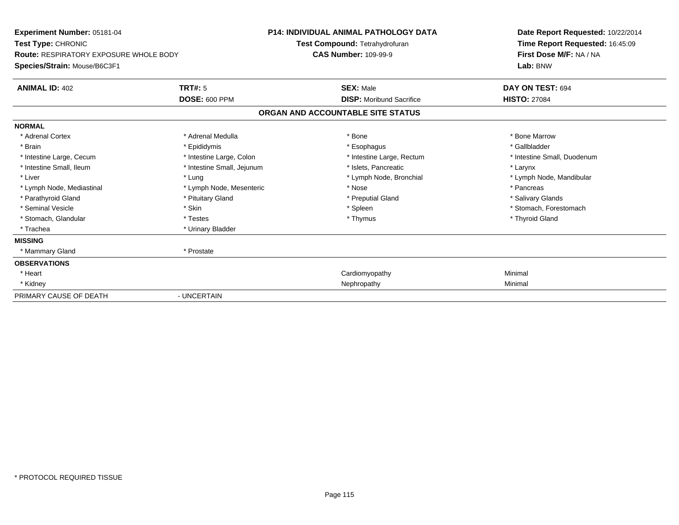| Experiment Number: 05181-04<br>Test Type: CHRONIC<br><b>Route: RESPIRATORY EXPOSURE WHOLE BODY</b><br>Species/Strain: Mouse/B6C3F1 | <b>P14: INDIVIDUAL ANIMAL PATHOLOGY DATA</b><br>Test Compound: Tetrahydrofuran<br><b>CAS Number: 109-99-9</b> |                                   | Date Report Requested: 10/22/2014<br>Time Report Requested: 16:45:09<br>First Dose M/F: NA / NA<br>Lab: BNW |
|------------------------------------------------------------------------------------------------------------------------------------|---------------------------------------------------------------------------------------------------------------|-----------------------------------|-------------------------------------------------------------------------------------------------------------|
|                                                                                                                                    |                                                                                                               |                                   |                                                                                                             |
| <b>ANIMAL ID: 402</b>                                                                                                              | TRT#: 5                                                                                                       | <b>SEX: Male</b>                  | DAY ON TEST: 694                                                                                            |
|                                                                                                                                    | <b>DOSE: 600 PPM</b>                                                                                          | <b>DISP:</b> Moribund Sacrifice   | <b>HISTO: 27084</b>                                                                                         |
|                                                                                                                                    |                                                                                                               | ORGAN AND ACCOUNTABLE SITE STATUS |                                                                                                             |
| <b>NORMAL</b>                                                                                                                      |                                                                                                               |                                   |                                                                                                             |
| * Adrenal Cortex                                                                                                                   | * Adrenal Medulla                                                                                             | * Bone                            | * Bone Marrow                                                                                               |
| * Brain                                                                                                                            | * Epididymis                                                                                                  | * Esophagus                       | * Gallbladder                                                                                               |
| * Intestine Large, Cecum                                                                                                           | * Intestine Large, Colon                                                                                      | * Intestine Large, Rectum         | * Intestine Small, Duodenum                                                                                 |
| * Intestine Small. Ileum                                                                                                           | * Intestine Small, Jejunum                                                                                    | * Islets. Pancreatic              | * Larynx                                                                                                    |
| * Liver                                                                                                                            | * Lung                                                                                                        | * Lymph Node, Bronchial           | * Lymph Node, Mandibular                                                                                    |
| * Lymph Node, Mediastinal                                                                                                          | * Lymph Node, Mesenteric                                                                                      | * Nose                            | * Pancreas                                                                                                  |
| * Parathyroid Gland                                                                                                                | * Pituitary Gland                                                                                             | * Preputial Gland                 | * Salivary Glands                                                                                           |
| * Seminal Vesicle                                                                                                                  | * Skin                                                                                                        | * Spleen                          | * Stomach, Forestomach                                                                                      |
| * Stomach, Glandular                                                                                                               | * Testes                                                                                                      | * Thymus                          | * Thyroid Gland                                                                                             |
| * Trachea                                                                                                                          | * Urinary Bladder                                                                                             |                                   |                                                                                                             |
| <b>MISSING</b>                                                                                                                     |                                                                                                               |                                   |                                                                                                             |
| * Mammary Gland                                                                                                                    | * Prostate                                                                                                    |                                   |                                                                                                             |
| <b>OBSERVATIONS</b>                                                                                                                |                                                                                                               |                                   |                                                                                                             |
| * Heart                                                                                                                            |                                                                                                               | Cardiomyopathy                    | Minimal                                                                                                     |
| * Kidney                                                                                                                           |                                                                                                               | Nephropathy                       | Minimal                                                                                                     |
| PRIMARY CAUSE OF DEATH                                                                                                             | - UNCERTAIN                                                                                                   |                                   |                                                                                                             |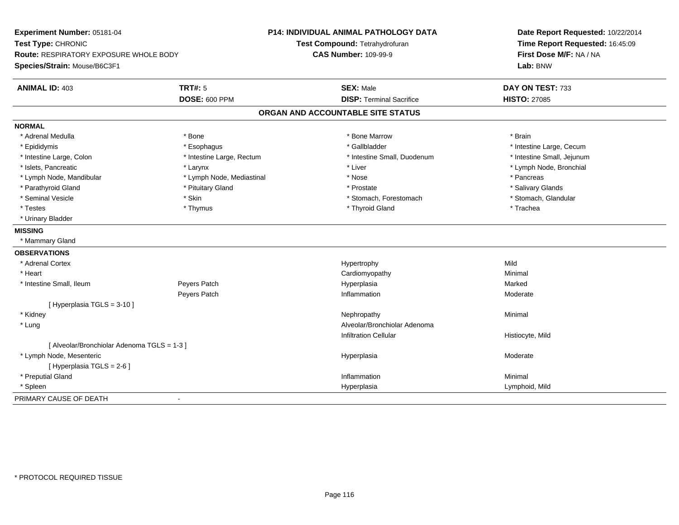| Experiment Number: 05181-04                   |                           | <b>P14: INDIVIDUAL ANIMAL PATHOLOGY DATA</b> | Date Report Requested: 10/22/2014 |
|-----------------------------------------------|---------------------------|----------------------------------------------|-----------------------------------|
| Test Type: CHRONIC                            |                           | Test Compound: Tetrahydrofuran               | Time Report Requested: 16:45:09   |
| <b>Route: RESPIRATORY EXPOSURE WHOLE BODY</b> |                           | <b>CAS Number: 109-99-9</b>                  | First Dose M/F: NA / NA           |
| Species/Strain: Mouse/B6C3F1                  |                           |                                              | Lab: BNW                          |
| <b>ANIMAL ID: 403</b>                         | <b>TRT#: 5</b>            | <b>SEX: Male</b>                             | DAY ON TEST: 733                  |
|                                               | <b>DOSE: 600 PPM</b>      | <b>DISP: Terminal Sacrifice</b>              | <b>HISTO: 27085</b>               |
|                                               |                           | ORGAN AND ACCOUNTABLE SITE STATUS            |                                   |
| <b>NORMAL</b>                                 |                           |                                              |                                   |
| * Adrenal Medulla                             | * Bone                    | * Bone Marrow                                | * Brain                           |
| * Epididymis                                  | * Esophagus               | * Gallbladder                                | * Intestine Large, Cecum          |
| * Intestine Large, Colon                      | * Intestine Large, Rectum | * Intestine Small, Duodenum                  | * Intestine Small, Jejunum        |
| * Islets, Pancreatic                          | * Larynx                  | * Liver                                      | * Lymph Node, Bronchial           |
| * Lymph Node, Mandibular                      | * Lymph Node, Mediastinal | * Nose                                       | * Pancreas                        |
| * Parathyroid Gland                           | * Pituitary Gland         | * Prostate                                   | * Salivary Glands                 |
| * Seminal Vesicle                             | * Skin                    | * Stomach, Forestomach                       | * Stomach, Glandular              |
| * Testes                                      | * Thymus                  | * Thyroid Gland                              | * Trachea                         |
| * Urinary Bladder                             |                           |                                              |                                   |
| <b>MISSING</b>                                |                           |                                              |                                   |
| * Mammary Gland                               |                           |                                              |                                   |
| <b>OBSERVATIONS</b>                           |                           |                                              |                                   |
| * Adrenal Cortex                              |                           | Hypertrophy                                  | Mild                              |
| * Heart                                       |                           | Cardiomyopathy                               | Minimal                           |
| * Intestine Small, Ileum                      | Peyers Patch              | Hyperplasia                                  | Marked                            |
|                                               | Peyers Patch              | Inflammation                                 | Moderate                          |
| [ Hyperplasia TGLS = 3-10 ]                   |                           |                                              |                                   |
| * Kidney                                      |                           | Nephropathy                                  | Minimal                           |
| * Lung                                        |                           | Alveolar/Bronchiolar Adenoma                 |                                   |
|                                               |                           | <b>Infiltration Cellular</b>                 | Histiocyte, Mild                  |
| [ Alveolar/Bronchiolar Adenoma TGLS = 1-3 ]   |                           |                                              |                                   |
| * Lymph Node, Mesenteric                      |                           | Hyperplasia                                  | Moderate                          |
| [ Hyperplasia TGLS = 2-6 ]                    |                           |                                              |                                   |
| * Preputial Gland                             |                           | Inflammation                                 | Minimal                           |
| * Spleen                                      |                           | Hyperplasia                                  | Lymphoid, Mild                    |
| PRIMARY CAUSE OF DEATH                        | $\blacksquare$            |                                              |                                   |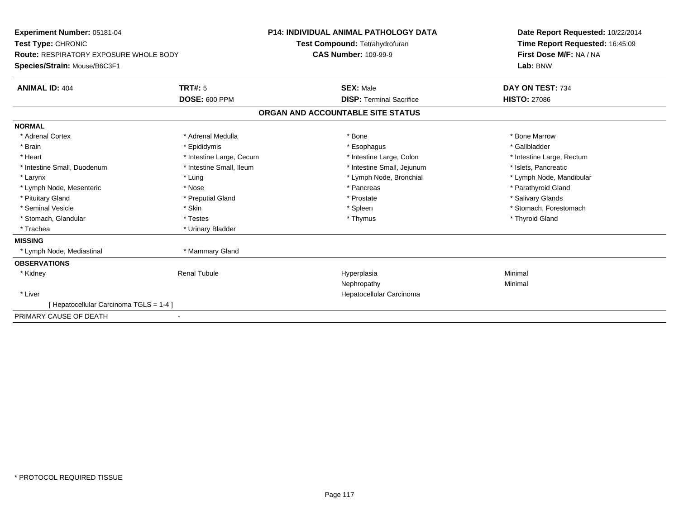| Experiment Number: 05181-04<br>Test Type: CHRONIC<br><b>Route: RESPIRATORY EXPOSURE WHOLE BODY</b><br>Species/Strain: Mouse/B6C3F1 |                                        | <b>P14: INDIVIDUAL ANIMAL PATHOLOGY DATA</b><br>Test Compound: Tetrahydrofuran<br><b>CAS Number: 109-99-9</b> | Date Report Requested: 10/22/2014<br>Time Report Requested: 16:45:09<br>First Dose M/F: NA / NA<br>Lab: BNW |
|------------------------------------------------------------------------------------------------------------------------------------|----------------------------------------|---------------------------------------------------------------------------------------------------------------|-------------------------------------------------------------------------------------------------------------|
| <b>ANIMAL ID: 404</b>                                                                                                              | <b>TRT#: 5</b><br><b>DOSE: 600 PPM</b> | <b>SEX: Male</b><br><b>DISP: Terminal Sacrifice</b>                                                           | DAY ON TEST: 734<br><b>HISTO: 27086</b>                                                                     |
|                                                                                                                                    |                                        |                                                                                                               |                                                                                                             |
|                                                                                                                                    |                                        | ORGAN AND ACCOUNTABLE SITE STATUS                                                                             |                                                                                                             |
| <b>NORMAL</b>                                                                                                                      |                                        |                                                                                                               |                                                                                                             |
| * Adrenal Cortex                                                                                                                   | * Adrenal Medulla                      | * Bone                                                                                                        | * Bone Marrow                                                                                               |
| * Brain                                                                                                                            | * Epididymis                           | * Esophagus                                                                                                   | * Gallbladder                                                                                               |
| * Heart                                                                                                                            | * Intestine Large, Cecum               | * Intestine Large, Colon                                                                                      | * Intestine Large, Rectum                                                                                   |
| * Intestine Small, Duodenum                                                                                                        | * Intestine Small, Ileum               | * Intestine Small, Jejunum                                                                                    | * Islets, Pancreatic                                                                                        |
| * Larynx                                                                                                                           | * Lung                                 | * Lymph Node, Bronchial                                                                                       | * Lymph Node, Mandibular                                                                                    |
| * Lymph Node, Mesenteric                                                                                                           | * Nose                                 | * Pancreas                                                                                                    | * Parathyroid Gland                                                                                         |
| * Pituitary Gland                                                                                                                  | * Preputial Gland                      | * Prostate                                                                                                    | * Salivary Glands                                                                                           |
| * Seminal Vesicle                                                                                                                  | * Skin                                 | * Spleen                                                                                                      | * Stomach, Forestomach                                                                                      |
| * Stomach, Glandular                                                                                                               | * Testes                               | * Thymus                                                                                                      | * Thyroid Gland                                                                                             |
| * Trachea                                                                                                                          | * Urinary Bladder                      |                                                                                                               |                                                                                                             |
| <b>MISSING</b>                                                                                                                     |                                        |                                                                                                               |                                                                                                             |
| * Lymph Node, Mediastinal                                                                                                          | * Mammary Gland                        |                                                                                                               |                                                                                                             |
| <b>OBSERVATIONS</b>                                                                                                                |                                        |                                                                                                               |                                                                                                             |
| * Kidney                                                                                                                           | <b>Renal Tubule</b>                    | Hyperplasia                                                                                                   | Minimal                                                                                                     |
|                                                                                                                                    |                                        | Nephropathy                                                                                                   | Minimal                                                                                                     |
| * Liver                                                                                                                            |                                        | Hepatocellular Carcinoma                                                                                      |                                                                                                             |
| [Hepatocellular Carcinoma TGLS = 1-4]                                                                                              |                                        |                                                                                                               |                                                                                                             |
| PRIMARY CAUSE OF DEATH                                                                                                             |                                        |                                                                                                               |                                                                                                             |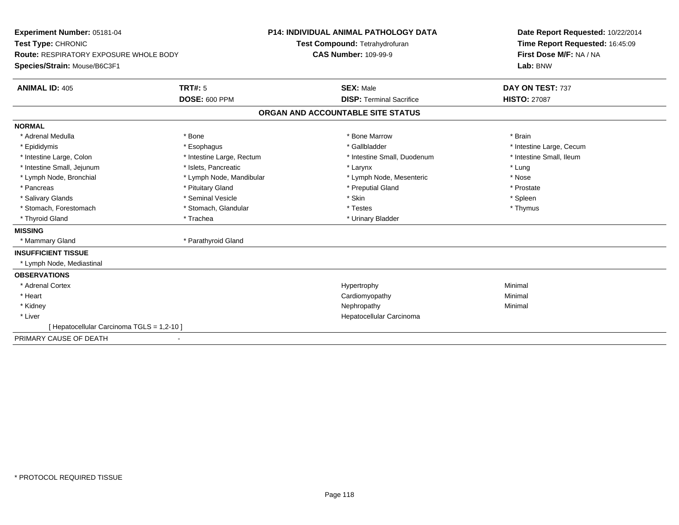| Experiment Number: 05181-04                   | <b>P14: INDIVIDUAL ANIMAL PATHOLOGY DATA</b> |                                   | Date Report Requested: 10/22/2014 |                                 |
|-----------------------------------------------|----------------------------------------------|-----------------------------------|-----------------------------------|---------------------------------|
| Test Type: CHRONIC                            |                                              |                                   | Test Compound: Tetrahydrofuran    | Time Report Requested: 16:45:09 |
| <b>Route: RESPIRATORY EXPOSURE WHOLE BODY</b> |                                              | <b>CAS Number: 109-99-9</b>       |                                   | First Dose M/F: NA / NA         |
| Species/Strain: Mouse/B6C3F1                  |                                              |                                   |                                   | Lab: BNW                        |
| <b>ANIMAL ID: 405</b>                         | <b>TRT#: 5</b>                               |                                   | <b>SEX: Male</b>                  | DAY ON TEST: 737                |
|                                               | <b>DOSE: 600 PPM</b>                         |                                   | <b>DISP: Terminal Sacrifice</b>   | <b>HISTO: 27087</b>             |
|                                               |                                              | ORGAN AND ACCOUNTABLE SITE STATUS |                                   |                                 |
| <b>NORMAL</b>                                 |                                              |                                   |                                   |                                 |
| * Adrenal Medulla                             | * Bone                                       |                                   | * Bone Marrow                     | * Brain                         |
| * Epididymis                                  | * Esophagus                                  |                                   | * Gallbladder                     | * Intestine Large, Cecum        |
| * Intestine Large, Colon                      | * Intestine Large, Rectum                    |                                   | * Intestine Small, Duodenum       | * Intestine Small, Ileum        |
| * Intestine Small, Jejunum                    | * Islets, Pancreatic                         |                                   | * Larynx                          | * Lung                          |
| * Lymph Node, Bronchial                       | * Lymph Node, Mandibular                     |                                   | * Lymph Node, Mesenteric          | * Nose                          |
| * Pancreas                                    | * Pituitary Gland                            |                                   | * Preputial Gland                 | * Prostate                      |
| * Salivary Glands                             | * Seminal Vesicle                            |                                   | * Skin                            | * Spleen                        |
| * Stomach, Forestomach                        | * Stomach, Glandular                         |                                   | * Testes                          | * Thymus                        |
| * Thyroid Gland                               | * Trachea                                    |                                   | * Urinary Bladder                 |                                 |
| <b>MISSING</b>                                |                                              |                                   |                                   |                                 |
| * Mammary Gland                               | * Parathyroid Gland                          |                                   |                                   |                                 |
| <b>INSUFFICIENT TISSUE</b>                    |                                              |                                   |                                   |                                 |
| * Lymph Node, Mediastinal                     |                                              |                                   |                                   |                                 |
| <b>OBSERVATIONS</b>                           |                                              |                                   |                                   |                                 |
| * Adrenal Cortex                              |                                              |                                   | Hypertrophy                       | Minimal                         |
| * Heart                                       |                                              |                                   | Cardiomyopathy                    | Minimal                         |
| * Kidney                                      |                                              |                                   | Nephropathy                       | Minimal                         |
| * Liver                                       |                                              |                                   | Hepatocellular Carcinoma          |                                 |
| [ Hepatocellular Carcinoma TGLS = 1,2-10 ]    |                                              |                                   |                                   |                                 |
| PRIMARY CAUSE OF DEATH                        |                                              |                                   |                                   |                                 |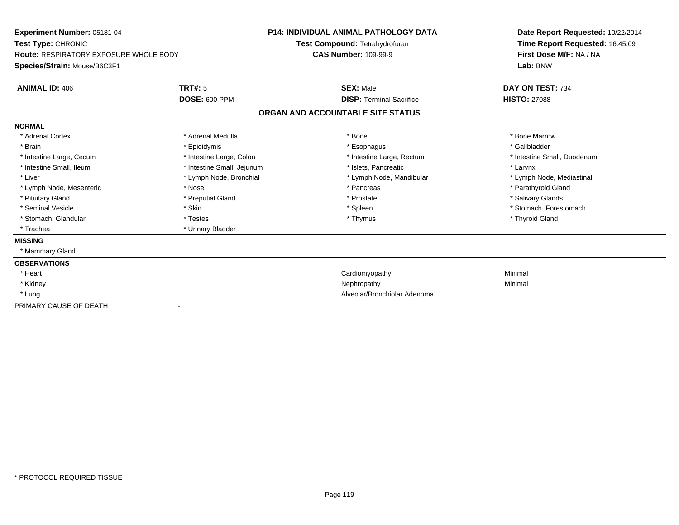| Experiment Number: 05181-04                   |                            | <b>P14: INDIVIDUAL ANIMAL PATHOLOGY DATA</b> |                                 | Date Report Requested: 10/22/2014 |  |
|-----------------------------------------------|----------------------------|----------------------------------------------|---------------------------------|-----------------------------------|--|
| Test Type: CHRONIC                            |                            | Test Compound: Tetrahydrofuran               |                                 | Time Report Requested: 16:45:09   |  |
| <b>Route: RESPIRATORY EXPOSURE WHOLE BODY</b> |                            | <b>CAS Number: 109-99-9</b>                  |                                 | First Dose M/F: NA / NA           |  |
| Species/Strain: Mouse/B6C3F1                  |                            |                                              |                                 | Lab: BNW                          |  |
| <b>ANIMAL ID: 406</b>                         | TRT#: 5                    | <b>SEX: Male</b>                             |                                 | DAY ON TEST: 734                  |  |
|                                               | <b>DOSE: 600 PPM</b>       |                                              | <b>DISP:</b> Terminal Sacrifice | <b>HISTO: 27088</b>               |  |
|                                               |                            | ORGAN AND ACCOUNTABLE SITE STATUS            |                                 |                                   |  |
| <b>NORMAL</b>                                 |                            |                                              |                                 |                                   |  |
| * Adrenal Cortex                              | * Adrenal Medulla          | * Bone                                       |                                 | * Bone Marrow                     |  |
| * Brain                                       | * Epididymis               | * Esophagus                                  |                                 | * Gallbladder                     |  |
| * Intestine Large, Cecum                      | * Intestine Large, Colon   |                                              | * Intestine Large, Rectum       | * Intestine Small, Duodenum       |  |
| * Intestine Small, Ileum                      | * Intestine Small, Jejunum |                                              | * Islets, Pancreatic            | * Larynx                          |  |
| * Liver                                       | * Lymph Node, Bronchial    |                                              | * Lymph Node, Mandibular        | * Lymph Node, Mediastinal         |  |
| * Lymph Node, Mesenteric                      | * Nose                     | * Pancreas                                   |                                 | * Parathyroid Gland               |  |
| * Pituitary Gland                             | * Preputial Gland          | * Prostate                                   |                                 | * Salivary Glands                 |  |
| * Seminal Vesicle                             | * Skin                     | * Spleen                                     |                                 | * Stomach. Forestomach            |  |
| * Stomach, Glandular                          | * Testes                   | * Thymus                                     |                                 | * Thyroid Gland                   |  |
| * Trachea                                     | * Urinary Bladder          |                                              |                                 |                                   |  |
| <b>MISSING</b>                                |                            |                                              |                                 |                                   |  |
| * Mammary Gland                               |                            |                                              |                                 |                                   |  |
| <b>OBSERVATIONS</b>                           |                            |                                              |                                 |                                   |  |
| * Heart                                       |                            | Cardiomyopathy                               |                                 | Minimal                           |  |
| * Kidney                                      |                            | Nephropathy                                  |                                 | Minimal                           |  |
| * Lung                                        |                            |                                              | Alveolar/Bronchiolar Adenoma    |                                   |  |
| PRIMARY CAUSE OF DEATH                        |                            |                                              |                                 |                                   |  |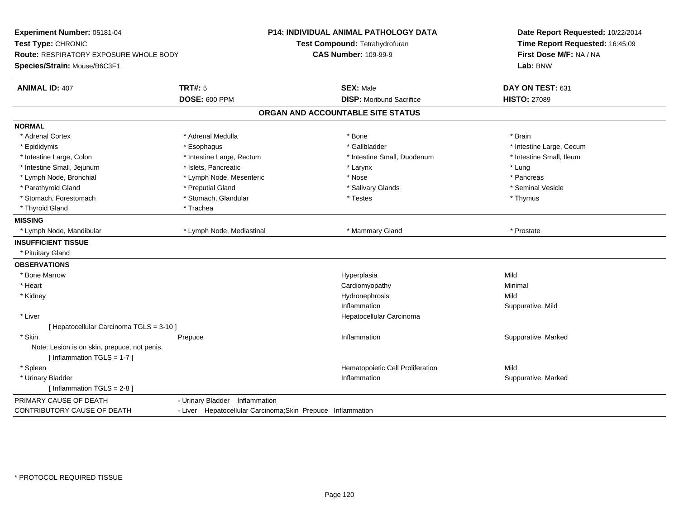| Experiment Number: 05181-04<br>Test Type: CHRONIC<br><b>Route: RESPIRATORY EXPOSURE WHOLE BODY</b><br>Species/Strain: Mouse/B6C3F1 | P14: INDIVIDUAL ANIMAL PATHOLOGY DATA<br>Test Compound: Tetrahydrofuran<br><b>CAS Number: 109-99-9</b> |                                                     | Date Report Requested: 10/22/2014<br>Time Report Requested: 16:45:09<br>First Dose M/F: NA / NA<br>Lab: BNW |
|------------------------------------------------------------------------------------------------------------------------------------|--------------------------------------------------------------------------------------------------------|-----------------------------------------------------|-------------------------------------------------------------------------------------------------------------|
| <b>ANIMAL ID: 407</b>                                                                                                              | <b>TRT#: 5</b><br>DOSE: 600 PPM                                                                        | <b>SEX: Male</b><br><b>DISP:</b> Moribund Sacrifice | DAY ON TEST: 631<br><b>HISTO: 27089</b>                                                                     |
|                                                                                                                                    |                                                                                                        | ORGAN AND ACCOUNTABLE SITE STATUS                   |                                                                                                             |
| <b>NORMAL</b>                                                                                                                      |                                                                                                        |                                                     |                                                                                                             |
| * Adrenal Cortex                                                                                                                   | * Adrenal Medulla                                                                                      | * Bone                                              | * Brain                                                                                                     |
| * Epididymis                                                                                                                       | * Esophagus                                                                                            | * Gallbladder                                       | * Intestine Large, Cecum                                                                                    |
| * Intestine Large, Colon                                                                                                           | * Intestine Large, Rectum                                                                              | * Intestine Small, Duodenum                         | * Intestine Small, Ileum                                                                                    |
| * Intestine Small, Jejunum                                                                                                         | * Islets, Pancreatic                                                                                   | * Larynx                                            | * Lung                                                                                                      |
| * Lymph Node, Bronchial                                                                                                            | * Lymph Node, Mesenteric                                                                               | * Nose                                              | * Pancreas                                                                                                  |
| * Parathyroid Gland                                                                                                                | * Preputial Gland                                                                                      | * Salivary Glands                                   | * Seminal Vesicle                                                                                           |
| * Stomach, Forestomach                                                                                                             | * Stomach, Glandular                                                                                   | * Testes                                            | * Thymus                                                                                                    |
| * Thyroid Gland                                                                                                                    | * Trachea                                                                                              |                                                     |                                                                                                             |
| <b>MISSING</b>                                                                                                                     |                                                                                                        |                                                     |                                                                                                             |
| * Lymph Node, Mandibular                                                                                                           | * Lymph Node, Mediastinal                                                                              | * Mammary Gland                                     | * Prostate                                                                                                  |
| <b>INSUFFICIENT TISSUE</b>                                                                                                         |                                                                                                        |                                                     |                                                                                                             |
| * Pituitary Gland                                                                                                                  |                                                                                                        |                                                     |                                                                                                             |
| <b>OBSERVATIONS</b>                                                                                                                |                                                                                                        |                                                     |                                                                                                             |
| * Bone Marrow                                                                                                                      |                                                                                                        | Hyperplasia                                         | Mild                                                                                                        |
| * Heart                                                                                                                            |                                                                                                        | Cardiomyopathy                                      | Minimal                                                                                                     |
| * Kidney                                                                                                                           |                                                                                                        | Hydronephrosis                                      | Mild                                                                                                        |
|                                                                                                                                    |                                                                                                        | Inflammation                                        | Suppurative, Mild                                                                                           |
| * Liver                                                                                                                            |                                                                                                        | Hepatocellular Carcinoma                            |                                                                                                             |
| [ Hepatocellular Carcinoma TGLS = 3-10 ]                                                                                           |                                                                                                        |                                                     |                                                                                                             |
| * Skin                                                                                                                             | Prepuce                                                                                                | Inflammation                                        | Suppurative, Marked                                                                                         |
| Note: Lesion is on skin, prepuce, not penis.                                                                                       |                                                                                                        |                                                     |                                                                                                             |
| [Inflammation TGLS = $1-7$ ]                                                                                                       |                                                                                                        |                                                     |                                                                                                             |
| * Spleen                                                                                                                           |                                                                                                        | Hematopoietic Cell Proliferation                    | Mild                                                                                                        |
| * Urinary Bladder                                                                                                                  |                                                                                                        | Inflammation                                        | Suppurative, Marked                                                                                         |
| [Inflammation TGLS = $2-8$ ]                                                                                                       |                                                                                                        |                                                     |                                                                                                             |
| PRIMARY CAUSE OF DEATH                                                                                                             | - Urinary Bladder Inflammation                                                                         |                                                     |                                                                                                             |
| CONTRIBUTORY CAUSE OF DEATH                                                                                                        | - Liver Hepatocellular Carcinoma; Skin Prepuce Inflammation                                            |                                                     |                                                                                                             |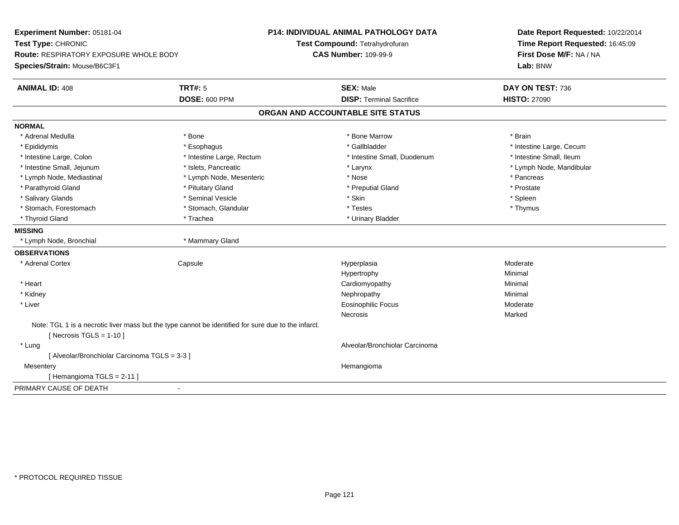| Experiment Number: 05181-04                                                                         |                           | <b>P14: INDIVIDUAL ANIMAL PATHOLOGY DATA</b> | Date Report Requested: 10/22/2014 |  |
|-----------------------------------------------------------------------------------------------------|---------------------------|----------------------------------------------|-----------------------------------|--|
| Test Type: CHRONIC                                                                                  |                           | Test Compound: Tetrahydrofuran               | Time Report Requested: 16:45:09   |  |
| <b>Route: RESPIRATORY EXPOSURE WHOLE BODY</b>                                                       |                           | <b>CAS Number: 109-99-9</b>                  | First Dose M/F: NA / NA           |  |
| Species/Strain: Mouse/B6C3F1                                                                        |                           |                                              | Lab: BNW                          |  |
| <b>ANIMAL ID: 408</b>                                                                               | <b>TRT#: 5</b>            | <b>SEX: Male</b>                             | DAY ON TEST: 736                  |  |
|                                                                                                     | <b>DOSE: 600 PPM</b>      | <b>DISP: Terminal Sacrifice</b>              | <b>HISTO: 27090</b>               |  |
|                                                                                                     |                           | ORGAN AND ACCOUNTABLE SITE STATUS            |                                   |  |
| <b>NORMAL</b>                                                                                       |                           |                                              |                                   |  |
| * Adrenal Medulla                                                                                   | * Bone                    | * Bone Marrow                                | * Brain                           |  |
| * Epididymis                                                                                        | * Esophagus               | * Gallbladder                                | * Intestine Large, Cecum          |  |
| * Intestine Large, Colon                                                                            | * Intestine Large, Rectum | * Intestine Small, Duodenum                  | * Intestine Small, Ileum          |  |
| * Intestine Small, Jejunum                                                                          | * Islets, Pancreatic      | * Larynx                                     | * Lymph Node, Mandibular          |  |
| * Lymph Node, Mediastinal                                                                           | * Lymph Node, Mesenteric  | * Nose                                       | * Pancreas                        |  |
| * Parathyroid Gland                                                                                 | * Pituitary Gland         | * Preputial Gland                            | * Prostate                        |  |
| * Salivary Glands                                                                                   | * Seminal Vesicle         | * Skin                                       | * Spleen                          |  |
| * Stomach, Forestomach                                                                              | * Stomach, Glandular      | * Testes                                     | * Thymus                          |  |
| * Thyroid Gland                                                                                     | * Trachea                 | * Urinary Bladder                            |                                   |  |
| <b>MISSING</b>                                                                                      |                           |                                              |                                   |  |
| * Lymph Node, Bronchial                                                                             | * Mammary Gland           |                                              |                                   |  |
| <b>OBSERVATIONS</b>                                                                                 |                           |                                              |                                   |  |
| * Adrenal Cortex                                                                                    | Capsule                   | Hyperplasia                                  | Moderate                          |  |
|                                                                                                     |                           | Hypertrophy                                  | Minimal                           |  |
| * Heart                                                                                             |                           | Cardiomyopathy                               | Minimal                           |  |
| * Kidney                                                                                            |                           | Nephropathy                                  | Minimal                           |  |
| * Liver                                                                                             |                           | <b>Eosinophilic Focus</b>                    | Moderate                          |  |
|                                                                                                     |                           | Necrosis                                     | Marked                            |  |
| Note: TGL 1 is a necrotic liver mass but the type cannot be identified for sure due to the infarct. |                           |                                              |                                   |  |
| [Necrosis $TGLS = 1-10$ ]                                                                           |                           |                                              |                                   |  |
| * Lung                                                                                              |                           | Alveolar/Bronchiolar Carcinoma               |                                   |  |
| [ Alveolar/Bronchiolar Carcinoma TGLS = 3-3 ]                                                       |                           |                                              |                                   |  |
| Mesentery                                                                                           |                           | Hemangioma                                   |                                   |  |
| [Hemangioma TGLS = 2-11]                                                                            |                           |                                              |                                   |  |
| PRIMARY CAUSE OF DEATH<br>$\overline{\phantom{a}}$                                                  |                           |                                              |                                   |  |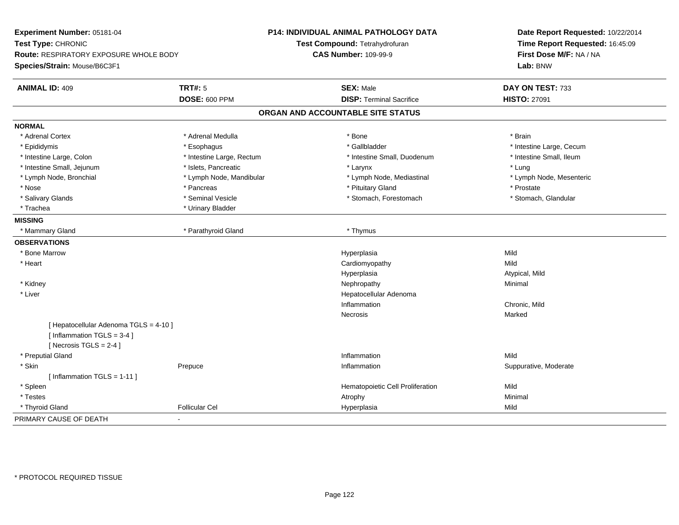| Route: RESPIRATORY EXPOSURE WHOLE BODY<br>Species/Strain: Mouse/B6C3F1<br><b>TRT#: 5</b><br><b>ANIMAL ID: 409</b><br><b>DOSE: 600 PPM</b><br><b>NORMAL</b><br>* Adrenal Cortex<br>* Adrenal Medulla<br>* Epididymis<br>* Esophagus<br>* Intestine Large, Rectum<br>* Intestine Large, Colon<br>* Intestine Small, Jejunum<br>* Islets, Pancreatic<br>* Lymph Node, Bronchial<br>* Lymph Node, Mandibular<br>* Nose<br>* Pancreas | <b>SEX: Male</b><br><b>DISP: Terminal Sacrifice</b><br>ORGAN AND ACCOUNTABLE SITE STATUS | Lab: BNW<br>DAY ON TEST: 733<br><b>HISTO: 27091</b> |
|----------------------------------------------------------------------------------------------------------------------------------------------------------------------------------------------------------------------------------------------------------------------------------------------------------------------------------------------------------------------------------------------------------------------------------|------------------------------------------------------------------------------------------|-----------------------------------------------------|
|                                                                                                                                                                                                                                                                                                                                                                                                                                  |                                                                                          |                                                     |
|                                                                                                                                                                                                                                                                                                                                                                                                                                  |                                                                                          |                                                     |
|                                                                                                                                                                                                                                                                                                                                                                                                                                  |                                                                                          |                                                     |
|                                                                                                                                                                                                                                                                                                                                                                                                                                  |                                                                                          |                                                     |
|                                                                                                                                                                                                                                                                                                                                                                                                                                  | * Bone                                                                                   | * Brain                                             |
|                                                                                                                                                                                                                                                                                                                                                                                                                                  | * Gallbladder                                                                            | * Intestine Large, Cecum                            |
|                                                                                                                                                                                                                                                                                                                                                                                                                                  | * Intestine Small, Duodenum                                                              | * Intestine Small, Ileum                            |
|                                                                                                                                                                                                                                                                                                                                                                                                                                  | * Larynx                                                                                 | * Lung                                              |
|                                                                                                                                                                                                                                                                                                                                                                                                                                  | * Lymph Node, Mediastinal                                                                | * Lymph Node, Mesenteric                            |
|                                                                                                                                                                                                                                                                                                                                                                                                                                  | * Pituitary Gland                                                                        | * Prostate                                          |
| * Seminal Vesicle<br>* Salivary Glands                                                                                                                                                                                                                                                                                                                                                                                           | * Stomach, Forestomach                                                                   | * Stomach, Glandular                                |
| * Urinary Bladder<br>* Trachea                                                                                                                                                                                                                                                                                                                                                                                                   |                                                                                          |                                                     |
| <b>MISSING</b>                                                                                                                                                                                                                                                                                                                                                                                                                   |                                                                                          |                                                     |
| * Mammary Gland<br>* Parathyroid Gland                                                                                                                                                                                                                                                                                                                                                                                           | * Thymus                                                                                 |                                                     |
| <b>OBSERVATIONS</b>                                                                                                                                                                                                                                                                                                                                                                                                              |                                                                                          |                                                     |
| * Bone Marrow                                                                                                                                                                                                                                                                                                                                                                                                                    | Hyperplasia                                                                              | Mild                                                |
| * Heart                                                                                                                                                                                                                                                                                                                                                                                                                          | Cardiomyopathy                                                                           | Mild                                                |
|                                                                                                                                                                                                                                                                                                                                                                                                                                  | Hyperplasia                                                                              | Atypical, Mild                                      |
| * Kidney                                                                                                                                                                                                                                                                                                                                                                                                                         | Nephropathy                                                                              | Minimal                                             |
| * Liver                                                                                                                                                                                                                                                                                                                                                                                                                          | Hepatocellular Adenoma                                                                   |                                                     |
|                                                                                                                                                                                                                                                                                                                                                                                                                                  | Inflammation                                                                             | Chronic, Mild                                       |
|                                                                                                                                                                                                                                                                                                                                                                                                                                  | <b>Necrosis</b>                                                                          | Marked                                              |
| [ Hepatocellular Adenoma TGLS = 4-10 ]<br>[Inflammation TGLS = 3-4]<br>[Necrosis $TGLS = 2-4$ ]                                                                                                                                                                                                                                                                                                                                  |                                                                                          |                                                     |
| * Preputial Gland                                                                                                                                                                                                                                                                                                                                                                                                                | Inflammation                                                                             | Mild                                                |
| * Skin<br>Prepuce                                                                                                                                                                                                                                                                                                                                                                                                                | Inflammation                                                                             | Suppurative, Moderate                               |
| [Inflammation TGLS = $1-11$ ]                                                                                                                                                                                                                                                                                                                                                                                                    |                                                                                          |                                                     |
| * Spleen                                                                                                                                                                                                                                                                                                                                                                                                                         | Hematopoietic Cell Proliferation                                                         | Mild                                                |
| * Testes                                                                                                                                                                                                                                                                                                                                                                                                                         | Atrophy                                                                                  | Minimal                                             |
| <b>Follicular Cel</b><br>* Thyroid Gland                                                                                                                                                                                                                                                                                                                                                                                         |                                                                                          |                                                     |
| PRIMARY CAUSE OF DEATH                                                                                                                                                                                                                                                                                                                                                                                                           | Hyperplasia                                                                              | Mild                                                |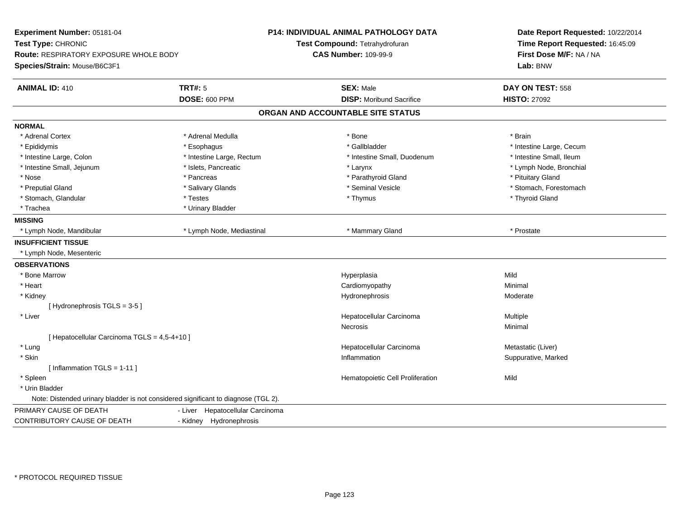| Experiment Number: 05181-04<br>Test Type: CHRONIC<br>Route: RESPIRATORY EXPOSURE WHOLE BODY<br>Species/Strain: Mouse/B6C3F1 |                                  | <b>P14: INDIVIDUAL ANIMAL PATHOLOGY DATA</b><br>Test Compound: Tetrahydrofuran<br><b>CAS Number: 109-99-9</b> | Date Report Requested: 10/22/2014<br>Time Report Requested: 16:45:09<br>First Dose M/F: NA / NA<br>Lab: BNW |
|-----------------------------------------------------------------------------------------------------------------------------|----------------------------------|---------------------------------------------------------------------------------------------------------------|-------------------------------------------------------------------------------------------------------------|
| <b>ANIMAL ID: 410</b>                                                                                                       | <b>TRT#: 5</b>                   | <b>SEX: Male</b>                                                                                              | DAY ON TEST: 558                                                                                            |
|                                                                                                                             | <b>DOSE: 600 PPM</b>             | <b>DISP: Moribund Sacrifice</b>                                                                               | <b>HISTO: 27092</b>                                                                                         |
|                                                                                                                             |                                  | ORGAN AND ACCOUNTABLE SITE STATUS                                                                             |                                                                                                             |
| <b>NORMAL</b>                                                                                                               |                                  |                                                                                                               |                                                                                                             |
| * Adrenal Cortex                                                                                                            | * Adrenal Medulla                | * Bone                                                                                                        | * Brain                                                                                                     |
| * Epididymis                                                                                                                | * Esophagus                      | * Gallbladder                                                                                                 | * Intestine Large, Cecum                                                                                    |
| * Intestine Large, Colon                                                                                                    | * Intestine Large, Rectum        | * Intestine Small, Duodenum                                                                                   | * Intestine Small, Ileum                                                                                    |
| * Intestine Small, Jejunum                                                                                                  | * Islets, Pancreatic             | * Larynx                                                                                                      | * Lymph Node, Bronchial                                                                                     |
| * Nose                                                                                                                      | * Pancreas                       | * Parathyroid Gland                                                                                           | * Pituitary Gland                                                                                           |
| * Preputial Gland                                                                                                           | * Salivary Glands                | * Seminal Vesicle                                                                                             | * Stomach, Forestomach                                                                                      |
| * Stomach, Glandular                                                                                                        | * Testes                         | * Thymus                                                                                                      | * Thyroid Gland                                                                                             |
| * Trachea                                                                                                                   | * Urinary Bladder                |                                                                                                               |                                                                                                             |
| <b>MISSING</b>                                                                                                              |                                  |                                                                                                               |                                                                                                             |
| * Lymph Node, Mandibular                                                                                                    | * Lymph Node, Mediastinal        | * Mammary Gland                                                                                               | * Prostate                                                                                                  |
| <b>INSUFFICIENT TISSUE</b>                                                                                                  |                                  |                                                                                                               |                                                                                                             |
| * Lymph Node, Mesenteric                                                                                                    |                                  |                                                                                                               |                                                                                                             |
| <b>OBSERVATIONS</b>                                                                                                         |                                  |                                                                                                               |                                                                                                             |
| * Bone Marrow                                                                                                               |                                  | Hyperplasia                                                                                                   | Mild                                                                                                        |
| * Heart                                                                                                                     |                                  | Cardiomyopathy                                                                                                | Minimal                                                                                                     |
| * Kidney                                                                                                                    |                                  | Hydronephrosis                                                                                                | Moderate                                                                                                    |
| [Hydronephrosis TGLS = 3-5]                                                                                                 |                                  |                                                                                                               |                                                                                                             |
| * Liver                                                                                                                     |                                  | Hepatocellular Carcinoma                                                                                      | Multiple                                                                                                    |
|                                                                                                                             |                                  | Necrosis                                                                                                      | Minimal                                                                                                     |
| [ Hepatocellular Carcinoma TGLS = 4,5-4+10 ]                                                                                |                                  |                                                                                                               |                                                                                                             |
| * Lung                                                                                                                      |                                  | Hepatocellular Carcinoma                                                                                      | Metastatic (Liver)                                                                                          |
| * Skin                                                                                                                      |                                  | Inflammation                                                                                                  | Suppurative, Marked                                                                                         |
| [Inflammation TGLS = $1-11$ ]                                                                                               |                                  |                                                                                                               |                                                                                                             |
| * Spleen                                                                                                                    |                                  | Hematopoietic Cell Proliferation                                                                              | Mild                                                                                                        |
| * Urin Bladder                                                                                                              |                                  |                                                                                                               |                                                                                                             |
| Note: Distended urinary bladder is not considered significant to diagnose (TGL 2).                                          |                                  |                                                                                                               |                                                                                                             |
| PRIMARY CAUSE OF DEATH                                                                                                      | - Liver Hepatocellular Carcinoma |                                                                                                               |                                                                                                             |
| CONTRIBUTORY CAUSE OF DEATH                                                                                                 | - Kidney Hydronephrosis          |                                                                                                               |                                                                                                             |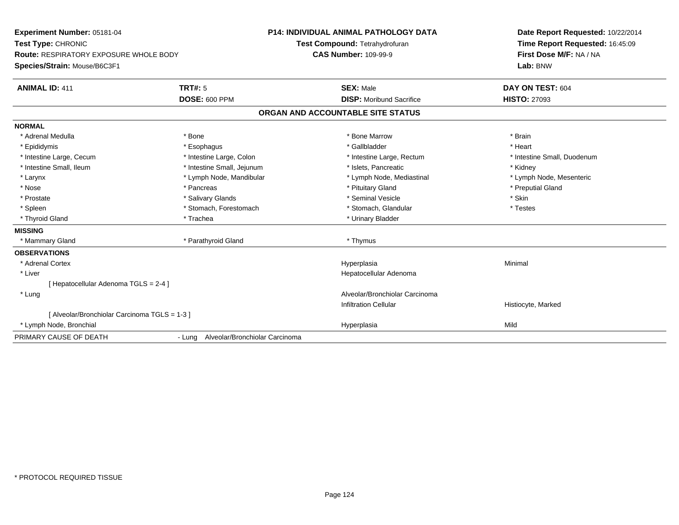| <b>Experiment Number: 05181-04</b><br>Test Type: CHRONIC |                                       | <b>P14: INDIVIDUAL ANIMAL PATHOLOGY DATA</b> | Date Report Requested: 10/22/2014   |  |
|----------------------------------------------------------|---------------------------------------|----------------------------------------------|-------------------------------------|--|
|                                                          |                                       | Test Compound: Tetrahydrofuran               | Time Report Requested: 16:45:09     |  |
| <b>Route: RESPIRATORY EXPOSURE WHOLE BODY</b>            |                                       | <b>CAS Number: 109-99-9</b>                  | First Dose M/F: NA / NA<br>Lab: BNW |  |
| Species/Strain: Mouse/B6C3F1                             |                                       |                                              |                                     |  |
| <b>ANIMAL ID: 411</b>                                    | TRT#: 5                               | <b>SEX: Male</b>                             | DAY ON TEST: 604                    |  |
|                                                          | <b>DOSE: 600 PPM</b>                  | <b>DISP:</b> Moribund Sacrifice              | <b>HISTO: 27093</b>                 |  |
|                                                          |                                       | ORGAN AND ACCOUNTABLE SITE STATUS            |                                     |  |
| <b>NORMAL</b>                                            |                                       |                                              |                                     |  |
| * Adrenal Medulla                                        | * Bone                                | * Bone Marrow                                | * Brain                             |  |
| * Epididymis                                             | * Esophagus                           | * Gallbladder                                | * Heart                             |  |
| * Intestine Large, Cecum                                 | * Intestine Large, Colon              | * Intestine Large, Rectum                    | * Intestine Small, Duodenum         |  |
| * Intestine Small, Ileum                                 | * Intestine Small, Jejunum            | * Islets. Pancreatic                         | * Kidney                            |  |
| * Larynx                                                 | * Lymph Node, Mandibular              | * Lymph Node, Mediastinal                    | * Lymph Node, Mesenteric            |  |
| * Nose                                                   | * Pancreas                            | * Pituitary Gland                            | * Preputial Gland                   |  |
| * Prostate                                               | * Salivary Glands                     | * Seminal Vesicle                            | * Skin                              |  |
| * Spleen                                                 | * Stomach, Forestomach                | * Stomach, Glandular                         | * Testes                            |  |
| * Thyroid Gland                                          | * Trachea                             | * Urinary Bladder                            |                                     |  |
| <b>MISSING</b>                                           |                                       |                                              |                                     |  |
| * Mammary Gland                                          | * Parathyroid Gland                   | * Thymus                                     |                                     |  |
| <b>OBSERVATIONS</b>                                      |                                       |                                              |                                     |  |
| * Adrenal Cortex                                         |                                       | Hyperplasia                                  | Minimal                             |  |
| * Liver                                                  |                                       | Hepatocellular Adenoma                       |                                     |  |
| [Hepatocellular Adenoma TGLS = 2-4]                      |                                       |                                              |                                     |  |
| * Lung                                                   |                                       | Alveolar/Bronchiolar Carcinoma               |                                     |  |
|                                                          |                                       | <b>Infiltration Cellular</b>                 | Histiocyte, Marked                  |  |
| [ Alveolar/Bronchiolar Carcinoma TGLS = 1-3 ]            |                                       |                                              |                                     |  |
| * Lymph Node, Bronchial                                  |                                       | Hyperplasia                                  | Mild                                |  |
| PRIMARY CAUSE OF DEATH                                   | - Lung Alveolar/Bronchiolar Carcinoma |                                              |                                     |  |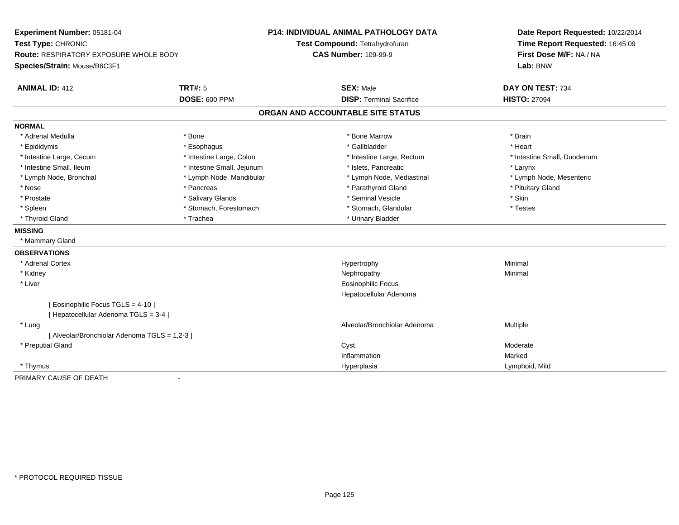| Experiment Number: 05181-04                                         |                            | P14: INDIVIDUAL ANIMAL PATHOLOGY DATA | Date Report Requested: 10/22/2014                          |  |
|---------------------------------------------------------------------|----------------------------|---------------------------------------|------------------------------------------------------------|--|
| Test Type: CHRONIC<br><b>Route: RESPIRATORY EXPOSURE WHOLE BODY</b> |                            | Test Compound: Tetrahydrofuran        | Time Report Requested: 16:45:09<br>First Dose M/F: NA / NA |  |
|                                                                     |                            | <b>CAS Number: 109-99-9</b>           |                                                            |  |
| Species/Strain: Mouse/B6C3F1                                        |                            |                                       | Lab: BNW                                                   |  |
| <b>ANIMAL ID: 412</b>                                               | TRT#: 5                    | <b>SEX: Male</b>                      | DAY ON TEST: 734                                           |  |
|                                                                     | <b>DOSE: 600 PPM</b>       | <b>DISP: Terminal Sacrifice</b>       | <b>HISTO: 27094</b>                                        |  |
|                                                                     |                            | ORGAN AND ACCOUNTABLE SITE STATUS     |                                                            |  |
| <b>NORMAL</b>                                                       |                            |                                       |                                                            |  |
| * Adrenal Medulla                                                   | * Bone                     | * Bone Marrow                         | * Brain                                                    |  |
| * Epididymis                                                        | * Esophagus                | * Gallbladder                         | * Heart                                                    |  |
| * Intestine Large, Cecum                                            | * Intestine Large, Colon   | * Intestine Large, Rectum             | * Intestine Small, Duodenum                                |  |
| * Intestine Small, Ileum                                            | * Intestine Small, Jejunum | * Islets, Pancreatic                  | * Larynx                                                   |  |
| * Lymph Node, Bronchial                                             | * Lymph Node, Mandibular   | * Lymph Node, Mediastinal             | * Lymph Node, Mesenteric                                   |  |
| * Nose                                                              | * Pancreas                 | * Parathyroid Gland                   | * Pituitary Gland                                          |  |
| * Prostate                                                          | * Salivary Glands          | * Seminal Vesicle                     | * Skin                                                     |  |
| * Spleen                                                            | * Stomach, Forestomach     | * Stomach, Glandular                  | * Testes                                                   |  |
| * Thyroid Gland                                                     | * Trachea                  | * Urinary Bladder                     |                                                            |  |
| <b>MISSING</b>                                                      |                            |                                       |                                                            |  |
| * Mammary Gland                                                     |                            |                                       |                                                            |  |
| <b>OBSERVATIONS</b>                                                 |                            |                                       |                                                            |  |
| * Adrenal Cortex                                                    |                            | Hypertrophy                           | Minimal                                                    |  |
| * Kidney                                                            |                            | Nephropathy                           | Minimal                                                    |  |
| * Liver                                                             |                            | <b>Eosinophilic Focus</b>             |                                                            |  |
|                                                                     |                            | Hepatocellular Adenoma                |                                                            |  |
| [ Eosinophilic Focus TGLS = 4-10 ]                                  |                            |                                       |                                                            |  |
| [ Hepatocellular Adenoma TGLS = 3-4 ]                               |                            |                                       |                                                            |  |
| * Lung                                                              |                            | Alveolar/Bronchiolar Adenoma          | Multiple                                                   |  |
| [ Alveolar/Bronchiolar Adenoma TGLS = 1,2-3 ]                       |                            |                                       |                                                            |  |
| * Preputial Gland                                                   |                            | Cyst                                  | Moderate                                                   |  |
|                                                                     |                            | Inflammation                          | Marked                                                     |  |
| * Thymus                                                            |                            | Hyperplasia                           | Lymphoid, Mild                                             |  |
| PRIMARY CAUSE OF DEATH                                              | $\blacksquare$             |                                       |                                                            |  |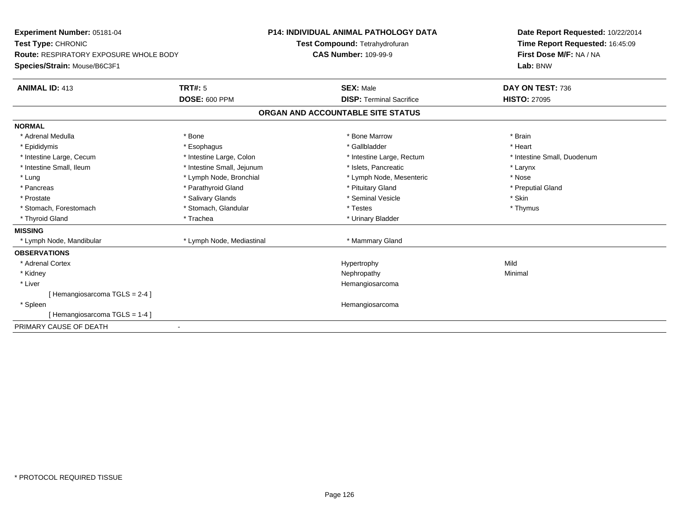| Experiment Number: 05181-04                   |                            | <b>P14: INDIVIDUAL ANIMAL PATHOLOGY DATA</b> | Date Report Requested: 10/22/2014 |  |
|-----------------------------------------------|----------------------------|----------------------------------------------|-----------------------------------|--|
| Test Type: CHRONIC                            |                            | Test Compound: Tetrahydrofuran               | Time Report Requested: 16:45:09   |  |
| <b>Route: RESPIRATORY EXPOSURE WHOLE BODY</b> |                            | <b>CAS Number: 109-99-9</b>                  | First Dose M/F: NA / NA           |  |
| Species/Strain: Mouse/B6C3F1                  |                            |                                              | Lab: BNW                          |  |
| <b>ANIMAL ID: 413</b>                         | <b>TRT#: 5</b>             | <b>SEX: Male</b>                             | DAY ON TEST: 736                  |  |
|                                               | <b>DOSE: 600 PPM</b>       | <b>DISP: Terminal Sacrifice</b>              | <b>HISTO: 27095</b>               |  |
|                                               |                            | ORGAN AND ACCOUNTABLE SITE STATUS            |                                   |  |
| <b>NORMAL</b>                                 |                            |                                              |                                   |  |
| * Adrenal Medulla                             | * Bone                     | * Bone Marrow                                | * Brain                           |  |
| * Epididymis                                  | * Esophagus                | * Gallbladder                                | * Heart                           |  |
| * Intestine Large, Cecum                      | * Intestine Large, Colon   | * Intestine Large, Rectum                    | * Intestine Small, Duodenum       |  |
| * Intestine Small, Ileum                      | * Intestine Small, Jejunum | * Islets. Pancreatic                         | * Larynx                          |  |
| * Lung                                        | * Lymph Node, Bronchial    | * Lymph Node, Mesenteric                     | * Nose                            |  |
| * Pancreas                                    | * Parathyroid Gland        | * Pituitary Gland                            | * Preputial Gland                 |  |
| * Prostate                                    | * Salivary Glands          | * Seminal Vesicle                            | * Skin                            |  |
| * Stomach, Forestomach                        | * Stomach, Glandular       | * Testes                                     | * Thymus                          |  |
| * Thyroid Gland                               | * Trachea                  | * Urinary Bladder                            |                                   |  |
| <b>MISSING</b>                                |                            |                                              |                                   |  |
| * Lymph Node, Mandibular                      | * Lymph Node, Mediastinal  | * Mammary Gland                              |                                   |  |
| <b>OBSERVATIONS</b>                           |                            |                                              |                                   |  |
| * Adrenal Cortex                              |                            | Hypertrophy                                  | Mild                              |  |
| * Kidney                                      |                            | Nephropathy                                  | Minimal                           |  |
| * Liver                                       |                            | Hemangiosarcoma                              |                                   |  |
| [Hemangiosarcoma TGLS = 2-4]                  |                            |                                              |                                   |  |
| * Spleen                                      |                            | Hemangiosarcoma                              |                                   |  |
| [Hemangiosarcoma TGLS = 1-4]                  |                            |                                              |                                   |  |
| PRIMARY CAUSE OF DEATH                        |                            |                                              |                                   |  |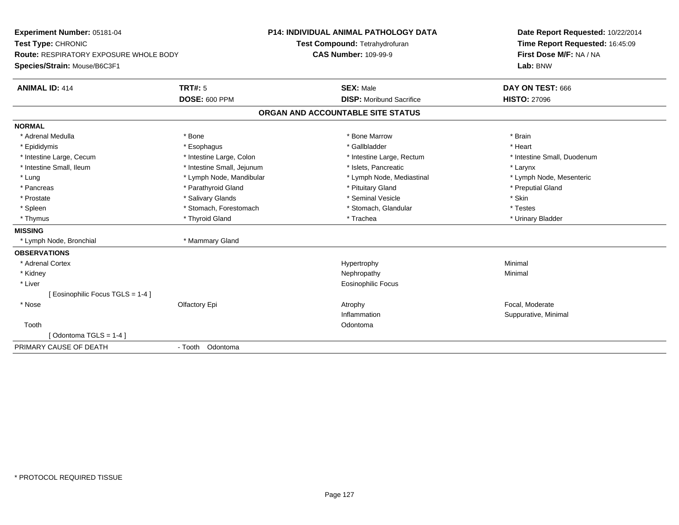| Experiment Number: 05181-04<br>Test Type: CHRONIC |                            | P14: INDIVIDUAL ANIMAL PATHOLOGY DATA | Date Report Requested: 10/22/2014<br>Time Report Requested: 16:45:09 |
|---------------------------------------------------|----------------------------|---------------------------------------|----------------------------------------------------------------------|
|                                                   |                            | Test Compound: Tetrahydrofuran        |                                                                      |
| <b>Route: RESPIRATORY EXPOSURE WHOLE BODY</b>     |                            | <b>CAS Number: 109-99-9</b>           | First Dose M/F: NA / NA                                              |
| Species/Strain: Mouse/B6C3F1                      |                            |                                       | Lab: BNW                                                             |
| <b>ANIMAL ID: 414</b>                             | <b>TRT#: 5</b>             | <b>SEX: Male</b>                      | DAY ON TEST: 666                                                     |
|                                                   | <b>DOSE: 600 PPM</b>       | <b>DISP:</b> Moribund Sacrifice       | <b>HISTO: 27096</b>                                                  |
|                                                   |                            | ORGAN AND ACCOUNTABLE SITE STATUS     |                                                                      |
| <b>NORMAL</b>                                     |                            |                                       |                                                                      |
| * Adrenal Medulla                                 | * Bone                     | * Bone Marrow                         | * Brain                                                              |
| * Epididymis                                      | * Esophagus                | * Gallbladder                         | * Heart                                                              |
| * Intestine Large, Cecum                          | * Intestine Large, Colon   | * Intestine Large, Rectum             | * Intestine Small, Duodenum                                          |
| * Intestine Small, Ileum                          | * Intestine Small, Jejunum | * Islets, Pancreatic                  | * Larynx                                                             |
| * Lung                                            | * Lymph Node, Mandibular   | * Lymph Node, Mediastinal             | * Lymph Node, Mesenteric                                             |
| * Pancreas                                        | * Parathyroid Gland        | * Pituitary Gland                     | * Preputial Gland                                                    |
| * Prostate                                        | * Salivary Glands          | * Seminal Vesicle                     | * Skin                                                               |
| * Spleen                                          | * Stomach, Forestomach     | * Stomach, Glandular                  | * Testes                                                             |
| * Thymus                                          | * Thyroid Gland            | * Trachea                             | * Urinary Bladder                                                    |
| <b>MISSING</b>                                    |                            |                                       |                                                                      |
| * Lymph Node, Bronchial                           | * Mammary Gland            |                                       |                                                                      |
| <b>OBSERVATIONS</b>                               |                            |                                       |                                                                      |
| * Adrenal Cortex                                  |                            | Hypertrophy                           | Minimal                                                              |
| * Kidney                                          |                            | Nephropathy                           | Minimal                                                              |
| * Liver                                           |                            | Eosinophilic Focus                    |                                                                      |
| [Eosinophilic Focus TGLS = 1-4]                   |                            |                                       |                                                                      |
| * Nose                                            | Olfactory Epi              | Atrophy                               | Focal. Moderate                                                      |
|                                                   |                            | Inflammation                          | Suppurative, Minimal                                                 |
| Tooth                                             |                            | Odontoma                              |                                                                      |
| [Odontoma TGLS = $1-4$ ]                          |                            |                                       |                                                                      |
| PRIMARY CAUSE OF DEATH                            | - Tooth Odontoma           |                                       |                                                                      |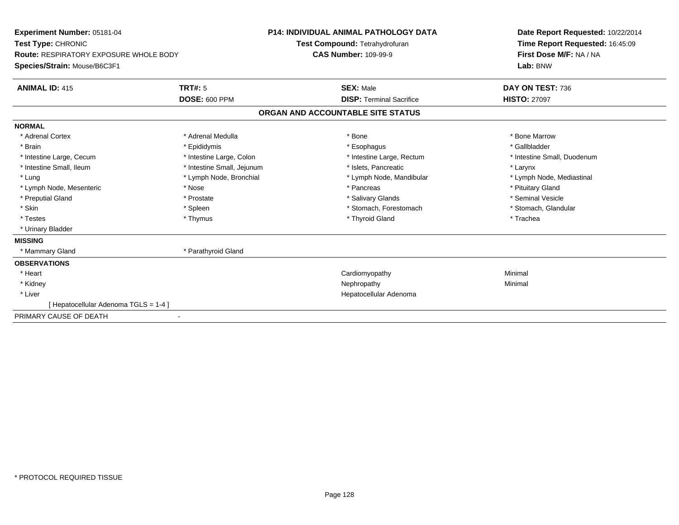| Experiment Number: 05181-04<br>Test Type: CHRONIC<br><b>Route: RESPIRATORY EXPOSURE WHOLE BODY</b><br>Species/Strain: Mouse/B6C3F1<br><b>TRT#: 5</b><br><b>ANIMAL ID: 415</b> |                            | <b>P14: INDIVIDUAL ANIMAL PATHOLOGY DATA</b><br>Test Compound: Tetrahydrofuran<br><b>CAS Number: 109-99-9</b> |                                                     | Date Report Requested: 10/22/2014<br>Time Report Requested: 16:45:09<br>First Dose M/F: NA / NA<br>Lab: BNW |
|-------------------------------------------------------------------------------------------------------------------------------------------------------------------------------|----------------------------|---------------------------------------------------------------------------------------------------------------|-----------------------------------------------------|-------------------------------------------------------------------------------------------------------------|
|                                                                                                                                                                               | <b>DOSE: 600 PPM</b>       |                                                                                                               | <b>SEX: Male</b><br><b>DISP: Terminal Sacrifice</b> | DAY ON TEST: 736<br><b>HISTO: 27097</b>                                                                     |
|                                                                                                                                                                               |                            |                                                                                                               | ORGAN AND ACCOUNTABLE SITE STATUS                   |                                                                                                             |
| <b>NORMAL</b>                                                                                                                                                                 |                            |                                                                                                               |                                                     |                                                                                                             |
| * Adrenal Cortex                                                                                                                                                              | * Adrenal Medulla          |                                                                                                               | * Bone                                              | * Bone Marrow                                                                                               |
| * Brain                                                                                                                                                                       | * Epididymis               |                                                                                                               | * Esophagus                                         | * Gallbladder                                                                                               |
| * Intestine Large, Cecum                                                                                                                                                      | * Intestine Large, Colon   |                                                                                                               | * Intestine Large, Rectum                           | * Intestine Small, Duodenum                                                                                 |
| * Intestine Small, Ileum                                                                                                                                                      | * Intestine Small, Jejunum |                                                                                                               | * Islets, Pancreatic                                | * Larynx                                                                                                    |
| * Lung                                                                                                                                                                        | * Lymph Node, Bronchial    |                                                                                                               | * Lymph Node, Mandibular                            | * Lymph Node, Mediastinal                                                                                   |
| * Lymph Node, Mesenteric                                                                                                                                                      | * Nose                     |                                                                                                               | * Pancreas                                          | * Pituitary Gland                                                                                           |
| * Preputial Gland                                                                                                                                                             | * Prostate                 |                                                                                                               | * Salivary Glands                                   | * Seminal Vesicle                                                                                           |
| * Skin                                                                                                                                                                        | * Spleen                   |                                                                                                               | * Stomach, Forestomach                              | * Stomach, Glandular                                                                                        |
| * Testes                                                                                                                                                                      | * Thymus                   |                                                                                                               | * Thyroid Gland                                     | * Trachea                                                                                                   |
| * Urinary Bladder                                                                                                                                                             |                            |                                                                                                               |                                                     |                                                                                                             |
| <b>MISSING</b>                                                                                                                                                                |                            |                                                                                                               |                                                     |                                                                                                             |
| * Mammary Gland                                                                                                                                                               | * Parathyroid Gland        |                                                                                                               |                                                     |                                                                                                             |
| <b>OBSERVATIONS</b>                                                                                                                                                           |                            |                                                                                                               |                                                     |                                                                                                             |
| * Heart                                                                                                                                                                       |                            |                                                                                                               | Cardiomyopathy                                      | Minimal                                                                                                     |
| * Kidney                                                                                                                                                                      |                            |                                                                                                               | Nephropathy                                         | Minimal                                                                                                     |
| * Liver                                                                                                                                                                       |                            |                                                                                                               | Hepatocellular Adenoma                              |                                                                                                             |
| [Hepatocellular Adenoma TGLS = 1-4]                                                                                                                                           |                            |                                                                                                               |                                                     |                                                                                                             |
| PRIMARY CAUSE OF DEATH                                                                                                                                                        |                            |                                                                                                               |                                                     |                                                                                                             |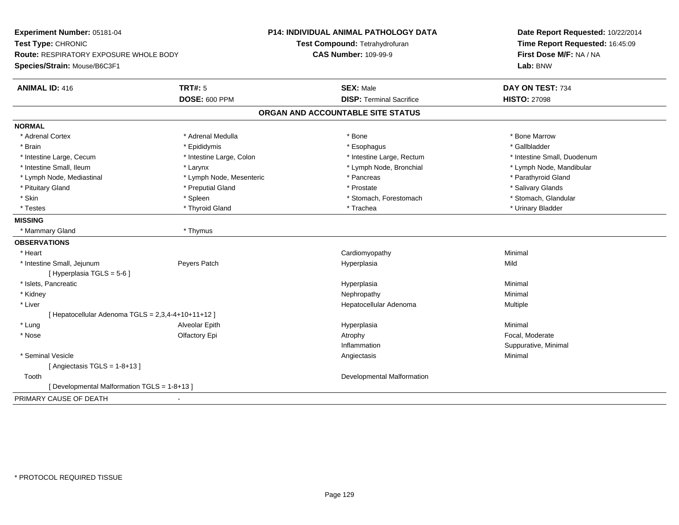| Experiment Number: 05181-04                          |                          | <b>P14: INDIVIDUAL ANIMAL PATHOLOGY DATA</b> | Date Report Requested: 10/22/2014 |  |
|------------------------------------------------------|--------------------------|----------------------------------------------|-----------------------------------|--|
| Test Type: CHRONIC                                   |                          | Test Compound: Tetrahydrofuran               | Time Report Requested: 16:45:09   |  |
| <b>Route: RESPIRATORY EXPOSURE WHOLE BODY</b>        |                          | <b>CAS Number: 109-99-9</b>                  | First Dose M/F: NA / NA           |  |
| Species/Strain: Mouse/B6C3F1                         |                          |                                              | Lab: BNW                          |  |
| <b>ANIMAL ID: 416</b>                                | <b>TRT#: 5</b>           | <b>SEX: Male</b>                             | DAY ON TEST: 734                  |  |
|                                                      | <b>DOSE: 600 PPM</b>     | <b>DISP: Terminal Sacrifice</b>              | <b>HISTO: 27098</b>               |  |
|                                                      |                          | ORGAN AND ACCOUNTABLE SITE STATUS            |                                   |  |
| <b>NORMAL</b>                                        |                          |                                              |                                   |  |
| * Adrenal Cortex                                     | * Adrenal Medulla        | * Bone                                       | * Bone Marrow                     |  |
| * Brain                                              | * Epididymis             | * Esophagus                                  | * Gallbladder                     |  |
| * Intestine Large, Cecum                             | * Intestine Large, Colon | * Intestine Large, Rectum                    | * Intestine Small, Duodenum       |  |
| * Intestine Small, Ileum                             | * Larynx                 | * Lymph Node, Bronchial                      | * Lymph Node, Mandibular          |  |
| * Lymph Node, Mediastinal                            | * Lymph Node, Mesenteric | * Pancreas                                   | * Parathyroid Gland               |  |
| * Pituitary Gland                                    | * Preputial Gland        | * Prostate                                   | * Salivary Glands                 |  |
| * Skin                                               | * Spleen                 | * Stomach, Forestomach                       | * Stomach, Glandular              |  |
| * Testes                                             | * Thyroid Gland          | * Trachea                                    | * Urinary Bladder                 |  |
| <b>MISSING</b>                                       |                          |                                              |                                   |  |
| * Mammary Gland                                      | * Thymus                 |                                              |                                   |  |
| <b>OBSERVATIONS</b>                                  |                          |                                              |                                   |  |
| * Heart                                              |                          | Cardiomyopathy                               | Minimal                           |  |
| * Intestine Small, Jejunum                           | Peyers Patch             | Hyperplasia                                  | Mild                              |  |
| [ Hyperplasia TGLS = 5-6 ]                           |                          |                                              |                                   |  |
| * Islets, Pancreatic                                 |                          | Hyperplasia                                  | Minimal                           |  |
| * Kidney                                             |                          | Nephropathy                                  | Minimal                           |  |
| * Liver                                              |                          | Hepatocellular Adenoma                       | Multiple                          |  |
| [ Hepatocellular Adenoma TGLS = $2,3,4-4+10+11+12$ ] |                          |                                              |                                   |  |
| * Lung                                               | Alveolar Epith           | Hyperplasia                                  | Minimal                           |  |
| * Nose                                               | Olfactory Epi            | Atrophy                                      | Focal, Moderate                   |  |
|                                                      |                          | Inflammation                                 | Suppurative, Minimal              |  |
| * Seminal Vesicle                                    |                          | Angiectasis                                  | Minimal                           |  |
| [Angiectasis TGLS = $1-8+13$ ]                       |                          |                                              |                                   |  |
| Tooth                                                |                          | Developmental Malformation                   |                                   |  |
| [ Developmental Malformation TGLS = 1-8+13 ]         |                          |                                              |                                   |  |
| PRIMARY CAUSE OF DEATH                               |                          |                                              |                                   |  |
|                                                      |                          |                                              |                                   |  |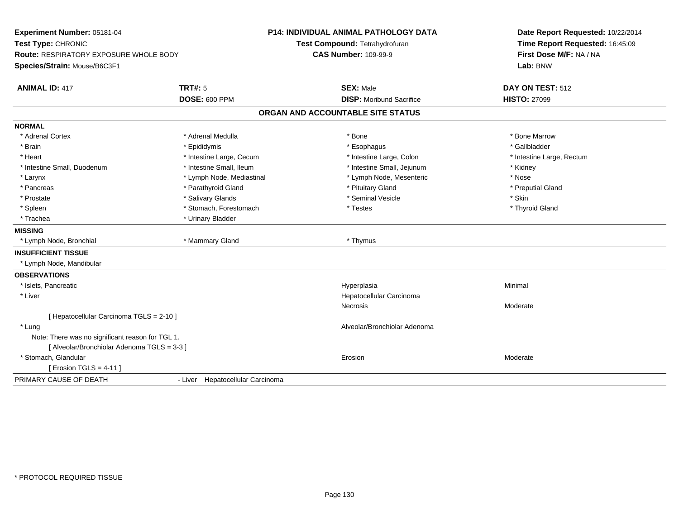| Experiment Number: 05181-04<br>Test Type: CHRONIC<br><b>Route: RESPIRATORY EXPOSURE WHOLE BODY</b> |                                  | <b>P14: INDIVIDUAL ANIMAL PATHOLOGY DATA</b> | Date Report Requested: 10/22/2014<br>Time Report Requested: 16:45:09<br>First Dose M/F: NA / NA |
|----------------------------------------------------------------------------------------------------|----------------------------------|----------------------------------------------|-------------------------------------------------------------------------------------------------|
|                                                                                                    |                                  | Test Compound: Tetrahydrofuran               |                                                                                                 |
|                                                                                                    |                                  | <b>CAS Number: 109-99-9</b>                  |                                                                                                 |
| Species/Strain: Mouse/B6C3F1                                                                       |                                  |                                              | Lab: BNW                                                                                        |
| <b>ANIMAL ID: 417</b>                                                                              | <b>TRT#: 5</b>                   | <b>SEX: Male</b>                             | DAY ON TEST: 512                                                                                |
|                                                                                                    | <b>DOSE: 600 PPM</b>             | <b>DISP:</b> Moribund Sacrifice              | <b>HISTO: 27099</b>                                                                             |
|                                                                                                    |                                  | ORGAN AND ACCOUNTABLE SITE STATUS            |                                                                                                 |
| <b>NORMAL</b>                                                                                      |                                  |                                              |                                                                                                 |
| * Adrenal Cortex                                                                                   | * Adrenal Medulla                | * Bone                                       | * Bone Marrow                                                                                   |
| * Brain                                                                                            | * Epididymis                     | * Esophagus                                  | * Gallbladder                                                                                   |
| * Heart                                                                                            | * Intestine Large, Cecum         | * Intestine Large, Colon                     | * Intestine Large, Rectum                                                                       |
| * Intestine Small, Duodenum                                                                        | * Intestine Small, Ileum         | * Intestine Small, Jejunum                   | * Kidney                                                                                        |
| * Larynx                                                                                           | * Lymph Node, Mediastinal        | * Lymph Node, Mesenteric                     | * Nose                                                                                          |
| * Pancreas                                                                                         | * Parathyroid Gland              | * Pituitary Gland                            | * Preputial Gland                                                                               |
| * Prostate                                                                                         | * Salivary Glands                | * Seminal Vesicle                            | * Skin                                                                                          |
| * Spleen                                                                                           | * Stomach, Forestomach           | * Testes                                     | * Thyroid Gland                                                                                 |
| * Trachea                                                                                          | * Urinary Bladder                |                                              |                                                                                                 |
| <b>MISSING</b>                                                                                     |                                  |                                              |                                                                                                 |
| * Lymph Node, Bronchial                                                                            | * Mammary Gland                  | * Thymus                                     |                                                                                                 |
| <b>INSUFFICIENT TISSUE</b>                                                                         |                                  |                                              |                                                                                                 |
| * Lymph Node, Mandibular                                                                           |                                  |                                              |                                                                                                 |
| <b>OBSERVATIONS</b>                                                                                |                                  |                                              |                                                                                                 |
| * Islets, Pancreatic                                                                               |                                  | Hyperplasia                                  | Minimal                                                                                         |
| * Liver                                                                                            |                                  | Hepatocellular Carcinoma                     |                                                                                                 |
|                                                                                                    |                                  | <b>Necrosis</b>                              | Moderate                                                                                        |
| [ Hepatocellular Carcinoma TGLS = 2-10 ]                                                           |                                  |                                              |                                                                                                 |
| * Lung                                                                                             |                                  | Alveolar/Bronchiolar Adenoma                 |                                                                                                 |
| Note: There was no significant reason for TGL 1.                                                   |                                  |                                              |                                                                                                 |
| [ Alveolar/Bronchiolar Adenoma TGLS = 3-3 ]                                                        |                                  |                                              |                                                                                                 |
| * Stomach, Glandular                                                                               |                                  | Erosion                                      | Moderate                                                                                        |
| [ Erosion TGLS = $4-11$ ]                                                                          |                                  |                                              |                                                                                                 |
| PRIMARY CAUSE OF DEATH                                                                             | - Liver Hepatocellular Carcinoma |                                              |                                                                                                 |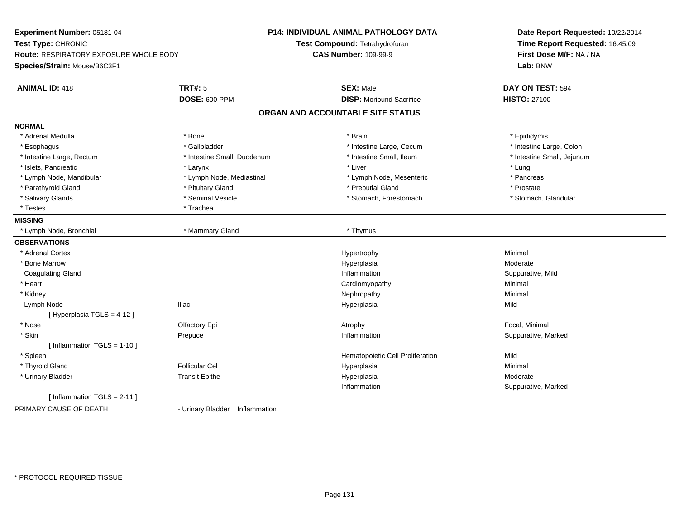| Experiment Number: 05181-04                   |                                | <b>P14: INDIVIDUAL ANIMAL PATHOLOGY DATA</b> | Date Report Requested: 10/22/2014 |  |
|-----------------------------------------------|--------------------------------|----------------------------------------------|-----------------------------------|--|
| Test Type: CHRONIC                            |                                | Test Compound: Tetrahydrofuran               | Time Report Requested: 16:45:09   |  |
| <b>Route: RESPIRATORY EXPOSURE WHOLE BODY</b> |                                | <b>CAS Number: 109-99-9</b>                  | First Dose M/F: NA / NA           |  |
| Species/Strain: Mouse/B6C3F1                  |                                |                                              | Lab: BNW                          |  |
| <b>ANIMAL ID: 418</b>                         | <b>TRT#: 5</b>                 | <b>SEX: Male</b>                             | DAY ON TEST: 594                  |  |
|                                               | <b>DOSE: 600 PPM</b>           | <b>DISP:</b> Moribund Sacrifice              | <b>HISTO: 27100</b>               |  |
|                                               |                                | ORGAN AND ACCOUNTABLE SITE STATUS            |                                   |  |
| <b>NORMAL</b>                                 |                                |                                              |                                   |  |
| * Adrenal Medulla                             | * Bone                         | * Brain                                      | * Epididymis                      |  |
| * Esophagus                                   | * Gallbladder                  | * Intestine Large, Cecum                     | * Intestine Large, Colon          |  |
| * Intestine Large, Rectum                     | * Intestine Small, Duodenum    | * Intestine Small, Ileum                     | * Intestine Small, Jejunum        |  |
| * Islets, Pancreatic                          | * Larynx                       | * Liver                                      | * Lung                            |  |
| * Lymph Node, Mandibular                      | * Lymph Node, Mediastinal      | * Lymph Node, Mesenteric                     | * Pancreas                        |  |
| * Parathyroid Gland                           | * Pituitary Gland              | * Preputial Gland                            | * Prostate                        |  |
| * Salivary Glands                             | * Seminal Vesicle              | * Stomach, Forestomach                       | * Stomach, Glandular              |  |
| * Testes                                      | * Trachea                      |                                              |                                   |  |
| <b>MISSING</b>                                |                                |                                              |                                   |  |
| * Lymph Node, Bronchial                       | * Mammary Gland                | * Thymus                                     |                                   |  |
| <b>OBSERVATIONS</b>                           |                                |                                              |                                   |  |
| * Adrenal Cortex                              |                                | Hypertrophy                                  | Minimal                           |  |
| * Bone Marrow                                 |                                | Hyperplasia                                  | Moderate                          |  |
| <b>Coagulating Gland</b>                      |                                | Inflammation                                 | Suppurative, Mild                 |  |
| * Heart                                       |                                | Cardiomyopathy                               | Minimal                           |  |
| * Kidney                                      |                                | Nephropathy                                  | Minimal                           |  |
| Lymph Node                                    | <b>Iliac</b>                   | Hyperplasia                                  | Mild                              |  |
| [ Hyperplasia TGLS = 4-12 ]                   |                                |                                              |                                   |  |
| $^{\star}$ Nose                               | Olfactory Epi                  | Atrophy                                      | Focal, Minimal                    |  |
| * Skin                                        | Prepuce                        | Inflammation                                 | Suppurative, Marked               |  |
| [ Inflammation $TGLS = 1-10$ ]                |                                |                                              |                                   |  |
| * Spleen                                      |                                | Hematopoietic Cell Proliferation             | Mild                              |  |
| * Thyroid Gland                               | <b>Follicular Cel</b>          | Hyperplasia                                  | Minimal                           |  |
| * Urinary Bladder                             | <b>Transit Epithe</b>          | Hyperplasia                                  | Moderate                          |  |
|                                               |                                | Inflammation                                 | Suppurative, Marked               |  |
| [Inflammation TGLS = $2-11$ ]                 |                                |                                              |                                   |  |
| PRIMARY CAUSE OF DEATH                        | - Urinary Bladder Inflammation |                                              |                                   |  |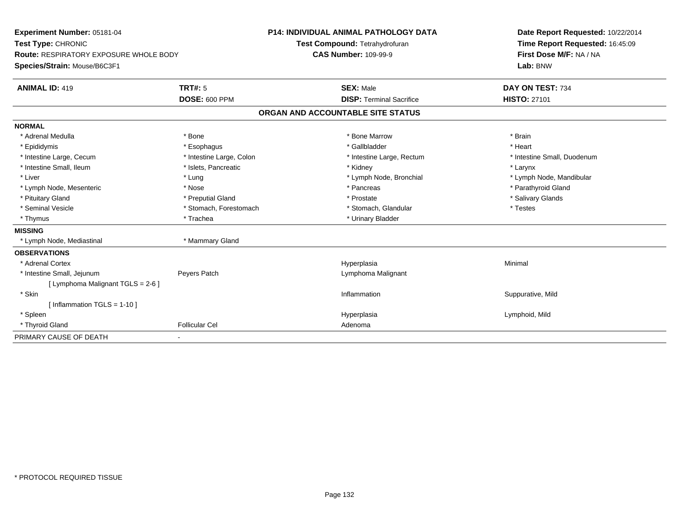| <b>Experiment Number: 05181-04</b><br>Test Type: CHRONIC |                          | <b>P14: INDIVIDUAL ANIMAL PATHOLOGY DATA</b> | Date Report Requested: 10/22/2014 |
|----------------------------------------------------------|--------------------------|----------------------------------------------|-----------------------------------|
|                                                          |                          | Test Compound: Tetrahydrofuran               | Time Report Requested: 16:45:09   |
| <b>Route: RESPIRATORY EXPOSURE WHOLE BODY</b>            |                          | <b>CAS Number: 109-99-9</b>                  | First Dose M/F: NA / NA           |
| Species/Strain: Mouse/B6C3F1                             |                          |                                              | Lab: BNW                          |
| <b>ANIMAL ID: 419</b>                                    | TRT#: 5                  | <b>SEX: Male</b>                             | DAY ON TEST: 734                  |
|                                                          | <b>DOSE: 600 PPM</b>     | <b>DISP: Terminal Sacrifice</b>              | <b>HISTO: 27101</b>               |
|                                                          |                          | ORGAN AND ACCOUNTABLE SITE STATUS            |                                   |
| <b>NORMAL</b>                                            |                          |                                              |                                   |
| * Adrenal Medulla                                        | * Bone                   | * Bone Marrow                                | * Brain                           |
| * Epididymis                                             | * Esophagus              | * Gallbladder                                | * Heart                           |
| * Intestine Large, Cecum                                 | * Intestine Large, Colon | * Intestine Large, Rectum                    | * Intestine Small, Duodenum       |
| * Intestine Small, Ileum                                 | * Islets, Pancreatic     | * Kidney                                     | * Larynx                          |
| * Liver                                                  | * Lung                   | * Lymph Node, Bronchial                      | * Lymph Node, Mandibular          |
| * Lymph Node, Mesenteric                                 | * Nose                   | * Pancreas                                   | * Parathyroid Gland               |
| * Pituitary Gland                                        | * Preputial Gland        | * Prostate                                   | * Salivary Glands                 |
| * Seminal Vesicle                                        | * Stomach, Forestomach   | * Stomach, Glandular                         | * Testes                          |
| * Thymus                                                 | * Trachea                | * Urinary Bladder                            |                                   |
| <b>MISSING</b>                                           |                          |                                              |                                   |
| * Lymph Node, Mediastinal                                | * Mammary Gland          |                                              |                                   |
| <b>OBSERVATIONS</b>                                      |                          |                                              |                                   |
| * Adrenal Cortex                                         |                          | Hyperplasia                                  | Minimal                           |
| * Intestine Small, Jejunum                               | Peyers Patch             | Lymphoma Malignant                           |                                   |
| [ Lymphoma Malignant TGLS = 2-6 ]                        |                          |                                              |                                   |
| * Skin                                                   |                          | Inflammation                                 | Suppurative, Mild                 |
| [Inflammation TGLS = $1-10$ ]                            |                          |                                              |                                   |
| * Spleen                                                 |                          | Hyperplasia                                  | Lymphoid, Mild                    |
| * Thyroid Gland                                          | <b>Follicular Cel</b>    | Adenoma                                      |                                   |
| PRIMARY CAUSE OF DEATH                                   |                          |                                              |                                   |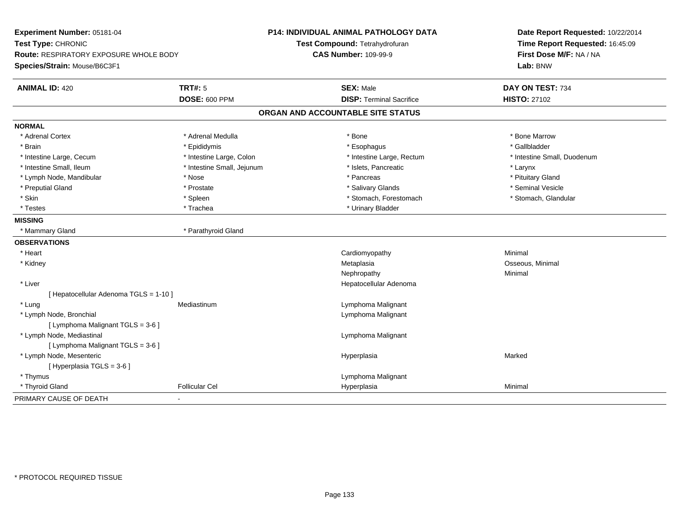| Time Report Requested: 16:45:09<br>Test Compound: Tetrahydrofuran<br><b>CAS Number: 109-99-9</b><br>First Dose M/F: NA / NA<br><b>Route: RESPIRATORY EXPOSURE WHOLE BODY</b><br>Lab: BNW<br><b>ANIMAL ID: 420</b><br><b>TRT#: 5</b><br>DAY ON TEST: 734<br><b>SEX: Male</b><br><b>DOSE: 600 PPM</b><br><b>DISP: Terminal Sacrifice</b><br><b>HISTO: 27102</b><br>ORGAN AND ACCOUNTABLE SITE STATUS<br>* Bone Marrow<br>* Adrenal Cortex<br>* Adrenal Medulla<br>* Bone<br>* Gallbladder<br>* Brain<br>* Epididymis<br>* Esophagus<br>* Intestine Large, Cecum<br>* Intestine Large, Colon<br>* Intestine Large, Rectum<br>* Intestine Small, Duodenum<br>* Intestine Small, Ileum<br>* Intestine Small, Jejunum<br>* Islets, Pancreatic<br>* Larynx<br>* Lymph Node, Mandibular<br>* Nose<br>* Pancreas<br>* Pituitary Gland<br>* Preputial Gland<br>* Salivary Glands<br>* Seminal Vesicle<br>* Prostate<br>* Skin<br>* Stomach, Forestomach<br>$*$ Spleen<br>* Stomach, Glandular<br>* Urinary Bladder<br>* Testes<br>* Trachea<br><b>MISSING</b><br>* Mammary Gland<br>* Parathyroid Gland<br>Cardiomyopathy<br>Minimal<br>* Heart<br>Osseous, Minimal<br>* Kidney<br>Metaplasia<br>Nephropathy<br>Minimal<br>* Liver<br>Hepatocellular Adenoma<br>[ Hepatocellular Adenoma TGLS = 1-10 ]<br>* Lung<br>Lymphoma Malignant<br>Mediastinum<br>* Lymph Node, Bronchial<br>Lymphoma Malignant<br>[ Lymphoma Malignant TGLS = 3-6 ]<br>* Lymph Node, Mediastinal<br>Lymphoma Malignant<br>[ Lymphoma Malignant TGLS = 3-6 ]<br>* Lymph Node, Mesenteric<br>Hyperplasia<br>Marked<br>[ Hyperplasia TGLS = 3-6 ]<br>* Thymus<br>Lymphoma Malignant<br>* Thyroid Gland<br><b>Follicular Cel</b><br>Hyperplasia<br>Minimal | Experiment Number: 05181-04  | P14: INDIVIDUAL ANIMAL PATHOLOGY DATA | Date Report Requested: 10/22/2014 |
|----------------------------------------------------------------------------------------------------------------------------------------------------------------------------------------------------------------------------------------------------------------------------------------------------------------------------------------------------------------------------------------------------------------------------------------------------------------------------------------------------------------------------------------------------------------------------------------------------------------------------------------------------------------------------------------------------------------------------------------------------------------------------------------------------------------------------------------------------------------------------------------------------------------------------------------------------------------------------------------------------------------------------------------------------------------------------------------------------------------------------------------------------------------------------------------------------------------------------------------------------------------------------------------------------------------------------------------------------------------------------------------------------------------------------------------------------------------------------------------------------------------------------------------------------------------------------------------------------------------------------------------------------------------------------------------------------------------------|------------------------------|---------------------------------------|-----------------------------------|
|                                                                                                                                                                                                                                                                                                                                                                                                                                                                                                                                                                                                                                                                                                                                                                                                                                                                                                                                                                                                                                                                                                                                                                                                                                                                                                                                                                                                                                                                                                                                                                                                                                                                                                                      | Test Type: CHRONIC           |                                       |                                   |
|                                                                                                                                                                                                                                                                                                                                                                                                                                                                                                                                                                                                                                                                                                                                                                                                                                                                                                                                                                                                                                                                                                                                                                                                                                                                                                                                                                                                                                                                                                                                                                                                                                                                                                                      |                              |                                       |                                   |
|                                                                                                                                                                                                                                                                                                                                                                                                                                                                                                                                                                                                                                                                                                                                                                                                                                                                                                                                                                                                                                                                                                                                                                                                                                                                                                                                                                                                                                                                                                                                                                                                                                                                                                                      | Species/Strain: Mouse/B6C3F1 |                                       |                                   |
|                                                                                                                                                                                                                                                                                                                                                                                                                                                                                                                                                                                                                                                                                                                                                                                                                                                                                                                                                                                                                                                                                                                                                                                                                                                                                                                                                                                                                                                                                                                                                                                                                                                                                                                      |                              |                                       |                                   |
|                                                                                                                                                                                                                                                                                                                                                                                                                                                                                                                                                                                                                                                                                                                                                                                                                                                                                                                                                                                                                                                                                                                                                                                                                                                                                                                                                                                                                                                                                                                                                                                                                                                                                                                      |                              |                                       |                                   |
|                                                                                                                                                                                                                                                                                                                                                                                                                                                                                                                                                                                                                                                                                                                                                                                                                                                                                                                                                                                                                                                                                                                                                                                                                                                                                                                                                                                                                                                                                                                                                                                                                                                                                                                      |                              |                                       |                                   |
|                                                                                                                                                                                                                                                                                                                                                                                                                                                                                                                                                                                                                                                                                                                                                                                                                                                                                                                                                                                                                                                                                                                                                                                                                                                                                                                                                                                                                                                                                                                                                                                                                                                                                                                      | <b>NORMAL</b>                |                                       |                                   |
|                                                                                                                                                                                                                                                                                                                                                                                                                                                                                                                                                                                                                                                                                                                                                                                                                                                                                                                                                                                                                                                                                                                                                                                                                                                                                                                                                                                                                                                                                                                                                                                                                                                                                                                      |                              |                                       |                                   |
|                                                                                                                                                                                                                                                                                                                                                                                                                                                                                                                                                                                                                                                                                                                                                                                                                                                                                                                                                                                                                                                                                                                                                                                                                                                                                                                                                                                                                                                                                                                                                                                                                                                                                                                      |                              |                                       |                                   |
|                                                                                                                                                                                                                                                                                                                                                                                                                                                                                                                                                                                                                                                                                                                                                                                                                                                                                                                                                                                                                                                                                                                                                                                                                                                                                                                                                                                                                                                                                                                                                                                                                                                                                                                      |                              |                                       |                                   |
|                                                                                                                                                                                                                                                                                                                                                                                                                                                                                                                                                                                                                                                                                                                                                                                                                                                                                                                                                                                                                                                                                                                                                                                                                                                                                                                                                                                                                                                                                                                                                                                                                                                                                                                      |                              |                                       |                                   |
|                                                                                                                                                                                                                                                                                                                                                                                                                                                                                                                                                                                                                                                                                                                                                                                                                                                                                                                                                                                                                                                                                                                                                                                                                                                                                                                                                                                                                                                                                                                                                                                                                                                                                                                      |                              |                                       |                                   |
|                                                                                                                                                                                                                                                                                                                                                                                                                                                                                                                                                                                                                                                                                                                                                                                                                                                                                                                                                                                                                                                                                                                                                                                                                                                                                                                                                                                                                                                                                                                                                                                                                                                                                                                      |                              |                                       |                                   |
|                                                                                                                                                                                                                                                                                                                                                                                                                                                                                                                                                                                                                                                                                                                                                                                                                                                                                                                                                                                                                                                                                                                                                                                                                                                                                                                                                                                                                                                                                                                                                                                                                                                                                                                      |                              |                                       |                                   |
|                                                                                                                                                                                                                                                                                                                                                                                                                                                                                                                                                                                                                                                                                                                                                                                                                                                                                                                                                                                                                                                                                                                                                                                                                                                                                                                                                                                                                                                                                                                                                                                                                                                                                                                      |                              |                                       |                                   |
|                                                                                                                                                                                                                                                                                                                                                                                                                                                                                                                                                                                                                                                                                                                                                                                                                                                                                                                                                                                                                                                                                                                                                                                                                                                                                                                                                                                                                                                                                                                                                                                                                                                                                                                      |                              |                                       |                                   |
|                                                                                                                                                                                                                                                                                                                                                                                                                                                                                                                                                                                                                                                                                                                                                                                                                                                                                                                                                                                                                                                                                                                                                                                                                                                                                                                                                                                                                                                                                                                                                                                                                                                                                                                      |                              |                                       |                                   |
|                                                                                                                                                                                                                                                                                                                                                                                                                                                                                                                                                                                                                                                                                                                                                                                                                                                                                                                                                                                                                                                                                                                                                                                                                                                                                                                                                                                                                                                                                                                                                                                                                                                                                                                      | <b>OBSERVATIONS</b>          |                                       |                                   |
|                                                                                                                                                                                                                                                                                                                                                                                                                                                                                                                                                                                                                                                                                                                                                                                                                                                                                                                                                                                                                                                                                                                                                                                                                                                                                                                                                                                                                                                                                                                                                                                                                                                                                                                      |                              |                                       |                                   |
|                                                                                                                                                                                                                                                                                                                                                                                                                                                                                                                                                                                                                                                                                                                                                                                                                                                                                                                                                                                                                                                                                                                                                                                                                                                                                                                                                                                                                                                                                                                                                                                                                                                                                                                      |                              |                                       |                                   |
|                                                                                                                                                                                                                                                                                                                                                                                                                                                                                                                                                                                                                                                                                                                                                                                                                                                                                                                                                                                                                                                                                                                                                                                                                                                                                                                                                                                                                                                                                                                                                                                                                                                                                                                      |                              |                                       |                                   |
|                                                                                                                                                                                                                                                                                                                                                                                                                                                                                                                                                                                                                                                                                                                                                                                                                                                                                                                                                                                                                                                                                                                                                                                                                                                                                                                                                                                                                                                                                                                                                                                                                                                                                                                      |                              |                                       |                                   |
|                                                                                                                                                                                                                                                                                                                                                                                                                                                                                                                                                                                                                                                                                                                                                                                                                                                                                                                                                                                                                                                                                                                                                                                                                                                                                                                                                                                                                                                                                                                                                                                                                                                                                                                      |                              |                                       |                                   |
|                                                                                                                                                                                                                                                                                                                                                                                                                                                                                                                                                                                                                                                                                                                                                                                                                                                                                                                                                                                                                                                                                                                                                                                                                                                                                                                                                                                                                                                                                                                                                                                                                                                                                                                      |                              |                                       |                                   |
|                                                                                                                                                                                                                                                                                                                                                                                                                                                                                                                                                                                                                                                                                                                                                                                                                                                                                                                                                                                                                                                                                                                                                                                                                                                                                                                                                                                                                                                                                                                                                                                                                                                                                                                      |                              |                                       |                                   |
|                                                                                                                                                                                                                                                                                                                                                                                                                                                                                                                                                                                                                                                                                                                                                                                                                                                                                                                                                                                                                                                                                                                                                                                                                                                                                                                                                                                                                                                                                                                                                                                                                                                                                                                      |                              |                                       |                                   |
|                                                                                                                                                                                                                                                                                                                                                                                                                                                                                                                                                                                                                                                                                                                                                                                                                                                                                                                                                                                                                                                                                                                                                                                                                                                                                                                                                                                                                                                                                                                                                                                                                                                                                                                      |                              |                                       |                                   |
|                                                                                                                                                                                                                                                                                                                                                                                                                                                                                                                                                                                                                                                                                                                                                                                                                                                                                                                                                                                                                                                                                                                                                                                                                                                                                                                                                                                                                                                                                                                                                                                                                                                                                                                      |                              |                                       |                                   |
|                                                                                                                                                                                                                                                                                                                                                                                                                                                                                                                                                                                                                                                                                                                                                                                                                                                                                                                                                                                                                                                                                                                                                                                                                                                                                                                                                                                                                                                                                                                                                                                                                                                                                                                      |                              |                                       |                                   |
|                                                                                                                                                                                                                                                                                                                                                                                                                                                                                                                                                                                                                                                                                                                                                                                                                                                                                                                                                                                                                                                                                                                                                                                                                                                                                                                                                                                                                                                                                                                                                                                                                                                                                                                      |                              |                                       |                                   |
|                                                                                                                                                                                                                                                                                                                                                                                                                                                                                                                                                                                                                                                                                                                                                                                                                                                                                                                                                                                                                                                                                                                                                                                                                                                                                                                                                                                                                                                                                                                                                                                                                                                                                                                      |                              |                                       |                                   |
|                                                                                                                                                                                                                                                                                                                                                                                                                                                                                                                                                                                                                                                                                                                                                                                                                                                                                                                                                                                                                                                                                                                                                                                                                                                                                                                                                                                                                                                                                                                                                                                                                                                                                                                      |                              |                                       |                                   |
|                                                                                                                                                                                                                                                                                                                                                                                                                                                                                                                                                                                                                                                                                                                                                                                                                                                                                                                                                                                                                                                                                                                                                                                                                                                                                                                                                                                                                                                                                                                                                                                                                                                                                                                      | PRIMARY CAUSE OF DEATH       |                                       |                                   |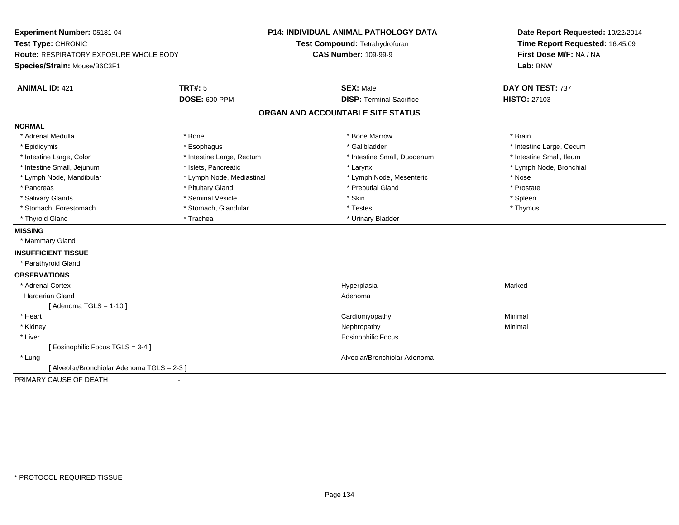| Experiment Number: 05181-04                   |                           | <b>P14: INDIVIDUAL ANIMAL PATHOLOGY DATA</b> | Date Report Requested: 10/22/2014 |
|-----------------------------------------------|---------------------------|----------------------------------------------|-----------------------------------|
| Test Type: CHRONIC                            |                           | Test Compound: Tetrahydrofuran               | Time Report Requested: 16:45:09   |
| <b>Route: RESPIRATORY EXPOSURE WHOLE BODY</b> |                           | <b>CAS Number: 109-99-9</b>                  | First Dose M/F: NA / NA           |
| Species/Strain: Mouse/B6C3F1                  |                           |                                              | Lab: BNW                          |
| <b>ANIMAL ID: 421</b>                         | <b>TRT#: 5</b>            | <b>SEX: Male</b>                             | DAY ON TEST: 737                  |
|                                               | <b>DOSE: 600 PPM</b>      | <b>DISP: Terminal Sacrifice</b>              | <b>HISTO: 27103</b>               |
|                                               |                           | ORGAN AND ACCOUNTABLE SITE STATUS            |                                   |
| <b>NORMAL</b>                                 |                           |                                              |                                   |
| * Adrenal Medulla                             | * Bone                    | * Bone Marrow                                | * Brain                           |
| * Epididymis                                  | * Esophagus               | * Gallbladder                                | * Intestine Large, Cecum          |
| * Intestine Large, Colon                      | * Intestine Large, Rectum | * Intestine Small, Duodenum                  | * Intestine Small, Ileum          |
| * Intestine Small, Jejunum                    | * Islets. Pancreatic      | * Larynx                                     | * Lymph Node, Bronchial           |
| * Lymph Node, Mandibular                      | * Lymph Node, Mediastinal | * Lymph Node, Mesenteric                     | * Nose                            |
| * Pancreas                                    | * Pituitary Gland         | * Preputial Gland                            | * Prostate                        |
| * Salivary Glands                             | * Seminal Vesicle         | * Skin                                       | * Spleen                          |
| * Stomach, Forestomach                        | * Stomach, Glandular      | * Testes                                     | * Thymus                          |
| * Thyroid Gland                               | * Trachea                 | * Urinary Bladder                            |                                   |
| <b>MISSING</b>                                |                           |                                              |                                   |
| * Mammary Gland                               |                           |                                              |                                   |
| <b>INSUFFICIENT TISSUE</b>                    |                           |                                              |                                   |
| * Parathyroid Gland                           |                           |                                              |                                   |
| <b>OBSERVATIONS</b>                           |                           |                                              |                                   |
| * Adrenal Cortex                              |                           | Hyperplasia                                  | Marked                            |
| <b>Harderian Gland</b>                        |                           | Adenoma                                      |                                   |
| [Adenoma TGLS = $1-10$ ]                      |                           |                                              |                                   |
| * Heart                                       |                           | Cardiomyopathy                               | Minimal                           |
| * Kidney                                      |                           | Nephropathy                                  | Minimal                           |
| * Liver                                       |                           | Eosinophilic Focus                           |                                   |
| [ Eosinophilic Focus TGLS = 3-4 ]             |                           |                                              |                                   |
| * Lung                                        |                           | Alveolar/Bronchiolar Adenoma                 |                                   |
| [ Alveolar/Bronchiolar Adenoma TGLS = 2-3 ]   |                           |                                              |                                   |
| PRIMARY CAUSE OF DEATH                        |                           |                                              |                                   |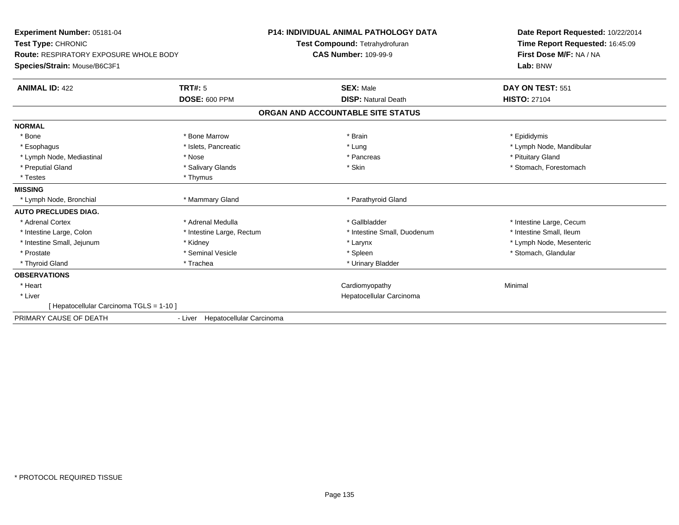| <b>Experiment Number: 05181-04</b><br>Test Type: CHRONIC<br><b>Route: RESPIRATORY EXPOSURE WHOLE BODY</b><br>Species/Strain: Mouse/B6C3F1 |                                  | <b>P14: INDIVIDUAL ANIMAL PATHOLOGY DATA</b><br>Test Compound: Tetrahydrofuran<br><b>CAS Number: 109-99-9</b> | Date Report Requested: 10/22/2014<br>Time Report Requested: 16:45:09<br>First Dose M/F: NA / NA<br>Lab: BNW |
|-------------------------------------------------------------------------------------------------------------------------------------------|----------------------------------|---------------------------------------------------------------------------------------------------------------|-------------------------------------------------------------------------------------------------------------|
| <b>ANIMAL ID: 422</b>                                                                                                                     | <b>TRT#: 5</b>                   | <b>SEX: Male</b>                                                                                              | DAY ON TEST: 551                                                                                            |
|                                                                                                                                           | <b>DOSE: 600 PPM</b>             | <b>DISP: Natural Death</b>                                                                                    | <b>HISTO: 27104</b>                                                                                         |
|                                                                                                                                           |                                  | ORGAN AND ACCOUNTABLE SITE STATUS                                                                             |                                                                                                             |
| <b>NORMAL</b>                                                                                                                             |                                  |                                                                                                               |                                                                                                             |
| * Bone                                                                                                                                    | * Bone Marrow                    | * Brain                                                                                                       | * Epididymis                                                                                                |
| * Esophagus                                                                                                                               | * Islets, Pancreatic             | * Lung                                                                                                        | * Lymph Node, Mandibular                                                                                    |
| * Lymph Node, Mediastinal                                                                                                                 | * Nose                           | * Pancreas                                                                                                    | * Pituitary Gland                                                                                           |
| * Preputial Gland                                                                                                                         | * Salivary Glands                | * Skin                                                                                                        | * Stomach, Forestomach                                                                                      |
| * Testes                                                                                                                                  | * Thymus                         |                                                                                                               |                                                                                                             |
| <b>MISSING</b>                                                                                                                            |                                  |                                                                                                               |                                                                                                             |
| * Lymph Node, Bronchial                                                                                                                   | * Mammary Gland                  | * Parathyroid Gland                                                                                           |                                                                                                             |
| <b>AUTO PRECLUDES DIAG.</b>                                                                                                               |                                  |                                                                                                               |                                                                                                             |
| * Adrenal Cortex                                                                                                                          | * Adrenal Medulla                | * Gallbladder                                                                                                 | * Intestine Large, Cecum                                                                                    |
| * Intestine Large, Colon                                                                                                                  | * Intestine Large, Rectum        | * Intestine Small, Duodenum                                                                                   | * Intestine Small, Ileum                                                                                    |
| * Intestine Small, Jejunum                                                                                                                | * Kidney                         | * Larynx                                                                                                      | * Lymph Node, Mesenteric                                                                                    |
| * Prostate                                                                                                                                | * Seminal Vesicle                | * Spleen                                                                                                      | * Stomach, Glandular                                                                                        |
| * Thyroid Gland                                                                                                                           | * Trachea                        | * Urinary Bladder                                                                                             |                                                                                                             |
| <b>OBSERVATIONS</b>                                                                                                                       |                                  |                                                                                                               |                                                                                                             |
| * Heart                                                                                                                                   |                                  | Cardiomyopathy                                                                                                | Minimal                                                                                                     |
| * Liver                                                                                                                                   |                                  | Hepatocellular Carcinoma                                                                                      |                                                                                                             |
| [ Hepatocellular Carcinoma TGLS = 1-10 ]                                                                                                  |                                  |                                                                                                               |                                                                                                             |
| PRIMARY CAUSE OF DEATH                                                                                                                    | - Liver Hepatocellular Carcinoma |                                                                                                               |                                                                                                             |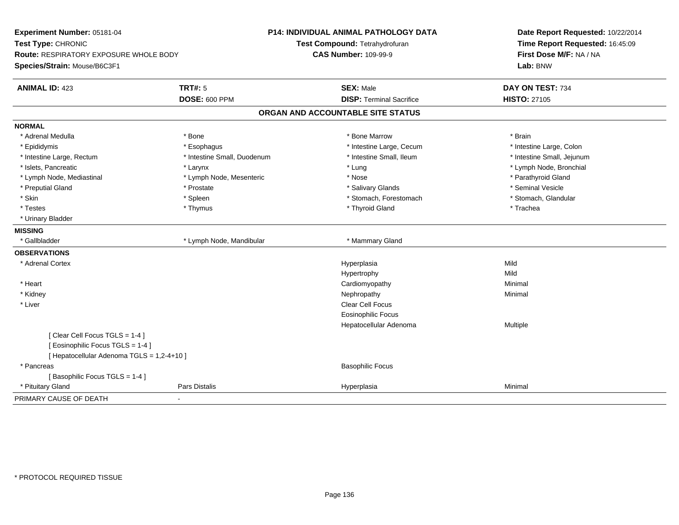| Experiment Number: 05181-04<br>Test Type: CHRONIC<br><b>Route: RESPIRATORY EXPOSURE WHOLE BODY</b> |                             | P14: INDIVIDUAL ANIMAL PATHOLOGY DATA<br>Test Compound: Tetrahydrofuran<br><b>CAS Number: 109-99-9</b> | Date Report Requested: 10/22/2014<br>Time Report Requested: 16:45:09<br>First Dose M/F: NA / NA |
|----------------------------------------------------------------------------------------------------|-----------------------------|--------------------------------------------------------------------------------------------------------|-------------------------------------------------------------------------------------------------|
| Species/Strain: Mouse/B6C3F1                                                                       |                             |                                                                                                        | Lab: BNW                                                                                        |
| <b>ANIMAL ID: 423</b>                                                                              | <b>TRT#: 5</b>              | <b>SEX: Male</b>                                                                                       | DAY ON TEST: 734                                                                                |
|                                                                                                    | <b>DOSE: 600 PPM</b>        | <b>DISP: Terminal Sacrifice</b>                                                                        | <b>HISTO: 27105</b>                                                                             |
|                                                                                                    |                             | ORGAN AND ACCOUNTABLE SITE STATUS                                                                      |                                                                                                 |
| <b>NORMAL</b>                                                                                      |                             |                                                                                                        |                                                                                                 |
| * Adrenal Medulla                                                                                  | * Bone                      | * Bone Marrow                                                                                          | * Brain                                                                                         |
| * Epididymis                                                                                       | * Esophagus                 | * Intestine Large, Cecum                                                                               | * Intestine Large, Colon                                                                        |
| * Intestine Large, Rectum                                                                          | * Intestine Small, Duodenum | * Intestine Small, Ileum                                                                               | * Intestine Small, Jejunum                                                                      |
| * Islets, Pancreatic                                                                               | * Larynx                    | * Lung                                                                                                 | * Lymph Node, Bronchial                                                                         |
| * Lymph Node, Mediastinal                                                                          | * Lymph Node, Mesenteric    | * Nose                                                                                                 | * Parathyroid Gland                                                                             |
| * Preputial Gland                                                                                  | * Prostate                  | * Salivary Glands                                                                                      | * Seminal Vesicle                                                                               |
| * Skin                                                                                             | * Spleen                    | * Stomach, Forestomach                                                                                 | * Stomach, Glandular                                                                            |
| * Testes                                                                                           | * Thymus                    | * Thyroid Gland                                                                                        | * Trachea                                                                                       |
| * Urinary Bladder                                                                                  |                             |                                                                                                        |                                                                                                 |
| <b>MISSING</b>                                                                                     |                             |                                                                                                        |                                                                                                 |
| * Gallbladder                                                                                      | * Lymph Node, Mandibular    | * Mammary Gland                                                                                        |                                                                                                 |
| <b>OBSERVATIONS</b>                                                                                |                             |                                                                                                        |                                                                                                 |
| * Adrenal Cortex                                                                                   |                             | Hyperplasia                                                                                            | Mild                                                                                            |
|                                                                                                    |                             | Hypertrophy                                                                                            | Mild                                                                                            |
| * Heart                                                                                            |                             | Cardiomyopathy                                                                                         | Minimal                                                                                         |
| * Kidney                                                                                           |                             | Nephropathy                                                                                            | Minimal                                                                                         |
| * Liver                                                                                            |                             | Clear Cell Focus                                                                                       |                                                                                                 |
|                                                                                                    |                             | Eosinophilic Focus                                                                                     |                                                                                                 |
|                                                                                                    |                             | Hepatocellular Adenoma                                                                                 | Multiple                                                                                        |
| [Clear Cell Focus TGLS = 1-4]                                                                      |                             |                                                                                                        |                                                                                                 |
| [Eosinophilic Focus TGLS = 1-4]                                                                    |                             |                                                                                                        |                                                                                                 |
| [ Hepatocellular Adenoma TGLS = 1,2-4+10 ]                                                         |                             |                                                                                                        |                                                                                                 |
| * Pancreas                                                                                         |                             | <b>Basophilic Focus</b>                                                                                |                                                                                                 |
| [Basophilic Focus TGLS = 1-4]                                                                      |                             |                                                                                                        |                                                                                                 |
| * Pituitary Gland                                                                                  | Pars Distalis               | Hyperplasia                                                                                            | Minimal                                                                                         |
| PRIMARY CAUSE OF DEATH                                                                             |                             |                                                                                                        |                                                                                                 |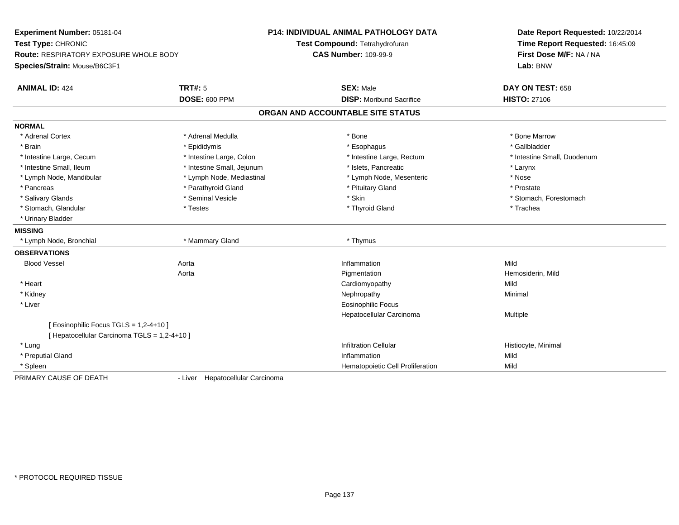| Experiment Number: 05181-04                   |                                  | <b>P14: INDIVIDUAL ANIMAL PATHOLOGY DATA</b> | Date Report Requested: 10/22/2014                          |
|-----------------------------------------------|----------------------------------|----------------------------------------------|------------------------------------------------------------|
| Test Type: CHRONIC                            |                                  | Test Compound: Tetrahydrofuran               | Time Report Requested: 16:45:09<br>First Dose M/F: NA / NA |
| <b>Route: RESPIRATORY EXPOSURE WHOLE BODY</b> |                                  | <b>CAS Number: 109-99-9</b>                  |                                                            |
| Species/Strain: Mouse/B6C3F1                  |                                  |                                              | Lab: BNW                                                   |
| <b>ANIMAL ID: 424</b>                         | <b>TRT#: 5</b>                   | <b>SEX: Male</b>                             | DAY ON TEST: 658                                           |
|                                               | <b>DOSE: 600 PPM</b>             | <b>DISP: Moribund Sacrifice</b>              | <b>HISTO: 27106</b>                                        |
|                                               |                                  | ORGAN AND ACCOUNTABLE SITE STATUS            |                                                            |
| <b>NORMAL</b>                                 |                                  |                                              |                                                            |
| * Adrenal Cortex                              | * Adrenal Medulla                | * Bone                                       | * Bone Marrow                                              |
| * Brain                                       | * Epididymis                     | * Esophagus                                  | * Gallbladder                                              |
| * Intestine Large, Cecum                      | * Intestine Large, Colon         | * Intestine Large, Rectum                    | * Intestine Small, Duodenum                                |
| * Intestine Small, Ileum                      | * Intestine Small, Jejunum       | * Islets, Pancreatic                         | * Larynx                                                   |
| * Lymph Node, Mandibular                      | * Lymph Node, Mediastinal        | * Lymph Node, Mesenteric                     | * Nose                                                     |
| * Pancreas                                    | * Parathyroid Gland              | * Pituitary Gland                            | * Prostate                                                 |
| * Salivary Glands                             | * Seminal Vesicle                | * Skin                                       | * Stomach, Forestomach                                     |
| * Stomach, Glandular                          | * Testes                         | * Thyroid Gland                              | * Trachea                                                  |
| * Urinary Bladder                             |                                  |                                              |                                                            |
| <b>MISSING</b>                                |                                  |                                              |                                                            |
| * Lymph Node, Bronchial                       | * Mammary Gland                  | * Thymus                                     |                                                            |
| <b>OBSERVATIONS</b>                           |                                  |                                              |                                                            |
| <b>Blood Vessel</b>                           | Aorta                            | Inflammation                                 | Mild                                                       |
|                                               | Aorta                            | Pigmentation                                 | Hemosiderin, Mild                                          |
| * Heart                                       |                                  | Cardiomyopathy                               | Mild                                                       |
| * Kidney                                      |                                  | Nephropathy                                  | Minimal                                                    |
| * Liver                                       |                                  | <b>Eosinophilic Focus</b>                    |                                                            |
|                                               |                                  | Hepatocellular Carcinoma                     | Multiple                                                   |
| [ Eosinophilic Focus TGLS = 1,2-4+10 ]        |                                  |                                              |                                                            |
| [ Hepatocellular Carcinoma TGLS = 1,2-4+10 ]  |                                  |                                              |                                                            |
| * Lung                                        |                                  | <b>Infiltration Cellular</b>                 | Histiocyte, Minimal                                        |
| * Preputial Gland                             |                                  | Inflammation                                 | Mild                                                       |
| * Spleen                                      |                                  | Hematopoietic Cell Proliferation             | Mild                                                       |
| PRIMARY CAUSE OF DEATH                        | - Liver Hepatocellular Carcinoma |                                              |                                                            |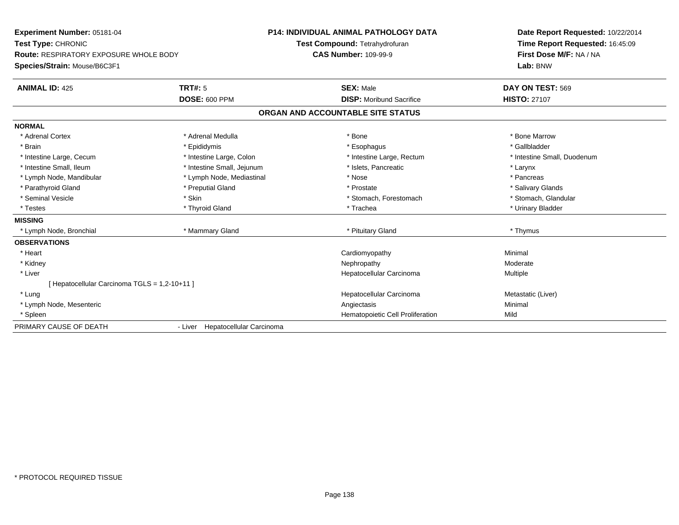| Experiment Number: 05181-04                   |                                  | <b>P14: INDIVIDUAL ANIMAL PATHOLOGY DATA</b> | Date Report Requested: 10/22/2014 |
|-----------------------------------------------|----------------------------------|----------------------------------------------|-----------------------------------|
| Test Type: CHRONIC                            |                                  | Test Compound: Tetrahydrofuran               | Time Report Requested: 16:45:09   |
| <b>Route: RESPIRATORY EXPOSURE WHOLE BODY</b> |                                  | <b>CAS Number: 109-99-9</b>                  | First Dose M/F: NA / NA           |
| Species/Strain: Mouse/B6C3F1                  |                                  |                                              | Lab: BNW                          |
| <b>ANIMAL ID: 425</b>                         | <b>TRT#: 5</b>                   | <b>SEX: Male</b>                             | DAY ON TEST: 569                  |
|                                               | <b>DOSE: 600 PPM</b>             | <b>DISP:</b> Moribund Sacrifice              | <b>HISTO: 27107</b>               |
|                                               |                                  | ORGAN AND ACCOUNTABLE SITE STATUS            |                                   |
| <b>NORMAL</b>                                 |                                  |                                              |                                   |
| * Adrenal Cortex                              | * Adrenal Medulla                | * Bone                                       | * Bone Marrow                     |
| * Brain                                       | * Epididymis                     | * Esophagus                                  | * Gallbladder                     |
| * Intestine Large, Cecum                      | * Intestine Large, Colon         | * Intestine Large, Rectum                    | * Intestine Small, Duodenum       |
| * Intestine Small. Ileum                      | * Intestine Small, Jejunum       | * Islets, Pancreatic                         | * Larynx                          |
| * Lymph Node, Mandibular                      | * Lymph Node, Mediastinal        | * Nose                                       | * Pancreas                        |
| * Parathyroid Gland                           | * Preputial Gland                | * Prostate                                   | * Salivary Glands                 |
| * Seminal Vesicle                             | * Skin                           | * Stomach, Forestomach                       | * Stomach, Glandular              |
| * Testes                                      | * Thyroid Gland                  | * Trachea                                    | * Urinary Bladder                 |
| <b>MISSING</b>                                |                                  |                                              |                                   |
| * Lymph Node, Bronchial                       | * Mammary Gland                  | * Pituitary Gland                            | * Thymus                          |
| <b>OBSERVATIONS</b>                           |                                  |                                              |                                   |
| * Heart                                       |                                  | Cardiomyopathy                               | Minimal                           |
| * Kidney                                      |                                  | Nephropathy                                  | Moderate                          |
| * Liver                                       |                                  | Hepatocellular Carcinoma                     | Multiple                          |
| [Hepatocellular Carcinoma TGLS = 1,2-10+11]   |                                  |                                              |                                   |
| * Lung                                        |                                  | Hepatocellular Carcinoma                     | Metastatic (Liver)                |
| * Lymph Node, Mesenteric                      |                                  | Angiectasis                                  | Minimal                           |
| * Spleen                                      |                                  | Hematopoietic Cell Proliferation             | Mild                              |
| PRIMARY CAUSE OF DEATH                        | - Liver Hepatocellular Carcinoma |                                              |                                   |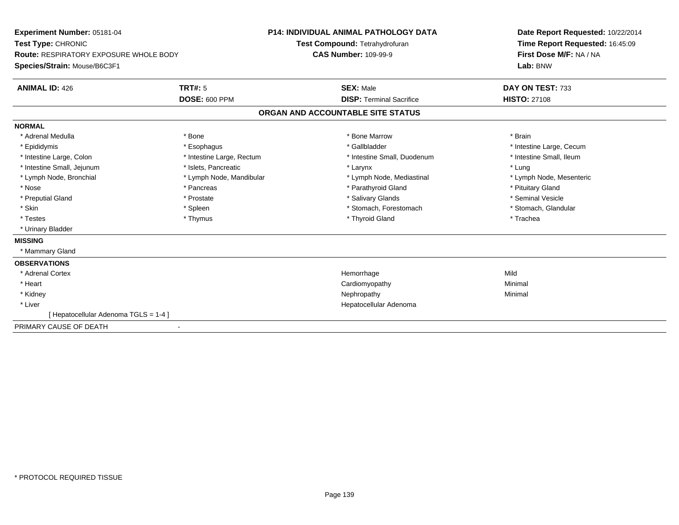| Experiment Number: 05181-04<br>Test Type: CHRONIC<br><b>Route: RESPIRATORY EXPOSURE WHOLE BODY</b><br>Species/Strain: Mouse/B6C3F1<br><b>ANIMAL ID: 426</b>                                  | <b>TRT#: 5</b><br><b>DOSE: 600 PPM</b>                                                                                                                     | <b>P14: INDIVIDUAL ANIMAL PATHOLOGY DATA</b><br>Test Compound: Tetrahydrofuran<br><b>CAS Number: 109-99-9</b> | <b>SEX: Male</b><br><b>DISP:</b> Terminal Sacrifice                                                                                                                                             | Date Report Requested: 10/22/2014<br>Time Report Requested: 16:45:09<br>First Dose M/F: NA / NA<br>Lab: BNW<br>DAY ON TEST: 733<br><b>HISTO: 27108</b>                               |
|----------------------------------------------------------------------------------------------------------------------------------------------------------------------------------------------|------------------------------------------------------------------------------------------------------------------------------------------------------------|---------------------------------------------------------------------------------------------------------------|-------------------------------------------------------------------------------------------------------------------------------------------------------------------------------------------------|--------------------------------------------------------------------------------------------------------------------------------------------------------------------------------------|
|                                                                                                                                                                                              |                                                                                                                                                            | ORGAN AND ACCOUNTABLE SITE STATUS                                                                             |                                                                                                                                                                                                 |                                                                                                                                                                                      |
| <b>NORMAL</b><br>* Adrenal Medulla<br>* Epididymis<br>* Intestine Large, Colon<br>* Intestine Small, Jejunum<br>* Lymph Node, Bronchial<br>* Nose<br>* Preputial Gland<br>* Skin<br>* Testes | * Bone<br>* Esophagus<br>* Intestine Large, Rectum<br>* Islets, Pancreatic<br>* Lymph Node, Mandibular<br>* Pancreas<br>* Prostate<br>* Spleen<br>* Thymus |                                                                                                               | * Bone Marrow<br>* Gallbladder<br>* Intestine Small, Duodenum<br>* Larynx<br>* Lymph Node, Mediastinal<br>* Parathyroid Gland<br>* Salivary Glands<br>* Stomach, Forestomach<br>* Thyroid Gland | * Brain<br>* Intestine Large, Cecum<br>* Intestine Small, Ileum<br>* Lung<br>* Lymph Node, Mesenteric<br>* Pituitary Gland<br>* Seminal Vesicle<br>* Stomach, Glandular<br>* Trachea |
| * Urinary Bladder<br><b>MISSING</b><br>* Mammary Gland                                                                                                                                       |                                                                                                                                                            |                                                                                                               |                                                                                                                                                                                                 |                                                                                                                                                                                      |
| <b>OBSERVATIONS</b><br>* Adrenal Cortex<br>* Heart<br>* Kidney<br>* Liver<br>[Hepatocellular Adenoma TGLS = 1-4]                                                                             |                                                                                                                                                            |                                                                                                               | Hemorrhage<br>Cardiomyopathy<br>Nephropathy<br>Hepatocellular Adenoma                                                                                                                           | Mild<br>Minimal<br>Minimal                                                                                                                                                           |
| PRIMARY CAUSE OF DEATH                                                                                                                                                                       |                                                                                                                                                            |                                                                                                               |                                                                                                                                                                                                 |                                                                                                                                                                                      |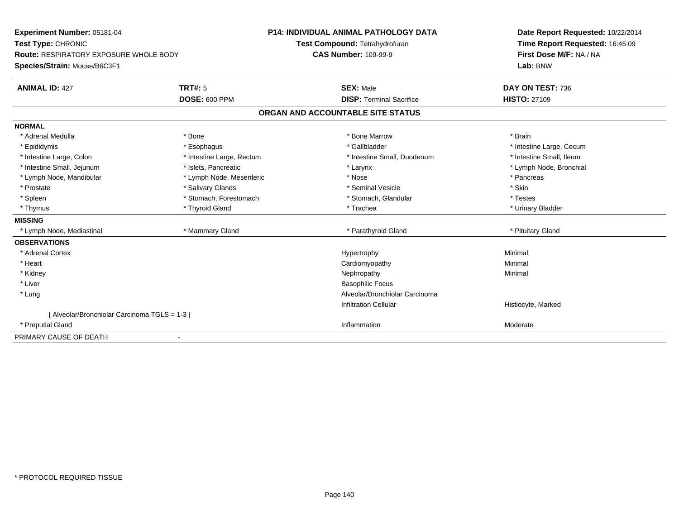| <b>Experiment Number: 05181-04</b>            |                           | <b>P14: INDIVIDUAL ANIMAL PATHOLOGY DATA</b> | Date Report Requested: 10/22/2014 |
|-----------------------------------------------|---------------------------|----------------------------------------------|-----------------------------------|
| Test Type: CHRONIC                            |                           | Test Compound: Tetrahydrofuran               | Time Report Requested: 16:45:09   |
| <b>Route: RESPIRATORY EXPOSURE WHOLE BODY</b> |                           | <b>CAS Number: 109-99-9</b>                  | First Dose M/F: NA / NA           |
| Species/Strain: Mouse/B6C3F1                  |                           |                                              | Lab: BNW                          |
| <b>ANIMAL ID: 427</b>                         | TRT#: 5                   | <b>SEX: Male</b>                             | DAY ON TEST: 736                  |
|                                               | <b>DOSE: 600 PPM</b>      | <b>DISP: Terminal Sacrifice</b>              | <b>HISTO: 27109</b>               |
|                                               |                           | ORGAN AND ACCOUNTABLE SITE STATUS            |                                   |
| <b>NORMAL</b>                                 |                           |                                              |                                   |
| * Adrenal Medulla                             | * Bone                    | * Bone Marrow                                | * Brain                           |
| * Epididymis                                  | * Esophagus               | * Gallbladder                                | * Intestine Large, Cecum          |
| * Intestine Large, Colon                      | * Intestine Large, Rectum | * Intestine Small, Duodenum                  | * Intestine Small, Ileum          |
| * Intestine Small, Jejunum                    | * Islets, Pancreatic      | * Larynx                                     | * Lymph Node, Bronchial           |
| * Lymph Node, Mandibular                      | * Lymph Node, Mesenteric  | * Nose                                       | * Pancreas                        |
| * Prostate                                    | * Salivary Glands         | * Seminal Vesicle                            | * Skin                            |
| * Spleen                                      | * Stomach, Forestomach    | * Stomach, Glandular                         | * Testes                          |
| * Thymus                                      | * Thyroid Gland           | * Trachea                                    | * Urinary Bladder                 |
| <b>MISSING</b>                                |                           |                                              |                                   |
| * Lymph Node, Mediastinal                     | * Mammary Gland           | * Parathyroid Gland                          | * Pituitary Gland                 |
| <b>OBSERVATIONS</b>                           |                           |                                              |                                   |
| * Adrenal Cortex                              |                           | Hypertrophy                                  | Minimal                           |
| * Heart                                       |                           | Cardiomyopathy                               | Minimal                           |
| * Kidney                                      |                           | Nephropathy                                  | Minimal                           |
| * Liver                                       |                           | <b>Basophilic Focus</b>                      |                                   |
| * Lung                                        |                           | Alveolar/Bronchiolar Carcinoma               |                                   |
|                                               |                           | <b>Infiltration Cellular</b>                 | Histiocyte, Marked                |
| [ Alveolar/Bronchiolar Carcinoma TGLS = 1-3 ] |                           |                                              |                                   |
| * Preputial Gland                             |                           | Inflammation                                 | Moderate                          |
| PRIMARY CAUSE OF DEATH                        |                           |                                              |                                   |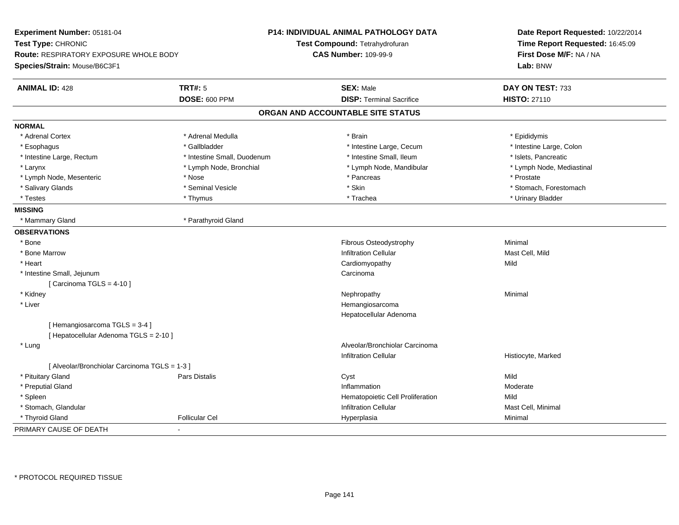| Experiment Number: 05181-04<br>Test Type: CHRONIC<br><b>Route: RESPIRATORY EXPOSURE WHOLE BODY</b><br>Species/Strain: Mouse/B6C3F1 |                             | <b>P14: INDIVIDUAL ANIMAL PATHOLOGY DATA</b><br>Test Compound: Tetrahydrofuran<br><b>CAS Number: 109-99-9</b> | Date Report Requested: 10/22/2014<br>Time Report Requested: 16:45:09<br>First Dose M/F: NA / NA<br>Lab: BNW |
|------------------------------------------------------------------------------------------------------------------------------------|-----------------------------|---------------------------------------------------------------------------------------------------------------|-------------------------------------------------------------------------------------------------------------|
| <b>ANIMAL ID: 428</b>                                                                                                              | <b>TRT#: 5</b>              | <b>SEX: Male</b>                                                                                              | DAY ON TEST: 733                                                                                            |
|                                                                                                                                    | <b>DOSE: 600 PPM</b>        | <b>DISP: Terminal Sacrifice</b>                                                                               | <b>HISTO: 27110</b>                                                                                         |
|                                                                                                                                    |                             | ORGAN AND ACCOUNTABLE SITE STATUS                                                                             |                                                                                                             |
| <b>NORMAL</b>                                                                                                                      |                             |                                                                                                               |                                                                                                             |
| * Adrenal Cortex                                                                                                                   | * Adrenal Medulla           | * Brain                                                                                                       | * Epididymis                                                                                                |
| * Esophagus                                                                                                                        | * Gallbladder               | * Intestine Large, Cecum                                                                                      | * Intestine Large, Colon                                                                                    |
| * Intestine Large, Rectum                                                                                                          | * Intestine Small, Duodenum | * Intestine Small, Ileum                                                                                      | * Islets, Pancreatic                                                                                        |
| * Larynx                                                                                                                           | * Lymph Node, Bronchial     | * Lymph Node, Mandibular                                                                                      | * Lymph Node, Mediastinal                                                                                   |
| * Lymph Node, Mesenteric                                                                                                           | * Nose                      | * Pancreas                                                                                                    | * Prostate                                                                                                  |
| * Salivary Glands                                                                                                                  | * Seminal Vesicle           | * Skin                                                                                                        | * Stomach, Forestomach                                                                                      |
| * Testes                                                                                                                           | * Thymus                    | * Trachea                                                                                                     | * Urinary Bladder                                                                                           |
| <b>MISSING</b>                                                                                                                     |                             |                                                                                                               |                                                                                                             |
| * Mammary Gland                                                                                                                    | * Parathyroid Gland         |                                                                                                               |                                                                                                             |
| <b>OBSERVATIONS</b>                                                                                                                |                             |                                                                                                               |                                                                                                             |
| * Bone                                                                                                                             |                             | Fibrous Osteodystrophy                                                                                        | Minimal                                                                                                     |
| * Bone Marrow                                                                                                                      |                             | <b>Infiltration Cellular</b>                                                                                  | Mast Cell, Mild                                                                                             |
| * Heart                                                                                                                            |                             | Cardiomyopathy                                                                                                | Mild                                                                                                        |
| * Intestine Small, Jejunum                                                                                                         |                             | Carcinoma                                                                                                     |                                                                                                             |
| [Carcinoma TGLS = $4-10$ ]                                                                                                         |                             |                                                                                                               |                                                                                                             |
| * Kidney                                                                                                                           |                             | Nephropathy                                                                                                   | Minimal                                                                                                     |
| * Liver                                                                                                                            |                             | Hemangiosarcoma                                                                                               |                                                                                                             |
|                                                                                                                                    |                             | Hepatocellular Adenoma                                                                                        |                                                                                                             |
| [Hemangiosarcoma TGLS = 3-4]                                                                                                       |                             |                                                                                                               |                                                                                                             |
| [ Hepatocellular Adenoma TGLS = 2-10 ]                                                                                             |                             |                                                                                                               |                                                                                                             |
| * Lung                                                                                                                             |                             | Alveolar/Bronchiolar Carcinoma                                                                                |                                                                                                             |
|                                                                                                                                    |                             | <b>Infiltration Cellular</b>                                                                                  | Histiocyte, Marked                                                                                          |
| [ Alveolar/Bronchiolar Carcinoma TGLS = 1-3 ]                                                                                      |                             |                                                                                                               |                                                                                                             |
| * Pituitary Gland                                                                                                                  | Pars Distalis               | Cyst                                                                                                          | Mild                                                                                                        |
| * Preputial Gland                                                                                                                  |                             | Inflammation                                                                                                  | Moderate                                                                                                    |
| * Spleen                                                                                                                           |                             | Hematopoietic Cell Proliferation                                                                              | Mild                                                                                                        |
| * Stomach, Glandular                                                                                                               |                             | <b>Infiltration Cellular</b>                                                                                  | Mast Cell, Minimal                                                                                          |
| * Thyroid Gland                                                                                                                    | <b>Follicular Cel</b>       | Hyperplasia                                                                                                   | Minimal                                                                                                     |
| PRIMARY CAUSE OF DEATH                                                                                                             |                             |                                                                                                               |                                                                                                             |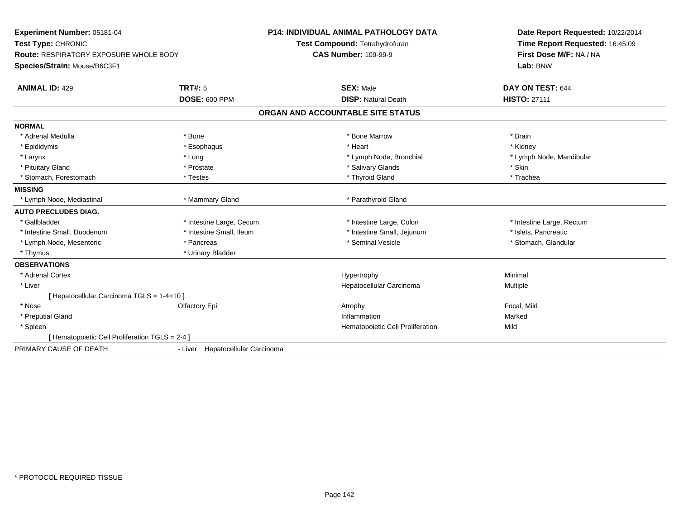| Experiment Number: 05181-04                     |                                  | P14: INDIVIDUAL ANIMAL PATHOLOGY DATA | Date Report Requested: 10/22/2014 |
|-------------------------------------------------|----------------------------------|---------------------------------------|-----------------------------------|
| Test Type: CHRONIC                              |                                  | Test Compound: Tetrahydrofuran        | Time Report Requested: 16:45:09   |
| <b>Route: RESPIRATORY EXPOSURE WHOLE BODY</b>   |                                  | <b>CAS Number: 109-99-9</b>           | First Dose M/F: NA / NA           |
| Species/Strain: Mouse/B6C3F1                    |                                  |                                       | Lab: BNW                          |
| <b>ANIMAL ID: 429</b>                           | <b>TRT#: 5</b>                   | <b>SEX: Male</b>                      | DAY ON TEST: 644                  |
|                                                 | <b>DOSE: 600 PPM</b>             | <b>DISP: Natural Death</b>            | <b>HISTO: 27111</b>               |
|                                                 |                                  | ORGAN AND ACCOUNTABLE SITE STATUS     |                                   |
| <b>NORMAL</b>                                   |                                  |                                       |                                   |
| * Adrenal Medulla                               | * Bone                           | * Bone Marrow                         | * Brain                           |
| * Epididymis                                    | * Esophagus                      | * Heart                               | * Kidney                          |
| * Larynx                                        | * Lung                           | * Lymph Node, Bronchial               | * Lymph Node, Mandibular          |
| * Pituitary Gland                               | * Prostate                       | * Salivary Glands                     | * Skin                            |
| * Stomach, Forestomach                          | * Testes                         | * Thyroid Gland                       | * Trachea                         |
| <b>MISSING</b>                                  |                                  |                                       |                                   |
| * Lymph Node, Mediastinal                       | * Mammary Gland                  | * Parathyroid Gland                   |                                   |
| <b>AUTO PRECLUDES DIAG.</b>                     |                                  |                                       |                                   |
| * Gallbladder                                   | * Intestine Large, Cecum         | * Intestine Large, Colon              | * Intestine Large, Rectum         |
| * Intestine Small, Duodenum                     | * Intestine Small, Ileum         | * Intestine Small, Jejunum            | * Islets, Pancreatic              |
| * Lymph Node, Mesenteric                        | * Pancreas                       | * Seminal Vesicle                     | * Stomach, Glandular              |
| * Thymus                                        | * Urinary Bladder                |                                       |                                   |
| <b>OBSERVATIONS</b>                             |                                  |                                       |                                   |
| * Adrenal Cortex                                |                                  | Hypertrophy                           | Minimal                           |
| * Liver                                         |                                  | Hepatocellular Carcinoma              | Multiple                          |
| [ Hepatocellular Carcinoma TGLS = 1-4+10 ]      |                                  |                                       |                                   |
| * Nose                                          | Olfactory Epi                    | Atrophy                               | Focal, Mild                       |
| * Preputial Gland                               |                                  | Inflammation                          | Marked                            |
| * Spleen                                        |                                  | Hematopoietic Cell Proliferation      | Mild                              |
| [ Hematopoietic Cell Proliferation TGLS = 2-4 ] |                                  |                                       |                                   |
| PRIMARY CAUSE OF DEATH                          | - Liver Hepatocellular Carcinoma |                                       |                                   |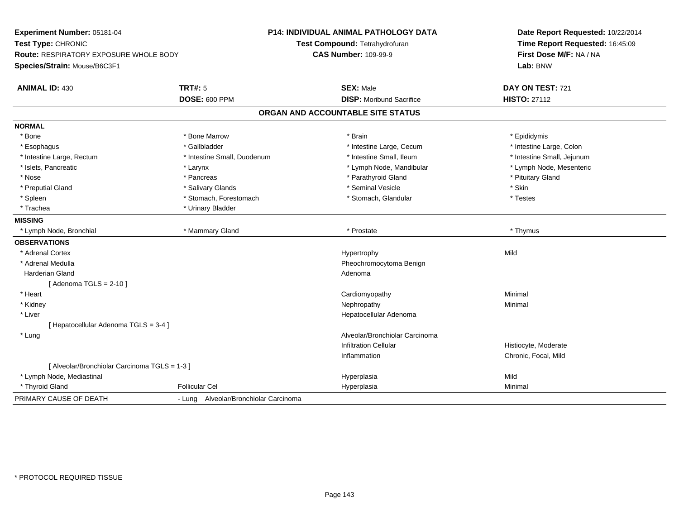| Experiment Number: 05181-04                   |                                       | <b>P14: INDIVIDUAL ANIMAL PATHOLOGY DATA</b> | Date Report Requested: 10/22/2014 |
|-----------------------------------------------|---------------------------------------|----------------------------------------------|-----------------------------------|
| Test Type: CHRONIC                            |                                       | Test Compound: Tetrahydrofuran               | Time Report Requested: 16:45:09   |
| <b>Route: RESPIRATORY EXPOSURE WHOLE BODY</b> |                                       | <b>CAS Number: 109-99-9</b>                  | First Dose M/F: NA / NA           |
| Species/Strain: Mouse/B6C3F1                  |                                       |                                              | Lab: BNW                          |
| <b>ANIMAL ID: 430</b>                         | <b>TRT#: 5</b>                        | <b>SEX: Male</b>                             | DAY ON TEST: 721                  |
|                                               | <b>DOSE: 600 PPM</b>                  | <b>DISP:</b> Moribund Sacrifice              | <b>HISTO: 27112</b>               |
|                                               |                                       | ORGAN AND ACCOUNTABLE SITE STATUS            |                                   |
| <b>NORMAL</b>                                 |                                       |                                              |                                   |
| * Bone                                        | * Bone Marrow                         | * Brain                                      | * Epididymis                      |
| * Esophagus                                   | * Gallbladder                         | * Intestine Large, Cecum                     | * Intestine Large, Colon          |
| * Intestine Large, Rectum                     | * Intestine Small, Duodenum           | * Intestine Small, Ileum                     | * Intestine Small, Jejunum        |
| * Islets, Pancreatic                          | * Larynx                              | * Lymph Node, Mandibular                     | * Lymph Node, Mesenteric          |
| * Nose                                        | * Pancreas                            | * Parathyroid Gland                          | * Pituitary Gland                 |
| * Preputial Gland                             | * Salivary Glands                     | * Seminal Vesicle                            | * Skin                            |
| * Spleen                                      | * Stomach, Forestomach                | * Stomach, Glandular                         | * Testes                          |
| * Trachea                                     | * Urinary Bladder                     |                                              |                                   |
| <b>MISSING</b>                                |                                       |                                              |                                   |
| * Lymph Node, Bronchial                       | * Mammary Gland                       | * Prostate                                   | * Thymus                          |
| <b>OBSERVATIONS</b>                           |                                       |                                              |                                   |
| * Adrenal Cortex                              |                                       | Hypertrophy                                  | Mild                              |
| * Adrenal Medulla                             |                                       | Pheochromocytoma Benign                      |                                   |
| Harderian Gland                               |                                       | Adenoma                                      |                                   |
| [Adenoma TGLS = $2-10$ ]                      |                                       |                                              |                                   |
| * Heart                                       |                                       | Cardiomyopathy                               | Minimal                           |
| * Kidney                                      |                                       | Nephropathy                                  | Minimal                           |
| * Liver                                       |                                       | Hepatocellular Adenoma                       |                                   |
| [ Hepatocellular Adenoma TGLS = 3-4 ]         |                                       |                                              |                                   |
| * Lung                                        |                                       | Alveolar/Bronchiolar Carcinoma               |                                   |
|                                               |                                       | <b>Infiltration Cellular</b>                 | Histiocyte, Moderate              |
|                                               |                                       | Inflammation                                 | Chronic, Focal, Mild              |
| [ Alveolar/Bronchiolar Carcinoma TGLS = 1-3 ] |                                       |                                              |                                   |
| * Lymph Node, Mediastinal                     |                                       | Hyperplasia                                  | Mild                              |
| * Thyroid Gland                               | <b>Follicular Cel</b>                 | Hyperplasia                                  | Minimal                           |
| PRIMARY CAUSE OF DEATH                        | - Lung Alveolar/Bronchiolar Carcinoma |                                              |                                   |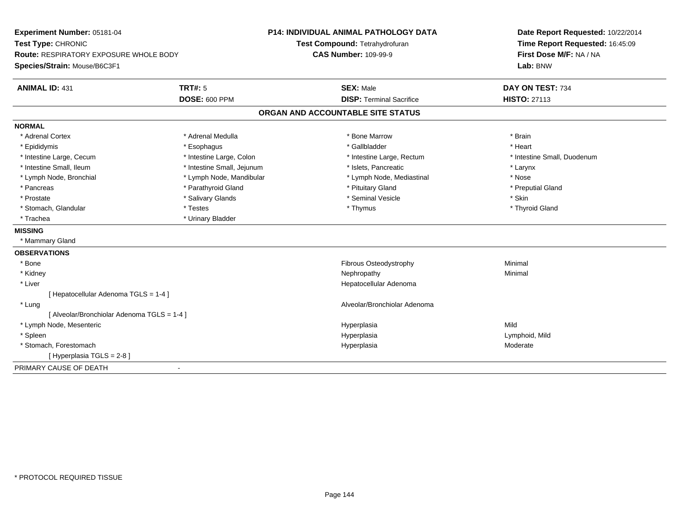| Experiment Number: 05181-04<br>Test Type: CHRONIC<br>Route: RESPIRATORY EXPOSURE WHOLE BODY |                            | P14: INDIVIDUAL ANIMAL PATHOLOGY DATA | Date Report Requested: 10/22/2014<br>Time Report Requested: 16:45:09<br>First Dose M/F: NA / NA |  |
|---------------------------------------------------------------------------------------------|----------------------------|---------------------------------------|-------------------------------------------------------------------------------------------------|--|
|                                                                                             |                            | Test Compound: Tetrahydrofuran        |                                                                                                 |  |
|                                                                                             |                            | <b>CAS Number: 109-99-9</b>           |                                                                                                 |  |
| Species/Strain: Mouse/B6C3F1                                                                |                            |                                       | Lab: BNW                                                                                        |  |
| <b>ANIMAL ID: 431</b>                                                                       | <b>TRT#: 5</b>             | <b>SEX: Male</b>                      | DAY ON TEST: 734                                                                                |  |
|                                                                                             | <b>DOSE: 600 PPM</b>       | <b>DISP: Terminal Sacrifice</b>       | <b>HISTO: 27113</b>                                                                             |  |
|                                                                                             |                            | ORGAN AND ACCOUNTABLE SITE STATUS     |                                                                                                 |  |
| <b>NORMAL</b>                                                                               |                            |                                       |                                                                                                 |  |
| * Adrenal Cortex                                                                            | * Adrenal Medulla          | * Bone Marrow                         | * Brain                                                                                         |  |
| * Epididymis                                                                                | * Esophagus                | * Gallbladder                         | * Heart                                                                                         |  |
| * Intestine Large, Cecum                                                                    | * Intestine Large, Colon   | * Intestine Large, Rectum             | * Intestine Small, Duodenum                                                                     |  |
| * Intestine Small, Ileum                                                                    | * Intestine Small, Jejunum | * Islets. Pancreatic                  | * Larynx                                                                                        |  |
| * Lymph Node, Bronchial                                                                     | * Lymph Node, Mandibular   | * Lymph Node, Mediastinal             | * Nose                                                                                          |  |
| * Pancreas                                                                                  | * Parathyroid Gland        | * Pituitary Gland                     | * Preputial Gland                                                                               |  |
| * Prostate                                                                                  | * Salivary Glands          | * Seminal Vesicle                     | * Skin                                                                                          |  |
| * Stomach, Glandular                                                                        | * Testes                   | * Thymus                              | * Thyroid Gland                                                                                 |  |
| * Trachea                                                                                   | * Urinary Bladder          |                                       |                                                                                                 |  |
| <b>MISSING</b>                                                                              |                            |                                       |                                                                                                 |  |
| * Mammary Gland                                                                             |                            |                                       |                                                                                                 |  |
| <b>OBSERVATIONS</b>                                                                         |                            |                                       |                                                                                                 |  |
| * Bone                                                                                      |                            | Fibrous Osteodystrophy                | Minimal                                                                                         |  |
| * Kidney                                                                                    |                            | Nephropathy                           | Minimal                                                                                         |  |
| * Liver                                                                                     |                            | Hepatocellular Adenoma                |                                                                                                 |  |
| [Hepatocellular Adenoma TGLS = 1-4]                                                         |                            |                                       |                                                                                                 |  |
| * Lung                                                                                      |                            | Alveolar/Bronchiolar Adenoma          |                                                                                                 |  |
| [ Alveolar/Bronchiolar Adenoma TGLS = 1-4 ]                                                 |                            |                                       |                                                                                                 |  |
| * Lymph Node, Mesenteric                                                                    |                            | Hyperplasia                           | Mild                                                                                            |  |
| * Spleen                                                                                    |                            | Hyperplasia                           | Lymphoid, Mild                                                                                  |  |
| * Stomach, Forestomach                                                                      |                            | Hyperplasia                           | Moderate                                                                                        |  |
| [ Hyperplasia TGLS = 2-8 ]                                                                  |                            |                                       |                                                                                                 |  |
| PRIMARY CAUSE OF DEATH                                                                      |                            |                                       |                                                                                                 |  |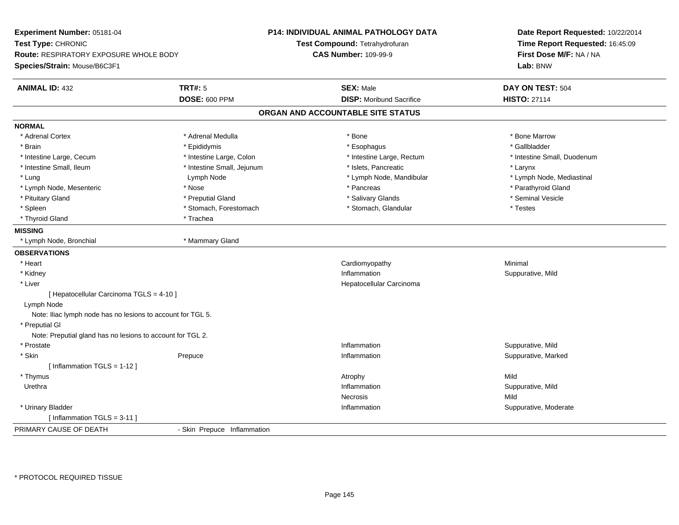| Experiment Number: 05181-04                                 |                             | P14: INDIVIDUAL ANIMAL PATHOLOGY DATA | Date Report Requested: 10/22/2014<br>Time Report Requested: 16:45:09 |  |
|-------------------------------------------------------------|-----------------------------|---------------------------------------|----------------------------------------------------------------------|--|
| Test Type: CHRONIC                                          |                             | Test Compound: Tetrahydrofuran        |                                                                      |  |
| Route: RESPIRATORY EXPOSURE WHOLE BODY                      |                             | <b>CAS Number: 109-99-9</b>           | First Dose M/F: NA / NA                                              |  |
| Species/Strain: Mouse/B6C3F1                                |                             |                                       | Lab: BNW                                                             |  |
| <b>ANIMAL ID: 432</b>                                       | <b>TRT#: 5</b>              | <b>SEX: Male</b>                      | DAY ON TEST: 504                                                     |  |
|                                                             | <b>DOSE: 600 PPM</b>        | <b>DISP:</b> Moribund Sacrifice       | <b>HISTO: 27114</b>                                                  |  |
|                                                             |                             | ORGAN AND ACCOUNTABLE SITE STATUS     |                                                                      |  |
| <b>NORMAL</b>                                               |                             |                                       |                                                                      |  |
| * Adrenal Cortex                                            | * Adrenal Medulla           | $*$ Bone                              | * Bone Marrow                                                        |  |
| * Brain                                                     | * Epididymis                | * Esophagus                           | * Gallbladder                                                        |  |
| * Intestine Large, Cecum                                    | * Intestine Large, Colon    | * Intestine Large, Rectum             | * Intestine Small, Duodenum                                          |  |
| * Intestine Small, Ileum                                    | * Intestine Small, Jejunum  | * Islets, Pancreatic                  | * Larynx                                                             |  |
| * Lung                                                      | Lymph Node                  | * Lymph Node, Mandibular              | * Lymph Node, Mediastinal                                            |  |
| * Lymph Node, Mesenteric                                    | * Nose                      | * Pancreas                            | * Parathyroid Gland                                                  |  |
| * Pituitary Gland                                           | * Preputial Gland           | * Salivary Glands                     | * Seminal Vesicle                                                    |  |
| * Spleen                                                    | * Stomach, Forestomach      | * Stomach, Glandular                  | * Testes                                                             |  |
| * Thyroid Gland                                             | * Trachea                   |                                       |                                                                      |  |
| <b>MISSING</b>                                              |                             |                                       |                                                                      |  |
| * Lymph Node, Bronchial                                     | * Mammary Gland             |                                       |                                                                      |  |
| <b>OBSERVATIONS</b>                                         |                             |                                       |                                                                      |  |
| * Heart                                                     |                             | Cardiomyopathy                        | Minimal                                                              |  |
| * Kidney                                                    |                             | Inflammation                          | Suppurative, Mild                                                    |  |
| * Liver                                                     |                             | Hepatocellular Carcinoma              |                                                                      |  |
| [ Hepatocellular Carcinoma TGLS = 4-10 ]                    |                             |                                       |                                                                      |  |
| Lymph Node                                                  |                             |                                       |                                                                      |  |
| Note: Iliac lymph node has no lesions to account for TGL 5. |                             |                                       |                                                                      |  |
| * Preputial GI                                              |                             |                                       |                                                                      |  |
| Note: Preputial gland has no lesions to account for TGL 2.  |                             |                                       |                                                                      |  |
| * Prostate                                                  |                             | Inflammation                          | Suppurative, Mild                                                    |  |
| * Skin                                                      | Prepuce                     | Inflammation                          | Suppurative, Marked                                                  |  |
| [ Inflammation TGLS = 1-12 ]                                |                             |                                       |                                                                      |  |
| * Thymus                                                    |                             | Atrophy                               | Mild                                                                 |  |
| Urethra                                                     |                             | Inflammation                          | Suppurative, Mild                                                    |  |
|                                                             |                             | Necrosis                              | Mild                                                                 |  |
| * Urinary Bladder                                           |                             | Inflammation                          | Suppurative, Moderate                                                |  |
| [Inflammation TGLS = 3-11]                                  |                             |                                       |                                                                      |  |
| PRIMARY CAUSE OF DEATH                                      | - Skin Prepuce Inflammation |                                       |                                                                      |  |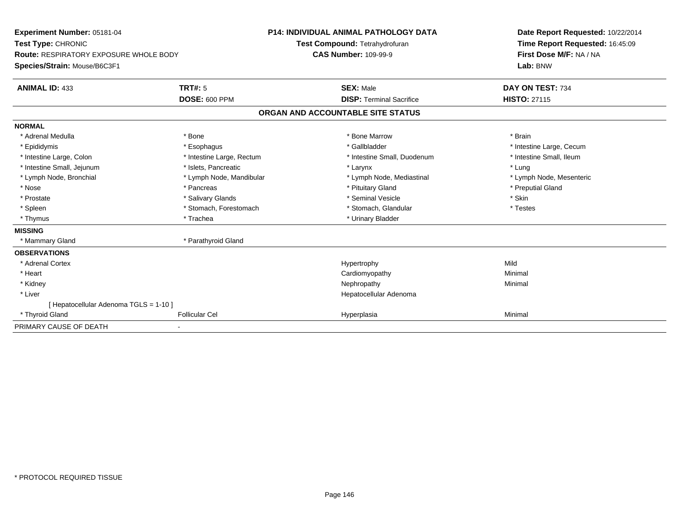| Experiment Number: 05181-04<br>Test Type: CHRONIC<br><b>Route: RESPIRATORY EXPOSURE WHOLE BODY</b><br>Species/Strain: Mouse/B6C3F1 |                           | <b>P14: INDIVIDUAL ANIMAL PATHOLOGY DATA</b><br>Test Compound: Tetrahydrofuran<br><b>CAS Number: 109-99-9</b> | Date Report Requested: 10/22/2014<br>Time Report Requested: 16:45:09<br>First Dose M/F: NA / NA<br>Lab: BNW |
|------------------------------------------------------------------------------------------------------------------------------------|---------------------------|---------------------------------------------------------------------------------------------------------------|-------------------------------------------------------------------------------------------------------------|
| <b>ANIMAL ID: 433</b>                                                                                                              | <b>TRT#: 5</b>            | <b>SEX: Male</b>                                                                                              | DAY ON TEST: 734                                                                                            |
|                                                                                                                                    | DOSE: 600 PPM             | <b>DISP: Terminal Sacrifice</b><br>ORGAN AND ACCOUNTABLE SITE STATUS                                          | <b>HISTO: 27115</b>                                                                                         |
|                                                                                                                                    |                           |                                                                                                               |                                                                                                             |
| <b>NORMAL</b>                                                                                                                      |                           |                                                                                                               |                                                                                                             |
| * Adrenal Medulla                                                                                                                  | * Bone                    | * Bone Marrow                                                                                                 | * Brain                                                                                                     |
| * Epididymis                                                                                                                       | * Esophagus               | * Gallbladder                                                                                                 | * Intestine Large, Cecum                                                                                    |
| * Intestine Large, Colon                                                                                                           | * Intestine Large, Rectum | * Intestine Small, Duodenum                                                                                   | * Intestine Small. Ileum                                                                                    |
| * Intestine Small, Jejunum                                                                                                         | * Islets. Pancreatic      | * Larynx                                                                                                      | * Lung                                                                                                      |
| * Lymph Node, Bronchial                                                                                                            | * Lymph Node, Mandibular  | * Lymph Node, Mediastinal                                                                                     | * Lymph Node, Mesenteric                                                                                    |
| * Nose                                                                                                                             | * Pancreas                | * Pituitary Gland                                                                                             | * Preputial Gland                                                                                           |
| * Prostate                                                                                                                         | * Salivary Glands         | * Seminal Vesicle                                                                                             | * Skin                                                                                                      |
| * Spleen                                                                                                                           | * Stomach, Forestomach    | * Stomach, Glandular                                                                                          | * Testes                                                                                                    |
| * Thymus                                                                                                                           | * Trachea                 | * Urinary Bladder                                                                                             |                                                                                                             |
| <b>MISSING</b>                                                                                                                     |                           |                                                                                                               |                                                                                                             |
| * Mammary Gland                                                                                                                    | * Parathyroid Gland       |                                                                                                               |                                                                                                             |
| <b>OBSERVATIONS</b>                                                                                                                |                           |                                                                                                               |                                                                                                             |
| * Adrenal Cortex                                                                                                                   |                           | Hypertrophy                                                                                                   | Mild                                                                                                        |
| * Heart                                                                                                                            |                           | Cardiomyopathy                                                                                                | Minimal                                                                                                     |
| * Kidney                                                                                                                           |                           | Nephropathy                                                                                                   | Minimal                                                                                                     |
| * Liver                                                                                                                            |                           | Hepatocellular Adenoma                                                                                        |                                                                                                             |
| [ Hepatocellular Adenoma TGLS = 1-10 ]                                                                                             |                           |                                                                                                               |                                                                                                             |
| * Thyroid Gland                                                                                                                    | <b>Follicular Cel</b>     | Hyperplasia                                                                                                   | Minimal                                                                                                     |
| PRIMARY CAUSE OF DEATH                                                                                                             |                           |                                                                                                               |                                                                                                             |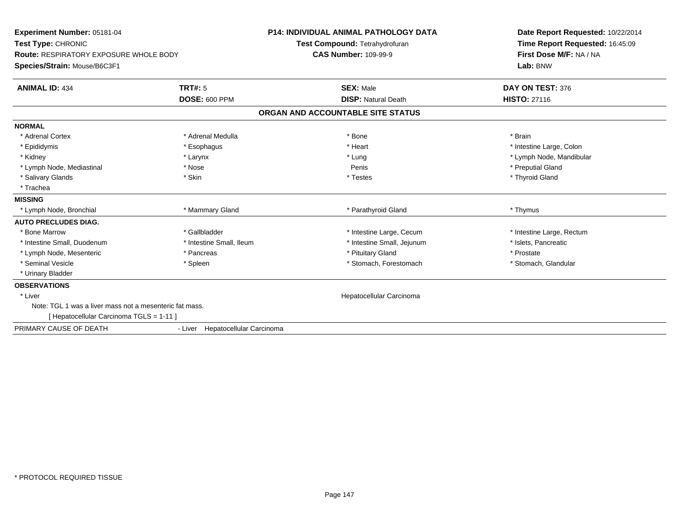| <b>Experiment Number: 05181-04</b><br>Test Type: CHRONIC<br><b>Route: RESPIRATORY EXPOSURE WHOLE BODY</b><br>Species/Strain: Mouse/B6C3F1 |                                  | <b>P14: INDIVIDUAL ANIMAL PATHOLOGY DATA</b><br>Test Compound: Tetrahydrofuran<br><b>CAS Number: 109-99-9</b> | Date Report Requested: 10/22/2014<br>Time Report Requested: 16:45:09<br>First Dose M/F: NA / NA<br>Lab: BNW |  |
|-------------------------------------------------------------------------------------------------------------------------------------------|----------------------------------|---------------------------------------------------------------------------------------------------------------|-------------------------------------------------------------------------------------------------------------|--|
| <b>ANIMAL ID: 434</b>                                                                                                                     | TRT#: 5                          | <b>SEX: Male</b>                                                                                              | DAY ON TEST: 376                                                                                            |  |
|                                                                                                                                           | DOSE: 600 PPM                    | <b>DISP: Natural Death</b>                                                                                    | <b>HISTO: 27116</b>                                                                                         |  |
|                                                                                                                                           |                                  | ORGAN AND ACCOUNTABLE SITE STATUS                                                                             |                                                                                                             |  |
| <b>NORMAL</b>                                                                                                                             |                                  |                                                                                                               |                                                                                                             |  |
| * Adrenal Cortex                                                                                                                          | * Adrenal Medulla                | * Bone                                                                                                        | * Brain                                                                                                     |  |
| * Epididymis                                                                                                                              | * Esophagus                      | * Heart                                                                                                       | * Intestine Large, Colon                                                                                    |  |
| * Kidney                                                                                                                                  | * Larynx                         | * Lung                                                                                                        | * Lymph Node, Mandibular                                                                                    |  |
| * Lymph Node, Mediastinal                                                                                                                 | * Nose                           | Penis                                                                                                         | * Preputial Gland                                                                                           |  |
| * Salivary Glands                                                                                                                         | * Skin                           | * Testes                                                                                                      | * Thyroid Gland                                                                                             |  |
| * Trachea                                                                                                                                 |                                  |                                                                                                               |                                                                                                             |  |
| <b>MISSING</b>                                                                                                                            |                                  |                                                                                                               |                                                                                                             |  |
| * Lymph Node, Bronchial                                                                                                                   | * Mammary Gland                  | * Parathyroid Gland                                                                                           | * Thymus                                                                                                    |  |
| <b>AUTO PRECLUDES DIAG.</b>                                                                                                               |                                  |                                                                                                               |                                                                                                             |  |
| * Bone Marrow                                                                                                                             | * Gallbladder                    | * Intestine Large, Cecum                                                                                      | * Intestine Large, Rectum                                                                                   |  |
| * Intestine Small, Duodenum                                                                                                               | * Intestine Small, Ileum         | * Intestine Small, Jejunum                                                                                    | * Islets, Pancreatic                                                                                        |  |
| * Lymph Node, Mesenteric                                                                                                                  | * Pancreas                       | * Pituitary Gland                                                                                             | * Prostate                                                                                                  |  |
| * Seminal Vesicle                                                                                                                         | * Spleen                         | * Stomach, Forestomach                                                                                        | * Stomach, Glandular                                                                                        |  |
| * Urinary Bladder                                                                                                                         |                                  |                                                                                                               |                                                                                                             |  |
| <b>OBSERVATIONS</b>                                                                                                                       |                                  |                                                                                                               |                                                                                                             |  |
| * Liver                                                                                                                                   |                                  | Hepatocellular Carcinoma                                                                                      |                                                                                                             |  |
| Note: TGL 1 was a liver mass not a mesenteric fat mass.                                                                                   |                                  |                                                                                                               |                                                                                                             |  |
| [ Hepatocellular Carcinoma TGLS = 1-11 ]                                                                                                  |                                  |                                                                                                               |                                                                                                             |  |
| PRIMARY CAUSE OF DEATH                                                                                                                    | - Liver Hepatocellular Carcinoma |                                                                                                               |                                                                                                             |  |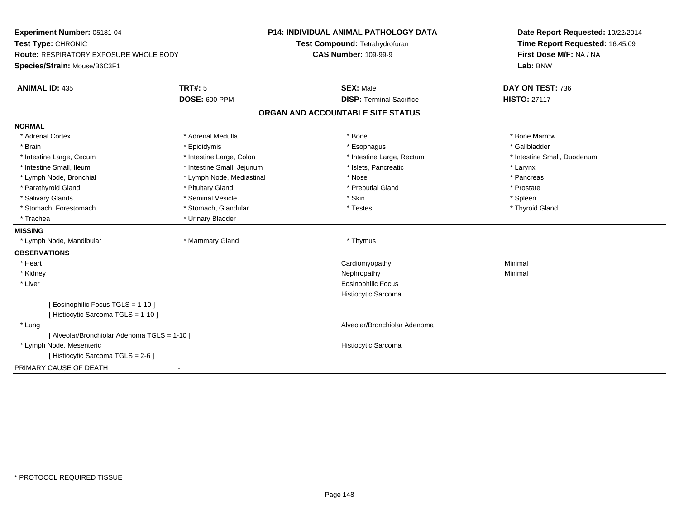| Experiment Number: 05181-04<br>Test Type: CHRONIC<br><b>Route: RESPIRATORY EXPOSURE WHOLE BODY</b><br>Species/Strain: Mouse/B6C3F1 |                            | <b>P14: INDIVIDUAL ANIMAL PATHOLOGY DATA</b><br>Test Compound: Tetrahydrofuran | Date Report Requested: 10/22/2014<br>Time Report Requested: 16:45:09<br>First Dose M/F: NA / NA<br>Lab: BNW |  |
|------------------------------------------------------------------------------------------------------------------------------------|----------------------------|--------------------------------------------------------------------------------|-------------------------------------------------------------------------------------------------------------|--|
|                                                                                                                                    |                            | <b>CAS Number: 109-99-9</b>                                                    |                                                                                                             |  |
| <b>ANIMAL ID: 435</b>                                                                                                              | <b>TRT#: 5</b>             | <b>SEX: Male</b>                                                               | DAY ON TEST: 736                                                                                            |  |
|                                                                                                                                    | <b>DOSE: 600 PPM</b>       | <b>DISP: Terminal Sacrifice</b>                                                | <b>HISTO: 27117</b>                                                                                         |  |
|                                                                                                                                    |                            | ORGAN AND ACCOUNTABLE SITE STATUS                                              |                                                                                                             |  |
| <b>NORMAL</b>                                                                                                                      |                            |                                                                                |                                                                                                             |  |
| * Adrenal Cortex                                                                                                                   | * Adrenal Medulla          | * Bone                                                                         | * Bone Marrow                                                                                               |  |
| * Brain                                                                                                                            | * Epididymis               | * Esophagus                                                                    | * Gallbladder                                                                                               |  |
| * Intestine Large, Cecum                                                                                                           | * Intestine Large, Colon   | * Intestine Large, Rectum                                                      | * Intestine Small, Duodenum                                                                                 |  |
| * Intestine Small, Ileum                                                                                                           | * Intestine Small, Jejunum | * Islets, Pancreatic                                                           | * Larynx                                                                                                    |  |
| * Lymph Node, Bronchial                                                                                                            | * Lymph Node, Mediastinal  | * Nose                                                                         | * Pancreas                                                                                                  |  |
| * Parathyroid Gland                                                                                                                | * Pituitary Gland          | * Preputial Gland                                                              | * Prostate                                                                                                  |  |
| * Salivary Glands                                                                                                                  | * Seminal Vesicle          | * Skin                                                                         | * Spleen                                                                                                    |  |
| * Stomach, Forestomach                                                                                                             | * Stomach, Glandular       | * Testes                                                                       | * Thyroid Gland                                                                                             |  |
| * Trachea                                                                                                                          | * Urinary Bladder          |                                                                                |                                                                                                             |  |
| <b>MISSING</b>                                                                                                                     |                            |                                                                                |                                                                                                             |  |
| * Lymph Node, Mandibular                                                                                                           | * Mammary Gland            | * Thymus                                                                       |                                                                                                             |  |
| <b>OBSERVATIONS</b>                                                                                                                |                            |                                                                                |                                                                                                             |  |
| * Heart                                                                                                                            |                            | Cardiomyopathy                                                                 | Minimal                                                                                                     |  |
| * Kidney                                                                                                                           |                            | Nephropathy                                                                    | Minimal                                                                                                     |  |
| * Liver                                                                                                                            |                            | <b>Eosinophilic Focus</b>                                                      |                                                                                                             |  |
|                                                                                                                                    |                            | Histiocytic Sarcoma                                                            |                                                                                                             |  |
| [ Eosinophilic Focus TGLS = 1-10 ]                                                                                                 |                            |                                                                                |                                                                                                             |  |
| [ Histiocytic Sarcoma TGLS = 1-10 ]                                                                                                |                            |                                                                                |                                                                                                             |  |
| * Lung                                                                                                                             |                            | Alveolar/Bronchiolar Adenoma                                                   |                                                                                                             |  |
| [ Alveolar/Bronchiolar Adenoma TGLS = 1-10 ]                                                                                       |                            |                                                                                |                                                                                                             |  |
| * Lymph Node, Mesenteric                                                                                                           |                            | Histiocytic Sarcoma                                                            |                                                                                                             |  |
| [ Histiocytic Sarcoma TGLS = 2-6 ]                                                                                                 |                            |                                                                                |                                                                                                             |  |
| PRIMARY CAUSE OF DEATH                                                                                                             |                            |                                                                                |                                                                                                             |  |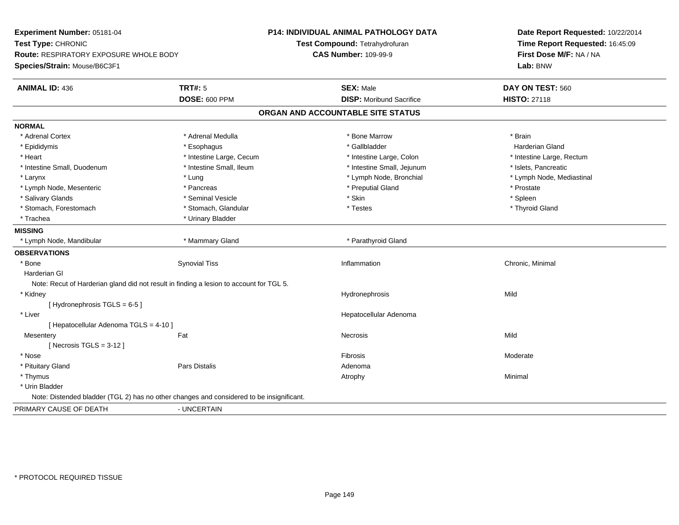| Experiment Number: 05181-04                                  |                                                                                          | <b>P14: INDIVIDUAL ANIMAL PATHOLOGY DATA</b> | Date Report Requested: 10/22/2014 |  |
|--------------------------------------------------------------|------------------------------------------------------------------------------------------|----------------------------------------------|-----------------------------------|--|
| Test Type: CHRONIC<br>Route: RESPIRATORY EXPOSURE WHOLE BODY |                                                                                          | Test Compound: Tetrahydrofuran               | Time Report Requested: 16:45:09   |  |
|                                                              |                                                                                          | <b>CAS Number: 109-99-9</b>                  | First Dose M/F: NA / NA           |  |
| Species/Strain: Mouse/B6C3F1                                 |                                                                                          |                                              | Lab: BNW                          |  |
| <b>ANIMAL ID: 436</b>                                        | <b>TRT#: 5</b>                                                                           | <b>SEX: Male</b>                             | DAY ON TEST: 560                  |  |
|                                                              | <b>DOSE: 600 PPM</b>                                                                     | <b>DISP:</b> Moribund Sacrifice              | <b>HISTO: 27118</b>               |  |
|                                                              |                                                                                          | ORGAN AND ACCOUNTABLE SITE STATUS            |                                   |  |
| <b>NORMAL</b>                                                |                                                                                          |                                              |                                   |  |
| * Adrenal Cortex                                             | * Adrenal Medulla                                                                        | * Bone Marrow                                | * Brain                           |  |
| * Epididymis                                                 | * Esophagus                                                                              | * Gallbladder                                | <b>Harderian Gland</b>            |  |
| * Heart                                                      | * Intestine Large, Cecum                                                                 | * Intestine Large, Colon                     | * Intestine Large, Rectum         |  |
| * Intestine Small, Duodenum                                  | * Intestine Small, Ileum                                                                 | * Intestine Small, Jejunum                   | * Islets, Pancreatic              |  |
| * Larynx                                                     | * Lung                                                                                   | * Lymph Node, Bronchial                      | * Lymph Node, Mediastinal         |  |
| * Lymph Node, Mesenteric                                     | * Pancreas                                                                               | * Preputial Gland                            | * Prostate                        |  |
| * Salivary Glands                                            | * Seminal Vesicle                                                                        | * Skin                                       | * Spleen                          |  |
| * Stomach, Forestomach                                       | * Stomach, Glandular                                                                     | * Testes                                     | * Thyroid Gland                   |  |
| * Trachea                                                    | * Urinary Bladder                                                                        |                                              |                                   |  |
| <b>MISSING</b>                                               |                                                                                          |                                              |                                   |  |
| * Lymph Node, Mandibular                                     | * Mammary Gland                                                                          | * Parathyroid Gland                          |                                   |  |
| <b>OBSERVATIONS</b>                                          |                                                                                          |                                              |                                   |  |
| * Bone                                                       | <b>Synovial Tiss</b>                                                                     | Inflammation                                 | Chronic, Minimal                  |  |
| Harderian GI                                                 |                                                                                          |                                              |                                   |  |
|                                                              | Note: Recut of Harderian gland did not result in finding a lesion to account for TGL 5.  |                                              |                                   |  |
| * Kidney                                                     |                                                                                          | Hydronephrosis                               | Mild                              |  |
| [Hydronephrosis TGLS = 6-5]                                  |                                                                                          |                                              |                                   |  |
| * Liver                                                      |                                                                                          | Hepatocellular Adenoma                       |                                   |  |
| [ Hepatocellular Adenoma TGLS = 4-10 ]                       |                                                                                          |                                              |                                   |  |
| Mesentery                                                    | Fat                                                                                      | Necrosis                                     | Mild                              |  |
| [Necrosis TGLS = $3-12$ ]                                    |                                                                                          |                                              |                                   |  |
| * Nose                                                       |                                                                                          | Fibrosis                                     | Moderate                          |  |
| * Pituitary Gland                                            | Pars Distalis                                                                            | Adenoma                                      |                                   |  |
| * Thymus                                                     |                                                                                          | Atrophy                                      | Minimal                           |  |
| * Urin Bladder                                               |                                                                                          |                                              |                                   |  |
|                                                              | Note: Distended bladder (TGL 2) has no other changes and considered to be insignificant. |                                              |                                   |  |
| PRIMARY CAUSE OF DEATH                                       | - UNCERTAIN                                                                              |                                              |                                   |  |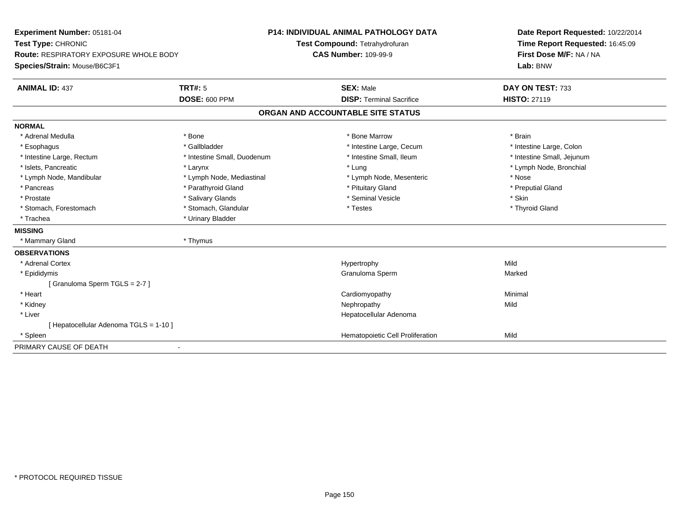| Experiment Number: 05181-04                   |                             | <b>P14: INDIVIDUAL ANIMAL PATHOLOGY DATA</b> | Date Report Requested: 10/22/2014 |  |
|-----------------------------------------------|-----------------------------|----------------------------------------------|-----------------------------------|--|
| Test Type: CHRONIC                            |                             | Test Compound: Tetrahydrofuran               | Time Report Requested: 16:45:09   |  |
| <b>Route: RESPIRATORY EXPOSURE WHOLE BODY</b> |                             | <b>CAS Number: 109-99-9</b>                  | First Dose M/F: NA / NA           |  |
| Species/Strain: Mouse/B6C3F1                  |                             |                                              | Lab: BNW                          |  |
| <b>ANIMAL ID: 437</b>                         | <b>TRT#: 5</b>              | <b>SEX: Male</b>                             | DAY ON TEST: 733                  |  |
|                                               | <b>DOSE: 600 PPM</b>        | <b>DISP: Terminal Sacrifice</b>              | <b>HISTO: 27119</b>               |  |
|                                               |                             | ORGAN AND ACCOUNTABLE SITE STATUS            |                                   |  |
| <b>NORMAL</b>                                 |                             |                                              |                                   |  |
| * Adrenal Medulla                             | * Bone                      | * Bone Marrow                                | * Brain                           |  |
| * Esophagus                                   | * Gallbladder               | * Intestine Large, Cecum                     | * Intestine Large, Colon          |  |
| * Intestine Large, Rectum                     | * Intestine Small, Duodenum | * Intestine Small, Ileum                     | * Intestine Small, Jejunum        |  |
| * Islets, Pancreatic                          | * Larynx                    | * Lung                                       | * Lymph Node, Bronchial           |  |
| * Lymph Node, Mandibular                      | * Lymph Node, Mediastinal   | * Lymph Node, Mesenteric                     | * Nose                            |  |
| * Pancreas                                    | * Parathyroid Gland         | * Pituitary Gland                            | * Preputial Gland                 |  |
| * Prostate                                    | * Salivary Glands           | * Seminal Vesicle                            | * Skin                            |  |
| * Stomach, Forestomach                        | * Stomach, Glandular        | * Testes                                     | * Thyroid Gland                   |  |
| * Trachea                                     | * Urinary Bladder           |                                              |                                   |  |
| <b>MISSING</b>                                |                             |                                              |                                   |  |
| * Mammary Gland                               | * Thymus                    |                                              |                                   |  |
| <b>OBSERVATIONS</b>                           |                             |                                              |                                   |  |
| * Adrenal Cortex                              |                             | Hypertrophy                                  | Mild                              |  |
| * Epididymis                                  |                             | Granuloma Sperm                              | Marked                            |  |
| [Granuloma Sperm TGLS = 2-7]                  |                             |                                              |                                   |  |
| * Heart                                       |                             | Cardiomyopathy                               | Minimal                           |  |
| * Kidney                                      |                             | Nephropathy                                  | Mild                              |  |
| * Liver                                       |                             | Hepatocellular Adenoma                       |                                   |  |
| [ Hepatocellular Adenoma TGLS = 1-10 ]        |                             |                                              |                                   |  |
| * Spleen                                      |                             | Hematopoietic Cell Proliferation             | Mild                              |  |
| PRIMARY CAUSE OF DEATH                        | $\overline{\phantom{a}}$    |                                              |                                   |  |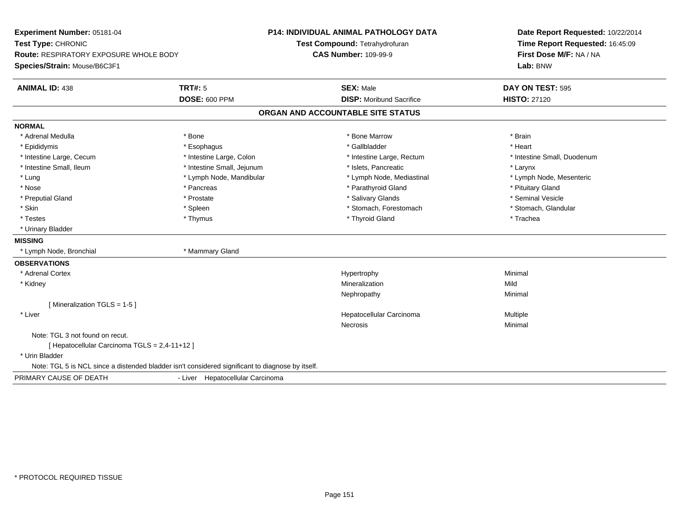| Experiment Number: 05181-04<br>Test Type: CHRONIC                                                |                                  | P14: INDIVIDUAL ANIMAL PATHOLOGY DATA<br>Test Compound: Tetrahydrofuran | Date Report Requested: 10/22/2014<br>Time Report Requested: 16:45:09 |  |
|--------------------------------------------------------------------------------------------------|----------------------------------|-------------------------------------------------------------------------|----------------------------------------------------------------------|--|
| <b>Route: RESPIRATORY EXPOSURE WHOLE BODY</b><br>Species/Strain: Mouse/B6C3F1                    |                                  | <b>CAS Number: 109-99-9</b>                                             | First Dose M/F: NA / NA<br>Lab: BNW                                  |  |
| <b>ANIMAL ID: 438</b>                                                                            | <b>TRT#: 5</b>                   | <b>SEX: Male</b>                                                        | DAY ON TEST: 595                                                     |  |
|                                                                                                  | <b>DOSE: 600 PPM</b>             | <b>DISP:</b> Moribund Sacrifice                                         | <b>HISTO: 27120</b>                                                  |  |
|                                                                                                  |                                  | ORGAN AND ACCOUNTABLE SITE STATUS                                       |                                                                      |  |
| <b>NORMAL</b>                                                                                    |                                  |                                                                         |                                                                      |  |
| * Adrenal Medulla                                                                                | * Bone                           | * Bone Marrow                                                           | * Brain                                                              |  |
| * Epididymis                                                                                     | * Esophagus                      | * Gallbladder                                                           | * Heart                                                              |  |
| * Intestine Large, Cecum                                                                         | * Intestine Large, Colon         | * Intestine Large, Rectum                                               | * Intestine Small, Duodenum                                          |  |
| * Intestine Small, Ileum                                                                         | * Intestine Small, Jejunum       | * Islets, Pancreatic                                                    | * Larynx                                                             |  |
| * Lung                                                                                           | * Lymph Node, Mandibular         | * Lymph Node, Mediastinal                                               | * Lymph Node, Mesenteric                                             |  |
| * Nose                                                                                           | * Pancreas                       | * Parathyroid Gland                                                     | * Pituitary Gland                                                    |  |
| * Preputial Gland                                                                                | * Prostate                       | * Salivary Glands                                                       | * Seminal Vesicle                                                    |  |
| * Skin                                                                                           | * Spleen                         | * Stomach, Forestomach                                                  | * Stomach, Glandular                                                 |  |
| * Testes                                                                                         | * Thymus                         | * Thyroid Gland                                                         | * Trachea                                                            |  |
| * Urinary Bladder                                                                                |                                  |                                                                         |                                                                      |  |
| <b>MISSING</b>                                                                                   |                                  |                                                                         |                                                                      |  |
| * Lymph Node, Bronchial                                                                          | * Mammary Gland                  |                                                                         |                                                                      |  |
| <b>OBSERVATIONS</b>                                                                              |                                  |                                                                         |                                                                      |  |
| * Adrenal Cortex                                                                                 |                                  | Hypertrophy                                                             | Minimal                                                              |  |
| * Kidney                                                                                         |                                  | Mineralization                                                          | Mild                                                                 |  |
|                                                                                                  |                                  | Nephropathy                                                             | Minimal                                                              |  |
| [Mineralization TGLS = 1-5]                                                                      |                                  |                                                                         |                                                                      |  |
| * Liver                                                                                          |                                  | Hepatocellular Carcinoma                                                | Multiple                                                             |  |
|                                                                                                  |                                  | Necrosis                                                                | Minimal                                                              |  |
| Note: TGL 3 not found on recut.                                                                  |                                  |                                                                         |                                                                      |  |
| [ Hepatocellular Carcinoma TGLS = 2,4-11+12 ]                                                    |                                  |                                                                         |                                                                      |  |
| * Urin Bladder                                                                                   |                                  |                                                                         |                                                                      |  |
| Note: TGL 5 is NCL since a distended bladder isn't considered significant to diagnose by itself. |                                  |                                                                         |                                                                      |  |
| PRIMARY CAUSE OF DEATH                                                                           | - Liver Hepatocellular Carcinoma |                                                                         |                                                                      |  |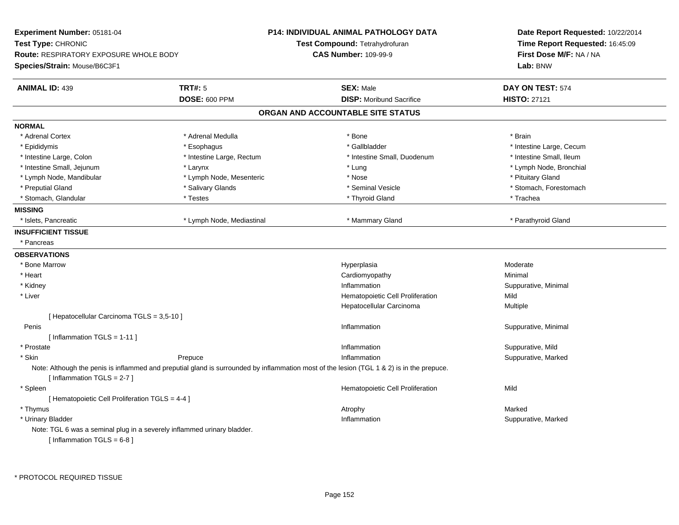| Experiment Number: 05181-04                                             |                                                                                                                                           | <b>P14: INDIVIDUAL ANIMAL PATHOLOGY DATA</b> | Date Report Requested: 10/22/2014<br>Time Report Requested: 16:45:09<br>First Dose M/F: NA / NA |
|-------------------------------------------------------------------------|-------------------------------------------------------------------------------------------------------------------------------------------|----------------------------------------------|-------------------------------------------------------------------------------------------------|
| Test Type: CHRONIC                                                      |                                                                                                                                           | <b>Test Compound: Tetrahydrofuran</b>        |                                                                                                 |
| <b>Route: RESPIRATORY EXPOSURE WHOLE BODY</b>                           |                                                                                                                                           | <b>CAS Number: 109-99-9</b>                  |                                                                                                 |
| Species/Strain: Mouse/B6C3F1                                            |                                                                                                                                           |                                              | Lab: BNW                                                                                        |
| <b>ANIMAL ID: 439</b>                                                   | <b>TRT#: 5</b>                                                                                                                            | <b>SEX: Male</b>                             | DAY ON TEST: 574                                                                                |
|                                                                         | <b>DOSE: 600 PPM</b>                                                                                                                      | <b>DISP: Moribund Sacrifice</b>              | <b>HISTO: 27121</b>                                                                             |
|                                                                         |                                                                                                                                           | ORGAN AND ACCOUNTABLE SITE STATUS            |                                                                                                 |
| <b>NORMAL</b>                                                           |                                                                                                                                           |                                              |                                                                                                 |
| * Adrenal Cortex                                                        | * Adrenal Medulla                                                                                                                         | $*$ Bone                                     | * Brain                                                                                         |
| * Epididymis                                                            | * Esophagus                                                                                                                               | * Gallbladder                                | * Intestine Large, Cecum                                                                        |
| * Intestine Large, Colon                                                | * Intestine Large, Rectum                                                                                                                 | * Intestine Small, Duodenum                  | * Intestine Small, Ileum                                                                        |
| * Intestine Small, Jejunum                                              | * Larynx                                                                                                                                  | * Lung                                       | * Lymph Node, Bronchial                                                                         |
| * Lymph Node, Mandibular                                                | * Lymph Node, Mesenteric                                                                                                                  | * Nose                                       | * Pituitary Gland                                                                               |
| * Preputial Gland                                                       | * Salivary Glands                                                                                                                         | * Seminal Vesicle                            | * Stomach, Forestomach                                                                          |
| * Stomach, Glandular                                                    | * Testes                                                                                                                                  | * Thyroid Gland                              | * Trachea                                                                                       |
| <b>MISSING</b>                                                          |                                                                                                                                           |                                              |                                                                                                 |
| * Islets, Pancreatic                                                    | * Lymph Node, Mediastinal                                                                                                                 | * Mammary Gland                              | * Parathyroid Gland                                                                             |
| <b>INSUFFICIENT TISSUE</b>                                              |                                                                                                                                           |                                              |                                                                                                 |
| * Pancreas                                                              |                                                                                                                                           |                                              |                                                                                                 |
| <b>OBSERVATIONS</b>                                                     |                                                                                                                                           |                                              |                                                                                                 |
| * Bone Marrow                                                           |                                                                                                                                           | Hyperplasia                                  | Moderate                                                                                        |
| * Heart                                                                 |                                                                                                                                           | Cardiomyopathy                               | Minimal                                                                                         |
| * Kidney                                                                |                                                                                                                                           | Inflammation                                 | Suppurative, Minimal                                                                            |
| * Liver                                                                 |                                                                                                                                           | Hematopoietic Cell Proliferation             | Mild                                                                                            |
|                                                                         |                                                                                                                                           | Hepatocellular Carcinoma                     | Multiple                                                                                        |
| [ Hepatocellular Carcinoma TGLS = 3,5-10 ]                              |                                                                                                                                           |                                              |                                                                                                 |
| Penis                                                                   |                                                                                                                                           | Inflammation                                 | Suppurative, Minimal                                                                            |
| [Inflammation TGLS = $1-11$ ]                                           |                                                                                                                                           |                                              |                                                                                                 |
| * Prostate                                                              |                                                                                                                                           | Inflammation                                 | Suppurative, Mild                                                                               |
| * Skin                                                                  | Prepuce                                                                                                                                   | Inflammation                                 | Suppurative, Marked                                                                             |
| [Inflammation $TGLS = 2-7$ ]                                            | Note: Although the penis is inflammed and preputial gland is surrounded by inflammation most of the lesion (TGL 1 & 2) is in the prepuce. |                                              |                                                                                                 |
| * Spleen                                                                |                                                                                                                                           | Hematopoietic Cell Proliferation             | Mild                                                                                            |
| [ Hematopoietic Cell Proliferation TGLS = 4-4 ]                         |                                                                                                                                           |                                              |                                                                                                 |
| * Thymus                                                                |                                                                                                                                           | Atrophy                                      | Marked                                                                                          |
| * Urinary Bladder                                                       |                                                                                                                                           | Inflammation                                 | Suppurative, Marked                                                                             |
| Note: TGL 6 was a seminal plug in a severely inflammed urinary bladder. |                                                                                                                                           |                                              |                                                                                                 |
| [Inflammation TGLS = $6-8$ ]                                            |                                                                                                                                           |                                              |                                                                                                 |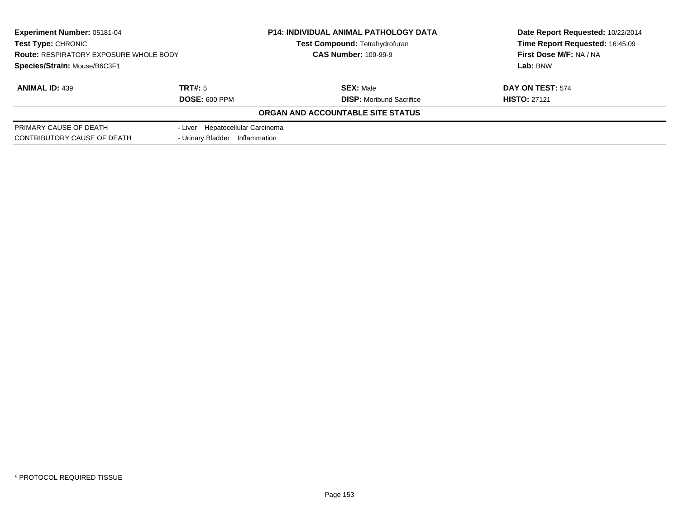| <b>Experiment Number: 05181-04</b><br><b>Test Type: CHRONIC</b><br><b>Route: RESPIRATORY EXPOSURE WHOLE BODY</b> |                                  | <b>P14: INDIVIDUAL ANIMAL PATHOLOGY DATA</b> | Date Report Requested: 10/22/2014 |  |
|------------------------------------------------------------------------------------------------------------------|----------------------------------|----------------------------------------------|-----------------------------------|--|
|                                                                                                                  |                                  | <b>Test Compound: Tetrahydrofuran</b>        | Time Report Requested: 16:45:09   |  |
|                                                                                                                  |                                  | <b>CAS Number: 109-99-9</b>                  | First Dose M/F: NA / NA           |  |
| Species/Strain: Mouse/B6C3F1                                                                                     |                                  |                                              | Lab: BNW                          |  |
| <b>ANIMAL ID: 439</b>                                                                                            | TRT#: 5                          | <b>SEX: Male</b>                             | DAY ON TEST: 574                  |  |
|                                                                                                                  | <b>DOSE: 600 PPM</b>             | <b>DISP:</b> Moribund Sacrifice              | <b>HISTO: 27121</b>               |  |
|                                                                                                                  |                                  | ORGAN AND ACCOUNTABLE SITE STATUS            |                                   |  |
| PRIMARY CAUSE OF DEATH                                                                                           | - Liver Hepatocellular Carcinoma |                                              |                                   |  |
| CONTRIBUTORY CAUSE OF DEATH                                                                                      | - Urinary Bladder                | Inflammation                                 |                                   |  |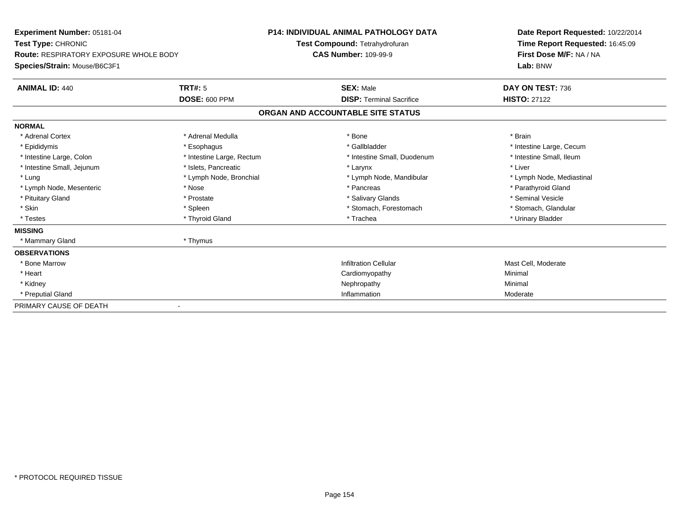| Experiment Number: 05181-04                   |                           | <b>P14: INDIVIDUAL ANIMAL PATHOLOGY DATA</b> |                                   | Date Report Requested: 10/22/2014 |  |
|-----------------------------------------------|---------------------------|----------------------------------------------|-----------------------------------|-----------------------------------|--|
| Test Type: CHRONIC                            |                           |                                              | Test Compound: Tetrahydrofuran    | Time Report Requested: 16:45:09   |  |
| <b>Route: RESPIRATORY EXPOSURE WHOLE BODY</b> |                           | <b>CAS Number: 109-99-9</b>                  |                                   | First Dose M/F: NA / NA           |  |
| Species/Strain: Mouse/B6C3F1                  |                           |                                              |                                   | Lab: BNW                          |  |
| <b>ANIMAL ID: 440</b>                         | TRT#: 5                   |                                              | <b>SEX: Male</b>                  | DAY ON TEST: 736                  |  |
|                                               | <b>DOSE: 600 PPM</b>      |                                              | <b>DISP: Terminal Sacrifice</b>   | <b>HISTO: 27122</b>               |  |
|                                               |                           |                                              | ORGAN AND ACCOUNTABLE SITE STATUS |                                   |  |
| <b>NORMAL</b>                                 |                           |                                              |                                   |                                   |  |
| * Adrenal Cortex                              | * Adrenal Medulla         |                                              | * Bone                            | * Brain                           |  |
| * Epididymis                                  | * Esophagus               |                                              | * Gallbladder                     | * Intestine Large, Cecum          |  |
| * Intestine Large, Colon                      | * Intestine Large, Rectum |                                              | * Intestine Small, Duodenum       | * Intestine Small, Ileum          |  |
| * Intestine Small, Jejunum                    | * Islets, Pancreatic      |                                              | * Larynx                          | * Liver                           |  |
| * Lung                                        | * Lymph Node, Bronchial   |                                              | * Lymph Node, Mandibular          | * Lymph Node, Mediastinal         |  |
| * Lymph Node, Mesenteric                      | * Nose                    |                                              | * Pancreas                        | * Parathyroid Gland               |  |
| * Pituitary Gland                             | * Prostate                |                                              | * Salivary Glands                 | * Seminal Vesicle                 |  |
| * Skin                                        | * Spleen                  |                                              | * Stomach, Forestomach            | * Stomach, Glandular              |  |
| * Testes                                      | * Thyroid Gland           |                                              | * Trachea                         | * Urinary Bladder                 |  |
| <b>MISSING</b>                                |                           |                                              |                                   |                                   |  |
| * Mammary Gland                               | * Thymus                  |                                              |                                   |                                   |  |
| <b>OBSERVATIONS</b>                           |                           |                                              |                                   |                                   |  |
| * Bone Marrow                                 |                           |                                              | <b>Infiltration Cellular</b>      | Mast Cell, Moderate               |  |
| * Heart                                       |                           |                                              | Cardiomyopathy                    | Minimal                           |  |
| * Kidney                                      |                           |                                              | Nephropathy                       | Minimal                           |  |
| * Preputial Gland                             |                           |                                              | Inflammation                      | Moderate                          |  |
| PRIMARY CAUSE OF DEATH                        |                           |                                              |                                   |                                   |  |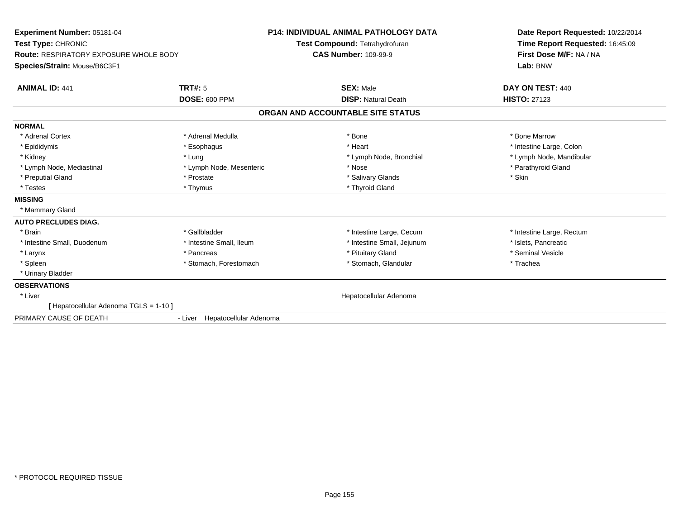| Experiment Number: 05181-04<br>Test Type: CHRONIC<br><b>Route: RESPIRATORY EXPOSURE WHOLE BODY</b><br>Species/Strain: Mouse/B6C3F1 |                                        | <b>P14: INDIVIDUAL ANIMAL PATHOLOGY DATA</b><br>Test Compound: Tetrahydrofuran<br><b>CAS Number: 109-99-9</b> | Date Report Requested: 10/22/2014<br>Time Report Requested: 16:45:09<br>First Dose M/F: NA / NA<br>Lab: BNW |
|------------------------------------------------------------------------------------------------------------------------------------|----------------------------------------|---------------------------------------------------------------------------------------------------------------|-------------------------------------------------------------------------------------------------------------|
| <b>ANIMAL ID: 441</b>                                                                                                              | <b>TRT#: 5</b><br><b>DOSE: 600 PPM</b> | <b>SEX: Male</b><br><b>DISP: Natural Death</b>                                                                | DAY ON TEST: 440<br><b>HISTO: 27123</b>                                                                     |
|                                                                                                                                    |                                        | ORGAN AND ACCOUNTABLE SITE STATUS                                                                             |                                                                                                             |
| <b>NORMAL</b>                                                                                                                      |                                        |                                                                                                               |                                                                                                             |
| * Adrenal Cortex                                                                                                                   | * Adrenal Medulla                      | * Bone                                                                                                        | * Bone Marrow                                                                                               |
| * Epididymis                                                                                                                       | * Esophagus                            | * Heart                                                                                                       | * Intestine Large, Colon                                                                                    |
| * Kidney                                                                                                                           | * Lung                                 | * Lymph Node, Bronchial                                                                                       | * Lymph Node, Mandibular                                                                                    |
| * Lymph Node, Mediastinal                                                                                                          | * Lymph Node, Mesenteric               | * Nose                                                                                                        | * Parathyroid Gland                                                                                         |
| * Preputial Gland                                                                                                                  | * Prostate                             | * Salivary Glands                                                                                             | * Skin                                                                                                      |
| * Testes                                                                                                                           | * Thymus                               | * Thyroid Gland                                                                                               |                                                                                                             |
| <b>MISSING</b>                                                                                                                     |                                        |                                                                                                               |                                                                                                             |
| * Mammary Gland                                                                                                                    |                                        |                                                                                                               |                                                                                                             |
| <b>AUTO PRECLUDES DIAG.</b>                                                                                                        |                                        |                                                                                                               |                                                                                                             |
| * Brain                                                                                                                            | * Gallbladder                          | * Intestine Large, Cecum                                                                                      | * Intestine Large, Rectum                                                                                   |
| * Intestine Small, Duodenum                                                                                                        | * Intestine Small, Ileum               | * Intestine Small, Jejunum                                                                                    | * Islets. Pancreatic                                                                                        |
| * Larynx                                                                                                                           | * Pancreas                             | * Pituitary Gland                                                                                             | * Seminal Vesicle                                                                                           |
| * Spleen                                                                                                                           | * Stomach, Forestomach                 | * Stomach, Glandular                                                                                          | * Trachea                                                                                                   |
| * Urinary Bladder                                                                                                                  |                                        |                                                                                                               |                                                                                                             |
| <b>OBSERVATIONS</b>                                                                                                                |                                        |                                                                                                               |                                                                                                             |
| * Liver                                                                                                                            |                                        | Hepatocellular Adenoma                                                                                        |                                                                                                             |
| [ Hepatocellular Adenoma TGLS = 1-10 ]                                                                                             |                                        |                                                                                                               |                                                                                                             |
| PRIMARY CAUSE OF DEATH                                                                                                             | - Liver Hepatocellular Adenoma         |                                                                                                               |                                                                                                             |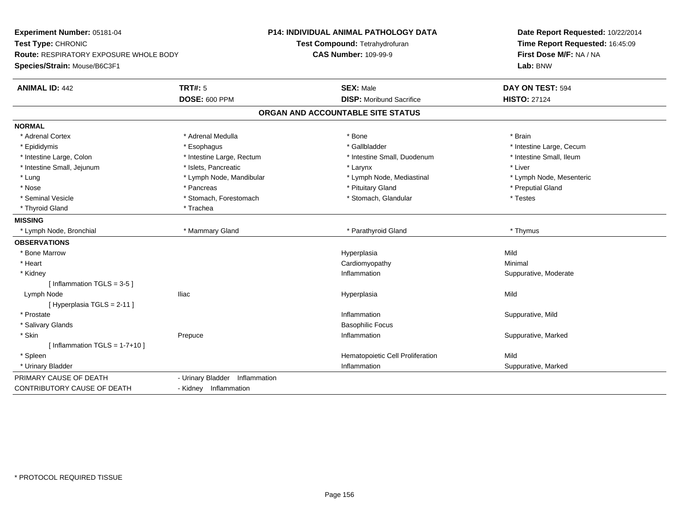| Experiment Number: 05181-04                   |                                | <b>P14: INDIVIDUAL ANIMAL PATHOLOGY DATA</b> | Date Report Requested: 10/22/2014<br>Time Report Requested: 16:45:09 |
|-----------------------------------------------|--------------------------------|----------------------------------------------|----------------------------------------------------------------------|
| Test Type: CHRONIC                            |                                | Test Compound: Tetrahydrofuran               |                                                                      |
| <b>Route: RESPIRATORY EXPOSURE WHOLE BODY</b> |                                | <b>CAS Number: 109-99-9</b>                  | First Dose M/F: NA / NA                                              |
| Species/Strain: Mouse/B6C3F1                  |                                |                                              | Lab: BNW                                                             |
| <b>ANIMAL ID: 442</b>                         | <b>TRT#: 5</b>                 | <b>SEX: Male</b>                             | DAY ON TEST: 594                                                     |
|                                               | <b>DOSE: 600 PPM</b>           | <b>DISP:</b> Moribund Sacrifice              | <b>HISTO: 27124</b>                                                  |
|                                               |                                | ORGAN AND ACCOUNTABLE SITE STATUS            |                                                                      |
| <b>NORMAL</b>                                 |                                |                                              |                                                                      |
| * Adrenal Cortex                              | * Adrenal Medulla              | * Bone                                       | * Brain                                                              |
| * Epididymis                                  | * Esophagus                    | * Gallbladder                                | * Intestine Large, Cecum                                             |
| * Intestine Large, Colon                      | * Intestine Large, Rectum      | * Intestine Small, Duodenum                  | * Intestine Small, Ileum                                             |
| * Intestine Small, Jejunum                    | * Islets, Pancreatic           | * Larynx                                     | * Liver                                                              |
| $*$ Lung                                      | * Lymph Node, Mandibular       | * Lymph Node, Mediastinal                    | * Lymph Node, Mesenteric                                             |
| * Nose                                        | * Pancreas                     | * Pituitary Gland                            | * Preputial Gland                                                    |
| * Seminal Vesicle                             | * Stomach, Forestomach         | * Stomach, Glandular                         | * Testes                                                             |
| * Thyroid Gland                               | * Trachea                      |                                              |                                                                      |
| <b>MISSING</b>                                |                                |                                              |                                                                      |
| * Lymph Node, Bronchial                       | * Mammary Gland                | * Parathyroid Gland                          | * Thymus                                                             |
| <b>OBSERVATIONS</b>                           |                                |                                              |                                                                      |
| * Bone Marrow                                 |                                | Hyperplasia                                  | Mild                                                                 |
| * Heart                                       |                                | Cardiomyopathy                               | Minimal                                                              |
| * Kidney                                      |                                | Inflammation                                 | Suppurative, Moderate                                                |
| [Inflammation TGLS = $3-5$ ]                  |                                |                                              |                                                                      |
| Lymph Node                                    | <b>Iliac</b>                   | Hyperplasia                                  | Mild                                                                 |
| [Hyperplasia TGLS = 2-11]                     |                                |                                              |                                                                      |
| * Prostate                                    |                                | Inflammation                                 | Suppurative, Mild                                                    |
| * Salivary Glands                             |                                | <b>Basophilic Focus</b>                      |                                                                      |
| * Skin                                        | Prepuce                        | Inflammation                                 | Suppurative, Marked                                                  |
| [ Inflammation $TGLS = 1-7+10$ ]              |                                |                                              |                                                                      |
| * Spleen                                      |                                | Hematopoietic Cell Proliferation             | Mild                                                                 |
| * Urinary Bladder                             |                                | Inflammation                                 | Suppurative, Marked                                                  |
| PRIMARY CAUSE OF DEATH                        | - Urinary Bladder Inflammation |                                              |                                                                      |
| <b>CONTRIBUTORY CAUSE OF DEATH</b>            | - Kidney Inflammation          |                                              |                                                                      |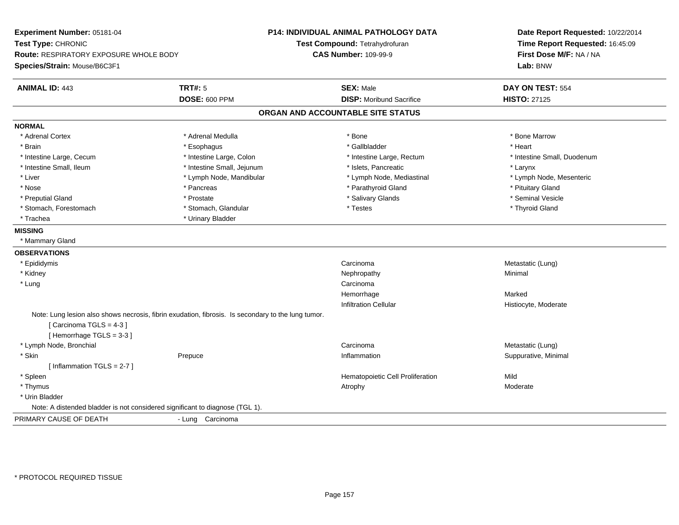| Experiment Number: 05181-04                                                                        |                            | <b>P14: INDIVIDUAL ANIMAL PATHOLOGY DATA</b> | Date Report Requested: 10/22/2014                          |  |
|----------------------------------------------------------------------------------------------------|----------------------------|----------------------------------------------|------------------------------------------------------------|--|
| Test Type: CHRONIC                                                                                 |                            | Test Compound: Tetrahydrofuran               | Time Report Requested: 16:45:09<br>First Dose M/F: NA / NA |  |
| Route: RESPIRATORY EXPOSURE WHOLE BODY                                                             |                            | <b>CAS Number: 109-99-9</b>                  |                                                            |  |
| Species/Strain: Mouse/B6C3F1                                                                       |                            |                                              | Lab: BNW                                                   |  |
| <b>ANIMAL ID: 443</b>                                                                              | <b>TRT#: 5</b>             | <b>SEX: Male</b>                             | DAY ON TEST: 554                                           |  |
|                                                                                                    | <b>DOSE: 600 PPM</b>       | <b>DISP:</b> Moribund Sacrifice              | <b>HISTO: 27125</b>                                        |  |
|                                                                                                    |                            | ORGAN AND ACCOUNTABLE SITE STATUS            |                                                            |  |
| <b>NORMAL</b>                                                                                      |                            |                                              |                                                            |  |
| * Adrenal Cortex                                                                                   | * Adrenal Medulla          | * Bone                                       | * Bone Marrow                                              |  |
| * Brain                                                                                            | * Esophagus                | * Gallbladder                                | * Heart                                                    |  |
| * Intestine Large, Cecum                                                                           | * Intestine Large, Colon   | * Intestine Large, Rectum                    | * Intestine Small, Duodenum                                |  |
| * Intestine Small, Ileum                                                                           | * Intestine Small, Jejunum | * Islets, Pancreatic                         | * Larynx                                                   |  |
| * Liver                                                                                            | * Lymph Node, Mandibular   | * Lymph Node, Mediastinal                    | * Lymph Node, Mesenteric                                   |  |
| * Nose                                                                                             | * Pancreas                 | * Parathyroid Gland                          | * Pituitary Gland                                          |  |
| * Preputial Gland                                                                                  | * Prostate                 | * Salivary Glands                            | * Seminal Vesicle                                          |  |
| * Stomach, Forestomach                                                                             | * Stomach, Glandular       | * Testes                                     | * Thyroid Gland                                            |  |
| * Trachea                                                                                          | * Urinary Bladder          |                                              |                                                            |  |
| <b>MISSING</b>                                                                                     |                            |                                              |                                                            |  |
| * Mammary Gland                                                                                    |                            |                                              |                                                            |  |
| <b>OBSERVATIONS</b>                                                                                |                            |                                              |                                                            |  |
| * Epididymis                                                                                       |                            | Carcinoma                                    | Metastatic (Lung)                                          |  |
| * Kidney                                                                                           |                            | Nephropathy                                  | Minimal                                                    |  |
| * Lung                                                                                             |                            | Carcinoma                                    |                                                            |  |
|                                                                                                    |                            | Hemorrhage                                   | Marked                                                     |  |
|                                                                                                    |                            | <b>Infiltration Cellular</b>                 | Histiocyte, Moderate                                       |  |
| Note: Lung lesion also shows necrosis, fibrin exudation, fibrosis. Is secondary to the lung tumor. |                            |                                              |                                                            |  |
| [Carcinoma TGLS = 4-3]                                                                             |                            |                                              |                                                            |  |
| [Hemorrhage TGLS = 3-3]                                                                            |                            |                                              |                                                            |  |
| * Lymph Node, Bronchial                                                                            |                            | Carcinoma                                    | Metastatic (Lung)                                          |  |
| * Skin                                                                                             | Prepuce                    | Inflammation                                 | Suppurative, Minimal                                       |  |
| [Inflammation TGLS = $2-7$ ]                                                                       |                            |                                              |                                                            |  |
| * Spleen                                                                                           |                            | Hematopoietic Cell Proliferation             | Mild                                                       |  |
| * Thymus                                                                                           |                            | Atrophy                                      | Moderate                                                   |  |
| * Urin Bladder                                                                                     |                            |                                              |                                                            |  |
| Note: A distended bladder is not considered significant to diagnose (TGL 1).                       |                            |                                              |                                                            |  |
| PRIMARY CAUSE OF DEATH                                                                             | - Lung Carcinoma           |                                              |                                                            |  |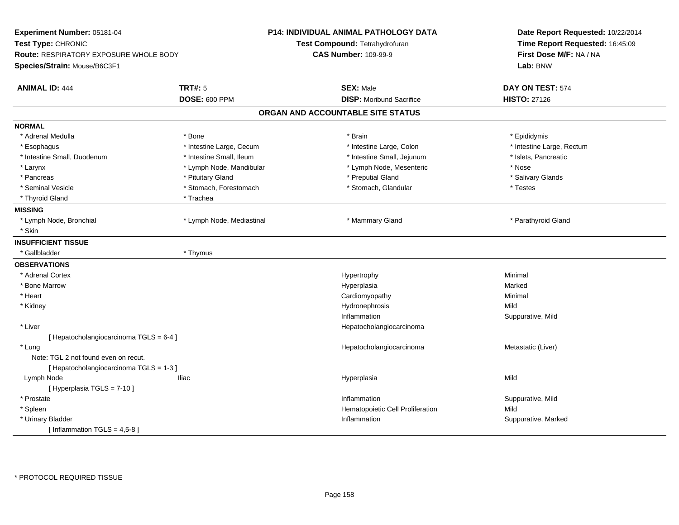| Experiment Number: 05181-04<br>Test Type: CHRONIC<br>Route: RESPIRATORY EXPOSURE WHOLE BODY<br>Species/Strain: Mouse/B6C3F1 |                           | <b>P14: INDIVIDUAL ANIMAL PATHOLOGY DATA</b><br>Test Compound: Tetrahydrofuran<br><b>CAS Number: 109-99-9</b> | Date Report Requested: 10/22/2014<br>Time Report Requested: 16:45:09<br>First Dose M/F: NA / NA<br>Lab: BNW |  |
|-----------------------------------------------------------------------------------------------------------------------------|---------------------------|---------------------------------------------------------------------------------------------------------------|-------------------------------------------------------------------------------------------------------------|--|
| <b>ANIMAL ID: 444</b>                                                                                                       | <b>TRT#: 5</b>            | <b>SEX: Male</b>                                                                                              | DAY ON TEST: 574                                                                                            |  |
|                                                                                                                             | <b>DOSE: 600 PPM</b>      | <b>DISP:</b> Moribund Sacrifice                                                                               | <b>HISTO: 27126</b>                                                                                         |  |
|                                                                                                                             |                           | ORGAN AND ACCOUNTABLE SITE STATUS                                                                             |                                                                                                             |  |
| <b>NORMAL</b>                                                                                                               |                           |                                                                                                               |                                                                                                             |  |
| * Adrenal Medulla                                                                                                           | * Bone                    | * Brain                                                                                                       | * Epididymis                                                                                                |  |
| * Esophagus                                                                                                                 | * Intestine Large, Cecum  | * Intestine Large, Colon                                                                                      | * Intestine Large, Rectum                                                                                   |  |
| * Intestine Small, Duodenum                                                                                                 | * Intestine Small, Ileum  | * Intestine Small, Jejunum                                                                                    | * Islets, Pancreatic                                                                                        |  |
| $*$ Larynx                                                                                                                  | * Lymph Node, Mandibular  | * Lymph Node, Mesenteric                                                                                      | * Nose                                                                                                      |  |
| * Pancreas                                                                                                                  | * Pituitary Gland         | * Preputial Gland                                                                                             | * Salivary Glands                                                                                           |  |
| * Seminal Vesicle                                                                                                           | * Stomach, Forestomach    | * Stomach, Glandular                                                                                          | * Testes                                                                                                    |  |
| * Thyroid Gland                                                                                                             | * Trachea                 |                                                                                                               |                                                                                                             |  |
| <b>MISSING</b>                                                                                                              |                           |                                                                                                               |                                                                                                             |  |
| * Lymph Node, Bronchial                                                                                                     | * Lymph Node, Mediastinal | * Mammary Gland                                                                                               | * Parathyroid Gland                                                                                         |  |
| * Skin                                                                                                                      |                           |                                                                                                               |                                                                                                             |  |
| <b>INSUFFICIENT TISSUE</b>                                                                                                  |                           |                                                                                                               |                                                                                                             |  |
| * Gallbladder                                                                                                               | * Thymus                  |                                                                                                               |                                                                                                             |  |
| <b>OBSERVATIONS</b>                                                                                                         |                           |                                                                                                               |                                                                                                             |  |
| * Adrenal Cortex                                                                                                            |                           | Hypertrophy                                                                                                   | Minimal                                                                                                     |  |
| * Bone Marrow                                                                                                               |                           | Hyperplasia                                                                                                   | Marked                                                                                                      |  |
| * Heart                                                                                                                     |                           | Cardiomyopathy                                                                                                | Minimal                                                                                                     |  |
| * Kidney                                                                                                                    |                           | Hydronephrosis                                                                                                | Mild                                                                                                        |  |
|                                                                                                                             |                           | Inflammation                                                                                                  | Suppurative, Mild                                                                                           |  |
| * Liver                                                                                                                     |                           | Hepatocholangiocarcinoma                                                                                      |                                                                                                             |  |
| [ Hepatocholangiocarcinoma TGLS = 6-4 ]                                                                                     |                           |                                                                                                               |                                                                                                             |  |
| * Lung                                                                                                                      |                           | Hepatocholangiocarcinoma                                                                                      | Metastatic (Liver)                                                                                          |  |
| Note: TGL 2 not found even on recut.                                                                                        |                           |                                                                                                               |                                                                                                             |  |
| [ Hepatocholangiocarcinoma TGLS = 1-3 ]                                                                                     |                           |                                                                                                               |                                                                                                             |  |
| Lymph Node                                                                                                                  | <b>Iliac</b>              | Hyperplasia                                                                                                   | Mild                                                                                                        |  |
| [ Hyperplasia TGLS = 7-10 ]                                                                                                 |                           |                                                                                                               |                                                                                                             |  |
| * Prostate                                                                                                                  |                           | Inflammation                                                                                                  | Suppurative, Mild                                                                                           |  |
| * Spleen                                                                                                                    |                           | Hematopoietic Cell Proliferation                                                                              | Mild                                                                                                        |  |
| * Urinary Bladder                                                                                                           |                           | Inflammation                                                                                                  | Suppurative, Marked                                                                                         |  |
| [Inflammation TGLS = $4,5-8$ ]                                                                                              |                           |                                                                                                               |                                                                                                             |  |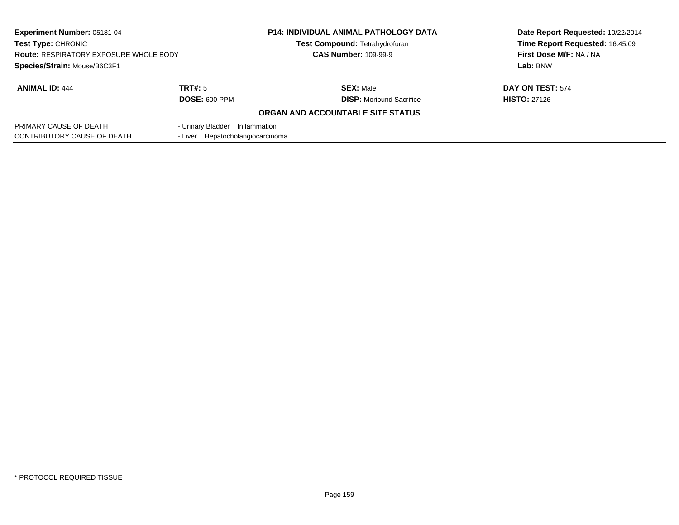| Experiment Number: 05181-04<br><b>Test Type: CHRONIC</b><br><b>Route: RESPIRATORY EXPOSURE WHOLE BODY</b> |                                  | <b>P14: INDIVIDUAL ANIMAL PATHOLOGY DATA</b> | Date Report Requested: 10/22/2014 |  |
|-----------------------------------------------------------------------------------------------------------|----------------------------------|----------------------------------------------|-----------------------------------|--|
|                                                                                                           |                                  | Test Compound: Tetrahydrofuran               | Time Report Requested: 16:45:09   |  |
|                                                                                                           |                                  | <b>CAS Number: 109-99-9</b>                  | First Dose M/F: NA / NA           |  |
| Species/Strain: Mouse/B6C3F1                                                                              |                                  |                                              | Lab: BNW                          |  |
| <b>ANIMAL ID: 444</b>                                                                                     | TRT#: 5                          | <b>SEX: Male</b>                             | DAY ON TEST: 574                  |  |
|                                                                                                           | <b>DOSE: 600 PPM</b>             | <b>DISP:</b> Moribund Sacrifice              | <b>HISTO: 27126</b>               |  |
|                                                                                                           |                                  | ORGAN AND ACCOUNTABLE SITE STATUS            |                                   |  |
| PRIMARY CAUSE OF DEATH                                                                                    | - Urinary Bladder Inflammation   |                                              |                                   |  |
| CONTRIBUTORY CAUSE OF DEATH                                                                               | - Liver Hepatocholangiocarcinoma |                                              |                                   |  |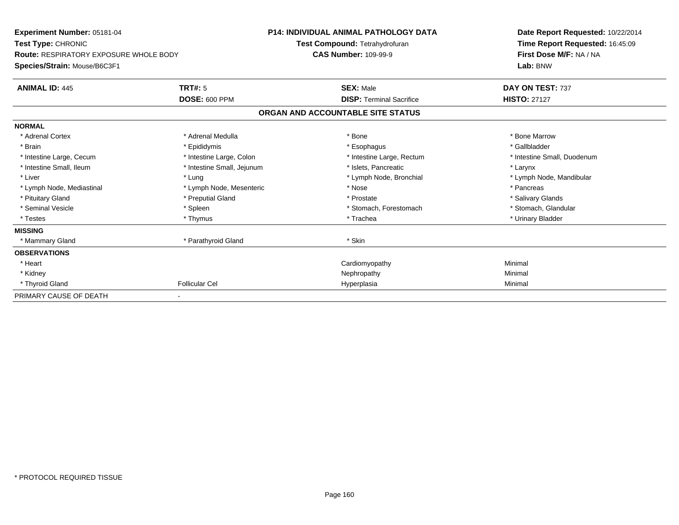| Experiment Number: 05181-04                   |                            | <b>P14: INDIVIDUAL ANIMAL PATHOLOGY DATA</b> | Date Report Requested: 10/22/2014                          |  |
|-----------------------------------------------|----------------------------|----------------------------------------------|------------------------------------------------------------|--|
| Test Type: CHRONIC                            |                            | Test Compound: Tetrahydrofuran               | Time Report Requested: 16:45:09<br>First Dose M/F: NA / NA |  |
| <b>Route: RESPIRATORY EXPOSURE WHOLE BODY</b> |                            | <b>CAS Number: 109-99-9</b>                  |                                                            |  |
| Species/Strain: Mouse/B6C3F1                  |                            |                                              | Lab: BNW                                                   |  |
| <b>ANIMAL ID: 445</b>                         | TRT#: 5                    | <b>SEX: Male</b>                             | DAY ON TEST: 737                                           |  |
|                                               | <b>DOSE: 600 PPM</b>       | <b>DISP: Terminal Sacrifice</b>              | <b>HISTO: 27127</b>                                        |  |
|                                               |                            | ORGAN AND ACCOUNTABLE SITE STATUS            |                                                            |  |
| <b>NORMAL</b>                                 |                            |                                              |                                                            |  |
| * Adrenal Cortex                              | * Adrenal Medulla          | * Bone                                       | * Bone Marrow                                              |  |
| * Brain                                       | * Epididymis               | * Esophagus                                  | * Gallbladder                                              |  |
| * Intestine Large, Cecum                      | * Intestine Large, Colon   | * Intestine Large, Rectum                    | * Intestine Small, Duodenum                                |  |
| * Intestine Small, Ileum                      | * Intestine Small, Jejunum | * Islets, Pancreatic                         | * Larynx                                                   |  |
| * Liver                                       | * Lung                     | * Lymph Node, Bronchial                      | * Lymph Node, Mandibular                                   |  |
| * Lymph Node, Mediastinal                     | * Lymph Node, Mesenteric   | * Nose                                       | * Pancreas                                                 |  |
| * Pituitary Gland                             | * Preputial Gland          | * Prostate                                   | * Salivary Glands                                          |  |
| * Seminal Vesicle                             | * Spleen                   | * Stomach, Forestomach                       | * Stomach, Glandular                                       |  |
| * Testes                                      | * Thymus                   | * Trachea                                    | * Urinary Bladder                                          |  |
| <b>MISSING</b>                                |                            |                                              |                                                            |  |
| * Mammary Gland                               | * Parathyroid Gland        | * Skin                                       |                                                            |  |
| <b>OBSERVATIONS</b>                           |                            |                                              |                                                            |  |
| * Heart                                       |                            | Cardiomyopathy                               | Minimal                                                    |  |
| * Kidney                                      |                            | Nephropathy                                  | Minimal                                                    |  |
| * Thyroid Gland                               | <b>Follicular Cel</b>      | Hyperplasia                                  | Minimal                                                    |  |
| PRIMARY CAUSE OF DEATH                        |                            |                                              |                                                            |  |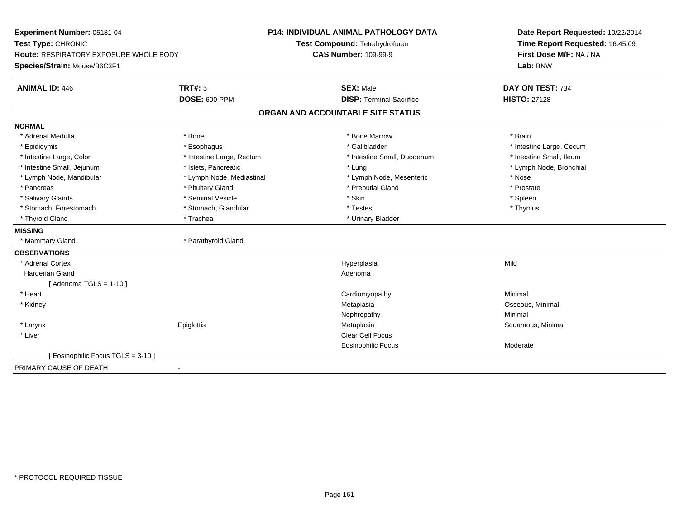| Experiment Number: 05181-04            |                           | <b>P14: INDIVIDUAL ANIMAL PATHOLOGY DATA</b> | Date Report Requested: 10/22/2014                          |
|----------------------------------------|---------------------------|----------------------------------------------|------------------------------------------------------------|
| Test Type: CHRONIC                     |                           | Test Compound: Tetrahydrofuran               | Time Report Requested: 16:45:09<br>First Dose M/F: NA / NA |
| Route: RESPIRATORY EXPOSURE WHOLE BODY |                           | <b>CAS Number: 109-99-9</b>                  |                                                            |
| Species/Strain: Mouse/B6C3F1           |                           |                                              | Lab: BNW                                                   |
| <b>ANIMAL ID: 446</b>                  | <b>TRT#: 5</b>            | <b>SEX: Male</b>                             | DAY ON TEST: 734                                           |
|                                        | <b>DOSE: 600 PPM</b>      | <b>DISP: Terminal Sacrifice</b>              | <b>HISTO: 27128</b>                                        |
|                                        |                           | ORGAN AND ACCOUNTABLE SITE STATUS            |                                                            |
| <b>NORMAL</b>                          |                           |                                              |                                                            |
| * Adrenal Medulla                      | * Bone                    | * Bone Marrow                                | * Brain                                                    |
| * Epididymis                           | * Esophagus               | * Gallbladder                                | * Intestine Large, Cecum                                   |
| * Intestine Large, Colon               | * Intestine Large, Rectum | * Intestine Small, Duodenum                  | * Intestine Small, Ileum                                   |
| * Intestine Small, Jejunum             | * Islets, Pancreatic      | * Lung                                       | * Lymph Node, Bronchial                                    |
| * Lymph Node, Mandibular               | * Lymph Node, Mediastinal | * Lymph Node, Mesenteric                     | * Nose                                                     |
| * Pancreas                             | * Pituitary Gland         | * Preputial Gland                            | * Prostate                                                 |
| * Salivary Glands                      | * Seminal Vesicle         | * Skin                                       | $*$ Spleen                                                 |
| * Stomach, Forestomach                 | * Stomach, Glandular      | * Testes                                     | * Thymus                                                   |
| * Thyroid Gland                        | * Trachea                 | * Urinary Bladder                            |                                                            |
| <b>MISSING</b>                         |                           |                                              |                                                            |
| * Mammary Gland                        | * Parathyroid Gland       |                                              |                                                            |
| <b>OBSERVATIONS</b>                    |                           |                                              |                                                            |
| * Adrenal Cortex                       |                           | Hyperplasia                                  | Mild                                                       |
| <b>Harderian Gland</b>                 |                           | Adenoma                                      |                                                            |
| [Adenoma TGLS = $1-10$ ]               |                           |                                              |                                                            |
| * Heart                                |                           | Cardiomyopathy                               | Minimal                                                    |
| * Kidney                               |                           | Metaplasia                                   | Osseous, Minimal                                           |
|                                        |                           | Nephropathy                                  | Minimal                                                    |
| * Larynx                               | Epiglottis                | Metaplasia                                   | Squamous, Minimal                                          |
| * Liver                                |                           | Clear Cell Focus                             |                                                            |
|                                        |                           | Eosinophilic Focus                           | Moderate                                                   |
| [ Eosinophilic Focus TGLS = 3-10 ]     |                           |                                              |                                                            |
| PRIMARY CAUSE OF DEATH                 | $\blacksquare$            |                                              |                                                            |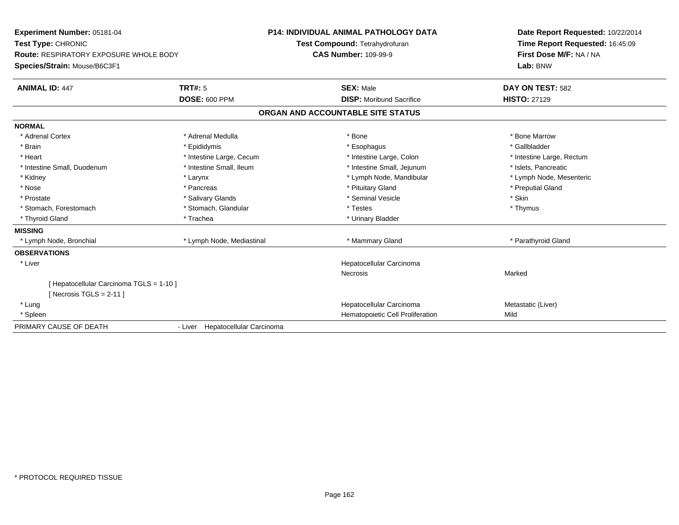| Experiment Number: 05181-04                                  |                                  | <b>P14: INDIVIDUAL ANIMAL PATHOLOGY DATA</b> | Date Report Requested: 10/22/2014 |
|--------------------------------------------------------------|----------------------------------|----------------------------------------------|-----------------------------------|
| Test Type: CHRONIC<br>Route: RESPIRATORY EXPOSURE WHOLE BODY |                                  | Test Compound: Tetrahydrofuran               | Time Report Requested: 16:45:09   |
|                                                              |                                  | <b>CAS Number: 109-99-9</b>                  | First Dose M/F: NA / NA           |
| Species/Strain: Mouse/B6C3F1                                 |                                  |                                              | Lab: BNW                          |
| <b>ANIMAL ID: 447</b>                                        | TRT#: 5                          | <b>SEX: Male</b>                             | DAY ON TEST: 582                  |
|                                                              | <b>DOSE: 600 PPM</b>             | <b>DISP:</b> Moribund Sacrifice              | <b>HISTO: 27129</b>               |
|                                                              |                                  | ORGAN AND ACCOUNTABLE SITE STATUS            |                                   |
| <b>NORMAL</b>                                                |                                  |                                              |                                   |
| * Adrenal Cortex                                             | * Adrenal Medulla                | * Bone                                       | * Bone Marrow                     |
| * Brain                                                      | * Epididymis                     | * Esophagus                                  | * Gallbladder                     |
| * Heart                                                      | * Intestine Large, Cecum         | * Intestine Large, Colon                     | * Intestine Large, Rectum         |
| * Intestine Small, Duodenum                                  | * Intestine Small, Ileum         | * Intestine Small, Jejunum                   | * Islets, Pancreatic              |
| * Kidney                                                     | * Larynx                         | * Lymph Node, Mandibular                     | * Lymph Node, Mesenteric          |
| * Nose                                                       | * Pancreas                       | * Pituitary Gland                            | * Preputial Gland                 |
| * Prostate                                                   | * Salivary Glands                | * Seminal Vesicle                            | * Skin                            |
| * Stomach, Forestomach                                       | * Stomach, Glandular             | * Testes                                     | * Thymus                          |
| * Thyroid Gland                                              | * Trachea                        | * Urinary Bladder                            |                                   |
| <b>MISSING</b>                                               |                                  |                                              |                                   |
| * Lymph Node, Bronchial                                      | * Lymph Node, Mediastinal        | * Mammary Gland                              | * Parathyroid Gland               |
| <b>OBSERVATIONS</b>                                          |                                  |                                              |                                   |
| * Liver                                                      |                                  | Hepatocellular Carcinoma                     |                                   |
|                                                              |                                  | <b>Necrosis</b>                              | Marked                            |
| [ Hepatocellular Carcinoma TGLS = 1-10 ]                     |                                  |                                              |                                   |
| [ Necrosis TGLS = $2-11$ ]                                   |                                  |                                              |                                   |
| * Lung                                                       |                                  | Hepatocellular Carcinoma                     | Metastatic (Liver)                |
| * Spleen                                                     |                                  | Hematopoietic Cell Proliferation             | Mild                              |
| PRIMARY CAUSE OF DEATH                                       | - Liver Hepatocellular Carcinoma |                                              |                                   |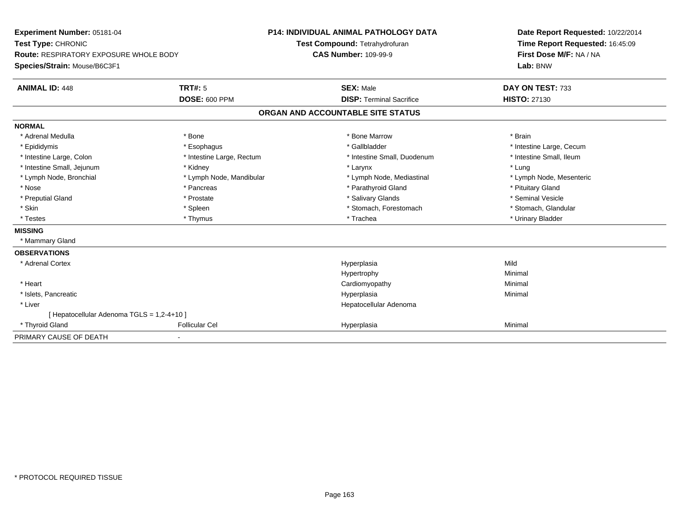| Experiment Number: 05181-04                   |                           | <b>P14: INDIVIDUAL ANIMAL PATHOLOGY DATA</b> | Date Report Requested: 10/22/2014                          |  |
|-----------------------------------------------|---------------------------|----------------------------------------------|------------------------------------------------------------|--|
| Test Type: CHRONIC                            |                           | Test Compound: Tetrahydrofuran               | Time Report Requested: 16:45:09<br>First Dose M/F: NA / NA |  |
| <b>Route: RESPIRATORY EXPOSURE WHOLE BODY</b> |                           | <b>CAS Number: 109-99-9</b>                  |                                                            |  |
| Species/Strain: Mouse/B6C3F1                  |                           |                                              | Lab: BNW                                                   |  |
| <b>ANIMAL ID: 448</b>                         | <b>TRT#: 5</b>            | <b>SEX: Male</b>                             | DAY ON TEST: 733                                           |  |
|                                               | <b>DOSE: 600 PPM</b>      | <b>DISP: Terminal Sacrifice</b>              | <b>HISTO: 27130</b>                                        |  |
|                                               |                           | ORGAN AND ACCOUNTABLE SITE STATUS            |                                                            |  |
| <b>NORMAL</b>                                 |                           |                                              |                                                            |  |
| * Adrenal Medulla                             | * Bone                    | * Bone Marrow                                | * Brain                                                    |  |
| * Epididymis                                  | * Esophagus               | * Gallbladder                                | * Intestine Large, Cecum                                   |  |
| * Intestine Large, Colon                      | * Intestine Large, Rectum | * Intestine Small, Duodenum                  | * Intestine Small, Ileum                                   |  |
| * Intestine Small, Jejunum                    | * Kidney                  | * Larynx                                     | * Lung                                                     |  |
| * Lymph Node, Bronchial                       | * Lymph Node, Mandibular  | * Lymph Node, Mediastinal                    | * Lymph Node, Mesenteric                                   |  |
| * Nose                                        | * Pancreas                | * Parathyroid Gland                          | * Pituitary Gland                                          |  |
| * Preputial Gland                             | * Prostate                | * Salivary Glands                            | * Seminal Vesicle                                          |  |
| * Skin                                        | * Spleen                  | * Stomach, Forestomach                       | * Stomach, Glandular                                       |  |
| * Testes                                      | * Thymus                  | * Trachea                                    | * Urinary Bladder                                          |  |
| <b>MISSING</b>                                |                           |                                              |                                                            |  |
| * Mammary Gland                               |                           |                                              |                                                            |  |
| <b>OBSERVATIONS</b>                           |                           |                                              |                                                            |  |
| * Adrenal Cortex                              |                           | Hyperplasia                                  | Mild                                                       |  |
|                                               |                           | Hypertrophy                                  | Minimal                                                    |  |
| * Heart                                       |                           | Cardiomyopathy                               | Minimal                                                    |  |
| * Islets, Pancreatic                          |                           | Hyperplasia                                  | Minimal                                                    |  |
| * Liver                                       |                           | Hepatocellular Adenoma                       |                                                            |  |
| [ Hepatocellular Adenoma TGLS = 1,2-4+10 ]    |                           |                                              |                                                            |  |
| * Thyroid Gland                               | <b>Follicular Cel</b>     | Hyperplasia                                  | Minimal                                                    |  |
| PRIMARY CAUSE OF DEATH                        |                           |                                              |                                                            |  |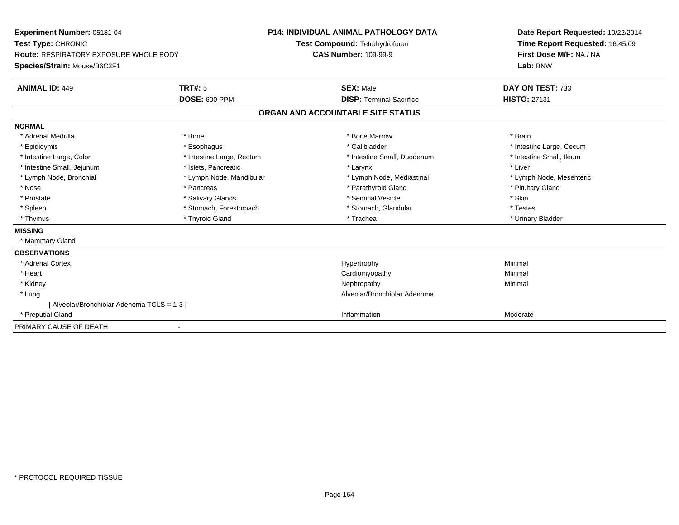| <b>Experiment Number: 05181-04</b><br>Test Type: CHRONIC<br><b>Route: RESPIRATORY EXPOSURE WHOLE BODY</b><br>Species/Strain: Mouse/B6C3F1<br><b>ANIMAL ID: 449</b> | <b>TRT#: 5</b><br><b>DOSE: 600 PPM</b> | <b>P14: INDIVIDUAL ANIMAL PATHOLOGY DATA</b><br>Test Compound: Tetrahydrofuran<br><b>CAS Number: 109-99-9</b><br><b>SEX: Male</b><br><b>DISP:</b> Terminal Sacrifice |                                   | Date Report Requested: 10/22/2014<br>Time Report Requested: 16:45:09<br>First Dose M/F: NA / NA<br>Lab: BNW<br>DAY ON TEST: 733<br><b>HISTO: 27131</b> |  |
|--------------------------------------------------------------------------------------------------------------------------------------------------------------------|----------------------------------------|----------------------------------------------------------------------------------------------------------------------------------------------------------------------|-----------------------------------|--------------------------------------------------------------------------------------------------------------------------------------------------------|--|
|                                                                                                                                                                    |                                        |                                                                                                                                                                      | ORGAN AND ACCOUNTABLE SITE STATUS |                                                                                                                                                        |  |
| <b>NORMAL</b>                                                                                                                                                      |                                        |                                                                                                                                                                      |                                   |                                                                                                                                                        |  |
| * Adrenal Medulla                                                                                                                                                  | * Bone                                 |                                                                                                                                                                      | * Bone Marrow                     | * Brain                                                                                                                                                |  |
| * Epididymis                                                                                                                                                       | * Esophagus                            |                                                                                                                                                                      | * Gallbladder                     | * Intestine Large, Cecum                                                                                                                               |  |
| * Intestine Large, Colon                                                                                                                                           | * Intestine Large, Rectum              |                                                                                                                                                                      | * Intestine Small, Duodenum       | * Intestine Small, Ileum                                                                                                                               |  |
| * Intestine Small, Jejunum                                                                                                                                         | * Islets, Pancreatic                   |                                                                                                                                                                      | * Larynx                          | * Liver                                                                                                                                                |  |
| * Lymph Node, Bronchial                                                                                                                                            | * Lymph Node, Mandibular               |                                                                                                                                                                      | * Lymph Node, Mediastinal         | * Lymph Node, Mesenteric                                                                                                                               |  |
| * Nose                                                                                                                                                             | * Pancreas                             |                                                                                                                                                                      | * Parathyroid Gland               | * Pituitary Gland                                                                                                                                      |  |
| * Prostate                                                                                                                                                         | * Salivary Glands                      |                                                                                                                                                                      | * Seminal Vesicle                 | * Skin                                                                                                                                                 |  |
| * Spleen                                                                                                                                                           | * Stomach, Forestomach                 |                                                                                                                                                                      | * Stomach, Glandular              | * Testes                                                                                                                                               |  |
| * Thymus                                                                                                                                                           | * Thyroid Gland                        |                                                                                                                                                                      | * Trachea                         | * Urinary Bladder                                                                                                                                      |  |
| <b>MISSING</b>                                                                                                                                                     |                                        |                                                                                                                                                                      |                                   |                                                                                                                                                        |  |
| * Mammary Gland                                                                                                                                                    |                                        |                                                                                                                                                                      |                                   |                                                                                                                                                        |  |
| <b>OBSERVATIONS</b>                                                                                                                                                |                                        |                                                                                                                                                                      |                                   |                                                                                                                                                        |  |
| * Adrenal Cortex                                                                                                                                                   |                                        |                                                                                                                                                                      | Hypertrophy                       | Minimal                                                                                                                                                |  |
| * Heart                                                                                                                                                            |                                        |                                                                                                                                                                      | Cardiomyopathy                    | Minimal                                                                                                                                                |  |
| * Kidney                                                                                                                                                           |                                        |                                                                                                                                                                      | Nephropathy                       | Minimal                                                                                                                                                |  |
| * Lung                                                                                                                                                             |                                        |                                                                                                                                                                      | Alveolar/Bronchiolar Adenoma      |                                                                                                                                                        |  |
| [Alveolar/Bronchiolar Adenoma TGLS = 1-3]                                                                                                                          |                                        |                                                                                                                                                                      |                                   |                                                                                                                                                        |  |
| * Preputial Gland                                                                                                                                                  |                                        |                                                                                                                                                                      | Inflammation                      | Moderate                                                                                                                                               |  |
| PRIMARY CAUSE OF DEATH                                                                                                                                             |                                        |                                                                                                                                                                      |                                   |                                                                                                                                                        |  |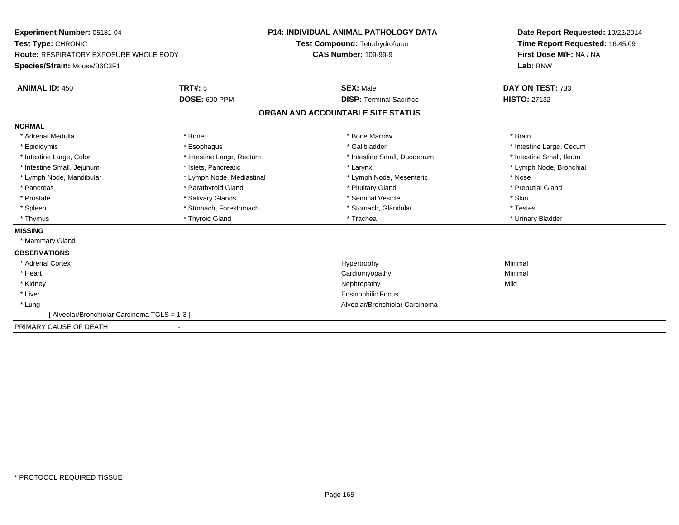| <b>Experiment Number: 05181-04</b>            |                           | <b>P14: INDIVIDUAL ANIMAL PATHOLOGY DATA</b> |                                   | Date Report Requested: 10/22/2014 |  |
|-----------------------------------------------|---------------------------|----------------------------------------------|-----------------------------------|-----------------------------------|--|
| Test Type: CHRONIC                            |                           |                                              | Test Compound: Tetrahydrofuran    | Time Report Requested: 16:45:09   |  |
| <b>Route: RESPIRATORY EXPOSURE WHOLE BODY</b> |                           | <b>CAS Number: 109-99-9</b>                  |                                   | First Dose M/F: NA / NA           |  |
| Species/Strain: Mouse/B6C3F1                  |                           |                                              |                                   | Lab: BNW                          |  |
| <b>ANIMAL ID: 450</b>                         | <b>TRT#: 5</b>            |                                              | <b>SEX: Male</b>                  | DAY ON TEST: 733                  |  |
|                                               | <b>DOSE: 600 PPM</b>      |                                              | <b>DISP: Terminal Sacrifice</b>   | <b>HISTO: 27132</b>               |  |
|                                               |                           |                                              | ORGAN AND ACCOUNTABLE SITE STATUS |                                   |  |
| <b>NORMAL</b>                                 |                           |                                              |                                   |                                   |  |
| * Adrenal Medulla                             | * Bone                    |                                              | * Bone Marrow                     | * Brain                           |  |
| * Epididymis                                  | * Esophagus               |                                              | * Gallbladder                     | * Intestine Large, Cecum          |  |
| * Intestine Large, Colon                      | * Intestine Large, Rectum |                                              | * Intestine Small, Duodenum       | * Intestine Small, Ileum          |  |
| * Intestine Small, Jejunum                    | * Islets, Pancreatic      |                                              | * Larynx                          | * Lymph Node, Bronchial           |  |
| * Lymph Node, Mandibular                      | * Lymph Node, Mediastinal |                                              | * Lymph Node, Mesenteric          | * Nose                            |  |
| * Pancreas                                    | * Parathyroid Gland       |                                              | * Pituitary Gland                 | * Preputial Gland                 |  |
| * Prostate                                    | * Salivary Glands         |                                              | * Seminal Vesicle                 | * Skin                            |  |
| * Spleen                                      | * Stomach, Forestomach    |                                              | * Stomach, Glandular              | * Testes                          |  |
| * Thymus                                      | * Thyroid Gland           |                                              | * Trachea                         | * Urinary Bladder                 |  |
| <b>MISSING</b>                                |                           |                                              |                                   |                                   |  |
| * Mammary Gland                               |                           |                                              |                                   |                                   |  |
| <b>OBSERVATIONS</b>                           |                           |                                              |                                   |                                   |  |
| * Adrenal Cortex                              |                           |                                              | Hypertrophy                       | Minimal                           |  |
| * Heart                                       |                           |                                              | Cardiomyopathy                    | Minimal                           |  |
| * Kidney                                      |                           |                                              | Nephropathy                       | Mild                              |  |
| * Liver                                       |                           |                                              | <b>Eosinophilic Focus</b>         |                                   |  |
| * Lung                                        |                           |                                              | Alveolar/Bronchiolar Carcinoma    |                                   |  |
| [Alveolar/Bronchiolar Carcinoma TGLS = 1-3]   |                           |                                              |                                   |                                   |  |
| PRIMARY CAUSE OF DEATH                        |                           |                                              |                                   |                                   |  |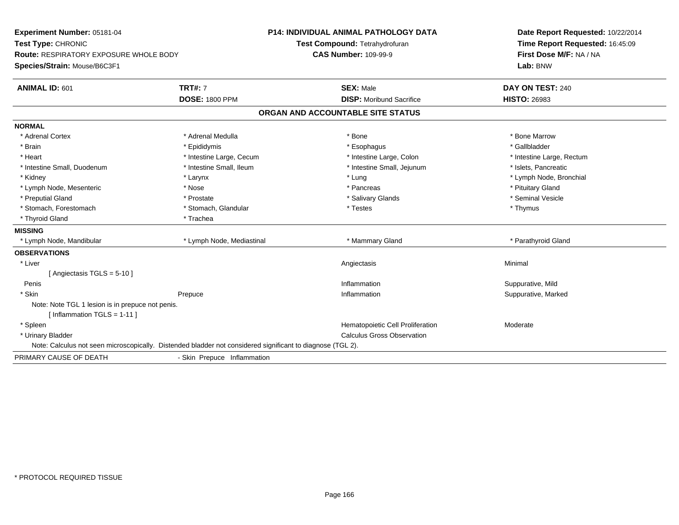| Experiment Number: 05181-04                                                                                |                             | <b>P14: INDIVIDUAL ANIMAL PATHOLOGY DATA</b> | Date Report Requested: 10/22/2014 |
|------------------------------------------------------------------------------------------------------------|-----------------------------|----------------------------------------------|-----------------------------------|
| Test Type: CHRONIC                                                                                         |                             | Test Compound: Tetrahydrofuran               | Time Report Requested: 16:45:09   |
| <b>Route: RESPIRATORY EXPOSURE WHOLE BODY</b>                                                              |                             | <b>CAS Number: 109-99-9</b>                  | First Dose M/F: NA / NA           |
| Species/Strain: Mouse/B6C3F1                                                                               |                             |                                              | Lab: BNW                          |
| <b>ANIMAL ID: 601</b>                                                                                      | <b>TRT#: 7</b>              | <b>SEX: Male</b>                             | DAY ON TEST: 240                  |
|                                                                                                            | <b>DOSE: 1800 PPM</b>       | <b>DISP:</b> Moribund Sacrifice              | <b>HISTO: 26983</b>               |
|                                                                                                            |                             | ORGAN AND ACCOUNTABLE SITE STATUS            |                                   |
| <b>NORMAL</b>                                                                                              |                             |                                              |                                   |
| * Adrenal Cortex                                                                                           | * Adrenal Medulla           | * Bone                                       | * Bone Marrow                     |
| * Brain                                                                                                    | * Epididymis                | * Esophagus                                  | * Gallbladder                     |
| * Heart                                                                                                    | * Intestine Large, Cecum    | * Intestine Large, Colon                     | * Intestine Large, Rectum         |
| * Intestine Small, Duodenum                                                                                | * Intestine Small, Ileum    | * Intestine Small, Jejunum                   | * Islets, Pancreatic              |
| * Kidney                                                                                                   | * Larynx                    | * Lung                                       | * Lymph Node, Bronchial           |
| * Lymph Node, Mesenteric                                                                                   | * Nose                      | * Pancreas                                   | * Pituitary Gland                 |
| * Preputial Gland                                                                                          | * Prostate                  | * Salivary Glands                            | * Seminal Vesicle                 |
| * Stomach, Forestomach                                                                                     | * Stomach, Glandular        | * Testes                                     | * Thymus                          |
| * Thyroid Gland                                                                                            | * Trachea                   |                                              |                                   |
| <b>MISSING</b>                                                                                             |                             |                                              |                                   |
| * Lymph Node, Mandibular                                                                                   | * Lymph Node, Mediastinal   | * Mammary Gland                              | * Parathyroid Gland               |
| <b>OBSERVATIONS</b>                                                                                        |                             |                                              |                                   |
| * Liver                                                                                                    |                             | Angiectasis                                  | Minimal                           |
| [Angiectasis TGLS = 5-10]                                                                                  |                             |                                              |                                   |
| Penis                                                                                                      |                             | Inflammation                                 | Suppurative, Mild                 |
| * Skin                                                                                                     | Prepuce                     | Inflammation                                 | Suppurative, Marked               |
| Note: Note TGL 1 lesion is in prepuce not penis.                                                           |                             |                                              |                                   |
| [Inflammation TGLS = 1-11]                                                                                 |                             |                                              |                                   |
| * Spleen                                                                                                   |                             | Hematopoietic Cell Proliferation             | Moderate                          |
| * Urinary Bladder                                                                                          |                             | <b>Calculus Gross Observation</b>            |                                   |
| Note: Calculus not seen microscopically. Distended bladder not considered significant to diagnose (TGL 2). |                             |                                              |                                   |
| PRIMARY CAUSE OF DEATH                                                                                     | - Skin Prepuce Inflammation |                                              |                                   |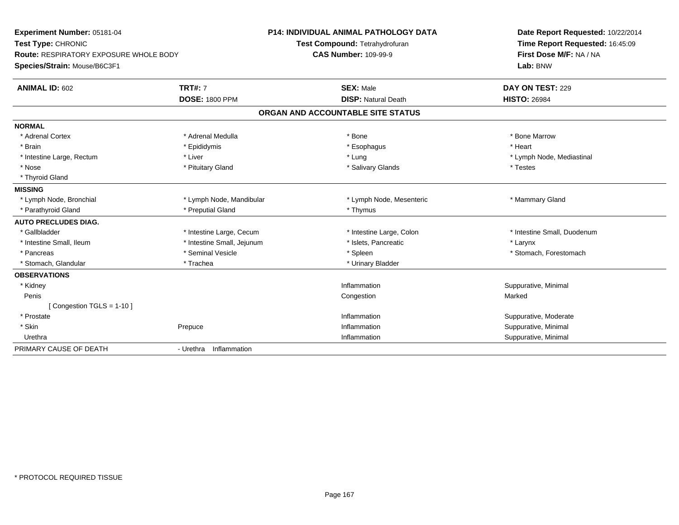| Experiment Number: 05181-04                   |                            | P14: INDIVIDUAL ANIMAL PATHOLOGY DATA | Date Report Requested: 10/22/2014 |  |
|-----------------------------------------------|----------------------------|---------------------------------------|-----------------------------------|--|
| Test Type: CHRONIC                            |                            | Test Compound: Tetrahydrofuran        | Time Report Requested: 16:45:09   |  |
| <b>Route: RESPIRATORY EXPOSURE WHOLE BODY</b> |                            | <b>CAS Number: 109-99-9</b>           | First Dose M/F: NA / NA           |  |
| Species/Strain: Mouse/B6C3F1                  |                            |                                       | Lab: BNW                          |  |
| ANIMAL ID: 602                                | <b>TRT#: 7</b>             | <b>SEX: Male</b>                      | DAY ON TEST: 229                  |  |
|                                               | <b>DOSE: 1800 PPM</b>      | <b>DISP: Natural Death</b>            | <b>HISTO: 26984</b>               |  |
|                                               |                            | ORGAN AND ACCOUNTABLE SITE STATUS     |                                   |  |
| <b>NORMAL</b>                                 |                            |                                       |                                   |  |
| * Adrenal Cortex                              | * Adrenal Medulla          | * Bone                                | * Bone Marrow                     |  |
| * Brain                                       | * Epididymis               | * Esophagus                           | * Heart                           |  |
| * Intestine Large, Rectum                     | * Liver                    | * Lung                                | * Lymph Node, Mediastinal         |  |
| * Nose                                        | * Pituitary Gland          | * Salivary Glands                     | * Testes                          |  |
| * Thyroid Gland                               |                            |                                       |                                   |  |
| <b>MISSING</b>                                |                            |                                       |                                   |  |
| * Lymph Node, Bronchial                       | * Lymph Node, Mandibular   | * Lymph Node, Mesenteric              | * Mammary Gland                   |  |
| * Parathyroid Gland                           | * Preputial Gland          | * Thymus                              |                                   |  |
| <b>AUTO PRECLUDES DIAG.</b>                   |                            |                                       |                                   |  |
| * Gallbladder                                 | * Intestine Large, Cecum   | * Intestine Large, Colon              | * Intestine Small, Duodenum       |  |
| * Intestine Small, Ileum                      | * Intestine Small, Jejunum | * Islets, Pancreatic                  | * Larynx                          |  |
| * Pancreas                                    | * Seminal Vesicle          | * Spleen                              | * Stomach, Forestomach            |  |
| * Stomach, Glandular                          | * Trachea                  | * Urinary Bladder                     |                                   |  |
| <b>OBSERVATIONS</b>                           |                            |                                       |                                   |  |
| * Kidney                                      |                            | Inflammation                          | Suppurative, Minimal              |  |
| Penis                                         |                            | Congestion                            | Marked                            |  |
| [Congestion TGLS = 1-10]                      |                            |                                       |                                   |  |
| * Prostate                                    |                            | Inflammation                          | Suppurative, Moderate             |  |
| * Skin                                        | Prepuce                    | Inflammation                          | Suppurative, Minimal              |  |
| Urethra                                       |                            | Inflammation                          | Suppurative, Minimal              |  |
| PRIMARY CAUSE OF DEATH                        | - Urethra<br>Inflammation  |                                       |                                   |  |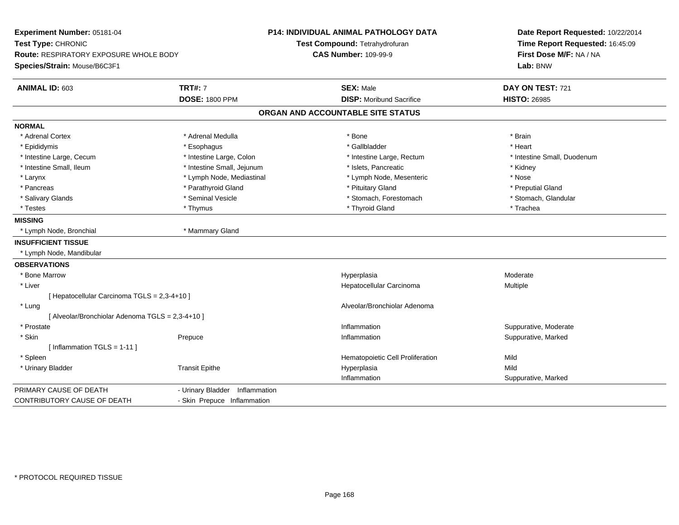| Experiment Number: 05181-04                      |                                | P14: INDIVIDUAL ANIMAL PATHOLOGY DATA | Date Report Requested: 10/22/2014 |  |
|--------------------------------------------------|--------------------------------|---------------------------------------|-----------------------------------|--|
| Test Type: CHRONIC                               |                                | Test Compound: Tetrahydrofuran        | Time Report Requested: 16:45:09   |  |
| <b>Route: RESPIRATORY EXPOSURE WHOLE BODY</b>    |                                | <b>CAS Number: 109-99-9</b>           | First Dose M/F: NA / NA           |  |
| Species/Strain: Mouse/B6C3F1                     |                                |                                       | Lab: BNW                          |  |
| ANIMAL ID: 603                                   | <b>TRT#: 7</b>                 | <b>SEX: Male</b>                      | DAY ON TEST: 721                  |  |
|                                                  | <b>DOSE: 1800 PPM</b>          | <b>DISP:</b> Moribund Sacrifice       | <b>HISTO: 26985</b>               |  |
|                                                  |                                | ORGAN AND ACCOUNTABLE SITE STATUS     |                                   |  |
| <b>NORMAL</b>                                    |                                |                                       |                                   |  |
| * Adrenal Cortex                                 | * Adrenal Medulla              | * Bone                                | * Brain                           |  |
| * Epididymis                                     | * Esophagus                    | * Gallbladder                         | * Heart                           |  |
| * Intestine Large, Cecum                         | * Intestine Large, Colon       | * Intestine Large, Rectum             | * Intestine Small, Duodenum       |  |
| * Intestine Small, Ileum                         | * Intestine Small, Jejunum     | * Islets. Pancreatic                  | * Kidney                          |  |
| * Larynx                                         | * Lymph Node, Mediastinal      | * Lymph Node, Mesenteric              | * Nose                            |  |
| * Pancreas                                       | * Parathyroid Gland            | * Pituitary Gland                     | * Preputial Gland                 |  |
| * Salivary Glands                                | * Seminal Vesicle              | * Stomach, Forestomach                | * Stomach, Glandular              |  |
| * Testes                                         | * Thymus                       | * Thyroid Gland                       | * Trachea                         |  |
| <b>MISSING</b>                                   |                                |                                       |                                   |  |
| * Lymph Node, Bronchial                          | * Mammary Gland                |                                       |                                   |  |
| <b>INSUFFICIENT TISSUE</b>                       |                                |                                       |                                   |  |
| * Lymph Node, Mandibular                         |                                |                                       |                                   |  |
| <b>OBSERVATIONS</b>                              |                                |                                       |                                   |  |
| * Bone Marrow                                    |                                | Hyperplasia                           | Moderate                          |  |
| * Liver                                          |                                | Hepatocellular Carcinoma              | Multiple                          |  |
| [ Hepatocellular Carcinoma TGLS = 2,3-4+10 ]     |                                |                                       |                                   |  |
| * Lung                                           |                                | Alveolar/Bronchiolar Adenoma          |                                   |  |
| [ Alveolar/Bronchiolar Adenoma TGLS = 2,3-4+10 ] |                                |                                       |                                   |  |
| * Prostate                                       |                                | Inflammation                          | Suppurative, Moderate             |  |
| * Skin                                           | Prepuce                        | Inflammation                          | Suppurative, Marked               |  |
| [Inflammation TGLS = $1-11$ ]                    |                                |                                       |                                   |  |
| * Spleen                                         |                                | Hematopoietic Cell Proliferation      | Mild                              |  |
| * Urinary Bladder                                | <b>Transit Epithe</b>          | Hyperplasia                           | Mild                              |  |
|                                                  |                                | Inflammation                          | Suppurative, Marked               |  |
| PRIMARY CAUSE OF DEATH                           | - Urinary Bladder Inflammation |                                       |                                   |  |
| CONTRIBUTORY CAUSE OF DEATH                      | - Skin Prepuce Inflammation    |                                       |                                   |  |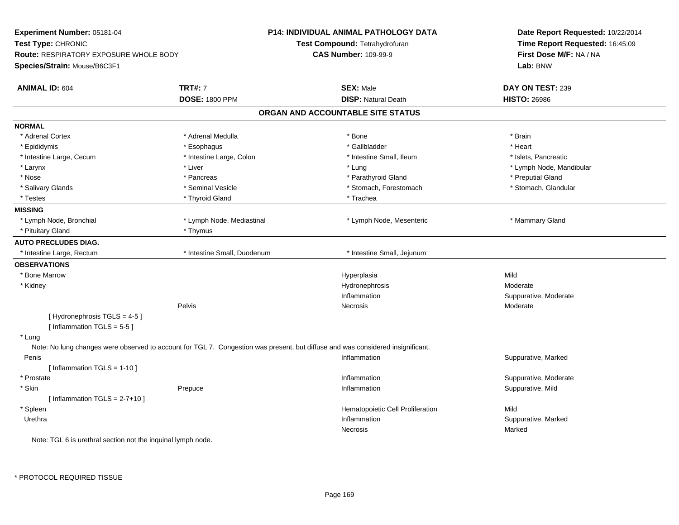| Experiment Number: 05181-04                                  |                                                                                                                                 | <b>P14: INDIVIDUAL ANIMAL PATHOLOGY DATA</b> | Date Report Requested: 10/22/2014<br>Time Report Requested: 16:45:09<br>First Dose M/F: NA / NA |  |
|--------------------------------------------------------------|---------------------------------------------------------------------------------------------------------------------------------|----------------------------------------------|-------------------------------------------------------------------------------------------------|--|
| Test Type: CHRONIC                                           |                                                                                                                                 | Test Compound: Tetrahydrofuran               |                                                                                                 |  |
| <b>Route: RESPIRATORY EXPOSURE WHOLE BODY</b>                |                                                                                                                                 | <b>CAS Number: 109-99-9</b>                  |                                                                                                 |  |
| Species/Strain: Mouse/B6C3F1                                 |                                                                                                                                 |                                              | Lab: BNW                                                                                        |  |
| <b>ANIMAL ID: 604</b>                                        | <b>TRT#: 7</b>                                                                                                                  | <b>SEX: Male</b>                             | DAY ON TEST: 239                                                                                |  |
|                                                              | <b>DOSE: 1800 PPM</b>                                                                                                           | <b>DISP: Natural Death</b>                   | <b>HISTO: 26986</b>                                                                             |  |
|                                                              |                                                                                                                                 | ORGAN AND ACCOUNTABLE SITE STATUS            |                                                                                                 |  |
| <b>NORMAL</b>                                                |                                                                                                                                 |                                              |                                                                                                 |  |
| * Adrenal Cortex                                             | * Adrenal Medulla                                                                                                               | * Bone                                       | * Brain                                                                                         |  |
| * Epididymis                                                 | * Esophagus                                                                                                                     | * Gallbladder                                | * Heart                                                                                         |  |
| * Intestine Large, Cecum                                     | * Intestine Large, Colon                                                                                                        | * Intestine Small, Ileum                     | * Islets, Pancreatic                                                                            |  |
| * Larynx                                                     | * Liver                                                                                                                         | * Lung                                       | * Lymph Node, Mandibular                                                                        |  |
| * Nose                                                       | * Pancreas                                                                                                                      | * Parathyroid Gland                          | * Preputial Gland                                                                               |  |
| * Salivary Glands                                            | * Seminal Vesicle                                                                                                               | * Stomach, Forestomach                       | * Stomach, Glandular                                                                            |  |
| * Testes                                                     | * Thyroid Gland                                                                                                                 | * Trachea                                    |                                                                                                 |  |
| <b>MISSING</b>                                               |                                                                                                                                 |                                              |                                                                                                 |  |
| * Lymph Node, Bronchial                                      | * Lymph Node, Mediastinal                                                                                                       | * Lymph Node, Mesenteric                     | * Mammary Gland                                                                                 |  |
| * Pituitary Gland                                            | * Thymus                                                                                                                        |                                              |                                                                                                 |  |
| <b>AUTO PRECLUDES DIAG.</b>                                  |                                                                                                                                 |                                              |                                                                                                 |  |
| * Intestine Large, Rectum                                    | * Intestine Small. Duodenum                                                                                                     | * Intestine Small, Jejunum                   |                                                                                                 |  |
| <b>OBSERVATIONS</b>                                          |                                                                                                                                 |                                              |                                                                                                 |  |
| <b>Bone Marrow</b>                                           |                                                                                                                                 | Hyperplasia                                  | Mild                                                                                            |  |
| * Kidney                                                     |                                                                                                                                 | Hydronephrosis                               | Moderate                                                                                        |  |
|                                                              |                                                                                                                                 | Inflammation                                 | Suppurative, Moderate                                                                           |  |
|                                                              | Pelvis                                                                                                                          | <b>Necrosis</b>                              | Moderate                                                                                        |  |
| [Hydronephrosis TGLS = 4-5]<br>[Inflammation $TGLS = 5-5$ ]  |                                                                                                                                 |                                              |                                                                                                 |  |
| * Lung                                                       |                                                                                                                                 |                                              |                                                                                                 |  |
|                                                              | Note: No lung changes were observed to account for TGL 7. Congestion was present, but diffuse and was considered insignificant. |                                              |                                                                                                 |  |
| Penis                                                        |                                                                                                                                 | Inflammation                                 | Suppurative, Marked                                                                             |  |
| [Inflammation TGLS = 1-10]                                   |                                                                                                                                 |                                              |                                                                                                 |  |
| * Prostate                                                   |                                                                                                                                 | Inflammation                                 | Suppurative, Moderate                                                                           |  |
| * Skin                                                       | Prepuce                                                                                                                         | Inflammation                                 | Suppurative, Mild                                                                               |  |
| [Inflammation TGLS = $2-7+10$ ]                              |                                                                                                                                 |                                              |                                                                                                 |  |
| * Spleen                                                     |                                                                                                                                 | Hematopoietic Cell Proliferation             | Mild                                                                                            |  |
| Urethra                                                      |                                                                                                                                 | Inflammation                                 | Suppurative, Marked                                                                             |  |
|                                                              |                                                                                                                                 | Necrosis                                     | Marked                                                                                          |  |
| Note: TGL 6 is urethral section not the inquinal lymph node. |                                                                                                                                 |                                              |                                                                                                 |  |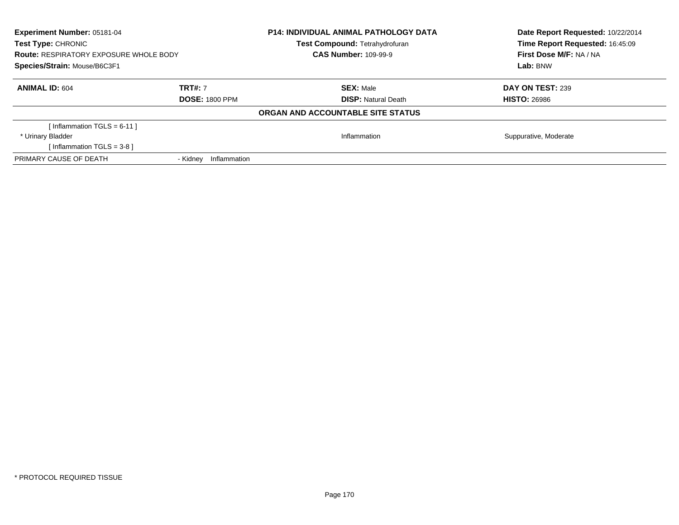| <b>Experiment Number: 05181-04</b><br><b>Test Type: CHRONIC</b><br><b>Route: RESPIRATORY EXPOSURE WHOLE BODY</b><br>Species/Strain: Mouse/B6C3F1 |                          | <b>P14: INDIVIDUAL ANIMAL PATHOLOGY DATA</b><br>Test Compound: Tetrahydrofuran<br><b>CAS Number: 109-99-9</b> | Date Report Requested: 10/22/2014<br>Time Report Requested: 16:45:09<br><b>First Dose M/F: NA / NA</b><br>Lab: BNW |
|--------------------------------------------------------------------------------------------------------------------------------------------------|--------------------------|---------------------------------------------------------------------------------------------------------------|--------------------------------------------------------------------------------------------------------------------|
| <b>ANIMAL ID: 604</b>                                                                                                                            | <b>TRT#: 7</b>           | <b>SEX: Male</b>                                                                                              | DAY ON TEST: 239                                                                                                   |
|                                                                                                                                                  | <b>DOSE: 1800 PPM</b>    | <b>DISP:</b> Natural Death                                                                                    | <b>HISTO: 26986</b>                                                                                                |
|                                                                                                                                                  |                          | ORGAN AND ACCOUNTABLE SITE STATUS                                                                             |                                                                                                                    |
| [Inflammation TGLS = 6-11]                                                                                                                       |                          |                                                                                                               |                                                                                                                    |
| * Urinary Bladder                                                                                                                                |                          | Inflammation                                                                                                  | Suppurative, Moderate                                                                                              |
| [Inflammation TGLS = $3-8$ ]                                                                                                                     |                          |                                                                                                               |                                                                                                                    |
| PRIMARY CAUSE OF DEATH                                                                                                                           | - Kidnev<br>Inflammation |                                                                                                               |                                                                                                                    |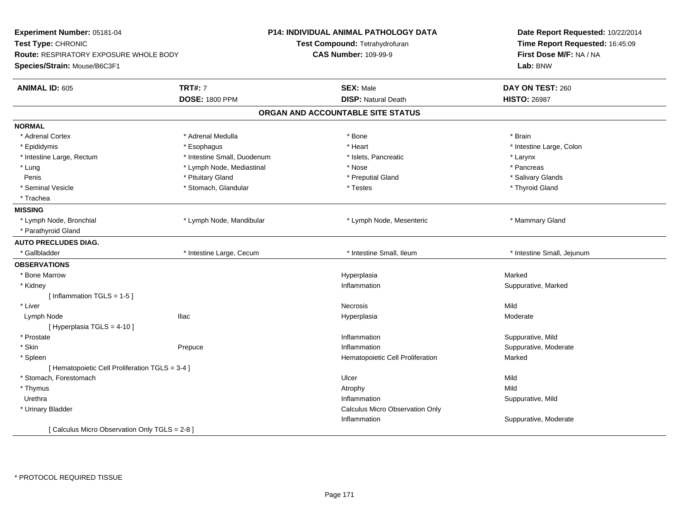| Experiment Number: 05181-04<br>Test Type: CHRONIC<br>Route: RESPIRATORY EXPOSURE WHOLE BODY<br>Species/Strain: Mouse/B6C3F1 |                             | P14: INDIVIDUAL ANIMAL PATHOLOGY DATA<br>Test Compound: Tetrahydrofuran<br><b>CAS Number: 109-99-9</b> | Date Report Requested: 10/22/2014<br>Time Report Requested: 16:45:09<br>First Dose M/F: NA / NA<br>Lab: BNW |
|-----------------------------------------------------------------------------------------------------------------------------|-----------------------------|--------------------------------------------------------------------------------------------------------|-------------------------------------------------------------------------------------------------------------|
| <b>ANIMAL ID: 605</b>                                                                                                       | <b>TRT#: 7</b>              | <b>SEX: Male</b>                                                                                       | DAY ON TEST: 260                                                                                            |
|                                                                                                                             | <b>DOSE: 1800 PPM</b>       | <b>DISP: Natural Death</b>                                                                             | <b>HISTO: 26987</b>                                                                                         |
|                                                                                                                             |                             | ORGAN AND ACCOUNTABLE SITE STATUS                                                                      |                                                                                                             |
| <b>NORMAL</b>                                                                                                               |                             |                                                                                                        |                                                                                                             |
| * Adrenal Cortex                                                                                                            | * Adrenal Medulla           | * Bone                                                                                                 | * Brain                                                                                                     |
| * Epididymis                                                                                                                | * Esophagus                 | * Heart                                                                                                | * Intestine Large, Colon                                                                                    |
| * Intestine Large, Rectum                                                                                                   | * Intestine Small, Duodenum | * Islets, Pancreatic                                                                                   | * Larynx                                                                                                    |
| * Lung                                                                                                                      | * Lymph Node, Mediastinal   | * Nose                                                                                                 | * Pancreas                                                                                                  |
| Penis                                                                                                                       | * Pituitary Gland           | * Preputial Gland                                                                                      | * Salivary Glands                                                                                           |
| * Seminal Vesicle                                                                                                           | * Stomach, Glandular        | * Testes                                                                                               | * Thyroid Gland                                                                                             |
| * Trachea                                                                                                                   |                             |                                                                                                        |                                                                                                             |
| <b>MISSING</b>                                                                                                              |                             |                                                                                                        |                                                                                                             |
| * Lymph Node, Bronchial                                                                                                     | * Lymph Node, Mandibular    | * Lymph Node, Mesenteric                                                                               | * Mammary Gland                                                                                             |
| * Parathyroid Gland                                                                                                         |                             |                                                                                                        |                                                                                                             |
| <b>AUTO PRECLUDES DIAG.</b>                                                                                                 |                             |                                                                                                        |                                                                                                             |
| * Gallbladder                                                                                                               | * Intestine Large, Cecum    | * Intestine Small, Ileum                                                                               | * Intestine Small, Jejunum                                                                                  |
| <b>OBSERVATIONS</b>                                                                                                         |                             |                                                                                                        |                                                                                                             |
| * Bone Marrow                                                                                                               |                             | Hyperplasia                                                                                            | Marked                                                                                                      |
| * Kidney                                                                                                                    |                             | Inflammation                                                                                           | Suppurative, Marked                                                                                         |
| [Inflammation TGLS = 1-5]                                                                                                   |                             |                                                                                                        |                                                                                                             |
| * Liver                                                                                                                     |                             | Necrosis                                                                                               | Mild                                                                                                        |
| Lymph Node                                                                                                                  | <b>Iliac</b>                | Hyperplasia                                                                                            | Moderate                                                                                                    |
| [ Hyperplasia TGLS = 4-10 ]                                                                                                 |                             |                                                                                                        |                                                                                                             |
| * Prostate                                                                                                                  |                             | Inflammation                                                                                           | Suppurative, Mild                                                                                           |
| * Skin                                                                                                                      | Prepuce                     | Inflammation                                                                                           | Suppurative, Moderate                                                                                       |
| * Spleen                                                                                                                    |                             | Hematopoietic Cell Proliferation                                                                       | Marked                                                                                                      |
| [ Hematopoietic Cell Proliferation TGLS = 3-4 ]                                                                             |                             |                                                                                                        |                                                                                                             |
| * Stomach, Forestomach                                                                                                      |                             | Ulcer                                                                                                  | Mild                                                                                                        |
| * Thymus                                                                                                                    |                             | Atrophy                                                                                                | Mild                                                                                                        |
| Urethra                                                                                                                     |                             | Inflammation                                                                                           | Suppurative, Mild                                                                                           |
| * Urinary Bladder                                                                                                           |                             | Calculus Micro Observation Only                                                                        |                                                                                                             |
|                                                                                                                             |                             | Inflammation                                                                                           | Suppurative, Moderate                                                                                       |
| [ Calculus Micro Observation Only TGLS = 2-8 ]                                                                              |                             |                                                                                                        |                                                                                                             |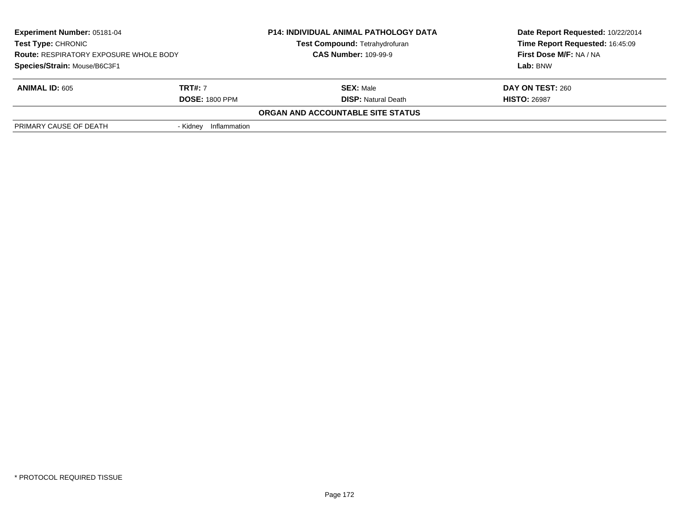| <b>Experiment Number: 05181-04</b><br><b>Test Type: CHRONIC</b><br><b>Route: RESPIRATORY EXPOSURE WHOLE BODY</b> |                          | <b>P14: INDIVIDUAL ANIMAL PATHOLOGY DATA</b><br>Test Compound: Tetrahydrofuran<br><b>CAS Number: 109-99-9</b> | Date Report Requested: 10/22/2014<br>Time Report Requested: 16:45:09<br>First Dose M/F: NA / NA |
|------------------------------------------------------------------------------------------------------------------|--------------------------|---------------------------------------------------------------------------------------------------------------|-------------------------------------------------------------------------------------------------|
| Species/Strain: Mouse/B6C3F1                                                                                     |                          |                                                                                                               | Lab: BNW                                                                                        |
| <b>ANIMAL ID: 605</b>                                                                                            | <b>TRT#:</b> 7           | <b>SEX: Male</b>                                                                                              | DAY ON TEST: 260                                                                                |
|                                                                                                                  | <b>DOSE: 1800 PPM</b>    | <b>DISP: Natural Death</b>                                                                                    | <b>HISTO: 26987</b>                                                                             |
|                                                                                                                  |                          | ORGAN AND ACCOUNTABLE SITE STATUS                                                                             |                                                                                                 |
| PRIMARY CAUSE OF DEATH                                                                                           | Inflammation<br>- Kidnev |                                                                                                               |                                                                                                 |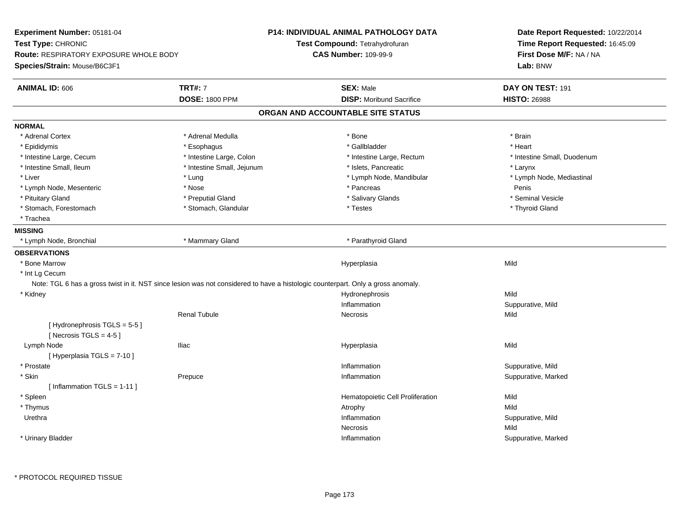| Test Compound: Tetrahydrofuran<br><b>CAS Number: 109-99-9</b><br><b>SEX: Male</b><br><b>DISP:</b> Moribund Sacrifice<br>ORGAN AND ACCOUNTABLE SITE STATUS<br>* Bone<br>* Gallbladder<br>* Intestine Large, Rectum<br>* Islets, Pancreatic<br>* Lymph Node, Mandibular<br>* Pancreas<br>* Salivary Glands<br>* Testes | Time Report Requested: 16:45:09<br>First Dose M/F: NA / NA<br>Lab: BNW<br>DAY ON TEST: 191<br><b>HISTO: 26988</b><br>* Brain<br>* Heart<br>* Intestine Small, Duodenum<br>* Larynx<br>* Lymph Node, Mediastinal<br>Penis<br>* Seminal Vesicle<br>* Thyroid Gland |
|----------------------------------------------------------------------------------------------------------------------------------------------------------------------------------------------------------------------------------------------------------------------------------------------------------------------|------------------------------------------------------------------------------------------------------------------------------------------------------------------------------------------------------------------------------------------------------------------|
|                                                                                                                                                                                                                                                                                                                      |                                                                                                                                                                                                                                                                  |
|                                                                                                                                                                                                                                                                                                                      |                                                                                                                                                                                                                                                                  |
|                                                                                                                                                                                                                                                                                                                      |                                                                                                                                                                                                                                                                  |
|                                                                                                                                                                                                                                                                                                                      |                                                                                                                                                                                                                                                                  |
|                                                                                                                                                                                                                                                                                                                      |                                                                                                                                                                                                                                                                  |
|                                                                                                                                                                                                                                                                                                                      |                                                                                                                                                                                                                                                                  |
|                                                                                                                                                                                                                                                                                                                      |                                                                                                                                                                                                                                                                  |
|                                                                                                                                                                                                                                                                                                                      |                                                                                                                                                                                                                                                                  |
|                                                                                                                                                                                                                                                                                                                      |                                                                                                                                                                                                                                                                  |
|                                                                                                                                                                                                                                                                                                                      |                                                                                                                                                                                                                                                                  |
|                                                                                                                                                                                                                                                                                                                      |                                                                                                                                                                                                                                                                  |
|                                                                                                                                                                                                                                                                                                                      |                                                                                                                                                                                                                                                                  |
|                                                                                                                                                                                                                                                                                                                      |                                                                                                                                                                                                                                                                  |
|                                                                                                                                                                                                                                                                                                                      |                                                                                                                                                                                                                                                                  |
|                                                                                                                                                                                                                                                                                                                      |                                                                                                                                                                                                                                                                  |
|                                                                                                                                                                                                                                                                                                                      |                                                                                                                                                                                                                                                                  |
|                                                                                                                                                                                                                                                                                                                      |                                                                                                                                                                                                                                                                  |
| * Parathyroid Gland                                                                                                                                                                                                                                                                                                  |                                                                                                                                                                                                                                                                  |
|                                                                                                                                                                                                                                                                                                                      |                                                                                                                                                                                                                                                                  |
|                                                                                                                                                                                                                                                                                                                      | Mild                                                                                                                                                                                                                                                             |
|                                                                                                                                                                                                                                                                                                                      |                                                                                                                                                                                                                                                                  |
|                                                                                                                                                                                                                                                                                                                      |                                                                                                                                                                                                                                                                  |
|                                                                                                                                                                                                                                                                                                                      | Mild                                                                                                                                                                                                                                                             |
| Inflammation                                                                                                                                                                                                                                                                                                         | Suppurative, Mild                                                                                                                                                                                                                                                |
| Necrosis                                                                                                                                                                                                                                                                                                             | Mild                                                                                                                                                                                                                                                             |
|                                                                                                                                                                                                                                                                                                                      |                                                                                                                                                                                                                                                                  |
| Hyperplasia                                                                                                                                                                                                                                                                                                          | Mild                                                                                                                                                                                                                                                             |
|                                                                                                                                                                                                                                                                                                                      |                                                                                                                                                                                                                                                                  |
| Inflammation                                                                                                                                                                                                                                                                                                         | Suppurative, Mild                                                                                                                                                                                                                                                |
| Inflammation                                                                                                                                                                                                                                                                                                         | Suppurative, Marked                                                                                                                                                                                                                                              |
|                                                                                                                                                                                                                                                                                                                      |                                                                                                                                                                                                                                                                  |
| Hematopoietic Cell Proliferation                                                                                                                                                                                                                                                                                     | Mild                                                                                                                                                                                                                                                             |
|                                                                                                                                                                                                                                                                                                                      | Mild                                                                                                                                                                                                                                                             |
|                                                                                                                                                                                                                                                                                                                      | Suppurative, Mild                                                                                                                                                                                                                                                |
|                                                                                                                                                                                                                                                                                                                      | Mild                                                                                                                                                                                                                                                             |
|                                                                                                                                                                                                                                                                                                                      | Suppurative, Marked                                                                                                                                                                                                                                              |
|                                                                                                                                                                                                                                                                                                                      | Hyperplasia<br>Note: TGL 6 has a gross twist in it. NST since lesion was not considered to have a histologic counterpart. Only a gross anomaly.<br>Hydronephrosis<br>Atrophy<br>Inflammation<br>Necrosis<br>Inflammation                                         |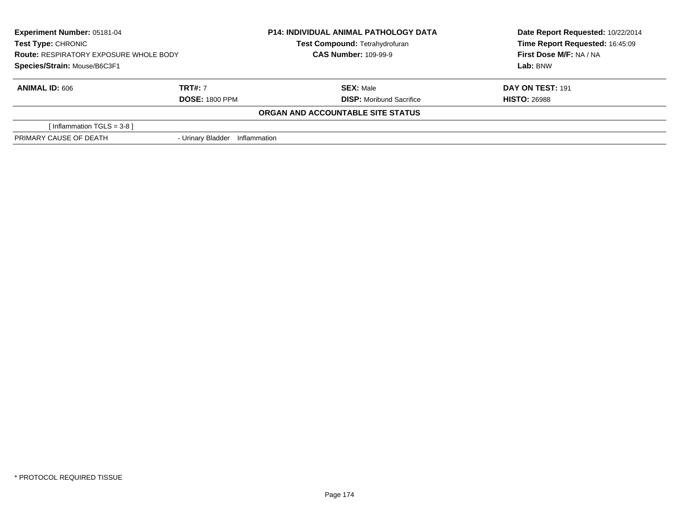| <b>Experiment Number: 05181-04</b><br><b>Test Type: CHRONIC</b><br><b>Route: RESPIRATORY EXPOSURE WHOLE BODY</b><br>Species/Strain: Mouse/B6C3F1 |                       | <b>P14: INDIVIDUAL ANIMAL PATHOLOGY DATA</b> | Date Report Requested: 10/22/2014 |
|--------------------------------------------------------------------------------------------------------------------------------------------------|-----------------------|----------------------------------------------|-----------------------------------|
|                                                                                                                                                  |                       | Test Compound: Tetrahydrofuran               | Time Report Requested: 16:45:09   |
|                                                                                                                                                  |                       | <b>CAS Number: 109-99-9</b>                  | First Dose M/F: NA / NA           |
|                                                                                                                                                  |                       |                                              | Lab: BNW                          |
| <b>ANIMAL ID: 606</b>                                                                                                                            | <b>TRT#: 7</b>        | <b>SEX: Male</b>                             | DAY ON TEST: 191                  |
|                                                                                                                                                  | <b>DOSE: 1800 PPM</b> | <b>DISP:</b> Moribund Sacrifice              | <b>HISTO: 26988</b>               |
|                                                                                                                                                  |                       | ORGAN AND ACCOUNTABLE SITE STATUS            |                                   |
| [Inflammation TGLS = 3-8 ]                                                                                                                       |                       |                                              |                                   |
| PRIMARY CAUSE OF DEATH                                                                                                                           | - Urinary Bladder     | Inflammation                                 |                                   |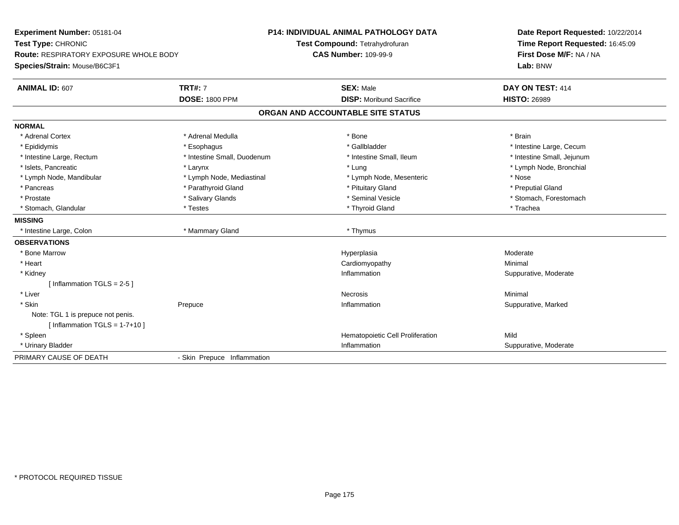| Experiment Number: 05181-04            |                             | <b>P14: INDIVIDUAL ANIMAL PATHOLOGY DATA</b> | Date Report Requested: 10/22/2014                          |  |
|----------------------------------------|-----------------------------|----------------------------------------------|------------------------------------------------------------|--|
| Test Type: CHRONIC                     |                             | Test Compound: Tetrahydrofuran               | Time Report Requested: 16:45:09<br>First Dose M/F: NA / NA |  |
| Route: RESPIRATORY EXPOSURE WHOLE BODY |                             | <b>CAS Number: 109-99-9</b>                  |                                                            |  |
| Species/Strain: Mouse/B6C3F1           |                             |                                              | Lab: BNW                                                   |  |
| ANIMAL ID: 607                         | <b>TRT#: 7</b>              | <b>SEX: Male</b>                             | DAY ON TEST: 414                                           |  |
|                                        | <b>DOSE: 1800 PPM</b>       | <b>DISP:</b> Moribund Sacrifice              | <b>HISTO: 26989</b>                                        |  |
|                                        |                             | ORGAN AND ACCOUNTABLE SITE STATUS            |                                                            |  |
| <b>NORMAL</b>                          |                             |                                              |                                                            |  |
| * Adrenal Cortex                       | * Adrenal Medulla           | * Bone                                       | * Brain                                                    |  |
| * Epididymis                           | * Esophagus                 | * Gallbladder                                | * Intestine Large, Cecum                                   |  |
| * Intestine Large, Rectum              | * Intestine Small, Duodenum | * Intestine Small, Ileum                     | * Intestine Small, Jejunum                                 |  |
| * Islets, Pancreatic                   | * Larynx                    | * Lung                                       | * Lymph Node, Bronchial                                    |  |
| * Lymph Node, Mandibular               | * Lymph Node, Mediastinal   | * Lymph Node, Mesenteric                     | * Nose                                                     |  |
| * Pancreas                             | * Parathyroid Gland         | * Pituitary Gland                            | * Preputial Gland                                          |  |
| * Prostate                             | * Salivary Glands           | * Seminal Vesicle                            | * Stomach, Forestomach                                     |  |
| * Stomach, Glandular                   | * Testes                    | * Thyroid Gland                              | * Trachea                                                  |  |
| <b>MISSING</b>                         |                             |                                              |                                                            |  |
| * Intestine Large, Colon               | * Mammary Gland             | * Thymus                                     |                                                            |  |
| <b>OBSERVATIONS</b>                    |                             |                                              |                                                            |  |
| * Bone Marrow                          |                             | Hyperplasia                                  | Moderate                                                   |  |
| * Heart                                |                             | Cardiomyopathy                               | Minimal                                                    |  |
| * Kidney                               |                             | Inflammation                                 | Suppurative, Moderate                                      |  |
| [Inflammation TGLS = $2-5$ ]           |                             |                                              |                                                            |  |
| * Liver                                |                             | <b>Necrosis</b>                              | Minimal                                                    |  |
| * Skin                                 | Prepuce                     | Inflammation                                 | Suppurative, Marked                                        |  |
| Note: TGL 1 is prepuce not penis.      |                             |                                              |                                                            |  |
| [Inflammation TGLS = $1-7+10$ ]        |                             |                                              |                                                            |  |
| * Spleen                               |                             | Hematopoietic Cell Proliferation             | Mild                                                       |  |
| * Urinary Bladder                      |                             | Inflammation                                 | Suppurative, Moderate                                      |  |
| PRIMARY CAUSE OF DEATH                 | - Skin Prepuce Inflammation |                                              |                                                            |  |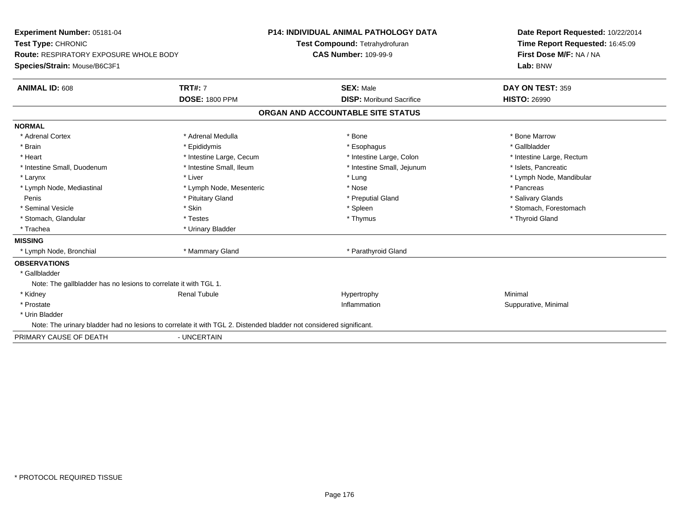| Experiment Number: 05181-04<br>Test Type: CHRONIC                                                                  |                          | <b>P14: INDIVIDUAL ANIMAL PATHOLOGY DATA</b> | Date Report Requested: 10/22/2014<br>Time Report Requested: 16:45:09 |
|--------------------------------------------------------------------------------------------------------------------|--------------------------|----------------------------------------------|----------------------------------------------------------------------|
|                                                                                                                    |                          | Test Compound: Tetrahydrofuran               |                                                                      |
| <b>Route: RESPIRATORY EXPOSURE WHOLE BODY</b>                                                                      |                          | <b>CAS Number: 109-99-9</b>                  | First Dose M/F: NA / NA                                              |
| Species/Strain: Mouse/B6C3F1                                                                                       |                          |                                              | Lab: BNW                                                             |
| <b>ANIMAL ID: 608</b>                                                                                              | <b>TRT#: 7</b>           | <b>SEX: Male</b>                             | DAY ON TEST: 359                                                     |
|                                                                                                                    | <b>DOSE: 1800 PPM</b>    | <b>DISP:</b> Moribund Sacrifice              | <b>HISTO: 26990</b>                                                  |
|                                                                                                                    |                          | ORGAN AND ACCOUNTABLE SITE STATUS            |                                                                      |
| <b>NORMAL</b>                                                                                                      |                          |                                              |                                                                      |
| * Adrenal Cortex                                                                                                   | * Adrenal Medulla        | * Bone                                       | * Bone Marrow                                                        |
| * Brain                                                                                                            | * Epididymis             | * Esophagus                                  | * Gallbladder                                                        |
| * Heart                                                                                                            | * Intestine Large, Cecum | * Intestine Large, Colon                     | * Intestine Large, Rectum                                            |
| * Intestine Small, Duodenum                                                                                        | * Intestine Small, Ileum | * Intestine Small, Jejunum                   | * Islets, Pancreatic                                                 |
| * Larynx                                                                                                           | * Liver                  | * Lung                                       | * Lymph Node, Mandibular                                             |
| * Lymph Node, Mediastinal                                                                                          | * Lymph Node, Mesenteric | * Nose                                       | * Pancreas                                                           |
| Penis                                                                                                              | * Pituitary Gland        | * Preputial Gland                            | * Salivary Glands                                                    |
| * Seminal Vesicle                                                                                                  | * Skin                   | * Spleen                                     | * Stomach, Forestomach                                               |
| * Stomach, Glandular                                                                                               | * Testes                 | * Thymus                                     | * Thyroid Gland                                                      |
| * Trachea                                                                                                          | * Urinary Bladder        |                                              |                                                                      |
| <b>MISSING</b>                                                                                                     |                          |                                              |                                                                      |
| * Lymph Node, Bronchial                                                                                            | * Mammary Gland          | * Parathyroid Gland                          |                                                                      |
| <b>OBSERVATIONS</b>                                                                                                |                          |                                              |                                                                      |
| * Gallbladder                                                                                                      |                          |                                              |                                                                      |
| Note: The gallbladder has no lesions to correlate it with TGL 1.                                                   |                          |                                              |                                                                      |
| * Kidney                                                                                                           | <b>Renal Tubule</b>      | Hypertrophy                                  | Minimal                                                              |
| * Prostate                                                                                                         |                          | Inflammation                                 | Suppurative, Minimal                                                 |
| * Urin Bladder                                                                                                     |                          |                                              |                                                                      |
| Note: The urinary bladder had no lesions to correlate it with TGL 2. Distended bladder not considered significant. |                          |                                              |                                                                      |
| PRIMARY CAUSE OF DEATH                                                                                             | - UNCERTAIN              |                                              |                                                                      |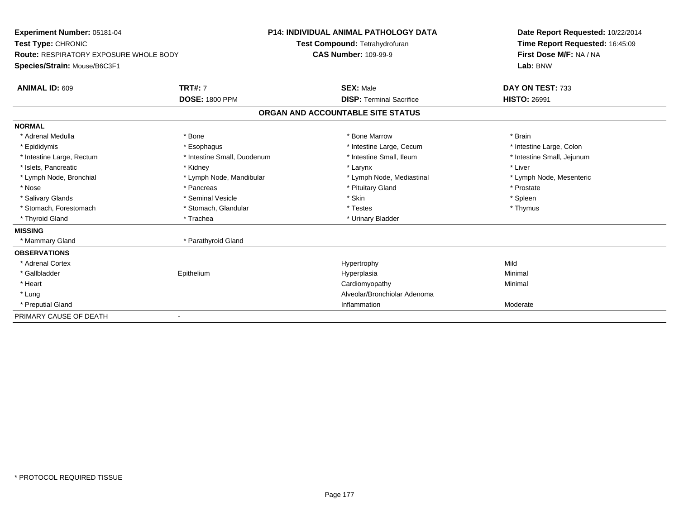| Experiment Number: 05181-04<br>Test Type: CHRONIC<br><b>Route: RESPIRATORY EXPOSURE WHOLE BODY</b><br>Species/Strain: Mouse/B6C3F1 |                                         | <b>P14: INDIVIDUAL ANIMAL PATHOLOGY DATA</b><br>Test Compound: Tetrahydrofuran<br><b>CAS Number: 109-99-9</b> |                                                     | Date Report Requested: 10/22/2014<br>Time Report Requested: 16:45:09<br>First Dose M/F: NA / NA<br>Lab: BNW |
|------------------------------------------------------------------------------------------------------------------------------------|-----------------------------------------|---------------------------------------------------------------------------------------------------------------|-----------------------------------------------------|-------------------------------------------------------------------------------------------------------------|
| <b>ANIMAL ID: 609</b>                                                                                                              | <b>TRT#: 7</b><br><b>DOSE: 1800 PPM</b> |                                                                                                               | <b>SEX: Male</b><br><b>DISP: Terminal Sacrifice</b> | DAY ON TEST: 733<br><b>HISTO: 26991</b>                                                                     |
|                                                                                                                                    |                                         |                                                                                                               | ORGAN AND ACCOUNTABLE SITE STATUS                   |                                                                                                             |
| <b>NORMAL</b>                                                                                                                      |                                         |                                                                                                               |                                                     |                                                                                                             |
| * Adrenal Medulla                                                                                                                  | * Bone                                  |                                                                                                               | * Bone Marrow                                       | * Brain                                                                                                     |
| * Epididymis                                                                                                                       | * Esophagus                             |                                                                                                               | * Intestine Large, Cecum                            | * Intestine Large, Colon                                                                                    |
| * Intestine Large, Rectum                                                                                                          | * Intestine Small, Duodenum             |                                                                                                               | * Intestine Small, Ileum                            | * Intestine Small, Jejunum                                                                                  |
| * Islets, Pancreatic                                                                                                               | * Kidney                                |                                                                                                               | * Larynx                                            | * Liver                                                                                                     |
| * Lymph Node, Bronchial                                                                                                            | * Lymph Node, Mandibular                |                                                                                                               | * Lymph Node, Mediastinal                           | * Lymph Node, Mesenteric                                                                                    |
| * Nose                                                                                                                             | * Pancreas                              |                                                                                                               | * Pituitary Gland                                   | * Prostate                                                                                                  |
| * Salivary Glands                                                                                                                  | * Seminal Vesicle                       |                                                                                                               | * Skin                                              | * Spleen                                                                                                    |
| * Stomach, Forestomach                                                                                                             | * Stomach, Glandular                    |                                                                                                               | * Testes                                            | * Thymus                                                                                                    |
| * Thyroid Gland                                                                                                                    | * Trachea                               |                                                                                                               | * Urinary Bladder                                   |                                                                                                             |
| <b>MISSING</b>                                                                                                                     |                                         |                                                                                                               |                                                     |                                                                                                             |
| * Mammary Gland                                                                                                                    | * Parathyroid Gland                     |                                                                                                               |                                                     |                                                                                                             |
| <b>OBSERVATIONS</b>                                                                                                                |                                         |                                                                                                               |                                                     |                                                                                                             |
| * Adrenal Cortex                                                                                                                   |                                         |                                                                                                               | Hypertrophy                                         | Mild                                                                                                        |
| * Gallbladder                                                                                                                      | Epithelium                              |                                                                                                               | Hyperplasia                                         | Minimal                                                                                                     |
| * Heart                                                                                                                            |                                         |                                                                                                               | Cardiomyopathy                                      | Minimal                                                                                                     |
| * Lung                                                                                                                             |                                         |                                                                                                               | Alveolar/Bronchiolar Adenoma                        |                                                                                                             |
| * Preputial Gland                                                                                                                  |                                         |                                                                                                               | Inflammation                                        | Moderate                                                                                                    |
| PRIMARY CAUSE OF DEATH                                                                                                             |                                         |                                                                                                               |                                                     |                                                                                                             |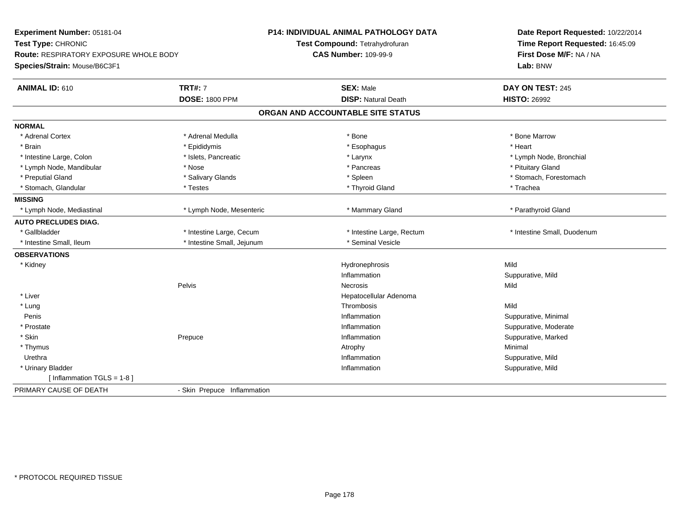| Experiment Number: 05181-04                   |                             | <b>P14: INDIVIDUAL ANIMAL PATHOLOGY DATA</b> | Date Report Requested: 10/22/2014 |
|-----------------------------------------------|-----------------------------|----------------------------------------------|-----------------------------------|
| Test Type: CHRONIC                            |                             | Test Compound: Tetrahydrofuran               | Time Report Requested: 16:45:09   |
| <b>Route: RESPIRATORY EXPOSURE WHOLE BODY</b> |                             | <b>CAS Number: 109-99-9</b>                  | First Dose M/F: NA / NA           |
| Species/Strain: Mouse/B6C3F1                  |                             |                                              | Lab: BNW                          |
| <b>ANIMAL ID: 610</b>                         | <b>TRT#: 7</b>              | <b>SEX: Male</b>                             | DAY ON TEST: 245                  |
|                                               | <b>DOSE: 1800 PPM</b>       | <b>DISP: Natural Death</b>                   | <b>HISTO: 26992</b>               |
|                                               |                             | ORGAN AND ACCOUNTABLE SITE STATUS            |                                   |
| <b>NORMAL</b>                                 |                             |                                              |                                   |
| * Adrenal Cortex                              | * Adrenal Medulla           | * Bone                                       | * Bone Marrow                     |
| * Brain                                       | * Epididymis                | * Esophagus                                  | * Heart                           |
| * Intestine Large, Colon                      | * Islets, Pancreatic        | * Larynx                                     | * Lymph Node, Bronchial           |
| * Lymph Node, Mandibular                      | * Nose                      | * Pancreas                                   | * Pituitary Gland                 |
| * Preputial Gland                             | * Salivary Glands           | * Spleen                                     | * Stomach, Forestomach            |
| * Stomach, Glandular                          | * Testes                    | * Thyroid Gland                              | * Trachea                         |
| <b>MISSING</b>                                |                             |                                              |                                   |
| * Lymph Node, Mediastinal                     | * Lymph Node, Mesenteric    | * Mammary Gland                              | * Parathyroid Gland               |
| <b>AUTO PRECLUDES DIAG.</b>                   |                             |                                              |                                   |
| * Gallbladder                                 | * Intestine Large, Cecum    | * Intestine Large, Rectum                    | * Intestine Small, Duodenum       |
| * Intestine Small. Ileum                      | * Intestine Small, Jejunum  | * Seminal Vesicle                            |                                   |
| <b>OBSERVATIONS</b>                           |                             |                                              |                                   |
| * Kidney                                      |                             | Hydronephrosis                               | Mild                              |
|                                               |                             | Inflammation                                 | Suppurative, Mild                 |
|                                               | Pelvis                      | Necrosis                                     | Mild                              |
| * Liver                                       |                             | Hepatocellular Adenoma                       |                                   |
| * Lung                                        |                             | Thrombosis                                   | Mild                              |
| Penis                                         |                             | Inflammation                                 | Suppurative, Minimal              |
| * Prostate                                    |                             | Inflammation                                 | Suppurative, Moderate             |
| * Skin                                        | Prepuce                     | Inflammation                                 | Suppurative, Marked               |
| * Thymus                                      |                             | Atrophy                                      | Minimal                           |
| Urethra                                       |                             | Inflammation                                 | Suppurative, Mild                 |
| * Urinary Bladder                             |                             | Inflammation                                 | Suppurative, Mild                 |
| [Inflammation TGLS = $1-8$ ]                  |                             |                                              |                                   |
| PRIMARY CAUSE OF DEATH                        | - Skin Prepuce Inflammation |                                              |                                   |
|                                               |                             |                                              |                                   |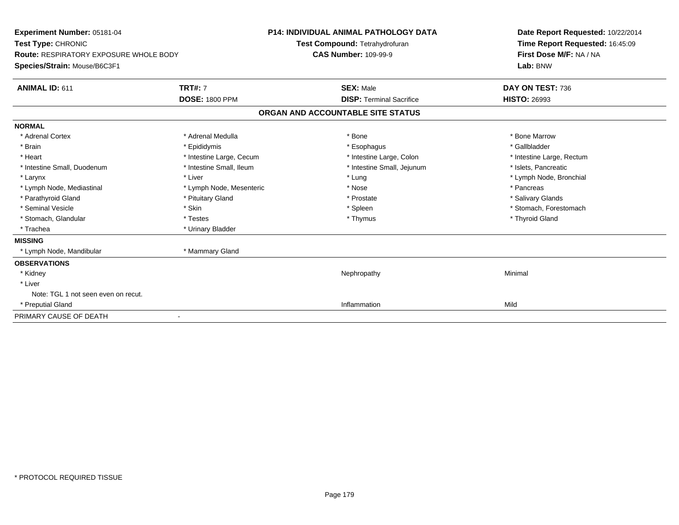| Experiment Number: 05181-04<br>Test Type: CHRONIC<br><b>Route: RESPIRATORY EXPOSURE WHOLE BODY</b><br>Species/Strain: Mouse/B6C3F1 |                          | <b>P14: INDIVIDUAL ANIMAL PATHOLOGY DATA</b><br>Test Compound: Tetrahydrofuran<br><b>CAS Number: 109-99-9</b> | Date Report Requested: 10/22/2014<br>Time Report Requested: 16:45:09<br>First Dose M/F: NA / NA<br>Lab: BNW |
|------------------------------------------------------------------------------------------------------------------------------------|--------------------------|---------------------------------------------------------------------------------------------------------------|-------------------------------------------------------------------------------------------------------------|
| ANIMAL ID: 611                                                                                                                     | <b>TRT#: 7</b>           | <b>SEX: Male</b>                                                                                              | DAY ON TEST: 736                                                                                            |
|                                                                                                                                    | <b>DOSE: 1800 PPM</b>    | <b>DISP: Terminal Sacrifice</b>                                                                               | <b>HISTO: 26993</b>                                                                                         |
|                                                                                                                                    |                          | ORGAN AND ACCOUNTABLE SITE STATUS                                                                             |                                                                                                             |
| <b>NORMAL</b>                                                                                                                      |                          |                                                                                                               |                                                                                                             |
| * Adrenal Cortex                                                                                                                   | * Adrenal Medulla        | * Bone                                                                                                        | * Bone Marrow                                                                                               |
| * Brain                                                                                                                            | * Epididymis             | * Esophagus                                                                                                   | * Gallbladder                                                                                               |
| * Heart                                                                                                                            | * Intestine Large, Cecum | * Intestine Large, Colon                                                                                      | * Intestine Large, Rectum                                                                                   |
| * Intestine Small, Duodenum                                                                                                        | * Intestine Small, Ileum | * Intestine Small, Jejunum                                                                                    | * Islets, Pancreatic                                                                                        |
| * Larynx                                                                                                                           | * Liver                  | * Lung                                                                                                        | * Lymph Node, Bronchial                                                                                     |
| * Lymph Node, Mediastinal                                                                                                          | * Lymph Node, Mesenteric | * Nose                                                                                                        | * Pancreas                                                                                                  |
| * Parathyroid Gland                                                                                                                | * Pituitary Gland        | * Prostate                                                                                                    | * Salivary Glands                                                                                           |
| * Seminal Vesicle                                                                                                                  | * Skin                   | * Spleen                                                                                                      | * Stomach, Forestomach                                                                                      |
| * Stomach, Glandular                                                                                                               | * Testes                 | * Thymus                                                                                                      | * Thyroid Gland                                                                                             |
| * Trachea                                                                                                                          | * Urinary Bladder        |                                                                                                               |                                                                                                             |
| <b>MISSING</b>                                                                                                                     |                          |                                                                                                               |                                                                                                             |
| * Lymph Node, Mandibular                                                                                                           | * Mammary Gland          |                                                                                                               |                                                                                                             |
| <b>OBSERVATIONS</b>                                                                                                                |                          |                                                                                                               |                                                                                                             |
| * Kidney                                                                                                                           |                          | Nephropathy                                                                                                   | Minimal                                                                                                     |
| * Liver                                                                                                                            |                          |                                                                                                               |                                                                                                             |
| Note: TGL 1 not seen even on recut.                                                                                                |                          |                                                                                                               |                                                                                                             |
| * Preputial Gland                                                                                                                  |                          | Inflammation                                                                                                  | Mild                                                                                                        |
| PRIMARY CAUSE OF DEATH                                                                                                             |                          |                                                                                                               |                                                                                                             |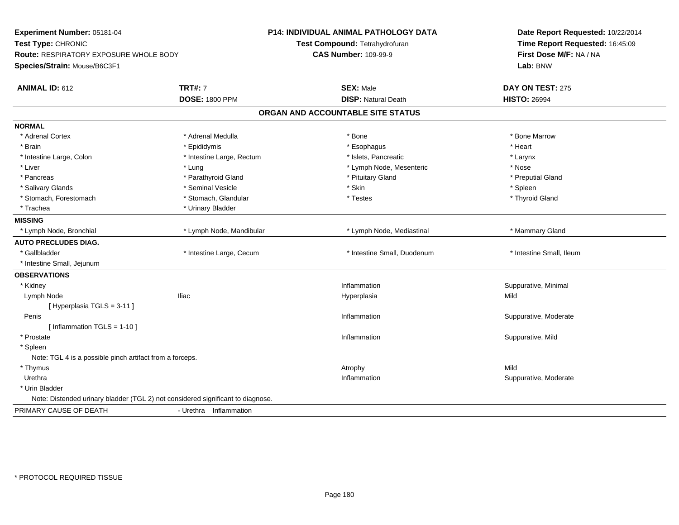| Experiment Number: 05181-04<br>Test Type: CHRONIC<br>Route: RESPIRATORY EXPOSURE WHOLE BODY<br>Species/Strain: Mouse/B6C3F1 |                                         | <b>P14: INDIVIDUAL ANIMAL PATHOLOGY DATA</b><br>Test Compound: Tetrahydrofuran<br><b>CAS Number: 109-99-9</b> | Date Report Requested: 10/22/2014<br>Time Report Requested: 16:45:09<br>First Dose M/F: NA / NA<br>Lab: BNW |
|-----------------------------------------------------------------------------------------------------------------------------|-----------------------------------------|---------------------------------------------------------------------------------------------------------------|-------------------------------------------------------------------------------------------------------------|
| <b>ANIMAL ID: 612</b>                                                                                                       | <b>TRT#: 7</b><br><b>DOSE: 1800 PPM</b> | <b>SEX: Male</b><br><b>DISP: Natural Death</b>                                                                | DAY ON TEST: 275<br><b>HISTO: 26994</b>                                                                     |
|                                                                                                                             |                                         | ORGAN AND ACCOUNTABLE SITE STATUS                                                                             |                                                                                                             |
| <b>NORMAL</b>                                                                                                               |                                         |                                                                                                               |                                                                                                             |
| * Adrenal Cortex                                                                                                            | * Adrenal Medulla                       | * Bone                                                                                                        | * Bone Marrow                                                                                               |
| * Brain                                                                                                                     | * Epididymis                            | * Esophagus                                                                                                   | * Heart                                                                                                     |
| * Intestine Large, Colon                                                                                                    | * Intestine Large, Rectum               | * Islets, Pancreatic                                                                                          | * Larynx                                                                                                    |
| * Liver                                                                                                                     | * Lung                                  | * Lymph Node, Mesenteric                                                                                      | * Nose                                                                                                      |
| * Pancreas                                                                                                                  | * Parathyroid Gland                     | * Pituitary Gland                                                                                             | * Preputial Gland                                                                                           |
| * Salivary Glands                                                                                                           | * Seminal Vesicle                       | * Skin                                                                                                        | * Spleen                                                                                                    |
| * Stomach, Forestomach                                                                                                      | * Stomach, Glandular                    | * Testes                                                                                                      | * Thyroid Gland                                                                                             |
| * Trachea                                                                                                                   | * Urinary Bladder                       |                                                                                                               |                                                                                                             |
| <b>MISSING</b>                                                                                                              |                                         |                                                                                                               |                                                                                                             |
| * Lymph Node, Bronchial                                                                                                     | * Lymph Node, Mandibular                | * Lymph Node, Mediastinal                                                                                     | * Mammary Gland                                                                                             |
| <b>AUTO PRECLUDES DIAG.</b>                                                                                                 |                                         |                                                                                                               |                                                                                                             |
| * Gallbladder                                                                                                               | * Intestine Large, Cecum                | * Intestine Small, Duodenum                                                                                   | * Intestine Small, Ileum                                                                                    |
| * Intestine Small, Jejunum                                                                                                  |                                         |                                                                                                               |                                                                                                             |
| <b>OBSERVATIONS</b>                                                                                                         |                                         |                                                                                                               |                                                                                                             |
| * Kidney                                                                                                                    |                                         | Inflammation                                                                                                  | Suppurative, Minimal                                                                                        |
| Lymph Node                                                                                                                  | <b>Iliac</b>                            | Hyperplasia                                                                                                   | Mild                                                                                                        |
| [Hyperplasia TGLS = 3-11]                                                                                                   |                                         |                                                                                                               |                                                                                                             |
| Penis                                                                                                                       |                                         | Inflammation                                                                                                  | Suppurative, Moderate                                                                                       |
| [ Inflammation TGLS = 1-10 ]                                                                                                |                                         |                                                                                                               |                                                                                                             |
| * Prostate                                                                                                                  |                                         | Inflammation                                                                                                  | Suppurative, Mild                                                                                           |
| * Spleen                                                                                                                    |                                         |                                                                                                               |                                                                                                             |
| Note: TGL 4 is a possible pinch artifact from a forceps.                                                                    |                                         |                                                                                                               |                                                                                                             |
| * Thymus                                                                                                                    |                                         | Atrophy                                                                                                       | Mild                                                                                                        |
| Urethra                                                                                                                     |                                         | Inflammation                                                                                                  | Suppurative, Moderate                                                                                       |
| * Urin Bladder                                                                                                              |                                         |                                                                                                               |                                                                                                             |
| Note: Distended urinary bladder (TGL 2) not considered significant to diagnose.                                             |                                         |                                                                                                               |                                                                                                             |
| PRIMARY CAUSE OF DEATH                                                                                                      | - Urethra Inflammation                  |                                                                                                               |                                                                                                             |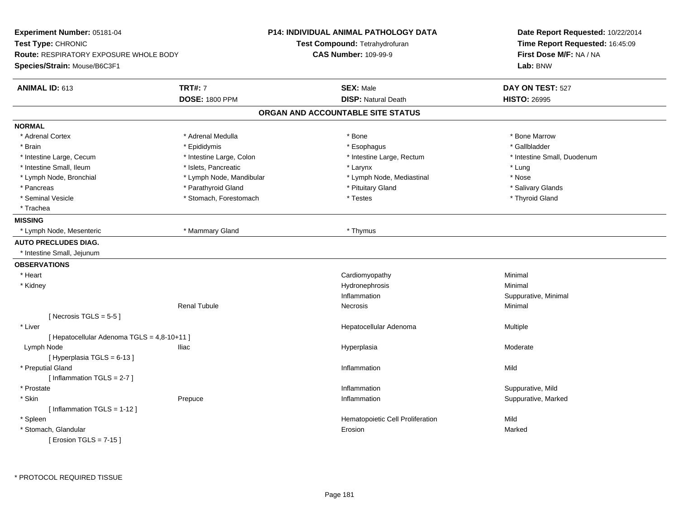| <b>Experiment Number: 05181-04</b>            |                          | <b>P14: INDIVIDUAL ANIMAL PATHOLOGY DATA</b> | Date Report Requested: 10/22/2014<br>Time Report Requested: 16:45:09<br>First Dose M/F: NA / NA |
|-----------------------------------------------|--------------------------|----------------------------------------------|-------------------------------------------------------------------------------------------------|
| Test Type: CHRONIC                            |                          | Test Compound: Tetrahydrofuran               |                                                                                                 |
| <b>Route: RESPIRATORY EXPOSURE WHOLE BODY</b> |                          | <b>CAS Number: 109-99-9</b>                  |                                                                                                 |
| Species/Strain: Mouse/B6C3F1                  |                          |                                              | Lab: BNW                                                                                        |
| ANIMAL ID: 613                                | <b>TRT#: 7</b>           | <b>SEX: Male</b>                             | DAY ON TEST: 527                                                                                |
|                                               | <b>DOSE: 1800 PPM</b>    | <b>DISP: Natural Death</b>                   | <b>HISTO: 26995</b>                                                                             |
|                                               |                          | ORGAN AND ACCOUNTABLE SITE STATUS            |                                                                                                 |
| <b>NORMAL</b>                                 |                          |                                              |                                                                                                 |
| * Adrenal Cortex                              | * Adrenal Medulla        | * Bone                                       | * Bone Marrow                                                                                   |
| * Brain                                       | * Epididymis             | * Esophagus                                  | * Gallbladder                                                                                   |
| * Intestine Large, Cecum                      | * Intestine Large, Colon | * Intestine Large, Rectum                    | * Intestine Small, Duodenum                                                                     |
| * Intestine Small, Ileum                      | * Islets, Pancreatic     | * Larynx                                     | * Lung                                                                                          |
| * Lymph Node, Bronchial                       | * Lymph Node, Mandibular | * Lymph Node, Mediastinal                    | $^{\star}$ Nose                                                                                 |
| * Pancreas                                    | * Parathyroid Gland      | * Pituitary Gland                            | * Salivary Glands                                                                               |
| * Seminal Vesicle                             | * Stomach, Forestomach   | * Testes                                     | * Thyroid Gland                                                                                 |
| * Trachea                                     |                          |                                              |                                                                                                 |
| <b>MISSING</b>                                |                          |                                              |                                                                                                 |
| * Lymph Node, Mesenteric                      | * Mammary Gland          | * Thymus                                     |                                                                                                 |
| <b>AUTO PRECLUDES DIAG.</b>                   |                          |                                              |                                                                                                 |
| * Intestine Small, Jejunum                    |                          |                                              |                                                                                                 |
| <b>OBSERVATIONS</b>                           |                          |                                              |                                                                                                 |
| * Heart                                       |                          | Cardiomyopathy                               | Minimal                                                                                         |
| * Kidney                                      |                          | Hydronephrosis                               | Minimal                                                                                         |
|                                               |                          | Inflammation                                 | Suppurative, Minimal                                                                            |
|                                               | <b>Renal Tubule</b>      | Necrosis                                     | Minimal                                                                                         |
| [Necrosis TGLS = $5-5$ ]                      |                          |                                              |                                                                                                 |
| * Liver                                       |                          | Hepatocellular Adenoma                       | Multiple                                                                                        |
| [ Hepatocellular Adenoma TGLS = 4,8-10+11 ]   |                          |                                              |                                                                                                 |
| Lymph Node                                    | Iliac                    | Hyperplasia                                  | Moderate                                                                                        |
| [Hyperplasia TGLS = $6-13$ ]                  |                          |                                              |                                                                                                 |
| * Preputial Gland                             |                          | Inflammation                                 | Mild                                                                                            |
| [Inflammation $TGLS = 2-7$ ]                  |                          |                                              |                                                                                                 |
| * Prostate                                    |                          | Inflammation                                 | Suppurative, Mild                                                                               |
| * Skin                                        | Prepuce                  | Inflammation                                 | Suppurative, Marked                                                                             |
| [Inflammation TGLS = 1-12]                    |                          |                                              |                                                                                                 |
| * Spleen                                      |                          | Hematopoietic Cell Proliferation             | Mild                                                                                            |
| * Stomach, Glandular                          |                          | Erosion                                      | Marked                                                                                          |
| [ Erosion TGLS = 7-15 ]                       |                          |                                              |                                                                                                 |
|                                               |                          |                                              |                                                                                                 |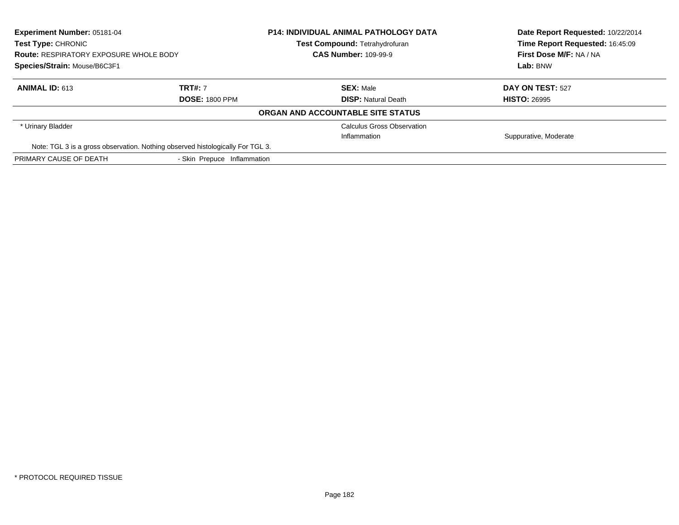| <b>Experiment Number: 05181-04</b>                                             |                             | <b>P14: INDIVIDUAL ANIMAL PATHOLOGY DATA</b> | Date Report Requested: 10/22/2014 |
|--------------------------------------------------------------------------------|-----------------------------|----------------------------------------------|-----------------------------------|
| <b>Test Type: CHRONIC</b>                                                      |                             | Test Compound: Tetrahydrofuran               | Time Report Requested: 16:45:09   |
| <b>Route: RESPIRATORY EXPOSURE WHOLE BODY</b>                                  |                             | <b>CAS Number: 109-99-9</b>                  | First Dose M/F: NA / NA           |
| Species/Strain: Mouse/B6C3F1                                                   |                             |                                              | Lab: BNW                          |
| <b>ANIMAL ID: 613</b>                                                          | <b>TRT#: 7</b>              | <b>SEX: Male</b>                             | DAY ON TEST: 527                  |
|                                                                                | <b>DOSE: 1800 PPM</b>       | <b>DISP: Natural Death</b>                   | <b>HISTO: 26995</b>               |
|                                                                                |                             | ORGAN AND ACCOUNTABLE SITE STATUS            |                                   |
| * Urinary Bladder                                                              |                             | <b>Calculus Gross Observation</b>            |                                   |
|                                                                                |                             | Inflammation                                 | Suppurative, Moderate             |
| Note: TGL 3 is a gross observation. Nothing observed histologically For TGL 3. |                             |                                              |                                   |
| PRIMARY CAUSE OF DEATH                                                         | - Skin Prepuce Inflammation |                                              |                                   |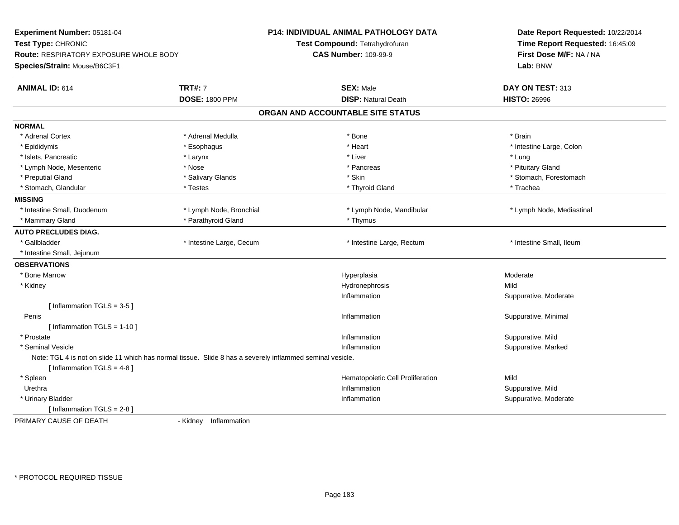| Experiment Number: 05181-04                                                                               |                          | <b>P14: INDIVIDUAL ANIMAL PATHOLOGY DATA</b> | Date Report Requested: 10/22/2014<br>Time Report Requested: 16:45:09 |  |
|-----------------------------------------------------------------------------------------------------------|--------------------------|----------------------------------------------|----------------------------------------------------------------------|--|
| Test Type: CHRONIC                                                                                        |                          | Test Compound: Tetrahydrofuran               |                                                                      |  |
| Route: RESPIRATORY EXPOSURE WHOLE BODY                                                                    |                          | <b>CAS Number: 109-99-9</b>                  | First Dose M/F: NA / NA                                              |  |
| Species/Strain: Mouse/B6C3F1                                                                              |                          |                                              | Lab: BNW                                                             |  |
| <b>ANIMAL ID: 614</b>                                                                                     | <b>TRT#: 7</b>           | <b>SEX: Male</b>                             | DAY ON TEST: 313                                                     |  |
|                                                                                                           | <b>DOSE: 1800 PPM</b>    | <b>DISP: Natural Death</b>                   | <b>HISTO: 26996</b>                                                  |  |
|                                                                                                           |                          | ORGAN AND ACCOUNTABLE SITE STATUS            |                                                                      |  |
| <b>NORMAL</b>                                                                                             |                          |                                              |                                                                      |  |
| * Adrenal Cortex                                                                                          | * Adrenal Medulla        | * Bone                                       | * Brain                                                              |  |
| * Epididymis                                                                                              | * Esophagus              | * Heart                                      | * Intestine Large, Colon                                             |  |
| * Islets, Pancreatic                                                                                      | * Larynx                 | * Liver                                      | * Lung                                                               |  |
| * Lymph Node, Mesenteric                                                                                  | * Nose                   | * Pancreas                                   | * Pituitary Gland                                                    |  |
| * Preputial Gland                                                                                         | * Salivary Glands        | * Skin                                       | * Stomach, Forestomach                                               |  |
| * Stomach, Glandular                                                                                      | * Testes                 | * Thyroid Gland                              | * Trachea                                                            |  |
| <b>MISSING</b>                                                                                            |                          |                                              |                                                                      |  |
| * Intestine Small, Duodenum                                                                               | * Lymph Node, Bronchial  | * Lymph Node, Mandibular                     | * Lymph Node, Mediastinal                                            |  |
| * Mammary Gland                                                                                           | * Parathyroid Gland      | * Thymus                                     |                                                                      |  |
| <b>AUTO PRECLUDES DIAG.</b>                                                                               |                          |                                              |                                                                      |  |
| * Gallbladder                                                                                             | * Intestine Large, Cecum | * Intestine Large, Rectum                    | * Intestine Small, Ileum                                             |  |
| * Intestine Small, Jejunum                                                                                |                          |                                              |                                                                      |  |
| <b>OBSERVATIONS</b>                                                                                       |                          |                                              |                                                                      |  |
| * Bone Marrow                                                                                             |                          | Hyperplasia                                  | Moderate                                                             |  |
| * Kidney                                                                                                  |                          | Hydronephrosis                               | Mild                                                                 |  |
|                                                                                                           |                          | Inflammation                                 | Suppurative, Moderate                                                |  |
| [Inflammation TGLS = $3-5$ ]                                                                              |                          |                                              |                                                                      |  |
| Penis                                                                                                     |                          | Inflammation                                 | Suppurative, Minimal                                                 |  |
| [Inflammation TGLS = $1-10$ ]                                                                             |                          |                                              |                                                                      |  |
| * Prostate                                                                                                |                          | Inflammation                                 | Suppurative, Mild                                                    |  |
| * Seminal Vesicle                                                                                         |                          | Inflammation                                 | Suppurative, Marked                                                  |  |
| Note: TGL 4 is not on slide 11 which has normal tissue. Slide 8 has a severely inflammed seminal vesicle. |                          |                                              |                                                                      |  |
| [Inflammation TGLS = $4-8$ ]                                                                              |                          |                                              |                                                                      |  |
| * Spleen                                                                                                  |                          | Hematopoietic Cell Proliferation             | Mild                                                                 |  |
| Urethra                                                                                                   |                          | Inflammation                                 | Suppurative, Mild                                                    |  |
| * Urinary Bladder                                                                                         |                          | Inflammation                                 | Suppurative, Moderate                                                |  |
| [Inflammation TGLS = $2-8$ ]                                                                              |                          |                                              |                                                                      |  |
| PRIMARY CAUSE OF DEATH                                                                                    | - Kidney Inflammation    |                                              |                                                                      |  |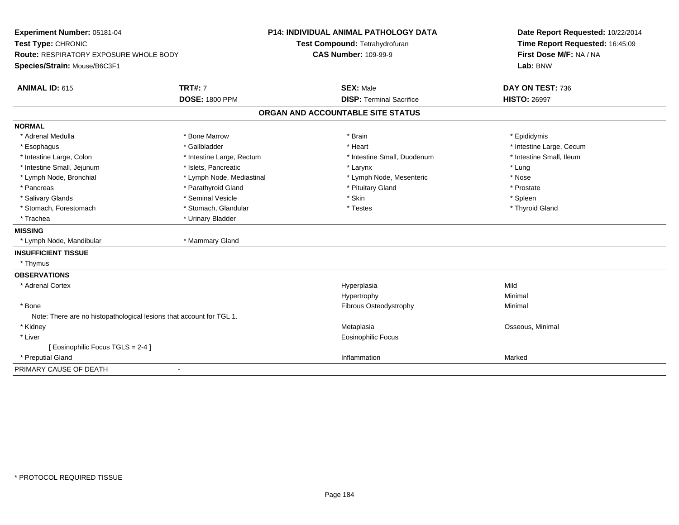| Experiment Number: 05181-04<br>Test Type: CHRONIC<br><b>Route: RESPIRATORY EXPOSURE WHOLE BODY</b><br>Species/Strain: Mouse/B6C3F1 |                                         | <b>P14: INDIVIDUAL ANIMAL PATHOLOGY DATA</b><br>Test Compound: Tetrahydrofuran<br><b>CAS Number: 109-99-9</b> | Date Report Requested: 10/22/2014<br>Time Report Requested: 16:45:09<br>First Dose M/F: NA / NA<br>Lab: BNW |  |
|------------------------------------------------------------------------------------------------------------------------------------|-----------------------------------------|---------------------------------------------------------------------------------------------------------------|-------------------------------------------------------------------------------------------------------------|--|
| <b>ANIMAL ID: 615</b>                                                                                                              | <b>TRT#: 7</b><br><b>DOSE: 1800 PPM</b> | <b>SEX: Male</b><br><b>DISP: Terminal Sacrifice</b>                                                           | DAY ON TEST: 736<br><b>HISTO: 26997</b>                                                                     |  |
|                                                                                                                                    |                                         | ORGAN AND ACCOUNTABLE SITE STATUS                                                                             |                                                                                                             |  |
| <b>NORMAL</b>                                                                                                                      |                                         |                                                                                                               |                                                                                                             |  |
| * Adrenal Medulla                                                                                                                  | * Bone Marrow                           | * Brain                                                                                                       | * Epididymis                                                                                                |  |
| * Esophagus                                                                                                                        | * Gallbladder                           | * Heart                                                                                                       | * Intestine Large, Cecum                                                                                    |  |
| * Intestine Large, Colon                                                                                                           | * Intestine Large, Rectum               | * Intestine Small, Duodenum                                                                                   | * Intestine Small, Ileum                                                                                    |  |
| * Intestine Small, Jejunum                                                                                                         | * Islets, Pancreatic                    | * Larynx                                                                                                      | * Lung                                                                                                      |  |
| * Lymph Node, Bronchial                                                                                                            | * Lymph Node, Mediastinal               | * Lymph Node, Mesenteric                                                                                      | * Nose                                                                                                      |  |
| * Pancreas                                                                                                                         | * Parathyroid Gland                     | * Pituitary Gland                                                                                             | * Prostate                                                                                                  |  |
| * Salivary Glands                                                                                                                  | * Seminal Vesicle                       | * Skin                                                                                                        | * Spleen                                                                                                    |  |
| * Stomach, Forestomach                                                                                                             | * Stomach, Glandular                    | * Testes                                                                                                      | * Thyroid Gland                                                                                             |  |
| * Trachea                                                                                                                          | * Urinary Bladder                       |                                                                                                               |                                                                                                             |  |
| <b>MISSING</b>                                                                                                                     |                                         |                                                                                                               |                                                                                                             |  |
| * Lymph Node, Mandibular                                                                                                           | * Mammary Gland                         |                                                                                                               |                                                                                                             |  |
| <b>INSUFFICIENT TISSUE</b>                                                                                                         |                                         |                                                                                                               |                                                                                                             |  |
| * Thymus                                                                                                                           |                                         |                                                                                                               |                                                                                                             |  |
| <b>OBSERVATIONS</b>                                                                                                                |                                         |                                                                                                               |                                                                                                             |  |
| * Adrenal Cortex                                                                                                                   |                                         | Hyperplasia                                                                                                   | Mild                                                                                                        |  |
|                                                                                                                                    |                                         | Hypertrophy                                                                                                   | Minimal                                                                                                     |  |
| * Bone                                                                                                                             |                                         | <b>Fibrous Osteodystrophy</b>                                                                                 | Minimal                                                                                                     |  |
| Note: There are no histopathological lesions that account for TGL 1.                                                               |                                         |                                                                                                               |                                                                                                             |  |
| * Kidney                                                                                                                           |                                         | Metaplasia                                                                                                    | Osseous, Minimal                                                                                            |  |
| * Liver                                                                                                                            |                                         | <b>Eosinophilic Focus</b>                                                                                     |                                                                                                             |  |
| [ Eosinophilic Focus TGLS = 2-4 ]                                                                                                  |                                         |                                                                                                               |                                                                                                             |  |
| * Preputial Gland                                                                                                                  |                                         | Inflammation                                                                                                  | Marked                                                                                                      |  |
| PRIMARY CAUSE OF DEATH                                                                                                             | $\blacksquare$                          |                                                                                                               |                                                                                                             |  |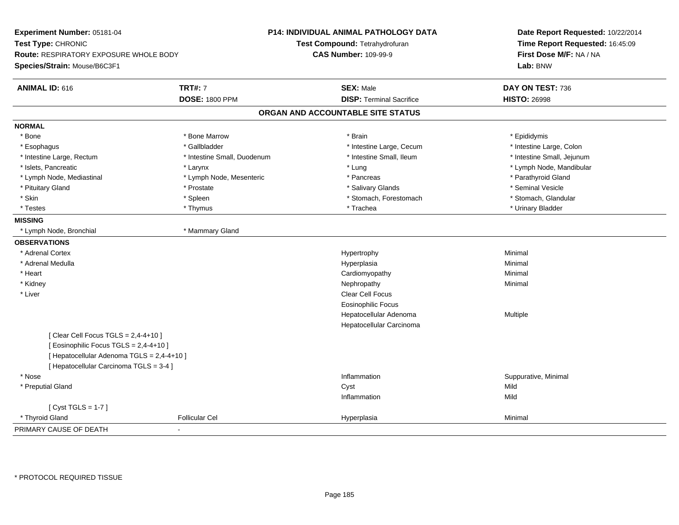| Experiment Number: 05181-04<br>Test Type: CHRONIC<br>Route: RESPIRATORY EXPOSURE WHOLE BODY |                             | <b>P14: INDIVIDUAL ANIMAL PATHOLOGY DATA</b><br>Test Compound: Tetrahydrofuran<br><b>CAS Number: 109-99-9</b> | Date Report Requested: 10/22/2014<br>Time Report Requested: 16:45:09<br>First Dose M/F: NA / NA |  |
|---------------------------------------------------------------------------------------------|-----------------------------|---------------------------------------------------------------------------------------------------------------|-------------------------------------------------------------------------------------------------|--|
| Species/Strain: Mouse/B6C3F1                                                                |                             |                                                                                                               | Lab: BNW                                                                                        |  |
| <b>ANIMAL ID: 616</b>                                                                       | <b>TRT#: 7</b>              | <b>SEX: Male</b>                                                                                              | DAY ON TEST: 736                                                                                |  |
|                                                                                             | <b>DOSE: 1800 PPM</b>       | <b>DISP: Terminal Sacrifice</b>                                                                               | <b>HISTO: 26998</b>                                                                             |  |
|                                                                                             |                             | ORGAN AND ACCOUNTABLE SITE STATUS                                                                             |                                                                                                 |  |
| <b>NORMAL</b>                                                                               |                             |                                                                                                               |                                                                                                 |  |
| * Bone                                                                                      | * Bone Marrow               | * Brain                                                                                                       | * Epididymis                                                                                    |  |
| * Esophagus                                                                                 | * Gallbladder               | * Intestine Large, Cecum                                                                                      | * Intestine Large, Colon                                                                        |  |
| * Intestine Large, Rectum                                                                   | * Intestine Small, Duodenum | * Intestine Small, Ileum                                                                                      | * Intestine Small, Jejunum                                                                      |  |
| * Islets, Pancreatic                                                                        | * Larynx                    | * Lung                                                                                                        | * Lymph Node, Mandibular                                                                        |  |
| * Lymph Node, Mediastinal                                                                   | * Lymph Node, Mesenteric    | * Pancreas                                                                                                    | * Parathyroid Gland                                                                             |  |
| * Pituitary Gland                                                                           | * Prostate                  | * Salivary Glands                                                                                             | * Seminal Vesicle                                                                               |  |
| * Skin                                                                                      | * Spleen                    | * Stomach, Forestomach                                                                                        | * Stomach, Glandular                                                                            |  |
| * Testes                                                                                    | * Thymus                    | * Trachea                                                                                                     | * Urinary Bladder                                                                               |  |
| <b>MISSING</b>                                                                              |                             |                                                                                                               |                                                                                                 |  |
| * Lymph Node, Bronchial                                                                     | * Mammary Gland             |                                                                                                               |                                                                                                 |  |
| <b>OBSERVATIONS</b>                                                                         |                             |                                                                                                               |                                                                                                 |  |
| * Adrenal Cortex                                                                            |                             | Hypertrophy                                                                                                   | Minimal                                                                                         |  |
| * Adrenal Medulla                                                                           |                             | Hyperplasia                                                                                                   | Minimal                                                                                         |  |
| * Heart                                                                                     |                             | Cardiomyopathy                                                                                                | Minimal                                                                                         |  |
| * Kidney                                                                                    |                             | Nephropathy                                                                                                   | Minimal                                                                                         |  |
| * Liver                                                                                     |                             | Clear Cell Focus                                                                                              |                                                                                                 |  |
|                                                                                             |                             | <b>Eosinophilic Focus</b>                                                                                     |                                                                                                 |  |
|                                                                                             |                             | Hepatocellular Adenoma                                                                                        | Multiple                                                                                        |  |
|                                                                                             |                             | Hepatocellular Carcinoma                                                                                      |                                                                                                 |  |
| [Clear Cell Focus TGLS = 2,4-4+10]                                                          |                             |                                                                                                               |                                                                                                 |  |
| [ Eosinophilic Focus TGLS = 2,4-4+10 ]                                                      |                             |                                                                                                               |                                                                                                 |  |
| [ Hepatocellular Adenoma TGLS = 2,4-4+10 ]                                                  |                             |                                                                                                               |                                                                                                 |  |
| [ Hepatocellular Carcinoma TGLS = 3-4 ]                                                     |                             |                                                                                                               |                                                                                                 |  |
| * Nose                                                                                      |                             | Inflammation                                                                                                  | Suppurative, Minimal                                                                            |  |
| * Preputial Gland                                                                           |                             | Cyst                                                                                                          | Mild                                                                                            |  |
|                                                                                             |                             | Inflammation                                                                                                  | Mild                                                                                            |  |
| [Cyst TGLS = $1-7$ ]                                                                        |                             |                                                                                                               |                                                                                                 |  |
| * Thyroid Gland                                                                             | <b>Follicular Cel</b>       | Hyperplasia                                                                                                   | Minimal                                                                                         |  |
| PRIMARY CAUSE OF DEATH                                                                      |                             |                                                                                                               |                                                                                                 |  |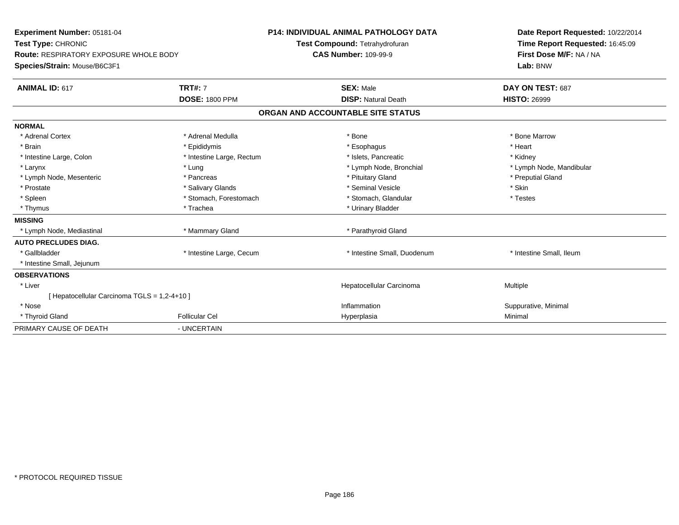| Experiment Number: 05181-04<br>Test Type: CHRONIC<br>Route: RESPIRATORY EXPOSURE WHOLE BODY<br>Species/Strain: Mouse/B6C3F1<br><b>ANIMAL ID: 617</b> | <b>TRT#: 7</b><br><b>DOSE: 1800 PPM</b> | <b>P14: INDIVIDUAL ANIMAL PATHOLOGY DATA</b><br>Test Compound: Tetrahydrofuran<br><b>CAS Number: 109-99-9</b><br><b>SEX: Male</b><br><b>DISP: Natural Death</b> | Date Report Requested: 10/22/2014<br>Time Report Requested: 16:45:09<br>First Dose M/F: NA / NA<br>Lab: BNW<br>DAY ON TEST: 687<br><b>HISTO: 26999</b> |
|------------------------------------------------------------------------------------------------------------------------------------------------------|-----------------------------------------|-----------------------------------------------------------------------------------------------------------------------------------------------------------------|--------------------------------------------------------------------------------------------------------------------------------------------------------|
|                                                                                                                                                      |                                         |                                                                                                                                                                 |                                                                                                                                                        |
|                                                                                                                                                      |                                         | ORGAN AND ACCOUNTABLE SITE STATUS                                                                                                                               |                                                                                                                                                        |
| <b>NORMAL</b>                                                                                                                                        |                                         |                                                                                                                                                                 |                                                                                                                                                        |
| * Adrenal Cortex                                                                                                                                     | * Adrenal Medulla                       | * Bone                                                                                                                                                          | * Bone Marrow                                                                                                                                          |
| * Brain                                                                                                                                              | * Epididymis                            | * Esophagus                                                                                                                                                     | * Heart                                                                                                                                                |
| * Intestine Large, Colon                                                                                                                             | * Intestine Large, Rectum               | * Islets, Pancreatic                                                                                                                                            | * Kidney                                                                                                                                               |
| * Larynx                                                                                                                                             | * Lung                                  | * Lymph Node, Bronchial                                                                                                                                         | * Lymph Node, Mandibular                                                                                                                               |
| * Lymph Node, Mesenteric                                                                                                                             | * Pancreas                              | * Pituitary Gland                                                                                                                                               | * Preputial Gland                                                                                                                                      |
| * Prostate                                                                                                                                           | * Salivary Glands                       | * Seminal Vesicle                                                                                                                                               | * Skin                                                                                                                                                 |
| * Spleen                                                                                                                                             | * Stomach, Forestomach                  | * Stomach, Glandular                                                                                                                                            | * Testes                                                                                                                                               |
| * Thymus                                                                                                                                             | * Trachea                               | * Urinary Bladder                                                                                                                                               |                                                                                                                                                        |
| <b>MISSING</b>                                                                                                                                       |                                         |                                                                                                                                                                 |                                                                                                                                                        |
| * Lymph Node, Mediastinal                                                                                                                            | * Mammary Gland                         | * Parathyroid Gland                                                                                                                                             |                                                                                                                                                        |
| <b>AUTO PRECLUDES DIAG.</b>                                                                                                                          |                                         |                                                                                                                                                                 |                                                                                                                                                        |
| * Gallbladder                                                                                                                                        | * Intestine Large, Cecum                | * Intestine Small, Duodenum                                                                                                                                     | * Intestine Small, Ileum                                                                                                                               |
| * Intestine Small, Jejunum                                                                                                                           |                                         |                                                                                                                                                                 |                                                                                                                                                        |
| <b>OBSERVATIONS</b>                                                                                                                                  |                                         |                                                                                                                                                                 |                                                                                                                                                        |
| * Liver                                                                                                                                              |                                         | Hepatocellular Carcinoma                                                                                                                                        | Multiple                                                                                                                                               |
| [ Hepatocellular Carcinoma TGLS = 1,2-4+10 ]                                                                                                         |                                         |                                                                                                                                                                 |                                                                                                                                                        |
| * Nose                                                                                                                                               |                                         | Inflammation                                                                                                                                                    | Suppurative, Minimal                                                                                                                                   |
| * Thyroid Gland                                                                                                                                      | <b>Follicular Cel</b>                   | Hyperplasia                                                                                                                                                     | Minimal                                                                                                                                                |
| PRIMARY CAUSE OF DEATH                                                                                                                               | - UNCERTAIN                             |                                                                                                                                                                 |                                                                                                                                                        |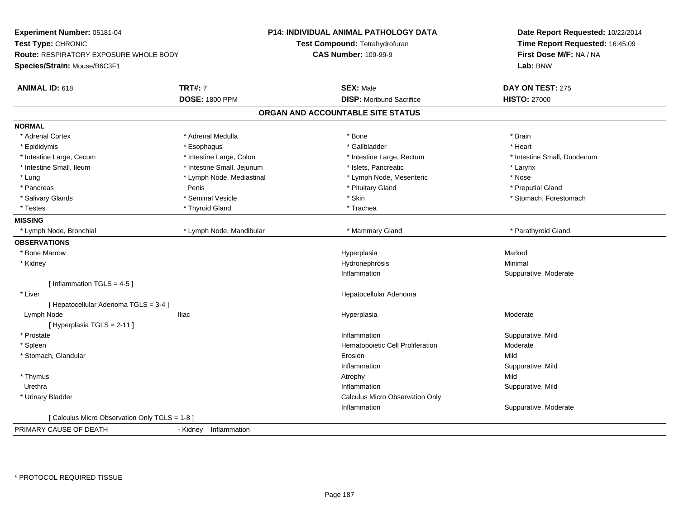| Experiment Number: 05181-04                    |                            | <b>P14: INDIVIDUAL ANIMAL PATHOLOGY DATA</b> | Date Report Requested: 10/22/2014 |
|------------------------------------------------|----------------------------|----------------------------------------------|-----------------------------------|
| Test Type: CHRONIC                             |                            | Test Compound: Tetrahydrofuran               | Time Report Requested: 16:45:09   |
| <b>Route: RESPIRATORY EXPOSURE WHOLE BODY</b>  |                            | <b>CAS Number: 109-99-9</b>                  | First Dose M/F: NA / NA           |
| Species/Strain: Mouse/B6C3F1                   |                            |                                              | Lab: BNW                          |
|                                                |                            |                                              |                                   |
| <b>ANIMAL ID: 618</b>                          | <b>TRT#: 7</b>             | <b>SEX: Male</b>                             | DAY ON TEST: 275                  |
|                                                | <b>DOSE: 1800 PPM</b>      | <b>DISP:</b> Moribund Sacrifice              | <b>HISTO: 27000</b>               |
|                                                |                            | ORGAN AND ACCOUNTABLE SITE STATUS            |                                   |
| <b>NORMAL</b>                                  |                            |                                              |                                   |
| * Adrenal Cortex                               | * Adrenal Medulla          | * Bone                                       | * Brain                           |
| * Epididymis                                   | * Esophagus                | * Gallbladder                                | * Heart                           |
| * Intestine Large, Cecum                       | * Intestine Large, Colon   | * Intestine Large, Rectum                    | * Intestine Small, Duodenum       |
| * Intestine Small, Ileum                       | * Intestine Small, Jejunum | * Islets, Pancreatic                         | * Larynx                          |
| * Lung                                         | * Lymph Node, Mediastinal  | * Lymph Node, Mesenteric                     | * Nose                            |
| * Pancreas                                     | Penis                      | * Pituitary Gland                            | * Preputial Gland                 |
| * Salivary Glands                              | * Seminal Vesicle          | * Skin                                       | * Stomach, Forestomach            |
| * Testes                                       | * Thyroid Gland            | * Trachea                                    |                                   |
| <b>MISSING</b>                                 |                            |                                              |                                   |
| * Lymph Node, Bronchial                        | * Lymph Node, Mandibular   | * Mammary Gland                              | * Parathyroid Gland               |
| <b>OBSERVATIONS</b>                            |                            |                                              |                                   |
| * Bone Marrow                                  |                            | Hyperplasia                                  | Marked                            |
| * Kidney                                       |                            | Hydronephrosis                               | Minimal                           |
|                                                |                            | Inflammation                                 | Suppurative, Moderate             |
| [Inflammation TGLS = $4-5$ ]                   |                            |                                              |                                   |
| * Liver                                        |                            | Hepatocellular Adenoma                       |                                   |
| [ Hepatocellular Adenoma TGLS = 3-4 ]          |                            |                                              |                                   |
| Lymph Node                                     | <b>Iliac</b>               | Hyperplasia                                  | Moderate                          |
| [ Hyperplasia TGLS = 2-11 ]                    |                            |                                              |                                   |
| * Prostate                                     |                            | Inflammation                                 | Suppurative, Mild                 |
| * Spleen                                       |                            | Hematopoietic Cell Proliferation             | Moderate                          |
| * Stomach, Glandular                           |                            | Erosion                                      | Mild                              |
|                                                |                            | Inflammation                                 | Suppurative, Mild                 |
| * Thymus                                       |                            | Atrophy                                      | Mild                              |
| Urethra                                        |                            | Inflammation                                 | Suppurative, Mild                 |
| * Urinary Bladder                              |                            | Calculus Micro Observation Only              |                                   |
|                                                |                            | Inflammation                                 | Suppurative, Moderate             |
| [ Calculus Micro Observation Only TGLS = 1-8 ] |                            |                                              |                                   |
| PRIMARY CAUSE OF DEATH                         | - Kidney Inflammation      |                                              |                                   |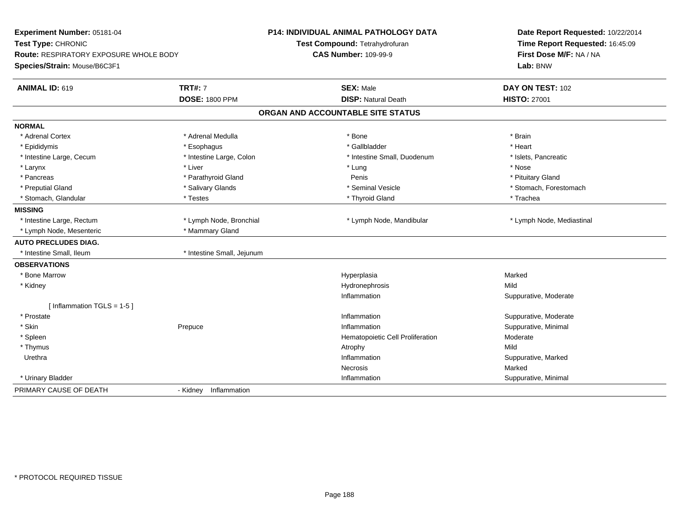| Experiment Number: 05181-04<br>Test Type: CHRONIC<br><b>Route: RESPIRATORY EXPOSURE WHOLE BODY</b><br>Species/Strain: Mouse/B6C3F1 |                                         | <b>P14: INDIVIDUAL ANIMAL PATHOLOGY DATA</b><br>Test Compound: Tetrahydrofuran<br><b>CAS Number: 109-99-9</b> | Date Report Requested: 10/22/2014<br>Time Report Requested: 16:45:09<br>First Dose M/F: NA / NA<br>Lab: BNW |
|------------------------------------------------------------------------------------------------------------------------------------|-----------------------------------------|---------------------------------------------------------------------------------------------------------------|-------------------------------------------------------------------------------------------------------------|
| <b>ANIMAL ID: 619</b>                                                                                                              | <b>TRT#: 7</b><br><b>DOSE: 1800 PPM</b> | <b>SEX: Male</b><br><b>DISP: Natural Death</b>                                                                | DAY ON TEST: 102<br><b>HISTO: 27001</b>                                                                     |
|                                                                                                                                    |                                         |                                                                                                               |                                                                                                             |
|                                                                                                                                    |                                         | ORGAN AND ACCOUNTABLE SITE STATUS                                                                             |                                                                                                             |
| <b>NORMAL</b>                                                                                                                      |                                         |                                                                                                               |                                                                                                             |
| * Adrenal Cortex                                                                                                                   | * Adrenal Medulla                       | * Bone                                                                                                        | * Brain                                                                                                     |
| * Epididymis                                                                                                                       | * Esophagus                             | * Gallbladder                                                                                                 | * Heart                                                                                                     |
| * Intestine Large, Cecum                                                                                                           | * Intestine Large, Colon                | * Intestine Small, Duodenum                                                                                   | * Islets, Pancreatic                                                                                        |
| * Larynx                                                                                                                           | * Liver                                 | * Lung                                                                                                        | * Nose                                                                                                      |
| * Pancreas                                                                                                                         | * Parathyroid Gland                     | Penis                                                                                                         | * Pituitary Gland                                                                                           |
| * Preputial Gland                                                                                                                  | * Salivary Glands                       | * Seminal Vesicle                                                                                             | * Stomach, Forestomach                                                                                      |
| * Stomach, Glandular                                                                                                               | * Testes                                | * Thyroid Gland                                                                                               | * Trachea                                                                                                   |
| <b>MISSING</b>                                                                                                                     |                                         |                                                                                                               |                                                                                                             |
| * Intestine Large, Rectum                                                                                                          | * Lymph Node, Bronchial                 | * Lymph Node, Mandibular                                                                                      | * Lymph Node, Mediastinal                                                                                   |
| * Lymph Node, Mesenteric                                                                                                           | * Mammary Gland                         |                                                                                                               |                                                                                                             |
| <b>AUTO PRECLUDES DIAG.</b>                                                                                                        |                                         |                                                                                                               |                                                                                                             |
| * Intestine Small, Ileum                                                                                                           | * Intestine Small, Jejunum              |                                                                                                               |                                                                                                             |
| <b>OBSERVATIONS</b>                                                                                                                |                                         |                                                                                                               |                                                                                                             |
| * Bone Marrow                                                                                                                      |                                         | Hyperplasia                                                                                                   | Marked                                                                                                      |
| * Kidney                                                                                                                           |                                         | Hydronephrosis                                                                                                | Mild                                                                                                        |
|                                                                                                                                    |                                         | Inflammation                                                                                                  | Suppurative, Moderate                                                                                       |
| [Inflammation TGLS = 1-5]                                                                                                          |                                         |                                                                                                               |                                                                                                             |
| * Prostate                                                                                                                         |                                         | Inflammation                                                                                                  | Suppurative, Moderate                                                                                       |
| * Skin                                                                                                                             | Prepuce                                 | Inflammation                                                                                                  | Suppurative, Minimal                                                                                        |
| * Spleen                                                                                                                           |                                         | Hematopoietic Cell Proliferation                                                                              | Moderate                                                                                                    |
| * Thymus                                                                                                                           |                                         | Atrophy                                                                                                       | Mild                                                                                                        |
| Urethra                                                                                                                            |                                         | Inflammation                                                                                                  | Suppurative, Marked                                                                                         |
|                                                                                                                                    |                                         | <b>Necrosis</b>                                                                                               | Marked                                                                                                      |
| * Urinary Bladder                                                                                                                  |                                         | Inflammation                                                                                                  | Suppurative, Minimal                                                                                        |
| PRIMARY CAUSE OF DEATH                                                                                                             | Inflammation<br>- Kidney                |                                                                                                               |                                                                                                             |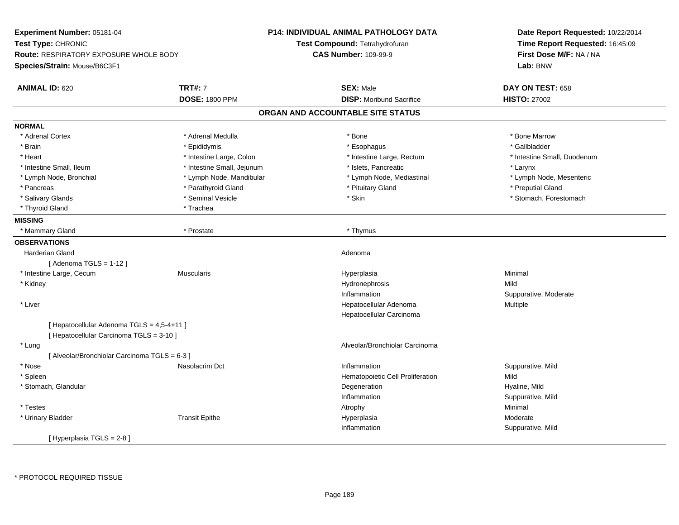|                                               |                                                                                                                                                                                                                                     | Date Report Requested: 10/22/2014                                                                                                                                                                                                                                                                                                                                                          |  |
|-----------------------------------------------|-------------------------------------------------------------------------------------------------------------------------------------------------------------------------------------------------------------------------------------|--------------------------------------------------------------------------------------------------------------------------------------------------------------------------------------------------------------------------------------------------------------------------------------------------------------------------------------------------------------------------------------------|--|
|                                               |                                                                                                                                                                                                                                     | Time Report Requested: 16:45:09                                                                                                                                                                                                                                                                                                                                                            |  |
| <b>Route: RESPIRATORY EXPOSURE WHOLE BODY</b> | <b>CAS Number: 109-99-9</b>                                                                                                                                                                                                         | First Dose M/F: NA / NA<br>Lab: BNW                                                                                                                                                                                                                                                                                                                                                        |  |
|                                               |                                                                                                                                                                                                                                     |                                                                                                                                                                                                                                                                                                                                                                                            |  |
| <b>TRT#: 7</b>                                | <b>SEX: Male</b>                                                                                                                                                                                                                    | DAY ON TEST: 658                                                                                                                                                                                                                                                                                                                                                                           |  |
| <b>DOSE: 1800 PPM</b>                         | <b>DISP:</b> Moribund Sacrifice                                                                                                                                                                                                     | <b>HISTO: 27002</b>                                                                                                                                                                                                                                                                                                                                                                        |  |
|                                               |                                                                                                                                                                                                                                     |                                                                                                                                                                                                                                                                                                                                                                                            |  |
|                                               |                                                                                                                                                                                                                                     |                                                                                                                                                                                                                                                                                                                                                                                            |  |
| * Adrenal Medulla                             | * Bone                                                                                                                                                                                                                              | * Bone Marrow                                                                                                                                                                                                                                                                                                                                                                              |  |
| * Epididymis                                  | * Esophagus                                                                                                                                                                                                                         | * Gallbladder                                                                                                                                                                                                                                                                                                                                                                              |  |
| * Intestine Large, Colon                      | * Intestine Large, Rectum                                                                                                                                                                                                           | * Intestine Small, Duodenum                                                                                                                                                                                                                                                                                                                                                                |  |
| * Intestine Small, Jejunum                    | * Islets, Pancreatic                                                                                                                                                                                                                | * Larynx                                                                                                                                                                                                                                                                                                                                                                                   |  |
|                                               |                                                                                                                                                                                                                                     | * Lymph Node, Mesenteric                                                                                                                                                                                                                                                                                                                                                                   |  |
|                                               |                                                                                                                                                                                                                                     | * Preputial Gland                                                                                                                                                                                                                                                                                                                                                                          |  |
| * Seminal Vesicle                             | * Skin                                                                                                                                                                                                                              | * Stomach, Forestomach                                                                                                                                                                                                                                                                                                                                                                     |  |
| * Trachea                                     |                                                                                                                                                                                                                                     |                                                                                                                                                                                                                                                                                                                                                                                            |  |
|                                               |                                                                                                                                                                                                                                     |                                                                                                                                                                                                                                                                                                                                                                                            |  |
| * Prostate                                    | * Thymus                                                                                                                                                                                                                            |                                                                                                                                                                                                                                                                                                                                                                                            |  |
|                                               |                                                                                                                                                                                                                                     |                                                                                                                                                                                                                                                                                                                                                                                            |  |
|                                               | Adenoma                                                                                                                                                                                                                             |                                                                                                                                                                                                                                                                                                                                                                                            |  |
|                                               |                                                                                                                                                                                                                                     |                                                                                                                                                                                                                                                                                                                                                                                            |  |
| <b>Muscularis</b>                             |                                                                                                                                                                                                                                     | Minimal                                                                                                                                                                                                                                                                                                                                                                                    |  |
|                                               |                                                                                                                                                                                                                                     | Mild                                                                                                                                                                                                                                                                                                                                                                                       |  |
|                                               | Inflammation                                                                                                                                                                                                                        | Suppurative, Moderate                                                                                                                                                                                                                                                                                                                                                                      |  |
|                                               |                                                                                                                                                                                                                                     | Multiple                                                                                                                                                                                                                                                                                                                                                                                   |  |
|                                               |                                                                                                                                                                                                                                     |                                                                                                                                                                                                                                                                                                                                                                                            |  |
|                                               |                                                                                                                                                                                                                                     |                                                                                                                                                                                                                                                                                                                                                                                            |  |
|                                               |                                                                                                                                                                                                                                     |                                                                                                                                                                                                                                                                                                                                                                                            |  |
|                                               | Alveolar/Bronchiolar Carcinoma                                                                                                                                                                                                      |                                                                                                                                                                                                                                                                                                                                                                                            |  |
|                                               |                                                                                                                                                                                                                                     |                                                                                                                                                                                                                                                                                                                                                                                            |  |
|                                               |                                                                                                                                                                                                                                     | Suppurative, Mild                                                                                                                                                                                                                                                                                                                                                                          |  |
|                                               |                                                                                                                                                                                                                                     | Mild                                                                                                                                                                                                                                                                                                                                                                                       |  |
|                                               |                                                                                                                                                                                                                                     | Hyaline, Mild                                                                                                                                                                                                                                                                                                                                                                              |  |
|                                               |                                                                                                                                                                                                                                     | Suppurative, Mild                                                                                                                                                                                                                                                                                                                                                                          |  |
|                                               |                                                                                                                                                                                                                                     | Minimal                                                                                                                                                                                                                                                                                                                                                                                    |  |
|                                               |                                                                                                                                                                                                                                     | Moderate                                                                                                                                                                                                                                                                                                                                                                                   |  |
|                                               |                                                                                                                                                                                                                                     | Suppurative, Mild                                                                                                                                                                                                                                                                                                                                                                          |  |
|                                               |                                                                                                                                                                                                                                     |                                                                                                                                                                                                                                                                                                                                                                                            |  |
|                                               | * Lymph Node, Mandibular<br>* Parathyroid Gland<br>[ Hepatocellular Adenoma TGLS = 4,5-4+11 ]<br>[ Hepatocellular Carcinoma TGLS = 3-10 ]<br>[Alveolar/Bronchiolar Carcinoma TGLS = 6-3]<br>Nasolacrim Dct<br><b>Transit Epithe</b> | <b>P14: INDIVIDUAL ANIMAL PATHOLOGY DATA</b><br>Test Compound: Tetrahydrofuran<br>ORGAN AND ACCOUNTABLE SITE STATUS<br>* Lymph Node, Mediastinal<br>* Pituitary Gland<br>Hyperplasia<br>Hydronephrosis<br>Hepatocellular Adenoma<br>Hepatocellular Carcinoma<br>Inflammation<br>Hematopoietic Cell Proliferation<br>Degeneration<br>Inflammation<br>Atrophy<br>Hyperplasia<br>Inflammation |  |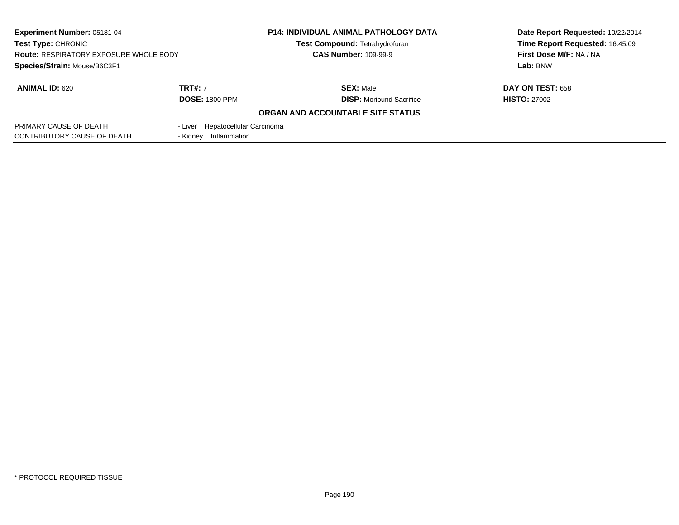| Experiment Number: 05181-04<br><b>Test Type: CHRONIC</b><br><b>Route: RESPIRATORY EXPOSURE WHOLE BODY</b> |                                  | <b>P14: INDIVIDUAL ANIMAL PATHOLOGY DATA</b> | Date Report Requested: 10/22/2014 |  |
|-----------------------------------------------------------------------------------------------------------|----------------------------------|----------------------------------------------|-----------------------------------|--|
|                                                                                                           |                                  | <b>Test Compound: Tetrahydrofuran</b>        | Time Report Requested: 16:45:09   |  |
|                                                                                                           |                                  | <b>CAS Number: 109-99-9</b>                  | First Dose M/F: NA / NA           |  |
| Species/Strain: Mouse/B6C3F1                                                                              |                                  |                                              | Lab: BNW                          |  |
| <b>ANIMAL ID: 620</b>                                                                                     | <b>TRT#: 7</b>                   | <b>SEX: Male</b>                             | <b>DAY ON TEST: 658</b>           |  |
|                                                                                                           | <b>DOSE: 1800 PPM</b>            | <b>DISP:</b> Moribund Sacrifice              | <b>HISTO: 27002</b>               |  |
|                                                                                                           |                                  | ORGAN AND ACCOUNTABLE SITE STATUS            |                                   |  |
| PRIMARY CAUSE OF DEATH                                                                                    | - Liver Hepatocellular Carcinoma |                                              |                                   |  |
| CONTRIBUTORY CAUSE OF DEATH                                                                               | Inflammation<br>- Kidnev         |                                              |                                   |  |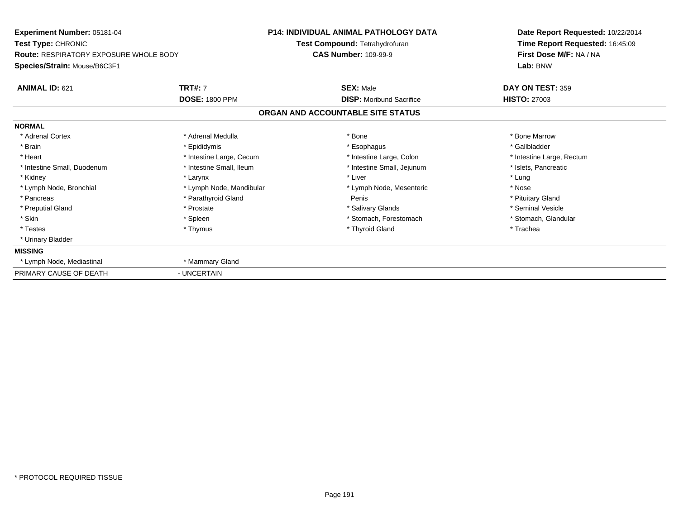| <b>Experiment Number: 05181-04</b><br><b>Test Type: CHRONIC</b><br><b>Route: RESPIRATORY EXPOSURE WHOLE BODY</b><br>Species/Strain: Mouse/B6C3F1 |                          | <b>P14: INDIVIDUAL ANIMAL PATHOLOGY DATA</b>                  | Date Report Requested: 10/22/2014                                      |
|--------------------------------------------------------------------------------------------------------------------------------------------------|--------------------------|---------------------------------------------------------------|------------------------------------------------------------------------|
|                                                                                                                                                  |                          | Test Compound: Tetrahydrofuran<br><b>CAS Number: 109-99-9</b> | Time Report Requested: 16:45:09<br>First Dose M/F: NA / NA<br>Lab: BNW |
| <b>ANIMAL ID: 621</b>                                                                                                                            | <b>TRT#: 7</b>           | <b>SEX: Male</b>                                              | DAY ON TEST: 359                                                       |
|                                                                                                                                                  | <b>DOSE: 1800 PPM</b>    | <b>DISP:</b> Moribund Sacrifice                               | <b>HISTO: 27003</b>                                                    |
|                                                                                                                                                  |                          | ORGAN AND ACCOUNTABLE SITE STATUS                             |                                                                        |
| <b>NORMAL</b>                                                                                                                                    |                          |                                                               |                                                                        |
| * Adrenal Cortex                                                                                                                                 | * Adrenal Medulla        | * Bone                                                        | * Bone Marrow                                                          |
| * Brain                                                                                                                                          | * Epididymis             | * Esophagus                                                   | * Gallbladder                                                          |
| * Heart                                                                                                                                          | * Intestine Large, Cecum | * Intestine Large, Colon                                      | * Intestine Large, Rectum                                              |
| * Intestine Small, Duodenum                                                                                                                      | * Intestine Small, Ileum | * Intestine Small, Jejunum                                    | * Islets, Pancreatic                                                   |
| * Kidney                                                                                                                                         | * Larynx                 | * Liver                                                       | * Lung                                                                 |
| * Lymph Node, Bronchial                                                                                                                          | * Lymph Node, Mandibular | * Lymph Node, Mesenteric                                      | * Nose                                                                 |
| * Pancreas                                                                                                                                       | * Parathyroid Gland      | Penis                                                         | * Pituitary Gland                                                      |
| * Preputial Gland                                                                                                                                | * Prostate               | * Salivary Glands                                             | * Seminal Vesicle                                                      |
| * Skin                                                                                                                                           | * Spleen                 | * Stomach, Forestomach                                        | * Stomach, Glandular                                                   |
| * Testes                                                                                                                                         | * Thymus                 | * Thyroid Gland                                               | * Trachea                                                              |
| * Urinary Bladder                                                                                                                                |                          |                                                               |                                                                        |
| <b>MISSING</b>                                                                                                                                   |                          |                                                               |                                                                        |
| * Lymph Node, Mediastinal                                                                                                                        | * Mammary Gland          |                                                               |                                                                        |
| PRIMARY CAUSE OF DEATH                                                                                                                           | - UNCERTAIN              |                                                               |                                                                        |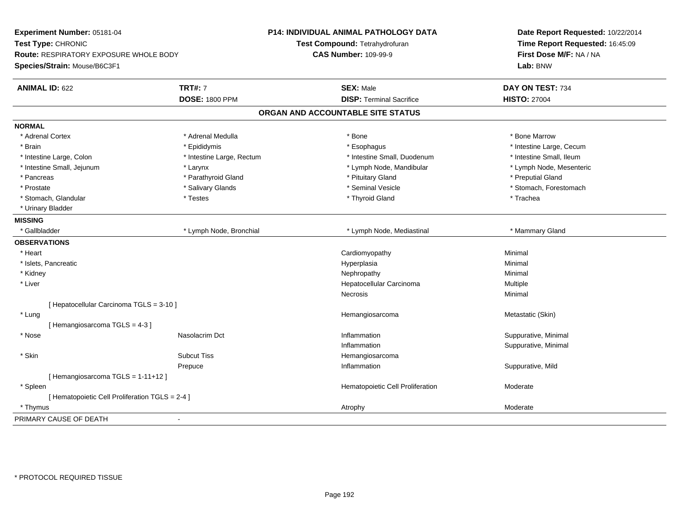| Time Report Requested: 16:45:09<br>Test Type: CHRONIC<br>Test Compound: Tetrahydrofuran<br><b>CAS Number: 109-99-9</b><br>First Dose M/F: NA / NA<br><b>Route: RESPIRATORY EXPOSURE WHOLE BODY</b><br>Lab: BNW<br>Species/Strain: Mouse/B6C3F1<br><b>TRT#: 7</b><br><b>SEX: Male</b><br>DAY ON TEST: 734<br><b>ANIMAL ID: 622</b><br><b>DOSE: 1800 PPM</b><br><b>DISP: Terminal Sacrifice</b><br><b>HISTO: 27004</b><br>ORGAN AND ACCOUNTABLE SITE STATUS<br><b>NORMAL</b><br>* Adrenal Cortex<br>* Adrenal Medulla<br>* Bone<br>* Bone Marrow<br>* Brain<br>* Epididymis<br>* Intestine Large, Cecum<br>* Esophagus<br>* Intestine Small, Duodenum<br>* Intestine Small, Ileum<br>* Intestine Large, Colon<br>* Intestine Large, Rectum<br>* Intestine Small, Jejunum<br>* Lymph Node, Mesenteric<br>* Larynx<br>* Lymph Node, Mandibular<br>* Pituitary Gland<br>* Preputial Gland<br>* Pancreas<br>* Parathyroid Gland<br>* Prostate<br>* Salivary Glands<br>* Seminal Vesicle<br>* Stomach, Forestomach<br>* Stomach, Glandular<br>* Testes<br>* Thyroid Gland<br>* Trachea<br>* Urinary Bladder<br><b>MISSING</b><br>* Gallbladder<br>* Lymph Node, Bronchial<br>* Lymph Node, Mediastinal<br>* Mammary Gland<br><b>OBSERVATIONS</b><br>* Heart<br>Cardiomyopathy<br>Minimal<br>* Islets, Pancreatic<br>Hyperplasia<br>Minimal<br>* Kidney<br>Nephropathy<br>Minimal<br>* Liver<br>Hepatocellular Carcinoma<br>Multiple<br>Necrosis<br>Minimal<br>[ Hepatocellular Carcinoma TGLS = 3-10 ]<br>* Lung<br>Hemangiosarcoma<br>Metastatic (Skin)<br>[Hemangiosarcoma TGLS = 4-3]<br>Suppurative, Minimal<br>* Nose<br>Nasolacrim Dct<br>Inflammation<br>Inflammation<br>Suppurative, Minimal<br>* Skin<br><b>Subcut Tiss</b><br>Hemangiosarcoma<br>Suppurative, Mild<br>Prepuce<br>Inflammation<br>[Hemangiosarcoma TGLS = 1-11+12]<br>Hematopoietic Cell Proliferation<br>Moderate<br>* Spleen<br>[ Hematopoietic Cell Proliferation TGLS = 2-4 ]<br>Moderate<br>* Thymus<br>Atrophy<br>PRIMARY CAUSE OF DEATH<br>$\blacksquare$ | Experiment Number: 05181-04 | <b>P14: INDIVIDUAL ANIMAL PATHOLOGY DATA</b> | Date Report Requested: 10/22/2014 |
|------------------------------------------------------------------------------------------------------------------------------------------------------------------------------------------------------------------------------------------------------------------------------------------------------------------------------------------------------------------------------------------------------------------------------------------------------------------------------------------------------------------------------------------------------------------------------------------------------------------------------------------------------------------------------------------------------------------------------------------------------------------------------------------------------------------------------------------------------------------------------------------------------------------------------------------------------------------------------------------------------------------------------------------------------------------------------------------------------------------------------------------------------------------------------------------------------------------------------------------------------------------------------------------------------------------------------------------------------------------------------------------------------------------------------------------------------------------------------------------------------------------------------------------------------------------------------------------------------------------------------------------------------------------------------------------------------------------------------------------------------------------------------------------------------------------------------------------------------------------------------------------------------------------------------------------------------------------------------------------------------------------------------------|-----------------------------|----------------------------------------------|-----------------------------------|
|                                                                                                                                                                                                                                                                                                                                                                                                                                                                                                                                                                                                                                                                                                                                                                                                                                                                                                                                                                                                                                                                                                                                                                                                                                                                                                                                                                                                                                                                                                                                                                                                                                                                                                                                                                                                                                                                                                                                                                                                                                    |                             |                                              |                                   |
|                                                                                                                                                                                                                                                                                                                                                                                                                                                                                                                                                                                                                                                                                                                                                                                                                                                                                                                                                                                                                                                                                                                                                                                                                                                                                                                                                                                                                                                                                                                                                                                                                                                                                                                                                                                                                                                                                                                                                                                                                                    |                             |                                              |                                   |
|                                                                                                                                                                                                                                                                                                                                                                                                                                                                                                                                                                                                                                                                                                                                                                                                                                                                                                                                                                                                                                                                                                                                                                                                                                                                                                                                                                                                                                                                                                                                                                                                                                                                                                                                                                                                                                                                                                                                                                                                                                    |                             |                                              |                                   |
|                                                                                                                                                                                                                                                                                                                                                                                                                                                                                                                                                                                                                                                                                                                                                                                                                                                                                                                                                                                                                                                                                                                                                                                                                                                                                                                                                                                                                                                                                                                                                                                                                                                                                                                                                                                                                                                                                                                                                                                                                                    |                             |                                              |                                   |
|                                                                                                                                                                                                                                                                                                                                                                                                                                                                                                                                                                                                                                                                                                                                                                                                                                                                                                                                                                                                                                                                                                                                                                                                                                                                                                                                                                                                                                                                                                                                                                                                                                                                                                                                                                                                                                                                                                                                                                                                                                    |                             |                                              |                                   |
|                                                                                                                                                                                                                                                                                                                                                                                                                                                                                                                                                                                                                                                                                                                                                                                                                                                                                                                                                                                                                                                                                                                                                                                                                                                                                                                                                                                                                                                                                                                                                                                                                                                                                                                                                                                                                                                                                                                                                                                                                                    |                             |                                              |                                   |
|                                                                                                                                                                                                                                                                                                                                                                                                                                                                                                                                                                                                                                                                                                                                                                                                                                                                                                                                                                                                                                                                                                                                                                                                                                                                                                                                                                                                                                                                                                                                                                                                                                                                                                                                                                                                                                                                                                                                                                                                                                    |                             |                                              |                                   |
|                                                                                                                                                                                                                                                                                                                                                                                                                                                                                                                                                                                                                                                                                                                                                                                                                                                                                                                                                                                                                                                                                                                                                                                                                                                                                                                                                                                                                                                                                                                                                                                                                                                                                                                                                                                                                                                                                                                                                                                                                                    |                             |                                              |                                   |
|                                                                                                                                                                                                                                                                                                                                                                                                                                                                                                                                                                                                                                                                                                                                                                                                                                                                                                                                                                                                                                                                                                                                                                                                                                                                                                                                                                                                                                                                                                                                                                                                                                                                                                                                                                                                                                                                                                                                                                                                                                    |                             |                                              |                                   |
|                                                                                                                                                                                                                                                                                                                                                                                                                                                                                                                                                                                                                                                                                                                                                                                                                                                                                                                                                                                                                                                                                                                                                                                                                                                                                                                                                                                                                                                                                                                                                                                                                                                                                                                                                                                                                                                                                                                                                                                                                                    |                             |                                              |                                   |
|                                                                                                                                                                                                                                                                                                                                                                                                                                                                                                                                                                                                                                                                                                                                                                                                                                                                                                                                                                                                                                                                                                                                                                                                                                                                                                                                                                                                                                                                                                                                                                                                                                                                                                                                                                                                                                                                                                                                                                                                                                    |                             |                                              |                                   |
|                                                                                                                                                                                                                                                                                                                                                                                                                                                                                                                                                                                                                                                                                                                                                                                                                                                                                                                                                                                                                                                                                                                                                                                                                                                                                                                                                                                                                                                                                                                                                                                                                                                                                                                                                                                                                                                                                                                                                                                                                                    |                             |                                              |                                   |
|                                                                                                                                                                                                                                                                                                                                                                                                                                                                                                                                                                                                                                                                                                                                                                                                                                                                                                                                                                                                                                                                                                                                                                                                                                                                                                                                                                                                                                                                                                                                                                                                                                                                                                                                                                                                                                                                                                                                                                                                                                    |                             |                                              |                                   |
|                                                                                                                                                                                                                                                                                                                                                                                                                                                                                                                                                                                                                                                                                                                                                                                                                                                                                                                                                                                                                                                                                                                                                                                                                                                                                                                                                                                                                                                                                                                                                                                                                                                                                                                                                                                                                                                                                                                                                                                                                                    |                             |                                              |                                   |
|                                                                                                                                                                                                                                                                                                                                                                                                                                                                                                                                                                                                                                                                                                                                                                                                                                                                                                                                                                                                                                                                                                                                                                                                                                                                                                                                                                                                                                                                                                                                                                                                                                                                                                                                                                                                                                                                                                                                                                                                                                    |                             |                                              |                                   |
|                                                                                                                                                                                                                                                                                                                                                                                                                                                                                                                                                                                                                                                                                                                                                                                                                                                                                                                                                                                                                                                                                                                                                                                                                                                                                                                                                                                                                                                                                                                                                                                                                                                                                                                                                                                                                                                                                                                                                                                                                                    |                             |                                              |                                   |
|                                                                                                                                                                                                                                                                                                                                                                                                                                                                                                                                                                                                                                                                                                                                                                                                                                                                                                                                                                                                                                                                                                                                                                                                                                                                                                                                                                                                                                                                                                                                                                                                                                                                                                                                                                                                                                                                                                                                                                                                                                    |                             |                                              |                                   |
|                                                                                                                                                                                                                                                                                                                                                                                                                                                                                                                                                                                                                                                                                                                                                                                                                                                                                                                                                                                                                                                                                                                                                                                                                                                                                                                                                                                                                                                                                                                                                                                                                                                                                                                                                                                                                                                                                                                                                                                                                                    |                             |                                              |                                   |
|                                                                                                                                                                                                                                                                                                                                                                                                                                                                                                                                                                                                                                                                                                                                                                                                                                                                                                                                                                                                                                                                                                                                                                                                                                                                                                                                                                                                                                                                                                                                                                                                                                                                                                                                                                                                                                                                                                                                                                                                                                    |                             |                                              |                                   |
|                                                                                                                                                                                                                                                                                                                                                                                                                                                                                                                                                                                                                                                                                                                                                                                                                                                                                                                                                                                                                                                                                                                                                                                                                                                                                                                                                                                                                                                                                                                                                                                                                                                                                                                                                                                                                                                                                                                                                                                                                                    |                             |                                              |                                   |
|                                                                                                                                                                                                                                                                                                                                                                                                                                                                                                                                                                                                                                                                                                                                                                                                                                                                                                                                                                                                                                                                                                                                                                                                                                                                                                                                                                                                                                                                                                                                                                                                                                                                                                                                                                                                                                                                                                                                                                                                                                    |                             |                                              |                                   |
|                                                                                                                                                                                                                                                                                                                                                                                                                                                                                                                                                                                                                                                                                                                                                                                                                                                                                                                                                                                                                                                                                                                                                                                                                                                                                                                                                                                                                                                                                                                                                                                                                                                                                                                                                                                                                                                                                                                                                                                                                                    |                             |                                              |                                   |
|                                                                                                                                                                                                                                                                                                                                                                                                                                                                                                                                                                                                                                                                                                                                                                                                                                                                                                                                                                                                                                                                                                                                                                                                                                                                                                                                                                                                                                                                                                                                                                                                                                                                                                                                                                                                                                                                                                                                                                                                                                    |                             |                                              |                                   |
|                                                                                                                                                                                                                                                                                                                                                                                                                                                                                                                                                                                                                                                                                                                                                                                                                                                                                                                                                                                                                                                                                                                                                                                                                                                                                                                                                                                                                                                                                                                                                                                                                                                                                                                                                                                                                                                                                                                                                                                                                                    |                             |                                              |                                   |
|                                                                                                                                                                                                                                                                                                                                                                                                                                                                                                                                                                                                                                                                                                                                                                                                                                                                                                                                                                                                                                                                                                                                                                                                                                                                                                                                                                                                                                                                                                                                                                                                                                                                                                                                                                                                                                                                                                                                                                                                                                    |                             |                                              |                                   |
|                                                                                                                                                                                                                                                                                                                                                                                                                                                                                                                                                                                                                                                                                                                                                                                                                                                                                                                                                                                                                                                                                                                                                                                                                                                                                                                                                                                                                                                                                                                                                                                                                                                                                                                                                                                                                                                                                                                                                                                                                                    |                             |                                              |                                   |
|                                                                                                                                                                                                                                                                                                                                                                                                                                                                                                                                                                                                                                                                                                                                                                                                                                                                                                                                                                                                                                                                                                                                                                                                                                                                                                                                                                                                                                                                                                                                                                                                                                                                                                                                                                                                                                                                                                                                                                                                                                    |                             |                                              |                                   |
|                                                                                                                                                                                                                                                                                                                                                                                                                                                                                                                                                                                                                                                                                                                                                                                                                                                                                                                                                                                                                                                                                                                                                                                                                                                                                                                                                                                                                                                                                                                                                                                                                                                                                                                                                                                                                                                                                                                                                                                                                                    |                             |                                              |                                   |
|                                                                                                                                                                                                                                                                                                                                                                                                                                                                                                                                                                                                                                                                                                                                                                                                                                                                                                                                                                                                                                                                                                                                                                                                                                                                                                                                                                                                                                                                                                                                                                                                                                                                                                                                                                                                                                                                                                                                                                                                                                    |                             |                                              |                                   |
|                                                                                                                                                                                                                                                                                                                                                                                                                                                                                                                                                                                                                                                                                                                                                                                                                                                                                                                                                                                                                                                                                                                                                                                                                                                                                                                                                                                                                                                                                                                                                                                                                                                                                                                                                                                                                                                                                                                                                                                                                                    |                             |                                              |                                   |
|                                                                                                                                                                                                                                                                                                                                                                                                                                                                                                                                                                                                                                                                                                                                                                                                                                                                                                                                                                                                                                                                                                                                                                                                                                                                                                                                                                                                                                                                                                                                                                                                                                                                                                                                                                                                                                                                                                                                                                                                                                    |                             |                                              |                                   |
|                                                                                                                                                                                                                                                                                                                                                                                                                                                                                                                                                                                                                                                                                                                                                                                                                                                                                                                                                                                                                                                                                                                                                                                                                                                                                                                                                                                                                                                                                                                                                                                                                                                                                                                                                                                                                                                                                                                                                                                                                                    |                             |                                              |                                   |
|                                                                                                                                                                                                                                                                                                                                                                                                                                                                                                                                                                                                                                                                                                                                                                                                                                                                                                                                                                                                                                                                                                                                                                                                                                                                                                                                                                                                                                                                                                                                                                                                                                                                                                                                                                                                                                                                                                                                                                                                                                    |                             |                                              |                                   |
|                                                                                                                                                                                                                                                                                                                                                                                                                                                                                                                                                                                                                                                                                                                                                                                                                                                                                                                                                                                                                                                                                                                                                                                                                                                                                                                                                                                                                                                                                                                                                                                                                                                                                                                                                                                                                                                                                                                                                                                                                                    |                             |                                              |                                   |
|                                                                                                                                                                                                                                                                                                                                                                                                                                                                                                                                                                                                                                                                                                                                                                                                                                                                                                                                                                                                                                                                                                                                                                                                                                                                                                                                                                                                                                                                                                                                                                                                                                                                                                                                                                                                                                                                                                                                                                                                                                    |                             |                                              |                                   |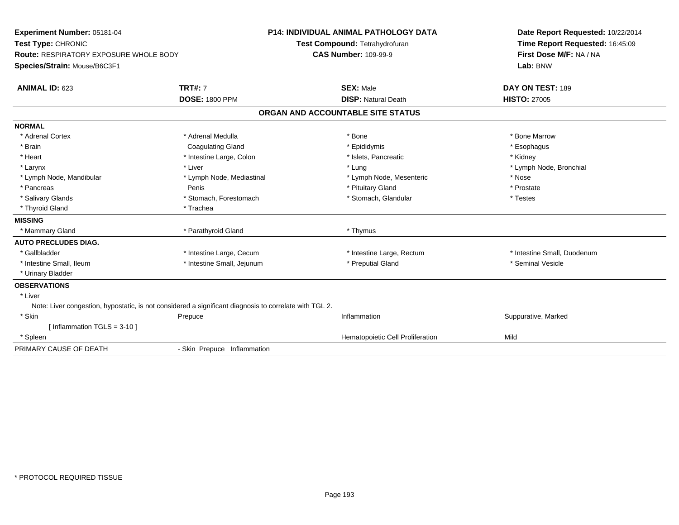| Experiment Number: 05181-04<br>Test Type: CHRONIC<br><b>Route: RESPIRATORY EXPOSURE WHOLE BODY</b><br>Species/Strain: Mouse/B6C3F1 |                                         | <b>P14: INDIVIDUAL ANIMAL PATHOLOGY DATA</b><br>Test Compound: Tetrahydrofuran<br><b>CAS Number: 109-99-9</b> | Date Report Requested: 10/22/2014<br>Time Report Requested: 16:45:09<br>First Dose M/F: NA / NA<br>Lab: BNW |
|------------------------------------------------------------------------------------------------------------------------------------|-----------------------------------------|---------------------------------------------------------------------------------------------------------------|-------------------------------------------------------------------------------------------------------------|
| <b>ANIMAL ID: 623</b>                                                                                                              | <b>TRT#: 7</b><br><b>DOSE: 1800 PPM</b> | <b>SEX: Male</b><br><b>DISP: Natural Death</b>                                                                | DAY ON TEST: 189<br><b>HISTO: 27005</b>                                                                     |
|                                                                                                                                    |                                         | ORGAN AND ACCOUNTABLE SITE STATUS                                                                             |                                                                                                             |
|                                                                                                                                    |                                         |                                                                                                               |                                                                                                             |
| <b>NORMAL</b><br>* Adrenal Cortex                                                                                                  | * Adrenal Medulla                       | * Bone                                                                                                        | * Bone Marrow                                                                                               |
| * Brain                                                                                                                            | <b>Coagulating Gland</b>                | * Epididymis                                                                                                  | * Esophagus                                                                                                 |
| * Heart                                                                                                                            | * Intestine Large, Colon                | * Islets, Pancreatic                                                                                          | * Kidney                                                                                                    |
| * Larynx                                                                                                                           | * Liver                                 | * Lung                                                                                                        | * Lymph Node, Bronchial                                                                                     |
| * Lymph Node, Mandibular                                                                                                           | * Lymph Node, Mediastinal               | * Lymph Node, Mesenteric                                                                                      | * Nose                                                                                                      |
| * Pancreas                                                                                                                         | Penis                                   | * Pituitary Gland                                                                                             | * Prostate                                                                                                  |
| * Salivary Glands                                                                                                                  | * Stomach, Forestomach                  | * Stomach, Glandular                                                                                          | * Testes                                                                                                    |
| * Thyroid Gland                                                                                                                    | * Trachea                               |                                                                                                               |                                                                                                             |
| <b>MISSING</b>                                                                                                                     |                                         |                                                                                                               |                                                                                                             |
| * Mammary Gland                                                                                                                    | * Parathyroid Gland                     | * Thymus                                                                                                      |                                                                                                             |
| <b>AUTO PRECLUDES DIAG.</b>                                                                                                        |                                         |                                                                                                               |                                                                                                             |
| * Gallbladder                                                                                                                      | * Intestine Large, Cecum                | * Intestine Large, Rectum                                                                                     | * Intestine Small, Duodenum                                                                                 |
| * Intestine Small, Ileum                                                                                                           | * Intestine Small, Jejunum              | * Preputial Gland                                                                                             | * Seminal Vesicle                                                                                           |
| * Urinary Bladder                                                                                                                  |                                         |                                                                                                               |                                                                                                             |
| <b>OBSERVATIONS</b>                                                                                                                |                                         |                                                                                                               |                                                                                                             |
| * Liver                                                                                                                            |                                         |                                                                                                               |                                                                                                             |
| Note: Liver congestion, hypostatic, is not considered a significant diagnosis to correlate with TGL 2.                             |                                         |                                                                                                               |                                                                                                             |
| * Skin                                                                                                                             | Prepuce                                 | Inflammation                                                                                                  | Suppurative, Marked                                                                                         |
| [Inflammation TGLS = $3-10$ ]                                                                                                      |                                         |                                                                                                               |                                                                                                             |
| * Spleen                                                                                                                           |                                         | Hematopoietic Cell Proliferation                                                                              | Mild                                                                                                        |
| PRIMARY CAUSE OF DEATH                                                                                                             | - Skin Prepuce Inflammation             |                                                                                                               |                                                                                                             |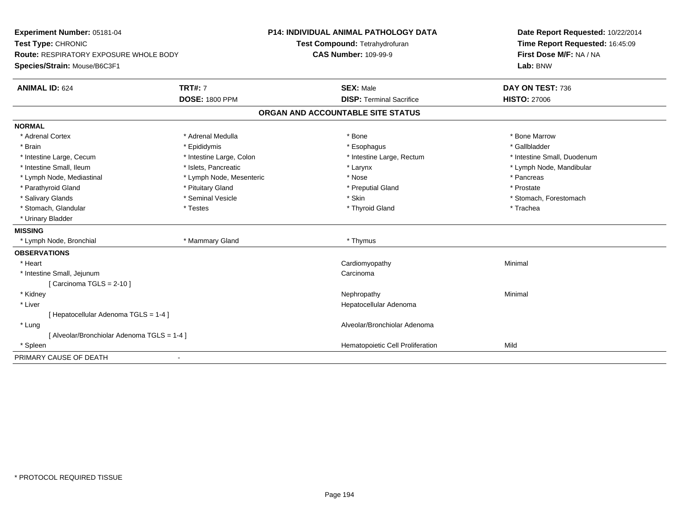| Experiment Number: 05181-04                                            |                          | <b>P14: INDIVIDUAL ANIMAL PATHOLOGY DATA</b> | Date Report Requested: 10/22/2014   |  |
|------------------------------------------------------------------------|--------------------------|----------------------------------------------|-------------------------------------|--|
| Test Type: CHRONIC                                                     |                          | Test Compound: Tetrahydrofuran               | Time Report Requested: 16:45:09     |  |
| Route: RESPIRATORY EXPOSURE WHOLE BODY<br>Species/Strain: Mouse/B6C3F1 |                          | <b>CAS Number: 109-99-9</b>                  | First Dose M/F: NA / NA<br>Lab: BNW |  |
|                                                                        |                          |                                              |                                     |  |
| <b>ANIMAL ID: 624</b>                                                  | <b>TRT#: 7</b>           | <b>SEX: Male</b>                             | DAY ON TEST: 736                    |  |
|                                                                        | <b>DOSE: 1800 PPM</b>    | <b>DISP: Terminal Sacrifice</b>              | <b>HISTO: 27006</b>                 |  |
|                                                                        |                          | ORGAN AND ACCOUNTABLE SITE STATUS            |                                     |  |
| <b>NORMAL</b>                                                          |                          |                                              |                                     |  |
| * Adrenal Cortex                                                       | * Adrenal Medulla        | * Bone                                       | * Bone Marrow                       |  |
| * Brain                                                                | * Epididymis             | * Esophagus                                  | * Gallbladder                       |  |
| * Intestine Large, Cecum                                               | * Intestine Large, Colon | * Intestine Large, Rectum                    | * Intestine Small, Duodenum         |  |
| * Intestine Small, Ileum                                               | * Islets, Pancreatic     | * Larynx                                     | * Lymph Node, Mandibular            |  |
| * Lymph Node, Mediastinal                                              | * Lymph Node, Mesenteric | * Nose                                       | * Pancreas                          |  |
| * Parathyroid Gland                                                    | * Pituitary Gland        | * Preputial Gland                            | * Prostate                          |  |
| * Salivary Glands                                                      | * Seminal Vesicle        | * Skin                                       | * Stomach, Forestomach              |  |
| * Stomach, Glandular                                                   | * Testes                 | * Thyroid Gland                              | * Trachea                           |  |
| * Urinary Bladder                                                      |                          |                                              |                                     |  |
| <b>MISSING</b>                                                         |                          |                                              |                                     |  |
| * Lymph Node, Bronchial                                                | * Mammary Gland          | * Thymus                                     |                                     |  |
| <b>OBSERVATIONS</b>                                                    |                          |                                              |                                     |  |
| * Heart                                                                |                          | Cardiomyopathy                               | Minimal                             |  |
| * Intestine Small, Jejunum                                             |                          | Carcinoma                                    |                                     |  |
| [Carcinoma TGLS = $2-10$ ]                                             |                          |                                              |                                     |  |
| * Kidney                                                               |                          | Nephropathy                                  | Minimal                             |  |
| * Liver                                                                |                          | Hepatocellular Adenoma                       |                                     |  |
| Hepatocellular Adenoma TGLS = 1-4 ]                                    |                          |                                              |                                     |  |
| * Lung                                                                 |                          | Alveolar/Bronchiolar Adenoma                 |                                     |  |
| [ Alveolar/Bronchiolar Adenoma TGLS = 1-4 ]                            |                          |                                              |                                     |  |
| * Spleen                                                               |                          | Hematopoietic Cell Proliferation             | Mild                                |  |
| PRIMARY CAUSE OF DEATH                                                 |                          |                                              |                                     |  |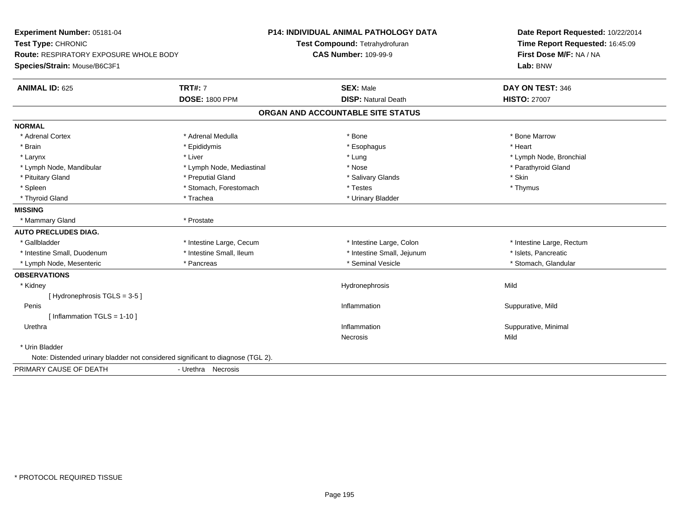| Experiment Number: 05181-04<br>Test Type: CHRONIC<br><b>Route: RESPIRATORY EXPOSURE WHOLE BODY</b><br>Species/Strain: Mouse/B6C3F1 |                                         | <b>P14: INDIVIDUAL ANIMAL PATHOLOGY DATA</b><br>Test Compound: Tetrahydrofuran<br><b>CAS Number: 109-99-9</b> | Date Report Requested: 10/22/2014<br>Time Report Requested: 16:45:09<br>First Dose M/F: NA / NA<br>Lab: BNW |  |
|------------------------------------------------------------------------------------------------------------------------------------|-----------------------------------------|---------------------------------------------------------------------------------------------------------------|-------------------------------------------------------------------------------------------------------------|--|
| <b>ANIMAL ID: 625</b>                                                                                                              | <b>TRT#: 7</b><br><b>DOSE: 1800 PPM</b> | <b>SEX: Male</b><br><b>DISP: Natural Death</b>                                                                | DAY ON TEST: 346<br><b>HISTO: 27007</b>                                                                     |  |
|                                                                                                                                    |                                         | ORGAN AND ACCOUNTABLE SITE STATUS                                                                             |                                                                                                             |  |
| <b>NORMAL</b>                                                                                                                      |                                         |                                                                                                               |                                                                                                             |  |
| * Adrenal Cortex                                                                                                                   | * Adrenal Medulla                       | * Bone                                                                                                        | * Bone Marrow                                                                                               |  |
| * Brain                                                                                                                            | * Epididymis                            | * Esophagus                                                                                                   | * Heart                                                                                                     |  |
| * Larynx                                                                                                                           | * Liver                                 | * Lung                                                                                                        | * Lymph Node, Bronchial                                                                                     |  |
| * Lymph Node, Mandibular                                                                                                           | * Lymph Node, Mediastinal               | * Nose                                                                                                        | * Parathyroid Gland                                                                                         |  |
| * Pituitary Gland                                                                                                                  | * Preputial Gland                       | * Salivary Glands                                                                                             | * Skin                                                                                                      |  |
| * Spleen                                                                                                                           | * Stomach, Forestomach                  | * Testes                                                                                                      | * Thymus                                                                                                    |  |
| * Thyroid Gland                                                                                                                    | * Trachea                               | * Urinary Bladder                                                                                             |                                                                                                             |  |
| <b>MISSING</b>                                                                                                                     |                                         |                                                                                                               |                                                                                                             |  |
| * Mammary Gland                                                                                                                    | * Prostate                              |                                                                                                               |                                                                                                             |  |
| <b>AUTO PRECLUDES DIAG.</b>                                                                                                        |                                         |                                                                                                               |                                                                                                             |  |
| * Gallbladder                                                                                                                      | * Intestine Large, Cecum                | * Intestine Large, Colon                                                                                      | * Intestine Large, Rectum                                                                                   |  |
| * Intestine Small, Duodenum                                                                                                        | * Intestine Small, Ileum                | * Intestine Small, Jejunum                                                                                    | * Islets, Pancreatic                                                                                        |  |
| * Lymph Node, Mesenteric                                                                                                           | * Pancreas                              | * Seminal Vesicle                                                                                             | * Stomach, Glandular                                                                                        |  |
| <b>OBSERVATIONS</b>                                                                                                                |                                         |                                                                                                               |                                                                                                             |  |
| * Kidney                                                                                                                           |                                         | Hydronephrosis                                                                                                | Mild                                                                                                        |  |
| [Hydronephrosis TGLS = 3-5]                                                                                                        |                                         |                                                                                                               |                                                                                                             |  |
| Penis                                                                                                                              |                                         | Inflammation                                                                                                  | Suppurative, Mild                                                                                           |  |
| [Inflammation TGLS = $1-10$ ]                                                                                                      |                                         |                                                                                                               |                                                                                                             |  |
| Urethra                                                                                                                            |                                         | Inflammation                                                                                                  | Suppurative, Minimal                                                                                        |  |
|                                                                                                                                    |                                         | Necrosis                                                                                                      | Mild                                                                                                        |  |
| * Urin Bladder                                                                                                                     |                                         |                                                                                                               |                                                                                                             |  |
| Note: Distended urinary bladder not considered significant to diagnose (TGL 2).                                                    |                                         |                                                                                                               |                                                                                                             |  |
| PRIMARY CAUSE OF DEATH                                                                                                             | - Urethra Necrosis                      |                                                                                                               |                                                                                                             |  |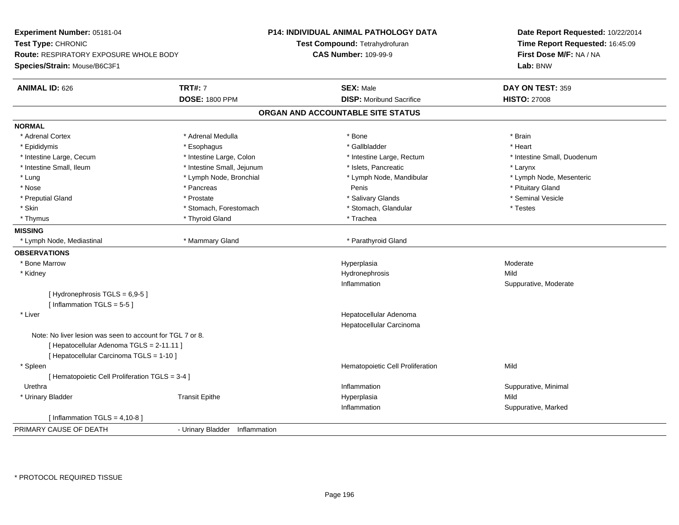| Experiment Number: 05181-04                               |                                | <b>P14: INDIVIDUAL ANIMAL PATHOLOGY DATA</b> | Date Report Requested: 10/22/2014 |  |
|-----------------------------------------------------------|--------------------------------|----------------------------------------------|-----------------------------------|--|
| Test Type: CHRONIC                                        |                                | Test Compound: Tetrahydrofuran               | Time Report Requested: 16:45:09   |  |
| Route: RESPIRATORY EXPOSURE WHOLE BODY                    |                                | <b>CAS Number: 109-99-9</b>                  | First Dose M/F: NA / NA           |  |
| Species/Strain: Mouse/B6C3F1                              |                                |                                              | Lab: BNW                          |  |
| <b>ANIMAL ID: 626</b>                                     | <b>TRT#: 7</b>                 | <b>SEX: Male</b>                             | DAY ON TEST: 359                  |  |
|                                                           | <b>DOSE: 1800 PPM</b>          | <b>DISP:</b> Moribund Sacrifice              | <b>HISTO: 27008</b>               |  |
|                                                           |                                | ORGAN AND ACCOUNTABLE SITE STATUS            |                                   |  |
| <b>NORMAL</b>                                             |                                |                                              |                                   |  |
| * Adrenal Cortex                                          | * Adrenal Medulla              | * Bone                                       | * Brain                           |  |
| * Epididymis                                              | * Esophagus                    | * Gallbladder                                | * Heart                           |  |
| * Intestine Large, Cecum                                  | * Intestine Large, Colon       | * Intestine Large, Rectum                    | * Intestine Small, Duodenum       |  |
| * Intestine Small, Ileum                                  | * Intestine Small, Jejunum     | * Islets, Pancreatic                         | * Larynx                          |  |
| * Lung                                                    | * Lymph Node, Bronchial        | * Lymph Node, Mandibular                     | * Lymph Node, Mesenteric          |  |
| * Nose                                                    | * Pancreas                     | Penis                                        | * Pituitary Gland                 |  |
| * Preputial Gland                                         | * Prostate                     | * Salivary Glands                            | * Seminal Vesicle                 |  |
| * Skin                                                    | * Stomach, Forestomach         | * Stomach, Glandular                         | * Testes                          |  |
| * Thymus                                                  | * Thyroid Gland                | * Trachea                                    |                                   |  |
| <b>MISSING</b>                                            |                                |                                              |                                   |  |
| * Lymph Node, Mediastinal                                 | * Mammary Gland                | * Parathyroid Gland                          |                                   |  |
| <b>OBSERVATIONS</b>                                       |                                |                                              |                                   |  |
| * Bone Marrow                                             |                                | Hyperplasia                                  | Moderate                          |  |
| * Kidney                                                  |                                | Hydronephrosis                               | Mild                              |  |
|                                                           |                                | Inflammation                                 | Suppurative, Moderate             |  |
| [Hydronephrosis $TGLS = 6,9-5$ ]                          |                                |                                              |                                   |  |
| [Inflammation TGLS = $5-5$ ]                              |                                |                                              |                                   |  |
| * Liver                                                   |                                | Hepatocellular Adenoma                       |                                   |  |
|                                                           |                                | Hepatocellular Carcinoma                     |                                   |  |
| Note: No liver lesion was seen to account for TGL 7 or 8. |                                |                                              |                                   |  |
| [ Hepatocellular Adenoma TGLS = 2-11.11 ]                 |                                |                                              |                                   |  |
| [ Hepatocellular Carcinoma TGLS = 1-10 ]                  |                                |                                              |                                   |  |
| * Spleen                                                  |                                | Hematopoietic Cell Proliferation             | Mild                              |  |
| [ Hematopoietic Cell Proliferation TGLS = 3-4 ]           |                                |                                              |                                   |  |
| Urethra                                                   |                                | Inflammation                                 | Suppurative, Minimal              |  |
| * Urinary Bladder                                         | <b>Transit Epithe</b>          | Hyperplasia                                  | Mild                              |  |
|                                                           |                                | Inflammation                                 | Suppurative, Marked               |  |
| [Inflammation TGLS = $4,10-8$ ]                           |                                |                                              |                                   |  |
| PRIMARY CAUSE OF DEATH                                    | - Urinary Bladder Inflammation |                                              |                                   |  |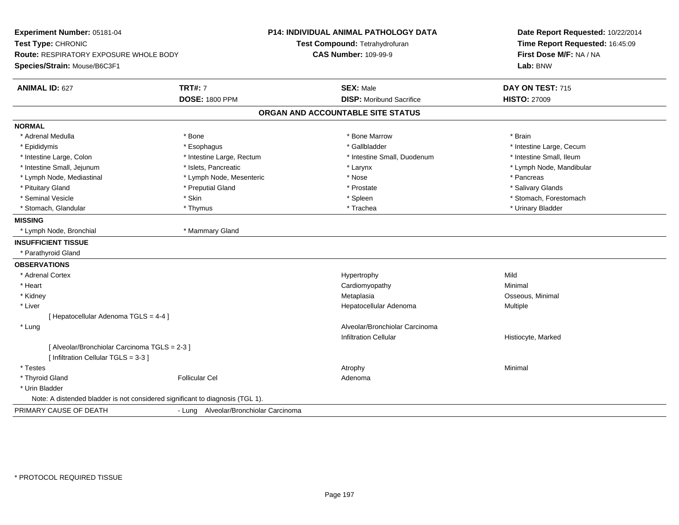| Experiment Number: 05181-04                                                   |                                       | <b>P14: INDIVIDUAL ANIMAL PATHOLOGY DATA</b> | Date Report Requested: 10/22/2014 |  |  |
|-------------------------------------------------------------------------------|---------------------------------------|----------------------------------------------|-----------------------------------|--|--|
| Test Type: CHRONIC                                                            |                                       | Test Compound: Tetrahydrofuran               | Time Report Requested: 16:45:09   |  |  |
| Route: RESPIRATORY EXPOSURE WHOLE BODY                                        |                                       | <b>CAS Number: 109-99-9</b>                  | First Dose M/F: NA / NA           |  |  |
| Species/Strain: Mouse/B6C3F1                                                  |                                       |                                              | Lab: BNW                          |  |  |
| <b>ANIMAL ID: 627</b>                                                         | <b>TRT#: 7</b>                        | <b>SEX: Male</b>                             | DAY ON TEST: 715                  |  |  |
|                                                                               | <b>DOSE: 1800 PPM</b>                 | <b>DISP: Moribund Sacrifice</b>              | <b>HISTO: 27009</b>               |  |  |
|                                                                               |                                       | ORGAN AND ACCOUNTABLE SITE STATUS            |                                   |  |  |
| <b>NORMAL</b>                                                                 |                                       |                                              |                                   |  |  |
| * Adrenal Medulla                                                             | * Bone                                | * Bone Marrow                                | * Brain                           |  |  |
| * Epididymis                                                                  | * Esophagus                           | * Gallbladder                                | * Intestine Large, Cecum          |  |  |
| * Intestine Large, Colon                                                      | * Intestine Large, Rectum             | * Intestine Small, Duodenum                  | * Intestine Small, Ileum          |  |  |
| * Intestine Small, Jejunum                                                    | * Islets, Pancreatic                  | * Larynx                                     | * Lymph Node, Mandibular          |  |  |
| * Lymph Node, Mediastinal                                                     | * Lymph Node, Mesenteric              | * Nose                                       | * Pancreas                        |  |  |
| * Pituitary Gland                                                             | * Preputial Gland                     | * Prostate                                   | * Salivary Glands                 |  |  |
| * Seminal Vesicle                                                             | * Skin                                | * Spleen                                     | * Stomach, Forestomach            |  |  |
| * Stomach, Glandular                                                          | * Thymus                              | * Trachea                                    | * Urinary Bladder                 |  |  |
| <b>MISSING</b>                                                                |                                       |                                              |                                   |  |  |
| * Lymph Node, Bronchial                                                       | * Mammary Gland                       |                                              |                                   |  |  |
| <b>INSUFFICIENT TISSUE</b>                                                    |                                       |                                              |                                   |  |  |
| * Parathyroid Gland                                                           |                                       |                                              |                                   |  |  |
| <b>OBSERVATIONS</b>                                                           |                                       |                                              |                                   |  |  |
| * Adrenal Cortex                                                              |                                       | Hypertrophy                                  | Mild                              |  |  |
| * Heart                                                                       |                                       | Cardiomyopathy                               | Minimal                           |  |  |
| * Kidney                                                                      |                                       | Metaplasia                                   | Osseous, Minimal                  |  |  |
| * Liver                                                                       |                                       | Hepatocellular Adenoma                       | Multiple                          |  |  |
| [ Hepatocellular Adenoma TGLS = 4-4 ]                                         |                                       |                                              |                                   |  |  |
| * Lung                                                                        |                                       | Alveolar/Bronchiolar Carcinoma               |                                   |  |  |
|                                                                               |                                       | <b>Infiltration Cellular</b>                 | Histiocyte, Marked                |  |  |
| [ Alveolar/Bronchiolar Carcinoma TGLS = 2-3 ]                                 |                                       |                                              |                                   |  |  |
| [ Infiltration Cellular TGLS = 3-3 ]                                          |                                       |                                              |                                   |  |  |
| * Testes                                                                      |                                       | Atrophy                                      | Minimal                           |  |  |
| * Thyroid Gland                                                               | <b>Follicular Cel</b>                 | Adenoma                                      |                                   |  |  |
| * Urin Bladder                                                                |                                       |                                              |                                   |  |  |
| Note: A distended bladder is not considered significant to diagnosis (TGL 1). |                                       |                                              |                                   |  |  |
| PRIMARY CAUSE OF DEATH                                                        | - Lung Alveolar/Bronchiolar Carcinoma |                                              |                                   |  |  |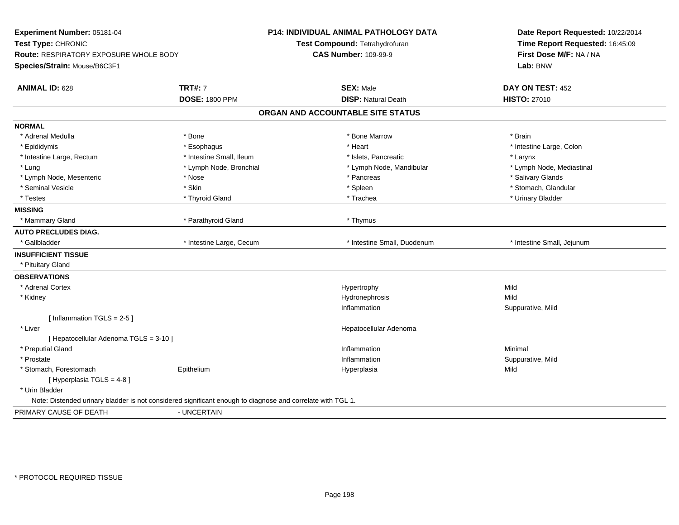| Experiment Number: 05181-04                   |                                                                                                            | <b>P14: INDIVIDUAL ANIMAL PATHOLOGY DATA</b> | Date Report Requested: 10/22/2014   |  |
|-----------------------------------------------|------------------------------------------------------------------------------------------------------------|----------------------------------------------|-------------------------------------|--|
| Test Type: CHRONIC                            |                                                                                                            | Test Compound: Tetrahydrofuran               | Time Report Requested: 16:45:09     |  |
| <b>Route: RESPIRATORY EXPOSURE WHOLE BODY</b> |                                                                                                            | <b>CAS Number: 109-99-9</b>                  | First Dose M/F: NA / NA<br>Lab: BNW |  |
| Species/Strain: Mouse/B6C3F1                  |                                                                                                            |                                              |                                     |  |
| <b>ANIMAL ID: 628</b>                         | <b>TRT#: 7</b>                                                                                             | <b>SEX: Male</b>                             | DAY ON TEST: 452                    |  |
|                                               | <b>DOSE: 1800 PPM</b>                                                                                      | <b>DISP: Natural Death</b>                   | <b>HISTO: 27010</b>                 |  |
|                                               |                                                                                                            | ORGAN AND ACCOUNTABLE SITE STATUS            |                                     |  |
| <b>NORMAL</b>                                 |                                                                                                            |                                              |                                     |  |
| * Adrenal Medulla                             | * Bone                                                                                                     | * Bone Marrow                                | * Brain                             |  |
| * Epididymis                                  | * Esophagus                                                                                                | * Heart                                      | * Intestine Large, Colon            |  |
| * Intestine Large, Rectum                     | * Intestine Small, Ileum                                                                                   | * Islets, Pancreatic                         | * Larynx                            |  |
| * Lung                                        | * Lymph Node, Bronchial                                                                                    | * Lymph Node, Mandibular                     | * Lymph Node, Mediastinal           |  |
| * Lymph Node, Mesenteric                      | * Nose                                                                                                     | * Pancreas                                   | * Salivary Glands                   |  |
| * Seminal Vesicle                             | * Skin                                                                                                     | * Spleen                                     | * Stomach, Glandular                |  |
| * Testes                                      | * Thyroid Gland                                                                                            | * Trachea                                    | * Urinary Bladder                   |  |
| <b>MISSING</b>                                |                                                                                                            |                                              |                                     |  |
| * Mammary Gland                               | * Parathyroid Gland                                                                                        | * Thymus                                     |                                     |  |
| <b>AUTO PRECLUDES DIAG.</b>                   |                                                                                                            |                                              |                                     |  |
| * Gallbladder                                 | * Intestine Large, Cecum                                                                                   | * Intestine Small, Duodenum                  | * Intestine Small, Jejunum          |  |
| <b>INSUFFICIENT TISSUE</b>                    |                                                                                                            |                                              |                                     |  |
| * Pituitary Gland                             |                                                                                                            |                                              |                                     |  |
| <b>OBSERVATIONS</b>                           |                                                                                                            |                                              |                                     |  |
| * Adrenal Cortex                              |                                                                                                            | Hypertrophy                                  | Mild                                |  |
| * Kidney                                      |                                                                                                            | Hydronephrosis                               | Mild                                |  |
|                                               |                                                                                                            | Inflammation                                 | Suppurative, Mild                   |  |
| [Inflammation $TGLS = 2-5$ ]                  |                                                                                                            |                                              |                                     |  |
| * Liver                                       |                                                                                                            | Hepatocellular Adenoma                       |                                     |  |
| [ Hepatocellular Adenoma TGLS = 3-10 ]        |                                                                                                            |                                              |                                     |  |
| * Preputial Gland                             |                                                                                                            | Inflammation                                 | Minimal                             |  |
| * Prostate                                    |                                                                                                            | Inflammation                                 | Suppurative, Mild                   |  |
| * Stomach, Forestomach                        | Epithelium                                                                                                 | Hyperplasia                                  | Mild                                |  |
| [ Hyperplasia TGLS = 4-8]                     |                                                                                                            |                                              |                                     |  |
| * Urin Bladder                                |                                                                                                            |                                              |                                     |  |
|                                               | Note: Distended urinary bladder is not considered significant enough to diagnose and correlate with TGL 1. |                                              |                                     |  |
| PRIMARY CAUSE OF DEATH                        | - UNCERTAIN                                                                                                |                                              |                                     |  |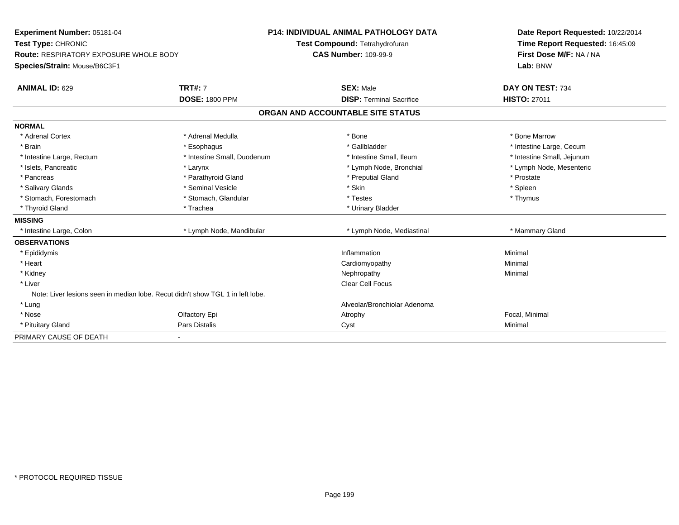| Experiment Number: 05181-04                                                    |                             | <b>P14: INDIVIDUAL ANIMAL PATHOLOGY DATA</b><br>Test Compound: Tetrahydrofuran<br><b>CAS Number: 109-99-9</b> |  | Date Report Requested: 10/22/2014 |  |
|--------------------------------------------------------------------------------|-----------------------------|---------------------------------------------------------------------------------------------------------------|--|-----------------------------------|--|
| Test Type: CHRONIC                                                             |                             |                                                                                                               |  | Time Report Requested: 16:45:09   |  |
| <b>Route: RESPIRATORY EXPOSURE WHOLE BODY</b>                                  |                             |                                                                                                               |  | First Dose M/F: NA / NA           |  |
| Species/Strain: Mouse/B6C3F1                                                   |                             |                                                                                                               |  | Lab: BNW                          |  |
| <b>ANIMAL ID: 629</b>                                                          | <b>TRT#: 7</b>              | <b>SEX: Male</b>                                                                                              |  | DAY ON TEST: 734                  |  |
|                                                                                | <b>DOSE: 1800 PPM</b>       | <b>DISP: Terminal Sacrifice</b>                                                                               |  | <b>HISTO: 27011</b>               |  |
|                                                                                |                             | ORGAN AND ACCOUNTABLE SITE STATUS                                                                             |  |                                   |  |
| <b>NORMAL</b>                                                                  |                             |                                                                                                               |  |                                   |  |
| * Adrenal Cortex                                                               | * Adrenal Medulla           | * Bone                                                                                                        |  | * Bone Marrow                     |  |
| * Brain                                                                        | * Esophagus                 | * Gallbladder                                                                                                 |  | * Intestine Large, Cecum          |  |
| * Intestine Large, Rectum                                                      | * Intestine Small, Duodenum | * Intestine Small, Ileum                                                                                      |  | * Intestine Small, Jejunum        |  |
| * Islets, Pancreatic                                                           | * Larynx                    | * Lymph Node, Bronchial                                                                                       |  | * Lymph Node, Mesenteric          |  |
| * Pancreas                                                                     | * Parathyroid Gland         | * Preputial Gland                                                                                             |  | * Prostate                        |  |
| * Salivary Glands                                                              | * Seminal Vesicle           | * Skin                                                                                                        |  | * Spleen                          |  |
| * Stomach, Forestomach                                                         | * Stomach, Glandular        | * Testes                                                                                                      |  | * Thymus                          |  |
| * Thyroid Gland                                                                | * Trachea                   | * Urinary Bladder                                                                                             |  |                                   |  |
| <b>MISSING</b>                                                                 |                             |                                                                                                               |  |                                   |  |
| * Intestine Large, Colon                                                       | * Lymph Node, Mandibular    | * Lymph Node, Mediastinal                                                                                     |  | * Mammary Gland                   |  |
| <b>OBSERVATIONS</b>                                                            |                             |                                                                                                               |  |                                   |  |
| * Epididymis                                                                   |                             | Inflammation                                                                                                  |  | Minimal                           |  |
| * Heart                                                                        |                             | Cardiomyopathy                                                                                                |  | Minimal                           |  |
| * Kidney                                                                       |                             | Nephropathy                                                                                                   |  | Minimal                           |  |
| * Liver                                                                        |                             | Clear Cell Focus                                                                                              |  |                                   |  |
| Note: Liver lesions seen in median lobe. Recut didn't show TGL 1 in left lobe. |                             |                                                                                                               |  |                                   |  |
| * Lung                                                                         |                             | Alveolar/Bronchiolar Adenoma                                                                                  |  |                                   |  |
| * Nose                                                                         | Olfactory Epi               | Atrophy                                                                                                       |  | Focal, Minimal                    |  |
| * Pituitary Gland                                                              | Pars Distalis               | Cyst                                                                                                          |  | Minimal                           |  |
| PRIMARY CAUSE OF DEATH                                                         | $\blacksquare$              |                                                                                                               |  |                                   |  |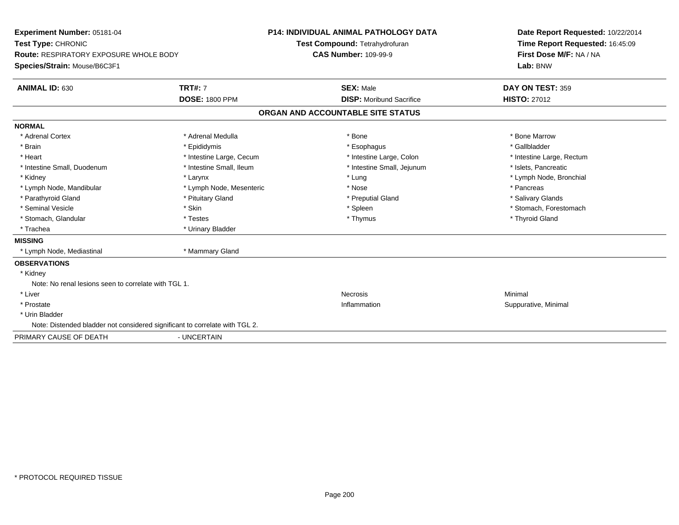| Experiment Number: 05181-04<br>Test Type: CHRONIC<br><b>Route: RESPIRATORY EXPOSURE WHOLE BODY</b><br>Species/Strain: Mouse/B6C3F1<br><b>ANIMAL ID: 630</b> | <b>TRT#: 7</b>           | <b>P14: INDIVIDUAL ANIMAL PATHOLOGY DATA</b><br>Test Compound: Tetrahydrofuran<br><b>CAS Number: 109-99-9</b><br><b>SEX: Male</b> |                                   | Date Report Requested: 10/22/2014<br>Time Report Requested: 16:45:09<br>First Dose M/F: NA / NA<br>Lab: BNW<br>DAY ON TEST: 359 |
|-------------------------------------------------------------------------------------------------------------------------------------------------------------|--------------------------|-----------------------------------------------------------------------------------------------------------------------------------|-----------------------------------|---------------------------------------------------------------------------------------------------------------------------------|
|                                                                                                                                                             | <b>DOSE: 1800 PPM</b>    |                                                                                                                                   | <b>DISP:</b> Moribund Sacrifice   | <b>HISTO: 27012</b>                                                                                                             |
|                                                                                                                                                             |                          |                                                                                                                                   | ORGAN AND ACCOUNTABLE SITE STATUS |                                                                                                                                 |
| <b>NORMAL</b>                                                                                                                                               |                          |                                                                                                                                   |                                   |                                                                                                                                 |
| * Adrenal Cortex                                                                                                                                            | * Adrenal Medulla        |                                                                                                                                   | * Bone                            | * Bone Marrow                                                                                                                   |
| * Brain                                                                                                                                                     | * Epididymis             |                                                                                                                                   | * Esophagus                       | * Gallbladder                                                                                                                   |
| * Heart                                                                                                                                                     | * Intestine Large, Cecum |                                                                                                                                   | * Intestine Large, Colon          | * Intestine Large, Rectum                                                                                                       |
| * Intestine Small, Duodenum                                                                                                                                 | * Intestine Small, Ileum |                                                                                                                                   | * Intestine Small, Jejunum        | * Islets, Pancreatic                                                                                                            |
| * Kidney                                                                                                                                                    | * Larynx                 |                                                                                                                                   | * Lung                            | * Lymph Node, Bronchial                                                                                                         |
| * Lymph Node, Mandibular                                                                                                                                    | * Lymph Node, Mesenteric |                                                                                                                                   | * Nose                            | * Pancreas                                                                                                                      |
| * Parathyroid Gland                                                                                                                                         | * Pituitary Gland        |                                                                                                                                   | * Preputial Gland                 | * Salivary Glands                                                                                                               |
| * Seminal Vesicle                                                                                                                                           | * Skin                   |                                                                                                                                   | * Spleen                          | * Stomach, Forestomach                                                                                                          |
| * Stomach, Glandular                                                                                                                                        | * Testes                 |                                                                                                                                   | * Thymus                          | * Thyroid Gland                                                                                                                 |
| * Trachea                                                                                                                                                   | * Urinary Bladder        |                                                                                                                                   |                                   |                                                                                                                                 |
| <b>MISSING</b>                                                                                                                                              |                          |                                                                                                                                   |                                   |                                                                                                                                 |
| * Lymph Node, Mediastinal                                                                                                                                   | * Mammary Gland          |                                                                                                                                   |                                   |                                                                                                                                 |
| <b>OBSERVATIONS</b>                                                                                                                                         |                          |                                                                                                                                   |                                   |                                                                                                                                 |
| * Kidney                                                                                                                                                    |                          |                                                                                                                                   |                                   |                                                                                                                                 |
| Note: No renal lesions seen to correlate with TGL 1.                                                                                                        |                          |                                                                                                                                   |                                   |                                                                                                                                 |
| * Liver                                                                                                                                                     |                          |                                                                                                                                   | <b>Necrosis</b>                   | Minimal                                                                                                                         |
| * Prostate                                                                                                                                                  |                          |                                                                                                                                   | Inflammation                      | Suppurative, Minimal                                                                                                            |
| * Urin Bladder                                                                                                                                              |                          |                                                                                                                                   |                                   |                                                                                                                                 |
| Note: Distended bladder not considered significant to correlate with TGL 2.                                                                                 |                          |                                                                                                                                   |                                   |                                                                                                                                 |
| PRIMARY CAUSE OF DEATH                                                                                                                                      | - UNCERTAIN              |                                                                                                                                   |                                   |                                                                                                                                 |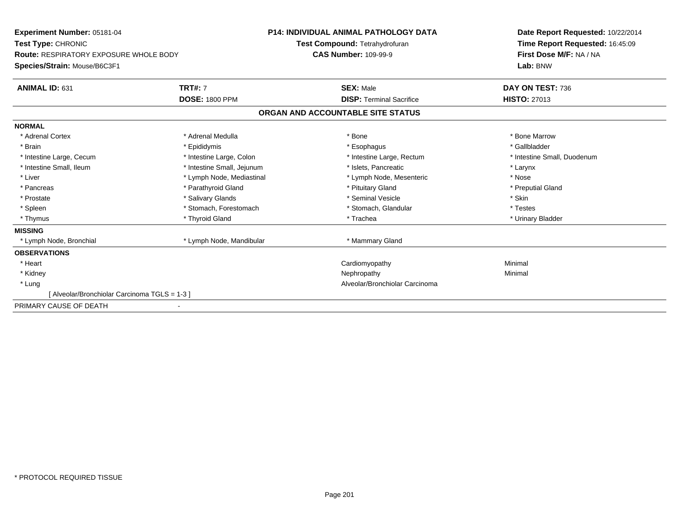| <b>Experiment Number: 05181-04</b>            |                            | <b>P14: INDIVIDUAL ANIMAL PATHOLOGY DATA</b>                  |                                   | Date Report Requested: 10/22/2014 |
|-----------------------------------------------|----------------------------|---------------------------------------------------------------|-----------------------------------|-----------------------------------|
| Test Type: CHRONIC                            |                            | Test Compound: Tetrahydrofuran<br><b>CAS Number: 109-99-9</b> |                                   | Time Report Requested: 16:45:09   |
| <b>Route: RESPIRATORY EXPOSURE WHOLE BODY</b> |                            |                                                               |                                   | First Dose M/F: NA / NA           |
| Species/Strain: Mouse/B6C3F1                  |                            |                                                               |                                   | Lab: BNW                          |
| ANIMAL ID: 631                                | <b>TRT#: 7</b>             |                                                               | <b>SEX: Male</b>                  | DAY ON TEST: 736                  |
|                                               | <b>DOSE: 1800 PPM</b>      |                                                               | <b>DISP:</b> Terminal Sacrifice   | <b>HISTO: 27013</b>               |
|                                               |                            |                                                               | ORGAN AND ACCOUNTABLE SITE STATUS |                                   |
| <b>NORMAL</b>                                 |                            |                                                               |                                   |                                   |
| * Adrenal Cortex                              | * Adrenal Medulla          |                                                               | * Bone                            | * Bone Marrow                     |
| * Brain                                       | * Epididymis               |                                                               | * Esophagus                       | * Gallbladder                     |
| * Intestine Large, Cecum                      | * Intestine Large, Colon   |                                                               | * Intestine Large, Rectum         | * Intestine Small, Duodenum       |
| * Intestine Small, Ileum                      | * Intestine Small, Jejunum |                                                               | * Islets. Pancreatic              | * Larynx                          |
| * Liver                                       | * Lymph Node, Mediastinal  |                                                               | * Lymph Node, Mesenteric          | * Nose                            |
| * Pancreas                                    | * Parathyroid Gland        |                                                               | * Pituitary Gland                 | * Preputial Gland                 |
| * Prostate                                    | * Salivary Glands          |                                                               | * Seminal Vesicle                 | * Skin                            |
| * Spleen                                      | * Stomach, Forestomach     |                                                               | * Stomach, Glandular              | * Testes                          |
| * Thymus                                      | * Thyroid Gland            |                                                               | * Trachea                         | * Urinary Bladder                 |
| <b>MISSING</b>                                |                            |                                                               |                                   |                                   |
| * Lymph Node, Bronchial                       | * Lymph Node, Mandibular   |                                                               | * Mammary Gland                   |                                   |
| <b>OBSERVATIONS</b>                           |                            |                                                               |                                   |                                   |
| * Heart                                       |                            |                                                               | Cardiomyopathy                    | Minimal                           |
| * Kidney                                      |                            |                                                               | Nephropathy                       | Minimal                           |
| * Lung                                        |                            |                                                               | Alveolar/Bronchiolar Carcinoma    |                                   |
| Alveolar/Bronchiolar Carcinoma TGLS = 1-3 ]   |                            |                                                               |                                   |                                   |
| PRIMARY CAUSE OF DEATH                        |                            |                                                               |                                   |                                   |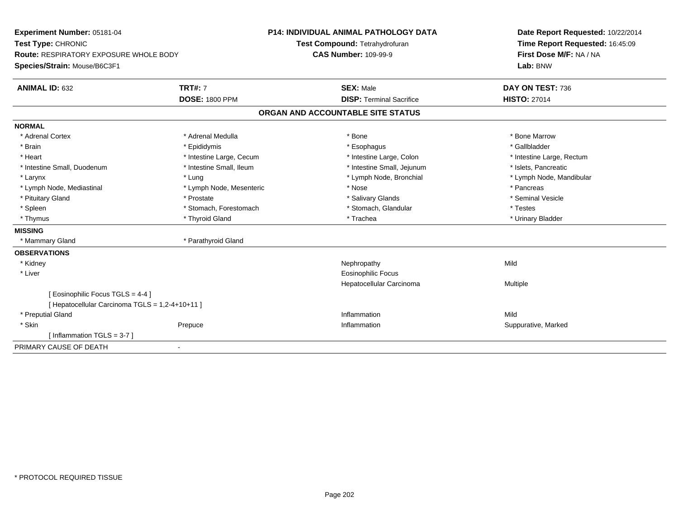| Experiment Number: 05181-04                     | <b>P14: INDIVIDUAL ANIMAL PATHOLOGY DATA</b> |                                   | Date Report Requested: 10/22/2014 |  |
|-------------------------------------------------|----------------------------------------------|-----------------------------------|-----------------------------------|--|
| Test Type: CHRONIC                              |                                              | Test Compound: Tetrahydrofuran    | Time Report Requested: 16:45:09   |  |
| Route: RESPIRATORY EXPOSURE WHOLE BODY          |                                              | <b>CAS Number: 109-99-9</b>       | First Dose M/F: NA / NA           |  |
| Species/Strain: Mouse/B6C3F1                    |                                              |                                   | Lab: BNW                          |  |
| <b>ANIMAL ID: 632</b>                           | <b>TRT#: 7</b>                               | <b>SEX: Male</b>                  | DAY ON TEST: 736                  |  |
|                                                 | <b>DOSE: 1800 PPM</b>                        | <b>DISP: Terminal Sacrifice</b>   | <b>HISTO: 27014</b>               |  |
|                                                 |                                              | ORGAN AND ACCOUNTABLE SITE STATUS |                                   |  |
| <b>NORMAL</b>                                   |                                              |                                   |                                   |  |
| * Adrenal Cortex                                | * Adrenal Medulla                            | * Bone                            | * Bone Marrow                     |  |
| * Brain                                         | * Epididymis                                 | * Esophagus                       | * Gallbladder                     |  |
| * Heart                                         | * Intestine Large, Cecum                     | * Intestine Large, Colon          | * Intestine Large, Rectum         |  |
| * Intestine Small, Duodenum                     | * Intestine Small, Ileum                     | * Intestine Small, Jejunum        | * Islets, Pancreatic              |  |
| * Larynx                                        | * Lung                                       | * Lymph Node, Bronchial           | * Lymph Node, Mandibular          |  |
| * Lymph Node, Mediastinal                       | * Lymph Node, Mesenteric                     | * Nose                            | * Pancreas                        |  |
| * Pituitary Gland                               | * Prostate                                   | * Salivary Glands                 | * Seminal Vesicle                 |  |
| * Spleen                                        | * Stomach, Forestomach                       | * Stomach, Glandular              | * Testes                          |  |
| * Thymus                                        | * Thyroid Gland                              | * Trachea                         | * Urinary Bladder                 |  |
| <b>MISSING</b>                                  |                                              |                                   |                                   |  |
| * Mammary Gland                                 | * Parathyroid Gland                          |                                   |                                   |  |
| <b>OBSERVATIONS</b>                             |                                              |                                   |                                   |  |
| * Kidney                                        |                                              | Nephropathy                       | Mild                              |  |
| * Liver                                         |                                              | <b>Eosinophilic Focus</b>         |                                   |  |
|                                                 |                                              | Hepatocellular Carcinoma          | Multiple                          |  |
| [ Eosinophilic Focus TGLS = 4-4 ]               |                                              |                                   |                                   |  |
| [ Hepatocellular Carcinoma TGLS = 1,2-4+10+11 ] |                                              |                                   |                                   |  |
| * Preputial Gland                               |                                              | Inflammation                      | Mild                              |  |
| * Skin                                          | Prepuce                                      | Inflammation                      | Suppurative, Marked               |  |
| [Inflammation TGLS = $3-7$ ]                    |                                              |                                   |                                   |  |
| PRIMARY CAUSE OF DEATH                          | ٠                                            |                                   |                                   |  |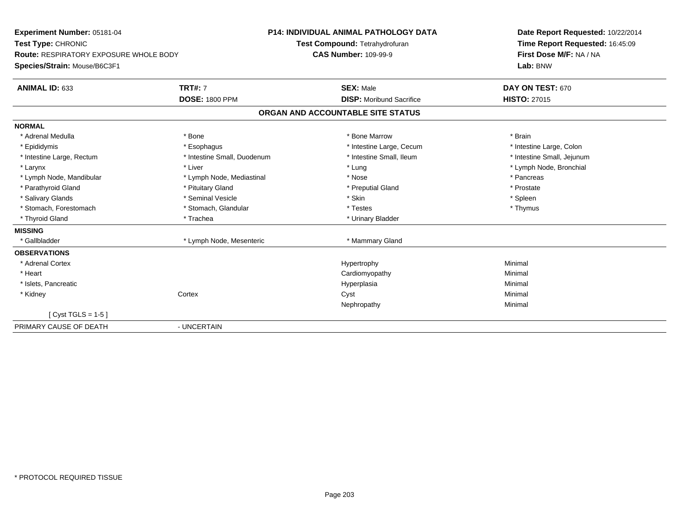| Experiment Number: 05181-04<br>Test Type: CHRONIC<br><b>Route: RESPIRATORY EXPOSURE WHOLE BODY</b><br>Species/Strain: Mouse/B6C3F1 |                             | <b>P14: INDIVIDUAL ANIMAL PATHOLOGY DATA</b><br>Test Compound: Tetrahydrofuran<br><b>CAS Number: 109-99-9</b> |  | Date Report Requested: 10/22/2014<br>Time Report Requested: 16:45:09<br>First Dose M/F: NA / NA<br>Lab: BNW |
|------------------------------------------------------------------------------------------------------------------------------------|-----------------------------|---------------------------------------------------------------------------------------------------------------|--|-------------------------------------------------------------------------------------------------------------|
| ANIMAL ID: 633                                                                                                                     | <b>TRT#: 7</b>              | <b>SEX: Male</b>                                                                                              |  | DAY ON TEST: 670                                                                                            |
|                                                                                                                                    | <b>DOSE: 1800 PPM</b>       | <b>DISP:</b> Moribund Sacrifice                                                                               |  | <b>HISTO: 27015</b>                                                                                         |
|                                                                                                                                    |                             | ORGAN AND ACCOUNTABLE SITE STATUS                                                                             |  |                                                                                                             |
| <b>NORMAL</b>                                                                                                                      |                             |                                                                                                               |  |                                                                                                             |
| * Adrenal Medulla                                                                                                                  | * Bone                      | * Bone Marrow                                                                                                 |  | * Brain                                                                                                     |
| * Epididymis                                                                                                                       | * Esophagus                 | * Intestine Large, Cecum                                                                                      |  | * Intestine Large, Colon                                                                                    |
| * Intestine Large, Rectum                                                                                                          | * Intestine Small, Duodenum | * Intestine Small, Ileum                                                                                      |  | * Intestine Small, Jejunum                                                                                  |
| * Larynx                                                                                                                           | * Liver                     | * Lung                                                                                                        |  | * Lymph Node, Bronchial                                                                                     |
| * Lymph Node, Mandibular                                                                                                           | * Lymph Node, Mediastinal   | * Nose                                                                                                        |  | * Pancreas                                                                                                  |
| * Parathyroid Gland                                                                                                                | * Pituitary Gland           | * Preputial Gland                                                                                             |  | * Prostate                                                                                                  |
| * Salivary Glands                                                                                                                  | * Seminal Vesicle           | * Skin                                                                                                        |  | * Spleen                                                                                                    |
| * Stomach, Forestomach                                                                                                             | * Stomach, Glandular        | * Testes                                                                                                      |  | * Thymus                                                                                                    |
| * Thyroid Gland                                                                                                                    | * Trachea                   | * Urinary Bladder                                                                                             |  |                                                                                                             |
| <b>MISSING</b>                                                                                                                     |                             |                                                                                                               |  |                                                                                                             |
| * Gallbladder                                                                                                                      | * Lymph Node, Mesenteric    | * Mammary Gland                                                                                               |  |                                                                                                             |
| <b>OBSERVATIONS</b>                                                                                                                |                             |                                                                                                               |  |                                                                                                             |
| * Adrenal Cortex                                                                                                                   |                             | Hypertrophy                                                                                                   |  | Minimal                                                                                                     |
| * Heart                                                                                                                            |                             | Cardiomyopathy                                                                                                |  | Minimal                                                                                                     |
| * Islets, Pancreatic                                                                                                               |                             | Hyperplasia                                                                                                   |  | Minimal                                                                                                     |
| * Kidney                                                                                                                           | Cortex                      | Cyst                                                                                                          |  | Minimal                                                                                                     |
|                                                                                                                                    |                             | Nephropathy                                                                                                   |  | Minimal                                                                                                     |
| [ $Cyst TGLS = 1-5$ ]                                                                                                              |                             |                                                                                                               |  |                                                                                                             |
| PRIMARY CAUSE OF DEATH                                                                                                             | - UNCERTAIN                 |                                                                                                               |  |                                                                                                             |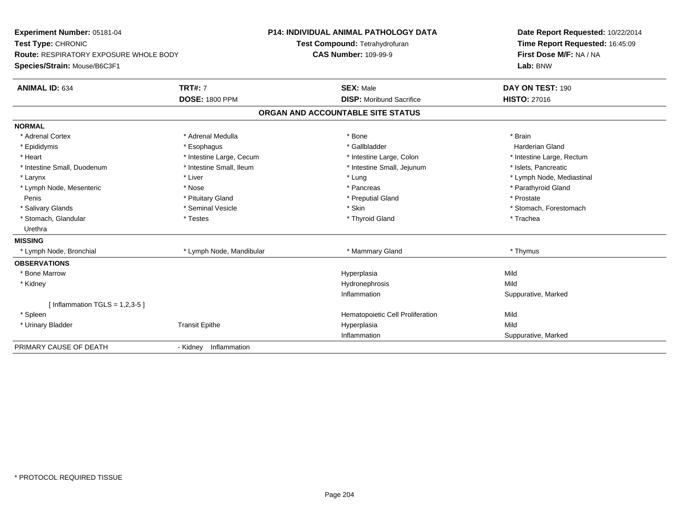| Experiment Number: 05181-04<br>Test Type: CHRONIC |                          | <b>P14: INDIVIDUAL ANIMAL PATHOLOGY DATA</b> | Date Report Requested: 10/22/2014 |
|---------------------------------------------------|--------------------------|----------------------------------------------|-----------------------------------|
|                                                   |                          | Test Compound: Tetrahydrofuran               | Time Report Requested: 16:45:09   |
| <b>Route: RESPIRATORY EXPOSURE WHOLE BODY</b>     |                          | <b>CAS Number: 109-99-9</b>                  | First Dose M/F: NA / NA           |
| Species/Strain: Mouse/B6C3F1                      |                          |                                              | Lab: BNW                          |
| <b>ANIMAL ID: 634</b>                             | <b>TRT#: 7</b>           | <b>SEX: Male</b>                             | DAY ON TEST: 190                  |
|                                                   | <b>DOSE: 1800 PPM</b>    | <b>DISP:</b> Moribund Sacrifice              | <b>HISTO: 27016</b>               |
|                                                   |                          | ORGAN AND ACCOUNTABLE SITE STATUS            |                                   |
| <b>NORMAL</b>                                     |                          |                                              |                                   |
| * Adrenal Cortex                                  | * Adrenal Medulla        | * Bone                                       | * Brain                           |
| * Epididymis                                      | * Esophagus              | * Gallbladder                                | <b>Harderian Gland</b>            |
| * Heart                                           | * Intestine Large, Cecum | * Intestine Large, Colon                     | * Intestine Large, Rectum         |
| * Intestine Small, Duodenum                       | * Intestine Small, Ileum | * Intestine Small, Jejunum                   | * Islets, Pancreatic              |
| * Larynx                                          | * Liver                  | * Lung                                       | * Lymph Node, Mediastinal         |
| * Lymph Node, Mesenteric                          | * Nose                   | * Pancreas                                   | * Parathyroid Gland               |
| Penis                                             | * Pituitary Gland        | * Preputial Gland                            | * Prostate                        |
| * Salivary Glands                                 | * Seminal Vesicle        | * Skin                                       | * Stomach, Forestomach            |
| * Stomach, Glandular                              | * Testes                 | * Thyroid Gland                              | * Trachea                         |
| Urethra                                           |                          |                                              |                                   |
| <b>MISSING</b>                                    |                          |                                              |                                   |
| * Lymph Node, Bronchial                           | * Lymph Node, Mandibular | * Mammary Gland                              | * Thymus                          |
| <b>OBSERVATIONS</b>                               |                          |                                              |                                   |
| * Bone Marrow                                     |                          | Hyperplasia                                  | Mild                              |
| * Kidney                                          |                          | Hydronephrosis                               | Mild                              |
|                                                   |                          | Inflammation                                 | Suppurative, Marked               |
| [Inflammation TGLS = $1,2,3-5$ ]                  |                          |                                              |                                   |
| * Spleen                                          |                          | Hematopoietic Cell Proliferation             | Mild                              |
| * Urinary Bladder                                 | <b>Transit Epithe</b>    | Hyperplasia                                  | Mild                              |
|                                                   |                          | Inflammation                                 | Suppurative, Marked               |
| PRIMARY CAUSE OF DEATH                            | - Kidney Inflammation    |                                              |                                   |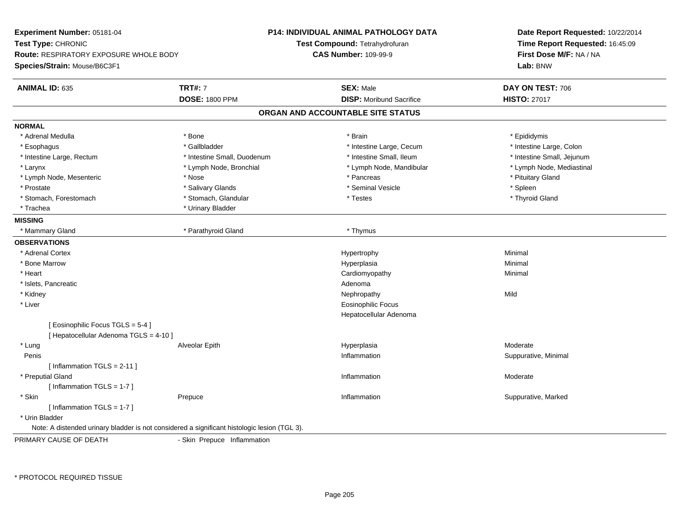| Experiment Number: 05181-04                                                                  |                             | <b>P14: INDIVIDUAL ANIMAL PATHOLOGY DATA</b> | Date Report Requested: 10/22/2014<br>Time Report Requested: 16:45:09<br>First Dose M/F: NA / NA |  |
|----------------------------------------------------------------------------------------------|-----------------------------|----------------------------------------------|-------------------------------------------------------------------------------------------------|--|
| Test Type: CHRONIC                                                                           |                             | Test Compound: Tetrahydrofuran               |                                                                                                 |  |
| <b>Route: RESPIRATORY EXPOSURE WHOLE BODY</b>                                                |                             | <b>CAS Number: 109-99-9</b>                  |                                                                                                 |  |
| Species/Strain: Mouse/B6C3F1                                                                 |                             |                                              | Lab: BNW                                                                                        |  |
| <b>ANIMAL ID: 635</b>                                                                        | <b>TRT#: 7</b>              | <b>SEX: Male</b>                             | DAY ON TEST: 706                                                                                |  |
|                                                                                              | <b>DOSE: 1800 PPM</b>       | <b>DISP:</b> Moribund Sacrifice              | <b>HISTO: 27017</b>                                                                             |  |
|                                                                                              |                             | ORGAN AND ACCOUNTABLE SITE STATUS            |                                                                                                 |  |
| <b>NORMAL</b>                                                                                |                             |                                              |                                                                                                 |  |
| * Adrenal Medulla                                                                            | * Bone                      | * Brain                                      | * Epididymis                                                                                    |  |
| * Esophagus                                                                                  | * Gallbladder               | * Intestine Large, Cecum                     | * Intestine Large, Colon                                                                        |  |
| * Intestine Large, Rectum                                                                    | * Intestine Small, Duodenum | * Intestine Small, Ileum                     | * Intestine Small, Jejunum                                                                      |  |
| * Larynx                                                                                     | * Lymph Node, Bronchial     | * Lymph Node, Mandibular                     | * Lymph Node, Mediastinal                                                                       |  |
| * Lymph Node, Mesenteric                                                                     | * Nose                      | * Pancreas                                   | * Pituitary Gland                                                                               |  |
| * Prostate                                                                                   | * Salivary Glands           | * Seminal Vesicle                            | * Spleen                                                                                        |  |
| * Stomach, Forestomach                                                                       | * Stomach, Glandular        | * Testes                                     | * Thyroid Gland                                                                                 |  |
| * Trachea                                                                                    | * Urinary Bladder           |                                              |                                                                                                 |  |
| <b>MISSING</b>                                                                               |                             |                                              |                                                                                                 |  |
| * Mammary Gland                                                                              | * Parathyroid Gland         | * Thymus                                     |                                                                                                 |  |
| <b>OBSERVATIONS</b>                                                                          |                             |                                              |                                                                                                 |  |
| * Adrenal Cortex                                                                             |                             | Hypertrophy                                  | Minimal                                                                                         |  |
| * Bone Marrow                                                                                |                             | Hyperplasia                                  | Minimal                                                                                         |  |
| * Heart                                                                                      |                             | Cardiomyopathy                               | Minimal                                                                                         |  |
| * Islets, Pancreatic                                                                         |                             | Adenoma                                      |                                                                                                 |  |
| * Kidney                                                                                     |                             | Nephropathy                                  | Mild                                                                                            |  |
| * Liver                                                                                      |                             | <b>Eosinophilic Focus</b>                    |                                                                                                 |  |
|                                                                                              |                             | Hepatocellular Adenoma                       |                                                                                                 |  |
| [ Eosinophilic Focus TGLS = 5-4 ]                                                            |                             |                                              |                                                                                                 |  |
| [ Hepatocellular Adenoma TGLS = 4-10 ]                                                       |                             |                                              |                                                                                                 |  |
| * Lung                                                                                       | Alveolar Epith              | Hyperplasia                                  | Moderate                                                                                        |  |
| Penis                                                                                        |                             | Inflammation                                 | Suppurative, Minimal                                                                            |  |
| [Inflammation TGLS = $2-11$ ]                                                                |                             |                                              |                                                                                                 |  |
| * Preputial Gland                                                                            |                             | Inflammation                                 | Moderate                                                                                        |  |
| [Inflammation TGLS = 1-7]                                                                    |                             |                                              |                                                                                                 |  |
| * Skin                                                                                       | Prepuce                     | Inflammation                                 | Suppurative, Marked                                                                             |  |
| [ Inflammation TGLS = 1-7 ]                                                                  |                             |                                              |                                                                                                 |  |
| * Urin Bladder                                                                               |                             |                                              |                                                                                                 |  |
| Note: A distended urinary bladder is not considered a significant histologic lesion (TGL 3). |                             |                                              |                                                                                                 |  |
| PRIMARY CAUSE OF DEATH                                                                       | - Skin Prepuce Inflammation |                                              |                                                                                                 |  |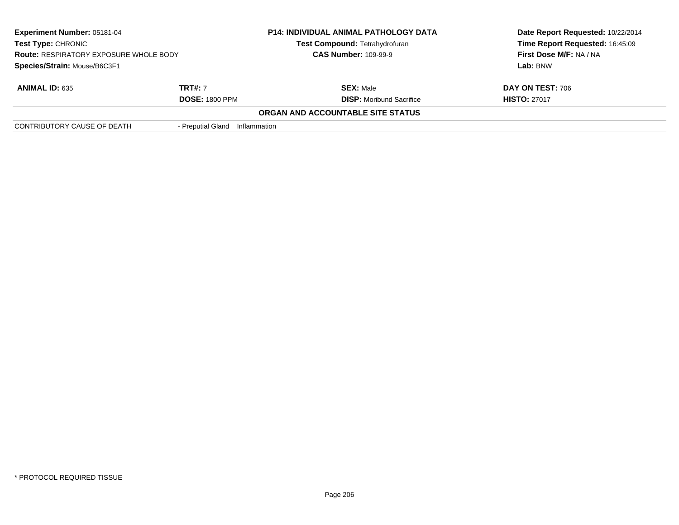| <b>Experiment Number: 05181-04</b><br>Test Type: CHRONIC<br><b>Route: RESPIRATORY EXPOSURE WHOLE BODY</b><br>Species/Strain: Mouse/B6C3F1 |                                         | <b>P14: INDIVIDUAL ANIMAL PATHOLOGY DATA</b><br>Test Compound: Tetrahydrofuran<br><b>CAS Number: 109-99-9</b> | Date Report Requested: 10/22/2014<br>Time Report Requested: 16:45:09<br>First Dose M/F: NA / NA<br>Lab: BNW |
|-------------------------------------------------------------------------------------------------------------------------------------------|-----------------------------------------|---------------------------------------------------------------------------------------------------------------|-------------------------------------------------------------------------------------------------------------|
| <b>ANIMAL ID: 635</b>                                                                                                                     | <b>TRT#:</b> 7<br><b>DOSE: 1800 PPM</b> | <b>SEX: Male</b><br><b>DISP:</b> Moribund Sacrifice                                                           | DAY ON TEST: 706<br><b>HISTO: 27017</b>                                                                     |
|                                                                                                                                           |                                         | ORGAN AND ACCOUNTABLE SITE STATUS                                                                             |                                                                                                             |
| CONTRIBUTORY CAUSE OF DEATH                                                                                                               | - Preputial Gland                       | Inflammation                                                                                                  |                                                                                                             |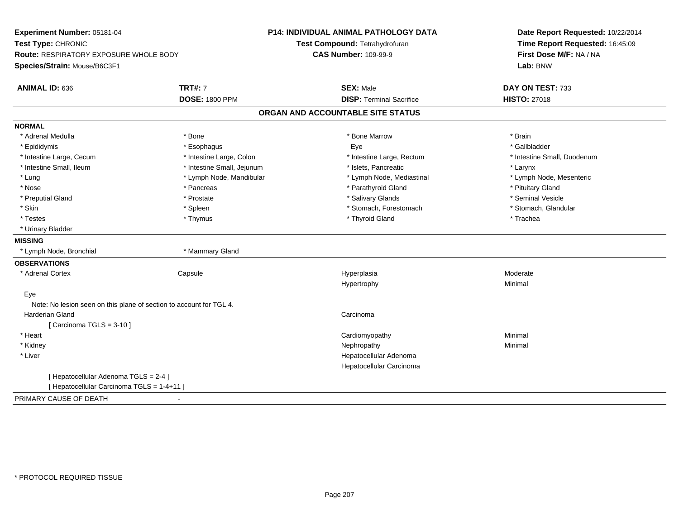| Experiment Number: 05181-04<br>Test Type: CHRONIC<br><b>Route: RESPIRATORY EXPOSURE WHOLE BODY</b> |                            | <b>P14: INDIVIDUAL ANIMAL PATHOLOGY DATA</b> | Date Report Requested: 10/22/2014 |  |
|----------------------------------------------------------------------------------------------------|----------------------------|----------------------------------------------|-----------------------------------|--|
|                                                                                                    |                            | Test Compound: Tetrahydrofuran               | Time Report Requested: 16:45:09   |  |
|                                                                                                    |                            | <b>CAS Number: 109-99-9</b>                  | First Dose M/F: NA / NA           |  |
| Species/Strain: Mouse/B6C3F1                                                                       |                            |                                              | Lab: BNW                          |  |
| ANIMAL ID: 636                                                                                     | <b>TRT#: 7</b>             | <b>SEX: Male</b>                             | DAY ON TEST: 733                  |  |
|                                                                                                    | <b>DOSE: 1800 PPM</b>      | <b>DISP: Terminal Sacrifice</b>              | <b>HISTO: 27018</b>               |  |
|                                                                                                    |                            | ORGAN AND ACCOUNTABLE SITE STATUS            |                                   |  |
| <b>NORMAL</b>                                                                                      |                            |                                              |                                   |  |
| * Adrenal Medulla                                                                                  | * Bone                     | * Bone Marrow                                | * Brain                           |  |
| * Epididymis                                                                                       | * Esophagus                | Eye                                          | * Gallbladder                     |  |
| * Intestine Large, Cecum                                                                           | * Intestine Large, Colon   | * Intestine Large, Rectum                    | * Intestine Small, Duodenum       |  |
| * Intestine Small, Ileum                                                                           | * Intestine Small, Jejunum | * Islets, Pancreatic                         | * Larynx                          |  |
| * Lung                                                                                             | * Lymph Node, Mandibular   | * Lymph Node, Mediastinal                    | * Lymph Node, Mesenteric          |  |
| * Nose                                                                                             | * Pancreas                 | * Parathyroid Gland                          | * Pituitary Gland                 |  |
| * Preputial Gland                                                                                  | * Prostate                 | * Salivary Glands                            | * Seminal Vesicle                 |  |
| * Skin                                                                                             | * Spleen                   | * Stomach, Forestomach                       | * Stomach, Glandular              |  |
| * Testes                                                                                           | * Thymus                   | * Thyroid Gland                              | * Trachea                         |  |
| * Urinary Bladder                                                                                  |                            |                                              |                                   |  |
| <b>MISSING</b>                                                                                     |                            |                                              |                                   |  |
| * Lymph Node, Bronchial                                                                            | * Mammary Gland            |                                              |                                   |  |
| <b>OBSERVATIONS</b>                                                                                |                            |                                              |                                   |  |
| * Adrenal Cortex                                                                                   | Capsule                    | Hyperplasia                                  | Moderate                          |  |
|                                                                                                    |                            | Hypertrophy                                  | Minimal                           |  |
| Eye                                                                                                |                            |                                              |                                   |  |
| Note: No lesion seen on this plane of section to account for TGL 4.                                |                            |                                              |                                   |  |
| <b>Harderian Gland</b>                                                                             |                            | Carcinoma                                    |                                   |  |
| [Carcinoma TGLS = $3-10$ ]                                                                         |                            |                                              |                                   |  |
| * Heart                                                                                            |                            | Cardiomyopathy                               | Minimal                           |  |
| * Kidney                                                                                           |                            | Nephropathy                                  | Minimal                           |  |
| * Liver                                                                                            |                            | Hepatocellular Adenoma                       |                                   |  |
|                                                                                                    |                            | Hepatocellular Carcinoma                     |                                   |  |
| [ Hepatocellular Adenoma TGLS = 2-4 ]                                                              |                            |                                              |                                   |  |
| [ Hepatocellular Carcinoma TGLS = 1-4+11 ]                                                         |                            |                                              |                                   |  |
| PRIMARY CAUSE OF DEATH<br>$\blacksquare$                                                           |                            |                                              |                                   |  |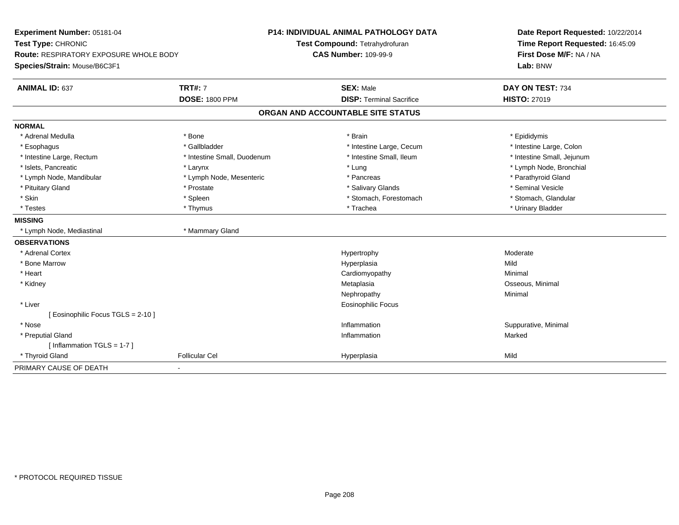| Experiment Number: 05181-04                   | P14: INDIVIDUAL ANIMAL PATHOLOGY DATA |                                   | Date Report Requested: 10/22/2014 |
|-----------------------------------------------|---------------------------------------|-----------------------------------|-----------------------------------|
| Test Type: CHRONIC                            |                                       | Test Compound: Tetrahydrofuran    | Time Report Requested: 16:45:09   |
| <b>Route: RESPIRATORY EXPOSURE WHOLE BODY</b> |                                       | <b>CAS Number: 109-99-9</b>       | First Dose M/F: NA / NA           |
| Species/Strain: Mouse/B6C3F1                  |                                       |                                   | Lab: BNW                          |
| <b>ANIMAL ID: 637</b>                         | <b>TRT#: 7</b>                        | <b>SEX: Male</b>                  | DAY ON TEST: 734                  |
|                                               | <b>DOSE: 1800 PPM</b>                 | <b>DISP: Terminal Sacrifice</b>   | <b>HISTO: 27019</b>               |
|                                               |                                       | ORGAN AND ACCOUNTABLE SITE STATUS |                                   |
| <b>NORMAL</b>                                 |                                       |                                   |                                   |
| * Adrenal Medulla                             | * Bone                                | * Brain                           | * Epididymis                      |
| * Esophagus                                   | * Gallbladder                         | * Intestine Large, Cecum          | * Intestine Large, Colon          |
| * Intestine Large, Rectum                     | * Intestine Small, Duodenum           | * Intestine Small. Ileum          | * Intestine Small, Jejunum        |
| * Islets, Pancreatic                          | * Larynx                              | * Lung                            | * Lymph Node, Bronchial           |
| * Lymph Node, Mandibular                      | * Lymph Node, Mesenteric              | * Pancreas                        | * Parathyroid Gland               |
| * Pituitary Gland                             | * Prostate                            | * Salivary Glands                 | * Seminal Vesicle                 |
| * Skin                                        | * Spleen                              | * Stomach, Forestomach            | * Stomach, Glandular              |
| * Testes                                      | * Thymus                              | * Trachea                         | * Urinary Bladder                 |
| <b>MISSING</b>                                |                                       |                                   |                                   |
| * Lymph Node, Mediastinal                     | * Mammary Gland                       |                                   |                                   |
| <b>OBSERVATIONS</b>                           |                                       |                                   |                                   |
| * Adrenal Cortex                              |                                       | Hypertrophy                       | Moderate                          |
| * Bone Marrow                                 |                                       | Hyperplasia                       | Mild                              |
| * Heart                                       |                                       | Cardiomyopathy                    | Minimal                           |
| * Kidney                                      |                                       | Metaplasia                        | Osseous, Minimal                  |
|                                               |                                       | Nephropathy                       | Minimal                           |
| * Liver                                       |                                       | <b>Eosinophilic Focus</b>         |                                   |
| [Eosinophilic Focus TGLS = 2-10]              |                                       |                                   |                                   |
| * Nose                                        |                                       | Inflammation                      | Suppurative, Minimal              |
| * Preputial Gland                             |                                       | Inflammation                      | Marked                            |
| [Inflammation TGLS = 1-7]                     |                                       |                                   |                                   |
| * Thyroid Gland                               | <b>Follicular Cel</b>                 | Hyperplasia                       | Mild                              |
| PRIMARY CAUSE OF DEATH                        |                                       |                                   |                                   |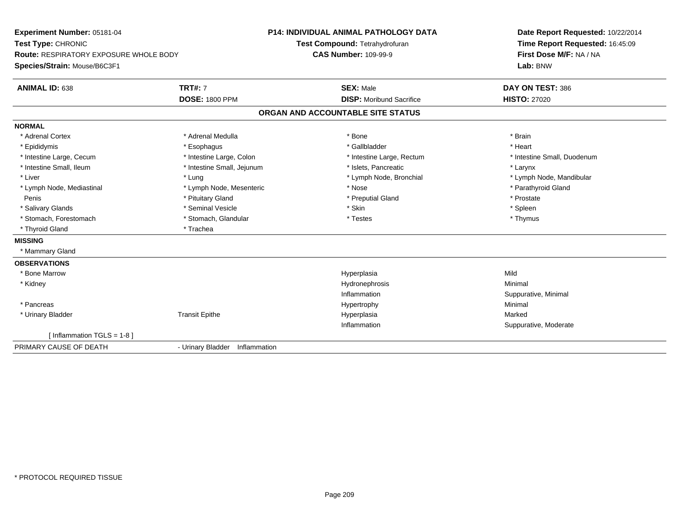| Experiment Number: 05181-04                   |                                   | P14: INDIVIDUAL ANIMAL PATHOLOGY DATA | Date Report Requested: 10/22/2014 |
|-----------------------------------------------|-----------------------------------|---------------------------------------|-----------------------------------|
| Test Type: CHRONIC                            |                                   | Test Compound: Tetrahydrofuran        | Time Report Requested: 16:45:09   |
| <b>Route: RESPIRATORY EXPOSURE WHOLE BODY</b> |                                   | <b>CAS Number: 109-99-9</b>           | First Dose M/F: NA / NA           |
| Species/Strain: Mouse/B6C3F1                  |                                   |                                       | Lab: BNW                          |
| <b>ANIMAL ID: 638</b>                         | <b>TRT#: 7</b>                    | <b>SEX: Male</b>                      | DAY ON TEST: 386                  |
|                                               | <b>DOSE: 1800 PPM</b>             | <b>DISP:</b> Moribund Sacrifice       | <b>HISTO: 27020</b>               |
|                                               |                                   | ORGAN AND ACCOUNTABLE SITE STATUS     |                                   |
| <b>NORMAL</b>                                 |                                   |                                       |                                   |
| * Adrenal Cortex                              | * Adrenal Medulla                 | * Bone                                | * Brain                           |
| * Epididymis                                  | * Esophagus                       | * Gallbladder                         | * Heart                           |
| * Intestine Large, Cecum                      | * Intestine Large, Colon          | * Intestine Large, Rectum             | * Intestine Small, Duodenum       |
| * Intestine Small, Ileum                      | * Intestine Small, Jejunum        | * Islets, Pancreatic                  | * Larynx                          |
| * Liver                                       | * Lung                            | * Lymph Node, Bronchial               | * Lymph Node, Mandibular          |
| * Lymph Node, Mediastinal                     | * Lymph Node, Mesenteric          | * Nose                                | * Parathyroid Gland               |
| Penis                                         | * Pituitary Gland                 | * Preputial Gland                     | * Prostate                        |
| * Salivary Glands                             | * Seminal Vesicle                 | * Skin                                | * Spleen                          |
| * Stomach, Forestomach                        | * Stomach, Glandular              | * Testes                              | * Thymus                          |
| * Thyroid Gland                               | * Trachea                         |                                       |                                   |
| <b>MISSING</b>                                |                                   |                                       |                                   |
| * Mammary Gland                               |                                   |                                       |                                   |
| <b>OBSERVATIONS</b>                           |                                   |                                       |                                   |
| * Bone Marrow                                 |                                   | Hyperplasia                           | Mild                              |
| * Kidney                                      |                                   | Hydronephrosis                        | Minimal                           |
|                                               |                                   | Inflammation                          | Suppurative, Minimal              |
| * Pancreas                                    |                                   | Hypertrophy                           | Minimal                           |
| * Urinary Bladder                             | <b>Transit Epithe</b>             | Hyperplasia                           | Marked                            |
|                                               |                                   | Inflammation                          | Suppurative, Moderate             |
| [Inflammation TGLS = $1-8$ ]                  |                                   |                                       |                                   |
| PRIMARY CAUSE OF DEATH                        | - Urinary Bladder<br>Inflammation |                                       |                                   |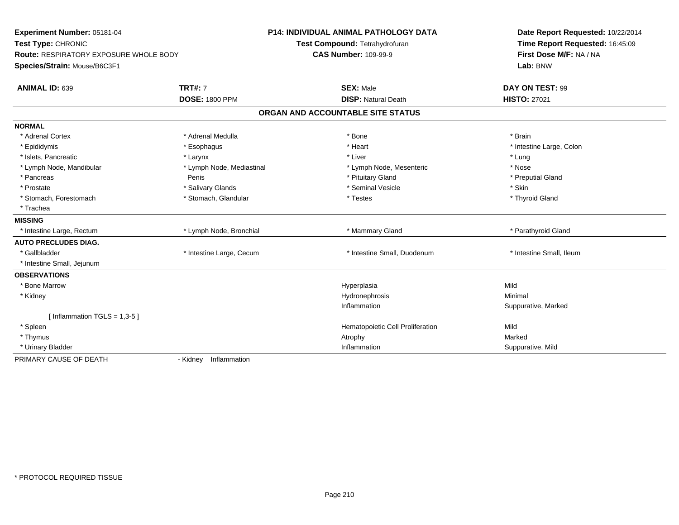| Experiment Number: 05181-04<br>Test Type: CHRONIC<br>Route: RESPIRATORY EXPOSURE WHOLE BODY<br>Species/Strain: Mouse/B6C3F1 |                           | <b>P14: INDIVIDUAL ANIMAL PATHOLOGY DATA</b><br>Test Compound: Tetrahydrofuran<br><b>CAS Number: 109-99-9</b> | Date Report Requested: 10/22/2014<br>Time Report Requested: 16:45:09<br>First Dose M/F: NA / NA<br>Lab: BNW |  |
|-----------------------------------------------------------------------------------------------------------------------------|---------------------------|---------------------------------------------------------------------------------------------------------------|-------------------------------------------------------------------------------------------------------------|--|
| <b>ANIMAL ID: 639</b>                                                                                                       | <b>TRT#: 7</b>            | <b>SEX: Male</b>                                                                                              | DAY ON TEST: 99                                                                                             |  |
|                                                                                                                             | <b>DOSE: 1800 PPM</b>     | <b>DISP: Natural Death</b>                                                                                    | <b>HISTO: 27021</b>                                                                                         |  |
|                                                                                                                             |                           | ORGAN AND ACCOUNTABLE SITE STATUS                                                                             |                                                                                                             |  |
| <b>NORMAL</b>                                                                                                               |                           |                                                                                                               |                                                                                                             |  |
| * Adrenal Cortex                                                                                                            | * Adrenal Medulla         | * Bone                                                                                                        | * Brain                                                                                                     |  |
| * Epididymis                                                                                                                | * Esophagus               | * Heart                                                                                                       | * Intestine Large, Colon                                                                                    |  |
| * Islets, Pancreatic                                                                                                        | * Larynx                  | * Liver                                                                                                       | * Lung                                                                                                      |  |
| * Lymph Node, Mandibular                                                                                                    | * Lymph Node, Mediastinal | * Lymph Node, Mesenteric                                                                                      | * Nose                                                                                                      |  |
| * Pancreas                                                                                                                  | Penis                     | * Pituitary Gland                                                                                             | * Preputial Gland                                                                                           |  |
| * Prostate                                                                                                                  | * Salivary Glands         | * Seminal Vesicle                                                                                             | * Skin                                                                                                      |  |
| * Stomach, Forestomach                                                                                                      | * Stomach, Glandular      | * Testes                                                                                                      | * Thyroid Gland                                                                                             |  |
| * Trachea                                                                                                                   |                           |                                                                                                               |                                                                                                             |  |
| <b>MISSING</b>                                                                                                              |                           |                                                                                                               |                                                                                                             |  |
| * Intestine Large, Rectum                                                                                                   | * Lymph Node, Bronchial   | * Mammary Gland                                                                                               | * Parathyroid Gland                                                                                         |  |
| <b>AUTO PRECLUDES DIAG.</b>                                                                                                 |                           |                                                                                                               |                                                                                                             |  |
| * Gallbladder                                                                                                               | * Intestine Large, Cecum  | * Intestine Small, Duodenum                                                                                   | * Intestine Small, Ileum                                                                                    |  |
| * Intestine Small, Jejunum                                                                                                  |                           |                                                                                                               |                                                                                                             |  |
| <b>OBSERVATIONS</b>                                                                                                         |                           |                                                                                                               |                                                                                                             |  |
| * Bone Marrow                                                                                                               |                           | Hyperplasia                                                                                                   | Mild                                                                                                        |  |
| * Kidney                                                                                                                    |                           | Hydronephrosis                                                                                                | Minimal                                                                                                     |  |
|                                                                                                                             |                           | Inflammation                                                                                                  | Suppurative, Marked                                                                                         |  |
| [Inflammation TGLS = $1,3-5$ ]                                                                                              |                           |                                                                                                               |                                                                                                             |  |
| * Spleen                                                                                                                    |                           | Hematopoietic Cell Proliferation                                                                              | Mild                                                                                                        |  |
| * Thymus                                                                                                                    |                           | Atrophy                                                                                                       | Marked                                                                                                      |  |
| * Urinary Bladder                                                                                                           |                           | Inflammation                                                                                                  | Suppurative, Mild                                                                                           |  |
| PRIMARY CAUSE OF DEATH                                                                                                      | Inflammation<br>- Kidney  |                                                                                                               |                                                                                                             |  |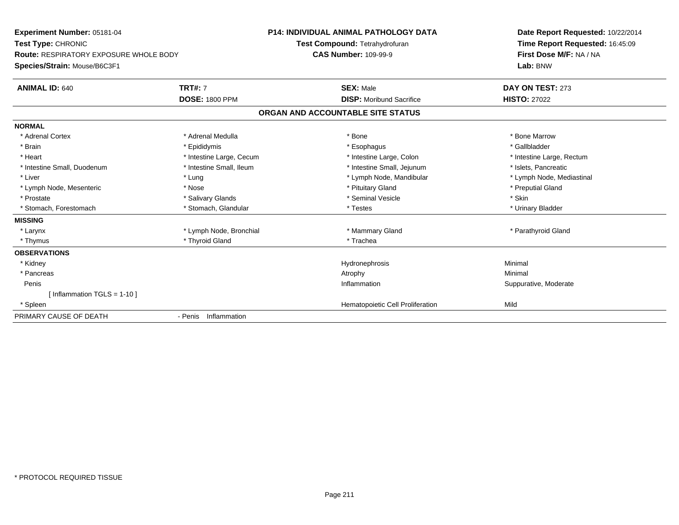| Experiment Number: 05181-04<br>Test Type: CHRONIC<br><b>Route: RESPIRATORY EXPOSURE WHOLE BODY</b><br>Species/Strain: Mouse/B6C3F1<br><b>TRT#: 7</b><br><b>ANIMAL ID: 640</b> |                          | <b>P14: INDIVIDUAL ANIMAL PATHOLOGY DATA</b><br>Test Compound: Tetrahydrofuran<br><b>CAS Number: 109-99-9</b><br><b>SEX: Male</b> | Date Report Requested: 10/22/2014<br>Time Report Requested: 16:45:09<br>First Dose M/F: NA / NA<br>Lab: BNW<br>DAY ON TEST: 273 |
|-------------------------------------------------------------------------------------------------------------------------------------------------------------------------------|--------------------------|-----------------------------------------------------------------------------------------------------------------------------------|---------------------------------------------------------------------------------------------------------------------------------|
|                                                                                                                                                                               | <b>DOSE: 1800 PPM</b>    | <b>DISP:</b> Moribund Sacrifice                                                                                                   | <b>HISTO: 27022</b>                                                                                                             |
|                                                                                                                                                                               |                          | ORGAN AND ACCOUNTABLE SITE STATUS                                                                                                 |                                                                                                                                 |
| <b>NORMAL</b>                                                                                                                                                                 |                          |                                                                                                                                   |                                                                                                                                 |
| * Adrenal Cortex                                                                                                                                                              | * Adrenal Medulla        | * Bone                                                                                                                            | * Bone Marrow                                                                                                                   |
| * Brain                                                                                                                                                                       | * Epididymis             | * Esophagus                                                                                                                       | * Gallbladder                                                                                                                   |
| * Heart                                                                                                                                                                       | * Intestine Large, Cecum | * Intestine Large, Colon                                                                                                          | * Intestine Large, Rectum                                                                                                       |
| * Intestine Small, Duodenum                                                                                                                                                   | * Intestine Small, Ileum | * Intestine Small, Jejunum                                                                                                        | * Islets, Pancreatic                                                                                                            |
| * Liver                                                                                                                                                                       | * Lung                   | * Lymph Node, Mandibular                                                                                                          | * Lymph Node, Mediastinal                                                                                                       |
| * Lymph Node, Mesenteric                                                                                                                                                      | * Nose                   | * Pituitary Gland                                                                                                                 | * Preputial Gland                                                                                                               |
| * Prostate                                                                                                                                                                    | * Salivary Glands        | * Seminal Vesicle                                                                                                                 | * Skin                                                                                                                          |
| * Stomach, Forestomach                                                                                                                                                        | * Stomach, Glandular     | * Testes                                                                                                                          | * Urinary Bladder                                                                                                               |
| <b>MISSING</b>                                                                                                                                                                |                          |                                                                                                                                   |                                                                                                                                 |
| * Larynx                                                                                                                                                                      | * Lymph Node, Bronchial  | * Mammary Gland                                                                                                                   | * Parathyroid Gland                                                                                                             |
| * Thymus                                                                                                                                                                      | * Thyroid Gland          | * Trachea                                                                                                                         |                                                                                                                                 |
| <b>OBSERVATIONS</b>                                                                                                                                                           |                          |                                                                                                                                   |                                                                                                                                 |
| * Kidney                                                                                                                                                                      |                          | Hydronephrosis                                                                                                                    | Minimal                                                                                                                         |
| * Pancreas                                                                                                                                                                    |                          | Atrophy                                                                                                                           | Minimal                                                                                                                         |
| Penis                                                                                                                                                                         |                          | Inflammation                                                                                                                      | Suppurative, Moderate                                                                                                           |
| [ Inflammation TGLS = 1-10 ]                                                                                                                                                  |                          |                                                                                                                                   |                                                                                                                                 |
| * Spleen                                                                                                                                                                      |                          | Hematopoietic Cell Proliferation                                                                                                  | Mild                                                                                                                            |
| PRIMARY CAUSE OF DEATH                                                                                                                                                        | - Penis Inflammation     |                                                                                                                                   |                                                                                                                                 |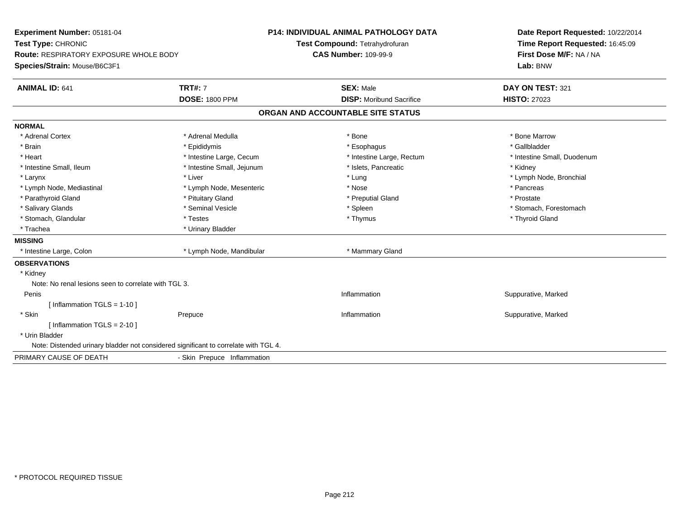| Experiment Number: 05181-04<br>Test Type: CHRONIC                                   |                             | <b>P14: INDIVIDUAL ANIMAL PATHOLOGY DATA</b><br>Test Compound: Tetrahydrofuran | Date Report Requested: 10/22/2014<br>Time Report Requested: 16:45:09 |
|-------------------------------------------------------------------------------------|-----------------------------|--------------------------------------------------------------------------------|----------------------------------------------------------------------|
| Route: RESPIRATORY EXPOSURE WHOLE BODY                                              |                             | <b>CAS Number: 109-99-9</b>                                                    | First Dose M/F: NA / NA                                              |
| Species/Strain: Mouse/B6C3F1                                                        |                             |                                                                                | Lab: BNW                                                             |
|                                                                                     |                             |                                                                                |                                                                      |
| <b>ANIMAL ID: 641</b>                                                               | <b>TRT#: 7</b>              | <b>SEX: Male</b>                                                               | DAY ON TEST: 321                                                     |
|                                                                                     | <b>DOSE: 1800 PPM</b>       | <b>DISP:</b> Moribund Sacrifice                                                | <b>HISTO: 27023</b>                                                  |
|                                                                                     |                             | ORGAN AND ACCOUNTABLE SITE STATUS                                              |                                                                      |
| <b>NORMAL</b>                                                                       |                             |                                                                                |                                                                      |
| * Adrenal Cortex                                                                    | * Adrenal Medulla           | * Bone                                                                         | * Bone Marrow                                                        |
| * Brain                                                                             | * Epididymis                | * Esophagus                                                                    | * Gallbladder                                                        |
| * Heart                                                                             | * Intestine Large, Cecum    | * Intestine Large, Rectum                                                      | * Intestine Small, Duodenum                                          |
| * Intestine Small, Ileum                                                            | * Intestine Small, Jejunum  | * Islets, Pancreatic                                                           | * Kidney                                                             |
| * Larynx                                                                            | * Liver                     | * Lung                                                                         | * Lymph Node, Bronchial                                              |
| * Lymph Node, Mediastinal                                                           | * Lymph Node, Mesenteric    | * Nose                                                                         | * Pancreas                                                           |
| * Parathyroid Gland                                                                 | * Pituitary Gland           | * Preputial Gland                                                              | * Prostate                                                           |
| * Salivary Glands                                                                   | * Seminal Vesicle           | * Spleen                                                                       | * Stomach, Forestomach                                               |
| * Stomach, Glandular                                                                | * Testes                    | * Thymus                                                                       | * Thyroid Gland                                                      |
| * Trachea                                                                           | * Urinary Bladder           |                                                                                |                                                                      |
| <b>MISSING</b>                                                                      |                             |                                                                                |                                                                      |
| * Intestine Large, Colon                                                            | * Lymph Node, Mandibular    | * Mammary Gland                                                                |                                                                      |
| <b>OBSERVATIONS</b>                                                                 |                             |                                                                                |                                                                      |
| * Kidney                                                                            |                             |                                                                                |                                                                      |
| Note: No renal lesions seen to correlate with TGL 3.                                |                             |                                                                                |                                                                      |
| Penis                                                                               |                             | Inflammation                                                                   | Suppurative, Marked                                                  |
| [Inflammation TGLS = $1-10$ ]                                                       |                             |                                                                                |                                                                      |
| * Skin                                                                              | Prepuce                     | Inflammation                                                                   | Suppurative, Marked                                                  |
| [Inflammation TGLS = $2-10$ ]                                                       |                             |                                                                                |                                                                      |
| * Urin Bladder                                                                      |                             |                                                                                |                                                                      |
| Note: Distended urinary bladder not considered significant to correlate with TGL 4. |                             |                                                                                |                                                                      |
| PRIMARY CAUSE OF DEATH                                                              | - Skin Prepuce Inflammation |                                                                                |                                                                      |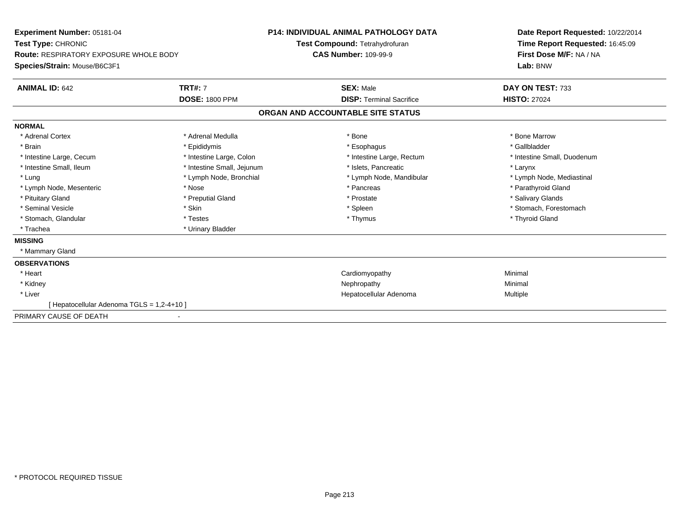| Experiment Number: 05181-04<br>Test Type: CHRONIC<br><b>Route: RESPIRATORY EXPOSURE WHOLE BODY</b><br>Species/Strain: Mouse/B6C3F1 |                                         | <b>P14: INDIVIDUAL ANIMAL PATHOLOGY DATA</b><br>Test Compound: Tetrahydrofuran<br><b>CAS Number: 109-99-9</b> |                                                     | Date Report Requested: 10/22/2014<br>Time Report Requested: 16:45:09<br>First Dose M/F: NA / NA<br>Lab: BNW |  |
|------------------------------------------------------------------------------------------------------------------------------------|-----------------------------------------|---------------------------------------------------------------------------------------------------------------|-----------------------------------------------------|-------------------------------------------------------------------------------------------------------------|--|
| <b>ANIMAL ID: 642</b>                                                                                                              | <b>TRT#: 7</b><br><b>DOSE: 1800 PPM</b> |                                                                                                               | <b>SEX: Male</b><br><b>DISP: Terminal Sacrifice</b> | DAY ON TEST: 733<br><b>HISTO: 27024</b>                                                                     |  |
|                                                                                                                                    |                                         |                                                                                                               | ORGAN AND ACCOUNTABLE SITE STATUS                   |                                                                                                             |  |
| <b>NORMAL</b>                                                                                                                      |                                         |                                                                                                               |                                                     |                                                                                                             |  |
| * Adrenal Cortex                                                                                                                   | * Adrenal Medulla                       |                                                                                                               | * Bone                                              | * Bone Marrow                                                                                               |  |
| * Brain                                                                                                                            | * Epididymis                            |                                                                                                               | * Esophagus                                         | * Gallbladder                                                                                               |  |
| * Intestine Large, Cecum                                                                                                           | * Intestine Large, Colon                |                                                                                                               | * Intestine Large, Rectum                           | * Intestine Small, Duodenum                                                                                 |  |
| * Intestine Small, Ileum                                                                                                           | * Intestine Small, Jejunum              |                                                                                                               | * Islets, Pancreatic                                | * Larynx                                                                                                    |  |
| * Lung                                                                                                                             | * Lymph Node, Bronchial                 |                                                                                                               | * Lymph Node, Mandibular                            | * Lymph Node, Mediastinal                                                                                   |  |
| * Lymph Node, Mesenteric                                                                                                           | * Nose                                  |                                                                                                               | * Pancreas                                          | * Parathyroid Gland                                                                                         |  |
| * Pituitary Gland                                                                                                                  | * Preputial Gland                       |                                                                                                               | * Prostate                                          | * Salivary Glands                                                                                           |  |
| * Seminal Vesicle                                                                                                                  | * Skin                                  |                                                                                                               | * Spleen                                            | * Stomach, Forestomach                                                                                      |  |
| * Stomach, Glandular                                                                                                               | * Testes                                |                                                                                                               | * Thymus                                            | * Thyroid Gland                                                                                             |  |
| * Trachea                                                                                                                          | * Urinary Bladder                       |                                                                                                               |                                                     |                                                                                                             |  |
| <b>MISSING</b>                                                                                                                     |                                         |                                                                                                               |                                                     |                                                                                                             |  |
| * Mammary Gland                                                                                                                    |                                         |                                                                                                               |                                                     |                                                                                                             |  |
| <b>OBSERVATIONS</b>                                                                                                                |                                         |                                                                                                               |                                                     |                                                                                                             |  |
| * Heart                                                                                                                            |                                         |                                                                                                               | Cardiomyopathy                                      | Minimal                                                                                                     |  |
| * Kidney                                                                                                                           |                                         |                                                                                                               | Nephropathy                                         | Minimal                                                                                                     |  |
| * Liver                                                                                                                            |                                         |                                                                                                               | Hepatocellular Adenoma                              | Multiple                                                                                                    |  |
| [ Hepatocellular Adenoma TGLS = 1,2-4+10 ]                                                                                         |                                         |                                                                                                               |                                                     |                                                                                                             |  |
| PRIMARY CAUSE OF DEATH                                                                                                             |                                         |                                                                                                               |                                                     |                                                                                                             |  |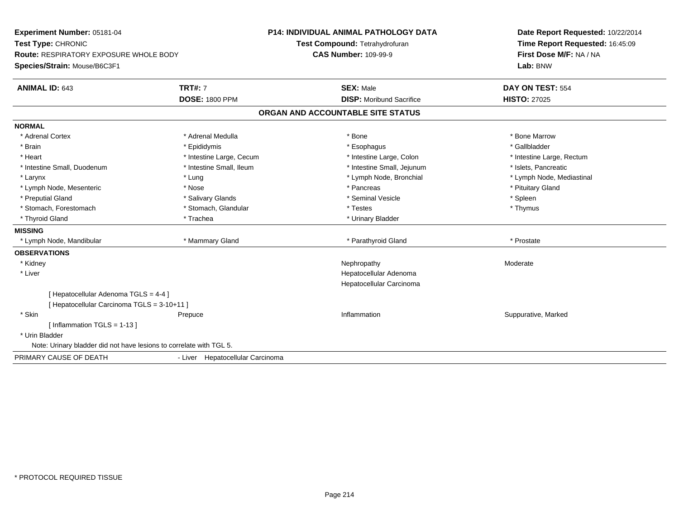| Experiment Number: 05181-04                                         |                                  | <b>P14: INDIVIDUAL ANIMAL PATHOLOGY DATA</b> | Date Report Requested: 10/22/2014 |
|---------------------------------------------------------------------|----------------------------------|----------------------------------------------|-----------------------------------|
| Test Type: CHRONIC                                                  |                                  | Test Compound: Tetrahydrofuran               | Time Report Requested: 16:45:09   |
| Route: RESPIRATORY EXPOSURE WHOLE BODY                              |                                  | <b>CAS Number: 109-99-9</b>                  | First Dose M/F: NA / NA           |
| Species/Strain: Mouse/B6C3F1                                        |                                  |                                              | Lab: BNW                          |
| <b>ANIMAL ID: 643</b>                                               | <b>TRT#: 7</b>                   | <b>SEX: Male</b>                             | DAY ON TEST: 554                  |
|                                                                     | <b>DOSE: 1800 PPM</b>            | <b>DISP:</b> Moribund Sacrifice              | <b>HISTO: 27025</b>               |
|                                                                     |                                  | ORGAN AND ACCOUNTABLE SITE STATUS            |                                   |
| <b>NORMAL</b>                                                       |                                  |                                              |                                   |
| * Adrenal Cortex                                                    | * Adrenal Medulla                | * Bone                                       | * Bone Marrow                     |
| * Brain                                                             | * Epididymis                     | * Esophagus                                  | * Gallbladder                     |
| * Heart                                                             | * Intestine Large, Cecum         | * Intestine Large, Colon                     | * Intestine Large, Rectum         |
| * Intestine Small, Duodenum                                         | * Intestine Small, Ileum         | * Intestine Small, Jejunum                   | * Islets, Pancreatic              |
| * Larynx                                                            | * Lung                           | * Lymph Node, Bronchial                      | * Lymph Node, Mediastinal         |
| * Lymph Node, Mesenteric                                            | * Nose                           | * Pancreas                                   | * Pituitary Gland                 |
| * Preputial Gland                                                   | * Salivary Glands                | * Seminal Vesicle                            | * Spleen                          |
| * Stomach, Forestomach                                              | * Stomach, Glandular             | * Testes                                     | * Thymus                          |
| * Thyroid Gland                                                     | * Trachea                        | * Urinary Bladder                            |                                   |
| <b>MISSING</b>                                                      |                                  |                                              |                                   |
| * Lymph Node, Mandibular                                            | * Mammary Gland                  | * Parathyroid Gland                          | * Prostate                        |
| <b>OBSERVATIONS</b>                                                 |                                  |                                              |                                   |
| * Kidney                                                            |                                  | Nephropathy                                  | Moderate                          |
| * Liver                                                             |                                  | Hepatocellular Adenoma                       |                                   |
|                                                                     |                                  | Hepatocellular Carcinoma                     |                                   |
| [Hepatocellular Adenoma TGLS = 4-4]                                 |                                  |                                              |                                   |
| [Hepatocellular Carcinoma TGLS = 3-10+11]                           |                                  |                                              |                                   |
| * Skin                                                              | Prepuce                          | Inflammation                                 | Suppurative, Marked               |
| [Inflammation TGLS = $1-13$ ]                                       |                                  |                                              |                                   |
| * Urin Bladder                                                      |                                  |                                              |                                   |
| Note: Urinary bladder did not have lesions to correlate with TGL 5. |                                  |                                              |                                   |
| PRIMARY CAUSE OF DEATH                                              | - Liver Hepatocellular Carcinoma |                                              |                                   |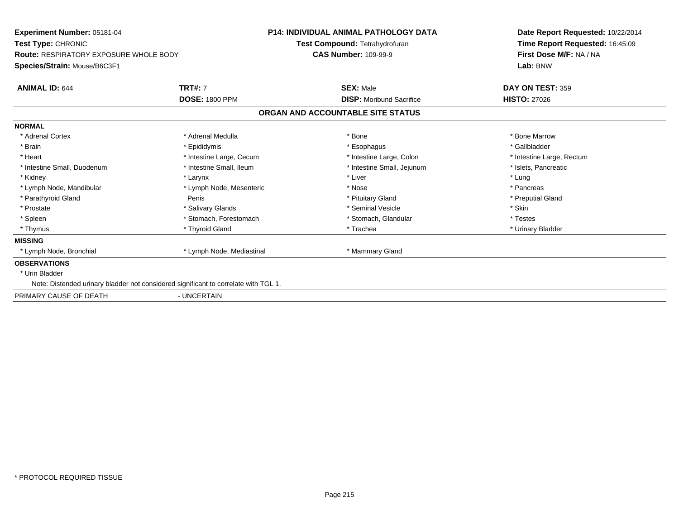| <b>Experiment Number: 05181-04</b><br>Test Type: CHRONIC<br><b>Route: RESPIRATORY EXPOSURE WHOLE BODY</b><br>Species/Strain: Mouse/B6C3F1 |                           | <b>P14: INDIVIDUAL ANIMAL PATHOLOGY DATA</b>                  | Date Report Requested: 10/22/2014                                      |
|-------------------------------------------------------------------------------------------------------------------------------------------|---------------------------|---------------------------------------------------------------|------------------------------------------------------------------------|
|                                                                                                                                           |                           | Test Compound: Tetrahydrofuran<br><b>CAS Number: 109-99-9</b> | Time Report Requested: 16:45:09<br>First Dose M/F: NA / NA<br>Lab: BNW |
| <b>ANIMAL ID: 644</b>                                                                                                                     | <b>TRT#: 7</b>            | <b>SEX: Male</b>                                              | DAY ON TEST: 359                                                       |
|                                                                                                                                           | <b>DOSE: 1800 PPM</b>     | <b>DISP: Moribund Sacrifice</b>                               | <b>HISTO: 27026</b>                                                    |
|                                                                                                                                           |                           | ORGAN AND ACCOUNTABLE SITE STATUS                             |                                                                        |
| <b>NORMAL</b>                                                                                                                             |                           |                                                               |                                                                        |
| * Adrenal Cortex                                                                                                                          | * Adrenal Medulla         | * Bone                                                        | * Bone Marrow                                                          |
| * Brain                                                                                                                                   | * Epididymis              | * Esophagus                                                   | * Gallbladder                                                          |
| * Heart                                                                                                                                   | * Intestine Large, Cecum  | * Intestine Large, Colon                                      | * Intestine Large, Rectum                                              |
| * Intestine Small, Duodenum                                                                                                               | * Intestine Small, Ileum  | * Intestine Small, Jejunum                                    | * Islets, Pancreatic                                                   |
| * Kidney                                                                                                                                  | * Larynx                  | * Liver                                                       | * Lung                                                                 |
| * Lymph Node, Mandibular                                                                                                                  | * Lymph Node, Mesenteric  | * Nose                                                        | * Pancreas                                                             |
| * Parathyroid Gland                                                                                                                       | Penis                     | * Pituitary Gland                                             | * Preputial Gland                                                      |
| * Prostate                                                                                                                                | * Salivary Glands         | * Seminal Vesicle                                             | * Skin                                                                 |
| * Spleen                                                                                                                                  | * Stomach. Forestomach    | * Stomach, Glandular                                          | * Testes                                                               |
| * Thymus                                                                                                                                  | * Thyroid Gland           | * Trachea                                                     | * Urinary Bladder                                                      |
| <b>MISSING</b>                                                                                                                            |                           |                                                               |                                                                        |
| * Lymph Node, Bronchial                                                                                                                   | * Lymph Node, Mediastinal | * Mammary Gland                                               |                                                                        |
| <b>OBSERVATIONS</b>                                                                                                                       |                           |                                                               |                                                                        |
| * Urin Bladder                                                                                                                            |                           |                                                               |                                                                        |
| Note: Distended urinary bladder not considered significant to correlate with TGL 1.                                                       |                           |                                                               |                                                                        |
| PRIMARY CAUSE OF DEATH                                                                                                                    | - UNCERTAIN               |                                                               |                                                                        |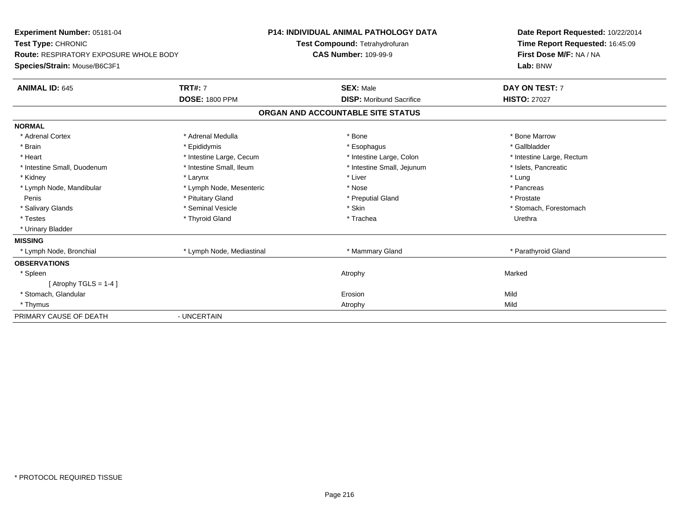| Experiment Number: 05181-04                   |                           | <b>P14: INDIVIDUAL ANIMAL PATHOLOGY DATA</b> | Date Report Requested: 10/22/2014 |  |
|-----------------------------------------------|---------------------------|----------------------------------------------|-----------------------------------|--|
| Test Type: CHRONIC                            |                           | Test Compound: Tetrahydrofuran               | Time Report Requested: 16:45:09   |  |
| <b>Route: RESPIRATORY EXPOSURE WHOLE BODY</b> |                           | <b>CAS Number: 109-99-9</b>                  | First Dose M/F: NA / NA           |  |
| Species/Strain: Mouse/B6C3F1                  |                           |                                              | Lab: BNW                          |  |
| <b>ANIMAL ID: 645</b>                         | <b>TRT#: 7</b>            | <b>SEX: Male</b>                             | DAY ON TEST: 7                    |  |
|                                               | <b>DOSE: 1800 PPM</b>     | <b>DISP:</b> Moribund Sacrifice              | <b>HISTO: 27027</b>               |  |
|                                               |                           | ORGAN AND ACCOUNTABLE SITE STATUS            |                                   |  |
| <b>NORMAL</b>                                 |                           |                                              |                                   |  |
| * Adrenal Cortex                              | * Adrenal Medulla         | * Bone                                       | * Bone Marrow                     |  |
| * Brain                                       | * Epididymis              | * Esophagus                                  | * Gallbladder                     |  |
| * Heart                                       | * Intestine Large, Cecum  | * Intestine Large, Colon                     | * Intestine Large, Rectum         |  |
| * Intestine Small, Duodenum                   | * Intestine Small, Ileum  | * Intestine Small, Jejunum                   | * Islets, Pancreatic              |  |
| * Kidney                                      | * Larynx                  | * Liver                                      | * Lung                            |  |
| * Lymph Node, Mandibular                      | * Lymph Node, Mesenteric  | * Nose                                       | * Pancreas                        |  |
| Penis                                         | * Pituitary Gland         | * Preputial Gland                            | * Prostate                        |  |
| * Salivary Glands                             | * Seminal Vesicle         | * Skin                                       | * Stomach, Forestomach            |  |
| * Testes                                      | * Thyroid Gland           | * Trachea                                    | Urethra                           |  |
| * Urinary Bladder                             |                           |                                              |                                   |  |
| <b>MISSING</b>                                |                           |                                              |                                   |  |
| * Lymph Node, Bronchial                       | * Lymph Node, Mediastinal | * Mammary Gland                              | * Parathyroid Gland               |  |
| <b>OBSERVATIONS</b>                           |                           |                                              |                                   |  |
| * Spleen                                      |                           | Atrophy                                      | Marked                            |  |
| [Atrophy TGLS = $1-4$ ]                       |                           |                                              |                                   |  |
| * Stomach, Glandular                          |                           | Erosion                                      | Mild                              |  |
| * Thymus                                      |                           | Atrophy                                      | Mild                              |  |
| PRIMARY CAUSE OF DEATH                        | - UNCERTAIN               |                                              |                                   |  |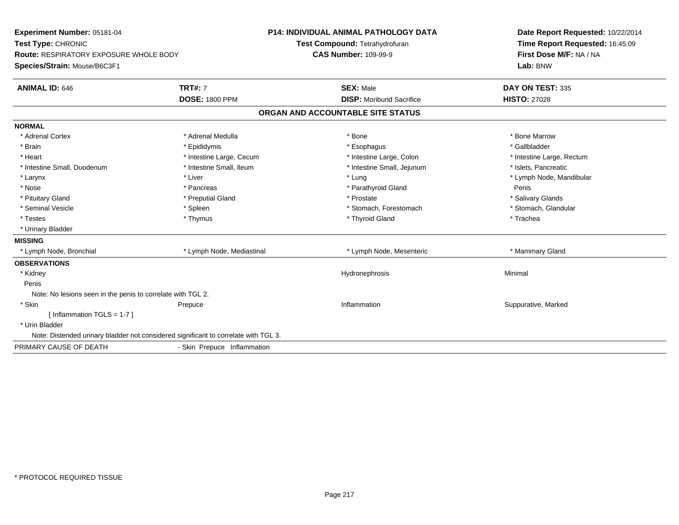| Experiment Number: 05181-04                                                         |                             | <b>P14: INDIVIDUAL ANIMAL PATHOLOGY DATA</b> | Date Report Requested: 10/22/2014                          |
|-------------------------------------------------------------------------------------|-----------------------------|----------------------------------------------|------------------------------------------------------------|
| Test Type: CHRONIC                                                                  |                             | Test Compound: Tetrahydrofuran               | Time Report Requested: 16:45:09<br>First Dose M/F: NA / NA |
| <b>Route: RESPIRATORY EXPOSURE WHOLE BODY</b>                                       |                             | <b>CAS Number: 109-99-9</b>                  |                                                            |
| Species/Strain: Mouse/B6C3F1                                                        |                             |                                              | Lab: BNW                                                   |
| <b>ANIMAL ID: 646</b>                                                               | <b>TRT#: 7</b>              | <b>SEX: Male</b>                             | DAY ON TEST: 335                                           |
|                                                                                     | <b>DOSE: 1800 PPM</b>       | <b>DISP:</b> Moribund Sacrifice              | <b>HISTO: 27028</b>                                        |
|                                                                                     |                             | ORGAN AND ACCOUNTABLE SITE STATUS            |                                                            |
| <b>NORMAL</b>                                                                       |                             |                                              |                                                            |
| * Adrenal Cortex                                                                    | * Adrenal Medulla           | * Bone                                       | * Bone Marrow                                              |
| * Brain                                                                             | * Epididymis                | * Esophagus                                  | * Gallbladder                                              |
| * Heart                                                                             | * Intestine Large, Cecum    | * Intestine Large, Colon                     | * Intestine Large, Rectum                                  |
| * Intestine Small, Duodenum                                                         | * Intestine Small, Ileum    | * Intestine Small, Jejunum                   | * Islets, Pancreatic                                       |
| * Larynx                                                                            | * Liver                     | * Lung                                       | * Lymph Node, Mandibular                                   |
| * Nose                                                                              | * Pancreas                  | * Parathyroid Gland                          | Penis                                                      |
| * Pituitary Gland                                                                   | * Preputial Gland           | * Prostate                                   | * Salivary Glands                                          |
| * Seminal Vesicle                                                                   | * Spleen                    | * Stomach, Forestomach                       | * Stomach, Glandular                                       |
| * Testes                                                                            | * Thymus                    | * Thyroid Gland                              | * Trachea                                                  |
| * Urinary Bladder                                                                   |                             |                                              |                                                            |
| <b>MISSING</b>                                                                      |                             |                                              |                                                            |
| * Lymph Node, Bronchial                                                             | * Lymph Node, Mediastinal   | * Lymph Node, Mesenteric                     | * Mammary Gland                                            |
| <b>OBSERVATIONS</b>                                                                 |                             |                                              |                                                            |
| * Kidney                                                                            |                             | Hydronephrosis                               | Minimal                                                    |
| Penis                                                                               |                             |                                              |                                                            |
| Note: No lesions seen in the penis to correlate with TGL 2.                         |                             |                                              |                                                            |
| * Skin                                                                              | Prepuce                     | Inflammation                                 | Suppurative, Marked                                        |
| [ Inflammation TGLS = 1-7 ]                                                         |                             |                                              |                                                            |
| * Urin Bladder                                                                      |                             |                                              |                                                            |
| Note: Distended urinary bladder not considered significant to correlate with TGL 3. |                             |                                              |                                                            |
| PRIMARY CAUSE OF DEATH                                                              | - Skin Prepuce Inflammation |                                              |                                                            |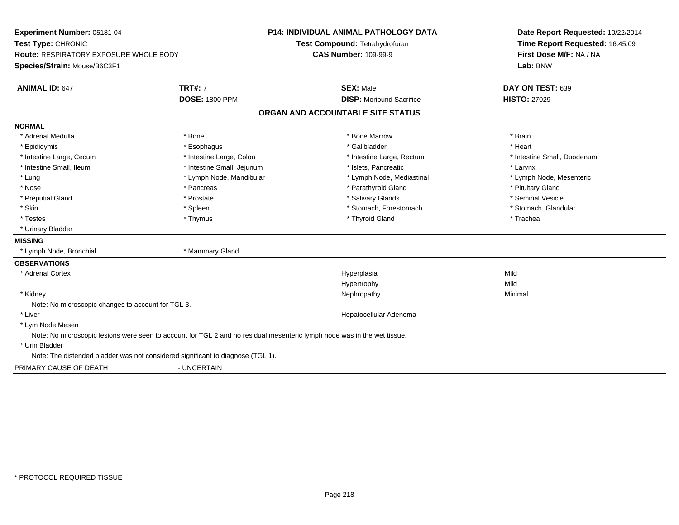| Experiment Number: 05181-04<br>Test Type: CHRONIC                               |                                                                                                                          | P14: INDIVIDUAL ANIMAL PATHOLOGY DATA | Date Report Requested: 10/22/2014 |
|---------------------------------------------------------------------------------|--------------------------------------------------------------------------------------------------------------------------|---------------------------------------|-----------------------------------|
|                                                                                 |                                                                                                                          | Test Compound: Tetrahydrofuran        | Time Report Requested: 16:45:09   |
| Route: RESPIRATORY EXPOSURE WHOLE BODY                                          |                                                                                                                          | <b>CAS Number: 109-99-9</b>           | First Dose M/F: NA / NA           |
| Species/Strain: Mouse/B6C3F1                                                    |                                                                                                                          |                                       | Lab: BNW                          |
| <b>ANIMAL ID: 647</b>                                                           | <b>TRT#: 7</b>                                                                                                           | <b>SEX: Male</b>                      | DAY ON TEST: 639                  |
|                                                                                 | <b>DOSE: 1800 PPM</b>                                                                                                    | <b>DISP:</b> Moribund Sacrifice       | <b>HISTO: 27029</b>               |
|                                                                                 |                                                                                                                          | ORGAN AND ACCOUNTABLE SITE STATUS     |                                   |
| <b>NORMAL</b>                                                                   |                                                                                                                          |                                       |                                   |
| * Adrenal Medulla                                                               | * Bone                                                                                                                   | * Bone Marrow                         | * Brain                           |
| * Epididymis                                                                    | * Esophagus                                                                                                              | * Gallbladder                         | * Heart                           |
| * Intestine Large, Cecum                                                        | * Intestine Large, Colon                                                                                                 | * Intestine Large, Rectum             | * Intestine Small, Duodenum       |
| * Intestine Small, Ileum                                                        | * Intestine Small, Jejunum                                                                                               | * Islets, Pancreatic                  | * Larynx                          |
| * Lung                                                                          | * Lymph Node, Mandibular                                                                                                 | * Lymph Node, Mediastinal             | * Lymph Node, Mesenteric          |
| * Nose                                                                          | * Pancreas                                                                                                               | * Parathyroid Gland                   | * Pituitary Gland                 |
| * Preputial Gland                                                               | * Prostate                                                                                                               | * Salivary Glands                     | * Seminal Vesicle                 |
| * Skin                                                                          | * Spleen                                                                                                                 | * Stomach, Forestomach                | * Stomach, Glandular              |
| * Testes                                                                        | * Thymus                                                                                                                 | * Thyroid Gland                       | * Trachea                         |
| * Urinary Bladder                                                               |                                                                                                                          |                                       |                                   |
| <b>MISSING</b>                                                                  |                                                                                                                          |                                       |                                   |
| * Lymph Node, Bronchial                                                         | * Mammary Gland                                                                                                          |                                       |                                   |
| <b>OBSERVATIONS</b>                                                             |                                                                                                                          |                                       |                                   |
| * Adrenal Cortex                                                                |                                                                                                                          | Hyperplasia                           | Mild                              |
|                                                                                 |                                                                                                                          | Hypertrophy                           | Mild                              |
| * Kidney                                                                        |                                                                                                                          | Nephropathy                           | Minimal                           |
| Note: No microscopic changes to account for TGL 3.                              |                                                                                                                          |                                       |                                   |
| * Liver                                                                         |                                                                                                                          | Hepatocellular Adenoma                |                                   |
| * Lym Node Mesen                                                                |                                                                                                                          |                                       |                                   |
|                                                                                 | Note: No microscopic lesions were seen to account for TGL 2 and no residual mesenteric lymph node was in the wet tissue. |                                       |                                   |
| * Urin Bladder                                                                  |                                                                                                                          |                                       |                                   |
| Note: The distended bladder was not considered significant to diagnose (TGL 1). |                                                                                                                          |                                       |                                   |
| PRIMARY CAUSE OF DEATH                                                          | - UNCERTAIN                                                                                                              |                                       |                                   |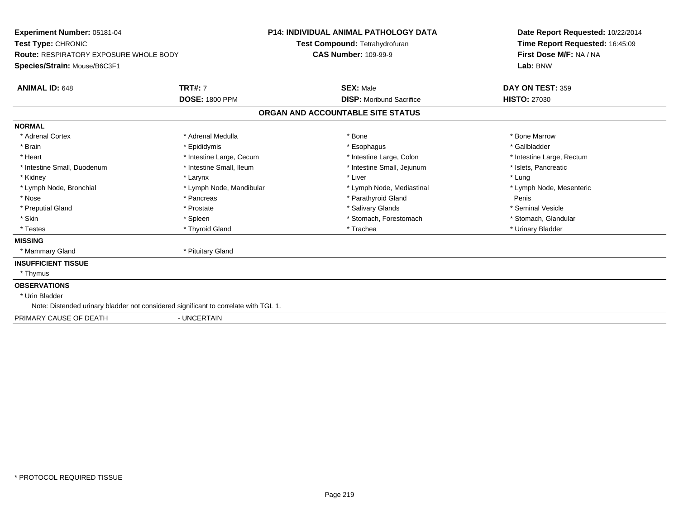| Experiment Number: 05181-04<br>Test Type: CHRONIC<br><b>Route: RESPIRATORY EXPOSURE WHOLE BODY</b><br>Species/Strain: Mouse/B6C3F1 |                                         | <b>P14: INDIVIDUAL ANIMAL PATHOLOGY DATA</b><br>Test Compound: Tetrahydrofuran<br><b>CAS Number: 109-99-9</b> | Date Report Requested: 10/22/2014<br>Time Report Requested: 16:45:09<br>First Dose M/F: NA / NA<br>Lab: BNW |  |
|------------------------------------------------------------------------------------------------------------------------------------|-----------------------------------------|---------------------------------------------------------------------------------------------------------------|-------------------------------------------------------------------------------------------------------------|--|
| <b>ANIMAL ID: 648</b>                                                                                                              | <b>TRT#: 7</b><br><b>DOSE: 1800 PPM</b> | <b>SEX: Male</b><br><b>DISP:</b> Moribund Sacrifice                                                           | DAY ON TEST: 359<br><b>HISTO: 27030</b>                                                                     |  |
|                                                                                                                                    |                                         | ORGAN AND ACCOUNTABLE SITE STATUS                                                                             |                                                                                                             |  |
|                                                                                                                                    |                                         |                                                                                                               |                                                                                                             |  |
| <b>NORMAL</b>                                                                                                                      |                                         |                                                                                                               |                                                                                                             |  |
| * Adrenal Cortex                                                                                                                   | * Adrenal Medulla                       | * Bone                                                                                                        | * Bone Marrow                                                                                               |  |
| * Brain                                                                                                                            | * Epididymis                            | * Esophagus                                                                                                   | * Gallbladder                                                                                               |  |
| * Heart                                                                                                                            | * Intestine Large, Cecum                | * Intestine Large, Colon                                                                                      | * Intestine Large, Rectum                                                                                   |  |
| * Intestine Small, Duodenum                                                                                                        | * Intestine Small, Ileum                | * Intestine Small, Jejunum                                                                                    | * Islets, Pancreatic                                                                                        |  |
| * Kidney                                                                                                                           | * Larynx                                | * Liver                                                                                                       | * Lung                                                                                                      |  |
| * Lymph Node, Bronchial                                                                                                            | * Lymph Node, Mandibular                | * Lymph Node, Mediastinal                                                                                     | * Lymph Node, Mesenteric                                                                                    |  |
| * Nose                                                                                                                             | * Pancreas                              | * Parathyroid Gland                                                                                           | Penis                                                                                                       |  |
| * Preputial Gland                                                                                                                  | * Prostate                              | * Salivary Glands                                                                                             | * Seminal Vesicle                                                                                           |  |
| * Skin                                                                                                                             | * Spleen                                | * Stomach, Forestomach                                                                                        | * Stomach, Glandular                                                                                        |  |
| * Testes                                                                                                                           | * Thyroid Gland                         | * Trachea                                                                                                     | * Urinary Bladder                                                                                           |  |
| <b>MISSING</b>                                                                                                                     |                                         |                                                                                                               |                                                                                                             |  |
| * Mammary Gland                                                                                                                    | * Pituitary Gland                       |                                                                                                               |                                                                                                             |  |
| <b>INSUFFICIENT TISSUE</b>                                                                                                         |                                         |                                                                                                               |                                                                                                             |  |
| * Thymus                                                                                                                           |                                         |                                                                                                               |                                                                                                             |  |
| <b>OBSERVATIONS</b>                                                                                                                |                                         |                                                                                                               |                                                                                                             |  |
| * Urin Bladder                                                                                                                     |                                         |                                                                                                               |                                                                                                             |  |
| Note: Distended urinary bladder not considered significant to correlate with TGL 1.                                                |                                         |                                                                                                               |                                                                                                             |  |
| PRIMARY CAUSE OF DEATH                                                                                                             | - UNCERTAIN                             |                                                                                                               |                                                                                                             |  |
|                                                                                                                                    |                                         |                                                                                                               |                                                                                                             |  |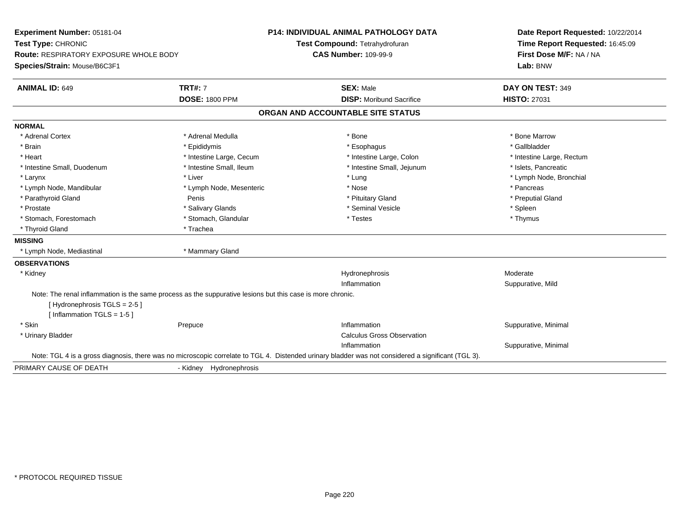| Experiment Number: 05181-04<br>Test Type: CHRONIC                                                          |                          | <b>P14: INDIVIDUAL ANIMAL PATHOLOGY DATA</b>                                                                                                       | Date Report Requested: 10/22/2014 |
|------------------------------------------------------------------------------------------------------------|--------------------------|----------------------------------------------------------------------------------------------------------------------------------------------------|-----------------------------------|
|                                                                                                            |                          | Test Compound: Tetrahydrofuran                                                                                                                     | Time Report Requested: 16:45:09   |
| Route: RESPIRATORY EXPOSURE WHOLE BODY                                                                     |                          | <b>CAS Number: 109-99-9</b>                                                                                                                        | First Dose M/F: NA / NA           |
| Species/Strain: Mouse/B6C3F1                                                                               |                          |                                                                                                                                                    | Lab: BNW                          |
| <b>ANIMAL ID: 649</b>                                                                                      | <b>TRT#: 7</b>           | <b>SEX: Male</b>                                                                                                                                   | DAY ON TEST: 349                  |
|                                                                                                            | <b>DOSE: 1800 PPM</b>    | <b>DISP:</b> Moribund Sacrifice                                                                                                                    | <b>HISTO: 27031</b>               |
|                                                                                                            |                          | ORGAN AND ACCOUNTABLE SITE STATUS                                                                                                                  |                                   |
| <b>NORMAL</b>                                                                                              |                          |                                                                                                                                                    |                                   |
| * Adrenal Cortex                                                                                           | * Adrenal Medulla        | * Bone                                                                                                                                             | * Bone Marrow                     |
| * Brain                                                                                                    | * Epididymis             | * Esophagus                                                                                                                                        | * Gallbladder                     |
| * Heart                                                                                                    | * Intestine Large, Cecum | * Intestine Large, Colon                                                                                                                           | * Intestine Large, Rectum         |
| * Intestine Small, Duodenum                                                                                | * Intestine Small, Ileum | * Intestine Small, Jejunum                                                                                                                         | * Islets, Pancreatic              |
| * Larynx                                                                                                   | * Liver                  | * Lung                                                                                                                                             | * Lymph Node, Bronchial           |
| * Lymph Node, Mandibular                                                                                   | * Lymph Node, Mesenteric | * Nose                                                                                                                                             | * Pancreas                        |
| * Parathyroid Gland                                                                                        | Penis                    | * Pituitary Gland                                                                                                                                  | * Preputial Gland                 |
| * Prostate                                                                                                 | * Salivary Glands        | * Seminal Vesicle                                                                                                                                  | * Spleen                          |
| * Stomach, Forestomach                                                                                     | * Stomach, Glandular     | * Testes                                                                                                                                           | * Thymus                          |
| * Thyroid Gland                                                                                            | * Trachea                |                                                                                                                                                    |                                   |
| <b>MISSING</b>                                                                                             |                          |                                                                                                                                                    |                                   |
| * Lymph Node, Mediastinal                                                                                  | * Mammary Gland          |                                                                                                                                                    |                                   |
| <b>OBSERVATIONS</b>                                                                                        |                          |                                                                                                                                                    |                                   |
| * Kidney                                                                                                   |                          | Hydronephrosis                                                                                                                                     | Moderate                          |
|                                                                                                            |                          | Inflammation                                                                                                                                       | Suppurative, Mild                 |
| Note: The renal inflammation is the same process as the suppurative lesions but this case is more chronic. |                          |                                                                                                                                                    |                                   |
| [Hydronephrosis TGLS = 2-5]                                                                                |                          |                                                                                                                                                    |                                   |
| [Inflammation TGLS = $1-5$ ]                                                                               |                          |                                                                                                                                                    |                                   |
| * Skin                                                                                                     | Prepuce                  | Inflammation                                                                                                                                       | Suppurative, Minimal              |
| * Urinary Bladder                                                                                          |                          | <b>Calculus Gross Observation</b>                                                                                                                  |                                   |
|                                                                                                            |                          | Inflammation                                                                                                                                       | Suppurative, Minimal              |
|                                                                                                            |                          | Note: TGL 4 is a gross diagnosis, there was no microscopic correlate to TGL 4. Distended urinary bladder was not considered a significant (TGL 3). |                                   |
| PRIMARY CAUSE OF DEATH                                                                                     | - Kidney Hydronephrosis  |                                                                                                                                                    |                                   |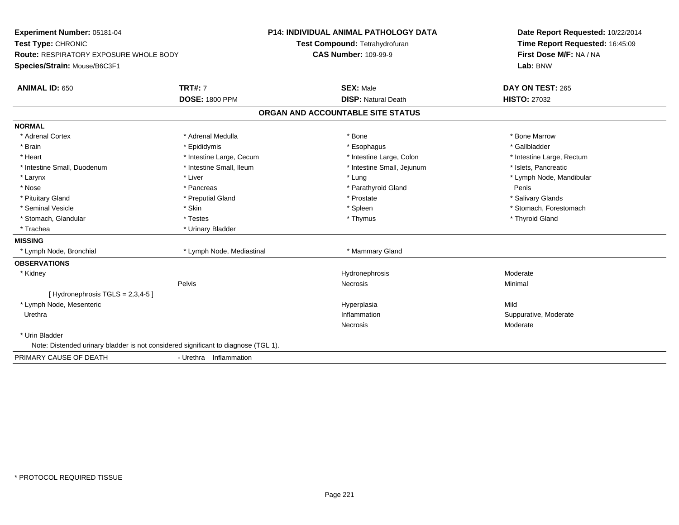| Experiment Number: 05181-04                                                        |                           | <b>P14: INDIVIDUAL ANIMAL PATHOLOGY DATA</b> | Date Report Requested: 10/22/2014 |
|------------------------------------------------------------------------------------|---------------------------|----------------------------------------------|-----------------------------------|
| Test Type: CHRONIC                                                                 |                           | Test Compound: Tetrahydrofuran               | Time Report Requested: 16:45:09   |
| Route: RESPIRATORY EXPOSURE WHOLE BODY                                             |                           | <b>CAS Number: 109-99-9</b>                  | First Dose M/F: NA / NA           |
| Species/Strain: Mouse/B6C3F1                                                       |                           |                                              | Lab: BNW                          |
| <b>ANIMAL ID: 650</b>                                                              | <b>TRT#: 7</b>            | <b>SEX: Male</b>                             | DAY ON TEST: 265                  |
|                                                                                    | <b>DOSE: 1800 PPM</b>     | <b>DISP: Natural Death</b>                   | <b>HISTO: 27032</b>               |
|                                                                                    |                           | ORGAN AND ACCOUNTABLE SITE STATUS            |                                   |
| <b>NORMAL</b>                                                                      |                           |                                              |                                   |
| * Adrenal Cortex                                                                   | * Adrenal Medulla         | * Bone                                       | * Bone Marrow                     |
| * Brain                                                                            | * Epididymis              | * Esophagus                                  | * Gallbladder                     |
| * Heart                                                                            | * Intestine Large, Cecum  | * Intestine Large, Colon                     | * Intestine Large, Rectum         |
| * Intestine Small, Duodenum                                                        | * Intestine Small, Ileum  | * Intestine Small, Jejunum                   | * Islets, Pancreatic              |
| * Larynx                                                                           | * Liver                   | * Lung                                       | * Lymph Node, Mandibular          |
| * Nose                                                                             | * Pancreas                | * Parathyroid Gland                          | Penis                             |
| * Pituitary Gland                                                                  | * Preputial Gland         | * Prostate                                   | * Salivary Glands                 |
| * Seminal Vesicle                                                                  | * Skin                    | * Spleen                                     | * Stomach, Forestomach            |
| * Stomach, Glandular                                                               | * Testes                  | * Thymus                                     | * Thyroid Gland                   |
| * Trachea                                                                          | * Urinary Bladder         |                                              |                                   |
| <b>MISSING</b>                                                                     |                           |                                              |                                   |
| * Lymph Node, Bronchial                                                            | * Lymph Node, Mediastinal | * Mammary Gland                              |                                   |
| <b>OBSERVATIONS</b>                                                                |                           |                                              |                                   |
| * Kidney                                                                           |                           | Hydronephrosis                               | Moderate                          |
|                                                                                    | Pelvis                    | <b>Necrosis</b>                              | Minimal                           |
| [Hydronephrosis TGLS = 2,3,4-5]                                                    |                           |                                              |                                   |
| * Lymph Node, Mesenteric                                                           |                           | Hyperplasia                                  | Mild                              |
| Urethra                                                                            |                           | Inflammation                                 | Suppurative, Moderate             |
|                                                                                    |                           | Necrosis                                     | Moderate                          |
| * Urin Bladder                                                                     |                           |                                              |                                   |
| Note: Distended urinary bladder is not considered significant to diagnose (TGL 1). |                           |                                              |                                   |
| PRIMARY CAUSE OF DEATH                                                             | - Urethra Inflammation    |                                              |                                   |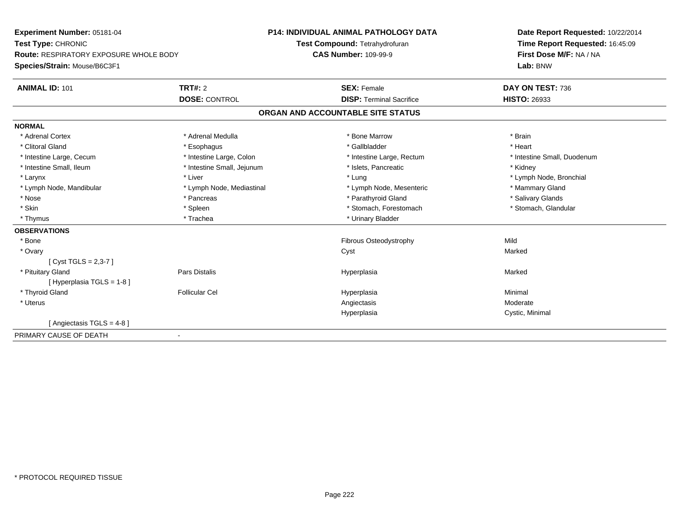| Experiment Number: 05181-04<br>Test Type: CHRONIC |                            | <b>P14: INDIVIDUAL ANIMAL PATHOLOGY DATA</b> | Date Report Requested: 10/22/2014 |
|---------------------------------------------------|----------------------------|----------------------------------------------|-----------------------------------|
|                                                   |                            | Test Compound: Tetrahydrofuran               | Time Report Requested: 16:45:09   |
| <b>Route: RESPIRATORY EXPOSURE WHOLE BODY</b>     |                            | <b>CAS Number: 109-99-9</b>                  | First Dose M/F: NA / NA           |
| Species/Strain: Mouse/B6C3F1                      |                            |                                              | Lab: BNW                          |
| <b>ANIMAL ID: 101</b>                             | TRT#: 2                    | <b>SEX: Female</b>                           | DAY ON TEST: 736                  |
|                                                   | <b>DOSE: CONTROL</b>       | <b>DISP: Terminal Sacrifice</b>              | <b>HISTO: 26933</b>               |
|                                                   |                            | ORGAN AND ACCOUNTABLE SITE STATUS            |                                   |
| <b>NORMAL</b>                                     |                            |                                              |                                   |
| * Adrenal Cortex                                  | * Adrenal Medulla          | * Bone Marrow                                | * Brain                           |
| * Clitoral Gland                                  | * Esophagus                | * Gallbladder                                | * Heart                           |
| * Intestine Large, Cecum                          | * Intestine Large, Colon   | * Intestine Large, Rectum                    | * Intestine Small, Duodenum       |
| * Intestine Small, Ileum                          | * Intestine Small, Jejunum | * Islets, Pancreatic                         | * Kidney                          |
| * Larynx                                          | * Liver                    | * Lung                                       | * Lymph Node, Bronchial           |
| * Lymph Node, Mandibular                          | * Lymph Node, Mediastinal  | * Lymph Node, Mesenteric                     | * Mammary Gland                   |
| * Nose                                            | * Pancreas                 | * Parathyroid Gland                          | * Salivary Glands                 |
| * Skin                                            | * Spleen                   | * Stomach, Forestomach                       | * Stomach, Glandular              |
| * Thymus                                          | * Trachea                  | * Urinary Bladder                            |                                   |
| <b>OBSERVATIONS</b>                               |                            |                                              |                                   |
| * Bone                                            |                            | Fibrous Osteodystrophy                       | Mild                              |
| * Ovary                                           |                            | Cyst                                         | Marked                            |
| [Cyst TGLS = $2,3-7$ ]                            |                            |                                              |                                   |
| * Pituitary Gland                                 | Pars Distalis              | Hyperplasia                                  | Marked                            |
| [ Hyperplasia TGLS = 1-8 ]                        |                            |                                              |                                   |
| * Thyroid Gland                                   | <b>Follicular Cel</b>      | Hyperplasia                                  | Minimal                           |
| * Uterus                                          |                            | Angiectasis                                  | Moderate                          |
|                                                   |                            | Hyperplasia                                  | Cystic, Minimal                   |
| [ Angiectasis TGLS = $4-8$ ]                      |                            |                                              |                                   |
| PRIMARY CAUSE OF DEATH<br>$\blacksquare$          |                            |                                              |                                   |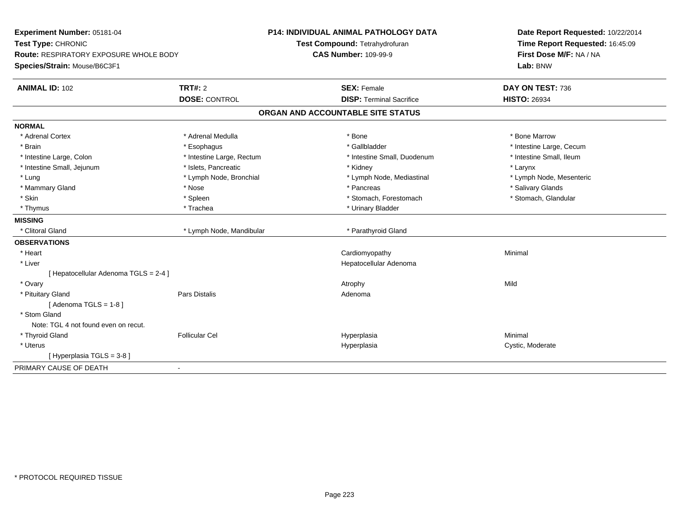| Experiment Number: 05181-04<br>Test Type: CHRONIC<br>Route: RESPIRATORY EXPOSURE WHOLE BODY<br>Species/Strain: Mouse/B6C3F1 |                           | P14: INDIVIDUAL ANIMAL PATHOLOGY DATA<br>Test Compound: Tetrahydrofuran | Date Report Requested: 10/22/2014<br>Time Report Requested: 16:45:09<br>First Dose M/F: NA / NA<br>Lab: BNW |
|-----------------------------------------------------------------------------------------------------------------------------|---------------------------|-------------------------------------------------------------------------|-------------------------------------------------------------------------------------------------------------|
|                                                                                                                             |                           | <b>CAS Number: 109-99-9</b>                                             |                                                                                                             |
| <b>ANIMAL ID: 102</b>                                                                                                       | TRT#: 2                   | <b>SEX: Female</b>                                                      | DAY ON TEST: 736                                                                                            |
|                                                                                                                             | <b>DOSE: CONTROL</b>      | <b>DISP: Terminal Sacrifice</b>                                         | <b>HISTO: 26934</b>                                                                                         |
|                                                                                                                             |                           | ORGAN AND ACCOUNTABLE SITE STATUS                                       |                                                                                                             |
| <b>NORMAL</b>                                                                                                               |                           |                                                                         |                                                                                                             |
| * Adrenal Cortex                                                                                                            | * Adrenal Medulla         | * Bone                                                                  | * Bone Marrow                                                                                               |
| * Brain                                                                                                                     | * Esophagus               | * Gallbladder                                                           | * Intestine Large, Cecum                                                                                    |
| * Intestine Large, Colon                                                                                                    | * Intestine Large, Rectum | * Intestine Small, Duodenum                                             | * Intestine Small. Ileum                                                                                    |
| * Intestine Small, Jejunum                                                                                                  | * Islets, Pancreatic      | * Kidney                                                                | * Larynx                                                                                                    |
| * Lung                                                                                                                      | * Lymph Node, Bronchial   | * Lymph Node, Mediastinal                                               | * Lymph Node, Mesenteric                                                                                    |
| * Mammary Gland                                                                                                             | * Nose                    | * Pancreas                                                              | * Salivary Glands                                                                                           |
| * Skin                                                                                                                      | * Spleen                  | * Stomach, Forestomach                                                  | * Stomach, Glandular                                                                                        |
| * Thymus                                                                                                                    | * Trachea                 | * Urinary Bladder                                                       |                                                                                                             |
| <b>MISSING</b>                                                                                                              |                           |                                                                         |                                                                                                             |
| * Clitoral Gland                                                                                                            | * Lymph Node, Mandibular  | * Parathyroid Gland                                                     |                                                                                                             |
| <b>OBSERVATIONS</b>                                                                                                         |                           |                                                                         |                                                                                                             |
| * Heart                                                                                                                     |                           | Cardiomyopathy                                                          | Minimal                                                                                                     |
| * Liver                                                                                                                     |                           | Hepatocellular Adenoma                                                  |                                                                                                             |
| [ Hepatocellular Adenoma TGLS = 2-4 ]                                                                                       |                           |                                                                         |                                                                                                             |
| * Ovary                                                                                                                     |                           | Atrophy                                                                 | Mild                                                                                                        |
| * Pituitary Gland                                                                                                           | <b>Pars Distalis</b>      | Adenoma                                                                 |                                                                                                             |
| [Adenoma TGLS = $1-8$ ]                                                                                                     |                           |                                                                         |                                                                                                             |
| * Stom Gland                                                                                                                |                           |                                                                         |                                                                                                             |
| Note: TGL 4 not found even on recut.                                                                                        |                           |                                                                         |                                                                                                             |
| * Thyroid Gland                                                                                                             | <b>Follicular Cel</b>     | Hyperplasia                                                             | Minimal                                                                                                     |
| * Uterus                                                                                                                    |                           | Hyperplasia                                                             | Cystic, Moderate                                                                                            |
| [Hyperplasia TGLS = 3-8]                                                                                                    |                           |                                                                         |                                                                                                             |
| PRIMARY CAUSE OF DEATH                                                                                                      |                           |                                                                         |                                                                                                             |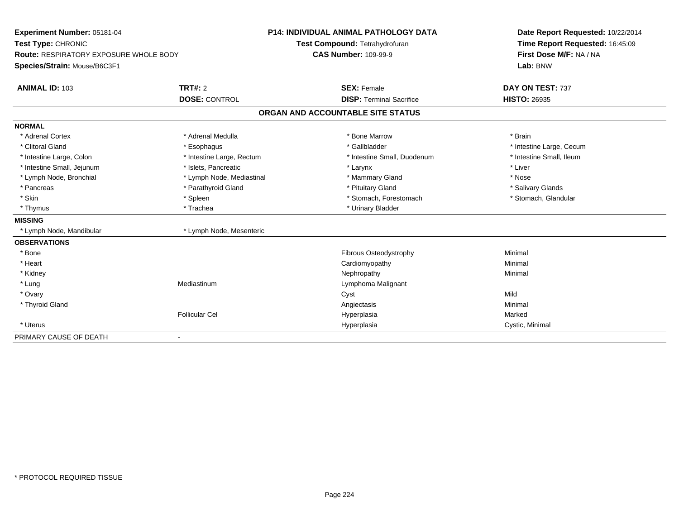| Experiment Number: 05181-04                   |                           | <b>P14: INDIVIDUAL ANIMAL PATHOLOGY DATA</b> | Date Report Requested: 10/22/2014 |
|-----------------------------------------------|---------------------------|----------------------------------------------|-----------------------------------|
| Test Type: CHRONIC                            |                           | Test Compound: Tetrahydrofuran               | Time Report Requested: 16:45:09   |
| <b>Route: RESPIRATORY EXPOSURE WHOLE BODY</b> |                           | <b>CAS Number: 109-99-9</b>                  | First Dose M/F: NA / NA           |
| Species/Strain: Mouse/B6C3F1                  |                           |                                              | Lab: BNW                          |
| <b>ANIMAL ID: 103</b>                         | <b>TRT#: 2</b>            | <b>SEX: Female</b>                           | DAY ON TEST: 737                  |
|                                               | <b>DOSE: CONTROL</b>      | <b>DISP: Terminal Sacrifice</b>              | <b>HISTO: 26935</b>               |
|                                               |                           | ORGAN AND ACCOUNTABLE SITE STATUS            |                                   |
| <b>NORMAL</b>                                 |                           |                                              |                                   |
| * Adrenal Cortex                              | * Adrenal Medulla         | * Bone Marrow                                | * Brain                           |
| * Clitoral Gland                              | * Esophagus               | * Gallbladder                                | * Intestine Large, Cecum          |
| * Intestine Large, Colon                      | * Intestine Large, Rectum | * Intestine Small, Duodenum                  | * Intestine Small, Ileum          |
| * Intestine Small, Jejunum                    | * Islets, Pancreatic      | * Larynx                                     | * Liver                           |
| * Lymph Node, Bronchial                       | * Lymph Node, Mediastinal | * Mammary Gland                              | * Nose                            |
| * Pancreas                                    | * Parathyroid Gland       | * Pituitary Gland                            | * Salivary Glands                 |
| * Skin                                        | * Spleen                  | * Stomach, Forestomach                       | * Stomach, Glandular              |
| * Thymus                                      | * Trachea                 | * Urinary Bladder                            |                                   |
| <b>MISSING</b>                                |                           |                                              |                                   |
| * Lymph Node, Mandibular                      | * Lymph Node, Mesenteric  |                                              |                                   |
| <b>OBSERVATIONS</b>                           |                           |                                              |                                   |
| * Bone                                        |                           | Fibrous Osteodystrophy                       | Minimal                           |
| * Heart                                       |                           | Cardiomyopathy                               | Minimal                           |
| * Kidney                                      |                           | Nephropathy                                  | Minimal                           |
| * Lung                                        | Mediastinum               | Lymphoma Malignant                           |                                   |
| * Ovary                                       |                           | Cyst                                         | Mild                              |
| * Thyroid Gland                               |                           | Angiectasis                                  | Minimal                           |
|                                               | <b>Follicular Cel</b>     | Hyperplasia                                  | Marked                            |
| * Uterus                                      |                           | Hyperplasia                                  | Cystic, Minimal                   |
| PRIMARY CAUSE OF DEATH                        |                           |                                              |                                   |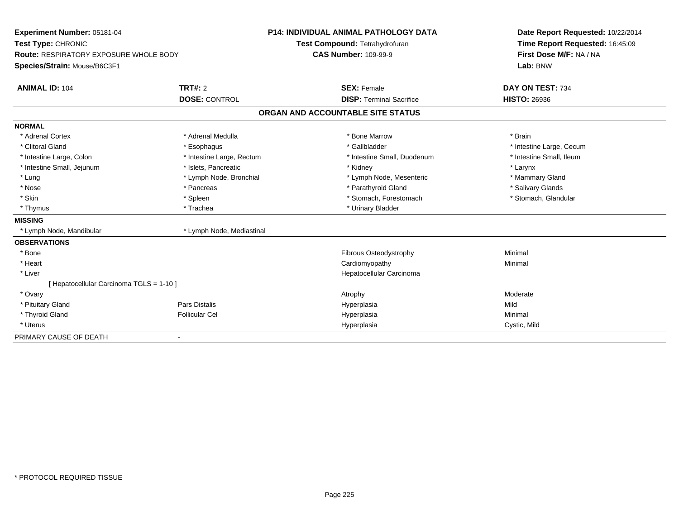| <b>Experiment Number: 05181-04</b>            |                           | <b>P14: INDIVIDUAL ANIMAL PATHOLOGY DATA</b> | Date Report Requested: 10/22/2014 |
|-----------------------------------------------|---------------------------|----------------------------------------------|-----------------------------------|
| Test Type: CHRONIC                            |                           | Test Compound: Tetrahydrofuran               | Time Report Requested: 16:45:09   |
| <b>Route: RESPIRATORY EXPOSURE WHOLE BODY</b> |                           | <b>CAS Number: 109-99-9</b>                  | First Dose M/F: NA / NA           |
| Species/Strain: Mouse/B6C3F1                  |                           |                                              | Lab: BNW                          |
| <b>ANIMAL ID: 104</b>                         | TRT#: 2                   | <b>SEX: Female</b>                           | DAY ON TEST: 734                  |
|                                               | <b>DOSE: CONTROL</b>      | <b>DISP: Terminal Sacrifice</b>              | <b>HISTO: 26936</b>               |
|                                               |                           | ORGAN AND ACCOUNTABLE SITE STATUS            |                                   |
| <b>NORMAL</b>                                 |                           |                                              |                                   |
| * Adrenal Cortex                              | * Adrenal Medulla         | * Bone Marrow                                | * Brain                           |
| * Clitoral Gland                              | * Esophagus               | * Gallbladder                                | * Intestine Large, Cecum          |
| * Intestine Large, Colon                      | * Intestine Large, Rectum | * Intestine Small, Duodenum                  | * Intestine Small, Ileum          |
| * Intestine Small, Jejunum                    | * Islets, Pancreatic      | * Kidney                                     | * Larynx                          |
| * Lung                                        | * Lymph Node, Bronchial   | * Lymph Node, Mesenteric                     | * Mammary Gland                   |
| * Nose                                        | * Pancreas                | * Parathyroid Gland                          | * Salivary Glands                 |
| * Skin                                        | * Spleen                  | * Stomach, Forestomach                       | * Stomach, Glandular              |
| * Thymus                                      | * Trachea                 | * Urinary Bladder                            |                                   |
| <b>MISSING</b>                                |                           |                                              |                                   |
| * Lymph Node, Mandibular                      | * Lymph Node, Mediastinal |                                              |                                   |
| <b>OBSERVATIONS</b>                           |                           |                                              |                                   |
| * Bone                                        |                           | <b>Fibrous Osteodystrophy</b>                | Minimal                           |
| * Heart                                       |                           | Cardiomyopathy                               | Minimal                           |
| * Liver                                       |                           | Hepatocellular Carcinoma                     |                                   |
| [ Hepatocellular Carcinoma TGLS = 1-10 ]      |                           |                                              |                                   |
| * Ovary                                       |                           | Atrophy                                      | Moderate                          |
| * Pituitary Gland                             | <b>Pars Distalis</b>      | Hyperplasia                                  | Mild                              |
| * Thyroid Gland                               | <b>Follicular Cel</b>     | Hyperplasia                                  | Minimal                           |
| * Uterus                                      |                           | Hyperplasia                                  | Cystic, Mild                      |
| PRIMARY CAUSE OF DEATH                        | $\overline{\phantom{a}}$  |                                              |                                   |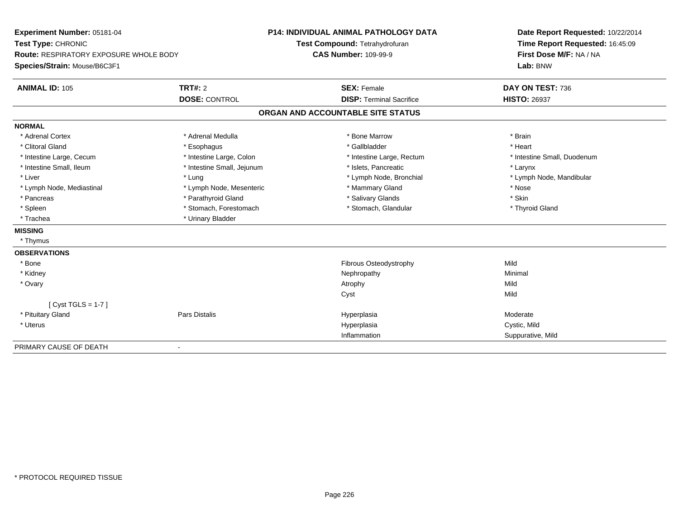| Experiment Number: 05181-04            |                            | P14: INDIVIDUAL ANIMAL PATHOLOGY DATA | Date Report Requested: 10/22/2014<br>Time Report Requested: 16:45:09 |
|----------------------------------------|----------------------------|---------------------------------------|----------------------------------------------------------------------|
| Test Type: CHRONIC                     |                            | Test Compound: Tetrahydrofuran        |                                                                      |
| Route: RESPIRATORY EXPOSURE WHOLE BODY |                            | <b>CAS Number: 109-99-9</b>           | First Dose M/F: NA / NA                                              |
| Species/Strain: Mouse/B6C3F1           |                            |                                       | Lab: BNW                                                             |
| <b>ANIMAL ID: 105</b>                  | <b>TRT#: 2</b>             | <b>SEX: Female</b>                    | DAY ON TEST: 736                                                     |
|                                        | <b>DOSE: CONTROL</b>       | <b>DISP: Terminal Sacrifice</b>       | <b>HISTO: 26937</b>                                                  |
|                                        |                            | ORGAN AND ACCOUNTABLE SITE STATUS     |                                                                      |
| <b>NORMAL</b>                          |                            |                                       |                                                                      |
| * Adrenal Cortex                       | * Adrenal Medulla          | * Bone Marrow                         | * Brain                                                              |
| * Clitoral Gland                       | * Esophagus                | * Gallbladder                         | * Heart                                                              |
| * Intestine Large, Cecum               | * Intestine Large, Colon   | * Intestine Large, Rectum             | * Intestine Small, Duodenum                                          |
| * Intestine Small, Ileum               | * Intestine Small, Jejunum | * Islets, Pancreatic                  | * Larynx                                                             |
| * Liver                                | * Lung                     | * Lymph Node, Bronchial               | * Lymph Node, Mandibular                                             |
| * Lymph Node, Mediastinal              | * Lymph Node, Mesenteric   | * Mammary Gland                       | * Nose                                                               |
| * Pancreas                             | * Parathyroid Gland        | * Salivary Glands                     | * Skin                                                               |
| * Spleen                               | * Stomach, Forestomach     | * Stomach, Glandular                  | * Thyroid Gland                                                      |
| * Trachea                              | * Urinary Bladder          |                                       |                                                                      |
| <b>MISSING</b>                         |                            |                                       |                                                                      |
| * Thymus                               |                            |                                       |                                                                      |
| <b>OBSERVATIONS</b>                    |                            |                                       |                                                                      |
| * Bone                                 |                            | Fibrous Osteodystrophy                | Mild                                                                 |
| * Kidney                               |                            | Nephropathy                           | Minimal                                                              |
| * Ovary                                |                            | Atrophy                               | Mild                                                                 |
|                                        |                            | Cyst                                  | Mild                                                                 |
| [Cyst TGLS = $1-7$ ]                   |                            |                                       |                                                                      |
| * Pituitary Gland                      | <b>Pars Distalis</b>       | Hyperplasia                           | Moderate                                                             |
| * Uterus                               |                            | Hyperplasia                           | Cystic, Mild                                                         |
|                                        |                            | Inflammation                          | Suppurative, Mild                                                    |
| PRIMARY CAUSE OF DEATH                 |                            |                                       |                                                                      |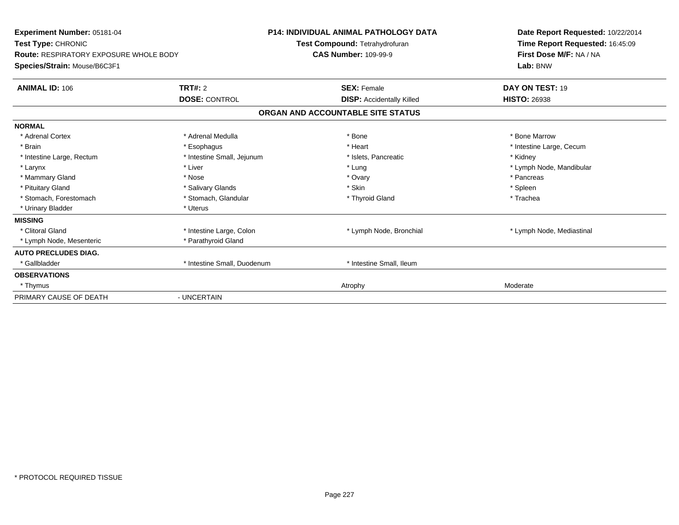| Experiment Number: 05181-04<br>Test Type: CHRONIC<br><b>Route: RESPIRATORY EXPOSURE WHOLE BODY</b><br>Species/Strain: Mouse/B6C3F1 |                             | <b>P14: INDIVIDUAL ANIMAL PATHOLOGY DATA</b><br>Test Compound: Tetrahydrofuran<br><b>CAS Number: 109-99-9</b> | Date Report Requested: 10/22/2014<br>Time Report Requested: 16:45:09<br>First Dose M/F: NA / NA<br>Lab: BNW |
|------------------------------------------------------------------------------------------------------------------------------------|-----------------------------|---------------------------------------------------------------------------------------------------------------|-------------------------------------------------------------------------------------------------------------|
| <b>ANIMAL ID: 106</b>                                                                                                              | TRT#: 2                     | <b>SEX: Female</b>                                                                                            | DAY ON TEST: 19                                                                                             |
|                                                                                                                                    | <b>DOSE: CONTROL</b>        | <b>DISP: Accidentally Killed</b>                                                                              | <b>HISTO: 26938</b>                                                                                         |
|                                                                                                                                    |                             | ORGAN AND ACCOUNTABLE SITE STATUS                                                                             |                                                                                                             |
| <b>NORMAL</b>                                                                                                                      |                             |                                                                                                               |                                                                                                             |
| * Adrenal Cortex                                                                                                                   | * Adrenal Medulla           | * Bone                                                                                                        | * Bone Marrow                                                                                               |
| * Brain                                                                                                                            | * Esophagus                 | * Heart                                                                                                       | * Intestine Large, Cecum                                                                                    |
| * Intestine Large, Rectum                                                                                                          | * Intestine Small, Jejunum  | * Islets, Pancreatic                                                                                          | * Kidney                                                                                                    |
| * Larynx                                                                                                                           | * Liver                     | * Lung                                                                                                        | * Lymph Node, Mandibular                                                                                    |
| * Mammary Gland                                                                                                                    | * Nose                      | * Ovary                                                                                                       | * Pancreas                                                                                                  |
| * Pituitary Gland                                                                                                                  | * Salivary Glands           | * Skin                                                                                                        | * Spleen                                                                                                    |
| * Stomach. Forestomach                                                                                                             | * Stomach, Glandular        | * Thyroid Gland                                                                                               | * Trachea                                                                                                   |
| * Urinary Bladder                                                                                                                  | * Uterus                    |                                                                                                               |                                                                                                             |
| <b>MISSING</b>                                                                                                                     |                             |                                                                                                               |                                                                                                             |
| * Clitoral Gland                                                                                                                   | * Intestine Large, Colon    | * Lymph Node, Bronchial                                                                                       | * Lymph Node, Mediastinal                                                                                   |
| * Lymph Node, Mesenteric                                                                                                           | * Parathyroid Gland         |                                                                                                               |                                                                                                             |
| <b>AUTO PRECLUDES DIAG.</b>                                                                                                        |                             |                                                                                                               |                                                                                                             |
| * Gallbladder                                                                                                                      | * Intestine Small, Duodenum | * Intestine Small, Ileum                                                                                      |                                                                                                             |
| <b>OBSERVATIONS</b>                                                                                                                |                             |                                                                                                               |                                                                                                             |
| * Thymus                                                                                                                           |                             | Atrophy                                                                                                       | Moderate                                                                                                    |
| PRIMARY CAUSE OF DEATH                                                                                                             | - UNCERTAIN                 |                                                                                                               |                                                                                                             |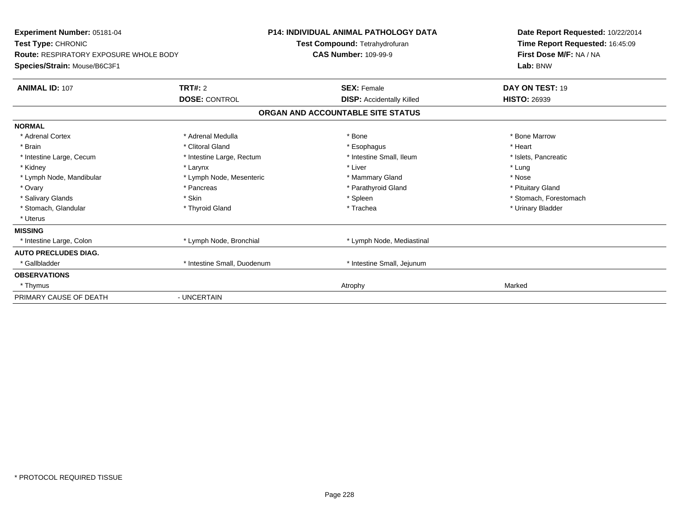| <b>Experiment Number: 05181-04</b><br>Test Type: CHRONIC<br><b>Route: RESPIRATORY EXPOSURE WHOLE BODY</b><br>Species/Strain: Mouse/B6C3F1 |                             | <b>P14: INDIVIDUAL ANIMAL PATHOLOGY DATA</b><br>Test Compound: Tetrahydrofuran<br><b>CAS Number: 109-99-9</b> | Date Report Requested: 10/22/2014<br>Time Report Requested: 16:45:09<br>First Dose M/F: NA / NA<br>Lab: BNW |
|-------------------------------------------------------------------------------------------------------------------------------------------|-----------------------------|---------------------------------------------------------------------------------------------------------------|-------------------------------------------------------------------------------------------------------------|
| <b>ANIMAL ID: 107</b>                                                                                                                     | TRT#: 2                     | <b>SEX: Female</b>                                                                                            | DAY ON TEST: 19                                                                                             |
|                                                                                                                                           | <b>DOSE: CONTROL</b>        | <b>DISP: Accidentally Killed</b>                                                                              | <b>HISTO: 26939</b>                                                                                         |
|                                                                                                                                           |                             | ORGAN AND ACCOUNTABLE SITE STATUS                                                                             |                                                                                                             |
| <b>NORMAL</b>                                                                                                                             |                             |                                                                                                               |                                                                                                             |
| * Adrenal Cortex                                                                                                                          | * Adrenal Medulla           | * Bone                                                                                                        | * Bone Marrow                                                                                               |
| * Brain                                                                                                                                   | * Clitoral Gland            | * Esophagus                                                                                                   | * Heart                                                                                                     |
| * Intestine Large, Cecum                                                                                                                  | * Intestine Large, Rectum   | * Intestine Small, Ileum                                                                                      | * Islets, Pancreatic                                                                                        |
| * Kidney                                                                                                                                  | * Larynx                    | * Liver                                                                                                       | * Lung                                                                                                      |
| * Lymph Node, Mandibular                                                                                                                  | * Lymph Node, Mesenteric    | * Mammary Gland                                                                                               | * Nose                                                                                                      |
| * Ovary                                                                                                                                   | * Pancreas                  | * Parathyroid Gland                                                                                           | * Pituitary Gland                                                                                           |
| * Salivary Glands                                                                                                                         | * Skin                      | * Spleen                                                                                                      | * Stomach, Forestomach                                                                                      |
| * Stomach, Glandular                                                                                                                      | * Thyroid Gland             | * Trachea                                                                                                     | * Urinary Bladder                                                                                           |
| * Uterus                                                                                                                                  |                             |                                                                                                               |                                                                                                             |
| <b>MISSING</b>                                                                                                                            |                             |                                                                                                               |                                                                                                             |
| * Intestine Large, Colon                                                                                                                  | * Lymph Node, Bronchial     | * Lymph Node, Mediastinal                                                                                     |                                                                                                             |
| <b>AUTO PRECLUDES DIAG.</b>                                                                                                               |                             |                                                                                                               |                                                                                                             |
| * Gallbladder                                                                                                                             | * Intestine Small, Duodenum | * Intestine Small, Jejunum                                                                                    |                                                                                                             |
| <b>OBSERVATIONS</b>                                                                                                                       |                             |                                                                                                               |                                                                                                             |
| * Thymus                                                                                                                                  |                             | Atrophy                                                                                                       | Marked                                                                                                      |
| PRIMARY CAUSE OF DEATH                                                                                                                    | - UNCERTAIN                 |                                                                                                               |                                                                                                             |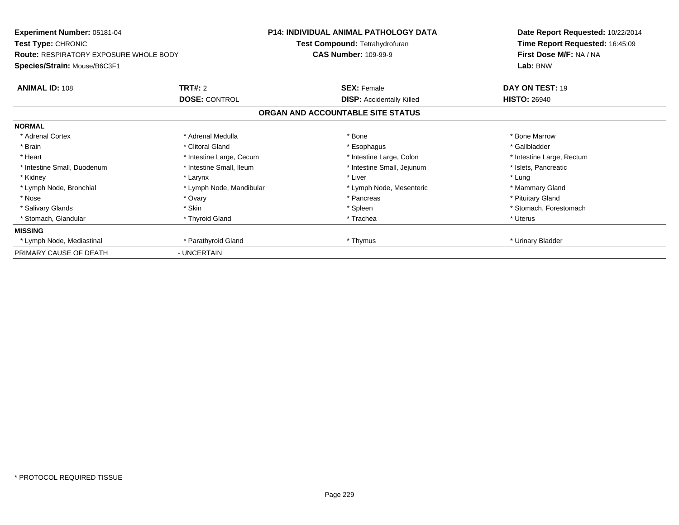| Experiment Number: 05181-04<br><b>Test Type: CHRONIC</b> |                          | <b>P14: INDIVIDUAL ANIMAL PATHOLOGY DATA</b> | Date Report Requested: 10/22/2014 |  |
|----------------------------------------------------------|--------------------------|----------------------------------------------|-----------------------------------|--|
|                                                          |                          | Test Compound: Tetrahydrofuran               | Time Report Requested: 16:45:09   |  |
| <b>Route: RESPIRATORY EXPOSURE WHOLE BODY</b>            |                          | <b>CAS Number: 109-99-9</b>                  | First Dose M/F: NA / NA           |  |
| Species/Strain: Mouse/B6C3F1                             |                          |                                              | Lab: BNW                          |  |
| <b>ANIMAL ID: 108</b>                                    | <b>TRT#: 2</b>           | <b>SEX: Female</b>                           | DAY ON TEST: 19                   |  |
|                                                          | <b>DOSE: CONTROL</b>     | <b>DISP:</b> Accidentally Killed             | <b>HISTO: 26940</b>               |  |
|                                                          |                          | ORGAN AND ACCOUNTABLE SITE STATUS            |                                   |  |
| <b>NORMAL</b>                                            |                          |                                              |                                   |  |
| * Adrenal Cortex                                         | * Adrenal Medulla        | * Bone                                       | * Bone Marrow                     |  |
| * Brain                                                  | * Clitoral Gland         | * Esophagus                                  | * Gallbladder                     |  |
| * Heart                                                  | * Intestine Large, Cecum | * Intestine Large, Colon                     | * Intestine Large, Rectum         |  |
| * Intestine Small, Duodenum                              | * Intestine Small, Ileum | * Intestine Small, Jejunum                   | * Islets, Pancreatic              |  |
| * Kidney                                                 | * Larynx                 | * Liver                                      | * Lung                            |  |
| * Lymph Node, Bronchial                                  | * Lymph Node, Mandibular | * Lymph Node, Mesenteric                     | * Mammary Gland                   |  |
| * Nose                                                   | * Ovary                  | * Pancreas                                   | * Pituitary Gland                 |  |
| * Salivary Glands                                        | * Skin                   | * Spleen                                     | * Stomach, Forestomach            |  |
| * Stomach, Glandular                                     | * Thyroid Gland          | * Trachea                                    | * Uterus                          |  |
| <b>MISSING</b>                                           |                          |                                              |                                   |  |
| * Lymph Node, Mediastinal                                | * Parathyroid Gland      | * Thymus                                     | * Urinary Bladder                 |  |
| PRIMARY CAUSE OF DEATH                                   | - UNCERTAIN              |                                              |                                   |  |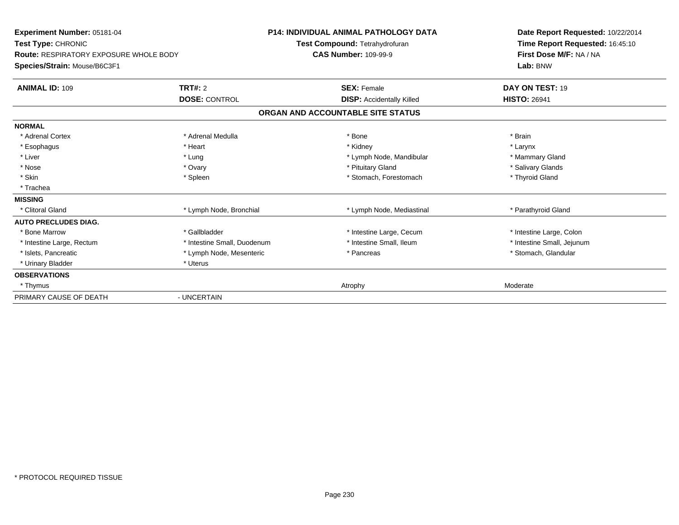| Experiment Number: 05181-04<br>Test Type: CHRONIC<br>Route: RESPIRATORY EXPOSURE WHOLE BODY<br>Species/Strain: Mouse/B6C3F1 |                             | <b>P14: INDIVIDUAL ANIMAL PATHOLOGY DATA</b><br>Test Compound: Tetrahydrofuran<br><b>CAS Number: 109-99-9</b> | Date Report Requested: 10/22/2014<br>Time Report Requested: 16:45:10<br>First Dose M/F: NA / NA<br>Lab: BNW |
|-----------------------------------------------------------------------------------------------------------------------------|-----------------------------|---------------------------------------------------------------------------------------------------------------|-------------------------------------------------------------------------------------------------------------|
| <b>ANIMAL ID: 109</b>                                                                                                       | TRT#: 2                     | <b>SEX: Female</b>                                                                                            | DAY ON TEST: 19                                                                                             |
|                                                                                                                             | <b>DOSE: CONTROL</b>        | <b>DISP:</b> Accidentally Killed                                                                              | <b>HISTO: 26941</b>                                                                                         |
|                                                                                                                             |                             | ORGAN AND ACCOUNTABLE SITE STATUS                                                                             |                                                                                                             |
| <b>NORMAL</b>                                                                                                               |                             |                                                                                                               |                                                                                                             |
| * Adrenal Cortex                                                                                                            | * Adrenal Medulla           | * Bone                                                                                                        | * Brain                                                                                                     |
| * Esophagus                                                                                                                 | * Heart                     | * Kidney                                                                                                      | * Larynx                                                                                                    |
| * Liver                                                                                                                     | * Lung                      | * Lymph Node, Mandibular                                                                                      | * Mammary Gland                                                                                             |
| * Nose                                                                                                                      | * Ovary                     | * Pituitary Gland                                                                                             | * Salivary Glands                                                                                           |
| * Skin                                                                                                                      | * Spleen                    | * Stomach, Forestomach                                                                                        | * Thyroid Gland                                                                                             |
| * Trachea                                                                                                                   |                             |                                                                                                               |                                                                                                             |
| <b>MISSING</b>                                                                                                              |                             |                                                                                                               |                                                                                                             |
| * Clitoral Gland                                                                                                            | * Lymph Node, Bronchial     | * Lymph Node, Mediastinal                                                                                     | * Parathyroid Gland                                                                                         |
| <b>AUTO PRECLUDES DIAG.</b>                                                                                                 |                             |                                                                                                               |                                                                                                             |
| * Bone Marrow                                                                                                               | * Gallbladder               | * Intestine Large, Cecum                                                                                      | * Intestine Large, Colon                                                                                    |
| * Intestine Large, Rectum                                                                                                   | * Intestine Small, Duodenum | * Intestine Small, Ileum                                                                                      | * Intestine Small, Jejunum                                                                                  |
| * Islets, Pancreatic                                                                                                        | * Lymph Node, Mesenteric    | * Pancreas                                                                                                    | * Stomach, Glandular                                                                                        |
| * Urinary Bladder                                                                                                           | * Uterus                    |                                                                                                               |                                                                                                             |
| <b>OBSERVATIONS</b>                                                                                                         |                             |                                                                                                               |                                                                                                             |
| * Thymus                                                                                                                    |                             | Atrophy                                                                                                       | Moderate                                                                                                    |
| PRIMARY CAUSE OF DEATH                                                                                                      | - UNCERTAIN                 |                                                                                                               |                                                                                                             |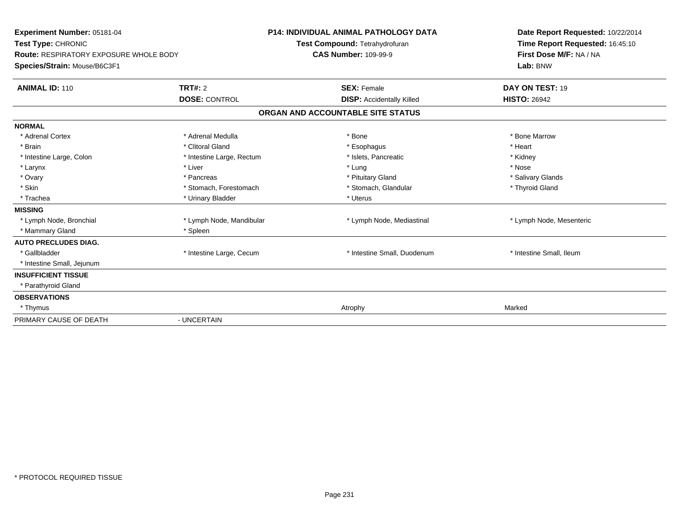| Experiment Number: 05181-04<br>Test Type: CHRONIC<br><b>Route: RESPIRATORY EXPOSURE WHOLE BODY</b><br>Species/Strain: Mouse/B6C3F1 |                           | <b>P14: INDIVIDUAL ANIMAL PATHOLOGY DATA</b><br>Test Compound: Tetrahydrofuran<br><b>CAS Number: 109-99-9</b> | Date Report Requested: 10/22/2014<br>Time Report Requested: 16:45:10<br>First Dose M/F: NA / NA<br>Lab: BNW |
|------------------------------------------------------------------------------------------------------------------------------------|---------------------------|---------------------------------------------------------------------------------------------------------------|-------------------------------------------------------------------------------------------------------------|
| <b>ANIMAL ID: 110</b>                                                                                                              | TRT#: 2                   | <b>SEX: Female</b>                                                                                            | DAY ON TEST: 19                                                                                             |
|                                                                                                                                    | <b>DOSE: CONTROL</b>      | <b>DISP:</b> Accidentally Killed                                                                              | <b>HISTO: 26942</b>                                                                                         |
|                                                                                                                                    |                           | ORGAN AND ACCOUNTABLE SITE STATUS                                                                             |                                                                                                             |
| <b>NORMAL</b>                                                                                                                      |                           |                                                                                                               |                                                                                                             |
| * Adrenal Cortex                                                                                                                   | * Adrenal Medulla         | * Bone                                                                                                        | * Bone Marrow                                                                                               |
| * Brain                                                                                                                            | * Clitoral Gland          | * Esophagus                                                                                                   | * Heart                                                                                                     |
| * Intestine Large, Colon                                                                                                           | * Intestine Large, Rectum | * Islets, Pancreatic                                                                                          | * Kidney                                                                                                    |
| * Larynx                                                                                                                           | * Liver                   | * Lung                                                                                                        | * Nose                                                                                                      |
| * Ovary                                                                                                                            | * Pancreas                | * Pituitary Gland                                                                                             | * Salivary Glands                                                                                           |
| * Skin                                                                                                                             | * Stomach, Forestomach    | * Stomach, Glandular                                                                                          | * Thyroid Gland                                                                                             |
| * Trachea                                                                                                                          | * Urinary Bladder         | * Uterus                                                                                                      |                                                                                                             |
| <b>MISSING</b>                                                                                                                     |                           |                                                                                                               |                                                                                                             |
| * Lymph Node, Bronchial                                                                                                            | * Lymph Node, Mandibular  | * Lymph Node, Mediastinal                                                                                     | * Lymph Node, Mesenteric                                                                                    |
| * Mammary Gland                                                                                                                    | * Spleen                  |                                                                                                               |                                                                                                             |
| <b>AUTO PRECLUDES DIAG.</b>                                                                                                        |                           |                                                                                                               |                                                                                                             |
| * Gallbladder                                                                                                                      | * Intestine Large, Cecum  | * Intestine Small, Duodenum                                                                                   | * Intestine Small, Ileum                                                                                    |
| * Intestine Small, Jejunum                                                                                                         |                           |                                                                                                               |                                                                                                             |
| <b>INSUFFICIENT TISSUE</b>                                                                                                         |                           |                                                                                                               |                                                                                                             |
| * Parathyroid Gland                                                                                                                |                           |                                                                                                               |                                                                                                             |
| <b>OBSERVATIONS</b>                                                                                                                |                           |                                                                                                               |                                                                                                             |
| * Thymus                                                                                                                           |                           | Atrophy                                                                                                       | Marked                                                                                                      |
| PRIMARY CAUSE OF DEATH                                                                                                             | - UNCERTAIN               |                                                                                                               |                                                                                                             |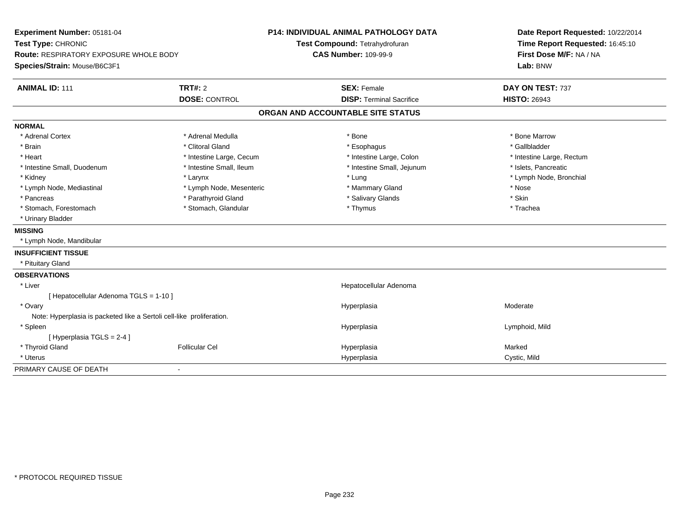| Experiment Number: 05181-04                                           |                          | <b>P14: INDIVIDUAL ANIMAL PATHOLOGY DATA</b> |                                 | Date Report Requested: 10/22/2014 |
|-----------------------------------------------------------------------|--------------------------|----------------------------------------------|---------------------------------|-----------------------------------|
| Test Type: CHRONIC                                                    |                          |                                              | Test Compound: Tetrahydrofuran  | Time Report Requested: 16:45:10   |
| <b>Route: RESPIRATORY EXPOSURE WHOLE BODY</b>                         |                          | <b>CAS Number: 109-99-9</b>                  |                                 | First Dose M/F: NA / NA           |
| Species/Strain: Mouse/B6C3F1                                          |                          |                                              |                                 | Lab: BNW                          |
| <b>ANIMAL ID: 111</b>                                                 | <b>TRT#: 2</b>           |                                              | <b>SEX: Female</b>              | DAY ON TEST: 737                  |
|                                                                       | <b>DOSE: CONTROL</b>     |                                              | <b>DISP: Terminal Sacrifice</b> | <b>HISTO: 26943</b>               |
|                                                                       |                          | ORGAN AND ACCOUNTABLE SITE STATUS            |                                 |                                   |
| <b>NORMAL</b>                                                         |                          |                                              |                                 |                                   |
| * Adrenal Cortex                                                      | * Adrenal Medulla        |                                              | * Bone                          | * Bone Marrow                     |
| * Brain                                                               | * Clitoral Gland         |                                              | * Esophagus                     | * Gallbladder                     |
| * Heart                                                               | * Intestine Large, Cecum |                                              | * Intestine Large, Colon        | * Intestine Large, Rectum         |
| * Intestine Small, Duodenum                                           | * Intestine Small, Ileum |                                              | * Intestine Small, Jejunum      | * Islets, Pancreatic              |
| * Kidney                                                              | * Larynx                 |                                              | * Lung                          | * Lymph Node, Bronchial           |
| * Lymph Node, Mediastinal                                             | * Lymph Node, Mesenteric |                                              | * Mammary Gland                 | * Nose                            |
| * Pancreas                                                            | * Parathyroid Gland      |                                              | * Salivary Glands               | * Skin                            |
| * Stomach, Forestomach                                                | * Stomach, Glandular     |                                              | * Thymus                        | * Trachea                         |
| * Urinary Bladder                                                     |                          |                                              |                                 |                                   |
| <b>MISSING</b>                                                        |                          |                                              |                                 |                                   |
| * Lymph Node, Mandibular                                              |                          |                                              |                                 |                                   |
| <b>INSUFFICIENT TISSUE</b>                                            |                          |                                              |                                 |                                   |
| * Pituitary Gland                                                     |                          |                                              |                                 |                                   |
| <b>OBSERVATIONS</b>                                                   |                          |                                              |                                 |                                   |
| * Liver                                                               |                          |                                              | Hepatocellular Adenoma          |                                   |
| [ Hepatocellular Adenoma TGLS = 1-10 ]                                |                          |                                              |                                 |                                   |
| * Ovary                                                               |                          |                                              | Hyperplasia                     | Moderate                          |
| Note: Hyperplasia is packeted like a Sertoli cell-like proliferation. |                          |                                              |                                 |                                   |
| * Spleen                                                              |                          |                                              | Hyperplasia                     | Lymphoid, Mild                    |
| [ Hyperplasia TGLS = 2-4 ]                                            |                          |                                              |                                 |                                   |
| * Thyroid Gland                                                       | <b>Follicular Cel</b>    |                                              | Hyperplasia                     | Marked                            |
| * Uterus                                                              |                          |                                              | Hyperplasia                     | Cystic, Mild                      |
| PRIMARY CAUSE OF DEATH                                                |                          |                                              |                                 |                                   |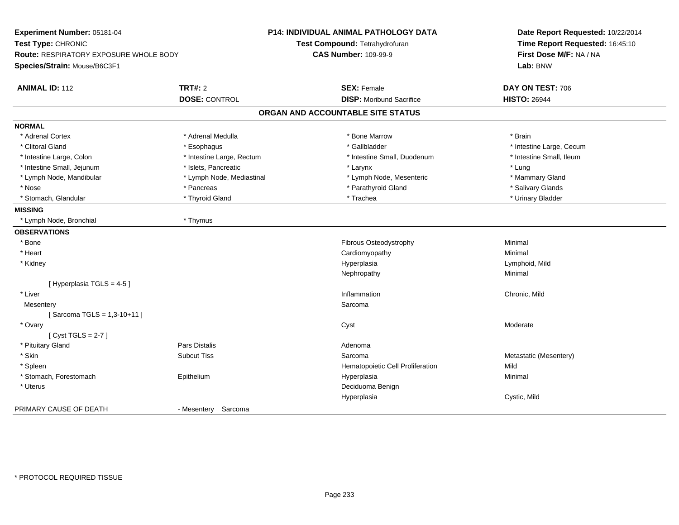| Experiment Number: 05181-04<br>Test Type: CHRONIC<br>Route: RESPIRATORY EXPOSURE WHOLE BODY<br>Species/Strain: Mouse/B6C3F1 |                           | <b>P14: INDIVIDUAL ANIMAL PATHOLOGY DATA</b><br>Test Compound: Tetrahydrofuran<br><b>CAS Number: 109-99-9</b> | Date Report Requested: 10/22/2014<br>Time Report Requested: 16:45:10<br>First Dose M/F: NA / NA<br>Lab: BNW |  |
|-----------------------------------------------------------------------------------------------------------------------------|---------------------------|---------------------------------------------------------------------------------------------------------------|-------------------------------------------------------------------------------------------------------------|--|
| <b>ANIMAL ID: 112</b>                                                                                                       | <b>TRT#: 2</b>            | <b>SEX: Female</b>                                                                                            | DAY ON TEST: 706                                                                                            |  |
|                                                                                                                             | <b>DOSE: CONTROL</b>      | <b>DISP:</b> Moribund Sacrifice                                                                               | <b>HISTO: 26944</b>                                                                                         |  |
|                                                                                                                             |                           | ORGAN AND ACCOUNTABLE SITE STATUS                                                                             |                                                                                                             |  |
| <b>NORMAL</b>                                                                                                               |                           |                                                                                                               |                                                                                                             |  |
| * Adrenal Cortex                                                                                                            | * Adrenal Medulla         | * Bone Marrow                                                                                                 | * Brain                                                                                                     |  |
| * Clitoral Gland                                                                                                            | * Esophagus               | * Gallbladder                                                                                                 | * Intestine Large, Cecum                                                                                    |  |
| * Intestine Large, Colon                                                                                                    | * Intestine Large, Rectum | * Intestine Small, Duodenum                                                                                   | * Intestine Small, Ileum                                                                                    |  |
| * Intestine Small, Jejunum                                                                                                  | * Islets, Pancreatic      | * Larynx                                                                                                      | * Lung                                                                                                      |  |
| * Lymph Node, Mandibular                                                                                                    | * Lymph Node, Mediastinal | * Lymph Node, Mesenteric                                                                                      | * Mammary Gland                                                                                             |  |
| * Nose                                                                                                                      | * Pancreas                | * Parathyroid Gland                                                                                           | * Salivary Glands                                                                                           |  |
| * Stomach, Glandular                                                                                                        | * Thyroid Gland           | * Trachea                                                                                                     | * Urinary Bladder                                                                                           |  |
| <b>MISSING</b>                                                                                                              |                           |                                                                                                               |                                                                                                             |  |
| * Lymph Node, Bronchial                                                                                                     | * Thymus                  |                                                                                                               |                                                                                                             |  |
| <b>OBSERVATIONS</b>                                                                                                         |                           |                                                                                                               |                                                                                                             |  |
| * Bone                                                                                                                      |                           | Fibrous Osteodystrophy                                                                                        | Minimal                                                                                                     |  |
| * Heart                                                                                                                     |                           | Cardiomyopathy                                                                                                | Minimal                                                                                                     |  |
| * Kidney                                                                                                                    |                           | Hyperplasia                                                                                                   | Lymphoid, Mild                                                                                              |  |
|                                                                                                                             |                           | Nephropathy                                                                                                   | Minimal                                                                                                     |  |
| [Hyperplasia TGLS = 4-5]                                                                                                    |                           |                                                                                                               |                                                                                                             |  |
| * Liver                                                                                                                     |                           | Inflammation                                                                                                  | Chronic, Mild                                                                                               |  |
| Mesentery                                                                                                                   |                           | Sarcoma                                                                                                       |                                                                                                             |  |
| [Sarcoma TGLS = 1,3-10+11]                                                                                                  |                           |                                                                                                               |                                                                                                             |  |
| * Ovary                                                                                                                     |                           | Cyst                                                                                                          | Moderate                                                                                                    |  |
| [Cyst TGLS = $2-7$ ]                                                                                                        |                           |                                                                                                               |                                                                                                             |  |
| * Pituitary Gland                                                                                                           | <b>Pars Distalis</b>      | Adenoma                                                                                                       |                                                                                                             |  |
| * Skin                                                                                                                      | <b>Subcut Tiss</b>        | Sarcoma                                                                                                       | Metastatic (Mesentery)                                                                                      |  |
| * Spleen                                                                                                                    |                           | Hematopoietic Cell Proliferation                                                                              | Mild                                                                                                        |  |
| * Stomach, Forestomach                                                                                                      | Epithelium                | Hyperplasia                                                                                                   | Minimal                                                                                                     |  |
| * Uterus                                                                                                                    |                           | Deciduoma Benign                                                                                              |                                                                                                             |  |
|                                                                                                                             |                           | Hyperplasia                                                                                                   | Cystic, Mild                                                                                                |  |
| PRIMARY CAUSE OF DEATH                                                                                                      | - Mesentery Sarcoma       |                                                                                                               |                                                                                                             |  |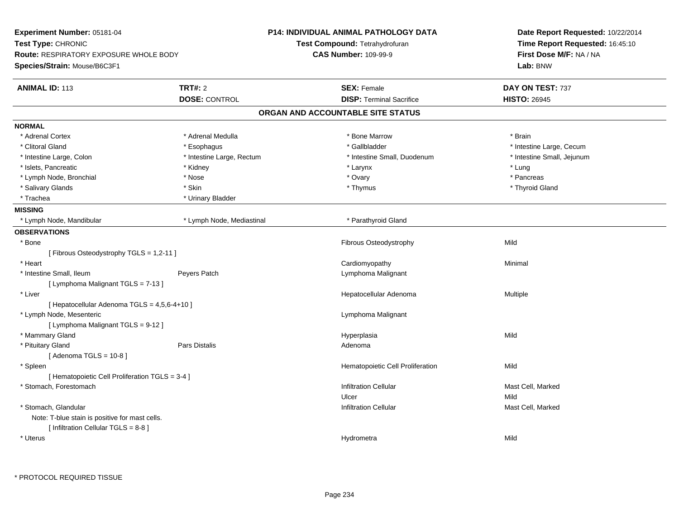| Experiment Number: 05181-04<br>Test Type: CHRONIC<br><b>Route: RESPIRATORY EXPOSURE WHOLE BODY</b><br>Species/Strain: Mouse/B6C3F1 |                                        | P14: INDIVIDUAL ANIMAL PATHOLOGY DATA<br>Test Compound: Tetrahydrofuran<br><b>CAS Number: 109-99-9</b> | Date Report Requested: 10/22/2014<br>Time Report Requested: 16:45:10<br>First Dose M/F: NA / NA<br>Lab: BNW |
|------------------------------------------------------------------------------------------------------------------------------------|----------------------------------------|--------------------------------------------------------------------------------------------------------|-------------------------------------------------------------------------------------------------------------|
| <b>ANIMAL ID: 113</b>                                                                                                              | <b>TRT#: 2</b><br><b>DOSE: CONTROL</b> | <b>SEX: Female</b><br><b>DISP: Terminal Sacrifice</b>                                                  | DAY ON TEST: 737<br><b>HISTO: 26945</b>                                                                     |
|                                                                                                                                    |                                        | ORGAN AND ACCOUNTABLE SITE STATUS                                                                      |                                                                                                             |
| <b>NORMAL</b>                                                                                                                      |                                        |                                                                                                        |                                                                                                             |
| * Adrenal Cortex                                                                                                                   | * Adrenal Medulla                      | * Bone Marrow                                                                                          | * Brain                                                                                                     |
| * Clitoral Gland                                                                                                                   | * Esophagus                            | * Gallbladder                                                                                          | * Intestine Large, Cecum                                                                                    |
| * Intestine Large, Colon                                                                                                           | * Intestine Large, Rectum              | * Intestine Small, Duodenum                                                                            | * Intestine Small, Jejunum                                                                                  |
| * Islets, Pancreatic                                                                                                               | * Kidney                               | * Larynx                                                                                               | * Lung                                                                                                      |
| * Lymph Node, Bronchial                                                                                                            | * Nose                                 | * Ovary                                                                                                | * Pancreas                                                                                                  |
| * Salivary Glands                                                                                                                  | * Skin                                 | * Thymus                                                                                               | * Thyroid Gland                                                                                             |
| * Trachea                                                                                                                          | * Urinary Bladder                      |                                                                                                        |                                                                                                             |
| <b>MISSING</b>                                                                                                                     |                                        |                                                                                                        |                                                                                                             |
| * Lymph Node, Mandibular                                                                                                           | * Lymph Node, Mediastinal              | * Parathyroid Gland                                                                                    |                                                                                                             |
| <b>OBSERVATIONS</b>                                                                                                                |                                        |                                                                                                        |                                                                                                             |
| * Bone                                                                                                                             |                                        | Fibrous Osteodystrophy                                                                                 | Mild                                                                                                        |
| [Fibrous Osteodystrophy TGLS = 1,2-11]                                                                                             |                                        |                                                                                                        |                                                                                                             |
| * Heart                                                                                                                            |                                        | Cardiomyopathy                                                                                         | Minimal                                                                                                     |
| * Intestine Small, Ileum                                                                                                           | Peyers Patch                           | Lymphoma Malignant                                                                                     |                                                                                                             |
| [ Lymphoma Malignant TGLS = 7-13 ]                                                                                                 |                                        |                                                                                                        |                                                                                                             |
| * Liver                                                                                                                            |                                        | Hepatocellular Adenoma                                                                                 | Multiple                                                                                                    |
| [ Hepatocellular Adenoma TGLS = 4,5,6-4+10 ]                                                                                       |                                        |                                                                                                        |                                                                                                             |
| * Lymph Node, Mesenteric                                                                                                           |                                        | Lymphoma Malignant                                                                                     |                                                                                                             |
| [ Lymphoma Malignant TGLS = 9-12 ]                                                                                                 |                                        |                                                                                                        |                                                                                                             |
| * Mammary Gland                                                                                                                    |                                        | Hyperplasia                                                                                            | Mild                                                                                                        |
| * Pituitary Gland                                                                                                                  | <b>Pars Distalis</b>                   | Adenoma                                                                                                |                                                                                                             |
| [Adenoma TGLS = $10-8$ ]                                                                                                           |                                        |                                                                                                        |                                                                                                             |
| * Spleen                                                                                                                           |                                        | Hematopoietic Cell Proliferation                                                                       | Mild                                                                                                        |
| [ Hematopoietic Cell Proliferation TGLS = 3-4 ]                                                                                    |                                        |                                                                                                        |                                                                                                             |
| * Stomach, Forestomach                                                                                                             |                                        | <b>Infiltration Cellular</b>                                                                           | Mast Cell, Marked                                                                                           |
|                                                                                                                                    |                                        | Ulcer                                                                                                  | Mild                                                                                                        |
| * Stomach, Glandular                                                                                                               |                                        | <b>Infiltration Cellular</b>                                                                           | Mast Cell, Marked                                                                                           |
| Note: T-blue stain is positive for mast cells.                                                                                     |                                        |                                                                                                        |                                                                                                             |
| [ Infiltration Cellular TGLS = 8-8 ]                                                                                               |                                        |                                                                                                        |                                                                                                             |
| * Uterus                                                                                                                           |                                        | Hydrometra                                                                                             | Mild                                                                                                        |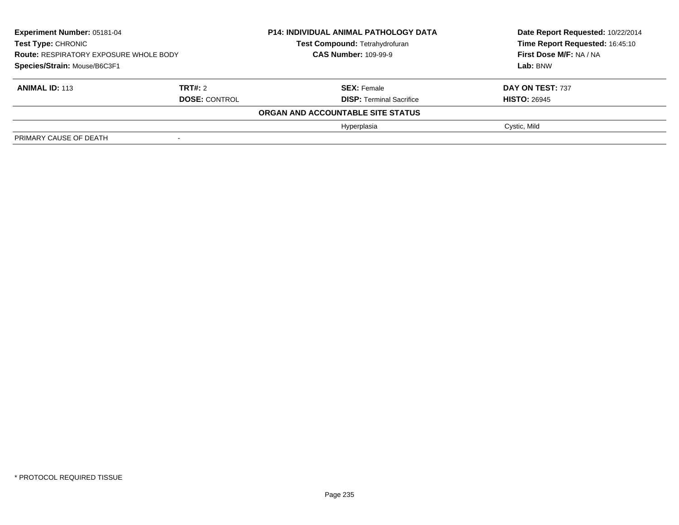| Experiment Number: 05181-04<br><b>Test Type: CHRONIC</b><br><b>Route: RESPIRATORY EXPOSURE WHOLE BODY</b> |                      | <b>P14: INDIVIDUAL ANIMAL PATHOLOGY DATA</b><br><b>Test Compound: Tetrahydrofuran</b><br><b>CAS Number: 109-99-9</b> | Date Report Requested: 10/22/2014<br>Time Report Requested: 16:45:10<br>First Dose M/F: NA / NA |
|-----------------------------------------------------------------------------------------------------------|----------------------|----------------------------------------------------------------------------------------------------------------------|-------------------------------------------------------------------------------------------------|
| Species/Strain: Mouse/B6C3F1                                                                              |                      |                                                                                                                      | Lab: BNW                                                                                        |
| <b>ANIMAL ID: 113</b>                                                                                     | TRT#: 2              | <b>SEX: Female</b>                                                                                                   | DAY ON TEST: 737                                                                                |
|                                                                                                           | <b>DOSE: CONTROL</b> | <b>DISP: Terminal Sacrifice</b>                                                                                      | <b>HISTO: 26945</b>                                                                             |
|                                                                                                           |                      | ORGAN AND ACCOUNTABLE SITE STATUS                                                                                    |                                                                                                 |
|                                                                                                           |                      | Hyperplasia                                                                                                          | Cystic, Mild                                                                                    |
| PRIMARY CAUSE OF DEATH                                                                                    |                      |                                                                                                                      |                                                                                                 |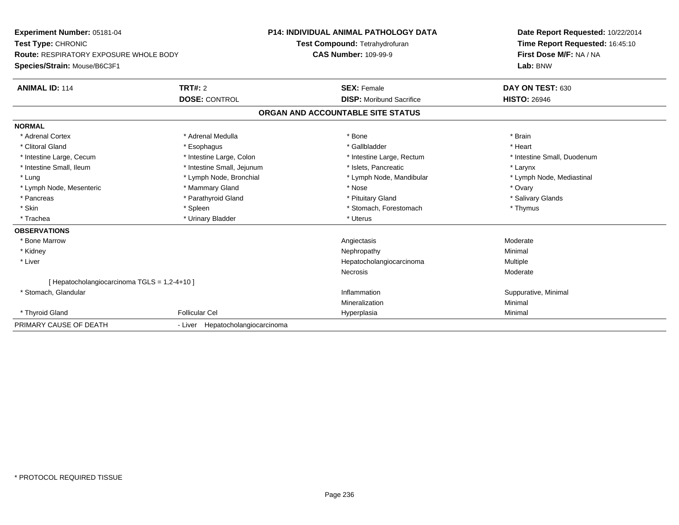| Experiment Number: 05181-04                   |                                  | <b>P14: INDIVIDUAL ANIMAL PATHOLOGY DATA</b> | Date Report Requested: 10/22/2014 |  |
|-----------------------------------------------|----------------------------------|----------------------------------------------|-----------------------------------|--|
| Test Type: CHRONIC                            |                                  | Test Compound: Tetrahydrofuran               | Time Report Requested: 16:45:10   |  |
| <b>Route: RESPIRATORY EXPOSURE WHOLE BODY</b> |                                  | <b>CAS Number: 109-99-9</b>                  | First Dose M/F: NA / NA           |  |
| Species/Strain: Mouse/B6C3F1                  |                                  |                                              | Lab: BNW                          |  |
| <b>ANIMAL ID: 114</b>                         | TRT#: 2                          | <b>SEX: Female</b>                           | DAY ON TEST: 630                  |  |
|                                               | <b>DOSE: CONTROL</b>             | <b>DISP:</b> Moribund Sacrifice              | <b>HISTO: 26946</b>               |  |
|                                               |                                  | ORGAN AND ACCOUNTABLE SITE STATUS            |                                   |  |
| <b>NORMAL</b>                                 |                                  |                                              |                                   |  |
| * Adrenal Cortex                              | * Adrenal Medulla                | * Bone                                       | * Brain                           |  |
| * Clitoral Gland                              | * Esophagus                      | * Gallbladder                                | * Heart                           |  |
| * Intestine Large, Cecum                      | * Intestine Large, Colon         | * Intestine Large, Rectum                    | * Intestine Small, Duodenum       |  |
| * Intestine Small, Ileum                      | * Intestine Small, Jejunum       | * Islets, Pancreatic                         | * Larynx                          |  |
| * Lung                                        | * Lymph Node, Bronchial          | * Lymph Node, Mandibular                     | * Lymph Node, Mediastinal         |  |
| * Lymph Node, Mesenteric                      | * Mammary Gland                  | * Nose                                       | * Ovary                           |  |
| * Pancreas                                    | * Parathyroid Gland              | * Pituitary Gland                            | * Salivary Glands                 |  |
| * Skin                                        | * Spleen                         | * Stomach, Forestomach                       | * Thymus                          |  |
| * Trachea                                     | * Urinary Bladder                | * Uterus                                     |                                   |  |
| <b>OBSERVATIONS</b>                           |                                  |                                              |                                   |  |
| * Bone Marrow                                 |                                  | Angiectasis                                  | Moderate                          |  |
| * Kidney                                      |                                  | Nephropathy                                  | Minimal                           |  |
| * Liver                                       |                                  | Hepatocholangiocarcinoma                     | Multiple                          |  |
|                                               |                                  | Necrosis                                     | Moderate                          |  |
| [ Hepatocholangiocarcinoma TGLS = 1,2-4+10 ]  |                                  |                                              |                                   |  |
| * Stomach, Glandular                          |                                  | Inflammation                                 | Suppurative, Minimal              |  |
|                                               |                                  | Mineralization                               | Minimal                           |  |
| * Thyroid Gland                               | <b>Follicular Cel</b>            | Hyperplasia                                  | Minimal                           |  |
| PRIMARY CAUSE OF DEATH                        | - Liver Hepatocholangiocarcinoma |                                              |                                   |  |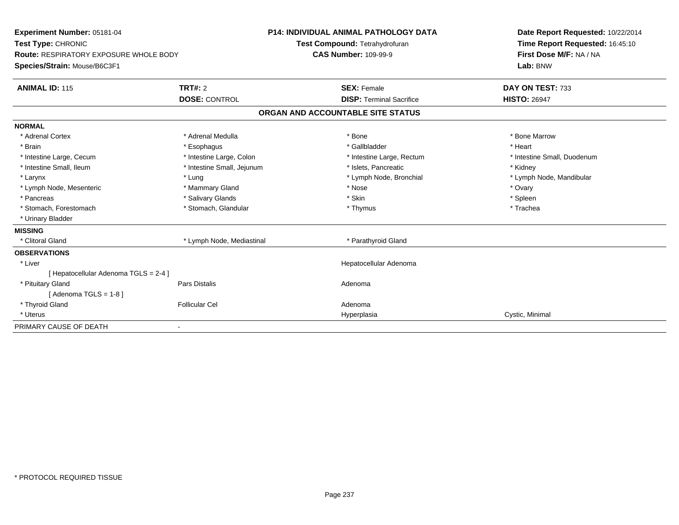| Experiment Number: 05181-04                                  |                            | P14: INDIVIDUAL ANIMAL PATHOLOGY DATA<br>Test Compound: Tetrahydrofuran |                                   | Date Report Requested: 10/22/2014<br>Time Report Requested: 16:45:10 |
|--------------------------------------------------------------|----------------------------|-------------------------------------------------------------------------|-----------------------------------|----------------------------------------------------------------------|
| Test Type: CHRONIC<br>Route: RESPIRATORY EXPOSURE WHOLE BODY |                            | <b>CAS Number: 109-99-9</b>                                             |                                   | First Dose M/F: NA / NA                                              |
|                                                              |                            |                                                                         |                                   |                                                                      |
| Species/Strain: Mouse/B6C3F1                                 |                            |                                                                         |                                   | Lab: BNW                                                             |
| <b>ANIMAL ID: 115</b>                                        | TRT#: 2                    |                                                                         | <b>SEX: Female</b>                | DAY ON TEST: 733                                                     |
|                                                              | <b>DOSE: CONTROL</b>       |                                                                         | <b>DISP: Terminal Sacrifice</b>   | <b>HISTO: 26947</b>                                                  |
|                                                              |                            |                                                                         | ORGAN AND ACCOUNTABLE SITE STATUS |                                                                      |
| <b>NORMAL</b>                                                |                            |                                                                         |                                   |                                                                      |
| * Adrenal Cortex                                             | * Adrenal Medulla          |                                                                         | * Bone                            | * Bone Marrow                                                        |
| * Brain                                                      | * Esophagus                |                                                                         | * Gallbladder                     | * Heart                                                              |
| * Intestine Large, Cecum                                     | * Intestine Large, Colon   |                                                                         | * Intestine Large, Rectum         | * Intestine Small, Duodenum                                          |
| * Intestine Small. Ileum                                     | * Intestine Small, Jejunum |                                                                         | * Islets. Pancreatic              | * Kidney                                                             |
| * Larynx                                                     | * Lung                     |                                                                         | * Lymph Node, Bronchial           | * Lymph Node, Mandibular                                             |
| * Lymph Node, Mesenteric                                     | * Mammary Gland            |                                                                         | * Nose                            | * Ovary                                                              |
| * Pancreas                                                   | * Salivary Glands          |                                                                         | * Skin                            | * Spleen                                                             |
| * Stomach, Forestomach                                       | * Stomach, Glandular       |                                                                         | * Thymus                          | * Trachea                                                            |
| * Urinary Bladder                                            |                            |                                                                         |                                   |                                                                      |
| <b>MISSING</b>                                               |                            |                                                                         |                                   |                                                                      |
| * Clitoral Gland                                             | * Lymph Node, Mediastinal  |                                                                         | * Parathyroid Gland               |                                                                      |
| <b>OBSERVATIONS</b>                                          |                            |                                                                         |                                   |                                                                      |
| * Liver                                                      |                            |                                                                         | Hepatocellular Adenoma            |                                                                      |
| [Hepatocellular Adenoma TGLS = 2-4]                          |                            |                                                                         |                                   |                                                                      |
| * Pituitary Gland                                            | Pars Distalis              |                                                                         | Adenoma                           |                                                                      |
| [Adenoma TGLS = $1-8$ ]                                      |                            |                                                                         |                                   |                                                                      |
| * Thyroid Gland                                              | <b>Follicular Cel</b>      |                                                                         | Adenoma                           |                                                                      |
| * Uterus                                                     |                            |                                                                         | Hyperplasia                       | Cystic, Minimal                                                      |
| PRIMARY CAUSE OF DEATH                                       |                            |                                                                         |                                   |                                                                      |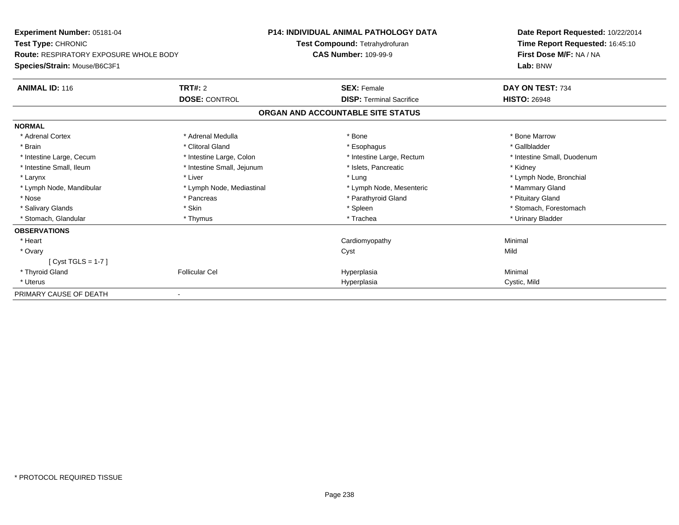| Experiment Number: 05181-04                   |                            | <b>P14: INDIVIDUAL ANIMAL PATHOLOGY DATA</b> | Date Report Requested: 10/22/2014 |
|-----------------------------------------------|----------------------------|----------------------------------------------|-----------------------------------|
| Test Type: CHRONIC                            |                            | Test Compound: Tetrahydrofuran               | Time Report Requested: 16:45:10   |
| <b>Route: RESPIRATORY EXPOSURE WHOLE BODY</b> |                            | <b>CAS Number: 109-99-9</b>                  | First Dose M/F: NA / NA           |
| Species/Strain: Mouse/B6C3F1                  |                            |                                              | Lab: BNW                          |
| <b>ANIMAL ID: 116</b>                         | TRT#: 2                    | <b>SEX: Female</b>                           | DAY ON TEST: 734                  |
|                                               | <b>DOSE: CONTROL</b>       | <b>DISP: Terminal Sacrifice</b>              | <b>HISTO: 26948</b>               |
|                                               |                            | ORGAN AND ACCOUNTABLE SITE STATUS            |                                   |
| <b>NORMAL</b>                                 |                            |                                              |                                   |
| * Adrenal Cortex                              | * Adrenal Medulla          | * Bone                                       | * Bone Marrow                     |
| * Brain                                       | * Clitoral Gland           | * Esophagus                                  | * Gallbladder                     |
| * Intestine Large, Cecum                      | * Intestine Large, Colon   | * Intestine Large, Rectum                    | * Intestine Small, Duodenum       |
| * Intestine Small, Ileum                      | * Intestine Small, Jejunum | * Islets, Pancreatic                         | * Kidney                          |
| * Larynx                                      | * Liver                    | * Lung                                       | * Lymph Node, Bronchial           |
| * Lymph Node, Mandibular                      | * Lymph Node, Mediastinal  | * Lymph Node, Mesenteric                     | * Mammary Gland                   |
| * Nose                                        | * Pancreas                 | * Parathyroid Gland                          | * Pituitary Gland                 |
| * Salivary Glands                             | * Skin                     | * Spleen                                     | * Stomach, Forestomach            |
| * Stomach, Glandular                          | * Thymus                   | * Trachea                                    | * Urinary Bladder                 |
| <b>OBSERVATIONS</b>                           |                            |                                              |                                   |
| * Heart                                       |                            | Cardiomyopathy                               | Minimal                           |
| * Ovary                                       |                            | Cyst                                         | Mild                              |
| $[Cyst TGLS = 1-7]$                           |                            |                                              |                                   |
| * Thyroid Gland                               | <b>Follicular Cel</b>      | Hyperplasia                                  | Minimal                           |
| * Uterus                                      |                            | Hyperplasia                                  | Cystic, Mild                      |
| PRIMARY CAUSE OF DEATH                        |                            |                                              |                                   |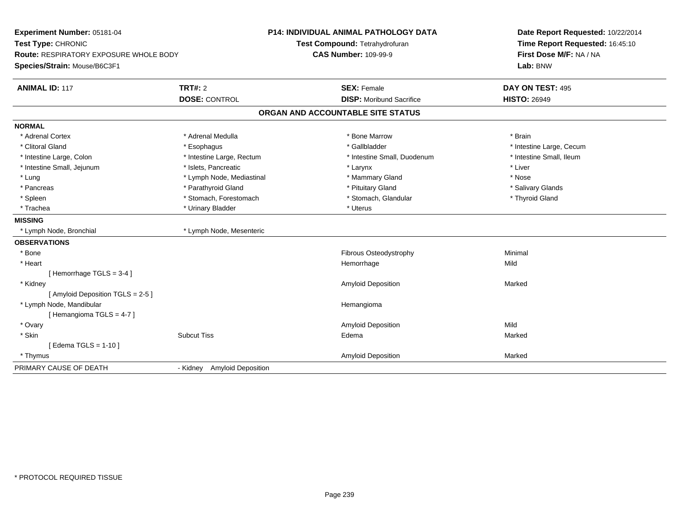| Experiment Number: 05181-04<br>Test Type: CHRONIC<br>Route: RESPIRATORY EXPOSURE WHOLE BODY<br>Species/Strain: Mouse/B6C3F1 |                                       | <b>P14: INDIVIDUAL ANIMAL PATHOLOGY DATA</b><br>Test Compound: Tetrahydrofuran<br><b>CAS Number: 109-99-9</b> | Date Report Requested: 10/22/2014<br>Time Report Requested: 16:45:10<br>First Dose M/F: NA / NA<br>Lab: BNW |
|-----------------------------------------------------------------------------------------------------------------------------|---------------------------------------|---------------------------------------------------------------------------------------------------------------|-------------------------------------------------------------------------------------------------------------|
| <b>ANIMAL ID: 117</b>                                                                                                       | <b>TRT#: 2</b>                        | <b>SEX: Female</b>                                                                                            | DAY ON TEST: 495                                                                                            |
|                                                                                                                             | <b>DOSE: CONTROL</b>                  | <b>DISP:</b> Moribund Sacrifice                                                                               | <b>HISTO: 26949</b>                                                                                         |
|                                                                                                                             |                                       | ORGAN AND ACCOUNTABLE SITE STATUS                                                                             |                                                                                                             |
| <b>NORMAL</b>                                                                                                               |                                       |                                                                                                               |                                                                                                             |
| * Adrenal Cortex                                                                                                            | * Adrenal Medulla                     | * Bone Marrow                                                                                                 | * Brain                                                                                                     |
| * Clitoral Gland                                                                                                            | * Esophagus                           | * Gallbladder                                                                                                 | * Intestine Large, Cecum                                                                                    |
| * Intestine Large, Colon                                                                                                    | * Intestine Large, Rectum             | * Intestine Small, Duodenum                                                                                   | * Intestine Small, Ileum                                                                                    |
| * Intestine Small, Jejunum                                                                                                  | * Islets, Pancreatic                  | * Larynx                                                                                                      | * Liver                                                                                                     |
| * Lung                                                                                                                      | * Lymph Node, Mediastinal             | * Mammary Gland                                                                                               | * Nose                                                                                                      |
| * Pancreas                                                                                                                  | * Parathyroid Gland                   | * Pituitary Gland                                                                                             | * Salivary Glands                                                                                           |
| * Spleen                                                                                                                    | * Stomach, Forestomach                | * Stomach, Glandular                                                                                          | * Thyroid Gland                                                                                             |
| * Trachea                                                                                                                   | * Urinary Bladder                     | * Uterus                                                                                                      |                                                                                                             |
| <b>MISSING</b>                                                                                                              |                                       |                                                                                                               |                                                                                                             |
| * Lymph Node, Bronchial                                                                                                     | * Lymph Node, Mesenteric              |                                                                                                               |                                                                                                             |
| <b>OBSERVATIONS</b>                                                                                                         |                                       |                                                                                                               |                                                                                                             |
| * Bone                                                                                                                      |                                       | Fibrous Osteodystrophy                                                                                        | Minimal                                                                                                     |
| * Heart                                                                                                                     |                                       | Hemorrhage                                                                                                    | Mild                                                                                                        |
| [Hemorrhage TGLS = $3-4$ ]                                                                                                  |                                       |                                                                                                               |                                                                                                             |
| * Kidney                                                                                                                    |                                       | Amyloid Deposition                                                                                            | Marked                                                                                                      |
| [Amyloid Deposition TGLS = 2-5]                                                                                             |                                       |                                                                                                               |                                                                                                             |
| * Lymph Node, Mandibular                                                                                                    |                                       | Hemangioma                                                                                                    |                                                                                                             |
| [Hemangioma TGLS = 4-7]                                                                                                     |                                       |                                                                                                               |                                                                                                             |
| * Ovary                                                                                                                     |                                       | Amyloid Deposition                                                                                            | Mild                                                                                                        |
| * Skin                                                                                                                      | <b>Subcut Tiss</b>                    | Edema                                                                                                         | Marked                                                                                                      |
| [Edema TGLS = $1-10$ ]                                                                                                      |                                       |                                                                                                               |                                                                                                             |
| * Thymus                                                                                                                    |                                       | <b>Amyloid Deposition</b>                                                                                     | Marked                                                                                                      |
| PRIMARY CAUSE OF DEATH                                                                                                      | <b>Amyloid Deposition</b><br>- Kidney |                                                                                                               |                                                                                                             |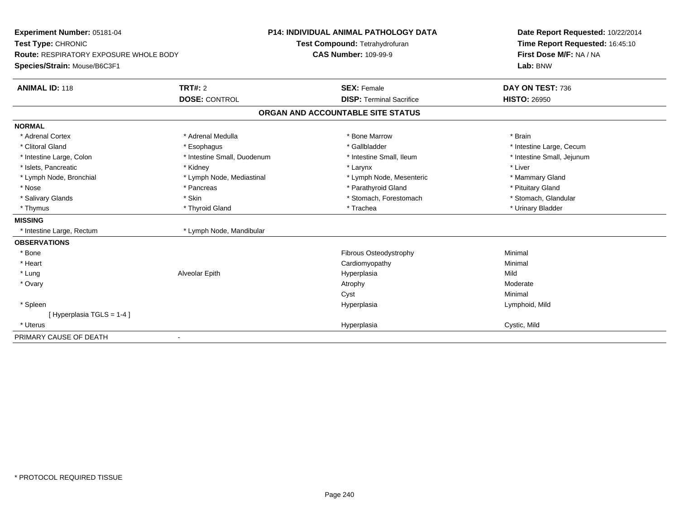| Experiment Number: 05181-04                   |                             | <b>P14: INDIVIDUAL ANIMAL PATHOLOGY DATA</b> | Date Report Requested: 10/22/2014 |
|-----------------------------------------------|-----------------------------|----------------------------------------------|-----------------------------------|
| Test Type: CHRONIC                            |                             | Test Compound: Tetrahydrofuran               | Time Report Requested: 16:45:10   |
| <b>Route: RESPIRATORY EXPOSURE WHOLE BODY</b> |                             | <b>CAS Number: 109-99-9</b>                  | First Dose M/F: NA / NA           |
| Species/Strain: Mouse/B6C3F1                  |                             |                                              | Lab: BNW                          |
| <b>ANIMAL ID: 118</b>                         | <b>TRT#: 2</b>              | <b>SEX: Female</b>                           | DAY ON TEST: 736                  |
|                                               | <b>DOSE: CONTROL</b>        | <b>DISP: Terminal Sacrifice</b>              | <b>HISTO: 26950</b>               |
|                                               |                             | ORGAN AND ACCOUNTABLE SITE STATUS            |                                   |
| <b>NORMAL</b>                                 |                             |                                              |                                   |
| * Adrenal Cortex                              | * Adrenal Medulla           | * Bone Marrow                                | * Brain                           |
| * Clitoral Gland                              | * Esophagus                 | * Gallbladder                                | * Intestine Large, Cecum          |
| * Intestine Large, Colon                      | * Intestine Small, Duodenum | * Intestine Small, Ileum                     | * Intestine Small, Jejunum        |
| * Islets, Pancreatic                          | * Kidney                    | * Larynx                                     | * Liver                           |
| * Lymph Node, Bronchial                       | * Lymph Node, Mediastinal   | * Lymph Node, Mesenteric                     | * Mammary Gland                   |
| * Nose                                        | * Pancreas                  | * Parathyroid Gland                          | * Pituitary Gland                 |
| * Salivary Glands                             | * Skin                      | * Stomach, Forestomach                       | * Stomach, Glandular              |
| * Thymus                                      | * Thyroid Gland             | * Trachea                                    | * Urinary Bladder                 |
| <b>MISSING</b>                                |                             |                                              |                                   |
| * Intestine Large, Rectum                     | * Lymph Node, Mandibular    |                                              |                                   |
| <b>OBSERVATIONS</b>                           |                             |                                              |                                   |
| * Bone                                        |                             | Fibrous Osteodystrophy                       | Minimal                           |
| * Heart                                       |                             | Cardiomyopathy                               | Minimal                           |
| * Lung                                        | Alveolar Epith              | Hyperplasia                                  | Mild                              |
| * Ovary                                       |                             | Atrophy                                      | Moderate                          |
|                                               |                             | Cyst                                         | Minimal                           |
| * Spleen                                      |                             | Hyperplasia                                  | Lymphoid, Mild                    |
| [Hyperplasia TGLS = 1-4]                      |                             |                                              |                                   |
| * Uterus                                      |                             | Hyperplasia                                  | Cystic, Mild                      |
| PRIMARY CAUSE OF DEATH                        |                             |                                              |                                   |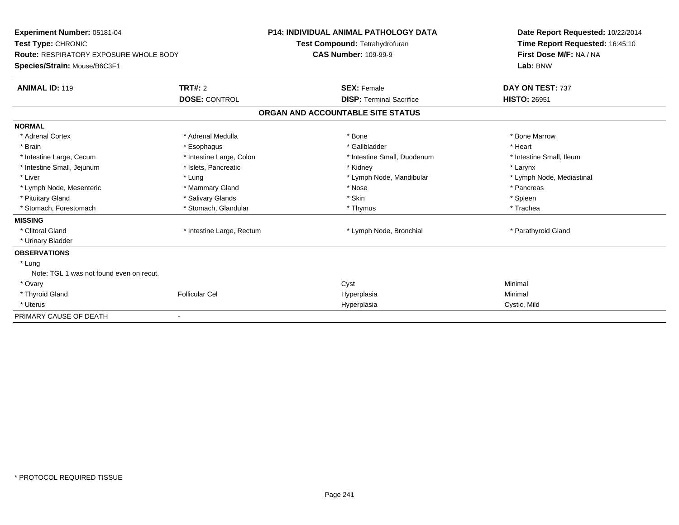| <b>Experiment Number: 05181-04</b><br>Test Type: CHRONIC<br><b>Route: RESPIRATORY EXPOSURE WHOLE BODY</b><br>Species/Strain: Mouse/B6C3F1 |                                        | <b>P14: INDIVIDUAL ANIMAL PATHOLOGY DATA</b><br>Test Compound: Tetrahydrofuran<br><b>CAS Number: 109-99-9</b> |                                                       | Date Report Requested: 10/22/2014<br>Time Report Requested: 16:45:10<br>First Dose M/F: NA / NA<br>Lab: BNW |
|-------------------------------------------------------------------------------------------------------------------------------------------|----------------------------------------|---------------------------------------------------------------------------------------------------------------|-------------------------------------------------------|-------------------------------------------------------------------------------------------------------------|
| <b>ANIMAL ID: 119</b>                                                                                                                     | <b>TRT#: 2</b><br><b>DOSE: CONTROL</b> |                                                                                                               | <b>SEX: Female</b><br><b>DISP: Terminal Sacrifice</b> | DAY ON TEST: 737<br><b>HISTO: 26951</b>                                                                     |
|                                                                                                                                           |                                        | ORGAN AND ACCOUNTABLE SITE STATUS                                                                             |                                                       |                                                                                                             |
| <b>NORMAL</b>                                                                                                                             |                                        |                                                                                                               |                                                       |                                                                                                             |
| * Adrenal Cortex                                                                                                                          | * Adrenal Medulla                      | * Bone                                                                                                        |                                                       | * Bone Marrow                                                                                               |
| * Brain                                                                                                                                   | * Esophagus                            |                                                                                                               | * Gallbladder                                         | * Heart                                                                                                     |
| * Intestine Large, Cecum                                                                                                                  | * Intestine Large, Colon               |                                                                                                               | * Intestine Small, Duodenum                           | * Intestine Small, Ileum                                                                                    |
| * Intestine Small, Jejunum                                                                                                                | * Islets, Pancreatic                   | * Kidney                                                                                                      |                                                       | * Larynx                                                                                                    |
| * Liver                                                                                                                                   | * Lung                                 |                                                                                                               | * Lymph Node, Mandibular                              | * Lymph Node, Mediastinal                                                                                   |
| * Lymph Node, Mesenteric                                                                                                                  | * Mammary Gland                        | * Nose                                                                                                        |                                                       | * Pancreas                                                                                                  |
| * Pituitary Gland                                                                                                                         | * Salivary Glands                      | * Skin                                                                                                        |                                                       | * Spleen                                                                                                    |
| * Stomach, Forestomach                                                                                                                    | * Stomach, Glandular                   |                                                                                                               | * Thymus                                              | * Trachea                                                                                                   |
| <b>MISSING</b>                                                                                                                            |                                        |                                                                                                               |                                                       |                                                                                                             |
| * Clitoral Gland                                                                                                                          | * Intestine Large, Rectum              |                                                                                                               | * Lymph Node, Bronchial                               | * Parathyroid Gland                                                                                         |
| * Urinary Bladder                                                                                                                         |                                        |                                                                                                               |                                                       |                                                                                                             |
| <b>OBSERVATIONS</b>                                                                                                                       |                                        |                                                                                                               |                                                       |                                                                                                             |
| * Lung                                                                                                                                    |                                        |                                                                                                               |                                                       |                                                                                                             |
| Note: TGL 1 was not found even on recut.                                                                                                  |                                        |                                                                                                               |                                                       |                                                                                                             |
| * Ovary                                                                                                                                   |                                        | Cyst                                                                                                          |                                                       | Minimal                                                                                                     |
| * Thyroid Gland                                                                                                                           | <b>Follicular Cel</b>                  | Hyperplasia                                                                                                   |                                                       | Minimal                                                                                                     |
| * Uterus                                                                                                                                  |                                        | Hyperplasia                                                                                                   |                                                       | Cystic, Mild                                                                                                |
| PRIMARY CAUSE OF DEATH                                                                                                                    |                                        |                                                                                                               |                                                       |                                                                                                             |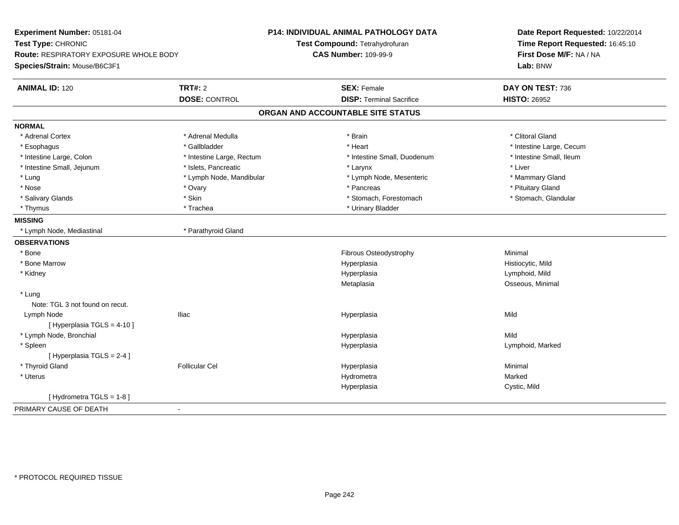| Time Report Requested: 16:45:10<br>Test Compound: Tetrahydrofuran<br>First Dose M/F: NA / NA<br>Route: RESPIRATORY EXPOSURE WHOLE BODY<br><b>CAS Number: 109-99-9</b><br>Lab: BNW<br>Species/Strain: Mouse/B6C3F1<br><b>ANIMAL ID: 120</b><br>TRT#: 2<br><b>SEX: Female</b><br>DAY ON TEST: 736<br><b>DISP: Terminal Sacrifice</b><br><b>DOSE: CONTROL</b><br><b>HISTO: 26952</b><br>ORGAN AND ACCOUNTABLE SITE STATUS<br><b>NORMAL</b><br>* Adrenal Cortex<br>* Adrenal Medulla<br>* Clitoral Gland<br>* Brain<br>* Gallbladder<br>* Heart<br>* Intestine Large, Cecum<br>* Esophagus<br>* Intestine Large, Colon<br>* Intestine Large, Rectum<br>* Intestine Small, Duodenum<br>* Intestine Small, Ileum<br>* Intestine Small, Jejunum<br>* Islets, Pancreatic<br>* Liver<br>* Larynx<br>* Lymph Node, Mandibular<br>* Lung<br>* Lymph Node, Mesenteric<br>* Mammary Gland<br>* Nose<br>* Pancreas<br>* Pituitary Gland<br>* Ovary<br>* Skin<br>* Stomach, Forestomach<br>* Stomach, Glandular<br>* Salivary Glands<br>* Trachea<br>* Urinary Bladder<br>* Thymus<br><b>MISSING</b><br>* Lymph Node, Mediastinal<br>* Parathyroid Gland<br><b>OBSERVATIONS</b><br>* Bone<br>Fibrous Osteodystrophy<br>Minimal<br>* Bone Marrow<br>Hyperplasia<br>Histiocytic, Mild<br>Lymphoid, Mild<br>* Kidney<br>Hyperplasia<br>Osseous, Minimal<br>Metaplasia<br>* Lung<br>Note: TGL 3 not found on recut.<br>Lymph Node<br><b>Iliac</b><br>Mild<br>Hyperplasia<br>[Hyperplasia TGLS = $4-10$ ]<br>* Lymph Node, Bronchial<br>Hyperplasia<br>Mild<br>Lymphoid, Marked<br>* Spleen<br>Hyperplasia<br>[ Hyperplasia TGLS = 2-4 ]<br>* Thyroid Gland<br><b>Follicular Cel</b><br>Minimal<br>Hyperplasia<br>* Uterus<br>Hydrometra<br>Marked<br>Hyperplasia<br>Cystic, Mild<br>[Hydrometra TGLS = $1-8$ ]<br>PRIMARY CAUSE OF DEATH<br>$\sim$ | Experiment Number: 05181-04 | <b>P14: INDIVIDUAL ANIMAL PATHOLOGY DATA</b> | Date Report Requested: 10/22/2014 |
|---------------------------------------------------------------------------------------------------------------------------------------------------------------------------------------------------------------------------------------------------------------------------------------------------------------------------------------------------------------------------------------------------------------------------------------------------------------------------------------------------------------------------------------------------------------------------------------------------------------------------------------------------------------------------------------------------------------------------------------------------------------------------------------------------------------------------------------------------------------------------------------------------------------------------------------------------------------------------------------------------------------------------------------------------------------------------------------------------------------------------------------------------------------------------------------------------------------------------------------------------------------------------------------------------------------------------------------------------------------------------------------------------------------------------------------------------------------------------------------------------------------------------------------------------------------------------------------------------------------------------------------------------------------------------------------------------------------------------------------------------------------------------------------------------------------------------------|-----------------------------|----------------------------------------------|-----------------------------------|
|                                                                                                                                                                                                                                                                                                                                                                                                                                                                                                                                                                                                                                                                                                                                                                                                                                                                                                                                                                                                                                                                                                                                                                                                                                                                                                                                                                                                                                                                                                                                                                                                                                                                                                                                                                                                                                 | Test Type: CHRONIC          |                                              |                                   |
|                                                                                                                                                                                                                                                                                                                                                                                                                                                                                                                                                                                                                                                                                                                                                                                                                                                                                                                                                                                                                                                                                                                                                                                                                                                                                                                                                                                                                                                                                                                                                                                                                                                                                                                                                                                                                                 |                             |                                              |                                   |
|                                                                                                                                                                                                                                                                                                                                                                                                                                                                                                                                                                                                                                                                                                                                                                                                                                                                                                                                                                                                                                                                                                                                                                                                                                                                                                                                                                                                                                                                                                                                                                                                                                                                                                                                                                                                                                 |                             |                                              |                                   |
|                                                                                                                                                                                                                                                                                                                                                                                                                                                                                                                                                                                                                                                                                                                                                                                                                                                                                                                                                                                                                                                                                                                                                                                                                                                                                                                                                                                                                                                                                                                                                                                                                                                                                                                                                                                                                                 |                             |                                              |                                   |
|                                                                                                                                                                                                                                                                                                                                                                                                                                                                                                                                                                                                                                                                                                                                                                                                                                                                                                                                                                                                                                                                                                                                                                                                                                                                                                                                                                                                                                                                                                                                                                                                                                                                                                                                                                                                                                 |                             |                                              |                                   |
|                                                                                                                                                                                                                                                                                                                                                                                                                                                                                                                                                                                                                                                                                                                                                                                                                                                                                                                                                                                                                                                                                                                                                                                                                                                                                                                                                                                                                                                                                                                                                                                                                                                                                                                                                                                                                                 |                             |                                              |                                   |
|                                                                                                                                                                                                                                                                                                                                                                                                                                                                                                                                                                                                                                                                                                                                                                                                                                                                                                                                                                                                                                                                                                                                                                                                                                                                                                                                                                                                                                                                                                                                                                                                                                                                                                                                                                                                                                 |                             |                                              |                                   |
|                                                                                                                                                                                                                                                                                                                                                                                                                                                                                                                                                                                                                                                                                                                                                                                                                                                                                                                                                                                                                                                                                                                                                                                                                                                                                                                                                                                                                                                                                                                                                                                                                                                                                                                                                                                                                                 |                             |                                              |                                   |
|                                                                                                                                                                                                                                                                                                                                                                                                                                                                                                                                                                                                                                                                                                                                                                                                                                                                                                                                                                                                                                                                                                                                                                                                                                                                                                                                                                                                                                                                                                                                                                                                                                                                                                                                                                                                                                 |                             |                                              |                                   |
|                                                                                                                                                                                                                                                                                                                                                                                                                                                                                                                                                                                                                                                                                                                                                                                                                                                                                                                                                                                                                                                                                                                                                                                                                                                                                                                                                                                                                                                                                                                                                                                                                                                                                                                                                                                                                                 |                             |                                              |                                   |
|                                                                                                                                                                                                                                                                                                                                                                                                                                                                                                                                                                                                                                                                                                                                                                                                                                                                                                                                                                                                                                                                                                                                                                                                                                                                                                                                                                                                                                                                                                                                                                                                                                                                                                                                                                                                                                 |                             |                                              |                                   |
|                                                                                                                                                                                                                                                                                                                                                                                                                                                                                                                                                                                                                                                                                                                                                                                                                                                                                                                                                                                                                                                                                                                                                                                                                                                                                                                                                                                                                                                                                                                                                                                                                                                                                                                                                                                                                                 |                             |                                              |                                   |
|                                                                                                                                                                                                                                                                                                                                                                                                                                                                                                                                                                                                                                                                                                                                                                                                                                                                                                                                                                                                                                                                                                                                                                                                                                                                                                                                                                                                                                                                                                                                                                                                                                                                                                                                                                                                                                 |                             |                                              |                                   |
|                                                                                                                                                                                                                                                                                                                                                                                                                                                                                                                                                                                                                                                                                                                                                                                                                                                                                                                                                                                                                                                                                                                                                                                                                                                                                                                                                                                                                                                                                                                                                                                                                                                                                                                                                                                                                                 |                             |                                              |                                   |
|                                                                                                                                                                                                                                                                                                                                                                                                                                                                                                                                                                                                                                                                                                                                                                                                                                                                                                                                                                                                                                                                                                                                                                                                                                                                                                                                                                                                                                                                                                                                                                                                                                                                                                                                                                                                                                 |                             |                                              |                                   |
|                                                                                                                                                                                                                                                                                                                                                                                                                                                                                                                                                                                                                                                                                                                                                                                                                                                                                                                                                                                                                                                                                                                                                                                                                                                                                                                                                                                                                                                                                                                                                                                                                                                                                                                                                                                                                                 |                             |                                              |                                   |
|                                                                                                                                                                                                                                                                                                                                                                                                                                                                                                                                                                                                                                                                                                                                                                                                                                                                                                                                                                                                                                                                                                                                                                                                                                                                                                                                                                                                                                                                                                                                                                                                                                                                                                                                                                                                                                 |                             |                                              |                                   |
|                                                                                                                                                                                                                                                                                                                                                                                                                                                                                                                                                                                                                                                                                                                                                                                                                                                                                                                                                                                                                                                                                                                                                                                                                                                                                                                                                                                                                                                                                                                                                                                                                                                                                                                                                                                                                                 |                             |                                              |                                   |
|                                                                                                                                                                                                                                                                                                                                                                                                                                                                                                                                                                                                                                                                                                                                                                                                                                                                                                                                                                                                                                                                                                                                                                                                                                                                                                                                                                                                                                                                                                                                                                                                                                                                                                                                                                                                                                 |                             |                                              |                                   |
|                                                                                                                                                                                                                                                                                                                                                                                                                                                                                                                                                                                                                                                                                                                                                                                                                                                                                                                                                                                                                                                                                                                                                                                                                                                                                                                                                                                                                                                                                                                                                                                                                                                                                                                                                                                                                                 |                             |                                              |                                   |
|                                                                                                                                                                                                                                                                                                                                                                                                                                                                                                                                                                                                                                                                                                                                                                                                                                                                                                                                                                                                                                                                                                                                                                                                                                                                                                                                                                                                                                                                                                                                                                                                                                                                                                                                                                                                                                 |                             |                                              |                                   |
|                                                                                                                                                                                                                                                                                                                                                                                                                                                                                                                                                                                                                                                                                                                                                                                                                                                                                                                                                                                                                                                                                                                                                                                                                                                                                                                                                                                                                                                                                                                                                                                                                                                                                                                                                                                                                                 |                             |                                              |                                   |
|                                                                                                                                                                                                                                                                                                                                                                                                                                                                                                                                                                                                                                                                                                                                                                                                                                                                                                                                                                                                                                                                                                                                                                                                                                                                                                                                                                                                                                                                                                                                                                                                                                                                                                                                                                                                                                 |                             |                                              |                                   |
|                                                                                                                                                                                                                                                                                                                                                                                                                                                                                                                                                                                                                                                                                                                                                                                                                                                                                                                                                                                                                                                                                                                                                                                                                                                                                                                                                                                                                                                                                                                                                                                                                                                                                                                                                                                                                                 |                             |                                              |                                   |
|                                                                                                                                                                                                                                                                                                                                                                                                                                                                                                                                                                                                                                                                                                                                                                                                                                                                                                                                                                                                                                                                                                                                                                                                                                                                                                                                                                                                                                                                                                                                                                                                                                                                                                                                                                                                                                 |                             |                                              |                                   |
|                                                                                                                                                                                                                                                                                                                                                                                                                                                                                                                                                                                                                                                                                                                                                                                                                                                                                                                                                                                                                                                                                                                                                                                                                                                                                                                                                                                                                                                                                                                                                                                                                                                                                                                                                                                                                                 |                             |                                              |                                   |
|                                                                                                                                                                                                                                                                                                                                                                                                                                                                                                                                                                                                                                                                                                                                                                                                                                                                                                                                                                                                                                                                                                                                                                                                                                                                                                                                                                                                                                                                                                                                                                                                                                                                                                                                                                                                                                 |                             |                                              |                                   |
|                                                                                                                                                                                                                                                                                                                                                                                                                                                                                                                                                                                                                                                                                                                                                                                                                                                                                                                                                                                                                                                                                                                                                                                                                                                                                                                                                                                                                                                                                                                                                                                                                                                                                                                                                                                                                                 |                             |                                              |                                   |
|                                                                                                                                                                                                                                                                                                                                                                                                                                                                                                                                                                                                                                                                                                                                                                                                                                                                                                                                                                                                                                                                                                                                                                                                                                                                                                                                                                                                                                                                                                                                                                                                                                                                                                                                                                                                                                 |                             |                                              |                                   |
|                                                                                                                                                                                                                                                                                                                                                                                                                                                                                                                                                                                                                                                                                                                                                                                                                                                                                                                                                                                                                                                                                                                                                                                                                                                                                                                                                                                                                                                                                                                                                                                                                                                                                                                                                                                                                                 |                             |                                              |                                   |
|                                                                                                                                                                                                                                                                                                                                                                                                                                                                                                                                                                                                                                                                                                                                                                                                                                                                                                                                                                                                                                                                                                                                                                                                                                                                                                                                                                                                                                                                                                                                                                                                                                                                                                                                                                                                                                 |                             |                                              |                                   |
|                                                                                                                                                                                                                                                                                                                                                                                                                                                                                                                                                                                                                                                                                                                                                                                                                                                                                                                                                                                                                                                                                                                                                                                                                                                                                                                                                                                                                                                                                                                                                                                                                                                                                                                                                                                                                                 |                             |                                              |                                   |
|                                                                                                                                                                                                                                                                                                                                                                                                                                                                                                                                                                                                                                                                                                                                                                                                                                                                                                                                                                                                                                                                                                                                                                                                                                                                                                                                                                                                                                                                                                                                                                                                                                                                                                                                                                                                                                 |                             |                                              |                                   |
|                                                                                                                                                                                                                                                                                                                                                                                                                                                                                                                                                                                                                                                                                                                                                                                                                                                                                                                                                                                                                                                                                                                                                                                                                                                                                                                                                                                                                                                                                                                                                                                                                                                                                                                                                                                                                                 |                             |                                              |                                   |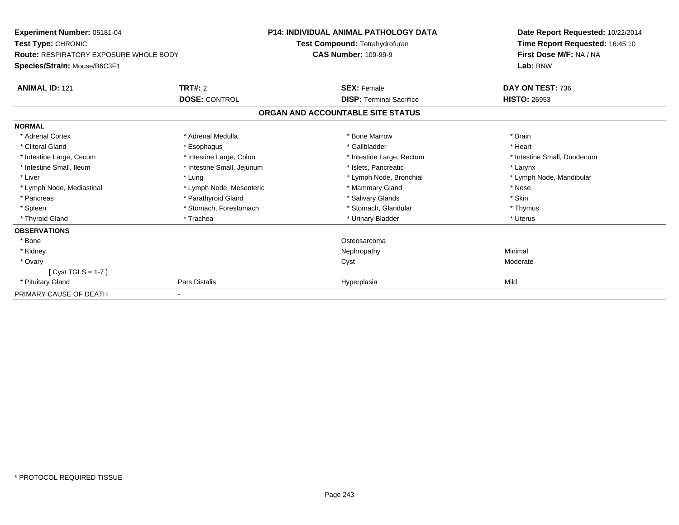| <b>Experiment Number: 05181-04</b><br>Test Type: CHRONIC<br><b>Route: RESPIRATORY EXPOSURE WHOLE BODY</b> |                            | <b>P14: INDIVIDUAL ANIMAL PATHOLOGY DATA</b> | Date Report Requested: 10/22/2014<br>Time Report Requested: 16:45:10<br>First Dose M/F: NA / NA |
|-----------------------------------------------------------------------------------------------------------|----------------------------|----------------------------------------------|-------------------------------------------------------------------------------------------------|
|                                                                                                           |                            | Test Compound: Tetrahydrofuran               |                                                                                                 |
|                                                                                                           |                            | <b>CAS Number: 109-99-9</b>                  |                                                                                                 |
| Species/Strain: Mouse/B6C3F1                                                                              |                            |                                              | Lab: BNW                                                                                        |
| <b>ANIMAL ID: 121</b>                                                                                     | <b>TRT#: 2</b>             | <b>SEX: Female</b>                           | DAY ON TEST: 736                                                                                |
|                                                                                                           | <b>DOSE: CONTROL</b>       | <b>DISP: Terminal Sacrifice</b>              | <b>HISTO: 26953</b>                                                                             |
|                                                                                                           |                            | ORGAN AND ACCOUNTABLE SITE STATUS            |                                                                                                 |
| <b>NORMAL</b>                                                                                             |                            |                                              |                                                                                                 |
| * Adrenal Cortex                                                                                          | * Adrenal Medulla          | * Bone Marrow                                | * Brain                                                                                         |
| * Clitoral Gland                                                                                          | * Esophagus                | * Gallbladder                                | * Heart                                                                                         |
| * Intestine Large, Cecum                                                                                  | * Intestine Large, Colon   | * Intestine Large, Rectum                    | * Intestine Small, Duodenum                                                                     |
| * Intestine Small, Ileum                                                                                  | * Intestine Small, Jejunum | * Islets, Pancreatic                         | * Larynx                                                                                        |
| * Liver                                                                                                   | * Lung                     | * Lymph Node, Bronchial                      | * Lymph Node, Mandibular                                                                        |
| * Lymph Node, Mediastinal                                                                                 | * Lymph Node, Mesenteric   | * Mammary Gland                              | * Nose                                                                                          |
| * Pancreas                                                                                                | * Parathyroid Gland        | * Salivary Glands                            | * Skin                                                                                          |
| * Spleen                                                                                                  | * Stomach, Forestomach     | * Stomach, Glandular                         | * Thymus                                                                                        |
| * Thyroid Gland                                                                                           | * Trachea                  | * Urinary Bladder                            | * Uterus                                                                                        |
| <b>OBSERVATIONS</b>                                                                                       |                            |                                              |                                                                                                 |
| * Bone                                                                                                    |                            | Osteosarcoma                                 |                                                                                                 |
| * Kidney                                                                                                  |                            | Nephropathy                                  | Minimal                                                                                         |
| * Ovary                                                                                                   |                            | Cyst                                         | Moderate                                                                                        |
| [Cyst TGLS = $1-7$ ]                                                                                      |                            |                                              |                                                                                                 |
| * Pituitary Gland                                                                                         | Pars Distalis              | Hyperplasia                                  | Mild                                                                                            |
| PRIMARY CAUSE OF DEATH                                                                                    |                            |                                              |                                                                                                 |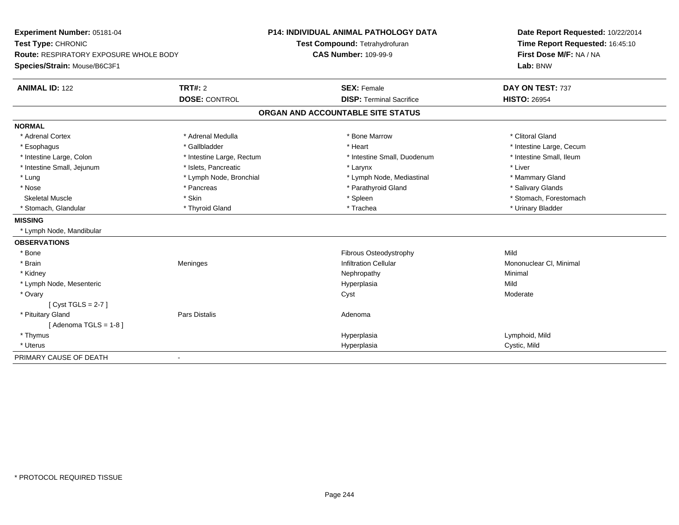| Experiment Number: 05181-04<br>Test Type: CHRONIC<br><b>Route: RESPIRATORY EXPOSURE WHOLE BODY</b> |                           | <b>P14: INDIVIDUAL ANIMAL PATHOLOGY DATA</b> | Date Report Requested: 10/22/2014<br>Time Report Requested: 16:45:10 |
|----------------------------------------------------------------------------------------------------|---------------------------|----------------------------------------------|----------------------------------------------------------------------|
|                                                                                                    |                           | Test Compound: Tetrahydrofuran               |                                                                      |
|                                                                                                    |                           | <b>CAS Number: 109-99-9</b>                  | First Dose M/F: NA / NA                                              |
| Species/Strain: Mouse/B6C3F1                                                                       |                           |                                              | Lab: BNW                                                             |
| <b>ANIMAL ID: 122</b>                                                                              | <b>TRT#: 2</b>            | <b>SEX: Female</b>                           | DAY ON TEST: 737                                                     |
|                                                                                                    | <b>DOSE: CONTROL</b>      | <b>DISP: Terminal Sacrifice</b>              | <b>HISTO: 26954</b>                                                  |
|                                                                                                    |                           | ORGAN AND ACCOUNTABLE SITE STATUS            |                                                                      |
| <b>NORMAL</b>                                                                                      |                           |                                              |                                                                      |
| * Adrenal Cortex                                                                                   | * Adrenal Medulla         | * Bone Marrow                                | * Clitoral Gland                                                     |
| * Esophagus                                                                                        | * Gallbladder             | * Heart                                      | * Intestine Large, Cecum                                             |
| * Intestine Large, Colon                                                                           | * Intestine Large, Rectum | * Intestine Small, Duodenum                  | * Intestine Small, Ileum                                             |
| * Intestine Small, Jejunum                                                                         | * Islets, Pancreatic      | * Larynx                                     | * Liver                                                              |
| * Lung                                                                                             | * Lymph Node, Bronchial   | * Lymph Node, Mediastinal                    | * Mammary Gland                                                      |
| * Nose                                                                                             | * Pancreas                | * Parathyroid Gland                          | * Salivary Glands                                                    |
| <b>Skeletal Muscle</b>                                                                             | * Skin                    | * Spleen                                     | * Stomach, Forestomach                                               |
| * Stomach, Glandular                                                                               | * Thyroid Gland           | * Trachea                                    | * Urinary Bladder                                                    |
| <b>MISSING</b>                                                                                     |                           |                                              |                                                                      |
| * Lymph Node, Mandibular                                                                           |                           |                                              |                                                                      |
| <b>OBSERVATIONS</b>                                                                                |                           |                                              |                                                                      |
| * Bone                                                                                             |                           | Fibrous Osteodystrophy                       | Mild                                                                 |
| * Brain                                                                                            | Meninges                  | <b>Infiltration Cellular</b>                 | Mononuclear CI, Minimal                                              |
| * Kidney                                                                                           |                           | Nephropathy                                  | Minimal                                                              |
| * Lymph Node, Mesenteric                                                                           |                           | Hyperplasia                                  | Mild                                                                 |
| * Ovary                                                                                            |                           | Cyst                                         | Moderate                                                             |
| $[Cyst TGLS = 2-7]$                                                                                |                           |                                              |                                                                      |
| * Pituitary Gland                                                                                  | Pars Distalis             | Adenoma                                      |                                                                      |
| [Adenoma TGLS = $1-8$ ]                                                                            |                           |                                              |                                                                      |
| * Thymus                                                                                           |                           | Hyperplasia                                  | Lymphoid, Mild                                                       |
| * Uterus                                                                                           |                           | Hyperplasia                                  | Cystic, Mild                                                         |
| PRIMARY CAUSE OF DEATH                                                                             | $\blacksquare$            |                                              |                                                                      |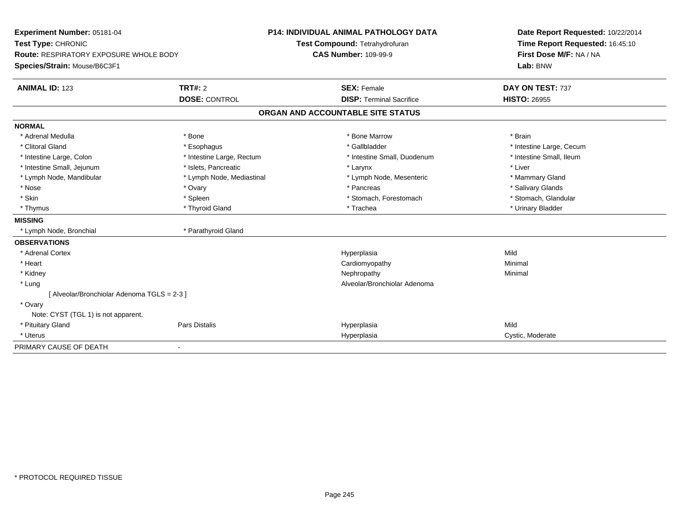| Experiment Number: 05181-04                   |                           | P14: INDIVIDUAL ANIMAL PATHOLOGY DATA | Date Report Requested: 10/22/2014 |
|-----------------------------------------------|---------------------------|---------------------------------------|-----------------------------------|
| Test Type: CHRONIC                            |                           | Test Compound: Tetrahydrofuran        | Time Report Requested: 16:45:10   |
| <b>Route: RESPIRATORY EXPOSURE WHOLE BODY</b> |                           | <b>CAS Number: 109-99-9</b>           | First Dose M/F: NA / NA           |
| Species/Strain: Mouse/B6C3F1                  |                           |                                       | Lab: BNW                          |
| <b>ANIMAL ID: 123</b>                         | <b>TRT#: 2</b>            | <b>SEX: Female</b>                    | DAY ON TEST: 737                  |
|                                               | <b>DOSE: CONTROL</b>      | <b>DISP: Terminal Sacrifice</b>       | <b>HISTO: 26955</b>               |
|                                               |                           | ORGAN AND ACCOUNTABLE SITE STATUS     |                                   |
| <b>NORMAL</b>                                 |                           |                                       |                                   |
| * Adrenal Medulla                             | * Bone                    | * Bone Marrow                         | * Brain                           |
| * Clitoral Gland                              | * Esophagus               | * Gallbladder                         | * Intestine Large, Cecum          |
| * Intestine Large, Colon                      | * Intestine Large, Rectum | * Intestine Small, Duodenum           | * Intestine Small, Ileum          |
| * Intestine Small, Jejunum                    | * Islets, Pancreatic      | * Larynx                              | * Liver                           |
| * Lymph Node, Mandibular                      | * Lymph Node, Mediastinal | * Lymph Node, Mesenteric              | * Mammary Gland                   |
| * Nose                                        | * Ovary                   | * Pancreas                            | * Salivary Glands                 |
| * Skin                                        | * Spleen                  | * Stomach, Forestomach                | * Stomach, Glandular              |
| * Thymus                                      | * Thyroid Gland           | * Trachea                             | * Urinary Bladder                 |
| <b>MISSING</b>                                |                           |                                       |                                   |
| * Lymph Node, Bronchial                       | * Parathyroid Gland       |                                       |                                   |
| <b>OBSERVATIONS</b>                           |                           |                                       |                                   |
| * Adrenal Cortex                              |                           | Hyperplasia                           | Mild                              |
| * Heart                                       |                           | Cardiomyopathy                        | Minimal                           |
| * Kidney                                      |                           | Nephropathy                           | Minimal                           |
| * Lung                                        |                           | Alveolar/Bronchiolar Adenoma          |                                   |
| [ Alveolar/Bronchiolar Adenoma TGLS = 2-3 ]   |                           |                                       |                                   |
| * Ovary                                       |                           |                                       |                                   |
| Note: CYST (TGL 1) is not apparent.           |                           |                                       |                                   |
| * Pituitary Gland                             | <b>Pars Distalis</b>      | Hyperplasia                           | Mild                              |
| * Uterus                                      |                           | Hyperplasia                           | Cystic, Moderate                  |
| PRIMARY CAUSE OF DEATH                        |                           |                                       |                                   |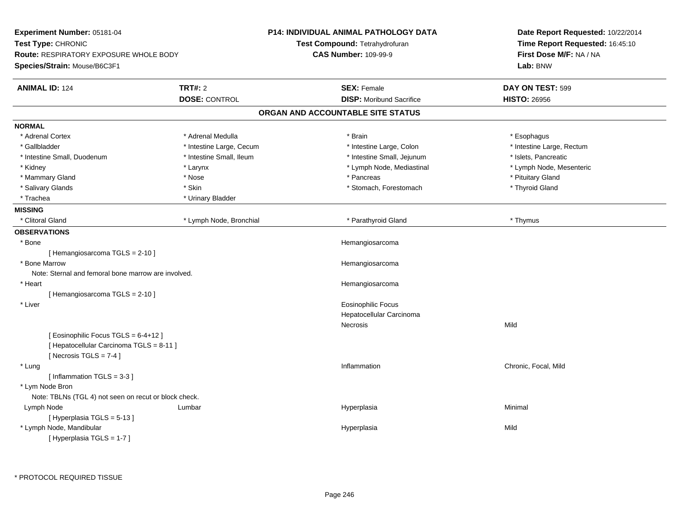| Experiment Number: 05181-04<br>Test Type: CHRONIC<br>Route: RESPIRATORY EXPOSURE WHOLE BODY<br>Species/Strain: Mouse/B6C3F1 |                                        | P14: INDIVIDUAL ANIMAL PATHOLOGY DATA<br>Test Compound: Tetrahydrofuran<br><b>CAS Number: 109-99-9</b> | Date Report Requested: 10/22/2014<br>Time Report Requested: 16:45:10<br>First Dose M/F: NA / NA<br>Lab: BNW |
|-----------------------------------------------------------------------------------------------------------------------------|----------------------------------------|--------------------------------------------------------------------------------------------------------|-------------------------------------------------------------------------------------------------------------|
| <b>ANIMAL ID: 124</b>                                                                                                       | <b>TRT#: 2</b><br><b>DOSE: CONTROL</b> | <b>SEX: Female</b><br><b>DISP:</b> Moribund Sacrifice                                                  | DAY ON TEST: 599<br><b>HISTO: 26956</b>                                                                     |
|                                                                                                                             |                                        | ORGAN AND ACCOUNTABLE SITE STATUS                                                                      |                                                                                                             |
| <b>NORMAL</b>                                                                                                               |                                        |                                                                                                        |                                                                                                             |
| * Adrenal Cortex                                                                                                            | * Adrenal Medulla                      | * Brain                                                                                                | * Esophagus                                                                                                 |
| * Gallbladder                                                                                                               | * Intestine Large, Cecum               | * Intestine Large, Colon                                                                               | * Intestine Large, Rectum                                                                                   |
| * Intestine Small, Duodenum                                                                                                 | * Intestine Small, Ileum               | * Intestine Small, Jejunum                                                                             | * Islets, Pancreatic                                                                                        |
| * Kidney                                                                                                                    | * Larynx                               | * Lymph Node, Mediastinal                                                                              | * Lymph Node, Mesenteric                                                                                    |
| * Mammary Gland                                                                                                             | $*$ Nose                               | * Pancreas                                                                                             | * Pituitary Gland                                                                                           |
| * Salivary Glands                                                                                                           | * Skin                                 | * Stomach, Forestomach                                                                                 | * Thyroid Gland                                                                                             |
| * Trachea                                                                                                                   | * Urinary Bladder                      |                                                                                                        |                                                                                                             |
| <b>MISSING</b>                                                                                                              |                                        |                                                                                                        |                                                                                                             |
| * Clitoral Gland                                                                                                            | * Lymph Node, Bronchial                | * Parathyroid Gland                                                                                    | * Thymus                                                                                                    |
| <b>OBSERVATIONS</b>                                                                                                         |                                        |                                                                                                        |                                                                                                             |
| * Bone                                                                                                                      |                                        | Hemangiosarcoma                                                                                        |                                                                                                             |
| [Hemangiosarcoma TGLS = 2-10]                                                                                               |                                        |                                                                                                        |                                                                                                             |
| * Bone Marrow                                                                                                               |                                        | Hemangiosarcoma                                                                                        |                                                                                                             |
| Note: Sternal and femoral bone marrow are involved.                                                                         |                                        |                                                                                                        |                                                                                                             |
| * Heart                                                                                                                     |                                        | Hemangiosarcoma                                                                                        |                                                                                                             |
| [Hemangiosarcoma TGLS = 2-10]                                                                                               |                                        |                                                                                                        |                                                                                                             |
| * Liver                                                                                                                     |                                        | <b>Eosinophilic Focus</b>                                                                              |                                                                                                             |
|                                                                                                                             |                                        | Hepatocellular Carcinoma                                                                               |                                                                                                             |
|                                                                                                                             |                                        | Necrosis                                                                                               | Mild                                                                                                        |
| [Eosinophilic Focus TGLS = 6-4+12]<br>[ Hepatocellular Carcinoma TGLS = 8-11 ]<br>[Necrosis TGLS = $7-4$ ]                  |                                        |                                                                                                        |                                                                                                             |
| * Lung                                                                                                                      |                                        | Inflammation                                                                                           | Chronic, Focal, Mild                                                                                        |
| [Inflammation TGLS = $3-3$ ]                                                                                                |                                        |                                                                                                        |                                                                                                             |
| * Lym Node Bron                                                                                                             |                                        |                                                                                                        |                                                                                                             |
| Note: TBLNs (TGL 4) not seen on recut or block check.                                                                       |                                        |                                                                                                        |                                                                                                             |
| Lymph Node                                                                                                                  | Lumbar                                 | Hyperplasia                                                                                            | Minimal                                                                                                     |
| [Hyperplasia TGLS = 5-13]                                                                                                   |                                        |                                                                                                        |                                                                                                             |
| * Lymph Node, Mandibular                                                                                                    |                                        | Hyperplasia                                                                                            | Mild                                                                                                        |
| [Hyperplasia TGLS = 1-7]                                                                                                    |                                        |                                                                                                        |                                                                                                             |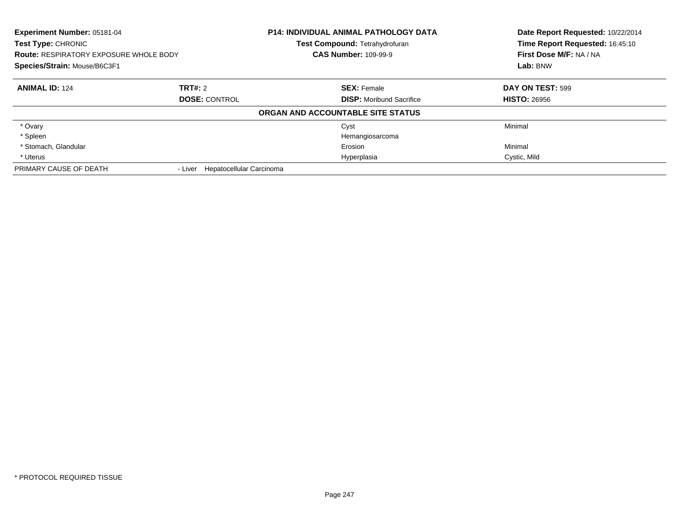| <b>Experiment Number: 05181-04</b><br><b>Test Type: CHRONIC</b><br><b>Route: RESPIRATORY EXPOSURE WHOLE BODY</b> |                                  | <b>P14: INDIVIDUAL ANIMAL PATHOLOGY DATA</b><br>Test Compound: Tetrahydrofuran<br><b>CAS Number: 109-99-9</b> | Date Report Requested: 10/22/2014<br>Time Report Requested: 16:45:10<br>First Dose M/F: NA / NA |
|------------------------------------------------------------------------------------------------------------------|----------------------------------|---------------------------------------------------------------------------------------------------------------|-------------------------------------------------------------------------------------------------|
| Species/Strain: Mouse/B6C3F1                                                                                     |                                  |                                                                                                               | Lab: BNW                                                                                        |
| <b>ANIMAL ID: 124</b>                                                                                            | TRT#: 2                          | <b>SEX: Female</b>                                                                                            | DAY ON TEST: 599                                                                                |
|                                                                                                                  | <b>DOSE: CONTROL</b>             | <b>DISP:</b> Moribund Sacrifice                                                                               | <b>HISTO: 26956</b>                                                                             |
|                                                                                                                  |                                  | ORGAN AND ACCOUNTABLE SITE STATUS                                                                             |                                                                                                 |
| * Ovary                                                                                                          |                                  | Cyst                                                                                                          | Minimal                                                                                         |
| * Spleen                                                                                                         |                                  | Hemangiosarcoma                                                                                               |                                                                                                 |
| * Stomach, Glandular                                                                                             |                                  | Erosion                                                                                                       | Minimal                                                                                         |
| * Uterus                                                                                                         |                                  | Hyperplasia                                                                                                   | Cystic, Mild                                                                                    |
| PRIMARY CAUSE OF DEATH                                                                                           | - Liver Hepatocellular Carcinoma |                                                                                                               |                                                                                                 |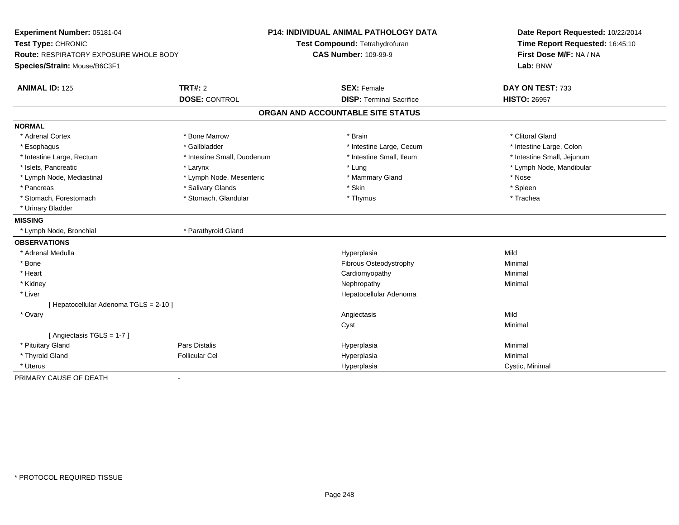| Experiment Number: 05181-04<br>Test Type: CHRONIC<br>Route: RESPIRATORY EXPOSURE WHOLE BODY<br>Species/Strain: Mouse/B6C3F1 |                                        | P14: INDIVIDUAL ANIMAL PATHOLOGY DATA<br>Test Compound: Tetrahydrofuran<br><b>CAS Number: 109-99-9</b> | Date Report Requested: 10/22/2014<br>Time Report Requested: 16:45:10<br>First Dose M/F: NA / NA<br>Lab: BNW |
|-----------------------------------------------------------------------------------------------------------------------------|----------------------------------------|--------------------------------------------------------------------------------------------------------|-------------------------------------------------------------------------------------------------------------|
| <b>ANIMAL ID: 125</b>                                                                                                       | <b>TRT#: 2</b><br><b>DOSE: CONTROL</b> | <b>SEX: Female</b><br><b>DISP: Terminal Sacrifice</b>                                                  | DAY ON TEST: 733<br><b>HISTO: 26957</b>                                                                     |
|                                                                                                                             |                                        |                                                                                                        |                                                                                                             |
|                                                                                                                             |                                        | ORGAN AND ACCOUNTABLE SITE STATUS                                                                      |                                                                                                             |
| <b>NORMAL</b>                                                                                                               |                                        |                                                                                                        |                                                                                                             |
| * Adrenal Cortex                                                                                                            | * Bone Marrow                          | * Brain                                                                                                | * Clitoral Gland                                                                                            |
| * Esophagus                                                                                                                 | * Gallbladder                          | * Intestine Large, Cecum                                                                               | * Intestine Large, Colon                                                                                    |
| * Intestine Large, Rectum                                                                                                   | * Intestine Small, Duodenum            | * Intestine Small, Ileum                                                                               | * Intestine Small, Jejunum                                                                                  |
| * Islets, Pancreatic                                                                                                        | * Larynx                               | * Lung                                                                                                 | * Lymph Node, Mandibular                                                                                    |
| * Lymph Node, Mediastinal                                                                                                   | * Lymph Node, Mesenteric               | * Mammary Gland                                                                                        | * Nose                                                                                                      |
| * Pancreas                                                                                                                  | * Salivary Glands                      | * Skin                                                                                                 | * Spleen                                                                                                    |
| * Stomach, Forestomach                                                                                                      | * Stomach, Glandular                   | * Thymus                                                                                               | * Trachea                                                                                                   |
| * Urinary Bladder                                                                                                           |                                        |                                                                                                        |                                                                                                             |
| <b>MISSING</b>                                                                                                              |                                        |                                                                                                        |                                                                                                             |
| * Lymph Node, Bronchial                                                                                                     | * Parathyroid Gland                    |                                                                                                        |                                                                                                             |
| <b>OBSERVATIONS</b>                                                                                                         |                                        |                                                                                                        |                                                                                                             |
| * Adrenal Medulla                                                                                                           |                                        | Hyperplasia                                                                                            | Mild                                                                                                        |
| * Bone                                                                                                                      |                                        | Fibrous Osteodystrophy                                                                                 | Minimal                                                                                                     |
| * Heart                                                                                                                     |                                        | Cardiomyopathy                                                                                         | Minimal                                                                                                     |
| * Kidney                                                                                                                    |                                        | Nephropathy                                                                                            | Minimal                                                                                                     |
| * Liver                                                                                                                     |                                        | Hepatocellular Adenoma                                                                                 |                                                                                                             |
| [ Hepatocellular Adenoma TGLS = 2-10 ]                                                                                      |                                        |                                                                                                        |                                                                                                             |
| * Ovary                                                                                                                     |                                        | Angiectasis                                                                                            | Mild                                                                                                        |
|                                                                                                                             |                                        | Cyst                                                                                                   | Minimal                                                                                                     |
| [Angiectasis TGLS = 1-7]                                                                                                    |                                        |                                                                                                        |                                                                                                             |
| * Pituitary Gland                                                                                                           | Pars Distalis                          | Hyperplasia                                                                                            | Minimal                                                                                                     |
| * Thyroid Gland                                                                                                             | <b>Follicular Cel</b>                  | Hyperplasia                                                                                            | Minimal                                                                                                     |
| * Uterus                                                                                                                    |                                        | Hyperplasia                                                                                            | Cystic, Minimal                                                                                             |
| PRIMARY CAUSE OF DEATH                                                                                                      | $\blacksquare$                         |                                                                                                        |                                                                                                             |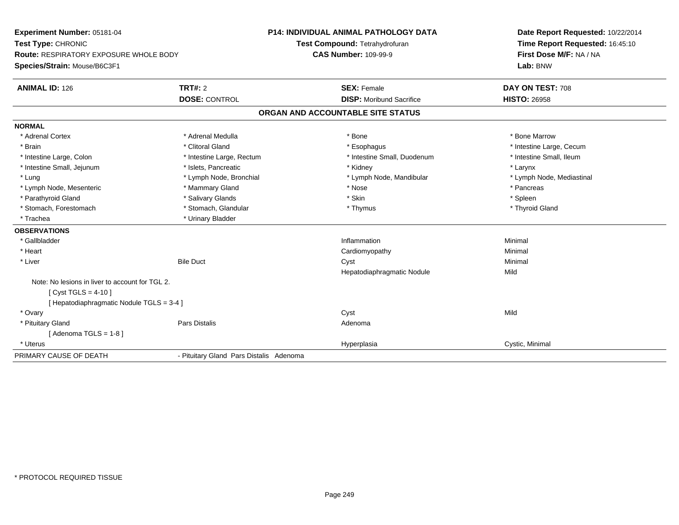| Experiment Number: 05181-04                     |                                         | <b>P14: INDIVIDUAL ANIMAL PATHOLOGY DATA</b> | Date Report Requested: 10/22/2014                          |
|-------------------------------------------------|-----------------------------------------|----------------------------------------------|------------------------------------------------------------|
| Test Type: CHRONIC                              |                                         | Test Compound: Tetrahydrofuran               | Time Report Requested: 16:45:10<br>First Dose M/F: NA / NA |
| <b>Route: RESPIRATORY EXPOSURE WHOLE BODY</b>   |                                         | <b>CAS Number: 109-99-9</b>                  |                                                            |
| Species/Strain: Mouse/B6C3F1                    |                                         |                                              | Lab: BNW                                                   |
| <b>ANIMAL ID: 126</b>                           | <b>TRT#: 2</b>                          | <b>SEX: Female</b>                           | DAY ON TEST: 708                                           |
|                                                 | <b>DOSE: CONTROL</b>                    | <b>DISP:</b> Moribund Sacrifice              | <b>HISTO: 26958</b>                                        |
|                                                 |                                         | ORGAN AND ACCOUNTABLE SITE STATUS            |                                                            |
| <b>NORMAL</b>                                   |                                         |                                              |                                                            |
| * Adrenal Cortex                                | * Adrenal Medulla                       | * Bone                                       | * Bone Marrow                                              |
| * Brain                                         | * Clitoral Gland                        | * Esophagus                                  | * Intestine Large, Cecum                                   |
| * Intestine Large, Colon                        | * Intestine Large, Rectum               | * Intestine Small, Duodenum                  | * Intestine Small, Ileum                                   |
| * Intestine Small, Jejunum                      | * Islets, Pancreatic                    | * Kidney                                     | * Larynx                                                   |
| * Lung                                          | * Lymph Node, Bronchial                 | * Lymph Node, Mandibular                     | * Lymph Node, Mediastinal                                  |
| * Lymph Node, Mesenteric                        | * Mammary Gland                         | * Nose                                       | * Pancreas                                                 |
| * Parathyroid Gland                             | * Salivary Glands                       | * Skin                                       | * Spleen                                                   |
| * Stomach, Forestomach                          | * Stomach, Glandular                    | * Thymus                                     | * Thyroid Gland                                            |
| * Trachea                                       | * Urinary Bladder                       |                                              |                                                            |
| <b>OBSERVATIONS</b>                             |                                         |                                              |                                                            |
| * Gallbladder                                   |                                         | Inflammation                                 | Minimal                                                    |
| * Heart                                         |                                         | Cardiomyopathy                               | Minimal                                                    |
| * Liver                                         | <b>Bile Duct</b>                        | Cyst                                         | Minimal                                                    |
|                                                 |                                         | Hepatodiaphragmatic Nodule                   | Mild                                                       |
| Note: No lesions in liver to account for TGL 2. |                                         |                                              |                                                            |
| [ Cyst TGLS = $4-10$ ]                          |                                         |                                              |                                                            |
| [ Hepatodiaphragmatic Nodule TGLS = 3-4 ]       |                                         |                                              |                                                            |
| * Ovary                                         |                                         | Cyst                                         | Mild                                                       |
| * Pituitary Gland                               | Pars Distalis                           | Adenoma                                      |                                                            |
| [ Adenoma TGLS = 1-8 ]                          |                                         |                                              |                                                            |
| * Uterus                                        |                                         | Hyperplasia                                  | Cystic, Minimal                                            |
| PRIMARY CAUSE OF DEATH                          | - Pituitary Gland Pars Distalis Adenoma |                                              |                                                            |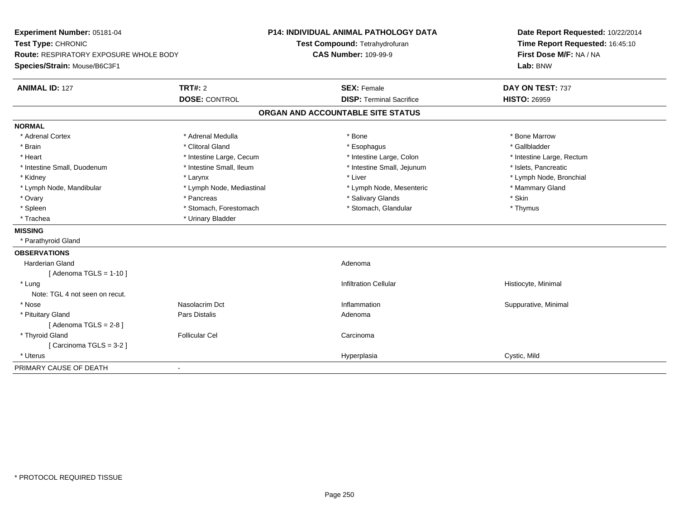| Experiment Number: 05181-04<br>Test Type: CHRONIC<br>Route: RESPIRATORY EXPOSURE WHOLE BODY<br>Species/Strain: Mouse/B6C3F1 |                           | <b>P14: INDIVIDUAL ANIMAL PATHOLOGY DATA</b><br>Test Compound: Tetrahydrofuran<br><b>CAS Number: 109-99-9</b> | Date Report Requested: 10/22/2014<br>Time Report Requested: 16:45:10<br>First Dose M/F: NA / NA<br>Lab: BNW |
|-----------------------------------------------------------------------------------------------------------------------------|---------------------------|---------------------------------------------------------------------------------------------------------------|-------------------------------------------------------------------------------------------------------------|
| <b>ANIMAL ID: 127</b>                                                                                                       | <b>TRT#: 2</b>            | <b>SEX: Female</b>                                                                                            | DAY ON TEST: 737                                                                                            |
|                                                                                                                             | <b>DOSE: CONTROL</b>      | <b>DISP: Terminal Sacrifice</b>                                                                               | <b>HISTO: 26959</b>                                                                                         |
|                                                                                                                             |                           | ORGAN AND ACCOUNTABLE SITE STATUS                                                                             |                                                                                                             |
| <b>NORMAL</b>                                                                                                               |                           |                                                                                                               |                                                                                                             |
| * Adrenal Cortex                                                                                                            | * Adrenal Medulla         | * Bone                                                                                                        | * Bone Marrow                                                                                               |
| * Brain                                                                                                                     | * Clitoral Gland          | * Esophagus                                                                                                   | * Gallbladder                                                                                               |
| * Heart                                                                                                                     | * Intestine Large, Cecum  | * Intestine Large, Colon                                                                                      | * Intestine Large, Rectum                                                                                   |
| * Intestine Small, Duodenum                                                                                                 | * Intestine Small, Ileum  | * Intestine Small, Jejunum                                                                                    | * Islets, Pancreatic                                                                                        |
| * Kidney                                                                                                                    | * Larynx                  | * Liver                                                                                                       | * Lymph Node, Bronchial                                                                                     |
| * Lymph Node, Mandibular                                                                                                    | * Lymph Node, Mediastinal | * Lymph Node, Mesenteric                                                                                      | * Mammary Gland                                                                                             |
| * Ovary                                                                                                                     | * Pancreas                | * Salivary Glands                                                                                             | * Skin                                                                                                      |
| * Spleen                                                                                                                    | * Stomach, Forestomach    | * Stomach, Glandular                                                                                          | * Thymus                                                                                                    |
| * Trachea                                                                                                                   | * Urinary Bladder         |                                                                                                               |                                                                                                             |
| <b>MISSING</b>                                                                                                              |                           |                                                                                                               |                                                                                                             |
| * Parathyroid Gland                                                                                                         |                           |                                                                                                               |                                                                                                             |
| <b>OBSERVATIONS</b>                                                                                                         |                           |                                                                                                               |                                                                                                             |
| <b>Harderian Gland</b>                                                                                                      |                           | Adenoma                                                                                                       |                                                                                                             |
| [Adenoma TGLS = $1-10$ ]                                                                                                    |                           |                                                                                                               |                                                                                                             |
| * Lung                                                                                                                      |                           | <b>Infiltration Cellular</b>                                                                                  | Histiocyte, Minimal                                                                                         |
| Note: TGL 4 not seen on recut.                                                                                              |                           |                                                                                                               |                                                                                                             |
| * Nose                                                                                                                      | Nasolacrim Dct            | Inflammation                                                                                                  | Suppurative, Minimal                                                                                        |
| * Pituitary Gland                                                                                                           | Pars Distalis             | Adenoma                                                                                                       |                                                                                                             |
| [Adenoma TGLS = $2-8$ ]                                                                                                     |                           |                                                                                                               |                                                                                                             |
| * Thyroid Gland                                                                                                             | <b>Follicular Cel</b>     | Carcinoma                                                                                                     |                                                                                                             |
| [Carcinoma TGLS = 3-2]                                                                                                      |                           |                                                                                                               |                                                                                                             |
| * Uterus                                                                                                                    |                           | Hyperplasia                                                                                                   | Cystic, Mild                                                                                                |
| PRIMARY CAUSE OF DEATH                                                                                                      | $\blacksquare$            |                                                                                                               |                                                                                                             |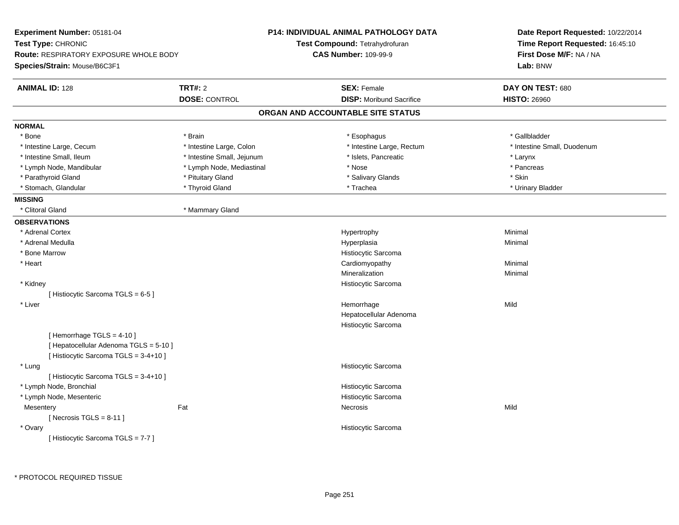|                            | P14: INDIVIDUAL ANIMAL PATHOLOGY DATA                                                          | Date Report Requested: 10/22/2014<br>Time Report Requested: 16:45:10                                                                                                                                                                                                          |  |
|----------------------------|------------------------------------------------------------------------------------------------|-------------------------------------------------------------------------------------------------------------------------------------------------------------------------------------------------------------------------------------------------------------------------------|--|
|                            |                                                                                                |                                                                                                                                                                                                                                                                               |  |
|                            |                                                                                                | First Dose M/F: NA / NA                                                                                                                                                                                                                                                       |  |
|                            |                                                                                                | Lab: BNW                                                                                                                                                                                                                                                                      |  |
| <b>TRT#: 2</b>             | <b>SEX: Female</b>                                                                             | DAY ON TEST: 680                                                                                                                                                                                                                                                              |  |
| <b>DOSE: CONTROL</b>       | <b>DISP:</b> Moribund Sacrifice                                                                | <b>HISTO: 26960</b>                                                                                                                                                                                                                                                           |  |
|                            |                                                                                                |                                                                                                                                                                                                                                                                               |  |
|                            |                                                                                                |                                                                                                                                                                                                                                                                               |  |
| * Brain                    | * Esophagus                                                                                    | * Gallbladder                                                                                                                                                                                                                                                                 |  |
| * Intestine Large, Colon   | * Intestine Large, Rectum                                                                      | * Intestine Small, Duodenum                                                                                                                                                                                                                                                   |  |
| * Intestine Small, Jejunum | * Islets, Pancreatic                                                                           | * Larynx                                                                                                                                                                                                                                                                      |  |
| * Lymph Node, Mediastinal  | * Nose                                                                                         | * Pancreas                                                                                                                                                                                                                                                                    |  |
| * Pituitary Gland          | * Salivary Glands                                                                              | * Skin                                                                                                                                                                                                                                                                        |  |
| * Thyroid Gland            | * Trachea                                                                                      | * Urinary Bladder                                                                                                                                                                                                                                                             |  |
|                            |                                                                                                |                                                                                                                                                                                                                                                                               |  |
| * Mammary Gland            |                                                                                                |                                                                                                                                                                                                                                                                               |  |
|                            |                                                                                                |                                                                                                                                                                                                                                                                               |  |
|                            | Hypertrophy                                                                                    | Minimal                                                                                                                                                                                                                                                                       |  |
|                            | Hyperplasia                                                                                    | Minimal                                                                                                                                                                                                                                                                       |  |
|                            | Histiocytic Sarcoma                                                                            |                                                                                                                                                                                                                                                                               |  |
|                            |                                                                                                | Minimal                                                                                                                                                                                                                                                                       |  |
|                            | Mineralization                                                                                 | Minimal                                                                                                                                                                                                                                                                       |  |
|                            |                                                                                                |                                                                                                                                                                                                                                                                               |  |
|                            |                                                                                                |                                                                                                                                                                                                                                                                               |  |
|                            | Hemorrhage                                                                                     | Mild                                                                                                                                                                                                                                                                          |  |
|                            |                                                                                                |                                                                                                                                                                                                                                                                               |  |
|                            | Histiocytic Sarcoma                                                                            |                                                                                                                                                                                                                                                                               |  |
|                            |                                                                                                |                                                                                                                                                                                                                                                                               |  |
|                            |                                                                                                |                                                                                                                                                                                                                                                                               |  |
|                            |                                                                                                |                                                                                                                                                                                                                                                                               |  |
|                            |                                                                                                |                                                                                                                                                                                                                                                                               |  |
|                            |                                                                                                |                                                                                                                                                                                                                                                                               |  |
|                            |                                                                                                |                                                                                                                                                                                                                                                                               |  |
|                            |                                                                                                | Mild                                                                                                                                                                                                                                                                          |  |
|                            |                                                                                                |                                                                                                                                                                                                                                                                               |  |
|                            |                                                                                                |                                                                                                                                                                                                                                                                               |  |
|                            |                                                                                                |                                                                                                                                                                                                                                                                               |  |
|                            | <b>Route: RESPIRATORY EXPOSURE WHOLE BODY</b><br>[ Hepatocellular Adenoma TGLS = 5-10 ]<br>Fat | Test Compound: Tetrahydrofuran<br><b>CAS Number: 109-99-9</b><br>ORGAN AND ACCOUNTABLE SITE STATUS<br>Cardiomyopathy<br>Histiocytic Sarcoma<br>Hepatocellular Adenoma<br>Histiocytic Sarcoma<br>Histiocytic Sarcoma<br>Histiocytic Sarcoma<br>Necrosis<br>Histiocytic Sarcoma |  |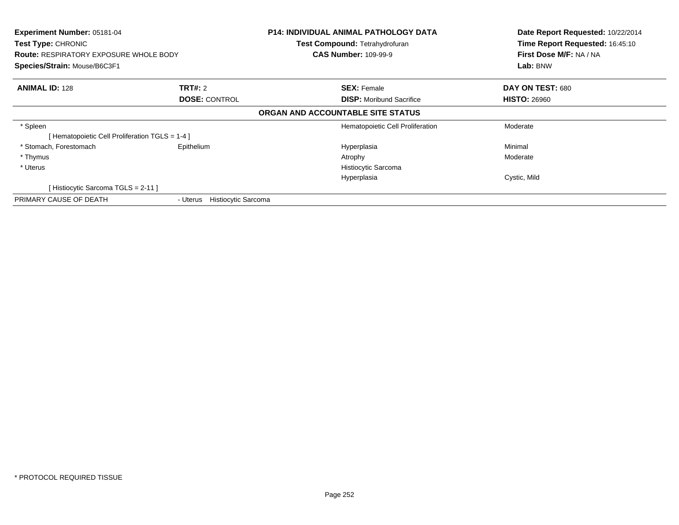| Experiment Number: 05181-04<br>Test Type: CHRONIC<br><b>Route: RESPIRATORY EXPOSURE WHOLE BODY</b><br>Species/Strain: Mouse/B6C3F1 |                                 | <b>P14: INDIVIDUAL ANIMAL PATHOLOGY DATA</b><br>Test Compound: Tetrahydrofuran<br><b>CAS Number: 109-99-9</b> | Date Report Requested: 10/22/2014<br>Time Report Requested: 16:45:10<br>First Dose M/F: NA / NA<br>Lab: BNW |
|------------------------------------------------------------------------------------------------------------------------------------|---------------------------------|---------------------------------------------------------------------------------------------------------------|-------------------------------------------------------------------------------------------------------------|
| <b>ANIMAL ID: 128</b>                                                                                                              | TRT#: 2                         | <b>SEX: Female</b>                                                                                            | DAY ON TEST: 680                                                                                            |
|                                                                                                                                    | <b>DOSE: CONTROL</b>            | <b>DISP:</b> Moribund Sacrifice                                                                               | <b>HISTO: 26960</b>                                                                                         |
|                                                                                                                                    |                                 | ORGAN AND ACCOUNTABLE SITE STATUS                                                                             |                                                                                                             |
| * Spleen                                                                                                                           |                                 | Hematopoietic Cell Proliferation                                                                              | Moderate                                                                                                    |
| [Hematopoietic Cell Proliferation TGLS = 1-4 ]                                                                                     |                                 |                                                                                                               |                                                                                                             |
| * Stomach, Forestomach                                                                                                             | Epithelium                      | Hyperplasia                                                                                                   | Minimal                                                                                                     |
| * Thymus                                                                                                                           |                                 | Atrophy                                                                                                       | Moderate                                                                                                    |
| * Uterus                                                                                                                           |                                 | Histiocytic Sarcoma                                                                                           |                                                                                                             |
|                                                                                                                                    |                                 | Hyperplasia                                                                                                   | Cystic, Mild                                                                                                |
| [Histiocytic Sarcoma TGLS = 2-11]                                                                                                  |                                 |                                                                                                               |                                                                                                             |
| PRIMARY CAUSE OF DEATH                                                                                                             | Histiocytic Sarcoma<br>- Uterus |                                                                                                               |                                                                                                             |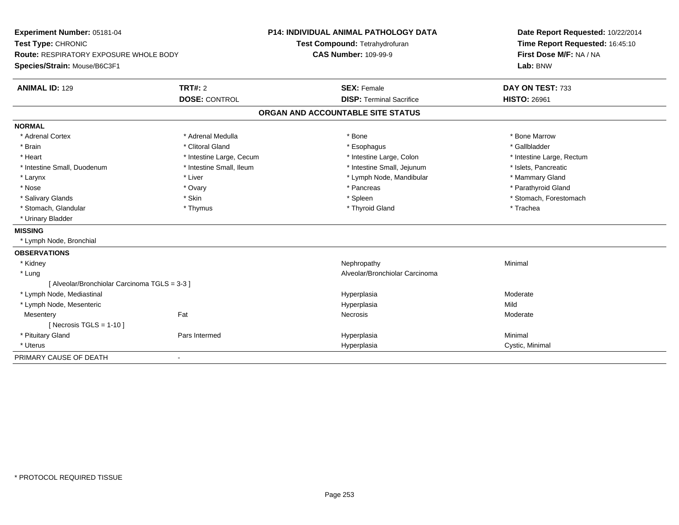| Experiment Number: 05181-04<br>Test Type: CHRONIC<br>Route: RESPIRATORY EXPOSURE WHOLE BODY |                          | <b>P14: INDIVIDUAL ANIMAL PATHOLOGY DATA</b> | Date Report Requested: 10/22/2014<br>Time Report Requested: 16:45:10 |
|---------------------------------------------------------------------------------------------|--------------------------|----------------------------------------------|----------------------------------------------------------------------|
|                                                                                             |                          | Test Compound: Tetrahydrofuran               |                                                                      |
|                                                                                             |                          | <b>CAS Number: 109-99-9</b>                  | First Dose M/F: NA / NA                                              |
| Species/Strain: Mouse/B6C3F1                                                                |                          |                                              | Lab: BNW                                                             |
| <b>ANIMAL ID: 129</b>                                                                       | <b>TRT#: 2</b>           | <b>SEX: Female</b>                           | DAY ON TEST: 733                                                     |
|                                                                                             | <b>DOSE: CONTROL</b>     | <b>DISP: Terminal Sacrifice</b>              | <b>HISTO: 26961</b>                                                  |
|                                                                                             |                          | ORGAN AND ACCOUNTABLE SITE STATUS            |                                                                      |
| <b>NORMAL</b>                                                                               |                          |                                              |                                                                      |
| * Adrenal Cortex                                                                            | * Adrenal Medulla        | * Bone                                       | * Bone Marrow                                                        |
| * Brain                                                                                     | * Clitoral Gland         | * Esophagus                                  | * Gallbladder                                                        |
| * Heart                                                                                     | * Intestine Large, Cecum | * Intestine Large, Colon                     | * Intestine Large, Rectum                                            |
| * Intestine Small, Duodenum                                                                 | * Intestine Small, Ileum | * Intestine Small, Jejunum                   | * Islets, Pancreatic                                                 |
| * Larynx                                                                                    | * Liver                  | * Lymph Node, Mandibular                     | * Mammary Gland                                                      |
| * Nose                                                                                      | * Ovary                  | * Pancreas                                   | * Parathyroid Gland                                                  |
| * Salivary Glands                                                                           | * Skin                   | * Spleen                                     | * Stomach, Forestomach                                               |
| * Stomach, Glandular                                                                        | * Thymus                 | * Thyroid Gland                              | * Trachea                                                            |
| * Urinary Bladder                                                                           |                          |                                              |                                                                      |
| <b>MISSING</b>                                                                              |                          |                                              |                                                                      |
| * Lymph Node, Bronchial                                                                     |                          |                                              |                                                                      |
| <b>OBSERVATIONS</b>                                                                         |                          |                                              |                                                                      |
| * Kidney                                                                                    |                          | Nephropathy                                  | Minimal                                                              |
| * Lung                                                                                      |                          | Alveolar/Bronchiolar Carcinoma               |                                                                      |
| [ Alveolar/Bronchiolar Carcinoma TGLS = 3-3 ]                                               |                          |                                              |                                                                      |
| * Lymph Node, Mediastinal                                                                   |                          | Hyperplasia                                  | Moderate                                                             |
| * Lymph Node, Mesenteric                                                                    |                          | Hyperplasia                                  | Mild                                                                 |
| Mesentery                                                                                   | Fat                      | Necrosis                                     | Moderate                                                             |
| [ Necrosis TGLS = $1-10$ ]                                                                  |                          |                                              |                                                                      |
| * Pituitary Gland                                                                           | Pars Intermed            | Hyperplasia                                  | Minimal                                                              |
| * Uterus                                                                                    |                          | Hyperplasia                                  | Cystic, Minimal                                                      |
| PRIMARY CAUSE OF DEATH                                                                      | $\blacksquare$           |                                              |                                                                      |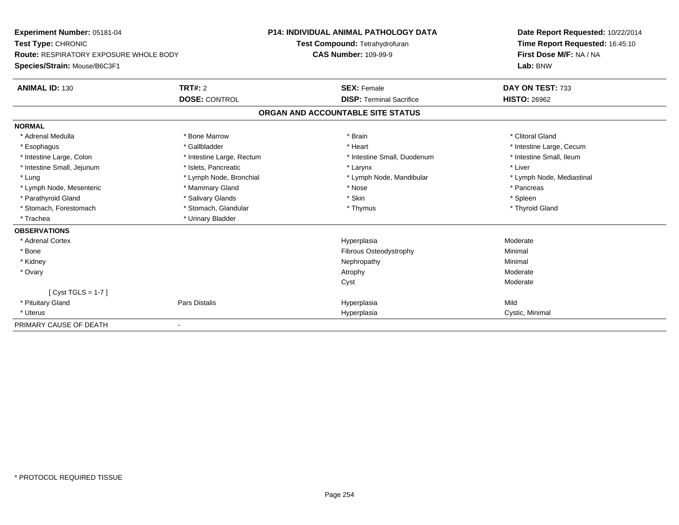| Experiment Number: 05181-04<br>Test Type: CHRONIC<br><b>Route: RESPIRATORY EXPOSURE WHOLE BODY</b> |                           | <b>P14: INDIVIDUAL ANIMAL PATHOLOGY DATA</b> | Date Report Requested: 10/22/2014<br>Time Report Requested: 16:45:10 |
|----------------------------------------------------------------------------------------------------|---------------------------|----------------------------------------------|----------------------------------------------------------------------|
|                                                                                                    |                           | Test Compound: Tetrahydrofuran               |                                                                      |
|                                                                                                    |                           | <b>CAS Number: 109-99-9</b>                  | First Dose M/F: NA / NA                                              |
| Species/Strain: Mouse/B6C3F1                                                                       |                           |                                              | Lab: BNW                                                             |
| <b>ANIMAL ID: 130</b>                                                                              | TRT#: 2                   | <b>SEX: Female</b>                           | DAY ON TEST: 733                                                     |
|                                                                                                    | <b>DOSE: CONTROL</b>      | <b>DISP: Terminal Sacrifice</b>              | <b>HISTO: 26962</b>                                                  |
|                                                                                                    |                           | ORGAN AND ACCOUNTABLE SITE STATUS            |                                                                      |
| <b>NORMAL</b>                                                                                      |                           |                                              |                                                                      |
| * Adrenal Medulla                                                                                  | * Bone Marrow             | * Brain                                      | * Clitoral Gland                                                     |
| * Esophagus                                                                                        | * Gallbladder             | * Heart                                      | * Intestine Large, Cecum                                             |
| * Intestine Large, Colon                                                                           | * Intestine Large, Rectum | * Intestine Small, Duodenum                  | * Intestine Small, Ileum                                             |
| * Intestine Small, Jejunum                                                                         | * Islets, Pancreatic      | * Larynx                                     | * Liver                                                              |
| * Lung                                                                                             | * Lymph Node, Bronchial   | * Lymph Node, Mandibular                     | * Lymph Node, Mediastinal                                            |
| * Lymph Node, Mesenteric                                                                           | * Mammary Gland           | * Nose                                       | * Pancreas                                                           |
| * Parathyroid Gland                                                                                | * Salivary Glands         | * Skin                                       | * Spleen                                                             |
| * Stomach, Forestomach                                                                             | * Stomach, Glandular      | * Thymus                                     | * Thyroid Gland                                                      |
| * Trachea                                                                                          | * Urinary Bladder         |                                              |                                                                      |
| <b>OBSERVATIONS</b>                                                                                |                           |                                              |                                                                      |
| * Adrenal Cortex                                                                                   |                           | Hyperplasia                                  | Moderate                                                             |
| * Bone                                                                                             |                           | <b>Fibrous Osteodystrophy</b>                | Minimal                                                              |
| * Kidney                                                                                           |                           | Nephropathy                                  | Minimal                                                              |
| * Ovary                                                                                            |                           | Atrophy                                      | Moderate                                                             |
|                                                                                                    |                           | Cyst                                         | Moderate                                                             |
| [Cyst TGLS = $1-7$ ]                                                                               |                           |                                              |                                                                      |
| * Pituitary Gland                                                                                  | Pars Distalis             | Hyperplasia                                  | Mild                                                                 |
| * Uterus                                                                                           |                           | Hyperplasia                                  | Cystic, Minimal                                                      |
| PRIMARY CAUSE OF DEATH                                                                             |                           |                                              |                                                                      |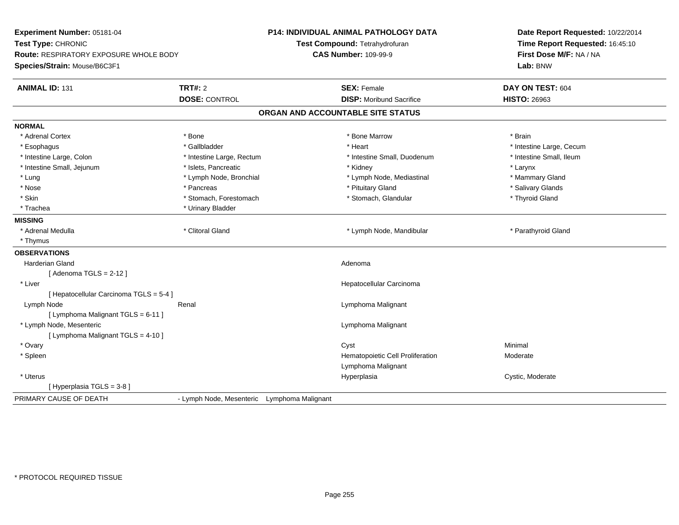| <b>TRT#: 2</b><br><b>ANIMAL ID: 131</b><br><b>SEX: Female</b><br>DAY ON TEST: 604<br><b>DOSE: CONTROL</b><br><b>DISP:</b> Moribund Sacrifice<br><b>HISTO: 26963</b><br>ORGAN AND ACCOUNTABLE SITE STATUS<br><b>NORMAL</b><br>* Adrenal Cortex<br>* Bone<br>* Bone Marrow<br>* Brain<br>* Gallbladder<br>* Heart<br>* Intestine Large, Cecum<br>* Esophagus<br>* Intestine Large, Colon<br>* Intestine Small, Duodenum<br>* Intestine Small, Ileum<br>* Intestine Large, Rectum<br>* Intestine Small, Jejunum<br>* Islets, Pancreatic<br>* Kidney<br>* Larynx<br>* Lung<br>* Lymph Node, Bronchial<br>* Lymph Node, Mediastinal<br>* Mammary Gland<br>* Nose<br>* Pituitary Gland<br>* Salivary Glands<br>* Pancreas<br>* Skin<br>* Stomach, Forestomach<br>* Thyroid Gland<br>* Stomach, Glandular<br>* Trachea<br>* Urinary Bladder<br><b>MISSING</b><br>* Clitoral Gland<br>* Adrenal Medulla<br>* Lymph Node, Mandibular<br>* Parathyroid Gland<br>* Thymus<br><b>OBSERVATIONS</b><br><b>Harderian Gland</b><br>Adenoma<br>[Adenoma TGLS = $2-12$ ]<br>* Liver<br>Hepatocellular Carcinoma<br>[ Hepatocellular Carcinoma TGLS = 5-4 ]<br>Lymph Node<br>Renal<br>Lymphoma Malignant<br>[ Lymphoma Malignant TGLS = 6-11 ]<br>* Lymph Node, Mesenteric<br>Lymphoma Malignant<br>[ Lymphoma Malignant TGLS = 4-10 ]<br>* Ovary<br>Cyst<br>Minimal<br>* Spleen<br>Hematopoietic Cell Proliferation<br>Moderate<br>Lymphoma Malignant<br>* Uterus<br>Hyperplasia<br>Cystic, Moderate<br>[ Hyperplasia TGLS = 3-8 ]<br>PRIMARY CAUSE OF DEATH<br>- Lymph Node, Mesenteric Lymphoma Malignant | Experiment Number: 05181-04<br>Test Type: CHRONIC<br><b>Route: RESPIRATORY EXPOSURE WHOLE BODY</b><br>Species/Strain: Mouse/B6C3F1 | P14: INDIVIDUAL ANIMAL PATHOLOGY DATA<br>Test Compound: Tetrahydrofuran<br><b>CAS Number: 109-99-9</b> | Date Report Requested: 10/22/2014<br>Time Report Requested: 16:45:10<br>First Dose M/F: NA / NA<br>Lab: BNW |
|-------------------------------------------------------------------------------------------------------------------------------------------------------------------------------------------------------------------------------------------------------------------------------------------------------------------------------------------------------------------------------------------------------------------------------------------------------------------------------------------------------------------------------------------------------------------------------------------------------------------------------------------------------------------------------------------------------------------------------------------------------------------------------------------------------------------------------------------------------------------------------------------------------------------------------------------------------------------------------------------------------------------------------------------------------------------------------------------------------------------------------------------------------------------------------------------------------------------------------------------------------------------------------------------------------------------------------------------------------------------------------------------------------------------------------------------------------------------------------------------------------------------------------------------------------------------------------------------|------------------------------------------------------------------------------------------------------------------------------------|--------------------------------------------------------------------------------------------------------|-------------------------------------------------------------------------------------------------------------|
|                                                                                                                                                                                                                                                                                                                                                                                                                                                                                                                                                                                                                                                                                                                                                                                                                                                                                                                                                                                                                                                                                                                                                                                                                                                                                                                                                                                                                                                                                                                                                                                           |                                                                                                                                    |                                                                                                        |                                                                                                             |
|                                                                                                                                                                                                                                                                                                                                                                                                                                                                                                                                                                                                                                                                                                                                                                                                                                                                                                                                                                                                                                                                                                                                                                                                                                                                                                                                                                                                                                                                                                                                                                                           |                                                                                                                                    |                                                                                                        |                                                                                                             |
|                                                                                                                                                                                                                                                                                                                                                                                                                                                                                                                                                                                                                                                                                                                                                                                                                                                                                                                                                                                                                                                                                                                                                                                                                                                                                                                                                                                                                                                                                                                                                                                           |                                                                                                                                    |                                                                                                        |                                                                                                             |
|                                                                                                                                                                                                                                                                                                                                                                                                                                                                                                                                                                                                                                                                                                                                                                                                                                                                                                                                                                                                                                                                                                                                                                                                                                                                                                                                                                                                                                                                                                                                                                                           |                                                                                                                                    |                                                                                                        |                                                                                                             |
|                                                                                                                                                                                                                                                                                                                                                                                                                                                                                                                                                                                                                                                                                                                                                                                                                                                                                                                                                                                                                                                                                                                                                                                                                                                                                                                                                                                                                                                                                                                                                                                           |                                                                                                                                    |                                                                                                        |                                                                                                             |
|                                                                                                                                                                                                                                                                                                                                                                                                                                                                                                                                                                                                                                                                                                                                                                                                                                                                                                                                                                                                                                                                                                                                                                                                                                                                                                                                                                                                                                                                                                                                                                                           |                                                                                                                                    |                                                                                                        |                                                                                                             |
|                                                                                                                                                                                                                                                                                                                                                                                                                                                                                                                                                                                                                                                                                                                                                                                                                                                                                                                                                                                                                                                                                                                                                                                                                                                                                                                                                                                                                                                                                                                                                                                           |                                                                                                                                    |                                                                                                        |                                                                                                             |
|                                                                                                                                                                                                                                                                                                                                                                                                                                                                                                                                                                                                                                                                                                                                                                                                                                                                                                                                                                                                                                                                                                                                                                                                                                                                                                                                                                                                                                                                                                                                                                                           |                                                                                                                                    |                                                                                                        |                                                                                                             |
|                                                                                                                                                                                                                                                                                                                                                                                                                                                                                                                                                                                                                                                                                                                                                                                                                                                                                                                                                                                                                                                                                                                                                                                                                                                                                                                                                                                                                                                                                                                                                                                           |                                                                                                                                    |                                                                                                        |                                                                                                             |
|                                                                                                                                                                                                                                                                                                                                                                                                                                                                                                                                                                                                                                                                                                                                                                                                                                                                                                                                                                                                                                                                                                                                                                                                                                                                                                                                                                                                                                                                                                                                                                                           |                                                                                                                                    |                                                                                                        |                                                                                                             |
|                                                                                                                                                                                                                                                                                                                                                                                                                                                                                                                                                                                                                                                                                                                                                                                                                                                                                                                                                                                                                                                                                                                                                                                                                                                                                                                                                                                                                                                                                                                                                                                           |                                                                                                                                    |                                                                                                        |                                                                                                             |
|                                                                                                                                                                                                                                                                                                                                                                                                                                                                                                                                                                                                                                                                                                                                                                                                                                                                                                                                                                                                                                                                                                                                                                                                                                                                                                                                                                                                                                                                                                                                                                                           |                                                                                                                                    |                                                                                                        |                                                                                                             |
|                                                                                                                                                                                                                                                                                                                                                                                                                                                                                                                                                                                                                                                                                                                                                                                                                                                                                                                                                                                                                                                                                                                                                                                                                                                                                                                                                                                                                                                                                                                                                                                           |                                                                                                                                    |                                                                                                        |                                                                                                             |
|                                                                                                                                                                                                                                                                                                                                                                                                                                                                                                                                                                                                                                                                                                                                                                                                                                                                                                                                                                                                                                                                                                                                                                                                                                                                                                                                                                                                                                                                                                                                                                                           |                                                                                                                                    |                                                                                                        |                                                                                                             |
|                                                                                                                                                                                                                                                                                                                                                                                                                                                                                                                                                                                                                                                                                                                                                                                                                                                                                                                                                                                                                                                                                                                                                                                                                                                                                                                                                                                                                                                                                                                                                                                           |                                                                                                                                    |                                                                                                        |                                                                                                             |
|                                                                                                                                                                                                                                                                                                                                                                                                                                                                                                                                                                                                                                                                                                                                                                                                                                                                                                                                                                                                                                                                                                                                                                                                                                                                                                                                                                                                                                                                                                                                                                                           |                                                                                                                                    |                                                                                                        |                                                                                                             |
|                                                                                                                                                                                                                                                                                                                                                                                                                                                                                                                                                                                                                                                                                                                                                                                                                                                                                                                                                                                                                                                                                                                                                                                                                                                                                                                                                                                                                                                                                                                                                                                           |                                                                                                                                    |                                                                                                        |                                                                                                             |
|                                                                                                                                                                                                                                                                                                                                                                                                                                                                                                                                                                                                                                                                                                                                                                                                                                                                                                                                                                                                                                                                                                                                                                                                                                                                                                                                                                                                                                                                                                                                                                                           |                                                                                                                                    |                                                                                                        |                                                                                                             |
|                                                                                                                                                                                                                                                                                                                                                                                                                                                                                                                                                                                                                                                                                                                                                                                                                                                                                                                                                                                                                                                                                                                                                                                                                                                                                                                                                                                                                                                                                                                                                                                           |                                                                                                                                    |                                                                                                        |                                                                                                             |
|                                                                                                                                                                                                                                                                                                                                                                                                                                                                                                                                                                                                                                                                                                                                                                                                                                                                                                                                                                                                                                                                                                                                                                                                                                                                                                                                                                                                                                                                                                                                                                                           |                                                                                                                                    |                                                                                                        |                                                                                                             |
|                                                                                                                                                                                                                                                                                                                                                                                                                                                                                                                                                                                                                                                                                                                                                                                                                                                                                                                                                                                                                                                                                                                                                                                                                                                                                                                                                                                                                                                                                                                                                                                           |                                                                                                                                    |                                                                                                        |                                                                                                             |
|                                                                                                                                                                                                                                                                                                                                                                                                                                                                                                                                                                                                                                                                                                                                                                                                                                                                                                                                                                                                                                                                                                                                                                                                                                                                                                                                                                                                                                                                                                                                                                                           |                                                                                                                                    |                                                                                                        |                                                                                                             |
|                                                                                                                                                                                                                                                                                                                                                                                                                                                                                                                                                                                                                                                                                                                                                                                                                                                                                                                                                                                                                                                                                                                                                                                                                                                                                                                                                                                                                                                                                                                                                                                           |                                                                                                                                    |                                                                                                        |                                                                                                             |
|                                                                                                                                                                                                                                                                                                                                                                                                                                                                                                                                                                                                                                                                                                                                                                                                                                                                                                                                                                                                                                                                                                                                                                                                                                                                                                                                                                                                                                                                                                                                                                                           |                                                                                                                                    |                                                                                                        |                                                                                                             |
|                                                                                                                                                                                                                                                                                                                                                                                                                                                                                                                                                                                                                                                                                                                                                                                                                                                                                                                                                                                                                                                                                                                                                                                                                                                                                                                                                                                                                                                                                                                                                                                           |                                                                                                                                    |                                                                                                        |                                                                                                             |
|                                                                                                                                                                                                                                                                                                                                                                                                                                                                                                                                                                                                                                                                                                                                                                                                                                                                                                                                                                                                                                                                                                                                                                                                                                                                                                                                                                                                                                                                                                                                                                                           |                                                                                                                                    |                                                                                                        |                                                                                                             |
|                                                                                                                                                                                                                                                                                                                                                                                                                                                                                                                                                                                                                                                                                                                                                                                                                                                                                                                                                                                                                                                                                                                                                                                                                                                                                                                                                                                                                                                                                                                                                                                           |                                                                                                                                    |                                                                                                        |                                                                                                             |
|                                                                                                                                                                                                                                                                                                                                                                                                                                                                                                                                                                                                                                                                                                                                                                                                                                                                                                                                                                                                                                                                                                                                                                                                                                                                                                                                                                                                                                                                                                                                                                                           |                                                                                                                                    |                                                                                                        |                                                                                                             |
|                                                                                                                                                                                                                                                                                                                                                                                                                                                                                                                                                                                                                                                                                                                                                                                                                                                                                                                                                                                                                                                                                                                                                                                                                                                                                                                                                                                                                                                                                                                                                                                           |                                                                                                                                    |                                                                                                        |                                                                                                             |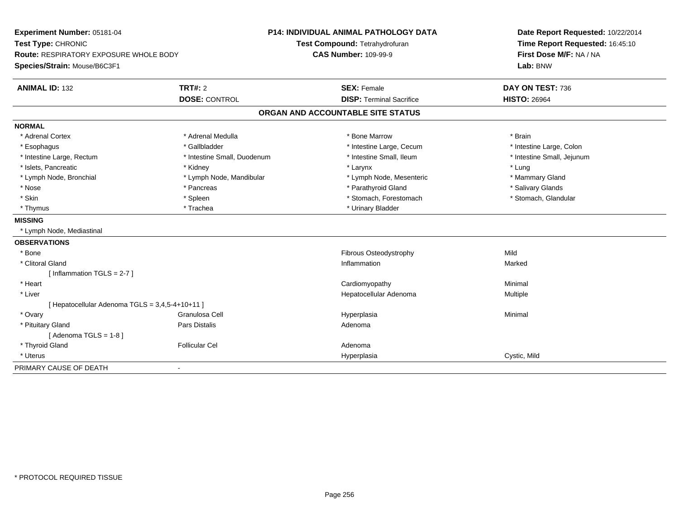| Experiment Number: 05181-04<br>Test Type: CHRONIC |                             | <b>P14: INDIVIDUAL ANIMAL PATHOLOGY DATA</b> | Date Report Requested: 10/22/2014<br>Time Report Requested: 16:45:10 |
|---------------------------------------------------|-----------------------------|----------------------------------------------|----------------------------------------------------------------------|
|                                                   |                             | Test Compound: Tetrahydrofuran               |                                                                      |
| Route: RESPIRATORY EXPOSURE WHOLE BODY            |                             | <b>CAS Number: 109-99-9</b>                  | First Dose M/F: NA / NA                                              |
| Species/Strain: Mouse/B6C3F1                      |                             |                                              | Lab: BNW                                                             |
| <b>ANIMAL ID: 132</b>                             | TRT#: 2                     | <b>SEX: Female</b>                           | DAY ON TEST: 736                                                     |
|                                                   | <b>DOSE: CONTROL</b>        | <b>DISP: Terminal Sacrifice</b>              | <b>HISTO: 26964</b>                                                  |
|                                                   |                             | ORGAN AND ACCOUNTABLE SITE STATUS            |                                                                      |
| <b>NORMAL</b>                                     |                             |                                              |                                                                      |
| * Adrenal Cortex                                  | * Adrenal Medulla           | * Bone Marrow                                | * Brain                                                              |
| * Esophagus                                       | * Gallbladder               | * Intestine Large, Cecum                     | * Intestine Large, Colon                                             |
| * Intestine Large, Rectum                         | * Intestine Small, Duodenum | * Intestine Small, Ileum                     | * Intestine Small, Jejunum                                           |
| * Islets, Pancreatic                              | * Kidney                    | * Larynx                                     | * Lung                                                               |
| * Lymph Node, Bronchial                           | * Lymph Node, Mandibular    | * Lymph Node, Mesenteric                     | * Mammary Gland                                                      |
| * Nose                                            | * Pancreas                  | * Parathyroid Gland                          | * Salivary Glands                                                    |
| * Skin                                            | * Spleen                    | * Stomach, Forestomach                       | * Stomach, Glandular                                                 |
| * Thymus                                          | * Trachea                   | * Urinary Bladder                            |                                                                      |
| <b>MISSING</b>                                    |                             |                                              |                                                                      |
| * Lymph Node, Mediastinal                         |                             |                                              |                                                                      |
| <b>OBSERVATIONS</b>                               |                             |                                              |                                                                      |
| * Bone                                            |                             | <b>Fibrous Osteodystrophy</b>                | Mild                                                                 |
| * Clitoral Gland                                  |                             | Inflammation                                 | Marked                                                               |
| [Inflammation TGLS = $2-7$ ]                      |                             |                                              |                                                                      |
| * Heart                                           |                             | Cardiomyopathy                               | Minimal                                                              |
| * Liver                                           |                             | Hepatocellular Adenoma                       | Multiple                                                             |
| [ Hepatocellular Adenoma TGLS = 3,4,5-4+10+11 ]   |                             |                                              |                                                                      |
| * Ovary                                           | Granulosa Cell              | Hyperplasia                                  | Minimal                                                              |
| * Pituitary Gland                                 | Pars Distalis               | Adenoma                                      |                                                                      |
| [Adenoma TGLS = $1-8$ ]                           |                             |                                              |                                                                      |
| * Thyroid Gland                                   | <b>Follicular Cel</b>       | Adenoma                                      |                                                                      |
| * Uterus                                          |                             | Hyperplasia                                  | Cystic, Mild                                                         |
| PRIMARY CAUSE OF DEATH                            |                             |                                              |                                                                      |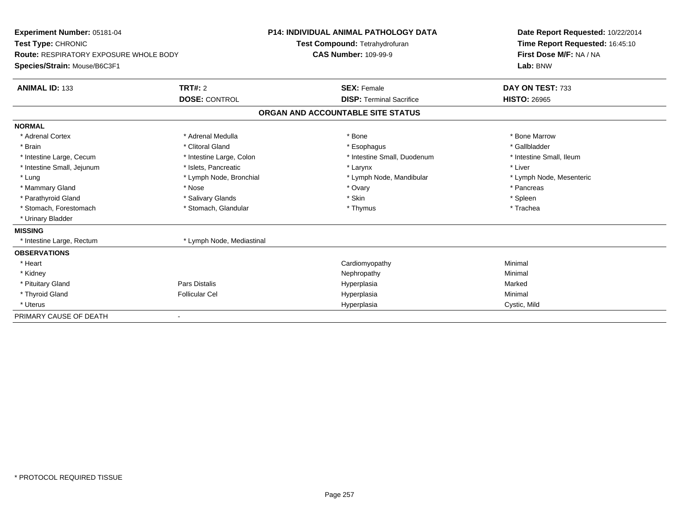| Experiment Number: 05181-04<br>Test Type: CHRONIC<br>Route: RESPIRATORY EXPOSURE WHOLE BODY<br>Species/Strain: Mouse/B6C3F1<br><b>ANIMAL ID: 133</b> | TRT#: 2                   | <b>P14: INDIVIDUAL ANIMAL PATHOLOGY DATA</b><br>Test Compound: Tetrahydrofuran<br><b>CAS Number: 109-99-9</b><br><b>SEX: Female</b> | Date Report Requested: 10/22/2014<br>Time Report Requested: 16:45:10<br>First Dose M/F: NA / NA<br>Lab: BNW<br>DAY ON TEST: 733 |
|------------------------------------------------------------------------------------------------------------------------------------------------------|---------------------------|-------------------------------------------------------------------------------------------------------------------------------------|---------------------------------------------------------------------------------------------------------------------------------|
|                                                                                                                                                      | <b>DOSE: CONTROL</b>      | <b>DISP: Terminal Sacrifice</b>                                                                                                     | <b>HISTO: 26965</b>                                                                                                             |
|                                                                                                                                                      |                           | ORGAN AND ACCOUNTABLE SITE STATUS                                                                                                   |                                                                                                                                 |
| <b>NORMAL</b>                                                                                                                                        |                           |                                                                                                                                     |                                                                                                                                 |
| * Adrenal Cortex                                                                                                                                     | * Adrenal Medulla         | * Bone                                                                                                                              | * Bone Marrow                                                                                                                   |
| * Brain                                                                                                                                              | * Clitoral Gland          | * Esophagus                                                                                                                         | * Gallbladder                                                                                                                   |
| * Intestine Large, Cecum                                                                                                                             | * Intestine Large, Colon  | * Intestine Small, Duodenum                                                                                                         | * Intestine Small, Ileum                                                                                                        |
| * Intestine Small, Jejunum                                                                                                                           | * Islets, Pancreatic      | * Larynx                                                                                                                            | * Liver                                                                                                                         |
| * Lung                                                                                                                                               | * Lymph Node, Bronchial   | * Lymph Node, Mandibular                                                                                                            | * Lymph Node, Mesenteric                                                                                                        |
| * Mammary Gland                                                                                                                                      | * Nose                    | * Ovary                                                                                                                             | * Pancreas                                                                                                                      |
| * Parathyroid Gland                                                                                                                                  | * Salivary Glands         | * Skin                                                                                                                              | * Spleen                                                                                                                        |
| * Stomach, Forestomach                                                                                                                               | * Stomach, Glandular      | * Thymus                                                                                                                            | * Trachea                                                                                                                       |
| * Urinary Bladder                                                                                                                                    |                           |                                                                                                                                     |                                                                                                                                 |
| <b>MISSING</b>                                                                                                                                       |                           |                                                                                                                                     |                                                                                                                                 |
| * Intestine Large, Rectum                                                                                                                            | * Lymph Node, Mediastinal |                                                                                                                                     |                                                                                                                                 |
| <b>OBSERVATIONS</b>                                                                                                                                  |                           |                                                                                                                                     |                                                                                                                                 |
| * Heart                                                                                                                                              |                           | Cardiomyopathy                                                                                                                      | Minimal                                                                                                                         |
| * Kidney                                                                                                                                             |                           | Nephropathy                                                                                                                         | Minimal                                                                                                                         |
| * Pituitary Gland                                                                                                                                    | Pars Distalis             | Hyperplasia                                                                                                                         | Marked                                                                                                                          |
| * Thyroid Gland                                                                                                                                      | <b>Follicular Cel</b>     | Hyperplasia                                                                                                                         | Minimal                                                                                                                         |
| * Uterus                                                                                                                                             |                           | Hyperplasia                                                                                                                         | Cystic, Mild                                                                                                                    |
| PRIMARY CAUSE OF DEATH                                                                                                                               |                           |                                                                                                                                     |                                                                                                                                 |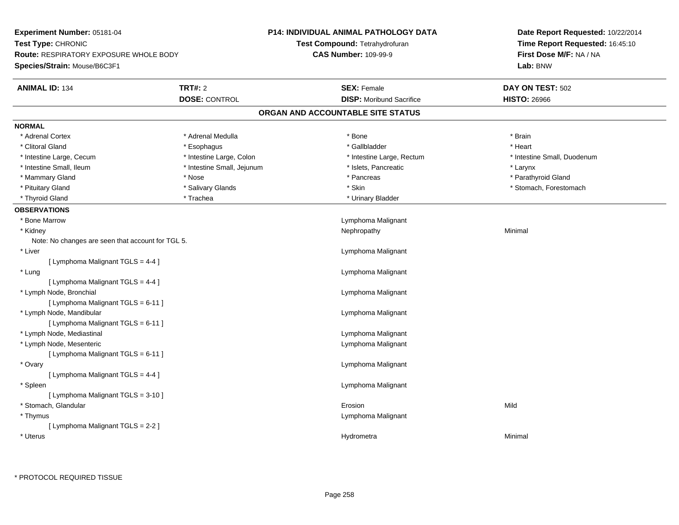| Experiment Number: 05181-04                                         |                            | <b>P14: INDIVIDUAL ANIMAL PATHOLOGY DATA</b> | Date Report Requested: 10/22/2014 |
|---------------------------------------------------------------------|----------------------------|----------------------------------------------|-----------------------------------|
| Test Type: CHRONIC<br><b>Route: RESPIRATORY EXPOSURE WHOLE BODY</b> |                            | Test Compound: Tetrahydrofuran               | Time Report Requested: 16:45:10   |
|                                                                     |                            | <b>CAS Number: 109-99-9</b>                  | First Dose M/F: NA / NA           |
| Species/Strain: Mouse/B6C3F1                                        |                            |                                              | Lab: BNW                          |
| <b>ANIMAL ID: 134</b>                                               | <b>TRT#: 2</b>             | <b>SEX: Female</b>                           | DAY ON TEST: 502                  |
|                                                                     | <b>DOSE: CONTROL</b>       | <b>DISP:</b> Moribund Sacrifice              | <b>HISTO: 26966</b>               |
|                                                                     |                            | ORGAN AND ACCOUNTABLE SITE STATUS            |                                   |
| <b>NORMAL</b>                                                       |                            |                                              |                                   |
| * Adrenal Cortex                                                    | * Adrenal Medulla          | * Bone                                       | * Brain                           |
| * Clitoral Gland                                                    | * Esophagus                | * Gallbladder                                | * Heart                           |
| * Intestine Large, Cecum                                            | * Intestine Large, Colon   | * Intestine Large, Rectum                    | * Intestine Small, Duodenum       |
| * Intestine Small, Ileum                                            | * Intestine Small, Jejunum | * Islets, Pancreatic                         | * Larynx                          |
| * Mammary Gland                                                     | * Nose                     | * Pancreas                                   | * Parathyroid Gland               |
| * Pituitary Gland                                                   | * Salivary Glands          | * Skin                                       | * Stomach, Forestomach            |
| * Thyroid Gland                                                     | * Trachea                  | * Urinary Bladder                            |                                   |
| <b>OBSERVATIONS</b>                                                 |                            |                                              |                                   |
| * Bone Marrow                                                       |                            | Lymphoma Malignant                           |                                   |
| * Kidney                                                            |                            | Nephropathy                                  | Minimal                           |
| Note: No changes are seen that account for TGL 5.                   |                            |                                              |                                   |
| * Liver                                                             |                            | Lymphoma Malignant                           |                                   |
| [ Lymphoma Malignant TGLS = 4-4 ]                                   |                            |                                              |                                   |
| * Lung                                                              |                            | Lymphoma Malignant                           |                                   |
| [ Lymphoma Malignant TGLS = 4-4 ]                                   |                            |                                              |                                   |
| * Lymph Node, Bronchial                                             |                            | Lymphoma Malignant                           |                                   |
| [ Lymphoma Malignant TGLS = 6-11 ]                                  |                            |                                              |                                   |
| * Lymph Node, Mandibular                                            |                            | Lymphoma Malignant                           |                                   |
| [ Lymphoma Malignant TGLS = 6-11 ]                                  |                            |                                              |                                   |
| * Lymph Node, Mediastinal                                           |                            | Lymphoma Malignant                           |                                   |
| * Lymph Node, Mesenteric                                            |                            | Lymphoma Malignant                           |                                   |
| [ Lymphoma Malignant TGLS = 6-11 ]                                  |                            |                                              |                                   |
| * Ovary                                                             |                            | Lymphoma Malignant                           |                                   |
| [ Lymphoma Malignant TGLS = 4-4 ]                                   |                            |                                              |                                   |
| * Spleen                                                            |                            | Lymphoma Malignant                           |                                   |
| [ Lymphoma Malignant TGLS = 3-10 ]                                  |                            |                                              |                                   |
| * Stomach, Glandular                                                |                            | Erosion                                      | Mild                              |
| * Thymus                                                            |                            | Lymphoma Malignant                           |                                   |
| [ Lymphoma Malignant TGLS = 2-2 ]                                   |                            |                                              |                                   |
| * Uterus                                                            |                            | Hydrometra                                   | Minimal                           |
|                                                                     |                            |                                              |                                   |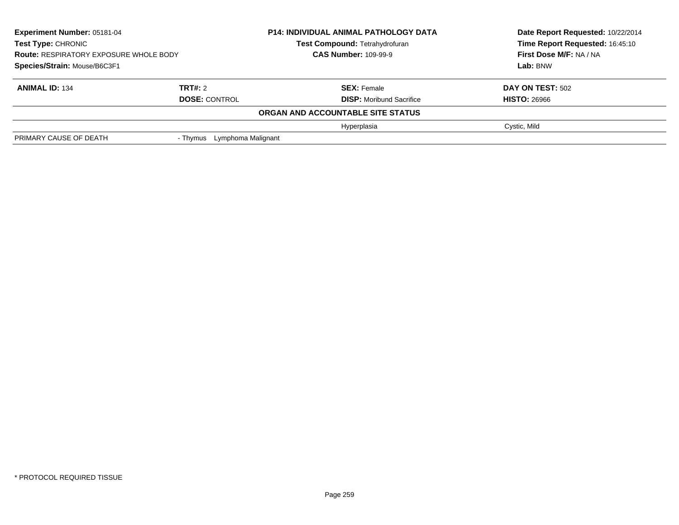| <b>Experiment Number: 05181-04</b><br>Test Type: CHRONIC<br><b>Route: RESPIRATORY EXPOSURE WHOLE BODY</b> |                             | <b>P14: INDIVIDUAL ANIMAL PATHOLOGY DATA</b><br>Test Compound: Tetrahydrofuran<br><b>CAS Number: 109-99-9</b> | Date Report Requested: 10/22/2014<br>Time Report Requested: 16:45:10<br>First Dose M/F: NA / NA |
|-----------------------------------------------------------------------------------------------------------|-----------------------------|---------------------------------------------------------------------------------------------------------------|-------------------------------------------------------------------------------------------------|
| Species/Strain: Mouse/B6C3F1                                                                              |                             |                                                                                                               | Lab: BNW                                                                                        |
| <b>ANIMAL ID: 134</b>                                                                                     | TRT#: 2                     | <b>SEX: Female</b>                                                                                            | <b>DAY ON TEST: 502</b>                                                                         |
|                                                                                                           | <b>DOSE: CONTROL</b>        | <b>DISP:</b> Moribund Sacrifice                                                                               | <b>HISTO: 26966</b>                                                                             |
|                                                                                                           |                             | ORGAN AND ACCOUNTABLE SITE STATUS                                                                             |                                                                                                 |
|                                                                                                           |                             | Hyperplasia                                                                                                   | Cystic, Mild                                                                                    |
| PRIMARY CAUSE OF DEATH                                                                                    | - Thymus Lymphoma Malignant |                                                                                                               |                                                                                                 |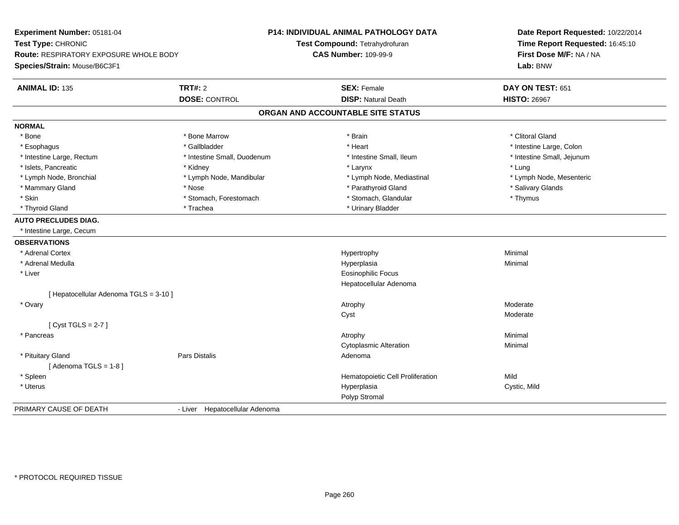| Experiment Number: 05181-04            |                                | P14: INDIVIDUAL ANIMAL PATHOLOGY DATA | Date Report Requested: 10/22/2014 |
|----------------------------------------|--------------------------------|---------------------------------------|-----------------------------------|
| Test Type: CHRONIC                     |                                | Test Compound: Tetrahydrofuran        | Time Report Requested: 16:45:10   |
| Route: RESPIRATORY EXPOSURE WHOLE BODY |                                | <b>CAS Number: 109-99-9</b>           | First Dose M/F: NA / NA           |
| Species/Strain: Mouse/B6C3F1           |                                |                                       | Lab: BNW                          |
| <b>ANIMAL ID: 135</b>                  | <b>TRT#: 2</b>                 | <b>SEX: Female</b>                    | DAY ON TEST: 651                  |
|                                        | <b>DOSE: CONTROL</b>           | <b>DISP: Natural Death</b>            | <b>HISTO: 26967</b>               |
|                                        |                                | ORGAN AND ACCOUNTABLE SITE STATUS     |                                   |
| <b>NORMAL</b>                          |                                |                                       |                                   |
| * Bone                                 | * Bone Marrow                  | * Brain                               | * Clitoral Gland                  |
| * Esophagus                            | * Gallbladder                  | * Heart                               | * Intestine Large, Colon          |
| * Intestine Large, Rectum              | * Intestine Small, Duodenum    | * Intestine Small, Ileum              | * Intestine Small, Jejunum        |
| * Islets, Pancreatic                   | * Kidney                       | * Larynx                              | * Lung                            |
| * Lymph Node, Bronchial                | * Lymph Node, Mandibular       | * Lymph Node, Mediastinal             | * Lymph Node, Mesenteric          |
| * Mammary Gland                        | * Nose                         | * Parathyroid Gland                   | * Salivary Glands                 |
| * Skin                                 | * Stomach, Forestomach         | * Stomach, Glandular                  | * Thymus                          |
| * Thyroid Gland                        | * Trachea                      | * Urinary Bladder                     |                                   |
| <b>AUTO PRECLUDES DIAG.</b>            |                                |                                       |                                   |
| * Intestine Large, Cecum               |                                |                                       |                                   |
| <b>OBSERVATIONS</b>                    |                                |                                       |                                   |
| * Adrenal Cortex                       |                                | Hypertrophy                           | Minimal                           |
| * Adrenal Medulla                      |                                | Hyperplasia                           | Minimal                           |
| * Liver                                |                                | Eosinophilic Focus                    |                                   |
|                                        |                                | Hepatocellular Adenoma                |                                   |
| [ Hepatocellular Adenoma TGLS = 3-10 ] |                                |                                       |                                   |
| * Ovary                                |                                | Atrophy                               | Moderate                          |
|                                        |                                | Cyst                                  | Moderate                          |
| [Cyst TGLS = $2-7$ ]                   |                                |                                       |                                   |
| * Pancreas                             |                                | Atrophy                               | Minimal                           |
|                                        |                                | <b>Cytoplasmic Alteration</b>         | Minimal                           |
| * Pituitary Gland                      | Pars Distalis                  | Adenoma                               |                                   |
| [Adenoma TGLS = $1-8$ ]                |                                |                                       |                                   |
| * Spleen                               |                                | Hematopoietic Cell Proliferation      | Mild                              |
| * Uterus                               |                                | Hyperplasia                           | Cystic, Mild                      |
|                                        |                                | Polyp Stromal                         |                                   |
| PRIMARY CAUSE OF DEATH                 | - Liver Hepatocellular Adenoma |                                       |                                   |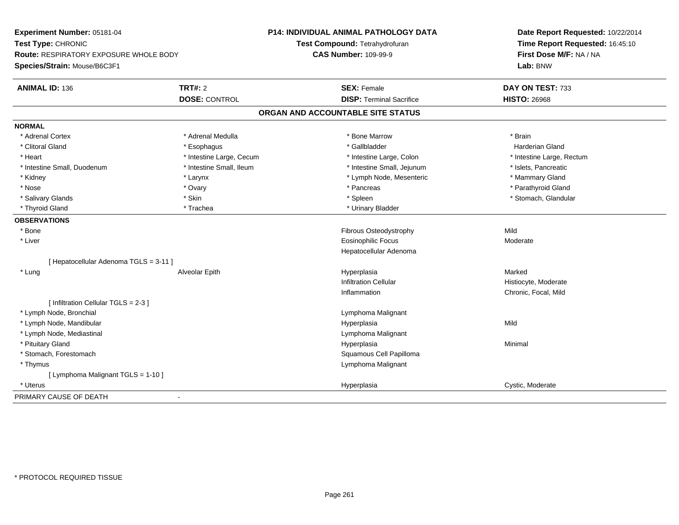| Test Type: CHRONIC<br>Test Compound: Tetrahydrofuran<br>Time Report Requested: 16:45:10<br><b>CAS Number: 109-99-9</b><br>First Dose M/F: NA / NA<br>Route: RESPIRATORY EXPOSURE WHOLE BODY<br>Species/Strain: Mouse/B6C3F1<br>Lab: BNW<br><b>TRT#: 2</b><br><b>ANIMAL ID: 136</b><br><b>SEX: Female</b><br>DAY ON TEST: 733<br><b>DISP: Terminal Sacrifice</b><br><b>DOSE: CONTROL</b><br><b>HISTO: 26968</b><br>ORGAN AND ACCOUNTABLE SITE STATUS<br><b>NORMAL</b><br>* Adrenal Medulla<br>* Adrenal Cortex<br>* Bone Marrow<br>* Brain<br>* Clitoral Gland<br>* Gallbladder<br><b>Harderian Gland</b><br>* Esophagus<br>* Intestine Large, Cecum<br>* Heart<br>* Intestine Large, Colon<br>* Intestine Large, Rectum<br>* Intestine Small, Duodenum<br>* Intestine Small, Ileum<br>* Intestine Small, Jejunum<br>* Islets, Pancreatic<br>* Lymph Node, Mesenteric<br>* Mammary Gland<br>* Kidney<br>* Larynx<br>* Parathyroid Gland<br>* Nose<br>* Ovary<br>* Pancreas<br>* Stomach, Glandular<br>* Salivary Glands<br>* Skin<br>* Spleen<br>* Thyroid Gland<br>* Trachea<br>* Urinary Bladder<br><b>OBSERVATIONS</b><br>* Bone<br>Mild<br><b>Fibrous Osteodystrophy</b><br>Eosinophilic Focus<br>* Liver<br>Moderate<br>Hepatocellular Adenoma<br>[ Hepatocellular Adenoma TGLS = 3-11 ]<br>Marked<br>* Lung<br>Alveolar Epith<br>Hyperplasia<br><b>Infiltration Cellular</b><br>Histiocyte, Moderate<br>Chronic, Focal, Mild<br>Inflammation<br>[ Infiltration Cellular TGLS = 2-3 ] |
|-------------------------------------------------------------------------------------------------------------------------------------------------------------------------------------------------------------------------------------------------------------------------------------------------------------------------------------------------------------------------------------------------------------------------------------------------------------------------------------------------------------------------------------------------------------------------------------------------------------------------------------------------------------------------------------------------------------------------------------------------------------------------------------------------------------------------------------------------------------------------------------------------------------------------------------------------------------------------------------------------------------------------------------------------------------------------------------------------------------------------------------------------------------------------------------------------------------------------------------------------------------------------------------------------------------------------------------------------------------------------------------------------------------------------------------------------------------------------------------------|
|                                                                                                                                                                                                                                                                                                                                                                                                                                                                                                                                                                                                                                                                                                                                                                                                                                                                                                                                                                                                                                                                                                                                                                                                                                                                                                                                                                                                                                                                                           |
|                                                                                                                                                                                                                                                                                                                                                                                                                                                                                                                                                                                                                                                                                                                                                                                                                                                                                                                                                                                                                                                                                                                                                                                                                                                                                                                                                                                                                                                                                           |
|                                                                                                                                                                                                                                                                                                                                                                                                                                                                                                                                                                                                                                                                                                                                                                                                                                                                                                                                                                                                                                                                                                                                                                                                                                                                                                                                                                                                                                                                                           |
|                                                                                                                                                                                                                                                                                                                                                                                                                                                                                                                                                                                                                                                                                                                                                                                                                                                                                                                                                                                                                                                                                                                                                                                                                                                                                                                                                                                                                                                                                           |
|                                                                                                                                                                                                                                                                                                                                                                                                                                                                                                                                                                                                                                                                                                                                                                                                                                                                                                                                                                                                                                                                                                                                                                                                                                                                                                                                                                                                                                                                                           |
|                                                                                                                                                                                                                                                                                                                                                                                                                                                                                                                                                                                                                                                                                                                                                                                                                                                                                                                                                                                                                                                                                                                                                                                                                                                                                                                                                                                                                                                                                           |
|                                                                                                                                                                                                                                                                                                                                                                                                                                                                                                                                                                                                                                                                                                                                                                                                                                                                                                                                                                                                                                                                                                                                                                                                                                                                                                                                                                                                                                                                                           |
|                                                                                                                                                                                                                                                                                                                                                                                                                                                                                                                                                                                                                                                                                                                                                                                                                                                                                                                                                                                                                                                                                                                                                                                                                                                                                                                                                                                                                                                                                           |
|                                                                                                                                                                                                                                                                                                                                                                                                                                                                                                                                                                                                                                                                                                                                                                                                                                                                                                                                                                                                                                                                                                                                                                                                                                                                                                                                                                                                                                                                                           |
|                                                                                                                                                                                                                                                                                                                                                                                                                                                                                                                                                                                                                                                                                                                                                                                                                                                                                                                                                                                                                                                                                                                                                                                                                                                                                                                                                                                                                                                                                           |
|                                                                                                                                                                                                                                                                                                                                                                                                                                                                                                                                                                                                                                                                                                                                                                                                                                                                                                                                                                                                                                                                                                                                                                                                                                                                                                                                                                                                                                                                                           |
|                                                                                                                                                                                                                                                                                                                                                                                                                                                                                                                                                                                                                                                                                                                                                                                                                                                                                                                                                                                                                                                                                                                                                                                                                                                                                                                                                                                                                                                                                           |
|                                                                                                                                                                                                                                                                                                                                                                                                                                                                                                                                                                                                                                                                                                                                                                                                                                                                                                                                                                                                                                                                                                                                                                                                                                                                                                                                                                                                                                                                                           |
|                                                                                                                                                                                                                                                                                                                                                                                                                                                                                                                                                                                                                                                                                                                                                                                                                                                                                                                                                                                                                                                                                                                                                                                                                                                                                                                                                                                                                                                                                           |
|                                                                                                                                                                                                                                                                                                                                                                                                                                                                                                                                                                                                                                                                                                                                                                                                                                                                                                                                                                                                                                                                                                                                                                                                                                                                                                                                                                                                                                                                                           |
|                                                                                                                                                                                                                                                                                                                                                                                                                                                                                                                                                                                                                                                                                                                                                                                                                                                                                                                                                                                                                                                                                                                                                                                                                                                                                                                                                                                                                                                                                           |
|                                                                                                                                                                                                                                                                                                                                                                                                                                                                                                                                                                                                                                                                                                                                                                                                                                                                                                                                                                                                                                                                                                                                                                                                                                                                                                                                                                                                                                                                                           |
|                                                                                                                                                                                                                                                                                                                                                                                                                                                                                                                                                                                                                                                                                                                                                                                                                                                                                                                                                                                                                                                                                                                                                                                                                                                                                                                                                                                                                                                                                           |
|                                                                                                                                                                                                                                                                                                                                                                                                                                                                                                                                                                                                                                                                                                                                                                                                                                                                                                                                                                                                                                                                                                                                                                                                                                                                                                                                                                                                                                                                                           |
|                                                                                                                                                                                                                                                                                                                                                                                                                                                                                                                                                                                                                                                                                                                                                                                                                                                                                                                                                                                                                                                                                                                                                                                                                                                                                                                                                                                                                                                                                           |
|                                                                                                                                                                                                                                                                                                                                                                                                                                                                                                                                                                                                                                                                                                                                                                                                                                                                                                                                                                                                                                                                                                                                                                                                                                                                                                                                                                                                                                                                                           |
|                                                                                                                                                                                                                                                                                                                                                                                                                                                                                                                                                                                                                                                                                                                                                                                                                                                                                                                                                                                                                                                                                                                                                                                                                                                                                                                                                                                                                                                                                           |
|                                                                                                                                                                                                                                                                                                                                                                                                                                                                                                                                                                                                                                                                                                                                                                                                                                                                                                                                                                                                                                                                                                                                                                                                                                                                                                                                                                                                                                                                                           |
|                                                                                                                                                                                                                                                                                                                                                                                                                                                                                                                                                                                                                                                                                                                                                                                                                                                                                                                                                                                                                                                                                                                                                                                                                                                                                                                                                                                                                                                                                           |
| * Lymph Node, Bronchial<br>Lymphoma Malignant                                                                                                                                                                                                                                                                                                                                                                                                                                                                                                                                                                                                                                                                                                                                                                                                                                                                                                                                                                                                                                                                                                                                                                                                                                                                                                                                                                                                                                             |
| * Lymph Node, Mandibular<br>Hyperplasia<br>Mild                                                                                                                                                                                                                                                                                                                                                                                                                                                                                                                                                                                                                                                                                                                                                                                                                                                                                                                                                                                                                                                                                                                                                                                                                                                                                                                                                                                                                                           |
| * Lymph Node, Mediastinal<br>Lymphoma Malignant                                                                                                                                                                                                                                                                                                                                                                                                                                                                                                                                                                                                                                                                                                                                                                                                                                                                                                                                                                                                                                                                                                                                                                                                                                                                                                                                                                                                                                           |
| * Pituitary Gland<br>Hyperplasia<br>Minimal                                                                                                                                                                                                                                                                                                                                                                                                                                                                                                                                                                                                                                                                                                                                                                                                                                                                                                                                                                                                                                                                                                                                                                                                                                                                                                                                                                                                                                               |
| * Stomach, Forestomach<br>Squamous Cell Papilloma                                                                                                                                                                                                                                                                                                                                                                                                                                                                                                                                                                                                                                                                                                                                                                                                                                                                                                                                                                                                                                                                                                                                                                                                                                                                                                                                                                                                                                         |
| * Thymus<br>Lymphoma Malignant                                                                                                                                                                                                                                                                                                                                                                                                                                                                                                                                                                                                                                                                                                                                                                                                                                                                                                                                                                                                                                                                                                                                                                                                                                                                                                                                                                                                                                                            |
| [ Lymphoma Malignant TGLS = 1-10 ]                                                                                                                                                                                                                                                                                                                                                                                                                                                                                                                                                                                                                                                                                                                                                                                                                                                                                                                                                                                                                                                                                                                                                                                                                                                                                                                                                                                                                                                        |
| * Uterus<br>Cystic, Moderate<br>Hyperplasia                                                                                                                                                                                                                                                                                                                                                                                                                                                                                                                                                                                                                                                                                                                                                                                                                                                                                                                                                                                                                                                                                                                                                                                                                                                                                                                                                                                                                                               |
| PRIMARY CAUSE OF DEATH<br>$\overline{\phantom{a}}$                                                                                                                                                                                                                                                                                                                                                                                                                                                                                                                                                                                                                                                                                                                                                                                                                                                                                                                                                                                                                                                                                                                                                                                                                                                                                                                                                                                                                                        |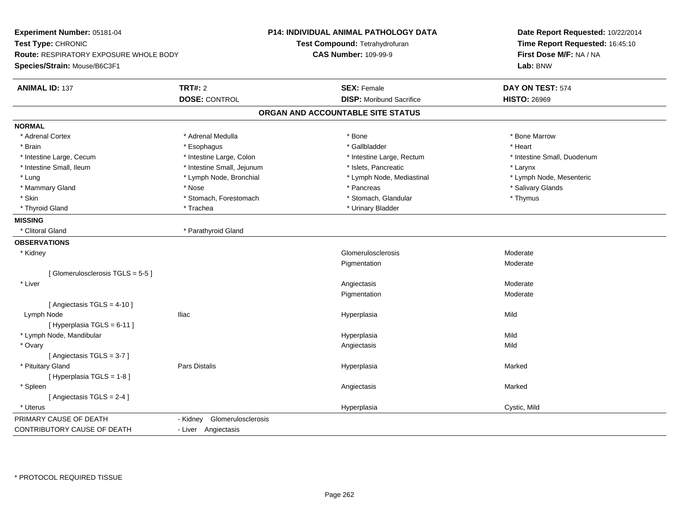| Experiment Number: 05181-04            |                                | <b>P14: INDIVIDUAL ANIMAL PATHOLOGY DATA</b> | Date Report Requested: 10/22/2014 |
|----------------------------------------|--------------------------------|----------------------------------------------|-----------------------------------|
| Test Type: CHRONIC                     |                                | Test Compound: Tetrahydrofuran               | Time Report Requested: 16:45:10   |
| Route: RESPIRATORY EXPOSURE WHOLE BODY |                                | <b>CAS Number: 109-99-9</b>                  | First Dose M/F: NA / NA           |
| Species/Strain: Mouse/B6C3F1           |                                |                                              | Lab: BNW                          |
|                                        |                                |                                              |                                   |
| <b>ANIMAL ID: 137</b>                  | <b>TRT#: 2</b>                 | <b>SEX: Female</b>                           | DAY ON TEST: 574                  |
|                                        | <b>DOSE: CONTROL</b>           | <b>DISP:</b> Moribund Sacrifice              | <b>HISTO: 26969</b>               |
|                                        |                                | ORGAN AND ACCOUNTABLE SITE STATUS            |                                   |
| <b>NORMAL</b>                          |                                |                                              |                                   |
| * Adrenal Cortex                       | * Adrenal Medulla              | * Bone                                       | * Bone Marrow                     |
| * Brain                                | * Esophagus                    | * Gallbladder                                | * Heart                           |
| * Intestine Large, Cecum               | * Intestine Large, Colon       | * Intestine Large, Rectum                    | * Intestine Small, Duodenum       |
| * Intestine Small, Ileum               | * Intestine Small, Jejunum     | * Islets, Pancreatic                         | * Larynx                          |
| * Lung                                 | * Lymph Node, Bronchial        | * Lymph Node, Mediastinal                    | * Lymph Node, Mesenteric          |
| * Mammary Gland                        | * Nose                         | * Pancreas                                   | * Salivary Glands                 |
| * Skin                                 | * Stomach, Forestomach         | * Stomach, Glandular                         | * Thymus                          |
| * Thyroid Gland                        | * Trachea                      | * Urinary Bladder                            |                                   |
| <b>MISSING</b>                         |                                |                                              |                                   |
| * Clitoral Gland                       | * Parathyroid Gland            |                                              |                                   |
| <b>OBSERVATIONS</b>                    |                                |                                              |                                   |
| * Kidney                               |                                | Glomerulosclerosis                           | Moderate                          |
|                                        |                                | Pigmentation                                 | Moderate                          |
| [Glomerulosclerosis TGLS = 5-5]        |                                |                                              |                                   |
| * Liver                                |                                | Angiectasis                                  | Moderate                          |
|                                        |                                | Pigmentation                                 | Moderate                          |
| [ Angiectasis $TGLS = 4-10$ ]          |                                |                                              |                                   |
| Lymph Node                             | <b>Iliac</b>                   | Hyperplasia                                  | Mild                              |
| [Hyperplasia TGLS = 6-11]              |                                |                                              |                                   |
| * Lymph Node, Mandibular               |                                | Hyperplasia                                  | Mild                              |
| * Ovary                                |                                | Angiectasis                                  | Mild                              |
| [Angiectasis TGLS = 3-7]               |                                |                                              |                                   |
| * Pituitary Gland                      | Pars Distalis                  | Hyperplasia                                  | Marked                            |
| [Hyperplasia TGLS = 1-8]               |                                |                                              |                                   |
| * Spleen                               |                                | Angiectasis                                  | Marked                            |
| [Angiectasis TGLS = 2-4]               |                                |                                              |                                   |
| * Uterus                               |                                | Hyperplasia                                  | Cystic, Mild                      |
| PRIMARY CAUSE OF DEATH                 | Glomerulosclerosis<br>- Kidney |                                              |                                   |
| CONTRIBUTORY CAUSE OF DEATH            | - Liver Angiectasis            |                                              |                                   |
|                                        |                                |                                              |                                   |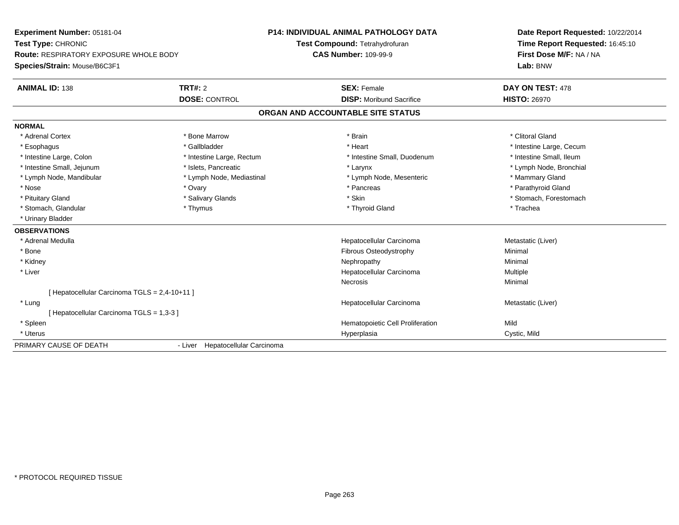| Experiment Number: 05181-04<br>Test Type: CHRONIC<br><b>Route: RESPIRATORY EXPOSURE WHOLE BODY</b> |                                  | <b>P14: INDIVIDUAL ANIMAL PATHOLOGY DATA</b> | Date Report Requested: 10/22/2014<br>Time Report Requested: 16:45:10 |
|----------------------------------------------------------------------------------------------------|----------------------------------|----------------------------------------------|----------------------------------------------------------------------|
|                                                                                                    |                                  | Test Compound: Tetrahydrofuran               |                                                                      |
|                                                                                                    |                                  | <b>CAS Number: 109-99-9</b>                  | First Dose M/F: NA / NA                                              |
| Species/Strain: Mouse/B6C3F1                                                                       |                                  |                                              | Lab: BNW                                                             |
| <b>ANIMAL ID: 138</b>                                                                              | TRT#: 2                          | <b>SEX: Female</b>                           | DAY ON TEST: 478                                                     |
|                                                                                                    | <b>DOSE: CONTROL</b>             | <b>DISP:</b> Moribund Sacrifice              | <b>HISTO: 26970</b>                                                  |
|                                                                                                    |                                  | ORGAN AND ACCOUNTABLE SITE STATUS            |                                                                      |
| <b>NORMAL</b>                                                                                      |                                  |                                              |                                                                      |
| * Adrenal Cortex                                                                                   | * Bone Marrow                    | * Brain                                      | * Clitoral Gland                                                     |
| * Esophagus                                                                                        | * Gallbladder                    | * Heart                                      | * Intestine Large, Cecum                                             |
| * Intestine Large, Colon                                                                           | * Intestine Large, Rectum        | * Intestine Small, Duodenum                  | * Intestine Small. Ileum                                             |
| * Intestine Small, Jejunum                                                                         | * Islets, Pancreatic             | * Larynx                                     | * Lymph Node, Bronchial                                              |
| * Lymph Node, Mandibular                                                                           | * Lymph Node, Mediastinal        | * Lymph Node, Mesenteric                     | * Mammary Gland                                                      |
| * Nose                                                                                             | * Ovary                          | * Pancreas                                   | * Parathyroid Gland                                                  |
| * Pituitary Gland                                                                                  | * Salivary Glands                | * Skin                                       | * Stomach, Forestomach                                               |
| * Stomach, Glandular                                                                               | * Thymus                         | * Thyroid Gland                              | * Trachea                                                            |
| * Urinary Bladder                                                                                  |                                  |                                              |                                                                      |
| <b>OBSERVATIONS</b>                                                                                |                                  |                                              |                                                                      |
| * Adrenal Medulla                                                                                  |                                  | Hepatocellular Carcinoma                     | Metastatic (Liver)                                                   |
| * Bone                                                                                             |                                  | Fibrous Osteodystrophy                       | Minimal                                                              |
| * Kidney                                                                                           |                                  | Nephropathy                                  | Minimal                                                              |
| * Liver                                                                                            |                                  | Hepatocellular Carcinoma                     | Multiple                                                             |
|                                                                                                    |                                  | <b>Necrosis</b>                              | Minimal                                                              |
| [Hepatocellular Carcinoma TGLS = 2,4-10+11]                                                        |                                  |                                              |                                                                      |
| * Lung                                                                                             |                                  | Hepatocellular Carcinoma                     | Metastatic (Liver)                                                   |
| [Hepatocellular Carcinoma TGLS = 1,3-3 ]                                                           |                                  |                                              |                                                                      |
| * Spleen                                                                                           |                                  | Hematopoietic Cell Proliferation             | Mild                                                                 |
| * Uterus                                                                                           |                                  | Hyperplasia                                  | Cystic, Mild                                                         |
| PRIMARY CAUSE OF DEATH                                                                             | - Liver Hepatocellular Carcinoma |                                              |                                                                      |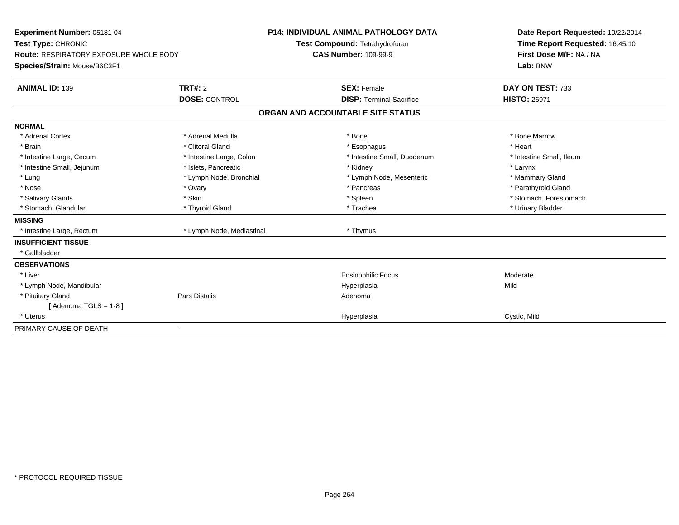| <b>Experiment Number: 05181-04</b><br>Test Type: CHRONIC<br>Route: RESPIRATORY EXPOSURE WHOLE BODY<br>Species/Strain: Mouse/B6C3F1<br><b>ANIMAL ID: 139</b> | TRT#: 2                   | <b>P14: INDIVIDUAL ANIMAL PATHOLOGY DATA</b><br>Test Compound: Tetrahydrofuran<br><b>CAS Number: 109-99-9</b><br><b>SEX: Female</b> | Date Report Requested: 10/22/2014<br>Time Report Requested: 16:45:10<br>First Dose M/F: NA / NA<br>Lab: BNW<br>DAY ON TEST: 733 |
|-------------------------------------------------------------------------------------------------------------------------------------------------------------|---------------------------|-------------------------------------------------------------------------------------------------------------------------------------|---------------------------------------------------------------------------------------------------------------------------------|
|                                                                                                                                                             | <b>DOSE: CONTROL</b>      | <b>DISP: Terminal Sacrifice</b>                                                                                                     | <b>HISTO: 26971</b>                                                                                                             |
|                                                                                                                                                             |                           | ORGAN AND ACCOUNTABLE SITE STATUS                                                                                                   |                                                                                                                                 |
| <b>NORMAL</b>                                                                                                                                               |                           |                                                                                                                                     |                                                                                                                                 |
| * Adrenal Cortex                                                                                                                                            | * Adrenal Medulla         | * Bone                                                                                                                              | * Bone Marrow                                                                                                                   |
| * Brain                                                                                                                                                     | * Clitoral Gland          | * Esophagus                                                                                                                         | * Heart                                                                                                                         |
| * Intestine Large, Cecum                                                                                                                                    | * Intestine Large, Colon  | * Intestine Small, Duodenum                                                                                                         | * Intestine Small, Ileum                                                                                                        |
| * Intestine Small, Jejunum                                                                                                                                  | * Islets, Pancreatic      | * Kidney                                                                                                                            | * Larynx                                                                                                                        |
| * Lung                                                                                                                                                      | * Lymph Node, Bronchial   | * Lymph Node, Mesenteric                                                                                                            | * Mammary Gland                                                                                                                 |
| * Nose                                                                                                                                                      | * Ovary                   | * Pancreas                                                                                                                          | * Parathyroid Gland                                                                                                             |
| * Salivary Glands                                                                                                                                           | * Skin                    | * Spleen                                                                                                                            | * Stomach, Forestomach                                                                                                          |
| * Stomach, Glandular                                                                                                                                        | * Thyroid Gland           | * Trachea                                                                                                                           | * Urinary Bladder                                                                                                               |
| <b>MISSING</b>                                                                                                                                              |                           |                                                                                                                                     |                                                                                                                                 |
| * Intestine Large, Rectum                                                                                                                                   | * Lymph Node, Mediastinal | * Thymus                                                                                                                            |                                                                                                                                 |
| <b>INSUFFICIENT TISSUE</b>                                                                                                                                  |                           |                                                                                                                                     |                                                                                                                                 |
| * Gallbladder                                                                                                                                               |                           |                                                                                                                                     |                                                                                                                                 |
| <b>OBSERVATIONS</b>                                                                                                                                         |                           |                                                                                                                                     |                                                                                                                                 |
| * Liver                                                                                                                                                     |                           | <b>Eosinophilic Focus</b>                                                                                                           | Moderate                                                                                                                        |
| * Lymph Node, Mandibular                                                                                                                                    |                           | Hyperplasia                                                                                                                         | Mild                                                                                                                            |
| * Pituitary Gland                                                                                                                                           | Pars Distalis             | Adenoma                                                                                                                             |                                                                                                                                 |
| [Adenoma TGLS = 1-8]                                                                                                                                        |                           |                                                                                                                                     |                                                                                                                                 |
| * Uterus                                                                                                                                                    |                           | Hyperplasia                                                                                                                         | Cystic, Mild                                                                                                                    |
| PRIMARY CAUSE OF DEATH                                                                                                                                      |                           |                                                                                                                                     |                                                                                                                                 |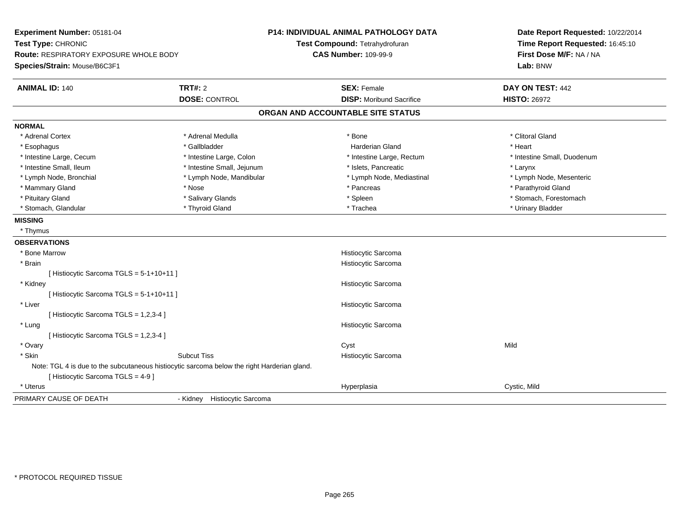| Experiment Number: 05181-04<br>Test Type: CHRONIC<br><b>Route: RESPIRATORY EXPOSURE WHOLE BODY</b> |                                                                                             | <b>P14: INDIVIDUAL ANIMAL PATHOLOGY DATA</b><br>Test Compound: Tetrahydrofuran<br><b>CAS Number: 109-99-9</b> | Date Report Requested: 10/22/2014<br>Time Report Requested: 16:45:10<br>First Dose M/F: NA / NA |  |
|----------------------------------------------------------------------------------------------------|---------------------------------------------------------------------------------------------|---------------------------------------------------------------------------------------------------------------|-------------------------------------------------------------------------------------------------|--|
| Species/Strain: Mouse/B6C3F1                                                                       |                                                                                             |                                                                                                               | Lab: BNW                                                                                        |  |
| <b>ANIMAL ID: 140</b>                                                                              | TRT#: 2                                                                                     | <b>SEX: Female</b>                                                                                            | DAY ON TEST: 442                                                                                |  |
|                                                                                                    | <b>DOSE: CONTROL</b>                                                                        | <b>DISP:</b> Moribund Sacrifice                                                                               | <b>HISTO: 26972</b>                                                                             |  |
|                                                                                                    |                                                                                             | ORGAN AND ACCOUNTABLE SITE STATUS                                                                             |                                                                                                 |  |
| <b>NORMAL</b>                                                                                      |                                                                                             |                                                                                                               |                                                                                                 |  |
| * Adrenal Cortex                                                                                   | * Adrenal Medulla                                                                           | * Bone                                                                                                        | * Clitoral Gland                                                                                |  |
| * Esophagus                                                                                        | * Gallbladder                                                                               | <b>Harderian Gland</b>                                                                                        | * Heart                                                                                         |  |
| * Intestine Large, Cecum                                                                           | * Intestine Large, Colon                                                                    | * Intestine Large, Rectum                                                                                     | * Intestine Small, Duodenum                                                                     |  |
| * Intestine Small, Ileum                                                                           | * Intestine Small, Jejunum                                                                  | * Islets, Pancreatic                                                                                          | * Larynx                                                                                        |  |
| * Lymph Node, Bronchial                                                                            | * Lymph Node, Mandibular                                                                    | * Lymph Node, Mediastinal                                                                                     | * Lymph Node, Mesenteric                                                                        |  |
| * Mammary Gland                                                                                    | * Nose                                                                                      | * Pancreas                                                                                                    | * Parathyroid Gland                                                                             |  |
| * Pituitary Gland                                                                                  | * Salivary Glands                                                                           | * Spleen                                                                                                      | * Stomach, Forestomach                                                                          |  |
| * Stomach, Glandular                                                                               | * Thyroid Gland                                                                             | * Trachea                                                                                                     | * Urinary Bladder                                                                               |  |
| <b>MISSING</b>                                                                                     |                                                                                             |                                                                                                               |                                                                                                 |  |
| * Thymus                                                                                           |                                                                                             |                                                                                                               |                                                                                                 |  |
| <b>OBSERVATIONS</b>                                                                                |                                                                                             |                                                                                                               |                                                                                                 |  |
| * Bone Marrow                                                                                      |                                                                                             | Histiocytic Sarcoma                                                                                           |                                                                                                 |  |
| * Brain                                                                                            |                                                                                             | Histiocytic Sarcoma                                                                                           |                                                                                                 |  |
| [ Histiocytic Sarcoma TGLS = 5-1+10+11 ]                                                           |                                                                                             |                                                                                                               |                                                                                                 |  |
| * Kidney                                                                                           |                                                                                             | Histiocytic Sarcoma                                                                                           |                                                                                                 |  |
| [ Histiocytic Sarcoma TGLS = 5-1+10+11 ]                                                           |                                                                                             |                                                                                                               |                                                                                                 |  |
| * Liver                                                                                            |                                                                                             | Histiocytic Sarcoma                                                                                           |                                                                                                 |  |
| [ Histiocytic Sarcoma TGLS = 1,2,3-4 ]                                                             |                                                                                             |                                                                                                               |                                                                                                 |  |
| * Lung                                                                                             |                                                                                             | Histiocytic Sarcoma                                                                                           |                                                                                                 |  |
| [ Histiocytic Sarcoma TGLS = 1,2,3-4 ]                                                             |                                                                                             |                                                                                                               |                                                                                                 |  |
| * Ovary                                                                                            |                                                                                             | Cyst                                                                                                          | Mild                                                                                            |  |
| * Skin                                                                                             | <b>Subcut Tiss</b>                                                                          | Histiocytic Sarcoma                                                                                           |                                                                                                 |  |
|                                                                                                    | Note: TGL 4 is due to the subcutaneous histiocytic sarcoma below the right Harderian gland. |                                                                                                               |                                                                                                 |  |
| [ Histiocytic Sarcoma TGLS = 4-9 ]                                                                 |                                                                                             |                                                                                                               |                                                                                                 |  |
| * Uterus                                                                                           |                                                                                             | Hyperplasia                                                                                                   | Cystic, Mild                                                                                    |  |
| PRIMARY CAUSE OF DEATH                                                                             | <b>Histiocytic Sarcoma</b><br>- Kidney                                                      |                                                                                                               |                                                                                                 |  |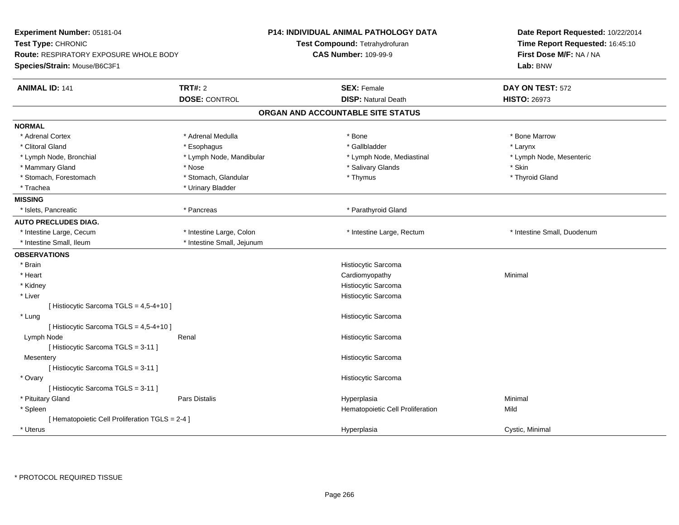| Experiment Number: 05181-04<br>Test Type: CHRONIC<br><b>Route: RESPIRATORY EXPOSURE WHOLE BODY</b><br>Species/Strain: Mouse/B6C3F1 |                            | <b>P14: INDIVIDUAL ANIMAL PATHOLOGY DATA</b><br>Test Compound: Tetrahydrofuran<br><b>CAS Number: 109-99-9</b> |                                   | Date Report Requested: 10/22/2014<br>Time Report Requested: 16:45:10<br>First Dose M/F: NA / NA<br>Lab: BNW |
|------------------------------------------------------------------------------------------------------------------------------------|----------------------------|---------------------------------------------------------------------------------------------------------------|-----------------------------------|-------------------------------------------------------------------------------------------------------------|
| <b>ANIMAL ID: 141</b>                                                                                                              | <b>TRT#: 2</b>             |                                                                                                               | <b>SEX: Female</b>                | DAY ON TEST: 572                                                                                            |
|                                                                                                                                    | <b>DOSE: CONTROL</b>       |                                                                                                               | <b>DISP: Natural Death</b>        | <b>HISTO: 26973</b>                                                                                         |
|                                                                                                                                    |                            |                                                                                                               | ORGAN AND ACCOUNTABLE SITE STATUS |                                                                                                             |
| <b>NORMAL</b>                                                                                                                      |                            |                                                                                                               |                                   |                                                                                                             |
| * Adrenal Cortex                                                                                                                   | * Adrenal Medulla          |                                                                                                               | * Bone                            | * Bone Marrow                                                                                               |
| * Clitoral Gland                                                                                                                   | * Esophagus                |                                                                                                               | * Gallbladder                     | * Larynx                                                                                                    |
| * Lymph Node, Bronchial                                                                                                            | * Lymph Node, Mandibular   |                                                                                                               | * Lymph Node, Mediastinal         | * Lymph Node, Mesenteric                                                                                    |
| * Mammary Gland                                                                                                                    | * Nose                     |                                                                                                               | * Salivary Glands                 | * Skin                                                                                                      |
| * Stomach, Forestomach                                                                                                             | * Stomach, Glandular       |                                                                                                               | * Thymus                          | * Thyroid Gland                                                                                             |
| * Trachea                                                                                                                          | * Urinary Bladder          |                                                                                                               |                                   |                                                                                                             |
| <b>MISSING</b>                                                                                                                     |                            |                                                                                                               |                                   |                                                                                                             |
| * Islets, Pancreatic                                                                                                               | * Pancreas                 |                                                                                                               | * Parathyroid Gland               |                                                                                                             |
| <b>AUTO PRECLUDES DIAG.</b>                                                                                                        |                            |                                                                                                               |                                   |                                                                                                             |
| * Intestine Large, Cecum                                                                                                           | * Intestine Large, Colon   |                                                                                                               | * Intestine Large, Rectum         | * Intestine Small, Duodenum                                                                                 |
| * Intestine Small, Ileum                                                                                                           | * Intestine Small, Jejunum |                                                                                                               |                                   |                                                                                                             |
| <b>OBSERVATIONS</b>                                                                                                                |                            |                                                                                                               |                                   |                                                                                                             |
| * Brain                                                                                                                            |                            |                                                                                                               | Histiocytic Sarcoma               |                                                                                                             |
| * Heart                                                                                                                            |                            |                                                                                                               | Cardiomyopathy                    | Minimal                                                                                                     |
| * Kidney                                                                                                                           |                            |                                                                                                               | Histiocytic Sarcoma               |                                                                                                             |
| * Liver                                                                                                                            |                            |                                                                                                               | Histiocytic Sarcoma               |                                                                                                             |
| [ Histiocytic Sarcoma TGLS = 4,5-4+10 ]                                                                                            |                            |                                                                                                               |                                   |                                                                                                             |
| * Lung                                                                                                                             |                            |                                                                                                               | Histiocytic Sarcoma               |                                                                                                             |
| [ Histiocytic Sarcoma TGLS = 4,5-4+10 ]                                                                                            |                            |                                                                                                               |                                   |                                                                                                             |
| Lymph Node                                                                                                                         | Renal                      |                                                                                                               | Histiocytic Sarcoma               |                                                                                                             |
| [Histiocytic Sarcoma TGLS = 3-11]                                                                                                  |                            |                                                                                                               |                                   |                                                                                                             |
| Mesentery                                                                                                                          |                            |                                                                                                               | Histiocytic Sarcoma               |                                                                                                             |
| [Histiocytic Sarcoma TGLS = 3-11]                                                                                                  |                            |                                                                                                               |                                   |                                                                                                             |
| * Ovary                                                                                                                            |                            |                                                                                                               | Histiocytic Sarcoma               |                                                                                                             |
| [Histiocytic Sarcoma TGLS = 3-11]                                                                                                  |                            |                                                                                                               |                                   |                                                                                                             |
| * Pituitary Gland                                                                                                                  | Pars Distalis              |                                                                                                               | Hyperplasia                       | Minimal                                                                                                     |
| * Spleen                                                                                                                           |                            |                                                                                                               | Hematopoietic Cell Proliferation  | Mild                                                                                                        |
| [ Hematopoietic Cell Proliferation TGLS = 2-4 ]                                                                                    |                            |                                                                                                               |                                   |                                                                                                             |
| * Uterus                                                                                                                           |                            |                                                                                                               | Hyperplasia                       | Cystic, Minimal                                                                                             |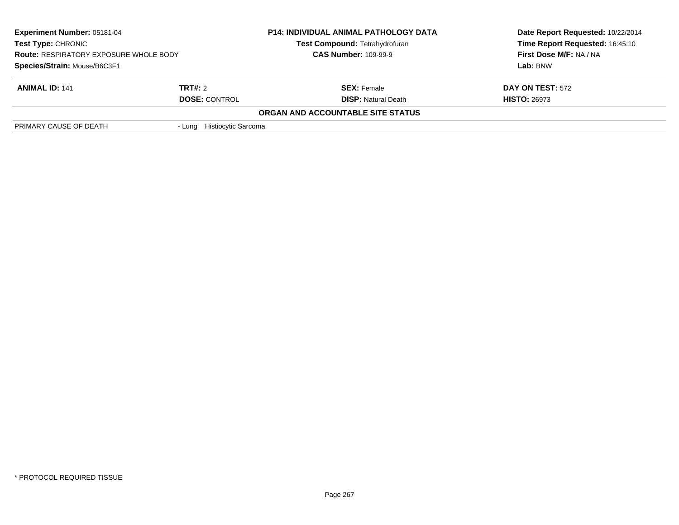| <b>Experiment Number: 05181-04</b><br><b>Test Type: CHRONIC</b><br><b>Route: RESPIRATORY EXPOSURE WHOLE BODY</b> |                            | <b>P14: INDIVIDUAL ANIMAL PATHOLOGY DATA</b><br>Test Compound: Tetrahydrofuran<br><b>CAS Number: 109-99-9</b> | Date Report Requested: 10/22/2014<br>Time Report Requested: 16:45:10<br>First Dose M/F: NA / NA |
|------------------------------------------------------------------------------------------------------------------|----------------------------|---------------------------------------------------------------------------------------------------------------|-------------------------------------------------------------------------------------------------|
| Species/Strain: Mouse/B6C3F1                                                                                     |                            |                                                                                                               | Lab: BNW                                                                                        |
| <b>ANIMAL ID: 141</b>                                                                                            | <b>TRT#:</b> 2             | <b>SEX: Female</b>                                                                                            | <b>DAY ON TEST: 572</b>                                                                         |
|                                                                                                                  | <b>DOSE: CONTROL</b>       | <b>DISP: Natural Death</b>                                                                                    | <b>HISTO: 26973</b>                                                                             |
|                                                                                                                  |                            | ORGAN AND ACCOUNTABLE SITE STATUS                                                                             |                                                                                                 |
| PRIMARY CAUSE OF DEATH                                                                                           | - Lung Histiocytic Sarcoma |                                                                                                               |                                                                                                 |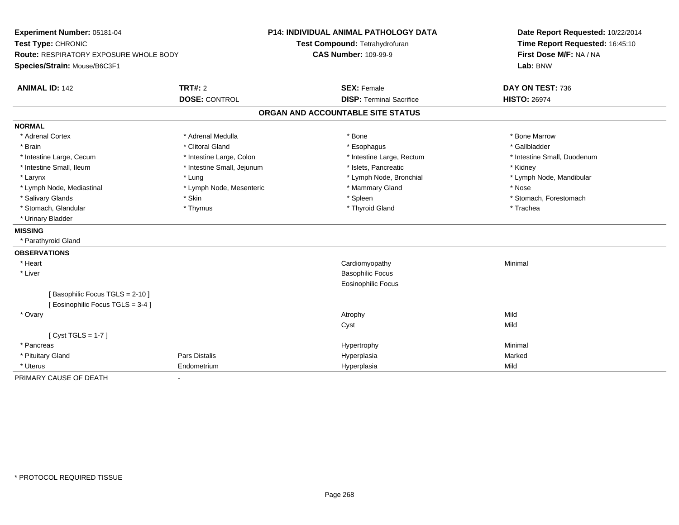| Experiment Number: 05181-04<br>Test Type: CHRONIC |                            | <b>P14: INDIVIDUAL ANIMAL PATHOLOGY DATA</b> | Date Report Requested: 10/22/2014   |  |
|---------------------------------------------------|----------------------------|----------------------------------------------|-------------------------------------|--|
|                                                   |                            | Test Compound: Tetrahydrofuran               | Time Report Requested: 16:45:10     |  |
| <b>Route: RESPIRATORY EXPOSURE WHOLE BODY</b>     |                            | <b>CAS Number: 109-99-9</b>                  | First Dose M/F: NA / NA<br>Lab: BNW |  |
| Species/Strain: Mouse/B6C3F1                      |                            |                                              |                                     |  |
| <b>ANIMAL ID: 142</b>                             | TRT#: 2                    | <b>SEX: Female</b>                           | DAY ON TEST: 736                    |  |
|                                                   | <b>DOSE: CONTROL</b>       | <b>DISP: Terminal Sacrifice</b>              | <b>HISTO: 26974</b>                 |  |
|                                                   |                            | ORGAN AND ACCOUNTABLE SITE STATUS            |                                     |  |
| <b>NORMAL</b>                                     |                            |                                              |                                     |  |
| * Adrenal Cortex                                  | * Adrenal Medulla          | * Bone                                       | * Bone Marrow                       |  |
| * Brain                                           | * Clitoral Gland           | * Esophagus                                  | * Gallbladder                       |  |
| * Intestine Large, Cecum                          | * Intestine Large, Colon   | * Intestine Large, Rectum                    | * Intestine Small, Duodenum         |  |
| * Intestine Small, Ileum                          | * Intestine Small, Jejunum | * Islets. Pancreatic                         | * Kidney                            |  |
| * Larynx                                          | * Lung                     | * Lymph Node, Bronchial                      | * Lymph Node, Mandibular            |  |
| * Lymph Node, Mediastinal                         | * Lymph Node, Mesenteric   | * Mammary Gland                              | * Nose                              |  |
| * Salivary Glands                                 | * Skin                     | * Spleen                                     | * Stomach, Forestomach              |  |
| * Stomach, Glandular                              | * Thymus                   | * Thyroid Gland                              | * Trachea                           |  |
| * Urinary Bladder                                 |                            |                                              |                                     |  |
| <b>MISSING</b>                                    |                            |                                              |                                     |  |
| * Parathyroid Gland                               |                            |                                              |                                     |  |
| <b>OBSERVATIONS</b>                               |                            |                                              |                                     |  |
| * Heart                                           |                            | Cardiomyopathy                               | Minimal                             |  |
| * Liver                                           |                            | <b>Basophilic Focus</b>                      |                                     |  |
|                                                   |                            | <b>Eosinophilic Focus</b>                    |                                     |  |
| [Basophilic Focus TGLS = 2-10]                    |                            |                                              |                                     |  |
| [Eosinophilic Focus TGLS = 3-4]                   |                            |                                              |                                     |  |
| * Ovary                                           |                            | Atrophy                                      | Mild                                |  |
|                                                   |                            | Cyst                                         | Mild                                |  |
| [Cyst TGLS = $1-7$ ]                              |                            |                                              |                                     |  |
| * Pancreas                                        |                            | Hypertrophy                                  | Minimal                             |  |
| * Pituitary Gland                                 | Pars Distalis              | Hyperplasia                                  | Marked                              |  |
| * Uterus                                          | Endometrium                | Hyperplasia                                  | Mild                                |  |
| PRIMARY CAUSE OF DEATH                            | $\overline{\phantom{0}}$   |                                              |                                     |  |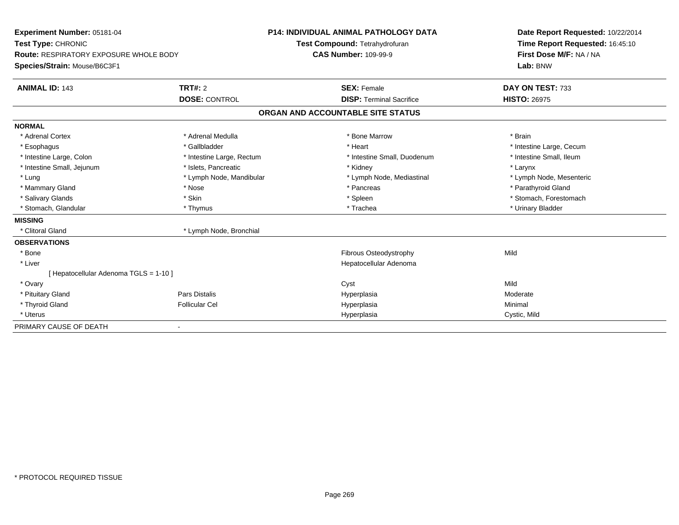| Experiment Number: 05181-04            |                           | <b>P14: INDIVIDUAL ANIMAL PATHOLOGY DATA</b> |                             | Date Report Requested: 10/22/2014 |  |  |
|----------------------------------------|---------------------------|----------------------------------------------|-----------------------------|-----------------------------------|--|--|
| Test Type: CHRONIC                     |                           | Test Compound: Tetrahydrofuran               |                             | Time Report Requested: 16:45:10   |  |  |
| Route: RESPIRATORY EXPOSURE WHOLE BODY |                           | <b>CAS Number: 109-99-9</b>                  |                             | First Dose M/F: NA / NA           |  |  |
| Species/Strain: Mouse/B6C3F1           |                           |                                              |                             | Lab: BNW                          |  |  |
| <b>ANIMAL ID: 143</b>                  | <b>TRT#: 2</b>            | <b>SEX: Female</b>                           |                             | DAY ON TEST: 733                  |  |  |
|                                        | <b>DOSE: CONTROL</b>      | <b>DISP: Terminal Sacrifice</b>              |                             | <b>HISTO: 26975</b>               |  |  |
|                                        |                           | ORGAN AND ACCOUNTABLE SITE STATUS            |                             |                                   |  |  |
| <b>NORMAL</b>                          |                           |                                              |                             |                                   |  |  |
| * Adrenal Cortex                       | * Adrenal Medulla         | * Bone Marrow                                |                             | * Brain                           |  |  |
| * Esophagus                            | * Gallbladder             | * Heart                                      |                             | * Intestine Large, Cecum          |  |  |
| * Intestine Large, Colon               | * Intestine Large, Rectum |                                              | * Intestine Small, Duodenum | * Intestine Small. Ileum          |  |  |
| * Intestine Small, Jejunum             | * Islets. Pancreatic      | * Kidney                                     |                             | * Larynx                          |  |  |
| * Lung                                 | * Lymph Node, Mandibular  |                                              | * Lymph Node, Mediastinal   | * Lymph Node, Mesenteric          |  |  |
| * Mammary Gland                        | * Nose                    | * Pancreas                                   |                             | * Parathyroid Gland               |  |  |
| * Salivary Glands                      | * Skin                    | * Spleen                                     |                             | * Stomach, Forestomach            |  |  |
| * Stomach, Glandular                   | * Thymus                  | * Trachea                                    |                             | * Urinary Bladder                 |  |  |
| <b>MISSING</b>                         |                           |                                              |                             |                                   |  |  |
| * Clitoral Gland                       | * Lymph Node, Bronchial   |                                              |                             |                                   |  |  |
| <b>OBSERVATIONS</b>                    |                           |                                              |                             |                                   |  |  |
| * Bone                                 |                           | Fibrous Osteodystrophy                       |                             | Mild                              |  |  |
| * Liver                                |                           | Hepatocellular Adenoma                       |                             |                                   |  |  |
| Hepatocellular Adenoma TGLS = 1-10 ]   |                           |                                              |                             |                                   |  |  |
| * Ovary                                |                           | Cyst                                         |                             | Mild                              |  |  |
| * Pituitary Gland                      | Pars Distalis             | Hyperplasia                                  |                             | Moderate                          |  |  |
| * Thyroid Gland                        | <b>Follicular Cel</b>     | Hyperplasia                                  |                             | Minimal                           |  |  |
| * Uterus                               |                           | Hyperplasia                                  |                             | Cystic, Mild                      |  |  |
| PRIMARY CAUSE OF DEATH                 |                           |                                              |                             |                                   |  |  |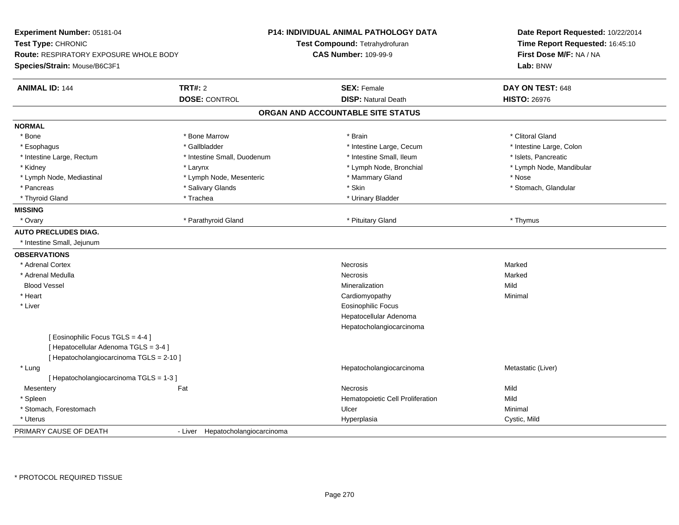| Experiment Number: 05181-04<br>Test Type: CHRONIC<br><b>Route: RESPIRATORY EXPOSURE WHOLE BODY</b><br>Species/Strain: Mouse/B6C3F1 |                                  | <b>P14: INDIVIDUAL ANIMAL PATHOLOGY DATA</b><br>Test Compound: Tetrahydrofuran<br><b>CAS Number: 109-99-9</b> | Date Report Requested: 10/22/2014<br>Time Report Requested: 16:45:10<br>First Dose M/F: NA / NA<br>Lab: BNW |  |
|------------------------------------------------------------------------------------------------------------------------------------|----------------------------------|---------------------------------------------------------------------------------------------------------------|-------------------------------------------------------------------------------------------------------------|--|
| <b>ANIMAL ID: 144</b>                                                                                                              | <b>TRT#: 2</b>                   | <b>SEX: Female</b>                                                                                            | DAY ON TEST: 648                                                                                            |  |
|                                                                                                                                    | <b>DOSE: CONTROL</b>             | <b>DISP: Natural Death</b>                                                                                    | <b>HISTO: 26976</b>                                                                                         |  |
|                                                                                                                                    |                                  | ORGAN AND ACCOUNTABLE SITE STATUS                                                                             |                                                                                                             |  |
| <b>NORMAL</b>                                                                                                                      |                                  |                                                                                                               |                                                                                                             |  |
| * Bone                                                                                                                             | * Bone Marrow                    | * Brain                                                                                                       | * Clitoral Gland                                                                                            |  |
| * Esophagus                                                                                                                        | * Gallbladder                    | * Intestine Large, Cecum                                                                                      | * Intestine Large, Colon                                                                                    |  |
| * Intestine Large, Rectum                                                                                                          | * Intestine Small, Duodenum      | * Intestine Small, Ileum                                                                                      | * Islets, Pancreatic                                                                                        |  |
| * Kidney                                                                                                                           | * Larynx                         | * Lymph Node, Bronchial                                                                                       | * Lymph Node, Mandibular                                                                                    |  |
| * Lymph Node, Mediastinal                                                                                                          | * Lymph Node, Mesenteric         | * Mammary Gland                                                                                               | * Nose                                                                                                      |  |
| * Pancreas                                                                                                                         | * Salivary Glands                | * Skin                                                                                                        | * Stomach, Glandular                                                                                        |  |
| * Thyroid Gland                                                                                                                    | * Trachea                        | * Urinary Bladder                                                                                             |                                                                                                             |  |
| <b>MISSING</b>                                                                                                                     |                                  |                                                                                                               |                                                                                                             |  |
| * Ovary                                                                                                                            | * Parathyroid Gland              | * Pituitary Gland                                                                                             | * Thymus                                                                                                    |  |
| <b>AUTO PRECLUDES DIAG.</b>                                                                                                        |                                  |                                                                                                               |                                                                                                             |  |
| * Intestine Small, Jejunum                                                                                                         |                                  |                                                                                                               |                                                                                                             |  |
| <b>OBSERVATIONS</b>                                                                                                                |                                  |                                                                                                               |                                                                                                             |  |
| * Adrenal Cortex                                                                                                                   |                                  | Necrosis                                                                                                      | Marked                                                                                                      |  |
| * Adrenal Medulla                                                                                                                  |                                  | Necrosis                                                                                                      | Marked                                                                                                      |  |
| <b>Blood Vessel</b>                                                                                                                |                                  | Mineralization                                                                                                | Mild                                                                                                        |  |
| * Heart                                                                                                                            |                                  | Cardiomyopathy                                                                                                | Minimal                                                                                                     |  |
| * Liver                                                                                                                            |                                  | <b>Eosinophilic Focus</b>                                                                                     |                                                                                                             |  |
|                                                                                                                                    |                                  | Hepatocellular Adenoma                                                                                        |                                                                                                             |  |
|                                                                                                                                    |                                  | Hepatocholangiocarcinoma                                                                                      |                                                                                                             |  |
| [Eosinophilic Focus TGLS = 4-4]                                                                                                    |                                  |                                                                                                               |                                                                                                             |  |
| [ Hepatocellular Adenoma TGLS = 3-4 ]                                                                                              |                                  |                                                                                                               |                                                                                                             |  |
| [ Hepatocholangiocarcinoma TGLS = 2-10 ]                                                                                           |                                  |                                                                                                               |                                                                                                             |  |
| * Lung                                                                                                                             |                                  | Hepatocholangiocarcinoma                                                                                      | Metastatic (Liver)                                                                                          |  |
| [ Hepatocholangiocarcinoma TGLS = 1-3 ]                                                                                            |                                  |                                                                                                               |                                                                                                             |  |
| Mesentery                                                                                                                          | Fat                              | <b>Necrosis</b>                                                                                               | Mild                                                                                                        |  |
| * Spleen                                                                                                                           |                                  | Hematopoietic Cell Proliferation                                                                              | Mild                                                                                                        |  |
| * Stomach, Forestomach                                                                                                             |                                  | Ulcer                                                                                                         | Minimal                                                                                                     |  |
| * Uterus                                                                                                                           |                                  | Hyperplasia                                                                                                   | Cystic, Mild                                                                                                |  |
| PRIMARY CAUSE OF DEATH                                                                                                             | - Liver Hepatocholangiocarcinoma |                                                                                                               |                                                                                                             |  |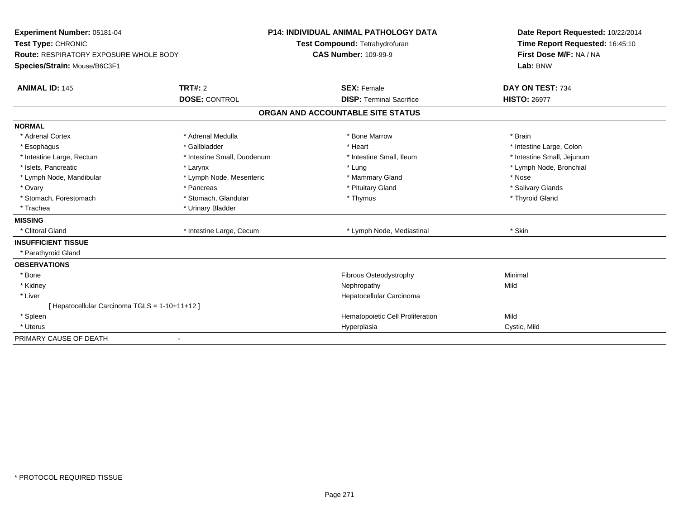| Experiment Number: 05181-04                                                   |                             | <b>P14: INDIVIDUAL ANIMAL PATHOLOGY DATA</b> | Date Report Requested: 10/22/2014 |  |
|-------------------------------------------------------------------------------|-----------------------------|----------------------------------------------|-----------------------------------|--|
| Test Type: CHRONIC                                                            |                             | Test Compound: Tetrahydrofuran               | Time Report Requested: 16:45:10   |  |
| <b>Route: RESPIRATORY EXPOSURE WHOLE BODY</b><br>Species/Strain: Mouse/B6C3F1 |                             | <b>CAS Number: 109-99-9</b>                  | First Dose M/F: NA / NA           |  |
|                                                                               |                             |                                              | Lab: BNW                          |  |
| <b>ANIMAL ID: 145</b>                                                         | TRT#: 2                     | <b>SEX: Female</b>                           | DAY ON TEST: 734                  |  |
|                                                                               | <b>DOSE: CONTROL</b>        | <b>DISP: Terminal Sacrifice</b>              | <b>HISTO: 26977</b>               |  |
|                                                                               |                             | ORGAN AND ACCOUNTABLE SITE STATUS            |                                   |  |
| <b>NORMAL</b>                                                                 |                             |                                              |                                   |  |
| * Adrenal Cortex                                                              | * Adrenal Medulla           | * Bone Marrow                                | * Brain                           |  |
| * Esophagus                                                                   | * Gallbladder               | * Heart                                      | * Intestine Large, Colon          |  |
| * Intestine Large, Rectum                                                     | * Intestine Small, Duodenum | * Intestine Small, Ileum                     | * Intestine Small, Jejunum        |  |
| * Islets, Pancreatic                                                          | * Larynx                    | * Lung                                       | * Lymph Node, Bronchial           |  |
| * Lymph Node, Mandibular                                                      | * Lymph Node, Mesenteric    | * Mammary Gland                              | * Nose                            |  |
| * Ovary                                                                       | * Pancreas                  | * Pituitary Gland                            | * Salivary Glands                 |  |
| * Stomach, Forestomach                                                        | * Stomach, Glandular        | * Thymus                                     | * Thyroid Gland                   |  |
| * Trachea                                                                     | * Urinary Bladder           |                                              |                                   |  |
| <b>MISSING</b>                                                                |                             |                                              |                                   |  |
| * Clitoral Gland                                                              | * Intestine Large, Cecum    | * Lymph Node, Mediastinal                    | * Skin                            |  |
| <b>INSUFFICIENT TISSUE</b>                                                    |                             |                                              |                                   |  |
| * Parathyroid Gland                                                           |                             |                                              |                                   |  |
| <b>OBSERVATIONS</b>                                                           |                             |                                              |                                   |  |
| * Bone                                                                        |                             | Fibrous Osteodystrophy                       | Minimal                           |  |
| * Kidney                                                                      |                             | Nephropathy                                  | Mild                              |  |
| * Liver                                                                       |                             | Hepatocellular Carcinoma                     |                                   |  |
| [ Hepatocellular Carcinoma TGLS = 1-10+11+12 ]                                |                             |                                              |                                   |  |
| * Spleen                                                                      |                             | Hematopoietic Cell Proliferation             | Mild                              |  |
| * Uterus                                                                      |                             | Hyperplasia                                  | Cystic, Mild                      |  |
| PRIMARY CAUSE OF DEATH                                                        |                             |                                              |                                   |  |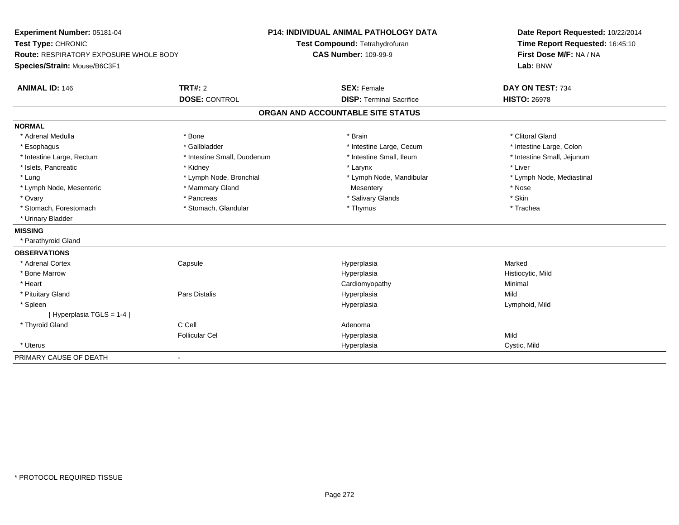| Experiment Number: 05181-04            |                             | <b>P14: INDIVIDUAL ANIMAL PATHOLOGY DATA</b> | Date Report Requested: 10/22/2014 |  |
|----------------------------------------|-----------------------------|----------------------------------------------|-----------------------------------|--|
| Test Type: CHRONIC                     |                             | Test Compound: Tetrahydrofuran               | Time Report Requested: 16:45:10   |  |
| Route: RESPIRATORY EXPOSURE WHOLE BODY |                             | <b>CAS Number: 109-99-9</b>                  | First Dose M/F: NA / NA           |  |
| Species/Strain: Mouse/B6C3F1           |                             |                                              | Lab: BNW                          |  |
| <b>ANIMAL ID: 146</b>                  | <b>TRT#: 2</b>              | <b>SEX: Female</b>                           | DAY ON TEST: 734                  |  |
|                                        | <b>DOSE: CONTROL</b>        | <b>DISP: Terminal Sacrifice</b>              | <b>HISTO: 26978</b>               |  |
|                                        |                             | ORGAN AND ACCOUNTABLE SITE STATUS            |                                   |  |
| <b>NORMAL</b>                          |                             |                                              |                                   |  |
| * Adrenal Medulla                      | * Bone                      | * Brain                                      | * Clitoral Gland                  |  |
| * Esophagus                            | * Gallbladder               | * Intestine Large, Cecum                     | * Intestine Large, Colon          |  |
| * Intestine Large, Rectum              | * Intestine Small, Duodenum | * Intestine Small, Ileum                     | * Intestine Small, Jejunum        |  |
| * Islets, Pancreatic                   | * Kidney                    | * Larynx                                     | * Liver                           |  |
| * Lung                                 | * Lymph Node, Bronchial     | * Lymph Node, Mandibular                     | * Lymph Node, Mediastinal         |  |
| * Lymph Node, Mesenteric               | * Mammary Gland             | Mesentery                                    | * Nose                            |  |
| * Ovary                                | * Pancreas                  | * Salivary Glands                            | * Skin                            |  |
| * Stomach, Forestomach                 | * Stomach, Glandular        | * Thymus                                     | * Trachea                         |  |
| * Urinary Bladder                      |                             |                                              |                                   |  |
| <b>MISSING</b>                         |                             |                                              |                                   |  |
| * Parathyroid Gland                    |                             |                                              |                                   |  |
| <b>OBSERVATIONS</b>                    |                             |                                              |                                   |  |
| * Adrenal Cortex                       | Capsule                     | Hyperplasia                                  | Marked                            |  |
| * Bone Marrow                          |                             | Hyperplasia                                  | Histiocytic, Mild                 |  |
| * Heart                                |                             | Cardiomyopathy                               | Minimal                           |  |
| * Pituitary Gland                      | Pars Distalis               | Hyperplasia                                  | Mild                              |  |
| * Spleen                               |                             | Hyperplasia                                  | Lymphoid, Mild                    |  |
| [Hyperplasia TGLS = 1-4]               |                             |                                              |                                   |  |
| * Thyroid Gland                        | C Cell                      | Adenoma                                      |                                   |  |
|                                        | <b>Follicular Cel</b>       | Hyperplasia                                  | Mild                              |  |
| * Uterus                               |                             | Hyperplasia                                  | Cystic, Mild                      |  |
| PRIMARY CAUSE OF DEATH                 | ۰                           |                                              |                                   |  |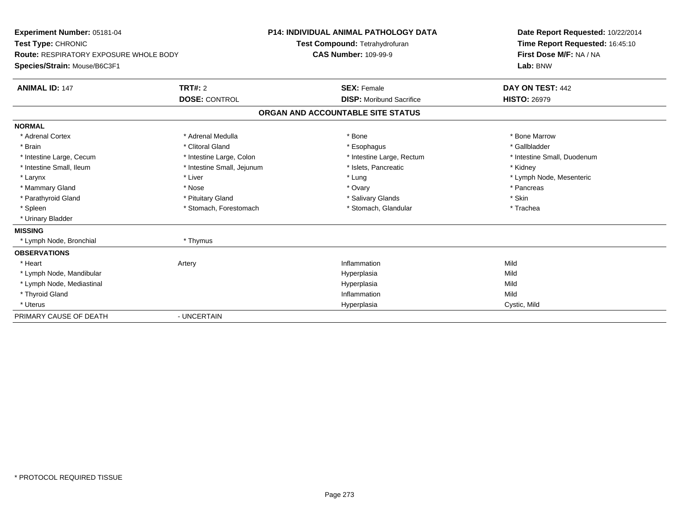| Experiment Number: 05181-04<br>Test Type: CHRONIC<br><b>Route: RESPIRATORY EXPOSURE WHOLE BODY</b><br>Species/Strain: Mouse/B6C3F1<br><b>ANIMAL ID: 147</b> | <b>TRT#: 2</b>             |                                   | <b>P14: INDIVIDUAL ANIMAL PATHOLOGY DATA</b><br>Test Compound: Tetrahydrofuran<br><b>CAS Number: 109-99-9</b><br><b>SEX: Female</b> | Date Report Requested: 10/22/2014<br>Time Report Requested: 16:45:10<br>First Dose M/F: NA / NA<br>Lab: BNW<br>DAY ON TEST: 442 |  |
|-------------------------------------------------------------------------------------------------------------------------------------------------------------|----------------------------|-----------------------------------|-------------------------------------------------------------------------------------------------------------------------------------|---------------------------------------------------------------------------------------------------------------------------------|--|
|                                                                                                                                                             | <b>DOSE: CONTROL</b>       |                                   | <b>DISP: Moribund Sacrifice</b>                                                                                                     | <b>HISTO: 26979</b>                                                                                                             |  |
|                                                                                                                                                             |                            | ORGAN AND ACCOUNTABLE SITE STATUS |                                                                                                                                     |                                                                                                                                 |  |
| <b>NORMAL</b>                                                                                                                                               |                            |                                   |                                                                                                                                     |                                                                                                                                 |  |
| * Adrenal Cortex                                                                                                                                            | * Adrenal Medulla          |                                   | * Bone                                                                                                                              | * Bone Marrow                                                                                                                   |  |
| * Brain                                                                                                                                                     | * Clitoral Gland           |                                   | * Esophagus                                                                                                                         | * Gallbladder                                                                                                                   |  |
| * Intestine Large, Cecum                                                                                                                                    | * Intestine Large, Colon   |                                   | * Intestine Large, Rectum                                                                                                           | * Intestine Small, Duodenum                                                                                                     |  |
| * Intestine Small, Ileum                                                                                                                                    | * Intestine Small, Jejunum |                                   | * Islets, Pancreatic                                                                                                                | * Kidney                                                                                                                        |  |
| * Larynx                                                                                                                                                    | * Liver                    |                                   | * Lung                                                                                                                              | * Lymph Node, Mesenteric                                                                                                        |  |
| * Mammary Gland                                                                                                                                             | * Nose                     |                                   | * Ovary                                                                                                                             | * Pancreas                                                                                                                      |  |
| * Parathyroid Gland                                                                                                                                         | * Pituitary Gland          |                                   | * Salivary Glands                                                                                                                   | * Skin                                                                                                                          |  |
| * Spleen                                                                                                                                                    | * Stomach, Forestomach     |                                   | * Stomach, Glandular                                                                                                                | * Trachea                                                                                                                       |  |
| * Urinary Bladder                                                                                                                                           |                            |                                   |                                                                                                                                     |                                                                                                                                 |  |
| <b>MISSING</b>                                                                                                                                              |                            |                                   |                                                                                                                                     |                                                                                                                                 |  |
| * Lymph Node, Bronchial                                                                                                                                     | * Thymus                   |                                   |                                                                                                                                     |                                                                                                                                 |  |
| <b>OBSERVATIONS</b>                                                                                                                                         |                            |                                   |                                                                                                                                     |                                                                                                                                 |  |
| * Heart                                                                                                                                                     | Artery                     |                                   | Inflammation                                                                                                                        | Mild                                                                                                                            |  |
| * Lymph Node, Mandibular                                                                                                                                    |                            |                                   | Hyperplasia                                                                                                                         | Mild                                                                                                                            |  |
| * Lymph Node, Mediastinal                                                                                                                                   |                            |                                   | Hyperplasia                                                                                                                         | Mild                                                                                                                            |  |
| * Thyroid Gland                                                                                                                                             |                            |                                   | Inflammation                                                                                                                        | Mild                                                                                                                            |  |
| * Uterus                                                                                                                                                    |                            |                                   | Hyperplasia                                                                                                                         | Cystic, Mild                                                                                                                    |  |
| PRIMARY CAUSE OF DEATH                                                                                                                                      | - UNCERTAIN                |                                   |                                                                                                                                     |                                                                                                                                 |  |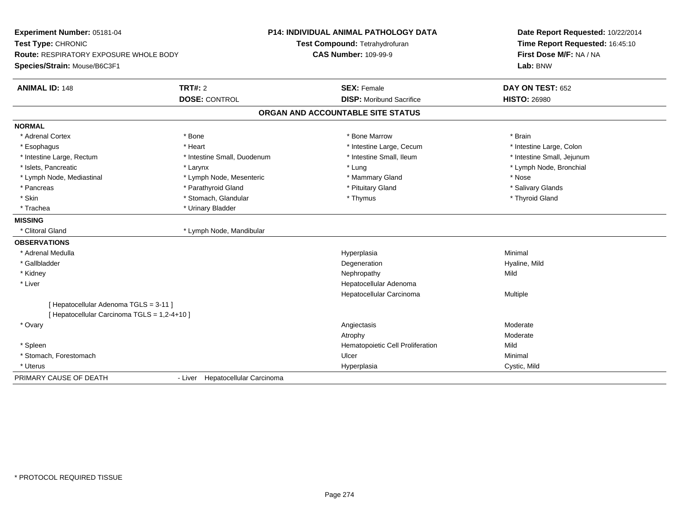| Experiment Number: 05181-04<br>Test Type: CHRONIC |                                  | <b>P14: INDIVIDUAL ANIMAL PATHOLOGY DATA</b><br>Test Compound: Tetrahydrofuran | Date Report Requested: 10/22/2014<br>Time Report Requested: 16:45:10 |  |
|---------------------------------------------------|----------------------------------|--------------------------------------------------------------------------------|----------------------------------------------------------------------|--|
| <b>Route: RESPIRATORY EXPOSURE WHOLE BODY</b>     |                                  | <b>CAS Number: 109-99-9</b>                                                    | First Dose M/F: NA / NA                                              |  |
| Species/Strain: Mouse/B6C3F1                      |                                  |                                                                                | Lab: BNW                                                             |  |
| <b>ANIMAL ID: 148</b>                             | TRT#: 2                          | <b>SEX: Female</b>                                                             | DAY ON TEST: 652                                                     |  |
|                                                   | <b>DOSE: CONTROL</b>             | <b>DISP:</b> Moribund Sacrifice                                                | <b>HISTO: 26980</b>                                                  |  |
|                                                   |                                  | ORGAN AND ACCOUNTABLE SITE STATUS                                              |                                                                      |  |
| <b>NORMAL</b>                                     |                                  |                                                                                |                                                                      |  |
| * Adrenal Cortex                                  | * Bone                           | * Bone Marrow                                                                  | * Brain                                                              |  |
| * Esophagus                                       | * Heart                          | * Intestine Large, Cecum                                                       | * Intestine Large, Colon                                             |  |
| * Intestine Large, Rectum                         | * Intestine Small, Duodenum      | * Intestine Small, Ileum                                                       | * Intestine Small, Jejunum                                           |  |
| * Islets, Pancreatic                              | * Larynx                         | * Lung                                                                         | * Lymph Node, Bronchial                                              |  |
| * Lymph Node, Mediastinal                         | * Lymph Node, Mesenteric         | * Mammary Gland                                                                | * Nose                                                               |  |
| * Pancreas                                        | * Parathyroid Gland              | * Pituitary Gland                                                              | * Salivary Glands                                                    |  |
| * Skin                                            | * Stomach, Glandular             | * Thymus                                                                       | * Thyroid Gland                                                      |  |
| * Trachea                                         | * Urinary Bladder                |                                                                                |                                                                      |  |
| <b>MISSING</b>                                    |                                  |                                                                                |                                                                      |  |
| * Clitoral Gland                                  | * Lymph Node, Mandibular         |                                                                                |                                                                      |  |
| <b>OBSERVATIONS</b>                               |                                  |                                                                                |                                                                      |  |
| * Adrenal Medulla                                 |                                  | Hyperplasia                                                                    | Minimal                                                              |  |
| * Gallbladder                                     |                                  | Degeneration                                                                   | Hyaline, Mild                                                        |  |
| * Kidney                                          |                                  | Nephropathy                                                                    | Mild                                                                 |  |
| * Liver                                           |                                  | Hepatocellular Adenoma                                                         |                                                                      |  |
|                                                   |                                  | Hepatocellular Carcinoma                                                       | Multiple                                                             |  |
| [ Hepatocellular Adenoma TGLS = 3-11 ]            |                                  |                                                                                |                                                                      |  |
| [ Hepatocellular Carcinoma TGLS = 1,2-4+10 ]      |                                  |                                                                                |                                                                      |  |
| * Ovary                                           |                                  | Angiectasis                                                                    | Moderate                                                             |  |
|                                                   |                                  | Atrophy                                                                        | Moderate                                                             |  |
| * Spleen                                          |                                  | Hematopoietic Cell Proliferation                                               | Mild                                                                 |  |
| * Stomach, Forestomach                            |                                  | Ulcer                                                                          | Minimal                                                              |  |
| * Uterus                                          |                                  | Hyperplasia                                                                    | Cystic, Mild                                                         |  |
| PRIMARY CAUSE OF DEATH                            | - Liver Hepatocellular Carcinoma |                                                                                |                                                                      |  |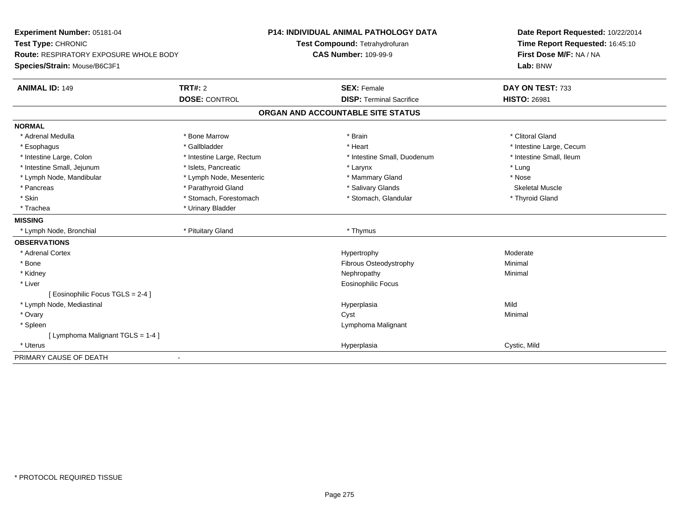| Experiment Number: 05181-04<br>Test Type: CHRONIC<br>Route: RESPIRATORY EXPOSURE WHOLE BODY<br>Species/Strain: Mouse/B6C3F1 |                           | <b>P14: INDIVIDUAL ANIMAL PATHOLOGY DATA</b><br>Test Compound: Tetrahydrofuran<br><b>CAS Number: 109-99-9</b> | Date Report Requested: 10/22/2014<br>Time Report Requested: 16:45:10<br>First Dose M/F: NA / NA<br>Lab: BNW |  |
|-----------------------------------------------------------------------------------------------------------------------------|---------------------------|---------------------------------------------------------------------------------------------------------------|-------------------------------------------------------------------------------------------------------------|--|
| <b>ANIMAL ID: 149</b>                                                                                                       | <b>TRT#: 2</b>            | <b>SEX: Female</b>                                                                                            | DAY ON TEST: 733                                                                                            |  |
|                                                                                                                             | <b>DOSE: CONTROL</b>      | <b>DISP: Terminal Sacrifice</b>                                                                               | <b>HISTO: 26981</b>                                                                                         |  |
|                                                                                                                             |                           | ORGAN AND ACCOUNTABLE SITE STATUS                                                                             |                                                                                                             |  |
| <b>NORMAL</b>                                                                                                               |                           |                                                                                                               |                                                                                                             |  |
| * Adrenal Medulla                                                                                                           | * Bone Marrow             | * Brain                                                                                                       | * Clitoral Gland                                                                                            |  |
| * Esophagus                                                                                                                 | * Gallbladder             | * Heart                                                                                                       | * Intestine Large, Cecum                                                                                    |  |
| * Intestine Large, Colon                                                                                                    | * Intestine Large, Rectum | * Intestine Small, Duodenum                                                                                   | * Intestine Small, Ileum                                                                                    |  |
| * Intestine Small, Jejunum                                                                                                  | * Islets, Pancreatic      | * Larynx                                                                                                      | * Lung                                                                                                      |  |
| * Lymph Node, Mandibular                                                                                                    | * Lymph Node, Mesenteric  | * Mammary Gland                                                                                               | * Nose                                                                                                      |  |
| * Pancreas                                                                                                                  | * Parathyroid Gland       | * Salivary Glands                                                                                             | <b>Skeletal Muscle</b>                                                                                      |  |
| * Skin                                                                                                                      | * Stomach, Forestomach    | * Stomach, Glandular                                                                                          | * Thyroid Gland                                                                                             |  |
| * Trachea                                                                                                                   | * Urinary Bladder         |                                                                                                               |                                                                                                             |  |
| <b>MISSING</b>                                                                                                              |                           |                                                                                                               |                                                                                                             |  |
| * Lymph Node, Bronchial                                                                                                     | * Pituitary Gland         | * Thymus                                                                                                      |                                                                                                             |  |
| <b>OBSERVATIONS</b>                                                                                                         |                           |                                                                                                               |                                                                                                             |  |
| * Adrenal Cortex                                                                                                            |                           | Hypertrophy                                                                                                   | Moderate                                                                                                    |  |
| * Bone                                                                                                                      |                           | Fibrous Osteodystrophy                                                                                        | Minimal                                                                                                     |  |
| * Kidney                                                                                                                    |                           | Nephropathy                                                                                                   | Minimal                                                                                                     |  |
| * Liver                                                                                                                     |                           | Eosinophilic Focus                                                                                            |                                                                                                             |  |
| Eosinophilic Focus TGLS = 2-4 1                                                                                             |                           |                                                                                                               |                                                                                                             |  |
| * Lymph Node, Mediastinal                                                                                                   |                           | Hyperplasia                                                                                                   | Mild                                                                                                        |  |
| * Ovary                                                                                                                     |                           | Cyst                                                                                                          | Minimal                                                                                                     |  |
| * Spleen                                                                                                                    |                           | Lymphoma Malignant                                                                                            |                                                                                                             |  |
| [ Lymphoma Malignant TGLS = 1-4 ]                                                                                           |                           |                                                                                                               |                                                                                                             |  |
| * Uterus                                                                                                                    |                           | Hyperplasia                                                                                                   | Cystic, Mild                                                                                                |  |
| PRIMARY CAUSE OF DEATH                                                                                                      |                           |                                                                                                               |                                                                                                             |  |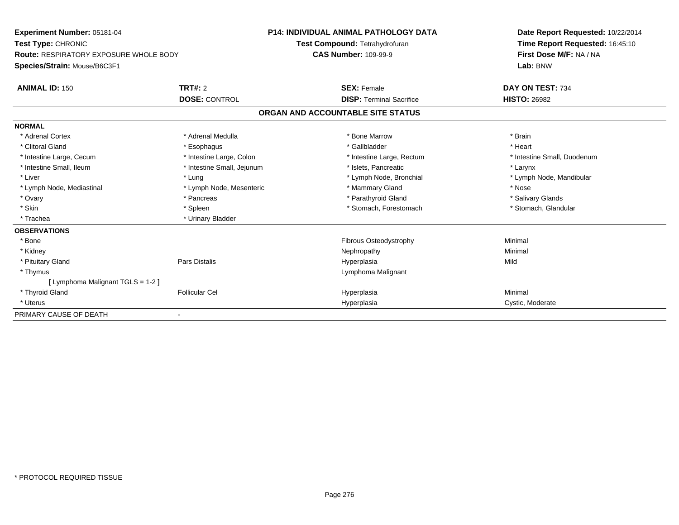| Experiment Number: 05181-04                   |                            | <b>P14: INDIVIDUAL ANIMAL PATHOLOGY DATA</b> | Date Report Requested: 10/22/2014 |  |  |
|-----------------------------------------------|----------------------------|----------------------------------------------|-----------------------------------|--|--|
| Test Type: CHRONIC                            |                            | Test Compound: Tetrahydrofuran               | Time Report Requested: 16:45:10   |  |  |
| <b>Route: RESPIRATORY EXPOSURE WHOLE BODY</b> |                            | <b>CAS Number: 109-99-9</b>                  | First Dose M/F: NA / NA           |  |  |
| Species/Strain: Mouse/B6C3F1                  |                            |                                              | Lab: BNW                          |  |  |
| <b>ANIMAL ID: 150</b>                         | TRT#: 2                    | <b>SEX: Female</b>                           | DAY ON TEST: 734                  |  |  |
|                                               | <b>DOSE: CONTROL</b>       | <b>DISP: Terminal Sacrifice</b>              | <b>HISTO: 26982</b>               |  |  |
|                                               |                            | ORGAN AND ACCOUNTABLE SITE STATUS            |                                   |  |  |
| <b>NORMAL</b>                                 |                            |                                              |                                   |  |  |
| * Adrenal Cortex                              | * Adrenal Medulla          | * Bone Marrow                                | * Brain                           |  |  |
| * Clitoral Gland                              | * Esophagus                | * Gallbladder                                | * Heart                           |  |  |
| * Intestine Large, Cecum                      | * Intestine Large, Colon   | * Intestine Large, Rectum                    | * Intestine Small, Duodenum       |  |  |
| * Intestine Small, Ileum                      | * Intestine Small, Jejunum | * Islets. Pancreatic                         | * Larynx                          |  |  |
| * Liver                                       | * Lung                     | * Lymph Node, Bronchial                      | * Lymph Node, Mandibular          |  |  |
| * Lymph Node, Mediastinal                     | * Lymph Node, Mesenteric   | * Mammary Gland                              | * Nose                            |  |  |
| * Ovary                                       | * Pancreas                 | * Parathyroid Gland                          | * Salivary Glands                 |  |  |
| * Skin                                        | * Spleen                   | * Stomach, Forestomach                       | * Stomach, Glandular              |  |  |
| * Trachea                                     | * Urinary Bladder          |                                              |                                   |  |  |
| <b>OBSERVATIONS</b>                           |                            |                                              |                                   |  |  |
| * Bone                                        |                            | Fibrous Osteodystrophy                       | Minimal                           |  |  |
| * Kidney                                      |                            | Nephropathy                                  | Minimal                           |  |  |
| * Pituitary Gland                             | <b>Pars Distalis</b>       | Hyperplasia                                  | Mild                              |  |  |
| * Thymus                                      |                            | Lymphoma Malignant                           |                                   |  |  |
| [ Lymphoma Malignant TGLS = 1-2 ]             |                            |                                              |                                   |  |  |
| * Thyroid Gland                               | <b>Follicular Cel</b>      | Hyperplasia                                  | Minimal                           |  |  |
| * Uterus                                      |                            | Hyperplasia                                  | Cystic, Moderate                  |  |  |
| PRIMARY CAUSE OF DEATH                        |                            |                                              |                                   |  |  |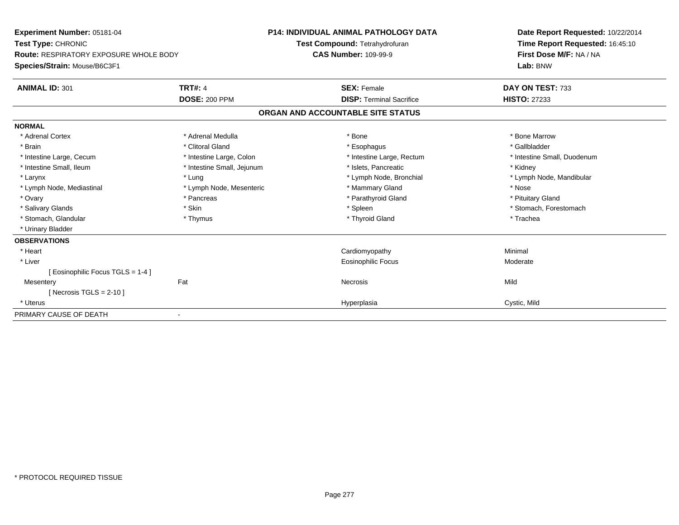| Experiment Number: 05181-04<br><b>Test Type: CHRONIC</b> |                             | <b>P14: INDIVIDUAL ANIMAL PATHOLOGY DATA</b><br>Test Compound: Tetrahydrofuran | Date Report Requested: 10/22/2014<br>Time Report Requested: 16:45:10<br>First Dose M/F: NA / NA |
|----------------------------------------------------------|-----------------------------|--------------------------------------------------------------------------------|-------------------------------------------------------------------------------------------------|
| <b>Route: RESPIRATORY EXPOSURE WHOLE BODY</b>            | <b>CAS Number: 109-99-9</b> |                                                                                |                                                                                                 |
| Species/Strain: Mouse/B6C3F1                             |                             |                                                                                | Lab: BNW                                                                                        |
| <b>ANIMAL ID: 301</b>                                    | <b>TRT#: 4</b>              | <b>SEX: Female</b>                                                             | DAY ON TEST: 733                                                                                |
|                                                          | <b>DOSE: 200 PPM</b>        | <b>DISP: Terminal Sacrifice</b>                                                | <b>HISTO: 27233</b>                                                                             |
|                                                          |                             | ORGAN AND ACCOUNTABLE SITE STATUS                                              |                                                                                                 |
| <b>NORMAL</b>                                            |                             |                                                                                |                                                                                                 |
| * Adrenal Cortex                                         | * Adrenal Medulla           | * Bone                                                                         | * Bone Marrow                                                                                   |
| * Brain                                                  | * Clitoral Gland            | * Esophagus                                                                    | * Gallbladder                                                                                   |
| * Intestine Large, Cecum                                 | * Intestine Large, Colon    | * Intestine Large, Rectum                                                      | * Intestine Small, Duodenum                                                                     |
| * Intestine Small. Ileum                                 | * Intestine Small, Jejunum  | * Islets. Pancreatic                                                           | * Kidney                                                                                        |
| * Larynx                                                 | * Lung                      | * Lymph Node, Bronchial                                                        | * Lymph Node, Mandibular                                                                        |
| * Lymph Node, Mediastinal                                | * Lymph Node, Mesenteric    | * Mammary Gland                                                                | * Nose                                                                                          |
| * Ovary                                                  | * Pancreas                  | * Parathyroid Gland                                                            | * Pituitary Gland                                                                               |
| * Salivary Glands                                        | * Skin                      | * Spleen                                                                       | * Stomach, Forestomach                                                                          |
| * Stomach, Glandular                                     | * Thymus                    | * Thyroid Gland                                                                | * Trachea                                                                                       |
| * Urinary Bladder                                        |                             |                                                                                |                                                                                                 |
| <b>OBSERVATIONS</b>                                      |                             |                                                                                |                                                                                                 |
| * Heart                                                  |                             | Cardiomyopathy                                                                 | Minimal                                                                                         |
| * Liver                                                  |                             | <b>Eosinophilic Focus</b>                                                      | Moderate                                                                                        |
| [ Eosinophilic Focus TGLS = 1-4 ]                        |                             |                                                                                |                                                                                                 |
| Mesentery                                                | Fat                         | <b>Necrosis</b>                                                                | Mild                                                                                            |
| [ Necrosis TGLS = $2-10$ ]                               |                             |                                                                                |                                                                                                 |
| * Uterus                                                 |                             | Hyperplasia                                                                    | Cystic, Mild                                                                                    |
| PRIMARY CAUSE OF DEATH                                   |                             |                                                                                |                                                                                                 |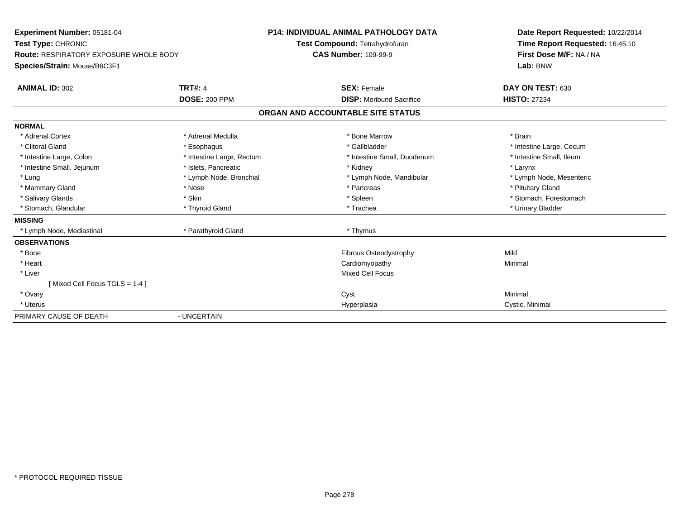| Experiment Number: 05181-04<br>Test Type: CHRONIC<br><b>Route: RESPIRATORY EXPOSURE WHOLE BODY</b><br>Species/Strain: Mouse/B6C3F1 |                                        | <b>P14: INDIVIDUAL ANIMAL PATHOLOGY DATA</b><br>Test Compound: Tetrahydrofuran<br><b>CAS Number: 109-99-9</b> | Date Report Requested: 10/22/2014<br>Time Report Requested: 16:45:10<br>First Dose M/F: NA / NA<br>Lab: BNW |  |
|------------------------------------------------------------------------------------------------------------------------------------|----------------------------------------|---------------------------------------------------------------------------------------------------------------|-------------------------------------------------------------------------------------------------------------|--|
| <b>ANIMAL ID: 302</b>                                                                                                              | <b>TRT#: 4</b><br><b>DOSE: 200 PPM</b> | <b>SEX: Female</b><br><b>DISP:</b> Moribund Sacrifice                                                         | DAY ON TEST: 630<br><b>HISTO: 27234</b>                                                                     |  |
|                                                                                                                                    |                                        | ORGAN AND ACCOUNTABLE SITE STATUS                                                                             |                                                                                                             |  |
|                                                                                                                                    |                                        |                                                                                                               |                                                                                                             |  |
| <b>NORMAL</b>                                                                                                                      |                                        |                                                                                                               |                                                                                                             |  |
| * Adrenal Cortex                                                                                                                   | * Adrenal Medulla                      | * Bone Marrow                                                                                                 | * Brain                                                                                                     |  |
| * Clitoral Gland                                                                                                                   | * Esophagus                            | * Gallbladder                                                                                                 | * Intestine Large, Cecum                                                                                    |  |
| * Intestine Large, Colon                                                                                                           | * Intestine Large, Rectum              | * Intestine Small, Duodenum                                                                                   | * Intestine Small, Ileum                                                                                    |  |
| * Intestine Small, Jejunum                                                                                                         | * Islets, Pancreatic                   | * Kidney                                                                                                      | * Larynx                                                                                                    |  |
| * Lung                                                                                                                             | * Lymph Node, Bronchial                | * Lymph Node, Mandibular                                                                                      | * Lymph Node, Mesenteric                                                                                    |  |
| * Mammary Gland                                                                                                                    | * Nose                                 | * Pancreas                                                                                                    | * Pituitary Gland                                                                                           |  |
| * Salivary Glands                                                                                                                  | * Skin                                 | * Spleen                                                                                                      | * Stomach, Forestomach                                                                                      |  |
| * Stomach, Glandular                                                                                                               | * Thyroid Gland                        | * Trachea                                                                                                     | * Urinary Bladder                                                                                           |  |
| <b>MISSING</b>                                                                                                                     |                                        |                                                                                                               |                                                                                                             |  |
| * Lymph Node, Mediastinal                                                                                                          | * Parathyroid Gland                    | * Thymus                                                                                                      |                                                                                                             |  |
| <b>OBSERVATIONS</b>                                                                                                                |                                        |                                                                                                               |                                                                                                             |  |
| * Bone                                                                                                                             |                                        | <b>Fibrous Osteodystrophy</b>                                                                                 | Mild                                                                                                        |  |
| * Heart                                                                                                                            |                                        | Cardiomyopathy                                                                                                | Minimal                                                                                                     |  |
| * Liver                                                                                                                            |                                        | <b>Mixed Cell Focus</b>                                                                                       |                                                                                                             |  |
| [Mixed Cell Focus TGLS = 1-4]                                                                                                      |                                        |                                                                                                               |                                                                                                             |  |
| * Ovary                                                                                                                            |                                        | Cyst                                                                                                          | Minimal                                                                                                     |  |
| * Uterus                                                                                                                           |                                        | Hyperplasia                                                                                                   | Cystic, Minimal                                                                                             |  |
| PRIMARY CAUSE OF DEATH                                                                                                             | - UNCERTAIN                            |                                                                                                               |                                                                                                             |  |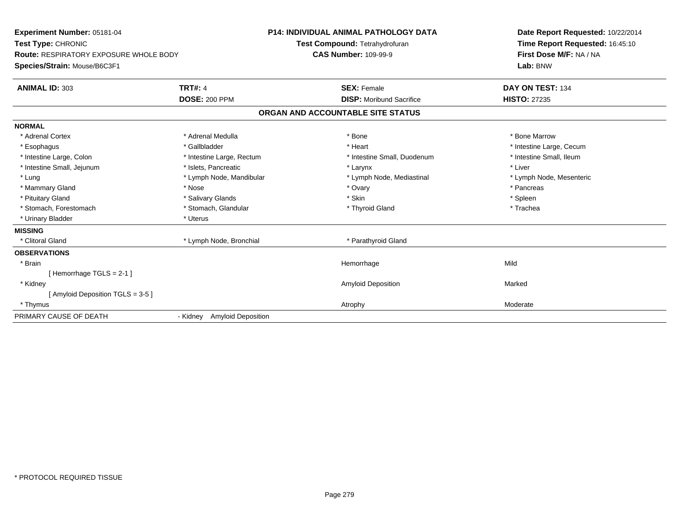| Experiment Number: 05181-04<br>Test Type: CHRONIC<br>Route: RESPIRATORY EXPOSURE WHOLE BODY<br>Species/Strain: Mouse/B6C3F1<br><b>ANIMAL ID: 303</b><br><b>TRT#: 4</b> |                                       | <b>P14: INDIVIDUAL ANIMAL PATHOLOGY DATA</b><br>Test Compound: Tetrahydrofuran<br><b>CAS Number: 109-99-9</b><br><b>SEX: Female</b> | Date Report Requested: 10/22/2014<br>Time Report Requested: 16:45:10<br>First Dose M/F: NA / NA<br>Lab: BNW<br>DAY ON TEST: 134 |
|------------------------------------------------------------------------------------------------------------------------------------------------------------------------|---------------------------------------|-------------------------------------------------------------------------------------------------------------------------------------|---------------------------------------------------------------------------------------------------------------------------------|
|                                                                                                                                                                        | <b>DOSE: 200 PPM</b>                  | <b>DISP:</b> Moribund Sacrifice                                                                                                     | <b>HISTO: 27235</b>                                                                                                             |
|                                                                                                                                                                        |                                       | ORGAN AND ACCOUNTABLE SITE STATUS                                                                                                   |                                                                                                                                 |
| <b>NORMAL</b>                                                                                                                                                          |                                       |                                                                                                                                     |                                                                                                                                 |
| * Adrenal Cortex                                                                                                                                                       | * Adrenal Medulla                     | * Bone                                                                                                                              | * Bone Marrow                                                                                                                   |
| * Esophagus                                                                                                                                                            | * Gallbladder                         | * Heart                                                                                                                             | * Intestine Large, Cecum                                                                                                        |
| * Intestine Large, Colon                                                                                                                                               | * Intestine Large, Rectum             | * Intestine Small, Duodenum                                                                                                         | * Intestine Small, Ileum                                                                                                        |
| * Intestine Small, Jejunum                                                                                                                                             | * Islets, Pancreatic                  | * Larynx                                                                                                                            | * Liver                                                                                                                         |
| * Lung                                                                                                                                                                 | * Lymph Node, Mandibular              | * Lymph Node, Mediastinal                                                                                                           | * Lymph Node, Mesenteric                                                                                                        |
| * Mammary Gland                                                                                                                                                        | * Nose                                | * Ovary                                                                                                                             | * Pancreas                                                                                                                      |
| * Pituitary Gland                                                                                                                                                      | * Salivary Glands                     | * Skin                                                                                                                              | * Spleen                                                                                                                        |
| * Stomach, Forestomach                                                                                                                                                 | * Stomach, Glandular                  | * Thyroid Gland                                                                                                                     | * Trachea                                                                                                                       |
| * Urinary Bladder                                                                                                                                                      | * Uterus                              |                                                                                                                                     |                                                                                                                                 |
| <b>MISSING</b>                                                                                                                                                         |                                       |                                                                                                                                     |                                                                                                                                 |
| * Clitoral Gland                                                                                                                                                       | * Lymph Node, Bronchial               | * Parathyroid Gland                                                                                                                 |                                                                                                                                 |
| <b>OBSERVATIONS</b>                                                                                                                                                    |                                       |                                                                                                                                     |                                                                                                                                 |
| * Brain                                                                                                                                                                |                                       | Hemorrhage                                                                                                                          | Mild                                                                                                                            |
| Hemorrhage TGLS = 2-1 ]                                                                                                                                                |                                       |                                                                                                                                     |                                                                                                                                 |
| * Kidney                                                                                                                                                               |                                       | <b>Amyloid Deposition</b>                                                                                                           | Marked                                                                                                                          |
| [Amyloid Deposition TGLS = 3-5 ]                                                                                                                                       |                                       |                                                                                                                                     |                                                                                                                                 |
| * Thymus                                                                                                                                                               |                                       | Atrophy                                                                                                                             | Moderate                                                                                                                        |
| PRIMARY CAUSE OF DEATH                                                                                                                                                 | <b>Amyloid Deposition</b><br>- Kidney |                                                                                                                                     |                                                                                                                                 |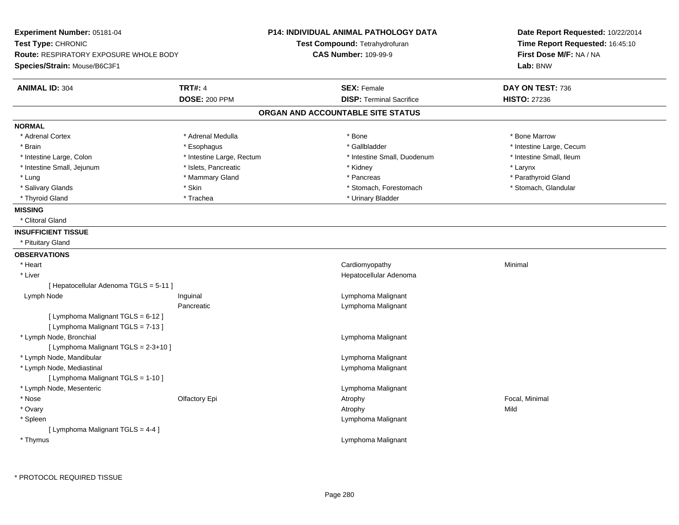| Experiment Number: 05181-04<br>Test Type: CHRONIC<br>Route: RESPIRATORY EXPOSURE WHOLE BODY<br>Species/Strain: Mouse/B6C3F1 |                           | P14: INDIVIDUAL ANIMAL PATHOLOGY DATA<br>Test Compound: Tetrahydrofuran<br><b>CAS Number: 109-99-9</b> | Date Report Requested: 10/22/2014<br>Time Report Requested: 16:45:10<br>First Dose M/F: NA / NA<br>Lab: BNW |
|-----------------------------------------------------------------------------------------------------------------------------|---------------------------|--------------------------------------------------------------------------------------------------------|-------------------------------------------------------------------------------------------------------------|
| <b>ANIMAL ID: 304</b>                                                                                                       | <b>TRT#: 4</b>            | <b>SEX: Female</b>                                                                                     | DAY ON TEST: 736                                                                                            |
|                                                                                                                             | <b>DOSE: 200 PPM</b>      | <b>DISP: Terminal Sacrifice</b>                                                                        | <b>HISTO: 27236</b>                                                                                         |
|                                                                                                                             |                           | ORGAN AND ACCOUNTABLE SITE STATUS                                                                      |                                                                                                             |
| <b>NORMAL</b>                                                                                                               |                           |                                                                                                        |                                                                                                             |
| * Adrenal Cortex                                                                                                            | * Adrenal Medulla         | * Bone                                                                                                 | * Bone Marrow                                                                                               |
| * Brain                                                                                                                     | * Esophagus               | * Gallbladder                                                                                          | * Intestine Large, Cecum                                                                                    |
| * Intestine Large, Colon                                                                                                    | * Intestine Large, Rectum | * Intestine Small, Duodenum                                                                            | * Intestine Small, Ileum                                                                                    |
| * Intestine Small, Jejunum                                                                                                  | * Islets, Pancreatic      | * Kidney                                                                                               | * Larynx                                                                                                    |
| * Lung                                                                                                                      | * Mammary Gland           | * Pancreas                                                                                             | * Parathyroid Gland                                                                                         |
| * Salivary Glands                                                                                                           | * Skin                    | * Stomach, Forestomach                                                                                 | * Stomach, Glandular                                                                                        |
| * Thyroid Gland                                                                                                             | * Trachea                 | * Urinary Bladder                                                                                      |                                                                                                             |
| <b>MISSING</b>                                                                                                              |                           |                                                                                                        |                                                                                                             |
| * Clitoral Gland                                                                                                            |                           |                                                                                                        |                                                                                                             |
| <b>INSUFFICIENT TISSUE</b>                                                                                                  |                           |                                                                                                        |                                                                                                             |
| * Pituitary Gland                                                                                                           |                           |                                                                                                        |                                                                                                             |
| <b>OBSERVATIONS</b>                                                                                                         |                           |                                                                                                        |                                                                                                             |
| * Heart                                                                                                                     |                           | Cardiomyopathy                                                                                         | Minimal                                                                                                     |
| * Liver                                                                                                                     |                           | Hepatocellular Adenoma                                                                                 |                                                                                                             |
| [ Hepatocellular Adenoma TGLS = 5-11 ]                                                                                      |                           |                                                                                                        |                                                                                                             |
| Lymph Node                                                                                                                  | Inguinal                  | Lymphoma Malignant                                                                                     |                                                                                                             |
|                                                                                                                             | Pancreatic                | Lymphoma Malignant                                                                                     |                                                                                                             |
| [ Lymphoma Malignant TGLS = 6-12 ]<br>[ Lymphoma Malignant TGLS = 7-13 ]                                                    |                           |                                                                                                        |                                                                                                             |
| * Lymph Node, Bronchial                                                                                                     |                           | Lymphoma Malignant                                                                                     |                                                                                                             |
| [ Lymphoma Malignant TGLS = 2-3+10 ]                                                                                        |                           |                                                                                                        |                                                                                                             |
| * Lymph Node, Mandibular                                                                                                    |                           | Lymphoma Malignant                                                                                     |                                                                                                             |
| * Lymph Node, Mediastinal                                                                                                   |                           | Lymphoma Malignant                                                                                     |                                                                                                             |
| [ Lymphoma Malignant TGLS = 1-10 ]                                                                                          |                           |                                                                                                        |                                                                                                             |
| * Lymph Node, Mesenteric                                                                                                    |                           | Lymphoma Malignant                                                                                     |                                                                                                             |
| * Nose                                                                                                                      | Olfactory Epi             | Atrophy                                                                                                | Focal, Minimal                                                                                              |
| * Ovary                                                                                                                     |                           | Atrophy                                                                                                | Mild                                                                                                        |
| * Spleen                                                                                                                    |                           | Lymphoma Malignant                                                                                     |                                                                                                             |
| [ Lymphoma Malignant TGLS = 4-4 ]                                                                                           |                           |                                                                                                        |                                                                                                             |
| * Thymus                                                                                                                    |                           | Lymphoma Malignant                                                                                     |                                                                                                             |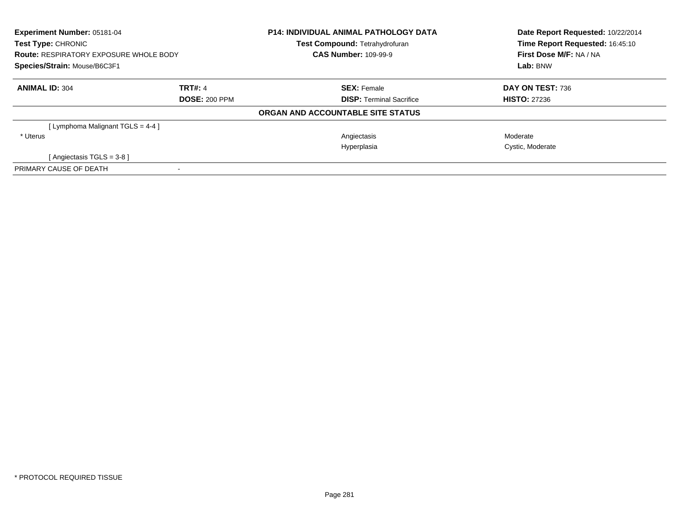| Experiment Number: 05181-04<br>Test Type: CHRONIC<br><b>Route: RESPIRATORY EXPOSURE WHOLE BODY</b><br>Species/Strain: Mouse/B6C3F1 |  | <b>P14: INDIVIDUAL ANIMAL PATHOLOGY DATA</b><br>Test Compound: Tetrahydrofuran | Date Report Requested: 10/22/2014<br>Time Report Requested: 16:45:10 |
|------------------------------------------------------------------------------------------------------------------------------------|--|--------------------------------------------------------------------------------|----------------------------------------------------------------------|
|                                                                                                                                    |  | <b>CAS Number: 109-99-9</b>                                                    | First Dose M/F: NA / NA                                              |
|                                                                                                                                    |  |                                                                                | Lab: BNW                                                             |
| <b>ANIMAL ID: 304</b><br><b>TRT#: 4</b>                                                                                            |  | <b>SEX: Female</b>                                                             | DAY ON TEST: 736                                                     |
| <b>DOSE: 200 PPM</b>                                                                                                               |  | <b>DISP: Terminal Sacrifice</b>                                                | <b>HISTO: 27236</b>                                                  |
|                                                                                                                                    |  | ORGAN AND ACCOUNTABLE SITE STATUS                                              |                                                                      |
| [ Lymphoma Malignant TGLS = 4-4 ]                                                                                                  |  |                                                                                |                                                                      |
| * Uterus                                                                                                                           |  | Angiectasis                                                                    | Moderate                                                             |
|                                                                                                                                    |  | Hyperplasia                                                                    | Cystic, Moderate                                                     |
| [Angiectasis TGLS = $3-8$ ]                                                                                                        |  |                                                                                |                                                                      |
| PRIMARY CAUSE OF DEATH                                                                                                             |  |                                                                                |                                                                      |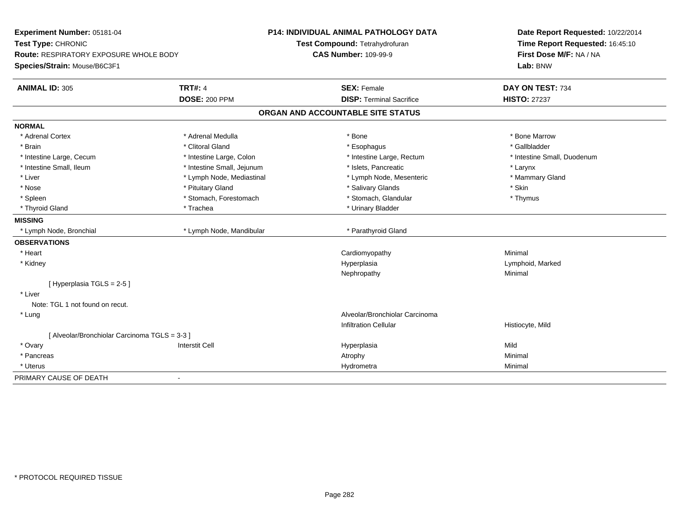| Experiment Number: 05181-04                   |                            | P14: INDIVIDUAL ANIMAL PATHOLOGY DATA | Date Report Requested: 10/22/2014 |
|-----------------------------------------------|----------------------------|---------------------------------------|-----------------------------------|
| Test Type: CHRONIC                            |                            | Test Compound: Tetrahydrofuran        | Time Report Requested: 16:45:10   |
| <b>Route: RESPIRATORY EXPOSURE WHOLE BODY</b> |                            | <b>CAS Number: 109-99-9</b>           | First Dose M/F: NA / NA           |
| Species/Strain: Mouse/B6C3F1                  |                            |                                       | Lab: BNW                          |
| <b>ANIMAL ID: 305</b>                         | <b>TRT#: 4</b>             | <b>SEX: Female</b>                    | DAY ON TEST: 734                  |
|                                               | <b>DOSE: 200 PPM</b>       | <b>DISP: Terminal Sacrifice</b>       | <b>HISTO: 27237</b>               |
|                                               |                            | ORGAN AND ACCOUNTABLE SITE STATUS     |                                   |
| <b>NORMAL</b>                                 |                            |                                       |                                   |
| * Adrenal Cortex                              | * Adrenal Medulla          | * Bone                                | * Bone Marrow                     |
| * Brain                                       | * Clitoral Gland           | * Esophagus                           | * Gallbladder                     |
| * Intestine Large, Cecum                      | * Intestine Large, Colon   | * Intestine Large, Rectum             | * Intestine Small, Duodenum       |
| * Intestine Small, Ileum                      | * Intestine Small, Jejunum | * Islets, Pancreatic                  | * Larynx                          |
| * Liver                                       | * Lymph Node, Mediastinal  | * Lymph Node, Mesenteric              | * Mammary Gland                   |
| * Nose                                        | * Pituitary Gland          | * Salivary Glands                     | * Skin                            |
| * Spleen                                      | * Stomach, Forestomach     | * Stomach, Glandular                  | * Thymus                          |
| * Thyroid Gland                               | * Trachea                  | * Urinary Bladder                     |                                   |
| <b>MISSING</b>                                |                            |                                       |                                   |
| * Lymph Node, Bronchial                       | * Lymph Node, Mandibular   | * Parathyroid Gland                   |                                   |
| <b>OBSERVATIONS</b>                           |                            |                                       |                                   |
| * Heart                                       |                            | Cardiomyopathy                        | Minimal                           |
| * Kidney                                      |                            | Hyperplasia                           | Lymphoid, Marked                  |
|                                               |                            | Nephropathy                           | Minimal                           |
| [Hyperplasia TGLS = 2-5]                      |                            |                                       |                                   |
| * Liver                                       |                            |                                       |                                   |
| Note: TGL 1 not found on recut.               |                            |                                       |                                   |
| * Lung                                        |                            | Alveolar/Bronchiolar Carcinoma        |                                   |
|                                               |                            | <b>Infiltration Cellular</b>          | Histiocyte, Mild                  |
| [ Alveolar/Bronchiolar Carcinoma TGLS = 3-3 ] |                            |                                       |                                   |
| * Ovary                                       | <b>Interstit Cell</b>      | Hyperplasia                           | Mild                              |
| * Pancreas                                    |                            | Atrophy                               | Minimal                           |
| * Uterus                                      |                            | Hydrometra                            | Minimal                           |
| PRIMARY CAUSE OF DEATH<br>$\blacksquare$      |                            |                                       |                                   |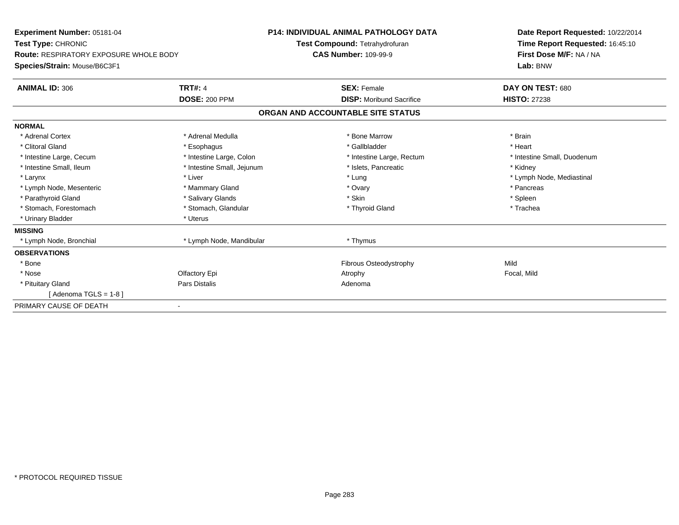| <b>Experiment Number: 05181-04</b><br>Test Type: CHRONIC |                            | <b>P14: INDIVIDUAL ANIMAL PATHOLOGY DATA</b><br>Test Compound: Tetrahydrofuran | Date Report Requested: 10/22/2014<br>Time Report Requested: 16:45:10 |
|----------------------------------------------------------|----------------------------|--------------------------------------------------------------------------------|----------------------------------------------------------------------|
| <b>Route: RESPIRATORY EXPOSURE WHOLE BODY</b>            |                            | <b>CAS Number: 109-99-9</b>                                                    | First Dose M/F: NA / NA                                              |
| Species/Strain: Mouse/B6C3F1                             |                            |                                                                                | Lab: BNW                                                             |
| <b>ANIMAL ID: 306</b>                                    | <b>TRT#: 4</b>             | <b>SEX: Female</b>                                                             | DAY ON TEST: 680                                                     |
|                                                          | <b>DOSE: 200 PPM</b>       | <b>DISP:</b> Moribund Sacrifice                                                | <b>HISTO: 27238</b>                                                  |
|                                                          |                            | ORGAN AND ACCOUNTABLE SITE STATUS                                              |                                                                      |
| <b>NORMAL</b>                                            |                            |                                                                                |                                                                      |
| * Adrenal Cortex                                         | * Adrenal Medulla          | * Bone Marrow                                                                  | * Brain                                                              |
| * Clitoral Gland                                         | * Esophagus                | * Gallbladder                                                                  | * Heart                                                              |
| * Intestine Large, Cecum                                 | * Intestine Large, Colon   | * Intestine Large, Rectum                                                      | * Intestine Small, Duodenum                                          |
| * Intestine Small, Ileum                                 | * Intestine Small, Jejunum | * Islets. Pancreatic                                                           | * Kidney                                                             |
| * Larynx                                                 | * Liver                    | * Lung                                                                         | * Lymph Node, Mediastinal                                            |
| * Lymph Node, Mesenteric                                 | * Mammary Gland            | * Ovary                                                                        | * Pancreas                                                           |
| * Parathyroid Gland                                      | * Salivary Glands          | * Skin                                                                         | * Spleen                                                             |
| * Stomach, Forestomach                                   | * Stomach, Glandular       | * Thyroid Gland                                                                | * Trachea                                                            |
| * Urinary Bladder                                        | * Uterus                   |                                                                                |                                                                      |
| <b>MISSING</b>                                           |                            |                                                                                |                                                                      |
| * Lymph Node, Bronchial                                  | * Lymph Node, Mandibular   | * Thymus                                                                       |                                                                      |
| <b>OBSERVATIONS</b>                                      |                            |                                                                                |                                                                      |
| * Bone                                                   |                            | Fibrous Osteodystrophy                                                         | Mild                                                                 |
| * Nose                                                   | Olfactory Epi              | Atrophy                                                                        | Focal, Mild                                                          |
| * Pituitary Gland                                        | <b>Pars Distalis</b>       | Adenoma                                                                        |                                                                      |
| [Adenoma TGLS = $1-8$ ]                                  |                            |                                                                                |                                                                      |
| PRIMARY CAUSE OF DEATH                                   |                            |                                                                                |                                                                      |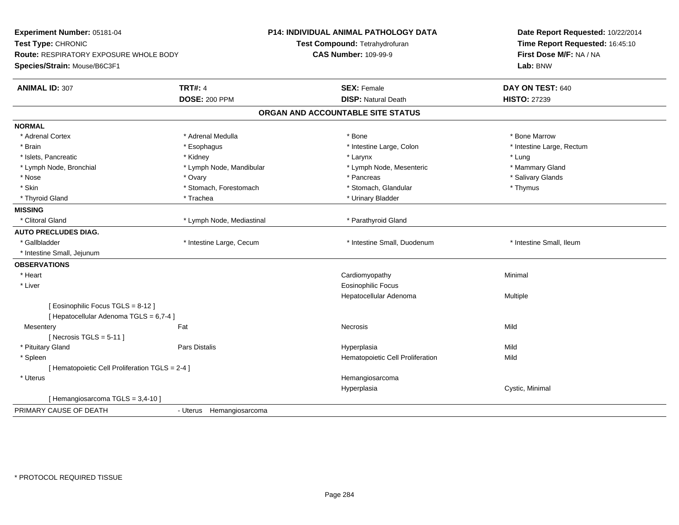| Experiment Number: 05181-04<br>Test Type: CHRONIC<br>Route: RESPIRATORY EXPOSURE WHOLE BODY<br>Species/Strain: Mouse/B6C3F1 |                           | <b>P14: INDIVIDUAL ANIMAL PATHOLOGY DATA</b><br>Test Compound: Tetrahydrofuran<br><b>CAS Number: 109-99-9</b> | Date Report Requested: 10/22/2014<br>Time Report Requested: 16:45:10<br>First Dose M/F: NA / NA<br>Lab: BNW |
|-----------------------------------------------------------------------------------------------------------------------------|---------------------------|---------------------------------------------------------------------------------------------------------------|-------------------------------------------------------------------------------------------------------------|
| <b>ANIMAL ID: 307</b>                                                                                                       | <b>TRT#: 4</b>            | <b>SEX: Female</b>                                                                                            | DAY ON TEST: 640                                                                                            |
|                                                                                                                             | <b>DOSE: 200 PPM</b>      | <b>DISP: Natural Death</b>                                                                                    | <b>HISTO: 27239</b>                                                                                         |
|                                                                                                                             |                           | ORGAN AND ACCOUNTABLE SITE STATUS                                                                             |                                                                                                             |
| <b>NORMAL</b>                                                                                                               |                           |                                                                                                               |                                                                                                             |
| * Adrenal Cortex                                                                                                            | * Adrenal Medulla         | * Bone                                                                                                        | * Bone Marrow                                                                                               |
| * Brain                                                                                                                     | * Esophagus               | * Intestine Large, Colon                                                                                      | * Intestine Large, Rectum                                                                                   |
| * Islets, Pancreatic                                                                                                        | * Kidney                  | * Larynx                                                                                                      | * Lung                                                                                                      |
| * Lymph Node, Bronchial                                                                                                     | * Lymph Node, Mandibular  | * Lymph Node, Mesenteric                                                                                      | * Mammary Gland                                                                                             |
| * Nose                                                                                                                      | * Ovary                   | * Pancreas                                                                                                    | * Salivary Glands                                                                                           |
| * Skin                                                                                                                      | * Stomach, Forestomach    | * Stomach, Glandular                                                                                          | * Thymus                                                                                                    |
| * Thyroid Gland                                                                                                             | * Trachea                 | * Urinary Bladder                                                                                             |                                                                                                             |
| <b>MISSING</b>                                                                                                              |                           |                                                                                                               |                                                                                                             |
| * Clitoral Gland                                                                                                            | * Lymph Node, Mediastinal | * Parathyroid Gland                                                                                           |                                                                                                             |
| <b>AUTO PRECLUDES DIAG.</b>                                                                                                 |                           |                                                                                                               |                                                                                                             |
| * Gallbladder                                                                                                               | * Intestine Large, Cecum  | * Intestine Small, Duodenum                                                                                   | * Intestine Small, Ileum                                                                                    |
| * Intestine Small, Jejunum                                                                                                  |                           |                                                                                                               |                                                                                                             |
| <b>OBSERVATIONS</b>                                                                                                         |                           |                                                                                                               |                                                                                                             |
| * Heart                                                                                                                     |                           | Cardiomyopathy                                                                                                | Minimal                                                                                                     |
| * Liver                                                                                                                     |                           | <b>Eosinophilic Focus</b>                                                                                     |                                                                                                             |
|                                                                                                                             |                           | Hepatocellular Adenoma                                                                                        | Multiple                                                                                                    |
| [ Eosinophilic Focus TGLS = 8-12 ]                                                                                          |                           |                                                                                                               |                                                                                                             |
| [ Hepatocellular Adenoma TGLS = 6,7-4 ]                                                                                     |                           |                                                                                                               |                                                                                                             |
| Mesentery                                                                                                                   | Fat                       | <b>Necrosis</b>                                                                                               | Mild                                                                                                        |
| [Necrosis TGLS = $5-11$ ]                                                                                                   |                           |                                                                                                               |                                                                                                             |
| * Pituitary Gland                                                                                                           | Pars Distalis             | Hyperplasia                                                                                                   | Mild                                                                                                        |
| * Spleen                                                                                                                    |                           | Hematopoietic Cell Proliferation                                                                              | Mild                                                                                                        |
| [ Hematopoietic Cell Proliferation TGLS = 2-4 ]                                                                             |                           |                                                                                                               |                                                                                                             |
| * Uterus                                                                                                                    |                           | Hemangiosarcoma                                                                                               |                                                                                                             |
|                                                                                                                             |                           | Hyperplasia                                                                                                   | Cystic, Minimal                                                                                             |
| [Hemangiosarcoma TGLS = 3,4-10]                                                                                             |                           |                                                                                                               |                                                                                                             |
| PRIMARY CAUSE OF DEATH                                                                                                      | - Uterus Hemangiosarcoma  |                                                                                                               |                                                                                                             |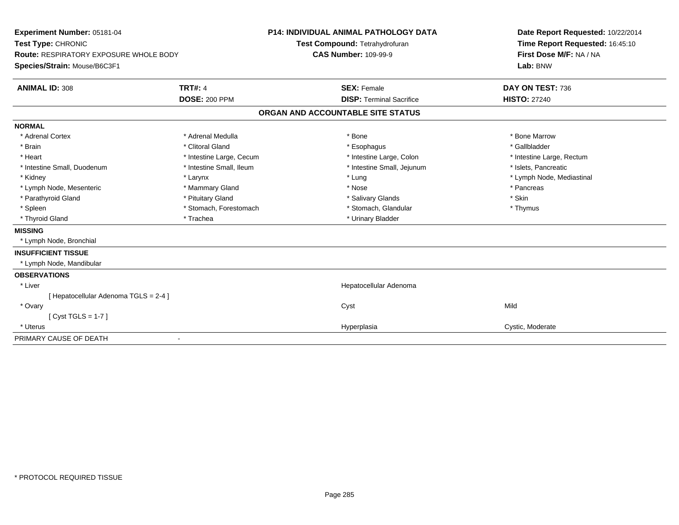| Experiment Number: 05181-04<br>Test Type: CHRONIC |                          | <b>P14: INDIVIDUAL ANIMAL PATHOLOGY DATA</b><br>Test Compound: Tetrahydrofuran |                                   | Date Report Requested: 10/22/2014<br>Time Report Requested: 16:45:10 |  |
|---------------------------------------------------|--------------------------|--------------------------------------------------------------------------------|-----------------------------------|----------------------------------------------------------------------|--|
| Route: RESPIRATORY EXPOSURE WHOLE BODY            |                          | <b>CAS Number: 109-99-9</b>                                                    |                                   | First Dose M/F: NA / NA                                              |  |
| Species/Strain: Mouse/B6C3F1                      |                          |                                                                                |                                   | Lab: BNW                                                             |  |
| <b>ANIMAL ID: 308</b>                             | <b>TRT#: 4</b>           |                                                                                | <b>SEX: Female</b>                | DAY ON TEST: 736                                                     |  |
|                                                   | <b>DOSE: 200 PPM</b>     |                                                                                | <b>DISP: Terminal Sacrifice</b>   | <b>HISTO: 27240</b>                                                  |  |
|                                                   |                          |                                                                                | ORGAN AND ACCOUNTABLE SITE STATUS |                                                                      |  |
| <b>NORMAL</b>                                     |                          |                                                                                |                                   |                                                                      |  |
| * Adrenal Cortex                                  | * Adrenal Medulla        |                                                                                | * Bone                            | * Bone Marrow                                                        |  |
| * Brain                                           | * Clitoral Gland         |                                                                                | * Esophagus                       | * Gallbladder                                                        |  |
| * Heart                                           | * Intestine Large, Cecum |                                                                                | * Intestine Large, Colon          | * Intestine Large, Rectum                                            |  |
| * Intestine Small, Duodenum                       | * Intestine Small, Ileum |                                                                                | * Intestine Small, Jejunum        | * Islets, Pancreatic                                                 |  |
| * Kidney                                          | * Larynx                 |                                                                                | * Lung                            | * Lymph Node, Mediastinal                                            |  |
| * Lymph Node, Mesenteric                          | * Mammary Gland          |                                                                                | * Nose                            | * Pancreas                                                           |  |
| * Parathyroid Gland                               | * Pituitary Gland        |                                                                                | * Salivary Glands                 | * Skin                                                               |  |
| * Spleen                                          | * Stomach, Forestomach   |                                                                                | * Stomach, Glandular              | * Thymus                                                             |  |
| * Thyroid Gland                                   | * Trachea                |                                                                                | * Urinary Bladder                 |                                                                      |  |
| <b>MISSING</b>                                    |                          |                                                                                |                                   |                                                                      |  |
| * Lymph Node, Bronchial                           |                          |                                                                                |                                   |                                                                      |  |
| <b>INSUFFICIENT TISSUE</b>                        |                          |                                                                                |                                   |                                                                      |  |
| * Lymph Node, Mandibular                          |                          |                                                                                |                                   |                                                                      |  |
| <b>OBSERVATIONS</b>                               |                          |                                                                                |                                   |                                                                      |  |
| * Liver                                           |                          |                                                                                | Hepatocellular Adenoma            |                                                                      |  |
| [ Hepatocellular Adenoma TGLS = 2-4 ]             |                          |                                                                                |                                   |                                                                      |  |
| * Ovary                                           |                          |                                                                                | Cyst                              | Mild                                                                 |  |
| $[Cyst TGLS = 1-7]$                               |                          |                                                                                |                                   |                                                                      |  |
| * Uterus                                          |                          |                                                                                | Hyperplasia                       | Cystic, Moderate                                                     |  |
| PRIMARY CAUSE OF DEATH                            |                          |                                                                                |                                   |                                                                      |  |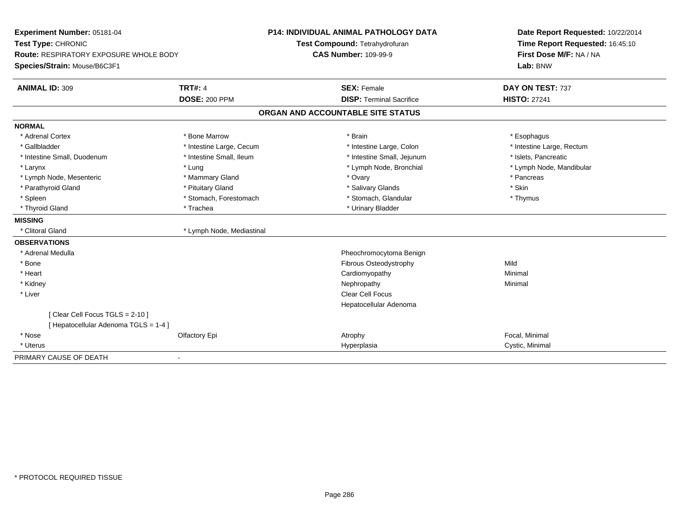| Experiment Number: 05181-04            |                           | <b>P14: INDIVIDUAL ANIMAL PATHOLOGY DATA</b> | Date Report Requested: 10/22/2014 |  |
|----------------------------------------|---------------------------|----------------------------------------------|-----------------------------------|--|
| Test Type: CHRONIC                     |                           | Test Compound: Tetrahydrofuran               | Time Report Requested: 16:45:10   |  |
| Route: RESPIRATORY EXPOSURE WHOLE BODY |                           | <b>CAS Number: 109-99-9</b>                  | First Dose M/F: NA / NA           |  |
| Species/Strain: Mouse/B6C3F1           |                           |                                              | Lab: BNW                          |  |
| <b>ANIMAL ID: 309</b>                  | <b>TRT#: 4</b>            | <b>SEX: Female</b>                           | DAY ON TEST: 737                  |  |
|                                        | <b>DOSE: 200 PPM</b>      | <b>DISP: Terminal Sacrifice</b>              | <b>HISTO: 27241</b>               |  |
|                                        |                           | ORGAN AND ACCOUNTABLE SITE STATUS            |                                   |  |
| <b>NORMAL</b>                          |                           |                                              |                                   |  |
| * Adrenal Cortex                       | * Bone Marrow             | * Brain                                      | * Esophagus                       |  |
| * Gallbladder                          | * Intestine Large, Cecum  | * Intestine Large, Colon                     | * Intestine Large, Rectum         |  |
| * Intestine Small, Duodenum            | * Intestine Small, Ileum  | * Intestine Small, Jejunum                   | * Islets, Pancreatic              |  |
| * Larynx                               | * Lung                    | * Lymph Node, Bronchial                      | * Lymph Node, Mandibular          |  |
| * Lymph Node, Mesenteric               | * Mammary Gland           | * Ovary                                      | * Pancreas                        |  |
| * Parathyroid Gland                    | * Pituitary Gland         | * Salivary Glands                            | * Skin                            |  |
| * Spleen                               | * Stomach, Forestomach    | * Stomach, Glandular                         | * Thymus                          |  |
| * Thyroid Gland                        | * Trachea                 | * Urinary Bladder                            |                                   |  |
| <b>MISSING</b>                         |                           |                                              |                                   |  |
| * Clitoral Gland                       | * Lymph Node, Mediastinal |                                              |                                   |  |
| <b>OBSERVATIONS</b>                    |                           |                                              |                                   |  |
| * Adrenal Medulla                      |                           | Pheochromocytoma Benign                      |                                   |  |
| * Bone                                 |                           | Fibrous Osteodystrophy                       | Mild                              |  |
| * Heart                                |                           | Cardiomyopathy                               | Minimal                           |  |
| * Kidney                               |                           | Nephropathy                                  | Minimal                           |  |
| * Liver                                |                           | <b>Clear Cell Focus</b>                      |                                   |  |
|                                        |                           | Hepatocellular Adenoma                       |                                   |  |
| [Clear Cell Focus TGLS = 2-10]         |                           |                                              |                                   |  |
| [ Hepatocellular Adenoma TGLS = 1-4 ]  |                           |                                              |                                   |  |
| * Nose                                 | Olfactory Epi             | Atrophy                                      | Focal, Minimal                    |  |
| * Uterus                               |                           | Hyperplasia                                  | Cystic, Minimal                   |  |
| PRIMARY CAUSE OF DEATH                 | $\blacksquare$            |                                              |                                   |  |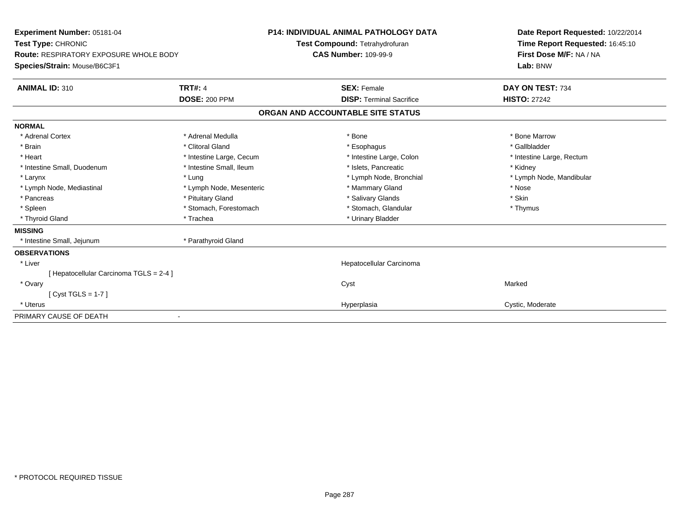| Experiment Number: 05181-04<br>Test Type: CHRONIC<br>Route: RESPIRATORY EXPOSURE WHOLE BODY<br>Species/Strain: Mouse/B6C3F1                                                  |                                                                                                                                                                                                 | <b>P14: INDIVIDUAL ANIMAL PATHOLOGY DATA</b><br>Test Compound: Tetrahydrofuran<br><b>CAS Number: 109-99-9</b>                                                                             | Date Report Requested: 10/22/2014<br>Time Report Requested: 16:45:10<br>First Dose M/F: NA / NA<br>Lab: BNW                         |
|------------------------------------------------------------------------------------------------------------------------------------------------------------------------------|-------------------------------------------------------------------------------------------------------------------------------------------------------------------------------------------------|-------------------------------------------------------------------------------------------------------------------------------------------------------------------------------------------|-------------------------------------------------------------------------------------------------------------------------------------|
| <b>ANIMAL ID: 310</b>                                                                                                                                                        | <b>TRT#: 4</b><br><b>DOSE: 200 PPM</b>                                                                                                                                                          | <b>SEX: Female</b><br><b>DISP: Terminal Sacrifice</b>                                                                                                                                     | DAY ON TEST: 734<br><b>HISTO: 27242</b>                                                                                             |
|                                                                                                                                                                              |                                                                                                                                                                                                 | ORGAN AND ACCOUNTABLE SITE STATUS                                                                                                                                                         |                                                                                                                                     |
| <b>NORMAL</b><br>* Adrenal Cortex<br>* Brain<br>* Heart<br>* Intestine Small, Duodenum<br>* Larynx<br>* Lymph Node, Mediastinal<br>* Pancreas<br>* Spleen<br>* Thyroid Gland | * Adrenal Medulla<br>* Clitoral Gland<br>* Intestine Large, Cecum<br>* Intestine Small, Ileum<br>* Lung<br>* Lymph Node, Mesenteric<br>* Pituitary Gland<br>* Stomach, Forestomach<br>* Trachea | * Bone<br>* Esophagus<br>* Intestine Large, Colon<br>* Islets. Pancreatic<br>* Lymph Node, Bronchial<br>* Mammary Gland<br>* Salivary Glands<br>* Stomach, Glandular<br>* Urinary Bladder | * Bone Marrow<br>* Gallbladder<br>* Intestine Large, Rectum<br>* Kidney<br>* Lymph Node, Mandibular<br>* Nose<br>* Skin<br>* Thymus |
| <b>MISSING</b>                                                                                                                                                               |                                                                                                                                                                                                 |                                                                                                                                                                                           |                                                                                                                                     |
| * Intestine Small, Jejunum                                                                                                                                                   | * Parathyroid Gland                                                                                                                                                                             |                                                                                                                                                                                           |                                                                                                                                     |
| <b>OBSERVATIONS</b><br>* Liver<br>[ Hepatocellular Carcinoma TGLS = 2-4 ]                                                                                                    |                                                                                                                                                                                                 | Hepatocellular Carcinoma                                                                                                                                                                  |                                                                                                                                     |
| * Ovary<br>$Cvst TGLS = 1-7$                                                                                                                                                 |                                                                                                                                                                                                 | Cyst                                                                                                                                                                                      | Marked                                                                                                                              |
| * Uterus                                                                                                                                                                     |                                                                                                                                                                                                 | Hyperplasia                                                                                                                                                                               | Cystic, Moderate                                                                                                                    |
| PRIMARY CAUSE OF DEATH                                                                                                                                                       |                                                                                                                                                                                                 |                                                                                                                                                                                           |                                                                                                                                     |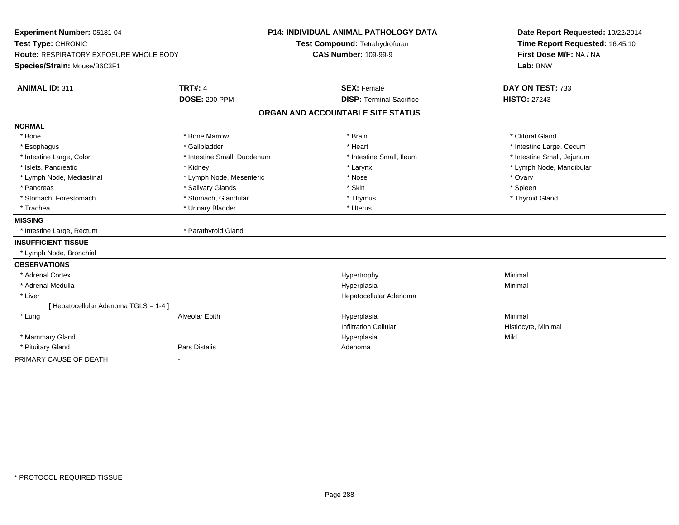| Experiment Number: 05181-04<br>Test Type: CHRONIC<br><b>Route: RESPIRATORY EXPOSURE WHOLE BODY</b><br>Species/Strain: Mouse/B6C3F1 |                             | <b>P14: INDIVIDUAL ANIMAL PATHOLOGY DATA</b><br>Test Compound: Tetrahydrofuran<br><b>CAS Number: 109-99-9</b> |                                 | Date Report Requested: 10/22/2014<br>Time Report Requested: 16:45:10<br>First Dose M/F: NA / NA<br>Lab: BNW |  |
|------------------------------------------------------------------------------------------------------------------------------------|-----------------------------|---------------------------------------------------------------------------------------------------------------|---------------------------------|-------------------------------------------------------------------------------------------------------------|--|
|                                                                                                                                    |                             |                                                                                                               |                                 |                                                                                                             |  |
|                                                                                                                                    | <b>DOSE: 200 PPM</b>        |                                                                                                               | <b>DISP: Terminal Sacrifice</b> | <b>HISTO: 27243</b>                                                                                         |  |
|                                                                                                                                    |                             | ORGAN AND ACCOUNTABLE SITE STATUS                                                                             |                                 |                                                                                                             |  |
| <b>NORMAL</b>                                                                                                                      |                             |                                                                                                               |                                 |                                                                                                             |  |
| * Bone                                                                                                                             | * Bone Marrow               | * Brain                                                                                                       |                                 | * Clitoral Gland                                                                                            |  |
| * Esophagus                                                                                                                        | * Gallbladder               | * Heart                                                                                                       |                                 | * Intestine Large, Cecum                                                                                    |  |
| * Intestine Large, Colon                                                                                                           | * Intestine Small, Duodenum |                                                                                                               | * Intestine Small, Ileum        | * Intestine Small, Jejunum                                                                                  |  |
| * Islets, Pancreatic                                                                                                               | * Kidney                    | * Larynx                                                                                                      |                                 | * Lymph Node, Mandibular                                                                                    |  |
| * Lymph Node, Mediastinal                                                                                                          | * Lymph Node, Mesenteric    | * Nose                                                                                                        |                                 | * Ovary                                                                                                     |  |
| * Pancreas                                                                                                                         | * Salivary Glands           | * Skin                                                                                                        |                                 | * Spleen                                                                                                    |  |
| * Stomach, Forestomach                                                                                                             | * Stomach, Glandular        | * Thymus                                                                                                      |                                 | * Thyroid Gland                                                                                             |  |
| * Trachea                                                                                                                          | * Urinary Bladder           | * Uterus                                                                                                      |                                 |                                                                                                             |  |
| <b>MISSING</b>                                                                                                                     |                             |                                                                                                               |                                 |                                                                                                             |  |
| * Intestine Large, Rectum                                                                                                          | * Parathyroid Gland         |                                                                                                               |                                 |                                                                                                             |  |
| <b>INSUFFICIENT TISSUE</b>                                                                                                         |                             |                                                                                                               |                                 |                                                                                                             |  |
| * Lymph Node, Bronchial                                                                                                            |                             |                                                                                                               |                                 |                                                                                                             |  |
| <b>OBSERVATIONS</b>                                                                                                                |                             |                                                                                                               |                                 |                                                                                                             |  |
| * Adrenal Cortex                                                                                                                   |                             | Hypertrophy                                                                                                   |                                 | Minimal                                                                                                     |  |
| * Adrenal Medulla                                                                                                                  |                             | Hyperplasia                                                                                                   |                                 | Minimal                                                                                                     |  |
| * Liver                                                                                                                            |                             |                                                                                                               | Hepatocellular Adenoma          |                                                                                                             |  |
| [ Hepatocellular Adenoma TGLS = 1-4 ]                                                                                              |                             |                                                                                                               |                                 |                                                                                                             |  |
| * Lung                                                                                                                             | Alveolar Epith              | Hyperplasia                                                                                                   |                                 | Minimal                                                                                                     |  |
|                                                                                                                                    |                             | <b>Infiltration Cellular</b>                                                                                  |                                 | Histiocyte, Minimal                                                                                         |  |
| * Mammary Gland                                                                                                                    |                             | Hyperplasia                                                                                                   |                                 | Mild                                                                                                        |  |
| * Pituitary Gland                                                                                                                  | <b>Pars Distalis</b>        | Adenoma                                                                                                       |                                 |                                                                                                             |  |
| PRIMARY CAUSE OF DEATH                                                                                                             | $\blacksquare$              |                                                                                                               |                                 |                                                                                                             |  |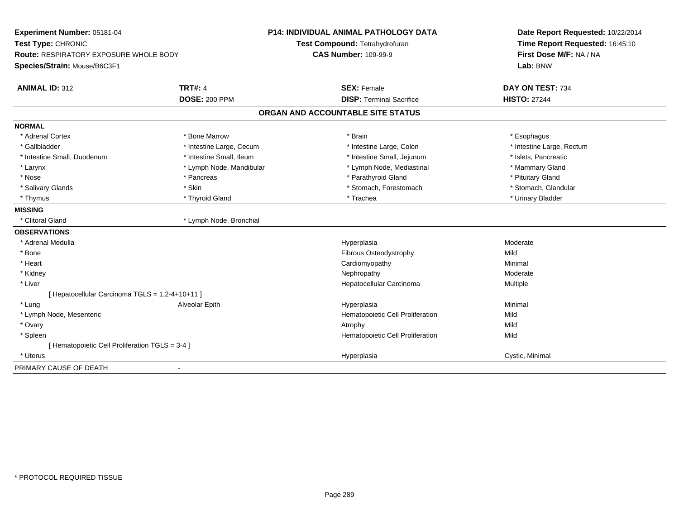| Experiment Number: 05181-04<br>Test Type: CHRONIC<br><b>Route: RESPIRATORY EXPOSURE WHOLE BODY</b><br>Species/Strain: Mouse/B6C3F1 |                          | <b>P14: INDIVIDUAL ANIMAL PATHOLOGY DATA</b><br>Test Compound: Tetrahydrofuran<br><b>CAS Number: 109-99-9</b> | Date Report Requested: 10/22/2014<br>Time Report Requested: 16:45:10<br>First Dose M/F: NA / NA<br>Lab: BNW |
|------------------------------------------------------------------------------------------------------------------------------------|--------------------------|---------------------------------------------------------------------------------------------------------------|-------------------------------------------------------------------------------------------------------------|
| <b>ANIMAL ID: 312</b>                                                                                                              | <b>TRT#: 4</b>           | <b>SEX: Female</b>                                                                                            | DAY ON TEST: 734                                                                                            |
|                                                                                                                                    | <b>DOSE: 200 PPM</b>     | <b>DISP: Terminal Sacrifice</b>                                                                               | <b>HISTO: 27244</b>                                                                                         |
|                                                                                                                                    |                          | ORGAN AND ACCOUNTABLE SITE STATUS                                                                             |                                                                                                             |
| <b>NORMAL</b>                                                                                                                      |                          |                                                                                                               |                                                                                                             |
| * Adrenal Cortex                                                                                                                   | * Bone Marrow            | * Brain                                                                                                       | * Esophagus                                                                                                 |
| * Gallbladder                                                                                                                      | * Intestine Large, Cecum | * Intestine Large, Colon                                                                                      | * Intestine Large, Rectum                                                                                   |
| * Intestine Small, Duodenum                                                                                                        | * Intestine Small, Ileum | * Intestine Small, Jejunum                                                                                    | * Islets, Pancreatic                                                                                        |
| * Larynx                                                                                                                           | * Lymph Node, Mandibular | * Lymph Node, Mediastinal                                                                                     | * Mammary Gland                                                                                             |
| * Nose                                                                                                                             | * Pancreas               | * Parathyroid Gland                                                                                           | * Pituitary Gland                                                                                           |
| * Salivary Glands                                                                                                                  | * Skin                   | * Stomach, Forestomach                                                                                        | * Stomach, Glandular                                                                                        |
| * Thymus                                                                                                                           | * Thyroid Gland          | * Trachea                                                                                                     | * Urinary Bladder                                                                                           |
| <b>MISSING</b>                                                                                                                     |                          |                                                                                                               |                                                                                                             |
| * Clitoral Gland                                                                                                                   | * Lymph Node, Bronchial  |                                                                                                               |                                                                                                             |
| <b>OBSERVATIONS</b>                                                                                                                |                          |                                                                                                               |                                                                                                             |
| * Adrenal Medulla                                                                                                                  |                          | Hyperplasia                                                                                                   | Moderate                                                                                                    |
| * Bone                                                                                                                             |                          | <b>Fibrous Osteodystrophy</b>                                                                                 | Mild                                                                                                        |
| * Heart                                                                                                                            |                          | Cardiomyopathy                                                                                                | Minimal                                                                                                     |
| * Kidney                                                                                                                           |                          | Nephropathy                                                                                                   | Moderate                                                                                                    |
| * Liver                                                                                                                            |                          | Hepatocellular Carcinoma                                                                                      | Multiple                                                                                                    |
| [ Hepatocellular Carcinoma TGLS = 1,2-4+10+11 ]                                                                                    |                          |                                                                                                               |                                                                                                             |
| * Lung                                                                                                                             | Alveolar Epith           | Hyperplasia                                                                                                   | Minimal                                                                                                     |
| * Lymph Node, Mesenteric                                                                                                           |                          | Hematopoietic Cell Proliferation                                                                              | Mild                                                                                                        |
| * Ovary                                                                                                                            |                          | Atrophy                                                                                                       | Mild                                                                                                        |
| * Spleen                                                                                                                           |                          | Hematopoietic Cell Proliferation                                                                              | Mild                                                                                                        |
| [ Hematopoietic Cell Proliferation TGLS = 3-4 ]                                                                                    |                          |                                                                                                               |                                                                                                             |
| * Uterus                                                                                                                           |                          | Hyperplasia                                                                                                   | Cystic, Minimal                                                                                             |
| PRIMARY CAUSE OF DEATH                                                                                                             |                          |                                                                                                               |                                                                                                             |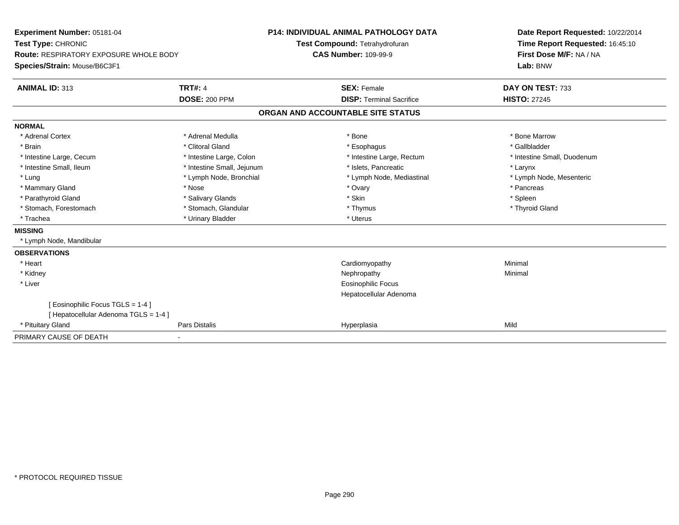| Experiment Number: 05181-04                   |                            | <b>P14: INDIVIDUAL ANIMAL PATHOLOGY DATA</b> | Date Report Requested: 10/22/2014 |
|-----------------------------------------------|----------------------------|----------------------------------------------|-----------------------------------|
| Test Type: CHRONIC                            |                            | Test Compound: Tetrahydrofuran               | Time Report Requested: 16:45:10   |
| <b>Route: RESPIRATORY EXPOSURE WHOLE BODY</b> |                            | <b>CAS Number: 109-99-9</b>                  | First Dose M/F: NA / NA           |
| Species/Strain: Mouse/B6C3F1                  |                            |                                              | Lab: BNW                          |
| <b>ANIMAL ID: 313</b>                         | <b>TRT#: 4</b>             | <b>SEX: Female</b>                           | DAY ON TEST: 733                  |
|                                               | <b>DOSE: 200 PPM</b>       | <b>DISP: Terminal Sacrifice</b>              | <b>HISTO: 27245</b>               |
|                                               |                            | ORGAN AND ACCOUNTABLE SITE STATUS            |                                   |
| <b>NORMAL</b>                                 |                            |                                              |                                   |
| * Adrenal Cortex                              | * Adrenal Medulla          | * Bone                                       | * Bone Marrow                     |
| * Brain                                       | * Clitoral Gland           | * Esophagus                                  | * Gallbladder                     |
| * Intestine Large, Cecum                      | * Intestine Large, Colon   | * Intestine Large, Rectum                    | * Intestine Small, Duodenum       |
| * Intestine Small, Ileum                      | * Intestine Small, Jejunum | * Islets, Pancreatic                         | * Larynx                          |
| * Lung                                        | * Lymph Node, Bronchial    | * Lymph Node, Mediastinal                    | * Lymph Node, Mesenteric          |
| * Mammary Gland                               | * Nose                     | * Ovary                                      | * Pancreas                        |
| * Parathyroid Gland                           | * Salivary Glands          | * Skin                                       | * Spleen                          |
| * Stomach, Forestomach                        | * Stomach, Glandular       | * Thymus                                     | * Thyroid Gland                   |
| * Trachea                                     | * Urinary Bladder          | * Uterus                                     |                                   |
| <b>MISSING</b>                                |                            |                                              |                                   |
| * Lymph Node, Mandibular                      |                            |                                              |                                   |
| <b>OBSERVATIONS</b>                           |                            |                                              |                                   |
| * Heart                                       |                            | Cardiomyopathy                               | Minimal                           |
| * Kidney                                      |                            | Nephropathy                                  | Minimal                           |
| * Liver                                       |                            | <b>Eosinophilic Focus</b>                    |                                   |
|                                               |                            | Hepatocellular Adenoma                       |                                   |
| [ Eosinophilic Focus TGLS = 1-4 ]             |                            |                                              |                                   |
| [ Hepatocellular Adenoma TGLS = 1-4 ]         |                            |                                              |                                   |
| * Pituitary Gland                             | Pars Distalis              | Hyperplasia                                  | Mild                              |
| PRIMARY CAUSE OF DEATH                        |                            |                                              |                                   |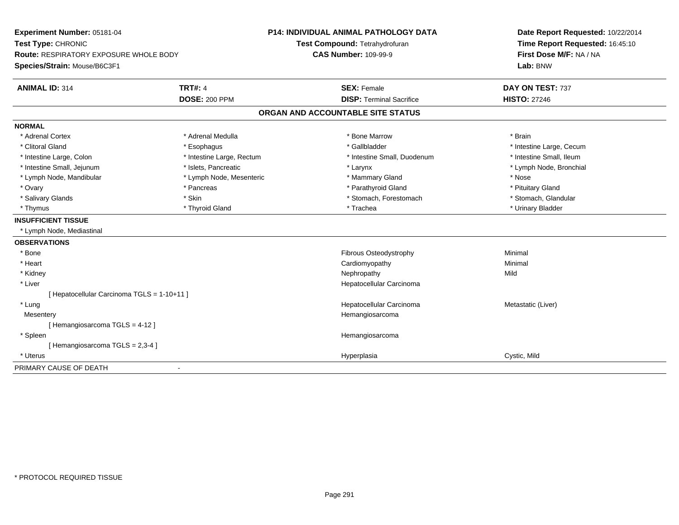| Experiment Number: 05181-04                   |                           | <b>P14: INDIVIDUAL ANIMAL PATHOLOGY DATA</b> | Date Report Requested: 10/22/2014   |
|-----------------------------------------------|---------------------------|----------------------------------------------|-------------------------------------|
| Test Type: CHRONIC                            |                           | Test Compound: Tetrahydrofuran               | Time Report Requested: 16:45:10     |
| <b>Route: RESPIRATORY EXPOSURE WHOLE BODY</b> |                           | <b>CAS Number: 109-99-9</b>                  | First Dose M/F: NA / NA<br>Lab: BNW |
| Species/Strain: Mouse/B6C3F1                  |                           |                                              |                                     |
| <b>ANIMAL ID: 314</b>                         | <b>TRT#: 4</b>            | <b>SEX: Female</b>                           | DAY ON TEST: 737                    |
|                                               | <b>DOSE: 200 PPM</b>      | <b>DISP: Terminal Sacrifice</b>              | <b>HISTO: 27246</b>                 |
|                                               |                           | ORGAN AND ACCOUNTABLE SITE STATUS            |                                     |
| <b>NORMAL</b>                                 |                           |                                              |                                     |
| * Adrenal Cortex                              | * Adrenal Medulla         | * Bone Marrow                                | * Brain                             |
| * Clitoral Gland                              | * Esophagus               | * Gallbladder                                | * Intestine Large, Cecum            |
| * Intestine Large, Colon                      | * Intestine Large, Rectum | * Intestine Small, Duodenum                  | * Intestine Small, Ileum            |
| * Intestine Small, Jejunum                    | * Islets, Pancreatic      | * Larynx                                     | * Lymph Node, Bronchial             |
| * Lymph Node, Mandibular                      | * Lymph Node, Mesenteric  | * Mammary Gland                              | * Nose                              |
| * Ovary                                       | * Pancreas                | * Parathyroid Gland                          | * Pituitary Gland                   |
| * Salivary Glands                             | * Skin                    | * Stomach, Forestomach                       | * Stomach, Glandular                |
| * Thymus                                      | * Thyroid Gland           | * Trachea                                    | * Urinary Bladder                   |
| <b>INSUFFICIENT TISSUE</b>                    |                           |                                              |                                     |
| * Lymph Node, Mediastinal                     |                           |                                              |                                     |
| <b>OBSERVATIONS</b>                           |                           |                                              |                                     |
| * Bone                                        |                           | Fibrous Osteodystrophy                       | Minimal                             |
| * Heart                                       |                           | Cardiomyopathy                               | Minimal                             |
| * Kidney                                      |                           | Nephropathy                                  | Mild                                |
| * Liver                                       |                           | Hepatocellular Carcinoma                     |                                     |
| [ Hepatocellular Carcinoma TGLS = 1-10+11 ]   |                           |                                              |                                     |
| * Lung                                        |                           | Hepatocellular Carcinoma                     | Metastatic (Liver)                  |
| Mesentery                                     |                           | Hemangiosarcoma                              |                                     |
| [Hemangiosarcoma TGLS = 4-12]                 |                           |                                              |                                     |
| * Spleen                                      |                           | Hemangiosarcoma                              |                                     |
| [Hemangiosarcoma TGLS = 2,3-4]                |                           |                                              |                                     |
| * Uterus                                      |                           | Hyperplasia                                  | Cystic, Mild                        |
| PRIMARY CAUSE OF DEATH                        |                           |                                              |                                     |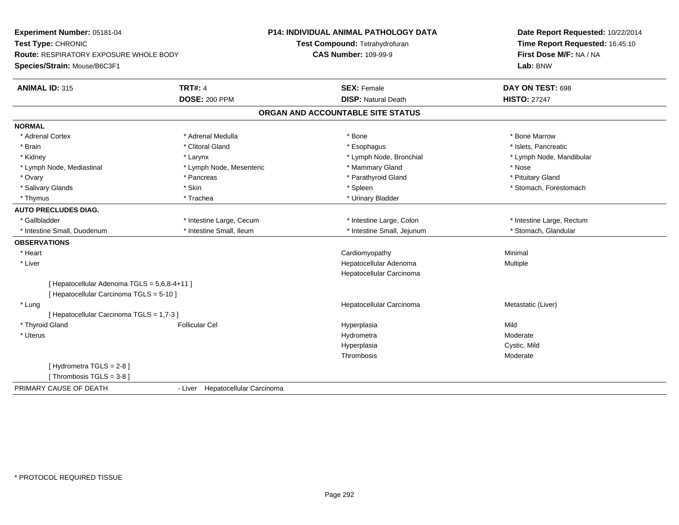| Time Report Requested: 16:45:10<br>Test Compound: Tetrahydrofuran<br>First Dose M/F: NA / NA<br>Route: RESPIRATORY EXPOSURE WHOLE BODY<br><b>CAS Number: 109-99-9</b><br>Lab: BNW<br><b>TRT#: 4</b><br><b>SEX: Female</b><br>DAY ON TEST: 698<br><b>HISTO: 27247</b><br><b>DOSE: 200 PPM</b><br><b>DISP: Natural Death</b><br>ORGAN AND ACCOUNTABLE SITE STATUS<br>* Adrenal Cortex<br>* Adrenal Medulla<br>* Bone Marrow<br>* Bone<br>* Brain<br>* Clitoral Gland<br>* Islets, Pancreatic<br>* Esophagus<br>* Lymph Node, Bronchial<br>* Kidney<br>* Larynx<br>* Lymph Node, Mandibular<br>* Lymph Node, Mesenteric<br>* Mammary Gland<br>* Lymph Node, Mediastinal<br>* Nose<br>* Parathyroid Gland<br>* Pituitary Gland<br>* Ovary<br>* Pancreas<br>* Skin<br>* Spleen<br>* Stomach, Forestomach<br>* Salivary Glands<br>* Trachea<br>* Urinary Bladder<br>* Thymus<br>* Gallbladder<br>* Intestine Large, Cecum<br>* Intestine Large, Colon<br>* Intestine Large, Rectum<br>* Intestine Small, Ileum<br>* Intestine Small, Jejunum<br>* Stomach, Glandular<br>* Intestine Small, Duodenum | Experiment Number: 05181-04  | <b>P14: INDIVIDUAL ANIMAL PATHOLOGY DATA</b> | Date Report Requested: 10/22/2014 |
|-----------------------------------------------------------------------------------------------------------------------------------------------------------------------------------------------------------------------------------------------------------------------------------------------------------------------------------------------------------------------------------------------------------------------------------------------------------------------------------------------------------------------------------------------------------------------------------------------------------------------------------------------------------------------------------------------------------------------------------------------------------------------------------------------------------------------------------------------------------------------------------------------------------------------------------------------------------------------------------------------------------------------------------------------------------------------------------------------|------------------------------|----------------------------------------------|-----------------------------------|
|                                                                                                                                                                                                                                                                                                                                                                                                                                                                                                                                                                                                                                                                                                                                                                                                                                                                                                                                                                                                                                                                                               | Test Type: CHRONIC           |                                              |                                   |
|                                                                                                                                                                                                                                                                                                                                                                                                                                                                                                                                                                                                                                                                                                                                                                                                                                                                                                                                                                                                                                                                                               |                              |                                              |                                   |
|                                                                                                                                                                                                                                                                                                                                                                                                                                                                                                                                                                                                                                                                                                                                                                                                                                                                                                                                                                                                                                                                                               | Species/Strain: Mouse/B6C3F1 |                                              |                                   |
|                                                                                                                                                                                                                                                                                                                                                                                                                                                                                                                                                                                                                                                                                                                                                                                                                                                                                                                                                                                                                                                                                               | <b>ANIMAL ID: 315</b>        |                                              |                                   |
|                                                                                                                                                                                                                                                                                                                                                                                                                                                                                                                                                                                                                                                                                                                                                                                                                                                                                                                                                                                                                                                                                               |                              |                                              |                                   |
|                                                                                                                                                                                                                                                                                                                                                                                                                                                                                                                                                                                                                                                                                                                                                                                                                                                                                                                                                                                                                                                                                               |                              |                                              |                                   |
|                                                                                                                                                                                                                                                                                                                                                                                                                                                                                                                                                                                                                                                                                                                                                                                                                                                                                                                                                                                                                                                                                               | <b>NORMAL</b>                |                                              |                                   |
|                                                                                                                                                                                                                                                                                                                                                                                                                                                                                                                                                                                                                                                                                                                                                                                                                                                                                                                                                                                                                                                                                               |                              |                                              |                                   |
|                                                                                                                                                                                                                                                                                                                                                                                                                                                                                                                                                                                                                                                                                                                                                                                                                                                                                                                                                                                                                                                                                               |                              |                                              |                                   |
|                                                                                                                                                                                                                                                                                                                                                                                                                                                                                                                                                                                                                                                                                                                                                                                                                                                                                                                                                                                                                                                                                               |                              |                                              |                                   |
|                                                                                                                                                                                                                                                                                                                                                                                                                                                                                                                                                                                                                                                                                                                                                                                                                                                                                                                                                                                                                                                                                               |                              |                                              |                                   |
|                                                                                                                                                                                                                                                                                                                                                                                                                                                                                                                                                                                                                                                                                                                                                                                                                                                                                                                                                                                                                                                                                               |                              |                                              |                                   |
|                                                                                                                                                                                                                                                                                                                                                                                                                                                                                                                                                                                                                                                                                                                                                                                                                                                                                                                                                                                                                                                                                               |                              |                                              |                                   |
|                                                                                                                                                                                                                                                                                                                                                                                                                                                                                                                                                                                                                                                                                                                                                                                                                                                                                                                                                                                                                                                                                               |                              |                                              |                                   |
|                                                                                                                                                                                                                                                                                                                                                                                                                                                                                                                                                                                                                                                                                                                                                                                                                                                                                                                                                                                                                                                                                               | <b>AUTO PRECLUDES DIAG.</b>  |                                              |                                   |
|                                                                                                                                                                                                                                                                                                                                                                                                                                                                                                                                                                                                                                                                                                                                                                                                                                                                                                                                                                                                                                                                                               |                              |                                              |                                   |
|                                                                                                                                                                                                                                                                                                                                                                                                                                                                                                                                                                                                                                                                                                                                                                                                                                                                                                                                                                                                                                                                                               |                              |                                              |                                   |
|                                                                                                                                                                                                                                                                                                                                                                                                                                                                                                                                                                                                                                                                                                                                                                                                                                                                                                                                                                                                                                                                                               | <b>OBSERVATIONS</b>          |                                              |                                   |
|                                                                                                                                                                                                                                                                                                                                                                                                                                                                                                                                                                                                                                                                                                                                                                                                                                                                                                                                                                                                                                                                                               | * Heart                      | Cardiomyopathy                               | Minimal                           |
| * Liver<br>Hepatocellular Adenoma<br>Multiple                                                                                                                                                                                                                                                                                                                                                                                                                                                                                                                                                                                                                                                                                                                                                                                                                                                                                                                                                                                                                                                 |                              |                                              |                                   |
| Hepatocellular Carcinoma                                                                                                                                                                                                                                                                                                                                                                                                                                                                                                                                                                                                                                                                                                                                                                                                                                                                                                                                                                                                                                                                      |                              |                                              |                                   |
| [ Hepatocellular Adenoma TGLS = 5,6,8-4+11 ]                                                                                                                                                                                                                                                                                                                                                                                                                                                                                                                                                                                                                                                                                                                                                                                                                                                                                                                                                                                                                                                  |                              |                                              |                                   |
| [ Hepatocellular Carcinoma TGLS = 5-10 ]                                                                                                                                                                                                                                                                                                                                                                                                                                                                                                                                                                                                                                                                                                                                                                                                                                                                                                                                                                                                                                                      |                              |                                              |                                   |
| Hepatocellular Carcinoma<br>Metastatic (Liver)<br>* Lung                                                                                                                                                                                                                                                                                                                                                                                                                                                                                                                                                                                                                                                                                                                                                                                                                                                                                                                                                                                                                                      |                              |                                              |                                   |
| [ Hepatocellular Carcinoma TGLS = 1,7-3 ]                                                                                                                                                                                                                                                                                                                                                                                                                                                                                                                                                                                                                                                                                                                                                                                                                                                                                                                                                                                                                                                     |                              |                                              |                                   |
| * Thyroid Gland<br><b>Follicular Cel</b><br>Mild<br>Hyperplasia                                                                                                                                                                                                                                                                                                                                                                                                                                                                                                                                                                                                                                                                                                                                                                                                                                                                                                                                                                                                                               |                              |                                              |                                   |
| * Uterus<br>Moderate<br>Hydrometra                                                                                                                                                                                                                                                                                                                                                                                                                                                                                                                                                                                                                                                                                                                                                                                                                                                                                                                                                                                                                                                            |                              |                                              |                                   |
| Hyperplasia<br>Cystic, Mild                                                                                                                                                                                                                                                                                                                                                                                                                                                                                                                                                                                                                                                                                                                                                                                                                                                                                                                                                                                                                                                                   |                              |                                              |                                   |
| Thrombosis<br>Moderate                                                                                                                                                                                                                                                                                                                                                                                                                                                                                                                                                                                                                                                                                                                                                                                                                                                                                                                                                                                                                                                                        |                              |                                              |                                   |
| [ Hydrometra TGLS = 2-8 ]                                                                                                                                                                                                                                                                                                                                                                                                                                                                                                                                                                                                                                                                                                                                                                                                                                                                                                                                                                                                                                                                     |                              |                                              |                                   |
| [Thrombosis TGLS = 3-8]                                                                                                                                                                                                                                                                                                                                                                                                                                                                                                                                                                                                                                                                                                                                                                                                                                                                                                                                                                                                                                                                       |                              |                                              |                                   |
| - Liver Hepatocellular Carcinoma                                                                                                                                                                                                                                                                                                                                                                                                                                                                                                                                                                                                                                                                                                                                                                                                                                                                                                                                                                                                                                                              | PRIMARY CAUSE OF DEATH       |                                              |                                   |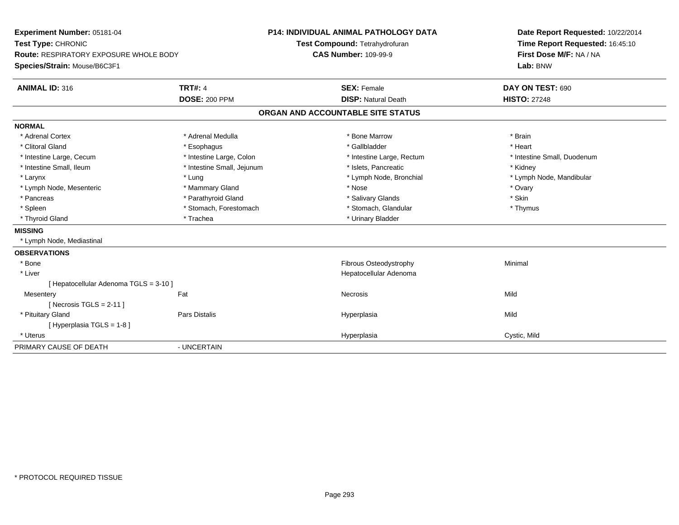| Experiment Number: 05181-04                   |                            | P14: INDIVIDUAL ANIMAL PATHOLOGY DATA | Date Report Requested: 10/22/2014 |
|-----------------------------------------------|----------------------------|---------------------------------------|-----------------------------------|
| Test Type: CHRONIC                            |                            | Test Compound: Tetrahydrofuran        | Time Report Requested: 16:45:10   |
| <b>Route: RESPIRATORY EXPOSURE WHOLE BODY</b> |                            | <b>CAS Number: 109-99-9</b>           | First Dose M/F: NA / NA           |
| Species/Strain: Mouse/B6C3F1                  |                            |                                       | Lab: BNW                          |
| <b>ANIMAL ID: 316</b>                         | <b>TRT#: 4</b>             | <b>SEX: Female</b>                    | DAY ON TEST: 690                  |
|                                               | <b>DOSE: 200 PPM</b>       | <b>DISP: Natural Death</b>            | <b>HISTO: 27248</b>               |
|                                               |                            | ORGAN AND ACCOUNTABLE SITE STATUS     |                                   |
| <b>NORMAL</b>                                 |                            |                                       |                                   |
| * Adrenal Cortex                              | * Adrenal Medulla          | * Bone Marrow                         | * Brain                           |
| * Clitoral Gland                              | * Esophagus                | * Gallbladder                         | * Heart                           |
| * Intestine Large, Cecum                      | * Intestine Large, Colon   | * Intestine Large, Rectum             | * Intestine Small, Duodenum       |
| * Intestine Small, Ileum                      | * Intestine Small, Jejunum | * Islets, Pancreatic                  | * Kidney                          |
| * Larynx                                      | * Lung                     | * Lymph Node, Bronchial               | * Lymph Node, Mandibular          |
| * Lymph Node, Mesenteric                      | * Mammary Gland            | * Nose                                | * Ovary                           |
| * Pancreas                                    | * Parathyroid Gland        | * Salivary Glands                     | * Skin                            |
| * Spleen                                      | * Stomach, Forestomach     | * Stomach, Glandular                  | * Thymus                          |
| * Thyroid Gland                               | * Trachea                  | * Urinary Bladder                     |                                   |
| <b>MISSING</b>                                |                            |                                       |                                   |
| * Lymph Node, Mediastinal                     |                            |                                       |                                   |
| <b>OBSERVATIONS</b>                           |                            |                                       |                                   |
| * Bone                                        |                            | Fibrous Osteodystrophy                | Minimal                           |
| * Liver                                       |                            | Hepatocellular Adenoma                |                                   |
| [ Hepatocellular Adenoma TGLS = 3-10 ]        |                            |                                       |                                   |
| Mesentery                                     | Fat                        | Necrosis                              | Mild                              |
| [Necrosis $TGLS = 2-11$ ]                     |                            |                                       |                                   |
| * Pituitary Gland                             | <b>Pars Distalis</b>       | Hyperplasia                           | Mild                              |
| [Hyperplasia TGLS = 1-8]                      |                            |                                       |                                   |
| * Uterus                                      |                            | Hyperplasia                           | Cystic, Mild                      |
| PRIMARY CAUSE OF DEATH                        | - UNCERTAIN                |                                       |                                   |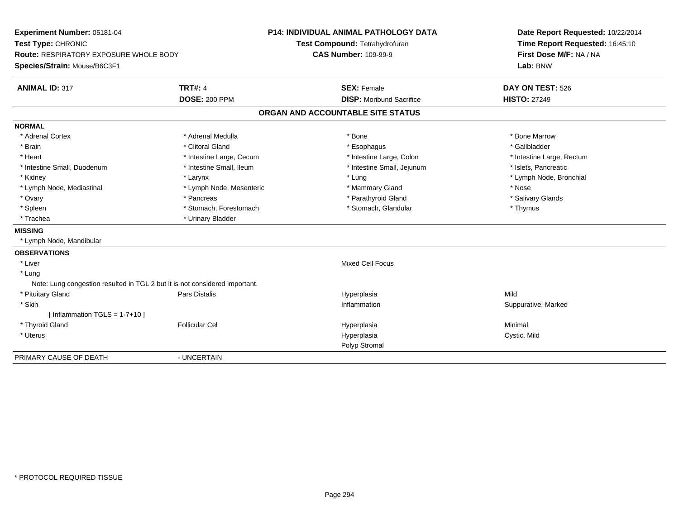| Experiment Number: 05181-04                                                 |                          | <b>P14: INDIVIDUAL ANIMAL PATHOLOGY DATA</b>                  | Date Report Requested: 10/22/2014   |  |
|-----------------------------------------------------------------------------|--------------------------|---------------------------------------------------------------|-------------------------------------|--|
| Test Type: CHRONIC<br>Route: RESPIRATORY EXPOSURE WHOLE BODY                |                          | Test Compound: Tetrahydrofuran<br><b>CAS Number: 109-99-9</b> | Time Report Requested: 16:45:10     |  |
| Species/Strain: Mouse/B6C3F1                                                |                          |                                                               | First Dose M/F: NA / NA<br>Lab: BNW |  |
| <b>ANIMAL ID: 317</b>                                                       | <b>TRT#: 4</b>           | <b>SEX: Female</b>                                            | DAY ON TEST: 526                    |  |
|                                                                             | <b>DOSE: 200 PPM</b>     | <b>DISP:</b> Moribund Sacrifice                               | <b>HISTO: 27249</b>                 |  |
|                                                                             |                          | ORGAN AND ACCOUNTABLE SITE STATUS                             |                                     |  |
| <b>NORMAL</b>                                                               |                          |                                                               |                                     |  |
| * Adrenal Cortex                                                            | * Adrenal Medulla        | * Bone                                                        | * Bone Marrow                       |  |
| * Brain                                                                     | * Clitoral Gland         | * Esophagus                                                   | * Gallbladder                       |  |
| * Heart                                                                     | * Intestine Large, Cecum | * Intestine Large, Colon                                      | * Intestine Large, Rectum           |  |
| * Intestine Small, Duodenum                                                 | * Intestine Small, Ileum | * Intestine Small, Jejunum                                    | * Islets, Pancreatic                |  |
| * Kidney                                                                    | * Larynx                 | * Lung                                                        | * Lymph Node, Bronchial             |  |
| * Lymph Node, Mediastinal                                                   | * Lymph Node, Mesenteric | * Mammary Gland                                               | * Nose                              |  |
| * Ovary                                                                     | * Pancreas               | * Parathyroid Gland                                           | * Salivary Glands                   |  |
| * Spleen                                                                    | * Stomach, Forestomach   | * Stomach, Glandular                                          | * Thymus                            |  |
| * Trachea                                                                   | * Urinary Bladder        |                                                               |                                     |  |
| <b>MISSING</b>                                                              |                          |                                                               |                                     |  |
| * Lymph Node, Mandibular                                                    |                          |                                                               |                                     |  |
| <b>OBSERVATIONS</b>                                                         |                          |                                                               |                                     |  |
| * Liver                                                                     |                          | <b>Mixed Cell Focus</b>                                       |                                     |  |
| * Lung                                                                      |                          |                                                               |                                     |  |
| Note: Lung congestion resulted in TGL 2 but it is not considered important. |                          |                                                               |                                     |  |
| * Pituitary Gland                                                           | Pars Distalis            | Hyperplasia                                                   | Mild                                |  |
| * Skin                                                                      |                          | Inflammation                                                  | Suppurative, Marked                 |  |
| [ Inflammation $TGLS = 1-7+10$ ]                                            |                          |                                                               |                                     |  |
| * Thyroid Gland                                                             | <b>Follicular Cel</b>    | Hyperplasia                                                   | Minimal                             |  |
| * Uterus                                                                    |                          | Hyperplasia                                                   | Cystic, Mild                        |  |
|                                                                             |                          | Polyp Stromal                                                 |                                     |  |
| PRIMARY CAUSE OF DEATH                                                      | - UNCERTAIN              |                                                               |                                     |  |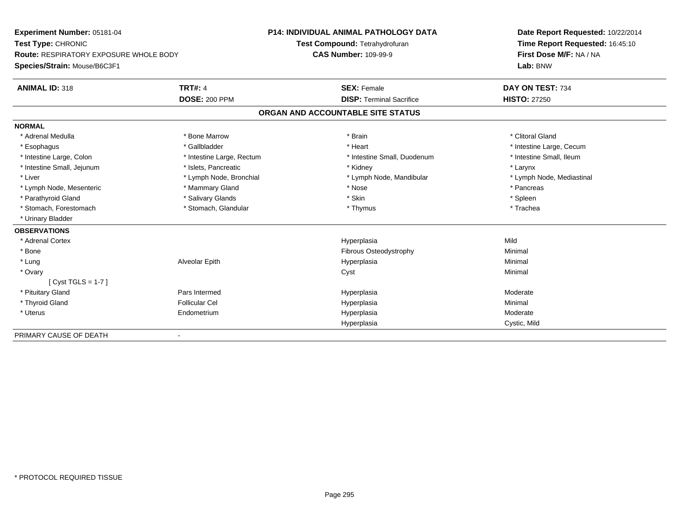| Experiment Number: 05181-04                   |                           | <b>P14: INDIVIDUAL ANIMAL PATHOLOGY DATA</b> | Date Report Requested: 10/22/2014 |  |
|-----------------------------------------------|---------------------------|----------------------------------------------|-----------------------------------|--|
| Test Type: CHRONIC                            |                           | Test Compound: Tetrahydrofuran               | Time Report Requested: 16:45:10   |  |
| <b>Route: RESPIRATORY EXPOSURE WHOLE BODY</b> |                           | <b>CAS Number: 109-99-9</b>                  | First Dose M/F: NA / NA           |  |
| Species/Strain: Mouse/B6C3F1                  |                           |                                              | Lab: BNW                          |  |
| <b>ANIMAL ID: 318</b>                         | <b>TRT#: 4</b>            | <b>SEX: Female</b>                           | DAY ON TEST: 734                  |  |
|                                               | <b>DOSE: 200 PPM</b>      | <b>DISP: Terminal Sacrifice</b>              | <b>HISTO: 27250</b>               |  |
|                                               |                           | ORGAN AND ACCOUNTABLE SITE STATUS            |                                   |  |
| <b>NORMAL</b>                                 |                           |                                              |                                   |  |
| * Adrenal Medulla                             | * Bone Marrow             | * Brain                                      | * Clitoral Gland                  |  |
| * Esophagus                                   | * Gallbladder             | * Heart                                      | * Intestine Large, Cecum          |  |
| * Intestine Large, Colon                      | * Intestine Large, Rectum | * Intestine Small, Duodenum                  | * Intestine Small, Ileum          |  |
| * Intestine Small, Jejunum                    | * Islets, Pancreatic      | * Kidney                                     | * Larynx                          |  |
| * Liver                                       | * Lymph Node, Bronchial   | * Lymph Node, Mandibular                     | * Lymph Node, Mediastinal         |  |
| * Lymph Node, Mesenteric                      | * Mammary Gland           | * Nose                                       | * Pancreas                        |  |
| * Parathyroid Gland                           | * Salivary Glands         | * Skin                                       | * Spleen                          |  |
| * Stomach, Forestomach                        | * Stomach, Glandular      | * Thymus                                     | * Trachea                         |  |
| * Urinary Bladder                             |                           |                                              |                                   |  |
| <b>OBSERVATIONS</b>                           |                           |                                              |                                   |  |
| * Adrenal Cortex                              |                           | Hyperplasia                                  | Mild                              |  |
| * Bone                                        |                           | Fibrous Osteodystrophy                       | Minimal                           |  |
| * Lung                                        | Alveolar Epith            | Hyperplasia                                  | Minimal                           |  |
| * Ovary                                       |                           | Cyst                                         | Minimal                           |  |
| $[Cyst TGLS = 1-7]$                           |                           |                                              |                                   |  |
| * Pituitary Gland                             | Pars Intermed             | Hyperplasia                                  | Moderate                          |  |
| * Thyroid Gland                               | <b>Follicular Cel</b>     | Hyperplasia                                  | Minimal                           |  |
| * Uterus                                      | Endometrium               | Hyperplasia                                  | Moderate                          |  |
|                                               |                           | Hyperplasia                                  | Cystic, Mild                      |  |
| PRIMARY CAUSE OF DEATH                        |                           |                                              |                                   |  |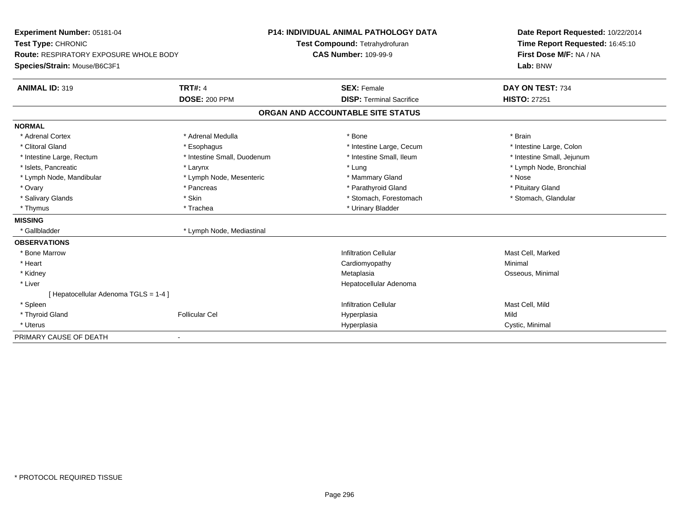| Experiment Number: 05181-04                   |                             | <b>P14: INDIVIDUAL ANIMAL PATHOLOGY DATA</b> | Date Report Requested: 10/22/2014 |
|-----------------------------------------------|-----------------------------|----------------------------------------------|-----------------------------------|
| Test Type: CHRONIC                            |                             | Test Compound: Tetrahydrofuran               | Time Report Requested: 16:45:10   |
| <b>Route: RESPIRATORY EXPOSURE WHOLE BODY</b> |                             | <b>CAS Number: 109-99-9</b>                  | First Dose M/F: NA / NA           |
| Species/Strain: Mouse/B6C3F1                  |                             |                                              | Lab: BNW                          |
| <b>ANIMAL ID: 319</b>                         | <b>TRT#: 4</b>              | <b>SEX: Female</b>                           | DAY ON TEST: 734                  |
|                                               | <b>DOSE: 200 PPM</b>        | <b>DISP: Terminal Sacrifice</b>              | <b>HISTO: 27251</b>               |
|                                               |                             | ORGAN AND ACCOUNTABLE SITE STATUS            |                                   |
| <b>NORMAL</b>                                 |                             |                                              |                                   |
| * Adrenal Cortex                              | * Adrenal Medulla           | * Bone                                       | * Brain                           |
| * Clitoral Gland                              | * Esophagus                 | * Intestine Large, Cecum                     | * Intestine Large, Colon          |
| * Intestine Large, Rectum                     | * Intestine Small, Duodenum | * Intestine Small, Ileum                     | * Intestine Small, Jejunum        |
| * Islets, Pancreatic                          | * Larynx                    | * Lung                                       | * Lymph Node, Bronchial           |
| * Lymph Node, Mandibular                      | * Lymph Node, Mesenteric    | * Mammary Gland                              | * Nose                            |
| * Ovary                                       | * Pancreas                  | * Parathyroid Gland                          | * Pituitary Gland                 |
| * Salivary Glands                             | * Skin                      | * Stomach, Forestomach                       | * Stomach, Glandular              |
| * Thymus                                      | * Trachea                   | * Urinary Bladder                            |                                   |
| <b>MISSING</b>                                |                             |                                              |                                   |
| * Gallbladder                                 | * Lymph Node, Mediastinal   |                                              |                                   |
| <b>OBSERVATIONS</b>                           |                             |                                              |                                   |
| * Bone Marrow                                 |                             | <b>Infiltration Cellular</b>                 | Mast Cell, Marked                 |
| * Heart                                       |                             | Cardiomyopathy                               | Minimal                           |
| * Kidney                                      |                             | Metaplasia                                   | Osseous, Minimal                  |
| * Liver                                       |                             | Hepatocellular Adenoma                       |                                   |
| [Hepatocellular Adenoma TGLS = 1-4]           |                             |                                              |                                   |
| * Spleen                                      |                             | <b>Infiltration Cellular</b>                 | Mast Cell, Mild                   |
| * Thyroid Gland                               | <b>Follicular Cel</b>       | Hyperplasia                                  | Mild                              |
| * Uterus                                      |                             | Hyperplasia                                  | Cystic, Minimal                   |
| PRIMARY CAUSE OF DEATH                        |                             |                                              |                                   |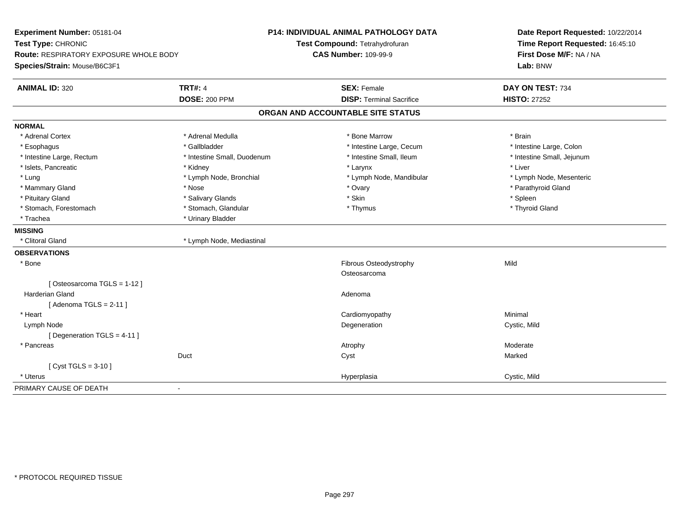| First Dose M/F: NA / NA<br><b>CAS Number: 109-99-9</b><br><b>Route: RESPIRATORY EXPOSURE WHOLE BODY</b><br>Lab: BNW<br>Species/Strain: Mouse/B6C3F1<br><b>TRT#: 4</b><br><b>ANIMAL ID: 320</b><br><b>SEX: Female</b><br>DAY ON TEST: 734<br><b>HISTO: 27252</b><br><b>DOSE: 200 PPM</b><br><b>DISP: Terminal Sacrifice</b><br>ORGAN AND ACCOUNTABLE SITE STATUS | Experiment Number: 05181-04<br>Test Type: CHRONIC | <b>P14: INDIVIDUAL ANIMAL PATHOLOGY DATA</b><br>Test Compound: Tetrahydrofuran | Date Report Requested: 10/22/2014<br>Time Report Requested: 16:45:10 |  |
|-----------------------------------------------------------------------------------------------------------------------------------------------------------------------------------------------------------------------------------------------------------------------------------------------------------------------------------------------------------------|---------------------------------------------------|--------------------------------------------------------------------------------|----------------------------------------------------------------------|--|
|                                                                                                                                                                                                                                                                                                                                                                 |                                                   |                                                                                |                                                                      |  |
|                                                                                                                                                                                                                                                                                                                                                                 |                                                   |                                                                                |                                                                      |  |
|                                                                                                                                                                                                                                                                                                                                                                 |                                                   |                                                                                |                                                                      |  |
|                                                                                                                                                                                                                                                                                                                                                                 |                                                   |                                                                                |                                                                      |  |
|                                                                                                                                                                                                                                                                                                                                                                 |                                                   |                                                                                |                                                                      |  |
| <b>NORMAL</b>                                                                                                                                                                                                                                                                                                                                                   |                                                   |                                                                                |                                                                      |  |
| * Adrenal Medulla<br>* Bone Marrow<br>* Adrenal Cortex<br>* Brain                                                                                                                                                                                                                                                                                               |                                                   |                                                                                |                                                                      |  |
| * Gallbladder<br>* Intestine Large, Cecum<br>* Intestine Large, Colon<br>* Esophagus                                                                                                                                                                                                                                                                            |                                                   |                                                                                |                                                                      |  |
| * Intestine Large, Rectum<br>* Intestine Small, Ileum<br>* Intestine Small, Jejunum<br>* Intestine Small, Duodenum                                                                                                                                                                                                                                              |                                                   |                                                                                |                                                                      |  |
| * Islets, Pancreatic<br>* Liver<br>* Kidney<br>* Larynx                                                                                                                                                                                                                                                                                                         |                                                   |                                                                                |                                                                      |  |
| * Lymph Node, Bronchial<br>* Lymph Node, Mandibular<br>* Lymph Node, Mesenteric<br>* Lung                                                                                                                                                                                                                                                                       |                                                   |                                                                                |                                                                      |  |
| * Mammary Gland<br>* Nose<br>* Ovary<br>* Parathyroid Gland                                                                                                                                                                                                                                                                                                     |                                                   |                                                                                |                                                                      |  |
| $*$ Skin<br>* Spleen<br>* Pituitary Gland<br>* Salivary Glands                                                                                                                                                                                                                                                                                                  |                                                   |                                                                                |                                                                      |  |
| * Stomach, Forestomach<br>* Stomach, Glandular<br>* Thyroid Gland<br>* Thymus                                                                                                                                                                                                                                                                                   |                                                   |                                                                                |                                                                      |  |
| * Urinary Bladder<br>* Trachea                                                                                                                                                                                                                                                                                                                                  |                                                   |                                                                                |                                                                      |  |
| <b>MISSING</b>                                                                                                                                                                                                                                                                                                                                                  |                                                   |                                                                                |                                                                      |  |
| * Clitoral Gland<br>* Lymph Node, Mediastinal                                                                                                                                                                                                                                                                                                                   |                                                   |                                                                                |                                                                      |  |
| <b>OBSERVATIONS</b>                                                                                                                                                                                                                                                                                                                                             |                                                   |                                                                                |                                                                      |  |
| * Bone<br>Fibrous Osteodystrophy<br>Mild                                                                                                                                                                                                                                                                                                                        |                                                   |                                                                                |                                                                      |  |
| Osteosarcoma                                                                                                                                                                                                                                                                                                                                                    |                                                   |                                                                                |                                                                      |  |
| [Osteosarcoma TGLS = 1-12]                                                                                                                                                                                                                                                                                                                                      |                                                   |                                                                                |                                                                      |  |
| <b>Harderian Gland</b><br>Adenoma                                                                                                                                                                                                                                                                                                                               |                                                   |                                                                                |                                                                      |  |
| [Adenoma TGLS = $2-11$ ]                                                                                                                                                                                                                                                                                                                                        |                                                   |                                                                                |                                                                      |  |
| Cardiomyopathy<br>Minimal<br>* Heart                                                                                                                                                                                                                                                                                                                            |                                                   |                                                                                |                                                                      |  |
| Degeneration<br>Lymph Node<br>Cystic, Mild                                                                                                                                                                                                                                                                                                                      |                                                   |                                                                                |                                                                      |  |
| [ Degeneration TGLS = 4-11 ]                                                                                                                                                                                                                                                                                                                                    |                                                   |                                                                                |                                                                      |  |
| * Pancreas<br>Moderate<br>Atrophy                                                                                                                                                                                                                                                                                                                               |                                                   |                                                                                |                                                                      |  |
| Duct<br>Cyst<br>Marked                                                                                                                                                                                                                                                                                                                                          |                                                   |                                                                                |                                                                      |  |
| [ Cyst TGLS = $3-10$ ]                                                                                                                                                                                                                                                                                                                                          |                                                   |                                                                                |                                                                      |  |
| Cystic, Mild<br>* Uterus<br>Hyperplasia                                                                                                                                                                                                                                                                                                                         |                                                   |                                                                                |                                                                      |  |
| PRIMARY CAUSE OF DEATH<br>$\overline{\phantom{a}}$                                                                                                                                                                                                                                                                                                              |                                                   |                                                                                |                                                                      |  |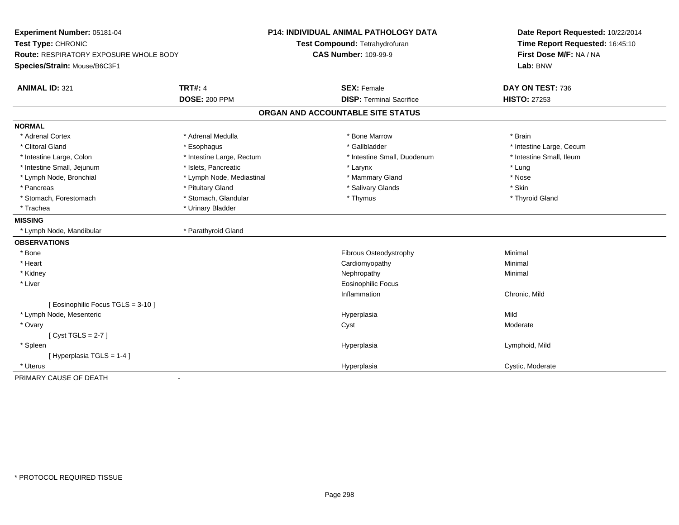| Experiment Number: 05181-04<br>Test Type: CHRONIC<br><b>Route: RESPIRATORY EXPOSURE WHOLE BODY</b><br>Species/Strain: Mouse/B6C3F1 |                           | P14: INDIVIDUAL ANIMAL PATHOLOGY DATA<br>Test Compound: Tetrahydrofuran<br><b>CAS Number: 109-99-9</b> | Date Report Requested: 10/22/2014<br>Time Report Requested: 16:45:10<br>First Dose M/F: NA / NA<br>Lab: BNW |
|------------------------------------------------------------------------------------------------------------------------------------|---------------------------|--------------------------------------------------------------------------------------------------------|-------------------------------------------------------------------------------------------------------------|
| <b>ANIMAL ID: 321</b>                                                                                                              | <b>TRT#: 4</b>            | <b>SEX: Female</b>                                                                                     | DAY ON TEST: 736                                                                                            |
|                                                                                                                                    | <b>DOSE: 200 PPM</b>      | <b>DISP: Terminal Sacrifice</b>                                                                        | <b>HISTO: 27253</b>                                                                                         |
|                                                                                                                                    |                           | ORGAN AND ACCOUNTABLE SITE STATUS                                                                      |                                                                                                             |
| <b>NORMAL</b>                                                                                                                      |                           |                                                                                                        |                                                                                                             |
| * Adrenal Cortex                                                                                                                   | * Adrenal Medulla         | * Bone Marrow                                                                                          | * Brain                                                                                                     |
| * Clitoral Gland                                                                                                                   | * Esophagus               | * Gallbladder                                                                                          | * Intestine Large, Cecum                                                                                    |
| * Intestine Large, Colon                                                                                                           | * Intestine Large, Rectum | * Intestine Small, Duodenum                                                                            | * Intestine Small, Ileum                                                                                    |
| * Intestine Small, Jejunum                                                                                                         | * Islets, Pancreatic      | * Larynx                                                                                               | * Lung                                                                                                      |
| * Lymph Node, Bronchial                                                                                                            | * Lymph Node, Mediastinal | * Mammary Gland                                                                                        | * Nose                                                                                                      |
| * Pancreas                                                                                                                         | * Pituitary Gland         | * Salivary Glands                                                                                      | * Skin                                                                                                      |
| * Stomach, Forestomach                                                                                                             | * Stomach, Glandular      | * Thymus                                                                                               | * Thyroid Gland                                                                                             |
| * Trachea                                                                                                                          | * Urinary Bladder         |                                                                                                        |                                                                                                             |
| <b>MISSING</b>                                                                                                                     |                           |                                                                                                        |                                                                                                             |
| * Lymph Node, Mandibular                                                                                                           | * Parathyroid Gland       |                                                                                                        |                                                                                                             |
| <b>OBSERVATIONS</b>                                                                                                                |                           |                                                                                                        |                                                                                                             |
| $*$ Bone                                                                                                                           |                           | Fibrous Osteodystrophy                                                                                 | Minimal                                                                                                     |
| * Heart                                                                                                                            |                           | Cardiomyopathy                                                                                         | Minimal                                                                                                     |
| * Kidney                                                                                                                           |                           | Nephropathy                                                                                            | Minimal                                                                                                     |
| * Liver                                                                                                                            |                           | <b>Eosinophilic Focus</b>                                                                              |                                                                                                             |
|                                                                                                                                    |                           | Inflammation                                                                                           | Chronic, Mild                                                                                               |
| [ Eosinophilic Focus TGLS = 3-10 ]                                                                                                 |                           |                                                                                                        |                                                                                                             |
| * Lymph Node, Mesenteric                                                                                                           |                           | Hyperplasia                                                                                            | Mild                                                                                                        |
| * Ovary                                                                                                                            |                           | Cyst                                                                                                   | Moderate                                                                                                    |
| [Cyst TGLS = $2-7$ ]                                                                                                               |                           |                                                                                                        |                                                                                                             |
| * Spleen                                                                                                                           |                           | Hyperplasia                                                                                            | Lymphoid, Mild                                                                                              |
| [Hyperplasia TGLS = 1-4]                                                                                                           |                           |                                                                                                        |                                                                                                             |
| * Uterus                                                                                                                           |                           | Hyperplasia                                                                                            | Cystic, Moderate                                                                                            |
| PRIMARY CAUSE OF DEATH                                                                                                             | $\overline{\phantom{0}}$  |                                                                                                        |                                                                                                             |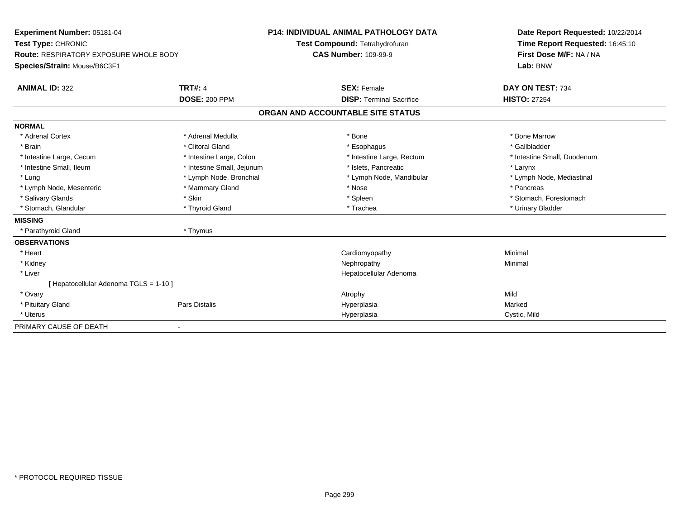| Experiment Number: 05181-04                   |                            | <b>P14: INDIVIDUAL ANIMAL PATHOLOGY DATA</b> | Date Report Requested: 10/22/2014 |
|-----------------------------------------------|----------------------------|----------------------------------------------|-----------------------------------|
| Test Type: CHRONIC                            |                            | Test Compound: Tetrahydrofuran               | Time Report Requested: 16:45:10   |
| <b>Route: RESPIRATORY EXPOSURE WHOLE BODY</b> |                            | <b>CAS Number: 109-99-9</b>                  | First Dose M/F: NA / NA           |
| Species/Strain: Mouse/B6C3F1                  |                            |                                              | Lab: BNW                          |
| <b>ANIMAL ID: 322</b>                         | <b>TRT#: 4</b>             | <b>SEX: Female</b>                           | DAY ON TEST: 734                  |
|                                               | <b>DOSE: 200 PPM</b>       | <b>DISP: Terminal Sacrifice</b>              | <b>HISTO: 27254</b>               |
|                                               |                            | ORGAN AND ACCOUNTABLE SITE STATUS            |                                   |
| <b>NORMAL</b>                                 |                            |                                              |                                   |
| * Adrenal Cortex                              | * Adrenal Medulla          | * Bone                                       | * Bone Marrow                     |
| * Brain                                       | * Clitoral Gland           | * Esophagus                                  | * Gallbladder                     |
| * Intestine Large, Cecum                      | * Intestine Large, Colon   | * Intestine Large, Rectum                    | * Intestine Small, Duodenum       |
| * Intestine Small, Ileum                      | * Intestine Small, Jejunum | * Islets, Pancreatic                         | * Larynx                          |
| * Lung                                        | * Lymph Node, Bronchial    | * Lymph Node, Mandibular                     | * Lymph Node, Mediastinal         |
| * Lymph Node, Mesenteric                      | * Mammary Gland            | * Nose                                       | * Pancreas                        |
| * Salivary Glands                             | * Skin                     | * Spleen                                     | * Stomach, Forestomach            |
| * Stomach, Glandular                          | * Thyroid Gland            | * Trachea                                    | * Urinary Bladder                 |
| <b>MISSING</b>                                |                            |                                              |                                   |
| * Parathyroid Gland                           | * Thymus                   |                                              |                                   |
| <b>OBSERVATIONS</b>                           |                            |                                              |                                   |
| * Heart                                       |                            | Cardiomyopathy                               | Minimal                           |
| * Kidney                                      |                            | Nephropathy                                  | Minimal                           |
| * Liver                                       |                            | Hepatocellular Adenoma                       |                                   |
| [Hepatocellular Adenoma TGLS = 1-10]          |                            |                                              |                                   |
| * Ovary                                       |                            | Atrophy                                      | Mild                              |
| * Pituitary Gland                             | Pars Distalis              | Hyperplasia                                  | Marked                            |
| * Uterus                                      |                            | Hyperplasia                                  | Cystic, Mild                      |
| PRIMARY CAUSE OF DEATH                        |                            |                                              |                                   |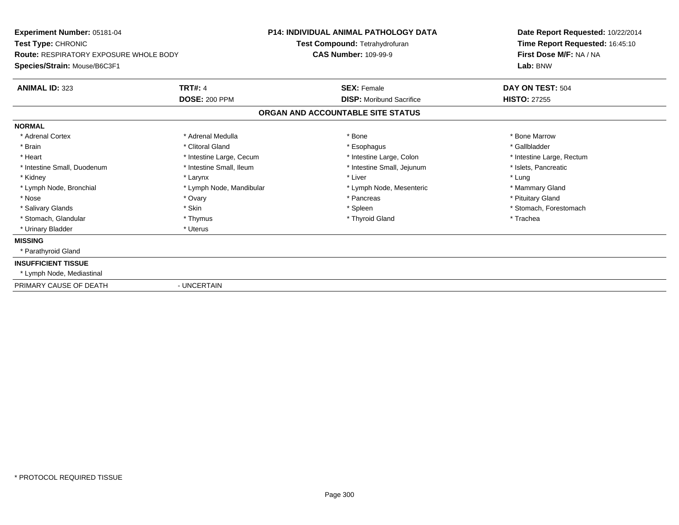| Experiment Number: 05181-04<br>Test Type: CHRONIC<br><b>Route: RESPIRATORY EXPOSURE WHOLE BODY</b><br>Species/Strain: Mouse/B6C3F1 |                          | <b>P14: INDIVIDUAL ANIMAL PATHOLOGY DATA</b><br>Test Compound: Tetrahydrofuran<br><b>CAS Number: 109-99-9</b> | Date Report Requested: 10/22/2014<br>Time Report Requested: 16:45:10<br>First Dose M/F: NA / NA<br>Lab: BNW |
|------------------------------------------------------------------------------------------------------------------------------------|--------------------------|---------------------------------------------------------------------------------------------------------------|-------------------------------------------------------------------------------------------------------------|
| <b>ANIMAL ID: 323</b>                                                                                                              | <b>TRT#: 4</b>           | <b>SEX: Female</b>                                                                                            | DAY ON TEST: 504                                                                                            |
|                                                                                                                                    | <b>DOSE: 200 PPM</b>     | <b>DISP:</b> Moribund Sacrifice                                                                               | <b>HISTO: 27255</b>                                                                                         |
|                                                                                                                                    |                          | ORGAN AND ACCOUNTABLE SITE STATUS                                                                             |                                                                                                             |
| <b>NORMAL</b>                                                                                                                      |                          |                                                                                                               |                                                                                                             |
| * Adrenal Cortex                                                                                                                   | * Adrenal Medulla        | * Bone                                                                                                        | * Bone Marrow                                                                                               |
| * Brain                                                                                                                            | * Clitoral Gland         | * Esophagus                                                                                                   | * Gallbladder                                                                                               |
| * Heart                                                                                                                            | * Intestine Large, Cecum | * Intestine Large, Colon                                                                                      | * Intestine Large, Rectum                                                                                   |
| * Intestine Small, Duodenum                                                                                                        | * Intestine Small, Ileum | * Intestine Small, Jejunum                                                                                    | * Islets, Pancreatic                                                                                        |
| * Kidney                                                                                                                           | * Larynx                 | * Liver                                                                                                       | * Lung                                                                                                      |
| * Lymph Node, Bronchial                                                                                                            | * Lymph Node, Mandibular | * Lymph Node, Mesenteric                                                                                      | * Mammary Gland                                                                                             |
| * Nose                                                                                                                             | * Ovary                  | * Pancreas                                                                                                    | * Pituitary Gland                                                                                           |
| * Salivary Glands                                                                                                                  | * Skin                   | * Spleen                                                                                                      | * Stomach, Forestomach                                                                                      |
| * Stomach, Glandular                                                                                                               | * Thymus                 | * Thyroid Gland                                                                                               | * Trachea                                                                                                   |
| * Urinary Bladder                                                                                                                  | * Uterus                 |                                                                                                               |                                                                                                             |
| <b>MISSING</b>                                                                                                                     |                          |                                                                                                               |                                                                                                             |
| * Parathyroid Gland                                                                                                                |                          |                                                                                                               |                                                                                                             |
| <b>INSUFFICIENT TISSUE</b>                                                                                                         |                          |                                                                                                               |                                                                                                             |
| * Lymph Node, Mediastinal                                                                                                          |                          |                                                                                                               |                                                                                                             |
| PRIMARY CAUSE OF DEATH                                                                                                             | - UNCERTAIN              |                                                                                                               |                                                                                                             |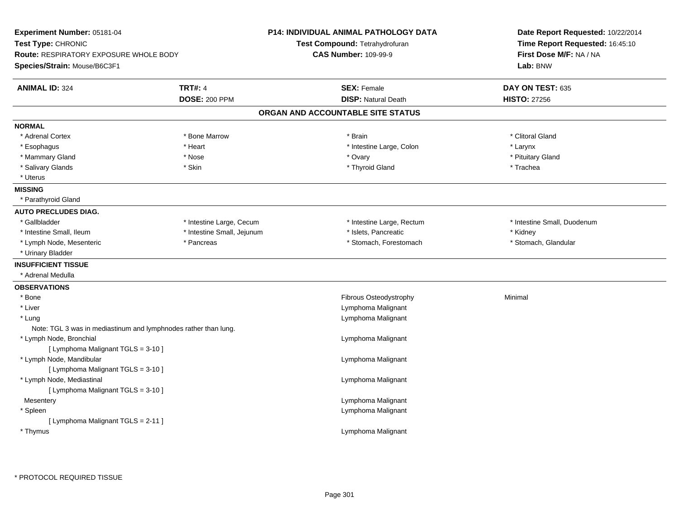| Experiment Number: 05181-04<br>Test Type: CHRONIC<br><b>Route: RESPIRATORY EXPOSURE WHOLE BODY</b><br>Species/Strain: Mouse/B6C3F1 |                                        | <b>P14: INDIVIDUAL ANIMAL PATHOLOGY DATA</b><br>Test Compound: Tetrahydrofuran<br><b>CAS Number: 109-99-9</b> | Date Report Requested: 10/22/2014<br>Time Report Requested: 16:45:10<br>First Dose M/F: NA / NA<br>Lab: BNW |
|------------------------------------------------------------------------------------------------------------------------------------|----------------------------------------|---------------------------------------------------------------------------------------------------------------|-------------------------------------------------------------------------------------------------------------|
| <b>ANIMAL ID: 324</b>                                                                                                              | <b>TRT#: 4</b><br><b>DOSE: 200 PPM</b> | <b>SEX: Female</b><br><b>DISP: Natural Death</b>                                                              | DAY ON TEST: 635                                                                                            |
|                                                                                                                                    |                                        | ORGAN AND ACCOUNTABLE SITE STATUS                                                                             | <b>HISTO: 27256</b>                                                                                         |
| <b>NORMAL</b>                                                                                                                      |                                        |                                                                                                               |                                                                                                             |
| * Adrenal Cortex                                                                                                                   | * Bone Marrow                          | * Brain                                                                                                       | * Clitoral Gland                                                                                            |
| * Esophagus                                                                                                                        | * Heart                                | * Intestine Large, Colon                                                                                      | * Larynx                                                                                                    |
| * Mammary Gland                                                                                                                    | * Nose                                 | * Ovary                                                                                                       | * Pituitary Gland                                                                                           |
| * Salivary Glands                                                                                                                  | * Skin                                 | * Thyroid Gland                                                                                               | * Trachea                                                                                                   |
| * Uterus                                                                                                                           |                                        |                                                                                                               |                                                                                                             |
| <b>MISSING</b>                                                                                                                     |                                        |                                                                                                               |                                                                                                             |
| * Parathyroid Gland                                                                                                                |                                        |                                                                                                               |                                                                                                             |
| <b>AUTO PRECLUDES DIAG.</b>                                                                                                        |                                        |                                                                                                               |                                                                                                             |
| * Gallbladder                                                                                                                      | * Intestine Large, Cecum               | * Intestine Large, Rectum                                                                                     | * Intestine Small, Duodenum                                                                                 |
| * Intestine Small, Ileum                                                                                                           | * Intestine Small, Jejunum             | * Islets, Pancreatic                                                                                          | * Kidney                                                                                                    |
| * Lymph Node, Mesenteric                                                                                                           | * Pancreas                             | * Stomach, Forestomach                                                                                        | * Stomach, Glandular                                                                                        |
| * Urinary Bladder                                                                                                                  |                                        |                                                                                                               |                                                                                                             |
| <b>INSUFFICIENT TISSUE</b>                                                                                                         |                                        |                                                                                                               |                                                                                                             |
| * Adrenal Medulla                                                                                                                  |                                        |                                                                                                               |                                                                                                             |
| <b>OBSERVATIONS</b>                                                                                                                |                                        |                                                                                                               |                                                                                                             |
| * Bone                                                                                                                             |                                        | Fibrous Osteodystrophy                                                                                        | Minimal                                                                                                     |
| * Liver                                                                                                                            |                                        | Lymphoma Malignant                                                                                            |                                                                                                             |
| * Lung                                                                                                                             |                                        | Lymphoma Malignant                                                                                            |                                                                                                             |
| Note: TGL 3 was in mediastinum and lymphnodes rather than lung.                                                                    |                                        |                                                                                                               |                                                                                                             |
| * Lymph Node, Bronchial                                                                                                            |                                        | Lymphoma Malignant                                                                                            |                                                                                                             |
| [ Lymphoma Malignant TGLS = 3-10 ]                                                                                                 |                                        |                                                                                                               |                                                                                                             |
| * Lymph Node, Mandibular                                                                                                           |                                        | Lymphoma Malignant                                                                                            |                                                                                                             |
| [ Lymphoma Malignant TGLS = 3-10 ]                                                                                                 |                                        |                                                                                                               |                                                                                                             |
| * Lymph Node, Mediastinal                                                                                                          |                                        | Lymphoma Malignant                                                                                            |                                                                                                             |
| [ Lymphoma Malignant TGLS = 3-10 ]                                                                                                 |                                        |                                                                                                               |                                                                                                             |
| Mesentery                                                                                                                          |                                        | Lymphoma Malignant                                                                                            |                                                                                                             |
| * Spleen                                                                                                                           |                                        | Lymphoma Malignant                                                                                            |                                                                                                             |
| [ Lymphoma Malignant TGLS = 2-11 ]                                                                                                 |                                        |                                                                                                               |                                                                                                             |
| * Thymus                                                                                                                           |                                        | Lymphoma Malignant                                                                                            |                                                                                                             |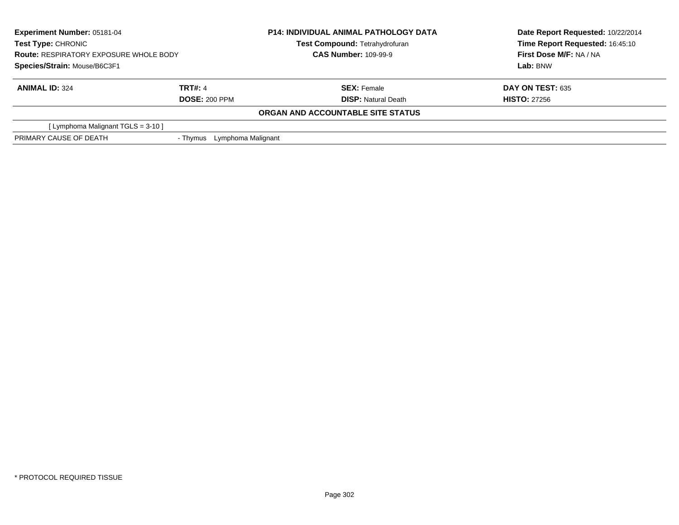| <b>Experiment Number: 05181-04</b><br><b>Test Type: CHRONIC</b><br><b>Route: RESPIRATORY EXPOSURE WHOLE BODY</b> |                                | <b>P14: INDIVIDUAL ANIMAL PATHOLOGY DATA</b> | Date Report Requested: 10/22/2014 |
|------------------------------------------------------------------------------------------------------------------|--------------------------------|----------------------------------------------|-----------------------------------|
|                                                                                                                  |                                | Test Compound: Tetrahydrofuran               | Time Report Requested: 16:45:10   |
|                                                                                                                  |                                | <b>CAS Number: 109-99-9</b>                  | First Dose M/F: NA / NA           |
| Species/Strain: Mouse/B6C3F1                                                                                     |                                |                                              | Lab: BNW                          |
| <b>ANIMAL ID: 324</b>                                                                                            | <b>TRT#: 4</b>                 | <b>SEX: Female</b>                           | <b>DAY ON TEST: 635</b>           |
|                                                                                                                  | <b>DOSE: 200 PPM</b>           | <b>DISP:</b> Natural Death                   | <b>HISTO: 27256</b>               |
|                                                                                                                  |                                | ORGAN AND ACCOUNTABLE SITE STATUS            |                                   |
| [Lymphoma Malignant TGLS = $3-10$ ]                                                                              |                                |                                              |                                   |
| PRIMARY CAUSE OF DEATH                                                                                           | Lymphoma Malignant<br>- Thymus |                                              |                                   |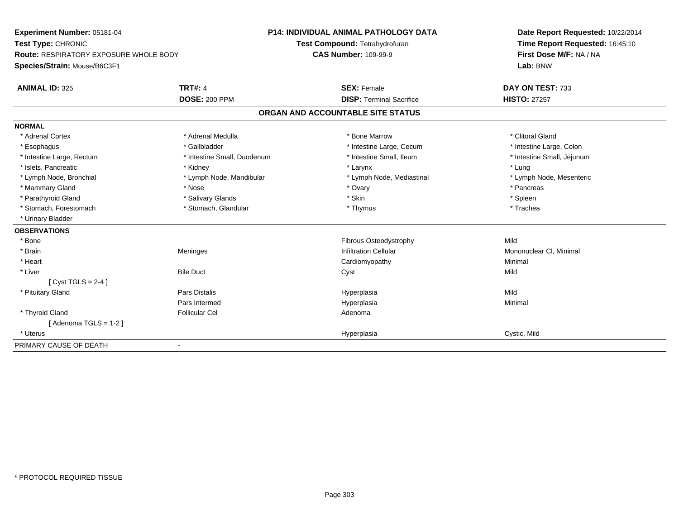**Experiment Number:** 05181-04**Test Type:** CHRONIC **Route:** RESPIRATORY EXPOSURE WHOLE BODY**Species/Strain:** Mouse/B6C3F1**P14: INDIVIDUAL ANIMAL PATHOLOGY DATATest Compound:** Tetrahydrofuran**CAS Number:** 109-99-9**Date Report Requested:** 10/22/2014**Time Report Requested:** 16:45:10**First Dose M/F:** NA / NA**Lab:** BNW**ANIMAL ID:** 325**TRT#:** 4 **SEX:** Female **SEX: Female DAY ON TEST:** 733 **DOSE:** 200 PPM**DISP:** Terminal Sacrifice **HISTO:** 27257 **ORGAN AND ACCOUNTABLE SITE STATUSNORMAL**\* Adrenal Cortex \* Adrenal Medulla **\*** Adrenal Medulla \* Adrenal \* Bone Marrow \* Clitoral Gland \* Intestine Large, Colon \* Esophagus \* Intestine Large, Cecum \* Callbladder \* 10 \* Intestine Large, Cecum \* Intestine Large, Cecum \* \* Intestine Large, Rectum \* Thestine Small, Duodenum \* Number of the small, Ileum \* Intestine Small, Jejunum \* Intestine Small, Jejunum \* Islets, Pancreatic \* \* Kidney \* Kidney \* Kidney \* Larynx \* Karynx \* Kidney \* Larynx \* Kidney \* Kidney \* Kidney \* Lung \* Lymph Node, Mesenteric \* Lymph Node, Bronchial \* Lymph Node, Mandibular \* Lymph Node, Mediastinal \* Lymph Node, Mediastinal \* Mammary Gland \* \* Andrew \* Nose \* \* Nose \* \* Ovary \* Ovary \* Ovary \* \* Ovary \* \* Pancreas \* \* Pancreas \* \* Pancreas \* \* Pancreas \* \* Pancreas \* \* Pancreas \* \* Pancreas \* \* Pancreas \* \* Pancreas \* \* Pancreas \* \* Pancreas \* Parathyroid Gland \* \* Salivary Glands \* Salivary Glands \* Skin \* Skin \* State \* Spleen \* Spleen \* Spleen \* Spleen \* Trachea \* Stomach, Forestomach \* Thymus \* Stomach, Glandular \* Thymus \* Thymus \* Thymus \* Thymus \* Thymus \* Thymus \* Thymus \* Thymus \* Thymus \* Thymus \* Thymus \* Thymus \* Thymus \* Thymus \* Thymus \* Thymus \* Thymus \* Thymus \* Thymu \* Urinary Bladder**OBSERVATIONS** \* BoneFibrous Osteodystrophy Mild \* Brainn Meninges (Meninges and the settlem of the infiltration Cellular Mononuclear Cl, Minimal and Mononuclear Cl, Minimal and the settlem of the settlem of the settlem in the settlem in the settlem in the settlem in the settle \* Heart Cardiomyopathy Minimal \* Liverr and the Duct of the Duct of the Duct of the Duct of the Duct of the Duct of the Duct of the Duct of the Duct  $[$  Cyst TGLS = 2-4  $]$  \* Pituitary Gland Pars Distalis Hyperplasia Mild Pars Intermed Hyperplasia Minimal \* Thyroid Glandd and the set of the Follicular Cel the set of the Second Adenomal Adenomal Second Second Second Second Second Second Second Second Second Second Second Second Second Second Second Second Second Second Second Second Second  $[$  Adenoma TGLS = 1-2  $]$  \* Uteruss and the contract of the contract of the contract of the contract of the contract of the contract of the contract of the contract of the contract of the contract of the contract of the contract of the contract of the cont Hyperplasia **Cystic, Mild** PRIMARY CAUSE OF DEATH-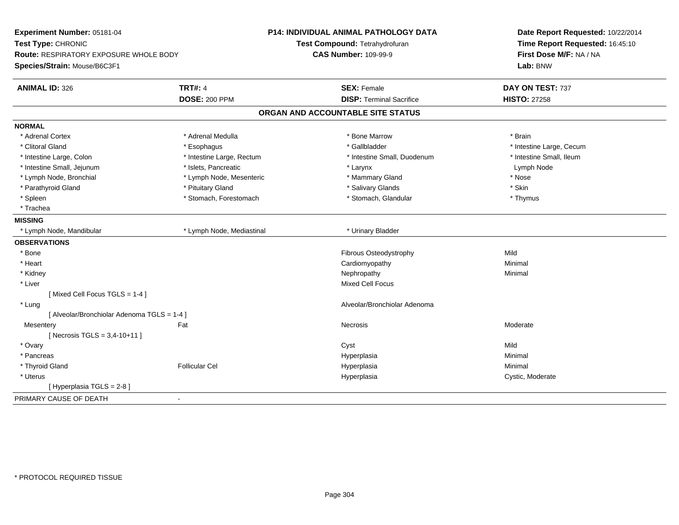| Experiment Number: 05181-04<br>Test Type: CHRONIC<br>Route: RESPIRATORY EXPOSURE WHOLE BODY |                           | <b>P14: INDIVIDUAL ANIMAL PATHOLOGY DATA</b><br>Test Compound: Tetrahydrofuran<br><b>CAS Number: 109-99-9</b> | Date Report Requested: 10/22/2014<br>Time Report Requested: 16:45:10<br>First Dose M/F: NA / NA |
|---------------------------------------------------------------------------------------------|---------------------------|---------------------------------------------------------------------------------------------------------------|-------------------------------------------------------------------------------------------------|
| Species/Strain: Mouse/B6C3F1                                                                |                           |                                                                                                               | Lab: BNW                                                                                        |
| <b>ANIMAL ID: 326</b>                                                                       | <b>TRT#: 4</b>            | <b>SEX: Female</b>                                                                                            | DAY ON TEST: 737                                                                                |
|                                                                                             | <b>DOSE: 200 PPM</b>      | <b>DISP: Terminal Sacrifice</b>                                                                               | <b>HISTO: 27258</b>                                                                             |
|                                                                                             |                           | ORGAN AND ACCOUNTABLE SITE STATUS                                                                             |                                                                                                 |
| <b>NORMAL</b>                                                                               |                           |                                                                                                               |                                                                                                 |
| * Adrenal Cortex                                                                            | * Adrenal Medulla         | * Bone Marrow                                                                                                 | * Brain                                                                                         |
| * Clitoral Gland                                                                            | * Esophagus               | * Gallbladder                                                                                                 | * Intestine Large, Cecum                                                                        |
| * Intestine Large, Colon                                                                    | * Intestine Large, Rectum | * Intestine Small, Duodenum                                                                                   | * Intestine Small, Ileum                                                                        |
| * Intestine Small, Jejunum                                                                  | * Islets, Pancreatic      | * Larynx                                                                                                      | Lymph Node                                                                                      |
| * Lymph Node, Bronchial                                                                     | * Lymph Node, Mesenteric  | * Mammary Gland                                                                                               | * Nose                                                                                          |
| * Parathyroid Gland                                                                         | * Pituitary Gland         | * Salivary Glands                                                                                             | * Skin                                                                                          |
| * Spleen                                                                                    | * Stomach, Forestomach    | * Stomach, Glandular                                                                                          | * Thymus                                                                                        |
| * Trachea                                                                                   |                           |                                                                                                               |                                                                                                 |
| <b>MISSING</b>                                                                              |                           |                                                                                                               |                                                                                                 |
| * Lymph Node, Mandibular                                                                    | * Lymph Node, Mediastinal | * Urinary Bladder                                                                                             |                                                                                                 |
| <b>OBSERVATIONS</b>                                                                         |                           |                                                                                                               |                                                                                                 |
| * Bone                                                                                      |                           | Fibrous Osteodystrophy                                                                                        | Mild                                                                                            |
| * Heart                                                                                     |                           | Cardiomyopathy                                                                                                | Minimal                                                                                         |
| * Kidney                                                                                    |                           | Nephropathy                                                                                                   | Minimal                                                                                         |
| * Liver                                                                                     |                           | Mixed Cell Focus                                                                                              |                                                                                                 |
| [Mixed Cell Focus TGLS = 1-4]                                                               |                           |                                                                                                               |                                                                                                 |
| * Lung                                                                                      |                           | Alveolar/Bronchiolar Adenoma                                                                                  |                                                                                                 |
| [ Alveolar/Bronchiolar Adenoma TGLS = 1-4 ]                                                 |                           |                                                                                                               |                                                                                                 |
| Mesentery                                                                                   | Fat                       | Necrosis                                                                                                      | Moderate                                                                                        |
| [ Necrosis TGLS = $3,4-10+11$ ]                                                             |                           |                                                                                                               |                                                                                                 |
| * Ovary                                                                                     |                           | Cyst                                                                                                          | Mild                                                                                            |
| * Pancreas                                                                                  |                           | Hyperplasia                                                                                                   | Minimal                                                                                         |
| * Thyroid Gland                                                                             | <b>Follicular Cel</b>     | Hyperplasia                                                                                                   | Minimal                                                                                         |
| $^\star$ Uterus                                                                             |                           | Hyperplasia                                                                                                   | Cystic, Moderate                                                                                |
| [ Hyperplasia TGLS = 2-8 ]                                                                  |                           |                                                                                                               |                                                                                                 |
| PRIMARY CAUSE OF DEATH<br>$\blacksquare$                                                    |                           |                                                                                                               |                                                                                                 |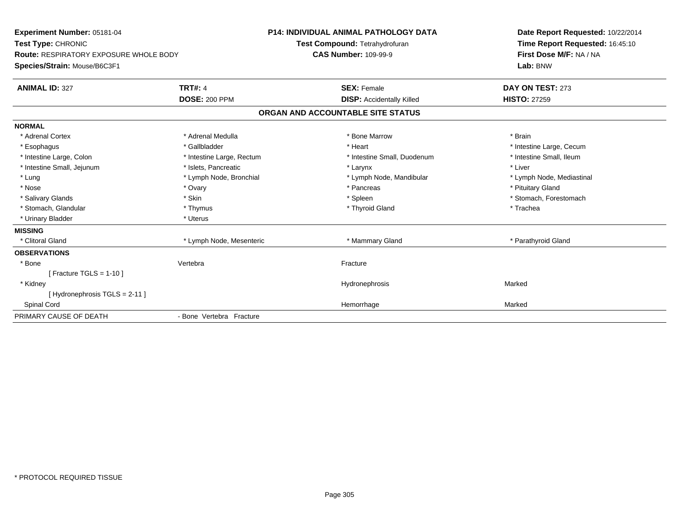| Experiment Number: 05181-04                   |                           | <b>P14: INDIVIDUAL ANIMAL PATHOLOGY DATA</b> | Date Report Requested: 10/22/2014 |
|-----------------------------------------------|---------------------------|----------------------------------------------|-----------------------------------|
| Test Type: CHRONIC                            |                           | Test Compound: Tetrahydrofuran               | Time Report Requested: 16:45:10   |
| <b>Route: RESPIRATORY EXPOSURE WHOLE BODY</b> |                           | <b>CAS Number: 109-99-9</b>                  | First Dose M/F: NA / NA           |
| Species/Strain: Mouse/B6C3F1                  |                           |                                              | Lab: BNW                          |
| <b>ANIMAL ID: 327</b>                         | <b>TRT#: 4</b>            | <b>SEX: Female</b>                           | DAY ON TEST: 273                  |
|                                               | <b>DOSE: 200 PPM</b>      | <b>DISP:</b> Accidentally Killed             | <b>HISTO: 27259</b>               |
|                                               |                           | ORGAN AND ACCOUNTABLE SITE STATUS            |                                   |
| <b>NORMAL</b>                                 |                           |                                              |                                   |
| * Adrenal Cortex                              | * Adrenal Medulla         | * Bone Marrow                                | * Brain                           |
| * Esophagus                                   | * Gallbladder             | * Heart                                      | * Intestine Large, Cecum          |
| * Intestine Large, Colon                      | * Intestine Large, Rectum | * Intestine Small, Duodenum                  | * Intestine Small, Ileum          |
| * Intestine Small, Jejunum                    | * Islets, Pancreatic      | * Larynx                                     | * Liver                           |
| * Lung                                        | * Lymph Node, Bronchial   | * Lymph Node, Mandibular                     | * Lymph Node, Mediastinal         |
| * Nose                                        | * Ovary                   | * Pancreas                                   | * Pituitary Gland                 |
| * Salivary Glands                             | * Skin                    | * Spleen                                     | * Stomach, Forestomach            |
| * Stomach, Glandular                          | * Thymus                  | * Thyroid Gland                              | * Trachea                         |
| * Urinary Bladder                             | * Uterus                  |                                              |                                   |
| <b>MISSING</b>                                |                           |                                              |                                   |
| * Clitoral Gland                              | * Lymph Node, Mesenteric  | * Mammary Gland                              | * Parathyroid Gland               |
| <b>OBSERVATIONS</b>                           |                           |                                              |                                   |
| * Bone                                        | Vertebra                  | Fracture                                     |                                   |
| [ Fracture TGLS = $1-10$ ]                    |                           |                                              |                                   |
| * Kidney                                      |                           | Hydronephrosis                               | Marked                            |
| [Hydronephrosis TGLS = 2-11]                  |                           |                                              |                                   |
| <b>Spinal Cord</b>                            |                           | Hemorrhage                                   | Marked                            |
| PRIMARY CAUSE OF DEATH                        | - Bone Vertebra Fracture  |                                              |                                   |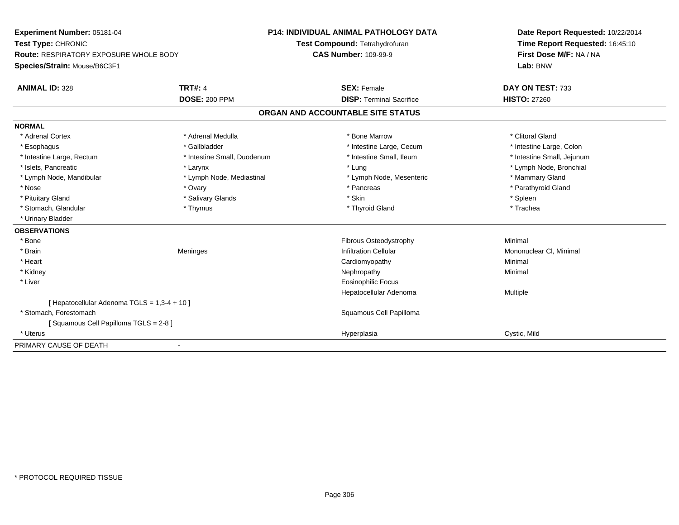**Experiment Number:** 05181-04**Test Type:** CHRONIC **Route:** RESPIRATORY EXPOSURE WHOLE BODY**Species/Strain:** Mouse/B6C3F1**P14: INDIVIDUAL ANIMAL PATHOLOGY DATATest Compound:** Tetrahydrofuran**CAS Number:** 109-99-9**Date Report Requested:** 10/22/2014**Time Report Requested:** 16:45:10**First Dose M/F:** NA / NA**Lab:** BNW**ANIMAL ID:** 328**TRT#:** 4 **SEX:** Female **SEX: Female DAY ON TEST:** 733 **DOSE:** 200 PPM**DISP:** Terminal Sacrifice **HISTO:** 27260 **ORGAN AND ACCOUNTABLE SITE STATUSNORMAL**\* Adrenal Cortex \* Adrenal Medulla **\*** Adrenal Medulla \* Adrenal \* Bone Marrow \* Clitoral Gland \* Intestine Large, Colon \* Esophagus \* Intestine Large, Cecum \* Callbladder \* 10 \* Intestine Large, Cecum \* Intestine Large, Cecum \* \* Intestine Large, Rectum \* Thestine Small, Duodenum \* Number of the small, Ileum \* Intestine Small, Jejunum \* Intestine Small, Jejunum \* Islets, Pancreatic \* Larynx \* Lung \* Lymph Node, Bronchial \* Lymph Node, Mandibular \* Lymph Node, Mediastinal \* Lymph Node, Mesenteric \* Mammary Gland \* Parathyroid Gland \* Nose \* Ovary \* Pancreas \* Parathyroid Gland \* Pituitary Gland \* \* \* Sheen \* Salivary Glands \* \* State \* \* Skin \* \* Skin \* \* Spleen \* \* Spleen \* \* Spleen \* \* Trachea \* Stomach, Glandular \* Thymus \* Thymus \* Thymus \* Thyroid Gland \* Thyroid Gland \* \* Urinary Bladder**OBSERVATIONS** \* BoneFibrous Osteodystrophy **Minimal**  \* Brainn Meninges (Meninges and the settlem of the infiltration Cellular Mononuclear Cl, Minimal and Mononuclear Cl, Minimal and the settlem of the settlem of the settlem in the settlem in the settlem in the settlem in the settle \* Heart Cardiomyopathy Minimal \* Kidneyy the control of the control of the control of the control of the control of the control of the control of the control of the control of the control of the control of the control of the control of the control of the contro \* Liver Eosinophilic Focus Hepatocellular Adenoma Multiple [ Hepatocellular Adenoma TGLS = 1,3-4 + 10 ] \* Stomach, Forestomach Squamous Cell Papilloma [ Squamous Cell Papilloma TGLS = 2-8 ] \* Uteruss and the contract of the contract of the contract of the contract of the contract of the contract of the contract of the contract of the contract of the contract of the contract of the contract of the contract of the cont Hyperplasia **Cystic, Mild** PRIMARY CAUSE OF DEATH-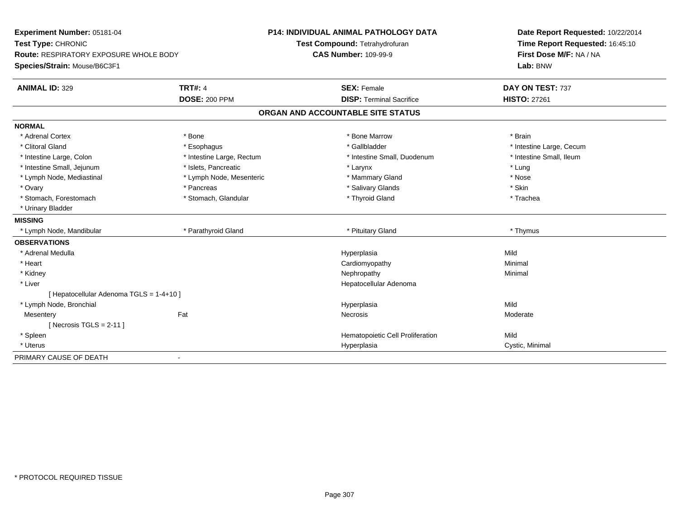| Experiment Number: 05181-04<br>Test Type: CHRONIC                      |                           | <b>P14: INDIVIDUAL ANIMAL PATHOLOGY DATA</b><br>Test Compound: Tetrahydrofuran | Date Report Requested: 10/22/2014<br>Time Report Requested: 16:45:10 |  |
|------------------------------------------------------------------------|---------------------------|--------------------------------------------------------------------------------|----------------------------------------------------------------------|--|
| Route: RESPIRATORY EXPOSURE WHOLE BODY<br>Species/Strain: Mouse/B6C3F1 |                           | <b>CAS Number: 109-99-9</b>                                                    | First Dose M/F: NA / NA<br>Lab: BNW                                  |  |
| <b>ANIMAL ID: 329</b>                                                  | <b>TRT#: 4</b>            | <b>SEX: Female</b>                                                             | DAY ON TEST: 737                                                     |  |
|                                                                        | <b>DOSE: 200 PPM</b>      | <b>DISP: Terminal Sacrifice</b>                                                | <b>HISTO: 27261</b>                                                  |  |
|                                                                        |                           | ORGAN AND ACCOUNTABLE SITE STATUS                                              |                                                                      |  |
| <b>NORMAL</b>                                                          |                           |                                                                                |                                                                      |  |
| * Adrenal Cortex                                                       | * Bone                    | * Bone Marrow                                                                  | * Brain                                                              |  |
| * Clitoral Gland                                                       | * Esophagus               | * Gallbladder                                                                  | * Intestine Large, Cecum                                             |  |
| * Intestine Large, Colon                                               | * Intestine Large, Rectum | * Intestine Small, Duodenum                                                    | * Intestine Small, Ileum                                             |  |
| * Intestine Small, Jejunum                                             | * Islets, Pancreatic      | * Larynx                                                                       | * Lung                                                               |  |
| * Lymph Node, Mediastinal                                              | * Lymph Node, Mesenteric  | * Mammary Gland                                                                | * Nose                                                               |  |
| * Ovary                                                                | * Pancreas                | * Salivary Glands                                                              | * Skin                                                               |  |
| * Stomach, Forestomach                                                 | * Stomach, Glandular      | * Thyroid Gland                                                                | * Trachea                                                            |  |
| * Urinary Bladder                                                      |                           |                                                                                |                                                                      |  |
| <b>MISSING</b>                                                         |                           |                                                                                |                                                                      |  |
| * Lymph Node, Mandibular                                               | * Parathyroid Gland       | * Pituitary Gland                                                              | * Thymus                                                             |  |
| <b>OBSERVATIONS</b>                                                    |                           |                                                                                |                                                                      |  |
| * Adrenal Medulla                                                      |                           | Hyperplasia                                                                    | Mild                                                                 |  |
| * Heart                                                                |                           | Cardiomyopathy                                                                 | Minimal                                                              |  |
| * Kidney                                                               |                           | Nephropathy                                                                    | Minimal                                                              |  |
| * Liver                                                                |                           | Hepatocellular Adenoma                                                         |                                                                      |  |
| [ Hepatocellular Adenoma TGLS = 1-4+10 ]                               |                           |                                                                                |                                                                      |  |
| * Lymph Node, Bronchial                                                |                           | Hyperplasia                                                                    | Mild                                                                 |  |
| Mesentery                                                              | Fat                       | Necrosis                                                                       | Moderate                                                             |  |
| [Necrosis TGLS = $2-11$ ]                                              |                           |                                                                                |                                                                      |  |
| * Spleen                                                               |                           | Hematopoietic Cell Proliferation                                               | Mild                                                                 |  |
| * Uterus                                                               |                           | Hyperplasia                                                                    | Cystic, Minimal                                                      |  |
| PRIMARY CAUSE OF DEATH                                                 | $\blacksquare$            |                                                                                |                                                                      |  |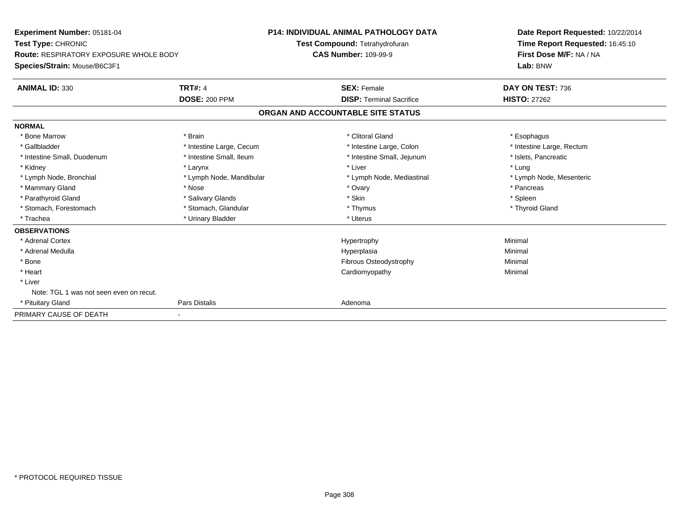| Experiment Number: 05181-04<br>Test Type: CHRONIC<br><b>Route: RESPIRATORY EXPOSURE WHOLE BODY</b> |                          | <b>P14: INDIVIDUAL ANIMAL PATHOLOGY DATA</b> | Date Report Requested: 10/22/2014<br>Time Report Requested: 16:45:10<br>First Dose M/F: NA / NA |
|----------------------------------------------------------------------------------------------------|--------------------------|----------------------------------------------|-------------------------------------------------------------------------------------------------|
|                                                                                                    |                          | Test Compound: Tetrahydrofuran               |                                                                                                 |
|                                                                                                    |                          | <b>CAS Number: 109-99-9</b>                  |                                                                                                 |
| Species/Strain: Mouse/B6C3F1                                                                       |                          |                                              | Lab: BNW                                                                                        |
| <b>ANIMAL ID: 330</b>                                                                              | <b>TRT#: 4</b>           | <b>SEX: Female</b>                           | DAY ON TEST: 736                                                                                |
|                                                                                                    | <b>DOSE: 200 PPM</b>     | <b>DISP: Terminal Sacrifice</b>              | <b>HISTO: 27262</b>                                                                             |
|                                                                                                    |                          | ORGAN AND ACCOUNTABLE SITE STATUS            |                                                                                                 |
| <b>NORMAL</b>                                                                                      |                          |                                              |                                                                                                 |
| * Bone Marrow                                                                                      | * Brain                  | * Clitoral Gland                             | * Esophagus                                                                                     |
| * Gallbladder                                                                                      | * Intestine Large, Cecum | * Intestine Large, Colon                     | * Intestine Large, Rectum                                                                       |
| * Intestine Small, Duodenum                                                                        | * Intestine Small, Ileum | * Intestine Small, Jejunum                   | * Islets. Pancreatic                                                                            |
| * Kidney                                                                                           | * Larynx                 | * Liver                                      | * Lung                                                                                          |
| * Lymph Node, Bronchial                                                                            | * Lymph Node, Mandibular | * Lymph Node, Mediastinal                    | * Lymph Node, Mesenteric                                                                        |
| * Mammary Gland                                                                                    | * Nose                   | * Ovary                                      | * Pancreas                                                                                      |
| * Parathyroid Gland                                                                                | * Salivary Glands        | * Skin                                       | * Spleen                                                                                        |
| * Stomach, Forestomach                                                                             | * Stomach, Glandular     | * Thymus                                     | * Thyroid Gland                                                                                 |
| * Trachea                                                                                          | * Urinary Bladder        | * Uterus                                     |                                                                                                 |
| <b>OBSERVATIONS</b>                                                                                |                          |                                              |                                                                                                 |
| * Adrenal Cortex                                                                                   |                          | Hypertrophy                                  | Minimal                                                                                         |
| * Adrenal Medulla                                                                                  |                          | Hyperplasia                                  | Minimal                                                                                         |
| * Bone                                                                                             |                          | Fibrous Osteodystrophy                       | Minimal                                                                                         |
| * Heart                                                                                            |                          | Cardiomyopathy                               | Minimal                                                                                         |
| * Liver                                                                                            |                          |                                              |                                                                                                 |
| Note: TGL 1 was not seen even on recut.                                                            |                          |                                              |                                                                                                 |
| * Pituitary Gland                                                                                  | Pars Distalis            | Adenoma                                      |                                                                                                 |
| PRIMARY CAUSE OF DEATH                                                                             |                          |                                              |                                                                                                 |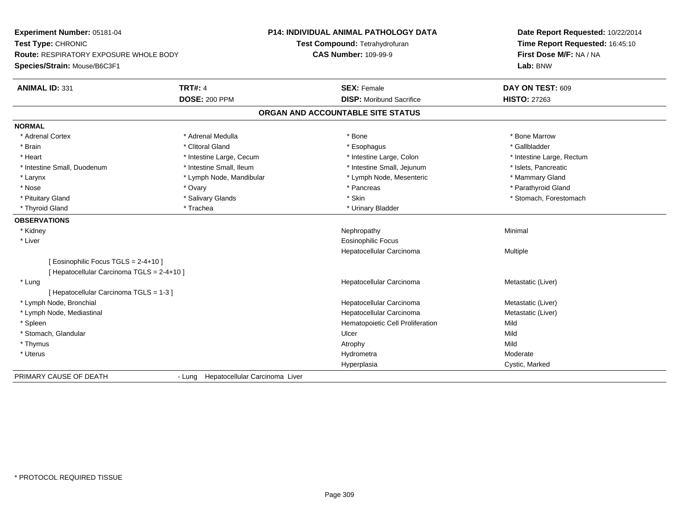| Experiment Number: 05181-04                                         |                                       | P14: INDIVIDUAL ANIMAL PATHOLOGY DATA | Date Report Requested: 10/22/2014 |
|---------------------------------------------------------------------|---------------------------------------|---------------------------------------|-----------------------------------|
| Test Type: CHRONIC<br><b>Route: RESPIRATORY EXPOSURE WHOLE BODY</b> |                                       | Test Compound: Tetrahydrofuran        | Time Report Requested: 16:45:10   |
|                                                                     |                                       | <b>CAS Number: 109-99-9</b>           | First Dose M/F: NA / NA           |
| Species/Strain: Mouse/B6C3F1                                        |                                       |                                       | Lab: BNW                          |
| <b>ANIMAL ID: 331</b>                                               | <b>TRT#: 4</b>                        | <b>SEX: Female</b>                    | DAY ON TEST: 609                  |
|                                                                     | <b>DOSE: 200 PPM</b>                  | <b>DISP: Moribund Sacrifice</b>       | <b>HISTO: 27263</b>               |
|                                                                     |                                       | ORGAN AND ACCOUNTABLE SITE STATUS     |                                   |
| <b>NORMAL</b>                                                       |                                       |                                       |                                   |
| * Adrenal Cortex                                                    | * Adrenal Medulla                     | * Bone                                | * Bone Marrow                     |
| * Brain                                                             | * Clitoral Gland                      | * Esophagus                           | * Gallbladder                     |
| * Heart                                                             | * Intestine Large, Cecum              | * Intestine Large, Colon              | * Intestine Large, Rectum         |
| * Intestine Small, Duodenum                                         | * Intestine Small, Ileum              | * Intestine Small, Jejunum            | * Islets, Pancreatic              |
| * Larynx                                                            | * Lymph Node, Mandibular              | * Lymph Node, Mesenteric              | * Mammary Gland                   |
| * Nose                                                              | * Ovary                               | * Pancreas                            | * Parathyroid Gland               |
| * Pituitary Gland                                                   | * Salivary Glands                     | * Skin                                | * Stomach, Forestomach            |
| * Thyroid Gland                                                     | * Trachea                             | * Urinary Bladder                     |                                   |
| <b>OBSERVATIONS</b>                                                 |                                       |                                       |                                   |
| * Kidney                                                            |                                       | Nephropathy                           | Minimal                           |
| * Liver                                                             |                                       | <b>Eosinophilic Focus</b>             |                                   |
|                                                                     |                                       | Hepatocellular Carcinoma              | Multiple                          |
| [ Eosinophilic Focus TGLS = 2-4+10 ]                                |                                       |                                       |                                   |
| [ Hepatocellular Carcinoma TGLS = 2-4+10 ]                          |                                       |                                       |                                   |
| * Lung                                                              |                                       | Hepatocellular Carcinoma              | Metastatic (Liver)                |
| [ Hepatocellular Carcinoma TGLS = 1-3 ]                             |                                       |                                       |                                   |
| * Lymph Node, Bronchial                                             |                                       | Hepatocellular Carcinoma              | Metastatic (Liver)                |
| * Lymph Node, Mediastinal                                           |                                       | Hepatocellular Carcinoma              | Metastatic (Liver)                |
| * Spleen                                                            |                                       | Hematopoietic Cell Proliferation      | Mild                              |
| * Stomach, Glandular                                                |                                       | Ulcer                                 | Mild                              |
| * Thymus                                                            |                                       | Atrophy                               | Mild                              |
| * Uterus                                                            |                                       | Hydrometra                            | Moderate                          |
|                                                                     |                                       | Hyperplasia                           | Cystic, Marked                    |
| PRIMARY CAUSE OF DEATH                                              | - Lung Hepatocellular Carcinoma Liver |                                       |                                   |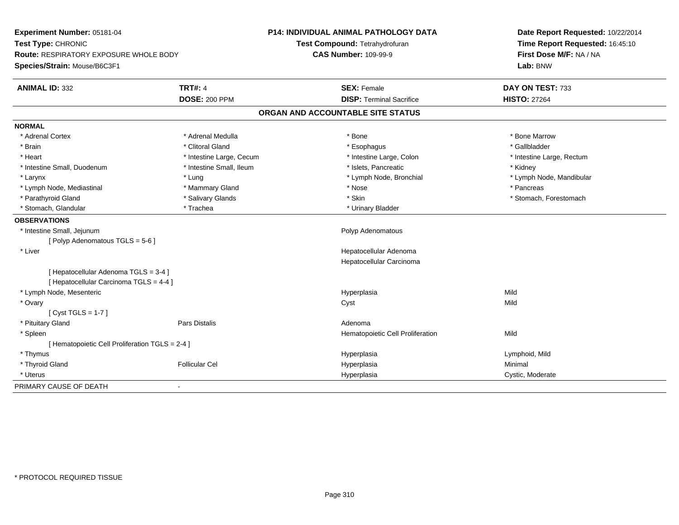| Experiment Number: 05181-04                                                      |                          | <b>P14: INDIVIDUAL ANIMAL PATHOLOGY DATA</b> | Date Report Requested: 10/22/2014 |
|----------------------------------------------------------------------------------|--------------------------|----------------------------------------------|-----------------------------------|
| Test Type: CHRONIC                                                               |                          | Test Compound: Tetrahydrofuran               | Time Report Requested: 16:45:10   |
| <b>Route: RESPIRATORY EXPOSURE WHOLE BODY</b>                                    |                          | <b>CAS Number: 109-99-9</b>                  | First Dose M/F: NA / NA           |
| Species/Strain: Mouse/B6C3F1                                                     |                          |                                              | Lab: BNW                          |
| <b>ANIMAL ID: 332</b>                                                            | <b>TRT#: 4</b>           | <b>SEX: Female</b>                           | DAY ON TEST: 733                  |
|                                                                                  | <b>DOSE: 200 PPM</b>     | <b>DISP: Terminal Sacrifice</b>              | <b>HISTO: 27264</b>               |
|                                                                                  |                          | ORGAN AND ACCOUNTABLE SITE STATUS            |                                   |
| <b>NORMAL</b>                                                                    |                          |                                              |                                   |
| * Adrenal Cortex                                                                 | * Adrenal Medulla        | * Bone                                       | * Bone Marrow                     |
| * Brain                                                                          | * Clitoral Gland         | * Esophagus                                  | * Gallbladder                     |
| * Heart                                                                          | * Intestine Large, Cecum | * Intestine Large, Colon                     | * Intestine Large, Rectum         |
| * Intestine Small, Duodenum                                                      | * Intestine Small, Ileum | * Islets, Pancreatic                         | * Kidney                          |
| * Larynx                                                                         | * Lung                   | * Lymph Node, Bronchial                      | * Lymph Node, Mandibular          |
| * Lymph Node, Mediastinal                                                        | * Mammary Gland          | * Nose                                       | * Pancreas                        |
| * Parathyroid Gland                                                              | * Salivary Glands        | * Skin                                       | * Stomach, Forestomach            |
| * Stomach, Glandular                                                             | * Trachea                | * Urinary Bladder                            |                                   |
| <b>OBSERVATIONS</b>                                                              |                          |                                              |                                   |
| * Intestine Small, Jejunum                                                       |                          | Polyp Adenomatous                            |                                   |
| [Polyp Adenomatous TGLS = 5-6]                                                   |                          |                                              |                                   |
| * Liver                                                                          |                          | Hepatocellular Adenoma                       |                                   |
|                                                                                  |                          | Hepatocellular Carcinoma                     |                                   |
| [ Hepatocellular Adenoma TGLS = 3-4 ]<br>[ Hepatocellular Carcinoma TGLS = 4-4 ] |                          |                                              |                                   |
| * Lymph Node, Mesenteric                                                         |                          | Hyperplasia                                  | Mild                              |
| * Ovary                                                                          |                          | Cyst                                         | Mild                              |
| [Cyst TGLS = $1-7$ ]                                                             |                          |                                              |                                   |
| * Pituitary Gland                                                                | <b>Pars Distalis</b>     | Adenoma                                      |                                   |
| * Spleen                                                                         |                          | Hematopoietic Cell Proliferation             | Mild                              |
| [ Hematopoietic Cell Proliferation TGLS = 2-4 ]                                  |                          |                                              |                                   |
| * Thymus                                                                         |                          | Hyperplasia                                  | Lymphoid, Mild                    |
| * Thyroid Gland                                                                  | <b>Follicular Cel</b>    | Hyperplasia                                  | Minimal                           |
| * Uterus                                                                         |                          | Hyperplasia                                  | Cystic, Moderate                  |
| PRIMARY CAUSE OF DEATH                                                           | $\blacksquare$           |                                              |                                   |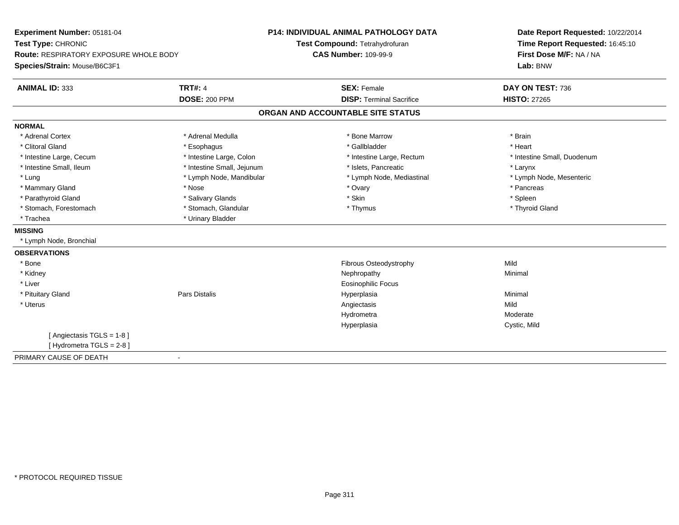| Experiment Number: 05181-04            |                            | <b>P14: INDIVIDUAL ANIMAL PATHOLOGY DATA</b> | Date Report Requested: 10/22/2014 |
|----------------------------------------|----------------------------|----------------------------------------------|-----------------------------------|
| Test Type: CHRONIC                     |                            | Test Compound: Tetrahydrofuran               | Time Report Requested: 16:45:10   |
| Route: RESPIRATORY EXPOSURE WHOLE BODY |                            | <b>CAS Number: 109-99-9</b>                  | First Dose M/F: NA / NA           |
| Species/Strain: Mouse/B6C3F1           |                            |                                              | Lab: BNW                          |
| <b>ANIMAL ID: 333</b>                  | <b>TRT#: 4</b>             | <b>SEX: Female</b>                           | DAY ON TEST: 736                  |
|                                        | <b>DOSE: 200 PPM</b>       | <b>DISP: Terminal Sacrifice</b>              | <b>HISTO: 27265</b>               |
|                                        |                            | ORGAN AND ACCOUNTABLE SITE STATUS            |                                   |
| <b>NORMAL</b>                          |                            |                                              |                                   |
| * Adrenal Cortex                       | * Adrenal Medulla          | * Bone Marrow                                | * Brain                           |
| * Clitoral Gland                       | * Esophagus                | * Gallbladder                                | * Heart                           |
| * Intestine Large, Cecum               | * Intestine Large, Colon   | * Intestine Large, Rectum                    | * Intestine Small, Duodenum       |
| * Intestine Small, Ileum               | * Intestine Small, Jejunum | * Islets, Pancreatic                         | * Larynx                          |
| * Lung                                 | * Lymph Node, Mandibular   | * Lymph Node, Mediastinal                    | * Lymph Node, Mesenteric          |
| * Mammary Gland                        | * Nose                     | * Ovary                                      | * Pancreas                        |
| * Parathyroid Gland                    | * Salivary Glands          | * Skin                                       | * Spleen                          |
| * Stomach, Forestomach                 | * Stomach, Glandular       | * Thymus                                     | * Thyroid Gland                   |
| * Trachea                              | * Urinary Bladder          |                                              |                                   |
| <b>MISSING</b>                         |                            |                                              |                                   |
| * Lymph Node, Bronchial                |                            |                                              |                                   |
| <b>OBSERVATIONS</b>                    |                            |                                              |                                   |
| * Bone                                 |                            | Fibrous Osteodystrophy                       | Mild                              |
| * Kidney                               |                            | Nephropathy                                  | Minimal                           |
| * Liver                                |                            | Eosinophilic Focus                           |                                   |
| * Pituitary Gland                      | Pars Distalis              | Hyperplasia                                  | Minimal                           |
| * Uterus                               |                            | Angiectasis                                  | Mild                              |
|                                        |                            | Hydrometra                                   | Moderate                          |
|                                        |                            | Hyperplasia                                  | Cystic, Mild                      |
| [Angiectasis TGLS = 1-8]               |                            |                                              |                                   |
| [ Hydrometra TGLS = 2-8 ]              |                            |                                              |                                   |
| PRIMARY CAUSE OF DEATH                 | $\blacksquare$             |                                              |                                   |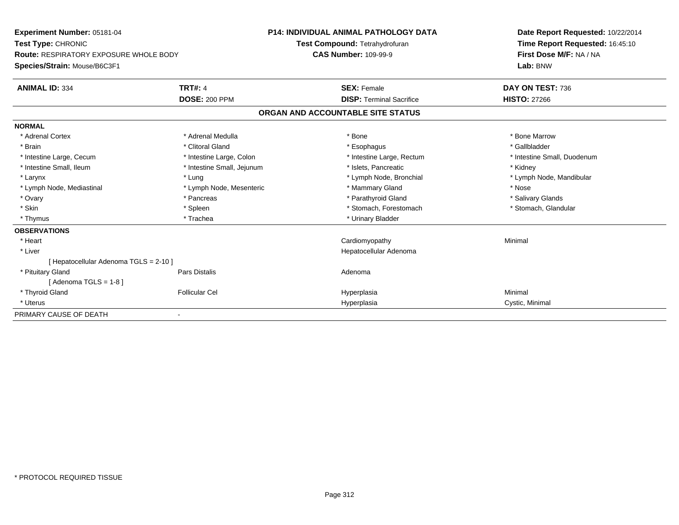| <b>Experiment Number: 05181-04</b><br>Test Type: CHRONIC<br><b>Route: RESPIRATORY EXPOSURE WHOLE BODY</b><br>Species/Strain: Mouse/B6C3F1 |                            | <b>P14: INDIVIDUAL ANIMAL PATHOLOGY DATA</b><br>Test Compound: Tetrahydrofuran<br><b>CAS Number: 109-99-9</b> | Date Report Requested: 10/22/2014<br>Time Report Requested: 16:45:10<br>First Dose M/F: NA / NA<br>Lab: BNW |
|-------------------------------------------------------------------------------------------------------------------------------------------|----------------------------|---------------------------------------------------------------------------------------------------------------|-------------------------------------------------------------------------------------------------------------|
| <b>ANIMAL ID: 334</b>                                                                                                                     | <b>TRT#: 4</b>             | <b>SEX: Female</b>                                                                                            | DAY ON TEST: 736                                                                                            |
|                                                                                                                                           | <b>DOSE: 200 PPM</b>       | <b>DISP: Terminal Sacrifice</b>                                                                               | <b>HISTO: 27266</b>                                                                                         |
|                                                                                                                                           |                            | ORGAN AND ACCOUNTABLE SITE STATUS                                                                             |                                                                                                             |
| <b>NORMAL</b>                                                                                                                             |                            |                                                                                                               |                                                                                                             |
| * Adrenal Cortex                                                                                                                          | * Adrenal Medulla          | * Bone                                                                                                        | * Bone Marrow                                                                                               |
| * Brain                                                                                                                                   | * Clitoral Gland           | * Esophagus                                                                                                   | * Gallbladder                                                                                               |
| * Intestine Large, Cecum                                                                                                                  | * Intestine Large, Colon   | * Intestine Large, Rectum                                                                                     | * Intestine Small, Duodenum                                                                                 |
| * Intestine Small. Ileum                                                                                                                  | * Intestine Small, Jejunum | * Islets. Pancreatic                                                                                          | * Kidney                                                                                                    |
| * Larynx                                                                                                                                  | * Lung                     | * Lymph Node, Bronchial                                                                                       | * Lymph Node, Mandibular                                                                                    |
| * Lymph Node, Mediastinal                                                                                                                 | * Lymph Node, Mesenteric   | * Mammary Gland                                                                                               | * Nose                                                                                                      |
| * Ovary                                                                                                                                   | * Pancreas                 | * Parathyroid Gland                                                                                           | * Salivary Glands                                                                                           |
| * Skin                                                                                                                                    | * Spleen                   | * Stomach, Forestomach                                                                                        | * Stomach, Glandular                                                                                        |
| * Thymus                                                                                                                                  | * Trachea                  | * Urinary Bladder                                                                                             |                                                                                                             |
| <b>OBSERVATIONS</b>                                                                                                                       |                            |                                                                                                               |                                                                                                             |
| * Heart                                                                                                                                   |                            | Cardiomyopathy                                                                                                | Minimal                                                                                                     |
| * Liver                                                                                                                                   |                            | Hepatocellular Adenoma                                                                                        |                                                                                                             |
| [ Hepatocellular Adenoma TGLS = 2-10 ]                                                                                                    |                            |                                                                                                               |                                                                                                             |
| * Pituitary Gland                                                                                                                         | Pars Distalis              | Adenoma                                                                                                       |                                                                                                             |
| [Adenoma TGLS = $1-8$ ]                                                                                                                   |                            |                                                                                                               |                                                                                                             |
| * Thyroid Gland                                                                                                                           | <b>Follicular Cel</b>      | Hyperplasia                                                                                                   | Minimal                                                                                                     |
| * Uterus                                                                                                                                  |                            | Hyperplasia                                                                                                   | Cystic, Minimal                                                                                             |
| PRIMARY CAUSE OF DEATH                                                                                                                    |                            |                                                                                                               |                                                                                                             |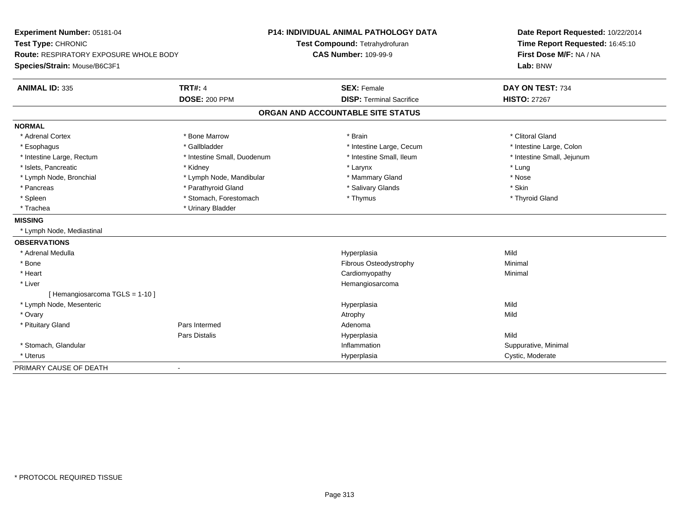| Experiment Number: 05181-04                   |                             | <b>P14: INDIVIDUAL ANIMAL PATHOLOGY DATA</b> | Date Report Requested: 10/22/2014<br>Time Report Requested: 16:45:10 |
|-----------------------------------------------|-----------------------------|----------------------------------------------|----------------------------------------------------------------------|
| Test Type: CHRONIC                            |                             | Test Compound: Tetrahydrofuran               |                                                                      |
| <b>Route: RESPIRATORY EXPOSURE WHOLE BODY</b> |                             | <b>CAS Number: 109-99-9</b>                  | First Dose M/F: NA / NA                                              |
| Species/Strain: Mouse/B6C3F1                  |                             |                                              | Lab: BNW                                                             |
| <b>ANIMAL ID: 335</b>                         | <b>TRT#: 4</b>              | <b>SEX: Female</b>                           | DAY ON TEST: 734                                                     |
|                                               | <b>DOSE: 200 PPM</b>        | <b>DISP: Terminal Sacrifice</b>              | <b>HISTO: 27267</b>                                                  |
|                                               |                             | ORGAN AND ACCOUNTABLE SITE STATUS            |                                                                      |
| <b>NORMAL</b>                                 |                             |                                              |                                                                      |
| * Adrenal Cortex                              | * Bone Marrow               | * Brain                                      | * Clitoral Gland                                                     |
| * Esophagus                                   | * Gallbladder               | * Intestine Large, Cecum                     | * Intestine Large, Colon                                             |
| * Intestine Large, Rectum                     | * Intestine Small, Duodenum | * Intestine Small. Ileum                     | * Intestine Small, Jejunum                                           |
| * Islets, Pancreatic                          | * Kidney                    | * Larynx                                     | * Lung                                                               |
| * Lymph Node, Bronchial                       | * Lymph Node, Mandibular    | * Mammary Gland                              | * Nose                                                               |
| * Pancreas                                    | * Parathyroid Gland         | * Salivary Glands                            | * Skin                                                               |
| * Spleen                                      | * Stomach, Forestomach      | * Thymus                                     | * Thyroid Gland                                                      |
| * Trachea                                     | * Urinary Bladder           |                                              |                                                                      |
| <b>MISSING</b>                                |                             |                                              |                                                                      |
| * Lymph Node, Mediastinal                     |                             |                                              |                                                                      |
| <b>OBSERVATIONS</b>                           |                             |                                              |                                                                      |
| * Adrenal Medulla                             |                             | Hyperplasia                                  | Mild                                                                 |
| * Bone                                        |                             | Fibrous Osteodystrophy                       | Minimal                                                              |
| * Heart                                       |                             | Cardiomyopathy                               | Minimal                                                              |
| * Liver                                       |                             | Hemangiosarcoma                              |                                                                      |
| [Hemangiosarcoma TGLS = 1-10]                 |                             |                                              |                                                                      |
| * Lymph Node, Mesenteric                      |                             | Hyperplasia                                  | Mild                                                                 |
| * Ovary                                       |                             | Atrophy                                      | Mild                                                                 |
| * Pituitary Gland                             | Pars Intermed               | Adenoma                                      |                                                                      |
|                                               | <b>Pars Distalis</b>        | Hyperplasia                                  | Mild                                                                 |
| * Stomach, Glandular                          |                             | Inflammation                                 | Suppurative, Minimal                                                 |
| * Uterus                                      |                             | Hyperplasia                                  | Cystic, Moderate                                                     |
| PRIMARY CAUSE OF DEATH                        |                             |                                              |                                                                      |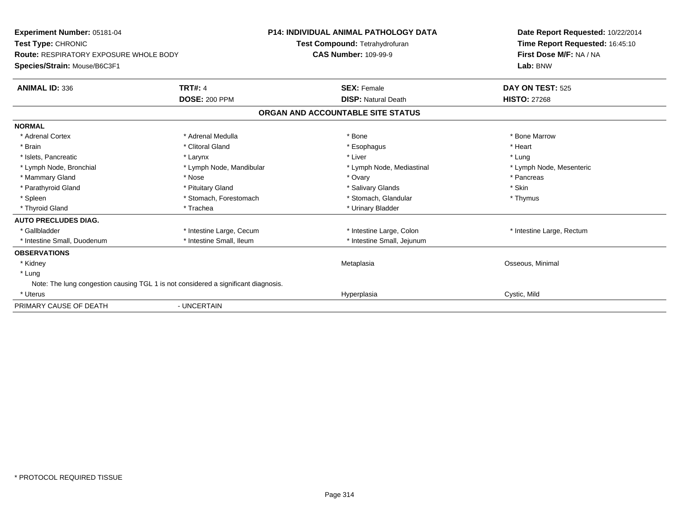| Experiment Number: 05181-04<br>Test Type: CHRONIC<br><b>Route: RESPIRATORY EXPOSURE WHOLE BODY</b><br>Species/Strain: Mouse/B6C3F1 |                          | <b>P14: INDIVIDUAL ANIMAL PATHOLOGY DATA</b><br>Test Compound: Tetrahydrofuran<br><b>CAS Number: 109-99-9</b> | Date Report Requested: 10/22/2014<br>Time Report Requested: 16:45:10<br>First Dose M/F: NA / NA<br>Lab: BNW |
|------------------------------------------------------------------------------------------------------------------------------------|--------------------------|---------------------------------------------------------------------------------------------------------------|-------------------------------------------------------------------------------------------------------------|
| <b>ANIMAL ID: 336</b>                                                                                                              | <b>TRT#: 4</b>           | <b>SEX: Female</b>                                                                                            | DAY ON TEST: 525                                                                                            |
|                                                                                                                                    | <b>DOSE: 200 PPM</b>     | <b>DISP: Natural Death</b>                                                                                    | <b>HISTO: 27268</b>                                                                                         |
|                                                                                                                                    |                          | ORGAN AND ACCOUNTABLE SITE STATUS                                                                             |                                                                                                             |
| <b>NORMAL</b>                                                                                                                      |                          |                                                                                                               |                                                                                                             |
| * Adrenal Cortex                                                                                                                   | * Adrenal Medulla        | * Bone                                                                                                        | * Bone Marrow                                                                                               |
| * Brain                                                                                                                            | * Clitoral Gland         | * Esophagus                                                                                                   | * Heart                                                                                                     |
| * Islets, Pancreatic                                                                                                               | * Larynx                 | * Liver                                                                                                       | * Lung                                                                                                      |
| * Lymph Node, Bronchial                                                                                                            | * Lymph Node, Mandibular | * Lymph Node, Mediastinal                                                                                     | * Lymph Node, Mesenteric                                                                                    |
| * Mammary Gland                                                                                                                    | * Nose                   | * Ovary                                                                                                       | * Pancreas                                                                                                  |
| * Parathyroid Gland                                                                                                                | * Pituitary Gland        | * Salivary Glands                                                                                             | * Skin                                                                                                      |
| * Spleen                                                                                                                           | * Stomach, Forestomach   | * Stomach, Glandular                                                                                          | * Thymus                                                                                                    |
| * Thyroid Gland                                                                                                                    | * Trachea                | * Urinary Bladder                                                                                             |                                                                                                             |
| <b>AUTO PRECLUDES DIAG.</b>                                                                                                        |                          |                                                                                                               |                                                                                                             |
| * Gallbladder                                                                                                                      | * Intestine Large, Cecum | * Intestine Large, Colon                                                                                      | * Intestine Large, Rectum                                                                                   |
| * Intestine Small, Duodenum                                                                                                        | * Intestine Small, Ileum | * Intestine Small, Jejunum                                                                                    |                                                                                                             |
| <b>OBSERVATIONS</b>                                                                                                                |                          |                                                                                                               |                                                                                                             |
| * Kidney                                                                                                                           |                          | Metaplasia                                                                                                    | Osseous, Minimal                                                                                            |
| * Lung                                                                                                                             |                          |                                                                                                               |                                                                                                             |
| Note: The lung congestion causing TGL 1 is not considered a significant diagnosis.                                                 |                          |                                                                                                               |                                                                                                             |
| * Uterus                                                                                                                           |                          | Hyperplasia                                                                                                   | Cystic, Mild                                                                                                |
| PRIMARY CAUSE OF DEATH                                                                                                             | - UNCERTAIN              |                                                                                                               |                                                                                                             |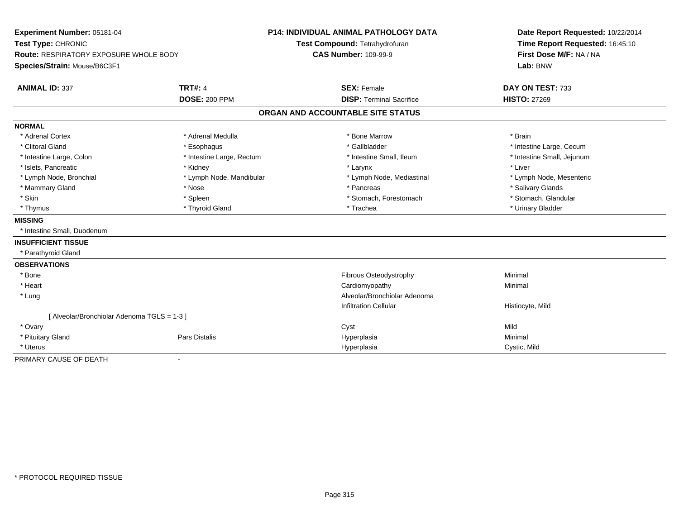| Experiment Number: 05181-04<br>Test Type: CHRONIC<br><b>Route: RESPIRATORY EXPOSURE WHOLE BODY</b> |                              | <b>P14: INDIVIDUAL ANIMAL PATHOLOGY DATA</b> | Date Report Requested: 10/22/2014<br>Time Report Requested: 16:45:10<br>First Dose M/F: NA / NA |
|----------------------------------------------------------------------------------------------------|------------------------------|----------------------------------------------|-------------------------------------------------------------------------------------------------|
|                                                                                                    |                              | Test Compound: Tetrahydrofuran               |                                                                                                 |
|                                                                                                    |                              | <b>CAS Number: 109-99-9</b>                  |                                                                                                 |
| Species/Strain: Mouse/B6C3F1                                                                       |                              |                                              | Lab: BNW                                                                                        |
| <b>ANIMAL ID: 337</b>                                                                              | <b>TRT#: 4</b>               | <b>SEX: Female</b>                           | DAY ON TEST: 733                                                                                |
|                                                                                                    | <b>DOSE: 200 PPM</b>         | <b>DISP: Terminal Sacrifice</b>              | <b>HISTO: 27269</b>                                                                             |
|                                                                                                    |                              | ORGAN AND ACCOUNTABLE SITE STATUS            |                                                                                                 |
| <b>NORMAL</b>                                                                                      |                              |                                              |                                                                                                 |
| * Adrenal Cortex                                                                                   | * Adrenal Medulla            | * Bone Marrow                                | * Brain                                                                                         |
| * Clitoral Gland                                                                                   | * Esophagus                  | * Gallbladder                                | * Intestine Large, Cecum                                                                        |
| * Intestine Large, Colon                                                                           | * Intestine Large, Rectum    | * Intestine Small, Ileum                     | * Intestine Small, Jejunum                                                                      |
| * Islets, Pancreatic                                                                               | * Kidney                     | * Larynx                                     | * Liver                                                                                         |
| * Lymph Node, Bronchial                                                                            | * Lymph Node, Mandibular     | * Lymph Node, Mediastinal                    | * Lymph Node, Mesenteric                                                                        |
| * Mammary Gland                                                                                    | * Nose                       | * Pancreas                                   | * Salivary Glands                                                                               |
| * Skin                                                                                             | * Spleen                     | * Stomach, Forestomach                       | * Stomach, Glandular                                                                            |
| * Thymus                                                                                           | * Thyroid Gland              | * Trachea                                    | * Urinary Bladder                                                                               |
| <b>MISSING</b>                                                                                     |                              |                                              |                                                                                                 |
| * Intestine Small, Duodenum                                                                        |                              |                                              |                                                                                                 |
| <b>INSUFFICIENT TISSUE</b>                                                                         |                              |                                              |                                                                                                 |
| * Parathyroid Gland                                                                                |                              |                                              |                                                                                                 |
| <b>OBSERVATIONS</b>                                                                                |                              |                                              |                                                                                                 |
| * Bone                                                                                             |                              | Fibrous Osteodystrophy                       | Minimal                                                                                         |
| * Heart                                                                                            |                              | Cardiomyopathy                               | Minimal                                                                                         |
| * Lung                                                                                             |                              | Alveolar/Bronchiolar Adenoma                 |                                                                                                 |
|                                                                                                    |                              | <b>Infiltration Cellular</b>                 | Histiocyte, Mild                                                                                |
| [ Alveolar/Bronchiolar Adenoma TGLS = 1-3 ]                                                        |                              |                                              |                                                                                                 |
| * Ovary                                                                                            |                              | Cyst                                         | Mild                                                                                            |
| * Pituitary Gland                                                                                  | <b>Pars Distalis</b>         | Hyperplasia                                  | Minimal                                                                                         |
| * Uterus                                                                                           |                              | Hyperplasia                                  | Cystic, Mild                                                                                    |
| PRIMARY CAUSE OF DEATH                                                                             | $\qquad \qquad \blacksquare$ |                                              |                                                                                                 |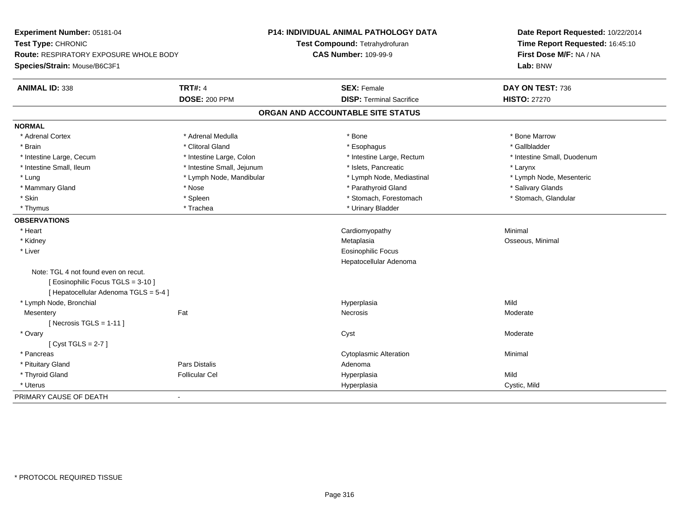| Experiment Number: 05181-04            |                            | P14: INDIVIDUAL ANIMAL PATHOLOGY DATA | Date Report Requested: 10/22/2014<br>Time Report Requested: 16:45:10 |
|----------------------------------------|----------------------------|---------------------------------------|----------------------------------------------------------------------|
| Test Type: CHRONIC                     |                            | Test Compound: Tetrahydrofuran        |                                                                      |
| Route: RESPIRATORY EXPOSURE WHOLE BODY |                            | <b>CAS Number: 109-99-9</b>           | First Dose M/F: NA / NA                                              |
| Species/Strain: Mouse/B6C3F1           |                            |                                       | Lab: BNW                                                             |
| <b>ANIMAL ID: 338</b>                  | <b>TRT#: 4</b>             | <b>SEX: Female</b>                    | DAY ON TEST: 736                                                     |
|                                        | <b>DOSE: 200 PPM</b>       | <b>DISP: Terminal Sacrifice</b>       | <b>HISTO: 27270</b>                                                  |
|                                        |                            | ORGAN AND ACCOUNTABLE SITE STATUS     |                                                                      |
| <b>NORMAL</b>                          |                            |                                       |                                                                      |
| * Adrenal Cortex                       | * Adrenal Medulla          | * Bone                                | * Bone Marrow                                                        |
| * Brain                                | * Clitoral Gland           | * Esophagus                           | * Gallbladder                                                        |
| * Intestine Large, Cecum               | * Intestine Large, Colon   | * Intestine Large, Rectum             | * Intestine Small, Duodenum                                          |
| * Intestine Small, Ileum               | * Intestine Small, Jejunum | * Islets, Pancreatic                  | * Larynx                                                             |
| * Lung                                 | * Lymph Node, Mandibular   | * Lymph Node, Mediastinal             | * Lymph Node, Mesenteric                                             |
| * Mammary Gland                        | * Nose                     | * Parathyroid Gland                   | * Salivary Glands                                                    |
| * Skin                                 | * Spleen                   | * Stomach, Forestomach                | * Stomach, Glandular                                                 |
| * Thymus                               | * Trachea                  | * Urinary Bladder                     |                                                                      |
| <b>OBSERVATIONS</b>                    |                            |                                       |                                                                      |
| * Heart                                |                            | Cardiomyopathy                        | Minimal                                                              |
| * Kidney                               |                            | Metaplasia                            | Osseous, Minimal                                                     |
| * Liver                                |                            | Eosinophilic Focus                    |                                                                      |
|                                        |                            | Hepatocellular Adenoma                |                                                                      |
| Note: TGL 4 not found even on recut.   |                            |                                       |                                                                      |
| [Eosinophilic Focus TGLS = 3-10]       |                            |                                       |                                                                      |
| [ Hepatocellular Adenoma TGLS = 5-4 ]  |                            |                                       |                                                                      |
| * Lymph Node, Bronchial                |                            | Hyperplasia                           | Mild                                                                 |
| Mesentery                              | Fat                        | Necrosis                              | Moderate                                                             |
| [ Necrosis TGLS = $1-11$ ]             |                            |                                       |                                                                      |
| * Ovary                                |                            | Cyst                                  | Moderate                                                             |
| [Cyst TGLS = $2-7$ ]                   |                            |                                       |                                                                      |
| * Pancreas                             |                            | <b>Cytoplasmic Alteration</b>         | Minimal                                                              |
| * Pituitary Gland                      | Pars Distalis              | Adenoma                               |                                                                      |
| * Thyroid Gland                        | <b>Follicular Cel</b>      | Hyperplasia                           | Mild                                                                 |
| * Uterus                               |                            | Hyperplasia                           | Cystic, Mild                                                         |
| PRIMARY CAUSE OF DEATH                 |                            |                                       |                                                                      |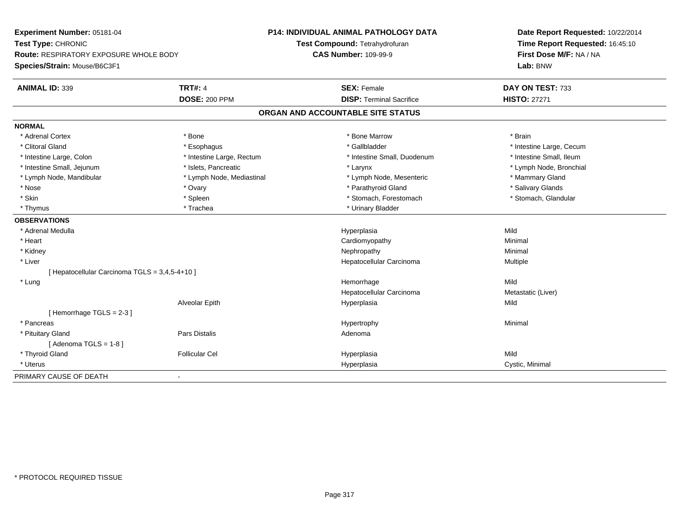| Experiment Number: 05181-04<br>Test Type: CHRONIC<br>Route: RESPIRATORY EXPOSURE WHOLE BODY |                           | <b>P14: INDIVIDUAL ANIMAL PATHOLOGY DATA</b> | Date Report Requested: 10/22/2014<br>Time Report Requested: 16:45:10<br>First Dose M/F: NA / NA |
|---------------------------------------------------------------------------------------------|---------------------------|----------------------------------------------|-------------------------------------------------------------------------------------------------|
|                                                                                             |                           | Test Compound: Tetrahydrofuran               |                                                                                                 |
|                                                                                             |                           | <b>CAS Number: 109-99-9</b>                  |                                                                                                 |
| Species/Strain: Mouse/B6C3F1                                                                |                           |                                              | Lab: BNW                                                                                        |
| <b>ANIMAL ID: 339</b>                                                                       | <b>TRT#: 4</b>            | <b>SEX: Female</b>                           | DAY ON TEST: 733                                                                                |
|                                                                                             | <b>DOSE: 200 PPM</b>      | <b>DISP: Terminal Sacrifice</b>              | <b>HISTO: 27271</b>                                                                             |
|                                                                                             |                           | ORGAN AND ACCOUNTABLE SITE STATUS            |                                                                                                 |
| <b>NORMAL</b>                                                                               |                           |                                              |                                                                                                 |
| * Adrenal Cortex                                                                            | * Bone                    | * Bone Marrow                                | * Brain                                                                                         |
| * Clitoral Gland                                                                            | * Esophagus               | * Gallbladder                                | * Intestine Large, Cecum                                                                        |
| * Intestine Large, Colon                                                                    | * Intestine Large, Rectum | * Intestine Small, Duodenum                  | * Intestine Small, Ileum                                                                        |
| * Intestine Small, Jejunum                                                                  | * Islets, Pancreatic      | * Larynx                                     | * Lymph Node, Bronchial                                                                         |
| * Lymph Node, Mandibular                                                                    | * Lymph Node, Mediastinal | * Lymph Node, Mesenteric                     | * Mammary Gland                                                                                 |
| * Nose                                                                                      | * Ovary                   | * Parathyroid Gland                          | * Salivary Glands                                                                               |
| * Skin                                                                                      | * Spleen                  | * Stomach, Forestomach                       | * Stomach, Glandular                                                                            |
| * Thymus                                                                                    | * Trachea                 | * Urinary Bladder                            |                                                                                                 |
| <b>OBSERVATIONS</b>                                                                         |                           |                                              |                                                                                                 |
| * Adrenal Medulla                                                                           |                           | Hyperplasia                                  | Mild                                                                                            |
| * Heart                                                                                     |                           | Cardiomyopathy                               | Minimal                                                                                         |
| * Kidney                                                                                    |                           | Nephropathy                                  | Minimal                                                                                         |
| * Liver                                                                                     |                           | Hepatocellular Carcinoma                     | Multiple                                                                                        |
| [ Hepatocellular Carcinoma TGLS = 3,4,5-4+10 ]                                              |                           |                                              |                                                                                                 |
| * Lung                                                                                      |                           | Hemorrhage                                   | Mild                                                                                            |
|                                                                                             |                           | Hepatocellular Carcinoma                     | Metastatic (Liver)                                                                              |
|                                                                                             | Alveolar Epith            | Hyperplasia                                  | Mild                                                                                            |
| [Hemorrhage TGLS = 2-3]                                                                     |                           |                                              |                                                                                                 |
| * Pancreas                                                                                  |                           | Hypertrophy                                  | Minimal                                                                                         |
| * Pituitary Gland                                                                           | Pars Distalis             | Adenoma                                      |                                                                                                 |
| [Adenoma TGLS = $1-8$ ]                                                                     |                           |                                              |                                                                                                 |
| * Thyroid Gland                                                                             | <b>Follicular Cel</b>     | Hyperplasia                                  | Mild                                                                                            |
| * Uterus                                                                                    |                           | Hyperplasia                                  | Cystic, Minimal                                                                                 |
| PRIMARY CAUSE OF DEATH                                                                      | $\blacksquare$            |                                              |                                                                                                 |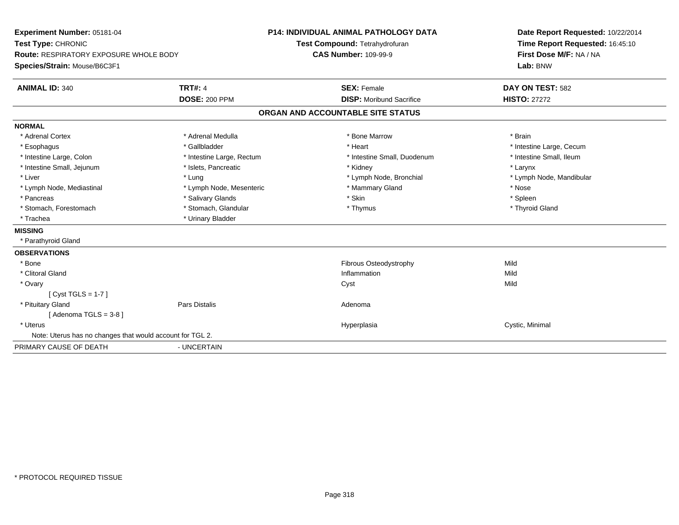| Experiment Number: 05181-04                               |                           | <b>P14: INDIVIDUAL ANIMAL PATHOLOGY DATA</b> | Date Report Requested: 10/22/2014                          |
|-----------------------------------------------------------|---------------------------|----------------------------------------------|------------------------------------------------------------|
| Test Type: CHRONIC                                        |                           | Test Compound: Tetrahydrofuran               | Time Report Requested: 16:45:10<br>First Dose M/F: NA / NA |
| Route: RESPIRATORY EXPOSURE WHOLE BODY                    |                           | <b>CAS Number: 109-99-9</b>                  |                                                            |
| Species/Strain: Mouse/B6C3F1                              |                           |                                              | Lab: BNW                                                   |
| <b>ANIMAL ID: 340</b>                                     | <b>TRT#: 4</b>            | <b>SEX: Female</b>                           | DAY ON TEST: 582                                           |
|                                                           | <b>DOSE: 200 PPM</b>      | <b>DISP:</b> Moribund Sacrifice              | <b>HISTO: 27272</b>                                        |
|                                                           |                           | ORGAN AND ACCOUNTABLE SITE STATUS            |                                                            |
| <b>NORMAL</b>                                             |                           |                                              |                                                            |
| * Adrenal Cortex                                          | * Adrenal Medulla         | * Bone Marrow                                | * Brain                                                    |
| * Esophagus                                               | * Gallbladder             | * Heart                                      | * Intestine Large, Cecum                                   |
| * Intestine Large, Colon                                  | * Intestine Large, Rectum | * Intestine Small, Duodenum                  | * Intestine Small. Ileum                                   |
| * Intestine Small, Jejunum                                | * Islets, Pancreatic      | * Kidney                                     | * Larynx                                                   |
| * Liver                                                   | * Lung                    | * Lymph Node, Bronchial                      | * Lymph Node, Mandibular                                   |
| * Lymph Node, Mediastinal                                 | * Lymph Node, Mesenteric  | * Mammary Gland                              | * Nose                                                     |
| * Pancreas                                                | * Salivary Glands         | * Skin                                       | * Spleen                                                   |
| * Stomach, Forestomach                                    | * Stomach, Glandular      | * Thymus                                     | * Thyroid Gland                                            |
| * Trachea                                                 | * Urinary Bladder         |                                              |                                                            |
| <b>MISSING</b>                                            |                           |                                              |                                                            |
| * Parathyroid Gland                                       |                           |                                              |                                                            |
| <b>OBSERVATIONS</b>                                       |                           |                                              |                                                            |
| * Bone                                                    |                           | Fibrous Osteodystrophy                       | Mild                                                       |
| * Clitoral Gland                                          |                           | Inflammation                                 | Mild                                                       |
| * Ovary                                                   |                           | Cyst                                         | Mild                                                       |
| [Cyst TGLS = $1-7$ ]                                      |                           |                                              |                                                            |
| * Pituitary Gland                                         | <b>Pars Distalis</b>      | Adenoma                                      |                                                            |
| [Adenoma TGLS = $3-8$ ]                                   |                           |                                              |                                                            |
| * Uterus                                                  |                           | Hyperplasia                                  | Cystic, Minimal                                            |
| Note: Uterus has no changes that would account for TGL 2. |                           |                                              |                                                            |
| PRIMARY CAUSE OF DEATH                                    | - UNCERTAIN               |                                              |                                                            |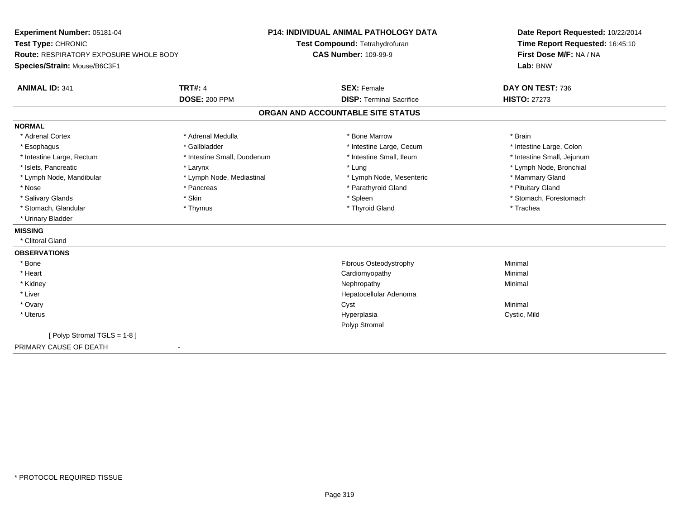| Experiment Number: 05181-04                   |                             | <b>P14: INDIVIDUAL ANIMAL PATHOLOGY DATA</b> | Date Report Requested: 10/22/2014<br>Time Report Requested: 16:45:10<br>First Dose M/F: NA / NA<br>Lab: BNW |
|-----------------------------------------------|-----------------------------|----------------------------------------------|-------------------------------------------------------------------------------------------------------------|
| Test Type: CHRONIC                            |                             | Test Compound: Tetrahydrofuran               |                                                                                                             |
| <b>Route: RESPIRATORY EXPOSURE WHOLE BODY</b> |                             | <b>CAS Number: 109-99-9</b>                  |                                                                                                             |
| Species/Strain: Mouse/B6C3F1                  |                             |                                              |                                                                                                             |
| <b>ANIMAL ID: 341</b>                         | <b>TRT#: 4</b>              | <b>SEX: Female</b>                           | DAY ON TEST: 736                                                                                            |
|                                               | <b>DOSE: 200 PPM</b>        | <b>DISP: Terminal Sacrifice</b>              | <b>HISTO: 27273</b>                                                                                         |
|                                               |                             | ORGAN AND ACCOUNTABLE SITE STATUS            |                                                                                                             |
| <b>NORMAL</b>                                 |                             |                                              |                                                                                                             |
| * Adrenal Cortex                              | * Adrenal Medulla           | * Bone Marrow                                | * Brain                                                                                                     |
| * Esophagus                                   | * Gallbladder               | * Intestine Large, Cecum                     | * Intestine Large, Colon                                                                                    |
| * Intestine Large, Rectum                     | * Intestine Small, Duodenum | * Intestine Small, Ileum                     | * Intestine Small, Jejunum                                                                                  |
| * Islets, Pancreatic                          | * Larynx                    | * Lung                                       | * Lymph Node, Bronchial                                                                                     |
| * Lymph Node, Mandibular                      | * Lymph Node, Mediastinal   | * Lymph Node, Mesenteric                     | * Mammary Gland                                                                                             |
| * Nose                                        | * Pancreas                  | * Parathyroid Gland                          | * Pituitary Gland                                                                                           |
| * Salivary Glands                             | * Skin                      | * Spleen                                     | * Stomach, Forestomach                                                                                      |
| * Stomach, Glandular                          | * Thymus                    | * Thyroid Gland                              | * Trachea                                                                                                   |
| * Urinary Bladder                             |                             |                                              |                                                                                                             |
| <b>MISSING</b>                                |                             |                                              |                                                                                                             |
| * Clitoral Gland                              |                             |                                              |                                                                                                             |
| <b>OBSERVATIONS</b>                           |                             |                                              |                                                                                                             |
| * Bone                                        |                             | Fibrous Osteodystrophy                       | Minimal                                                                                                     |
| * Heart                                       |                             | Cardiomyopathy                               | Minimal                                                                                                     |
| * Kidney                                      |                             | Nephropathy                                  | Minimal                                                                                                     |
| * Liver                                       |                             | Hepatocellular Adenoma                       |                                                                                                             |
| * Ovary                                       |                             | Cyst                                         | Minimal                                                                                                     |
| * Uterus                                      |                             | Hyperplasia                                  | Cystic, Mild                                                                                                |
|                                               |                             | Polyp Stromal                                |                                                                                                             |
| [Polyp Stromal TGLS = 1-8]                    |                             |                                              |                                                                                                             |
| PRIMARY CAUSE OF DEATH                        | $\blacksquare$              |                                              |                                                                                                             |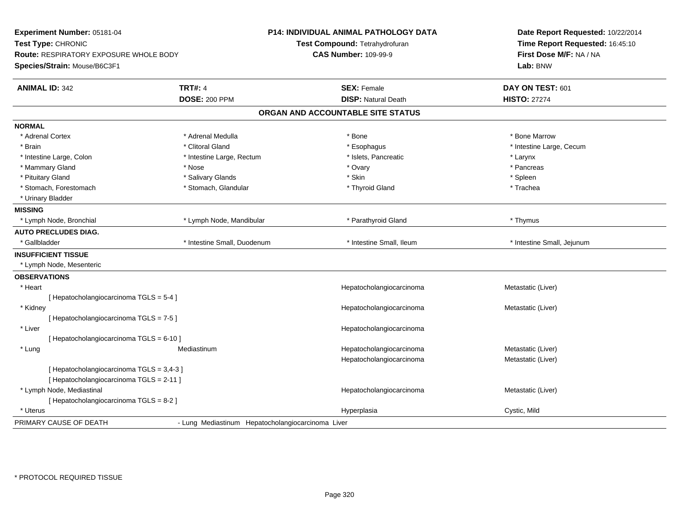| Experiment Number: 05181-04<br>Test Type: CHRONIC<br>Route: RESPIRATORY EXPOSURE WHOLE BODY<br>Species/Strain: Mouse/B6C3F1 |                                                   | P14: INDIVIDUAL ANIMAL PATHOLOGY DATA<br>Test Compound: Tetrahydrofuran<br><b>CAS Number: 109-99-9</b> | Date Report Requested: 10/22/2014<br>Time Report Requested: 16:45:10<br>First Dose M/F: NA / NA<br>Lab: BNW |
|-----------------------------------------------------------------------------------------------------------------------------|---------------------------------------------------|--------------------------------------------------------------------------------------------------------|-------------------------------------------------------------------------------------------------------------|
| <b>ANIMAL ID: 342</b>                                                                                                       | <b>TRT#: 4</b>                                    | <b>SEX: Female</b>                                                                                     | DAY ON TEST: 601                                                                                            |
|                                                                                                                             | <b>DOSE: 200 PPM</b>                              | <b>DISP: Natural Death</b>                                                                             | <b>HISTO: 27274</b>                                                                                         |
|                                                                                                                             |                                                   | ORGAN AND ACCOUNTABLE SITE STATUS                                                                      |                                                                                                             |
| <b>NORMAL</b>                                                                                                               |                                                   |                                                                                                        |                                                                                                             |
| * Adrenal Cortex                                                                                                            | * Adrenal Medulla                                 | * Bone                                                                                                 | * Bone Marrow                                                                                               |
| * Brain                                                                                                                     | * Clitoral Gland                                  | * Esophagus                                                                                            | * Intestine Large, Cecum                                                                                    |
| * Intestine Large, Colon                                                                                                    | * Intestine Large, Rectum                         | * Islets, Pancreatic                                                                                   | * Larynx                                                                                                    |
| * Mammary Gland                                                                                                             | * Nose                                            | * Ovary                                                                                                | * Pancreas                                                                                                  |
| * Pituitary Gland                                                                                                           | * Salivary Glands                                 | * Skin                                                                                                 | * Spleen                                                                                                    |
| * Stomach, Forestomach                                                                                                      | * Stomach, Glandular                              | * Thyroid Gland                                                                                        | * Trachea                                                                                                   |
| * Urinary Bladder                                                                                                           |                                                   |                                                                                                        |                                                                                                             |
| <b>MISSING</b>                                                                                                              |                                                   |                                                                                                        |                                                                                                             |
| * Lymph Node, Bronchial                                                                                                     | * Lymph Node, Mandibular                          | * Parathyroid Gland                                                                                    | * Thymus                                                                                                    |
| <b>AUTO PRECLUDES DIAG.</b>                                                                                                 |                                                   |                                                                                                        |                                                                                                             |
| * Gallbladder                                                                                                               | * Intestine Small, Duodenum                       | * Intestine Small, Ileum                                                                               | * Intestine Small, Jejunum                                                                                  |
| <b>INSUFFICIENT TISSUE</b>                                                                                                  |                                                   |                                                                                                        |                                                                                                             |
| * Lymph Node, Mesenteric                                                                                                    |                                                   |                                                                                                        |                                                                                                             |
| <b>OBSERVATIONS</b>                                                                                                         |                                                   |                                                                                                        |                                                                                                             |
| * Heart                                                                                                                     |                                                   | Hepatocholangiocarcinoma                                                                               | Metastatic (Liver)                                                                                          |
| [Hepatocholangiocarcinoma TGLS = 5-4]                                                                                       |                                                   |                                                                                                        |                                                                                                             |
| * Kidney                                                                                                                    |                                                   | Hepatocholangiocarcinoma                                                                               | Metastatic (Liver)                                                                                          |
| [ Hepatocholangiocarcinoma TGLS = 7-5 ]                                                                                     |                                                   |                                                                                                        |                                                                                                             |
| * Liver                                                                                                                     |                                                   | Hepatocholangiocarcinoma                                                                               |                                                                                                             |
| [ Hepatocholangiocarcinoma TGLS = 6-10 ]                                                                                    |                                                   |                                                                                                        |                                                                                                             |
| * Lung                                                                                                                      | Mediastinum                                       | Hepatocholangiocarcinoma                                                                               | Metastatic (Liver)                                                                                          |
|                                                                                                                             |                                                   | Hepatocholangiocarcinoma                                                                               | Metastatic (Liver)                                                                                          |
| [Hepatocholangiocarcinoma TGLS = 3,4-3]                                                                                     |                                                   |                                                                                                        |                                                                                                             |
| [ Hepatocholangiocarcinoma TGLS = 2-11 ]                                                                                    |                                                   |                                                                                                        |                                                                                                             |
| * Lymph Node, Mediastinal                                                                                                   |                                                   | Hepatocholangiocarcinoma                                                                               | Metastatic (Liver)                                                                                          |
| [ Hepatocholangiocarcinoma TGLS = 8-2 ]                                                                                     |                                                   |                                                                                                        |                                                                                                             |
| * Uterus                                                                                                                    |                                                   | Hyperplasia                                                                                            | Cystic, Mild                                                                                                |
| PRIMARY CAUSE OF DEATH                                                                                                      | - Lung Mediastinum Hepatocholangiocarcinoma Liver |                                                                                                        |                                                                                                             |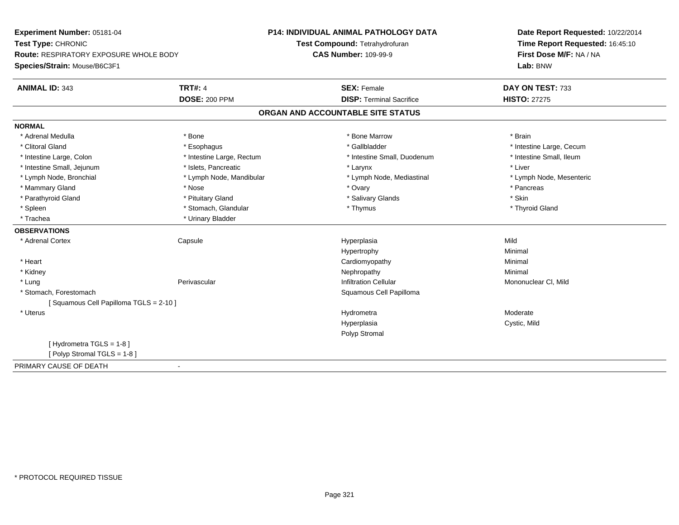| Experiment Number: 05181-04<br>Test Type: CHRONIC<br><b>Route: RESPIRATORY EXPOSURE WHOLE BODY</b> |                           | <b>P14: INDIVIDUAL ANIMAL PATHOLOGY DATA</b> | Date Report Requested: 10/22/2014<br>Time Report Requested: 16:45:10<br>First Dose M/F: NA / NA<br>Lab: BNW |
|----------------------------------------------------------------------------------------------------|---------------------------|----------------------------------------------|-------------------------------------------------------------------------------------------------------------|
|                                                                                                    |                           | Test Compound: Tetrahydrofuran               |                                                                                                             |
|                                                                                                    |                           | <b>CAS Number: 109-99-9</b>                  |                                                                                                             |
| Species/Strain: Mouse/B6C3F1                                                                       |                           |                                              |                                                                                                             |
| <b>ANIMAL ID: 343</b>                                                                              | <b>TRT#: 4</b>            | <b>SEX: Female</b>                           | DAY ON TEST: 733                                                                                            |
|                                                                                                    | <b>DOSE: 200 PPM</b>      | <b>DISP: Terminal Sacrifice</b>              | <b>HISTO: 27275</b>                                                                                         |
|                                                                                                    |                           | ORGAN AND ACCOUNTABLE SITE STATUS            |                                                                                                             |
| <b>NORMAL</b>                                                                                      |                           |                                              |                                                                                                             |
| * Adrenal Medulla                                                                                  | * Bone                    | * Bone Marrow                                | * Brain                                                                                                     |
| * Clitoral Gland                                                                                   | * Esophagus               | * Gallbladder                                | * Intestine Large, Cecum                                                                                    |
| * Intestine Large, Colon                                                                           | * Intestine Large, Rectum | * Intestine Small, Duodenum                  | * Intestine Small, Ileum                                                                                    |
| * Intestine Small, Jejunum                                                                         | * Islets, Pancreatic      | * Larynx                                     | * Liver                                                                                                     |
| * Lymph Node, Bronchial                                                                            | * Lymph Node, Mandibular  | * Lymph Node, Mediastinal                    | * Lymph Node, Mesenteric                                                                                    |
| * Mammary Gland                                                                                    | * Nose                    | * Ovary                                      | * Pancreas                                                                                                  |
| * Parathyroid Gland                                                                                | * Pituitary Gland         | * Salivary Glands                            | * Skin                                                                                                      |
| * Spleen                                                                                           | * Stomach, Glandular      | * Thymus                                     | * Thyroid Gland                                                                                             |
| * Trachea                                                                                          | * Urinary Bladder         |                                              |                                                                                                             |
| <b>OBSERVATIONS</b>                                                                                |                           |                                              |                                                                                                             |
| * Adrenal Cortex                                                                                   | Capsule                   | Hyperplasia                                  | Mild                                                                                                        |
|                                                                                                    |                           | Hypertrophy                                  | Minimal                                                                                                     |
| * Heart                                                                                            |                           | Cardiomyopathy                               | Minimal                                                                                                     |
| * Kidney                                                                                           |                           | Nephropathy                                  | Minimal                                                                                                     |
| * Lung                                                                                             | Perivascular              | <b>Infiltration Cellular</b>                 | Mononuclear CI, Mild                                                                                        |
| * Stomach, Forestomach                                                                             |                           | Squamous Cell Papilloma                      |                                                                                                             |
| [Squamous Cell Papilloma TGLS = 2-10]                                                              |                           |                                              |                                                                                                             |
| * Uterus                                                                                           |                           | Hydrometra                                   | Moderate                                                                                                    |
|                                                                                                    |                           | Hyperplasia                                  | Cystic, Mild                                                                                                |
|                                                                                                    |                           | Polyp Stromal                                |                                                                                                             |
| [Hydrometra TGLS = 1-8]                                                                            |                           |                                              |                                                                                                             |
| [Polyp Stromal TGLS = 1-8]                                                                         |                           |                                              |                                                                                                             |
| PRIMARY CAUSE OF DEATH                                                                             | $\blacksquare$            |                                              |                                                                                                             |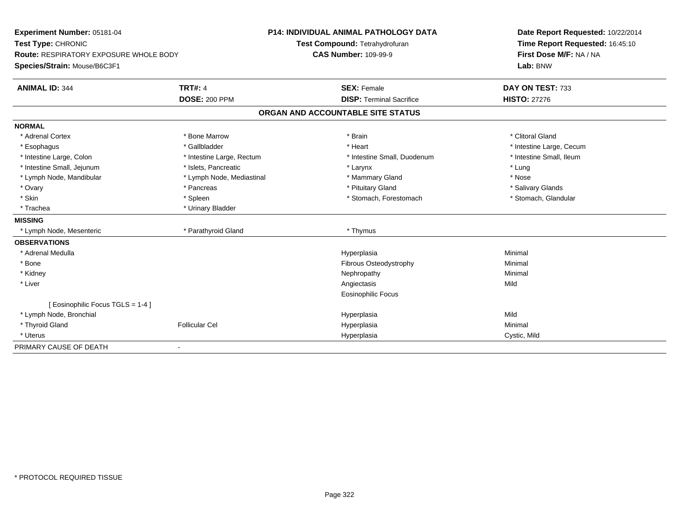| Experiment Number: 05181-04<br>Test Type: CHRONIC<br>Route: RESPIRATORY EXPOSURE WHOLE BODY |                           | P14: INDIVIDUAL ANIMAL PATHOLOGY DATA | Date Report Requested: 10/22/2014<br>Time Report Requested: 16:45:10<br>First Dose M/F: NA / NA |
|---------------------------------------------------------------------------------------------|---------------------------|---------------------------------------|-------------------------------------------------------------------------------------------------|
|                                                                                             |                           | Test Compound: Tetrahydrofuran        |                                                                                                 |
|                                                                                             |                           | <b>CAS Number: 109-99-9</b>           |                                                                                                 |
| Species/Strain: Mouse/B6C3F1                                                                |                           |                                       | Lab: BNW                                                                                        |
| <b>ANIMAL ID: 344</b>                                                                       | <b>TRT#: 4</b>            | <b>SEX: Female</b>                    | DAY ON TEST: 733                                                                                |
|                                                                                             | <b>DOSE: 200 PPM</b>      | <b>DISP: Terminal Sacrifice</b>       | <b>HISTO: 27276</b>                                                                             |
|                                                                                             |                           | ORGAN AND ACCOUNTABLE SITE STATUS     |                                                                                                 |
| <b>NORMAL</b>                                                                               |                           |                                       |                                                                                                 |
| * Adrenal Cortex                                                                            | * Bone Marrow             | * Brain                               | * Clitoral Gland                                                                                |
| * Esophagus                                                                                 | * Gallbladder             | * Heart                               | * Intestine Large, Cecum                                                                        |
| * Intestine Large, Colon                                                                    | * Intestine Large, Rectum | * Intestine Small, Duodenum           | * Intestine Small, Ileum                                                                        |
| * Intestine Small, Jejunum                                                                  | * Islets, Pancreatic      | * Larynx                              | * Lung                                                                                          |
| * Lymph Node, Mandibular                                                                    | * Lymph Node, Mediastinal | * Mammary Gland                       | * Nose                                                                                          |
| * Ovary                                                                                     | * Pancreas                | * Pituitary Gland                     | * Salivary Glands                                                                               |
| * Skin                                                                                      | * Spleen                  | * Stomach, Forestomach                | * Stomach, Glandular                                                                            |
| * Trachea                                                                                   | * Urinary Bladder         |                                       |                                                                                                 |
| <b>MISSING</b>                                                                              |                           |                                       |                                                                                                 |
| * Lymph Node, Mesenteric                                                                    | * Parathyroid Gland       | * Thymus                              |                                                                                                 |
| <b>OBSERVATIONS</b>                                                                         |                           |                                       |                                                                                                 |
| * Adrenal Medulla                                                                           |                           | Hyperplasia                           | Minimal                                                                                         |
| * Bone                                                                                      |                           | Fibrous Osteodystrophy                | Minimal                                                                                         |
| * Kidney                                                                                    |                           | Nephropathy                           | Minimal                                                                                         |
| * Liver                                                                                     |                           | Angiectasis                           | Mild                                                                                            |
|                                                                                             |                           | Eosinophilic Focus                    |                                                                                                 |
| [ Eosinophilic Focus TGLS = 1-4 ]                                                           |                           |                                       |                                                                                                 |
| * Lymph Node, Bronchial                                                                     |                           | Hyperplasia                           | Mild                                                                                            |
| * Thyroid Gland                                                                             | <b>Follicular Cel</b>     | Hyperplasia                           | Minimal                                                                                         |
| * Uterus                                                                                    |                           | Hyperplasia                           | Cystic, Mild                                                                                    |
| PRIMARY CAUSE OF DEATH                                                                      |                           |                                       |                                                                                                 |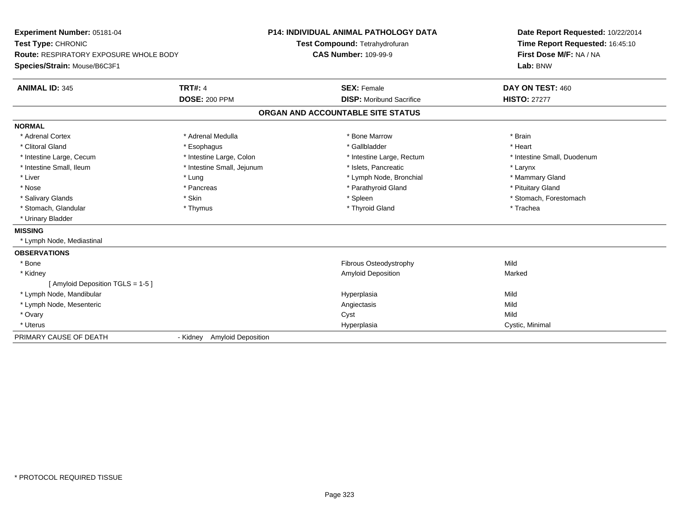| Experiment Number: 05181-04<br>Test Type: CHRONIC<br><b>Route: RESPIRATORY EXPOSURE WHOLE BODY</b><br>Species/Strain: Mouse/B6C3F1<br><b>ANIMAL ID: 345</b> | <b>TRT#: 4</b>                        | P14: INDIVIDUAL ANIMAL PATHOLOGY DATA<br>Test Compound: Tetrahydrofuran<br><b>CAS Number: 109-99-9</b><br><b>SEX: Female</b> | Date Report Requested: 10/22/2014<br>Time Report Requested: 16:45:10<br>First Dose M/F: NA / NA<br>Lab: BNW<br>DAY ON TEST: 460 |
|-------------------------------------------------------------------------------------------------------------------------------------------------------------|---------------------------------------|------------------------------------------------------------------------------------------------------------------------------|---------------------------------------------------------------------------------------------------------------------------------|
|                                                                                                                                                             | <b>DOSE: 200 PPM</b>                  | <b>DISP:</b> Moribund Sacrifice                                                                                              | <b>HISTO: 27277</b>                                                                                                             |
|                                                                                                                                                             |                                       | ORGAN AND ACCOUNTABLE SITE STATUS                                                                                            |                                                                                                                                 |
| <b>NORMAL</b>                                                                                                                                               |                                       |                                                                                                                              |                                                                                                                                 |
| * Adrenal Cortex                                                                                                                                            | * Adrenal Medulla                     | * Bone Marrow                                                                                                                | * Brain                                                                                                                         |
| * Clitoral Gland                                                                                                                                            | * Esophagus                           | * Gallbladder                                                                                                                | * Heart                                                                                                                         |
| * Intestine Large, Cecum                                                                                                                                    | * Intestine Large, Colon              | * Intestine Large, Rectum                                                                                                    | * Intestine Small, Duodenum                                                                                                     |
| * Intestine Small, Ileum                                                                                                                                    | * Intestine Small, Jejunum            | * Islets, Pancreatic                                                                                                         | * Larynx                                                                                                                        |
| * Liver                                                                                                                                                     | * Lung                                | * Lymph Node, Bronchial                                                                                                      | * Mammary Gland                                                                                                                 |
| * Nose                                                                                                                                                      | * Pancreas                            | * Parathyroid Gland                                                                                                          | * Pituitary Gland                                                                                                               |
| * Salivary Glands                                                                                                                                           | * Skin                                | * Spleen                                                                                                                     | * Stomach, Forestomach                                                                                                          |
| * Stomach, Glandular                                                                                                                                        | * Thymus                              | * Thyroid Gland                                                                                                              | * Trachea                                                                                                                       |
| * Urinary Bladder                                                                                                                                           |                                       |                                                                                                                              |                                                                                                                                 |
| <b>MISSING</b>                                                                                                                                              |                                       |                                                                                                                              |                                                                                                                                 |
| * Lymph Node, Mediastinal                                                                                                                                   |                                       |                                                                                                                              |                                                                                                                                 |
| <b>OBSERVATIONS</b>                                                                                                                                         |                                       |                                                                                                                              |                                                                                                                                 |
| * Bone                                                                                                                                                      |                                       | Fibrous Osteodystrophy                                                                                                       | Mild                                                                                                                            |
| * Kidney                                                                                                                                                    |                                       | <b>Amyloid Deposition</b>                                                                                                    | Marked                                                                                                                          |
| [ Amyloid Deposition TGLS = 1-5 ]                                                                                                                           |                                       |                                                                                                                              |                                                                                                                                 |
| * Lymph Node, Mandibular                                                                                                                                    |                                       | Hyperplasia                                                                                                                  | Mild                                                                                                                            |
| * Lymph Node, Mesenteric                                                                                                                                    |                                       | Angiectasis                                                                                                                  | Mild                                                                                                                            |
| * Ovary                                                                                                                                                     |                                       | Cyst                                                                                                                         | Mild                                                                                                                            |
| * Uterus                                                                                                                                                    |                                       | Hyperplasia                                                                                                                  | Cystic, Minimal                                                                                                                 |
| PRIMARY CAUSE OF DEATH                                                                                                                                      | <b>Amyloid Deposition</b><br>- Kidney |                                                                                                                              |                                                                                                                                 |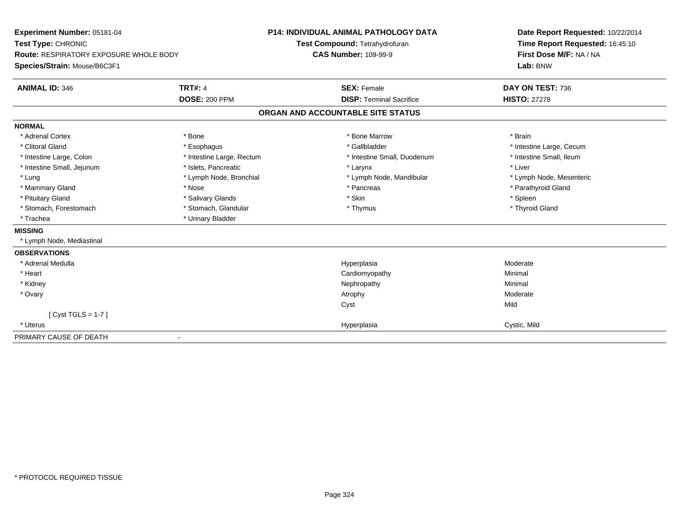| Experiment Number: 05181-04<br>Test Type: CHRONIC |                           | <b>P14: INDIVIDUAL ANIMAL PATHOLOGY DATA</b> | Date Report Requested: 10/22/2014<br>Time Report Requested: 16:45:10 |
|---------------------------------------------------|---------------------------|----------------------------------------------|----------------------------------------------------------------------|
|                                                   |                           | Test Compound: Tetrahydrofuran               |                                                                      |
| <b>Route: RESPIRATORY EXPOSURE WHOLE BODY</b>     |                           | <b>CAS Number: 109-99-9</b>                  | First Dose M/F: NA / NA                                              |
| Species/Strain: Mouse/B6C3F1                      |                           |                                              | Lab: BNW                                                             |
| <b>ANIMAL ID: 346</b>                             | <b>TRT#: 4</b>            | <b>SEX: Female</b>                           | DAY ON TEST: 736                                                     |
|                                                   | <b>DOSE: 200 PPM</b>      | <b>DISP: Terminal Sacrifice</b>              | <b>HISTO: 27278</b>                                                  |
|                                                   |                           | ORGAN AND ACCOUNTABLE SITE STATUS            |                                                                      |
| <b>NORMAL</b>                                     |                           |                                              |                                                                      |
| * Adrenal Cortex                                  | * Bone                    | * Bone Marrow                                | * Brain                                                              |
| * Clitoral Gland                                  | * Esophagus               | * Gallbladder                                | * Intestine Large, Cecum                                             |
| * Intestine Large, Colon                          | * Intestine Large, Rectum | * Intestine Small, Duodenum                  | * Intestine Small, Ileum                                             |
| * Intestine Small, Jejunum                        | * Islets, Pancreatic      | * Larynx                                     | * Liver                                                              |
| * Lung                                            | * Lymph Node, Bronchial   | * Lymph Node, Mandibular                     | * Lymph Node, Mesenteric                                             |
| * Mammary Gland                                   | * Nose                    | * Pancreas                                   | * Parathyroid Gland                                                  |
| * Pituitary Gland                                 | * Salivary Glands         | * Skin                                       | * Spleen                                                             |
| * Stomach, Forestomach                            | * Stomach, Glandular      | * Thymus                                     | * Thyroid Gland                                                      |
| * Trachea                                         | * Urinary Bladder         |                                              |                                                                      |
| <b>MISSING</b>                                    |                           |                                              |                                                                      |
| * Lymph Node, Mediastinal                         |                           |                                              |                                                                      |
| <b>OBSERVATIONS</b>                               |                           |                                              |                                                                      |
| * Adrenal Medulla                                 |                           | Hyperplasia                                  | Moderate                                                             |
| * Heart                                           |                           | Cardiomyopathy                               | Minimal                                                              |
| * Kidney                                          |                           | Nephropathy                                  | Minimal                                                              |
| * Ovary                                           |                           | Atrophy                                      | Moderate                                                             |
|                                                   |                           | Cyst                                         | Mild                                                                 |
| [Cyst TGLS = $1-7$ ]                              |                           |                                              |                                                                      |
| * Uterus                                          |                           | Hyperplasia                                  | Cystic, Mild                                                         |
| PRIMARY CAUSE OF DEATH                            |                           |                                              |                                                                      |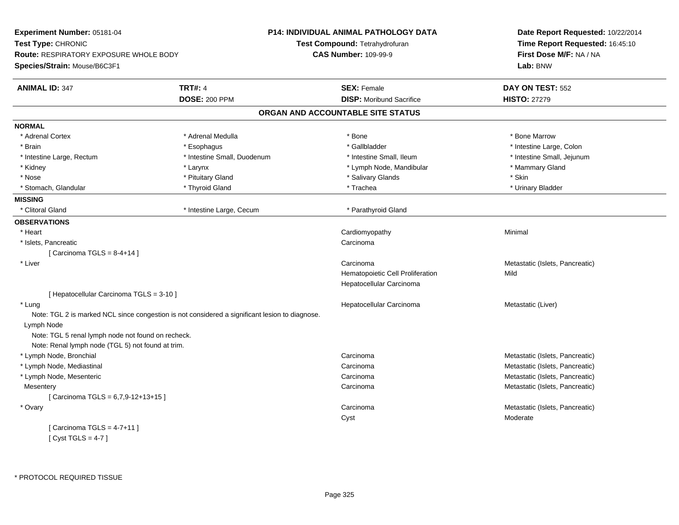| Experiment Number: 05181-04                        |                                                                                                | <b>P14: INDIVIDUAL ANIMAL PATHOLOGY DATA</b> | Date Report Requested: 10/22/2014 |  |
|----------------------------------------------------|------------------------------------------------------------------------------------------------|----------------------------------------------|-----------------------------------|--|
| Test Type: CHRONIC                                 |                                                                                                | <b>Test Compound: Tetrahydrofuran</b>        | Time Report Requested: 16:45:10   |  |
| <b>Route: RESPIRATORY EXPOSURE WHOLE BODY</b>      |                                                                                                | <b>CAS Number: 109-99-9</b>                  | First Dose M/F: NA / NA           |  |
| Species/Strain: Mouse/B6C3F1                       |                                                                                                |                                              | Lab: BNW                          |  |
| <b>ANIMAL ID: 347</b>                              | <b>TRT#: 4</b>                                                                                 | <b>SEX: Female</b>                           | DAY ON TEST: 552                  |  |
|                                                    | <b>DOSE: 200 PPM</b>                                                                           | <b>DISP:</b> Moribund Sacrifice              | <b>HISTO: 27279</b>               |  |
|                                                    |                                                                                                | ORGAN AND ACCOUNTABLE SITE STATUS            |                                   |  |
| <b>NORMAL</b>                                      |                                                                                                |                                              |                                   |  |
| * Adrenal Cortex                                   | * Adrenal Medulla                                                                              | * Bone                                       | * Bone Marrow                     |  |
| * Brain                                            | * Esophagus                                                                                    | * Gallbladder                                | * Intestine Large, Colon          |  |
| * Intestine Large, Rectum                          | * Intestine Small, Duodenum                                                                    | * Intestine Small, Ileum                     | * Intestine Small, Jejunum        |  |
| * Kidney                                           | * Larynx                                                                                       | * Lymph Node, Mandibular                     | * Mammary Gland                   |  |
| $^{\star}$ Nose                                    | * Pituitary Gland                                                                              | * Salivary Glands                            | * Skin                            |  |
| * Stomach, Glandular                               | * Thyroid Gland                                                                                | * Trachea                                    | * Urinary Bladder                 |  |
| <b>MISSING</b>                                     |                                                                                                |                                              |                                   |  |
| * Clitoral Gland                                   | * Intestine Large, Cecum                                                                       | * Parathyroid Gland                          |                                   |  |
| <b>OBSERVATIONS</b>                                |                                                                                                |                                              |                                   |  |
| * Heart                                            |                                                                                                | Cardiomyopathy                               | Minimal                           |  |
| * Islets, Pancreatic                               |                                                                                                | Carcinoma                                    |                                   |  |
| [Carcinoma TGLS = $8-4+14$ ]                       |                                                                                                |                                              |                                   |  |
| * Liver                                            |                                                                                                | Carcinoma                                    | Metastatic (Islets, Pancreatic)   |  |
|                                                    |                                                                                                | Hematopoietic Cell Proliferation             | Mild                              |  |
|                                                    |                                                                                                | Hepatocellular Carcinoma                     |                                   |  |
| [ Hepatocellular Carcinoma TGLS = 3-10 ]           |                                                                                                |                                              |                                   |  |
| * Lung                                             |                                                                                                | Hepatocellular Carcinoma                     | Metastatic (Liver)                |  |
|                                                    | Note: TGL 2 is marked NCL since congestion is not considered a significant lesion to diagnose. |                                              |                                   |  |
| Lymph Node                                         |                                                                                                |                                              |                                   |  |
| Note: TGL 5 renal lymph node not found on recheck. |                                                                                                |                                              |                                   |  |
| Note: Renal lymph node (TGL 5) not found at trim.  |                                                                                                |                                              |                                   |  |
| * Lymph Node, Bronchial                            |                                                                                                | Carcinoma                                    | Metastatic (Islets, Pancreatic)   |  |
| * Lymph Node, Mediastinal                          |                                                                                                | Carcinoma                                    | Metastatic (Islets, Pancreatic)   |  |
| * Lymph Node, Mesenteric                           |                                                                                                | Carcinoma                                    | Metastatic (Islets, Pancreatic)   |  |
| Mesentery                                          |                                                                                                | Carcinoma                                    | Metastatic (Islets, Pancreatic)   |  |
| [Carcinoma TGLS = $6,7,9-12+13+15$ ]               |                                                                                                |                                              |                                   |  |
| * Ovary                                            |                                                                                                | Carcinoma                                    | Metastatic (Islets, Pancreatic)   |  |
|                                                    |                                                                                                | Cyst                                         | Moderate                          |  |
| [Carcinoma TGLS = $4-7+11$ ]                       |                                                                                                |                                              |                                   |  |
| [Cyst TGLS = $4-7$ ]                               |                                                                                                |                                              |                                   |  |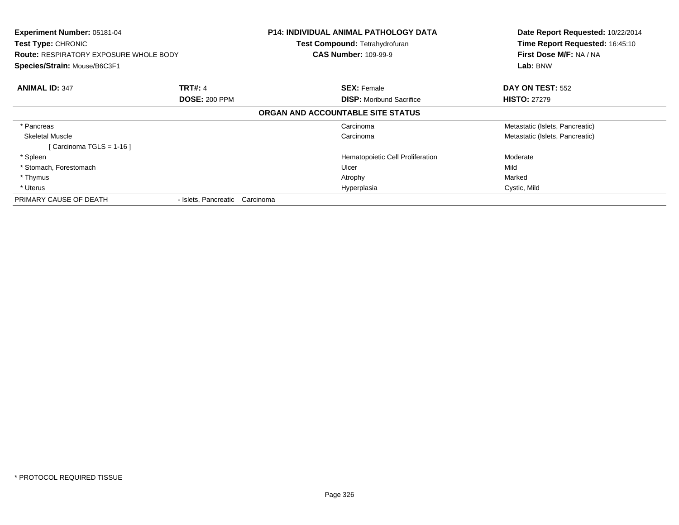| Experiment Number: 05181-04<br>Test Type: CHRONIC<br><b>Route: RESPIRATORY EXPOSURE WHOLE BODY</b><br>Species/Strain: Mouse/B6C3F1 |                                | <b>P14: INDIVIDUAL ANIMAL PATHOLOGY DATA</b><br>Test Compound: Tetrahydrofuran<br><b>CAS Number: 109-99-9</b> | Date Report Requested: 10/22/2014<br>Time Report Requested: 16:45:10<br>First Dose M/F: NA / NA<br>Lab: BNW |  |
|------------------------------------------------------------------------------------------------------------------------------------|--------------------------------|---------------------------------------------------------------------------------------------------------------|-------------------------------------------------------------------------------------------------------------|--|
| <b>ANIMAL ID: 347</b>                                                                                                              | <b>TRT#: 4</b>                 | <b>SEX: Female</b>                                                                                            | DAY ON TEST: 552                                                                                            |  |
|                                                                                                                                    | <b>DOSE: 200 PPM</b>           | <b>DISP:</b> Moribund Sacrifice                                                                               | <b>HISTO: 27279</b>                                                                                         |  |
|                                                                                                                                    |                                | ORGAN AND ACCOUNTABLE SITE STATUS                                                                             |                                                                                                             |  |
| * Pancreas                                                                                                                         |                                | Carcinoma                                                                                                     | Metastatic (Islets, Pancreatic)                                                                             |  |
| <b>Skeletal Muscle</b>                                                                                                             |                                | Carcinoma                                                                                                     | Metastatic (Islets, Pancreatic)                                                                             |  |
| [ Carcinoma TGLS = 1-16 ]                                                                                                          |                                |                                                                                                               |                                                                                                             |  |
| * Spleen                                                                                                                           |                                | Hematopoietic Cell Proliferation                                                                              | Moderate                                                                                                    |  |
| * Stomach, Forestomach                                                                                                             |                                | Ulcer                                                                                                         | Mild                                                                                                        |  |
| * Thymus                                                                                                                           |                                | Atrophy                                                                                                       | Marked                                                                                                      |  |
| * Uterus                                                                                                                           |                                | Hyperplasia                                                                                                   | Cystic, Mild                                                                                                |  |
| PRIMARY CAUSE OF DEATH                                                                                                             | - Islets, Pancreatic Carcinoma |                                                                                                               |                                                                                                             |  |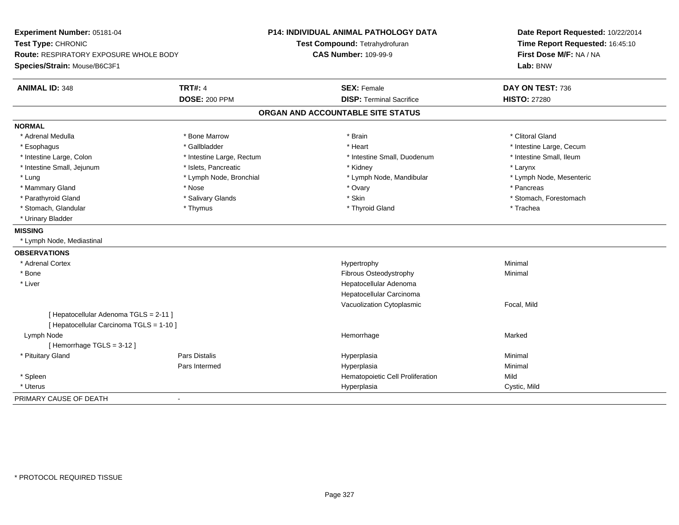| Experiment Number: 05181-04<br>Test Type: CHRONIC<br><b>Route: RESPIRATORY EXPOSURE WHOLE BODY</b> |                           | <b>P14: INDIVIDUAL ANIMAL PATHOLOGY DATA</b> | Date Report Requested: 10/22/2014<br>Time Report Requested: 16:45:10 |
|----------------------------------------------------------------------------------------------------|---------------------------|----------------------------------------------|----------------------------------------------------------------------|
|                                                                                                    |                           | Test Compound: Tetrahydrofuran               |                                                                      |
|                                                                                                    |                           | <b>CAS Number: 109-99-9</b>                  | First Dose M/F: NA / NA                                              |
| Species/Strain: Mouse/B6C3F1                                                                       |                           |                                              | Lab: BNW                                                             |
| <b>ANIMAL ID: 348</b>                                                                              | <b>TRT#: 4</b>            | <b>SEX: Female</b>                           | DAY ON TEST: 736                                                     |
|                                                                                                    | <b>DOSE: 200 PPM</b>      | <b>DISP: Terminal Sacrifice</b>              | <b>HISTO: 27280</b>                                                  |
|                                                                                                    |                           | ORGAN AND ACCOUNTABLE SITE STATUS            |                                                                      |
| <b>NORMAL</b>                                                                                      |                           |                                              |                                                                      |
| * Adrenal Medulla                                                                                  | * Bone Marrow             | * Brain                                      | * Clitoral Gland                                                     |
| * Esophagus                                                                                        | * Gallbladder             | * Heart                                      | * Intestine Large, Cecum                                             |
| * Intestine Large, Colon                                                                           | * Intestine Large, Rectum | * Intestine Small, Duodenum                  | * Intestine Small, Ileum                                             |
| * Intestine Small, Jejunum                                                                         | * Islets, Pancreatic      | * Kidney                                     | * Larynx                                                             |
| * Lung                                                                                             | * Lymph Node, Bronchial   | * Lymph Node, Mandibular                     | * Lymph Node, Mesenteric                                             |
| * Mammary Gland                                                                                    | * Nose                    | * Ovary                                      | * Pancreas                                                           |
| * Parathyroid Gland                                                                                | * Salivary Glands         | * Skin                                       | * Stomach, Forestomach                                               |
| * Stomach, Glandular                                                                               | * Thymus                  | * Thyroid Gland                              | * Trachea                                                            |
| * Urinary Bladder                                                                                  |                           |                                              |                                                                      |
| <b>MISSING</b>                                                                                     |                           |                                              |                                                                      |
| * Lymph Node, Mediastinal                                                                          |                           |                                              |                                                                      |
| <b>OBSERVATIONS</b>                                                                                |                           |                                              |                                                                      |
| * Adrenal Cortex                                                                                   |                           | Hypertrophy                                  | Minimal                                                              |
| * Bone                                                                                             |                           | Fibrous Osteodystrophy                       | Minimal                                                              |
| * Liver                                                                                            |                           | Hepatocellular Adenoma                       |                                                                      |
|                                                                                                    |                           | Hepatocellular Carcinoma                     |                                                                      |
|                                                                                                    |                           | Vacuolization Cytoplasmic                    | Focal, Mild                                                          |
| [ Hepatocellular Adenoma TGLS = 2-11 ]                                                             |                           |                                              |                                                                      |
| [ Hepatocellular Carcinoma TGLS = 1-10 ]                                                           |                           |                                              |                                                                      |
| Lymph Node                                                                                         |                           | Hemorrhage                                   | Marked                                                               |
| [Hemorrhage TGLS = $3-12$ ]                                                                        |                           |                                              |                                                                      |
| * Pituitary Gland                                                                                  | Pars Distalis             | Hyperplasia                                  | Minimal                                                              |
|                                                                                                    | Pars Intermed             | Hyperplasia                                  | Minimal                                                              |
| * Spleen                                                                                           |                           | Hematopoietic Cell Proliferation             | Mild                                                                 |
| * Uterus                                                                                           |                           | Hyperplasia                                  | Cystic, Mild                                                         |
| PRIMARY CAUSE OF DEATH                                                                             | ä,                        |                                              |                                                                      |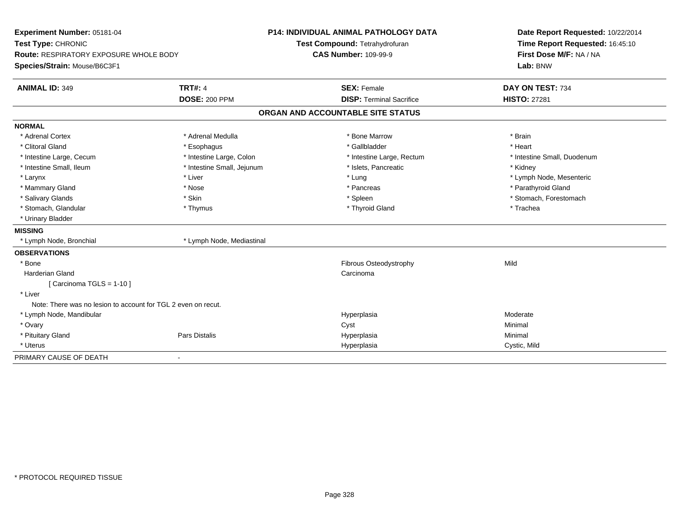| Experiment Number: 05181-04<br>Test Type: CHRONIC             |                            | <b>P14: INDIVIDUAL ANIMAL PATHOLOGY DATA</b> | Date Report Requested: 10/22/2014 |  |
|---------------------------------------------------------------|----------------------------|----------------------------------------------|-----------------------------------|--|
|                                                               |                            | Test Compound: Tetrahydrofuran               | Time Report Requested: 16:45:10   |  |
| Route: RESPIRATORY EXPOSURE WHOLE BODY                        |                            | <b>CAS Number: 109-99-9</b>                  | First Dose M/F: NA / NA           |  |
| Species/Strain: Mouse/B6C3F1                                  |                            |                                              | Lab: BNW                          |  |
| <b>ANIMAL ID: 349</b>                                         | <b>TRT#: 4</b>             | <b>SEX: Female</b>                           | DAY ON TEST: 734                  |  |
|                                                               | <b>DOSE: 200 PPM</b>       | <b>DISP: Terminal Sacrifice</b>              | <b>HISTO: 27281</b>               |  |
|                                                               |                            | ORGAN AND ACCOUNTABLE SITE STATUS            |                                   |  |
| <b>NORMAL</b>                                                 |                            |                                              |                                   |  |
| * Adrenal Cortex                                              | * Adrenal Medulla          | * Bone Marrow                                | * Brain                           |  |
| * Clitoral Gland                                              | * Esophagus                | * Gallbladder                                | * Heart                           |  |
| * Intestine Large, Cecum                                      | * Intestine Large, Colon   | * Intestine Large, Rectum                    | * Intestine Small, Duodenum       |  |
| * Intestine Small, Ileum                                      | * Intestine Small, Jejunum | * Islets, Pancreatic                         | * Kidney                          |  |
| * Larynx                                                      | * Liver                    | * Lung                                       | * Lymph Node, Mesenteric          |  |
| * Mammary Gland                                               | * Nose                     | * Pancreas                                   | * Parathyroid Gland               |  |
| * Salivary Glands                                             | * Skin                     | * Spleen                                     | * Stomach, Forestomach            |  |
| * Stomach, Glandular                                          | * Thymus                   | * Thyroid Gland                              | * Trachea                         |  |
| * Urinary Bladder                                             |                            |                                              |                                   |  |
| <b>MISSING</b>                                                |                            |                                              |                                   |  |
| * Lymph Node, Bronchial                                       | * Lymph Node, Mediastinal  |                                              |                                   |  |
| <b>OBSERVATIONS</b>                                           |                            |                                              |                                   |  |
| * Bone                                                        |                            | Fibrous Osteodystrophy                       | Mild                              |  |
| <b>Harderian Gland</b>                                        |                            | Carcinoma                                    |                                   |  |
| [Carcinoma TGLS = $1-10$ ]                                    |                            |                                              |                                   |  |
| * Liver                                                       |                            |                                              |                                   |  |
| Note: There was no lesion to account for TGL 2 even on recut. |                            |                                              |                                   |  |
| * Lymph Node, Mandibular                                      |                            | Hyperplasia                                  | Moderate                          |  |
| * Ovary                                                       |                            | Cyst                                         | Minimal                           |  |
| * Pituitary Gland                                             | Pars Distalis              | Hyperplasia                                  | Minimal                           |  |
| * Uterus                                                      |                            | Hyperplasia                                  | Cystic, Mild                      |  |
| PRIMARY CAUSE OF DEATH                                        | $\blacksquare$             |                                              |                                   |  |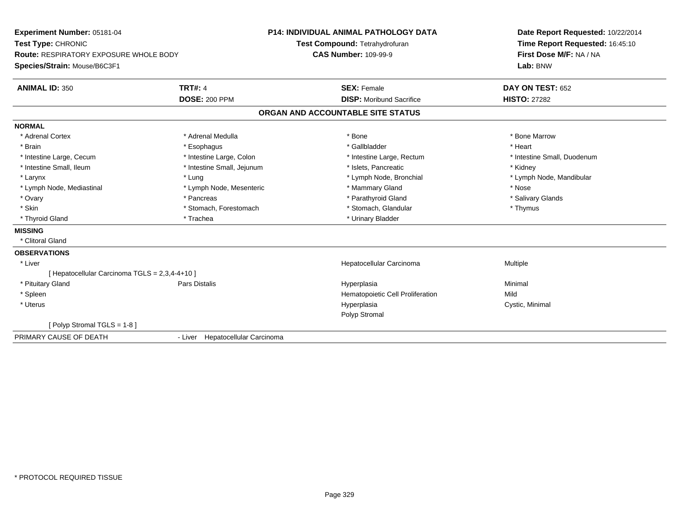| Experiment Number: 05181-04<br>Test Type: CHRONIC<br>Route: RESPIRATORY EXPOSURE WHOLE BODY |                                  | <b>P14: INDIVIDUAL ANIMAL PATHOLOGY DATA</b> | Date Report Requested: 10/22/2014 |  |
|---------------------------------------------------------------------------------------------|----------------------------------|----------------------------------------------|-----------------------------------|--|
|                                                                                             |                                  | Test Compound: Tetrahydrofuran               | Time Report Requested: 16:45:10   |  |
|                                                                                             |                                  | <b>CAS Number: 109-99-9</b>                  | First Dose M/F: NA / NA           |  |
| Species/Strain: Mouse/B6C3F1                                                                |                                  |                                              | Lab: BNW                          |  |
| <b>ANIMAL ID: 350</b>                                                                       | <b>TRT#: 4</b>                   | <b>SEX: Female</b>                           | DAY ON TEST: 652                  |  |
|                                                                                             | <b>DOSE: 200 PPM</b>             | <b>DISP:</b> Moribund Sacrifice              | <b>HISTO: 27282</b>               |  |
|                                                                                             |                                  | ORGAN AND ACCOUNTABLE SITE STATUS            |                                   |  |
| <b>NORMAL</b>                                                                               |                                  |                                              |                                   |  |
| * Adrenal Cortex                                                                            | * Adrenal Medulla                | * Bone                                       | * Bone Marrow                     |  |
| * Brain                                                                                     | * Esophagus                      | * Gallbladder                                | * Heart                           |  |
| * Intestine Large, Cecum                                                                    | * Intestine Large, Colon         | * Intestine Large, Rectum                    | * Intestine Small, Duodenum       |  |
| * Intestine Small, Ileum                                                                    | * Intestine Small, Jejunum       | * Islets, Pancreatic                         | * Kidney                          |  |
| * Larynx                                                                                    | * Lung                           | * Lymph Node, Bronchial                      | * Lymph Node, Mandibular          |  |
| * Lymph Node, Mediastinal                                                                   | * Lymph Node, Mesenteric         | * Mammary Gland                              | * Nose                            |  |
| * Ovary                                                                                     | * Pancreas                       | * Parathyroid Gland                          | * Salivary Glands                 |  |
| * Skin                                                                                      | * Stomach, Forestomach           | * Stomach, Glandular                         | * Thymus                          |  |
| * Thyroid Gland                                                                             | * Trachea                        | * Urinary Bladder                            |                                   |  |
| <b>MISSING</b>                                                                              |                                  |                                              |                                   |  |
| * Clitoral Gland                                                                            |                                  |                                              |                                   |  |
| <b>OBSERVATIONS</b>                                                                         |                                  |                                              |                                   |  |
| * Liver                                                                                     |                                  | Hepatocellular Carcinoma                     | Multiple                          |  |
| [ Hepatocellular Carcinoma TGLS = 2,3,4-4+10 ]                                              |                                  |                                              |                                   |  |
| * Pituitary Gland                                                                           | Pars Distalis                    | Hyperplasia                                  | Minimal                           |  |
| * Spleen                                                                                    |                                  | Hematopoietic Cell Proliferation             | Mild                              |  |
| * Uterus                                                                                    |                                  | Hyperplasia                                  | Cystic, Minimal                   |  |
|                                                                                             |                                  | Polyp Stromal                                |                                   |  |
| [ Polyp Stromal TGLS = $1-8$ ]                                                              |                                  |                                              |                                   |  |
| PRIMARY CAUSE OF DEATH                                                                      | - Liver Hepatocellular Carcinoma |                                              |                                   |  |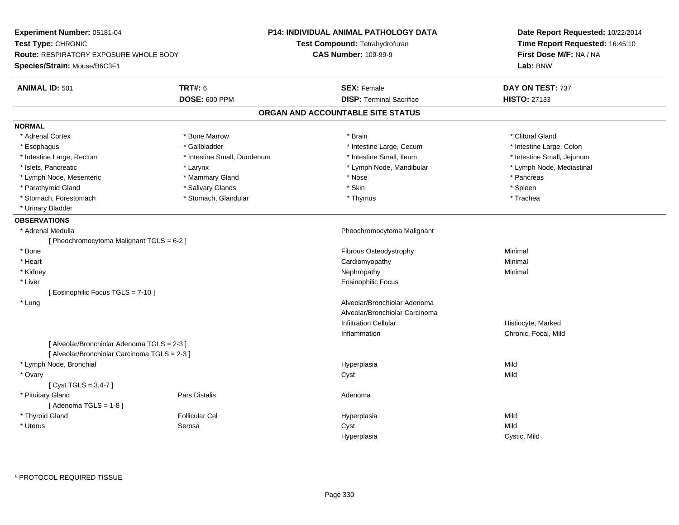| Experiment Number: 05181-04                   |                             | <b>P14: INDIVIDUAL ANIMAL PATHOLOGY DATA</b> | Date Report Requested: 10/22/2014   |  |
|-----------------------------------------------|-----------------------------|----------------------------------------------|-------------------------------------|--|
| Test Type: CHRONIC                            |                             | Test Compound: Tetrahydrofuran               | Time Report Requested: 16:45:10     |  |
| <b>Route: RESPIRATORY EXPOSURE WHOLE BODY</b> |                             | <b>CAS Number: 109-99-9</b>                  | First Dose M/F: NA / NA<br>Lab: BNW |  |
| Species/Strain: Mouse/B6C3F1                  |                             |                                              |                                     |  |
| <b>ANIMAL ID: 501</b>                         | <b>TRT#: 6</b>              | <b>SEX: Female</b>                           | DAY ON TEST: 737                    |  |
|                                               | <b>DOSE: 600 PPM</b>        | <b>DISP: Terminal Sacrifice</b>              | <b>HISTO: 27133</b>                 |  |
|                                               |                             | ORGAN AND ACCOUNTABLE SITE STATUS            |                                     |  |
| <b>NORMAL</b>                                 |                             |                                              |                                     |  |
| * Adrenal Cortex                              | * Bone Marrow               | * Brain                                      | * Clitoral Gland                    |  |
| * Esophagus                                   | * Gallbladder               | * Intestine Large, Cecum                     | * Intestine Large, Colon            |  |
| * Intestine Large, Rectum                     | * Intestine Small, Duodenum | * Intestine Small, Ileum                     | * Intestine Small, Jejunum          |  |
| * Islets, Pancreatic                          | * Larynx                    | * Lymph Node, Mandibular                     | * Lymph Node, Mediastinal           |  |
| * Lymph Node, Mesenteric                      | * Mammary Gland             | * Nose                                       | * Pancreas                          |  |
| * Parathyroid Gland                           | * Salivary Glands           | * Skin                                       | * Spleen                            |  |
| * Stomach, Forestomach                        | * Stomach, Glandular        | * Thymus                                     | * Trachea                           |  |
| * Urinary Bladder                             |                             |                                              |                                     |  |
| <b>OBSERVATIONS</b>                           |                             |                                              |                                     |  |
| * Adrenal Medulla                             |                             | Pheochromocytoma Malignant                   |                                     |  |
| [ Pheochromocytoma Malignant TGLS = 6-2 ]     |                             |                                              |                                     |  |
| * Bone                                        |                             | Fibrous Osteodystrophy                       | Minimal                             |  |
| * Heart                                       |                             | Cardiomyopathy                               | Minimal                             |  |
| * Kidney                                      |                             | Nephropathy                                  | Minimal                             |  |
| * Liver                                       |                             | <b>Eosinophilic Focus</b>                    |                                     |  |
| [ Eosinophilic Focus TGLS = 7-10 ]            |                             |                                              |                                     |  |
| * Lung                                        |                             | Alveolar/Bronchiolar Adenoma                 |                                     |  |
|                                               |                             | Alveolar/Bronchiolar Carcinoma               |                                     |  |
|                                               |                             | <b>Infiltration Cellular</b>                 | Histiocyte, Marked                  |  |
|                                               |                             | Inflammation                                 | Chronic, Focal, Mild                |  |
| [ Alveolar/Bronchiolar Adenoma TGLS = 2-3 ]   |                             |                                              |                                     |  |
| [ Alveolar/Bronchiolar Carcinoma TGLS = 2-3 ] |                             |                                              |                                     |  |
| * Lymph Node, Bronchial                       |                             | Hyperplasia                                  | Mild                                |  |
| * Ovary                                       |                             | Cyst                                         | Mild                                |  |
| [Cyst TGLS = $3,4-7$ ]                        |                             |                                              |                                     |  |
| * Pituitary Gland                             | Pars Distalis               | Adenoma                                      |                                     |  |
| [Adenoma TGLS = $1-8$ ]                       |                             |                                              |                                     |  |
| * Thyroid Gland                               | <b>Follicular Cel</b>       | Hyperplasia                                  | Mild                                |  |
| * Uterus                                      | Serosa                      | Cyst                                         | Mild                                |  |
|                                               |                             | Hyperplasia                                  | Cystic, Mild                        |  |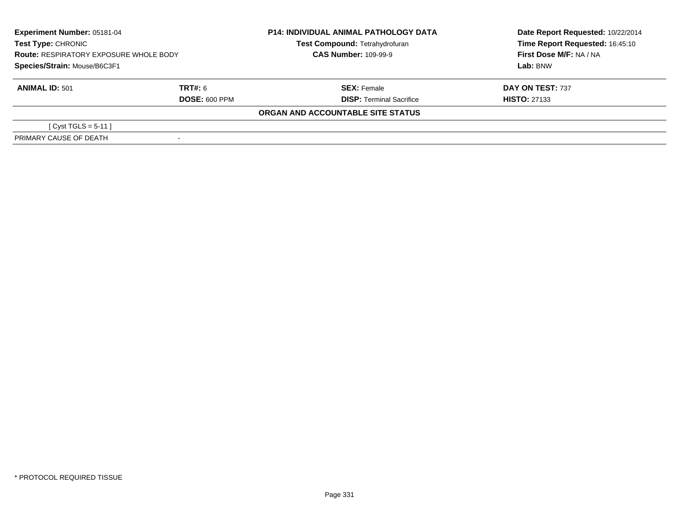| Experiment Number: 05181-04<br><b>Test Type: CHRONIC</b><br><b>Route: RESPIRATORY EXPOSURE WHOLE BODY</b> |                      | <b>P14: INDIVIDUAL ANIMAL PATHOLOGY DATA</b><br>Test Compound: Tetrahydrofuran<br><b>CAS Number: 109-99-9</b> | Date Report Requested: 10/22/2014<br>Time Report Requested: 16:45:10<br>First Dose M/F: NA / NA |  |
|-----------------------------------------------------------------------------------------------------------|----------------------|---------------------------------------------------------------------------------------------------------------|-------------------------------------------------------------------------------------------------|--|
| Species/Strain: Mouse/B6C3F1                                                                              |                      |                                                                                                               | Lab: BNW                                                                                        |  |
| <b>ANIMAL ID: 501</b>                                                                                     | TRT#: 6              | <b>SEX: Female</b>                                                                                            | DAY ON TEST: 737                                                                                |  |
|                                                                                                           | <b>DOSE: 600 PPM</b> | <b>DISP: Terminal Sacrifice</b>                                                                               | <b>HISTO: 27133</b>                                                                             |  |
|                                                                                                           |                      | ORGAN AND ACCOUNTABLE SITE STATUS                                                                             |                                                                                                 |  |
| [ Cyst TGLS = $5-11$ ]                                                                                    |                      |                                                                                                               |                                                                                                 |  |
| PRIMARY CAUSE OF DEATH                                                                                    |                      |                                                                                                               |                                                                                                 |  |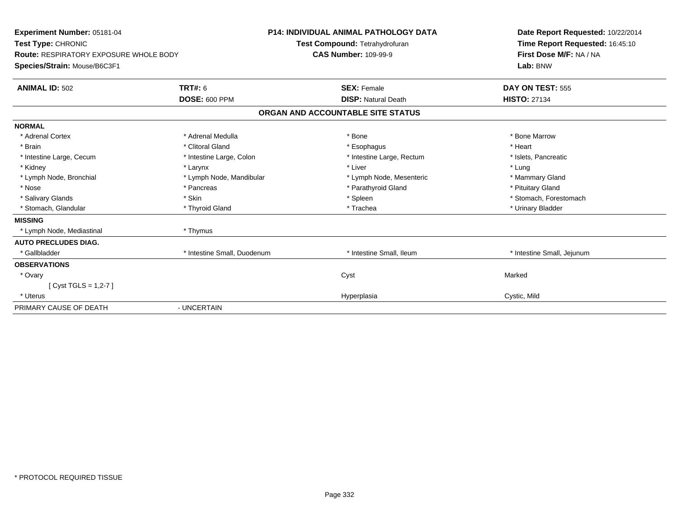| Experiment Number: 05181-04<br>Test Type: CHRONIC<br><b>Route: RESPIRATORY EXPOSURE WHOLE BODY</b><br>Species/Strain: Mouse/B6C3F1 |                             | <b>P14: INDIVIDUAL ANIMAL PATHOLOGY DATA</b><br>Test Compound: Tetrahydrofuran<br><b>CAS Number: 109-99-9</b> | Date Report Requested: 10/22/2014<br>Time Report Requested: 16:45:10<br>First Dose M/F: NA / NA<br>Lab: BNW |
|------------------------------------------------------------------------------------------------------------------------------------|-----------------------------|---------------------------------------------------------------------------------------------------------------|-------------------------------------------------------------------------------------------------------------|
| <b>ANIMAL ID: 502</b>                                                                                                              | TRT#: 6                     | <b>SEX: Female</b>                                                                                            | DAY ON TEST: 555                                                                                            |
|                                                                                                                                    | <b>DOSE: 600 PPM</b>        | <b>DISP: Natural Death</b>                                                                                    | <b>HISTO: 27134</b>                                                                                         |
|                                                                                                                                    |                             | ORGAN AND ACCOUNTABLE SITE STATUS                                                                             |                                                                                                             |
| <b>NORMAL</b>                                                                                                                      |                             |                                                                                                               |                                                                                                             |
| * Adrenal Cortex                                                                                                                   | * Adrenal Medulla           | * Bone                                                                                                        | * Bone Marrow                                                                                               |
| * Brain                                                                                                                            | * Clitoral Gland            | * Esophagus                                                                                                   | * Heart                                                                                                     |
| * Intestine Large, Cecum                                                                                                           | * Intestine Large, Colon    | * Intestine Large, Rectum                                                                                     | * Islets, Pancreatic                                                                                        |
| * Kidney                                                                                                                           | * Larynx                    | * Liver                                                                                                       | * Lung                                                                                                      |
| * Lymph Node, Bronchial                                                                                                            | * Lymph Node, Mandibular    | * Lymph Node, Mesenteric                                                                                      | * Mammary Gland                                                                                             |
| * Nose                                                                                                                             | * Pancreas                  | * Parathyroid Gland                                                                                           | * Pituitary Gland                                                                                           |
| * Salivary Glands                                                                                                                  | * Skin                      | * Spleen                                                                                                      | * Stomach, Forestomach                                                                                      |
| * Stomach, Glandular                                                                                                               | * Thyroid Gland             | * Trachea                                                                                                     | * Urinary Bladder                                                                                           |
| <b>MISSING</b>                                                                                                                     |                             |                                                                                                               |                                                                                                             |
| * Lymph Node, Mediastinal                                                                                                          | * Thymus                    |                                                                                                               |                                                                                                             |
| <b>AUTO PRECLUDES DIAG.</b>                                                                                                        |                             |                                                                                                               |                                                                                                             |
| * Gallbladder                                                                                                                      | * Intestine Small, Duodenum | * Intestine Small, Ileum                                                                                      | * Intestine Small, Jejunum                                                                                  |
| <b>OBSERVATIONS</b>                                                                                                                |                             |                                                                                                               |                                                                                                             |
| * Ovary                                                                                                                            |                             | Cyst                                                                                                          | Marked                                                                                                      |
| [ $Cyst TGLS = 1,2-7$ ]                                                                                                            |                             |                                                                                                               |                                                                                                             |
| * Uterus                                                                                                                           |                             | Hyperplasia                                                                                                   | Cystic, Mild                                                                                                |
| PRIMARY CAUSE OF DEATH                                                                                                             | - UNCERTAIN                 |                                                                                                               |                                                                                                             |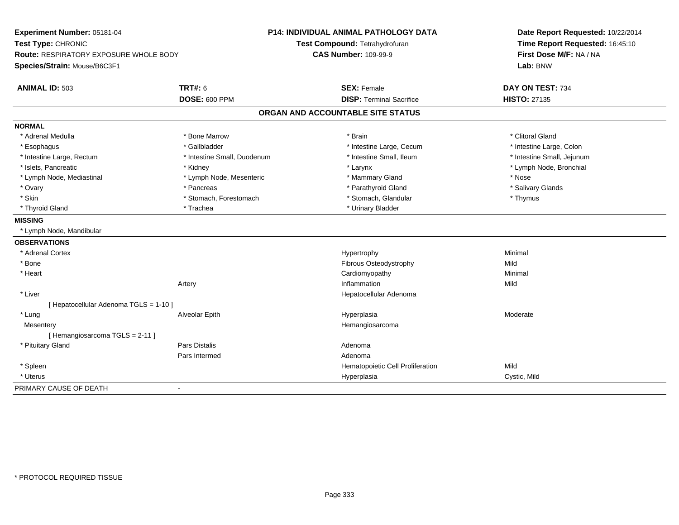| Experiment Number: 05181-04<br>Test Type: CHRONIC |                             | <b>P14: INDIVIDUAL ANIMAL PATHOLOGY DATA</b> | Date Report Requested: 10/22/2014 |
|---------------------------------------------------|-----------------------------|----------------------------------------------|-----------------------------------|
|                                                   |                             | Test Compound: Tetrahydrofuran               | Time Report Requested: 16:45:10   |
| <b>Route: RESPIRATORY EXPOSURE WHOLE BODY</b>     |                             | <b>CAS Number: 109-99-9</b>                  | First Dose M/F: NA / NA           |
| Species/Strain: Mouse/B6C3F1                      |                             |                                              | Lab: BNW                          |
| <b>ANIMAL ID: 503</b>                             | <b>TRT#: 6</b>              | <b>SEX: Female</b>                           | DAY ON TEST: 734                  |
|                                                   | <b>DOSE: 600 PPM</b>        | <b>DISP: Terminal Sacrifice</b>              | <b>HISTO: 27135</b>               |
|                                                   |                             | ORGAN AND ACCOUNTABLE SITE STATUS            |                                   |
| <b>NORMAL</b>                                     |                             |                                              |                                   |
| * Adrenal Medulla                                 | * Bone Marrow               | * Brain                                      | * Clitoral Gland                  |
| * Esophagus                                       | * Gallbladder               | * Intestine Large, Cecum                     | * Intestine Large, Colon          |
| * Intestine Large, Rectum                         | * Intestine Small, Duodenum | * Intestine Small, Ileum                     | * Intestine Small, Jejunum        |
| * Islets, Pancreatic                              | * Kidney                    | * Larynx                                     | * Lymph Node, Bronchial           |
| * Lymph Node, Mediastinal                         | * Lymph Node, Mesenteric    | * Mammary Gland                              | * Nose                            |
| * Ovary                                           | * Pancreas                  | * Parathyroid Gland                          | * Salivary Glands                 |
| * Skin                                            | * Stomach, Forestomach      | * Stomach, Glandular                         | * Thymus                          |
| * Thyroid Gland                                   | * Trachea                   | * Urinary Bladder                            |                                   |
| <b>MISSING</b>                                    |                             |                                              |                                   |
| * Lymph Node, Mandibular                          |                             |                                              |                                   |
| <b>OBSERVATIONS</b>                               |                             |                                              |                                   |
| * Adrenal Cortex                                  |                             | Hypertrophy                                  | Minimal                           |
| * Bone                                            |                             | Fibrous Osteodystrophy                       | Mild                              |
| * Heart                                           |                             | Cardiomyopathy                               | Minimal                           |
|                                                   | Artery                      | Inflammation                                 | Mild                              |
| * Liver                                           |                             | Hepatocellular Adenoma                       |                                   |
| [ Hepatocellular Adenoma TGLS = 1-10 ]            |                             |                                              |                                   |
| * Lung                                            | Alveolar Epith              | Hyperplasia                                  | Moderate                          |
| Mesentery                                         |                             | Hemangiosarcoma                              |                                   |
| [Hemangiosarcoma TGLS = 2-11]                     |                             |                                              |                                   |
| * Pituitary Gland                                 | <b>Pars Distalis</b>        | Adenoma                                      |                                   |
|                                                   | Pars Intermed               | Adenoma                                      |                                   |
| * Spleen                                          |                             | Hematopoietic Cell Proliferation             | Mild                              |
| * Uterus                                          |                             | Hyperplasia                                  | Cystic, Mild                      |
| PRIMARY CAUSE OF DEATH                            |                             |                                              |                                   |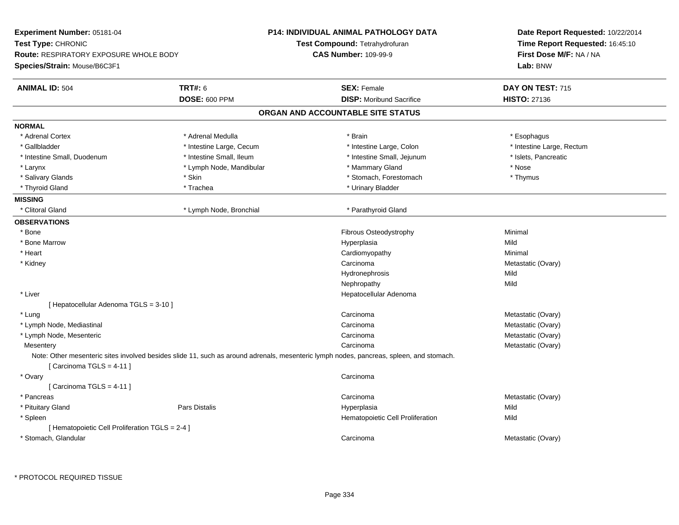| <b>Experiment Number: 05181-04</b>              |                          | P14: INDIVIDUAL ANIMAL PATHOLOGY DATA                                                                                                   | Date Report Requested: 10/22/2014<br>Time Report Requested: 16:45:10 |  |
|-------------------------------------------------|--------------------------|-----------------------------------------------------------------------------------------------------------------------------------------|----------------------------------------------------------------------|--|
| Test Type: CHRONIC                              |                          | Test Compound: Tetrahydrofuran                                                                                                          |                                                                      |  |
| Route: RESPIRATORY EXPOSURE WHOLE BODY          |                          | <b>CAS Number: 109-99-9</b>                                                                                                             | First Dose M/F: NA / NA                                              |  |
| Species/Strain: Mouse/B6C3F1                    |                          |                                                                                                                                         | Lab: BNW                                                             |  |
| <b>ANIMAL ID: 504</b>                           | <b>TRT#: 6</b>           | <b>SEX: Female</b>                                                                                                                      | DAY ON TEST: 715                                                     |  |
|                                                 | DOSE: 600 PPM            | <b>DISP:</b> Moribund Sacrifice                                                                                                         | <b>HISTO: 27136</b>                                                  |  |
|                                                 |                          | ORGAN AND ACCOUNTABLE SITE STATUS                                                                                                       |                                                                      |  |
| <b>NORMAL</b>                                   |                          |                                                                                                                                         |                                                                      |  |
| * Adrenal Cortex                                | * Adrenal Medulla        | * Brain                                                                                                                                 | * Esophagus                                                          |  |
| * Gallbladder                                   | * Intestine Large, Cecum | * Intestine Large, Colon                                                                                                                | * Intestine Large, Rectum                                            |  |
| * Intestine Small, Duodenum                     | * Intestine Small, Ileum | * Intestine Small, Jejunum                                                                                                              | * Islets, Pancreatic                                                 |  |
| * Larynx                                        | * Lymph Node, Mandibular | * Mammary Gland                                                                                                                         | * Nose                                                               |  |
| * Salivary Glands                               | * Skin                   | * Stomach, Forestomach                                                                                                                  | * Thymus                                                             |  |
| * Thyroid Gland                                 | * Trachea                | * Urinary Bladder                                                                                                                       |                                                                      |  |
| <b>MISSING</b>                                  |                          |                                                                                                                                         |                                                                      |  |
| * Clitoral Gland                                | * Lymph Node, Bronchial  | * Parathyroid Gland                                                                                                                     |                                                                      |  |
| <b>OBSERVATIONS</b>                             |                          |                                                                                                                                         |                                                                      |  |
| * Bone                                          |                          | Fibrous Osteodystrophy                                                                                                                  | Minimal                                                              |  |
| * Bone Marrow                                   |                          | Hyperplasia                                                                                                                             | Mild                                                                 |  |
| * Heart                                         |                          | Cardiomyopathy                                                                                                                          | Minimal                                                              |  |
| * Kidney                                        |                          | Carcinoma                                                                                                                               | Metastatic (Ovary)                                                   |  |
|                                                 |                          | Hydronephrosis                                                                                                                          | Mild                                                                 |  |
|                                                 |                          | Nephropathy                                                                                                                             | Mild                                                                 |  |
| * Liver                                         |                          | Hepatocellular Adenoma                                                                                                                  |                                                                      |  |
| [ Hepatocellular Adenoma TGLS = 3-10 ]          |                          |                                                                                                                                         |                                                                      |  |
| * Lung                                          |                          | Carcinoma                                                                                                                               | Metastatic (Ovary)                                                   |  |
| * Lymph Node, Mediastinal                       |                          | Carcinoma                                                                                                                               | Metastatic (Ovary)                                                   |  |
| * Lymph Node, Mesenteric                        |                          | Carcinoma                                                                                                                               | Metastatic (Ovary)                                                   |  |
| Mesentery                                       |                          | Carcinoma                                                                                                                               | Metastatic (Ovary)                                                   |  |
| [Carcinoma TGLS = 4-11]                         |                          | Note: Other mesenteric sites involved besides slide 11, such as around adrenals, mesenteric lymph nodes, pancreas, spleen, and stomach. |                                                                      |  |
| * Ovary<br>[ Carcinoma TGLS = 4-11 ]            |                          | Carcinoma                                                                                                                               |                                                                      |  |
| * Pancreas                                      |                          | Carcinoma                                                                                                                               | Metastatic (Ovary)                                                   |  |
| * Pituitary Gland                               | <b>Pars Distalis</b>     | Hyperplasia                                                                                                                             | Mild                                                                 |  |
| * Spleen                                        |                          | Hematopoietic Cell Proliferation                                                                                                        | Mild                                                                 |  |
| [ Hematopoietic Cell Proliferation TGLS = 2-4 ] |                          |                                                                                                                                         |                                                                      |  |
| * Stomach, Glandular                            |                          | Carcinoma                                                                                                                               | Metastatic (Ovary)                                                   |  |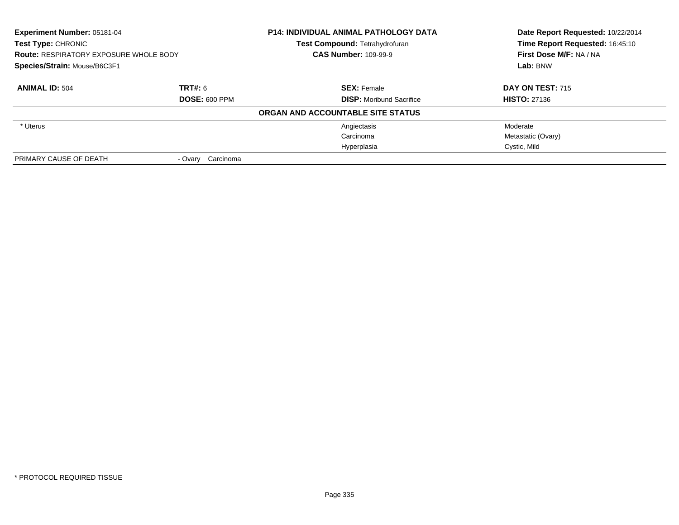| Experiment Number: 05181-04<br><b>Test Type: CHRONIC</b><br><b>Route: RESPIRATORY EXPOSURE WHOLE BODY</b><br>Species/Strain: Mouse/B6C3F1 |                   | <b>P14: INDIVIDUAL ANIMAL PATHOLOGY DATA</b> | Date Report Requested: 10/22/2014<br>Time Report Requested: 16:45:10 |
|-------------------------------------------------------------------------------------------------------------------------------------------|-------------------|----------------------------------------------|----------------------------------------------------------------------|
|                                                                                                                                           |                   | <b>Test Compound: Tetrahydrofuran</b>        |                                                                      |
|                                                                                                                                           |                   | <b>CAS Number: 109-99-9</b>                  | First Dose M/F: NA / NA                                              |
|                                                                                                                                           |                   |                                              | Lab: BNW                                                             |
| <b>ANIMAL ID: 504</b>                                                                                                                     | TRT#: 6           | <b>SEX: Female</b>                           | <b>DAY ON TEST: 715</b>                                              |
| <b>DOSE: 600 PPM</b>                                                                                                                      |                   | <b>DISP:</b> Moribund Sacrifice              | <b>HISTO: 27136</b>                                                  |
|                                                                                                                                           |                   | ORGAN AND ACCOUNTABLE SITE STATUS            |                                                                      |
| * Uterus                                                                                                                                  |                   | Angiectasis                                  | Moderate                                                             |
|                                                                                                                                           |                   | Carcinoma                                    | Metastatic (Ovary)                                                   |
|                                                                                                                                           |                   | Hyperplasia                                  | Cystic, Mild                                                         |
| PRIMARY CAUSE OF DEATH                                                                                                                    | - Ovary Carcinoma |                                              |                                                                      |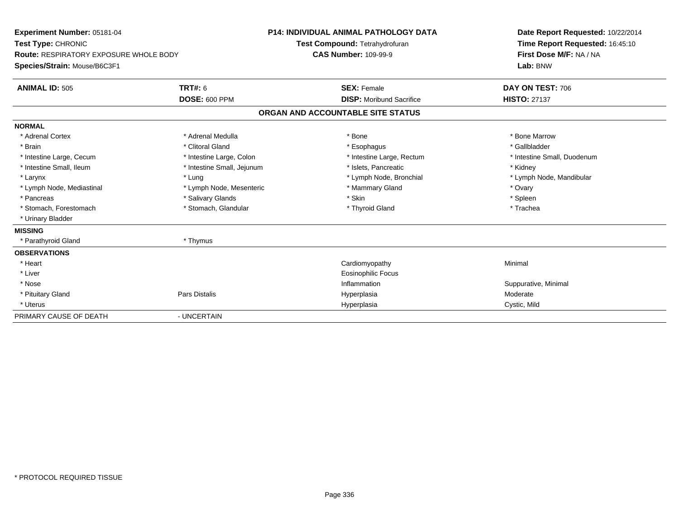| Experiment Number: 05181-04<br>Test Type: CHRONIC<br><b>Route: RESPIRATORY EXPOSURE WHOLE BODY</b><br>Species/Strain: Mouse/B6C3F1 |                                        | <b>P14: INDIVIDUAL ANIMAL PATHOLOGY DATA</b><br>Test Compound: Tetrahydrofuran<br><b>CAS Number: 109-99-9</b> |                                                       | Date Report Requested: 10/22/2014<br>Time Report Requested: 16:45:10<br>First Dose M/F: NA / NA<br>Lab: BNW |
|------------------------------------------------------------------------------------------------------------------------------------|----------------------------------------|---------------------------------------------------------------------------------------------------------------|-------------------------------------------------------|-------------------------------------------------------------------------------------------------------------|
| <b>ANIMAL ID: 505</b>                                                                                                              | <b>TRT#: 6</b><br><b>DOSE: 600 PPM</b> |                                                                                                               | <b>SEX: Female</b><br><b>DISP:</b> Moribund Sacrifice | DAY ON TEST: 706<br><b>HISTO: 27137</b>                                                                     |
|                                                                                                                                    |                                        | ORGAN AND ACCOUNTABLE SITE STATUS                                                                             |                                                       |                                                                                                             |
| <b>NORMAL</b>                                                                                                                      |                                        |                                                                                                               |                                                       |                                                                                                             |
| * Adrenal Cortex                                                                                                                   | * Adrenal Medulla                      | * Bone                                                                                                        |                                                       | * Bone Marrow                                                                                               |
| * Brain                                                                                                                            | * Clitoral Gland                       |                                                                                                               | * Esophagus                                           | * Gallbladder                                                                                               |
| * Intestine Large, Cecum                                                                                                           | * Intestine Large, Colon               |                                                                                                               | * Intestine Large, Rectum                             | * Intestine Small, Duodenum                                                                                 |
| * Intestine Small, Ileum                                                                                                           | * Intestine Small, Jejunum             |                                                                                                               | * Islets, Pancreatic                                  | * Kidney                                                                                                    |
| * Larynx                                                                                                                           | * Lung                                 |                                                                                                               | * Lymph Node, Bronchial                               | * Lymph Node, Mandibular                                                                                    |
| * Lymph Node, Mediastinal                                                                                                          | * Lymph Node, Mesenteric               |                                                                                                               | * Mammary Gland                                       | * Ovary                                                                                                     |
| * Pancreas                                                                                                                         | * Salivary Glands                      | * Skin                                                                                                        |                                                       | * Spleen                                                                                                    |
| * Stomach, Forestomach                                                                                                             | * Stomach, Glandular                   |                                                                                                               | * Thyroid Gland                                       | * Trachea                                                                                                   |
| * Urinary Bladder                                                                                                                  |                                        |                                                                                                               |                                                       |                                                                                                             |
| <b>MISSING</b>                                                                                                                     |                                        |                                                                                                               |                                                       |                                                                                                             |
| * Parathyroid Gland                                                                                                                | * Thymus                               |                                                                                                               |                                                       |                                                                                                             |
| <b>OBSERVATIONS</b>                                                                                                                |                                        |                                                                                                               |                                                       |                                                                                                             |
| * Heart                                                                                                                            |                                        |                                                                                                               | Cardiomyopathy                                        | Minimal                                                                                                     |
| * Liver                                                                                                                            |                                        |                                                                                                               | <b>Eosinophilic Focus</b>                             |                                                                                                             |
| * Nose                                                                                                                             |                                        |                                                                                                               | Inflammation                                          | Suppurative, Minimal                                                                                        |
| * Pituitary Gland                                                                                                                  | <b>Pars Distalis</b>                   |                                                                                                               | Hyperplasia                                           | Moderate                                                                                                    |
| * Uterus                                                                                                                           |                                        |                                                                                                               | Hyperplasia                                           | Cystic, Mild                                                                                                |
| PRIMARY CAUSE OF DEATH                                                                                                             | - UNCERTAIN                            |                                                                                                               |                                                       |                                                                                                             |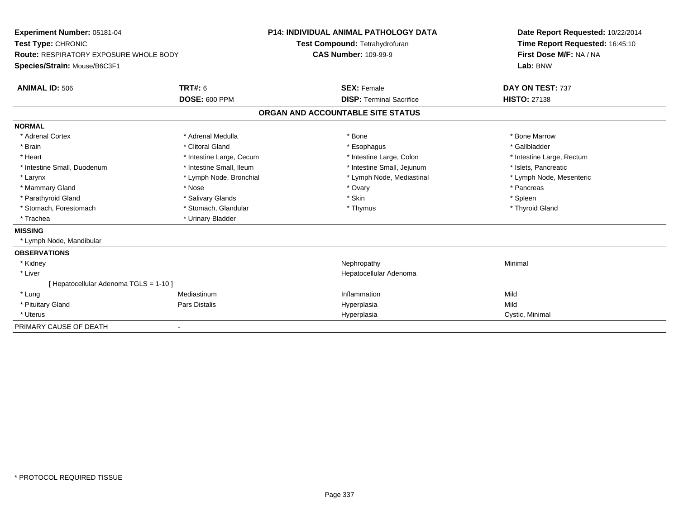| Experiment Number: 05181-04<br>Test Type: CHRONIC<br><b>Route: RESPIRATORY EXPOSURE WHOLE BODY</b><br>Species/Strain: Mouse/B6C3F1<br><b>ANIMAL ID: 506</b> | <b>P14: INDIVIDUAL ANIMAL PATHOLOGY DATA</b><br>Test Compound: Tetrahydrofuran<br><b>CAS Number: 109-99-9</b><br><b>TRT#: 6</b><br><b>SEX: Female</b> |  | Date Report Requested: 10/22/2014<br>Time Report Requested: 16:45:10<br>First Dose M/F: NA / NA<br>Lab: BNW<br>DAY ON TEST: 737 |                           |
|-------------------------------------------------------------------------------------------------------------------------------------------------------------|-------------------------------------------------------------------------------------------------------------------------------------------------------|--|---------------------------------------------------------------------------------------------------------------------------------|---------------------------|
|                                                                                                                                                             | <b>DOSE: 600 PPM</b>                                                                                                                                  |  | <b>DISP: Terminal Sacrifice</b>                                                                                                 | <b>HISTO: 27138</b>       |
|                                                                                                                                                             |                                                                                                                                                       |  | ORGAN AND ACCOUNTABLE SITE STATUS                                                                                               |                           |
| <b>NORMAL</b>                                                                                                                                               |                                                                                                                                                       |  |                                                                                                                                 |                           |
| * Adrenal Cortex                                                                                                                                            | * Adrenal Medulla                                                                                                                                     |  | * Bone                                                                                                                          | * Bone Marrow             |
| * Brain                                                                                                                                                     | * Clitoral Gland                                                                                                                                      |  | * Esophagus                                                                                                                     | * Gallbladder             |
| * Heart                                                                                                                                                     | * Intestine Large, Cecum                                                                                                                              |  | * Intestine Large, Colon                                                                                                        | * Intestine Large, Rectum |
| * Intestine Small, Duodenum                                                                                                                                 | * Intestine Small, Ileum                                                                                                                              |  | * Intestine Small, Jejunum                                                                                                      | * Islets, Pancreatic      |
| * Larynx                                                                                                                                                    | * Lymph Node, Bronchial                                                                                                                               |  | * Lymph Node, Mediastinal                                                                                                       | * Lymph Node, Mesenteric  |
| * Mammary Gland                                                                                                                                             | * Nose                                                                                                                                                |  | * Ovary                                                                                                                         | * Pancreas                |
| * Parathyroid Gland                                                                                                                                         | * Salivary Glands                                                                                                                                     |  | * Skin                                                                                                                          | * Spleen                  |
| * Stomach, Forestomach                                                                                                                                      | * Stomach, Glandular                                                                                                                                  |  | * Thymus                                                                                                                        | * Thyroid Gland           |
| * Trachea                                                                                                                                                   | * Urinary Bladder                                                                                                                                     |  |                                                                                                                                 |                           |
| <b>MISSING</b>                                                                                                                                              |                                                                                                                                                       |  |                                                                                                                                 |                           |
| * Lymph Node, Mandibular                                                                                                                                    |                                                                                                                                                       |  |                                                                                                                                 |                           |
| <b>OBSERVATIONS</b>                                                                                                                                         |                                                                                                                                                       |  |                                                                                                                                 |                           |
| * Kidney                                                                                                                                                    |                                                                                                                                                       |  | Nephropathy                                                                                                                     | Minimal                   |
| * Liver                                                                                                                                                     |                                                                                                                                                       |  | Hepatocellular Adenoma                                                                                                          |                           |
| [Hepatocellular Adenoma TGLS = 1-10]                                                                                                                        |                                                                                                                                                       |  |                                                                                                                                 |                           |
| * Lung                                                                                                                                                      | Mediastinum                                                                                                                                           |  | Inflammation                                                                                                                    | Mild                      |
| * Pituitary Gland                                                                                                                                           | Pars Distalis                                                                                                                                         |  | Hyperplasia                                                                                                                     | Mild                      |
| * Uterus                                                                                                                                                    |                                                                                                                                                       |  | Hyperplasia                                                                                                                     | Cystic, Minimal           |
| PRIMARY CAUSE OF DEATH                                                                                                                                      |                                                                                                                                                       |  |                                                                                                                                 |                           |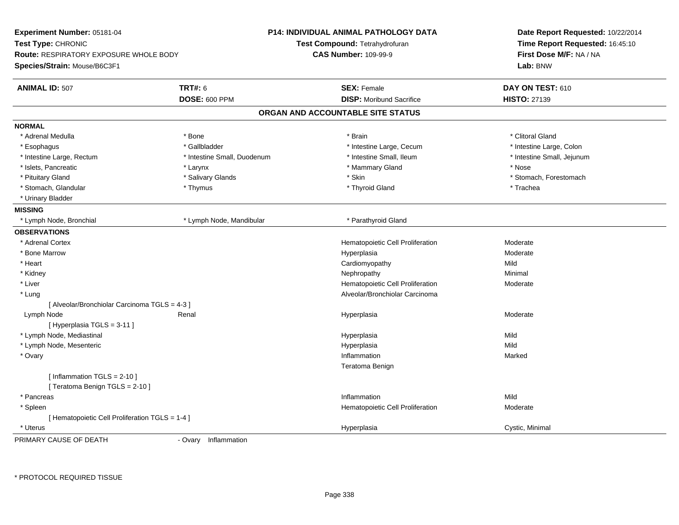| Experiment Number: 05181-04<br>Test Type: CHRONIC<br><b>Route: RESPIRATORY EXPOSURE WHOLE BODY</b><br>Species/Strain: Mouse/B6C3F1 |                             | <b>P14: INDIVIDUAL ANIMAL PATHOLOGY DATA</b><br>Test Compound: Tetrahydrofuran<br><b>CAS Number: 109-99-9</b> | Date Report Requested: 10/22/2014<br>Time Report Requested: 16:45:10<br>First Dose M/F: NA / NA<br>Lab: BNW |
|------------------------------------------------------------------------------------------------------------------------------------|-----------------------------|---------------------------------------------------------------------------------------------------------------|-------------------------------------------------------------------------------------------------------------|
| <b>ANIMAL ID: 507</b>                                                                                                              | <b>TRT#: 6</b>              | <b>SEX: Female</b>                                                                                            | DAY ON TEST: 610                                                                                            |
|                                                                                                                                    | <b>DOSE: 600 PPM</b>        | <b>DISP:</b> Moribund Sacrifice                                                                               | <b>HISTO: 27139</b>                                                                                         |
|                                                                                                                                    |                             | ORGAN AND ACCOUNTABLE SITE STATUS                                                                             |                                                                                                             |
| <b>NORMAL</b>                                                                                                                      |                             |                                                                                                               |                                                                                                             |
| * Adrenal Medulla                                                                                                                  | * Bone                      | * Brain                                                                                                       | * Clitoral Gland                                                                                            |
| * Esophagus                                                                                                                        | * Gallbladder               | * Intestine Large, Cecum                                                                                      | * Intestine Large, Colon                                                                                    |
| * Intestine Large, Rectum                                                                                                          | * Intestine Small, Duodenum | * Intestine Small, Ileum                                                                                      | * Intestine Small, Jejunum                                                                                  |
| * Islets, Pancreatic                                                                                                               | * Larynx                    | * Mammary Gland                                                                                               | * Nose                                                                                                      |
| * Pituitary Gland                                                                                                                  | * Salivary Glands           | * Skin                                                                                                        | * Stomach, Forestomach                                                                                      |
| * Stomach, Glandular                                                                                                               | * Thymus                    | * Thyroid Gland                                                                                               | * Trachea                                                                                                   |
| * Urinary Bladder                                                                                                                  |                             |                                                                                                               |                                                                                                             |
| <b>MISSING</b>                                                                                                                     |                             |                                                                                                               |                                                                                                             |
| * Lymph Node, Bronchial                                                                                                            | * Lymph Node, Mandibular    | * Parathyroid Gland                                                                                           |                                                                                                             |
| <b>OBSERVATIONS</b>                                                                                                                |                             |                                                                                                               |                                                                                                             |
| * Adrenal Cortex                                                                                                                   |                             | Hematopoietic Cell Proliferation                                                                              | Moderate                                                                                                    |
| * Bone Marrow                                                                                                                      |                             | Hyperplasia                                                                                                   | Moderate                                                                                                    |
| * Heart                                                                                                                            |                             | Cardiomyopathy                                                                                                | Mild                                                                                                        |
| * Kidney                                                                                                                           |                             | Nephropathy                                                                                                   | Minimal                                                                                                     |
| * Liver                                                                                                                            |                             | Hematopoietic Cell Proliferation                                                                              | Moderate                                                                                                    |
| * Lung                                                                                                                             |                             | Alveolar/Bronchiolar Carcinoma                                                                                |                                                                                                             |
| [ Alveolar/Bronchiolar Carcinoma TGLS = 4-3 ]                                                                                      |                             |                                                                                                               |                                                                                                             |
| Lymph Node                                                                                                                         | Renal                       | Hyperplasia                                                                                                   | Moderate                                                                                                    |
| [Hyperplasia TGLS = 3-11]                                                                                                          |                             |                                                                                                               |                                                                                                             |
| * Lymph Node, Mediastinal                                                                                                          |                             | Hyperplasia                                                                                                   | Mild                                                                                                        |
| * Lymph Node, Mesenteric                                                                                                           |                             | Hyperplasia                                                                                                   | Mild                                                                                                        |
| * Ovary                                                                                                                            |                             | Inflammation                                                                                                  | Marked                                                                                                      |
|                                                                                                                                    |                             | Teratoma Benign                                                                                               |                                                                                                             |
| [Inflammation $TGLS = 2-10$ ]<br>[ Teratoma Benign TGLS = 2-10 ]                                                                   |                             |                                                                                                               |                                                                                                             |
| * Pancreas                                                                                                                         |                             | Inflammation                                                                                                  | Mild                                                                                                        |
| * Spleen                                                                                                                           |                             | Hematopoietic Cell Proliferation                                                                              | Moderate                                                                                                    |
| [ Hematopoietic Cell Proliferation TGLS = 1-4 ]                                                                                    |                             |                                                                                                               |                                                                                                             |
| * Uterus                                                                                                                           |                             | Hyperplasia                                                                                                   | Cystic, Minimal                                                                                             |
| DOIMADV CAUSE OF DEATH                                                                                                             | Oven: Inflammation          |                                                                                                               |                                                                                                             |

PRIMARY CAUSE OF DEATH

- Ovary Inflammation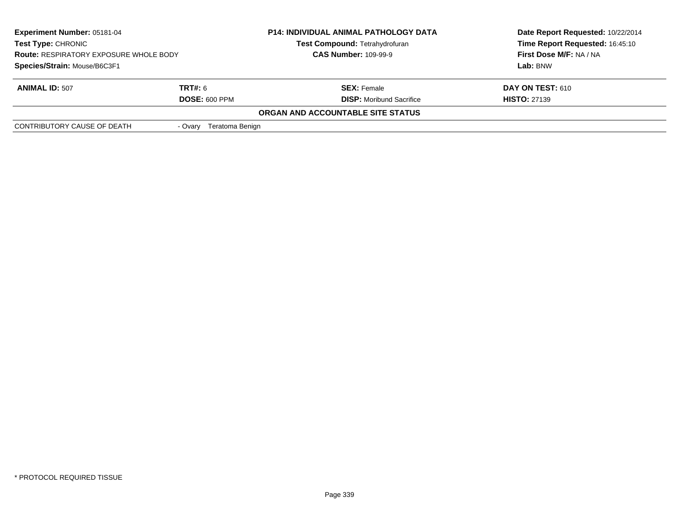| <b>Experiment Number: 05181-04</b><br><b>Test Type: CHRONIC</b><br><b>Route: RESPIRATORY EXPOSURE WHOLE BODY</b> |                            | <b>P14: INDIVIDUAL ANIMAL PATHOLOGY DATA</b><br><b>Test Compound: Tetrahydrofuran</b> | Date Report Requested: 10/22/2014<br>Time Report Requested: 16:45:10 |
|------------------------------------------------------------------------------------------------------------------|----------------------------|---------------------------------------------------------------------------------------|----------------------------------------------------------------------|
|                                                                                                                  |                            | <b>CAS Number: 109-99-9</b>                                                           | First Dose M/F: NA / NA                                              |
| Species/Strain: Mouse/B6C3F1                                                                                     |                            |                                                                                       | Lab: BNW                                                             |
| <b>ANIMAL ID: 507</b>                                                                                            | <b>TRT#:</b> 6             | <b>SEX: Female</b>                                                                    | <b>DAY ON TEST: 610</b>                                              |
|                                                                                                                  | <b>DOSE: 600 PPM</b>       | <b>DISP:</b> Moribund Sacrifice                                                       | <b>HISTO: 27139</b>                                                  |
|                                                                                                                  |                            | ORGAN AND ACCOUNTABLE SITE STATUS                                                     |                                                                      |
| CONTRIBUTORY CAUSE OF DEATH                                                                                      | Teratoma Benign<br>- Ovarv |                                                                                       |                                                                      |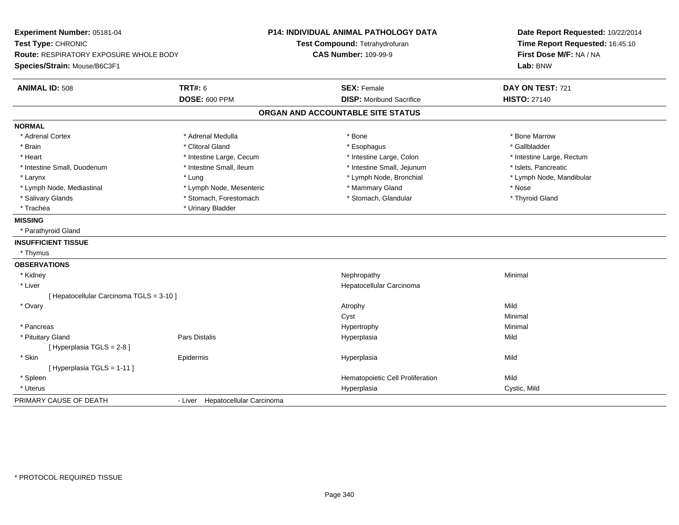| Experiment Number: 05181-04<br>Test Type: CHRONIC |                                  | <b>P14: INDIVIDUAL ANIMAL PATHOLOGY DATA</b><br>Test Compound: Tetrahydrofuran | Date Report Requested: 10/22/2014<br>Time Report Requested: 16:45:10 |  |
|---------------------------------------------------|----------------------------------|--------------------------------------------------------------------------------|----------------------------------------------------------------------|--|
| Route: RESPIRATORY EXPOSURE WHOLE BODY            |                                  | <b>CAS Number: 109-99-9</b>                                                    | First Dose M/F: NA / NA                                              |  |
| Species/Strain: Mouse/B6C3F1                      |                                  |                                                                                | Lab: BNW                                                             |  |
| <b>ANIMAL ID: 508</b>                             | <b>TRT#: 6</b>                   | <b>SEX: Female</b>                                                             | DAY ON TEST: 721                                                     |  |
|                                                   | <b>DOSE: 600 PPM</b>             | <b>DISP:</b> Moribund Sacrifice                                                | <b>HISTO: 27140</b>                                                  |  |
|                                                   |                                  | ORGAN AND ACCOUNTABLE SITE STATUS                                              |                                                                      |  |
| <b>NORMAL</b>                                     |                                  |                                                                                |                                                                      |  |
| * Adrenal Cortex                                  | * Adrenal Medulla                | * Bone                                                                         | * Bone Marrow                                                        |  |
| $*$ Brain                                         | * Clitoral Gland                 | * Esophagus                                                                    | * Gallbladder                                                        |  |
| * Heart                                           | * Intestine Large, Cecum         | * Intestine Large, Colon                                                       | * Intestine Large, Rectum                                            |  |
| * Intestine Small, Duodenum                       | * Intestine Small, Ileum         | * Intestine Small, Jejunum                                                     | * Islets, Pancreatic                                                 |  |
| * Larynx                                          | * Lung                           | * Lymph Node, Bronchial                                                        | * Lymph Node, Mandibular                                             |  |
| * Lymph Node, Mediastinal                         | * Lymph Node, Mesenteric         | * Mammary Gland                                                                | * Nose                                                               |  |
| * Salivary Glands                                 | * Stomach, Forestomach           | * Stomach, Glandular                                                           | * Thyroid Gland                                                      |  |
| * Trachea                                         | * Urinary Bladder                |                                                                                |                                                                      |  |
| <b>MISSING</b>                                    |                                  |                                                                                |                                                                      |  |
| * Parathyroid Gland                               |                                  |                                                                                |                                                                      |  |
| <b>INSUFFICIENT TISSUE</b>                        |                                  |                                                                                |                                                                      |  |
| * Thymus                                          |                                  |                                                                                |                                                                      |  |
| <b>OBSERVATIONS</b>                               |                                  |                                                                                |                                                                      |  |
| * Kidney                                          |                                  | Nephropathy                                                                    | Minimal                                                              |  |
| * Liver                                           |                                  | Hepatocellular Carcinoma                                                       |                                                                      |  |
| [ Hepatocellular Carcinoma TGLS = 3-10 ]          |                                  |                                                                                |                                                                      |  |
| * Ovary                                           |                                  | Atrophy                                                                        | Mild                                                                 |  |
|                                                   |                                  | Cyst                                                                           | Minimal                                                              |  |
| * Pancreas                                        |                                  | Hypertrophy                                                                    | Minimal                                                              |  |
| * Pituitary Gland                                 | Pars Distalis                    | Hyperplasia                                                                    | Mild                                                                 |  |
| [ Hyperplasia TGLS = 2-8]                         |                                  |                                                                                |                                                                      |  |
| * Skin                                            | Epidermis                        | Hyperplasia                                                                    | Mild                                                                 |  |
| [ Hyperplasia TGLS = 1-11 ]                       |                                  |                                                                                |                                                                      |  |
| * Spleen                                          |                                  | Hematopoietic Cell Proliferation                                               | Mild                                                                 |  |
| * Uterus                                          |                                  | Hyperplasia                                                                    | Cystic, Mild                                                         |  |
| PRIMARY CAUSE OF DEATH                            | - Liver Hepatocellular Carcinoma |                                                                                |                                                                      |  |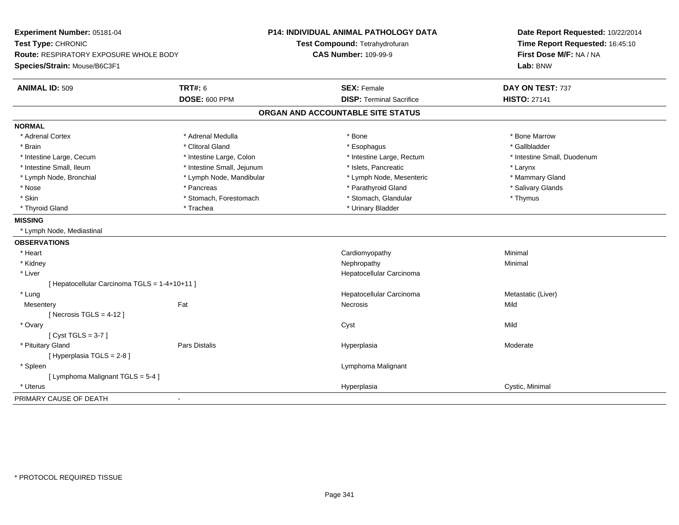| Experiment Number: 05181-04                   |                            | <b>P14: INDIVIDUAL ANIMAL PATHOLOGY DATA</b> | Date Report Requested: 10/22/2014   |  |
|-----------------------------------------------|----------------------------|----------------------------------------------|-------------------------------------|--|
| Test Type: CHRONIC                            |                            | Test Compound: Tetrahydrofuran               | Time Report Requested: 16:45:10     |  |
| Route: RESPIRATORY EXPOSURE WHOLE BODY        |                            | <b>CAS Number: 109-99-9</b>                  | First Dose M/F: NA / NA<br>Lab: BNW |  |
| Species/Strain: Mouse/B6C3F1                  |                            |                                              |                                     |  |
| <b>ANIMAL ID: 509</b>                         | <b>TRT#: 6</b>             | <b>SEX: Female</b>                           | DAY ON TEST: 737                    |  |
|                                               | <b>DOSE: 600 PPM</b>       | <b>DISP: Terminal Sacrifice</b>              | <b>HISTO: 27141</b>                 |  |
|                                               |                            | ORGAN AND ACCOUNTABLE SITE STATUS            |                                     |  |
| <b>NORMAL</b>                                 |                            |                                              |                                     |  |
| * Adrenal Cortex                              | * Adrenal Medulla          | * Bone                                       | * Bone Marrow                       |  |
| * Brain                                       | * Clitoral Gland           | * Esophagus                                  | * Gallbladder                       |  |
| * Intestine Large, Cecum                      | * Intestine Large, Colon   | * Intestine Large, Rectum                    | * Intestine Small, Duodenum         |  |
| * Intestine Small, Ileum                      | * Intestine Small, Jejunum | * Islets, Pancreatic                         | * Larynx                            |  |
| * Lymph Node, Bronchial                       | * Lymph Node, Mandibular   | * Lymph Node, Mesenteric                     | * Mammary Gland                     |  |
| * Nose                                        | * Pancreas                 | * Parathyroid Gland                          | * Salivary Glands                   |  |
| * Skin                                        | * Stomach, Forestomach     | * Stomach, Glandular                         | * Thymus                            |  |
| * Thyroid Gland                               | * Trachea                  | * Urinary Bladder                            |                                     |  |
| <b>MISSING</b>                                |                            |                                              |                                     |  |
| * Lymph Node, Mediastinal                     |                            |                                              |                                     |  |
| <b>OBSERVATIONS</b>                           |                            |                                              |                                     |  |
| * Heart                                       |                            | Cardiomyopathy                               | Minimal                             |  |
| * Kidney                                      |                            | Nephropathy                                  | Minimal                             |  |
| $*$ Liver                                     |                            | Hepatocellular Carcinoma                     |                                     |  |
| [ Hepatocellular Carcinoma TGLS = 1-4+10+11 ] |                            |                                              |                                     |  |
| * Lung                                        |                            | Hepatocellular Carcinoma                     | Metastatic (Liver)                  |  |
| Mesentery                                     | Fat                        | Necrosis                                     | Mild                                |  |
| [Necrosis TGLS = $4-12$ ]                     |                            |                                              |                                     |  |
| * Ovary                                       |                            | Cyst                                         | Mild                                |  |
| [Cyst TGLS = $3-7$ ]                          |                            |                                              |                                     |  |
| * Pituitary Gland                             | Pars Distalis              | Hyperplasia                                  | Moderate                            |  |
| [ Hyperplasia TGLS = 2-8]                     |                            |                                              |                                     |  |
| * Spleen                                      |                            | Lymphoma Malignant                           |                                     |  |
| [ Lymphoma Malignant TGLS = 5-4 ]             |                            |                                              |                                     |  |
| * Uterus                                      |                            | Hyperplasia                                  | Cystic, Minimal                     |  |
| PRIMARY CAUSE OF DEATH                        | $\blacksquare$             |                                              |                                     |  |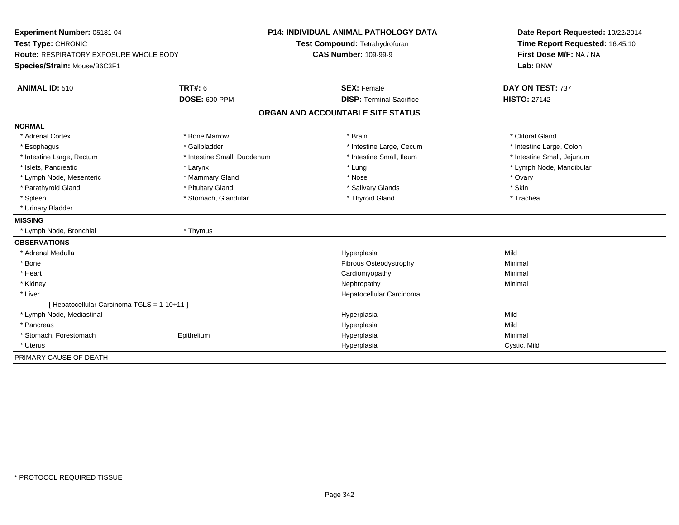| Experiment Number: 05181-04                 |                             | <b>P14: INDIVIDUAL ANIMAL PATHOLOGY DATA</b> | Date Report Requested: 10/22/2014   |  |
|---------------------------------------------|-----------------------------|----------------------------------------------|-------------------------------------|--|
| Test Type: CHRONIC                          |                             | Test Compound: Tetrahydrofuran               | Time Report Requested: 16:45:10     |  |
| Route: RESPIRATORY EXPOSURE WHOLE BODY      |                             | <b>CAS Number: 109-99-9</b>                  | First Dose M/F: NA / NA<br>Lab: BNW |  |
| Species/Strain: Mouse/B6C3F1                |                             |                                              |                                     |  |
| <b>ANIMAL ID: 510</b>                       | <b>TRT#: 6</b>              | <b>SEX: Female</b>                           | DAY ON TEST: 737                    |  |
|                                             | <b>DOSE: 600 PPM</b>        | <b>DISP: Terminal Sacrifice</b>              | <b>HISTO: 27142</b>                 |  |
|                                             |                             | ORGAN AND ACCOUNTABLE SITE STATUS            |                                     |  |
| <b>NORMAL</b>                               |                             |                                              |                                     |  |
| * Adrenal Cortex                            | * Bone Marrow               | * Brain                                      | * Clitoral Gland                    |  |
| * Esophagus                                 | * Gallbladder               | * Intestine Large, Cecum                     | * Intestine Large, Colon            |  |
| * Intestine Large, Rectum                   | * Intestine Small, Duodenum | * Intestine Small, Ileum                     | * Intestine Small, Jejunum          |  |
| * Islets, Pancreatic                        | * Larynx                    | * Lung                                       | * Lymph Node, Mandibular            |  |
| * Lymph Node, Mesenteric                    | * Mammary Gland             | * Nose                                       | * Ovary                             |  |
| * Parathyroid Gland                         | * Pituitary Gland           | * Salivary Glands                            | * Skin                              |  |
| * Spleen                                    | * Stomach, Glandular        | * Thyroid Gland                              | * Trachea                           |  |
| * Urinary Bladder                           |                             |                                              |                                     |  |
| <b>MISSING</b>                              |                             |                                              |                                     |  |
| * Lymph Node, Bronchial                     | * Thymus                    |                                              |                                     |  |
| <b>OBSERVATIONS</b>                         |                             |                                              |                                     |  |
| * Adrenal Medulla                           |                             | Hyperplasia                                  | Mild                                |  |
| * Bone                                      |                             | Fibrous Osteodystrophy                       | Minimal                             |  |
| * Heart                                     |                             | Cardiomyopathy                               | Minimal                             |  |
| * Kidney                                    |                             | Nephropathy                                  | Minimal                             |  |
| * Liver                                     |                             | Hepatocellular Carcinoma                     |                                     |  |
| [ Hepatocellular Carcinoma TGLS = 1-10+11 ] |                             |                                              |                                     |  |
| * Lymph Node, Mediastinal                   |                             | Hyperplasia                                  | Mild                                |  |
| * Pancreas                                  |                             | Hyperplasia                                  | Mild                                |  |
| * Stomach, Forestomach                      | Epithelium                  | Hyperplasia                                  | Minimal                             |  |
| * Uterus                                    |                             | Hyperplasia                                  | Cystic, Mild                        |  |
| PRIMARY CAUSE OF DEATH                      | ٠                           |                                              |                                     |  |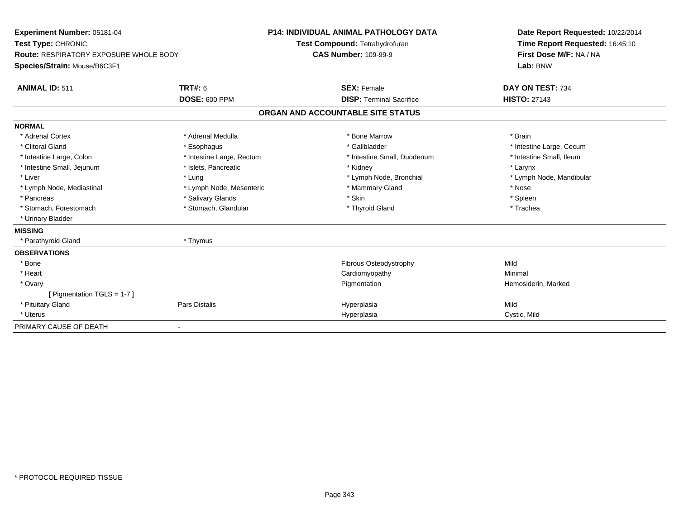| Experiment Number: 05181-04            |                           | P14: INDIVIDUAL ANIMAL PATHOLOGY DATA | Date Report Requested: 10/22/2014 |  |
|----------------------------------------|---------------------------|---------------------------------------|-----------------------------------|--|
| Test Type: CHRONIC                     |                           | Test Compound: Tetrahydrofuran        | Time Report Requested: 16:45:10   |  |
| Route: RESPIRATORY EXPOSURE WHOLE BODY |                           | <b>CAS Number: 109-99-9</b>           | First Dose M/F: NA / NA           |  |
| Species/Strain: Mouse/B6C3F1           |                           |                                       | Lab: BNW                          |  |
| <b>ANIMAL ID: 511</b>                  | TRT#: 6                   | <b>SEX: Female</b>                    | DAY ON TEST: 734                  |  |
|                                        | DOSE: 600 PPM             | <b>DISP: Terminal Sacrifice</b>       | <b>HISTO: 27143</b>               |  |
|                                        |                           | ORGAN AND ACCOUNTABLE SITE STATUS     |                                   |  |
| <b>NORMAL</b>                          |                           |                                       |                                   |  |
| * Adrenal Cortex                       | * Adrenal Medulla         | * Bone Marrow                         | * Brain                           |  |
| * Clitoral Gland                       | * Esophagus               | * Gallbladder                         | * Intestine Large, Cecum          |  |
| * Intestine Large, Colon               | * Intestine Large, Rectum | * Intestine Small, Duodenum           | * Intestine Small. Ileum          |  |
| * Intestine Small, Jejunum             | * Islets, Pancreatic      | * Kidney                              | * Larynx                          |  |
| * Liver                                | * Lung                    | * Lymph Node, Bronchial               | * Lymph Node, Mandibular          |  |
| * Lymph Node, Mediastinal              | * Lymph Node, Mesenteric  | * Mammary Gland                       | * Nose                            |  |
| * Pancreas                             | * Salivary Glands         | * Skin                                | * Spleen                          |  |
| * Stomach, Forestomach                 | * Stomach, Glandular      | * Thyroid Gland                       | * Trachea                         |  |
| * Urinary Bladder                      |                           |                                       |                                   |  |
| <b>MISSING</b>                         |                           |                                       |                                   |  |
| * Parathyroid Gland                    | * Thymus                  |                                       |                                   |  |
| <b>OBSERVATIONS</b>                    |                           |                                       |                                   |  |
| * Bone                                 |                           | Fibrous Osteodystrophy                | Mild                              |  |
| * Heart                                |                           | Cardiomyopathy                        | Minimal                           |  |
| * Ovary                                |                           | Pigmentation                          | Hemosiderin, Marked               |  |
| [ Pigmentation TGLS = 1-7 ]            |                           |                                       |                                   |  |
| * Pituitary Gland                      | Pars Distalis             | Hyperplasia                           | Mild                              |  |
| * Uterus                               |                           | Hyperplasia                           | Cystic, Mild                      |  |
| PRIMARY CAUSE OF DEATH                 | $\blacksquare$            |                                       |                                   |  |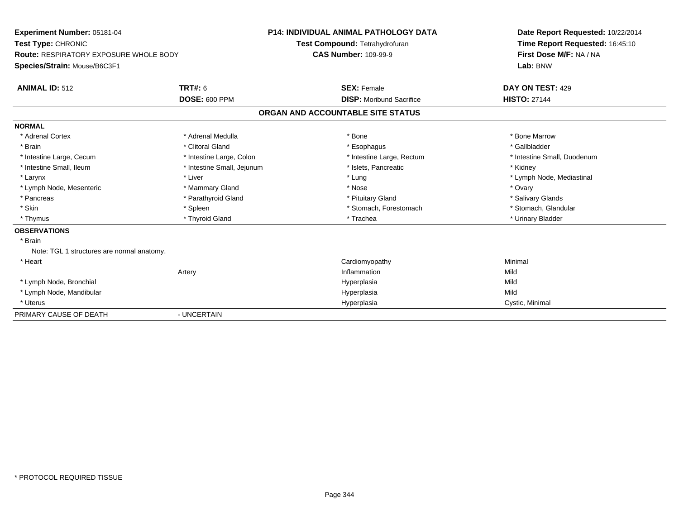| Experiment Number: 05181-04<br>Test Type: CHRONIC<br><b>Route: RESPIRATORY EXPOSURE WHOLE BODY</b><br>Species/Strain: Mouse/B6C3F1<br><b>ANIMAL ID: 512</b> | <b>TRT#: 6</b>             | <b>P14: INDIVIDUAL ANIMAL PATHOLOGY DATA</b><br>Test Compound: Tetrahydrofuran<br><b>CAS Number: 109-99-9</b><br><b>SEX: Female</b> |                                 | Date Report Requested: 10/22/2014<br>Time Report Requested: 16:45:10<br>First Dose M/F: NA / NA<br>Lab: BNW<br>DAY ON TEST: 429 |
|-------------------------------------------------------------------------------------------------------------------------------------------------------------|----------------------------|-------------------------------------------------------------------------------------------------------------------------------------|---------------------------------|---------------------------------------------------------------------------------------------------------------------------------|
|                                                                                                                                                             | <b>DOSE: 600 PPM</b>       |                                                                                                                                     | <b>DISP:</b> Moribund Sacrifice | <b>HISTO: 27144</b>                                                                                                             |
|                                                                                                                                                             |                            | ORGAN AND ACCOUNTABLE SITE STATUS                                                                                                   |                                 |                                                                                                                                 |
| <b>NORMAL</b>                                                                                                                                               |                            |                                                                                                                                     |                                 |                                                                                                                                 |
| * Adrenal Cortex                                                                                                                                            | * Adrenal Medulla          | * Bone                                                                                                                              |                                 | * Bone Marrow                                                                                                                   |
| * Brain                                                                                                                                                     | * Clitoral Gland           | * Esophagus                                                                                                                         |                                 | * Gallbladder                                                                                                                   |
| * Intestine Large, Cecum                                                                                                                                    | * Intestine Large, Colon   |                                                                                                                                     | * Intestine Large, Rectum       | * Intestine Small, Duodenum                                                                                                     |
| * Intestine Small, Ileum                                                                                                                                    | * Intestine Small, Jejunum |                                                                                                                                     | * Islets, Pancreatic            | * Kidney                                                                                                                        |
| * Larynx                                                                                                                                                    | * Liver                    | * Lung                                                                                                                              |                                 | * Lymph Node, Mediastinal                                                                                                       |
| * Lymph Node, Mesenteric                                                                                                                                    | * Mammary Gland            | * Nose                                                                                                                              |                                 | * Ovary                                                                                                                         |
| * Pancreas                                                                                                                                                  | * Parathyroid Gland        | * Pituitary Gland                                                                                                                   |                                 | * Salivary Glands                                                                                                               |
| * Skin                                                                                                                                                      | * Spleen                   |                                                                                                                                     | * Stomach, Forestomach          | * Stomach, Glandular                                                                                                            |
| * Thymus                                                                                                                                                    | * Thyroid Gland            | * Trachea                                                                                                                           |                                 | * Urinary Bladder                                                                                                               |
| <b>OBSERVATIONS</b>                                                                                                                                         |                            |                                                                                                                                     |                                 |                                                                                                                                 |
| * Brain<br>Note: TGL 1 structures are normal anatomy.                                                                                                       |                            |                                                                                                                                     |                                 |                                                                                                                                 |
| * Heart                                                                                                                                                     |                            | Cardiomyopathy                                                                                                                      |                                 | Minimal                                                                                                                         |
|                                                                                                                                                             | Artery                     | Inflammation                                                                                                                        |                                 | Mild                                                                                                                            |
| * Lymph Node, Bronchial                                                                                                                                     |                            | Hyperplasia                                                                                                                         |                                 | Mild                                                                                                                            |
| * Lymph Node, Mandibular                                                                                                                                    |                            | Hyperplasia                                                                                                                         |                                 | Mild                                                                                                                            |
| * Uterus                                                                                                                                                    |                            | Hyperplasia                                                                                                                         |                                 | Cystic, Minimal                                                                                                                 |
| PRIMARY CAUSE OF DEATH                                                                                                                                      | - UNCERTAIN                |                                                                                                                                     |                                 |                                                                                                                                 |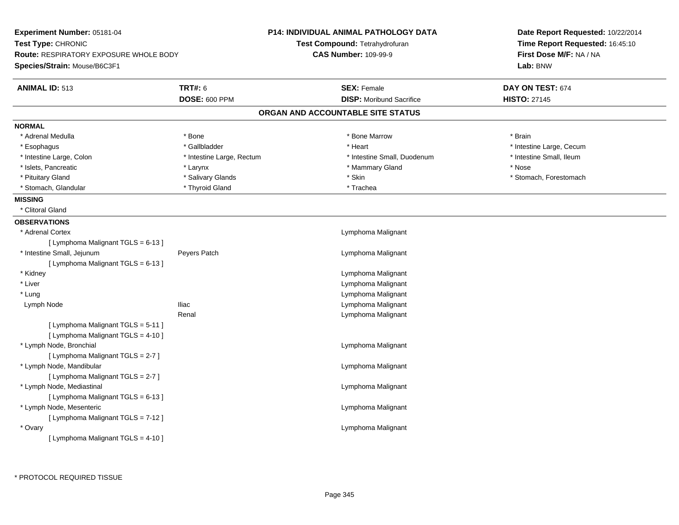| Experiment Number: 05181-04                   |                           | <b>P14: INDIVIDUAL ANIMAL PATHOLOGY DATA</b> | Date Report Requested: 10/22/2014 |
|-----------------------------------------------|---------------------------|----------------------------------------------|-----------------------------------|
| Test Type: CHRONIC                            |                           | Test Compound: Tetrahydrofuran               | Time Report Requested: 16:45:10   |
| <b>Route: RESPIRATORY EXPOSURE WHOLE BODY</b> |                           | <b>CAS Number: 109-99-9</b>                  | First Dose M/F: NA / NA           |
| Species/Strain: Mouse/B6C3F1                  |                           |                                              | Lab: BNW                          |
| <b>ANIMAL ID: 513</b>                         | <b>TRT#: 6</b>            | <b>SEX: Female</b>                           | DAY ON TEST: 674                  |
|                                               | DOSE: 600 PPM             | <b>DISP:</b> Moribund Sacrifice              | <b>HISTO: 27145</b>               |
|                                               |                           | ORGAN AND ACCOUNTABLE SITE STATUS            |                                   |
| <b>NORMAL</b>                                 |                           |                                              |                                   |
| * Adrenal Medulla                             | * Bone                    | * Bone Marrow                                | * Brain                           |
| * Esophagus                                   | * Gallbladder             | * Heart                                      | * Intestine Large, Cecum          |
| * Intestine Large, Colon                      | * Intestine Large, Rectum | * Intestine Small, Duodenum                  | * Intestine Small, Ileum          |
| * Islets, Pancreatic                          | * Larynx                  | * Mammary Gland                              | * Nose                            |
| * Pituitary Gland                             | * Salivary Glands         | * Skin                                       | * Stomach, Forestomach            |
| * Stomach, Glandular                          | * Thyroid Gland           | * Trachea                                    |                                   |
| <b>MISSING</b>                                |                           |                                              |                                   |
| * Clitoral Gland                              |                           |                                              |                                   |
| <b>OBSERVATIONS</b>                           |                           |                                              |                                   |
| * Adrenal Cortex                              |                           | Lymphoma Malignant                           |                                   |
| [ Lymphoma Malignant TGLS = 6-13 ]            |                           |                                              |                                   |
| * Intestine Small, Jejunum                    | Peyers Patch              | Lymphoma Malignant                           |                                   |
| [ Lymphoma Malignant TGLS = 6-13 ]            |                           |                                              |                                   |
| * Kidney                                      |                           | Lymphoma Malignant                           |                                   |
| * Liver                                       |                           | Lymphoma Malignant                           |                                   |
| * Lung                                        |                           | Lymphoma Malignant                           |                                   |
| Lymph Node                                    | <b>Iliac</b>              | Lymphoma Malignant                           |                                   |
|                                               | Renal                     | Lymphoma Malignant                           |                                   |
| [ Lymphoma Malignant TGLS = 5-11 ]            |                           |                                              |                                   |
| [ Lymphoma Malignant TGLS = 4-10 ]            |                           |                                              |                                   |
| * Lymph Node, Bronchial                       |                           | Lymphoma Malignant                           |                                   |
| [ Lymphoma Malignant TGLS = 2-7 ]             |                           |                                              |                                   |
| * Lymph Node, Mandibular                      |                           | Lymphoma Malignant                           |                                   |
| [ Lymphoma Malignant TGLS = 2-7 ]             |                           |                                              |                                   |
| * Lymph Node, Mediastinal                     |                           | Lymphoma Malignant                           |                                   |
| [ Lymphoma Malignant TGLS = 6-13 ]            |                           |                                              |                                   |
| * Lymph Node, Mesenteric                      |                           | Lymphoma Malignant                           |                                   |
| [ Lymphoma Malignant TGLS = 7-12 ]            |                           |                                              |                                   |
| * Ovary                                       |                           | Lymphoma Malignant                           |                                   |
| [ Lymphoma Malignant TGLS = 4-10 ]            |                           |                                              |                                   |
|                                               |                           |                                              |                                   |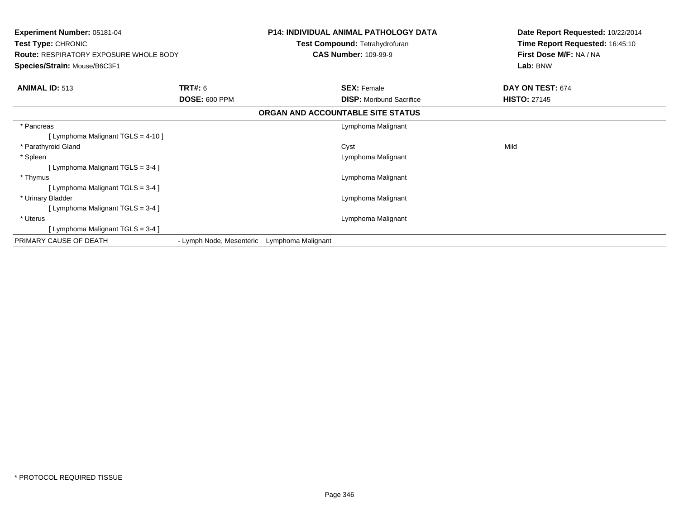| <b>Experiment Number: 05181-04</b><br>Test Type: CHRONIC<br><b>Route: RESPIRATORY EXPOSURE WHOLE BODY</b><br>Species/Strain: Mouse/B6C3F1 |                                             | <b>P14: INDIVIDUAL ANIMAL PATHOLOGY DATA</b><br>Test Compound: Tetrahydrofuran<br><b>CAS Number: 109-99-9</b> | Date Report Requested: 10/22/2014<br>Time Report Requested: 16:45:10<br>First Dose M/F: NA / NA<br>Lab: BNW |
|-------------------------------------------------------------------------------------------------------------------------------------------|---------------------------------------------|---------------------------------------------------------------------------------------------------------------|-------------------------------------------------------------------------------------------------------------|
| <b>ANIMAL ID: 513</b>                                                                                                                     | <b>TRT#: 6</b><br><b>DOSE: 600 PPM</b>      | <b>SEX: Female</b><br><b>DISP:</b> Moribund Sacrifice                                                         | DAY ON TEST: 674<br><b>HISTO: 27145</b>                                                                     |
|                                                                                                                                           |                                             | ORGAN AND ACCOUNTABLE SITE STATUS                                                                             |                                                                                                             |
| * Pancreas<br>[Lymphoma Malignant TGLS = 4-10]                                                                                            |                                             | Lymphoma Malignant                                                                                            |                                                                                                             |
| * Parathyroid Gland<br>* Spleen                                                                                                           |                                             | Cyst<br>Lymphoma Malignant                                                                                    | Mild                                                                                                        |
| [Lymphoma Malignant TGLS = 3-4]                                                                                                           |                                             |                                                                                                               |                                                                                                             |
| * Thymus<br>[Lymphoma Malignant TGLS = 3-4]                                                                                               |                                             | Lymphoma Malignant                                                                                            |                                                                                                             |
| * Urinary Bladder<br>[Lymphoma Malignant TGLS = 3-4 ]                                                                                     |                                             | Lymphoma Malignant                                                                                            |                                                                                                             |
| * Uterus<br>[Lymphoma Malignant TGLS = 3-4]                                                                                               |                                             | Lymphoma Malignant                                                                                            |                                                                                                             |
| PRIMARY CAUSE OF DEATH                                                                                                                    | - Lymph Node, Mesenteric Lymphoma Malignant |                                                                                                               |                                                                                                             |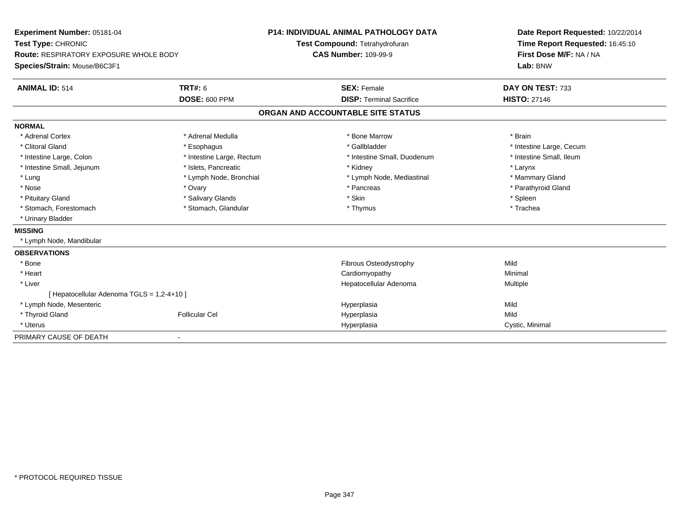| Experiment Number: 05181-04                   |                           | <b>P14: INDIVIDUAL ANIMAL PATHOLOGY DATA</b>                  | Date Report Requested: 10/22/2014                          |  |
|-----------------------------------------------|---------------------------|---------------------------------------------------------------|------------------------------------------------------------|--|
| Test Type: CHRONIC                            |                           | Test Compound: Tetrahydrofuran<br><b>CAS Number: 109-99-9</b> | Time Report Requested: 16:45:10<br>First Dose M/F: NA / NA |  |
| <b>Route: RESPIRATORY EXPOSURE WHOLE BODY</b> |                           |                                                               |                                                            |  |
| Species/Strain: Mouse/B6C3F1                  |                           |                                                               | Lab: BNW                                                   |  |
| <b>ANIMAL ID: 514</b>                         | <b>TRT#: 6</b>            | <b>SEX: Female</b>                                            | DAY ON TEST: 733                                           |  |
|                                               | DOSE: 600 PPM             | <b>DISP: Terminal Sacrifice</b>                               | <b>HISTO: 27146</b>                                        |  |
|                                               |                           | ORGAN AND ACCOUNTABLE SITE STATUS                             |                                                            |  |
| <b>NORMAL</b>                                 |                           |                                                               |                                                            |  |
| * Adrenal Cortex                              | * Adrenal Medulla         | * Bone Marrow                                                 | * Brain                                                    |  |
| * Clitoral Gland                              | * Esophagus               | * Gallbladder                                                 | * Intestine Large, Cecum                                   |  |
| * Intestine Large, Colon                      | * Intestine Large, Rectum | * Intestine Small, Duodenum                                   | * Intestine Small, Ileum                                   |  |
| * Intestine Small, Jejunum                    | * Islets, Pancreatic      | * Kidney                                                      | * Larynx                                                   |  |
| * Lung                                        | * Lymph Node, Bronchial   | * Lymph Node, Mediastinal                                     | * Mammary Gland                                            |  |
| * Nose                                        | * Ovary                   | * Pancreas                                                    | * Parathyroid Gland                                        |  |
| * Pituitary Gland                             | * Salivary Glands         | * Skin                                                        | * Spleen                                                   |  |
| * Stomach, Forestomach                        | * Stomach, Glandular      | * Thymus                                                      | * Trachea                                                  |  |
| * Urinary Bladder                             |                           |                                                               |                                                            |  |
| <b>MISSING</b>                                |                           |                                                               |                                                            |  |
| * Lymph Node, Mandibular                      |                           |                                                               |                                                            |  |
| <b>OBSERVATIONS</b>                           |                           |                                                               |                                                            |  |
| * Bone                                        |                           | Fibrous Osteodystrophy                                        | Mild                                                       |  |
| * Heart                                       |                           | Cardiomyopathy                                                | Minimal                                                    |  |
| * Liver                                       |                           | Hepatocellular Adenoma                                        | Multiple                                                   |  |
| [ Hepatocellular Adenoma TGLS = 1,2-4+10 ]    |                           |                                                               |                                                            |  |
| * Lymph Node, Mesenteric                      |                           | Hyperplasia                                                   | Mild                                                       |  |
| * Thyroid Gland                               | <b>Follicular Cel</b>     | Hyperplasia                                                   | Mild                                                       |  |
| * Uterus                                      |                           | Hyperplasia                                                   | Cystic, Minimal                                            |  |
| PRIMARY CAUSE OF DEATH                        | $\overline{\phantom{0}}$  |                                                               |                                                            |  |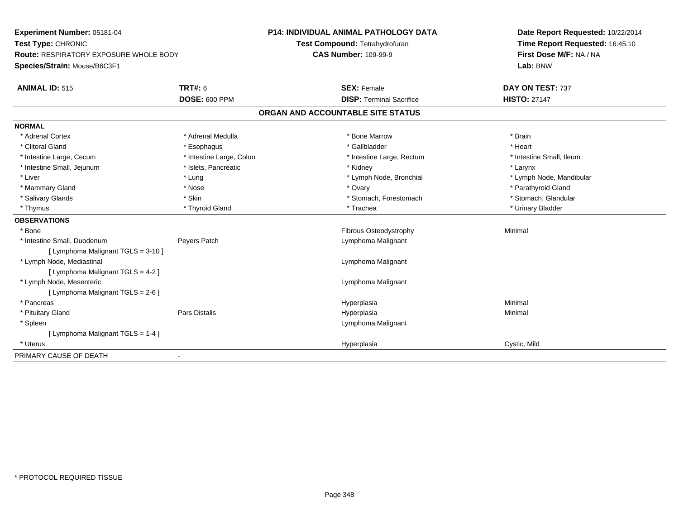| Experiment Number: 05181-04<br>Test Type: CHRONIC<br><b>Route: RESPIRATORY EXPOSURE WHOLE BODY</b><br>Species/Strain: Mouse/B6C3F1 |                          | <b>P14: INDIVIDUAL ANIMAL PATHOLOGY DATA</b><br>Test Compound: Tetrahydrofuran | Date Report Requested: 10/22/2014<br>Time Report Requested: 16:45:10 |
|------------------------------------------------------------------------------------------------------------------------------------|--------------------------|--------------------------------------------------------------------------------|----------------------------------------------------------------------|
|                                                                                                                                    |                          | <b>CAS Number: 109-99-9</b>                                                    | First Dose M/F: NA / NA<br>Lab: BNW                                  |
| <b>ANIMAL ID: 515</b>                                                                                                              | <b>TRT#: 6</b>           | <b>SEX: Female</b>                                                             | DAY ON TEST: 737                                                     |
|                                                                                                                                    | <b>DOSE: 600 PPM</b>     | <b>DISP: Terminal Sacrifice</b>                                                | <b>HISTO: 27147</b>                                                  |
|                                                                                                                                    |                          | ORGAN AND ACCOUNTABLE SITE STATUS                                              |                                                                      |
| <b>NORMAL</b>                                                                                                                      |                          |                                                                                |                                                                      |
| * Adrenal Cortex                                                                                                                   | * Adrenal Medulla        | * Bone Marrow                                                                  | * Brain                                                              |
| * Clitoral Gland                                                                                                                   | * Esophagus              | * Gallbladder                                                                  | * Heart                                                              |
| * Intestine Large, Cecum                                                                                                           | * Intestine Large, Colon | * Intestine Large, Rectum                                                      | * Intestine Small, Ileum                                             |
| * Intestine Small, Jejunum                                                                                                         | * Islets, Pancreatic     | * Kidney                                                                       | * Larynx                                                             |
| * Liver                                                                                                                            | * Lung                   | * Lymph Node, Bronchial                                                        | * Lymph Node, Mandibular                                             |
| * Mammary Gland                                                                                                                    | * Nose                   | * Ovary                                                                        | * Parathyroid Gland                                                  |
| * Salivary Glands                                                                                                                  | * Skin                   | * Stomach, Forestomach                                                         | * Stomach, Glandular                                                 |
| * Thymus                                                                                                                           | * Thyroid Gland          | * Trachea                                                                      | * Urinary Bladder                                                    |
| <b>OBSERVATIONS</b>                                                                                                                |                          |                                                                                |                                                                      |
| * Bone                                                                                                                             |                          | Fibrous Osteodystrophy                                                         | Minimal                                                              |
| * Intestine Small, Duodenum                                                                                                        | Peyers Patch             | Lymphoma Malignant                                                             |                                                                      |
| [ Lymphoma Malignant TGLS = 3-10 ]                                                                                                 |                          |                                                                                |                                                                      |
| * Lymph Node, Mediastinal                                                                                                          |                          | Lymphoma Malignant                                                             |                                                                      |
| [ Lymphoma Malignant TGLS = 4-2 ]                                                                                                  |                          |                                                                                |                                                                      |
| * Lymph Node, Mesenteric                                                                                                           |                          | Lymphoma Malignant                                                             |                                                                      |
| [ Lymphoma Malignant TGLS = 2-6 ]                                                                                                  |                          |                                                                                |                                                                      |
| * Pancreas                                                                                                                         |                          | Hyperplasia                                                                    | Minimal                                                              |
| * Pituitary Gland                                                                                                                  | Pars Distalis            | Hyperplasia                                                                    | Minimal                                                              |
| * Spleen                                                                                                                           |                          | Lymphoma Malignant                                                             |                                                                      |
| [ Lymphoma Malignant TGLS = 1-4 ]                                                                                                  |                          |                                                                                |                                                                      |
| * Uterus                                                                                                                           |                          | Hyperplasia                                                                    | Cystic, Mild                                                         |
| PRIMARY CAUSE OF DEATH                                                                                                             | $\blacksquare$           |                                                                                |                                                                      |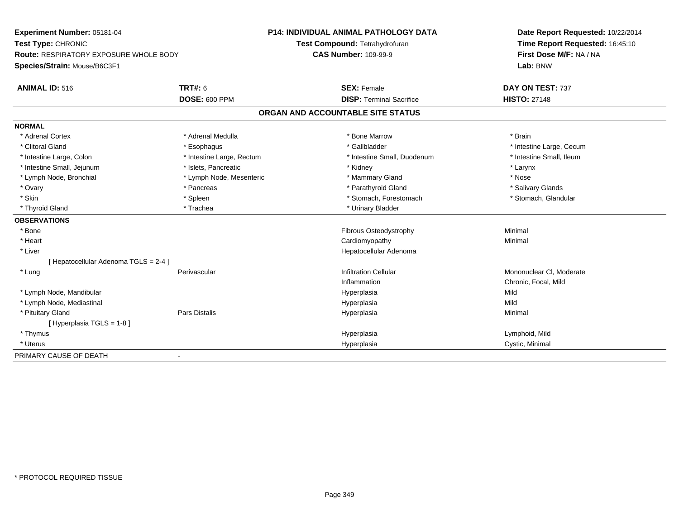| Experiment Number: 05181-04                   |                           | <b>P14: INDIVIDUAL ANIMAL PATHOLOGY DATA</b> | Date Report Requested: 10/22/2014 |
|-----------------------------------------------|---------------------------|----------------------------------------------|-----------------------------------|
| Test Type: CHRONIC                            |                           | Test Compound: Tetrahydrofuran               | Time Report Requested: 16:45:10   |
| <b>Route: RESPIRATORY EXPOSURE WHOLE BODY</b> |                           | <b>CAS Number: 109-99-9</b>                  | First Dose M/F: NA / NA           |
| Species/Strain: Mouse/B6C3F1                  |                           |                                              | Lab: BNW                          |
| <b>ANIMAL ID: 516</b>                         | <b>TRT#: 6</b>            | <b>SEX: Female</b>                           | DAY ON TEST: 737                  |
|                                               | <b>DOSE: 600 PPM</b>      | <b>DISP: Terminal Sacrifice</b>              | <b>HISTO: 27148</b>               |
|                                               |                           | ORGAN AND ACCOUNTABLE SITE STATUS            |                                   |
| <b>NORMAL</b>                                 |                           |                                              |                                   |
| * Adrenal Cortex                              | * Adrenal Medulla         | * Bone Marrow                                | * Brain                           |
| * Clitoral Gland                              | * Esophagus               | * Gallbladder                                | * Intestine Large, Cecum          |
| * Intestine Large, Colon                      | * Intestine Large, Rectum | * Intestine Small, Duodenum                  | * Intestine Small, Ileum          |
| * Intestine Small, Jejunum                    | * Islets, Pancreatic      | * Kidney                                     | * Larynx                          |
| * Lymph Node, Bronchial                       | * Lymph Node, Mesenteric  | * Mammary Gland                              | * Nose                            |
| * Ovary                                       | * Pancreas                | * Parathyroid Gland                          | * Salivary Glands                 |
| * Skin                                        | * Spleen                  | * Stomach, Forestomach                       | * Stomach, Glandular              |
| * Thyroid Gland                               | * Trachea                 | * Urinary Bladder                            |                                   |
| <b>OBSERVATIONS</b>                           |                           |                                              |                                   |
| $*$ Bone                                      |                           | Fibrous Osteodystrophy                       | Minimal                           |
| * Heart                                       |                           | Cardiomyopathy                               | Minimal                           |
| * Liver                                       |                           | Hepatocellular Adenoma                       |                                   |
| [ Hepatocellular Adenoma TGLS = 2-4 ]         |                           |                                              |                                   |
| * Lung                                        | Perivascular              | <b>Infiltration Cellular</b>                 | Mononuclear CI, Moderate          |
|                                               |                           | Inflammation                                 | Chronic, Focal, Mild              |
| * Lymph Node, Mandibular                      |                           | Hyperplasia                                  | Mild                              |
| * Lymph Node, Mediastinal                     |                           | Hyperplasia                                  | Mild                              |
| * Pituitary Gland                             | <b>Pars Distalis</b>      | Hyperplasia                                  | Minimal                           |
| [ Hyperplasia TGLS = 1-8]                     |                           |                                              |                                   |
| * Thymus                                      |                           | Hyperplasia                                  | Lymphoid, Mild                    |
| * Uterus                                      |                           | Hyperplasia                                  | Cystic, Minimal                   |
| PRIMARY CAUSE OF DEATH                        | $\blacksquare$            |                                              |                                   |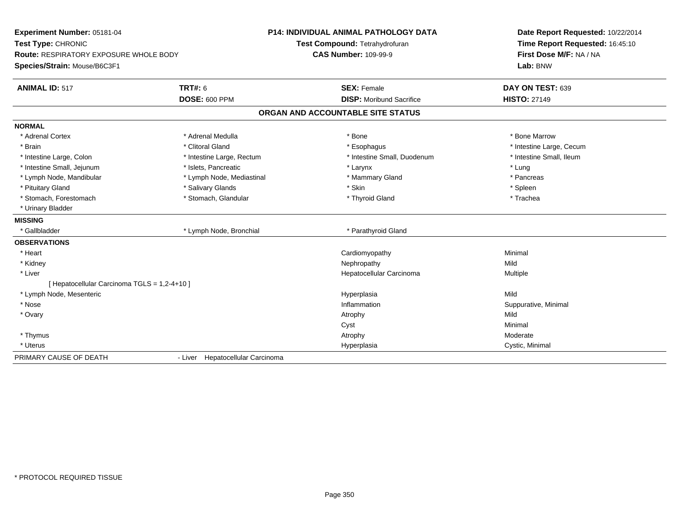| Experiment Number: 05181-04                  |                                  | <b>P14: INDIVIDUAL ANIMAL PATHOLOGY DATA</b> | Date Report Requested: 10/22/2014 |  |  |
|----------------------------------------------|----------------------------------|----------------------------------------------|-----------------------------------|--|--|
| Test Type: CHRONIC                           |                                  | Test Compound: Tetrahydrofuran               | Time Report Requested: 16:45:10   |  |  |
| Route: RESPIRATORY EXPOSURE WHOLE BODY       |                                  | <b>CAS Number: 109-99-9</b>                  | First Dose M/F: NA / NA           |  |  |
| Species/Strain: Mouse/B6C3F1                 |                                  |                                              | Lab: BNW                          |  |  |
| <b>ANIMAL ID: 517</b>                        | <b>TRT#: 6</b>                   | <b>SEX: Female</b>                           | DAY ON TEST: 639                  |  |  |
|                                              | <b>DOSE: 600 PPM</b>             | <b>DISP:</b> Moribund Sacrifice              | <b>HISTO: 27149</b>               |  |  |
|                                              |                                  | ORGAN AND ACCOUNTABLE SITE STATUS            |                                   |  |  |
| <b>NORMAL</b>                                |                                  |                                              |                                   |  |  |
| * Adrenal Cortex                             | * Adrenal Medulla                | * Bone                                       | * Bone Marrow                     |  |  |
| * Brain                                      | * Clitoral Gland                 | * Esophagus                                  | * Intestine Large, Cecum          |  |  |
| * Intestine Large, Colon                     | * Intestine Large, Rectum        | * Intestine Small, Duodenum                  | * Intestine Small, Ileum          |  |  |
| * Intestine Small, Jejunum                   | * Islets. Pancreatic             | * Larynx                                     | * Lung                            |  |  |
| * Lymph Node, Mandibular                     | * Lymph Node, Mediastinal        | * Mammary Gland                              | * Pancreas                        |  |  |
| * Pituitary Gland                            | * Salivary Glands                | * Skin                                       | * Spleen                          |  |  |
| * Stomach, Forestomach                       | * Stomach, Glandular             | * Thyroid Gland                              | * Trachea                         |  |  |
| * Urinary Bladder                            |                                  |                                              |                                   |  |  |
| <b>MISSING</b>                               |                                  |                                              |                                   |  |  |
| * Gallbladder                                | * Lymph Node, Bronchial          | * Parathyroid Gland                          |                                   |  |  |
| <b>OBSERVATIONS</b>                          |                                  |                                              |                                   |  |  |
| * Heart                                      |                                  | Cardiomyopathy                               | Minimal                           |  |  |
| * Kidney                                     |                                  | Nephropathy                                  | Mild                              |  |  |
| * Liver                                      |                                  | Hepatocellular Carcinoma                     | Multiple                          |  |  |
| [ Hepatocellular Carcinoma TGLS = 1,2-4+10 ] |                                  |                                              |                                   |  |  |
| * Lymph Node, Mesenteric                     |                                  | Hyperplasia                                  | Mild                              |  |  |
| * Nose                                       |                                  | Inflammation                                 | Suppurative, Minimal              |  |  |
| * Ovary                                      |                                  | Atrophy                                      | Mild                              |  |  |
|                                              |                                  | Cyst                                         | Minimal                           |  |  |
| * Thymus                                     |                                  | Atrophy                                      | Moderate                          |  |  |
| * Uterus                                     |                                  | Hyperplasia                                  | Cystic, Minimal                   |  |  |
| PRIMARY CAUSE OF DEATH                       | - Liver Hepatocellular Carcinoma |                                              |                                   |  |  |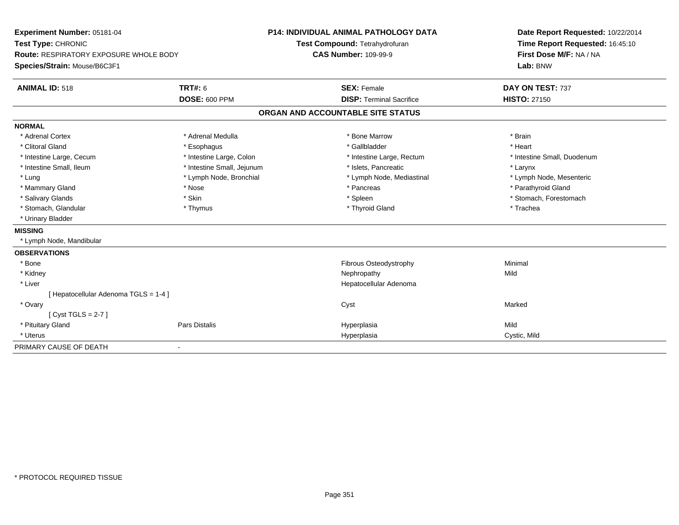| Experiment Number: 05181-04                   |                            | <b>P14: INDIVIDUAL ANIMAL PATHOLOGY DATA</b> |                                 |  | Date Report Requested: 10/22/2014 |
|-----------------------------------------------|----------------------------|----------------------------------------------|---------------------------------|--|-----------------------------------|
| Test Type: CHRONIC                            |                            |                                              | Test Compound: Tetrahydrofuran  |  | Time Report Requested: 16:45:10   |
| <b>Route: RESPIRATORY EXPOSURE WHOLE BODY</b> |                            | <b>CAS Number: 109-99-9</b>                  |                                 |  | First Dose M/F: NA / NA           |
| Species/Strain: Mouse/B6C3F1                  |                            |                                              |                                 |  | Lab: BNW                          |
| <b>ANIMAL ID: 518</b>                         | <b>TRT#: 6</b>             |                                              | <b>SEX: Female</b>              |  | DAY ON TEST: 737                  |
|                                               | <b>DOSE: 600 PPM</b>       |                                              | <b>DISP: Terminal Sacrifice</b> |  | <b>HISTO: 27150</b>               |
|                                               |                            | ORGAN AND ACCOUNTABLE SITE STATUS            |                                 |  |                                   |
| <b>NORMAL</b>                                 |                            |                                              |                                 |  |                                   |
| * Adrenal Cortex                              | * Adrenal Medulla          |                                              | * Bone Marrow                   |  | * Brain                           |
| * Clitoral Gland                              | * Esophagus                |                                              | * Gallbladder                   |  | * Heart                           |
| * Intestine Large, Cecum                      | * Intestine Large, Colon   |                                              | * Intestine Large, Rectum       |  | * Intestine Small, Duodenum       |
| * Intestine Small, Ileum                      | * Intestine Small, Jejunum |                                              | * Islets, Pancreatic            |  | * Larynx                          |
| * Lung                                        | * Lymph Node, Bronchial    |                                              | * Lymph Node, Mediastinal       |  | * Lymph Node, Mesenteric          |
| * Mammary Gland                               | * Nose                     |                                              | * Pancreas                      |  | * Parathyroid Gland               |
| * Salivary Glands                             | * Skin                     |                                              | * Spleen                        |  | * Stomach, Forestomach            |
| * Stomach, Glandular                          | * Thymus                   |                                              | * Thyroid Gland                 |  | * Trachea                         |
| * Urinary Bladder                             |                            |                                              |                                 |  |                                   |
| <b>MISSING</b>                                |                            |                                              |                                 |  |                                   |
| * Lymph Node, Mandibular                      |                            |                                              |                                 |  |                                   |
| <b>OBSERVATIONS</b>                           |                            |                                              |                                 |  |                                   |
| * Bone                                        |                            |                                              | Fibrous Osteodystrophy          |  | Minimal                           |
| * Kidney                                      |                            |                                              | Nephropathy                     |  | Mild                              |
| * Liver                                       |                            |                                              | Hepatocellular Adenoma          |  |                                   |
| [ Hepatocellular Adenoma TGLS = 1-4 ]         |                            |                                              |                                 |  |                                   |
| * Ovary                                       |                            |                                              | Cyst                            |  | Marked                            |
| [Cyst TGLS = $2-7$ ]                          |                            |                                              |                                 |  |                                   |
| * Pituitary Gland                             | <b>Pars Distalis</b>       |                                              | Hyperplasia                     |  | Mild                              |
| * Uterus                                      |                            |                                              | Hyperplasia                     |  | Cystic, Mild                      |
| PRIMARY CAUSE OF DEATH                        | $\blacksquare$             |                                              |                                 |  |                                   |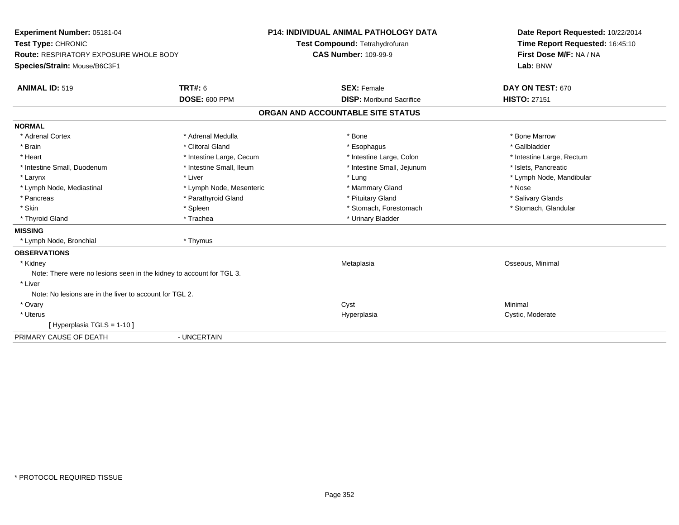| Experiment Number: 05181-04                                          | <b>P14: INDIVIDUAL ANIMAL PATHOLOGY DATA</b> |                                   | Date Report Requested: 10/22/2014 |
|----------------------------------------------------------------------|----------------------------------------------|-----------------------------------|-----------------------------------|
| Test Type: CHRONIC                                                   |                                              | Test Compound: Tetrahydrofuran    | Time Report Requested: 16:45:10   |
| Route: RESPIRATORY EXPOSURE WHOLE BODY                               |                                              | <b>CAS Number: 109-99-9</b>       | First Dose M/F: NA / NA           |
| Species/Strain: Mouse/B6C3F1                                         |                                              |                                   | Lab: BNW                          |
| <b>ANIMAL ID: 519</b>                                                | <b>TRT#: 6</b>                               | <b>SEX: Female</b>                | DAY ON TEST: 670                  |
|                                                                      | <b>DOSE: 600 PPM</b>                         | <b>DISP:</b> Moribund Sacrifice   | <b>HISTO: 27151</b>               |
|                                                                      |                                              | ORGAN AND ACCOUNTABLE SITE STATUS |                                   |
| <b>NORMAL</b>                                                        |                                              |                                   |                                   |
| * Adrenal Cortex                                                     | * Adrenal Medulla                            | * Bone                            | * Bone Marrow                     |
| * Brain                                                              | * Clitoral Gland                             | * Esophagus                       | * Gallbladder                     |
| * Heart                                                              | * Intestine Large, Cecum                     | * Intestine Large, Colon          | * Intestine Large, Rectum         |
| * Intestine Small, Duodenum                                          | * Intestine Small, Ileum                     | * Intestine Small, Jejunum        | * Islets. Pancreatic              |
| * Larynx                                                             | * Liver                                      | * Lung                            | * Lymph Node, Mandibular          |
| * Lymph Node, Mediastinal                                            | * Lymph Node, Mesenteric                     | * Mammary Gland                   | * Nose                            |
| * Pancreas                                                           | * Parathyroid Gland                          | * Pituitary Gland                 | * Salivary Glands                 |
| * Skin                                                               | * Spleen                                     | * Stomach, Forestomach            | * Stomach, Glandular              |
| * Thyroid Gland                                                      | * Trachea                                    | * Urinary Bladder                 |                                   |
| <b>MISSING</b>                                                       |                                              |                                   |                                   |
| * Lymph Node, Bronchial                                              | * Thymus                                     |                                   |                                   |
| <b>OBSERVATIONS</b>                                                  |                                              |                                   |                                   |
| * Kidney                                                             |                                              | Metaplasia                        | Osseous, Minimal                  |
| Note: There were no lesions seen in the kidney to account for TGL 3. |                                              |                                   |                                   |
| * Liver                                                              |                                              |                                   |                                   |
| Note: No lesions are in the liver to account for TGL 2.              |                                              |                                   |                                   |
| * Ovary                                                              |                                              | Cyst                              | Minimal                           |
| * Uterus                                                             |                                              | Hyperplasia                       | Cystic, Moderate                  |
| [Hyperplasia TGLS = 1-10]                                            |                                              |                                   |                                   |
| PRIMARY CAUSE OF DEATH                                               | - UNCERTAIN                                  |                                   |                                   |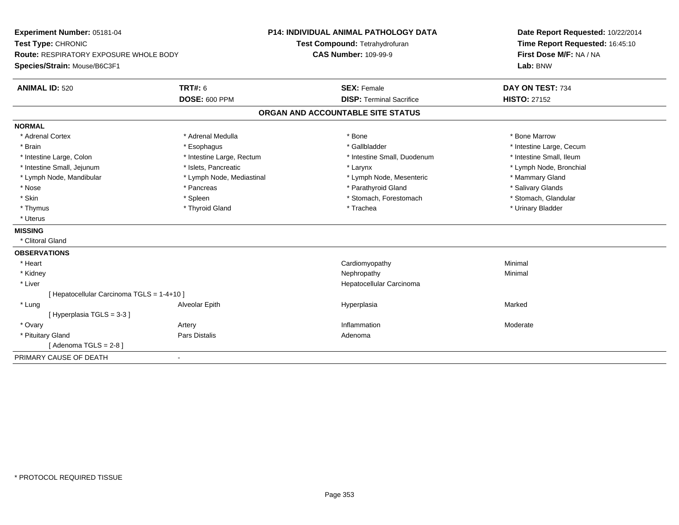| <b>TRT#: 6</b><br><b>SEX: Female</b><br>DAY ON TEST: 734<br><b>ANIMAL ID: 520</b><br><b>DOSE: 600 PPM</b><br><b>DISP: Terminal Sacrifice</b><br><b>HISTO: 27152</b><br>ORGAN AND ACCOUNTABLE SITE STATUS<br><b>NORMAL</b><br>* Adrenal Medulla<br>* Bone Marrow<br>* Adrenal Cortex<br>* Bone<br>* Gallbladder<br>* Brain<br>* Esophagus<br>* Intestine Large, Cecum<br>* Intestine Large, Rectum<br>* Intestine Small, Ileum<br>* Intestine Large, Colon<br>* Intestine Small, Duodenum<br>* Intestine Small, Jejunum<br>* Islets, Pancreatic<br>* Lymph Node, Bronchial<br>* Larynx<br>* Lymph Node, Mandibular<br>* Lymph Node, Mediastinal<br>* Lymph Node, Mesenteric<br>* Mammary Gland<br>* Nose<br>* Parathyroid Gland<br>* Salivary Glands<br>* Pancreas<br>* Skin<br>* Stomach, Forestomach<br>* Stomach, Glandular<br>* Spleen<br>* Thymus<br>* Thyroid Gland<br>* Trachea<br>* Urinary Bladder<br>* Uterus<br><b>MISSING</b><br>* Clitoral Gland<br><b>OBSERVATIONS</b><br>* Heart<br>Cardiomyopathy<br>Minimal<br>* Kidney<br>Nephropathy<br>Minimal<br>* Liver<br>Hepatocellular Carcinoma<br>[ Hepatocellular Carcinoma TGLS = 1-4+10 ]<br>* Lung<br>Marked<br>Alveolar Epith<br>Hyperplasia<br>[Hyperplasia TGLS = 3-3]<br>* Ovary<br>Artery<br>Inflammation<br>Moderate<br>* Pituitary Gland<br>Pars Distalis<br>Adenoma<br>[Adenoma TGLS = $2-8$ ]<br>PRIMARY CAUSE OF DEATH<br>$\overline{\phantom{a}}$ | Experiment Number: 05181-04<br>Test Type: CHRONIC<br><b>Route: RESPIRATORY EXPOSURE WHOLE BODY</b><br>Species/Strain: Mouse/B6C3F1 | <b>P14: INDIVIDUAL ANIMAL PATHOLOGY DATA</b><br>Test Compound: Tetrahydrofuran<br><b>CAS Number: 109-99-9</b> | Date Report Requested: 10/22/2014<br>Time Report Requested: 16:45:10<br>First Dose M/F: NA / NA<br>Lab: BNW |
|----------------------------------------------------------------------------------------------------------------------------------------------------------------------------------------------------------------------------------------------------------------------------------------------------------------------------------------------------------------------------------------------------------------------------------------------------------------------------------------------------------------------------------------------------------------------------------------------------------------------------------------------------------------------------------------------------------------------------------------------------------------------------------------------------------------------------------------------------------------------------------------------------------------------------------------------------------------------------------------------------------------------------------------------------------------------------------------------------------------------------------------------------------------------------------------------------------------------------------------------------------------------------------------------------------------------------------------------------------------------------------------------------------------------------|------------------------------------------------------------------------------------------------------------------------------------|---------------------------------------------------------------------------------------------------------------|-------------------------------------------------------------------------------------------------------------|
|                                                                                                                                                                                                                                                                                                                                                                                                                                                                                                                                                                                                                                                                                                                                                                                                                                                                                                                                                                                                                                                                                                                                                                                                                                                                                                                                                                                                                            |                                                                                                                                    |                                                                                                               |                                                                                                             |
|                                                                                                                                                                                                                                                                                                                                                                                                                                                                                                                                                                                                                                                                                                                                                                                                                                                                                                                                                                                                                                                                                                                                                                                                                                                                                                                                                                                                                            |                                                                                                                                    |                                                                                                               |                                                                                                             |
|                                                                                                                                                                                                                                                                                                                                                                                                                                                                                                                                                                                                                                                                                                                                                                                                                                                                                                                                                                                                                                                                                                                                                                                                                                                                                                                                                                                                                            |                                                                                                                                    |                                                                                                               |                                                                                                             |
|                                                                                                                                                                                                                                                                                                                                                                                                                                                                                                                                                                                                                                                                                                                                                                                                                                                                                                                                                                                                                                                                                                                                                                                                                                                                                                                                                                                                                            |                                                                                                                                    |                                                                                                               |                                                                                                             |
|                                                                                                                                                                                                                                                                                                                                                                                                                                                                                                                                                                                                                                                                                                                                                                                                                                                                                                                                                                                                                                                                                                                                                                                                                                                                                                                                                                                                                            |                                                                                                                                    |                                                                                                               |                                                                                                             |
|                                                                                                                                                                                                                                                                                                                                                                                                                                                                                                                                                                                                                                                                                                                                                                                                                                                                                                                                                                                                                                                                                                                                                                                                                                                                                                                                                                                                                            |                                                                                                                                    |                                                                                                               |                                                                                                             |
|                                                                                                                                                                                                                                                                                                                                                                                                                                                                                                                                                                                                                                                                                                                                                                                                                                                                                                                                                                                                                                                                                                                                                                                                                                                                                                                                                                                                                            |                                                                                                                                    |                                                                                                               |                                                                                                             |
|                                                                                                                                                                                                                                                                                                                                                                                                                                                                                                                                                                                                                                                                                                                                                                                                                                                                                                                                                                                                                                                                                                                                                                                                                                                                                                                                                                                                                            |                                                                                                                                    |                                                                                                               |                                                                                                             |
|                                                                                                                                                                                                                                                                                                                                                                                                                                                                                                                                                                                                                                                                                                                                                                                                                                                                                                                                                                                                                                                                                                                                                                                                                                                                                                                                                                                                                            |                                                                                                                                    |                                                                                                               |                                                                                                             |
|                                                                                                                                                                                                                                                                                                                                                                                                                                                                                                                                                                                                                                                                                                                                                                                                                                                                                                                                                                                                                                                                                                                                                                                                                                                                                                                                                                                                                            |                                                                                                                                    |                                                                                                               |                                                                                                             |
|                                                                                                                                                                                                                                                                                                                                                                                                                                                                                                                                                                                                                                                                                                                                                                                                                                                                                                                                                                                                                                                                                                                                                                                                                                                                                                                                                                                                                            |                                                                                                                                    |                                                                                                               |                                                                                                             |
|                                                                                                                                                                                                                                                                                                                                                                                                                                                                                                                                                                                                                                                                                                                                                                                                                                                                                                                                                                                                                                                                                                                                                                                                                                                                                                                                                                                                                            |                                                                                                                                    |                                                                                                               |                                                                                                             |
|                                                                                                                                                                                                                                                                                                                                                                                                                                                                                                                                                                                                                                                                                                                                                                                                                                                                                                                                                                                                                                                                                                                                                                                                                                                                                                                                                                                                                            |                                                                                                                                    |                                                                                                               |                                                                                                             |
|                                                                                                                                                                                                                                                                                                                                                                                                                                                                                                                                                                                                                                                                                                                                                                                                                                                                                                                                                                                                                                                                                                                                                                                                                                                                                                                                                                                                                            |                                                                                                                                    |                                                                                                               |                                                                                                             |
|                                                                                                                                                                                                                                                                                                                                                                                                                                                                                                                                                                                                                                                                                                                                                                                                                                                                                                                                                                                                                                                                                                                                                                                                                                                                                                                                                                                                                            |                                                                                                                                    |                                                                                                               |                                                                                                             |
|                                                                                                                                                                                                                                                                                                                                                                                                                                                                                                                                                                                                                                                                                                                                                                                                                                                                                                                                                                                                                                                                                                                                                                                                                                                                                                                                                                                                                            |                                                                                                                                    |                                                                                                               |                                                                                                             |
|                                                                                                                                                                                                                                                                                                                                                                                                                                                                                                                                                                                                                                                                                                                                                                                                                                                                                                                                                                                                                                                                                                                                                                                                                                                                                                                                                                                                                            |                                                                                                                                    |                                                                                                               |                                                                                                             |
|                                                                                                                                                                                                                                                                                                                                                                                                                                                                                                                                                                                                                                                                                                                                                                                                                                                                                                                                                                                                                                                                                                                                                                                                                                                                                                                                                                                                                            |                                                                                                                                    |                                                                                                               |                                                                                                             |
|                                                                                                                                                                                                                                                                                                                                                                                                                                                                                                                                                                                                                                                                                                                                                                                                                                                                                                                                                                                                                                                                                                                                                                                                                                                                                                                                                                                                                            |                                                                                                                                    |                                                                                                               |                                                                                                             |
|                                                                                                                                                                                                                                                                                                                                                                                                                                                                                                                                                                                                                                                                                                                                                                                                                                                                                                                                                                                                                                                                                                                                                                                                                                                                                                                                                                                                                            |                                                                                                                                    |                                                                                                               |                                                                                                             |
|                                                                                                                                                                                                                                                                                                                                                                                                                                                                                                                                                                                                                                                                                                                                                                                                                                                                                                                                                                                                                                                                                                                                                                                                                                                                                                                                                                                                                            |                                                                                                                                    |                                                                                                               |                                                                                                             |
|                                                                                                                                                                                                                                                                                                                                                                                                                                                                                                                                                                                                                                                                                                                                                                                                                                                                                                                                                                                                                                                                                                                                                                                                                                                                                                                                                                                                                            |                                                                                                                                    |                                                                                                               |                                                                                                             |
|                                                                                                                                                                                                                                                                                                                                                                                                                                                                                                                                                                                                                                                                                                                                                                                                                                                                                                                                                                                                                                                                                                                                                                                                                                                                                                                                                                                                                            |                                                                                                                                    |                                                                                                               |                                                                                                             |
|                                                                                                                                                                                                                                                                                                                                                                                                                                                                                                                                                                                                                                                                                                                                                                                                                                                                                                                                                                                                                                                                                                                                                                                                                                                                                                                                                                                                                            |                                                                                                                                    |                                                                                                               |                                                                                                             |
|                                                                                                                                                                                                                                                                                                                                                                                                                                                                                                                                                                                                                                                                                                                                                                                                                                                                                                                                                                                                                                                                                                                                                                                                                                                                                                                                                                                                                            |                                                                                                                                    |                                                                                                               |                                                                                                             |
|                                                                                                                                                                                                                                                                                                                                                                                                                                                                                                                                                                                                                                                                                                                                                                                                                                                                                                                                                                                                                                                                                                                                                                                                                                                                                                                                                                                                                            |                                                                                                                                    |                                                                                                               |                                                                                                             |
|                                                                                                                                                                                                                                                                                                                                                                                                                                                                                                                                                                                                                                                                                                                                                                                                                                                                                                                                                                                                                                                                                                                                                                                                                                                                                                                                                                                                                            |                                                                                                                                    |                                                                                                               |                                                                                                             |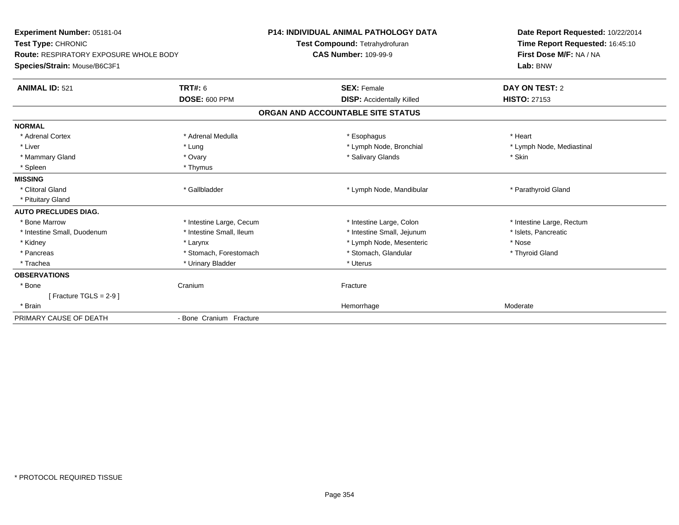| Experiment Number: 05181-04<br>Test Type: CHRONIC<br><b>Route: RESPIRATORY EXPOSURE WHOLE BODY</b><br>Species/Strain: Mouse/B6C3F1 |                                 | <b>P14: INDIVIDUAL ANIMAL PATHOLOGY DATA</b><br>Test Compound: Tetrahydrofuran<br><b>CAS Number: 109-99-9</b> | Date Report Requested: 10/22/2014<br>Time Report Requested: 16:45:10<br>First Dose M/F: NA / NA<br>Lab: BNW |  |  |
|------------------------------------------------------------------------------------------------------------------------------------|---------------------------------|---------------------------------------------------------------------------------------------------------------|-------------------------------------------------------------------------------------------------------------|--|--|
| <b>ANIMAL ID: 521</b>                                                                                                              | TRT#: 6<br><b>DOSE: 600 PPM</b> | <b>SEX: Female</b><br><b>DISP:</b> Accidentally Killed                                                        | DAY ON TEST: 2<br><b>HISTO: 27153</b>                                                                       |  |  |
|                                                                                                                                    |                                 | ORGAN AND ACCOUNTABLE SITE STATUS                                                                             |                                                                                                             |  |  |
| <b>NORMAL</b>                                                                                                                      |                                 |                                                                                                               |                                                                                                             |  |  |
| * Adrenal Cortex                                                                                                                   | * Adrenal Medulla               | * Esophagus                                                                                                   | * Heart                                                                                                     |  |  |
| * Liver                                                                                                                            | * Lung                          | * Lymph Node, Bronchial                                                                                       | * Lymph Node, Mediastinal                                                                                   |  |  |
| * Mammary Gland                                                                                                                    | * Ovary                         | * Salivary Glands                                                                                             | * Skin                                                                                                      |  |  |
| * Spleen                                                                                                                           | * Thymus                        |                                                                                                               |                                                                                                             |  |  |
| <b>MISSING</b>                                                                                                                     |                                 |                                                                                                               |                                                                                                             |  |  |
| * Clitoral Gland                                                                                                                   | * Gallbladder                   | * Lymph Node, Mandibular                                                                                      | * Parathyroid Gland                                                                                         |  |  |
| * Pituitary Gland                                                                                                                  |                                 |                                                                                                               |                                                                                                             |  |  |
| <b>AUTO PRECLUDES DIAG.</b>                                                                                                        |                                 |                                                                                                               |                                                                                                             |  |  |
| * Bone Marrow                                                                                                                      | * Intestine Large, Cecum        | * Intestine Large, Colon                                                                                      | * Intestine Large, Rectum                                                                                   |  |  |
| * Intestine Small, Duodenum                                                                                                        | * Intestine Small, Ileum        | * Intestine Small, Jejunum                                                                                    | * Islets, Pancreatic                                                                                        |  |  |
| * Kidney                                                                                                                           | * Larynx                        | * Lymph Node, Mesenteric                                                                                      | * Nose                                                                                                      |  |  |
| * Pancreas                                                                                                                         | * Stomach, Forestomach          | * Stomach, Glandular                                                                                          | * Thyroid Gland                                                                                             |  |  |
| * Trachea                                                                                                                          | * Urinary Bladder               | * Uterus                                                                                                      |                                                                                                             |  |  |
| <b>OBSERVATIONS</b>                                                                                                                |                                 |                                                                                                               |                                                                                                             |  |  |
| * Bone                                                                                                                             | Cranium                         | Fracture                                                                                                      |                                                                                                             |  |  |
| [ Fracture TGLS = $2-9$ ]                                                                                                          |                                 |                                                                                                               |                                                                                                             |  |  |
| * Brain                                                                                                                            |                                 | Hemorrhage                                                                                                    | Moderate                                                                                                    |  |  |
| PRIMARY CAUSE OF DEATH                                                                                                             | - Bone Cranium Fracture         |                                                                                                               |                                                                                                             |  |  |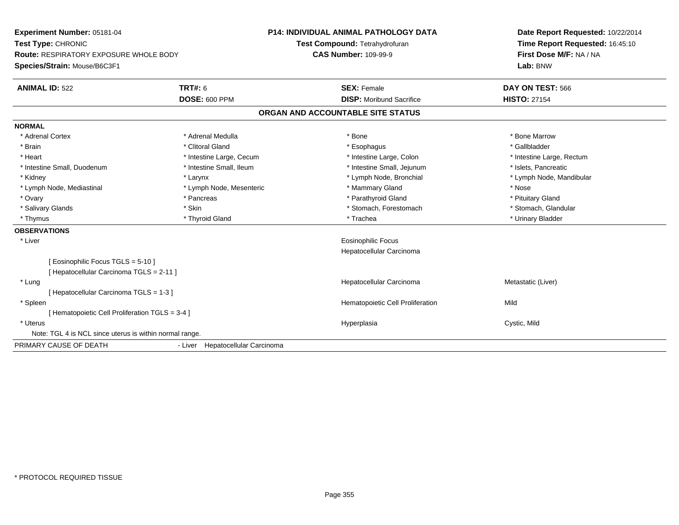| Experiment Number: 05181-04                             |                                  | <b>P14: INDIVIDUAL ANIMAL PATHOLOGY DATA</b> |                                  | Date Report Requested: 10/22/2014 |
|---------------------------------------------------------|----------------------------------|----------------------------------------------|----------------------------------|-----------------------------------|
| Test Type: CHRONIC                                      |                                  | Test Compound: Tetrahydrofuran               |                                  | Time Report Requested: 16:45:10   |
| <b>Route: RESPIRATORY EXPOSURE WHOLE BODY</b>           |                                  | <b>CAS Number: 109-99-9</b>                  |                                  | First Dose M/F: NA / NA           |
| Species/Strain: Mouse/B6C3F1                            |                                  |                                              |                                  | Lab: BNW                          |
| <b>ANIMAL ID: 522</b>                                   | <b>TRT#: 6</b>                   |                                              | <b>SEX: Female</b>               | DAY ON TEST: 566                  |
|                                                         | <b>DOSE: 600 PPM</b>             |                                              | <b>DISP:</b> Moribund Sacrifice  | <b>HISTO: 27154</b>               |
|                                                         |                                  | ORGAN AND ACCOUNTABLE SITE STATUS            |                                  |                                   |
| <b>NORMAL</b>                                           |                                  |                                              |                                  |                                   |
| * Adrenal Cortex                                        | * Adrenal Medulla                | * Bone                                       |                                  | * Bone Marrow                     |
| * Brain                                                 | * Clitoral Gland                 |                                              | * Esophagus                      | * Gallbladder                     |
| * Heart                                                 | * Intestine Large, Cecum         |                                              | * Intestine Large, Colon         | * Intestine Large, Rectum         |
| * Intestine Small, Duodenum                             | * Intestine Small, Ileum         |                                              | * Intestine Small, Jejunum       | * Islets, Pancreatic              |
| * Kidney                                                | * Larynx                         |                                              | * Lymph Node, Bronchial          | * Lymph Node, Mandibular          |
| * Lymph Node, Mediastinal                               | * Lymph Node, Mesenteric         |                                              | * Mammary Gland                  | * Nose                            |
| * Ovary                                                 | * Pancreas                       |                                              | * Parathyroid Gland              | * Pituitary Gland                 |
| * Salivary Glands                                       | * Skin                           |                                              | * Stomach, Forestomach           | * Stomach, Glandular              |
| * Thymus                                                | * Thyroid Gland                  | * Trachea                                    |                                  | * Urinary Bladder                 |
| <b>OBSERVATIONS</b>                                     |                                  |                                              |                                  |                                   |
| * Liver                                                 |                                  |                                              | <b>Eosinophilic Focus</b>        |                                   |
|                                                         |                                  |                                              | Hepatocellular Carcinoma         |                                   |
| [ Eosinophilic Focus TGLS = 5-10 ]                      |                                  |                                              |                                  |                                   |
| [ Hepatocellular Carcinoma TGLS = 2-11 ]                |                                  |                                              |                                  |                                   |
| * Lung                                                  |                                  |                                              | Hepatocellular Carcinoma         | Metastatic (Liver)                |
| [ Hepatocellular Carcinoma TGLS = 1-3 ]                 |                                  |                                              |                                  |                                   |
| * Spleen                                                |                                  |                                              | Hematopoietic Cell Proliferation | Mild                              |
| [ Hematopoietic Cell Proliferation TGLS = 3-4 ]         |                                  |                                              |                                  |                                   |
| * Uterus                                                |                                  | Hyperplasia                                  |                                  | Cystic, Mild                      |
| Note: TGL 4 is NCL since uterus is within normal range. |                                  |                                              |                                  |                                   |
| PRIMARY CAUSE OF DEATH                                  | - Liver Hepatocellular Carcinoma |                                              |                                  |                                   |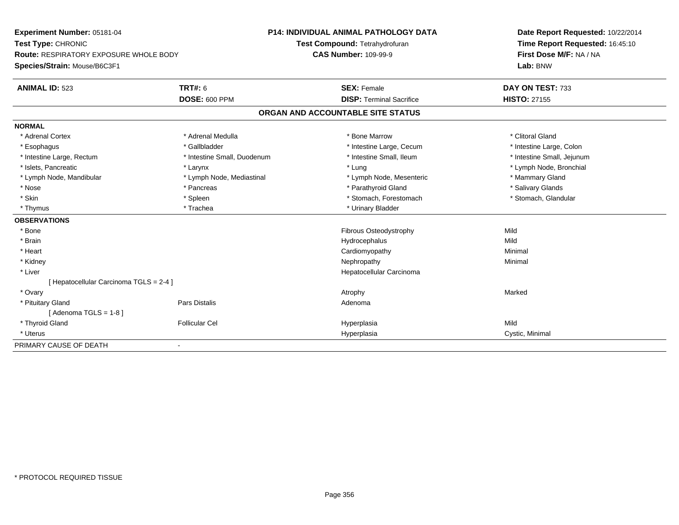| Experiment Number: 05181-04                   |                             | <b>P14: INDIVIDUAL ANIMAL PATHOLOGY DATA</b> | Date Report Requested: 10/22/2014 |
|-----------------------------------------------|-----------------------------|----------------------------------------------|-----------------------------------|
| Test Type: CHRONIC                            |                             | Test Compound: Tetrahydrofuran               | Time Report Requested: 16:45:10   |
| <b>Route: RESPIRATORY EXPOSURE WHOLE BODY</b> |                             | <b>CAS Number: 109-99-9</b>                  | First Dose M/F: NA / NA           |
| Species/Strain: Mouse/B6C3F1                  |                             |                                              | Lab: BNW                          |
| <b>ANIMAL ID: 523</b>                         | TRT#: 6                     | <b>SEX: Female</b>                           | DAY ON TEST: 733                  |
|                                               | <b>DOSE: 600 PPM</b>        | <b>DISP: Terminal Sacrifice</b>              | <b>HISTO: 27155</b>               |
|                                               |                             | ORGAN AND ACCOUNTABLE SITE STATUS            |                                   |
| <b>NORMAL</b>                                 |                             |                                              |                                   |
| * Adrenal Cortex                              | * Adrenal Medulla           | * Bone Marrow                                | * Clitoral Gland                  |
| * Esophagus                                   | * Gallbladder               | * Intestine Large, Cecum                     | * Intestine Large, Colon          |
| * Intestine Large, Rectum                     | * Intestine Small, Duodenum | * Intestine Small, Ileum                     | * Intestine Small, Jejunum        |
| * Islets, Pancreatic                          | * Larynx                    | * Lung                                       | * Lymph Node, Bronchial           |
| * Lymph Node, Mandibular                      | * Lymph Node, Mediastinal   | * Lymph Node, Mesenteric                     | * Mammary Gland                   |
| * Nose                                        | * Pancreas                  | * Parathyroid Gland                          | * Salivary Glands                 |
| * Skin                                        | * Spleen                    | * Stomach, Forestomach                       | * Stomach, Glandular              |
| * Thymus                                      | * Trachea                   | * Urinary Bladder                            |                                   |
| <b>OBSERVATIONS</b>                           |                             |                                              |                                   |
| * Bone                                        |                             | Fibrous Osteodystrophy                       | Mild                              |
| * Brain                                       |                             | Hydrocephalus                                | Mild                              |
| * Heart                                       |                             | Cardiomyopathy                               | Minimal                           |
| * Kidney                                      |                             | Nephropathy                                  | Minimal                           |
| * Liver                                       |                             | Hepatocellular Carcinoma                     |                                   |
| [ Hepatocellular Carcinoma TGLS = 2-4 ]       |                             |                                              |                                   |
| * Ovary                                       |                             | Atrophy                                      | Marked                            |
| * Pituitary Gland                             | <b>Pars Distalis</b>        | Adenoma                                      |                                   |
| [Adenoma TGLS = $1-8$ ]                       |                             |                                              |                                   |
| * Thyroid Gland                               | <b>Follicular Cel</b>       | Hyperplasia                                  | Mild                              |
| * Uterus                                      |                             | Hyperplasia                                  | Cystic, Minimal                   |
| PRIMARY CAUSE OF DEATH                        |                             |                                              |                                   |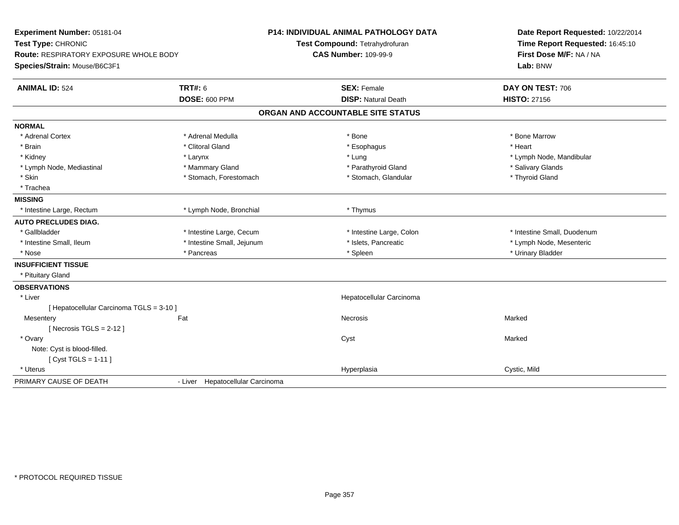| Experiment Number: 05181-04                   |                                  | <b>P14: INDIVIDUAL ANIMAL PATHOLOGY DATA</b> |                                   |  | Date Report Requested: 10/22/2014 |  |  |
|-----------------------------------------------|----------------------------------|----------------------------------------------|-----------------------------------|--|-----------------------------------|--|--|
| Test Type: CHRONIC                            |                                  |                                              | Test Compound: Tetrahydrofuran    |  | Time Report Requested: 16:45:10   |  |  |
| <b>Route: RESPIRATORY EXPOSURE WHOLE BODY</b> |                                  | <b>CAS Number: 109-99-9</b>                  |                                   |  | First Dose M/F: NA / NA           |  |  |
| Species/Strain: Mouse/B6C3F1                  |                                  |                                              |                                   |  | Lab: BNW                          |  |  |
| <b>ANIMAL ID: 524</b>                         | <b>TRT#: 6</b>                   |                                              | <b>SEX: Female</b>                |  | DAY ON TEST: 706                  |  |  |
| <b>DOSE: 600 PPM</b>                          |                                  |                                              | <b>DISP: Natural Death</b>        |  | <b>HISTO: 27156</b>               |  |  |
|                                               |                                  |                                              | ORGAN AND ACCOUNTABLE SITE STATUS |  |                                   |  |  |
| <b>NORMAL</b>                                 |                                  |                                              |                                   |  |                                   |  |  |
| * Adrenal Cortex                              | * Adrenal Medulla                |                                              | * Bone                            |  | * Bone Marrow                     |  |  |
| * Brain                                       | * Clitoral Gland                 |                                              | * Esophagus                       |  | * Heart                           |  |  |
| * Kidney                                      | * Larynx                         |                                              | * Lung                            |  | * Lymph Node, Mandibular          |  |  |
| * Lymph Node, Mediastinal                     | * Mammary Gland                  |                                              | * Parathyroid Gland               |  | * Salivary Glands                 |  |  |
| * Skin                                        | * Stomach, Forestomach           |                                              | * Stomach, Glandular              |  | * Thyroid Gland                   |  |  |
| * Trachea                                     |                                  |                                              |                                   |  |                                   |  |  |
| <b>MISSING</b>                                |                                  |                                              |                                   |  |                                   |  |  |
| * Intestine Large, Rectum                     | * Lymph Node, Bronchial          |                                              | * Thymus                          |  |                                   |  |  |
| <b>AUTO PRECLUDES DIAG.</b>                   |                                  |                                              |                                   |  |                                   |  |  |
| * Gallbladder                                 | * Intestine Large, Cecum         |                                              | * Intestine Large, Colon          |  | * Intestine Small, Duodenum       |  |  |
| * Intestine Small, Ileum                      | * Intestine Small, Jejunum       |                                              | * Islets, Pancreatic              |  | * Lymph Node, Mesenteric          |  |  |
| * Nose                                        | * Pancreas                       |                                              | * Spleen                          |  | * Urinary Bladder                 |  |  |
| <b>INSUFFICIENT TISSUE</b>                    |                                  |                                              |                                   |  |                                   |  |  |
| * Pituitary Gland                             |                                  |                                              |                                   |  |                                   |  |  |
| <b>OBSERVATIONS</b>                           |                                  |                                              |                                   |  |                                   |  |  |
| * Liver                                       |                                  |                                              | Hepatocellular Carcinoma          |  |                                   |  |  |
| [ Hepatocellular Carcinoma TGLS = 3-10 ]      |                                  |                                              |                                   |  |                                   |  |  |
| Mesentery                                     | Fat                              |                                              | Necrosis                          |  | Marked                            |  |  |
| [Necrosis $TGLS = 2-12$ ]                     |                                  |                                              |                                   |  |                                   |  |  |
| * Ovary                                       |                                  |                                              | Cyst                              |  | Marked                            |  |  |
| Note: Cyst is blood-filled.                   |                                  |                                              |                                   |  |                                   |  |  |
| [ Cyst TGLS = 1-11 ]                          |                                  |                                              |                                   |  |                                   |  |  |
| * Uterus                                      |                                  |                                              | Hyperplasia                       |  | Cystic, Mild                      |  |  |
| PRIMARY CAUSE OF DEATH                        | - Liver Hepatocellular Carcinoma |                                              |                                   |  |                                   |  |  |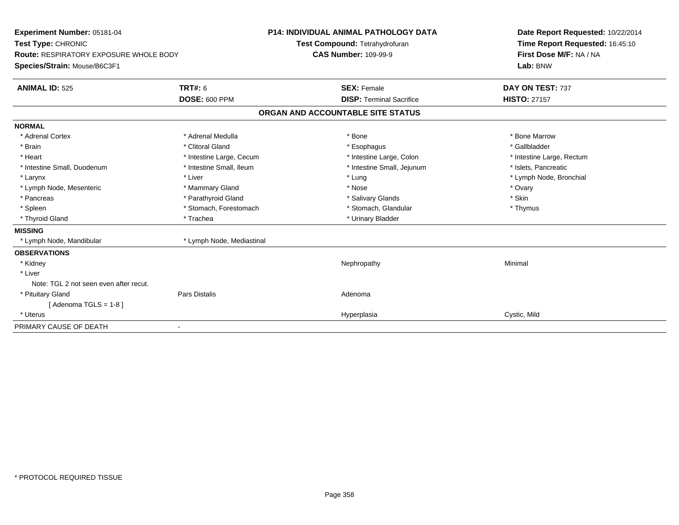| Experiment Number: 05181-04<br>Test Type: CHRONIC |                           | <b>P14: INDIVIDUAL ANIMAL PATHOLOGY DATA</b><br>Test Compound: Tetrahydrofuran | Date Report Requested: 10/22/2014<br>Time Report Requested: 16:45:10 |
|---------------------------------------------------|---------------------------|--------------------------------------------------------------------------------|----------------------------------------------------------------------|
| Route: RESPIRATORY EXPOSURE WHOLE BODY            |                           | <b>CAS Number: 109-99-9</b>                                                    | First Dose M/F: NA / NA                                              |
| Species/Strain: Mouse/B6C3F1                      |                           |                                                                                | Lab: BNW                                                             |
| <b>ANIMAL ID: 525</b>                             | <b>TRT#: 6</b>            | <b>SEX: Female</b>                                                             | DAY ON TEST: 737                                                     |
|                                                   | <b>DOSE: 600 PPM</b>      | <b>DISP: Terminal Sacrifice</b>                                                | <b>HISTO: 27157</b>                                                  |
|                                                   |                           | ORGAN AND ACCOUNTABLE SITE STATUS                                              |                                                                      |
| <b>NORMAL</b>                                     |                           |                                                                                |                                                                      |
| * Adrenal Cortex                                  | * Adrenal Medulla         | * Bone                                                                         | * Bone Marrow                                                        |
| * Brain                                           | * Clitoral Gland          | * Esophagus                                                                    | * Gallbladder                                                        |
| * Heart                                           | * Intestine Large, Cecum  | * Intestine Large, Colon                                                       | * Intestine Large, Rectum                                            |
| * Intestine Small, Duodenum                       | * Intestine Small, Ileum  | * Intestine Small, Jejunum                                                     | * Islets, Pancreatic                                                 |
| * Larynx                                          | * Liver                   | * Lung                                                                         | * Lymph Node, Bronchial                                              |
| * Lymph Node, Mesenteric                          | * Mammary Gland           | * Nose                                                                         | * Ovary                                                              |
| * Pancreas                                        | * Parathyroid Gland       | * Salivary Glands                                                              | * Skin                                                               |
| * Spleen                                          | * Stomach, Forestomach    | * Stomach, Glandular                                                           | * Thymus                                                             |
| * Thyroid Gland                                   | * Trachea                 | * Urinary Bladder                                                              |                                                                      |
| <b>MISSING</b>                                    |                           |                                                                                |                                                                      |
| * Lymph Node, Mandibular                          | * Lymph Node, Mediastinal |                                                                                |                                                                      |
| <b>OBSERVATIONS</b>                               |                           |                                                                                |                                                                      |
| * Kidney                                          |                           | Nephropathy                                                                    | Minimal                                                              |
| * Liver                                           |                           |                                                                                |                                                                      |
| Note: TGL 2 not seen even after recut.            |                           |                                                                                |                                                                      |
| * Pituitary Gland                                 | <b>Pars Distalis</b>      | Adenoma                                                                        |                                                                      |
| [Adenoma TGLS = $1-8$ ]                           |                           |                                                                                |                                                                      |
| * Uterus                                          |                           | Hyperplasia                                                                    | Cystic, Mild                                                         |
| PRIMARY CAUSE OF DEATH                            |                           |                                                                                |                                                                      |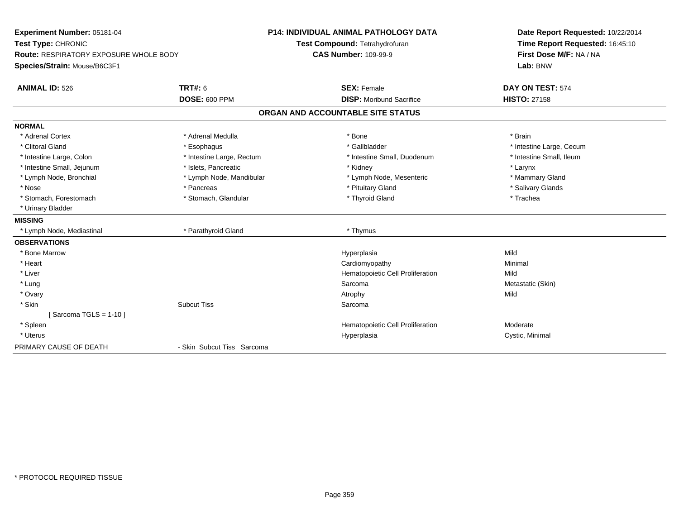| Experiment Number: 05181-04                   |                            | <b>P14: INDIVIDUAL ANIMAL PATHOLOGY DATA</b> | Date Report Requested: 10/22/2014 |
|-----------------------------------------------|----------------------------|----------------------------------------------|-----------------------------------|
| Test Type: CHRONIC                            |                            | Test Compound: Tetrahydrofuran               | Time Report Requested: 16:45:10   |
| <b>Route: RESPIRATORY EXPOSURE WHOLE BODY</b> |                            | <b>CAS Number: 109-99-9</b>                  | First Dose M/F: NA / NA           |
| Species/Strain: Mouse/B6C3F1                  |                            |                                              | Lab: BNW                          |
| <b>ANIMAL ID: 526</b>                         | <b>TRT#: 6</b>             | <b>SEX: Female</b>                           | DAY ON TEST: 574                  |
|                                               | <b>DOSE: 600 PPM</b>       | <b>DISP:</b> Moribund Sacrifice              | <b>HISTO: 27158</b>               |
|                                               |                            | ORGAN AND ACCOUNTABLE SITE STATUS            |                                   |
| <b>NORMAL</b>                                 |                            |                                              |                                   |
| * Adrenal Cortex                              | * Adrenal Medulla          | * Bone                                       | * Brain                           |
| * Clitoral Gland                              | * Esophagus                | * Gallbladder                                | * Intestine Large, Cecum          |
| * Intestine Large, Colon                      | * Intestine Large, Rectum  | * Intestine Small, Duodenum                  | * Intestine Small, Ileum          |
| * Intestine Small, Jejunum                    | * Islets, Pancreatic       | * Kidney                                     | * Larynx                          |
| * Lymph Node, Bronchial                       | * Lymph Node, Mandibular   | * Lymph Node, Mesenteric                     | * Mammary Gland                   |
| * Nose                                        | * Pancreas                 | * Pituitary Gland                            | * Salivary Glands                 |
| * Stomach, Forestomach                        | * Stomach, Glandular       | * Thyroid Gland                              | * Trachea                         |
| * Urinary Bladder                             |                            |                                              |                                   |
| <b>MISSING</b>                                |                            |                                              |                                   |
| * Lymph Node, Mediastinal                     | * Parathyroid Gland        | * Thymus                                     |                                   |
| <b>OBSERVATIONS</b>                           |                            |                                              |                                   |
| * Bone Marrow                                 |                            | Hyperplasia                                  | Mild                              |
| * Heart                                       |                            | Cardiomyopathy                               | Minimal                           |
| * Liver                                       |                            | Hematopoietic Cell Proliferation             | Mild                              |
| * Lung                                        |                            | Sarcoma                                      | Metastatic (Skin)                 |
| * Ovary                                       |                            | Atrophy                                      | Mild                              |
| * Skin                                        | <b>Subcut Tiss</b>         | Sarcoma                                      |                                   |
| Sarcoma TGLS = 1-10 ]                         |                            |                                              |                                   |
| * Spleen                                      |                            | Hematopoietic Cell Proliferation             | Moderate                          |
| * Uterus                                      |                            | Hyperplasia                                  | Cystic, Minimal                   |
| PRIMARY CAUSE OF DEATH                        | - Skin Subcut Tiss Sarcoma |                                              |                                   |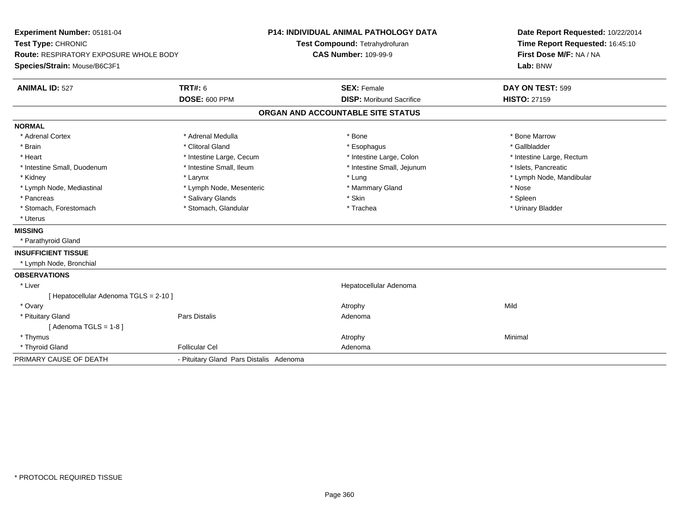| <b>P14: INDIVIDUAL ANIMAL PATHOLOGY DATA</b><br>Experiment Number: 05181-04<br>Test Type: CHRONIC<br>Test Compound: Tetrahydrofuran<br><b>CAS Number: 109-99-9</b><br>Route: RESPIRATORY EXPOSURE WHOLE BODY<br>Species/Strain: Mouse/B6C3F1 |                                         |  | Date Report Requested: 10/22/2014<br>Time Report Requested: 16:45:10<br>First Dose M/F: NA / NA<br>Lab: BNW |  |                           |
|----------------------------------------------------------------------------------------------------------------------------------------------------------------------------------------------------------------------------------------------|-----------------------------------------|--|-------------------------------------------------------------------------------------------------------------|--|---------------------------|
| <b>ANIMAL ID: 527</b>                                                                                                                                                                                                                        | <b>TRT#: 6</b>                          |  | <b>SEX: Female</b>                                                                                          |  | DAY ON TEST: 599          |
|                                                                                                                                                                                                                                              | <b>DOSE: 600 PPM</b>                    |  | <b>DISP:</b> Moribund Sacrifice                                                                             |  | <b>HISTO: 27159</b>       |
|                                                                                                                                                                                                                                              |                                         |  | ORGAN AND ACCOUNTABLE SITE STATUS                                                                           |  |                           |
| <b>NORMAL</b>                                                                                                                                                                                                                                |                                         |  |                                                                                                             |  |                           |
| * Adrenal Cortex                                                                                                                                                                                                                             | * Adrenal Medulla                       |  | * Bone                                                                                                      |  | * Bone Marrow             |
| * Brain                                                                                                                                                                                                                                      | * Clitoral Gland                        |  | * Esophagus                                                                                                 |  | * Gallbladder             |
| * Heart                                                                                                                                                                                                                                      | * Intestine Large, Cecum                |  | * Intestine Large, Colon                                                                                    |  | * Intestine Large, Rectum |
| * Intestine Small, Duodenum                                                                                                                                                                                                                  | * Intestine Small, Ileum                |  | * Intestine Small, Jejunum                                                                                  |  | * Islets, Pancreatic      |
| * Kidney                                                                                                                                                                                                                                     | * Larynx                                |  | * Lung                                                                                                      |  | * Lymph Node, Mandibular  |
| * Lymph Node, Mediastinal                                                                                                                                                                                                                    | * Lymph Node, Mesenteric                |  | * Mammary Gland                                                                                             |  | * Nose                    |
| * Pancreas                                                                                                                                                                                                                                   | * Salivary Glands                       |  | * Skin                                                                                                      |  | * Spleen                  |
| * Stomach, Forestomach                                                                                                                                                                                                                       | * Stomach, Glandular                    |  | * Trachea                                                                                                   |  | * Urinary Bladder         |
| * Uterus                                                                                                                                                                                                                                     |                                         |  |                                                                                                             |  |                           |
| <b>MISSING</b>                                                                                                                                                                                                                               |                                         |  |                                                                                                             |  |                           |
| * Parathyroid Gland                                                                                                                                                                                                                          |                                         |  |                                                                                                             |  |                           |
| <b>INSUFFICIENT TISSUE</b>                                                                                                                                                                                                                   |                                         |  |                                                                                                             |  |                           |
| * Lymph Node, Bronchial                                                                                                                                                                                                                      |                                         |  |                                                                                                             |  |                           |
| <b>OBSERVATIONS</b>                                                                                                                                                                                                                          |                                         |  |                                                                                                             |  |                           |
| * Liver                                                                                                                                                                                                                                      |                                         |  | Hepatocellular Adenoma                                                                                      |  |                           |
| [ Hepatocellular Adenoma TGLS = 2-10 ]                                                                                                                                                                                                       |                                         |  |                                                                                                             |  |                           |
| * Ovary                                                                                                                                                                                                                                      |                                         |  | Atrophy                                                                                                     |  | Mild                      |
| * Pituitary Gland                                                                                                                                                                                                                            | Pars Distalis                           |  | Adenoma                                                                                                     |  |                           |
| [Adenoma TGLS = $1-8$ ]                                                                                                                                                                                                                      |                                         |  |                                                                                                             |  |                           |
| * Thymus                                                                                                                                                                                                                                     |                                         |  | Atrophy                                                                                                     |  | Minimal                   |
| * Thyroid Gland                                                                                                                                                                                                                              | <b>Follicular Cel</b>                   |  | Adenoma                                                                                                     |  |                           |
| PRIMARY CAUSE OF DEATH                                                                                                                                                                                                                       | - Pituitary Gland Pars Distalis Adenoma |  |                                                                                                             |  |                           |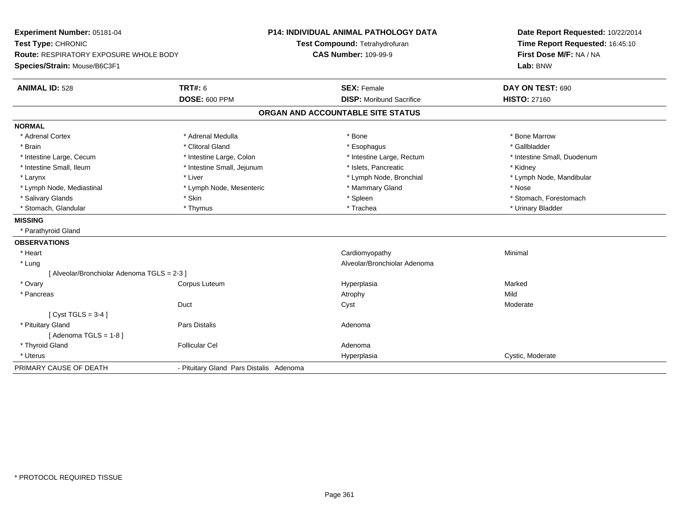| Experiment Number: 05181-04                 |                                         | <b>P14: INDIVIDUAL ANIMAL PATHOLOGY DATA</b> | Date Report Requested: 10/22/2014 |
|---------------------------------------------|-----------------------------------------|----------------------------------------------|-----------------------------------|
| Test Type: CHRONIC                          |                                         | Test Compound: Tetrahydrofuran               | Time Report Requested: 16:45:10   |
| Route: RESPIRATORY EXPOSURE WHOLE BODY      |                                         | <b>CAS Number: 109-99-9</b>                  | First Dose M/F: NA / NA           |
| Species/Strain: Mouse/B6C3F1                |                                         |                                              | Lab: BNW                          |
| <b>ANIMAL ID: 528</b>                       | <b>TRT#: 6</b>                          | <b>SEX: Female</b>                           | DAY ON TEST: 690                  |
|                                             | <b>DOSE: 600 PPM</b>                    | <b>DISP:</b> Moribund Sacrifice              | <b>HISTO: 27160</b>               |
|                                             |                                         | ORGAN AND ACCOUNTABLE SITE STATUS            |                                   |
| <b>NORMAL</b>                               |                                         |                                              |                                   |
| * Adrenal Cortex                            | * Adrenal Medulla                       | * Bone                                       | * Bone Marrow                     |
| * Brain                                     | * Clitoral Gland                        | * Esophagus                                  | * Gallbladder                     |
| * Intestine Large, Cecum                    | * Intestine Large, Colon                | * Intestine Large, Rectum                    | * Intestine Small, Duodenum       |
| * Intestine Small, Ileum                    | * Intestine Small, Jejunum              | * Islets, Pancreatic                         | * Kidney                          |
| * Larynx                                    | * Liver                                 | * Lymph Node, Bronchial                      | * Lymph Node, Mandibular          |
| * Lymph Node, Mediastinal                   | * Lymph Node, Mesenteric                | * Mammary Gland                              | * Nose                            |
| * Salivary Glands                           | * Skin                                  | * Spleen                                     | * Stomach, Forestomach            |
| * Stomach, Glandular                        | * Thymus                                | * Trachea                                    | * Urinary Bladder                 |
| <b>MISSING</b>                              |                                         |                                              |                                   |
| * Parathyroid Gland                         |                                         |                                              |                                   |
| <b>OBSERVATIONS</b>                         |                                         |                                              |                                   |
| * Heart                                     |                                         | Cardiomyopathy                               | Minimal                           |
| * Lung                                      |                                         | Alveolar/Bronchiolar Adenoma                 |                                   |
| [ Alveolar/Bronchiolar Adenoma TGLS = 2-3 ] |                                         |                                              |                                   |
| * Ovary                                     | Corpus Luteum                           | Hyperplasia                                  | Marked                            |
| * Pancreas                                  |                                         | Atrophy                                      | Mild                              |
|                                             | Duct                                    | Cyst                                         | Moderate                          |
| [Cyst TGLS = $3-4$ ]                        |                                         |                                              |                                   |
| * Pituitary Gland                           | Pars Distalis                           | Adenoma                                      |                                   |
| [Adenoma TGLS = $1-8$ ]                     |                                         |                                              |                                   |
| * Thyroid Gland                             | <b>Follicular Cel</b>                   | Adenoma                                      |                                   |
| * Uterus                                    |                                         | Hyperplasia                                  | Cystic, Moderate                  |
| PRIMARY CAUSE OF DEATH                      | - Pituitary Gland Pars Distalis Adenoma |                                              |                                   |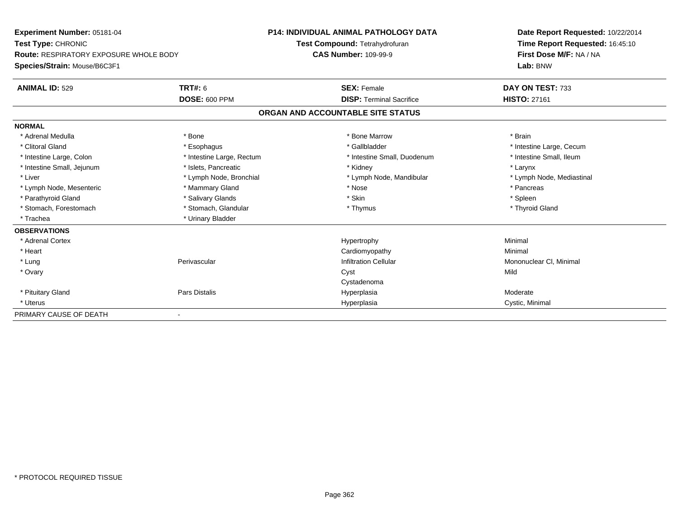| Experiment Number: 05181-04<br>Test Type: CHRONIC<br><b>Route: RESPIRATORY EXPOSURE WHOLE BODY</b> |                           | <b>P14: INDIVIDUAL ANIMAL PATHOLOGY DATA</b> | Date Report Requested: 10/22/2014 |
|----------------------------------------------------------------------------------------------------|---------------------------|----------------------------------------------|-----------------------------------|
|                                                                                                    |                           | Test Compound: Tetrahydrofuran               | Time Report Requested: 16:45:10   |
|                                                                                                    |                           | <b>CAS Number: 109-99-9</b>                  | First Dose M/F: NA / NA           |
| Species/Strain: Mouse/B6C3F1                                                                       |                           |                                              | Lab: BNW                          |
| <b>ANIMAL ID: 529</b>                                                                              | <b>TRT#: 6</b>            | <b>SEX: Female</b>                           | DAY ON TEST: 733                  |
|                                                                                                    | <b>DOSE: 600 PPM</b>      | <b>DISP: Terminal Sacrifice</b>              | <b>HISTO: 27161</b>               |
|                                                                                                    |                           | ORGAN AND ACCOUNTABLE SITE STATUS            |                                   |
| <b>NORMAL</b>                                                                                      |                           |                                              |                                   |
| * Adrenal Medulla                                                                                  | * Bone                    | * Bone Marrow                                | * Brain                           |
| * Clitoral Gland                                                                                   | * Esophagus               | * Gallbladder                                | * Intestine Large, Cecum          |
| * Intestine Large, Colon                                                                           | * Intestine Large, Rectum | * Intestine Small, Duodenum                  | * Intestine Small, Ileum          |
| * Intestine Small, Jejunum                                                                         | * Islets, Pancreatic      | * Kidney                                     | * Larynx                          |
| * Liver                                                                                            | * Lymph Node, Bronchial   | * Lymph Node, Mandibular                     | * Lymph Node, Mediastinal         |
| * Lymph Node, Mesenteric                                                                           | * Mammary Gland           | * Nose                                       | * Pancreas                        |
| * Parathyroid Gland                                                                                | * Salivary Glands         | * Skin                                       | * Spleen                          |
| * Stomach, Forestomach                                                                             | * Stomach, Glandular      | * Thymus                                     | * Thyroid Gland                   |
| * Trachea                                                                                          | * Urinary Bladder         |                                              |                                   |
| <b>OBSERVATIONS</b>                                                                                |                           |                                              |                                   |
| * Adrenal Cortex                                                                                   |                           | Hypertrophy                                  | Minimal                           |
| * Heart                                                                                            |                           | Cardiomyopathy                               | Minimal                           |
| * Lung                                                                                             | Perivascular              | <b>Infiltration Cellular</b>                 | Mononuclear CI, Minimal           |
| * Ovary                                                                                            |                           | Cyst                                         | Mild                              |
|                                                                                                    |                           | Cystadenoma                                  |                                   |
| * Pituitary Gland                                                                                  | Pars Distalis             | Hyperplasia                                  | Moderate                          |
| * Uterus                                                                                           |                           | Hyperplasia                                  | Cystic, Minimal                   |
| PRIMARY CAUSE OF DEATH                                                                             |                           |                                              |                                   |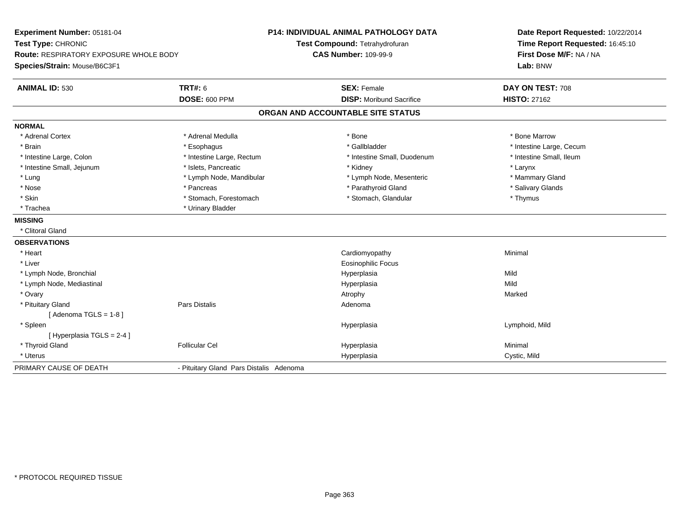| Experiment Number: 05181-04<br>Test Type: CHRONIC<br>Route: RESPIRATORY EXPOSURE WHOLE BODY |                                         | <b>P14: INDIVIDUAL ANIMAL PATHOLOGY DATA</b><br>Test Compound: Tetrahydrofuran<br><b>CAS Number: 109-99-9</b> | Date Report Requested: 10/22/2014<br>Time Report Requested: 16:45:10<br>First Dose M/F: NA / NA |
|---------------------------------------------------------------------------------------------|-----------------------------------------|---------------------------------------------------------------------------------------------------------------|-------------------------------------------------------------------------------------------------|
| Species/Strain: Mouse/B6C3F1                                                                |                                         |                                                                                                               | Lab: BNW                                                                                        |
| <b>ANIMAL ID: 530</b>                                                                       | <b>TRT#: 6</b>                          | <b>SEX: Female</b>                                                                                            | DAY ON TEST: 708                                                                                |
|                                                                                             | <b>DOSE: 600 PPM</b>                    | <b>DISP:</b> Moribund Sacrifice                                                                               | <b>HISTO: 27162</b>                                                                             |
|                                                                                             |                                         | ORGAN AND ACCOUNTABLE SITE STATUS                                                                             |                                                                                                 |
| <b>NORMAL</b>                                                                               |                                         |                                                                                                               |                                                                                                 |
| * Adrenal Cortex                                                                            | * Adrenal Medulla                       | * Bone                                                                                                        | * Bone Marrow                                                                                   |
| * Brain                                                                                     | * Esophagus                             | * Gallbladder                                                                                                 | * Intestine Large, Cecum                                                                        |
| * Intestine Large, Colon                                                                    | * Intestine Large, Rectum               | * Intestine Small, Duodenum                                                                                   | * Intestine Small. Ileum                                                                        |
| * Intestine Small, Jejunum                                                                  | * Islets, Pancreatic                    | * Kidney                                                                                                      | * Larynx                                                                                        |
| * Lung                                                                                      | * Lymph Node, Mandibular                | * Lymph Node, Mesenteric                                                                                      | * Mammary Gland                                                                                 |
| * Nose                                                                                      | * Pancreas                              | * Parathyroid Gland                                                                                           | * Salivary Glands                                                                               |
| * Skin                                                                                      | * Stomach, Forestomach                  | * Stomach, Glandular                                                                                          | * Thymus                                                                                        |
| * Trachea                                                                                   | * Urinary Bladder                       |                                                                                                               |                                                                                                 |
| <b>MISSING</b>                                                                              |                                         |                                                                                                               |                                                                                                 |
| * Clitoral Gland                                                                            |                                         |                                                                                                               |                                                                                                 |
| <b>OBSERVATIONS</b>                                                                         |                                         |                                                                                                               |                                                                                                 |
| * Heart                                                                                     |                                         | Cardiomyopathy                                                                                                | Minimal                                                                                         |
| * Liver                                                                                     |                                         | <b>Eosinophilic Focus</b>                                                                                     |                                                                                                 |
| * Lymph Node, Bronchial                                                                     |                                         | Hyperplasia                                                                                                   | Mild                                                                                            |
| * Lymph Node, Mediastinal                                                                   |                                         | Hyperplasia                                                                                                   | Mild                                                                                            |
| * Ovary                                                                                     |                                         | Atrophy                                                                                                       | Marked                                                                                          |
| * Pituitary Gland                                                                           | <b>Pars Distalis</b>                    | Adenoma                                                                                                       |                                                                                                 |
| [Adenoma TGLS = $1-8$ ]                                                                     |                                         |                                                                                                               |                                                                                                 |
| * Spleen                                                                                    |                                         | Hyperplasia                                                                                                   | Lymphoid, Mild                                                                                  |
| [Hyperplasia TGLS = 2-4]                                                                    |                                         |                                                                                                               |                                                                                                 |
| * Thyroid Gland                                                                             | <b>Follicular Cel</b>                   | Hyperplasia                                                                                                   | Minimal                                                                                         |
| * Uterus                                                                                    |                                         | Hyperplasia                                                                                                   | Cystic, Mild                                                                                    |
| PRIMARY CAUSE OF DEATH                                                                      | - Pituitary Gland Pars Distalis Adenoma |                                                                                                               |                                                                                                 |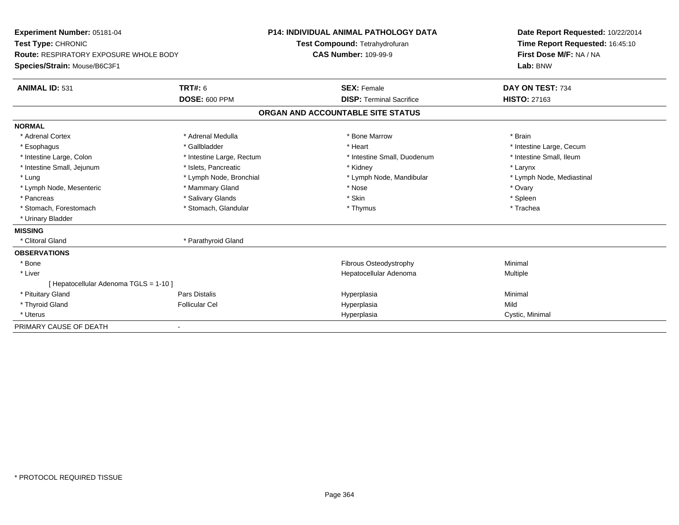| Experiment Number: 05181-04<br>Test Type: CHRONIC<br><b>Route: RESPIRATORY EXPOSURE WHOLE BODY</b> |                           | <b>P14: INDIVIDUAL ANIMAL PATHOLOGY DATA</b> | Date Report Requested: 10/22/2014 |
|----------------------------------------------------------------------------------------------------|---------------------------|----------------------------------------------|-----------------------------------|
|                                                                                                    |                           | Test Compound: Tetrahydrofuran               | Time Report Requested: 16:45:10   |
|                                                                                                    |                           | <b>CAS Number: 109-99-9</b>                  | First Dose M/F: NA / NA           |
| Species/Strain: Mouse/B6C3F1                                                                       |                           |                                              | Lab: BNW                          |
| <b>ANIMAL ID: 531</b>                                                                              | TRT#: 6                   | <b>SEX: Female</b>                           | DAY ON TEST: 734                  |
|                                                                                                    | DOSE: 600 PPM             | <b>DISP: Terminal Sacrifice</b>              | <b>HISTO: 27163</b>               |
|                                                                                                    |                           | ORGAN AND ACCOUNTABLE SITE STATUS            |                                   |
| <b>NORMAL</b>                                                                                      |                           |                                              |                                   |
| * Adrenal Cortex                                                                                   | * Adrenal Medulla         | * Bone Marrow                                | * Brain                           |
| * Esophagus                                                                                        | * Gallbladder             | * Heart                                      | * Intestine Large, Cecum          |
| * Intestine Large, Colon                                                                           | * Intestine Large, Rectum | * Intestine Small, Duodenum                  | * Intestine Small. Ileum          |
| * Intestine Small, Jejunum                                                                         | * Islets. Pancreatic      | * Kidney                                     | * Larynx                          |
| * Lung                                                                                             | * Lymph Node, Bronchial   | * Lymph Node, Mandibular                     | * Lymph Node, Mediastinal         |
| * Lymph Node, Mesenteric                                                                           | * Mammary Gland           | * Nose                                       | * Ovary                           |
| * Pancreas                                                                                         | * Salivary Glands         | * Skin                                       | * Spleen                          |
| * Stomach, Forestomach                                                                             | * Stomach, Glandular      | * Thymus                                     | * Trachea                         |
| * Urinary Bladder                                                                                  |                           |                                              |                                   |
| <b>MISSING</b>                                                                                     |                           |                                              |                                   |
| * Clitoral Gland                                                                                   | * Parathyroid Gland       |                                              |                                   |
| <b>OBSERVATIONS</b>                                                                                |                           |                                              |                                   |
| * Bone                                                                                             |                           | Fibrous Osteodystrophy                       | Minimal                           |
| * Liver                                                                                            |                           | Hepatocellular Adenoma                       | Multiple                          |
| [ Hepatocellular Adenoma TGLS = 1-10 ]                                                             |                           |                                              |                                   |
| * Pituitary Gland                                                                                  | Pars Distalis             | Hyperplasia                                  | Minimal                           |
| * Thyroid Gland                                                                                    | <b>Follicular Cel</b>     | Hyperplasia                                  | Mild                              |
| * Uterus                                                                                           |                           | Hyperplasia                                  | Cystic, Minimal                   |
| PRIMARY CAUSE OF DEATH                                                                             |                           |                                              |                                   |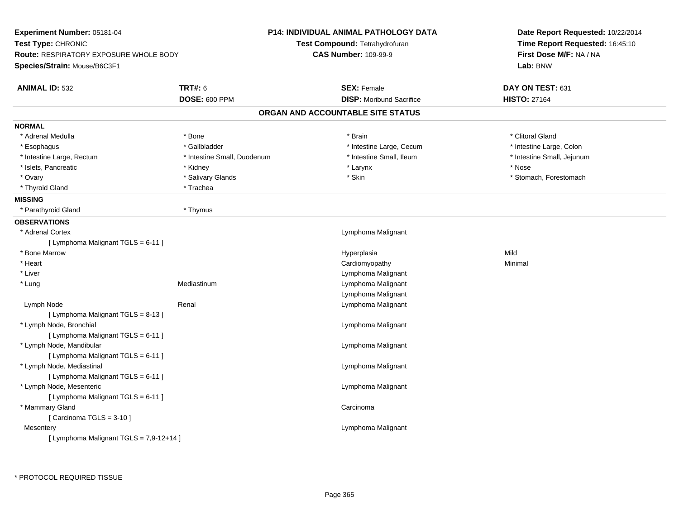| Experiment Number: 05181-04                   |                             | <b>P14: INDIVIDUAL ANIMAL PATHOLOGY DATA</b> | Date Report Requested: 10/22/2014<br>Time Report Requested: 16:45:10<br>First Dose M/F: NA / NA |  |
|-----------------------------------------------|-----------------------------|----------------------------------------------|-------------------------------------------------------------------------------------------------|--|
| Test Type: CHRONIC                            |                             | Test Compound: Tetrahydrofuran               |                                                                                                 |  |
| <b>Route: RESPIRATORY EXPOSURE WHOLE BODY</b> |                             | <b>CAS Number: 109-99-9</b>                  |                                                                                                 |  |
| Species/Strain: Mouse/B6C3F1                  |                             |                                              | Lab: BNW                                                                                        |  |
| <b>ANIMAL ID: 532</b>                         | <b>TRT#: 6</b>              | <b>SEX: Female</b>                           | DAY ON TEST: 631                                                                                |  |
|                                               | <b>DOSE: 600 PPM</b>        | <b>DISP:</b> Moribund Sacrifice              | <b>HISTO: 27164</b>                                                                             |  |
|                                               |                             | ORGAN AND ACCOUNTABLE SITE STATUS            |                                                                                                 |  |
| <b>NORMAL</b>                                 |                             |                                              |                                                                                                 |  |
| * Adrenal Medulla                             | * Bone                      | * Brain                                      | * Clitoral Gland                                                                                |  |
| * Esophagus                                   | * Gallbladder               | * Intestine Large, Cecum                     | * Intestine Large, Colon                                                                        |  |
| * Intestine Large, Rectum                     | * Intestine Small, Duodenum | * Intestine Small, Ileum                     | * Intestine Small, Jejunum                                                                      |  |
| * Islets, Pancreatic                          | * Kidney                    | * Larynx                                     | * Nose                                                                                          |  |
| * Ovary                                       | * Salivary Glands           | * Skin                                       | * Stomach, Forestomach                                                                          |  |
| * Thyroid Gland                               | * Trachea                   |                                              |                                                                                                 |  |
| <b>MISSING</b>                                |                             |                                              |                                                                                                 |  |
| * Parathyroid Gland                           | * Thymus                    |                                              |                                                                                                 |  |
| <b>OBSERVATIONS</b>                           |                             |                                              |                                                                                                 |  |
| * Adrenal Cortex                              |                             | Lymphoma Malignant                           |                                                                                                 |  |
| [ Lymphoma Malignant TGLS = 6-11 ]            |                             |                                              |                                                                                                 |  |
| * Bone Marrow                                 |                             | Hyperplasia                                  | Mild                                                                                            |  |
| $*$ Heart                                     |                             | Cardiomyopathy                               | Minimal                                                                                         |  |
| * Liver                                       |                             | Lymphoma Malignant                           |                                                                                                 |  |
| * Lung                                        | Mediastinum                 | Lymphoma Malignant                           |                                                                                                 |  |
|                                               |                             | Lymphoma Malignant                           |                                                                                                 |  |
| Lymph Node                                    | Renal                       | Lymphoma Malignant                           |                                                                                                 |  |
| [ Lymphoma Malignant TGLS = 8-13 ]            |                             |                                              |                                                                                                 |  |
| * Lymph Node, Bronchial                       |                             | Lymphoma Malignant                           |                                                                                                 |  |
| [ Lymphoma Malignant TGLS = 6-11 ]            |                             |                                              |                                                                                                 |  |
| * Lymph Node, Mandibular                      |                             | Lymphoma Malignant                           |                                                                                                 |  |
| [ Lymphoma Malignant TGLS = 6-11 ]            |                             |                                              |                                                                                                 |  |
| * Lymph Node, Mediastinal                     |                             | Lymphoma Malignant                           |                                                                                                 |  |
| [ Lymphoma Malignant TGLS = 6-11 ]            |                             |                                              |                                                                                                 |  |
| * Lymph Node, Mesenteric                      |                             | Lymphoma Malignant                           |                                                                                                 |  |
| [ Lymphoma Malignant TGLS = 6-11 ]            |                             |                                              |                                                                                                 |  |
| * Mammary Gland                               |                             | Carcinoma                                    |                                                                                                 |  |
| [Carcinoma TGLS = 3-10]                       |                             |                                              |                                                                                                 |  |
| Mesentery                                     |                             | Lymphoma Malignant                           |                                                                                                 |  |
| [ Lymphoma Malignant TGLS = 7,9-12+14 ]       |                             |                                              |                                                                                                 |  |
|                                               |                             |                                              |                                                                                                 |  |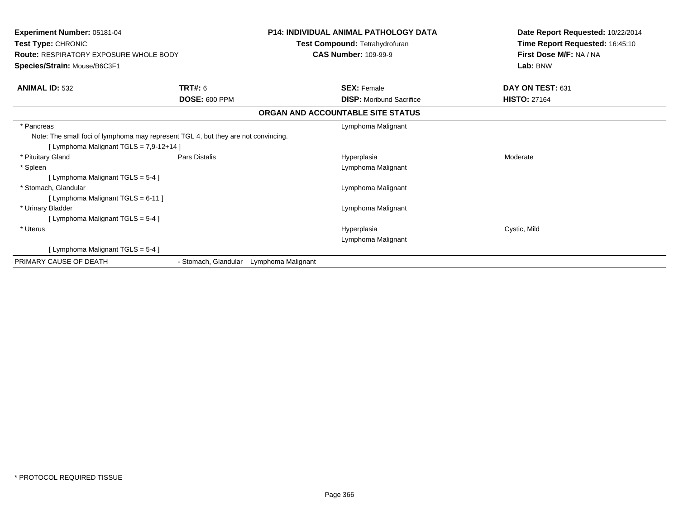| <b>Experiment Number: 05181-04</b><br>Test Type: CHRONIC<br><b>Route: RESPIRATORY EXPOSURE WHOLE BODY</b><br>Species/Strain: Mouse/B6C3F1     |                      | <b>P14: INDIVIDUAL ANIMAL PATHOLOGY DATA</b><br>Test Compound: Tetrahydrofuran | Date Report Requested: 10/22/2014<br>Time Report Requested: 16:45:10<br>First Dose M/F: NA / NA<br>Lab: BNW |
|-----------------------------------------------------------------------------------------------------------------------------------------------|----------------------|--------------------------------------------------------------------------------|-------------------------------------------------------------------------------------------------------------|
|                                                                                                                                               |                      | <b>CAS Number: 109-99-9</b>                                                    |                                                                                                             |
| <b>ANIMAL ID: 532</b>                                                                                                                         | <b>TRT#: 6</b>       | <b>SEX: Female</b>                                                             | DAY ON TEST: 631                                                                                            |
|                                                                                                                                               | <b>DOSE: 600 PPM</b> | <b>DISP:</b> Moribund Sacrifice                                                | <b>HISTO: 27164</b>                                                                                         |
|                                                                                                                                               |                      | ORGAN AND ACCOUNTABLE SITE STATUS                                              |                                                                                                             |
| * Pancreas<br>Note: The small foci of lymphoma may represent TGL 4, but they are not convincing.<br>[ Lymphoma Malignant TGLS = $7,9-12+14$ ] |                      | Lymphoma Malignant                                                             |                                                                                                             |
| * Pituitary Gland                                                                                                                             | Pars Distalis        | Hyperplasia                                                                    | Moderate                                                                                                    |
| * Spleen<br>[ Lymphoma Malignant TGLS = 5-4 ]                                                                                                 |                      | Lymphoma Malignant                                                             |                                                                                                             |
| * Stomach, Glandular<br>[ Lymphoma Malignant TGLS = 6-11 ]                                                                                    |                      | Lymphoma Malignant                                                             |                                                                                                             |
| * Urinary Bladder<br>[ Lymphoma Malignant TGLS = $5-4$ ]                                                                                      |                      | Lymphoma Malignant                                                             |                                                                                                             |
| * Uterus                                                                                                                                      |                      | Hyperplasia<br>Lymphoma Malignant                                              | Cystic, Mild                                                                                                |
| [ Lymphoma Malignant TGLS = 5-4 ]                                                                                                             |                      |                                                                                |                                                                                                             |
| PRIMARY CAUSE OF DEATH                                                                                                                        | - Stomach, Glandular | Lymphoma Malignant                                                             |                                                                                                             |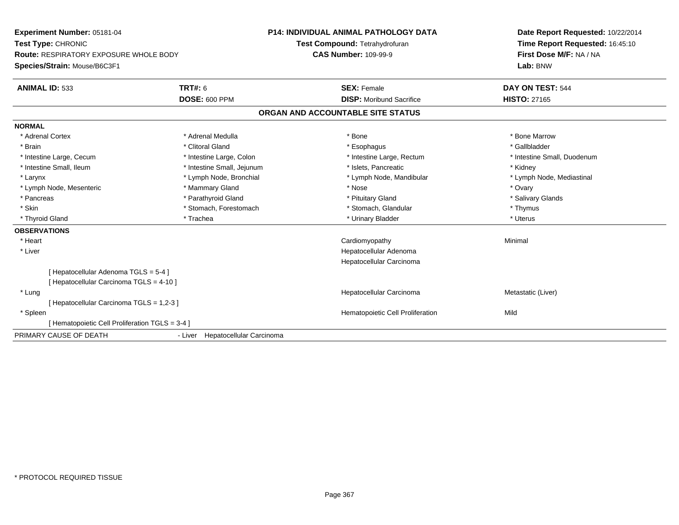| Experiment Number: 05181-04                    |                                  | <b>P14: INDIVIDUAL ANIMAL PATHOLOGY DATA</b> | Date Report Requested: 10/22/2014                          |
|------------------------------------------------|----------------------------------|----------------------------------------------|------------------------------------------------------------|
| Test Type: CHRONIC                             |                                  | Test Compound: Tetrahydrofuran               | Time Report Requested: 16:45:10<br>First Dose M/F: NA / NA |
| <b>Route: RESPIRATORY EXPOSURE WHOLE BODY</b>  |                                  | <b>CAS Number: 109-99-9</b>                  |                                                            |
| Species/Strain: Mouse/B6C3F1                   |                                  |                                              | Lab: BNW                                                   |
| <b>ANIMAL ID: 533</b>                          | <b>TRT#: 6</b>                   | <b>SEX: Female</b>                           | DAY ON TEST: 544                                           |
|                                                | <b>DOSE: 600 PPM</b>             | <b>DISP:</b> Moribund Sacrifice              | <b>HISTO: 27165</b>                                        |
|                                                |                                  | ORGAN AND ACCOUNTABLE SITE STATUS            |                                                            |
| <b>NORMAL</b>                                  |                                  |                                              |                                                            |
| * Adrenal Cortex                               | * Adrenal Medulla                | * Bone                                       | * Bone Marrow                                              |
| * Brain                                        | * Clitoral Gland                 | * Esophagus                                  | * Gallbladder                                              |
| * Intestine Large, Cecum                       | * Intestine Large, Colon         | * Intestine Large, Rectum                    | * Intestine Small, Duodenum                                |
| * Intestine Small, Ileum                       | * Intestine Small, Jejunum       | * Islets, Pancreatic                         | * Kidney                                                   |
| * Larynx                                       | * Lymph Node, Bronchial          | * Lymph Node, Mandibular                     | * Lymph Node, Mediastinal                                  |
| * Lymph Node, Mesenteric                       | * Mammary Gland                  | * Nose                                       | * Ovary                                                    |
| * Pancreas                                     | * Parathyroid Gland              | * Pituitary Gland                            | * Salivary Glands                                          |
| * Skin                                         | * Stomach, Forestomach           | * Stomach, Glandular                         | * Thymus                                                   |
| * Thyroid Gland                                | * Trachea                        | * Urinary Bladder                            | * Uterus                                                   |
| <b>OBSERVATIONS</b>                            |                                  |                                              |                                                            |
| * Heart                                        |                                  | Cardiomyopathy                               | Minimal                                                    |
| * Liver                                        |                                  | Hepatocellular Adenoma                       |                                                            |
|                                                |                                  | Hepatocellular Carcinoma                     |                                                            |
| [Hepatocellular Adenoma TGLS = 5-4]            |                                  |                                              |                                                            |
| [ Hepatocellular Carcinoma TGLS = 4-10 ]       |                                  |                                              |                                                            |
| * Lung                                         |                                  | Hepatocellular Carcinoma                     | Metastatic (Liver)                                         |
| [ Hepatocellular Carcinoma TGLS = 1,2-3 ]      |                                  |                                              |                                                            |
| * Spleen                                       |                                  | Hematopoietic Cell Proliferation             | Mild                                                       |
| [Hematopoietic Cell Proliferation TGLS = 3-4 ] |                                  |                                              |                                                            |
| PRIMARY CAUSE OF DEATH                         | - Liver Hepatocellular Carcinoma |                                              |                                                            |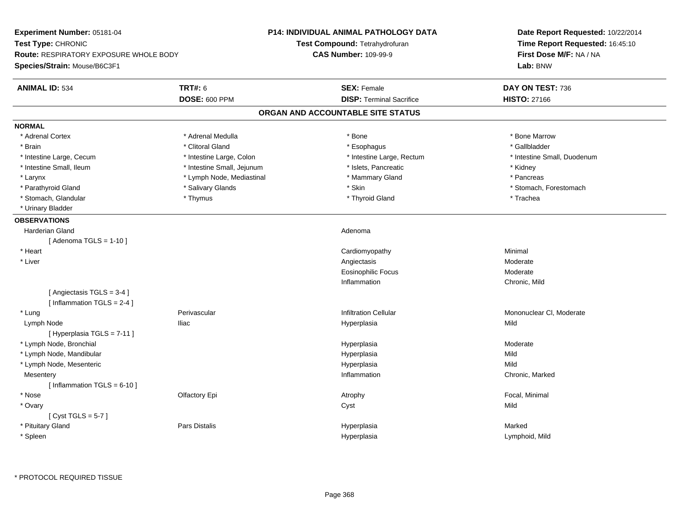| Experiment Number: 05181-04                   |                            | <b>P14: INDIVIDUAL ANIMAL PATHOLOGY DATA</b> | Date Report Requested: 10/22/2014<br>Time Report Requested: 16:45:10 |
|-----------------------------------------------|----------------------------|----------------------------------------------|----------------------------------------------------------------------|
| Test Type: CHRONIC                            |                            | Test Compound: Tetrahydrofuran               |                                                                      |
| <b>Route: RESPIRATORY EXPOSURE WHOLE BODY</b> |                            | <b>CAS Number: 109-99-9</b>                  | First Dose M/F: NA / NA                                              |
| Species/Strain: Mouse/B6C3F1                  |                            |                                              | Lab: BNW                                                             |
| <b>ANIMAL ID: 534</b>                         | <b>TRT#: 6</b>             | <b>SEX: Female</b>                           | DAY ON TEST: 736                                                     |
|                                               | <b>DOSE: 600 PPM</b>       | <b>DISP: Terminal Sacrifice</b>              | <b>HISTO: 27166</b>                                                  |
|                                               |                            | ORGAN AND ACCOUNTABLE SITE STATUS            |                                                                      |
| <b>NORMAL</b>                                 |                            |                                              |                                                                      |
| * Adrenal Cortex                              | * Adrenal Medulla          | * Bone                                       | * Bone Marrow                                                        |
| * Brain                                       | * Clitoral Gland           | * Esophagus                                  | * Gallbladder                                                        |
| * Intestine Large, Cecum                      | * Intestine Large, Colon   | * Intestine Large, Rectum                    | * Intestine Small, Duodenum                                          |
| * Intestine Small, Ileum                      | * Intestine Small, Jejunum | * Islets, Pancreatic                         | * Kidney                                                             |
| * Larynx                                      | * Lymph Node, Mediastinal  | * Mammary Gland                              | * Pancreas                                                           |
| * Parathyroid Gland                           | * Salivary Glands          | * Skin                                       | * Stomach, Forestomach                                               |
| * Stomach, Glandular                          | * Thymus                   | * Thyroid Gland                              | * Trachea                                                            |
| * Urinary Bladder                             |                            |                                              |                                                                      |
| <b>OBSERVATIONS</b>                           |                            |                                              |                                                                      |
| <b>Harderian Gland</b>                        |                            | Adenoma                                      |                                                                      |
| [Adenoma TGLS = $1-10$ ]                      |                            |                                              |                                                                      |
| * Heart                                       |                            | Cardiomyopathy                               | Minimal                                                              |
| * Liver                                       |                            | Angiectasis                                  | Moderate                                                             |
|                                               |                            | <b>Eosinophilic Focus</b>                    | Moderate                                                             |
|                                               |                            | Inflammation                                 | Chronic, Mild                                                        |
| [Angiectasis TGLS = 3-4]                      |                            |                                              |                                                                      |
| [Inflammation TGLS = $2-4$ ]                  |                            |                                              |                                                                      |
| * Lung                                        | Perivascular               | <b>Infiltration Cellular</b>                 | Mononuclear CI, Moderate                                             |
| Lymph Node                                    | <b>Iliac</b>               | Hyperplasia                                  | Mild                                                                 |
| [Hyperplasia TGLS = 7-11]                     |                            |                                              |                                                                      |
| * Lymph Node, Bronchial                       |                            | Hyperplasia                                  | Moderate                                                             |
| * Lymph Node, Mandibular                      |                            | Hyperplasia                                  | Mild                                                                 |
| * Lymph Node, Mesenteric                      |                            | Hyperplasia                                  | Mild                                                                 |
| Mesentery                                     |                            | Inflammation                                 | Chronic, Marked                                                      |
| [Inflammation TGLS = $6-10$ ]                 |                            |                                              |                                                                      |
| * Nose                                        | Olfactory Epi              | Atrophy                                      | Focal, Minimal                                                       |
| * Ovary                                       |                            | Cyst                                         | Mild                                                                 |
| [Cyst TGLS = $5-7$ ]                          |                            |                                              |                                                                      |
| * Pituitary Gland                             | Pars Distalis              | Hyperplasia                                  | Marked                                                               |
| * Spleen                                      |                            | Hyperplasia                                  | Lymphoid, Mild                                                       |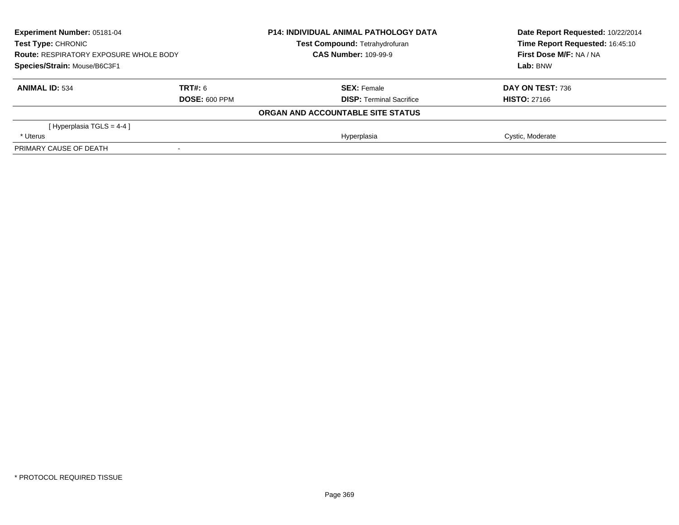| <b>Experiment Number: 05181-04</b><br><b>Test Type: CHRONIC</b><br><b>Route: RESPIRATORY EXPOSURE WHOLE BODY</b><br>Species/Strain: Mouse/B6C3F1 |                      | <b>P14: INDIVIDUAL ANIMAL PATHOLOGY DATA</b> | Date Report Requested: 10/22/2014 |
|--------------------------------------------------------------------------------------------------------------------------------------------------|----------------------|----------------------------------------------|-----------------------------------|
|                                                                                                                                                  |                      | <b>Test Compound: Tetrahydrofuran</b>        | Time Report Requested: 16:45:10   |
|                                                                                                                                                  |                      | <b>CAS Number: 109-99-9</b>                  | First Dose M/F: NA / NA           |
|                                                                                                                                                  |                      |                                              | Lab: BNW                          |
| <b>ANIMAL ID: 534</b>                                                                                                                            | TRT#: 6              | <b>SEX: Female</b>                           | DAY ON TEST: 736                  |
|                                                                                                                                                  | <b>DOSE: 600 PPM</b> | <b>DISP: Terminal Sacrifice</b>              | <b>HISTO: 27166</b>               |
|                                                                                                                                                  |                      | ORGAN AND ACCOUNTABLE SITE STATUS            |                                   |
| [Hyperplasia TGLS = $4-4$ ]                                                                                                                      |                      |                                              |                                   |
| * Uterus                                                                                                                                         |                      | Hyperplasia                                  | Cystic, Moderate                  |
| PRIMARY CAUSE OF DEATH                                                                                                                           |                      |                                              |                                   |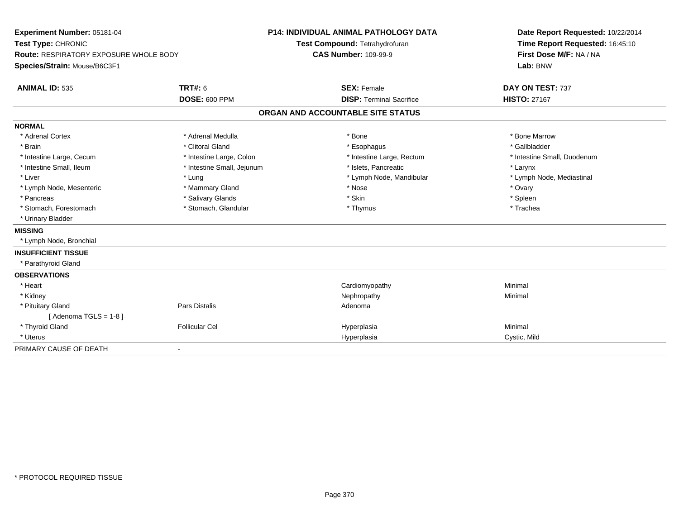|                                                              |                            |                                   | Date Report Requested: 10/22/2014                          |
|--------------------------------------------------------------|----------------------------|-----------------------------------|------------------------------------------------------------|
| Test Type: CHRONIC<br>Route: RESPIRATORY EXPOSURE WHOLE BODY |                            | Test Compound: Tetrahydrofuran    | Time Report Requested: 16:45:10<br>First Dose M/F: NA / NA |
|                                                              |                            | <b>CAS Number: 109-99-9</b>       |                                                            |
| Species/Strain: Mouse/B6C3F1                                 |                            |                                   | Lab: BNW                                                   |
| <b>ANIMAL ID: 535</b>                                        | <b>TRT#: 6</b>             | <b>SEX: Female</b>                | DAY ON TEST: 737                                           |
|                                                              | <b>DOSE: 600 PPM</b>       | <b>DISP: Terminal Sacrifice</b>   | <b>HISTO: 27167</b>                                        |
|                                                              |                            | ORGAN AND ACCOUNTABLE SITE STATUS |                                                            |
| <b>NORMAL</b>                                                |                            |                                   |                                                            |
| * Adrenal Cortex                                             | * Adrenal Medulla          | * Bone                            | * Bone Marrow                                              |
| * Brain                                                      | * Clitoral Gland           | * Esophagus                       | * Gallbladder                                              |
| * Intestine Large, Cecum                                     | * Intestine Large, Colon   | * Intestine Large, Rectum         | * Intestine Small, Duodenum                                |
| * Intestine Small, Ileum                                     | * Intestine Small, Jejunum | * Islets, Pancreatic              | * Larynx                                                   |
| * Liver                                                      | * Lung                     | * Lymph Node, Mandibular          | * Lymph Node, Mediastinal                                  |
| * Lymph Node, Mesenteric                                     | * Mammary Gland            | * Nose                            | * Ovary                                                    |
| * Pancreas                                                   | * Salivary Glands          | * Skin                            | * Spleen                                                   |
| * Stomach, Forestomach                                       | * Stomach, Glandular       | * Thymus                          | * Trachea                                                  |
| * Urinary Bladder                                            |                            |                                   |                                                            |
| <b>MISSING</b>                                               |                            |                                   |                                                            |
| * Lymph Node, Bronchial                                      |                            |                                   |                                                            |
| <b>INSUFFICIENT TISSUE</b>                                   |                            |                                   |                                                            |
| * Parathyroid Gland                                          |                            |                                   |                                                            |
| <b>OBSERVATIONS</b>                                          |                            |                                   |                                                            |
| * Heart                                                      |                            | Cardiomyopathy                    | Minimal                                                    |
| * Kidney                                                     |                            | Nephropathy                       | Minimal                                                    |
| * Pituitary Gland                                            | Pars Distalis              | Adenoma                           |                                                            |
| [Adenoma TGLS = $1-8$ ]                                      |                            |                                   |                                                            |
| * Thyroid Gland                                              | <b>Follicular Cel</b>      | Hyperplasia                       | Minimal                                                    |
| * Uterus                                                     |                            | Hyperplasia                       | Cystic, Mild                                               |
| PRIMARY CAUSE OF DEATH                                       | $\overline{\phantom{0}}$   |                                   |                                                            |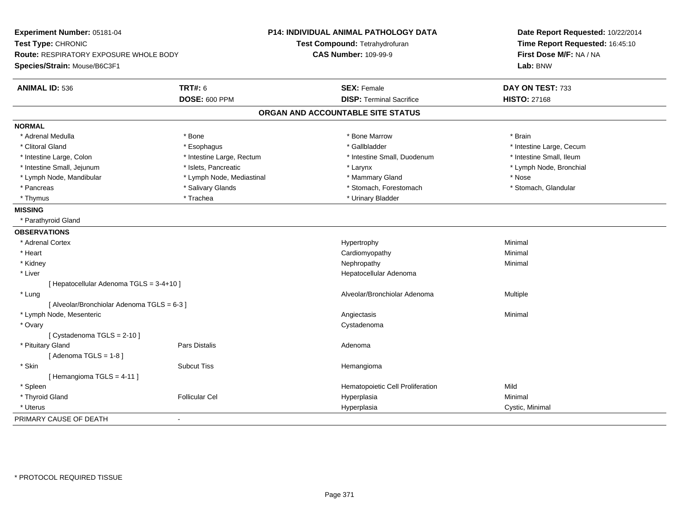| Experiment Number: 05181-04<br>Test Type: CHRONIC |                           | P14: INDIVIDUAL ANIMAL PATHOLOGY DATA<br>Test Compound: Tetrahydrofuran | Date Report Requested: 10/22/2014<br>Time Report Requested: 16:45:10 |
|---------------------------------------------------|---------------------------|-------------------------------------------------------------------------|----------------------------------------------------------------------|
| Route: RESPIRATORY EXPOSURE WHOLE BODY            |                           | <b>CAS Number: 109-99-9</b>                                             | First Dose M/F: NA / NA                                              |
| Species/Strain: Mouse/B6C3F1                      |                           |                                                                         | Lab: BNW                                                             |
| <b>ANIMAL ID: 536</b>                             | <b>TRT#: 6</b>            | <b>SEX: Female</b>                                                      | DAY ON TEST: 733                                                     |
|                                                   | <b>DOSE: 600 PPM</b>      | <b>DISP: Terminal Sacrifice</b>                                         | <b>HISTO: 27168</b>                                                  |
|                                                   |                           | ORGAN AND ACCOUNTABLE SITE STATUS                                       |                                                                      |
| <b>NORMAL</b>                                     |                           |                                                                         |                                                                      |
| * Adrenal Medulla                                 | * Bone                    | * Bone Marrow                                                           | * Brain                                                              |
| * Clitoral Gland                                  | * Esophagus               | * Gallbladder                                                           | * Intestine Large, Cecum                                             |
| * Intestine Large, Colon                          | * Intestine Large, Rectum | * Intestine Small, Duodenum                                             | * Intestine Small, Ileum                                             |
| * Intestine Small, Jejunum                        | * Islets, Pancreatic      | * Larynx                                                                | * Lymph Node, Bronchial                                              |
| * Lymph Node, Mandibular                          | * Lymph Node, Mediastinal | * Mammary Gland                                                         | * Nose                                                               |
| * Pancreas                                        | * Salivary Glands         | * Stomach, Forestomach                                                  | * Stomach, Glandular                                                 |
| * Thymus                                          | * Trachea                 | * Urinary Bladder                                                       |                                                                      |
| <b>MISSING</b>                                    |                           |                                                                         |                                                                      |
| * Parathyroid Gland                               |                           |                                                                         |                                                                      |
| <b>OBSERVATIONS</b>                               |                           |                                                                         |                                                                      |
| * Adrenal Cortex                                  |                           | Hypertrophy                                                             | Minimal                                                              |
| * Heart                                           |                           | Cardiomyopathy                                                          | Minimal                                                              |
| * Kidney                                          |                           | Nephropathy                                                             | Minimal                                                              |
| * Liver                                           |                           | Hepatocellular Adenoma                                                  |                                                                      |
| [ Hepatocellular Adenoma TGLS = 3-4+10 ]          |                           |                                                                         |                                                                      |
| * Lung                                            |                           | Alveolar/Bronchiolar Adenoma                                            | Multiple                                                             |
| [ Alveolar/Bronchiolar Adenoma TGLS = 6-3 ]       |                           |                                                                         |                                                                      |
| * Lymph Node, Mesenteric                          |                           | Angiectasis                                                             | Minimal                                                              |
| * Ovary                                           |                           | Cystadenoma                                                             |                                                                      |
| [ Cystadenoma TGLS = 2-10 ]                       |                           |                                                                         |                                                                      |
| * Pituitary Gland                                 | Pars Distalis             | Adenoma                                                                 |                                                                      |
| [Adenoma TGLS = $1-8$ ]                           |                           |                                                                         |                                                                      |
| * Skin                                            | <b>Subcut Tiss</b>        | Hemangioma                                                              |                                                                      |
| [Hemangioma TGLS = 4-11]                          |                           |                                                                         |                                                                      |
| * Spleen                                          |                           | Hematopoietic Cell Proliferation                                        | Mild                                                                 |
| * Thyroid Gland                                   | <b>Follicular Cel</b>     | Hyperplasia                                                             | Minimal                                                              |
| * Uterus                                          |                           | Hyperplasia                                                             | Cystic, Minimal                                                      |
| PRIMARY CAUSE OF DEATH                            |                           |                                                                         |                                                                      |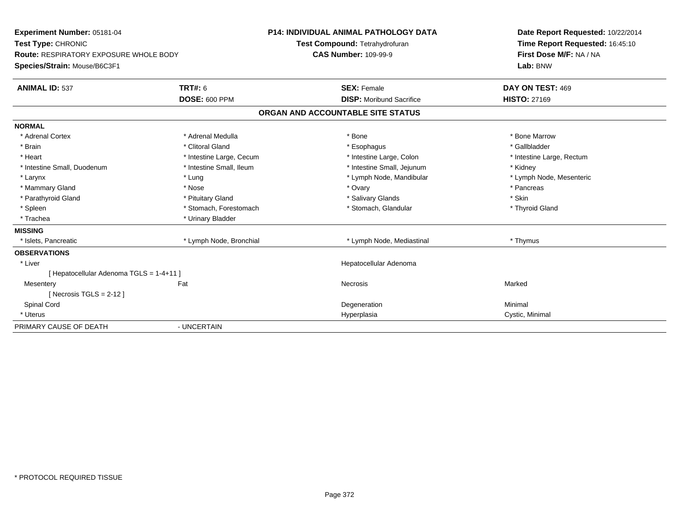| Experiment Number: 05181-04                   |                          | <b>P14: INDIVIDUAL ANIMAL PATHOLOGY DATA</b> | Date Report Requested: 10/22/2014 |
|-----------------------------------------------|--------------------------|----------------------------------------------|-----------------------------------|
| Test Type: CHRONIC                            |                          | Test Compound: Tetrahydrofuran               | Time Report Requested: 16:45:10   |
| <b>Route: RESPIRATORY EXPOSURE WHOLE BODY</b> |                          | <b>CAS Number: 109-99-9</b>                  | First Dose M/F: NA / NA           |
| Species/Strain: Mouse/B6C3F1                  |                          |                                              | Lab: BNW                          |
| <b>ANIMAL ID: 537</b>                         | <b>TRT#: 6</b>           | <b>SEX: Female</b>                           | DAY ON TEST: 469                  |
|                                               | <b>DOSE: 600 PPM</b>     | <b>DISP:</b> Moribund Sacrifice              | <b>HISTO: 27169</b>               |
|                                               |                          | ORGAN AND ACCOUNTABLE SITE STATUS            |                                   |
| <b>NORMAL</b>                                 |                          |                                              |                                   |
| * Adrenal Cortex                              | * Adrenal Medulla        | * Bone                                       | * Bone Marrow                     |
| * Brain                                       | * Clitoral Gland         | * Esophagus                                  | * Gallbladder                     |
| * Heart                                       | * Intestine Large, Cecum | * Intestine Large, Colon                     | * Intestine Large, Rectum         |
| * Intestine Small, Duodenum                   | * Intestine Small, Ileum | * Intestine Small, Jejunum                   | * Kidney                          |
| * Larynx                                      | * Lung                   | * Lymph Node, Mandibular                     | * Lymph Node, Mesenteric          |
| * Mammary Gland                               | * Nose                   | * Ovary                                      | * Pancreas                        |
| * Parathyroid Gland                           | * Pituitary Gland        | * Salivary Glands                            | * Skin                            |
| * Spleen                                      | * Stomach, Forestomach   | * Stomach, Glandular                         | * Thyroid Gland                   |
| * Trachea                                     | * Urinary Bladder        |                                              |                                   |
| <b>MISSING</b>                                |                          |                                              |                                   |
| * Islets, Pancreatic                          | * Lymph Node, Bronchial  | * Lymph Node, Mediastinal                    | * Thymus                          |
| <b>OBSERVATIONS</b>                           |                          |                                              |                                   |
| * Liver                                       |                          | Hepatocellular Adenoma                       |                                   |
| [Hepatocellular Adenoma TGLS = 1-4+11]        |                          |                                              |                                   |
| Mesentery                                     | Fat                      | <b>Necrosis</b>                              | Marked                            |
| [ Necrosis TGLS = $2-12$ ]                    |                          |                                              |                                   |
| Spinal Cord                                   |                          | Degeneration                                 | Minimal                           |
| * Uterus                                      |                          | Hyperplasia                                  | Cystic, Minimal                   |
| PRIMARY CAUSE OF DEATH                        | - UNCERTAIN              |                                              |                                   |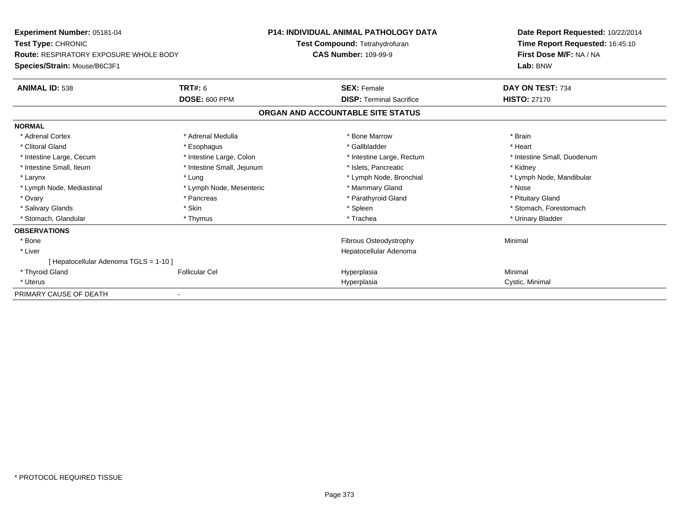| <b>Experiment Number: 05181-04</b>            |                            | <b>P14: INDIVIDUAL ANIMAL PATHOLOGY DATA</b> | Date Report Requested: 10/22/2014 |  |
|-----------------------------------------------|----------------------------|----------------------------------------------|-----------------------------------|--|
| Test Type: CHRONIC                            |                            | Test Compound: Tetrahydrofuran               | Time Report Requested: 16:45:10   |  |
| <b>Route: RESPIRATORY EXPOSURE WHOLE BODY</b> |                            | <b>CAS Number: 109-99-9</b>                  | First Dose M/F: NA / NA           |  |
| Species/Strain: Mouse/B6C3F1                  |                            |                                              | Lab: BNW                          |  |
| <b>ANIMAL ID: 538</b>                         | <b>TRT#: 6</b>             | <b>SEX: Female</b>                           | DAY ON TEST: 734                  |  |
|                                               | <b>DOSE: 600 PPM</b>       | <b>DISP: Terminal Sacrifice</b>              | <b>HISTO: 27170</b>               |  |
|                                               |                            | ORGAN AND ACCOUNTABLE SITE STATUS            |                                   |  |
| <b>NORMAL</b>                                 |                            |                                              |                                   |  |
| * Adrenal Cortex                              | * Adrenal Medulla          | * Bone Marrow                                | * Brain                           |  |
| * Clitoral Gland                              | * Esophagus                | * Gallbladder                                | * Heart                           |  |
| * Intestine Large, Cecum                      | * Intestine Large, Colon   | * Intestine Large, Rectum                    | * Intestine Small, Duodenum       |  |
| * Intestine Small, Ileum                      | * Intestine Small, Jejunum | * Islets, Pancreatic                         | * Kidney                          |  |
| * Larynx                                      | * Lung                     | * Lymph Node, Bronchial                      | * Lymph Node, Mandibular          |  |
| * Lymph Node, Mediastinal                     | * Lymph Node, Mesenteric   | * Mammary Gland                              | * Nose                            |  |
| * Ovary                                       | * Pancreas                 | * Parathyroid Gland                          | * Pituitary Gland                 |  |
| * Salivary Glands                             | * Skin                     | * Spleen                                     | * Stomach, Forestomach            |  |
| * Stomach, Glandular                          | * Thymus                   | * Trachea                                    | * Urinary Bladder                 |  |
| <b>OBSERVATIONS</b>                           |                            |                                              |                                   |  |
| * Bone                                        |                            | Fibrous Osteodystrophy                       | Minimal                           |  |
| * Liver                                       |                            | Hepatocellular Adenoma                       |                                   |  |
| [ Hepatocellular Adenoma TGLS = 1-10 ]        |                            |                                              |                                   |  |
| * Thyroid Gland                               | <b>Follicular Cel</b>      | Hyperplasia                                  | Minimal                           |  |
| * Uterus                                      |                            | Hyperplasia                                  | Cystic, Minimal                   |  |
| PRIMARY CAUSE OF DEATH                        |                            |                                              |                                   |  |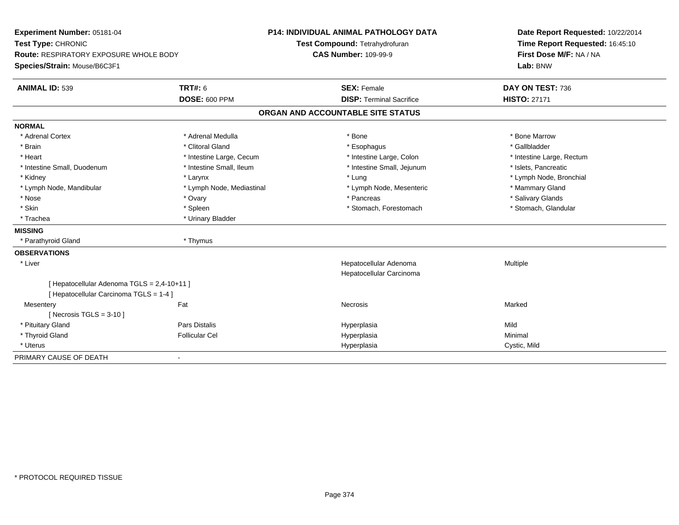| Experiment Number: 05181-04                 |                           | <b>P14: INDIVIDUAL ANIMAL PATHOLOGY DATA</b> | Date Report Requested: 10/22/2014 |
|---------------------------------------------|---------------------------|----------------------------------------------|-----------------------------------|
| Test Type: CHRONIC                          |                           | Test Compound: Tetrahydrofuran               | Time Report Requested: 16:45:10   |
| Route: RESPIRATORY EXPOSURE WHOLE BODY      |                           | <b>CAS Number: 109-99-9</b>                  | First Dose M/F: NA / NA           |
| Species/Strain: Mouse/B6C3F1                |                           |                                              | Lab: BNW                          |
| <b>ANIMAL ID: 539</b>                       | <b>TRT#: 6</b>            | <b>SEX: Female</b>                           | DAY ON TEST: 736                  |
|                                             | <b>DOSE: 600 PPM</b>      | <b>DISP: Terminal Sacrifice</b>              | <b>HISTO: 27171</b>               |
|                                             |                           | ORGAN AND ACCOUNTABLE SITE STATUS            |                                   |
| <b>NORMAL</b>                               |                           |                                              |                                   |
| * Adrenal Cortex                            | * Adrenal Medulla         | * Bone                                       | * Bone Marrow                     |
| * Brain                                     | * Clitoral Gland          | * Esophagus                                  | * Gallbladder                     |
| * Heart                                     | * Intestine Large, Cecum  | * Intestine Large, Colon                     | * Intestine Large, Rectum         |
| * Intestine Small, Duodenum                 | * Intestine Small, Ileum  | * Intestine Small, Jejunum                   | * Islets, Pancreatic              |
| * Kidney                                    | * Larynx                  | * Lung                                       | * Lymph Node, Bronchial           |
| * Lymph Node, Mandibular                    | * Lymph Node, Mediastinal | * Lymph Node, Mesenteric                     | * Mammary Gland                   |
| * Nose                                      | * Ovary                   | * Pancreas                                   | * Salivary Glands                 |
| * Skin                                      | * Spleen                  | * Stomach, Forestomach                       | * Stomach, Glandular              |
| * Trachea                                   | * Urinary Bladder         |                                              |                                   |
| <b>MISSING</b>                              |                           |                                              |                                   |
| * Parathyroid Gland                         | * Thymus                  |                                              |                                   |
| <b>OBSERVATIONS</b>                         |                           |                                              |                                   |
| * Liver                                     |                           | Hepatocellular Adenoma                       | Multiple                          |
|                                             |                           | Hepatocellular Carcinoma                     |                                   |
| [ Hepatocellular Adenoma TGLS = 2,4-10+11 ] |                           |                                              |                                   |
| [ Hepatocellular Carcinoma TGLS = 1-4 ]     |                           |                                              |                                   |
| Mesentery                                   | Fat                       | Necrosis                                     | Marked                            |
| [ Necrosis TGLS = $3-10$ ]                  |                           |                                              |                                   |
| * Pituitary Gland                           | Pars Distalis             | Hyperplasia                                  | Mild                              |
| * Thyroid Gland                             | <b>Follicular Cel</b>     | Hyperplasia                                  | Minimal                           |
| * Uterus                                    |                           | Hyperplasia                                  | Cystic, Mild                      |
| PRIMARY CAUSE OF DEATH                      | ä,                        |                                              |                                   |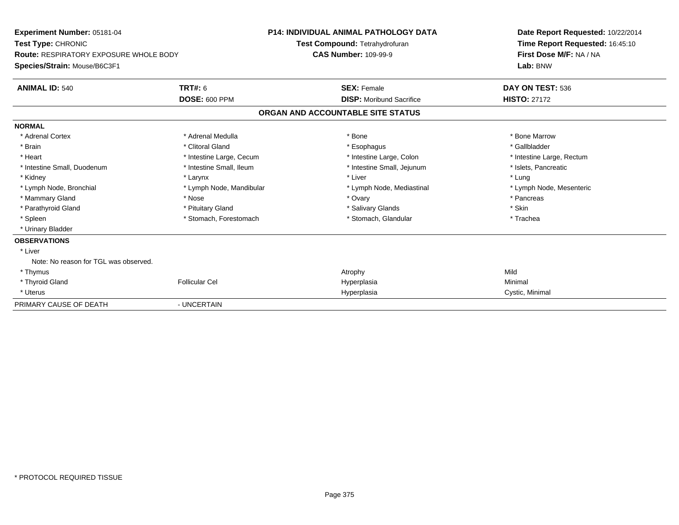| Experiment Number: 05181-04<br>Test Type: CHRONIC<br>Route: RESPIRATORY EXPOSURE WHOLE BODY |                          | <b>P14: INDIVIDUAL ANIMAL PATHOLOGY DATA</b>                  | Date Report Requested: 10/22/2014                          |
|---------------------------------------------------------------------------------------------|--------------------------|---------------------------------------------------------------|------------------------------------------------------------|
|                                                                                             |                          | Test Compound: Tetrahydrofuran<br><b>CAS Number: 109-99-9</b> | Time Report Requested: 16:45:10<br>First Dose M/F: NA / NA |
| Species/Strain: Mouse/B6C3F1                                                                |                          |                                                               | Lab: BNW                                                   |
| <b>ANIMAL ID: 540</b>                                                                       | <b>TRT#: 6</b>           | <b>SEX: Female</b>                                            | DAY ON TEST: 536                                           |
|                                                                                             | <b>DOSE: 600 PPM</b>     | <b>DISP:</b> Moribund Sacrifice                               | <b>HISTO: 27172</b>                                        |
|                                                                                             |                          | ORGAN AND ACCOUNTABLE SITE STATUS                             |                                                            |
| <b>NORMAL</b>                                                                               |                          |                                                               |                                                            |
| * Adrenal Cortex                                                                            | * Adrenal Medulla        | * Bone                                                        | * Bone Marrow                                              |
| * Brain                                                                                     | * Clitoral Gland         | * Esophagus                                                   | * Gallbladder                                              |
| * Heart                                                                                     | * Intestine Large, Cecum | * Intestine Large, Colon                                      | * Intestine Large, Rectum                                  |
| * Intestine Small, Duodenum                                                                 | * Intestine Small, Ileum | * Intestine Small, Jejunum                                    | * Islets, Pancreatic                                       |
| * Kidney                                                                                    | * Larynx                 | * Liver                                                       | * Lung                                                     |
| * Lymph Node, Bronchial                                                                     | * Lymph Node, Mandibular | * Lymph Node, Mediastinal                                     | * Lymph Node, Mesenteric                                   |
| * Mammary Gland                                                                             | * Nose                   | * Ovary                                                       | * Pancreas                                                 |
| * Parathyroid Gland                                                                         | * Pituitary Gland        | * Salivary Glands                                             | * Skin                                                     |
| * Spleen                                                                                    | * Stomach, Forestomach   | * Stomach, Glandular                                          | * Trachea                                                  |
| * Urinary Bladder                                                                           |                          |                                                               |                                                            |
| <b>OBSERVATIONS</b>                                                                         |                          |                                                               |                                                            |
| * Liver                                                                                     |                          |                                                               |                                                            |
| Note: No reason for TGL was observed.                                                       |                          |                                                               |                                                            |
| * Thymus                                                                                    |                          | Atrophy                                                       | Mild                                                       |
| * Thyroid Gland                                                                             | <b>Follicular Cel</b>    | Hyperplasia                                                   | Minimal                                                    |
| * Uterus                                                                                    |                          | Hyperplasia                                                   | Cystic, Minimal                                            |
| PRIMARY CAUSE OF DEATH                                                                      | - UNCERTAIN              |                                                               |                                                            |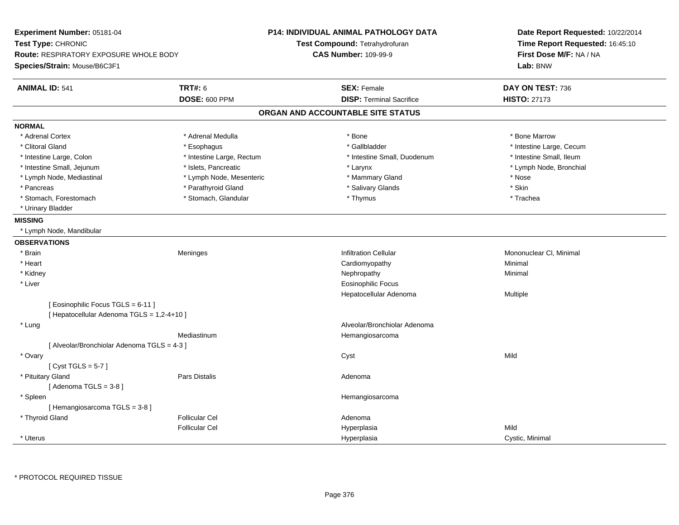| Experiment Number: 05181-04<br>Test Type: CHRONIC<br><b>Route: RESPIRATORY EXPOSURE WHOLE BODY</b><br>Species/Strain: Mouse/B6C3F1 |                           | <b>P14: INDIVIDUAL ANIMAL PATHOLOGY DATA</b><br>Test Compound: Tetrahydrofuran<br><b>CAS Number: 109-99-9</b> | Date Report Requested: 10/22/2014<br>Time Report Requested: 16:45:10<br>First Dose M/F: NA / NA<br>Lab: BNW |
|------------------------------------------------------------------------------------------------------------------------------------|---------------------------|---------------------------------------------------------------------------------------------------------------|-------------------------------------------------------------------------------------------------------------|
| <b>ANIMAL ID: 541</b>                                                                                                              | <b>TRT#: 6</b>            | <b>SEX: Female</b>                                                                                            | DAY ON TEST: 736                                                                                            |
|                                                                                                                                    | <b>DOSE: 600 PPM</b>      | <b>DISP: Terminal Sacrifice</b>                                                                               | <b>HISTO: 27173</b>                                                                                         |
|                                                                                                                                    |                           | ORGAN AND ACCOUNTABLE SITE STATUS                                                                             |                                                                                                             |
| <b>NORMAL</b>                                                                                                                      |                           |                                                                                                               |                                                                                                             |
| * Adrenal Cortex                                                                                                                   | * Adrenal Medulla         | * Bone                                                                                                        | * Bone Marrow                                                                                               |
| * Clitoral Gland                                                                                                                   | * Esophagus               | * Gallbladder                                                                                                 | * Intestine Large, Cecum                                                                                    |
| * Intestine Large, Colon                                                                                                           | * Intestine Large, Rectum | * Intestine Small, Duodenum                                                                                   | * Intestine Small, Ileum                                                                                    |
| * Intestine Small, Jejunum                                                                                                         | * Islets, Pancreatic      | * Larynx                                                                                                      | * Lymph Node, Bronchial                                                                                     |
| * Lymph Node, Mediastinal                                                                                                          | * Lymph Node, Mesenteric  | * Mammary Gland                                                                                               | * Nose                                                                                                      |
| * Pancreas                                                                                                                         | * Parathyroid Gland       | * Salivary Glands                                                                                             | * Skin                                                                                                      |
| * Stomach, Forestomach                                                                                                             | * Stomach, Glandular      | * Thymus                                                                                                      | * Trachea                                                                                                   |
| * Urinary Bladder                                                                                                                  |                           |                                                                                                               |                                                                                                             |
| <b>MISSING</b>                                                                                                                     |                           |                                                                                                               |                                                                                                             |
| * Lymph Node, Mandibular                                                                                                           |                           |                                                                                                               |                                                                                                             |
| <b>OBSERVATIONS</b>                                                                                                                |                           |                                                                                                               |                                                                                                             |
| * Brain                                                                                                                            | Meninges                  | <b>Infiltration Cellular</b>                                                                                  | Mononuclear CI, Minimal                                                                                     |
| * Heart                                                                                                                            |                           | Cardiomyopathy                                                                                                | Minimal                                                                                                     |
| * Kidney                                                                                                                           |                           | Nephropathy                                                                                                   | Minimal                                                                                                     |
| * Liver                                                                                                                            |                           | Eosinophilic Focus                                                                                            |                                                                                                             |
|                                                                                                                                    |                           | Hepatocellular Adenoma                                                                                        | Multiple                                                                                                    |
| [ Eosinophilic Focus TGLS = 6-11 ]<br>[ Hepatocellular Adenoma TGLS = 1,2-4+10 ]                                                   |                           |                                                                                                               |                                                                                                             |
| * Lung                                                                                                                             |                           | Alveolar/Bronchiolar Adenoma                                                                                  |                                                                                                             |
|                                                                                                                                    | Mediastinum               | Hemangiosarcoma                                                                                               |                                                                                                             |
| [ Alveolar/Bronchiolar Adenoma TGLS = 4-3 ]                                                                                        |                           |                                                                                                               |                                                                                                             |
| * Ovary                                                                                                                            |                           | Cyst                                                                                                          | Mild                                                                                                        |
| [Cyst TGLS = $5-7$ ]                                                                                                               |                           |                                                                                                               |                                                                                                             |
| * Pituitary Gland                                                                                                                  | <b>Pars Distalis</b>      | Adenoma                                                                                                       |                                                                                                             |
| [Adenoma TGLS = $3-8$ ]                                                                                                            |                           |                                                                                                               |                                                                                                             |
| * Spleen                                                                                                                           |                           | Hemangiosarcoma                                                                                               |                                                                                                             |
| [Hemangiosarcoma TGLS = 3-8]                                                                                                       |                           |                                                                                                               |                                                                                                             |
| * Thyroid Gland                                                                                                                    | <b>Follicular Cel</b>     | Adenoma                                                                                                       |                                                                                                             |
|                                                                                                                                    | <b>Follicular Cel</b>     | Hyperplasia                                                                                                   | Mild                                                                                                        |
| * Uterus                                                                                                                           |                           | Hyperplasia                                                                                                   | Cystic, Minimal                                                                                             |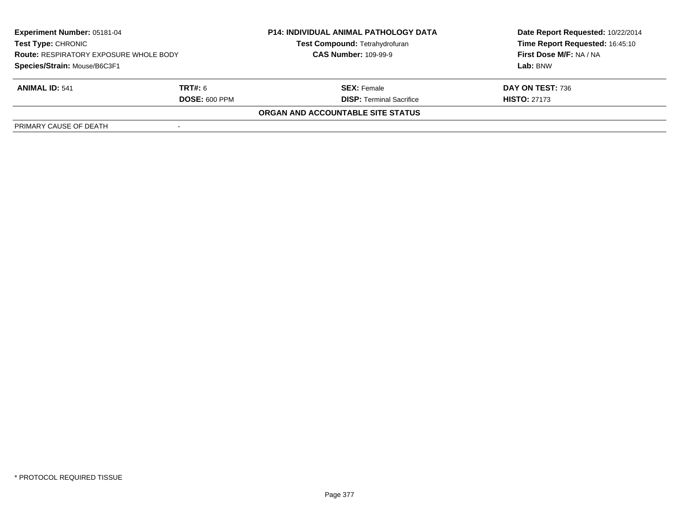| Experiment Number: 05181-04<br><b>Test Type: CHRONIC</b><br><b>Route: RESPIRATORY EXPOSURE WHOLE BODY</b> |                      | <b>P14: INDIVIDUAL ANIMAL PATHOLOGY DATA</b> | Date Report Requested: 10/22/2014 |  |
|-----------------------------------------------------------------------------------------------------------|----------------------|----------------------------------------------|-----------------------------------|--|
|                                                                                                           |                      | <b>Test Compound: Tetrahydrofuran</b>        | Time Report Requested: 16:45:10   |  |
|                                                                                                           |                      | <b>CAS Number: 109-99-9</b>                  | First Dose M/F: NA / NA           |  |
| Species/Strain: Mouse/B6C3F1                                                                              |                      |                                              | Lab: BNW                          |  |
| <b>ANIMAL ID: 541</b>                                                                                     | <b>TRT#:</b> 6       | <b>SEX:</b> Female                           | DAY ON TEST: 736                  |  |
|                                                                                                           | <b>DOSE: 600 PPM</b> | <b>DISP: Terminal Sacrifice</b>              | <b>HISTO: 27173</b>               |  |
|                                                                                                           |                      | <b>ORGAN AND ACCOUNTABLE SITE STATUS</b>     |                                   |  |
| PRIMARY CAUSE OF DEATH                                                                                    |                      |                                              |                                   |  |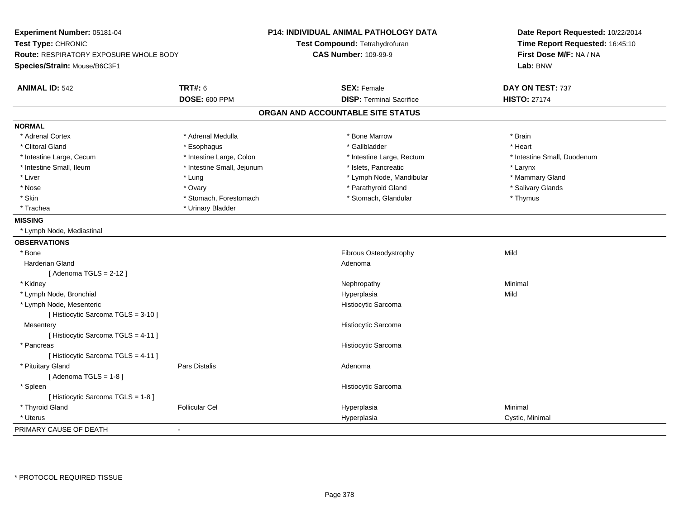| Experiment Number: 05181-04<br>Test Type: CHRONIC<br>Route: RESPIRATORY EXPOSURE WHOLE BODY<br>Species/Strain: Mouse/B6C3F1 |                            | <b>P14: INDIVIDUAL ANIMAL PATHOLOGY DATA</b><br>Test Compound: Tetrahydrofuran<br><b>CAS Number: 109-99-9</b> | Date Report Requested: 10/22/2014<br>Time Report Requested: 16:45:10<br>First Dose M/F: NA / NA<br>Lab: BNW |  |
|-----------------------------------------------------------------------------------------------------------------------------|----------------------------|---------------------------------------------------------------------------------------------------------------|-------------------------------------------------------------------------------------------------------------|--|
| <b>ANIMAL ID: 542</b>                                                                                                       | <b>TRT#: 6</b>             | <b>SEX: Female</b>                                                                                            | DAY ON TEST: 737                                                                                            |  |
|                                                                                                                             | DOSE: 600 PPM              | <b>DISP: Terminal Sacrifice</b>                                                                               | <b>HISTO: 27174</b>                                                                                         |  |
|                                                                                                                             |                            | ORGAN AND ACCOUNTABLE SITE STATUS                                                                             |                                                                                                             |  |
| <b>NORMAL</b>                                                                                                               |                            |                                                                                                               |                                                                                                             |  |
| * Adrenal Cortex                                                                                                            | * Adrenal Medulla          | * Bone Marrow                                                                                                 | * Brain                                                                                                     |  |
| * Clitoral Gland                                                                                                            | * Esophagus                | * Gallbladder                                                                                                 | * Heart                                                                                                     |  |
| * Intestine Large, Cecum                                                                                                    | * Intestine Large, Colon   | * Intestine Large, Rectum                                                                                     | * Intestine Small, Duodenum                                                                                 |  |
| * Intestine Small, Ileum                                                                                                    | * Intestine Small, Jejunum | * Islets, Pancreatic                                                                                          | * Larynx                                                                                                    |  |
| * Liver                                                                                                                     | $*$ Lung                   | * Lymph Node, Mandibular                                                                                      | * Mammary Gland                                                                                             |  |
| * Nose                                                                                                                      | * Ovary                    | * Parathyroid Gland                                                                                           | * Salivary Glands                                                                                           |  |
| * Skin                                                                                                                      | * Stomach, Forestomach     | * Stomach, Glandular                                                                                          | * Thymus                                                                                                    |  |
| * Trachea                                                                                                                   | * Urinary Bladder          |                                                                                                               |                                                                                                             |  |
| <b>MISSING</b>                                                                                                              |                            |                                                                                                               |                                                                                                             |  |
| * Lymph Node, Mediastinal                                                                                                   |                            |                                                                                                               |                                                                                                             |  |
| <b>OBSERVATIONS</b>                                                                                                         |                            |                                                                                                               |                                                                                                             |  |
| * Bone                                                                                                                      |                            | Fibrous Osteodystrophy                                                                                        | Mild                                                                                                        |  |
| Harderian Gland                                                                                                             |                            | Adenoma                                                                                                       |                                                                                                             |  |
| [Adenoma TGLS = $2-12$ ]                                                                                                    |                            |                                                                                                               |                                                                                                             |  |
| * Kidney                                                                                                                    |                            | Nephropathy                                                                                                   | Minimal                                                                                                     |  |
| * Lymph Node, Bronchial                                                                                                     |                            | Hyperplasia                                                                                                   | Mild                                                                                                        |  |
| * Lymph Node, Mesenteric                                                                                                    |                            | Histiocytic Sarcoma                                                                                           |                                                                                                             |  |
| [ Histiocytic Sarcoma TGLS = 3-10 ]                                                                                         |                            |                                                                                                               |                                                                                                             |  |
| Mesentery                                                                                                                   |                            | Histiocytic Sarcoma                                                                                           |                                                                                                             |  |
| [Histiocytic Sarcoma TGLS = 4-11]                                                                                           |                            |                                                                                                               |                                                                                                             |  |
| * Pancreas                                                                                                                  |                            | Histiocytic Sarcoma                                                                                           |                                                                                                             |  |
| [Histiocytic Sarcoma TGLS = 4-11]                                                                                           |                            |                                                                                                               |                                                                                                             |  |
| * Pituitary Gland                                                                                                           | <b>Pars Distalis</b>       | Adenoma                                                                                                       |                                                                                                             |  |
| [Adenoma TGLS = $1-8$ ]                                                                                                     |                            |                                                                                                               |                                                                                                             |  |
| * Spleen                                                                                                                    |                            | Histiocytic Sarcoma                                                                                           |                                                                                                             |  |
| [Histiocytic Sarcoma TGLS = 1-8]                                                                                            |                            |                                                                                                               |                                                                                                             |  |
| * Thyroid Gland                                                                                                             | <b>Follicular Cel</b>      | Hyperplasia                                                                                                   | Minimal                                                                                                     |  |
| * Uterus                                                                                                                    |                            | Hyperplasia                                                                                                   | Cystic, Minimal                                                                                             |  |
| PRIMARY CAUSE OF DEATH                                                                                                      | $\blacksquare$             |                                                                                                               |                                                                                                             |  |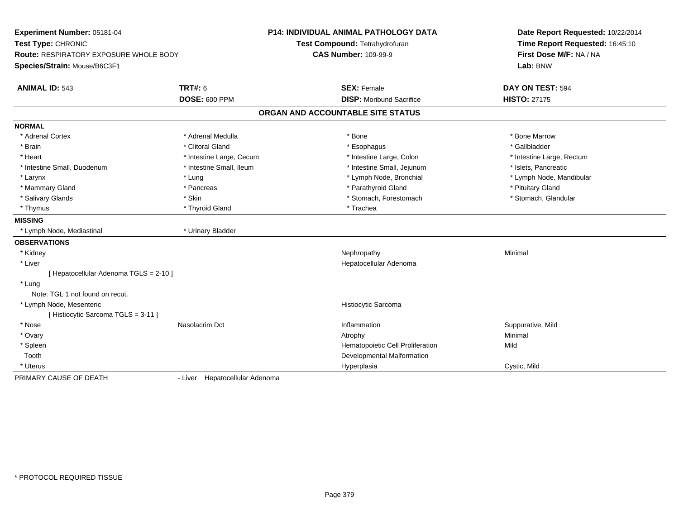| Experiment Number: 05181-04<br>Test Type: CHRONIC |                                | P14: INDIVIDUAL ANIMAL PATHOLOGY DATA |                                   | Date Report Requested: 10/22/2014 |
|---------------------------------------------------|--------------------------------|---------------------------------------|-----------------------------------|-----------------------------------|
|                                                   |                                |                                       | Test Compound: Tetrahydrofuran    | Time Report Requested: 16:45:10   |
| <b>Route: RESPIRATORY EXPOSURE WHOLE BODY</b>     |                                | <b>CAS Number: 109-99-9</b>           |                                   | First Dose M/F: NA / NA           |
| Species/Strain: Mouse/B6C3F1                      |                                |                                       |                                   | Lab: BNW                          |
| <b>ANIMAL ID: 543</b>                             | <b>TRT#: 6</b>                 |                                       | <b>SEX: Female</b>                | DAY ON TEST: 594                  |
|                                                   | <b>DOSE: 600 PPM</b>           |                                       | <b>DISP:</b> Moribund Sacrifice   | <b>HISTO: 27175</b>               |
|                                                   |                                |                                       | ORGAN AND ACCOUNTABLE SITE STATUS |                                   |
| <b>NORMAL</b>                                     |                                |                                       |                                   |                                   |
| * Adrenal Cortex                                  | * Adrenal Medulla              |                                       | * Bone                            | * Bone Marrow                     |
| * Brain                                           | * Clitoral Gland               |                                       | * Esophagus                       | * Gallbladder                     |
| * Heart                                           | * Intestine Large, Cecum       |                                       | * Intestine Large, Colon          | * Intestine Large, Rectum         |
| * Intestine Small, Duodenum                       | * Intestine Small, Ileum       |                                       | * Intestine Small, Jejunum        | * Islets, Pancreatic              |
| * Larynx                                          | * Lung                         |                                       | * Lymph Node, Bronchial           | * Lymph Node, Mandibular          |
| * Mammary Gland                                   | * Pancreas                     |                                       | * Parathyroid Gland               | * Pituitary Gland                 |
| * Salivary Glands                                 | * Skin                         |                                       | * Stomach, Forestomach            | * Stomach, Glandular              |
| * Thymus                                          | * Thyroid Gland                |                                       | * Trachea                         |                                   |
| <b>MISSING</b>                                    |                                |                                       |                                   |                                   |
| * Lymph Node, Mediastinal                         | * Urinary Bladder              |                                       |                                   |                                   |
| <b>OBSERVATIONS</b>                               |                                |                                       |                                   |                                   |
| * Kidney                                          |                                |                                       | Nephropathy                       | Minimal                           |
| * Liver                                           |                                |                                       | Hepatocellular Adenoma            |                                   |
| [ Hepatocellular Adenoma TGLS = 2-10 ]            |                                |                                       |                                   |                                   |
| * Lung                                            |                                |                                       |                                   |                                   |
| Note: TGL 1 not found on recut.                   |                                |                                       |                                   |                                   |
| * Lymph Node, Mesenteric                          |                                |                                       | <b>Histiocytic Sarcoma</b>        |                                   |
| [Histiocytic Sarcoma TGLS = 3-11]                 |                                |                                       |                                   |                                   |
| * Nose                                            | Nasolacrim Dct                 |                                       | Inflammation                      | Suppurative, Mild                 |
| * Ovary                                           |                                |                                       | Atrophy                           | Minimal                           |
| * Spleen                                          |                                |                                       | Hematopoietic Cell Proliferation  | Mild                              |
| Tooth                                             |                                |                                       | Developmental Malformation        |                                   |
| * Uterus                                          |                                |                                       | Hyperplasia                       | Cystic, Mild                      |
| PRIMARY CAUSE OF DEATH                            | - Liver Hepatocellular Adenoma |                                       |                                   |                                   |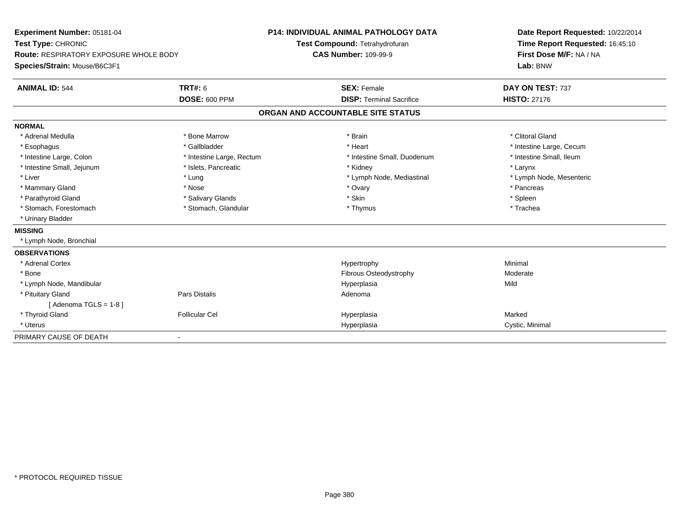| Experiment Number: 05181-04                   |                           | <b>P14: INDIVIDUAL ANIMAL PATHOLOGY DATA</b> |                                 | Date Report Requested: 10/22/2014   |  |  |
|-----------------------------------------------|---------------------------|----------------------------------------------|---------------------------------|-------------------------------------|--|--|
| Test Type: CHRONIC                            |                           | Test Compound: Tetrahydrofuran               |                                 | Time Report Requested: 16:45:10     |  |  |
| <b>Route: RESPIRATORY EXPOSURE WHOLE BODY</b> |                           | <b>CAS Number: 109-99-9</b>                  |                                 | First Dose M/F: NA / NA<br>Lab: BNW |  |  |
| Species/Strain: Mouse/B6C3F1                  |                           |                                              |                                 |                                     |  |  |
| <b>ANIMAL ID: 544</b>                         | TRT#: 6                   | <b>SEX: Female</b>                           |                                 | DAY ON TEST: 737                    |  |  |
|                                               | <b>DOSE: 600 PPM</b>      |                                              | <b>DISP: Terminal Sacrifice</b> | <b>HISTO: 27176</b>                 |  |  |
|                                               |                           | ORGAN AND ACCOUNTABLE SITE STATUS            |                                 |                                     |  |  |
| <b>NORMAL</b>                                 |                           |                                              |                                 |                                     |  |  |
| * Adrenal Medulla                             | * Bone Marrow             | * Brain                                      |                                 | * Clitoral Gland                    |  |  |
| * Esophagus                                   | * Gallbladder             | * Heart                                      |                                 | * Intestine Large, Cecum            |  |  |
| * Intestine Large, Colon                      | * Intestine Large, Rectum |                                              | * Intestine Small, Duodenum     | * Intestine Small, Ileum            |  |  |
| * Intestine Small, Jejunum                    | * Islets, Pancreatic      | * Kidney                                     |                                 | * Larynx                            |  |  |
| * Liver                                       | * Lung                    |                                              | * Lymph Node, Mediastinal       | * Lymph Node, Mesenteric            |  |  |
| * Mammary Gland                               | * Nose                    | * Ovary                                      |                                 | * Pancreas                          |  |  |
| * Parathyroid Gland                           | * Salivary Glands         | * Skin                                       |                                 | * Spleen                            |  |  |
| * Stomach, Forestomach                        | * Stomach, Glandular      | * Thymus                                     |                                 | * Trachea                           |  |  |
| * Urinary Bladder                             |                           |                                              |                                 |                                     |  |  |
| <b>MISSING</b>                                |                           |                                              |                                 |                                     |  |  |
| * Lymph Node, Bronchial                       |                           |                                              |                                 |                                     |  |  |
| <b>OBSERVATIONS</b>                           |                           |                                              |                                 |                                     |  |  |
| * Adrenal Cortex                              |                           | Hypertrophy                                  |                                 | Minimal                             |  |  |
| * Bone                                        |                           |                                              | Fibrous Osteodystrophy          | Moderate                            |  |  |
| * Lymph Node, Mandibular                      |                           | Hyperplasia                                  |                                 | Mild                                |  |  |
| * Pituitary Gland                             | Pars Distalis             | Adenoma                                      |                                 |                                     |  |  |
| [Adenoma TGLS = $1-8$ ]                       |                           |                                              |                                 |                                     |  |  |
| * Thyroid Gland                               | <b>Follicular Cel</b>     | Hyperplasia                                  |                                 | Marked                              |  |  |
| * Uterus                                      |                           | Hyperplasia                                  |                                 | Cystic, Minimal                     |  |  |
| PRIMARY CAUSE OF DEATH                        |                           |                                              |                                 |                                     |  |  |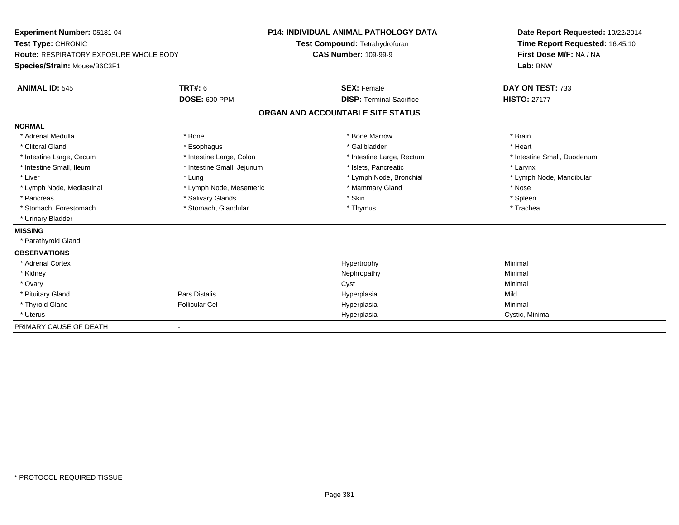| Experiment Number: 05181-04<br>Test Type: CHRONIC<br><b>Route: RESPIRATORY EXPOSURE WHOLE BODY</b><br>Species/Strain: Mouse/B6C3F1<br><b>ANIMAL ID: 545</b> | <b>TRT#: 6</b>             | <b>P14: INDIVIDUAL ANIMAL PATHOLOGY DATA</b><br>Test Compound: Tetrahydrofuran<br><b>CAS Number: 109-99-9</b><br><b>SEX: Female</b> |                                   | Date Report Requested: 10/22/2014<br>Time Report Requested: 16:45:10<br>First Dose M/F: NA / NA<br>Lab: BNW<br>DAY ON TEST: 733 |  |
|-------------------------------------------------------------------------------------------------------------------------------------------------------------|----------------------------|-------------------------------------------------------------------------------------------------------------------------------------|-----------------------------------|---------------------------------------------------------------------------------------------------------------------------------|--|
|                                                                                                                                                             | <b>DOSE: 600 PPM</b>       |                                                                                                                                     | <b>DISP: Terminal Sacrifice</b>   | <b>HISTO: 27177</b>                                                                                                             |  |
|                                                                                                                                                             |                            |                                                                                                                                     | ORGAN AND ACCOUNTABLE SITE STATUS |                                                                                                                                 |  |
| <b>NORMAL</b>                                                                                                                                               |                            |                                                                                                                                     |                                   |                                                                                                                                 |  |
| * Adrenal Medulla                                                                                                                                           | * Bone                     |                                                                                                                                     | * Bone Marrow                     | * Brain                                                                                                                         |  |
| * Clitoral Gland                                                                                                                                            | * Esophagus                |                                                                                                                                     | * Gallbladder                     | * Heart                                                                                                                         |  |
| * Intestine Large, Cecum                                                                                                                                    | * Intestine Large, Colon   |                                                                                                                                     | * Intestine Large, Rectum         | * Intestine Small, Duodenum                                                                                                     |  |
| * Intestine Small, Ileum                                                                                                                                    | * Intestine Small, Jejunum |                                                                                                                                     | * Islets, Pancreatic              | * Larynx                                                                                                                        |  |
| * Liver                                                                                                                                                     | * Lung                     |                                                                                                                                     | * Lymph Node, Bronchial           | * Lymph Node, Mandibular                                                                                                        |  |
| * Lymph Node, Mediastinal                                                                                                                                   | * Lymph Node, Mesenteric   |                                                                                                                                     | * Mammary Gland                   | * Nose                                                                                                                          |  |
| * Pancreas                                                                                                                                                  | * Salivary Glands          |                                                                                                                                     | * Skin                            | * Spleen                                                                                                                        |  |
| * Stomach, Forestomach                                                                                                                                      | * Stomach, Glandular       |                                                                                                                                     | * Thymus                          | * Trachea                                                                                                                       |  |
| * Urinary Bladder                                                                                                                                           |                            |                                                                                                                                     |                                   |                                                                                                                                 |  |
| <b>MISSING</b>                                                                                                                                              |                            |                                                                                                                                     |                                   |                                                                                                                                 |  |
| * Parathyroid Gland                                                                                                                                         |                            |                                                                                                                                     |                                   |                                                                                                                                 |  |
| <b>OBSERVATIONS</b>                                                                                                                                         |                            |                                                                                                                                     |                                   |                                                                                                                                 |  |
| * Adrenal Cortex                                                                                                                                            |                            |                                                                                                                                     | Hypertrophy                       | Minimal                                                                                                                         |  |
| * Kidney                                                                                                                                                    |                            |                                                                                                                                     | Nephropathy                       | Minimal                                                                                                                         |  |
| * Ovary                                                                                                                                                     |                            |                                                                                                                                     | Cyst                              | Minimal                                                                                                                         |  |
| * Pituitary Gland                                                                                                                                           | Pars Distalis              |                                                                                                                                     | Hyperplasia                       | Mild                                                                                                                            |  |
| * Thyroid Gland                                                                                                                                             | <b>Follicular Cel</b>      |                                                                                                                                     | Hyperplasia                       | Minimal                                                                                                                         |  |
| * Uterus                                                                                                                                                    |                            |                                                                                                                                     | Hyperplasia                       | Cystic, Minimal                                                                                                                 |  |
| PRIMARY CAUSE OF DEATH                                                                                                                                      |                            |                                                                                                                                     |                                   |                                                                                                                                 |  |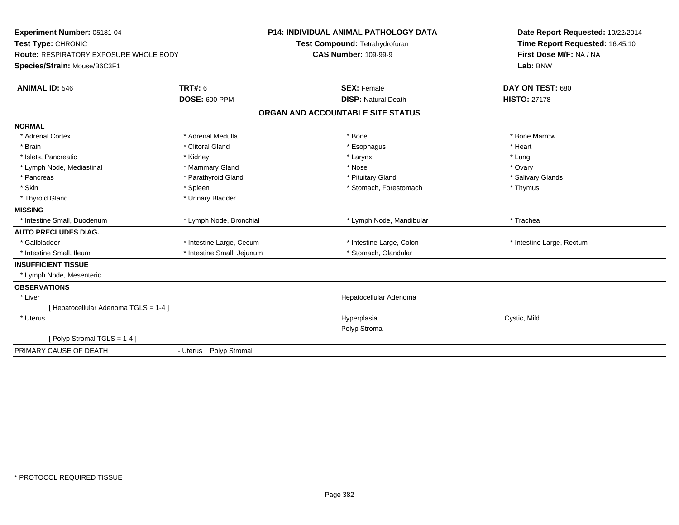| Experiment Number: 05181-04<br>Test Type: CHRONIC |                            | <b>P14: INDIVIDUAL ANIMAL PATHOLOGY DATA</b><br>Test Compound: Tetrahydrofuran | Date Report Requested: 10/22/2014<br>Time Report Requested: 16:45:10 |  |
|---------------------------------------------------|----------------------------|--------------------------------------------------------------------------------|----------------------------------------------------------------------|--|
| <b>Route: RESPIRATORY EXPOSURE WHOLE BODY</b>     |                            | <b>CAS Number: 109-99-9</b>                                                    | First Dose M/F: NA / NA                                              |  |
| Species/Strain: Mouse/B6C3F1                      |                            |                                                                                | Lab: BNW                                                             |  |
| <b>ANIMAL ID: 546</b>                             | <b>TRT#: 6</b>             | <b>SEX: Female</b>                                                             | DAY ON TEST: 680                                                     |  |
|                                                   | <b>DOSE: 600 PPM</b>       | <b>DISP: Natural Death</b>                                                     | <b>HISTO: 27178</b>                                                  |  |
|                                                   |                            | ORGAN AND ACCOUNTABLE SITE STATUS                                              |                                                                      |  |
| <b>NORMAL</b>                                     |                            |                                                                                |                                                                      |  |
| * Adrenal Cortex                                  | * Adrenal Medulla          | * Bone                                                                         | * Bone Marrow                                                        |  |
| * Brain                                           | * Clitoral Gland           | * Esophagus                                                                    | * Heart                                                              |  |
| * Islets, Pancreatic                              | * Kidney                   | * Larynx                                                                       | * Lung                                                               |  |
| * Lymph Node, Mediastinal                         | * Mammary Gland            | * Nose                                                                         | * Ovary                                                              |  |
| * Pancreas                                        | * Parathyroid Gland        | * Pituitary Gland                                                              | * Salivary Glands                                                    |  |
| * Skin                                            | * Spleen                   | * Stomach, Forestomach                                                         | * Thymus                                                             |  |
| * Thyroid Gland                                   | * Urinary Bladder          |                                                                                |                                                                      |  |
| <b>MISSING</b>                                    |                            |                                                                                |                                                                      |  |
| * Intestine Small, Duodenum                       | * Lymph Node, Bronchial    | * Lymph Node, Mandibular                                                       | * Trachea                                                            |  |
| <b>AUTO PRECLUDES DIAG.</b>                       |                            |                                                                                |                                                                      |  |
| * Gallbladder                                     | * Intestine Large, Cecum   | * Intestine Large, Colon                                                       | * Intestine Large, Rectum                                            |  |
| * Intestine Small. Ileum                          | * Intestine Small, Jejunum | * Stomach, Glandular                                                           |                                                                      |  |
| <b>INSUFFICIENT TISSUE</b>                        |                            |                                                                                |                                                                      |  |
| * Lymph Node, Mesenteric                          |                            |                                                                                |                                                                      |  |
| <b>OBSERVATIONS</b>                               |                            |                                                                                |                                                                      |  |
| * Liver                                           |                            | Hepatocellular Adenoma                                                         |                                                                      |  |
| [ Hepatocellular Adenoma TGLS = 1-4 ]             |                            |                                                                                |                                                                      |  |
| * Uterus                                          |                            | Hyperplasia                                                                    | Cystic, Mild                                                         |  |
|                                                   |                            | Polyp Stromal                                                                  |                                                                      |  |
| [Polyp Stromal TGLS = 1-4]                        |                            |                                                                                |                                                                      |  |
| PRIMARY CAUSE OF DEATH                            | - Uterus Polyp Stromal     |                                                                                |                                                                      |  |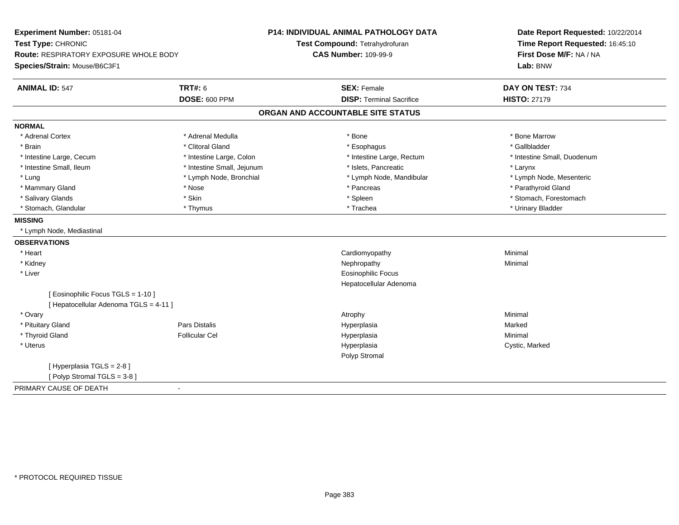| Experiment Number: 05181-04                   |                            | <b>P14: INDIVIDUAL ANIMAL PATHOLOGY DATA</b> | Date Report Requested: 10/22/2014 |  |
|-----------------------------------------------|----------------------------|----------------------------------------------|-----------------------------------|--|
| Test Type: CHRONIC                            |                            | Test Compound: Tetrahydrofuran               | Time Report Requested: 16:45:10   |  |
| <b>Route: RESPIRATORY EXPOSURE WHOLE BODY</b> |                            | <b>CAS Number: 109-99-9</b>                  | First Dose M/F: NA / NA           |  |
| Species/Strain: Mouse/B6C3F1                  |                            |                                              | Lab: BNW                          |  |
| <b>ANIMAL ID: 547</b>                         | <b>TRT#: 6</b>             | <b>SEX: Female</b>                           | DAY ON TEST: 734                  |  |
|                                               | <b>DOSE: 600 PPM</b>       | <b>DISP: Terminal Sacrifice</b>              | <b>HISTO: 27179</b>               |  |
|                                               |                            | ORGAN AND ACCOUNTABLE SITE STATUS            |                                   |  |
| <b>NORMAL</b>                                 |                            |                                              |                                   |  |
| * Adrenal Cortex                              | * Adrenal Medulla          | * Bone                                       | * Bone Marrow                     |  |
| * Brain                                       | * Clitoral Gland           | * Esophagus                                  | * Gallbladder                     |  |
| * Intestine Large, Cecum                      | * Intestine Large, Colon   | * Intestine Large, Rectum                    | * Intestine Small, Duodenum       |  |
| * Intestine Small, Ileum                      | * Intestine Small, Jejunum | * Islets, Pancreatic                         | * Larynx                          |  |
| * Lung                                        | * Lymph Node, Bronchial    | * Lymph Node, Mandibular                     | * Lymph Node, Mesenteric          |  |
| * Mammary Gland                               | * Nose                     | * Pancreas                                   | * Parathyroid Gland               |  |
| * Salivary Glands                             | * Skin                     | * Spleen                                     | * Stomach, Forestomach            |  |
| * Stomach, Glandular                          | * Thymus                   | * Trachea                                    | * Urinary Bladder                 |  |
| <b>MISSING</b>                                |                            |                                              |                                   |  |
| * Lymph Node, Mediastinal                     |                            |                                              |                                   |  |
| <b>OBSERVATIONS</b>                           |                            |                                              |                                   |  |
| * Heart                                       |                            | Cardiomyopathy                               | Minimal                           |  |
| * Kidney                                      |                            | Nephropathy                                  | Minimal                           |  |
| * Liver                                       |                            | <b>Eosinophilic Focus</b>                    |                                   |  |
|                                               |                            | Hepatocellular Adenoma                       |                                   |  |
| [ Eosinophilic Focus TGLS = 1-10 ]            |                            |                                              |                                   |  |
| [ Hepatocellular Adenoma TGLS = 4-11 ]        |                            |                                              |                                   |  |
| * Ovary                                       |                            | Atrophy                                      | Minimal                           |  |
| * Pituitary Gland                             | Pars Distalis              | Hyperplasia                                  | Marked                            |  |
| * Thyroid Gland                               | <b>Follicular Cel</b>      | Hyperplasia                                  | Minimal                           |  |
| * Uterus                                      |                            | Hyperplasia                                  | Cystic, Marked                    |  |
|                                               |                            | Polyp Stromal                                |                                   |  |
| [Hyperplasia TGLS = 2-8]                      |                            |                                              |                                   |  |
| [Polyp Stromal TGLS = 3-8]                    |                            |                                              |                                   |  |
| PRIMARY CAUSE OF DEATH                        | $\sim$                     |                                              |                                   |  |
|                                               |                            |                                              |                                   |  |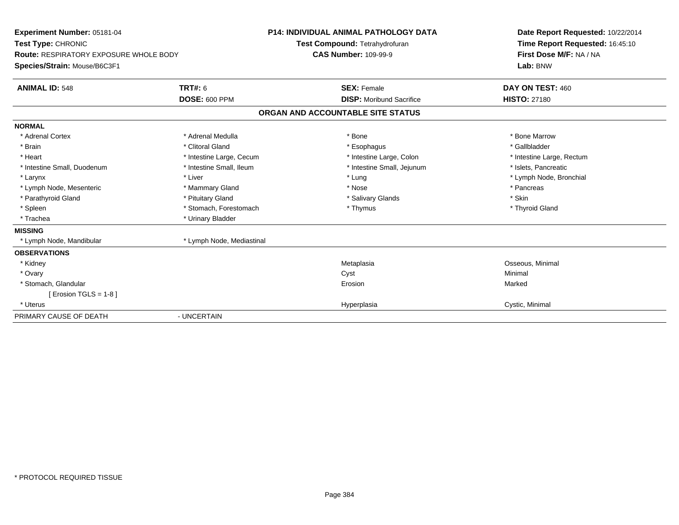| Experiment Number: 05181-04<br>Test Type: CHRONIC<br><b>Route: RESPIRATORY EXPOSURE WHOLE BODY</b><br>Species/Strain: Mouse/B6C3F1 |                                        | <b>P14: INDIVIDUAL ANIMAL PATHOLOGY DATA</b><br>Test Compound: Tetrahydrofuran<br><b>CAS Number: 109-99-9</b> | Date Report Requested: 10/22/2014<br>Time Report Requested: 16:45:10<br>First Dose M/F: NA / NA<br>Lab: BNW |  |
|------------------------------------------------------------------------------------------------------------------------------------|----------------------------------------|---------------------------------------------------------------------------------------------------------------|-------------------------------------------------------------------------------------------------------------|--|
| <b>ANIMAL ID: 548</b>                                                                                                              | <b>TRT#: 6</b><br><b>DOSE: 600 PPM</b> | <b>SEX: Female</b><br><b>DISP:</b> Moribund Sacrifice                                                         | DAY ON TEST: 460<br><b>HISTO: 27180</b>                                                                     |  |
|                                                                                                                                    |                                        | ORGAN AND ACCOUNTABLE SITE STATUS                                                                             |                                                                                                             |  |
| <b>NORMAL</b>                                                                                                                      |                                        |                                                                                                               |                                                                                                             |  |
| * Adrenal Cortex                                                                                                                   | * Adrenal Medulla                      | * Bone                                                                                                        | * Bone Marrow                                                                                               |  |
| * Brain                                                                                                                            | * Clitoral Gland                       | * Esophagus                                                                                                   | * Gallbladder                                                                                               |  |
| * Heart                                                                                                                            | * Intestine Large, Cecum               | * Intestine Large, Colon                                                                                      | * Intestine Large, Rectum                                                                                   |  |
| * Intestine Small, Duodenum                                                                                                        | * Intestine Small, Ileum               | * Intestine Small, Jejunum                                                                                    | * Islets, Pancreatic                                                                                        |  |
| * Larynx                                                                                                                           | * Liver                                | * Lung                                                                                                        | * Lymph Node, Bronchial                                                                                     |  |
| * Lymph Node, Mesenteric                                                                                                           | * Mammary Gland                        | * Nose                                                                                                        | * Pancreas                                                                                                  |  |
| * Parathyroid Gland                                                                                                                | * Pituitary Gland                      | * Salivary Glands                                                                                             | * Skin                                                                                                      |  |
| * Spleen                                                                                                                           | * Stomach, Forestomach                 | * Thymus                                                                                                      | * Thyroid Gland                                                                                             |  |
| * Trachea                                                                                                                          | * Urinary Bladder                      |                                                                                                               |                                                                                                             |  |
| <b>MISSING</b>                                                                                                                     |                                        |                                                                                                               |                                                                                                             |  |
| * Lymph Node, Mandibular                                                                                                           | * Lymph Node, Mediastinal              |                                                                                                               |                                                                                                             |  |
| <b>OBSERVATIONS</b>                                                                                                                |                                        |                                                                                                               |                                                                                                             |  |
| * Kidney                                                                                                                           |                                        | Metaplasia                                                                                                    | Osseous, Minimal                                                                                            |  |
| * Ovary                                                                                                                            |                                        | Cyst                                                                                                          | Minimal                                                                                                     |  |
| * Stomach, Glandular                                                                                                               |                                        | Erosion                                                                                                       | Marked                                                                                                      |  |
| [ Erosion TGLS = $1-8$ ]                                                                                                           |                                        |                                                                                                               |                                                                                                             |  |
| * Uterus                                                                                                                           |                                        | Hyperplasia                                                                                                   | Cystic, Minimal                                                                                             |  |
| PRIMARY CAUSE OF DEATH                                                                                                             | - UNCERTAIN                            |                                                                                                               |                                                                                                             |  |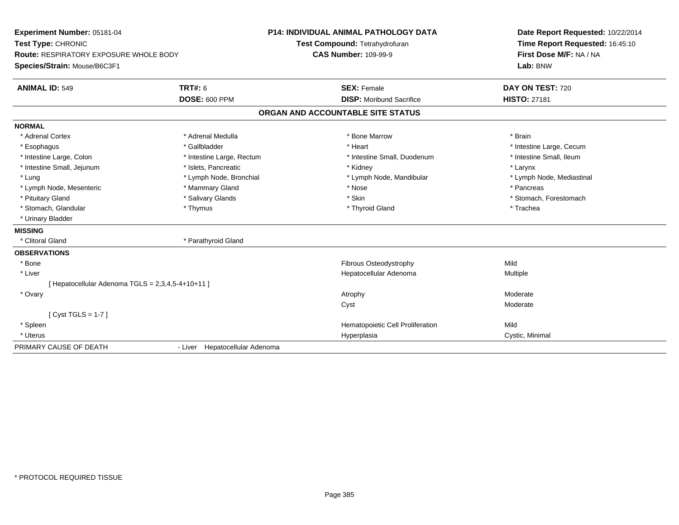| Experiment Number: 05181-04                       |                                | <b>P14: INDIVIDUAL ANIMAL PATHOLOGY DATA</b> | Date Report Requested: 10/22/2014<br>Time Report Requested: 16:45:10<br>First Dose M/F: NA / NA |  |
|---------------------------------------------------|--------------------------------|----------------------------------------------|-------------------------------------------------------------------------------------------------|--|
| Test Type: CHRONIC                                |                                | Test Compound: Tetrahydrofuran               |                                                                                                 |  |
| <b>Route: RESPIRATORY EXPOSURE WHOLE BODY</b>     |                                | <b>CAS Number: 109-99-9</b>                  |                                                                                                 |  |
| Species/Strain: Mouse/B6C3F1                      |                                |                                              | Lab: BNW                                                                                        |  |
| <b>ANIMAL ID: 549</b>                             | TRT#: 6                        | <b>SEX: Female</b>                           | DAY ON TEST: 720                                                                                |  |
|                                                   | <b>DOSE: 600 PPM</b>           | <b>DISP:</b> Moribund Sacrifice              | <b>HISTO: 27181</b>                                                                             |  |
|                                                   |                                | ORGAN AND ACCOUNTABLE SITE STATUS            |                                                                                                 |  |
| <b>NORMAL</b>                                     |                                |                                              |                                                                                                 |  |
| * Adrenal Cortex                                  | * Adrenal Medulla              | * Bone Marrow                                | * Brain                                                                                         |  |
| * Esophagus                                       | * Gallbladder                  | * Heart                                      | * Intestine Large, Cecum                                                                        |  |
| * Intestine Large, Colon                          | * Intestine Large, Rectum      | * Intestine Small, Duodenum                  | * Intestine Small, Ileum                                                                        |  |
| * Intestine Small, Jejunum                        | * Islets, Pancreatic           | * Kidney                                     | * Larynx                                                                                        |  |
| * Lung                                            | * Lymph Node, Bronchial        | * Lymph Node, Mandibular                     | * Lymph Node, Mediastinal                                                                       |  |
| * Lymph Node, Mesenteric                          | * Mammary Gland                | * Nose                                       | * Pancreas                                                                                      |  |
| * Pituitary Gland                                 | * Salivary Glands              | * Skin                                       | * Stomach, Forestomach                                                                          |  |
| * Stomach, Glandular                              | * Thymus                       | * Thyroid Gland                              | * Trachea                                                                                       |  |
| * Urinary Bladder                                 |                                |                                              |                                                                                                 |  |
| <b>MISSING</b>                                    |                                |                                              |                                                                                                 |  |
| * Clitoral Gland                                  | * Parathyroid Gland            |                                              |                                                                                                 |  |
| <b>OBSERVATIONS</b>                               |                                |                                              |                                                                                                 |  |
| * Bone                                            |                                | Fibrous Osteodystrophy                       | Mild                                                                                            |  |
| * Liver                                           |                                | Hepatocellular Adenoma                       | <b>Multiple</b>                                                                                 |  |
| [ Hepatocellular Adenoma TGLS = 2,3,4,5-4+10+11 ] |                                |                                              |                                                                                                 |  |
| * Ovary                                           |                                | Atrophy                                      | Moderate                                                                                        |  |
|                                                   |                                | Cyst                                         | Moderate                                                                                        |  |
| [Cyst TGLS = $1-7$ ]                              |                                |                                              |                                                                                                 |  |
| * Spleen                                          |                                | Hematopoietic Cell Proliferation             | Mild                                                                                            |  |
| * Uterus                                          |                                | Hyperplasia                                  | Cystic, Minimal                                                                                 |  |
| PRIMARY CAUSE OF DEATH                            | - Liver Hepatocellular Adenoma |                                              |                                                                                                 |  |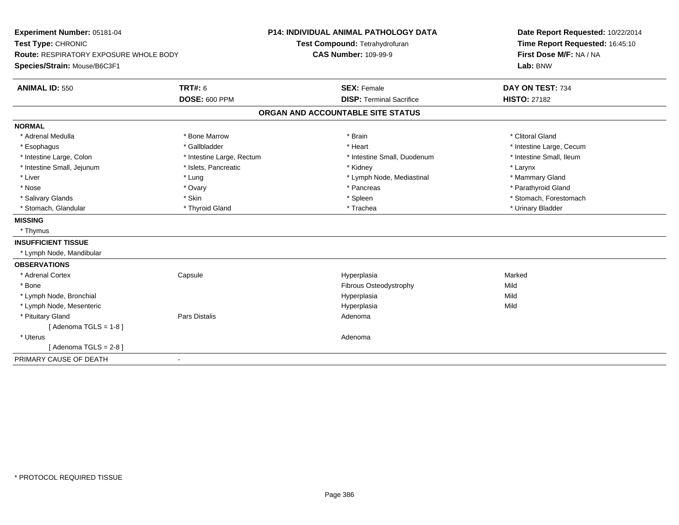| Experiment Number: 05181-04<br>Test Type: CHRONIC<br>Route: RESPIRATORY EXPOSURE WHOLE BODY<br>Species/Strain: Mouse/B6C3F1 |                           | <b>P14: INDIVIDUAL ANIMAL PATHOLOGY DATA</b><br>Test Compound: Tetrahydrofuran<br><b>CAS Number: 109-99-9</b> | Date Report Requested: 10/22/2014<br>Time Report Requested: 16:45:10<br>First Dose M/F: NA / NA<br>Lab: BNW |
|-----------------------------------------------------------------------------------------------------------------------------|---------------------------|---------------------------------------------------------------------------------------------------------------|-------------------------------------------------------------------------------------------------------------|
| <b>ANIMAL ID: 550</b>                                                                                                       | <b>TRT#: 6</b>            | <b>SEX: Female</b>                                                                                            | DAY ON TEST: 734                                                                                            |
|                                                                                                                             | <b>DOSE: 600 PPM</b>      | <b>DISP: Terminal Sacrifice</b>                                                                               | <b>HISTO: 27182</b>                                                                                         |
|                                                                                                                             |                           | ORGAN AND ACCOUNTABLE SITE STATUS                                                                             |                                                                                                             |
| <b>NORMAL</b>                                                                                                               |                           |                                                                                                               |                                                                                                             |
| * Adrenal Medulla                                                                                                           | * Bone Marrow             | * Brain                                                                                                       | * Clitoral Gland                                                                                            |
| * Esophagus                                                                                                                 | * Gallbladder             | * Heart                                                                                                       | * Intestine Large, Cecum                                                                                    |
| * Intestine Large, Colon                                                                                                    | * Intestine Large, Rectum | * Intestine Small, Duodenum                                                                                   | * Intestine Small, Ileum                                                                                    |
| * Intestine Small, Jejunum                                                                                                  | * Islets, Pancreatic      | * Kidney                                                                                                      | * Larynx                                                                                                    |
| * Liver                                                                                                                     | * Lung                    | * Lymph Node, Mediastinal                                                                                     | * Mammary Gland                                                                                             |
| * Nose                                                                                                                      | * Ovary                   | * Pancreas                                                                                                    | * Parathyroid Gland                                                                                         |
| * Salivary Glands                                                                                                           | * Skin                    | * Spleen                                                                                                      | * Stomach, Forestomach                                                                                      |
| * Stomach, Glandular                                                                                                        | * Thyroid Gland           | * Trachea                                                                                                     | * Urinary Bladder                                                                                           |
| <b>MISSING</b>                                                                                                              |                           |                                                                                                               |                                                                                                             |
| * Thymus                                                                                                                    |                           |                                                                                                               |                                                                                                             |
| <b>INSUFFICIENT TISSUE</b>                                                                                                  |                           |                                                                                                               |                                                                                                             |
| * Lymph Node, Mandibular                                                                                                    |                           |                                                                                                               |                                                                                                             |
| <b>OBSERVATIONS</b>                                                                                                         |                           |                                                                                                               |                                                                                                             |
| * Adrenal Cortex                                                                                                            | Capsule                   | Hyperplasia                                                                                                   | Marked                                                                                                      |
| * Bone                                                                                                                      |                           | Fibrous Osteodystrophy                                                                                        | Mild                                                                                                        |
| * Lymph Node, Bronchial                                                                                                     |                           | Hyperplasia                                                                                                   | Mild                                                                                                        |
| * Lymph Node, Mesenteric                                                                                                    |                           | Hyperplasia                                                                                                   | Mild                                                                                                        |
| * Pituitary Gland                                                                                                           | Pars Distalis             | Adenoma                                                                                                       |                                                                                                             |
| [Adenoma TGLS = $1-8$ ]                                                                                                     |                           |                                                                                                               |                                                                                                             |
| * Uterus                                                                                                                    |                           | Adenoma                                                                                                       |                                                                                                             |
| [Adenoma TGLS = 2-8]                                                                                                        |                           |                                                                                                               |                                                                                                             |
| PRIMARY CAUSE OF DEATH                                                                                                      | $\blacksquare$            |                                                                                                               |                                                                                                             |
|                                                                                                                             |                           |                                                                                                               |                                                                                                             |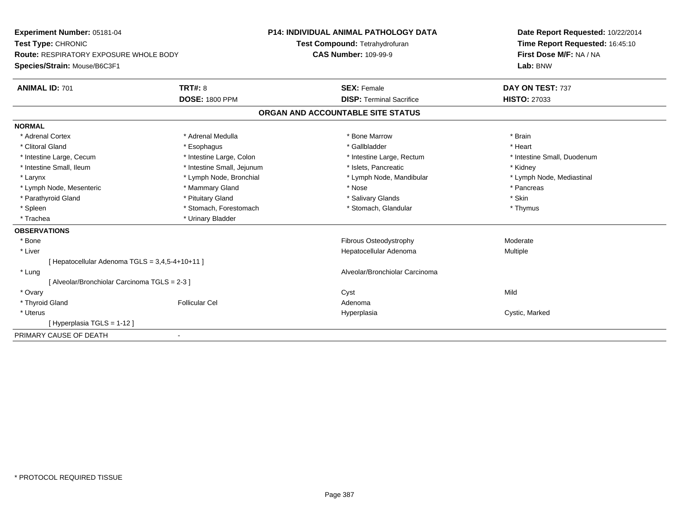| Experiment Number: 05181-04                     |                            | <b>P14: INDIVIDUAL ANIMAL PATHOLOGY DATA</b> | Date Report Requested: 10/22/2014 |  |
|-------------------------------------------------|----------------------------|----------------------------------------------|-----------------------------------|--|
| Test Type: CHRONIC                              |                            | Test Compound: Tetrahydrofuran               | Time Report Requested: 16:45:10   |  |
| <b>Route: RESPIRATORY EXPOSURE WHOLE BODY</b>   |                            | <b>CAS Number: 109-99-9</b>                  | First Dose M/F: NA / NA           |  |
| Species/Strain: Mouse/B6C3F1                    |                            |                                              | Lab: BNW                          |  |
| <b>ANIMAL ID: 701</b>                           | <b>TRT#: 8</b>             | <b>SEX: Female</b>                           | DAY ON TEST: 737                  |  |
|                                                 | <b>DOSE: 1800 PPM</b>      | <b>DISP: Terminal Sacrifice</b>              | <b>HISTO: 27033</b>               |  |
|                                                 |                            | ORGAN AND ACCOUNTABLE SITE STATUS            |                                   |  |
| <b>NORMAL</b>                                   |                            |                                              |                                   |  |
| * Adrenal Cortex                                | * Adrenal Medulla          | * Bone Marrow                                | * Brain                           |  |
| * Clitoral Gland                                | * Esophagus                | * Gallbladder                                | * Heart                           |  |
| * Intestine Large, Cecum                        | * Intestine Large, Colon   | * Intestine Large, Rectum                    | * Intestine Small, Duodenum       |  |
| * Intestine Small, Ileum                        | * Intestine Small, Jejunum | * Islets. Pancreatic                         | * Kidney                          |  |
| * Larynx                                        | * Lymph Node, Bronchial    | * Lymph Node, Mandibular                     | * Lymph Node, Mediastinal         |  |
| * Lymph Node, Mesenteric                        | * Mammary Gland            | * Nose                                       | * Pancreas                        |  |
| * Parathyroid Gland                             | * Pituitary Gland          | * Salivary Glands                            | * Skin                            |  |
| * Spleen                                        | * Stomach, Forestomach     | * Stomach, Glandular                         | * Thymus                          |  |
| * Trachea                                       | * Urinary Bladder          |                                              |                                   |  |
| <b>OBSERVATIONS</b>                             |                            |                                              |                                   |  |
| * Bone                                          |                            | Fibrous Osteodystrophy                       | Moderate                          |  |
| * Liver                                         |                            | Hepatocellular Adenoma                       | Multiple                          |  |
| [ Hepatocellular Adenoma TGLS = 3,4,5-4+10+11 ] |                            |                                              |                                   |  |
| * Lung                                          |                            | Alveolar/Bronchiolar Carcinoma               |                                   |  |
| [ Alveolar/Bronchiolar Carcinoma TGLS = 2-3 ]   |                            |                                              |                                   |  |
| * Ovary                                         |                            | Cyst                                         | Mild                              |  |
| * Thyroid Gland                                 | <b>Follicular Cel</b>      | Adenoma                                      |                                   |  |
| * Uterus                                        |                            | Hyperplasia                                  | Cystic, Marked                    |  |
| [Hyperplasia TGLS = 1-12]                       |                            |                                              |                                   |  |
| PRIMARY CAUSE OF DEATH<br>$\blacksquare$        |                            |                                              |                                   |  |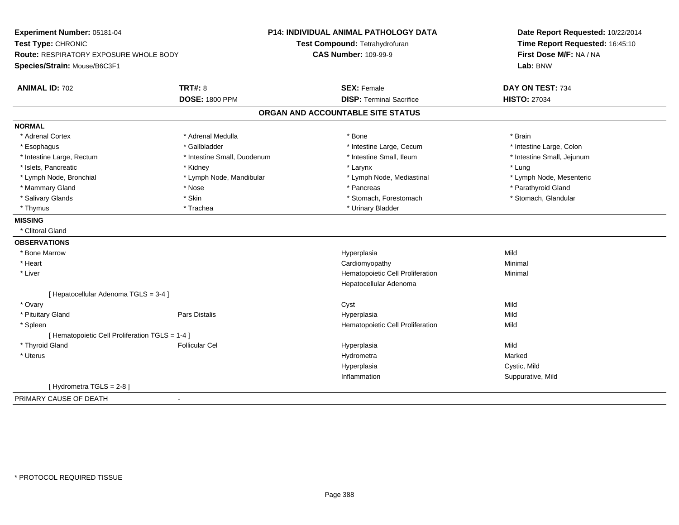| Experiment Number: 05181-04                     |                             | <b>P14: INDIVIDUAL ANIMAL PATHOLOGY DATA</b> | Date Report Requested: 10/22/2014<br>Time Report Requested: 16:45:10 |  |
|-------------------------------------------------|-----------------------------|----------------------------------------------|----------------------------------------------------------------------|--|
| Test Type: CHRONIC                              |                             | Test Compound: Tetrahydrofuran               |                                                                      |  |
| <b>Route: RESPIRATORY EXPOSURE WHOLE BODY</b>   |                             | <b>CAS Number: 109-99-9</b>                  | First Dose M/F: NA / NA                                              |  |
| Species/Strain: Mouse/B6C3F1                    |                             |                                              | Lab: BNW                                                             |  |
| <b>ANIMAL ID: 702</b>                           | TRT#: 8                     | <b>SEX: Female</b>                           | DAY ON TEST: 734                                                     |  |
|                                                 | <b>DOSE: 1800 PPM</b>       | <b>DISP: Terminal Sacrifice</b>              | <b>HISTO: 27034</b>                                                  |  |
|                                                 |                             | ORGAN AND ACCOUNTABLE SITE STATUS            |                                                                      |  |
| <b>NORMAL</b>                                   |                             |                                              |                                                                      |  |
| * Adrenal Cortex                                | * Adrenal Medulla           | * Bone                                       | * Brain                                                              |  |
| * Esophagus                                     | * Gallbladder               | * Intestine Large, Cecum                     | * Intestine Large, Colon                                             |  |
| * Intestine Large, Rectum                       | * Intestine Small, Duodenum | * Intestine Small, Ileum                     | * Intestine Small, Jejunum                                           |  |
| * Islets, Pancreatic                            | * Kidney                    | * Larynx                                     | * Lung                                                               |  |
| * Lymph Node, Bronchial                         | * Lymph Node, Mandibular    | * Lymph Node, Mediastinal                    | * Lymph Node, Mesenteric                                             |  |
| * Mammary Gland                                 | * Nose                      | * Pancreas                                   | * Parathyroid Gland                                                  |  |
| * Salivary Glands                               | * Skin                      | * Stomach, Forestomach                       | * Stomach, Glandular                                                 |  |
| * Thymus                                        | * Trachea                   | * Urinary Bladder                            |                                                                      |  |
| <b>MISSING</b>                                  |                             |                                              |                                                                      |  |
| * Clitoral Gland                                |                             |                                              |                                                                      |  |
| <b>OBSERVATIONS</b>                             |                             |                                              |                                                                      |  |
| * Bone Marrow                                   |                             | Hyperplasia                                  | Mild                                                                 |  |
| * Heart                                         |                             | Cardiomyopathy                               | Minimal                                                              |  |
| * Liver                                         |                             | Hematopoietic Cell Proliferation             | Minimal                                                              |  |
|                                                 |                             | Hepatocellular Adenoma                       |                                                                      |  |
| [ Hepatocellular Adenoma TGLS = 3-4 ]           |                             |                                              |                                                                      |  |
| * Ovary                                         |                             | Cyst                                         | Mild                                                                 |  |
| * Pituitary Gland                               | Pars Distalis               | Hyperplasia                                  | Mild                                                                 |  |
| * Spleen                                        |                             | Hematopoietic Cell Proliferation             | Mild                                                                 |  |
| [ Hematopoietic Cell Proliferation TGLS = 1-4 ] |                             |                                              |                                                                      |  |
| * Thyroid Gland                                 | <b>Follicular Cel</b>       | Hyperplasia                                  | Mild                                                                 |  |
| * Uterus                                        |                             | Hydrometra                                   | Marked                                                               |  |
|                                                 |                             | Hyperplasia                                  | Cystic, Mild                                                         |  |
|                                                 |                             | Inflammation                                 | Suppurative, Mild                                                    |  |
| [ Hydrometra TGLS = 2-8 ]                       |                             |                                              |                                                                      |  |
| PRIMARY CAUSE OF DEATH                          | $\blacksquare$              |                                              |                                                                      |  |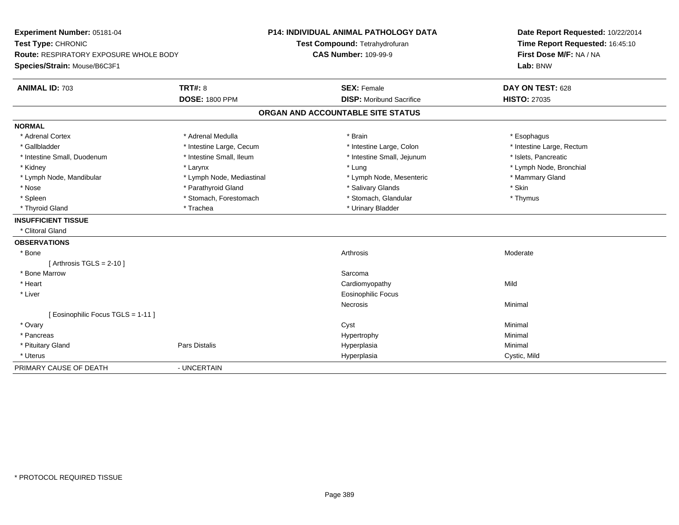| Experiment Number: 05181-04<br>Test Type: CHRONIC |                           | <b>P14: INDIVIDUAL ANIMAL PATHOLOGY DATA</b> | Date Report Requested: 10/22/2014<br>Time Report Requested: 16:45:10 |  |
|---------------------------------------------------|---------------------------|----------------------------------------------|----------------------------------------------------------------------|--|
|                                                   |                           | Test Compound: Tetrahydrofuran               |                                                                      |  |
| Route: RESPIRATORY EXPOSURE WHOLE BODY            |                           | <b>CAS Number: 109-99-9</b>                  | First Dose M/F: NA / NA                                              |  |
| Species/Strain: Mouse/B6C3F1                      |                           |                                              | Lab: BNW                                                             |  |
| <b>ANIMAL ID: 703</b>                             | <b>TRT#: 8</b>            | <b>SEX: Female</b>                           | DAY ON TEST: 628                                                     |  |
|                                                   | <b>DOSE: 1800 PPM</b>     | <b>DISP:</b> Moribund Sacrifice              | <b>HISTO: 27035</b>                                                  |  |
|                                                   |                           | ORGAN AND ACCOUNTABLE SITE STATUS            |                                                                      |  |
| <b>NORMAL</b>                                     |                           |                                              |                                                                      |  |
| * Adrenal Cortex                                  | * Adrenal Medulla         | * Brain                                      | * Esophagus                                                          |  |
| * Gallbladder                                     | * Intestine Large, Cecum  | * Intestine Large, Colon                     | * Intestine Large, Rectum                                            |  |
| * Intestine Small, Duodenum                       | * Intestine Small, Ileum  | * Intestine Small, Jejunum                   | * Islets, Pancreatic                                                 |  |
| * Kidney                                          | * Larynx                  | * Lung                                       | * Lymph Node, Bronchial                                              |  |
| * Lymph Node, Mandibular                          | * Lymph Node, Mediastinal | * Lymph Node, Mesenteric                     | * Mammary Gland                                                      |  |
| * Nose                                            | * Parathyroid Gland       | * Salivary Glands                            | * Skin                                                               |  |
| * Spleen                                          | * Stomach, Forestomach    | * Stomach, Glandular                         | * Thymus                                                             |  |
| * Thyroid Gland                                   | * Trachea                 | * Urinary Bladder                            |                                                                      |  |
| <b>INSUFFICIENT TISSUE</b>                        |                           |                                              |                                                                      |  |
| * Clitoral Gland                                  |                           |                                              |                                                                      |  |
| <b>OBSERVATIONS</b>                               |                           |                                              |                                                                      |  |
| * Bone                                            |                           | Arthrosis                                    | Moderate                                                             |  |
| [Arthrosis TGLS = $2-10$ ]                        |                           |                                              |                                                                      |  |
| * Bone Marrow                                     |                           | Sarcoma                                      |                                                                      |  |
| * Heart                                           |                           | Cardiomyopathy                               | Mild                                                                 |  |
| * Liver                                           |                           | Eosinophilic Focus                           |                                                                      |  |
|                                                   |                           | Necrosis                                     | Minimal                                                              |  |
| [ Eosinophilic Focus TGLS = 1-11 ]                |                           |                                              |                                                                      |  |
| * Ovary                                           |                           | Cyst                                         | Minimal                                                              |  |
| * Pancreas                                        |                           | Hypertrophy                                  | Minimal                                                              |  |
| * Pituitary Gland                                 | Pars Distalis             | Hyperplasia                                  | Minimal                                                              |  |
| * Uterus                                          |                           | Hyperplasia                                  | Cystic, Mild                                                         |  |
| PRIMARY CAUSE OF DEATH                            | - UNCERTAIN               |                                              |                                                                      |  |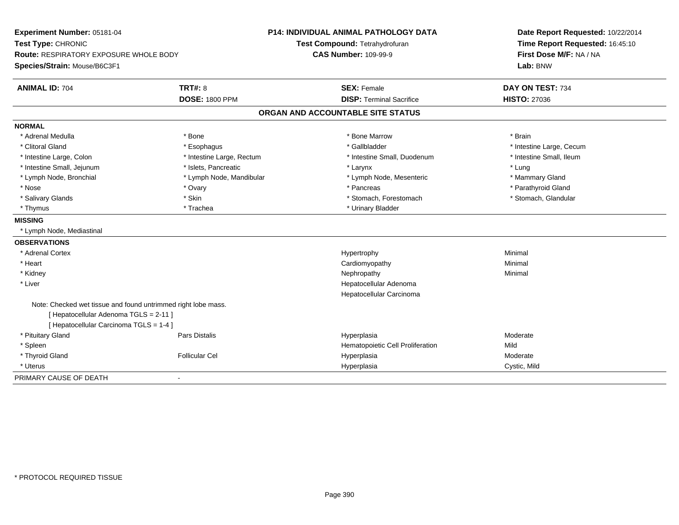| Experiment Number: 05181-04<br>Test Type: CHRONIC<br><b>Route: RESPIRATORY EXPOSURE WHOLE BODY</b> |                           | <b>P14: INDIVIDUAL ANIMAL PATHOLOGY DATA</b><br>Test Compound: Tetrahydrofuran | Date Report Requested: 10/22/2014<br>Time Report Requested: 16:45:10<br>First Dose M/F: NA / NA |  |
|----------------------------------------------------------------------------------------------------|---------------------------|--------------------------------------------------------------------------------|-------------------------------------------------------------------------------------------------|--|
|                                                                                                    |                           | <b>CAS Number: 109-99-9</b>                                                    |                                                                                                 |  |
| Species/Strain: Mouse/B6C3F1                                                                       |                           |                                                                                | Lab: BNW                                                                                        |  |
| <b>ANIMAL ID: 704</b>                                                                              | TRT#: 8                   | <b>SEX: Female</b>                                                             | DAY ON TEST: 734                                                                                |  |
|                                                                                                    | <b>DOSE: 1800 PPM</b>     | <b>DISP: Terminal Sacrifice</b>                                                | <b>HISTO: 27036</b>                                                                             |  |
|                                                                                                    |                           | ORGAN AND ACCOUNTABLE SITE STATUS                                              |                                                                                                 |  |
| <b>NORMAL</b>                                                                                      |                           |                                                                                |                                                                                                 |  |
| * Adrenal Medulla                                                                                  | * Bone                    | * Bone Marrow                                                                  | * Brain                                                                                         |  |
| * Clitoral Gland                                                                                   | * Esophagus               | * Gallbladder                                                                  | * Intestine Large, Cecum                                                                        |  |
| * Intestine Large, Colon                                                                           | * Intestine Large, Rectum | * Intestine Small, Duodenum                                                    | * Intestine Small, Ileum                                                                        |  |
| * Intestine Small, Jejunum                                                                         | * Islets. Pancreatic      | * Larynx                                                                       | * Lung                                                                                          |  |
| * Lymph Node, Bronchial                                                                            | * Lymph Node, Mandibular  | * Lymph Node, Mesenteric                                                       | * Mammary Gland                                                                                 |  |
| * Nose                                                                                             | * Ovary                   | * Pancreas                                                                     | * Parathyroid Gland                                                                             |  |
| * Salivary Glands                                                                                  | * Skin                    | * Stomach, Forestomach                                                         | * Stomach, Glandular                                                                            |  |
| * Thymus                                                                                           | * Trachea                 | * Urinary Bladder                                                              |                                                                                                 |  |
| <b>MISSING</b>                                                                                     |                           |                                                                                |                                                                                                 |  |
| * Lymph Node, Mediastinal                                                                          |                           |                                                                                |                                                                                                 |  |
| <b>OBSERVATIONS</b>                                                                                |                           |                                                                                |                                                                                                 |  |
| * Adrenal Cortex                                                                                   |                           | Hypertrophy                                                                    | Minimal                                                                                         |  |
| * Heart                                                                                            |                           | Cardiomyopathy                                                                 | Minimal                                                                                         |  |
| * Kidney                                                                                           |                           | Nephropathy                                                                    | Minimal                                                                                         |  |
| * Liver                                                                                            |                           | Hepatocellular Adenoma                                                         |                                                                                                 |  |
|                                                                                                    |                           | Hepatocellular Carcinoma                                                       |                                                                                                 |  |
| Note: Checked wet tissue and found untrimmed right lobe mass.                                      |                           |                                                                                |                                                                                                 |  |
| [ Hepatocellular Adenoma TGLS = 2-11 ]                                                             |                           |                                                                                |                                                                                                 |  |
| [ Hepatocellular Carcinoma TGLS = 1-4 ]                                                            |                           |                                                                                |                                                                                                 |  |
| * Pituitary Gland                                                                                  | <b>Pars Distalis</b>      | Hyperplasia                                                                    | Moderate                                                                                        |  |
| * Spleen                                                                                           |                           | Hematopoietic Cell Proliferation                                               | Mild                                                                                            |  |
| * Thyroid Gland                                                                                    | <b>Follicular Cel</b>     | Hyperplasia                                                                    | Moderate                                                                                        |  |
| * Uterus                                                                                           |                           | Hyperplasia                                                                    | Cystic, Mild                                                                                    |  |
| PRIMARY CAUSE OF DEATH                                                                             |                           |                                                                                |                                                                                                 |  |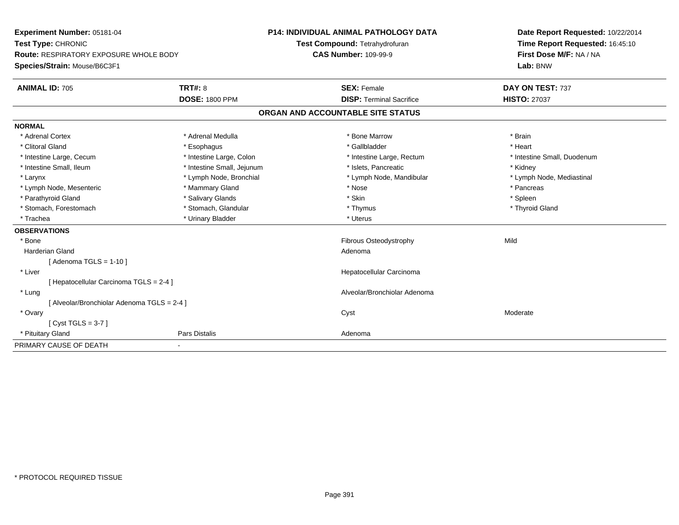| Experiment Number: 05181-04                   |                            | <b>P14: INDIVIDUAL ANIMAL PATHOLOGY DATA</b> |                                   | Date Report Requested: 10/22/2014 |
|-----------------------------------------------|----------------------------|----------------------------------------------|-----------------------------------|-----------------------------------|
| Test Type: CHRONIC                            |                            |                                              | Test Compound: Tetrahydrofuran    | Time Report Requested: 16:45:10   |
| <b>Route: RESPIRATORY EXPOSURE WHOLE BODY</b> |                            | <b>CAS Number: 109-99-9</b>                  |                                   | First Dose M/F: NA / NA           |
| Species/Strain: Mouse/B6C3F1                  |                            |                                              |                                   | Lab: BNW                          |
| <b>ANIMAL ID: 705</b>                         | <b>TRT#: 8</b>             |                                              | <b>SEX: Female</b>                | DAY ON TEST: 737                  |
|                                               | <b>DOSE: 1800 PPM</b>      |                                              | <b>DISP: Terminal Sacrifice</b>   | <b>HISTO: 27037</b>               |
|                                               |                            |                                              | ORGAN AND ACCOUNTABLE SITE STATUS |                                   |
| <b>NORMAL</b>                                 |                            |                                              |                                   |                                   |
| * Adrenal Cortex                              | * Adrenal Medulla          |                                              | * Bone Marrow                     | * Brain                           |
| * Clitoral Gland                              | * Esophagus                |                                              | * Gallbladder                     | * Heart                           |
| * Intestine Large, Cecum                      | * Intestine Large, Colon   |                                              | * Intestine Large, Rectum         | * Intestine Small, Duodenum       |
| * Intestine Small, Ileum                      | * Intestine Small, Jejunum |                                              | * Islets, Pancreatic              | * Kidney                          |
| * Larynx                                      | * Lymph Node, Bronchial    |                                              | * Lymph Node, Mandibular          | * Lymph Node, Mediastinal         |
| * Lymph Node, Mesenteric                      | * Mammary Gland            |                                              | * Nose                            | * Pancreas                        |
| * Parathyroid Gland                           | * Salivary Glands          |                                              | * Skin                            | * Spleen                          |
| * Stomach, Forestomach                        | * Stomach, Glandular       |                                              | * Thymus                          | * Thyroid Gland                   |
| * Trachea                                     | * Urinary Bladder          |                                              | * Uterus                          |                                   |
| <b>OBSERVATIONS</b>                           |                            |                                              |                                   |                                   |
| * Bone                                        |                            |                                              | Fibrous Osteodystrophy            | Mild                              |
| <b>Harderian Gland</b>                        |                            |                                              | Adenoma                           |                                   |
| [Adenoma TGLS = $1-10$ ]                      |                            |                                              |                                   |                                   |
| * Liver                                       |                            |                                              | Hepatocellular Carcinoma          |                                   |
| [ Hepatocellular Carcinoma TGLS = 2-4 ]       |                            |                                              |                                   |                                   |
| * Lung                                        |                            |                                              | Alveolar/Bronchiolar Adenoma      |                                   |
| [ Alveolar/Bronchiolar Adenoma TGLS = 2-4 ]   |                            |                                              |                                   |                                   |
| * Ovary                                       |                            |                                              | Cyst                              | Moderate                          |
| [Cyst TGLS = $3-7$ ]                          |                            |                                              |                                   |                                   |
| * Pituitary Gland                             | <b>Pars Distalis</b>       |                                              | Adenoma                           |                                   |
| PRIMARY CAUSE OF DEATH                        | $\overline{\phantom{a}}$   |                                              |                                   |                                   |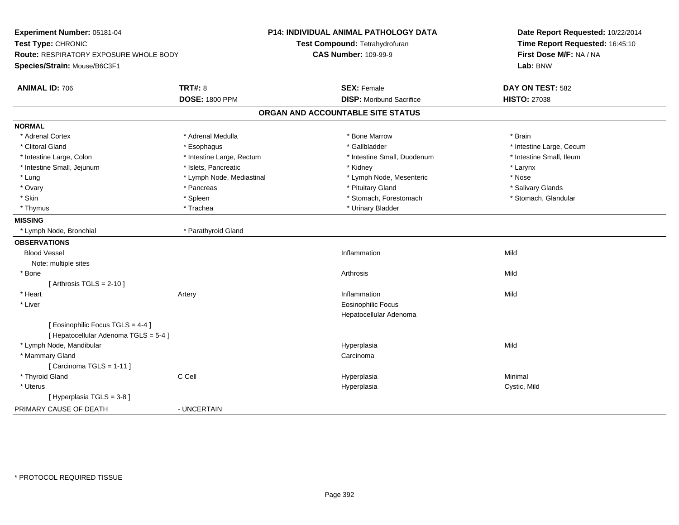| Experiment Number: 05181-04<br>Test Type: CHRONIC<br>Route: RESPIRATORY EXPOSURE WHOLE BODY<br>Species/Strain: Mouse/B6C3F1 |                                         | P14: INDIVIDUAL ANIMAL PATHOLOGY DATA<br>Test Compound: Tetrahydrofuran<br><b>CAS Number: 109-99-9</b> | Date Report Requested: 10/22/2014<br>Time Report Requested: 16:45:10<br>First Dose M/F: NA / NA<br>Lab: BNW |
|-----------------------------------------------------------------------------------------------------------------------------|-----------------------------------------|--------------------------------------------------------------------------------------------------------|-------------------------------------------------------------------------------------------------------------|
| <b>ANIMAL ID: 706</b>                                                                                                       | <b>TRT#: 8</b><br><b>DOSE: 1800 PPM</b> | <b>SEX: Female</b><br><b>DISP:</b> Moribund Sacrifice                                                  | DAY ON TEST: 582<br><b>HISTO: 27038</b>                                                                     |
|                                                                                                                             |                                         | ORGAN AND ACCOUNTABLE SITE STATUS                                                                      |                                                                                                             |
| <b>NORMAL</b>                                                                                                               |                                         |                                                                                                        |                                                                                                             |
| * Adrenal Cortex                                                                                                            | * Adrenal Medulla                       | * Bone Marrow                                                                                          | * Brain                                                                                                     |
| * Clitoral Gland                                                                                                            | * Esophagus                             | * Gallbladder                                                                                          | * Intestine Large, Cecum                                                                                    |
| * Intestine Large, Colon                                                                                                    | * Intestine Large, Rectum               | * Intestine Small, Duodenum                                                                            | * Intestine Small, Ileum                                                                                    |
| * Intestine Small, Jejunum                                                                                                  | * Islets, Pancreatic                    | * Kidney                                                                                               | * Larynx                                                                                                    |
| * Lung                                                                                                                      | * Lymph Node, Mediastinal               | * Lymph Node, Mesenteric                                                                               | * Nose                                                                                                      |
| * Ovary                                                                                                                     | * Pancreas                              | * Pituitary Gland                                                                                      | * Salivary Glands                                                                                           |
| * Skin                                                                                                                      | * Spleen                                | * Stomach, Forestomach                                                                                 | * Stomach, Glandular                                                                                        |
| * Thymus                                                                                                                    | * Trachea                               | * Urinary Bladder                                                                                      |                                                                                                             |
| <b>MISSING</b>                                                                                                              |                                         |                                                                                                        |                                                                                                             |
| * Lymph Node, Bronchial                                                                                                     | * Parathyroid Gland                     |                                                                                                        |                                                                                                             |
| <b>OBSERVATIONS</b>                                                                                                         |                                         |                                                                                                        |                                                                                                             |
| <b>Blood Vessel</b>                                                                                                         |                                         | Inflammation                                                                                           | Mild                                                                                                        |
| Note: multiple sites                                                                                                        |                                         |                                                                                                        |                                                                                                             |
| * Bone                                                                                                                      |                                         | Arthrosis                                                                                              | Mild                                                                                                        |
| [Arthrosis TGLS = $2-10$ ]                                                                                                  |                                         |                                                                                                        |                                                                                                             |
| * Heart                                                                                                                     | Artery                                  | Inflammation                                                                                           | Mild                                                                                                        |
| * Liver                                                                                                                     |                                         | <b>Eosinophilic Focus</b>                                                                              |                                                                                                             |
|                                                                                                                             |                                         | Hepatocellular Adenoma                                                                                 |                                                                                                             |
| [ Eosinophilic Focus TGLS = 4-4 ]<br>[ Hepatocellular Adenoma TGLS = 5-4 ]                                                  |                                         |                                                                                                        |                                                                                                             |
| * Lymph Node, Mandibular                                                                                                    |                                         | Hyperplasia                                                                                            | Mild                                                                                                        |
| * Mammary Gland                                                                                                             |                                         | Carcinoma                                                                                              |                                                                                                             |
| [Carcinoma TGLS = $1-11$ ]                                                                                                  |                                         |                                                                                                        |                                                                                                             |
| * Thyroid Gland                                                                                                             | C Cell                                  | Hyperplasia                                                                                            | Minimal                                                                                                     |
| * Uterus                                                                                                                    |                                         | Hyperplasia                                                                                            | Cystic, Mild                                                                                                |
| [ Hyperplasia TGLS = 3-8 ]                                                                                                  |                                         |                                                                                                        |                                                                                                             |
| PRIMARY CAUSE OF DEATH                                                                                                      | - UNCERTAIN                             |                                                                                                        |                                                                                                             |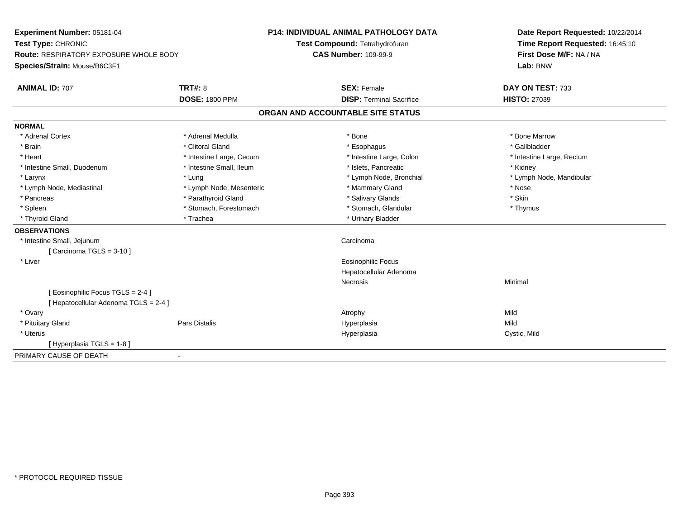| Experiment Number: 05181-04<br>Test Type: CHRONIC |                          | <b>P14: INDIVIDUAL ANIMAL PATHOLOGY DATA</b> | Date Report Requested: 10/22/2014 |
|---------------------------------------------------|--------------------------|----------------------------------------------|-----------------------------------|
|                                                   |                          | Test Compound: Tetrahydrofuran               | Time Report Requested: 16:45:10   |
| <b>Route: RESPIRATORY EXPOSURE WHOLE BODY</b>     |                          | <b>CAS Number: 109-99-9</b>                  | First Dose M/F: NA / NA           |
| Species/Strain: Mouse/B6C3F1                      |                          |                                              | Lab: BNW                          |
| <b>ANIMAL ID: 707</b>                             | <b>TRT#: 8</b>           | <b>SEX: Female</b>                           | DAY ON TEST: 733                  |
|                                                   | <b>DOSE: 1800 PPM</b>    | <b>DISP: Terminal Sacrifice</b>              | <b>HISTO: 27039</b>               |
|                                                   |                          | ORGAN AND ACCOUNTABLE SITE STATUS            |                                   |
| <b>NORMAL</b>                                     |                          |                                              |                                   |
| * Adrenal Cortex                                  | * Adrenal Medulla        | * Bone                                       | * Bone Marrow                     |
| * Brain                                           | * Clitoral Gland         | * Esophagus                                  | * Gallbladder                     |
| * Heart                                           | * Intestine Large, Cecum | * Intestine Large, Colon                     | * Intestine Large, Rectum         |
| * Intestine Small, Duodenum                       | * Intestine Small, Ileum | * Islets, Pancreatic                         | * Kidney                          |
| * Larynx                                          | * Lung                   | * Lymph Node, Bronchial                      | * Lymph Node, Mandibular          |
| * Lymph Node, Mediastinal                         | * Lymph Node, Mesenteric | * Mammary Gland                              | * Nose                            |
| * Pancreas                                        | * Parathyroid Gland      | * Salivary Glands                            | * Skin                            |
| * Spleen                                          | * Stomach, Forestomach   | * Stomach, Glandular                         | * Thymus                          |
| * Thyroid Gland                                   | * Trachea                | * Urinary Bladder                            |                                   |
| <b>OBSERVATIONS</b>                               |                          |                                              |                                   |
| * Intestine Small, Jejunum                        |                          | Carcinoma                                    |                                   |
| [Carcinoma TGLS = $3-10$ ]                        |                          |                                              |                                   |
| * Liver                                           |                          | <b>Eosinophilic Focus</b>                    |                                   |
|                                                   |                          | Hepatocellular Adenoma                       |                                   |
|                                                   |                          | <b>Necrosis</b>                              | Minimal                           |
| [Eosinophilic Focus TGLS = 2-4]                   |                          |                                              |                                   |
| [ Hepatocellular Adenoma TGLS = 2-4 ]             |                          |                                              |                                   |
| * Ovary                                           |                          | Atrophy                                      | Mild                              |
| * Pituitary Gland                                 | Pars Distalis            | Hyperplasia                                  | Mild                              |
| * Uterus                                          |                          | Hyperplasia                                  | Cystic, Mild                      |
| [Hyperplasia TGLS = 1-8]                          |                          |                                              |                                   |
| PRIMARY CAUSE OF DEATH                            | $\blacksquare$           |                                              |                                   |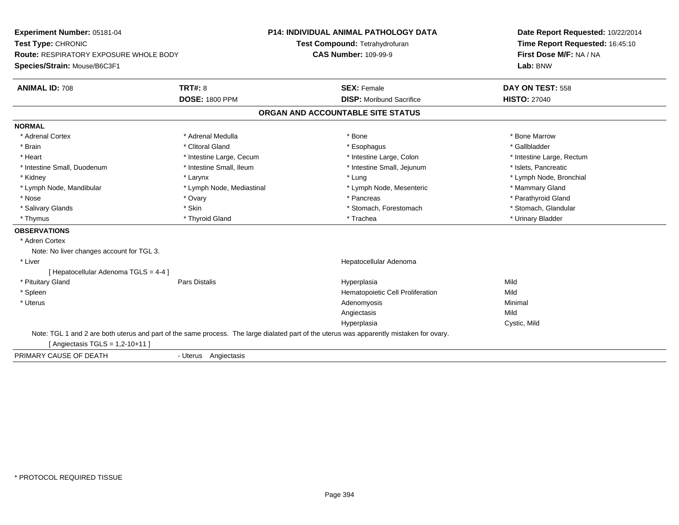| Experiment Number: 05181-04<br>Test Type: CHRONIC<br><b>Route: RESPIRATORY EXPOSURE WHOLE BODY</b> |                           | <b>P14: INDIVIDUAL ANIMAL PATHOLOGY DATA</b>                                                                                             | Date Report Requested: 10/22/2014<br>Time Report Requested: 16:45:10<br>First Dose M/F: NA / NA |  |
|----------------------------------------------------------------------------------------------------|---------------------------|------------------------------------------------------------------------------------------------------------------------------------------|-------------------------------------------------------------------------------------------------|--|
|                                                                                                    |                           | Test Compound: Tetrahydrofuran                                                                                                           |                                                                                                 |  |
|                                                                                                    |                           | <b>CAS Number: 109-99-9</b>                                                                                                              |                                                                                                 |  |
| Species/Strain: Mouse/B6C3F1                                                                       |                           |                                                                                                                                          | Lab: BNW                                                                                        |  |
| <b>ANIMAL ID: 708</b>                                                                              | <b>TRT#: 8</b>            | <b>SEX: Female</b>                                                                                                                       | DAY ON TEST: 558                                                                                |  |
|                                                                                                    | <b>DOSE: 1800 PPM</b>     | <b>DISP:</b> Moribund Sacrifice                                                                                                          | <b>HISTO: 27040</b>                                                                             |  |
|                                                                                                    |                           | ORGAN AND ACCOUNTABLE SITE STATUS                                                                                                        |                                                                                                 |  |
| <b>NORMAL</b>                                                                                      |                           |                                                                                                                                          |                                                                                                 |  |
| * Adrenal Cortex                                                                                   | * Adrenal Medulla         | * Bone                                                                                                                                   | * Bone Marrow                                                                                   |  |
| * Brain                                                                                            | * Clitoral Gland          | * Esophagus                                                                                                                              | * Gallbladder                                                                                   |  |
| * Heart                                                                                            | * Intestine Large, Cecum  | * Intestine Large, Colon                                                                                                                 | * Intestine Large, Rectum                                                                       |  |
| * Intestine Small, Duodenum                                                                        | * Intestine Small, Ileum  | * Intestine Small, Jejunum                                                                                                               | * Islets, Pancreatic                                                                            |  |
| * Kidney                                                                                           | * Larynx                  | * Lung                                                                                                                                   | * Lymph Node, Bronchial                                                                         |  |
| * Lymph Node, Mandibular                                                                           | * Lymph Node, Mediastinal | * Lymph Node, Mesenteric                                                                                                                 | * Mammary Gland                                                                                 |  |
| * Nose                                                                                             | * Ovary                   | * Pancreas                                                                                                                               | * Parathyroid Gland                                                                             |  |
| * Salivary Glands                                                                                  | * Skin                    | * Stomach, Forestomach                                                                                                                   | * Stomach, Glandular                                                                            |  |
| * Thymus                                                                                           | * Thyroid Gland           | * Trachea                                                                                                                                | * Urinary Bladder                                                                               |  |
| <b>OBSERVATIONS</b>                                                                                |                           |                                                                                                                                          |                                                                                                 |  |
| * Adren Cortex                                                                                     |                           |                                                                                                                                          |                                                                                                 |  |
| Note: No liver changes account for TGL 3.                                                          |                           |                                                                                                                                          |                                                                                                 |  |
| * Liver                                                                                            |                           | Hepatocellular Adenoma                                                                                                                   |                                                                                                 |  |
| [ Hepatocellular Adenoma TGLS = 4-4 ]                                                              |                           |                                                                                                                                          |                                                                                                 |  |
| * Pituitary Gland                                                                                  | Pars Distalis             | Hyperplasia                                                                                                                              | Mild                                                                                            |  |
| * Spleen                                                                                           |                           | Hematopoietic Cell Proliferation                                                                                                         | Mild                                                                                            |  |
| * Uterus                                                                                           |                           | Adenomyosis                                                                                                                              | Minimal                                                                                         |  |
|                                                                                                    |                           | Angiectasis                                                                                                                              | Mild                                                                                            |  |
|                                                                                                    |                           | Hyperplasia                                                                                                                              | Cystic, Mild                                                                                    |  |
| [ Angiectasis TGLS = $1,2-10+11$ ]                                                                 |                           | Note: TGL 1 and 2 are both uterus and part of the same process. The large dialated part of the uterus was apparently mistaken for ovary. |                                                                                                 |  |
| PRIMARY CAUSE OF DEATH                                                                             | - Uterus Angiectasis      |                                                                                                                                          |                                                                                                 |  |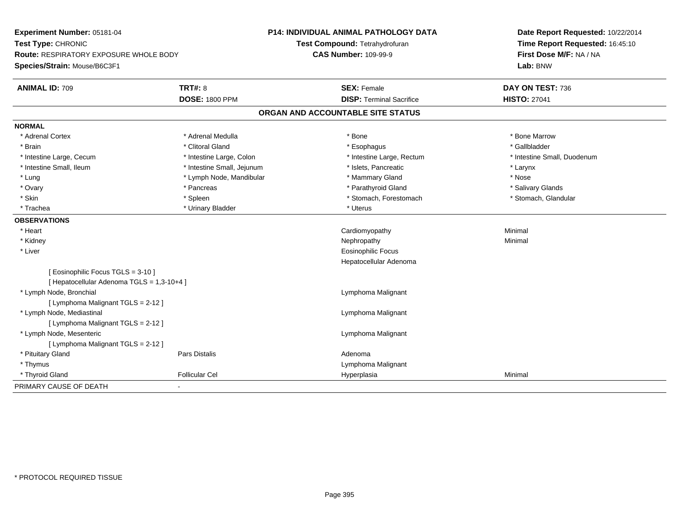| Experiment Number: 05181-04<br>Test Type: CHRONIC |                            | P14: INDIVIDUAL ANIMAL PATHOLOGY DATA | Date Report Requested: 10/22/2014<br>Time Report Requested: 16:45:10 |
|---------------------------------------------------|----------------------------|---------------------------------------|----------------------------------------------------------------------|
|                                                   |                            | Test Compound: Tetrahydrofuran        |                                                                      |
| <b>Route: RESPIRATORY EXPOSURE WHOLE BODY</b>     |                            | <b>CAS Number: 109-99-9</b>           | First Dose M/F: NA / NA                                              |
| Species/Strain: Mouse/B6C3F1                      |                            |                                       | Lab: BNW                                                             |
| <b>ANIMAL ID: 709</b>                             | <b>TRT#: 8</b>             | <b>SEX: Female</b>                    | DAY ON TEST: 736                                                     |
|                                                   | <b>DOSE: 1800 PPM</b>      | <b>DISP: Terminal Sacrifice</b>       | <b>HISTO: 27041</b>                                                  |
|                                                   |                            | ORGAN AND ACCOUNTABLE SITE STATUS     |                                                                      |
| <b>NORMAL</b>                                     |                            |                                       |                                                                      |
| * Adrenal Cortex                                  | * Adrenal Medulla          | * Bone                                | * Bone Marrow                                                        |
| * Brain                                           | * Clitoral Gland           | * Esophagus                           | * Gallbladder                                                        |
| * Intestine Large, Cecum                          | * Intestine Large, Colon   | * Intestine Large, Rectum             | * Intestine Small, Duodenum                                          |
| * Intestine Small, Ileum                          | * Intestine Small, Jejunum | * Islets, Pancreatic                  | * Larynx                                                             |
| * Lung                                            | * Lymph Node, Mandibular   | * Mammary Gland                       | * Nose                                                               |
| * Ovary                                           | * Pancreas                 | * Parathyroid Gland                   | * Salivary Glands                                                    |
| * Skin                                            | * Spleen                   | * Stomach, Forestomach                | * Stomach, Glandular                                                 |
| * Trachea                                         | * Urinary Bladder          | * Uterus                              |                                                                      |
| <b>OBSERVATIONS</b>                               |                            |                                       |                                                                      |
| * Heart                                           |                            | Cardiomyopathy                        | Minimal                                                              |
| * Kidney                                          |                            | Nephropathy                           | Minimal                                                              |
| * Liver                                           |                            | <b>Eosinophilic Focus</b>             |                                                                      |
|                                                   |                            | Hepatocellular Adenoma                |                                                                      |
| [ Eosinophilic Focus TGLS = 3-10 ]                |                            |                                       |                                                                      |
| [ Hepatocellular Adenoma TGLS = 1,3-10+4 ]        |                            |                                       |                                                                      |
| * Lymph Node, Bronchial                           |                            | Lymphoma Malignant                    |                                                                      |
| [ Lymphoma Malignant TGLS = 2-12 ]                |                            |                                       |                                                                      |
| * Lymph Node, Mediastinal                         |                            | Lymphoma Malignant                    |                                                                      |
| [ Lymphoma Malignant TGLS = 2-12 ]                |                            |                                       |                                                                      |
| * Lymph Node, Mesenteric                          |                            | Lymphoma Malignant                    |                                                                      |
| [ Lymphoma Malignant TGLS = 2-12 ]                |                            |                                       |                                                                      |
| * Pituitary Gland                                 | Pars Distalis              | Adenoma                               |                                                                      |
| * Thymus                                          |                            | Lymphoma Malignant                    |                                                                      |
| * Thyroid Gland                                   | <b>Follicular Cel</b>      | Hyperplasia                           | Minimal                                                              |
| PRIMARY CAUSE OF DEATH                            | $\sim$                     |                                       |                                                                      |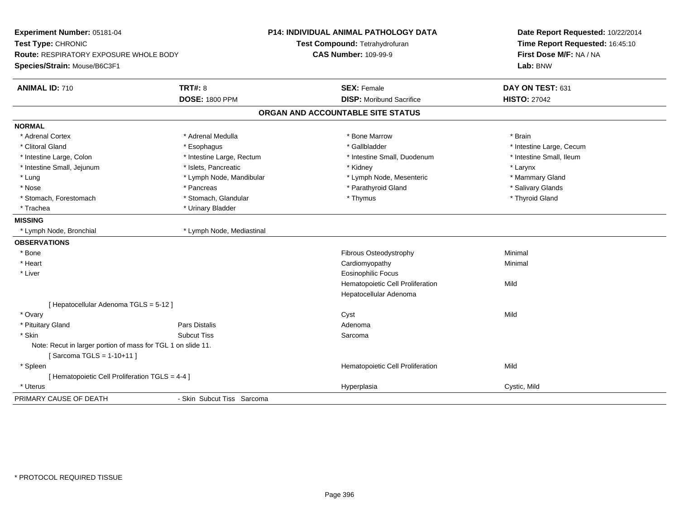| Experiment Number: 05181-04<br>Test Type: CHRONIC<br>Route: RESPIRATORY EXPOSURE WHOLE BODY |                            | P14: INDIVIDUAL ANIMAL PATHOLOGY DATA<br>Test Compound: Tetrahydrofuran<br><b>CAS Number: 109-99-9</b> | Date Report Requested: 10/22/2014<br>Time Report Requested: 16:45:10<br>First Dose M/F: NA / NA |
|---------------------------------------------------------------------------------------------|----------------------------|--------------------------------------------------------------------------------------------------------|-------------------------------------------------------------------------------------------------|
| Species/Strain: Mouse/B6C3F1                                                                |                            |                                                                                                        | Lab: BNW                                                                                        |
| <b>ANIMAL ID: 710</b>                                                                       | <b>TRT#: 8</b>             | <b>SEX: Female</b>                                                                                     | DAY ON TEST: 631                                                                                |
|                                                                                             | <b>DOSE: 1800 PPM</b>      | <b>DISP:</b> Moribund Sacrifice                                                                        | <b>HISTO: 27042</b>                                                                             |
|                                                                                             |                            | ORGAN AND ACCOUNTABLE SITE STATUS                                                                      |                                                                                                 |
| <b>NORMAL</b>                                                                               |                            |                                                                                                        |                                                                                                 |
| * Adrenal Cortex                                                                            | * Adrenal Medulla          | * Bone Marrow                                                                                          | * Brain                                                                                         |
| * Clitoral Gland                                                                            | * Esophagus                | * Gallbladder                                                                                          | * Intestine Large, Cecum                                                                        |
| * Intestine Large, Colon                                                                    | * Intestine Large, Rectum  | * Intestine Small, Duodenum                                                                            | * Intestine Small, Ileum                                                                        |
| * Intestine Small, Jejunum                                                                  | * Islets, Pancreatic       | * Kidney                                                                                               | * Larynx                                                                                        |
| * Lung                                                                                      | * Lymph Node, Mandibular   | * Lymph Node, Mesenteric                                                                               | * Mammary Gland                                                                                 |
| * Nose                                                                                      | * Pancreas                 | * Parathyroid Gland                                                                                    | * Salivary Glands                                                                               |
| * Stomach, Forestomach                                                                      | * Stomach, Glandular       | * Thymus                                                                                               | * Thyroid Gland                                                                                 |
| * Trachea                                                                                   | * Urinary Bladder          |                                                                                                        |                                                                                                 |
| <b>MISSING</b>                                                                              |                            |                                                                                                        |                                                                                                 |
| * Lymph Node, Bronchial                                                                     | * Lymph Node, Mediastinal  |                                                                                                        |                                                                                                 |
| <b>OBSERVATIONS</b>                                                                         |                            |                                                                                                        |                                                                                                 |
| * Bone                                                                                      |                            | Fibrous Osteodystrophy                                                                                 | Minimal                                                                                         |
| * Heart                                                                                     |                            | Cardiomyopathy                                                                                         | Minimal                                                                                         |
| * Liver                                                                                     |                            | <b>Eosinophilic Focus</b>                                                                              |                                                                                                 |
|                                                                                             |                            | Hematopoietic Cell Proliferation                                                                       | Mild                                                                                            |
|                                                                                             |                            | Hepatocellular Adenoma                                                                                 |                                                                                                 |
| [ Hepatocellular Adenoma TGLS = 5-12 ]                                                      |                            |                                                                                                        |                                                                                                 |
| * Ovary                                                                                     |                            | Cyst                                                                                                   | Mild                                                                                            |
| * Pituitary Gland                                                                           | Pars Distalis              | Adenoma                                                                                                |                                                                                                 |
| * Skin                                                                                      | <b>Subcut Tiss</b>         | Sarcoma                                                                                                |                                                                                                 |
| Note: Recut in larger portion of mass for TGL 1 on slide 11.                                |                            |                                                                                                        |                                                                                                 |
| [Sarcoma TGLS = 1-10+11]                                                                    |                            |                                                                                                        |                                                                                                 |
| * Spleen                                                                                    |                            | Hematopoietic Cell Proliferation                                                                       | Mild                                                                                            |
| [ Hematopoietic Cell Proliferation TGLS = 4-4 ]                                             |                            |                                                                                                        |                                                                                                 |
| * Uterus                                                                                    |                            | Hyperplasia                                                                                            | Cystic, Mild                                                                                    |
| PRIMARY CAUSE OF DEATH                                                                      | - Skin Subcut Tiss Sarcoma |                                                                                                        |                                                                                                 |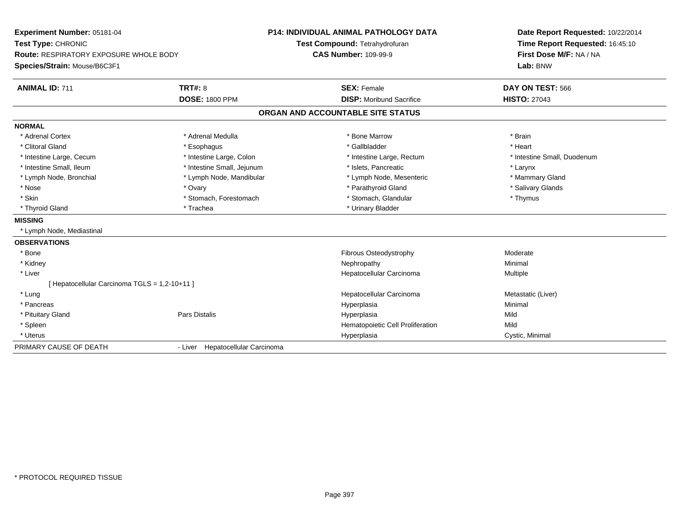| Experiment Number: 05181-04                   |                                  | <b>P14: INDIVIDUAL ANIMAL PATHOLOGY DATA</b> | Date Report Requested: 10/22/2014<br>Time Report Requested: 16:45:10 |
|-----------------------------------------------|----------------------------------|----------------------------------------------|----------------------------------------------------------------------|
| Test Type: CHRONIC                            |                                  | Test Compound: Tetrahydrofuran               |                                                                      |
| <b>Route: RESPIRATORY EXPOSURE WHOLE BODY</b> |                                  | <b>CAS Number: 109-99-9</b>                  | First Dose M/F: NA / NA                                              |
| Species/Strain: Mouse/B6C3F1                  |                                  |                                              | Lab: BNW                                                             |
| <b>ANIMAL ID: 711</b>                         | <b>TRT#: 8</b>                   | <b>SEX: Female</b>                           | DAY ON TEST: 566                                                     |
|                                               | <b>DOSE: 1800 PPM</b>            | <b>DISP:</b> Moribund Sacrifice              | <b>HISTO: 27043</b>                                                  |
|                                               |                                  | ORGAN AND ACCOUNTABLE SITE STATUS            |                                                                      |
| <b>NORMAL</b>                                 |                                  |                                              |                                                                      |
| * Adrenal Cortex                              | * Adrenal Medulla                | * Bone Marrow                                | * Brain                                                              |
| * Clitoral Gland                              | * Esophagus                      | * Gallbladder                                | * Heart                                                              |
| * Intestine Large, Cecum                      | * Intestine Large, Colon         | * Intestine Large, Rectum                    | * Intestine Small, Duodenum                                          |
| * Intestine Small, Ileum                      | * Intestine Small, Jejunum       | * Islets, Pancreatic                         | * Larynx                                                             |
| * Lymph Node, Bronchial                       | * Lymph Node, Mandibular         | * Lymph Node, Mesenteric                     | * Mammary Gland                                                      |
| * Nose                                        | * Ovary                          | * Parathyroid Gland                          | * Salivary Glands                                                    |
| * Skin                                        | * Stomach, Forestomach           | * Stomach, Glandular                         | * Thymus                                                             |
| * Thyroid Gland                               | * Trachea                        | * Urinary Bladder                            |                                                                      |
| <b>MISSING</b>                                |                                  |                                              |                                                                      |
| * Lymph Node, Mediastinal                     |                                  |                                              |                                                                      |
| <b>OBSERVATIONS</b>                           |                                  |                                              |                                                                      |
| * Bone                                        |                                  | Fibrous Osteodystrophy                       | Moderate                                                             |
| * Kidney                                      |                                  | Nephropathy                                  | Minimal                                                              |
| * Liver                                       |                                  | Hepatocellular Carcinoma                     | Multiple                                                             |
| [ Hepatocellular Carcinoma TGLS = 1,2-10+11 ] |                                  |                                              |                                                                      |
| * Lung                                        |                                  | Hepatocellular Carcinoma                     | Metastatic (Liver)                                                   |
| * Pancreas                                    |                                  | Hyperplasia                                  | Minimal                                                              |
| * Pituitary Gland                             | <b>Pars Distalis</b>             | Hyperplasia                                  | Mild                                                                 |
| * Spleen                                      |                                  | Hematopoietic Cell Proliferation             | Mild                                                                 |
| * Uterus                                      |                                  | Hyperplasia                                  | Cystic, Minimal                                                      |
| PRIMARY CAUSE OF DEATH                        | - Liver Hepatocellular Carcinoma |                                              |                                                                      |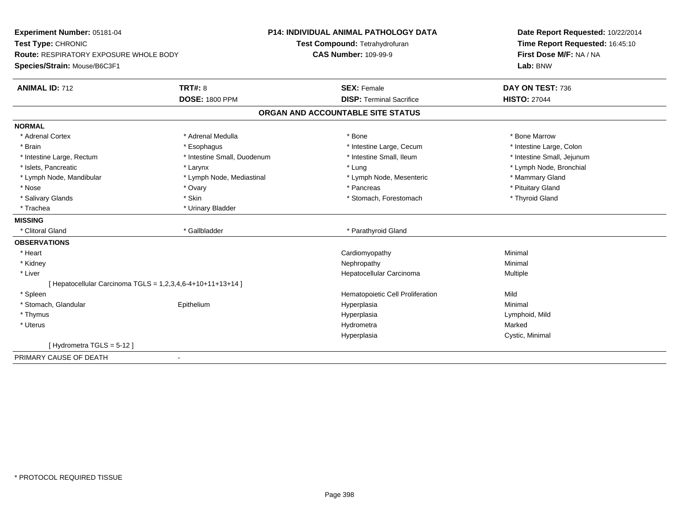| Experiment Number: 05181-04<br>Test Type: CHRONIC<br>Route: RESPIRATORY EXPOSURE WHOLE BODY<br>Species/Strain: Mouse/B6C3F1 |                             | <b>P14: INDIVIDUAL ANIMAL PATHOLOGY DATA</b><br>Test Compound: Tetrahydrofuran | Date Report Requested: 10/22/2014<br>Time Report Requested: 16:45:10 |
|-----------------------------------------------------------------------------------------------------------------------------|-----------------------------|--------------------------------------------------------------------------------|----------------------------------------------------------------------|
|                                                                                                                             |                             | <b>CAS Number: 109-99-9</b>                                                    | First Dose M/F: NA / NA<br>Lab: BNW                                  |
| <b>ANIMAL ID: 712</b>                                                                                                       | <b>TRT#: 8</b>              | <b>SEX: Female</b>                                                             | DAY ON TEST: 736                                                     |
|                                                                                                                             | <b>DOSE: 1800 PPM</b>       | <b>DISP: Terminal Sacrifice</b>                                                | <b>HISTO: 27044</b>                                                  |
|                                                                                                                             |                             | ORGAN AND ACCOUNTABLE SITE STATUS                                              |                                                                      |
| <b>NORMAL</b>                                                                                                               |                             |                                                                                |                                                                      |
| * Adrenal Cortex                                                                                                            | * Adrenal Medulla           | * Bone                                                                         | * Bone Marrow                                                        |
| * Brain                                                                                                                     | * Esophagus                 | * Intestine Large, Cecum                                                       | * Intestine Large, Colon                                             |
| * Intestine Large, Rectum                                                                                                   | * Intestine Small, Duodenum | * Intestine Small, Ileum                                                       | * Intestine Small, Jejunum                                           |
| * Islets, Pancreatic                                                                                                        | * Larynx                    | * Lung                                                                         | * Lymph Node, Bronchial                                              |
| * Lymph Node, Mandibular                                                                                                    | * Lymph Node, Mediastinal   | * Lymph Node, Mesenteric                                                       | * Mammary Gland                                                      |
| * Nose                                                                                                                      | * Ovary                     | * Pancreas                                                                     | * Pituitary Gland                                                    |
| * Salivary Glands                                                                                                           | * Skin                      | * Stomach, Forestomach                                                         | * Thyroid Gland                                                      |
| * Trachea                                                                                                                   | * Urinary Bladder           |                                                                                |                                                                      |
| <b>MISSING</b>                                                                                                              |                             |                                                                                |                                                                      |
| * Clitoral Gland                                                                                                            | * Gallbladder               | * Parathyroid Gland                                                            |                                                                      |
| <b>OBSERVATIONS</b>                                                                                                         |                             |                                                                                |                                                                      |
| * Heart                                                                                                                     |                             | Cardiomyopathy                                                                 | Minimal                                                              |
| * Kidney                                                                                                                    |                             | Nephropathy                                                                    | Minimal                                                              |
| * Liver                                                                                                                     |                             | Hepatocellular Carcinoma                                                       | Multiple                                                             |
| [ Hepatocellular Carcinoma TGLS = 1,2,3,4,6-4+10+11+13+14 ]                                                                 |                             |                                                                                |                                                                      |
| * Spleen                                                                                                                    |                             | Hematopoietic Cell Proliferation                                               | Mild                                                                 |
| * Stomach, Glandular                                                                                                        | Epithelium                  | Hyperplasia                                                                    | Minimal                                                              |
| * Thymus                                                                                                                    |                             | Hyperplasia                                                                    | Lymphoid, Mild                                                       |
| * Uterus                                                                                                                    |                             | Hydrometra                                                                     | Marked                                                               |
|                                                                                                                             |                             | Hyperplasia                                                                    | Cystic, Minimal                                                      |
| [Hydrometra TGLS = 5-12]                                                                                                    |                             |                                                                                |                                                                      |
| PRIMARY CAUSE OF DEATH                                                                                                      | $\sim$                      |                                                                                |                                                                      |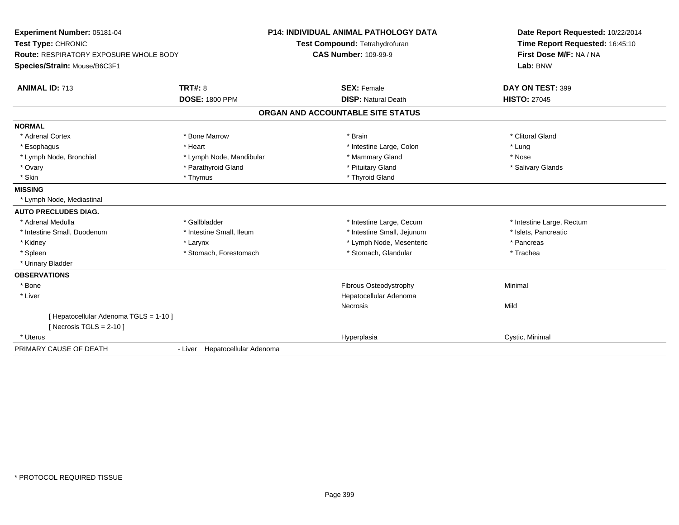| Experiment Number: 05181-04                   |                                | <b>P14: INDIVIDUAL ANIMAL PATHOLOGY DATA</b> | Date Report Requested: 10/22/2014 |
|-----------------------------------------------|--------------------------------|----------------------------------------------|-----------------------------------|
| Test Type: CHRONIC                            |                                | Test Compound: Tetrahydrofuran               | Time Report Requested: 16:45:10   |
| <b>Route: RESPIRATORY EXPOSURE WHOLE BODY</b> |                                | <b>CAS Number: 109-99-9</b>                  | First Dose M/F: NA / NA           |
| Species/Strain: Mouse/B6C3F1                  |                                |                                              | Lab: BNW                          |
| <b>ANIMAL ID: 713</b>                         | <b>TRT#: 8</b>                 | <b>SEX: Female</b>                           | DAY ON TEST: 399                  |
|                                               | <b>DOSE: 1800 PPM</b>          | <b>DISP: Natural Death</b>                   | <b>HISTO: 27045</b>               |
|                                               |                                | ORGAN AND ACCOUNTABLE SITE STATUS            |                                   |
| <b>NORMAL</b>                                 |                                |                                              |                                   |
| * Adrenal Cortex                              | * Bone Marrow                  | * Brain                                      | * Clitoral Gland                  |
| * Esophagus                                   | * Heart                        | * Intestine Large, Colon                     | * Lung                            |
| * Lymph Node, Bronchial                       | * Lymph Node, Mandibular       | * Mammary Gland                              | * Nose                            |
| * Ovary                                       | * Parathyroid Gland            | * Pituitary Gland                            | * Salivary Glands                 |
| * Skin                                        | * Thymus                       | * Thyroid Gland                              |                                   |
| <b>MISSING</b>                                |                                |                                              |                                   |
| * Lymph Node, Mediastinal                     |                                |                                              |                                   |
| <b>AUTO PRECLUDES DIAG.</b>                   |                                |                                              |                                   |
| * Adrenal Medulla                             | * Gallbladder                  | * Intestine Large, Cecum                     | * Intestine Large, Rectum         |
| * Intestine Small, Duodenum                   | * Intestine Small, Ileum       | * Intestine Small, Jejunum                   | * Islets, Pancreatic              |
| * Kidney                                      | * Larynx                       | * Lymph Node, Mesenteric                     | * Pancreas                        |
| * Spleen                                      | * Stomach, Forestomach         | * Stomach, Glandular                         | * Trachea                         |
| * Urinary Bladder                             |                                |                                              |                                   |
| <b>OBSERVATIONS</b>                           |                                |                                              |                                   |
| * Bone                                        |                                | Fibrous Osteodystrophy                       | Minimal                           |
| * Liver                                       |                                | Hepatocellular Adenoma                       |                                   |
|                                               |                                | Necrosis                                     | Mild                              |
| [ Hepatocellular Adenoma TGLS = 1-10 ]        |                                |                                              |                                   |
| [ Necrosis TGLS = $2-10$ ]                    |                                |                                              |                                   |
| * Uterus                                      |                                | Hyperplasia                                  | Cystic, Minimal                   |
| PRIMARY CAUSE OF DEATH                        | - Liver Hepatocellular Adenoma |                                              |                                   |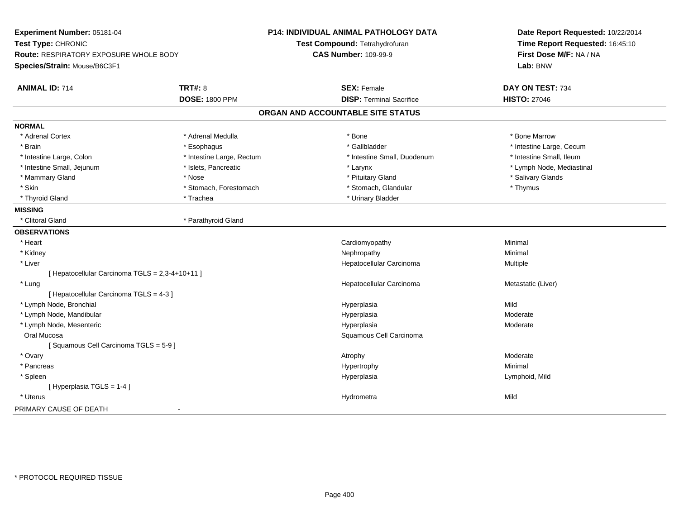| Experiment Number: 05181-04<br>Test Type: CHRONIC<br><b>Route: RESPIRATORY EXPOSURE WHOLE BODY</b><br>Species/Strain: Mouse/B6C3F1 |                           | <b>P14: INDIVIDUAL ANIMAL PATHOLOGY DATA</b><br>Test Compound: Tetrahydrofuran<br><b>CAS Number: 109-99-9</b> | Date Report Requested: 10/22/2014<br>Time Report Requested: 16:45:10<br>First Dose M/F: NA / NA<br>Lab: BNW |
|------------------------------------------------------------------------------------------------------------------------------------|---------------------------|---------------------------------------------------------------------------------------------------------------|-------------------------------------------------------------------------------------------------------------|
| <b>ANIMAL ID: 714</b>                                                                                                              | <b>TRT#: 8</b>            | <b>SEX: Female</b>                                                                                            | DAY ON TEST: 734                                                                                            |
|                                                                                                                                    | <b>DOSE: 1800 PPM</b>     | <b>DISP: Terminal Sacrifice</b>                                                                               | <b>HISTO: 27046</b>                                                                                         |
|                                                                                                                                    |                           | ORGAN AND ACCOUNTABLE SITE STATUS                                                                             |                                                                                                             |
| <b>NORMAL</b>                                                                                                                      |                           |                                                                                                               |                                                                                                             |
| * Adrenal Cortex                                                                                                                   | * Adrenal Medulla         | * Bone                                                                                                        | * Bone Marrow                                                                                               |
| * Brain                                                                                                                            | * Esophagus               | * Gallbladder                                                                                                 | * Intestine Large, Cecum                                                                                    |
| * Intestine Large, Colon                                                                                                           | * Intestine Large, Rectum | * Intestine Small, Duodenum                                                                                   | * Intestine Small, Ileum                                                                                    |
| * Intestine Small, Jejunum                                                                                                         | * Islets, Pancreatic      | * Larynx                                                                                                      | * Lymph Node, Mediastinal                                                                                   |
| * Mammary Gland                                                                                                                    | * Nose                    | * Pituitary Gland                                                                                             | * Salivary Glands                                                                                           |
| * Skin                                                                                                                             | * Stomach, Forestomach    | * Stomach, Glandular                                                                                          | * Thymus                                                                                                    |
| * Thyroid Gland                                                                                                                    | * Trachea                 | * Urinary Bladder                                                                                             |                                                                                                             |
| <b>MISSING</b>                                                                                                                     |                           |                                                                                                               |                                                                                                             |
| * Clitoral Gland                                                                                                                   | * Parathyroid Gland       |                                                                                                               |                                                                                                             |
| <b>OBSERVATIONS</b>                                                                                                                |                           |                                                                                                               |                                                                                                             |
| * Heart                                                                                                                            |                           | Cardiomyopathy                                                                                                | Minimal                                                                                                     |
| * Kidney                                                                                                                           |                           | Nephropathy                                                                                                   | Minimal                                                                                                     |
| * Liver                                                                                                                            |                           | Hepatocellular Carcinoma                                                                                      | Multiple                                                                                                    |
| [ Hepatocellular Carcinoma TGLS = 2,3-4+10+11 ]                                                                                    |                           |                                                                                                               |                                                                                                             |
| * Lung                                                                                                                             |                           | Hepatocellular Carcinoma                                                                                      | Metastatic (Liver)                                                                                          |
| [ Hepatocellular Carcinoma TGLS = 4-3 ]                                                                                            |                           |                                                                                                               |                                                                                                             |
| * Lymph Node, Bronchial                                                                                                            |                           | Hyperplasia                                                                                                   | Mild                                                                                                        |
| * Lymph Node, Mandibular                                                                                                           |                           | Hyperplasia                                                                                                   | Moderate                                                                                                    |
| * Lymph Node, Mesenteric                                                                                                           |                           | Hyperplasia                                                                                                   | Moderate                                                                                                    |
| Oral Mucosa                                                                                                                        |                           | Squamous Cell Carcinoma                                                                                       |                                                                                                             |
| [Squamous Cell Carcinoma TGLS = 5-9]                                                                                               |                           |                                                                                                               |                                                                                                             |
| * Ovary                                                                                                                            |                           | Atrophy                                                                                                       | Moderate                                                                                                    |
| * Pancreas                                                                                                                         |                           | Hypertrophy                                                                                                   | Minimal                                                                                                     |
| * Spleen                                                                                                                           |                           | Hyperplasia                                                                                                   | Lymphoid, Mild                                                                                              |
| [ Hyperplasia TGLS = 1-4 ]                                                                                                         |                           |                                                                                                               |                                                                                                             |
| * Uterus                                                                                                                           |                           | Hydrometra                                                                                                    | Mild                                                                                                        |
| PRIMARY CAUSE OF DEATH                                                                                                             |                           |                                                                                                               |                                                                                                             |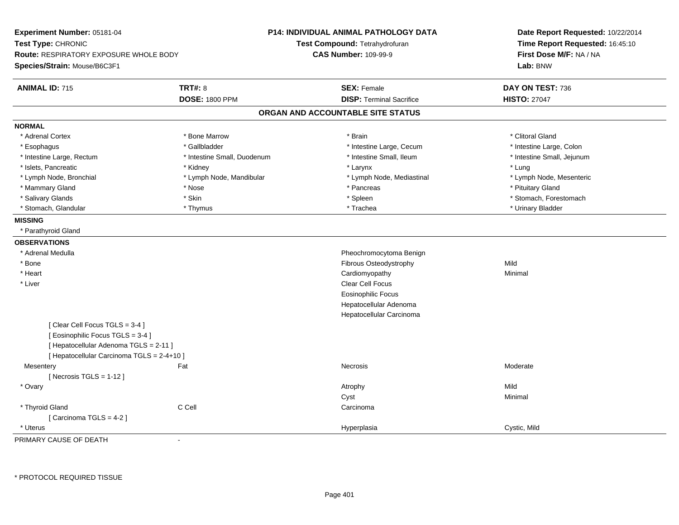| Experiment Number: 05181-04<br>Test Type: CHRONIC<br><b>Route: RESPIRATORY EXPOSURE WHOLE BODY</b><br>Species/Strain: Mouse/B6C3F1                       | P14: INDIVIDUAL ANIMAL PATHOLOGY DATA<br>Test Compound: Tetrahydrofuran<br><b>CAS Number: 109-99-9</b> | Date Report Requested: 10/22/2014<br>Time Report Requested: 16:45:10<br>First Dose M/F: NA / NA<br>Lab: BNW |
|----------------------------------------------------------------------------------------------------------------------------------------------------------|--------------------------------------------------------------------------------------------------------|-------------------------------------------------------------------------------------------------------------|
| <b>TRT#: 8</b><br><b>ANIMAL ID: 715</b>                                                                                                                  | <b>SEX: Female</b><br><b>DISP: Terminal Sacrifice</b>                                                  | DAY ON TEST: 736                                                                                            |
| <b>DOSE: 1800 PPM</b>                                                                                                                                    |                                                                                                        | <b>HISTO: 27047</b>                                                                                         |
|                                                                                                                                                          | ORGAN AND ACCOUNTABLE SITE STATUS                                                                      |                                                                                                             |
| <b>NORMAL</b>                                                                                                                                            |                                                                                                        |                                                                                                             |
| * Bone Marrow<br>* Adrenal Cortex                                                                                                                        | * Brain                                                                                                | * Clitoral Gland                                                                                            |
| * Gallbladder<br>* Esophagus                                                                                                                             | * Intestine Large, Cecum                                                                               | * Intestine Large, Colon                                                                                    |
| * Intestine Large, Rectum                                                                                                                                | * Intestine Small, Duodenum<br>* Intestine Small, Ileum                                                | * Intestine Small, Jejunum                                                                                  |
| * Islets, Pancreatic<br>* Kidney                                                                                                                         | * Larynx                                                                                               | * Lung                                                                                                      |
| * Lymph Node, Bronchial                                                                                                                                  | * Lymph Node, Mandibular<br>* Lymph Node, Mediastinal                                                  | * Lymph Node, Mesenteric                                                                                    |
| * Mammary Gland<br>* Nose                                                                                                                                | * Pancreas                                                                                             | * Pituitary Gland                                                                                           |
| * Skin<br>* Salivary Glands                                                                                                                              | * Spleen                                                                                               | * Stomach, Forestomach                                                                                      |
| * Stomach, Glandular<br>* Thymus                                                                                                                         | * Trachea                                                                                              | * Urinary Bladder                                                                                           |
| <b>MISSING</b>                                                                                                                                           |                                                                                                        |                                                                                                             |
| * Parathyroid Gland                                                                                                                                      |                                                                                                        |                                                                                                             |
| <b>OBSERVATIONS</b>                                                                                                                                      |                                                                                                        |                                                                                                             |
| * Adrenal Medulla                                                                                                                                        | Pheochromocytoma Benign                                                                                |                                                                                                             |
| * Bone                                                                                                                                                   | Fibrous Osteodystrophy                                                                                 | Mild                                                                                                        |
| * Heart                                                                                                                                                  | Cardiomyopathy                                                                                         | Minimal                                                                                                     |
| * Liver                                                                                                                                                  | Clear Cell Focus                                                                                       |                                                                                                             |
|                                                                                                                                                          | <b>Eosinophilic Focus</b>                                                                              |                                                                                                             |
|                                                                                                                                                          | Hepatocellular Adenoma                                                                                 |                                                                                                             |
|                                                                                                                                                          | Hepatocellular Carcinoma                                                                               |                                                                                                             |
| [Clear Cell Focus TGLS = 3-4]<br>[Eosinophilic Focus TGLS = 3-4]<br>[ Hepatocellular Adenoma TGLS = 2-11 ]<br>[ Hepatocellular Carcinoma TGLS = 2-4+10 ] |                                                                                                        |                                                                                                             |
| Mesentery<br>Fat                                                                                                                                         | Necrosis                                                                                               | Moderate                                                                                                    |
| [Necrosis TGLS = $1-12$ ]                                                                                                                                |                                                                                                        |                                                                                                             |
| * Ovary                                                                                                                                                  | Atrophy                                                                                                | Mild                                                                                                        |
|                                                                                                                                                          | Cyst                                                                                                   | Minimal                                                                                                     |
| C Cell<br>* Thyroid Gland                                                                                                                                | Carcinoma                                                                                              |                                                                                                             |
| [Carcinoma TGLS = 4-2]                                                                                                                                   |                                                                                                        |                                                                                                             |
| * Uterus                                                                                                                                                 | Hyperplasia                                                                                            | Cystic, Mild                                                                                                |

PRIMARY CAUSE OF DEATH-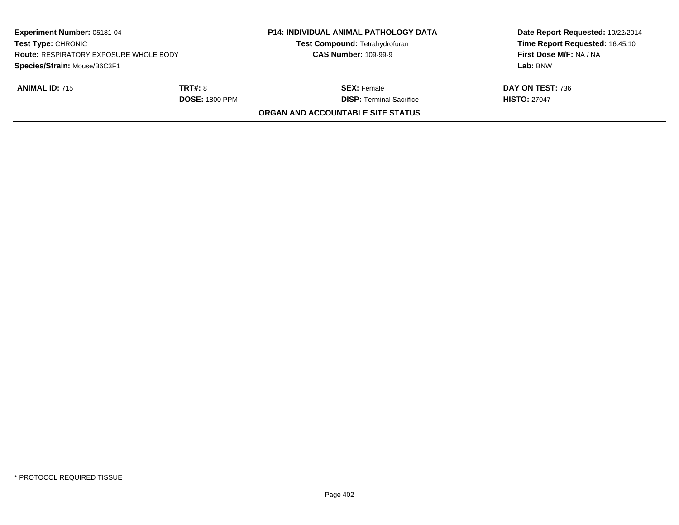| Experiment Number: 05181-04<br><b>Test Type: CHRONIC</b><br><b>Route: RESPIRATORY EXPOSURE WHOLE BODY</b> |                       | <b>P14: INDIVIDUAL ANIMAL PATHOLOGY DATA</b><br><b>Test Compound: Tetrahydrofuran</b><br><b>CAS Number: 109-99-9</b> | Date Report Requested: 10/22/2014<br>Time Report Requested: 16:45:10<br>First Dose M/F: NA / NA |
|-----------------------------------------------------------------------------------------------------------|-----------------------|----------------------------------------------------------------------------------------------------------------------|-------------------------------------------------------------------------------------------------|
| Species/Strain: Mouse/B6C3F1<br><b>ANIMAL ID: 715</b>                                                     | <b>TRT#: 8</b>        | <b>SEX: Female</b>                                                                                                   | Lab: BNW<br>DAY ON TEST: 736                                                                    |
|                                                                                                           | <b>DOSE: 1800 PPM</b> | <b>DISP:</b> Terminal Sacrifice                                                                                      | <b>HISTO: 27047</b>                                                                             |
|                                                                                                           |                       | ORGAN AND ACCOUNTABLE SITE STATUS                                                                                    |                                                                                                 |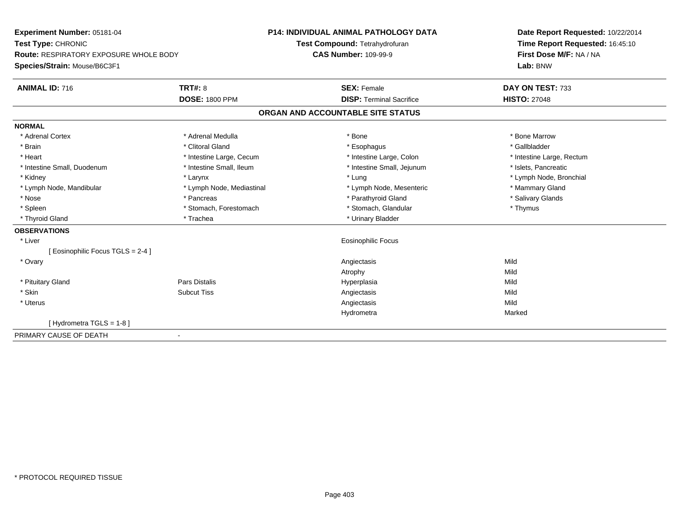| Experiment Number: 05181-04                   |                           | <b>P14: INDIVIDUAL ANIMAL PATHOLOGY DATA</b> | Date Report Requested: 10/22/2014 |
|-----------------------------------------------|---------------------------|----------------------------------------------|-----------------------------------|
| Test Type: CHRONIC                            |                           | Test Compound: Tetrahydrofuran               | Time Report Requested: 16:45:10   |
| <b>Route: RESPIRATORY EXPOSURE WHOLE BODY</b> |                           | <b>CAS Number: 109-99-9</b>                  | First Dose M/F: NA / NA           |
| Species/Strain: Mouse/B6C3F1                  |                           |                                              | Lab: BNW                          |
| <b>ANIMAL ID: 716</b>                         | <b>TRT#: 8</b>            | <b>SEX: Female</b>                           | DAY ON TEST: 733                  |
|                                               | <b>DOSE: 1800 PPM</b>     | <b>DISP: Terminal Sacrifice</b>              | <b>HISTO: 27048</b>               |
|                                               |                           | ORGAN AND ACCOUNTABLE SITE STATUS            |                                   |
| <b>NORMAL</b>                                 |                           |                                              |                                   |
| * Adrenal Cortex                              | * Adrenal Medulla         | * Bone                                       | * Bone Marrow                     |
| * Brain                                       | * Clitoral Gland          | * Esophagus                                  | * Gallbladder                     |
| * Heart                                       | * Intestine Large, Cecum  | * Intestine Large, Colon                     | * Intestine Large, Rectum         |
| * Intestine Small, Duodenum                   | * Intestine Small, Ileum  | * Intestine Small, Jejunum                   | * Islets, Pancreatic              |
| * Kidney                                      | * Larynx                  | * Lung                                       | * Lymph Node, Bronchial           |
| * Lymph Node, Mandibular                      | * Lymph Node, Mediastinal | * Lymph Node, Mesenteric                     | * Mammary Gland                   |
| * Nose                                        | * Pancreas                | * Parathyroid Gland                          | * Salivary Glands                 |
| * Spleen                                      | * Stomach, Forestomach    | * Stomach, Glandular                         | * Thymus                          |
| * Thyroid Gland                               | * Trachea                 | * Urinary Bladder                            |                                   |
| <b>OBSERVATIONS</b>                           |                           |                                              |                                   |
| * Liver                                       |                           | <b>Eosinophilic Focus</b>                    |                                   |
| [Eosinophilic Focus TGLS = 2-4 ]              |                           |                                              |                                   |
| * Ovary                                       |                           | Angiectasis                                  | Mild                              |
|                                               |                           | Atrophy                                      | Mild                              |
| * Pituitary Gland                             | <b>Pars Distalis</b>      | Hyperplasia                                  | Mild                              |
| * Skin                                        | <b>Subcut Tiss</b>        | Angiectasis                                  | Mild                              |
| * Uterus                                      |                           | Angiectasis                                  | Mild                              |
|                                               |                           | Hydrometra                                   | Marked                            |
| [Hydrometra TGLS = $1-8$ ]                    |                           |                                              |                                   |
| PRIMARY CAUSE OF DEATH                        | $\blacksquare$            |                                              |                                   |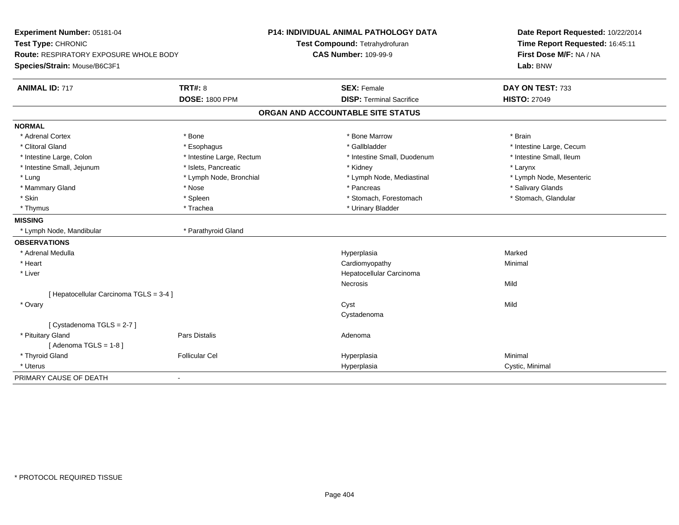| Experiment Number: 05181-04<br>Test Type: CHRONIC |                           | P14: INDIVIDUAL ANIMAL PATHOLOGY DATA | Date Report Requested: 10/22/2014 |  |
|---------------------------------------------------|---------------------------|---------------------------------------|-----------------------------------|--|
|                                                   |                           | Test Compound: Tetrahydrofuran        | Time Report Requested: 16:45:11   |  |
| Route: RESPIRATORY EXPOSURE WHOLE BODY            |                           | <b>CAS Number: 109-99-9</b>           | First Dose M/F: NA / NA           |  |
| Species/Strain: Mouse/B6C3F1                      |                           |                                       | Lab: BNW                          |  |
| <b>ANIMAL ID: 717</b>                             | <b>TRT#: 8</b>            | <b>SEX: Female</b>                    | DAY ON TEST: 733                  |  |
|                                                   | <b>DOSE: 1800 PPM</b>     | <b>DISP: Terminal Sacrifice</b>       | <b>HISTO: 27049</b>               |  |
|                                                   |                           | ORGAN AND ACCOUNTABLE SITE STATUS     |                                   |  |
| <b>NORMAL</b>                                     |                           |                                       |                                   |  |
| * Adrenal Cortex                                  | * Bone                    | * Bone Marrow                         | * Brain                           |  |
| * Clitoral Gland                                  | * Esophagus               | * Gallbladder                         | * Intestine Large, Cecum          |  |
| * Intestine Large, Colon                          | * Intestine Large, Rectum | * Intestine Small, Duodenum           | * Intestine Small, Ileum          |  |
| * Intestine Small, Jejunum                        | * Islets, Pancreatic      | * Kidney                              | * Larynx                          |  |
| * Lung                                            | * Lymph Node, Bronchial   | * Lymph Node, Mediastinal             | * Lymph Node, Mesenteric          |  |
| * Mammary Gland                                   | * Nose                    | * Pancreas                            | * Salivary Glands                 |  |
| * Skin                                            | * Spleen                  | * Stomach, Forestomach                | * Stomach, Glandular              |  |
| * Thymus                                          | * Trachea                 | * Urinary Bladder                     |                                   |  |
| <b>MISSING</b>                                    |                           |                                       |                                   |  |
| * Lymph Node, Mandibular                          | * Parathyroid Gland       |                                       |                                   |  |
| <b>OBSERVATIONS</b>                               |                           |                                       |                                   |  |
| * Adrenal Medulla                                 |                           | Hyperplasia                           | Marked                            |  |
| * Heart                                           |                           | Cardiomyopathy                        | Minimal                           |  |
| * Liver                                           |                           | Hepatocellular Carcinoma              |                                   |  |
|                                                   |                           | Necrosis                              | Mild                              |  |
| [ Hepatocellular Carcinoma TGLS = 3-4 ]           |                           |                                       |                                   |  |
| * Ovary                                           |                           | Cyst                                  | Mild                              |  |
|                                                   |                           | Cystadenoma                           |                                   |  |
| [ Cystadenoma TGLS = $2-7$ ]                      |                           |                                       |                                   |  |
| * Pituitary Gland                                 | <b>Pars Distalis</b>      | Adenoma                               |                                   |  |
| [Adenoma TGLS = $1-8$ ]                           |                           |                                       |                                   |  |
| * Thyroid Gland                                   | <b>Follicular Cel</b>     | Hyperplasia                           | Minimal                           |  |
| * Uterus                                          |                           | Hyperplasia                           | Cystic, Minimal                   |  |
| PRIMARY CAUSE OF DEATH                            | $\sim$                    |                                       |                                   |  |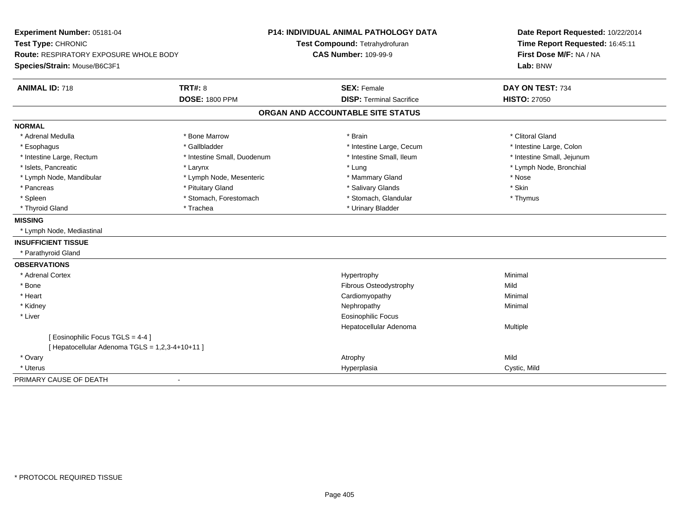| Experiment Number: 05181-04                     |                             | <b>P14: INDIVIDUAL ANIMAL PATHOLOGY DATA</b> | Date Report Requested: 10/22/2014 |  |
|-------------------------------------------------|-----------------------------|----------------------------------------------|-----------------------------------|--|
| Test Type: CHRONIC                              |                             | Test Compound: Tetrahydrofuran               | Time Report Requested: 16:45:11   |  |
| <b>Route: RESPIRATORY EXPOSURE WHOLE BODY</b>   |                             | <b>CAS Number: 109-99-9</b>                  | First Dose M/F: NA / NA           |  |
| Species/Strain: Mouse/B6C3F1                    |                             |                                              | Lab: BNW                          |  |
| <b>ANIMAL ID: 718</b>                           | <b>TRT#: 8</b>              | <b>SEX: Female</b>                           | DAY ON TEST: 734                  |  |
|                                                 | <b>DOSE: 1800 PPM</b>       | <b>DISP: Terminal Sacrifice</b>              | <b>HISTO: 27050</b>               |  |
|                                                 |                             | ORGAN AND ACCOUNTABLE SITE STATUS            |                                   |  |
| <b>NORMAL</b>                                   |                             |                                              |                                   |  |
| * Adrenal Medulla                               | * Bone Marrow               | * Brain                                      | * Clitoral Gland                  |  |
| * Esophagus                                     | * Gallbladder               | * Intestine Large, Cecum                     | * Intestine Large, Colon          |  |
| * Intestine Large, Rectum                       | * Intestine Small, Duodenum | * Intestine Small, Ileum                     | * Intestine Small, Jejunum        |  |
| * Islets. Pancreatic                            | * Larynx                    | * Lung                                       | * Lymph Node, Bronchial           |  |
| * Lymph Node, Mandibular                        | * Lymph Node, Mesenteric    | * Mammary Gland                              | * Nose                            |  |
| * Pancreas                                      | * Pituitary Gland           | * Salivary Glands                            | * Skin                            |  |
| * Spleen                                        | * Stomach, Forestomach      | * Stomach, Glandular                         | * Thymus                          |  |
| * Thyroid Gland                                 | * Trachea                   | * Urinary Bladder                            |                                   |  |
| <b>MISSING</b>                                  |                             |                                              |                                   |  |
| * Lymph Node, Mediastinal                       |                             |                                              |                                   |  |
| <b>INSUFFICIENT TISSUE</b>                      |                             |                                              |                                   |  |
| * Parathyroid Gland                             |                             |                                              |                                   |  |
| <b>OBSERVATIONS</b>                             |                             |                                              |                                   |  |
| * Adrenal Cortex                                |                             | Hypertrophy                                  | Minimal                           |  |
| * Bone                                          |                             | Fibrous Osteodystrophy                       | Mild                              |  |
| * Heart                                         |                             | Cardiomyopathy                               | Minimal                           |  |
| * Kidney                                        |                             | Nephropathy                                  | Minimal                           |  |
| * Liver                                         |                             | <b>Eosinophilic Focus</b>                    |                                   |  |
|                                                 |                             | Hepatocellular Adenoma                       | Multiple                          |  |
| [ Eosinophilic Focus TGLS = 4-4 ]               |                             |                                              |                                   |  |
| [ Hepatocellular Adenoma TGLS = 1,2,3-4+10+11 ] |                             |                                              |                                   |  |
| * Ovary                                         |                             | Atrophy                                      | Mild                              |  |
| * Uterus                                        |                             | Hyperplasia                                  | Cystic, Mild                      |  |
| PRIMARY CAUSE OF DEATH                          | $\blacksquare$              |                                              |                                   |  |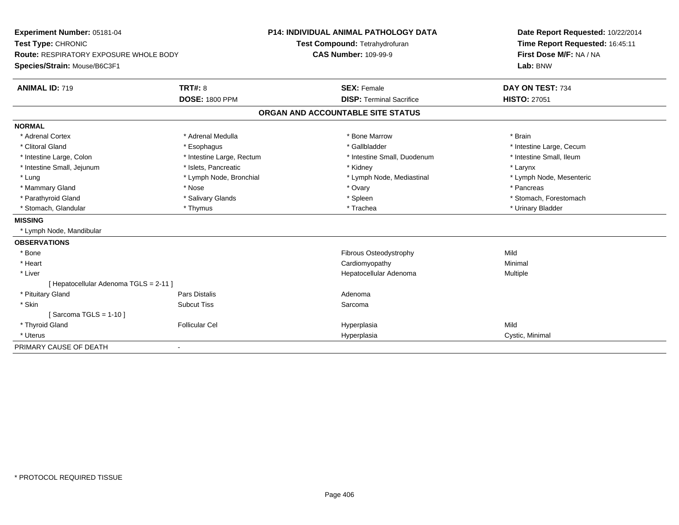| Experiment Number: 05181-04                   |                             | <b>P14: INDIVIDUAL ANIMAL PATHOLOGY DATA</b> |                                   | Date Report Requested: 10/22/2014 |
|-----------------------------------------------|-----------------------------|----------------------------------------------|-----------------------------------|-----------------------------------|
| Test Type: CHRONIC                            |                             | Test Compound: Tetrahydrofuran               |                                   | Time Report Requested: 16:45:11   |
| <b>Route: RESPIRATORY EXPOSURE WHOLE BODY</b> | <b>CAS Number: 109-99-9</b> |                                              | First Dose M/F: NA / NA           |                                   |
| Species/Strain: Mouse/B6C3F1                  |                             |                                              |                                   | Lab: BNW                          |
| <b>ANIMAL ID: 719</b>                         | <b>TRT#: 8</b>              |                                              | <b>SEX: Female</b>                | DAY ON TEST: 734                  |
|                                               | <b>DOSE: 1800 PPM</b>       |                                              | <b>DISP: Terminal Sacrifice</b>   | <b>HISTO: 27051</b>               |
|                                               |                             |                                              | ORGAN AND ACCOUNTABLE SITE STATUS |                                   |
| <b>NORMAL</b>                                 |                             |                                              |                                   |                                   |
| * Adrenal Cortex                              | * Adrenal Medulla           |                                              | * Bone Marrow                     | * Brain                           |
| * Clitoral Gland                              | * Esophagus                 |                                              | * Gallbladder                     | * Intestine Large, Cecum          |
| * Intestine Large, Colon                      | * Intestine Large, Rectum   |                                              | * Intestine Small, Duodenum       | * Intestine Small, Ileum          |
| * Intestine Small, Jejunum                    | * Islets, Pancreatic        |                                              | * Kidney                          | * Larynx                          |
| * Lung                                        | * Lymph Node, Bronchial     |                                              | * Lymph Node, Mediastinal         | * Lymph Node, Mesenteric          |
| * Mammary Gland                               | * Nose                      |                                              | * Ovary                           | * Pancreas                        |
| * Parathyroid Gland                           | * Salivary Glands           |                                              | * Spleen                          | * Stomach, Forestomach            |
| * Stomach, Glandular                          | * Thymus                    |                                              | * Trachea                         | * Urinary Bladder                 |
| <b>MISSING</b>                                |                             |                                              |                                   |                                   |
| * Lymph Node, Mandibular                      |                             |                                              |                                   |                                   |
| <b>OBSERVATIONS</b>                           |                             |                                              |                                   |                                   |
| * Bone                                        |                             |                                              | Fibrous Osteodystrophy            | Mild                              |
| * Heart                                       |                             |                                              | Cardiomyopathy                    | Minimal                           |
| * Liver                                       |                             |                                              | Hepatocellular Adenoma            | Multiple                          |
| [ Hepatocellular Adenoma TGLS = 2-11 ]        |                             |                                              |                                   |                                   |
| * Pituitary Gland                             | <b>Pars Distalis</b>        |                                              | Adenoma                           |                                   |
| * Skin                                        | <b>Subcut Tiss</b>          |                                              | Sarcoma                           |                                   |
| [Sarcoma TGLS = $1-10$ ]                      |                             |                                              |                                   |                                   |
| * Thyroid Gland                               | <b>Follicular Cel</b>       |                                              | Hyperplasia                       | Mild                              |
| * Uterus                                      |                             |                                              | Hyperplasia                       | Cystic, Minimal                   |
| PRIMARY CAUSE OF DEATH                        | $\blacksquare$              |                                              |                                   |                                   |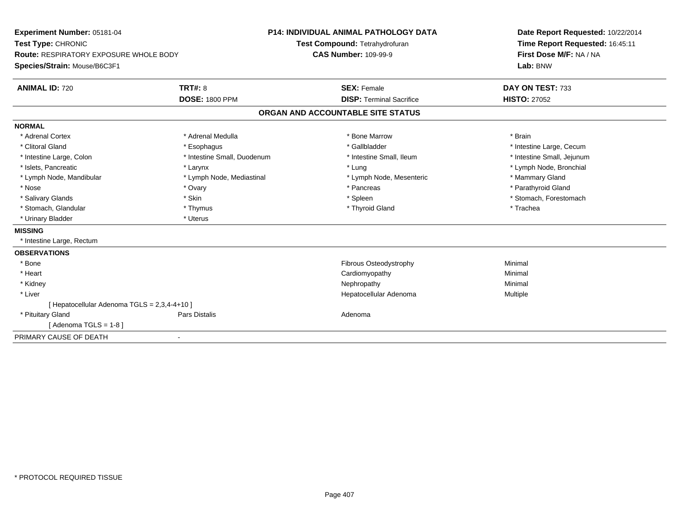| <b>P14: INDIVIDUAL ANIMAL PATHOLOGY DATA</b><br>Experiment Number: 05181-04<br>Test Type: CHRONIC<br>Test Compound: Tetrahydrofuran<br><b>Route: RESPIRATORY EXPOSURE WHOLE BODY</b><br><b>CAS Number: 109-99-9</b><br>Species/Strain: Mouse/B6C3F1 |                             | Date Report Requested: 10/22/2014<br>Time Report Requested: 16:45:11<br>First Dose M/F: NA / NA<br>Lab: BNW |                            |
|-----------------------------------------------------------------------------------------------------------------------------------------------------------------------------------------------------------------------------------------------------|-----------------------------|-------------------------------------------------------------------------------------------------------------|----------------------------|
| <b>ANIMAL ID: 720</b>                                                                                                                                                                                                                               | <b>TRT#: 8</b>              | <b>SEX: Female</b>                                                                                          | DAY ON TEST: 733           |
|                                                                                                                                                                                                                                                     | <b>DOSE: 1800 PPM</b>       | <b>DISP: Terminal Sacrifice</b>                                                                             | <b>HISTO: 27052</b>        |
|                                                                                                                                                                                                                                                     |                             | ORGAN AND ACCOUNTABLE SITE STATUS                                                                           |                            |
| <b>NORMAL</b>                                                                                                                                                                                                                                       |                             |                                                                                                             |                            |
| * Adrenal Cortex                                                                                                                                                                                                                                    | * Adrenal Medulla           | * Bone Marrow                                                                                               | * Brain                    |
| * Clitoral Gland                                                                                                                                                                                                                                    | * Esophagus                 | * Gallbladder                                                                                               | * Intestine Large, Cecum   |
| * Intestine Large, Colon                                                                                                                                                                                                                            | * Intestine Small, Duodenum | * Intestine Small, Ileum                                                                                    | * Intestine Small, Jejunum |
| * Islets, Pancreatic                                                                                                                                                                                                                                | * Larynx                    | * Lung                                                                                                      | * Lymph Node, Bronchial    |
| * Lymph Node, Mandibular                                                                                                                                                                                                                            | * Lymph Node, Mediastinal   | * Lymph Node, Mesenteric                                                                                    | * Mammary Gland            |
| * Nose                                                                                                                                                                                                                                              | * Ovary                     | * Pancreas                                                                                                  | * Parathyroid Gland        |
| * Salivary Glands                                                                                                                                                                                                                                   | * Skin                      | * Spleen                                                                                                    | * Stomach, Forestomach     |
| * Stomach, Glandular                                                                                                                                                                                                                                | * Thymus                    | * Thyroid Gland                                                                                             | * Trachea                  |
| * Urinary Bladder                                                                                                                                                                                                                                   | * Uterus                    |                                                                                                             |                            |
| <b>MISSING</b>                                                                                                                                                                                                                                      |                             |                                                                                                             |                            |
| * Intestine Large, Rectum                                                                                                                                                                                                                           |                             |                                                                                                             |                            |
| <b>OBSERVATIONS</b>                                                                                                                                                                                                                                 |                             |                                                                                                             |                            |
| * Bone                                                                                                                                                                                                                                              |                             | Fibrous Osteodystrophy                                                                                      | Minimal                    |
| * Heart                                                                                                                                                                                                                                             |                             | Cardiomyopathy                                                                                              | Minimal                    |
| * Kidney                                                                                                                                                                                                                                            |                             | Nephropathy                                                                                                 | Minimal                    |
| * Liver                                                                                                                                                                                                                                             |                             | Hepatocellular Adenoma                                                                                      | Multiple                   |
| [ Hepatocellular Adenoma TGLS = 2,3,4-4+10 ]                                                                                                                                                                                                        |                             |                                                                                                             |                            |
| * Pituitary Gland                                                                                                                                                                                                                                   | Pars Distalis               | Adenoma                                                                                                     |                            |
| Adenoma TGLS = 1-8 ]                                                                                                                                                                                                                                |                             |                                                                                                             |                            |
| PRIMARY CAUSE OF DEATH                                                                                                                                                                                                                              | $\overline{\phantom{a}}$    |                                                                                                             |                            |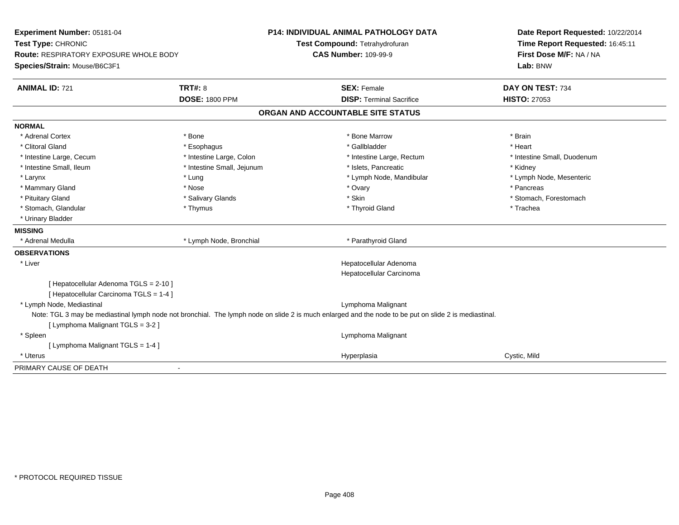| Experiment Number: 05181-04                   |                            | <b>P14: INDIVIDUAL ANIMAL PATHOLOGY DATA</b>                                                                                                          | Date Report Requested: 10/22/2014 |  |
|-----------------------------------------------|----------------------------|-------------------------------------------------------------------------------------------------------------------------------------------------------|-----------------------------------|--|
| Test Type: CHRONIC                            |                            | Test Compound: Tetrahydrofuran                                                                                                                        | Time Report Requested: 16:45:11   |  |
| <b>Route: RESPIRATORY EXPOSURE WHOLE BODY</b> |                            | <b>CAS Number: 109-99-9</b>                                                                                                                           | First Dose M/F: NA / NA           |  |
| Species/Strain: Mouse/B6C3F1                  |                            |                                                                                                                                                       | Lab: BNW                          |  |
| <b>ANIMAL ID: 721</b>                         | <b>TRT#: 8</b>             | <b>SEX: Female</b>                                                                                                                                    | DAY ON TEST: 734                  |  |
|                                               | <b>DOSE: 1800 PPM</b>      | <b>DISP: Terminal Sacrifice</b>                                                                                                                       | <b>HISTO: 27053</b>               |  |
|                                               |                            | ORGAN AND ACCOUNTABLE SITE STATUS                                                                                                                     |                                   |  |
| <b>NORMAL</b>                                 |                            |                                                                                                                                                       |                                   |  |
| * Adrenal Cortex                              | * Bone                     | * Bone Marrow                                                                                                                                         | * Brain                           |  |
| * Clitoral Gland                              | * Esophagus                | * Gallbladder                                                                                                                                         | * Heart                           |  |
| * Intestine Large, Cecum                      | * Intestine Large, Colon   | * Intestine Large, Rectum                                                                                                                             | * Intestine Small, Duodenum       |  |
| * Intestine Small, Ileum                      | * Intestine Small, Jejunum | * Islets, Pancreatic                                                                                                                                  | * Kidney                          |  |
| * Larynx                                      | * Lung                     | * Lymph Node, Mandibular                                                                                                                              | * Lymph Node, Mesenteric          |  |
| * Mammary Gland                               | * Nose                     | * Ovary                                                                                                                                               | * Pancreas                        |  |
| * Pituitary Gland                             | * Salivary Glands          | * Skin                                                                                                                                                | * Stomach, Forestomach            |  |
| * Stomach, Glandular                          | * Thymus                   | * Thyroid Gland                                                                                                                                       | * Trachea                         |  |
| * Urinary Bladder                             |                            |                                                                                                                                                       |                                   |  |
| <b>MISSING</b>                                |                            |                                                                                                                                                       |                                   |  |
| * Adrenal Medulla                             | * Lymph Node, Bronchial    | * Parathyroid Gland                                                                                                                                   |                                   |  |
| <b>OBSERVATIONS</b>                           |                            |                                                                                                                                                       |                                   |  |
| * Liver                                       |                            | Hepatocellular Adenoma                                                                                                                                |                                   |  |
|                                               |                            | Hepatocellular Carcinoma                                                                                                                              |                                   |  |
| [ Hepatocellular Adenoma TGLS = 2-10 ]        |                            |                                                                                                                                                       |                                   |  |
| [ Hepatocellular Carcinoma TGLS = 1-4 ]       |                            |                                                                                                                                                       |                                   |  |
| * Lymph Node, Mediastinal                     |                            | Lymphoma Malignant                                                                                                                                    |                                   |  |
|                                               |                            | Note: TGL 3 may be mediastinal lymph node not bronchial. The lymph node on slide 2 is much enlarged and the node to be put on slide 2 is mediastinal. |                                   |  |
| [ Lymphoma Malignant TGLS = 3-2 ]             |                            |                                                                                                                                                       |                                   |  |
| * Spleen                                      |                            | Lymphoma Malignant                                                                                                                                    |                                   |  |
| [ Lymphoma Malignant TGLS = 1-4 ]             |                            |                                                                                                                                                       |                                   |  |
| * Uterus                                      |                            | Hyperplasia                                                                                                                                           | Cystic, Mild                      |  |
| PRIMARY CAUSE OF DEATH                        |                            |                                                                                                                                                       |                                   |  |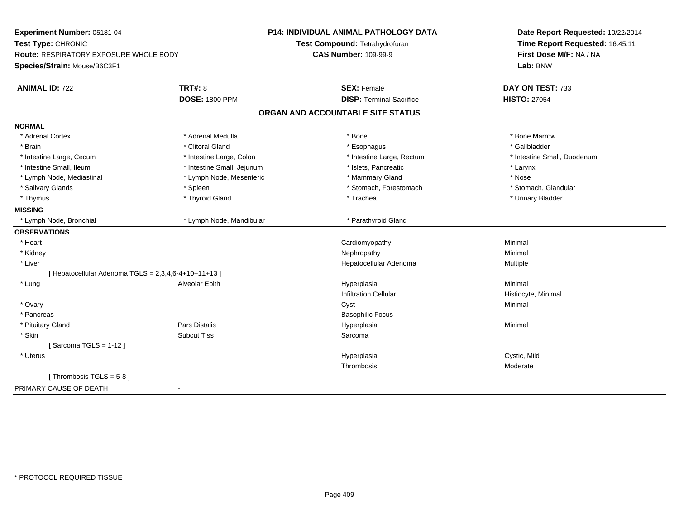| Experiment Number: 05181-04<br>Test Type: CHRONIC                      |                            | P14: INDIVIDUAL ANIMAL PATHOLOGY DATA<br>Test Compound: Tetrahydrofuran | Date Report Requested: 10/22/2014<br>Time Report Requested: 16:45:11 |  |
|------------------------------------------------------------------------|----------------------------|-------------------------------------------------------------------------|----------------------------------------------------------------------|--|
| Route: RESPIRATORY EXPOSURE WHOLE BODY<br>Species/Strain: Mouse/B6C3F1 |                            | <b>CAS Number: 109-99-9</b>                                             | First Dose M/F: NA / NA<br>Lab: BNW                                  |  |
| <b>ANIMAL ID: 722</b>                                                  | TRT#: 8                    | <b>SEX: Female</b>                                                      | DAY ON TEST: 733                                                     |  |
|                                                                        | <b>DOSE: 1800 PPM</b>      | <b>DISP: Terminal Sacrifice</b>                                         | <b>HISTO: 27054</b>                                                  |  |
|                                                                        |                            | ORGAN AND ACCOUNTABLE SITE STATUS                                       |                                                                      |  |
| <b>NORMAL</b>                                                          |                            |                                                                         |                                                                      |  |
| * Adrenal Cortex                                                       | * Adrenal Medulla          | * Bone                                                                  | * Bone Marrow                                                        |  |
| * Brain                                                                | * Clitoral Gland           | * Esophagus                                                             | * Gallbladder                                                        |  |
| * Intestine Large, Cecum                                               | * Intestine Large, Colon   | * Intestine Large, Rectum                                               | * Intestine Small, Duodenum                                          |  |
| * Intestine Small, Ileum                                               | * Intestine Small, Jejunum | * Islets, Pancreatic                                                    | * Larynx                                                             |  |
| * Lymph Node, Mediastinal                                              | * Lymph Node, Mesenteric   | * Mammary Gland                                                         | * Nose                                                               |  |
| * Salivary Glands                                                      | * Spleen                   | * Stomach, Forestomach                                                  | * Stomach, Glandular                                                 |  |
| * Thymus                                                               | * Thyroid Gland            | * Trachea                                                               | * Urinary Bladder                                                    |  |
| <b>MISSING</b>                                                         |                            |                                                                         |                                                                      |  |
| * Lymph Node, Bronchial                                                | * Lymph Node, Mandibular   | * Parathyroid Gland                                                     |                                                                      |  |
| <b>OBSERVATIONS</b>                                                    |                            |                                                                         |                                                                      |  |
| * Heart                                                                |                            | Cardiomyopathy                                                          | Minimal                                                              |  |
| * Kidney                                                               |                            | Nephropathy                                                             | Minimal                                                              |  |
| * Liver                                                                |                            | Hepatocellular Adenoma                                                  | Multiple                                                             |  |
| [ Hepatocellular Adenoma TGLS = 2,3,4,6-4+10+11+13 ]                   |                            |                                                                         |                                                                      |  |
| * Lung                                                                 | Alveolar Epith             | Hyperplasia                                                             | Minimal                                                              |  |
|                                                                        |                            | <b>Infiltration Cellular</b>                                            | Histiocyte, Minimal                                                  |  |
| * Ovary                                                                |                            | Cyst                                                                    | Minimal                                                              |  |
| * Pancreas                                                             |                            | <b>Basophilic Focus</b>                                                 |                                                                      |  |
| * Pituitary Gland                                                      | Pars Distalis              | Hyperplasia                                                             | Minimal                                                              |  |
| * Skin                                                                 | <b>Subcut Tiss</b>         | Sarcoma                                                                 |                                                                      |  |
| [Sarcoma TGLS = $1-12$ ]                                               |                            |                                                                         |                                                                      |  |
| * Uterus                                                               |                            | Hyperplasia                                                             | Cystic, Mild                                                         |  |
|                                                                        |                            | Thrombosis                                                              | Moderate                                                             |  |
| [Thrombosis TGLS = $5-8$ ]                                             |                            |                                                                         |                                                                      |  |
| PRIMARY CAUSE OF DEATH<br>$\blacksquare$                               |                            |                                                                         |                                                                      |  |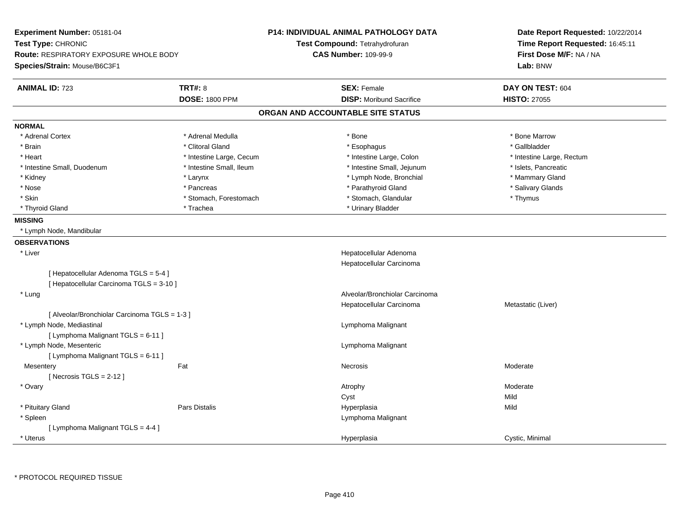| Experiment Number: 05181-04<br>Test Type: CHRONIC<br>Route: RESPIRATORY EXPOSURE WHOLE BODY<br>Species/Strain: Mouse/B6C3F1 |                          | P14: INDIVIDUAL ANIMAL PATHOLOGY DATA<br>Test Compound: Tetrahydrofuran<br><b>CAS Number: 109-99-9</b> | Date Report Requested: 10/22/2014<br>Time Report Requested: 16:45:11<br>First Dose M/F: NA / NA<br>Lab: BNW |
|-----------------------------------------------------------------------------------------------------------------------------|--------------------------|--------------------------------------------------------------------------------------------------------|-------------------------------------------------------------------------------------------------------------|
| <b>ANIMAL ID: 723</b>                                                                                                       | <b>TRT#: 8</b>           | <b>SEX: Female</b>                                                                                     | DAY ON TEST: 604                                                                                            |
|                                                                                                                             | <b>DOSE: 1800 PPM</b>    | <b>DISP:</b> Moribund Sacrifice                                                                        | <b>HISTO: 27055</b>                                                                                         |
|                                                                                                                             |                          | ORGAN AND ACCOUNTABLE SITE STATUS                                                                      |                                                                                                             |
| <b>NORMAL</b>                                                                                                               |                          |                                                                                                        |                                                                                                             |
| * Adrenal Cortex                                                                                                            | * Adrenal Medulla        | * Bone                                                                                                 | * Bone Marrow                                                                                               |
| * Brain                                                                                                                     | * Clitoral Gland         | * Esophagus                                                                                            | * Gallbladder                                                                                               |
| * Heart                                                                                                                     | * Intestine Large, Cecum | * Intestine Large, Colon                                                                               | * Intestine Large, Rectum                                                                                   |
| * Intestine Small, Duodenum                                                                                                 | * Intestine Small, Ileum | * Intestine Small, Jejunum                                                                             | * Islets, Pancreatic                                                                                        |
| * Kidney                                                                                                                    | * Larynx                 | * Lymph Node, Bronchial                                                                                | * Mammary Gland                                                                                             |
| * Nose                                                                                                                      | * Pancreas               | * Parathyroid Gland                                                                                    | * Salivary Glands                                                                                           |
| * Skin                                                                                                                      | * Stomach, Forestomach   | * Stomach, Glandular                                                                                   | * Thymus                                                                                                    |
| * Thyroid Gland                                                                                                             | * Trachea                | * Urinary Bladder                                                                                      |                                                                                                             |
| <b>MISSING</b>                                                                                                              |                          |                                                                                                        |                                                                                                             |
| * Lymph Node, Mandibular                                                                                                    |                          |                                                                                                        |                                                                                                             |
| <b>OBSERVATIONS</b>                                                                                                         |                          |                                                                                                        |                                                                                                             |
| * Liver                                                                                                                     |                          | Hepatocellular Adenoma                                                                                 |                                                                                                             |
|                                                                                                                             |                          | Hepatocellular Carcinoma                                                                               |                                                                                                             |
| [ Hepatocellular Adenoma TGLS = 5-4 ]<br>[ Hepatocellular Carcinoma TGLS = 3-10 ]                                           |                          |                                                                                                        |                                                                                                             |
| * Lung                                                                                                                      |                          | Alveolar/Bronchiolar Carcinoma                                                                         |                                                                                                             |
|                                                                                                                             |                          | Hepatocellular Carcinoma                                                                               | Metastatic (Liver)                                                                                          |
| [ Alveolar/Bronchiolar Carcinoma TGLS = 1-3 ]                                                                               |                          |                                                                                                        |                                                                                                             |
| * Lymph Node, Mediastinal                                                                                                   |                          | Lymphoma Malignant                                                                                     |                                                                                                             |
| [ Lymphoma Malignant TGLS = 6-11 ]                                                                                          |                          |                                                                                                        |                                                                                                             |
| * Lymph Node, Mesenteric                                                                                                    |                          | Lymphoma Malignant                                                                                     |                                                                                                             |
| [ Lymphoma Malignant TGLS = 6-11 ]                                                                                          |                          |                                                                                                        |                                                                                                             |
| Mesentery                                                                                                                   | Fat                      | Necrosis                                                                                               | Moderate                                                                                                    |
| [Necrosis $TGLS = 2-12$ ]                                                                                                   |                          |                                                                                                        |                                                                                                             |
| * Ovary                                                                                                                     |                          | Atrophy                                                                                                | Moderate                                                                                                    |
|                                                                                                                             |                          | Cyst                                                                                                   | Mild                                                                                                        |
| * Pituitary Gland                                                                                                           | <b>Pars Distalis</b>     | Hyperplasia                                                                                            | Mild                                                                                                        |
| * Spleen                                                                                                                    |                          | Lymphoma Malignant                                                                                     |                                                                                                             |
| [ Lymphoma Malignant TGLS = 4-4 ]                                                                                           |                          |                                                                                                        |                                                                                                             |
| * Uterus                                                                                                                    |                          | Hyperplasia                                                                                            | Cystic, Minimal                                                                                             |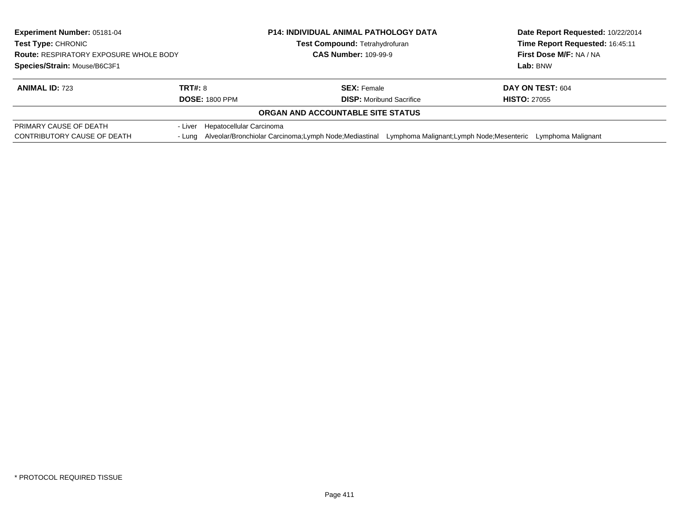| <b>Experiment Number: 05181-04</b><br>Test Type: CHRONIC<br><b>Route: RESPIRATORY EXPOSURE WHOLE BODY</b><br>Species/Strain: Mouse/B6C3F1 |                                  | <b>P14: INDIVIDUAL ANIMAL PATHOLOGY DATA</b><br>Test Compound: Tetrahydrofuran<br><b>CAS Number: 109-99-9</b> |                                            | Date Report Requested: 10/22/2014<br>Time Report Requested: 16:45:11<br>First Dose M/F: NA / NA<br>Lab: BNW |
|-------------------------------------------------------------------------------------------------------------------------------------------|----------------------------------|---------------------------------------------------------------------------------------------------------------|--------------------------------------------|-------------------------------------------------------------------------------------------------------------|
| TRT#: 8<br><b>ANIMAL ID: 723</b><br><b>DOSE: 1800 PPM</b>                                                                                 |                                  | <b>SEX: Female</b><br><b>DISP:</b> Moribund Sacrifice                                                         |                                            | DAY ON TEST: 604<br><b>HISTO: 27055</b>                                                                     |
|                                                                                                                                           |                                  | ORGAN AND ACCOUNTABLE SITE STATUS                                                                             |                                            |                                                                                                             |
| PRIMARY CAUSE OF DEATH<br>CONTRIBUTORY CAUSE OF DEATH                                                                                     | - Liver Hepatocellular Carcinoma | - Lung Alveolar/Bronchiolar Carcinoma; Lymph Node; Mediastinal                                                | Lymphoma Malignant; Lymph Node; Mesenteric | Lymphoma Malignant                                                                                          |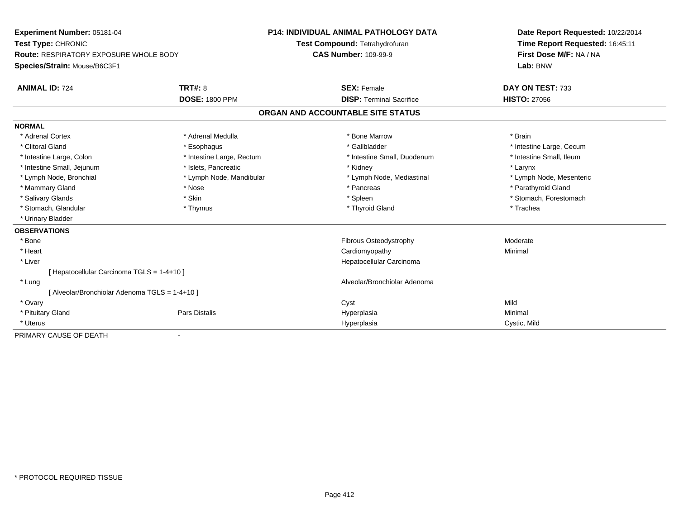| Experiment Number: 05181-04                    | <b>P14: INDIVIDUAL ANIMAL PATHOLOGY DATA</b> |                                   | Date Report Requested: 10/22/2014 |
|------------------------------------------------|----------------------------------------------|-----------------------------------|-----------------------------------|
| Test Type: CHRONIC                             |                                              | Test Compound: Tetrahydrofuran    | Time Report Requested: 16:45:11   |
| <b>Route: RESPIRATORY EXPOSURE WHOLE BODY</b>  |                                              | <b>CAS Number: 109-99-9</b>       | First Dose M/F: NA / NA           |
| Species/Strain: Mouse/B6C3F1                   |                                              |                                   | Lab: BNW                          |
| <b>ANIMAL ID: 724</b>                          | <b>TRT#: 8</b>                               | <b>SEX: Female</b>                | DAY ON TEST: 733                  |
|                                                | <b>DOSE: 1800 PPM</b>                        | <b>DISP: Terminal Sacrifice</b>   | <b>HISTO: 27056</b>               |
|                                                |                                              | ORGAN AND ACCOUNTABLE SITE STATUS |                                   |
| <b>NORMAL</b>                                  |                                              |                                   |                                   |
| * Adrenal Cortex                               | * Adrenal Medulla                            | * Bone Marrow                     | * Brain                           |
| * Clitoral Gland                               | * Esophagus                                  | * Gallbladder                     | * Intestine Large, Cecum          |
| * Intestine Large, Colon                       | * Intestine Large, Rectum                    | * Intestine Small, Duodenum       | * Intestine Small, Ileum          |
| * Intestine Small, Jejunum                     | * Islets, Pancreatic                         | * Kidney                          | * Larynx                          |
| * Lymph Node, Bronchial                        | * Lymph Node, Mandibular                     | * Lymph Node, Mediastinal         | * Lymph Node, Mesenteric          |
| * Mammary Gland                                | * Nose                                       | * Pancreas                        | * Parathyroid Gland               |
| * Salivary Glands                              | * Skin                                       | * Spleen                          | * Stomach, Forestomach            |
| * Stomach, Glandular                           | * Thymus                                     | * Thyroid Gland                   | * Trachea                         |
| * Urinary Bladder                              |                                              |                                   |                                   |
| <b>OBSERVATIONS</b>                            |                                              |                                   |                                   |
| * Bone                                         |                                              | Fibrous Osteodystrophy            | Moderate                          |
| * Heart                                        |                                              | Cardiomyopathy                    | Minimal                           |
| * Liver                                        |                                              | Hepatocellular Carcinoma          |                                   |
| [ Hepatocellular Carcinoma TGLS = 1-4+10 ]     |                                              |                                   |                                   |
| * Lung                                         |                                              | Alveolar/Bronchiolar Adenoma      |                                   |
| [ Alveolar/Bronchiolar Adenoma TGLS = 1-4+10 ] |                                              |                                   |                                   |
| * Ovary                                        |                                              | Cyst                              | Mild                              |
| * Pituitary Gland                              | <b>Pars Distalis</b>                         | Hyperplasia                       | Minimal                           |
| * Uterus                                       |                                              | Hyperplasia                       | Cystic, Mild                      |
| PRIMARY CAUSE OF DEATH                         |                                              |                                   |                                   |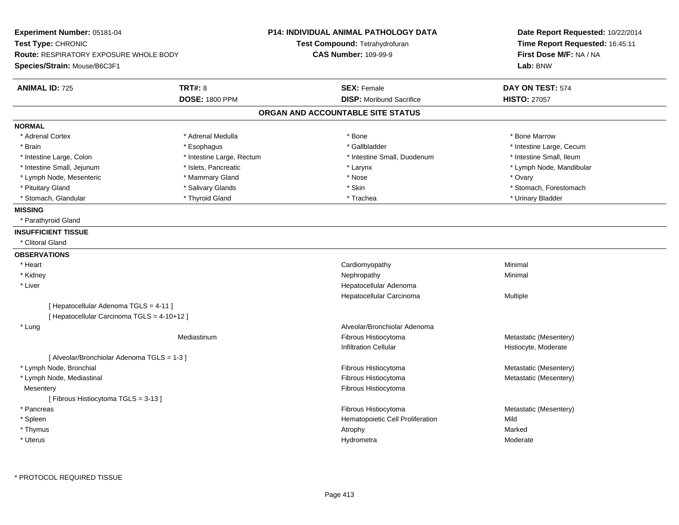| Experiment Number: 05181-04<br>Test Type: CHRONIC<br><b>Route: RESPIRATORY EXPOSURE WHOLE BODY</b><br>Species/Strain: Mouse/B6C3F1 |                                         | <b>P14: INDIVIDUAL ANIMAL PATHOLOGY DATA</b><br>Test Compound: Tetrahydrofuran<br><b>CAS Number: 109-99-9</b> | Date Report Requested: 10/22/2014<br>Time Report Requested: 16:45:11<br>First Dose M/F: NA / NA<br>Lab: BNW |
|------------------------------------------------------------------------------------------------------------------------------------|-----------------------------------------|---------------------------------------------------------------------------------------------------------------|-------------------------------------------------------------------------------------------------------------|
| <b>ANIMAL ID: 725</b>                                                                                                              | <b>TRT#: 8</b><br><b>DOSE: 1800 PPM</b> | <b>SEX: Female</b><br><b>DISP:</b> Moribund Sacrifice                                                         | DAY ON TEST: 574<br><b>HISTO: 27057</b>                                                                     |
|                                                                                                                                    |                                         | ORGAN AND ACCOUNTABLE SITE STATUS                                                                             |                                                                                                             |
| <b>NORMAL</b>                                                                                                                      |                                         |                                                                                                               |                                                                                                             |
| * Adrenal Cortex                                                                                                                   | * Adrenal Medulla                       | * Bone                                                                                                        | * Bone Marrow                                                                                               |
| * Brain                                                                                                                            | * Esophagus                             | * Gallbladder                                                                                                 | * Intestine Large, Cecum                                                                                    |
| * Intestine Large, Colon                                                                                                           | * Intestine Large, Rectum               | * Intestine Small, Duodenum                                                                                   | * Intestine Small, Ileum                                                                                    |
| * Intestine Small, Jejunum                                                                                                         | * Islets, Pancreatic                    | * Larynx                                                                                                      | * Lymph Node, Mandibular                                                                                    |
| * Lymph Node, Mesenteric                                                                                                           | * Mammary Gland                         | * Nose                                                                                                        | * Ovary                                                                                                     |
| * Pituitary Gland                                                                                                                  | * Salivary Glands                       | * Skin                                                                                                        | * Stomach, Forestomach                                                                                      |
| * Stomach, Glandular                                                                                                               | * Thyroid Gland                         | * Trachea                                                                                                     | * Urinary Bladder                                                                                           |
| <b>MISSING</b><br>* Parathyroid Gland<br><b>INSUFFICIENT TISSUE</b><br>* Clitoral Gland                                            |                                         |                                                                                                               |                                                                                                             |
| <b>OBSERVATIONS</b>                                                                                                                |                                         |                                                                                                               |                                                                                                             |
| * Heart                                                                                                                            |                                         | Cardiomyopathy                                                                                                | Minimal                                                                                                     |
| * Kidney                                                                                                                           |                                         | Nephropathy                                                                                                   | Minimal                                                                                                     |
| * Liver                                                                                                                            |                                         | Hepatocellular Adenoma                                                                                        |                                                                                                             |
|                                                                                                                                    |                                         | Hepatocellular Carcinoma                                                                                      | Multiple                                                                                                    |
| [ Hepatocellular Adenoma TGLS = 4-11 ]<br>[ Hepatocellular Carcinoma TGLS = 4-10+12 ]                                              |                                         |                                                                                                               |                                                                                                             |
| * Lung                                                                                                                             |                                         | Alveolar/Bronchiolar Adenoma                                                                                  |                                                                                                             |
|                                                                                                                                    | Mediastinum                             | Fibrous Histiocytoma<br><b>Infiltration Cellular</b>                                                          | Metastatic (Mesentery)<br>Histiocyte, Moderate                                                              |
| [ Alveolar/Bronchiolar Adenoma TGLS = 1-3 ]                                                                                        |                                         |                                                                                                               |                                                                                                             |
| * Lymph Node, Bronchial                                                                                                            |                                         | Fibrous Histiocytoma                                                                                          | Metastatic (Mesentery)                                                                                      |
| * Lymph Node, Mediastinal                                                                                                          |                                         | Fibrous Histiocytoma                                                                                          | Metastatic (Mesentery)                                                                                      |
| Mesentery                                                                                                                          |                                         | Fibrous Histiocytoma                                                                                          |                                                                                                             |
| [Fibrous Histiocytoma TGLS = 3-13]                                                                                                 |                                         |                                                                                                               |                                                                                                             |
| * Pancreas                                                                                                                         |                                         | Fibrous Histiocytoma                                                                                          | Metastatic (Mesentery)<br>Mild                                                                              |
| * Spleen<br>* Thymus                                                                                                               |                                         | Hematopoietic Cell Proliferation                                                                              | Marked                                                                                                      |
| * Uterus                                                                                                                           |                                         | Atrophy                                                                                                       | Moderate                                                                                                    |
|                                                                                                                                    |                                         | Hydrometra                                                                                                    |                                                                                                             |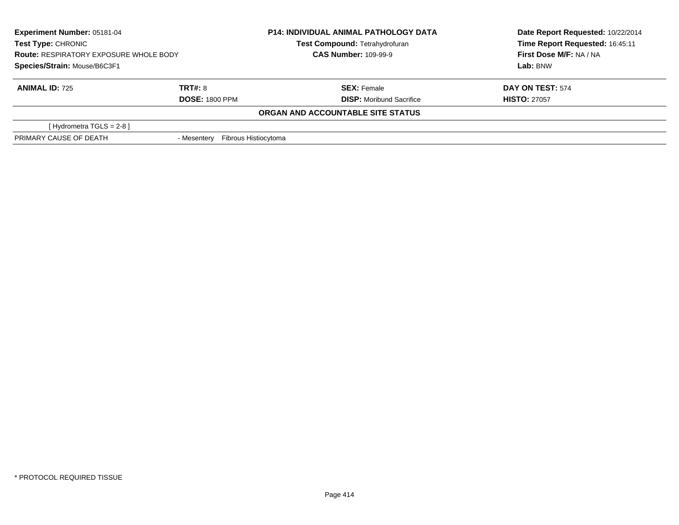| <b>Experiment Number: 05181-04</b><br>Test Type: CHRONIC |                                     | <b>P14: INDIVIDUAL ANIMAL PATHOLOGY DATA</b> | Date Report Requested: 10/22/2014 |
|----------------------------------------------------------|-------------------------------------|----------------------------------------------|-----------------------------------|
|                                                          |                                     | Test Compound: Tetrahydrofuran               | Time Report Requested: 16:45:11   |
| <b>Route: RESPIRATORY EXPOSURE WHOLE BODY</b>            |                                     | <b>CAS Number: 109-99-9</b>                  | First Dose M/F: NA / NA           |
| Species/Strain: Mouse/B6C3F1                             |                                     |                                              | Lab: BNW                          |
| <b>ANIMAL ID: 725</b>                                    | <b>TRT#: 8</b>                      | <b>SEX: Female</b>                           | DAY ON TEST: 574                  |
|                                                          | <b>DOSE: 1800 PPM</b>               | <b>DISP:</b> Moribund Sacrifice              | <b>HISTO: 27057</b>               |
|                                                          |                                     | ORGAN AND ACCOUNTABLE SITE STATUS            |                                   |
| [Hydrometra TGLS = $2-8$ ]                               |                                     |                                              |                                   |
| PRIMARY CAUSE OF DEATH                                   | Fibrous Histiocytoma<br>- Mesentery |                                              |                                   |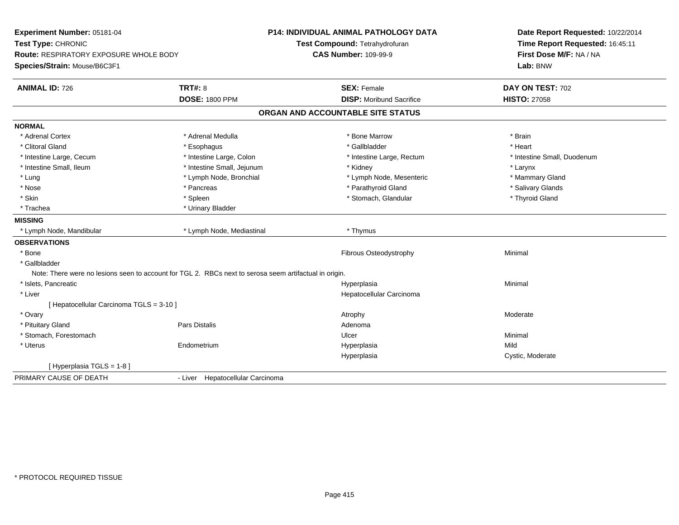| Time Report Requested: 16:45:11<br>Test Compound: Tetrahydrofuran<br><b>CAS Number: 109-99-9</b><br>First Dose M/F: NA / NA<br><b>Route: RESPIRATORY EXPOSURE WHOLE BODY</b><br>Lab: BNW<br><b>TRT#: 8</b><br><b>SEX: Female</b><br>DAY ON TEST: 702<br><b>DOSE: 1800 PPM</b><br><b>DISP:</b> Moribund Sacrifice<br><b>HISTO: 27058</b><br>ORGAN AND ACCOUNTABLE SITE STATUS<br>* Adrenal Cortex<br>* Adrenal Medulla<br>* Bone Marrow<br>* Brain<br>* Clitoral Gland<br>* Gallbladder<br>* Heart<br>* Esophagus<br>* Intestine Large, Cecum<br>* Intestine Large, Colon<br>* Intestine Large, Rectum<br>* Intestine Small, Duodenum<br>* Intestine Small, Ileum<br>* Intestine Small, Jejunum<br>* Kidney<br>* Larynx<br>* Lung<br>* Lymph Node, Bronchial<br>* Lymph Node, Mesenteric<br>* Mammary Gland<br>* Parathyroid Gland<br>* Nose<br>* Salivary Glands<br>* Pancreas<br>* Thyroid Gland<br>* Skin<br>* Spleen<br>* Stomach, Glandular<br>* Urinary Bladder<br>* Trachea<br>* Lymph Node, Mediastinal<br>* Thymus<br>* Lymph Node, Mandibular<br>* Bone<br>Fibrous Osteodystrophy<br>Minimal<br>* Gallbladder<br>Note: There were no lesions seen to account for TGL 2. RBCs next to serosa seem artifactual in origin.<br>* Islets, Pancreatic<br>Minimal<br>Hyperplasia<br>* Liver<br>Hepatocellular Carcinoma<br>[ Hepatocellular Carcinoma TGLS = 3-10 ]<br>* Ovary<br>Atrophy<br>Moderate<br>Pars Distalis<br>* Pituitary Gland<br>Adenoma<br>* Stomach, Forestomach<br>Minimal<br>Ulcer<br>Endometrium<br>Mild<br>* Uterus<br>Hyperplasia<br>Cystic, Moderate<br>Hyperplasia<br>[Hyperplasia TGLS = 1-8]<br>- Liver Hepatocellular Carcinoma | Experiment Number: 05181-04  |  | <b>P14: INDIVIDUAL ANIMAL PATHOLOGY DATA</b> | Date Report Requested: 10/22/2014 |  |
|-------------------------------------------------------------------------------------------------------------------------------------------------------------------------------------------------------------------------------------------------------------------------------------------------------------------------------------------------------------------------------------------------------------------------------------------------------------------------------------------------------------------------------------------------------------------------------------------------------------------------------------------------------------------------------------------------------------------------------------------------------------------------------------------------------------------------------------------------------------------------------------------------------------------------------------------------------------------------------------------------------------------------------------------------------------------------------------------------------------------------------------------------------------------------------------------------------------------------------------------------------------------------------------------------------------------------------------------------------------------------------------------------------------------------------------------------------------------------------------------------------------------------------------------------------------------------------------------------------------------------------------------------------------|------------------------------|--|----------------------------------------------|-----------------------------------|--|
|                                                                                                                                                                                                                                                                                                                                                                                                                                                                                                                                                                                                                                                                                                                                                                                                                                                                                                                                                                                                                                                                                                                                                                                                                                                                                                                                                                                                                                                                                                                                                                                                                                                             | Test Type: CHRONIC           |  |                                              |                                   |  |
|                                                                                                                                                                                                                                                                                                                                                                                                                                                                                                                                                                                                                                                                                                                                                                                                                                                                                                                                                                                                                                                                                                                                                                                                                                                                                                                                                                                                                                                                                                                                                                                                                                                             |                              |  |                                              |                                   |  |
|                                                                                                                                                                                                                                                                                                                                                                                                                                                                                                                                                                                                                                                                                                                                                                                                                                                                                                                                                                                                                                                                                                                                                                                                                                                                                                                                                                                                                                                                                                                                                                                                                                                             | Species/Strain: Mouse/B6C3F1 |  |                                              |                                   |  |
|                                                                                                                                                                                                                                                                                                                                                                                                                                                                                                                                                                                                                                                                                                                                                                                                                                                                                                                                                                                                                                                                                                                                                                                                                                                                                                                                                                                                                                                                                                                                                                                                                                                             | <b>ANIMAL ID: 726</b>        |  |                                              |                                   |  |
|                                                                                                                                                                                                                                                                                                                                                                                                                                                                                                                                                                                                                                                                                                                                                                                                                                                                                                                                                                                                                                                                                                                                                                                                                                                                                                                                                                                                                                                                                                                                                                                                                                                             |                              |  |                                              |                                   |  |
|                                                                                                                                                                                                                                                                                                                                                                                                                                                                                                                                                                                                                                                                                                                                                                                                                                                                                                                                                                                                                                                                                                                                                                                                                                                                                                                                                                                                                                                                                                                                                                                                                                                             |                              |  |                                              |                                   |  |
|                                                                                                                                                                                                                                                                                                                                                                                                                                                                                                                                                                                                                                                                                                                                                                                                                                                                                                                                                                                                                                                                                                                                                                                                                                                                                                                                                                                                                                                                                                                                                                                                                                                             | <b>NORMAL</b>                |  |                                              |                                   |  |
|                                                                                                                                                                                                                                                                                                                                                                                                                                                                                                                                                                                                                                                                                                                                                                                                                                                                                                                                                                                                                                                                                                                                                                                                                                                                                                                                                                                                                                                                                                                                                                                                                                                             |                              |  |                                              |                                   |  |
|                                                                                                                                                                                                                                                                                                                                                                                                                                                                                                                                                                                                                                                                                                                                                                                                                                                                                                                                                                                                                                                                                                                                                                                                                                                                                                                                                                                                                                                                                                                                                                                                                                                             |                              |  |                                              |                                   |  |
|                                                                                                                                                                                                                                                                                                                                                                                                                                                                                                                                                                                                                                                                                                                                                                                                                                                                                                                                                                                                                                                                                                                                                                                                                                                                                                                                                                                                                                                                                                                                                                                                                                                             |                              |  |                                              |                                   |  |
|                                                                                                                                                                                                                                                                                                                                                                                                                                                                                                                                                                                                                                                                                                                                                                                                                                                                                                                                                                                                                                                                                                                                                                                                                                                                                                                                                                                                                                                                                                                                                                                                                                                             |                              |  |                                              |                                   |  |
|                                                                                                                                                                                                                                                                                                                                                                                                                                                                                                                                                                                                                                                                                                                                                                                                                                                                                                                                                                                                                                                                                                                                                                                                                                                                                                                                                                                                                                                                                                                                                                                                                                                             |                              |  |                                              |                                   |  |
|                                                                                                                                                                                                                                                                                                                                                                                                                                                                                                                                                                                                                                                                                                                                                                                                                                                                                                                                                                                                                                                                                                                                                                                                                                                                                                                                                                                                                                                                                                                                                                                                                                                             |                              |  |                                              |                                   |  |
|                                                                                                                                                                                                                                                                                                                                                                                                                                                                                                                                                                                                                                                                                                                                                                                                                                                                                                                                                                                                                                                                                                                                                                                                                                                                                                                                                                                                                                                                                                                                                                                                                                                             |                              |  |                                              |                                   |  |
|                                                                                                                                                                                                                                                                                                                                                                                                                                                                                                                                                                                                                                                                                                                                                                                                                                                                                                                                                                                                                                                                                                                                                                                                                                                                                                                                                                                                                                                                                                                                                                                                                                                             |                              |  |                                              |                                   |  |
|                                                                                                                                                                                                                                                                                                                                                                                                                                                                                                                                                                                                                                                                                                                                                                                                                                                                                                                                                                                                                                                                                                                                                                                                                                                                                                                                                                                                                                                                                                                                                                                                                                                             | <b>MISSING</b>               |  |                                              |                                   |  |
|                                                                                                                                                                                                                                                                                                                                                                                                                                                                                                                                                                                                                                                                                                                                                                                                                                                                                                                                                                                                                                                                                                                                                                                                                                                                                                                                                                                                                                                                                                                                                                                                                                                             |                              |  |                                              |                                   |  |
|                                                                                                                                                                                                                                                                                                                                                                                                                                                                                                                                                                                                                                                                                                                                                                                                                                                                                                                                                                                                                                                                                                                                                                                                                                                                                                                                                                                                                                                                                                                                                                                                                                                             | <b>OBSERVATIONS</b>          |  |                                              |                                   |  |
|                                                                                                                                                                                                                                                                                                                                                                                                                                                                                                                                                                                                                                                                                                                                                                                                                                                                                                                                                                                                                                                                                                                                                                                                                                                                                                                                                                                                                                                                                                                                                                                                                                                             |                              |  |                                              |                                   |  |
|                                                                                                                                                                                                                                                                                                                                                                                                                                                                                                                                                                                                                                                                                                                                                                                                                                                                                                                                                                                                                                                                                                                                                                                                                                                                                                                                                                                                                                                                                                                                                                                                                                                             |                              |  |                                              |                                   |  |
|                                                                                                                                                                                                                                                                                                                                                                                                                                                                                                                                                                                                                                                                                                                                                                                                                                                                                                                                                                                                                                                                                                                                                                                                                                                                                                                                                                                                                                                                                                                                                                                                                                                             |                              |  |                                              |                                   |  |
|                                                                                                                                                                                                                                                                                                                                                                                                                                                                                                                                                                                                                                                                                                                                                                                                                                                                                                                                                                                                                                                                                                                                                                                                                                                                                                                                                                                                                                                                                                                                                                                                                                                             |                              |  |                                              |                                   |  |
|                                                                                                                                                                                                                                                                                                                                                                                                                                                                                                                                                                                                                                                                                                                                                                                                                                                                                                                                                                                                                                                                                                                                                                                                                                                                                                                                                                                                                                                                                                                                                                                                                                                             |                              |  |                                              |                                   |  |
|                                                                                                                                                                                                                                                                                                                                                                                                                                                                                                                                                                                                                                                                                                                                                                                                                                                                                                                                                                                                                                                                                                                                                                                                                                                                                                                                                                                                                                                                                                                                                                                                                                                             |                              |  |                                              |                                   |  |
|                                                                                                                                                                                                                                                                                                                                                                                                                                                                                                                                                                                                                                                                                                                                                                                                                                                                                                                                                                                                                                                                                                                                                                                                                                                                                                                                                                                                                                                                                                                                                                                                                                                             |                              |  |                                              |                                   |  |
|                                                                                                                                                                                                                                                                                                                                                                                                                                                                                                                                                                                                                                                                                                                                                                                                                                                                                                                                                                                                                                                                                                                                                                                                                                                                                                                                                                                                                                                                                                                                                                                                                                                             |                              |  |                                              |                                   |  |
|                                                                                                                                                                                                                                                                                                                                                                                                                                                                                                                                                                                                                                                                                                                                                                                                                                                                                                                                                                                                                                                                                                                                                                                                                                                                                                                                                                                                                                                                                                                                                                                                                                                             |                              |  |                                              |                                   |  |
|                                                                                                                                                                                                                                                                                                                                                                                                                                                                                                                                                                                                                                                                                                                                                                                                                                                                                                                                                                                                                                                                                                                                                                                                                                                                                                                                                                                                                                                                                                                                                                                                                                                             |                              |  |                                              |                                   |  |
|                                                                                                                                                                                                                                                                                                                                                                                                                                                                                                                                                                                                                                                                                                                                                                                                                                                                                                                                                                                                                                                                                                                                                                                                                                                                                                                                                                                                                                                                                                                                                                                                                                                             |                              |  |                                              |                                   |  |
|                                                                                                                                                                                                                                                                                                                                                                                                                                                                                                                                                                                                                                                                                                                                                                                                                                                                                                                                                                                                                                                                                                                                                                                                                                                                                                                                                                                                                                                                                                                                                                                                                                                             |                              |  |                                              |                                   |  |
|                                                                                                                                                                                                                                                                                                                                                                                                                                                                                                                                                                                                                                                                                                                                                                                                                                                                                                                                                                                                                                                                                                                                                                                                                                                                                                                                                                                                                                                                                                                                                                                                                                                             | PRIMARY CAUSE OF DEATH       |  |                                              |                                   |  |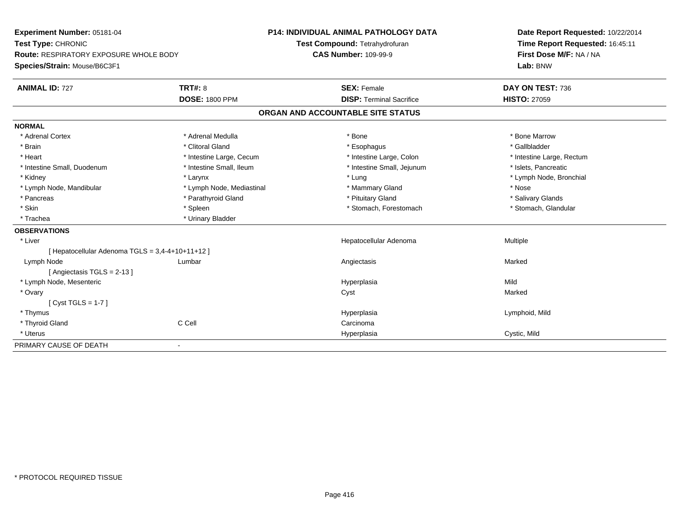| Experiment Number: 05181-04                      | <b>P14: INDIVIDUAL ANIMAL PATHOLOGY DATA</b> |                                   | Date Report Requested: 10/22/2014 |
|--------------------------------------------------|----------------------------------------------|-----------------------------------|-----------------------------------|
| Test Type: CHRONIC                               | Test Compound: Tetrahydrofuran               |                                   | Time Report Requested: 16:45:11   |
| <b>Route: RESPIRATORY EXPOSURE WHOLE BODY</b>    |                                              | <b>CAS Number: 109-99-9</b>       | First Dose M/F: NA / NA           |
| Species/Strain: Mouse/B6C3F1                     |                                              |                                   | Lab: BNW                          |
| <b>ANIMAL ID: 727</b>                            | <b>TRT#: 8</b>                               | <b>SEX: Female</b>                | DAY ON TEST: 736                  |
|                                                  | <b>DOSE: 1800 PPM</b>                        | <b>DISP: Terminal Sacrifice</b>   | <b>HISTO: 27059</b>               |
|                                                  |                                              | ORGAN AND ACCOUNTABLE SITE STATUS |                                   |
| <b>NORMAL</b>                                    |                                              |                                   |                                   |
| * Adrenal Cortex                                 | * Adrenal Medulla                            | * Bone                            | * Bone Marrow                     |
| * Brain                                          | * Clitoral Gland                             | * Esophagus                       | * Gallbladder                     |
| * Heart                                          | * Intestine Large, Cecum                     | * Intestine Large, Colon          | * Intestine Large, Rectum         |
| * Intestine Small, Duodenum                      | * Intestine Small, Ileum                     | * Intestine Small, Jejunum        | * Islets, Pancreatic              |
| * Kidney                                         | * Larynx                                     | * Lung                            | * Lymph Node, Bronchial           |
| * Lymph Node, Mandibular                         | * Lymph Node, Mediastinal                    | * Mammary Gland                   | * Nose                            |
| * Pancreas                                       | * Parathyroid Gland                          | * Pituitary Gland                 | * Salivary Glands                 |
| * Skin                                           | * Spleen                                     | * Stomach, Forestomach            | * Stomach, Glandular              |
| * Trachea                                        | * Urinary Bladder                            |                                   |                                   |
| <b>OBSERVATIONS</b>                              |                                              |                                   |                                   |
| * Liver                                          |                                              | Hepatocellular Adenoma            | Multiple                          |
| [ Hepatocellular Adenoma TGLS = 3,4-4+10+11+12 ] |                                              |                                   |                                   |
| Lymph Node                                       | Lumbar                                       | Angiectasis                       | Marked                            |
| [Angiectasis TGLS = 2-13]                        |                                              |                                   |                                   |
| * Lymph Node, Mesenteric                         |                                              | Hyperplasia                       | Mild                              |
| * Ovary                                          |                                              | Cyst                              | Marked                            |
| [Cyst TGLS = $1-7$ ]                             |                                              |                                   |                                   |
| * Thymus                                         |                                              | Hyperplasia                       | Lymphoid, Mild                    |
| * Thyroid Gland                                  | C Cell                                       | Carcinoma                         |                                   |
| * Uterus                                         |                                              | Hyperplasia                       | Cystic, Mild                      |
| PRIMARY CAUSE OF DEATH                           | $\overline{\phantom{a}}$                     |                                   |                                   |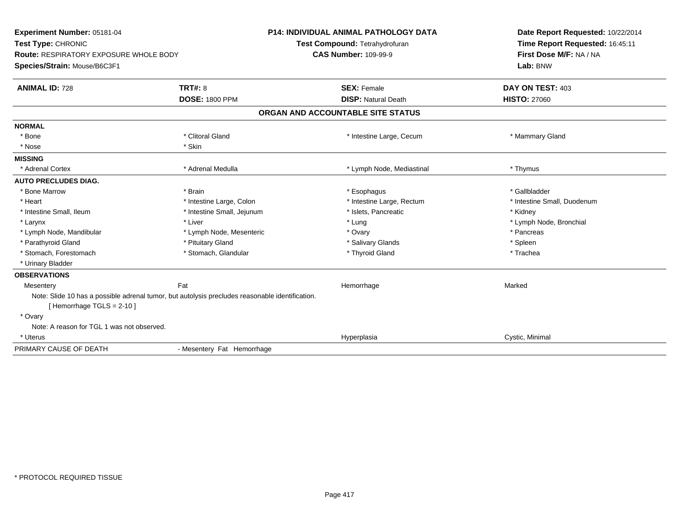| Experiment Number: 05181-04<br>Test Type: CHRONIC<br><b>Route: RESPIRATORY EXPOSURE WHOLE BODY</b>                             |                            | <b>P14: INDIVIDUAL ANIMAL PATHOLOGY DATA</b><br>Test Compound: Tetrahydrofuran<br><b>CAS Number: 109-99-9</b> | Date Report Requested: 10/22/2014<br>Time Report Requested: 16:45:11<br>First Dose M/F: NA / NA |
|--------------------------------------------------------------------------------------------------------------------------------|----------------------------|---------------------------------------------------------------------------------------------------------------|-------------------------------------------------------------------------------------------------|
| Species/Strain: Mouse/B6C3F1                                                                                                   |                            |                                                                                                               | Lab: BNW                                                                                        |
| <b>ANIMAL ID: 728</b>                                                                                                          | <b>TRT#: 8</b>             | <b>SEX: Female</b>                                                                                            | DAY ON TEST: 403                                                                                |
|                                                                                                                                | <b>DOSE: 1800 PPM</b>      | <b>DISP: Natural Death</b>                                                                                    | <b>HISTO: 27060</b>                                                                             |
|                                                                                                                                |                            | ORGAN AND ACCOUNTABLE SITE STATUS                                                                             |                                                                                                 |
| <b>NORMAL</b>                                                                                                                  |                            |                                                                                                               |                                                                                                 |
| * Bone                                                                                                                         | * Clitoral Gland           | * Intestine Large, Cecum                                                                                      | * Mammary Gland                                                                                 |
| * Nose                                                                                                                         | * Skin                     |                                                                                                               |                                                                                                 |
| <b>MISSING</b>                                                                                                                 |                            |                                                                                                               |                                                                                                 |
| * Adrenal Cortex                                                                                                               | * Adrenal Medulla          | * Lymph Node, Mediastinal                                                                                     | * Thymus                                                                                        |
| <b>AUTO PRECLUDES DIAG.</b>                                                                                                    |                            |                                                                                                               |                                                                                                 |
| * Bone Marrow                                                                                                                  | * Brain                    | * Esophagus                                                                                                   | * Gallbladder                                                                                   |
| * Heart                                                                                                                        | * Intestine Large, Colon   | * Intestine Large, Rectum                                                                                     | * Intestine Small, Duodenum                                                                     |
| * Intestine Small, Ileum                                                                                                       | * Intestine Small, Jejunum | * Islets, Pancreatic                                                                                          | * Kidney                                                                                        |
| * Larynx                                                                                                                       | * Liver                    | * Lung                                                                                                        | * Lymph Node, Bronchial                                                                         |
| * Lymph Node, Mandibular                                                                                                       | * Lymph Node, Mesenteric   | * Ovary                                                                                                       | * Pancreas                                                                                      |
| * Parathyroid Gland                                                                                                            | * Pituitary Gland          | * Salivary Glands                                                                                             | * Spleen                                                                                        |
| * Stomach, Forestomach                                                                                                         | * Stomach, Glandular       | * Thyroid Gland                                                                                               | * Trachea                                                                                       |
| * Urinary Bladder                                                                                                              |                            |                                                                                                               |                                                                                                 |
| <b>OBSERVATIONS</b>                                                                                                            |                            |                                                                                                               |                                                                                                 |
| Mesentery                                                                                                                      | Fat                        | Hemorrhage                                                                                                    | Marked                                                                                          |
| Note: Slide 10 has a possible adrenal tumor, but autolysis precludes reasonable identification.<br>[Hemorrhage TGLS = $2-10$ ] |                            |                                                                                                               |                                                                                                 |
| * Ovary                                                                                                                        |                            |                                                                                                               |                                                                                                 |
| Note: A reason for TGL 1 was not observed.                                                                                     |                            |                                                                                                               |                                                                                                 |
| * Uterus                                                                                                                       |                            | Hyperplasia                                                                                                   | Cystic, Minimal                                                                                 |
| PRIMARY CAUSE OF DEATH                                                                                                         | - Mesentery Fat Hemorrhage |                                                                                                               |                                                                                                 |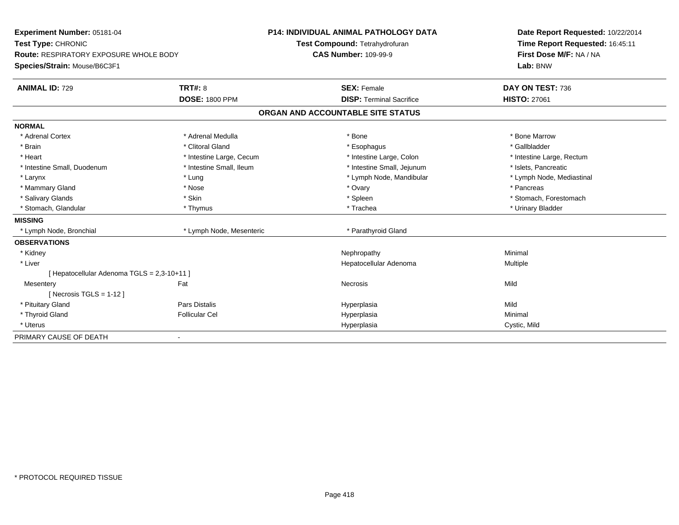| Experiment Number: 05181-04                   | <b>P14: INDIVIDUAL ANIMAL PATHOLOGY DATA</b><br>Test Compound: Tetrahydrofuran |                                   | Date Report Requested: 10/22/2014 |
|-----------------------------------------------|--------------------------------------------------------------------------------|-----------------------------------|-----------------------------------|
| Test Type: CHRONIC                            |                                                                                |                                   | Time Report Requested: 16:45:11   |
| <b>Route: RESPIRATORY EXPOSURE WHOLE BODY</b> |                                                                                | <b>CAS Number: 109-99-9</b>       | First Dose M/F: NA / NA           |
| Species/Strain: Mouse/B6C3F1                  |                                                                                |                                   | Lab: BNW                          |
| <b>ANIMAL ID: 729</b>                         | <b>TRT#: 8</b>                                                                 | <b>SEX: Female</b>                | DAY ON TEST: 736                  |
|                                               | <b>DOSE: 1800 PPM</b>                                                          | <b>DISP: Terminal Sacrifice</b>   | <b>HISTO: 27061</b>               |
|                                               |                                                                                | ORGAN AND ACCOUNTABLE SITE STATUS |                                   |
| <b>NORMAL</b>                                 |                                                                                |                                   |                                   |
| * Adrenal Cortex                              | * Adrenal Medulla                                                              | * Bone                            | * Bone Marrow                     |
| * Brain                                       | * Clitoral Gland                                                               | * Esophagus                       | * Gallbladder                     |
| * Heart                                       | * Intestine Large, Cecum                                                       | * Intestine Large, Colon          | * Intestine Large, Rectum         |
| * Intestine Small, Duodenum                   | * Intestine Small, Ileum                                                       | * Intestine Small, Jejunum        | * Islets, Pancreatic              |
| * Larynx                                      | * Lung                                                                         | * Lymph Node, Mandibular          | * Lymph Node, Mediastinal         |
| * Mammary Gland                               | * Nose                                                                         | * Ovary                           | * Pancreas                        |
| * Salivary Glands                             | * Skin                                                                         | * Spleen                          | * Stomach. Forestomach            |
| * Stomach, Glandular                          | * Thymus                                                                       | * Trachea                         | * Urinary Bladder                 |
| <b>MISSING</b>                                |                                                                                |                                   |                                   |
| * Lymph Node, Bronchial                       | * Lymph Node, Mesenteric                                                       | * Parathyroid Gland               |                                   |
| <b>OBSERVATIONS</b>                           |                                                                                |                                   |                                   |
| * Kidney                                      |                                                                                | Nephropathy                       | Minimal                           |
| * Liver                                       |                                                                                | Hepatocellular Adenoma            | Multiple                          |
| [ Hepatocellular Adenoma TGLS = 2,3-10+11 ]   |                                                                                |                                   |                                   |
| Mesentery                                     | Fat                                                                            | Necrosis                          | Mild                              |
| [ Necrosis $TGLS = 1-12$ ]                    |                                                                                |                                   |                                   |
| * Pituitary Gland                             | Pars Distalis                                                                  | Hyperplasia                       | Mild                              |
| * Thyroid Gland                               | <b>Follicular Cel</b>                                                          | Hyperplasia                       | Minimal                           |
| * Uterus                                      |                                                                                | Hyperplasia                       | Cystic, Mild                      |
| PRIMARY CAUSE OF DEATH                        | $\overline{\phantom{0}}$                                                       |                                   |                                   |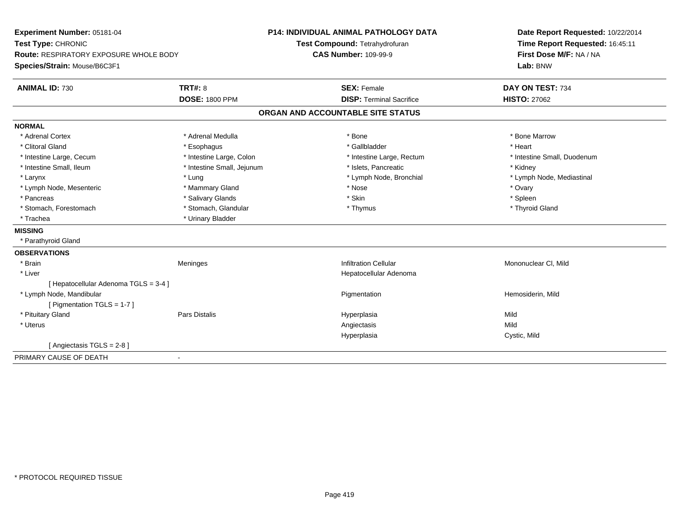| Experiment Number: 05181-04<br>Test Type: CHRONIC<br><b>Route: RESPIRATORY EXPOSURE WHOLE BODY</b> |                            | <b>P14: INDIVIDUAL ANIMAL PATHOLOGY DATA</b><br>Test Compound: Tetrahydrofuran<br><b>CAS Number: 109-99-9</b> | Date Report Requested: 10/22/2014<br>Time Report Requested: 16:45:11<br>First Dose M/F: NA / NA |
|----------------------------------------------------------------------------------------------------|----------------------------|---------------------------------------------------------------------------------------------------------------|-------------------------------------------------------------------------------------------------|
| Species/Strain: Mouse/B6C3F1                                                                       |                            |                                                                                                               | Lab: BNW                                                                                        |
| <b>ANIMAL ID: 730</b>                                                                              | <b>TRT#: 8</b>             | <b>SEX: Female</b>                                                                                            | DAY ON TEST: 734                                                                                |
|                                                                                                    | <b>DOSE: 1800 PPM</b>      | <b>DISP: Terminal Sacrifice</b>                                                                               | <b>HISTO: 27062</b>                                                                             |
|                                                                                                    |                            | ORGAN AND ACCOUNTABLE SITE STATUS                                                                             |                                                                                                 |
| <b>NORMAL</b>                                                                                      |                            |                                                                                                               |                                                                                                 |
| * Adrenal Cortex                                                                                   | * Adrenal Medulla          | * Bone                                                                                                        | * Bone Marrow                                                                                   |
| * Clitoral Gland                                                                                   | * Esophagus                | * Gallbladder                                                                                                 | * Heart                                                                                         |
| * Intestine Large, Cecum                                                                           | * Intestine Large, Colon   | * Intestine Large, Rectum                                                                                     | * Intestine Small, Duodenum                                                                     |
| * Intestine Small, Ileum                                                                           | * Intestine Small, Jejunum | * Islets, Pancreatic                                                                                          | * Kidney                                                                                        |
| * Larynx                                                                                           | * Lung                     | * Lymph Node, Bronchial                                                                                       | * Lymph Node, Mediastinal                                                                       |
| * Lymph Node, Mesenteric                                                                           | * Mammary Gland            | * Nose                                                                                                        | * Ovary                                                                                         |
| * Pancreas                                                                                         | * Salivary Glands          | * Skin                                                                                                        | * Spleen                                                                                        |
| * Stomach, Forestomach                                                                             | * Stomach, Glandular       | * Thymus                                                                                                      | * Thyroid Gland                                                                                 |
| * Trachea                                                                                          | * Urinary Bladder          |                                                                                                               |                                                                                                 |
| <b>MISSING</b>                                                                                     |                            |                                                                                                               |                                                                                                 |
| * Parathyroid Gland                                                                                |                            |                                                                                                               |                                                                                                 |
| <b>OBSERVATIONS</b>                                                                                |                            |                                                                                                               |                                                                                                 |
| * Brain                                                                                            | Meninges                   | <b>Infiltration Cellular</b>                                                                                  | Mononuclear CI, Mild                                                                            |
| * Liver                                                                                            |                            | Hepatocellular Adenoma                                                                                        |                                                                                                 |
| [Hepatocellular Adenoma TGLS = 3-4]                                                                |                            |                                                                                                               |                                                                                                 |
| * Lymph Node, Mandibular                                                                           |                            | Pigmentation                                                                                                  | Hemosiderin, Mild                                                                               |
| [ Pigmentation TGLS = 1-7 ]                                                                        |                            |                                                                                                               |                                                                                                 |
| * Pituitary Gland                                                                                  | <b>Pars Distalis</b>       | Hyperplasia                                                                                                   | Mild                                                                                            |
| * Uterus                                                                                           |                            | Angiectasis                                                                                                   | Mild                                                                                            |
|                                                                                                    |                            | Hyperplasia                                                                                                   | Cystic, Mild                                                                                    |
| [Angiectasis TGLS = $2-8$ ]                                                                        |                            |                                                                                                               |                                                                                                 |
| PRIMARY CAUSE OF DEATH                                                                             |                            |                                                                                                               |                                                                                                 |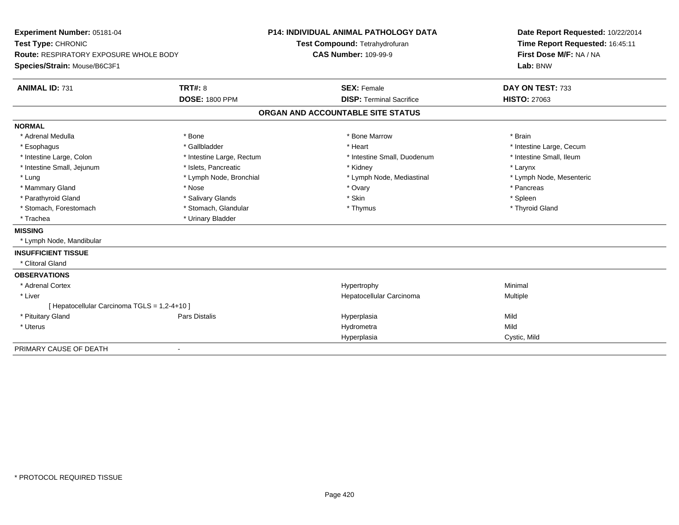| Experiment Number: 05181-04                   |                           | <b>P14: INDIVIDUAL ANIMAL PATHOLOGY DATA</b> |                                 | Date Report Requested: 10/22/2014 |
|-----------------------------------------------|---------------------------|----------------------------------------------|---------------------------------|-----------------------------------|
| Test Type: CHRONIC                            |                           | Test Compound: Tetrahydrofuran               |                                 | Time Report Requested: 16:45:11   |
| <b>Route: RESPIRATORY EXPOSURE WHOLE BODY</b> |                           | <b>CAS Number: 109-99-9</b>                  |                                 | First Dose M/F: NA / NA           |
| Species/Strain: Mouse/B6C3F1                  |                           |                                              |                                 | Lab: BNW                          |
| <b>ANIMAL ID: 731</b>                         | <b>TRT#: 8</b>            | <b>SEX: Female</b>                           |                                 | DAY ON TEST: 733                  |
|                                               | <b>DOSE: 1800 PPM</b>     |                                              | <b>DISP: Terminal Sacrifice</b> | <b>HISTO: 27063</b>               |
|                                               |                           | ORGAN AND ACCOUNTABLE SITE STATUS            |                                 |                                   |
| <b>NORMAL</b>                                 |                           |                                              |                                 |                                   |
| * Adrenal Medulla                             | * Bone                    |                                              | * Bone Marrow                   | * Brain                           |
| * Esophagus                                   | * Gallbladder             | * Heart                                      |                                 | * Intestine Large, Cecum          |
| * Intestine Large, Colon                      | * Intestine Large, Rectum |                                              | * Intestine Small, Duodenum     | * Intestine Small, Ileum          |
| * Intestine Small, Jejunum                    | * Islets, Pancreatic      | * Kidney                                     |                                 | * Larynx                          |
| * Lung                                        | * Lymph Node, Bronchial   |                                              | * Lymph Node, Mediastinal       | * Lymph Node, Mesenteric          |
| * Mammary Gland                               | * Nose                    | * Ovary                                      |                                 | * Pancreas                        |
| * Parathyroid Gland                           | * Salivary Glands         | * Skin                                       |                                 | * Spleen                          |
| * Stomach, Forestomach                        | * Stomach, Glandular      | * Thymus                                     |                                 | * Thyroid Gland                   |
| * Trachea                                     | * Urinary Bladder         |                                              |                                 |                                   |
| <b>MISSING</b>                                |                           |                                              |                                 |                                   |
| * Lymph Node, Mandibular                      |                           |                                              |                                 |                                   |
| <b>INSUFFICIENT TISSUE</b>                    |                           |                                              |                                 |                                   |
| * Clitoral Gland                              |                           |                                              |                                 |                                   |
| <b>OBSERVATIONS</b>                           |                           |                                              |                                 |                                   |
| * Adrenal Cortex                              |                           | Hypertrophy                                  |                                 | Minimal                           |
| * Liver                                       |                           |                                              | Hepatocellular Carcinoma        | Multiple                          |
| [ Hepatocellular Carcinoma TGLS = 1,2-4+10 ]  |                           |                                              |                                 |                                   |
| * Pituitary Gland                             | Pars Distalis             | Hyperplasia                                  |                                 | Mild                              |
| * Uterus                                      |                           | Hydrometra                                   |                                 | Mild                              |
|                                               |                           | Hyperplasia                                  |                                 | Cystic, Mild                      |
| PRIMARY CAUSE OF DEATH                        | $\blacksquare$            |                                              |                                 |                                   |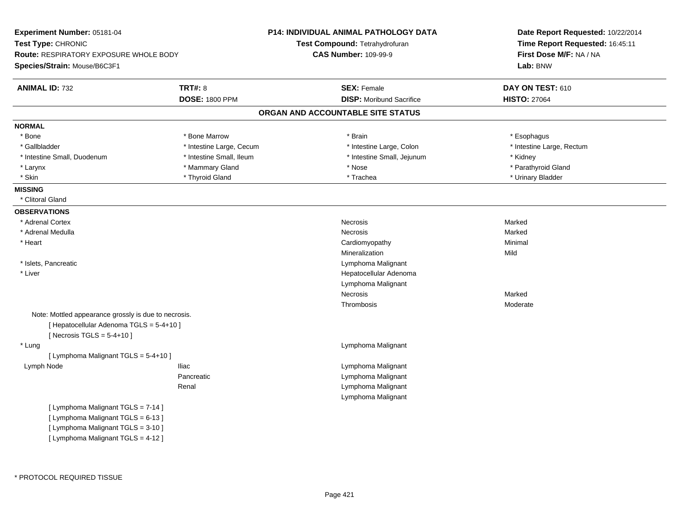| Experiment Number: 05181-04                                                                                                                          |                          | P14: INDIVIDUAL ANIMAL PATHOLOGY DATA | Date Report Requested: 10/22/2014<br>Time Report Requested: 16:45:11<br>First Dose M/F: NA / NA |  |
|------------------------------------------------------------------------------------------------------------------------------------------------------|--------------------------|---------------------------------------|-------------------------------------------------------------------------------------------------|--|
| Test Type: CHRONIC                                                                                                                                   |                          | Test Compound: Tetrahydrofuran        |                                                                                                 |  |
| <b>Route: RESPIRATORY EXPOSURE WHOLE BODY</b>                                                                                                        |                          | <b>CAS Number: 109-99-9</b>           |                                                                                                 |  |
| Species/Strain: Mouse/B6C3F1                                                                                                                         |                          |                                       | Lab: BNW                                                                                        |  |
| <b>ANIMAL ID: 732</b>                                                                                                                                | <b>TRT#: 8</b>           | <b>SEX: Female</b>                    | DAY ON TEST: 610                                                                                |  |
|                                                                                                                                                      | <b>DOSE: 1800 PPM</b>    | <b>DISP:</b> Moribund Sacrifice       | <b>HISTO: 27064</b>                                                                             |  |
|                                                                                                                                                      |                          | ORGAN AND ACCOUNTABLE SITE STATUS     |                                                                                                 |  |
| <b>NORMAL</b>                                                                                                                                        |                          |                                       |                                                                                                 |  |
| * Bone                                                                                                                                               | * Bone Marrow            | * Brain                               | * Esophagus                                                                                     |  |
| * Gallbladder                                                                                                                                        | * Intestine Large, Cecum | * Intestine Large, Colon              | * Intestine Large, Rectum                                                                       |  |
| * Intestine Small, Duodenum                                                                                                                          | * Intestine Small, Ileum | * Intestine Small, Jejunum            | * Kidney                                                                                        |  |
| * Larynx                                                                                                                                             | * Mammary Gland          | * Nose                                | * Parathyroid Gland                                                                             |  |
| * Skin                                                                                                                                               | * Thyroid Gland          | * Trachea                             | * Urinary Bladder                                                                               |  |
| <b>MISSING</b>                                                                                                                                       |                          |                                       |                                                                                                 |  |
| * Clitoral Gland                                                                                                                                     |                          |                                       |                                                                                                 |  |
| <b>OBSERVATIONS</b>                                                                                                                                  |                          |                                       |                                                                                                 |  |
| * Adrenal Cortex                                                                                                                                     |                          | Necrosis                              | Marked                                                                                          |  |
| * Adrenal Medulla                                                                                                                                    |                          | <b>Necrosis</b>                       | Marked                                                                                          |  |
| * Heart                                                                                                                                              |                          | Cardiomyopathy                        | Minimal                                                                                         |  |
|                                                                                                                                                      |                          | Mineralization                        | Mild                                                                                            |  |
| * Islets, Pancreatic                                                                                                                                 |                          | Lymphoma Malignant                    |                                                                                                 |  |
| * Liver                                                                                                                                              |                          | Hepatocellular Adenoma                |                                                                                                 |  |
|                                                                                                                                                      |                          | Lymphoma Malignant                    |                                                                                                 |  |
|                                                                                                                                                      |                          | Necrosis                              | Marked                                                                                          |  |
|                                                                                                                                                      |                          | Thrombosis                            | Moderate                                                                                        |  |
| Note: Mottled appearance grossly is due to necrosis.<br>[ Hepatocellular Adenoma TGLS = 5-4+10 ]<br>[Necrosis TGLS = $5-4+10$ ]                      |                          |                                       |                                                                                                 |  |
| * Lung                                                                                                                                               |                          | Lymphoma Malignant                    |                                                                                                 |  |
| [ Lymphoma Malignant TGLS = 5-4+10 ]                                                                                                                 |                          |                                       |                                                                                                 |  |
| Lymph Node                                                                                                                                           | Iliac                    | Lymphoma Malignant                    |                                                                                                 |  |
|                                                                                                                                                      | Pancreatic               | Lymphoma Malignant                    |                                                                                                 |  |
|                                                                                                                                                      | Renal                    | Lymphoma Malignant                    |                                                                                                 |  |
|                                                                                                                                                      |                          | Lymphoma Malignant                    |                                                                                                 |  |
| [ Lymphoma Malignant TGLS = 7-14 ]<br>[ Lymphoma Malignant TGLS = 6-13 ]<br>[ Lymphoma Malignant TGLS = 3-10 ]<br>[ Lymphoma Malignant TGLS = 4-12 ] |                          |                                       |                                                                                                 |  |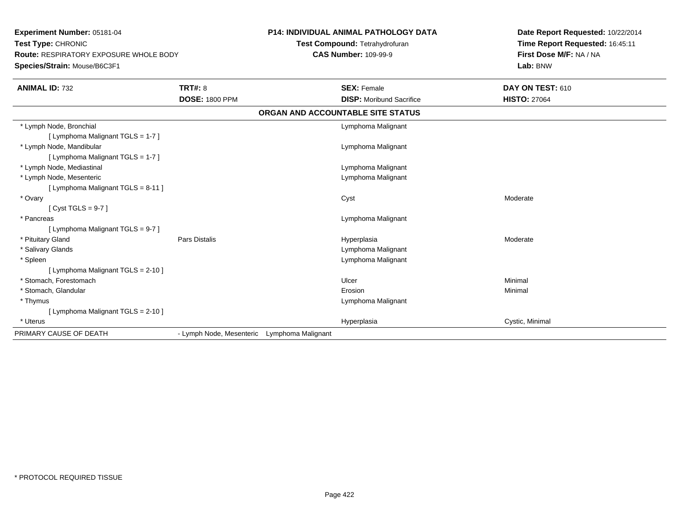**Experiment Number:** 05181-04**Test Type:** CHRONIC **Route:** RESPIRATORY EXPOSURE WHOLE BODY**Species/Strain:** Mouse/B6C3F1**P14: INDIVIDUAL ANIMAL PATHOLOGY DATATest Compound:** Tetrahydrofuran**CAS Number:** 109-99-9**Date Report Requested:** 10/22/2014**Time Report Requested:** 16:45:11**First Dose M/F:** NA / NA**Lab:** BNW**ANIMAL ID:** 732**TRT#:** 8 **SEX:** Female **DAY ON TEST:** 610 **DOSE:** 1800 PPM**DISP:** Moribund Sacrifice **HISTO:** 27064 **ORGAN AND ACCOUNTABLE SITE STATUS** \* Lymph Node, Bronchial Lymphoma Malignant[ Lymphoma Malignant TGLS = 1-7 ] \* Lymph Node, Mandibular Lymphoma Malignant [ Lymphoma Malignant TGLS = 1-7 ] \* Lymph Node, Mediastinal Lymphoma Malignant \* Lymph Node, Mesenteric Lymphoma Malignant [ Lymphoma Malignant TGLS = 8-11 ] \* Ovaryy and the control of the control of the control of the control of the control of the control of the control of the control of the control of the control of the control of the control of the control of the control of the co  $[$  Cyst TGLS = 9-7  $]$  \* Pancreas Lymphoma Malignant [ Lymphoma Malignant TGLS = 9-7 ] \* Pituitary Gland Pars Distalis Hyperplasia Moderate \* Salivary Glands Lymphoma Malignant \* Spleen Lymphoma Malignant [ Lymphoma Malignant TGLS = 2-10 ] \* Stomach, Forestomachh anns an t-ainmeile anns an t-ainmeile anns an t-ainmeile anns an t-ainmeile an t-ainmeile an t-ainmeile an t- \* Stomach, Glandularr and the contract of the contract of the contract of the contract of the contract of the contract of the contract of the contract of the contract of the contract of the contract of the contract of the contract of the cont n and a basic control of the Minimal \* Thymus Lymphoma Malignant [ Lymphoma Malignant TGLS = 2-10 ] \* Uteruss and the contract of the contract of the contract of the contract of the contract of the contract of the contract of the contract of the contract of the contract of the contract of the contract of the contract of the cont Hyperplasia **Cystic, Minimal** PRIMARY CAUSE OF DEATH- Lymph Node, Mesenteric Lymphoma Malignant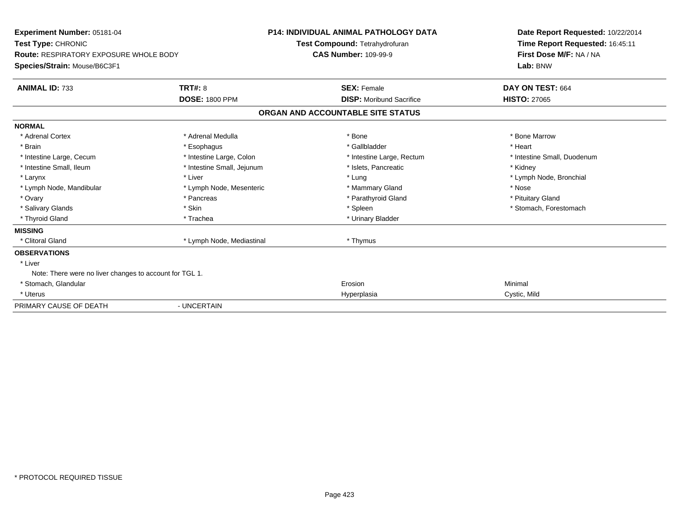| Experiment Number: 05181-04<br>Test Type: CHRONIC<br><b>Route: RESPIRATORY EXPOSURE WHOLE BODY</b><br>Species/Strain: Mouse/B6C3F1 |                            | <b>P14: INDIVIDUAL ANIMAL PATHOLOGY DATA</b><br>Test Compound: Tetrahydrofuran<br><b>CAS Number: 109-99-9</b> |                                   | Date Report Requested: 10/22/2014<br>Time Report Requested: 16:45:11<br>First Dose M/F: NA / NA<br>Lab: BNW |
|------------------------------------------------------------------------------------------------------------------------------------|----------------------------|---------------------------------------------------------------------------------------------------------------|-----------------------------------|-------------------------------------------------------------------------------------------------------------|
| <b>ANIMAL ID: 733</b>                                                                                                              | <b>TRT#: 8</b>             |                                                                                                               | <b>SEX: Female</b>                | DAY ON TEST: 664                                                                                            |
|                                                                                                                                    | <b>DOSE: 1800 PPM</b>      |                                                                                                               | <b>DISP:</b> Moribund Sacrifice   | <b>HISTO: 27065</b>                                                                                         |
|                                                                                                                                    |                            |                                                                                                               | ORGAN AND ACCOUNTABLE SITE STATUS |                                                                                                             |
| <b>NORMAL</b>                                                                                                                      |                            |                                                                                                               |                                   |                                                                                                             |
| * Adrenal Cortex                                                                                                                   | * Adrenal Medulla          |                                                                                                               | * Bone                            | * Bone Marrow                                                                                               |
| * Brain                                                                                                                            | * Esophagus                |                                                                                                               | * Gallbladder                     | * Heart                                                                                                     |
| * Intestine Large, Cecum                                                                                                           | * Intestine Large, Colon   |                                                                                                               | * Intestine Large, Rectum         | * Intestine Small, Duodenum                                                                                 |
| * Intestine Small, Ileum                                                                                                           | * Intestine Small, Jejunum |                                                                                                               | * Islets. Pancreatic              | * Kidney                                                                                                    |
| * Larynx                                                                                                                           | * Liver                    |                                                                                                               | * Lung                            | * Lymph Node, Bronchial                                                                                     |
| * Lymph Node, Mandibular                                                                                                           | * Lymph Node, Mesenteric   |                                                                                                               | * Mammary Gland                   | * Nose                                                                                                      |
| * Ovary                                                                                                                            | * Pancreas                 |                                                                                                               | * Parathyroid Gland               | * Pituitary Gland                                                                                           |
| * Salivary Glands                                                                                                                  | * Skin                     |                                                                                                               | * Spleen                          | * Stomach. Forestomach                                                                                      |
| * Thyroid Gland                                                                                                                    | * Trachea                  |                                                                                                               | * Urinary Bladder                 |                                                                                                             |
| <b>MISSING</b>                                                                                                                     |                            |                                                                                                               |                                   |                                                                                                             |
| * Clitoral Gland                                                                                                                   | * Lymph Node, Mediastinal  |                                                                                                               | * Thymus                          |                                                                                                             |
| <b>OBSERVATIONS</b>                                                                                                                |                            |                                                                                                               |                                   |                                                                                                             |
| * Liver                                                                                                                            |                            |                                                                                                               |                                   |                                                                                                             |
| Note: There were no liver changes to account for TGL 1.                                                                            |                            |                                                                                                               |                                   |                                                                                                             |
| * Stomach, Glandular                                                                                                               |                            |                                                                                                               | Erosion                           | Minimal                                                                                                     |
| * Uterus                                                                                                                           |                            |                                                                                                               | Hyperplasia                       | Cystic, Mild                                                                                                |
| PRIMARY CAUSE OF DEATH                                                                                                             | - UNCERTAIN                |                                                                                                               |                                   |                                                                                                             |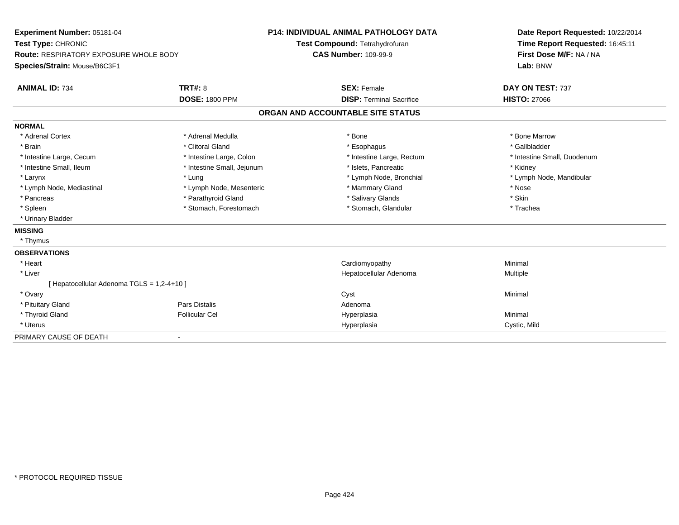| <b>Experiment Number: 05181-04</b><br>Test Type: CHRONIC<br><b>Route: RESPIRATORY EXPOSURE WHOLE BODY</b> |                            | <b>P14: INDIVIDUAL ANIMAL PATHOLOGY DATA</b> | Date Report Requested: 10/22/2014<br>Time Report Requested: 16:45:11 |
|-----------------------------------------------------------------------------------------------------------|----------------------------|----------------------------------------------|----------------------------------------------------------------------|
|                                                                                                           |                            | Test Compound: Tetrahydrofuran               |                                                                      |
|                                                                                                           |                            | <b>CAS Number: 109-99-9</b>                  | First Dose M/F: NA / NA                                              |
| Species/Strain: Mouse/B6C3F1                                                                              |                            |                                              | Lab: BNW                                                             |
| <b>ANIMAL ID: 734</b>                                                                                     | <b>TRT#: 8</b>             | <b>SEX: Female</b>                           | DAY ON TEST: 737                                                     |
|                                                                                                           | <b>DOSE: 1800 PPM</b>      | <b>DISP: Terminal Sacrifice</b>              | <b>HISTO: 27066</b>                                                  |
|                                                                                                           |                            | ORGAN AND ACCOUNTABLE SITE STATUS            |                                                                      |
| <b>NORMAL</b>                                                                                             |                            |                                              |                                                                      |
| * Adrenal Cortex                                                                                          | * Adrenal Medulla          | * Bone                                       | * Bone Marrow                                                        |
| * Brain                                                                                                   | * Clitoral Gland           | * Esophagus                                  | * Gallbladder                                                        |
| * Intestine Large, Cecum                                                                                  | * Intestine Large, Colon   | * Intestine Large, Rectum                    | * Intestine Small, Duodenum                                          |
| * Intestine Small, Ileum                                                                                  | * Intestine Small, Jejunum | * Islets, Pancreatic                         | * Kidney                                                             |
| * Larynx                                                                                                  | * Lung                     | * Lymph Node, Bronchial                      | * Lymph Node, Mandibular                                             |
| * Lymph Node, Mediastinal                                                                                 | * Lymph Node, Mesenteric   | * Mammary Gland                              | * Nose                                                               |
| * Pancreas                                                                                                | * Parathyroid Gland        | * Salivary Glands                            | * Skin                                                               |
| * Spleen                                                                                                  | * Stomach, Forestomach     | * Stomach, Glandular                         | * Trachea                                                            |
| * Urinary Bladder                                                                                         |                            |                                              |                                                                      |
| <b>MISSING</b>                                                                                            |                            |                                              |                                                                      |
| * Thymus                                                                                                  |                            |                                              |                                                                      |
| <b>OBSERVATIONS</b>                                                                                       |                            |                                              |                                                                      |
| * Heart                                                                                                   |                            | Cardiomyopathy                               | Minimal                                                              |
| * Liver                                                                                                   |                            | Hepatocellular Adenoma                       | Multiple                                                             |
| [ Hepatocellular Adenoma TGLS = 1,2-4+10 ]                                                                |                            |                                              |                                                                      |
| * Ovary                                                                                                   |                            | Cyst                                         | Minimal                                                              |
| * Pituitary Gland                                                                                         | Pars Distalis              | Adenoma                                      |                                                                      |
| * Thyroid Gland                                                                                           | <b>Follicular Cel</b>      | Hyperplasia                                  | Minimal                                                              |
| * Uterus                                                                                                  |                            | Hyperplasia                                  | Cystic, Mild                                                         |
| PRIMARY CAUSE OF DEATH                                                                                    |                            |                                              |                                                                      |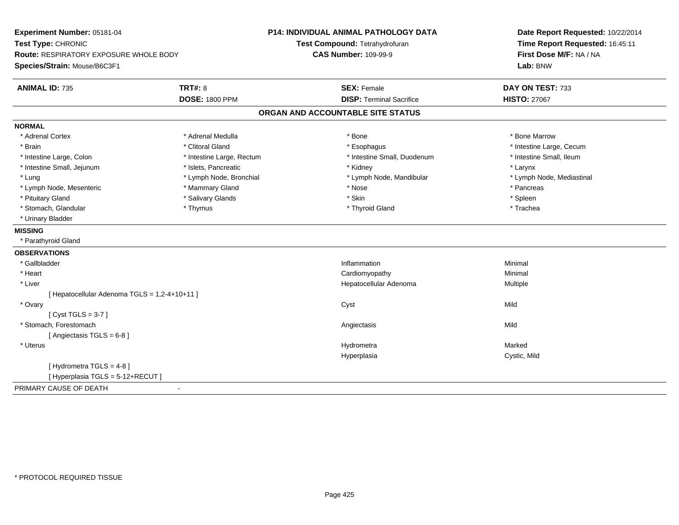| Experiment Number: 05181-04<br>Test Type: CHRONIC<br><b>Route: RESPIRATORY EXPOSURE WHOLE BODY</b><br>Species/Strain: Mouse/B6C3F1 |                           | <b>P14: INDIVIDUAL ANIMAL PATHOLOGY DATA</b> | Date Report Requested: 10/22/2014<br>Time Report Requested: 16:45:11<br>First Dose M/F: NA / NA |
|------------------------------------------------------------------------------------------------------------------------------------|---------------------------|----------------------------------------------|-------------------------------------------------------------------------------------------------|
|                                                                                                                                    |                           | Test Compound: Tetrahydrofuran               |                                                                                                 |
|                                                                                                                                    |                           | <b>CAS Number: 109-99-9</b>                  |                                                                                                 |
|                                                                                                                                    |                           |                                              | Lab: BNW                                                                                        |
| <b>ANIMAL ID: 735</b>                                                                                                              | <b>TRT#: 8</b>            | <b>SEX: Female</b>                           | DAY ON TEST: 733                                                                                |
|                                                                                                                                    | <b>DOSE: 1800 PPM</b>     | <b>DISP: Terminal Sacrifice</b>              | <b>HISTO: 27067</b>                                                                             |
|                                                                                                                                    |                           | ORGAN AND ACCOUNTABLE SITE STATUS            |                                                                                                 |
| <b>NORMAL</b>                                                                                                                      |                           |                                              |                                                                                                 |
| * Adrenal Cortex                                                                                                                   | * Adrenal Medulla         | * Bone                                       | * Bone Marrow                                                                                   |
| * Brain                                                                                                                            | * Clitoral Gland          | * Esophagus                                  | * Intestine Large, Cecum                                                                        |
| * Intestine Large, Colon                                                                                                           | * Intestine Large, Rectum | * Intestine Small, Duodenum                  | * Intestine Small, Ileum                                                                        |
| * Intestine Small, Jejunum                                                                                                         | * Islets, Pancreatic      | * Kidney                                     | * Larynx                                                                                        |
| * Lung                                                                                                                             | * Lymph Node, Bronchial   | * Lymph Node, Mandibular                     | * Lymph Node, Mediastinal                                                                       |
| * Lymph Node, Mesenteric                                                                                                           | * Mammary Gland           | * Nose                                       | * Pancreas                                                                                      |
| * Pituitary Gland                                                                                                                  | * Salivary Glands         | * Skin                                       | * Spleen                                                                                        |
| * Stomach, Glandular                                                                                                               | * Thymus                  | * Thyroid Gland                              | * Trachea                                                                                       |
| * Urinary Bladder                                                                                                                  |                           |                                              |                                                                                                 |
| <b>MISSING</b>                                                                                                                     |                           |                                              |                                                                                                 |
| * Parathyroid Gland                                                                                                                |                           |                                              |                                                                                                 |
| <b>OBSERVATIONS</b>                                                                                                                |                           |                                              |                                                                                                 |
| * Gallbladder                                                                                                                      |                           | Inflammation                                 | Minimal                                                                                         |
| * Heart                                                                                                                            |                           | Cardiomyopathy                               | Minimal                                                                                         |
| * Liver                                                                                                                            |                           | Hepatocellular Adenoma                       | <b>Multiple</b>                                                                                 |
| [Hepatocellular Adenoma TGLS = 1,2-4+10+11]                                                                                        |                           |                                              |                                                                                                 |
| * Ovary                                                                                                                            |                           | Cyst                                         | Mild                                                                                            |
| [Cyst TGLS = $3-7$ ]                                                                                                               |                           |                                              |                                                                                                 |
| * Stomach, Forestomach                                                                                                             |                           | Angiectasis                                  | Mild                                                                                            |
| [Angiectasis TGLS = 6-8]                                                                                                           |                           |                                              |                                                                                                 |
| * Uterus                                                                                                                           |                           | Hydrometra                                   | Marked                                                                                          |
|                                                                                                                                    |                           | Hyperplasia                                  | Cystic, Mild                                                                                    |
| [Hydrometra TGLS = 4-8]                                                                                                            |                           |                                              |                                                                                                 |
| [ Hyperplasia TGLS = 5-12+RECUT ]                                                                                                  |                           |                                              |                                                                                                 |
| PRIMARY CAUSE OF DEATH                                                                                                             |                           |                                              |                                                                                                 |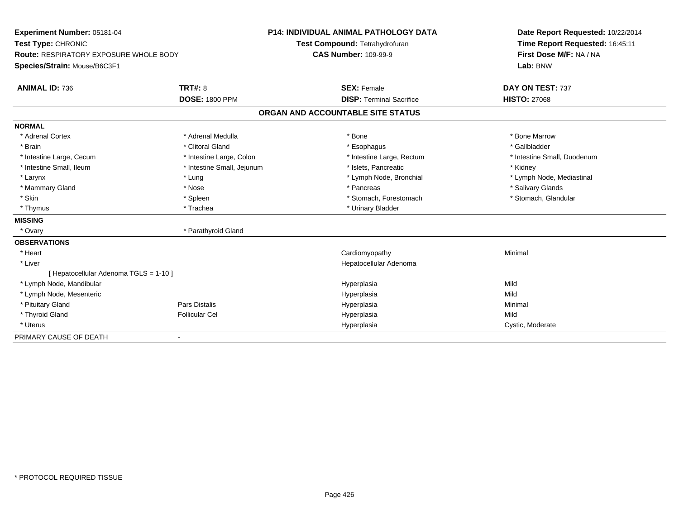| Experiment Number: 05181-04                   |                            | <b>P14: INDIVIDUAL ANIMAL PATHOLOGY DATA</b> |                                   |  | Date Report Requested: 10/22/2014 |
|-----------------------------------------------|----------------------------|----------------------------------------------|-----------------------------------|--|-----------------------------------|
| Test Type: CHRONIC                            |                            |                                              | Test Compound: Tetrahydrofuran    |  | Time Report Requested: 16:45:11   |
| <b>Route: RESPIRATORY EXPOSURE WHOLE BODY</b> |                            | <b>CAS Number: 109-99-9</b>                  |                                   |  | First Dose M/F: NA / NA           |
| Species/Strain: Mouse/B6C3F1                  |                            |                                              |                                   |  | Lab: BNW                          |
| <b>ANIMAL ID: 736</b>                         | <b>TRT#: 8</b>             |                                              | <b>SEX: Female</b>                |  | DAY ON TEST: 737                  |
|                                               | <b>DOSE: 1800 PPM</b>      |                                              | <b>DISP: Terminal Sacrifice</b>   |  | <b>HISTO: 27068</b>               |
|                                               |                            |                                              | ORGAN AND ACCOUNTABLE SITE STATUS |  |                                   |
| <b>NORMAL</b>                                 |                            |                                              |                                   |  |                                   |
| * Adrenal Cortex                              | * Adrenal Medulla          |                                              | * Bone                            |  | * Bone Marrow                     |
| * Brain                                       | * Clitoral Gland           |                                              | * Esophagus                       |  | * Gallbladder                     |
| * Intestine Large, Cecum                      | * Intestine Large, Colon   |                                              | * Intestine Large, Rectum         |  | * Intestine Small, Duodenum       |
| * Intestine Small, Ileum                      | * Intestine Small, Jejunum |                                              | * Islets, Pancreatic              |  | * Kidney                          |
| * Larynx                                      | * Lung                     |                                              | * Lymph Node, Bronchial           |  | * Lymph Node, Mediastinal         |
| * Mammary Gland                               | * Nose                     |                                              | * Pancreas                        |  | * Salivary Glands                 |
| * Skin                                        | * Spleen                   |                                              | * Stomach, Forestomach            |  | * Stomach, Glandular              |
| * Thymus                                      | * Trachea                  |                                              | * Urinary Bladder                 |  |                                   |
| <b>MISSING</b>                                |                            |                                              |                                   |  |                                   |
| * Ovary                                       | * Parathyroid Gland        |                                              |                                   |  |                                   |
| <b>OBSERVATIONS</b>                           |                            |                                              |                                   |  |                                   |
| * Heart                                       |                            |                                              | Cardiomyopathy                    |  | Minimal                           |
| * Liver                                       |                            |                                              | Hepatocellular Adenoma            |  |                                   |
| [ Hepatocellular Adenoma TGLS = 1-10 ]        |                            |                                              |                                   |  |                                   |
| * Lymph Node, Mandibular                      |                            |                                              | Hyperplasia                       |  | Mild                              |
| * Lymph Node, Mesenteric                      |                            |                                              | Hyperplasia                       |  | Mild                              |
| * Pituitary Gland                             | <b>Pars Distalis</b>       |                                              | Hyperplasia                       |  | Minimal                           |
| * Thyroid Gland                               | <b>Follicular Cel</b>      |                                              | Hyperplasia                       |  | Mild                              |
| * Uterus                                      |                            |                                              | Hyperplasia                       |  | Cystic, Moderate                  |
| PRIMARY CAUSE OF DEATH                        | $\overline{\phantom{a}}$   |                                              |                                   |  |                                   |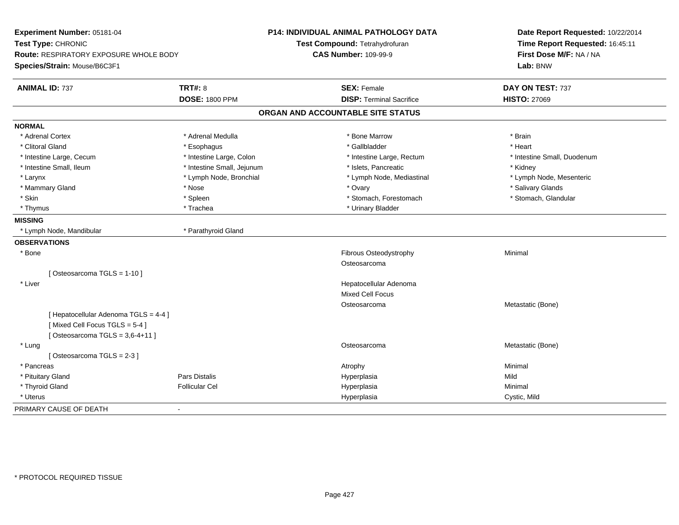| Experiment Number: 05181-04<br>Test Type: CHRONIC<br>Route: RESPIRATORY EXPOSURE WHOLE BODY<br>Species/Strain: Mouse/B6C3F1 |                                         | <b>P14: INDIVIDUAL ANIMAL PATHOLOGY DATA</b><br>Test Compound: Tetrahydrofuran<br><b>CAS Number: 109-99-9</b> | Date Report Requested: 10/22/2014<br>Time Report Requested: 16:45:11<br>First Dose M/F: NA / NA<br>Lab: BNW |
|-----------------------------------------------------------------------------------------------------------------------------|-----------------------------------------|---------------------------------------------------------------------------------------------------------------|-------------------------------------------------------------------------------------------------------------|
| <b>ANIMAL ID: 737</b>                                                                                                       | <b>TRT#: 8</b><br><b>DOSE: 1800 PPM</b> | <b>SEX: Female</b><br><b>DISP: Terminal Sacrifice</b>                                                         | DAY ON TEST: 737<br><b>HISTO: 27069</b>                                                                     |
|                                                                                                                             |                                         | ORGAN AND ACCOUNTABLE SITE STATUS                                                                             |                                                                                                             |
| <b>NORMAL</b>                                                                                                               |                                         |                                                                                                               |                                                                                                             |
| * Adrenal Cortex                                                                                                            | * Adrenal Medulla                       | * Bone Marrow                                                                                                 | * Brain                                                                                                     |
| * Clitoral Gland                                                                                                            | * Esophagus                             | * Gallbladder                                                                                                 | * Heart                                                                                                     |
| * Intestine Large, Cecum                                                                                                    | * Intestine Large, Colon                | * Intestine Large, Rectum                                                                                     | * Intestine Small, Duodenum                                                                                 |
| * Intestine Small, Ileum                                                                                                    | * Intestine Small, Jejunum              | * Islets, Pancreatic                                                                                          | * Kidney                                                                                                    |
| * Larynx                                                                                                                    | * Lymph Node, Bronchial                 | * Lymph Node, Mediastinal                                                                                     | * Lymph Node, Mesenteric                                                                                    |
| * Mammary Gland                                                                                                             | * Nose                                  | * Ovary                                                                                                       | * Salivary Glands                                                                                           |
| * Skin                                                                                                                      | * Spleen                                | * Stomach, Forestomach                                                                                        | * Stomach, Glandular                                                                                        |
| * Thymus                                                                                                                    | * Trachea                               | * Urinary Bladder                                                                                             |                                                                                                             |
| <b>MISSING</b>                                                                                                              |                                         |                                                                                                               |                                                                                                             |
| * Lymph Node, Mandibular                                                                                                    | * Parathyroid Gland                     |                                                                                                               |                                                                                                             |
| <b>OBSERVATIONS</b>                                                                                                         |                                         |                                                                                                               |                                                                                                             |
| * Bone                                                                                                                      |                                         | Fibrous Osteodystrophy                                                                                        | Minimal                                                                                                     |
|                                                                                                                             |                                         | Osteosarcoma                                                                                                  |                                                                                                             |
| [Osteosarcoma TGLS = 1-10]                                                                                                  |                                         |                                                                                                               |                                                                                                             |
| * Liver                                                                                                                     |                                         | Hepatocellular Adenoma                                                                                        |                                                                                                             |
|                                                                                                                             |                                         | <b>Mixed Cell Focus</b>                                                                                       |                                                                                                             |
|                                                                                                                             |                                         | Osteosarcoma                                                                                                  | Metastatic (Bone)                                                                                           |
| [ Hepatocellular Adenoma TGLS = 4-4 ]                                                                                       |                                         |                                                                                                               |                                                                                                             |
| [Mixed Cell Focus TGLS = 5-4]                                                                                               |                                         |                                                                                                               |                                                                                                             |
| [Osteosarcoma TGLS = $3,6-4+11$ ]                                                                                           |                                         |                                                                                                               |                                                                                                             |
| * Lung                                                                                                                      |                                         | Osteosarcoma                                                                                                  | Metastatic (Bone)                                                                                           |
| [Osteosarcoma TGLS = 2-3]                                                                                                   |                                         |                                                                                                               |                                                                                                             |
| * Pancreas                                                                                                                  | Pars Distalis                           | Atrophy                                                                                                       | Minimal<br>Mild                                                                                             |
| * Pituitary Gland<br>* Thyroid Gland                                                                                        | <b>Follicular Cel</b>                   | Hyperplasia<br>Hyperplasia                                                                                    | Minimal                                                                                                     |
| * Uterus                                                                                                                    |                                         | Hyperplasia                                                                                                   | Cystic, Mild                                                                                                |
| PRIMARY CAUSE OF DEATH                                                                                                      |                                         |                                                                                                               |                                                                                                             |
|                                                                                                                             |                                         |                                                                                                               |                                                                                                             |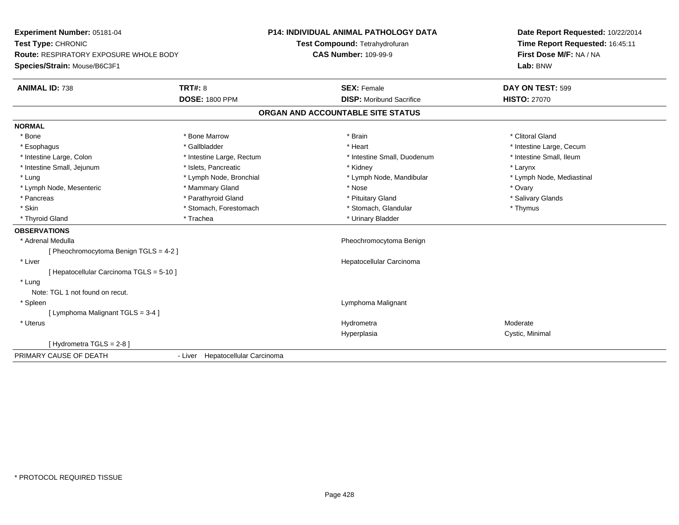| Experiment Number: 05181-04                   |                                  | <b>P14: INDIVIDUAL ANIMAL PATHOLOGY DATA</b> | Date Report Requested: 10/22/2014 |
|-----------------------------------------------|----------------------------------|----------------------------------------------|-----------------------------------|
| Test Type: CHRONIC                            |                                  | Test Compound: Tetrahydrofuran               | Time Report Requested: 16:45:11   |
| <b>Route: RESPIRATORY EXPOSURE WHOLE BODY</b> |                                  | <b>CAS Number: 109-99-9</b>                  | First Dose M/F: NA / NA           |
| Species/Strain: Mouse/B6C3F1                  |                                  |                                              | Lab: BNW                          |
| <b>ANIMAL ID: 738</b>                         | <b>TRT#: 8</b>                   | <b>SEX: Female</b>                           | DAY ON TEST: 599                  |
|                                               | <b>DOSE: 1800 PPM</b>            | <b>DISP:</b> Moribund Sacrifice              | <b>HISTO: 27070</b>               |
|                                               |                                  | ORGAN AND ACCOUNTABLE SITE STATUS            |                                   |
| <b>NORMAL</b>                                 |                                  |                                              |                                   |
| * Bone                                        | * Bone Marrow                    | * Brain                                      | * Clitoral Gland                  |
| * Esophagus                                   | * Gallbladder                    | * Heart                                      | * Intestine Large, Cecum          |
| * Intestine Large, Colon                      | * Intestine Large, Rectum        | * Intestine Small, Duodenum                  | * Intestine Small, Ileum          |
| * Intestine Small, Jejunum                    | * Islets, Pancreatic             | * Kidney                                     | * Larynx                          |
| * Lung                                        | * Lymph Node, Bronchial          | * Lymph Node, Mandibular                     | * Lymph Node, Mediastinal         |
| * Lymph Node, Mesenteric                      | * Mammary Gland                  | * Nose                                       | * Ovary                           |
| * Pancreas                                    | * Parathyroid Gland              | * Pituitary Gland                            | * Salivary Glands                 |
| * Skin                                        | * Stomach, Forestomach           | * Stomach, Glandular                         | * Thymus                          |
| * Thyroid Gland                               | * Trachea                        | * Urinary Bladder                            |                                   |
| <b>OBSERVATIONS</b>                           |                                  |                                              |                                   |
| * Adrenal Medulla                             |                                  | Pheochromocytoma Benign                      |                                   |
| [ Pheochromocytoma Benign TGLS = 4-2 ]        |                                  |                                              |                                   |
| * Liver                                       |                                  | Hepatocellular Carcinoma                     |                                   |
| [ Hepatocellular Carcinoma TGLS = 5-10 ]      |                                  |                                              |                                   |
| * Lung                                        |                                  |                                              |                                   |
| Note: TGL 1 not found on recut.               |                                  |                                              |                                   |
| * Spleen                                      |                                  | Lymphoma Malignant                           |                                   |
| [ Lymphoma Malignant TGLS = 3-4 ]             |                                  |                                              |                                   |
| * Uterus                                      |                                  | Hydrometra                                   | Moderate                          |
|                                               |                                  | Hyperplasia                                  | Cystic, Minimal                   |
| [Hydrometra TGLS = 2-8]                       |                                  |                                              |                                   |
| PRIMARY CAUSE OF DEATH                        | - Liver Hepatocellular Carcinoma |                                              |                                   |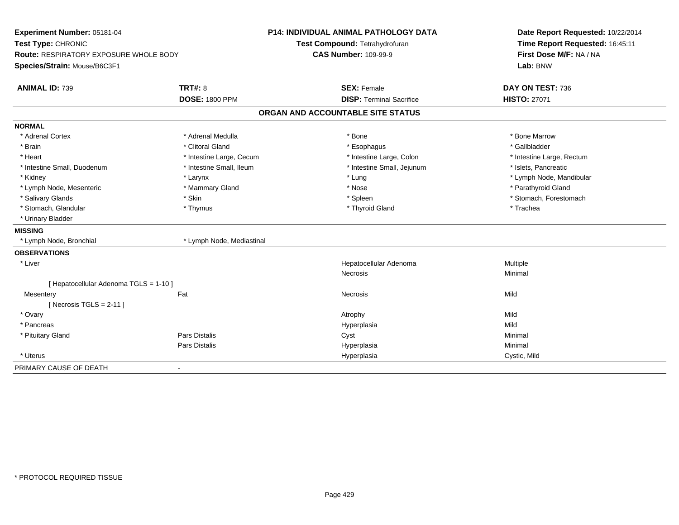| Experiment Number: 05181-04<br>Test Type: CHRONIC<br><b>Route: RESPIRATORY EXPOSURE WHOLE BODY</b> |                           | <b>P14: INDIVIDUAL ANIMAL PATHOLOGY DATA</b> | Date Report Requested: 10/22/2014<br>Time Report Requested: 16:45:11 |
|----------------------------------------------------------------------------------------------------|---------------------------|----------------------------------------------|----------------------------------------------------------------------|
|                                                                                                    |                           | Test Compound: Tetrahydrofuran               |                                                                      |
|                                                                                                    |                           | <b>CAS Number: 109-99-9</b>                  | First Dose M/F: NA / NA                                              |
| Species/Strain: Mouse/B6C3F1                                                                       |                           |                                              | Lab: BNW                                                             |
| <b>ANIMAL ID: 739</b>                                                                              | <b>TRT#: 8</b>            | <b>SEX: Female</b>                           | DAY ON TEST: 736                                                     |
|                                                                                                    | <b>DOSE: 1800 PPM</b>     | <b>DISP: Terminal Sacrifice</b>              | <b>HISTO: 27071</b>                                                  |
|                                                                                                    |                           | ORGAN AND ACCOUNTABLE SITE STATUS            |                                                                      |
| <b>NORMAL</b>                                                                                      |                           |                                              |                                                                      |
| * Adrenal Cortex                                                                                   | * Adrenal Medulla         | $*$ Bone                                     | * Bone Marrow                                                        |
| * Brain                                                                                            | * Clitoral Gland          | * Esophagus                                  | * Gallbladder                                                        |
| * Heart                                                                                            | * Intestine Large, Cecum  | * Intestine Large, Colon                     | * Intestine Large, Rectum                                            |
| * Intestine Small, Duodenum                                                                        | * Intestine Small, Ileum  | * Intestine Small, Jejunum                   | * Islets, Pancreatic                                                 |
| * Kidney                                                                                           | * Larynx                  | * Lung                                       | * Lymph Node, Mandibular                                             |
| * Lymph Node, Mesenteric                                                                           | * Mammary Gland           | * Nose                                       | * Parathyroid Gland                                                  |
| * Salivary Glands                                                                                  | * Skin                    | * Spleen                                     | * Stomach, Forestomach                                               |
| * Stomach, Glandular                                                                               | * Thymus                  | * Thyroid Gland                              | * Trachea                                                            |
| * Urinary Bladder                                                                                  |                           |                                              |                                                                      |
| <b>MISSING</b>                                                                                     |                           |                                              |                                                                      |
| * Lymph Node, Bronchial                                                                            | * Lymph Node, Mediastinal |                                              |                                                                      |
| <b>OBSERVATIONS</b>                                                                                |                           |                                              |                                                                      |
| * Liver                                                                                            |                           | Hepatocellular Adenoma                       | Multiple                                                             |
|                                                                                                    |                           | Necrosis                                     | Minimal                                                              |
| [ Hepatocellular Adenoma TGLS = 1-10 ]                                                             |                           |                                              |                                                                      |
| Mesentery                                                                                          | Fat                       | <b>Necrosis</b>                              | Mild                                                                 |
| [Necrosis TGLS = $2-11$ ]                                                                          |                           |                                              |                                                                      |
| * Ovary                                                                                            |                           | Atrophy                                      | Mild                                                                 |
| * Pancreas                                                                                         |                           | Hyperplasia                                  | Mild                                                                 |
| * Pituitary Gland                                                                                  | Pars Distalis             | Cyst                                         | Minimal                                                              |
|                                                                                                    | Pars Distalis             | Hyperplasia                                  | Minimal                                                              |
| * Uterus                                                                                           |                           | Hyperplasia                                  | Cystic, Mild                                                         |
| PRIMARY CAUSE OF DEATH                                                                             | $\blacksquare$            |                                              |                                                                      |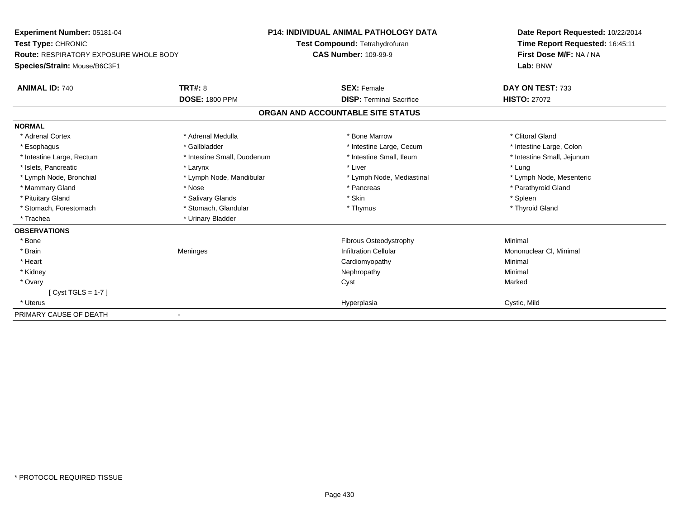| Experiment Number: 05181-04<br>Test Type: CHRONIC<br><b>Route: RESPIRATORY EXPOSURE WHOLE BODY</b><br>Species/Strain: Mouse/B6C3F1 |                             | <b>P14: INDIVIDUAL ANIMAL PATHOLOGY DATA</b> | Date Report Requested: 10/22/2014<br>Time Report Requested: 16:45:11<br>First Dose M/F: NA / NA |
|------------------------------------------------------------------------------------------------------------------------------------|-----------------------------|----------------------------------------------|-------------------------------------------------------------------------------------------------|
|                                                                                                                                    |                             | Test Compound: Tetrahydrofuran               |                                                                                                 |
|                                                                                                                                    |                             | <b>CAS Number: 109-99-9</b>                  |                                                                                                 |
|                                                                                                                                    |                             |                                              | Lab: BNW                                                                                        |
| <b>ANIMAL ID: 740</b>                                                                                                              | <b>TRT#: 8</b>              | <b>SEX: Female</b>                           | DAY ON TEST: 733                                                                                |
|                                                                                                                                    | <b>DOSE: 1800 PPM</b>       | <b>DISP: Terminal Sacrifice</b>              | <b>HISTO: 27072</b>                                                                             |
|                                                                                                                                    |                             | ORGAN AND ACCOUNTABLE SITE STATUS            |                                                                                                 |
| <b>NORMAL</b>                                                                                                                      |                             |                                              |                                                                                                 |
| * Adrenal Cortex                                                                                                                   | * Adrenal Medulla           | * Bone Marrow                                | * Clitoral Gland                                                                                |
| * Esophagus                                                                                                                        | * Gallbladder               | * Intestine Large, Cecum                     | * Intestine Large, Colon                                                                        |
| * Intestine Large, Rectum                                                                                                          | * Intestine Small, Duodenum | * Intestine Small, Ileum                     | * Intestine Small, Jejunum                                                                      |
| * Islets, Pancreatic                                                                                                               | * Larynx                    | * Liver                                      | * Lung                                                                                          |
| * Lymph Node, Bronchial                                                                                                            | * Lymph Node, Mandibular    | * Lymph Node, Mediastinal                    | * Lymph Node, Mesenteric                                                                        |
| * Mammary Gland                                                                                                                    | * Nose                      | * Pancreas                                   | * Parathyroid Gland                                                                             |
| * Pituitary Gland                                                                                                                  | * Salivary Glands           | * Skin                                       | * Spleen                                                                                        |
| * Stomach, Forestomach                                                                                                             | * Stomach, Glandular        | * Thymus                                     | * Thyroid Gland                                                                                 |
| * Trachea                                                                                                                          | * Urinary Bladder           |                                              |                                                                                                 |
| <b>OBSERVATIONS</b>                                                                                                                |                             |                                              |                                                                                                 |
| * Bone                                                                                                                             |                             | Fibrous Osteodystrophy                       | Minimal                                                                                         |
| * Brain                                                                                                                            | Meninges                    | <b>Infiltration Cellular</b>                 | Mononuclear CI, Minimal                                                                         |
| * Heart                                                                                                                            |                             | Cardiomyopathy                               | Minimal                                                                                         |
| * Kidney                                                                                                                           |                             | Nephropathy                                  | Minimal                                                                                         |
| * Ovary                                                                                                                            |                             | Cyst                                         | Marked                                                                                          |
| $[Cyst TGLS = 1-7]$                                                                                                                |                             |                                              |                                                                                                 |
| * Uterus                                                                                                                           |                             | Hyperplasia                                  | Cystic, Mild                                                                                    |
| PRIMARY CAUSE OF DEATH                                                                                                             |                             |                                              |                                                                                                 |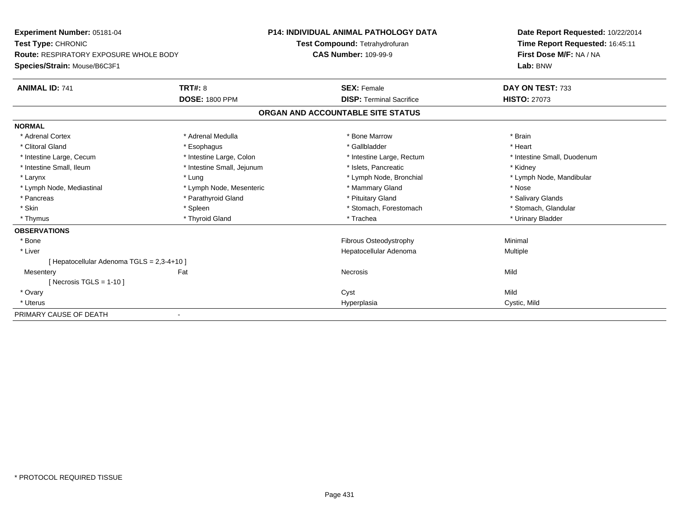| Experiment Number: 05181-04                                                   |                            | P14: INDIVIDUAL ANIMAL PATHOLOGY DATA | Date Report Requested: 10/22/2014 |
|-------------------------------------------------------------------------------|----------------------------|---------------------------------------|-----------------------------------|
| Test Type: CHRONIC                                                            |                            | Test Compound: Tetrahydrofuran        | Time Report Requested: 16:45:11   |
| <b>Route: RESPIRATORY EXPOSURE WHOLE BODY</b><br>Species/Strain: Mouse/B6C3F1 |                            | <b>CAS Number: 109-99-9</b>           | First Dose M/F: NA / NA           |
|                                                                               |                            |                                       | Lab: BNW                          |
| <b>ANIMAL ID: 741</b>                                                         | <b>TRT#: 8</b>             | <b>SEX: Female</b>                    | DAY ON TEST: 733                  |
|                                                                               | <b>DOSE: 1800 PPM</b>      | <b>DISP: Terminal Sacrifice</b>       | <b>HISTO: 27073</b>               |
|                                                                               |                            | ORGAN AND ACCOUNTABLE SITE STATUS     |                                   |
| <b>NORMAL</b>                                                                 |                            |                                       |                                   |
| * Adrenal Cortex                                                              | * Adrenal Medulla          | * Bone Marrow                         | * Brain                           |
| * Clitoral Gland                                                              | * Esophagus                | * Gallbladder                         | * Heart                           |
| * Intestine Large, Cecum                                                      | * Intestine Large, Colon   | * Intestine Large, Rectum             | * Intestine Small, Duodenum       |
| * Intestine Small, Ileum                                                      | * Intestine Small, Jejunum | * Islets, Pancreatic                  | * Kidney                          |
| * Larynx                                                                      | * Lung                     | * Lymph Node, Bronchial               | * Lymph Node, Mandibular          |
| * Lymph Node, Mediastinal                                                     | * Lymph Node, Mesenteric   | * Mammary Gland                       | * Nose                            |
| * Pancreas                                                                    | * Parathyroid Gland        | * Pituitary Gland                     | * Salivary Glands                 |
| * Skin                                                                        | * Spleen                   | * Stomach, Forestomach                | * Stomach, Glandular              |
| * Thymus                                                                      | * Thyroid Gland            | * Trachea                             | * Urinary Bladder                 |
| <b>OBSERVATIONS</b>                                                           |                            |                                       |                                   |
| * Bone                                                                        |                            | <b>Fibrous Osteodystrophy</b>         | Minimal                           |
| * Liver                                                                       |                            | Hepatocellular Adenoma                | Multiple                          |
| [ Hepatocellular Adenoma TGLS = 2,3-4+10 ]                                    |                            |                                       |                                   |
| Mesentery                                                                     | Fat                        | <b>Necrosis</b>                       | Mild                              |
| [Necrosis TGLS = $1-10$ ]                                                     |                            |                                       |                                   |
| * Ovary                                                                       |                            | Cyst                                  | Mild                              |
| * Uterus                                                                      |                            | Hyperplasia                           | Cystic, Mild                      |
| PRIMARY CAUSE OF DEATH                                                        |                            |                                       |                                   |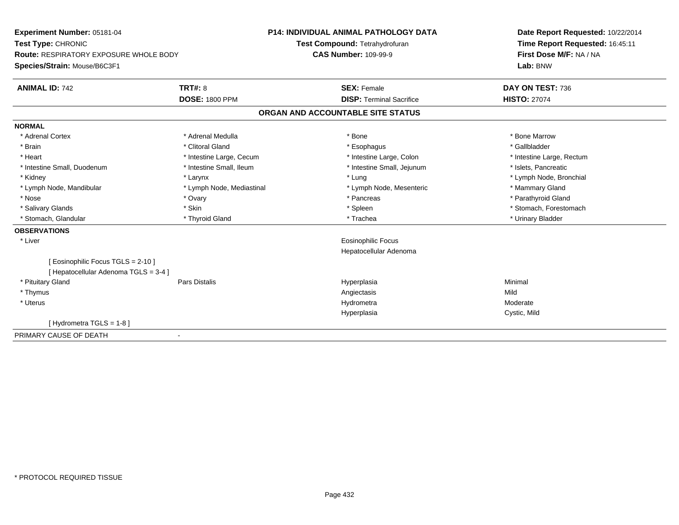| Experiment Number: 05181-04<br>Test Type: CHRONIC<br><b>Route: RESPIRATORY EXPOSURE WHOLE BODY</b> |                           | <b>P14: INDIVIDUAL ANIMAL PATHOLOGY DATA</b> | Date Report Requested: 10/22/2014 |
|----------------------------------------------------------------------------------------------------|---------------------------|----------------------------------------------|-----------------------------------|
|                                                                                                    |                           | Test Compound: Tetrahydrofuran               | Time Report Requested: 16:45:11   |
|                                                                                                    |                           | <b>CAS Number: 109-99-9</b>                  | First Dose M/F: NA / NA           |
| Species/Strain: Mouse/B6C3F1                                                                       |                           |                                              | Lab: BNW                          |
| <b>ANIMAL ID: 742</b>                                                                              | <b>TRT#: 8</b>            | <b>SEX: Female</b>                           | DAY ON TEST: 736                  |
|                                                                                                    | <b>DOSE: 1800 PPM</b>     | <b>DISP: Terminal Sacrifice</b>              | <b>HISTO: 27074</b>               |
|                                                                                                    |                           | ORGAN AND ACCOUNTABLE SITE STATUS            |                                   |
| <b>NORMAL</b>                                                                                      |                           |                                              |                                   |
| * Adrenal Cortex                                                                                   | * Adrenal Medulla         | * Bone                                       | * Bone Marrow                     |
| * Brain                                                                                            | * Clitoral Gland          | * Esophagus                                  | * Gallbladder                     |
| * Heart                                                                                            | * Intestine Large, Cecum  | * Intestine Large, Colon                     | * Intestine Large, Rectum         |
| * Intestine Small, Duodenum                                                                        | * Intestine Small, Ileum  | * Intestine Small, Jejunum                   | * Islets, Pancreatic              |
| * Kidney                                                                                           | * Larynx                  | * Lung                                       | * Lymph Node, Bronchial           |
| * Lymph Node, Mandibular                                                                           | * Lymph Node, Mediastinal | * Lymph Node, Mesenteric                     | * Mammary Gland                   |
| * Nose                                                                                             | * Ovary                   | * Pancreas                                   | * Parathyroid Gland               |
| * Salivary Glands                                                                                  | * Skin                    | * Spleen                                     | * Stomach, Forestomach            |
| * Stomach, Glandular                                                                               | * Thyroid Gland           | * Trachea                                    | * Urinary Bladder                 |
| <b>OBSERVATIONS</b>                                                                                |                           |                                              |                                   |
| * Liver                                                                                            |                           | Eosinophilic Focus                           |                                   |
|                                                                                                    |                           | Hepatocellular Adenoma                       |                                   |
| [ Eosinophilic Focus TGLS = 2-10 ]                                                                 |                           |                                              |                                   |
| [ Hepatocellular Adenoma TGLS = 3-4 ]                                                              |                           |                                              |                                   |
| * Pituitary Gland                                                                                  | <b>Pars Distalis</b>      | Hyperplasia                                  | Minimal                           |
| * Thymus                                                                                           |                           | Angiectasis                                  | Mild                              |
| * Uterus                                                                                           |                           | Hydrometra                                   | Moderate                          |
|                                                                                                    |                           | Hyperplasia                                  | Cystic, Mild                      |
| [Hydrometra TGLS = $1-8$ ]                                                                         |                           |                                              |                                   |
| PRIMARY CAUSE OF DEATH                                                                             | $\blacksquare$            |                                              |                                   |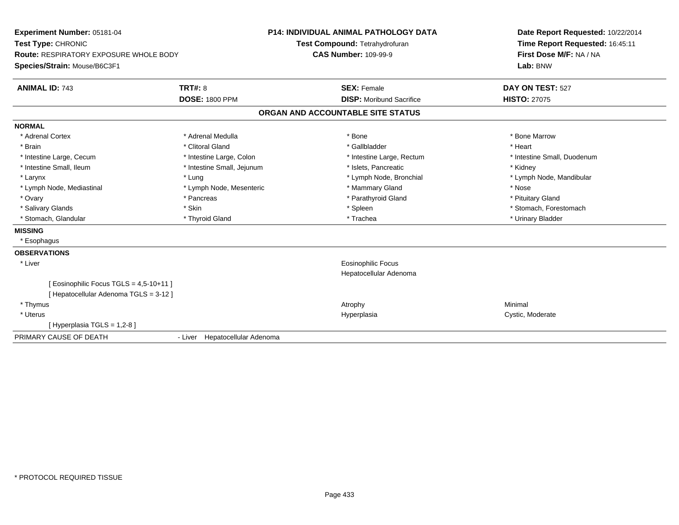| Experiment Number: 05181-04            |                                | <b>P14: INDIVIDUAL ANIMAL PATHOLOGY DATA</b> | Date Report Requested: 10/22/2014 |
|----------------------------------------|--------------------------------|----------------------------------------------|-----------------------------------|
| Test Type: CHRONIC                     |                                | Test Compound: Tetrahydrofuran               | Time Report Requested: 16:45:11   |
| Route: RESPIRATORY EXPOSURE WHOLE BODY |                                | <b>CAS Number: 109-99-9</b>                  | First Dose M/F: NA / NA           |
| Species/Strain: Mouse/B6C3F1           |                                |                                              | Lab: BNW                          |
| <b>ANIMAL ID: 743</b>                  | TRT#: 8                        | <b>SEX: Female</b>                           | DAY ON TEST: 527                  |
|                                        | <b>DOSE: 1800 PPM</b>          | <b>DISP:</b> Moribund Sacrifice              | <b>HISTO: 27075</b>               |
|                                        |                                | ORGAN AND ACCOUNTABLE SITE STATUS            |                                   |
| <b>NORMAL</b>                          |                                |                                              |                                   |
| * Adrenal Cortex                       | * Adrenal Medulla              | * Bone                                       | * Bone Marrow                     |
| * Brain                                | * Clitoral Gland               | * Gallbladder                                | * Heart                           |
| * Intestine Large, Cecum               | * Intestine Large, Colon       | * Intestine Large, Rectum                    | * Intestine Small, Duodenum       |
| * Intestine Small, Ileum               | * Intestine Small, Jejunum     | * Islets. Pancreatic                         | * Kidney                          |
| * Larynx                               | * Lung                         | * Lymph Node, Bronchial                      | * Lymph Node, Mandibular          |
| * Lymph Node, Mediastinal              | * Lymph Node, Mesenteric       | * Mammary Gland                              | * Nose                            |
| * Ovary                                | * Pancreas                     | * Parathyroid Gland                          | * Pituitary Gland                 |
| * Salivary Glands                      | * Skin                         | * Spleen                                     | * Stomach, Forestomach            |
| * Stomach, Glandular                   | * Thyroid Gland                | * Trachea                                    | * Urinary Bladder                 |
| <b>MISSING</b>                         |                                |                                              |                                   |
| * Esophagus                            |                                |                                              |                                   |
| <b>OBSERVATIONS</b>                    |                                |                                              |                                   |
| * Liver                                |                                | <b>Eosinophilic Focus</b>                    |                                   |
|                                        |                                | Hepatocellular Adenoma                       |                                   |
| [Eosinophilic Focus TGLS = 4,5-10+11]  |                                |                                              |                                   |
| [ Hepatocellular Adenoma TGLS = 3-12 ] |                                |                                              |                                   |
| * Thymus                               |                                | Atrophy                                      | Minimal                           |
| * Uterus                               |                                | Hyperplasia                                  | Cystic, Moderate                  |
| [ Hyperplasia TGLS = 1,2-8 ]           |                                |                                              |                                   |
| PRIMARY CAUSE OF DEATH                 | - Liver Hepatocellular Adenoma |                                              |                                   |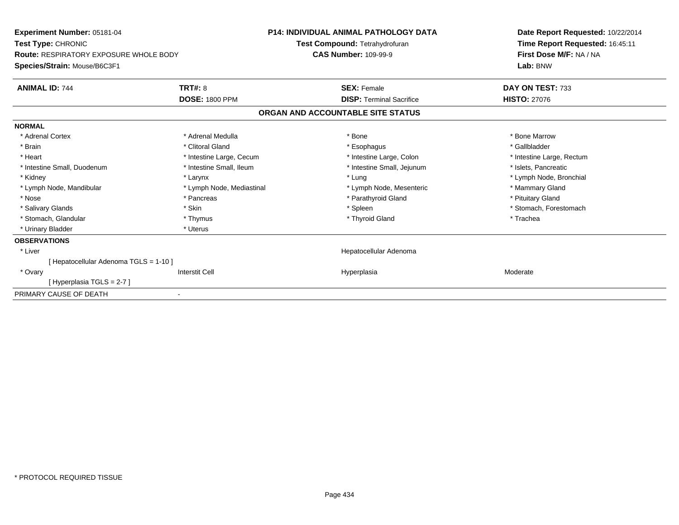| Experiment Number: 05181-04<br><b>Test Type: CHRONIC</b><br><b>Route: RESPIRATORY EXPOSURE WHOLE BODY</b> |                           | <b>P14: INDIVIDUAL ANIMAL PATHOLOGY DATA</b> | Date Report Requested: 10/22/2014<br>Time Report Requested: 16:45:11<br>First Dose M/F: NA / NA |
|-----------------------------------------------------------------------------------------------------------|---------------------------|----------------------------------------------|-------------------------------------------------------------------------------------------------|
|                                                                                                           |                           | Test Compound: Tetrahydrofuran               |                                                                                                 |
|                                                                                                           |                           | <b>CAS Number: 109-99-9</b>                  |                                                                                                 |
| Species/Strain: Mouse/B6C3F1                                                                              |                           |                                              | Lab: BNW                                                                                        |
| <b>ANIMAL ID: 744</b>                                                                                     | <b>TRT#: 8</b>            | <b>SEX: Female</b>                           | DAY ON TEST: 733                                                                                |
|                                                                                                           | <b>DOSE: 1800 PPM</b>     | <b>DISP: Terminal Sacrifice</b>              | <b>HISTO: 27076</b>                                                                             |
|                                                                                                           |                           | ORGAN AND ACCOUNTABLE SITE STATUS            |                                                                                                 |
| <b>NORMAL</b>                                                                                             |                           |                                              |                                                                                                 |
| * Adrenal Cortex                                                                                          | * Adrenal Medulla         | * Bone                                       | * Bone Marrow                                                                                   |
| * Brain                                                                                                   | * Clitoral Gland          | * Esophagus                                  | * Gallbladder                                                                                   |
| * Heart                                                                                                   | * Intestine Large, Cecum  | * Intestine Large, Colon                     | * Intestine Large, Rectum                                                                       |
| * Intestine Small, Duodenum                                                                               | * Intestine Small, Ileum  | * Intestine Small, Jejunum                   | * Islets, Pancreatic                                                                            |
| * Kidney                                                                                                  | * Larynx                  | * Lung                                       | * Lymph Node, Bronchial                                                                         |
| * Lymph Node, Mandibular                                                                                  | * Lymph Node, Mediastinal | * Lymph Node, Mesenteric                     | * Mammary Gland                                                                                 |
| * Nose                                                                                                    | * Pancreas                | * Parathyroid Gland                          | * Pituitary Gland                                                                               |
| * Salivary Glands                                                                                         | * Skin                    | * Spleen                                     | * Stomach, Forestomach                                                                          |
| * Stomach, Glandular                                                                                      | * Thymus                  | * Thyroid Gland                              | * Trachea                                                                                       |
| * Urinary Bladder                                                                                         | * Uterus                  |                                              |                                                                                                 |
| <b>OBSERVATIONS</b>                                                                                       |                           |                                              |                                                                                                 |
| * Liver                                                                                                   |                           | Hepatocellular Adenoma                       |                                                                                                 |
| [ Hepatocellular Adenoma TGLS = 1-10 ]                                                                    |                           |                                              |                                                                                                 |
| * Ovary                                                                                                   | <b>Interstit Cell</b>     | Hyperplasia                                  | Moderate                                                                                        |
| [Hyperplasia TGLS = 2-7]                                                                                  |                           |                                              |                                                                                                 |
| PRIMARY CAUSE OF DEATH                                                                                    |                           |                                              |                                                                                                 |
|                                                                                                           |                           |                                              |                                                                                                 |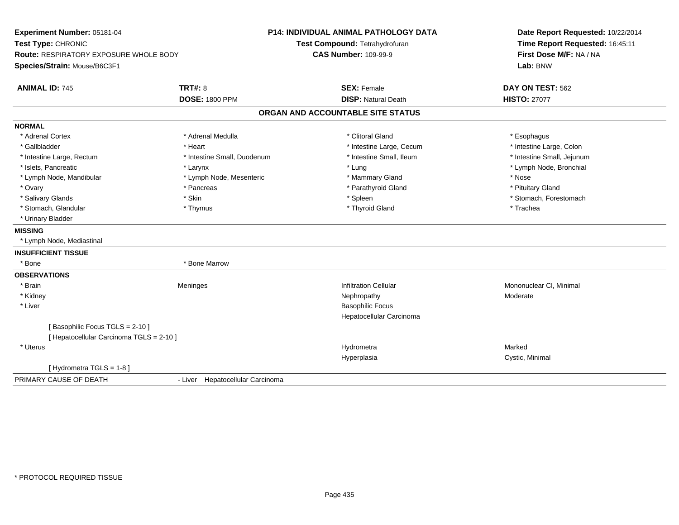| Experiment Number: 05181-04                   |                                  | <b>P14: INDIVIDUAL ANIMAL PATHOLOGY DATA</b> | Date Report Requested: 10/22/2014                          |
|-----------------------------------------------|----------------------------------|----------------------------------------------|------------------------------------------------------------|
| Test Type: CHRONIC                            |                                  | Test Compound: Tetrahydrofuran               | Time Report Requested: 16:45:11<br>First Dose M/F: NA / NA |
| <b>Route: RESPIRATORY EXPOSURE WHOLE BODY</b> |                                  | <b>CAS Number: 109-99-9</b>                  |                                                            |
| Species/Strain: Mouse/B6C3F1                  |                                  |                                              | Lab: BNW                                                   |
| <b>ANIMAL ID: 745</b>                         | <b>TRT#: 8</b>                   | <b>SEX: Female</b>                           | DAY ON TEST: 562                                           |
|                                               | <b>DOSE: 1800 PPM</b>            | <b>DISP: Natural Death</b>                   | <b>HISTO: 27077</b>                                        |
|                                               |                                  | ORGAN AND ACCOUNTABLE SITE STATUS            |                                                            |
| <b>NORMAL</b>                                 |                                  |                                              |                                                            |
| * Adrenal Cortex                              | * Adrenal Medulla                | * Clitoral Gland                             | * Esophagus                                                |
| * Gallbladder                                 | * Heart                          | * Intestine Large, Cecum                     | * Intestine Large, Colon                                   |
| * Intestine Large, Rectum                     | * Intestine Small, Duodenum      | * Intestine Small, Ileum                     | * Intestine Small, Jejunum                                 |
| * Islets, Pancreatic                          | * Larynx                         | * Lung                                       | * Lymph Node, Bronchial                                    |
| * Lymph Node, Mandibular                      | * Lymph Node, Mesenteric         | * Mammary Gland                              | * Nose                                                     |
| * Ovary                                       | * Pancreas                       | * Parathyroid Gland                          | * Pituitary Gland                                          |
| * Salivary Glands                             | * Skin                           | * Spleen                                     | * Stomach, Forestomach                                     |
| * Stomach, Glandular                          | * Thymus                         | * Thyroid Gland                              | * Trachea                                                  |
| * Urinary Bladder                             |                                  |                                              |                                                            |
| <b>MISSING</b>                                |                                  |                                              |                                                            |
| * Lymph Node, Mediastinal                     |                                  |                                              |                                                            |
| <b>INSUFFICIENT TISSUE</b>                    |                                  |                                              |                                                            |
| * Bone                                        | * Bone Marrow                    |                                              |                                                            |
| <b>OBSERVATIONS</b>                           |                                  |                                              |                                                            |
| * Brain                                       | Meninges                         | <b>Infiltration Cellular</b>                 | Mononuclear CI, Minimal                                    |
| * Kidney                                      |                                  | Nephropathy                                  | Moderate                                                   |
| * Liver                                       |                                  | <b>Basophilic Focus</b>                      |                                                            |
|                                               |                                  | Hepatocellular Carcinoma                     |                                                            |
| [Basophilic Focus TGLS = 2-10]                |                                  |                                              |                                                            |
| [ Hepatocellular Carcinoma TGLS = 2-10 ]      |                                  |                                              |                                                            |
| * Uterus                                      |                                  | Hydrometra                                   | Marked                                                     |
|                                               |                                  | Hyperplasia                                  | Cystic, Minimal                                            |
| [Hydrometra TGLS = 1-8]                       |                                  |                                              |                                                            |
| PRIMARY CAUSE OF DEATH                        | - Liver Hepatocellular Carcinoma |                                              |                                                            |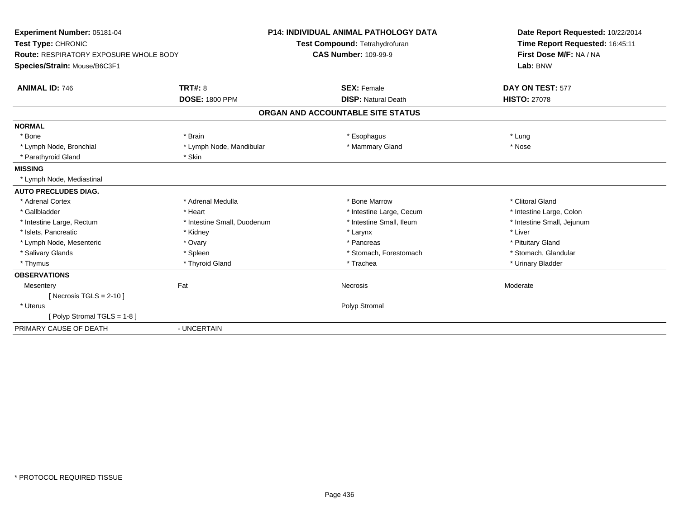| Experiment Number: 05181-04<br>Test Type: CHRONIC                      |                             | <b>P14: INDIVIDUAL ANIMAL PATHOLOGY DATA</b><br>Test Compound: Tetrahydrofuran | Date Report Requested: 10/22/2014<br>Time Report Requested: 16:45:11 |
|------------------------------------------------------------------------|-----------------------------|--------------------------------------------------------------------------------|----------------------------------------------------------------------|
| Route: RESPIRATORY EXPOSURE WHOLE BODY<br>Species/Strain: Mouse/B6C3F1 |                             | <b>CAS Number: 109-99-9</b>                                                    | First Dose M/F: NA / NA<br>Lab: BNW                                  |
| <b>ANIMAL ID: 746</b>                                                  | <b>TRT#: 8</b>              | <b>SEX: Female</b>                                                             | DAY ON TEST: 577                                                     |
|                                                                        | <b>DOSE: 1800 PPM</b>       | <b>DISP: Natural Death</b>                                                     | <b>HISTO: 27078</b>                                                  |
|                                                                        |                             | ORGAN AND ACCOUNTABLE SITE STATUS                                              |                                                                      |
| <b>NORMAL</b>                                                          |                             |                                                                                |                                                                      |
| * Bone                                                                 | * Brain                     | * Esophagus                                                                    | * Lung                                                               |
| * Lymph Node, Bronchial                                                | * Lymph Node, Mandibular    | * Mammary Gland                                                                | * Nose                                                               |
| * Parathyroid Gland                                                    | * Skin                      |                                                                                |                                                                      |
| <b>MISSING</b>                                                         |                             |                                                                                |                                                                      |
| * Lymph Node, Mediastinal                                              |                             |                                                                                |                                                                      |
| <b>AUTO PRECLUDES DIAG.</b>                                            |                             |                                                                                |                                                                      |
| * Adrenal Cortex                                                       | * Adrenal Medulla           | * Bone Marrow                                                                  | * Clitoral Gland                                                     |
| * Gallbladder                                                          | * Heart                     | * Intestine Large, Cecum                                                       | * Intestine Large, Colon                                             |
| * Intestine Large, Rectum                                              | * Intestine Small, Duodenum | * Intestine Small, Ileum                                                       | * Intestine Small, Jejunum                                           |
| * Islets, Pancreatic                                                   | * Kidney                    | * Larynx                                                                       | * Liver                                                              |
| * Lymph Node, Mesenteric                                               | * Ovary                     | * Pancreas                                                                     | * Pituitary Gland                                                    |
| * Salivary Glands                                                      | * Spleen                    | * Stomach, Forestomach                                                         | * Stomach, Glandular                                                 |
| * Thymus                                                               | * Thyroid Gland             | * Trachea                                                                      | * Urinary Bladder                                                    |
| <b>OBSERVATIONS</b>                                                    |                             |                                                                                |                                                                      |
| Mesentery                                                              | Fat                         | Necrosis                                                                       | Moderate                                                             |
| [Necrosis TGLS = $2-10$ ]                                              |                             |                                                                                |                                                                      |
| * Uterus                                                               |                             | Polyp Stromal                                                                  |                                                                      |
| [Polyp Stromal TGLS = 1-8]                                             |                             |                                                                                |                                                                      |
| PRIMARY CAUSE OF DEATH                                                 | - UNCERTAIN                 |                                                                                |                                                                      |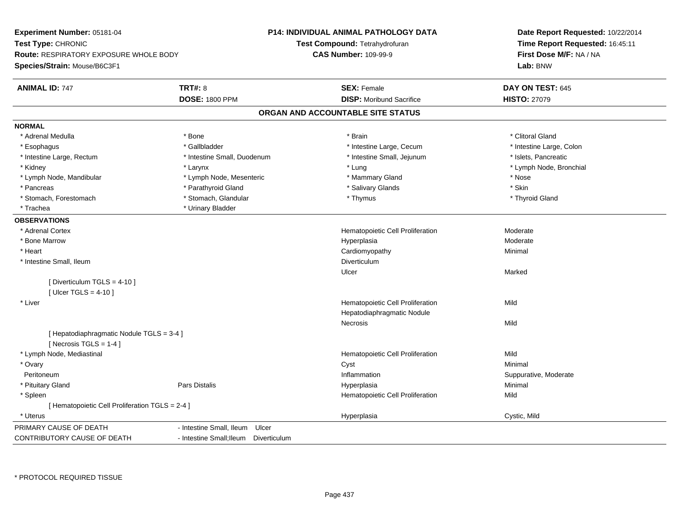| Test Type: CHRONIC<br>Test Compound: Tetrahydrofuran<br>Time Report Requested: 16:45:11<br><b>CAS Number: 109-99-9</b><br>First Dose M/F: NA / NA<br>Route: RESPIRATORY EXPOSURE WHOLE BODY<br>Lab: BNW<br><b>TRT#: 8</b><br><b>ANIMAL ID: 747</b><br><b>SEX: Female</b><br>DAY ON TEST: 645<br><b>DOSE: 1800 PPM</b><br><b>DISP: Moribund Sacrifice</b><br><b>HISTO: 27079</b><br>ORGAN AND ACCOUNTABLE SITE STATUS<br>* Clitoral Gland<br>* Adrenal Medulla<br>* Bone<br>* Brain<br>* Gallbladder<br>* Intestine Large, Cecum<br>* Intestine Large, Colon<br>* Esophagus<br>* Intestine Small, Jejunum<br>* Islets, Pancreatic<br>* Intestine Large, Rectum<br>* Intestine Small, Duodenum<br>* Lymph Node, Bronchial<br>* Kidney<br>* Larynx<br>* Lung<br>* Lymph Node, Mandibular<br>* Lymph Node, Mesenteric<br>* Mammary Gland<br>* Nose<br>* Skin<br>* Parathyroid Gland<br>* Salivary Glands<br>* Pancreas<br>* Stomach, Glandular<br>* Thyroid Gland<br>* Stomach, Forestomach<br>* Thymus<br>* Urinary Bladder<br>* Trachea<br>* Adrenal Cortex<br>Hematopoietic Cell Proliferation<br>Moderate<br>* Bone Marrow<br>Moderate<br>Hyperplasia<br>* Heart<br>Cardiomyopathy<br>Minimal<br>* Intestine Small, Ileum<br>Diverticulum<br>Ulcer<br>Marked<br>[Diverticulum TGLS = 4-10]<br>[Ulcer TGLS = $4-10$ ]<br>Mild<br>* Liver<br>Hematopoietic Cell Proliferation<br>Hepatodiaphragmatic Nodule<br><b>Necrosis</b><br>Mild<br>[ Hepatodiaphragmatic Nodule TGLS = 3-4 ]<br>[Necrosis $TGLS = 1-4$ ]<br>Mild<br>* Lymph Node, Mediastinal<br>Hematopoietic Cell Proliferation<br>Minimal<br>* Ovary<br>Cyst<br>Inflammation<br>Peritoneum<br>Suppurative, Moderate<br>Minimal<br>* Pituitary Gland<br>Pars Distalis<br>Hyperplasia<br>* Spleen<br>Hematopoietic Cell Proliferation<br>Mild<br>[ Hematopoietic Cell Proliferation TGLS = 2-4 ]<br>* Uterus<br>Hyperplasia<br>Cystic, Mild<br>PRIMARY CAUSE OF DEATH<br>- Intestine Small, Ileum<br>Ulcer<br>- Intestine Small; Ileum Diverticulum | Experiment Number: 05181-04  | P14: INDIVIDUAL ANIMAL PATHOLOGY DATA | Date Report Requested: 10/22/2014 |
|-----------------------------------------------------------------------------------------------------------------------------------------------------------------------------------------------------------------------------------------------------------------------------------------------------------------------------------------------------------------------------------------------------------------------------------------------------------------------------------------------------------------------------------------------------------------------------------------------------------------------------------------------------------------------------------------------------------------------------------------------------------------------------------------------------------------------------------------------------------------------------------------------------------------------------------------------------------------------------------------------------------------------------------------------------------------------------------------------------------------------------------------------------------------------------------------------------------------------------------------------------------------------------------------------------------------------------------------------------------------------------------------------------------------------------------------------------------------------------------------------------------------------------------------------------------------------------------------------------------------------------------------------------------------------------------------------------------------------------------------------------------------------------------------------------------------------------------------------------------------------------------------------------------------------------------------------------------------------------------------------------------|------------------------------|---------------------------------------|-----------------------------------|
|                                                                                                                                                                                                                                                                                                                                                                                                                                                                                                                                                                                                                                                                                                                                                                                                                                                                                                                                                                                                                                                                                                                                                                                                                                                                                                                                                                                                                                                                                                                                                                                                                                                                                                                                                                                                                                                                                                                                                                                                           |                              |                                       |                                   |
|                                                                                                                                                                                                                                                                                                                                                                                                                                                                                                                                                                                                                                                                                                                                                                                                                                                                                                                                                                                                                                                                                                                                                                                                                                                                                                                                                                                                                                                                                                                                                                                                                                                                                                                                                                                                                                                                                                                                                                                                           |                              |                                       |                                   |
|                                                                                                                                                                                                                                                                                                                                                                                                                                                                                                                                                                                                                                                                                                                                                                                                                                                                                                                                                                                                                                                                                                                                                                                                                                                                                                                                                                                                                                                                                                                                                                                                                                                                                                                                                                                                                                                                                                                                                                                                           | Species/Strain: Mouse/B6C3F1 |                                       |                                   |
|                                                                                                                                                                                                                                                                                                                                                                                                                                                                                                                                                                                                                                                                                                                                                                                                                                                                                                                                                                                                                                                                                                                                                                                                                                                                                                                                                                                                                                                                                                                                                                                                                                                                                                                                                                                                                                                                                                                                                                                                           |                              |                                       |                                   |
|                                                                                                                                                                                                                                                                                                                                                                                                                                                                                                                                                                                                                                                                                                                                                                                                                                                                                                                                                                                                                                                                                                                                                                                                                                                                                                                                                                                                                                                                                                                                                                                                                                                                                                                                                                                                                                                                                                                                                                                                           |                              |                                       |                                   |
|                                                                                                                                                                                                                                                                                                                                                                                                                                                                                                                                                                                                                                                                                                                                                                                                                                                                                                                                                                                                                                                                                                                                                                                                                                                                                                                                                                                                                                                                                                                                                                                                                                                                                                                                                                                                                                                                                                                                                                                                           |                              |                                       |                                   |
|                                                                                                                                                                                                                                                                                                                                                                                                                                                                                                                                                                                                                                                                                                                                                                                                                                                                                                                                                                                                                                                                                                                                                                                                                                                                                                                                                                                                                                                                                                                                                                                                                                                                                                                                                                                                                                                                                                                                                                                                           | <b>NORMAL</b>                |                                       |                                   |
|                                                                                                                                                                                                                                                                                                                                                                                                                                                                                                                                                                                                                                                                                                                                                                                                                                                                                                                                                                                                                                                                                                                                                                                                                                                                                                                                                                                                                                                                                                                                                                                                                                                                                                                                                                                                                                                                                                                                                                                                           |                              |                                       |                                   |
|                                                                                                                                                                                                                                                                                                                                                                                                                                                                                                                                                                                                                                                                                                                                                                                                                                                                                                                                                                                                                                                                                                                                                                                                                                                                                                                                                                                                                                                                                                                                                                                                                                                                                                                                                                                                                                                                                                                                                                                                           |                              |                                       |                                   |
|                                                                                                                                                                                                                                                                                                                                                                                                                                                                                                                                                                                                                                                                                                                                                                                                                                                                                                                                                                                                                                                                                                                                                                                                                                                                                                                                                                                                                                                                                                                                                                                                                                                                                                                                                                                                                                                                                                                                                                                                           |                              |                                       |                                   |
|                                                                                                                                                                                                                                                                                                                                                                                                                                                                                                                                                                                                                                                                                                                                                                                                                                                                                                                                                                                                                                                                                                                                                                                                                                                                                                                                                                                                                                                                                                                                                                                                                                                                                                                                                                                                                                                                                                                                                                                                           |                              |                                       |                                   |
|                                                                                                                                                                                                                                                                                                                                                                                                                                                                                                                                                                                                                                                                                                                                                                                                                                                                                                                                                                                                                                                                                                                                                                                                                                                                                                                                                                                                                                                                                                                                                                                                                                                                                                                                                                                                                                                                                                                                                                                                           |                              |                                       |                                   |
|                                                                                                                                                                                                                                                                                                                                                                                                                                                                                                                                                                                                                                                                                                                                                                                                                                                                                                                                                                                                                                                                                                                                                                                                                                                                                                                                                                                                                                                                                                                                                                                                                                                                                                                                                                                                                                                                                                                                                                                                           |                              |                                       |                                   |
|                                                                                                                                                                                                                                                                                                                                                                                                                                                                                                                                                                                                                                                                                                                                                                                                                                                                                                                                                                                                                                                                                                                                                                                                                                                                                                                                                                                                                                                                                                                                                                                                                                                                                                                                                                                                                                                                                                                                                                                                           |                              |                                       |                                   |
|                                                                                                                                                                                                                                                                                                                                                                                                                                                                                                                                                                                                                                                                                                                                                                                                                                                                                                                                                                                                                                                                                                                                                                                                                                                                                                                                                                                                                                                                                                                                                                                                                                                                                                                                                                                                                                                                                                                                                                                                           |                              |                                       |                                   |
|                                                                                                                                                                                                                                                                                                                                                                                                                                                                                                                                                                                                                                                                                                                                                                                                                                                                                                                                                                                                                                                                                                                                                                                                                                                                                                                                                                                                                                                                                                                                                                                                                                                                                                                                                                                                                                                                                                                                                                                                           | <b>OBSERVATIONS</b>          |                                       |                                   |
|                                                                                                                                                                                                                                                                                                                                                                                                                                                                                                                                                                                                                                                                                                                                                                                                                                                                                                                                                                                                                                                                                                                                                                                                                                                                                                                                                                                                                                                                                                                                                                                                                                                                                                                                                                                                                                                                                                                                                                                                           |                              |                                       |                                   |
|                                                                                                                                                                                                                                                                                                                                                                                                                                                                                                                                                                                                                                                                                                                                                                                                                                                                                                                                                                                                                                                                                                                                                                                                                                                                                                                                                                                                                                                                                                                                                                                                                                                                                                                                                                                                                                                                                                                                                                                                           |                              |                                       |                                   |
|                                                                                                                                                                                                                                                                                                                                                                                                                                                                                                                                                                                                                                                                                                                                                                                                                                                                                                                                                                                                                                                                                                                                                                                                                                                                                                                                                                                                                                                                                                                                                                                                                                                                                                                                                                                                                                                                                                                                                                                                           |                              |                                       |                                   |
|                                                                                                                                                                                                                                                                                                                                                                                                                                                                                                                                                                                                                                                                                                                                                                                                                                                                                                                                                                                                                                                                                                                                                                                                                                                                                                                                                                                                                                                                                                                                                                                                                                                                                                                                                                                                                                                                                                                                                                                                           |                              |                                       |                                   |
|                                                                                                                                                                                                                                                                                                                                                                                                                                                                                                                                                                                                                                                                                                                                                                                                                                                                                                                                                                                                                                                                                                                                                                                                                                                                                                                                                                                                                                                                                                                                                                                                                                                                                                                                                                                                                                                                                                                                                                                                           |                              |                                       |                                   |
|                                                                                                                                                                                                                                                                                                                                                                                                                                                                                                                                                                                                                                                                                                                                                                                                                                                                                                                                                                                                                                                                                                                                                                                                                                                                                                                                                                                                                                                                                                                                                                                                                                                                                                                                                                                                                                                                                                                                                                                                           |                              |                                       |                                   |
|                                                                                                                                                                                                                                                                                                                                                                                                                                                                                                                                                                                                                                                                                                                                                                                                                                                                                                                                                                                                                                                                                                                                                                                                                                                                                                                                                                                                                                                                                                                                                                                                                                                                                                                                                                                                                                                                                                                                                                                                           |                              |                                       |                                   |
|                                                                                                                                                                                                                                                                                                                                                                                                                                                                                                                                                                                                                                                                                                                                                                                                                                                                                                                                                                                                                                                                                                                                                                                                                                                                                                                                                                                                                                                                                                                                                                                                                                                                                                                                                                                                                                                                                                                                                                                                           |                              |                                       |                                   |
|                                                                                                                                                                                                                                                                                                                                                                                                                                                                                                                                                                                                                                                                                                                                                                                                                                                                                                                                                                                                                                                                                                                                                                                                                                                                                                                                                                                                                                                                                                                                                                                                                                                                                                                                                                                                                                                                                                                                                                                                           |                              |                                       |                                   |
|                                                                                                                                                                                                                                                                                                                                                                                                                                                                                                                                                                                                                                                                                                                                                                                                                                                                                                                                                                                                                                                                                                                                                                                                                                                                                                                                                                                                                                                                                                                                                                                                                                                                                                                                                                                                                                                                                                                                                                                                           |                              |                                       |                                   |
|                                                                                                                                                                                                                                                                                                                                                                                                                                                                                                                                                                                                                                                                                                                                                                                                                                                                                                                                                                                                                                                                                                                                                                                                                                                                                                                                                                                                                                                                                                                                                                                                                                                                                                                                                                                                                                                                                                                                                                                                           |                              |                                       |                                   |
|                                                                                                                                                                                                                                                                                                                                                                                                                                                                                                                                                                                                                                                                                                                                                                                                                                                                                                                                                                                                                                                                                                                                                                                                                                                                                                                                                                                                                                                                                                                                                                                                                                                                                                                                                                                                                                                                                                                                                                                                           |                              |                                       |                                   |
|                                                                                                                                                                                                                                                                                                                                                                                                                                                                                                                                                                                                                                                                                                                                                                                                                                                                                                                                                                                                                                                                                                                                                                                                                                                                                                                                                                                                                                                                                                                                                                                                                                                                                                                                                                                                                                                                                                                                                                                                           |                              |                                       |                                   |
|                                                                                                                                                                                                                                                                                                                                                                                                                                                                                                                                                                                                                                                                                                                                                                                                                                                                                                                                                                                                                                                                                                                                                                                                                                                                                                                                                                                                                                                                                                                                                                                                                                                                                                                                                                                                                                                                                                                                                                                                           |                              |                                       |                                   |
|                                                                                                                                                                                                                                                                                                                                                                                                                                                                                                                                                                                                                                                                                                                                                                                                                                                                                                                                                                                                                                                                                                                                                                                                                                                                                                                                                                                                                                                                                                                                                                                                                                                                                                                                                                                                                                                                                                                                                                                                           |                              |                                       |                                   |
|                                                                                                                                                                                                                                                                                                                                                                                                                                                                                                                                                                                                                                                                                                                                                                                                                                                                                                                                                                                                                                                                                                                                                                                                                                                                                                                                                                                                                                                                                                                                                                                                                                                                                                                                                                                                                                                                                                                                                                                                           |                              |                                       |                                   |
|                                                                                                                                                                                                                                                                                                                                                                                                                                                                                                                                                                                                                                                                                                                                                                                                                                                                                                                                                                                                                                                                                                                                                                                                                                                                                                                                                                                                                                                                                                                                                                                                                                                                                                                                                                                                                                                                                                                                                                                                           |                              |                                       |                                   |
|                                                                                                                                                                                                                                                                                                                                                                                                                                                                                                                                                                                                                                                                                                                                                                                                                                                                                                                                                                                                                                                                                                                                                                                                                                                                                                                                                                                                                                                                                                                                                                                                                                                                                                                                                                                                                                                                                                                                                                                                           |                              |                                       |                                   |
|                                                                                                                                                                                                                                                                                                                                                                                                                                                                                                                                                                                                                                                                                                                                                                                                                                                                                                                                                                                                                                                                                                                                                                                                                                                                                                                                                                                                                                                                                                                                                                                                                                                                                                                                                                                                                                                                                                                                                                                                           |                              |                                       |                                   |
|                                                                                                                                                                                                                                                                                                                                                                                                                                                                                                                                                                                                                                                                                                                                                                                                                                                                                                                                                                                                                                                                                                                                                                                                                                                                                                                                                                                                                                                                                                                                                                                                                                                                                                                                                                                                                                                                                                                                                                                                           | CONTRIBUTORY CAUSE OF DEATH  |                                       |                                   |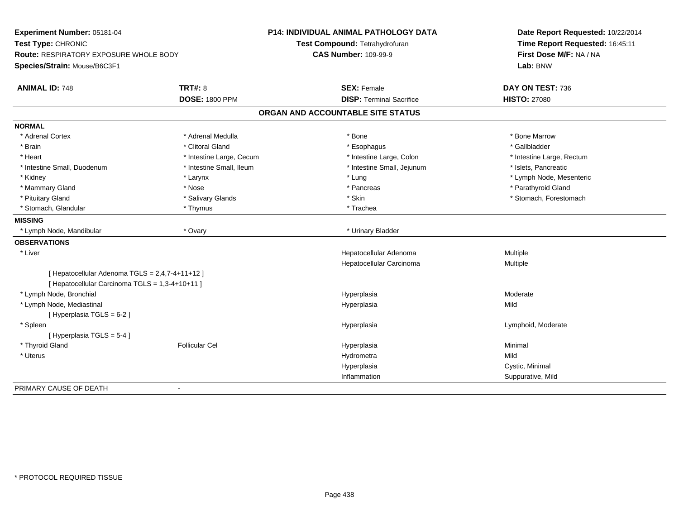| Experiment Number: 05181-04<br>Test Type: CHRONIC<br>Route: RESPIRATORY EXPOSURE WHOLE BODY |                          | P14: INDIVIDUAL ANIMAL PATHOLOGY DATA<br>Test Compound: Tetrahydrofuran<br><b>CAS Number: 109-99-9</b> | Date Report Requested: 10/22/2014<br>Time Report Requested: 16:45:11<br>First Dose M/F: NA / NA |
|---------------------------------------------------------------------------------------------|--------------------------|--------------------------------------------------------------------------------------------------------|-------------------------------------------------------------------------------------------------|
| Species/Strain: Mouse/B6C3F1                                                                |                          |                                                                                                        | Lab: BNW                                                                                        |
| <b>ANIMAL ID: 748</b>                                                                       | <b>TRT#: 8</b>           | <b>SEX: Female</b>                                                                                     | DAY ON TEST: 736                                                                                |
|                                                                                             | <b>DOSE: 1800 PPM</b>    | <b>DISP: Terminal Sacrifice</b>                                                                        | <b>HISTO: 27080</b>                                                                             |
|                                                                                             |                          | ORGAN AND ACCOUNTABLE SITE STATUS                                                                      |                                                                                                 |
| <b>NORMAL</b>                                                                               |                          |                                                                                                        |                                                                                                 |
| * Adrenal Cortex                                                                            | * Adrenal Medulla        | * Bone                                                                                                 | * Bone Marrow                                                                                   |
| * Brain                                                                                     | * Clitoral Gland         | * Esophagus                                                                                            | * Gallbladder                                                                                   |
| * Heart                                                                                     | * Intestine Large, Cecum | * Intestine Large, Colon                                                                               | * Intestine Large, Rectum                                                                       |
| * Intestine Small, Duodenum                                                                 | * Intestine Small, Ileum | * Intestine Small, Jejunum                                                                             | * Islets, Pancreatic                                                                            |
| * Kidney                                                                                    | * Larynx                 | * Lung                                                                                                 | * Lymph Node, Mesenteric                                                                        |
| * Mammary Gland                                                                             | * Nose                   | * Pancreas                                                                                             | * Parathyroid Gland                                                                             |
| * Pituitary Gland                                                                           | * Salivary Glands        | * Skin                                                                                                 | * Stomach, Forestomach                                                                          |
| * Stomach, Glandular                                                                        | * Thymus                 | * Trachea                                                                                              |                                                                                                 |
| <b>MISSING</b>                                                                              |                          |                                                                                                        |                                                                                                 |
| * Lymph Node, Mandibular                                                                    | * Ovary                  | * Urinary Bladder                                                                                      |                                                                                                 |
| <b>OBSERVATIONS</b>                                                                         |                          |                                                                                                        |                                                                                                 |
| * Liver                                                                                     |                          | Hepatocellular Adenoma                                                                                 | Multiple                                                                                        |
|                                                                                             |                          | Hepatocellular Carcinoma                                                                               | Multiple                                                                                        |
| [ Hepatocellular Adenoma TGLS = 2,4,7-4+11+12 ]                                             |                          |                                                                                                        |                                                                                                 |
| [ Hepatocellular Carcinoma TGLS = 1,3-4+10+11 ]                                             |                          |                                                                                                        |                                                                                                 |
| * Lymph Node, Bronchial                                                                     |                          | Hyperplasia                                                                                            | Moderate                                                                                        |
| * Lymph Node, Mediastinal                                                                   |                          | Hyperplasia                                                                                            | Mild                                                                                            |
| [ Hyperplasia TGLS = 6-2 ]                                                                  |                          |                                                                                                        |                                                                                                 |
| * Spleen                                                                                    |                          | Hyperplasia                                                                                            | Lymphoid, Moderate                                                                              |
| [Hyperplasia TGLS = 5-4]                                                                    |                          |                                                                                                        |                                                                                                 |
| * Thyroid Gland                                                                             | <b>Follicular Cel</b>    | Hyperplasia                                                                                            | Minimal                                                                                         |
| * Uterus                                                                                    |                          | Hydrometra                                                                                             | Mild                                                                                            |
|                                                                                             |                          | Hyperplasia                                                                                            | Cystic, Minimal                                                                                 |
|                                                                                             |                          | Inflammation                                                                                           | Suppurative, Mild                                                                               |
| PRIMARY CAUSE OF DEATH                                                                      | $\blacksquare$           |                                                                                                        |                                                                                                 |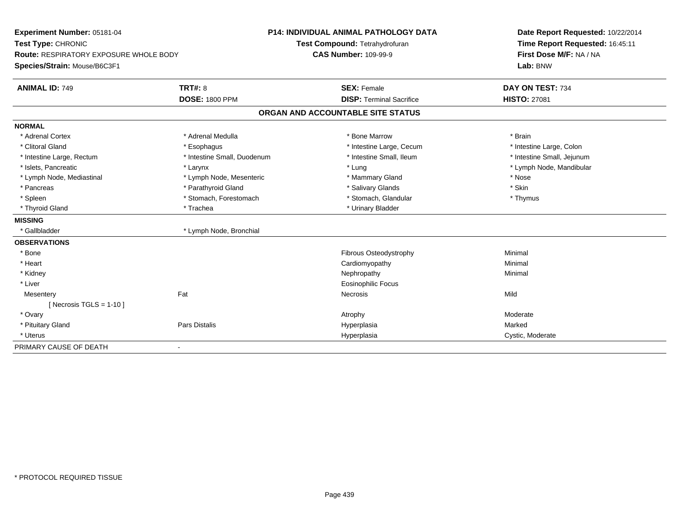| Experiment Number: 05181-04            |                             | P14: INDIVIDUAL ANIMAL PATHOLOGY DATA | Date Report Requested: 10/22/2014 |  |
|----------------------------------------|-----------------------------|---------------------------------------|-----------------------------------|--|
| Test Type: CHRONIC                     |                             | Test Compound: Tetrahydrofuran        | Time Report Requested: 16:45:11   |  |
| Route: RESPIRATORY EXPOSURE WHOLE BODY |                             | <b>CAS Number: 109-99-9</b>           | First Dose M/F: NA / NA           |  |
| Species/Strain: Mouse/B6C3F1           |                             |                                       | Lab: BNW                          |  |
| <b>ANIMAL ID: 749</b>                  | <b>TRT#: 8</b>              | <b>SEX: Female</b>                    | DAY ON TEST: 734                  |  |
|                                        | <b>DOSE: 1800 PPM</b>       | <b>DISP: Terminal Sacrifice</b>       | <b>HISTO: 27081</b>               |  |
|                                        |                             | ORGAN AND ACCOUNTABLE SITE STATUS     |                                   |  |
| <b>NORMAL</b>                          |                             |                                       |                                   |  |
| * Adrenal Cortex                       | * Adrenal Medulla           | * Bone Marrow                         | * Brain                           |  |
| * Clitoral Gland                       | * Esophagus                 | * Intestine Large, Cecum              | * Intestine Large, Colon          |  |
| * Intestine Large, Rectum              | * Intestine Small, Duodenum | * Intestine Small. Ileum              | * Intestine Small, Jejunum        |  |
| * Islets, Pancreatic                   | * Larynx                    | * Lung                                | * Lymph Node, Mandibular          |  |
| * Lymph Node, Mediastinal              | * Lymph Node, Mesenteric    | * Mammary Gland                       | * Nose                            |  |
| * Pancreas                             | * Parathyroid Gland         | * Salivary Glands                     | * Skin                            |  |
| * Spleen                               | * Stomach, Forestomach      | * Stomach, Glandular                  | * Thymus                          |  |
| * Thyroid Gland                        | * Trachea                   | * Urinary Bladder                     |                                   |  |
| <b>MISSING</b>                         |                             |                                       |                                   |  |
| * Gallbladder                          | * Lymph Node, Bronchial     |                                       |                                   |  |
| <b>OBSERVATIONS</b>                    |                             |                                       |                                   |  |
| * Bone                                 |                             | <b>Fibrous Osteodystrophy</b>         | Minimal                           |  |
| * Heart                                |                             | Cardiomyopathy                        | Minimal                           |  |
| * Kidney                               |                             | Nephropathy                           | Minimal                           |  |
| * Liver                                |                             | <b>Eosinophilic Focus</b>             |                                   |  |
| Mesentery                              | Fat                         | Necrosis                              | Mild                              |  |
| [ Necrosis TGLS = $1-10$ ]             |                             |                                       |                                   |  |
| * Ovary                                |                             | Atrophy                               | Moderate                          |  |
| * Pituitary Gland                      | <b>Pars Distalis</b>        | Hyperplasia                           | Marked                            |  |
| * Uterus                               |                             | Hyperplasia                           | Cystic, Moderate                  |  |
| PRIMARY CAUSE OF DEATH                 |                             |                                       |                                   |  |